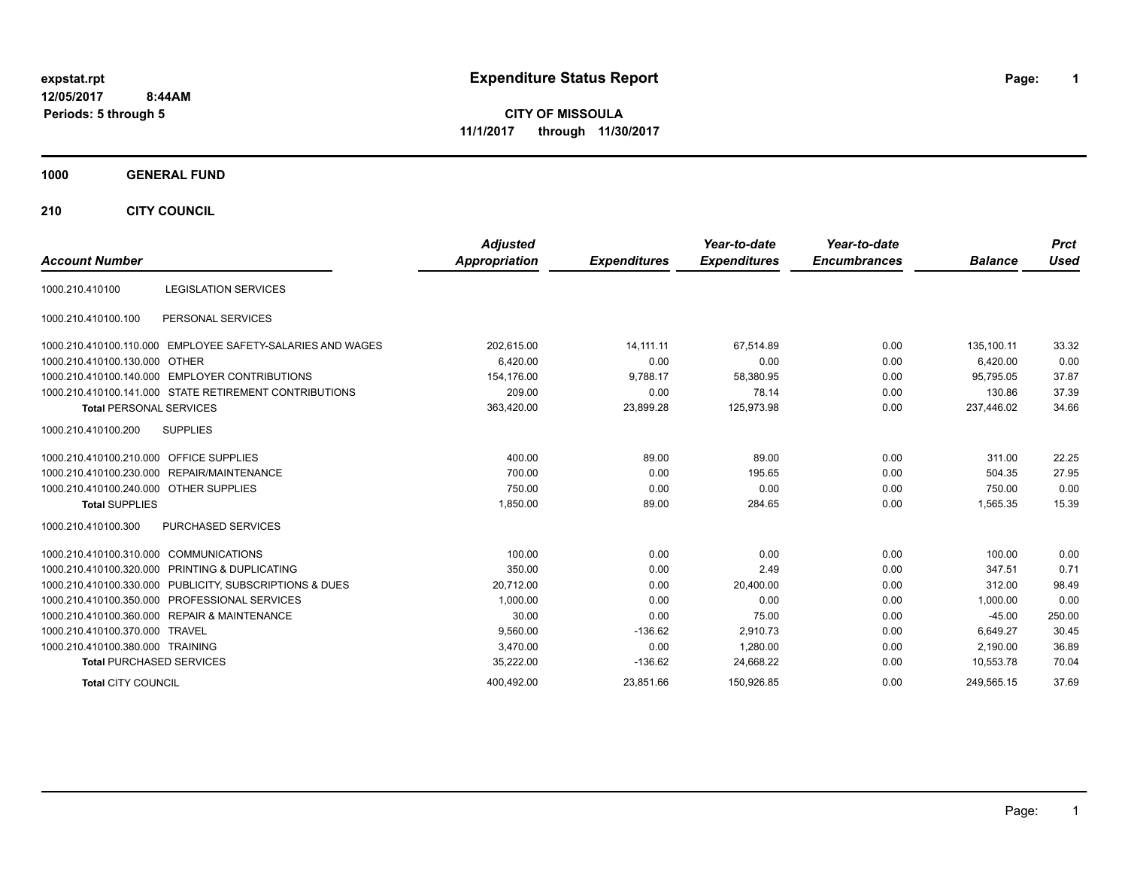# **expstat.rpt Expenditure Status Report Page:**

**1**

**CITY OF MISSOULA 11/1/2017 through 11/30/2017**

### **1000 GENERAL FUND**

**210 CITY COUNCIL**

| <b>Account Number</b>                                      | <b>Adjusted</b><br>Appropriation | <b>Expenditures</b> | Year-to-date<br><b>Expenditures</b> | Year-to-date<br><b>Encumbrances</b> | <b>Balance</b> | <b>Prct</b><br><b>Used</b> |
|------------------------------------------------------------|----------------------------------|---------------------|-------------------------------------|-------------------------------------|----------------|----------------------------|
| <b>LEGISLATION SERVICES</b><br>1000.210.410100             |                                  |                     |                                     |                                     |                |                            |
| PERSONAL SERVICES<br>1000.210.410100.100                   |                                  |                     |                                     |                                     |                |                            |
| 1000.210.410100.110.000 EMPLOYEE SAFETY-SALARIES AND WAGES | 202,615.00                       | 14.111.11           | 67.514.89                           | 0.00                                | 135.100.11     | 33.32                      |
| 1000.210.410100.130.000 OTHER                              | 6,420.00                         | 0.00                | 0.00                                | 0.00                                | 6,420.00       | 0.00                       |
| 1000.210.410100.140.000 EMPLOYER CONTRIBUTIONS             | 154,176.00                       | 9,788.17            | 58,380.95                           | 0.00                                | 95,795.05      | 37.87                      |
| 1000.210.410100.141.000 STATE RETIREMENT CONTRIBUTIONS     | 209.00                           | 0.00                | 78.14                               | 0.00                                | 130.86         | 37.39                      |
| <b>Total PERSONAL SERVICES</b>                             | 363,420.00                       | 23,899.28           | 125,973.98                          | 0.00                                | 237,446.02     | 34.66                      |
| 1000.210.410100.200<br><b>SUPPLIES</b>                     |                                  |                     |                                     |                                     |                |                            |
| 1000.210.410100.210.000 OFFICE SUPPLIES                    | 400.00                           | 89.00               | 89.00                               | 0.00                                | 311.00         | 22.25                      |
| 1000.210.410100.230.000 REPAIR/MAINTENANCE                 | 700.00                           | 0.00                | 195.65                              | 0.00                                | 504.35         | 27.95                      |
| 1000.210.410100.240.000 OTHER SUPPLIES                     | 750.00                           | 0.00                | 0.00                                | 0.00                                | 750.00         | 0.00                       |
| <b>Total SUPPLIES</b>                                      | 1,850.00                         | 89.00               | 284.65                              | 0.00                                | 1,565.35       | 15.39                      |
| PURCHASED SERVICES<br>1000.210.410100.300                  |                                  |                     |                                     |                                     |                |                            |
| 1000.210.410100.310.000 COMMUNICATIONS                     | 100.00                           | 0.00                | 0.00                                | 0.00                                | 100.00         | 0.00                       |
| 1000.210.410100.320.000 PRINTING & DUPLICATING             | 350.00                           | 0.00                | 2.49                                | 0.00                                | 347.51         | 0.71                       |
| 1000.210.410100.330.000 PUBLICITY, SUBSCRIPTIONS & DUES    | 20,712.00                        | 0.00                | 20,400.00                           | 0.00                                | 312.00         | 98.49                      |
| 1000.210.410100.350.000 PROFESSIONAL SERVICES              | 1,000.00                         | 0.00                | 0.00                                | 0.00                                | 1,000.00       | 0.00                       |
| 1000.210.410100.360.000 REPAIR & MAINTENANCE               | 30.00                            | 0.00                | 75.00                               | 0.00                                | $-45.00$       | 250.00                     |
| 1000.210.410100.370.000 TRAVEL                             | 9,560.00                         | $-136.62$           | 2,910.73                            | 0.00                                | 6.649.27       | 30.45                      |
| 1000.210.410100.380.000 TRAINING                           | 3,470.00                         | 0.00                | 1,280.00                            | 0.00                                | 2.190.00       | 36.89                      |
| <b>Total PURCHASED SERVICES</b>                            | 35,222.00                        | $-136.62$           | 24.668.22                           | 0.00                                | 10.553.78      | 70.04                      |
| <b>Total CITY COUNCIL</b>                                  | 400.492.00                       | 23.851.66           | 150.926.85                          | 0.00                                | 249.565.15     | 37.69                      |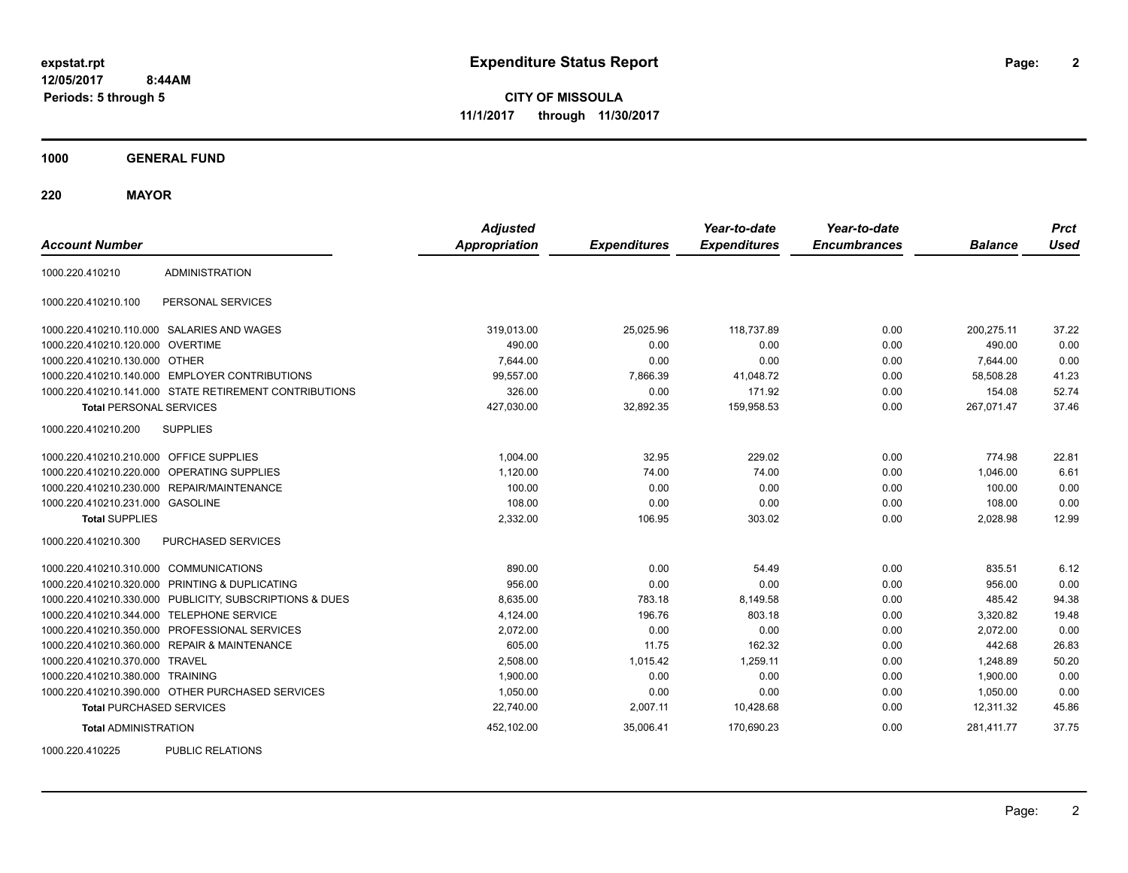**2**

**CITY OF MISSOULA 11/1/2017 through 11/30/2017**

**1000 GENERAL FUND**

**220 MAYOR**

| <b>Account Number</b>                   |                                                         | <b>Adjusted</b><br><b>Appropriation</b> | <b>Expenditures</b> | Year-to-date<br><b>Expenditures</b> | Year-to-date<br><b>Encumbrances</b> | <b>Balance</b> | <b>Prct</b><br><b>Used</b> |
|-----------------------------------------|---------------------------------------------------------|-----------------------------------------|---------------------|-------------------------------------|-------------------------------------|----------------|----------------------------|
| 1000.220.410210                         | <b>ADMINISTRATION</b>                                   |                                         |                     |                                     |                                     |                |                            |
| 1000.220.410210.100                     | PERSONAL SERVICES                                       |                                         |                     |                                     |                                     |                |                            |
|                                         | 1000.220.410210.110.000 SALARIES AND WAGES              | 319,013.00                              | 25,025.96           | 118,737.89                          | 0.00                                | 200,275.11     | 37.22                      |
| 1000.220.410210.120.000 OVERTIME        |                                                         | 490.00                                  | 0.00                | 0.00                                | 0.00                                | 490.00         | 0.00                       |
| 1000.220.410210.130.000 OTHER           |                                                         | 7,644.00                                | 0.00                | 0.00                                | 0.00                                | 7,644.00       | 0.00                       |
|                                         | 1000.220.410210.140.000 EMPLOYER CONTRIBUTIONS          | 99,557.00                               | 7,866.39            | 41,048.72                           | 0.00                                | 58,508.28      | 41.23                      |
|                                         | 1000.220.410210.141.000 STATE RETIREMENT CONTRIBUTIONS  | 326.00                                  | 0.00                | 171.92                              | 0.00                                | 154.08         | 52.74                      |
| <b>Total PERSONAL SERVICES</b>          |                                                         | 427,030.00                              | 32,892.35           | 159,958.53                          | 0.00                                | 267,071.47     | 37.46                      |
| 1000.220.410210.200                     | <b>SUPPLIES</b>                                         |                                         |                     |                                     |                                     |                |                            |
| 1000.220.410210.210.000 OFFICE SUPPLIES |                                                         | 1.004.00                                | 32.95               | 229.02                              | 0.00                                | 774.98         | 22.81                      |
|                                         | 1000.220.410210.220.000 OPERATING SUPPLIES              | 1,120.00                                | 74.00               | 74.00                               | 0.00                                | 1.046.00       | 6.61                       |
|                                         | 1000.220.410210.230.000 REPAIR/MAINTENANCE              | 100.00                                  | 0.00                | 0.00                                | 0.00                                | 100.00         | 0.00                       |
| 1000.220.410210.231.000 GASOLINE        |                                                         | 108.00                                  | 0.00                | 0.00                                | 0.00                                | 108.00         | 0.00                       |
| <b>Total SUPPLIES</b>                   |                                                         | 2,332.00                                | 106.95              | 303.02                              | 0.00                                | 2,028.98       | 12.99                      |
| 1000.220.410210.300                     | <b>PURCHASED SERVICES</b>                               |                                         |                     |                                     |                                     |                |                            |
| 1000.220.410210.310.000 COMMUNICATIONS  |                                                         | 890.00                                  | 0.00                | 54.49                               | 0.00                                | 835.51         | 6.12                       |
|                                         | 1000.220.410210.320.000 PRINTING & DUPLICATING          | 956.00                                  | 0.00                | 0.00                                | 0.00                                | 956.00         | 0.00                       |
|                                         | 1000.220.410210.330.000 PUBLICITY, SUBSCRIPTIONS & DUES | 8,635.00                                | 783.18              | 8,149.58                            | 0.00                                | 485.42         | 94.38                      |
|                                         | 1000.220.410210.344.000 TELEPHONE SERVICE               | 4,124.00                                | 196.76              | 803.18                              | 0.00                                | 3,320.82       | 19.48                      |
|                                         | 1000.220.410210.350.000 PROFESSIONAL SERVICES           | 2,072.00                                | 0.00                | 0.00                                | 0.00                                | 2,072.00       | 0.00                       |
|                                         | 1000.220.410210.360.000 REPAIR & MAINTENANCE            | 605.00                                  | 11.75               | 162.32                              | 0.00                                | 442.68         | 26.83                      |
| 1000.220.410210.370.000 TRAVEL          |                                                         | 2,508.00                                | 1,015.42            | 1,259.11                            | 0.00                                | 1,248.89       | 50.20                      |
| 1000.220.410210.380.000 TRAINING        |                                                         | 1,900.00                                | 0.00                | 0.00                                | 0.00                                | 1,900.00       | 0.00                       |
|                                         | 1000.220.410210.390.000 OTHER PURCHASED SERVICES        | 1,050.00                                | 0.00                | 0.00                                | 0.00                                | 1,050.00       | 0.00                       |
| <b>Total PURCHASED SERVICES</b>         |                                                         | 22,740.00                               | 2,007.11            | 10,428.68                           | 0.00                                | 12,311.32      | 45.86                      |
| <b>Total ADMINISTRATION</b>             |                                                         | 452,102.00                              | 35,006.41           | 170,690.23                          | 0.00                                | 281,411.77     | 37.75                      |
| 1000000110005                           | <b>DUDLIO DEL ATIONO</b>                                |                                         |                     |                                     |                                     |                |                            |

1000.220.410225 PUBLIC RELATIONS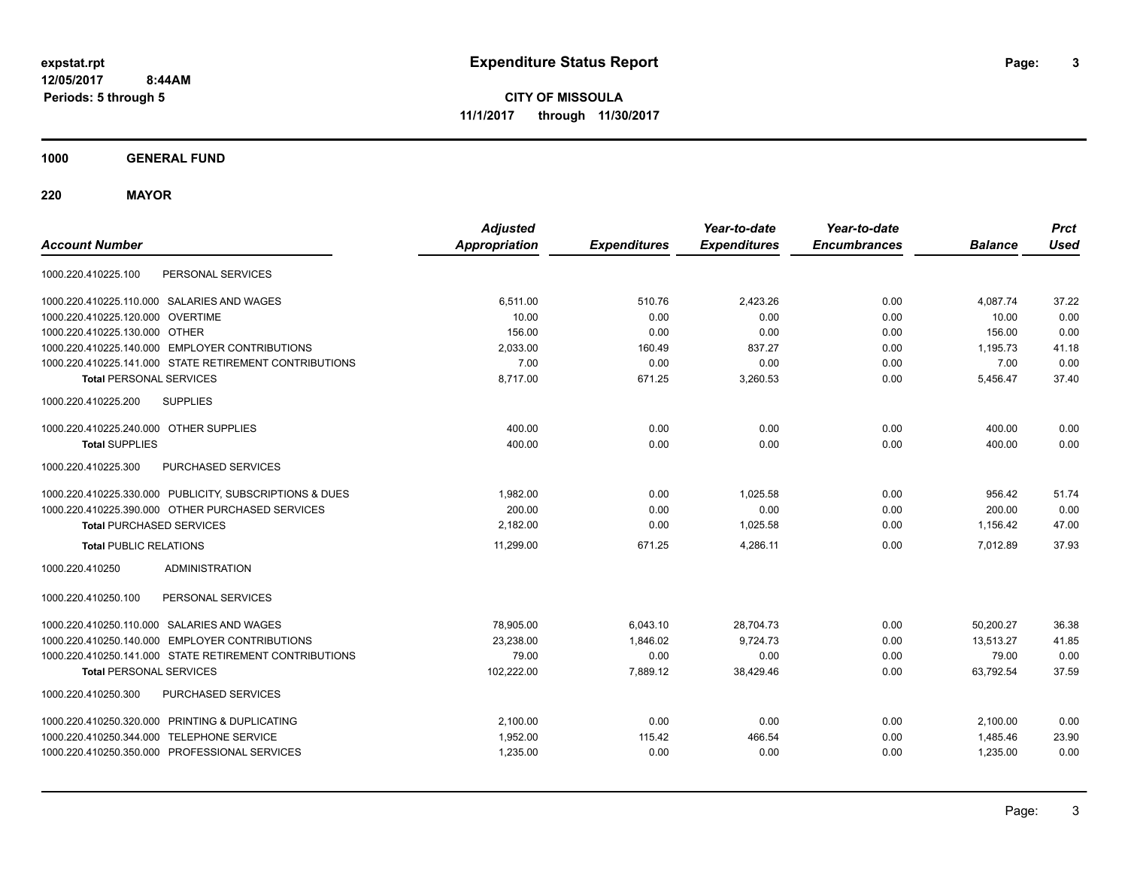**CITY OF MISSOULA 11/1/2017 through 11/30/2017**

**1000 GENERAL FUND**

**220 MAYOR**

| <b>Account Number</b>                                   | <b>Adjusted</b><br><b>Appropriation</b> | <b>Expenditures</b> | Year-to-date<br><b>Expenditures</b> | Year-to-date<br><b>Encumbrances</b> | <b>Balance</b> | <b>Prct</b><br><b>Used</b> |
|---------------------------------------------------------|-----------------------------------------|---------------------|-------------------------------------|-------------------------------------|----------------|----------------------------|
| 1000.220.410225.100<br>PERSONAL SERVICES                |                                         |                     |                                     |                                     |                |                            |
| 1000.220.410225.110.000 SALARIES AND WAGES              | 6,511.00                                | 510.76              | 2,423.26                            | 0.00                                | 4,087.74       | 37.22                      |
| 1000.220.410225.120.000 OVERTIME                        | 10.00                                   | 0.00                | 0.00                                | 0.00                                | 10.00          | 0.00                       |
| 1000.220.410225.130.000 OTHER                           | 156.00                                  | 0.00                | 0.00                                | 0.00                                | 156.00         | 0.00                       |
| 1000.220.410225.140.000 EMPLOYER CONTRIBUTIONS          | 2,033.00                                | 160.49              | 837.27                              | 0.00                                | 1,195.73       | 41.18                      |
| 1000.220.410225.141.000 STATE RETIREMENT CONTRIBUTIONS  | 7.00                                    | 0.00                | 0.00                                | 0.00                                | 7.00           | 0.00                       |
| <b>Total PERSONAL SERVICES</b>                          | 8,717.00                                | 671.25              | 3,260.53                            | 0.00                                | 5,456.47       | 37.40                      |
| <b>SUPPLIES</b><br>1000.220.410225.200                  |                                         |                     |                                     |                                     |                |                            |
| 1000.220.410225.240.000 OTHER SUPPLIES                  | 400.00                                  | 0.00                | 0.00                                | 0.00                                | 400.00         | 0.00                       |
| <b>Total SUPPLIES</b>                                   | 400.00                                  | 0.00                | 0.00                                | 0.00                                | 400.00         | 0.00                       |
| 1000.220.410225.300<br>PURCHASED SERVICES               |                                         |                     |                                     |                                     |                |                            |
| 1000.220.410225.330.000 PUBLICITY, SUBSCRIPTIONS & DUES | 1.982.00                                | 0.00                | 1.025.58                            | 0.00                                | 956.42         | 51.74                      |
| 1000.220.410225.390.000 OTHER PURCHASED SERVICES        | 200.00                                  | 0.00                | 0.00                                | 0.00                                | 200.00         | 0.00                       |
| <b>Total PURCHASED SERVICES</b>                         | 2,182.00                                | 0.00                | 1,025.58                            | 0.00                                | 1,156.42       | 47.00                      |
| <b>Total PUBLIC RELATIONS</b>                           | 11.299.00                               | 671.25              | 4,286.11                            | 0.00                                | 7.012.89       | 37.93                      |
| 1000.220.410250<br><b>ADMINISTRATION</b>                |                                         |                     |                                     |                                     |                |                            |
| PERSONAL SERVICES<br>1000.220.410250.100                |                                         |                     |                                     |                                     |                |                            |
| 1000.220.410250.110.000 SALARIES AND WAGES              | 78,905.00                               | 6,043.10            | 28,704.73                           | 0.00                                | 50,200.27      | 36.38                      |
| 1000.220.410250.140.000 EMPLOYER CONTRIBUTIONS          | 23,238.00                               | 1,846.02            | 9,724.73                            | 0.00                                | 13.513.27      | 41.85                      |
| 1000.220.410250.141.000 STATE RETIREMENT CONTRIBUTIONS  | 79.00                                   | 0.00                | 0.00                                | 0.00                                | 79.00          | 0.00                       |
| <b>Total PERSONAL SERVICES</b>                          | 102,222.00                              | 7,889.12            | 38,429.46                           | 0.00                                | 63,792.54      | 37.59                      |
| PURCHASED SERVICES<br>1000.220.410250.300               |                                         |                     |                                     |                                     |                |                            |
| 1000.220.410250.320.000 PRINTING & DUPLICATING          | 2,100.00                                | 0.00                | 0.00                                | 0.00                                | 2,100.00       | 0.00                       |
| 1000.220.410250.344.000 TELEPHONE SERVICE               | 1,952.00                                | 115.42              | 466.54                              | 0.00                                | 1,485.46       | 23.90                      |
| 1000.220.410250.350.000 PROFESSIONAL SERVICES           | 1,235.00                                | 0.00                | 0.00                                | 0.00                                | 1,235.00       | 0.00                       |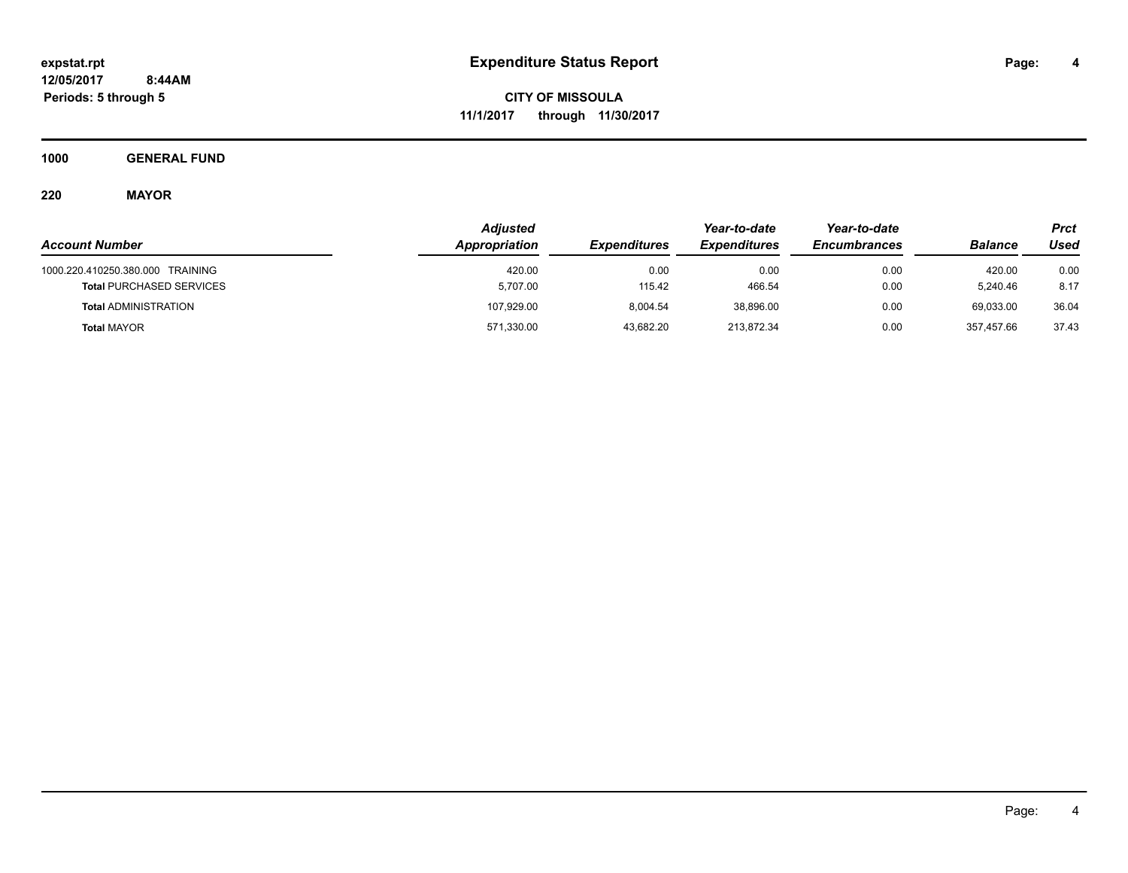**CITY OF MISSOULA 11/1/2017 through 11/30/2017**

**1000 GENERAL FUND**

**220 MAYOR**

|                                  | <b>Adjusted</b> |                     |                            | Year-to-date        |                | Prct  |
|----------------------------------|-----------------|---------------------|----------------------------|---------------------|----------------|-------|
| <b>Account Number</b>            | Appropriation   | <b>Expenditures</b> | <i><b>Expenditures</b></i> | <b>Encumbrances</b> | <b>Balance</b> | Used  |
| 1000.220.410250.380.000 TRAINING | 420.00          | 0.00                | 0.00                       | 0.00                | 420.00         | 0.00  |
| <b>Total PURCHASED SERVICES</b>  | 5,707.00        | 115.42              | 466.54                     | 0.00                | 5.240.46       | 8.17  |
| <b>Total ADMINISTRATION</b>      | 107,929.00      | 8.004.54            | 38.896.00                  | 0.00                | 69,033.00      | 36.04 |
| <b>Total MAYOR</b>               | 571,330.00      | 43,682.20           | 213,872.34                 | 0.00                | 357.457.66     | 37.43 |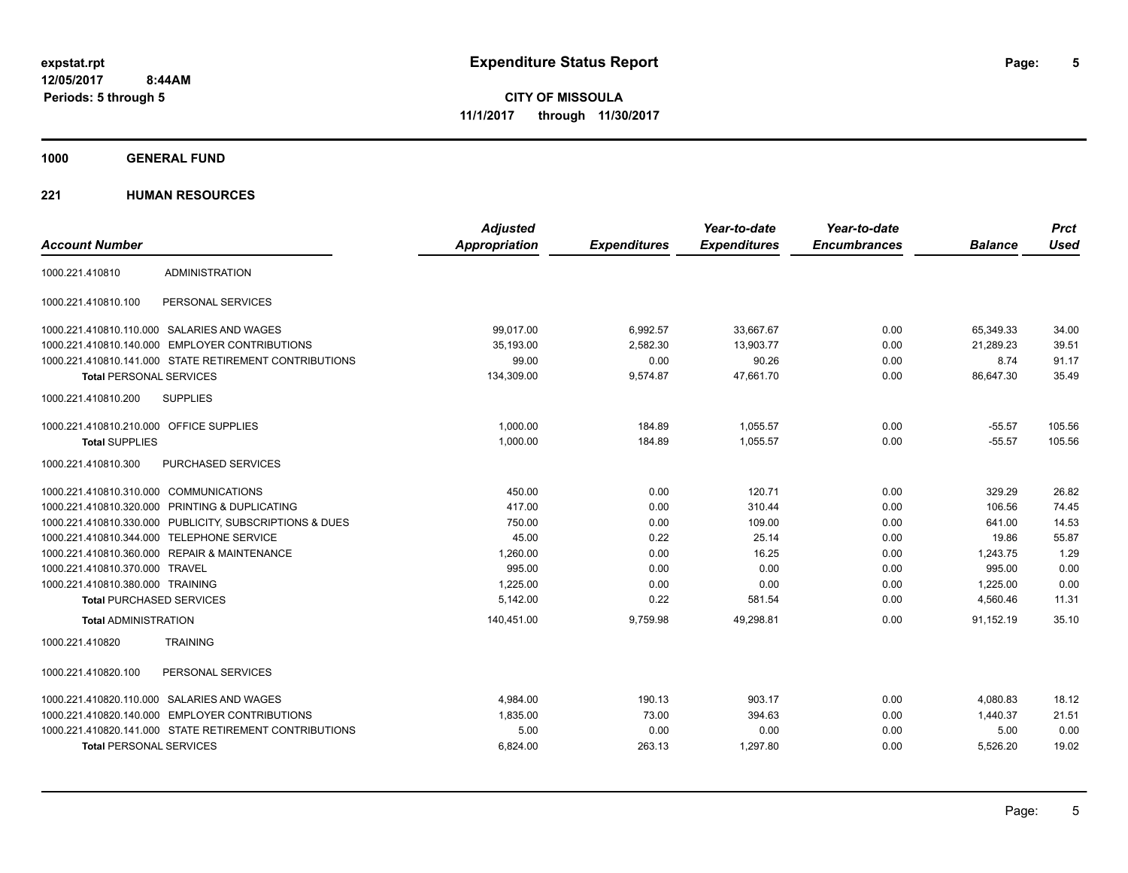**Periods: 5 through 5**

**5**

**CITY OF MISSOULA 11/1/2017 through 11/30/2017**

**1000 GENERAL FUND**

### **221 HUMAN RESOURCES**

|                                         |                                                         | <b>Adjusted</b>      |                     | Year-to-date        | Year-to-date        |                | <b>Prct</b> |
|-----------------------------------------|---------------------------------------------------------|----------------------|---------------------|---------------------|---------------------|----------------|-------------|
| <b>Account Number</b>                   |                                                         | <b>Appropriation</b> | <b>Expenditures</b> | <b>Expenditures</b> | <b>Encumbrances</b> | <b>Balance</b> | <b>Used</b> |
| 1000.221.410810                         | <b>ADMINISTRATION</b>                                   |                      |                     |                     |                     |                |             |
| 1000.221.410810.100                     | PERSONAL SERVICES                                       |                      |                     |                     |                     |                |             |
|                                         | 1000.221.410810.110.000 SALARIES AND WAGES              | 99,017.00            | 6,992.57            | 33,667.67           | 0.00                | 65,349.33      | 34.00       |
|                                         | 1000.221.410810.140.000 EMPLOYER CONTRIBUTIONS          | 35.193.00            | 2,582.30            | 13,903.77           | 0.00                | 21,289.23      | 39.51       |
|                                         | 1000.221.410810.141.000 STATE RETIREMENT CONTRIBUTIONS  | 99.00                | 0.00                | 90.26               | 0.00                | 8.74           | 91.17       |
| <b>Total PERSONAL SERVICES</b>          |                                                         | 134,309.00           | 9,574.87            | 47,661.70           | 0.00                | 86,647.30      | 35.49       |
| 1000.221.410810.200                     | <b>SUPPLIES</b>                                         |                      |                     |                     |                     |                |             |
| 1000.221.410810.210.000 OFFICE SUPPLIES |                                                         | 1.000.00             | 184.89              | 1.055.57            | 0.00                | $-55.57$       | 105.56      |
| <b>Total SUPPLIES</b>                   |                                                         | 1,000.00             | 184.89              | 1,055.57            | 0.00                | $-55.57$       | 105.56      |
| 1000.221.410810.300                     | <b>PURCHASED SERVICES</b>                               |                      |                     |                     |                     |                |             |
| 1000.221.410810.310.000 COMMUNICATIONS  |                                                         | 450.00               | 0.00                | 120.71              | 0.00                | 329.29         | 26.82       |
|                                         | 1000.221.410810.320.000 PRINTING & DUPLICATING          | 417.00               | 0.00                | 310.44              | 0.00                | 106.56         | 74.45       |
|                                         | 1000.221.410810.330.000 PUBLICITY, SUBSCRIPTIONS & DUES | 750.00               | 0.00                | 109.00              | 0.00                | 641.00         | 14.53       |
|                                         | 1000.221.410810.344.000 TELEPHONE SERVICE               | 45.00                | 0.22                | 25.14               | 0.00                | 19.86          | 55.87       |
|                                         | 1000.221.410810.360.000 REPAIR & MAINTENANCE            | 1,260.00             | 0.00                | 16.25               | 0.00                | 1,243.75       | 1.29        |
| 1000.221.410810.370.000 TRAVEL          |                                                         | 995.00               | 0.00                | 0.00                | 0.00                | 995.00         | 0.00        |
| 1000.221.410810.380.000 TRAINING        |                                                         | 1,225.00             | 0.00                | 0.00                | 0.00                | 1,225.00       | 0.00        |
| <b>Total PURCHASED SERVICES</b>         |                                                         | 5,142.00             | 0.22                | 581.54              | 0.00                | 4,560.46       | 11.31       |
| <b>Total ADMINISTRATION</b>             |                                                         | 140,451.00           | 9,759.98            | 49,298.81           | 0.00                | 91,152.19      | 35.10       |
| 1000.221.410820                         | <b>TRAINING</b>                                         |                      |                     |                     |                     |                |             |
| 1000.221.410820.100                     | PERSONAL SERVICES                                       |                      |                     |                     |                     |                |             |
|                                         | 1000.221.410820.110.000 SALARIES AND WAGES              | 4.984.00             | 190.13              | 903.17              | 0.00                | 4.080.83       | 18.12       |
|                                         | 1000.221.410820.140.000 EMPLOYER CONTRIBUTIONS          | 1,835.00             | 73.00               | 394.63              | 0.00                | 1,440.37       | 21.51       |
|                                         | 1000.221.410820.141.000 STATE RETIREMENT CONTRIBUTIONS  | 5.00                 | 0.00                | 0.00                | 0.00                | 5.00           | 0.00        |
| <b>Total PERSONAL SERVICES</b>          |                                                         | 6.824.00             | 263.13              | 1.297.80            | 0.00                | 5,526.20       | 19.02       |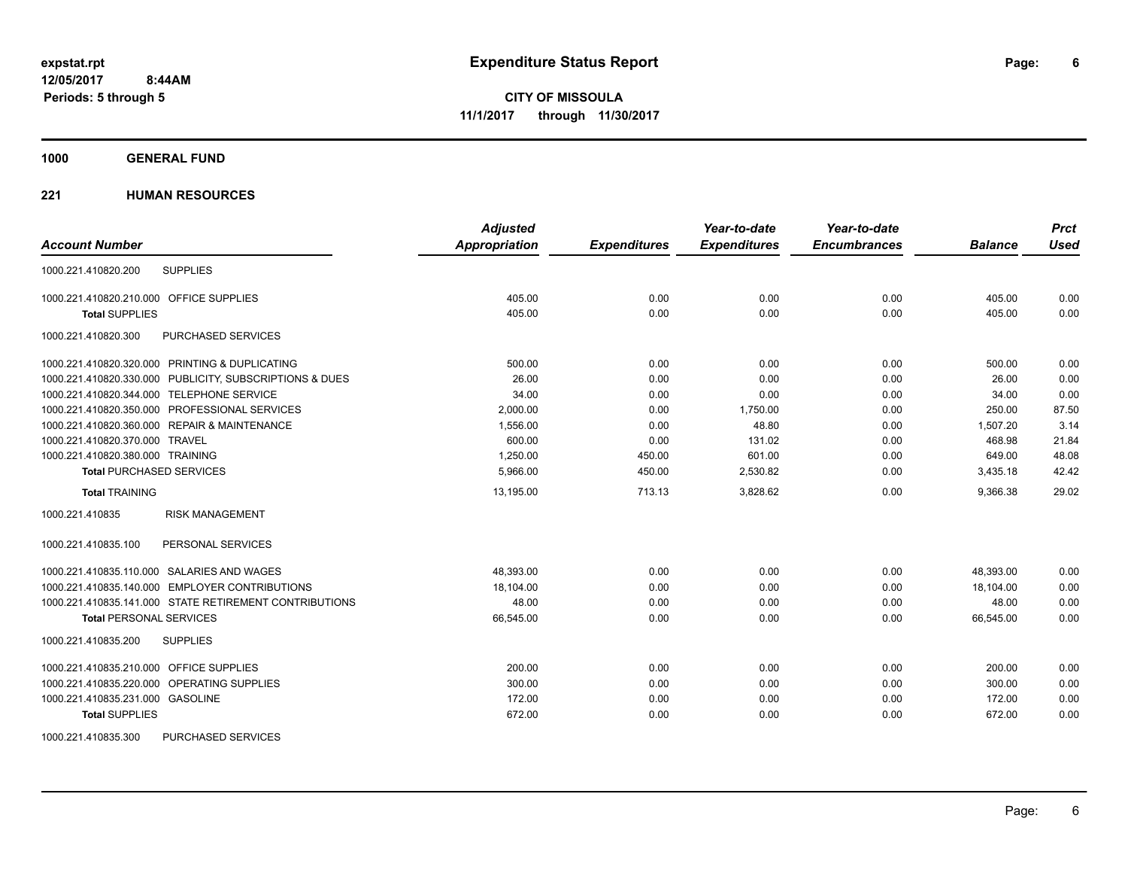**1000 GENERAL FUND**

### **221 HUMAN RESOURCES**

|                                                         | <b>Adjusted</b>      |                     | Year-to-date        | Year-to-date        |                | <b>Prct</b> |
|---------------------------------------------------------|----------------------|---------------------|---------------------|---------------------|----------------|-------------|
| <b>Account Number</b>                                   | <b>Appropriation</b> | <b>Expenditures</b> | <b>Expenditures</b> | <b>Encumbrances</b> | <b>Balance</b> | <b>Used</b> |
| <b>SUPPLIES</b><br>1000.221.410820.200                  |                      |                     |                     |                     |                |             |
| 1000.221.410820.210.000 OFFICE SUPPLIES                 | 405.00               | 0.00                | 0.00                | 0.00                | 405.00         | 0.00        |
| <b>Total SUPPLIES</b>                                   | 405.00               | 0.00                | 0.00                | 0.00                | 405.00         | 0.00        |
| 1000.221.410820.300<br><b>PURCHASED SERVICES</b>        |                      |                     |                     |                     |                |             |
| 1000.221.410820.320.000 PRINTING & DUPLICATING          | 500.00               | 0.00                | 0.00                | 0.00                | 500.00         | 0.00        |
| 1000.221.410820.330.000 PUBLICITY, SUBSCRIPTIONS & DUES | 26.00                | 0.00                | 0.00                | 0.00                | 26.00          | 0.00        |
| 1000.221.410820.344.000 TELEPHONE SERVICE               | 34.00                | 0.00                | 0.00                | 0.00                | 34.00          | 0.00        |
| 1000.221.410820.350.000 PROFESSIONAL SERVICES           | 2,000.00             | 0.00                | 1,750.00            | 0.00                | 250.00         | 87.50       |
| 1000.221.410820.360.000 REPAIR & MAINTENANCE            | 1,556.00             | 0.00                | 48.80               | 0.00                | 1,507.20       | 3.14        |
| 1000.221.410820.370.000 TRAVEL                          | 600.00               | 0.00                | 131.02              | 0.00                | 468.98         | 21.84       |
| 1000.221.410820.380.000 TRAINING                        | 1,250.00             | 450.00              | 601.00              | 0.00                | 649.00         | 48.08       |
| <b>Total PURCHASED SERVICES</b>                         | 5,966.00             | 450.00              | 2,530.82            | 0.00                | 3,435.18       | 42.42       |
| <b>Total TRAINING</b>                                   | 13,195.00            | 713.13              | 3,828.62            | 0.00                | 9,366.38       | 29.02       |
| 1000.221.410835<br><b>RISK MANAGEMENT</b>               |                      |                     |                     |                     |                |             |
| PERSONAL SERVICES<br>1000.221.410835.100                |                      |                     |                     |                     |                |             |
| 1000.221.410835.110.000 SALARIES AND WAGES              | 48,393.00            | 0.00                | 0.00                | 0.00                | 48,393.00      | 0.00        |
| 1000.221.410835.140.000 EMPLOYER CONTRIBUTIONS          | 18.104.00            | 0.00                | 0.00                | 0.00                | 18.104.00      | 0.00        |
| 1000.221.410835.141.000 STATE RETIREMENT CONTRIBUTIONS  | 48.00                | 0.00                | 0.00                | 0.00                | 48.00          | 0.00        |
| <b>Total PERSONAL SERVICES</b>                          | 66,545.00            | 0.00                | 0.00                | 0.00                | 66,545.00      | 0.00        |
| 1000.221.410835.200<br><b>SUPPLIES</b>                  |                      |                     |                     |                     |                |             |
| 1000.221.410835.210.000 OFFICE SUPPLIES                 | 200.00               | 0.00                | 0.00                | 0.00                | 200.00         | 0.00        |
| 1000.221.410835.220.000 OPERATING SUPPLIES              | 300.00               | 0.00                | 0.00                | 0.00                | 300.00         | 0.00        |
| 1000.221.410835.231.000 GASOLINE                        | 172.00               | 0.00                | 0.00                | 0.00                | 172.00         | 0.00        |
| <b>Total SUPPLIES</b>                                   | 672.00               | 0.00                | 0.00                | 0.00                | 672.00         | 0.00        |
| <b>PURCHASED SERVICES</b><br>1000.221.410835.300        |                      |                     |                     |                     |                |             |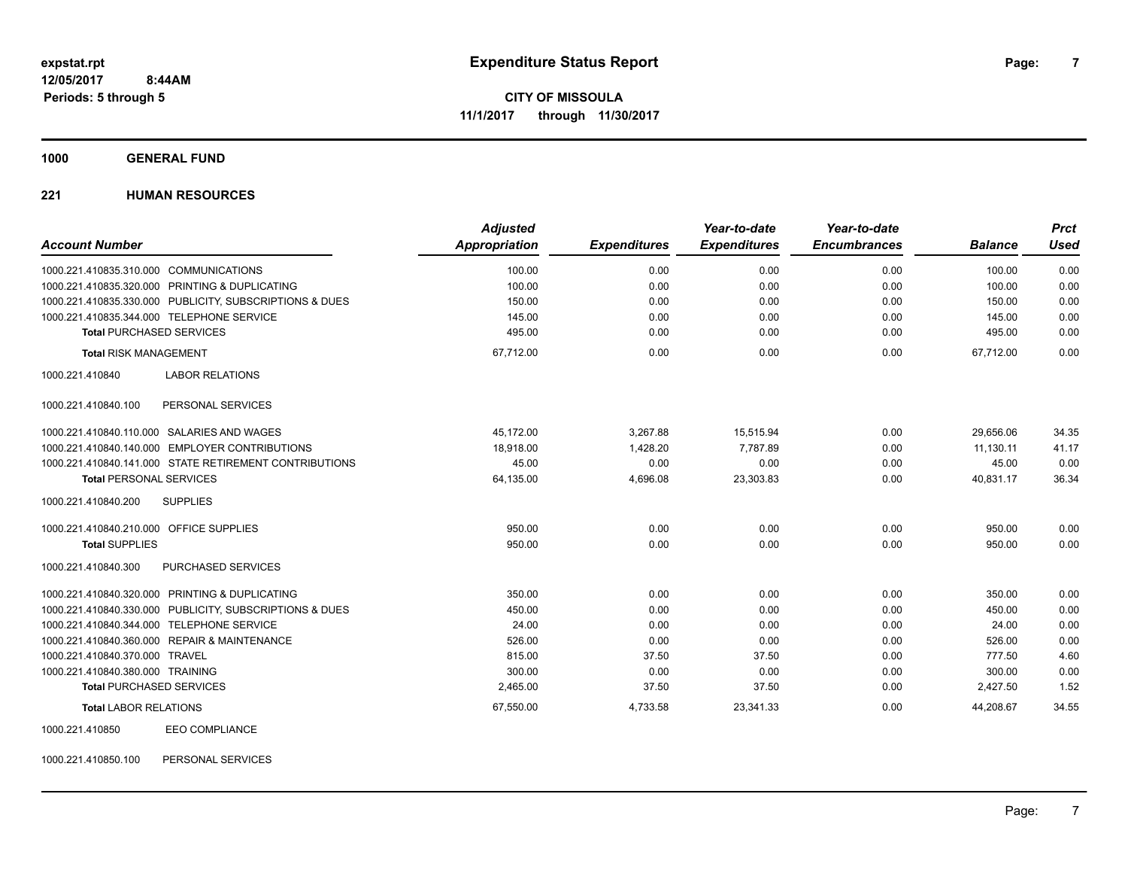**1000 GENERAL FUND**

### **221 HUMAN RESOURCES**

| <b>Account Number</b>                                   | <b>Adjusted</b><br><b>Appropriation</b> | <b>Expenditures</b> | Year-to-date<br><b>Expenditures</b> | Year-to-date<br><b>Encumbrances</b> | <b>Balance</b> | <b>Prct</b><br><b>Used</b> |
|---------------------------------------------------------|-----------------------------------------|---------------------|-------------------------------------|-------------------------------------|----------------|----------------------------|
| 1000.221.410835.310.000 COMMUNICATIONS                  | 100.00                                  | 0.00                | 0.00                                | 0.00                                | 100.00         | 0.00                       |
| 1000.221.410835.320.000 PRINTING & DUPLICATING          | 100.00                                  | 0.00                | 0.00                                | 0.00                                | 100.00         | 0.00                       |
| 1000.221.410835.330.000 PUBLICITY, SUBSCRIPTIONS & DUES | 150.00                                  | 0.00                | 0.00                                | 0.00                                | 150.00         | 0.00                       |
| 1000.221.410835.344.000 TELEPHONE SERVICE               | 145.00                                  | 0.00                | 0.00                                | 0.00                                | 145.00         | 0.00                       |
| <b>Total PURCHASED SERVICES</b>                         | 495.00                                  | 0.00                | 0.00                                | 0.00                                | 495.00         | 0.00                       |
| <b>Total RISK MANAGEMENT</b>                            | 67,712.00                               | 0.00                | 0.00                                | 0.00                                | 67.712.00      | 0.00                       |
| 1000.221.410840<br><b>LABOR RELATIONS</b>               |                                         |                     |                                     |                                     |                |                            |
| 1000.221.410840.100<br>PERSONAL SERVICES                |                                         |                     |                                     |                                     |                |                            |
| 1000.221.410840.110.000 SALARIES AND WAGES              | 45,172.00                               | 3,267.88            | 15,515.94                           | 0.00                                | 29,656.06      | 34.35                      |
| 1000.221.410840.140.000 EMPLOYER CONTRIBUTIONS          | 18,918.00                               | 1,428.20            | 7,787.89                            | 0.00                                | 11,130.11      | 41.17                      |
| 1000.221.410840.141.000 STATE RETIREMENT CONTRIBUTIONS  | 45.00                                   | 0.00                | 0.00                                | 0.00                                | 45.00          | 0.00                       |
| <b>Total PERSONAL SERVICES</b>                          | 64,135.00                               | 4,696.08            | 23,303.83                           | 0.00                                | 40,831.17      | 36.34                      |
| <b>SUPPLIES</b><br>1000.221.410840.200                  |                                         |                     |                                     |                                     |                |                            |
| 1000.221.410840.210.000 OFFICE SUPPLIES                 | 950.00                                  | 0.00                | 0.00                                | 0.00                                | 950.00         | 0.00                       |
| <b>Total SUPPLIES</b>                                   | 950.00                                  | 0.00                | 0.00                                | 0.00                                | 950.00         | 0.00                       |
| 1000.221.410840.300<br><b>PURCHASED SERVICES</b>        |                                         |                     |                                     |                                     |                |                            |
| 1000.221.410840.320.000 PRINTING & DUPLICATING          | 350.00                                  | 0.00                | 0.00                                | 0.00                                | 350.00         | 0.00                       |
| 1000.221.410840.330.000 PUBLICITY, SUBSCRIPTIONS & DUES | 450.00                                  | 0.00                | 0.00                                | 0.00                                | 450.00         | 0.00                       |
| 1000.221.410840.344.000 TELEPHONE SERVICE               | 24.00                                   | 0.00                | 0.00                                | 0.00                                | 24.00          | 0.00                       |
| 1000.221.410840.360.000 REPAIR & MAINTENANCE            | 526.00                                  | 0.00                | 0.00                                | 0.00                                | 526.00         | 0.00                       |
| 1000.221.410840.370.000 TRAVEL                          | 815.00                                  | 37.50               | 37.50                               | 0.00                                | 777.50         | 4.60                       |
| 1000.221.410840.380.000 TRAINING                        | 300.00                                  | 0.00                | 0.00                                | 0.00                                | 300.00         | 0.00                       |
| <b>Total PURCHASED SERVICES</b>                         | 2,465.00                                | 37.50               | 37.50                               | 0.00                                | 2,427.50       | 1.52                       |
| <b>Total LABOR RELATIONS</b>                            | 67,550.00                               | 4,733.58            | 23,341.33                           | 0.00                                | 44,208.67      | 34.55                      |
| <b>EEO COMPLIANCE</b><br>1000.221.410850                |                                         |                     |                                     |                                     |                |                            |

1000.221.410850.100 PERSONAL SERVICES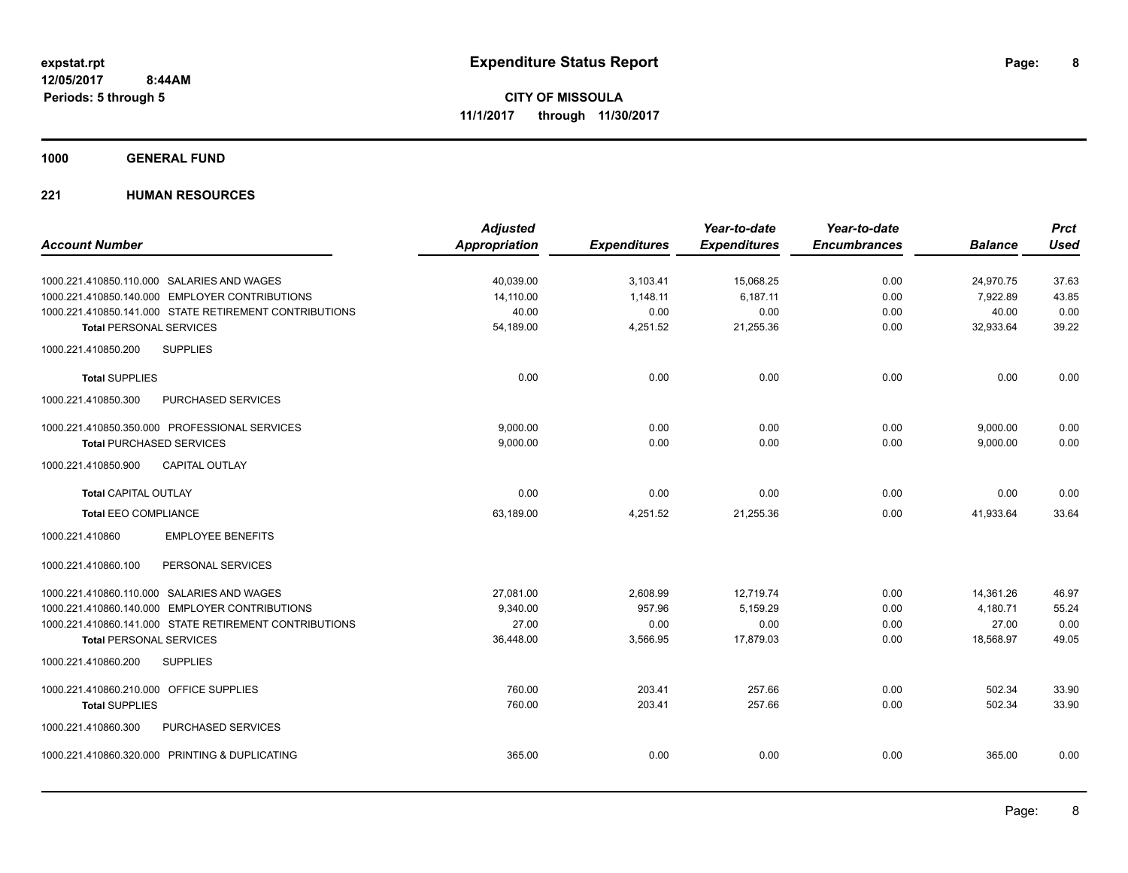**1000 GENERAL FUND**

### **221 HUMAN RESOURCES**

|                                                        | <b>Adjusted</b>      |                     | Year-to-date        | Year-to-date        |                | <b>Prct</b> |
|--------------------------------------------------------|----------------------|---------------------|---------------------|---------------------|----------------|-------------|
| <b>Account Number</b>                                  | <b>Appropriation</b> | <b>Expenditures</b> | <b>Expenditures</b> | <b>Encumbrances</b> | <b>Balance</b> | <b>Used</b> |
| 1000.221.410850.110.000 SALARIES AND WAGES             | 40,039.00            | 3,103.41            | 15,068.25           | 0.00                | 24,970.75      | 37.63       |
| 1000.221.410850.140.000 EMPLOYER CONTRIBUTIONS         | 14.110.00            | 1.148.11            | 6.187.11            | 0.00                | 7.922.89       | 43.85       |
| 1000.221.410850.141.000 STATE RETIREMENT CONTRIBUTIONS | 40.00                | 0.00                | 0.00                | 0.00                | 40.00          | 0.00        |
| <b>Total PERSONAL SERVICES</b>                         | 54,189.00            | 4,251.52            | 21,255.36           | 0.00                | 32,933.64      | 39.22       |
| <b>SUPPLIES</b><br>1000.221.410850.200                 |                      |                     |                     |                     |                |             |
| <b>Total SUPPLIES</b>                                  | 0.00                 | 0.00                | 0.00                | 0.00                | 0.00           | 0.00        |
| 1000.221.410850.300<br>PURCHASED SERVICES              |                      |                     |                     |                     |                |             |
| 1000.221.410850.350.000 PROFESSIONAL SERVICES          | 9,000.00             | 0.00                | 0.00                | 0.00                | 9,000.00       | 0.00        |
| <b>Total PURCHASED SERVICES</b>                        | 9,000.00             | 0.00                | 0.00                | 0.00                | 9,000.00       | 0.00        |
| 1000.221.410850.900<br><b>CAPITAL OUTLAY</b>           |                      |                     |                     |                     |                |             |
| <b>Total CAPITAL OUTLAY</b>                            | 0.00                 | 0.00                | 0.00                | 0.00                | 0.00           | 0.00        |
| <b>Total EEO COMPLIANCE</b>                            | 63,189.00            | 4,251.52            | 21,255.36           | 0.00                | 41,933.64      | 33.64       |
| 1000.221.410860<br><b>EMPLOYEE BENEFITS</b>            |                      |                     |                     |                     |                |             |
| 1000.221.410860.100<br>PERSONAL SERVICES               |                      |                     |                     |                     |                |             |
| 1000.221.410860.110.000 SALARIES AND WAGES             | 27.081.00            | 2.608.99            | 12.719.74           | 0.00                | 14.361.26      | 46.97       |
| 1000.221.410860.140.000 EMPLOYER CONTRIBUTIONS         | 9,340.00             | 957.96              | 5,159.29            | 0.00                | 4,180.71       | 55.24       |
| 1000.221.410860.141.000 STATE RETIREMENT CONTRIBUTIONS | 27.00                | 0.00                | 0.00                | 0.00                | 27.00          | 0.00        |
| <b>Total PERSONAL SERVICES</b>                         | 36,448.00            | 3,566.95            | 17,879.03           | 0.00                | 18,568.97      | 49.05       |
| 1000.221.410860.200<br><b>SUPPLIES</b>                 |                      |                     |                     |                     |                |             |
| 1000.221.410860.210.000 OFFICE SUPPLIES                | 760.00               | 203.41              | 257.66              | 0.00                | 502.34         | 33.90       |
| <b>Total SUPPLIES</b>                                  | 760.00               | 203.41              | 257.66              | 0.00                | 502.34         | 33.90       |
| 1000.221.410860.300<br>PURCHASED SERVICES              |                      |                     |                     |                     |                |             |
| 1000.221.410860.320.000 PRINTING & DUPLICATING         | 365.00               | 0.00                | 0.00                | 0.00                | 365.00         | 0.00        |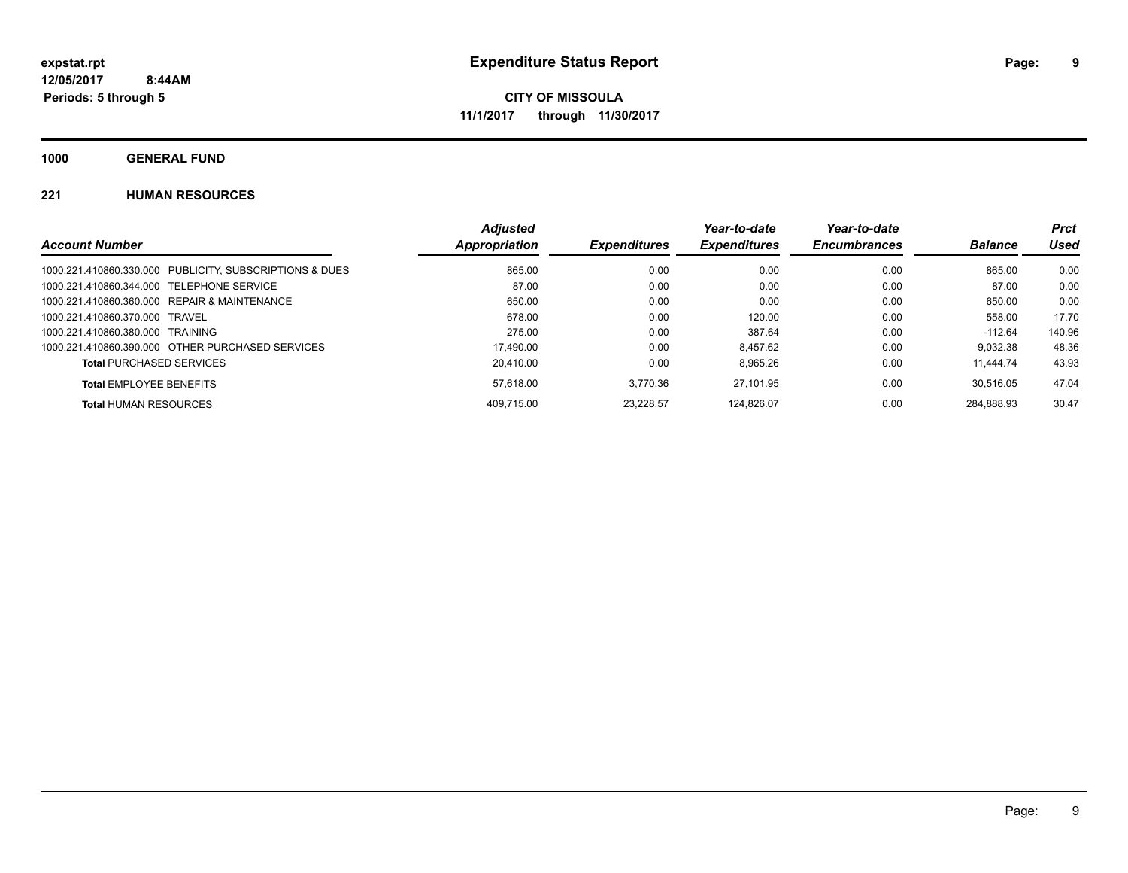**1000 GENERAL FUND**

### **221 HUMAN RESOURCES**

|                                                         | <b>Adjusted</b> |                     | Year-to-date        | Year-to-date        |                | <b>Prct</b> |
|---------------------------------------------------------|-----------------|---------------------|---------------------|---------------------|----------------|-------------|
| <b>Account Number</b>                                   | Appropriation   | <b>Expenditures</b> | <b>Expenditures</b> | <b>Encumbrances</b> | <b>Balance</b> | Used        |
| 1000.221.410860.330.000 PUBLICITY, SUBSCRIPTIONS & DUES | 865.00          | 0.00                | 0.00                | 0.00                | 865.00         | 0.00        |
| 1000.221.410860.344.000 TELEPHONE SERVICE               | 87.00           | 0.00                | 0.00                | 0.00                | 87.00          | 0.00        |
| 1000.221.410860.360.000 REPAIR & MAINTENANCE            | 650.00          | 0.00                | 0.00                | 0.00                | 650.00         | 0.00        |
| 1000.221.410860.370.000 TRAVEL                          | 678.00          | 0.00                | 120.00              | 0.00                | 558.00         | 17.70       |
| 1000.221.410860.380.000 TRAINING                        | 275.00          | 0.00                | 387.64              | 0.00                | -112.64        | 140.96      |
| 1000.221.410860.390.000 OTHER PURCHASED SERVICES        | 17.490.00       | 0.00                | 8.457.62            | 0.00                | 9.032.38       | 48.36       |
| <b>Total PURCHASED SERVICES</b>                         | 20.410.00       | 0.00                | 8.965.26            | 0.00                | 11.444.74      | 43.93       |
| <b>Total EMPLOYEE BENEFITS</b>                          | 57.618.00       | 3.770.36            | 27.101.95           | 0.00                | 30.516.05      | 47.04       |
| <b>Total HUMAN RESOURCES</b>                            | 409.715.00      | 23.228.57           | 124.826.07          | 0.00                | 284.888.93     | 30.47       |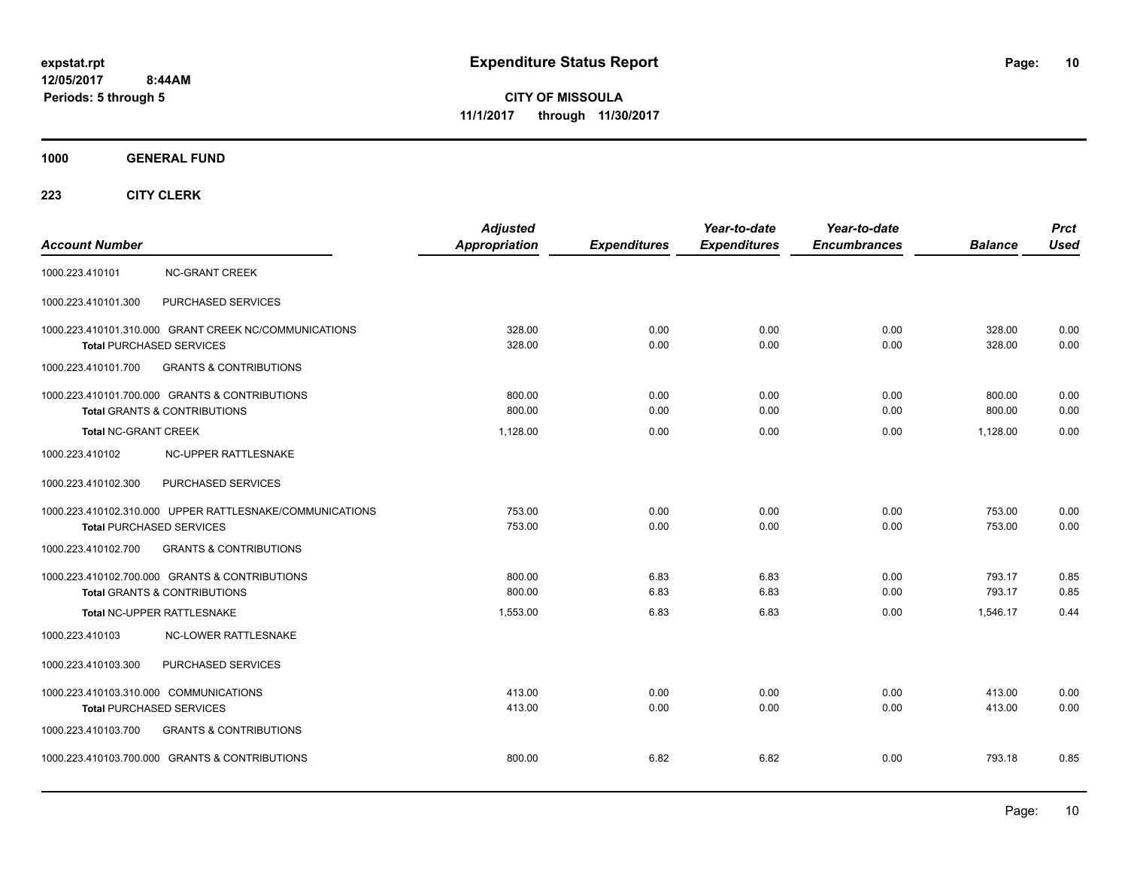**CITY OF MISSOULA 11/1/2017 through 11/30/2017**

**1000 GENERAL FUND**

| <b>Account Number</b>                                                                       | <b>Adjusted</b><br><b>Appropriation</b> | <b>Expenditures</b> | Year-to-date<br><b>Expenditures</b> | Year-to-date<br><b>Encumbrances</b> | <b>Balance</b>   | <b>Prct</b><br><b>Used</b> |
|---------------------------------------------------------------------------------------------|-----------------------------------------|---------------------|-------------------------------------|-------------------------------------|------------------|----------------------------|
| 1000.223.410101<br><b>NC-GRANT CREEK</b>                                                    |                                         |                     |                                     |                                     |                  |                            |
| 1000.223.410101.300<br>PURCHASED SERVICES                                                   |                                         |                     |                                     |                                     |                  |                            |
| 1000.223.410101.310.000 GRANT CREEK NC/COMMUNICATIONS<br><b>Total PURCHASED SERVICES</b>    | 328.00<br>328.00                        | 0.00<br>0.00        | 0.00<br>0.00                        | 0.00<br>0.00                        | 328.00<br>328.00 | 0.00<br>0.00               |
| 1000.223.410101.700<br><b>GRANTS &amp; CONTRIBUTIONS</b>                                    |                                         |                     |                                     |                                     |                  |                            |
| 1000.223.410101.700.000 GRANTS & CONTRIBUTIONS<br><b>Total GRANTS &amp; CONTRIBUTIONS</b>   | 800.00<br>800.00                        | 0.00<br>0.00        | 0.00<br>0.00                        | 0.00<br>0.00                        | 800.00<br>800.00 | 0.00<br>0.00               |
| <b>Total NC-GRANT CREEK</b>                                                                 | 1.128.00                                | 0.00                | 0.00                                | 0.00                                | 1.128.00         | 0.00                       |
| NC-UPPER RATTLESNAKE<br>1000.223.410102                                                     |                                         |                     |                                     |                                     |                  |                            |
| PURCHASED SERVICES<br>1000.223.410102.300                                                   |                                         |                     |                                     |                                     |                  |                            |
| 1000.223.410102.310.000 UPPER RATTLESNAKE/COMMUNICATIONS<br><b>Total PURCHASED SERVICES</b> | 753.00<br>753.00                        | 0.00<br>0.00        | 0.00<br>0.00                        | 0.00<br>0.00                        | 753.00<br>753.00 | 0.00<br>0.00               |
| <b>GRANTS &amp; CONTRIBUTIONS</b><br>1000.223.410102.700                                    |                                         |                     |                                     |                                     |                  |                            |
| 1000.223.410102.700.000 GRANTS & CONTRIBUTIONS<br><b>Total GRANTS &amp; CONTRIBUTIONS</b>   | 800.00<br>800.00                        | 6.83<br>6.83        | 6.83<br>6.83                        | 0.00<br>0.00                        | 793.17<br>793.17 | 0.85<br>0.85               |
| Total NC-UPPER RATTLESNAKE                                                                  | 1,553.00                                | 6.83                | 6.83                                | 0.00                                | 1,546.17         | 0.44                       |
| 1000.223.410103<br><b>NC-LOWER RATTLESNAKE</b>                                              |                                         |                     |                                     |                                     |                  |                            |
| PURCHASED SERVICES<br>1000.223.410103.300                                                   |                                         |                     |                                     |                                     |                  |                            |
| 1000.223.410103.310.000 COMMUNICATIONS<br>Total PURCHASED SERVICES                          | 413.00<br>413.00                        | 0.00<br>0.00        | 0.00<br>0.00                        | 0.00<br>0.00                        | 413.00<br>413.00 | 0.00<br>0.00               |
| <b>GRANTS &amp; CONTRIBUTIONS</b><br>1000.223.410103.700                                    |                                         |                     |                                     |                                     |                  |                            |
| 1000.223.410103.700.000 GRANTS & CONTRIBUTIONS                                              | 800.00                                  | 6.82                | 6.82                                | 0.00                                | 793.18           | 0.85                       |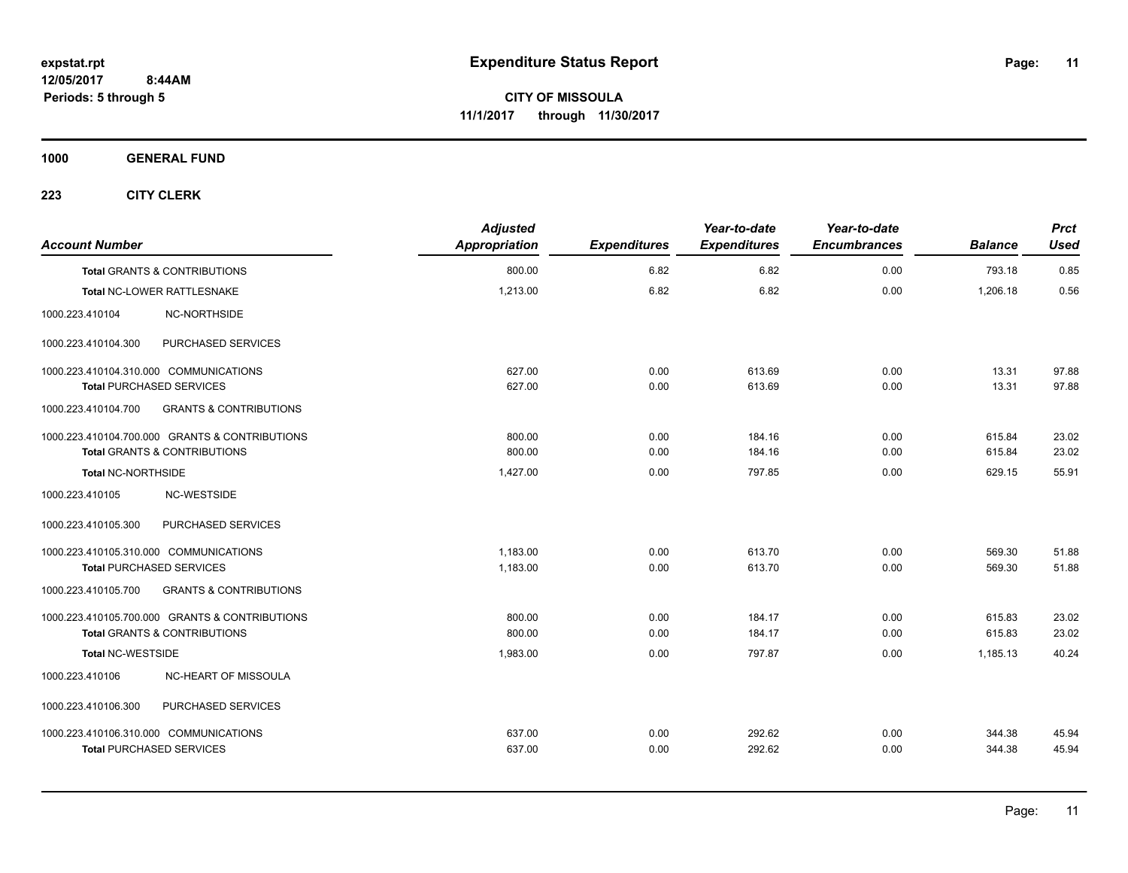**1000 GENERAL FUND**

| <b>Account Number</b>                                    | <b>Adjusted</b><br>Appropriation | <b>Expenditures</b> | Year-to-date<br><b>Expenditures</b> | Year-to-date<br><b>Encumbrances</b> | <b>Balance</b> | <b>Prct</b><br><b>Used</b> |
|----------------------------------------------------------|----------------------------------|---------------------|-------------------------------------|-------------------------------------|----------------|----------------------------|
| <b>Total GRANTS &amp; CONTRIBUTIONS</b>                  | 800.00                           | 6.82                | 6.82                                | 0.00                                | 793.18         | 0.85                       |
| Total NC-LOWER RATTLESNAKE                               | 1,213.00                         | 6.82                | 6.82                                | 0.00                                | 1,206.18       | 0.56                       |
| 1000.223.410104<br>NC-NORTHSIDE                          |                                  |                     |                                     |                                     |                |                            |
| PURCHASED SERVICES<br>1000.223.410104.300                |                                  |                     |                                     |                                     |                |                            |
| 1000.223.410104.310.000 COMMUNICATIONS                   | 627.00                           | 0.00                | 613.69                              | 0.00                                | 13.31          | 97.88                      |
| <b>Total PURCHASED SERVICES</b>                          | 627.00                           | 0.00                | 613.69                              | 0.00                                | 13.31          | 97.88                      |
| 1000.223.410104.700<br><b>GRANTS &amp; CONTRIBUTIONS</b> |                                  |                     |                                     |                                     |                |                            |
| 1000.223.410104.700.000 GRANTS & CONTRIBUTIONS           | 800.00                           | 0.00                | 184.16                              | 0.00                                | 615.84         | 23.02                      |
| <b>Total GRANTS &amp; CONTRIBUTIONS</b>                  | 800.00                           | 0.00                | 184.16                              | 0.00                                | 615.84         | 23.02                      |
| <b>Total NC-NORTHSIDE</b>                                | 1,427.00                         | 0.00                | 797.85                              | 0.00                                | 629.15         | 55.91                      |
| NC-WESTSIDE<br>1000.223.410105                           |                                  |                     |                                     |                                     |                |                            |
| 1000.223.410105.300<br>PURCHASED SERVICES                |                                  |                     |                                     |                                     |                |                            |
| 1000.223.410105.310.000 COMMUNICATIONS                   | 1,183.00                         | 0.00                | 613.70                              | 0.00                                | 569.30         | 51.88                      |
| <b>Total PURCHASED SERVICES</b>                          | 1,183.00                         | 0.00                | 613.70                              | 0.00                                | 569.30         | 51.88                      |
| 1000.223.410105.700<br><b>GRANTS &amp; CONTRIBUTIONS</b> |                                  |                     |                                     |                                     |                |                            |
| 1000.223.410105.700.000 GRANTS & CONTRIBUTIONS           | 800.00                           | 0.00                | 184.17                              | 0.00                                | 615.83         | 23.02                      |
| <b>Total GRANTS &amp; CONTRIBUTIONS</b>                  | 800.00                           | 0.00                | 184.17                              | 0.00                                | 615.83         | 23.02                      |
| <b>Total NC-WESTSIDE</b>                                 | 1,983.00                         | 0.00                | 797.87                              | 0.00                                | 1,185.13       | 40.24                      |
| 1000.223.410106<br>NC-HEART OF MISSOULA                  |                                  |                     |                                     |                                     |                |                            |
| 1000.223.410106.300<br>PURCHASED SERVICES                |                                  |                     |                                     |                                     |                |                            |
| 1000.223.410106.310.000 COMMUNICATIONS                   | 637.00                           | 0.00                | 292.62                              | 0.00                                | 344.38         | 45.94                      |
| <b>Total PURCHASED SERVICES</b>                          | 637.00                           | 0.00                | 292.62                              | 0.00                                | 344.38         | 45.94                      |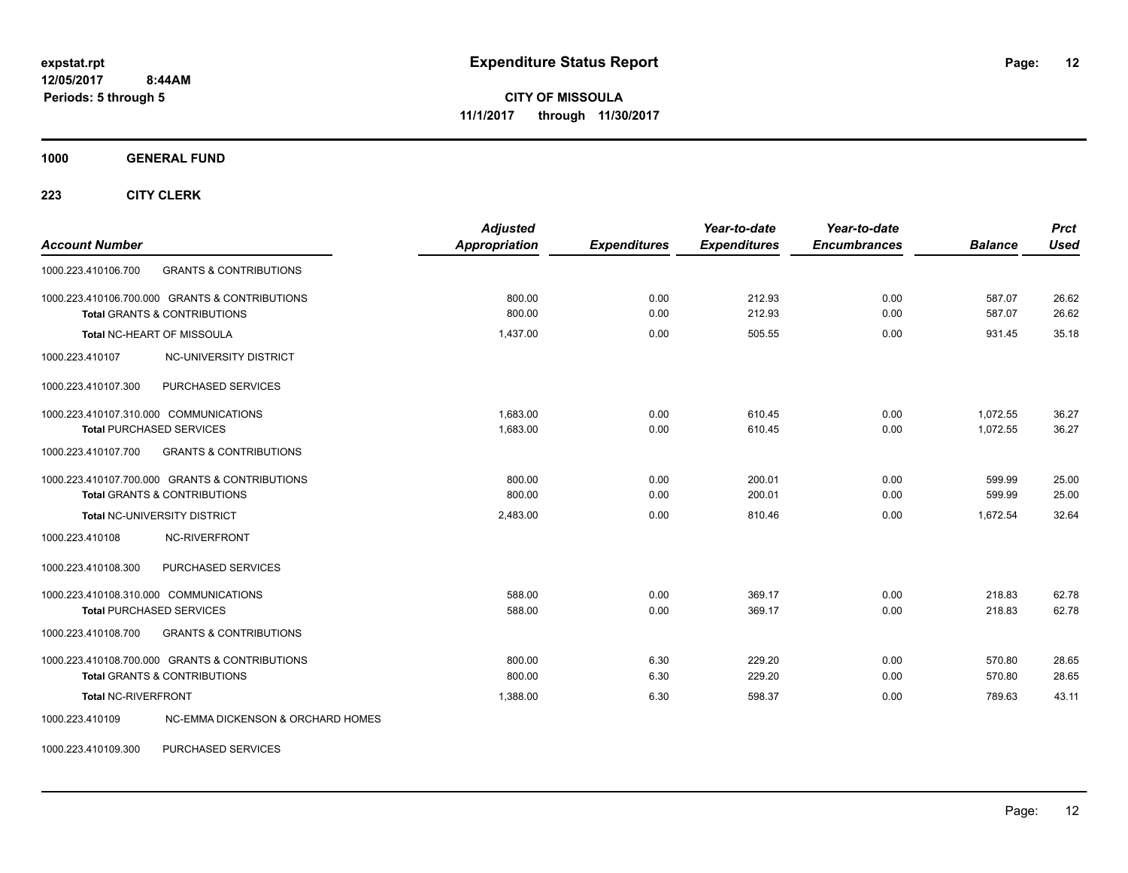**CITY OF MISSOULA 11/1/2017 through 11/30/2017**

**1000 GENERAL FUND**

**223 CITY CLERK**

| <b>Account Number</b>                                           | <b>Adjusted</b><br><b>Appropriation</b> | <b>Expenditures</b> | Year-to-date<br><b>Expenditures</b> | Year-to-date<br><b>Encumbrances</b> | <b>Balance</b> | <b>Prct</b><br><b>Used</b> |
|-----------------------------------------------------------------|-----------------------------------------|---------------------|-------------------------------------|-------------------------------------|----------------|----------------------------|
| <b>GRANTS &amp; CONTRIBUTIONS</b><br>1000.223.410106.700        |                                         |                     |                                     |                                     |                |                            |
| 1000.223.410106.700.000 GRANTS & CONTRIBUTIONS                  | 800.00                                  | 0.00                | 212.93                              | 0.00                                | 587.07         | 26.62                      |
| <b>Total GRANTS &amp; CONTRIBUTIONS</b>                         | 800.00                                  | 0.00                | 212.93                              | 0.00                                | 587.07         | 26.62                      |
| Total NC-HEART OF MISSOULA                                      | 1,437.00                                | 0.00                | 505.55                              | 0.00                                | 931.45         | 35.18                      |
| NC-UNIVERSITY DISTRICT<br>1000.223.410107                       |                                         |                     |                                     |                                     |                |                            |
| PURCHASED SERVICES<br>1000.223.410107.300                       |                                         |                     |                                     |                                     |                |                            |
| 1000.223.410107.310.000 COMMUNICATIONS                          | 1.683.00                                | 0.00                | 610.45                              | 0.00                                | 1.072.55       | 36.27                      |
| <b>Total PURCHASED SERVICES</b>                                 | 1,683.00                                | 0.00                | 610.45                              | 0.00                                | 1,072.55       | 36.27                      |
| 1000.223.410107.700<br><b>GRANTS &amp; CONTRIBUTIONS</b>        |                                         |                     |                                     |                                     |                |                            |
| 1000.223.410107.700.000 GRANTS & CONTRIBUTIONS                  | 800.00                                  | 0.00                | 200.01                              | 0.00                                | 599.99         | 25.00                      |
| <b>Total GRANTS &amp; CONTRIBUTIONS</b>                         | 800.00                                  | 0.00                | 200.01                              | 0.00                                | 599.99         | 25.00                      |
| Total NC-UNIVERSITY DISTRICT                                    | 2.483.00                                | 0.00                | 810.46                              | 0.00                                | 1.672.54       | 32.64                      |
| <b>NC-RIVERFRONT</b><br>1000.223.410108                         |                                         |                     |                                     |                                     |                |                            |
| 1000.223.410108.300<br>PURCHASED SERVICES                       |                                         |                     |                                     |                                     |                |                            |
| 1000.223.410108.310.000 COMMUNICATIONS                          | 588.00                                  | 0.00                | 369.17                              | 0.00                                | 218.83         | 62.78                      |
| <b>Total PURCHASED SERVICES</b>                                 | 588.00                                  | 0.00                | 369.17                              | 0.00                                | 218.83         | 62.78                      |
| <b>GRANTS &amp; CONTRIBUTIONS</b><br>1000.223.410108.700        |                                         |                     |                                     |                                     |                |                            |
| 1000.223.410108.700.000 GRANTS & CONTRIBUTIONS                  | 800.00                                  | 6.30                | 229.20                              | 0.00                                | 570.80         | 28.65                      |
| <b>Total GRANTS &amp; CONTRIBUTIONS</b>                         | 800.00                                  | 6.30                | 229.20                              | 0.00                                | 570.80         | 28.65                      |
| <b>Total NC-RIVERFRONT</b>                                      | 1,388.00                                | 6.30                | 598.37                              | 0.00                                | 789.63         | 43.11                      |
| <b>NC-EMMA DICKENSON &amp; ORCHARD HOMES</b><br>1000.223.410109 |                                         |                     |                                     |                                     |                |                            |

1000.223.410109.300 PURCHASED SERVICES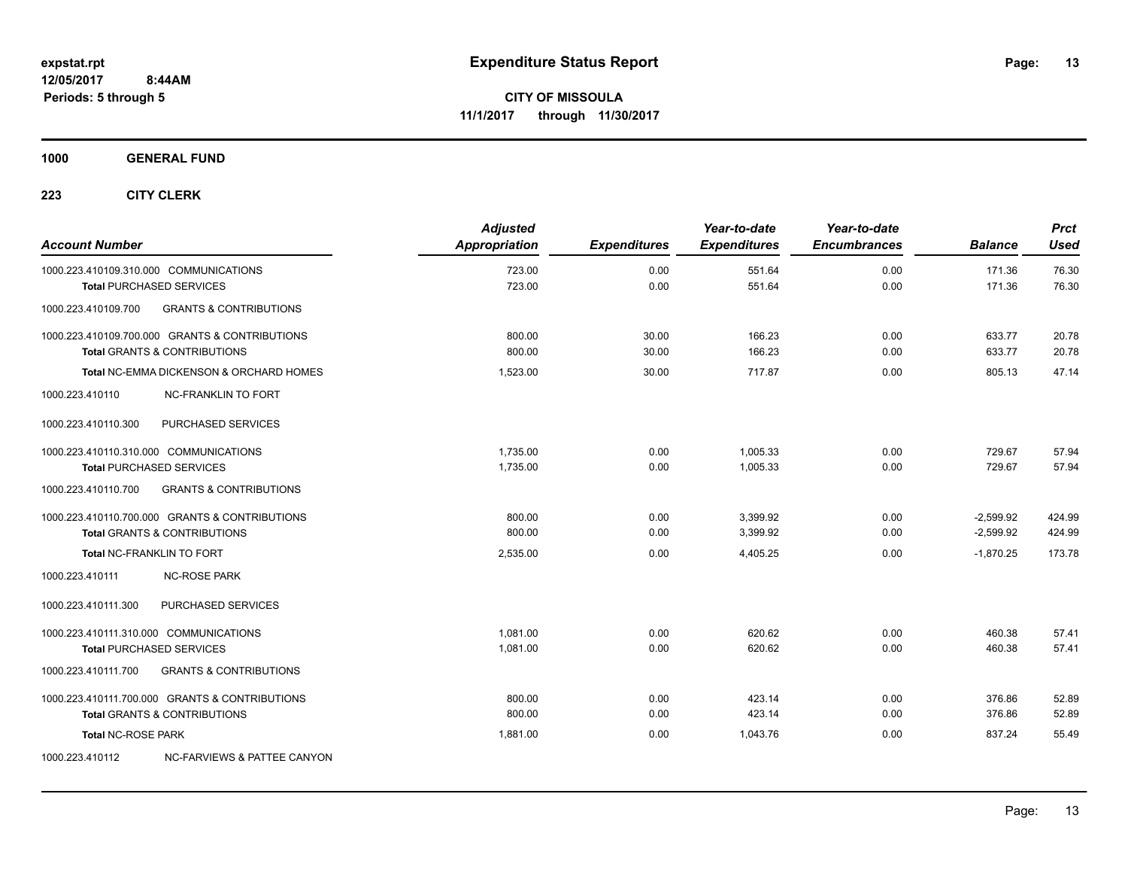**1000 GENERAL FUND**

| <b>Account Number</b>                  |                                                    | <b>Adjusted</b><br>Appropriation | <b>Expenditures</b> | Year-to-date<br><b>Expenditures</b> | Year-to-date<br><b>Encumbrances</b> | <b>Balance</b>   | <b>Prct</b><br><b>Used</b> |
|----------------------------------------|----------------------------------------------------|----------------------------------|---------------------|-------------------------------------|-------------------------------------|------------------|----------------------------|
|                                        | 1000.223.410109.310.000 COMMUNICATIONS             | 723.00<br>723.00                 | 0.00<br>0.00        | 551.64<br>551.64                    | 0.00<br>0.00                        | 171.36<br>171.36 | 76.30<br>76.30             |
|                                        | <b>Total PURCHASED SERVICES</b>                    |                                  |                     |                                     |                                     |                  |                            |
| 1000.223.410109.700                    | <b>GRANTS &amp; CONTRIBUTIONS</b>                  |                                  |                     |                                     |                                     |                  |                            |
|                                        | 1000.223.410109.700.000 GRANTS & CONTRIBUTIONS     | 800.00                           | 30.00               | 166.23                              | 0.00                                | 633.77           | 20.78                      |
|                                        | <b>Total GRANTS &amp; CONTRIBUTIONS</b>            | 800.00                           | 30.00               | 166.23                              | 0.00                                | 633.77           | 20.78                      |
|                                        | <b>Total NC-EMMA DICKENSON &amp; ORCHARD HOMES</b> | 1,523.00                         | 30.00               | 717.87                              | 0.00                                | 805.13           | 47.14                      |
| 1000.223.410110                        | <b>NC-FRANKLIN TO FORT</b>                         |                                  |                     |                                     |                                     |                  |                            |
| 1000.223.410110.300                    | PURCHASED SERVICES                                 |                                  |                     |                                     |                                     |                  |                            |
| 1000.223.410110.310.000 COMMUNICATIONS |                                                    | 1.735.00                         | 0.00                | 1.005.33                            | 0.00                                | 729.67           | 57.94                      |
|                                        | <b>Total PURCHASED SERVICES</b>                    | 1,735.00                         | 0.00                | 1,005.33                            | 0.00                                | 729.67           | 57.94                      |
| 1000.223.410110.700                    | <b>GRANTS &amp; CONTRIBUTIONS</b>                  |                                  |                     |                                     |                                     |                  |                            |
|                                        | 1000.223.410110.700.000 GRANTS & CONTRIBUTIONS     | 800.00                           | 0.00                | 3,399.92                            | 0.00                                | $-2,599.92$      | 424.99                     |
|                                        | <b>Total GRANTS &amp; CONTRIBUTIONS</b>            | 800.00                           | 0.00                | 3.399.92                            | 0.00                                | $-2,599.92$      | 424.99                     |
|                                        | <b>Total NC-FRANKLIN TO FORT</b>                   | 2,535.00                         | 0.00                | 4,405.25                            | 0.00                                | $-1,870.25$      | 173.78                     |
| 1000.223.410111                        | <b>NC-ROSE PARK</b>                                |                                  |                     |                                     |                                     |                  |                            |
| 1000.223.410111.300                    | PURCHASED SERVICES                                 |                                  |                     |                                     |                                     |                  |                            |
| 1000.223.410111.310.000 COMMUNICATIONS |                                                    | 1.081.00                         | 0.00                | 620.62                              | 0.00                                | 460.38           | 57.41                      |
|                                        | <b>Total PURCHASED SERVICES</b>                    | 1,081.00                         | 0.00                | 620.62                              | 0.00                                | 460.38           | 57.41                      |
| 1000.223.410111.700                    | <b>GRANTS &amp; CONTRIBUTIONS</b>                  |                                  |                     |                                     |                                     |                  |                            |
|                                        | 1000.223.410111.700.000 GRANTS & CONTRIBUTIONS     | 800.00                           | 0.00                | 423.14                              | 0.00                                | 376.86           | 52.89                      |
|                                        | <b>Total GRANTS &amp; CONTRIBUTIONS</b>            | 800.00                           | 0.00                | 423.14                              | 0.00                                | 376.86           | 52.89                      |
| <b>Total NC-ROSE PARK</b>              |                                                    | 1.881.00                         | 0.00                | 1.043.76                            | 0.00                                | 837.24           | 55.49                      |
| 1000.223.410112                        | NC-FARVIEWS & PATTEE CANYON                        |                                  |                     |                                     |                                     |                  |                            |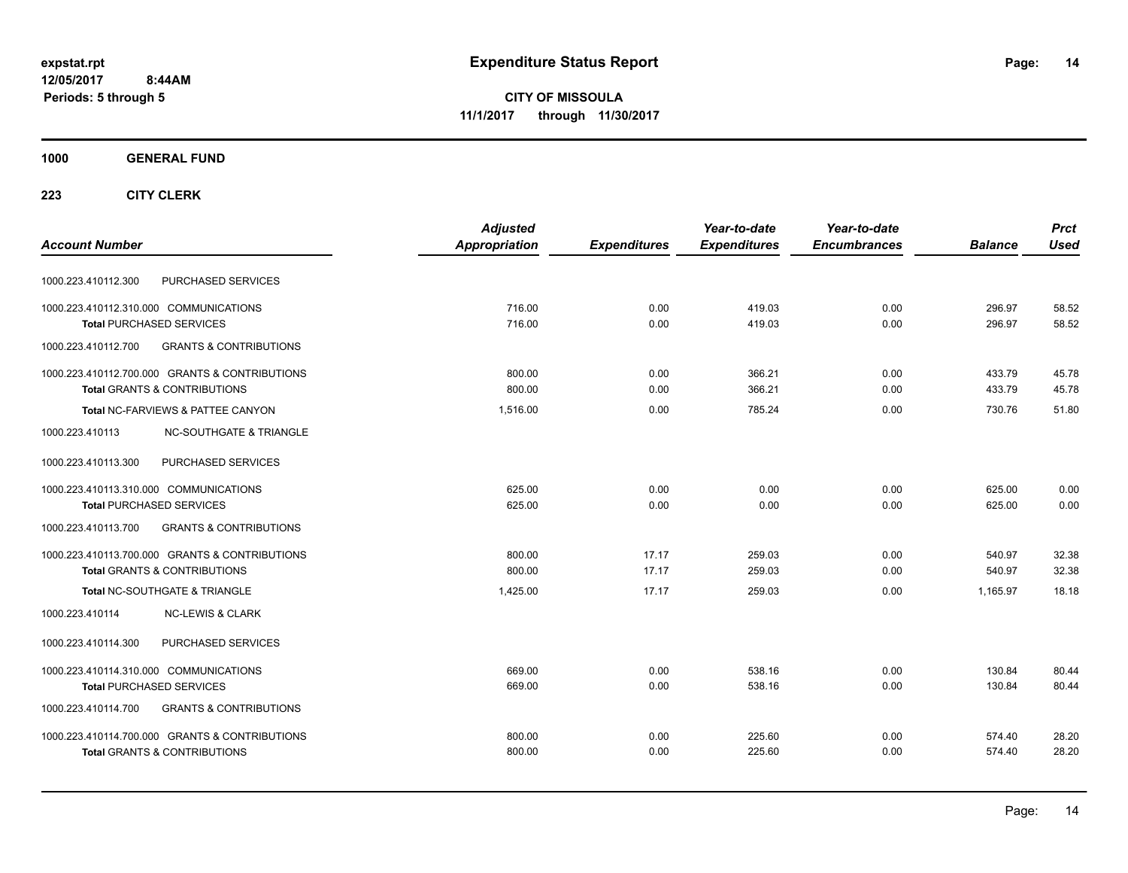**CITY OF MISSOULA 11/1/2017 through 11/30/2017**

### **1000 GENERAL FUND**

|                                                          | <b>Adjusted</b> |                     | Year-to-date        | Year-to-date        |                | <b>Prct</b> |
|----------------------------------------------------------|-----------------|---------------------|---------------------|---------------------|----------------|-------------|
| <b>Account Number</b>                                    | Appropriation   | <b>Expenditures</b> | <b>Expenditures</b> | <b>Encumbrances</b> | <b>Balance</b> | <b>Used</b> |
| PURCHASED SERVICES<br>1000.223.410112.300                |                 |                     |                     |                     |                |             |
| 1000.223.410112.310.000 COMMUNICATIONS                   | 716.00          | 0.00                | 419.03              | 0.00                | 296.97         | 58.52       |
| <b>Total PURCHASED SERVICES</b>                          | 716.00          | 0.00                | 419.03              | 0.00                | 296.97         | 58.52       |
| 1000.223.410112.700<br><b>GRANTS &amp; CONTRIBUTIONS</b> |                 |                     |                     |                     |                |             |
| 1000.223.410112.700.000 GRANTS & CONTRIBUTIONS           | 800.00          | 0.00                | 366.21              | 0.00                | 433.79         | 45.78       |
| <b>Total GRANTS &amp; CONTRIBUTIONS</b>                  | 800.00          | 0.00                | 366.21              | 0.00                | 433.79         | 45.78       |
| Total NC-FARVIEWS & PATTEE CANYON                        | 1.516.00        | 0.00                | 785.24              | 0.00                | 730.76         | 51.80       |
| 1000.223.410113<br><b>NC-SOUTHGATE &amp; TRIANGLE</b>    |                 |                     |                     |                     |                |             |
| 1000.223.410113.300<br>PURCHASED SERVICES                |                 |                     |                     |                     |                |             |
| 1000.223.410113.310.000 COMMUNICATIONS                   | 625.00          | 0.00                | 0.00                | 0.00                | 625.00         | 0.00        |
| <b>Total PURCHASED SERVICES</b>                          | 625.00          | 0.00                | 0.00                | 0.00                | 625.00         | 0.00        |
| 1000.223.410113.700<br><b>GRANTS &amp; CONTRIBUTIONS</b> |                 |                     |                     |                     |                |             |
| 1000.223.410113.700.000 GRANTS & CONTRIBUTIONS           | 800.00          | 17.17               | 259.03              | 0.00                | 540.97         | 32.38       |
| <b>Total GRANTS &amp; CONTRIBUTIONS</b>                  | 800.00          | 17.17               | 259.03              | 0.00                | 540.97         | 32.38       |
| Total NC-SOUTHGATE & TRIANGLE                            | 1.425.00        | 17.17               | 259.03              | 0.00                | 1.165.97       | 18.18       |
| 1000.223.410114<br><b>NC-LEWIS &amp; CLARK</b>           |                 |                     |                     |                     |                |             |
| PURCHASED SERVICES<br>1000.223.410114.300                |                 |                     |                     |                     |                |             |
| 1000.223.410114.310.000 COMMUNICATIONS                   | 669.00          | 0.00                | 538.16              | 0.00                | 130.84         | 80.44       |
| <b>Total PURCHASED SERVICES</b>                          | 669.00          | 0.00                | 538.16              | 0.00                | 130.84         | 80.44       |
| <b>GRANTS &amp; CONTRIBUTIONS</b><br>1000.223.410114.700 |                 |                     |                     |                     |                |             |
| 1000.223.410114.700.000 GRANTS & CONTRIBUTIONS           | 800.00          | 0.00                | 225.60              | 0.00                | 574.40         | 28.20       |
| <b>Total GRANTS &amp; CONTRIBUTIONS</b>                  | 800.00          | 0.00                | 225.60              | 0.00                | 574.40         | 28.20       |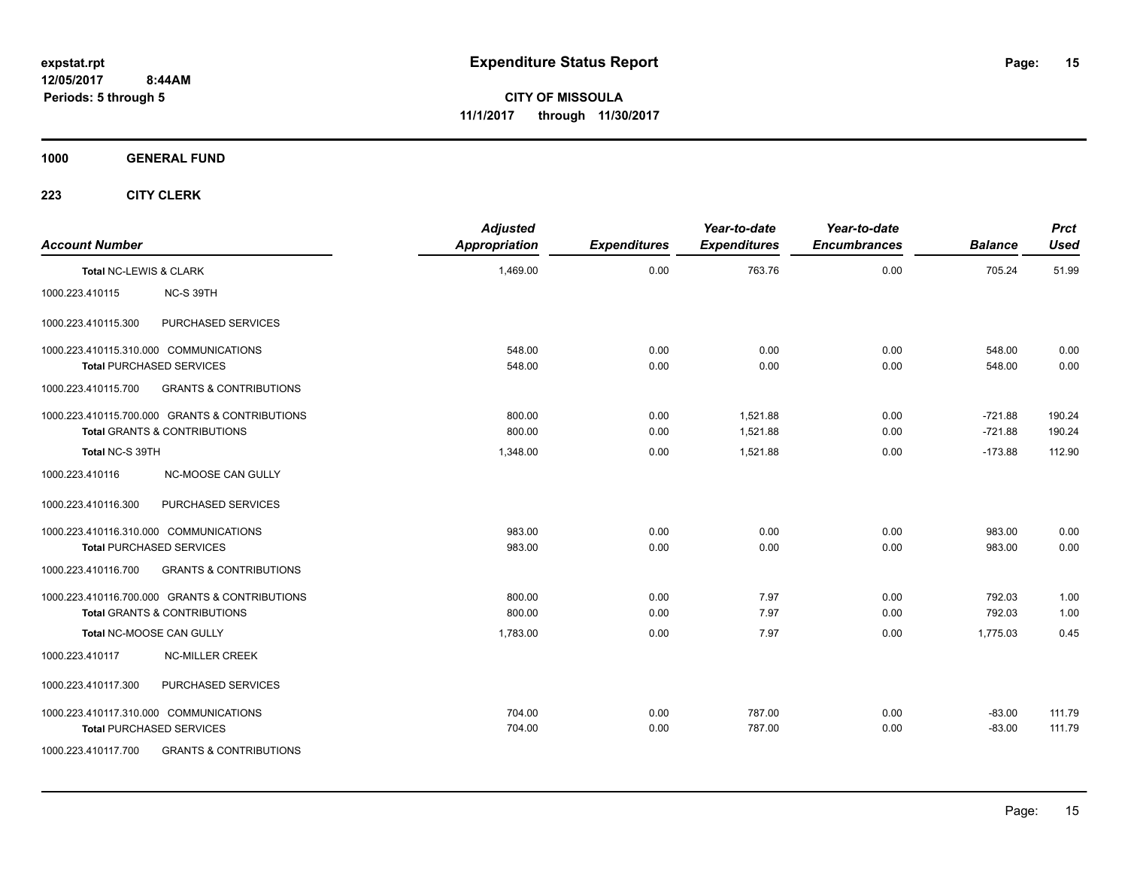**CITY OF MISSOULA 11/1/2017 through 11/30/2017**

**1000 GENERAL FUND**

| <b>Account Number</b>  |                                                                                                                | <b>Adjusted</b><br><b>Appropriation</b> | <b>Expenditures</b> | Year-to-date<br><b>Expenditures</b> | Year-to-date<br><b>Encumbrances</b> | <b>Balance</b>         | <b>Prct</b><br><b>Used</b> |
|------------------------|----------------------------------------------------------------------------------------------------------------|-----------------------------------------|---------------------|-------------------------------------|-------------------------------------|------------------------|----------------------------|
| Total NC-LEWIS & CLARK |                                                                                                                | 1,469.00                                | 0.00                | 763.76                              | 0.00                                | 705.24                 | 51.99                      |
| 1000.223.410115        | NC-S 39TH                                                                                                      |                                         |                     |                                     |                                     |                        |                            |
| 1000.223.410115.300    | PURCHASED SERVICES                                                                                             |                                         |                     |                                     |                                     |                        |                            |
|                        | 1000.223.410115.310.000 COMMUNICATIONS<br><b>Total PURCHASED SERVICES</b>                                      | 548.00<br>548.00                        | 0.00<br>0.00        | 0.00<br>0.00                        | 0.00<br>0.00                        | 548.00<br>548.00       | 0.00<br>0.00               |
| 1000.223.410115.700    | <b>GRANTS &amp; CONTRIBUTIONS</b>                                                                              |                                         |                     |                                     |                                     |                        |                            |
|                        | 1000.223.410115.700.000 GRANTS & CONTRIBUTIONS<br><b>Total GRANTS &amp; CONTRIBUTIONS</b>                      | 800.00<br>800.00                        | 0.00<br>0.00        | 1.521.88<br>1,521.88                | 0.00<br>0.00                        | $-721.88$<br>$-721.88$ | 190.24<br>190.24           |
| Total NC-S 39TH        |                                                                                                                | 1,348.00                                | 0.00                | 1,521.88                            | 0.00                                | $-173.88$              | 112.90                     |
| 1000.223.410116        | <b>NC-MOOSE CAN GULLY</b>                                                                                      |                                         |                     |                                     |                                     |                        |                            |
| 1000.223.410116.300    | PURCHASED SERVICES                                                                                             |                                         |                     |                                     |                                     |                        |                            |
|                        | 1000.223.410116.310.000 COMMUNICATIONS<br><b>Total PURCHASED SERVICES</b>                                      | 983.00<br>983.00                        | 0.00<br>0.00        | 0.00<br>0.00                        | 0.00<br>0.00                        | 983.00<br>983.00       | 0.00<br>0.00               |
| 1000.223.410116.700    | <b>GRANTS &amp; CONTRIBUTIONS</b>                                                                              |                                         |                     |                                     |                                     |                        |                            |
|                        | 1000.223.410116.700.000 GRANTS & CONTRIBUTIONS<br><b>Total GRANTS &amp; CONTRIBUTIONS</b>                      | 800.00<br>800.00                        | 0.00<br>0.00        | 7.97<br>7.97                        | 0.00<br>0.00                        | 792.03<br>792.03       | 1.00<br>1.00               |
|                        | Total NC-MOOSE CAN GULLY                                                                                       | 1,783.00                                | 0.00                | 7.97                                | 0.00                                | 1,775.03               | 0.45                       |
| 1000.223.410117        | <b>NC-MILLER CREEK</b>                                                                                         |                                         |                     |                                     |                                     |                        |                            |
| 1000.223.410117.300    | PURCHASED SERVICES                                                                                             |                                         |                     |                                     |                                     |                        |                            |
| 1000.223.410117.700    | 1000.223.410117.310.000 COMMUNICATIONS<br><b>Total PURCHASED SERVICES</b><br><b>GRANTS &amp; CONTRIBUTIONS</b> | 704.00<br>704.00                        | 0.00<br>0.00        | 787.00<br>787.00                    | 0.00<br>0.00                        | $-83.00$<br>$-83.00$   | 111.79<br>111.79           |
|                        |                                                                                                                |                                         |                     |                                     |                                     |                        |                            |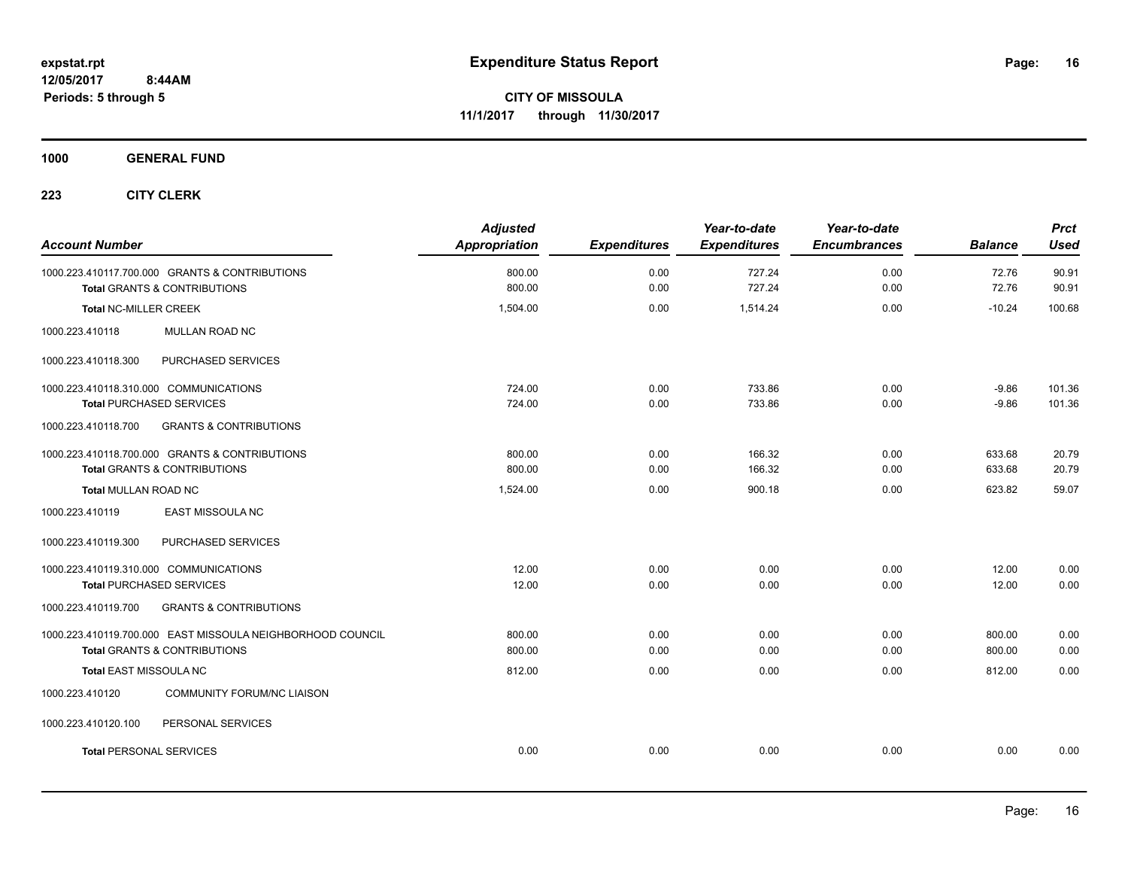**1000 GENERAL FUND**

| <b>Account Number</b>                                                                                 | <b>Adjusted</b><br>Appropriation | <b>Expenditures</b> | Year-to-date<br><b>Expenditures</b> | Year-to-date<br><b>Encumbrances</b> | <b>Balance</b>     | <b>Prct</b><br><b>Used</b> |
|-------------------------------------------------------------------------------------------------------|----------------------------------|---------------------|-------------------------------------|-------------------------------------|--------------------|----------------------------|
| 1000.223.410117.700.000 GRANTS & CONTRIBUTIONS<br><b>Total GRANTS &amp; CONTRIBUTIONS</b>             | 800.00<br>800.00                 | 0.00<br>0.00        | 727.24<br>727.24                    | 0.00<br>0.00                        | 72.76<br>72.76     | 90.91<br>90.91             |
| <b>Total NC-MILLER CREEK</b>                                                                          | 1,504.00                         | 0.00                | 1,514.24                            | 0.00                                | $-10.24$           | 100.68                     |
| 1000.223.410118<br>MULLAN ROAD NC                                                                     |                                  |                     |                                     |                                     |                    |                            |
| PURCHASED SERVICES<br>1000.223.410118.300                                                             |                                  |                     |                                     |                                     |                    |                            |
| 1000.223.410118.310.000 COMMUNICATIONS<br><b>Total PURCHASED SERVICES</b>                             | 724.00<br>724.00                 | 0.00<br>0.00        | 733.86<br>733.86                    | 0.00<br>0.00                        | $-9.86$<br>$-9.86$ | 101.36<br>101.36           |
| 1000.223.410118.700<br><b>GRANTS &amp; CONTRIBUTIONS</b>                                              |                                  |                     |                                     |                                     |                    |                            |
| 1000.223.410118.700.000 GRANTS & CONTRIBUTIONS<br><b>Total GRANTS &amp; CONTRIBUTIONS</b>             | 800.00<br>800.00                 | 0.00<br>0.00        | 166.32<br>166.32                    | 0.00<br>0.00                        | 633.68<br>633.68   | 20.79<br>20.79             |
| Total MULLAN ROAD NC                                                                                  | 1,524.00                         | 0.00                | 900.18                              | 0.00                                | 623.82             | 59.07                      |
| EAST MISSOULA NC<br>1000.223.410119                                                                   |                                  |                     |                                     |                                     |                    |                            |
| PURCHASED SERVICES<br>1000.223.410119.300                                                             |                                  |                     |                                     |                                     |                    |                            |
| 1000.223.410119.310.000 COMMUNICATIONS<br><b>Total PURCHASED SERVICES</b>                             | 12.00<br>12.00                   | 0.00<br>0.00        | 0.00<br>0.00                        | 0.00<br>0.00                        | 12.00<br>12.00     | 0.00<br>0.00               |
| <b>GRANTS &amp; CONTRIBUTIONS</b><br>1000.223.410119.700                                              |                                  |                     |                                     |                                     |                    |                            |
| 1000.223.410119.700.000 EAST MISSOULA NEIGHBORHOOD COUNCIL<br><b>Total GRANTS &amp; CONTRIBUTIONS</b> | 800.00<br>800.00                 | 0.00<br>0.00        | 0.00<br>0.00                        | 0.00<br>0.00                        | 800.00<br>800.00   | 0.00<br>0.00               |
| Total EAST MISSOULA NC                                                                                | 812.00                           | 0.00                | 0.00                                | 0.00                                | 812.00             | 0.00                       |
| <b>COMMUNITY FORUM/NC LIAISON</b><br>1000.223.410120                                                  |                                  |                     |                                     |                                     |                    |                            |
| PERSONAL SERVICES<br>1000.223.410120.100                                                              |                                  |                     |                                     |                                     |                    |                            |
| <b>Total PERSONAL SERVICES</b>                                                                        | 0.00                             | 0.00                | 0.00                                | 0.00                                | 0.00               | 0.00                       |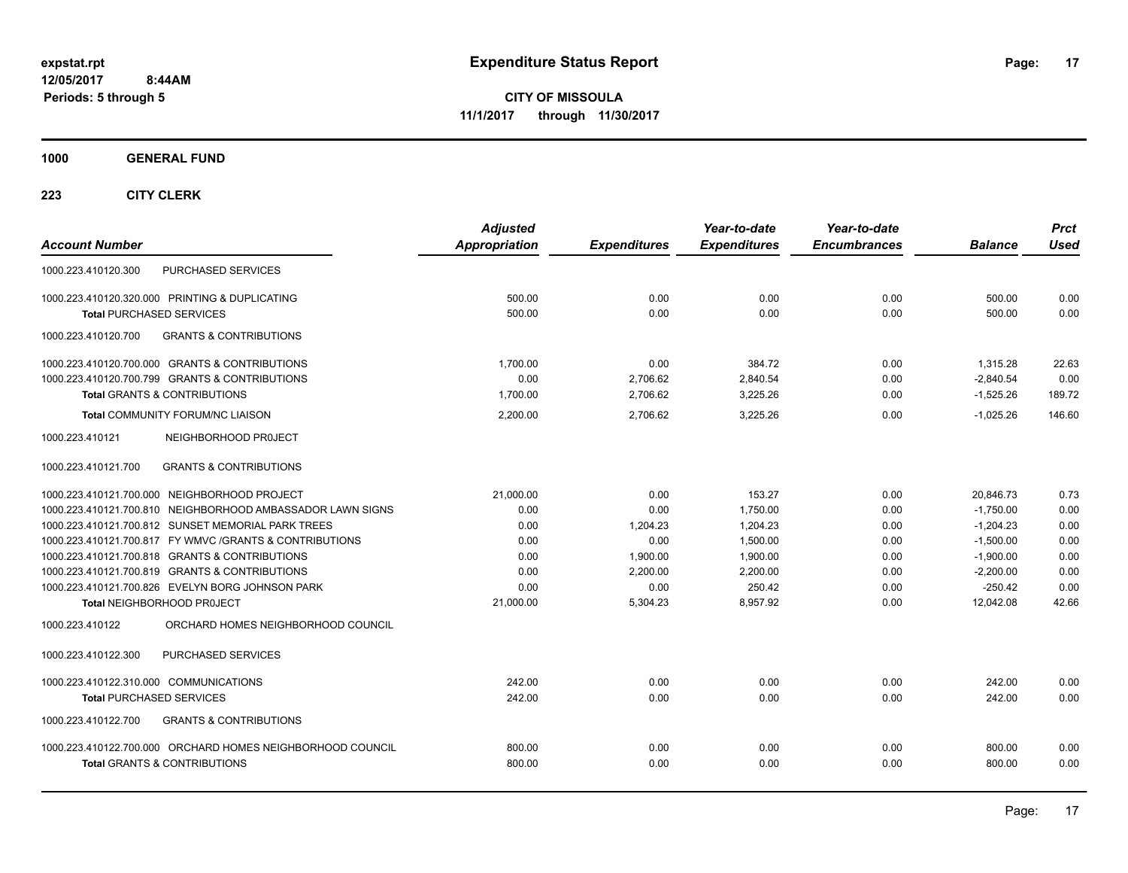**CITY OF MISSOULA 11/1/2017 through 11/30/2017**

**1000 GENERAL FUND**

| <b>Account Number</b>                                      | <b>Adjusted</b><br><b>Appropriation</b> | <b>Expenditures</b> | Year-to-date<br><b>Expenditures</b> | Year-to-date<br><b>Encumbrances</b> | <b>Balance</b> | <b>Prct</b><br><b>Used</b> |
|------------------------------------------------------------|-----------------------------------------|---------------------|-------------------------------------|-------------------------------------|----------------|----------------------------|
| PURCHASED SERVICES<br>1000.223.410120.300                  |                                         |                     |                                     |                                     |                |                            |
| 1000.223.410120.320.000 PRINTING & DUPLICATING             | 500.00                                  | 0.00                | 0.00                                | 0.00                                | 500.00         | 0.00                       |
| <b>Total PURCHASED SERVICES</b>                            | 500.00                                  | 0.00                | 0.00                                | 0.00                                | 500.00         | 0.00                       |
| <b>GRANTS &amp; CONTRIBUTIONS</b><br>1000.223.410120.700   |                                         |                     |                                     |                                     |                |                            |
| 1000.223.410120.700.000 GRANTS & CONTRIBUTIONS             | 1.700.00                                | 0.00                | 384.72                              | 0.00                                | 1,315.28       | 22.63                      |
| 1000.223.410120.700.799 GRANTS & CONTRIBUTIONS             | 0.00                                    | 2,706.62            | 2,840.54                            | 0.00                                | $-2,840.54$    | 0.00                       |
| <b>Total GRANTS &amp; CONTRIBUTIONS</b>                    | 1.700.00                                | 2,706.62            | 3,225.26                            | 0.00                                | $-1,525.26$    | 189.72                     |
| <b>Total COMMUNITY FORUM/NC LIAISON</b>                    | 2,200.00                                | 2,706.62            | 3,225.26                            | 0.00                                | $-1.025.26$    | 146.60                     |
| 1000.223.410121<br>NEIGHBORHOOD PROJECT                    |                                         |                     |                                     |                                     |                |                            |
| <b>GRANTS &amp; CONTRIBUTIONS</b><br>1000.223.410121.700   |                                         |                     |                                     |                                     |                |                            |
| 1000.223.410121.700.000 NEIGHBORHOOD PROJECT               | 21.000.00                               | 0.00                | 153.27                              | 0.00                                | 20,846.73      | 0.73                       |
| 1000.223.410121.700.810 NEIGHBORHOOD AMBASSADOR LAWN SIGNS | 0.00                                    | 0.00                | 1.750.00                            | 0.00                                | $-1,750.00$    | 0.00                       |
| 1000.223.410121.700.812 SUNSET MEMORIAL PARK TREES         | 0.00                                    | 1.204.23            | 1.204.23                            | 0.00                                | $-1.204.23$    | 0.00                       |
| 1000.223.410121.700.817 FY WMVC / GRANTS & CONTRIBUTIONS   | 0.00                                    | 0.00                | 1,500.00                            | 0.00                                | $-1,500.00$    | 0.00                       |
| 1000.223.410121.700.818 GRANTS & CONTRIBUTIONS             | 0.00                                    | 1,900.00            | 1.900.00                            | 0.00                                | $-1,900.00$    | 0.00                       |
| 1000.223.410121.700.819 GRANTS & CONTRIBUTIONS             | 0.00                                    | 2.200.00            | 2.200.00                            | 0.00                                | $-2,200.00$    | 0.00                       |
| 1000.223.410121.700.826 EVELYN BORG JOHNSON PARK           | 0.00                                    | 0.00                | 250.42                              | 0.00                                | $-250.42$      | 0.00                       |
| Total NEIGHBORHOOD PROJECT                                 | 21,000.00                               | 5,304.23            | 8,957.92                            | 0.00                                | 12,042.08      | 42.66                      |
| ORCHARD HOMES NEIGHBORHOOD COUNCIL<br>1000.223.410122      |                                         |                     |                                     |                                     |                |                            |
| PURCHASED SERVICES<br>1000.223.410122.300                  |                                         |                     |                                     |                                     |                |                            |
| 1000.223.410122.310.000 COMMUNICATIONS                     | 242.00                                  | 0.00                | 0.00                                | 0.00                                | 242.00         | 0.00                       |
| <b>Total PURCHASED SERVICES</b>                            | 242.00                                  | 0.00                | 0.00                                | 0.00                                | 242.00         | 0.00                       |
| 1000.223.410122.700<br><b>GRANTS &amp; CONTRIBUTIONS</b>   |                                         |                     |                                     |                                     |                |                            |
| 1000.223.410122.700.000 ORCHARD HOMES NEIGHBORHOOD COUNCIL | 800.00                                  | 0.00                | 0.00                                | 0.00                                | 800.00         | 0.00                       |
| <b>Total GRANTS &amp; CONTRIBUTIONS</b>                    | 800.00                                  | 0.00                | 0.00                                | 0.00                                | 800.00         | 0.00                       |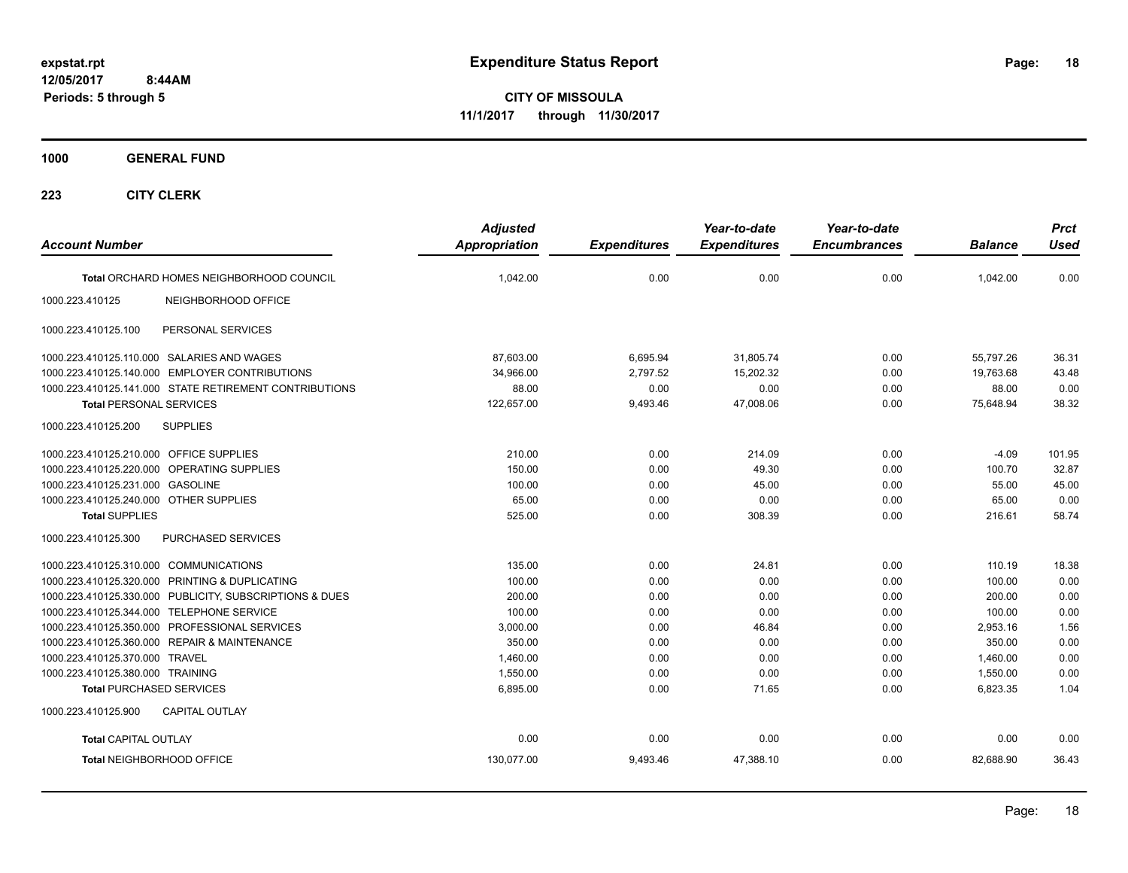**CITY OF MISSOULA 11/1/2017 through 11/30/2017**

**1000 GENERAL FUND**

| <b>Account Number</b>                                   | <b>Adjusted</b><br><b>Appropriation</b> | <b>Expenditures</b> | Year-to-date<br><b>Expenditures</b> | Year-to-date<br><b>Encumbrances</b> | <b>Balance</b> | <b>Prct</b><br><b>Used</b> |
|---------------------------------------------------------|-----------------------------------------|---------------------|-------------------------------------|-------------------------------------|----------------|----------------------------|
| Total ORCHARD HOMES NEIGHBORHOOD COUNCIL                | 1,042.00                                | 0.00                | 0.00                                | 0.00                                | 1,042.00       | 0.00                       |
| 1000.223.410125<br>NEIGHBORHOOD OFFICE                  |                                         |                     |                                     |                                     |                |                            |
| PERSONAL SERVICES<br>1000.223.410125.100                |                                         |                     |                                     |                                     |                |                            |
| 1000.223.410125.110.000 SALARIES AND WAGES              | 87,603.00                               | 6,695.94            | 31,805.74                           | 0.00                                | 55,797.26      | 36.31                      |
| 1000.223.410125.140.000 EMPLOYER CONTRIBUTIONS          | 34,966.00                               | 2,797.52            | 15,202.32                           | 0.00                                | 19,763.68      | 43.48                      |
| 1000.223.410125.141.000 STATE RETIREMENT CONTRIBUTIONS  | 88.00                                   | 0.00                | 0.00                                | 0.00                                | 88.00          | 0.00                       |
| <b>Total PERSONAL SERVICES</b>                          | 122,657.00                              | 9,493.46            | 47.008.06                           | 0.00                                | 75,648.94      | 38.32                      |
| <b>SUPPLIES</b><br>1000.223.410125.200                  |                                         |                     |                                     |                                     |                |                            |
| 1000.223.410125.210.000 OFFICE SUPPLIES                 | 210.00                                  | 0.00                | 214.09                              | 0.00                                | $-4.09$        | 101.95                     |
| 1000.223.410125.220.000 OPERATING SUPPLIES              | 150.00                                  | 0.00                | 49.30                               | 0.00                                | 100.70         | 32.87                      |
| 1000.223.410125.231.000 GASOLINE                        | 100.00                                  | 0.00                | 45.00                               | 0.00                                | 55.00          | 45.00                      |
| 1000.223.410125.240.000 OTHER SUPPLIES                  | 65.00                                   | 0.00                | 0.00                                | 0.00                                | 65.00          | 0.00                       |
| <b>Total SUPPLIES</b>                                   | 525.00                                  | 0.00                | 308.39                              | 0.00                                | 216.61         | 58.74                      |
| PURCHASED SERVICES<br>1000.223.410125.300               |                                         |                     |                                     |                                     |                |                            |
| 1000.223.410125.310.000 COMMUNICATIONS                  | 135.00                                  | 0.00                | 24.81                               | 0.00                                | 110.19         | 18.38                      |
| 1000.223.410125.320.000 PRINTING & DUPLICATING          | 100.00                                  | 0.00                | 0.00                                | 0.00                                | 100.00         | 0.00                       |
| 1000.223.410125.330.000 PUBLICITY, SUBSCRIPTIONS & DUES | 200.00                                  | 0.00                | 0.00                                | 0.00                                | 200.00         | 0.00                       |
| 1000.223.410125.344.000 TELEPHONE SERVICE               | 100.00                                  | 0.00                | 0.00                                | 0.00                                | 100.00         | 0.00                       |
| 1000.223.410125.350.000 PROFESSIONAL SERVICES           | 3,000.00                                | 0.00                | 46.84                               | 0.00                                | 2,953.16       | 1.56                       |
| 1000.223.410125.360.000 REPAIR & MAINTENANCE            | 350.00                                  | 0.00                | 0.00                                | 0.00                                | 350.00         | 0.00                       |
| 1000.223.410125.370.000 TRAVEL                          | 1,460.00                                | 0.00                | 0.00                                | 0.00                                | 1,460.00       | 0.00                       |
| 1000.223.410125.380.000 TRAINING                        | 1,550.00                                | 0.00                | 0.00                                | 0.00                                | 1,550.00       | 0.00                       |
| <b>Total PURCHASED SERVICES</b>                         | 6,895.00                                | 0.00                | 71.65                               | 0.00                                | 6,823.35       | 1.04                       |
| CAPITAL OUTLAY<br>1000.223.410125.900                   |                                         |                     |                                     |                                     |                |                            |
| <b>Total CAPITAL OUTLAY</b>                             | 0.00                                    | 0.00                | 0.00                                | 0.00                                | 0.00           | 0.00                       |
| Total NEIGHBORHOOD OFFICE                               | 130,077.00                              | 9,493.46            | 47,388.10                           | 0.00                                | 82.688.90      | 36.43                      |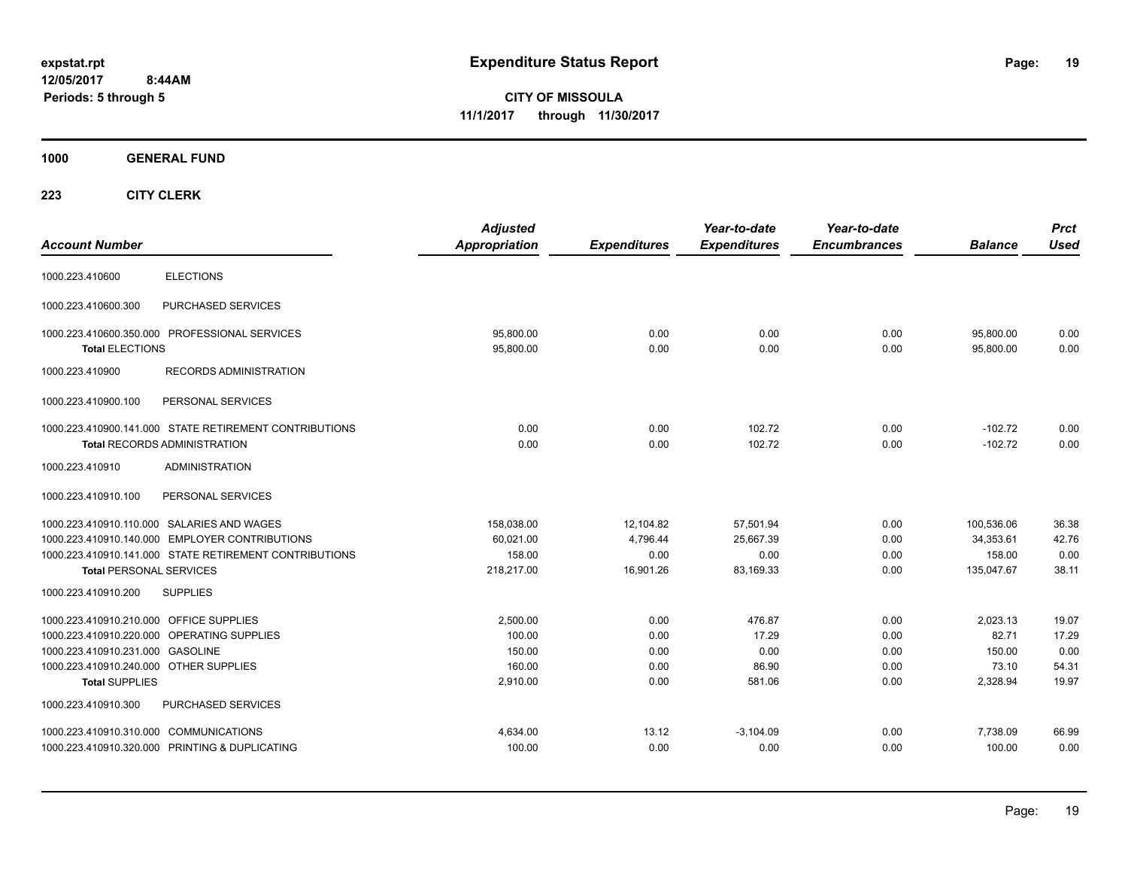**CITY OF MISSOULA 11/1/2017 through 11/30/2017**

**1000 GENERAL FUND**

| <b>Account Number</b>                                                                                                                          |                                                                                                                                                        | <b>Adjusted</b><br><b>Appropriation</b>            | <b>Expenditures</b>                        | Year-to-date<br><b>Expenditures</b>         | Year-to-date<br><b>Encumbrances</b>  | <b>Balance</b>                                   | <b>Prct</b><br><b>Used</b>               |
|------------------------------------------------------------------------------------------------------------------------------------------------|--------------------------------------------------------------------------------------------------------------------------------------------------------|----------------------------------------------------|--------------------------------------------|---------------------------------------------|--------------------------------------|--------------------------------------------------|------------------------------------------|
| 1000.223.410600                                                                                                                                | <b>ELECTIONS</b>                                                                                                                                       |                                                    |                                            |                                             |                                      |                                                  |                                          |
| 1000.223.410600.300                                                                                                                            | PURCHASED SERVICES                                                                                                                                     |                                                    |                                            |                                             |                                      |                                                  |                                          |
| <b>Total ELECTIONS</b>                                                                                                                         | 1000.223.410600.350.000 PROFESSIONAL SERVICES                                                                                                          | 95,800.00<br>95,800.00                             | 0.00<br>0.00                               | 0.00<br>0.00                                | 0.00<br>0.00                         | 95,800.00<br>95,800.00                           | 0.00<br>0.00                             |
| 1000.223.410900                                                                                                                                | <b>RECORDS ADMINISTRATION</b>                                                                                                                          |                                                    |                                            |                                             |                                      |                                                  |                                          |
| 1000.223.410900.100                                                                                                                            | PERSONAL SERVICES                                                                                                                                      |                                                    |                                            |                                             |                                      |                                                  |                                          |
|                                                                                                                                                | 1000.223.410900.141.000 STATE RETIREMENT CONTRIBUTIONS<br><b>Total RECORDS ADMINISTRATION</b>                                                          | 0.00<br>0.00                                       | 0.00<br>0.00                               | 102.72<br>102.72                            | 0.00<br>0.00                         | $-102.72$<br>$-102.72$                           | 0.00<br>0.00                             |
| 1000.223.410910                                                                                                                                | <b>ADMINISTRATION</b>                                                                                                                                  |                                                    |                                            |                                             |                                      |                                                  |                                          |
| 1000.223.410910.100                                                                                                                            | PERSONAL SERVICES                                                                                                                                      |                                                    |                                            |                                             |                                      |                                                  |                                          |
| <b>Total PERSONAL SERVICES</b>                                                                                                                 | 1000.223.410910.110.000 SALARIES AND WAGES<br>1000.223.410910.140.000 EMPLOYER CONTRIBUTIONS<br>1000.223.410910.141.000 STATE RETIREMENT CONTRIBUTIONS | 158,038.00<br>60,021.00<br>158.00<br>218,217.00    | 12,104.82<br>4,796.44<br>0.00<br>16,901.26 | 57,501.94<br>25,667.39<br>0.00<br>83,169.33 | 0.00<br>0.00<br>0.00<br>0.00         | 100,536.06<br>34,353.61<br>158.00<br>135,047.67  | 36.38<br>42.76<br>0.00<br>38.11          |
| 1000.223.410910.200                                                                                                                            | <b>SUPPLIES</b>                                                                                                                                        |                                                    |                                            |                                             |                                      |                                                  |                                          |
| 1000.223.410910.210.000 OFFICE SUPPLIES<br>1000.223.410910.231.000 GASOLINE<br>1000.223.410910.240.000 OTHER SUPPLIES<br><b>Total SUPPLIES</b> | 1000.223.410910.220.000 OPERATING SUPPLIES                                                                                                             | 2,500.00<br>100.00<br>150.00<br>160.00<br>2,910.00 | 0.00<br>0.00<br>0.00<br>0.00<br>0.00       | 476.87<br>17.29<br>0.00<br>86.90<br>581.06  | 0.00<br>0.00<br>0.00<br>0.00<br>0.00 | 2,023.13<br>82.71<br>150.00<br>73.10<br>2,328.94 | 19.07<br>17.29<br>0.00<br>54.31<br>19.97 |
| 1000.223.410910.300                                                                                                                            | PURCHASED SERVICES                                                                                                                                     |                                                    |                                            |                                             |                                      |                                                  |                                          |
| 1000.223.410910.310.000 COMMUNICATIONS                                                                                                         | 1000.223.410910.320.000 PRINTING & DUPLICATING                                                                                                         | 4,634.00<br>100.00                                 | 13.12<br>0.00                              | $-3,104.09$<br>0.00                         | 0.00<br>0.00                         | 7,738.09<br>100.00                               | 66.99<br>0.00                            |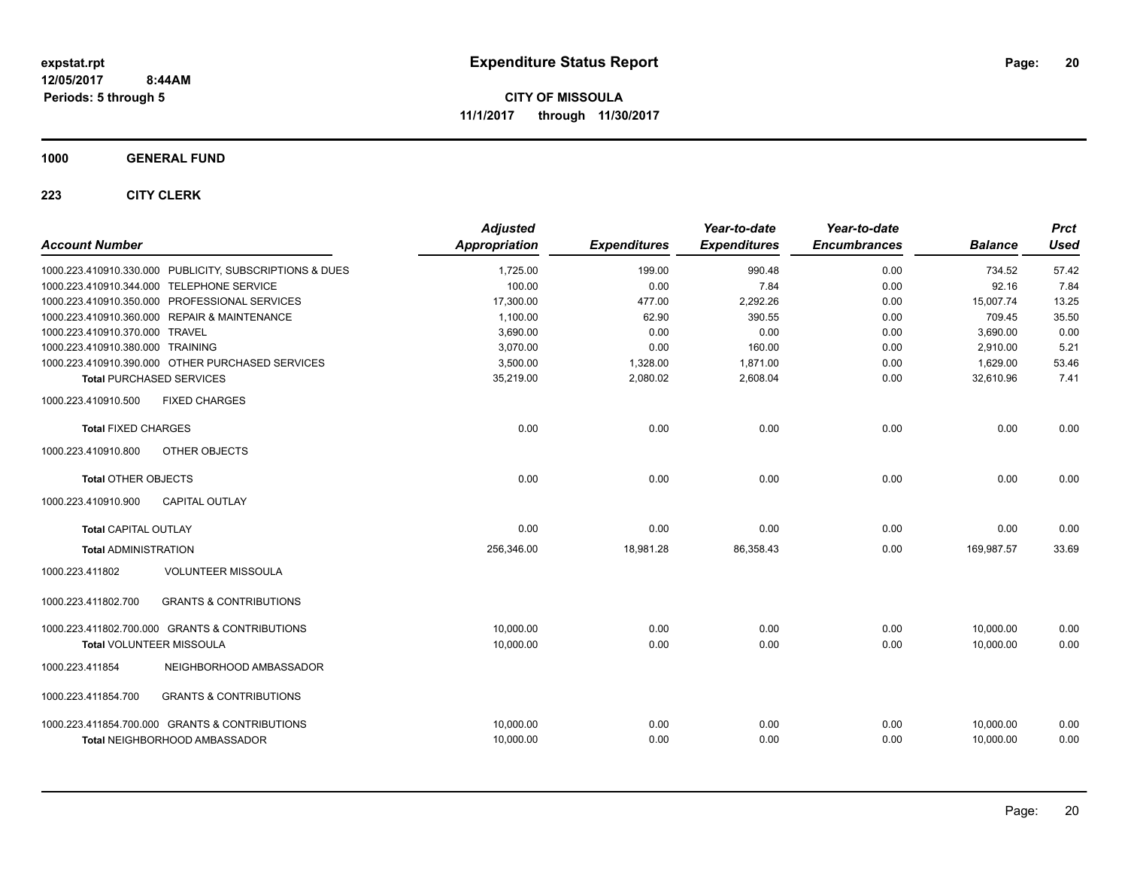**CITY OF MISSOULA 11/1/2017 through 11/30/2017**

**1000 GENERAL FUND**

| <b>Account Number</b>                                    | <b>Adjusted</b><br>Appropriation | <b>Expenditures</b> | Year-to-date<br><b>Expenditures</b> | Year-to-date<br><b>Encumbrances</b> | <b>Balance</b> | <b>Prct</b><br><b>Used</b> |
|----------------------------------------------------------|----------------------------------|---------------------|-------------------------------------|-------------------------------------|----------------|----------------------------|
| 1000.223.410910.330.000 PUBLICITY, SUBSCRIPTIONS & DUES  | 1,725.00                         | 199.00              | 990.48                              | 0.00                                | 734.52         | 57.42                      |
| 1000.223.410910.344.000 TELEPHONE SERVICE                | 100.00                           | 0.00                | 7.84                                | 0.00                                | 92.16          | 7.84                       |
| 1000.223.410910.350.000 PROFESSIONAL SERVICES            | 17.300.00                        | 477.00              | 2,292.26                            | 0.00                                | 15.007.74      | 13.25                      |
| 1000.223.410910.360.000 REPAIR & MAINTENANCE             | 1,100.00                         | 62.90               | 390.55                              | 0.00                                | 709.45         | 35.50                      |
| 1000.223.410910.370.000 TRAVEL                           | 3,690.00                         | 0.00                | 0.00                                | 0.00                                | 3,690.00       | 0.00                       |
| 1000.223.410910.380.000 TRAINING                         | 3,070.00                         | 0.00                | 160.00                              | 0.00                                | 2,910.00       | 5.21                       |
| 1000.223.410910.390.000 OTHER PURCHASED SERVICES         | 3,500.00                         | 1,328.00            | 1,871.00                            | 0.00                                | 1,629.00       | 53.46                      |
| <b>Total PURCHASED SERVICES</b>                          | 35,219.00                        | 2,080.02            | 2,608.04                            | 0.00                                | 32,610.96      | 7.41                       |
| 1000.223.410910.500<br><b>FIXED CHARGES</b>              |                                  |                     |                                     |                                     |                |                            |
| <b>Total FIXED CHARGES</b>                               | 0.00                             | 0.00                | 0.00                                | 0.00                                | 0.00           | 0.00                       |
| 1000.223.410910.800<br>OTHER OBJECTS                     |                                  |                     |                                     |                                     |                |                            |
| <b>Total OTHER OBJECTS</b>                               | 0.00                             | 0.00                | 0.00                                | 0.00                                | 0.00           | 0.00                       |
| 1000.223.410910.900<br><b>CAPITAL OUTLAY</b>             |                                  |                     |                                     |                                     |                |                            |
| <b>Total CAPITAL OUTLAY</b>                              | 0.00                             | 0.00                | 0.00                                | 0.00                                | 0.00           | 0.00                       |
| <b>Total ADMINISTRATION</b>                              | 256,346.00                       | 18,981.28           | 86,358.43                           | 0.00                                | 169.987.57     | 33.69                      |
| <b>VOLUNTEER MISSOULA</b><br>1000.223.411802             |                                  |                     |                                     |                                     |                |                            |
| 1000.223.411802.700<br><b>GRANTS &amp; CONTRIBUTIONS</b> |                                  |                     |                                     |                                     |                |                            |
| 1000.223.411802.700.000 GRANTS & CONTRIBUTIONS           | 10,000.00                        | 0.00                | 0.00                                | 0.00                                | 10,000.00      | 0.00                       |
| <b>Total VOLUNTEER MISSOULA</b>                          | 10,000.00                        | 0.00                | 0.00                                | 0.00                                | 10.000.00      | 0.00                       |
| 1000.223.411854<br>NEIGHBORHOOD AMBASSADOR               |                                  |                     |                                     |                                     |                |                            |
| <b>GRANTS &amp; CONTRIBUTIONS</b><br>1000.223.411854.700 |                                  |                     |                                     |                                     |                |                            |
| 1000.223.411854.700.000 GRANTS & CONTRIBUTIONS           | 10,000.00                        | 0.00                | 0.00                                | 0.00                                | 10,000.00      | 0.00                       |
| <b>Total NEIGHBORHOOD AMBASSADOR</b>                     | 10,000.00                        | 0.00                | 0.00                                | 0.00                                | 10,000.00      | 0.00                       |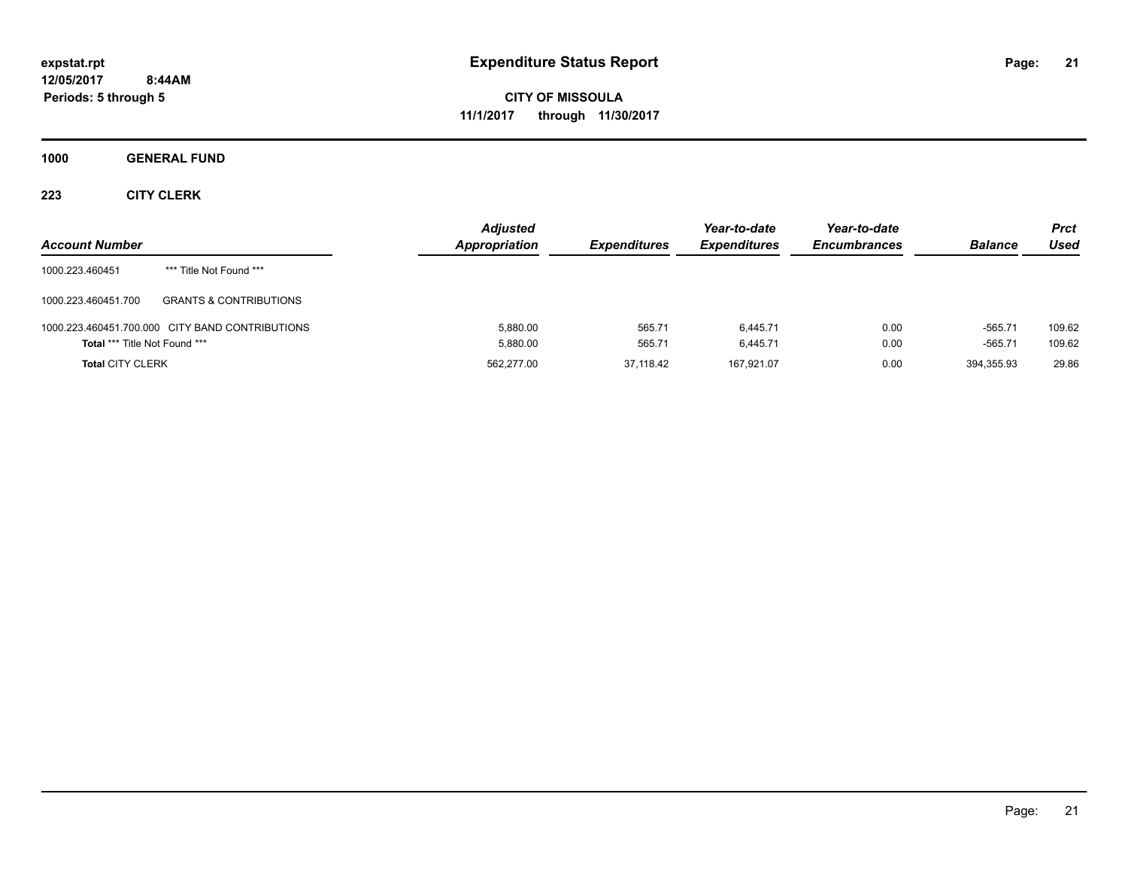**CITY OF MISSOULA 11/1/2017 through 11/30/2017**

**1000 GENERAL FUND**

| <b>Account Number</b>                |                                                 | <b>Adjusted</b><br>Appropriation | <b>Expenditures</b> | Year-to-date<br><b>Expenditures</b> | Year-to-date<br><b>Encumbrances</b> | <b>Balance</b>         | <b>Prct</b><br>Used |
|--------------------------------------|-------------------------------------------------|----------------------------------|---------------------|-------------------------------------|-------------------------------------|------------------------|---------------------|
| 1000.223.460451                      | *** Title Not Found ***                         |                                  |                     |                                     |                                     |                        |                     |
| 1000.223.460451.700                  | <b>GRANTS &amp; CONTRIBUTIONS</b>               |                                  |                     |                                     |                                     |                        |                     |
| <b>Total *** Title Not Found ***</b> | 1000.223.460451.700.000 CITY BAND CONTRIBUTIONS | 5.880.00<br>5.880.00             | 565.71<br>565.71    | 6.445.71<br>6.445.71                | 0.00<br>0.00                        | $-565.71$<br>$-565.71$ | 109.62<br>109.62    |
| <b>Total CITY CLERK</b>              |                                                 | 562.277.00                       | 37.118.42           | 167.921.07                          | 0.00                                | 394.355.93             | 29.86               |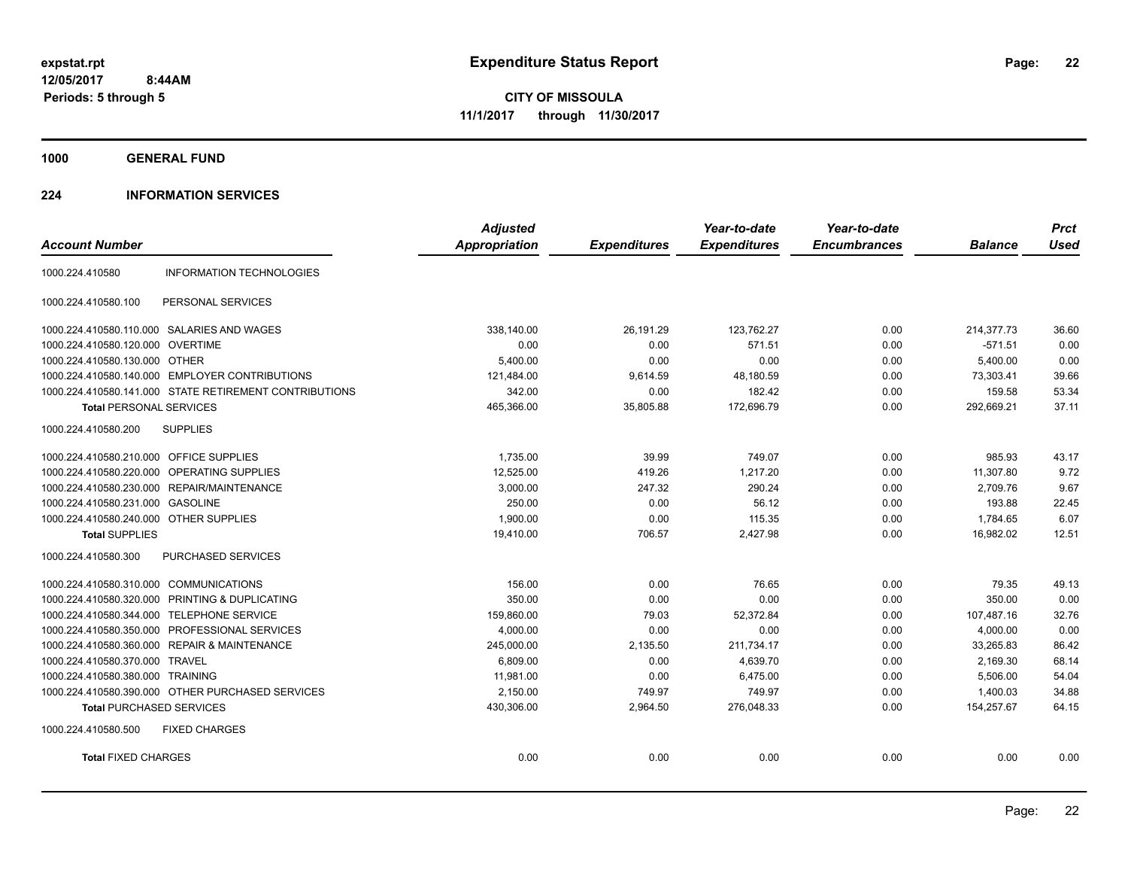**1000 GENERAL FUND**

### **224 INFORMATION SERVICES**

|                                                        | <b>Adjusted</b>      |                     | Year-to-date        | Year-to-date        |                | <b>Prct</b> |
|--------------------------------------------------------|----------------------|---------------------|---------------------|---------------------|----------------|-------------|
| <b>Account Number</b>                                  | <b>Appropriation</b> | <b>Expenditures</b> | <b>Expenditures</b> | <b>Encumbrances</b> | <b>Balance</b> | <b>Used</b> |
| <b>INFORMATION TECHNOLOGIES</b><br>1000.224.410580     |                      |                     |                     |                     |                |             |
| PERSONAL SERVICES<br>1000.224.410580.100               |                      |                     |                     |                     |                |             |
| 1000.224.410580.110.000 SALARIES AND WAGES             | 338,140.00           | 26,191.29           | 123,762.27          | 0.00                | 214,377.73     | 36.60       |
| 1000.224.410580.120.000<br><b>OVERTIME</b>             | 0.00                 | 0.00                | 571.51              | 0.00                | $-571.51$      | 0.00        |
| 1000.224.410580.130.000 OTHER                          | 5,400.00             | 0.00                | 0.00                | 0.00                | 5,400.00       | 0.00        |
| 1000.224.410580.140.000 EMPLOYER CONTRIBUTIONS         | 121,484.00           | 9,614.59            | 48,180.59           | 0.00                | 73,303.41      | 39.66       |
| 1000.224.410580.141.000 STATE RETIREMENT CONTRIBUTIONS | 342.00               | 0.00                | 182.42              | 0.00                | 159.58         | 53.34       |
| <b>Total PERSONAL SERVICES</b>                         | 465,366.00           | 35,805.88           | 172,696.79          | 0.00                | 292,669.21     | 37.11       |
| 1000.224.410580.200<br><b>SUPPLIES</b>                 |                      |                     |                     |                     |                |             |
| 1000.224.410580.210.000 OFFICE SUPPLIES                | 1,735.00             | 39.99               | 749.07              | 0.00                | 985.93         | 43.17       |
| 1000.224.410580.220.000<br>OPERATING SUPPLIES          | 12,525.00            | 419.26              | 1,217.20            | 0.00                | 11,307.80      | 9.72        |
| 1000.224.410580.230.000 REPAIR/MAINTENANCE             | 3,000.00             | 247.32              | 290.24              | 0.00                | 2,709.76       | 9.67        |
| 1000.224.410580.231.000 GASOLINE                       | 250.00               | 0.00                | 56.12               | 0.00                | 193.88         | 22.45       |
| 1000.224.410580.240.000 OTHER SUPPLIES                 | 1,900.00             | 0.00                | 115.35              | 0.00                | 1,784.65       | 6.07        |
| <b>Total SUPPLIES</b>                                  | 19,410.00            | 706.57              | 2,427.98            | 0.00                | 16,982.02      | 12.51       |
| 1000.224.410580.300<br>PURCHASED SERVICES              |                      |                     |                     |                     |                |             |
| 1000.224.410580.310.000 COMMUNICATIONS                 | 156.00               | 0.00                | 76.65               | 0.00                | 79.35          | 49.13       |
| 1000.224.410580.320.000 PRINTING & DUPLICATING         | 350.00               | 0.00                | 0.00                | 0.00                | 350.00         | 0.00        |
| 1000.224.410580.344.000 TELEPHONE SERVICE              | 159,860.00           | 79.03               | 52,372.84           | 0.00                | 107,487.16     | 32.76       |
| 1000.224.410580.350.000 PROFESSIONAL SERVICES          | 4,000.00             | 0.00                | 0.00                | 0.00                | 4,000.00       | 0.00        |
| 1000.224.410580.360.000 REPAIR & MAINTENANCE           | 245,000.00           | 2,135.50            | 211,734.17          | 0.00                | 33,265.83      | 86.42       |
| 1000.224.410580.370.000<br><b>TRAVEL</b>               | 6,809.00             | 0.00                | 4,639.70            | 0.00                | 2,169.30       | 68.14       |
| 1000.224.410580.380.000<br><b>TRAINING</b>             | 11,981.00            | 0.00                | 6,475.00            | 0.00                | 5,506.00       | 54.04       |
| 1000.224.410580.390.000 OTHER PURCHASED SERVICES       | 2,150.00             | 749.97              | 749.97              | 0.00                | 1,400.03       | 34.88       |
| <b>Total PURCHASED SERVICES</b>                        | 430,306.00           | 2,964.50            | 276,048.33          | 0.00                | 154,257.67     | 64.15       |
| 1000.224.410580.500<br><b>FIXED CHARGES</b>            |                      |                     |                     |                     |                |             |
| <b>Total FIXED CHARGES</b>                             | 0.00                 | 0.00                | 0.00                | 0.00                | 0.00           | 0.00        |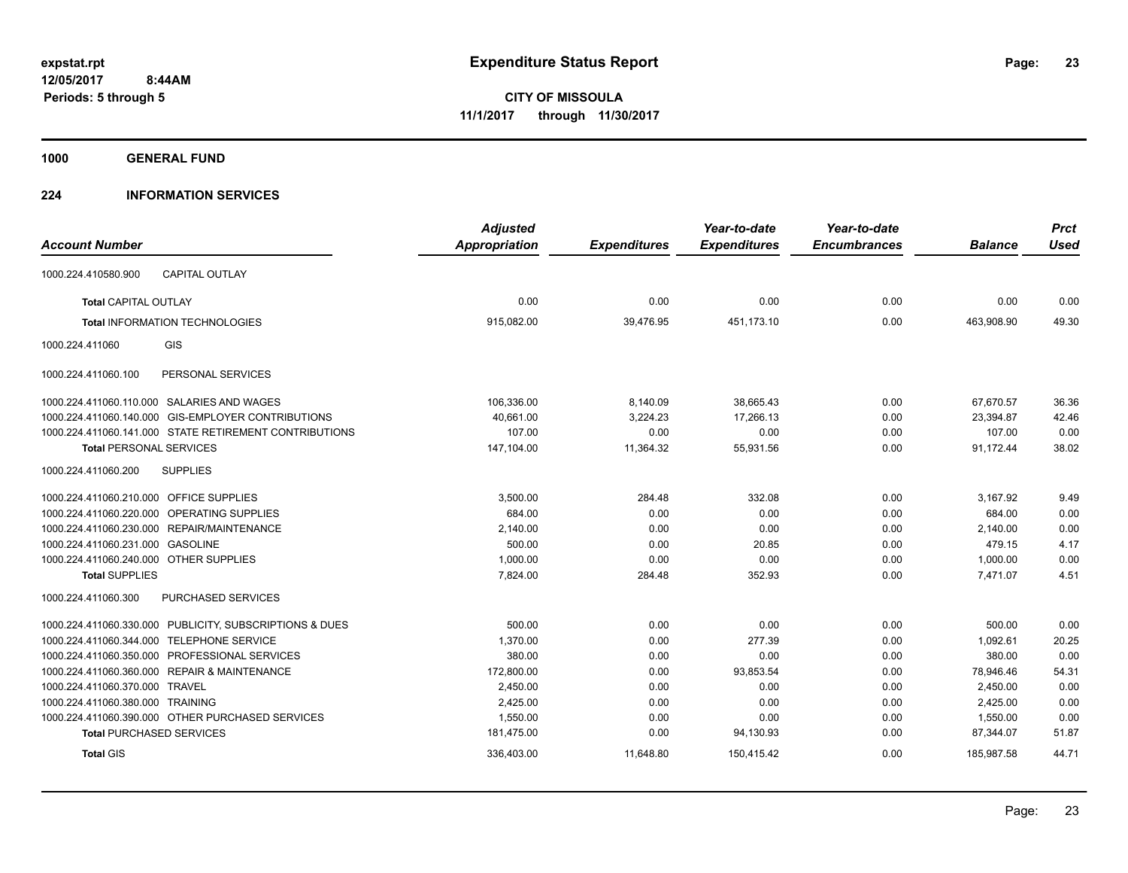**1000 GENERAL FUND**

### **224 INFORMATION SERVICES**

|                                                         | <b>Adjusted</b> |                     | Year-to-date        | Year-to-date        |                | <b>Prct</b> |
|---------------------------------------------------------|-----------------|---------------------|---------------------|---------------------|----------------|-------------|
| <b>Account Number</b>                                   | Appropriation   | <b>Expenditures</b> | <b>Expenditures</b> | <b>Encumbrances</b> | <b>Balance</b> | <b>Used</b> |
| 1000.224.410580.900<br><b>CAPITAL OUTLAY</b>            |                 |                     |                     |                     |                |             |
| <b>Total CAPITAL OUTLAY</b>                             | 0.00            | 0.00                | 0.00                | 0.00                | 0.00           | 0.00        |
| <b>Total INFORMATION TECHNOLOGIES</b>                   | 915,082.00      | 39,476.95           | 451,173.10          | 0.00                | 463.908.90     | 49.30       |
| GIS<br>1000.224.411060                                  |                 |                     |                     |                     |                |             |
| PERSONAL SERVICES<br>1000.224.411060.100                |                 |                     |                     |                     |                |             |
| 1000.224.411060.110.000 SALARIES AND WAGES              | 106,336.00      | 8,140.09            | 38,665.43           | 0.00                | 67,670.57      | 36.36       |
| 1000.224.411060.140.000 GIS-EMPLOYER CONTRIBUTIONS      | 40,661.00       | 3,224.23            | 17,266.13           | 0.00                | 23,394.87      | 42.46       |
| 1000.224.411060.141.000 STATE RETIREMENT CONTRIBUTIONS  | 107.00          | 0.00                | 0.00                | 0.00                | 107.00         | 0.00        |
| <b>Total PERSONAL SERVICES</b>                          | 147,104.00      | 11,364.32           | 55,931.56           | 0.00                | 91,172.44      | 38.02       |
| 1000.224.411060.200<br><b>SUPPLIES</b>                  |                 |                     |                     |                     |                |             |
| 1000.224.411060.210.000 OFFICE SUPPLIES                 | 3,500.00        | 284.48              | 332.08              | 0.00                | 3,167.92       | 9.49        |
| 1000.224.411060.220.000 OPERATING SUPPLIES              | 684.00          | 0.00                | 0.00                | 0.00                | 684.00         | 0.00        |
| 1000.224.411060.230.000 REPAIR/MAINTENANCE              | 2,140.00        | 0.00                | 0.00                | 0.00                | 2,140.00       | 0.00        |
| 1000.224.411060.231.000 GASOLINE                        | 500.00          | 0.00                | 20.85               | 0.00                | 479.15         | 4.17        |
| 1000.224.411060.240.000 OTHER SUPPLIES                  | 1,000.00        | 0.00                | 0.00                | 0.00                | 1,000.00       | 0.00        |
| <b>Total SUPPLIES</b>                                   | 7,824.00        | 284.48              | 352.93              | 0.00                | 7,471.07       | 4.51        |
| <b>PURCHASED SERVICES</b><br>1000.224.411060.300        |                 |                     |                     |                     |                |             |
| 1000.224.411060.330.000 PUBLICITY, SUBSCRIPTIONS & DUES | 500.00          | 0.00                | 0.00                | 0.00                | 500.00         | 0.00        |
| 1000.224.411060.344.000 TELEPHONE SERVICE               | 1,370.00        | 0.00                | 277.39              | 0.00                | 1,092.61       | 20.25       |
| 1000.224.411060.350.000 PROFESSIONAL SERVICES           | 380.00          | 0.00                | 0.00                | 0.00                | 380.00         | 0.00        |
| 1000.224.411060.360.000 REPAIR & MAINTENANCE            | 172,800.00      | 0.00                | 93,853.54           | 0.00                | 78,946.46      | 54.31       |
| 1000.224.411060.370.000 TRAVEL                          | 2,450.00        | 0.00                | 0.00                | 0.00                | 2,450.00       | 0.00        |
| 1000.224.411060.380.000 TRAINING                        | 2,425.00        | 0.00                | 0.00                | 0.00                | 2,425.00       | 0.00        |
| 1000.224.411060.390.000 OTHER PURCHASED SERVICES        | 1,550.00        | 0.00                | 0.00                | 0.00                | 1,550.00       | 0.00        |
| <b>Total PURCHASED SERVICES</b>                         | 181,475.00      | 0.00                | 94,130.93           | 0.00                | 87,344.07      | 51.87       |
| <b>Total GIS</b>                                        | 336,403.00      | 11,648.80           | 150,415.42          | 0.00                | 185,987.58     | 44.71       |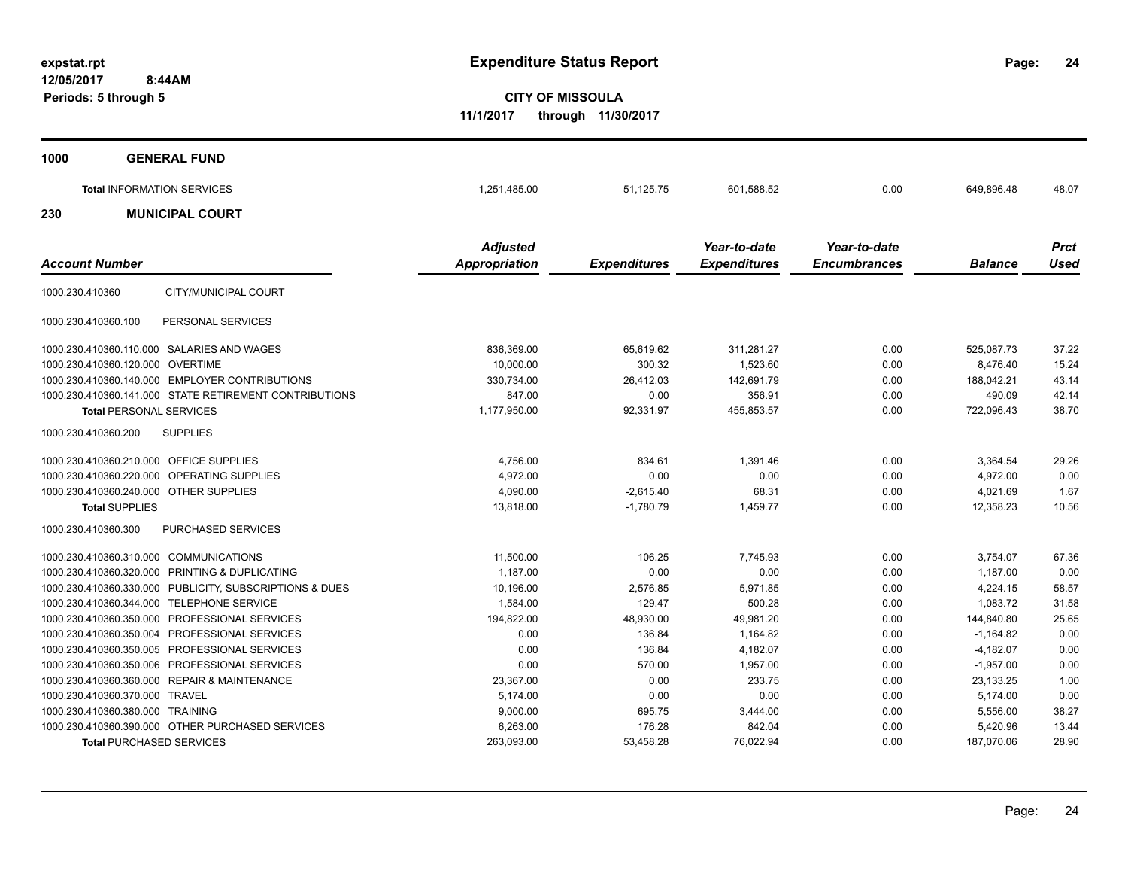**24**

**CITY OF MISSOULA 11/1/2017 through 11/30/2017**

| 1000 | <b>GENERAL FUND</b>               |                 |           |              |              |            |             |
|------|-----------------------------------|-----------------|-----------|--------------|--------------|------------|-------------|
| 230  | <b>Total INFORMATION SERVICES</b> | 1,251,485.00    | 51,125.75 | 601,588.52   | 0.00         | 649,896.48 | 48.07       |
|      | <b>MUNICIPAL COURT</b>            | <b>Adjusted</b> |           | Year-to-date | Year-to-date |            | <b>Prct</b> |

|                                                |                                                         | Aujusteu             |                     | <i>I</i> cal-lu-ualc | <i>I</i> cal-lu-ualc |                | <i>FILL</i> |
|------------------------------------------------|---------------------------------------------------------|----------------------|---------------------|----------------------|----------------------|----------------|-------------|
| <b>Account Number</b>                          |                                                         | <b>Appropriation</b> | <b>Expenditures</b> | <b>Expenditures</b>  | <b>Encumbrances</b>  | <b>Balance</b> | Used        |
| 1000.230.410360                                | CITY/MUNICIPAL COURT                                    |                      |                     |                      |                      |                |             |
| 1000.230.410360.100                            | PERSONAL SERVICES                                       |                      |                     |                      |                      |                |             |
| 1000.230.410360.110.000 SALARIES AND WAGES     |                                                         | 836,369.00           | 65,619.62           | 311,281.27           | 0.00                 | 525,087.73     | 37.22       |
| 1000.230.410360.120.000 OVERTIME               |                                                         | 10.000.00            | 300.32              | 1,523.60             | 0.00                 | 8.476.40       | 15.24       |
| 1000.230.410360.140.000 EMPLOYER CONTRIBUTIONS |                                                         | 330,734.00           | 26,412.03           | 142,691.79           | 0.00                 | 188,042.21     | 43.14       |
|                                                | 1000.230.410360.141.000 STATE RETIREMENT CONTRIBUTIONS  | 847.00               | 0.00                | 356.91               | 0.00                 | 490.09         | 42.14       |
| <b>Total PERSONAL SERVICES</b>                 |                                                         | 1,177,950.00         | 92,331.97           | 455,853.57           | 0.00                 | 722,096.43     | 38.70       |
| 1000.230.410360.200                            | <b>SUPPLIES</b>                                         |                      |                     |                      |                      |                |             |
| 1000.230.410360.210.000 OFFICE SUPPLIES        |                                                         | 4,756.00             | 834.61              | 1,391.46             | 0.00                 | 3,364.54       | 29.26       |
| 1000.230.410360.220.000 OPERATING SUPPLIES     |                                                         | 4,972.00             | 0.00                | 0.00                 | 0.00                 | 4,972.00       | 0.00        |
| 1000.230.410360.240.000 OTHER SUPPLIES         |                                                         | 4,090.00             | $-2,615.40$         | 68.31                | 0.00                 | 4,021.69       | 1.67        |
| <b>Total SUPPLIES</b>                          |                                                         | 13,818.00            | $-1,780.79$         | 1,459.77             | 0.00                 | 12,358.23      | 10.56       |
| 1000.230.410360.300                            | <b>PURCHASED SERVICES</b>                               |                      |                     |                      |                      |                |             |
| 1000.230.410360.310.000 COMMUNICATIONS         |                                                         | 11,500.00            | 106.25              | 7.745.93             | 0.00                 | 3.754.07       | 67.36       |
| 1000.230.410360.320.000 PRINTING & DUPLICATING |                                                         | 1,187.00             | 0.00                | 0.00                 | 0.00                 | 1,187.00       | 0.00        |
|                                                | 1000.230.410360.330.000 PUBLICITY, SUBSCRIPTIONS & DUES | 10,196.00            | 2,576.85            | 5,971.85             | 0.00                 | 4,224.15       | 58.57       |
| 1000.230.410360.344.000 TELEPHONE SERVICE      |                                                         | 1,584.00             | 129.47              | 500.28               | 0.00                 | 1,083.72       | 31.58       |
| 1000.230.410360.350.000 PROFESSIONAL SERVICES  |                                                         | 194,822.00           | 48,930.00           | 49,981.20            | 0.00                 | 144,840.80     | 25.65       |
| 1000.230.410360.350.004 PROFESSIONAL SERVICES  |                                                         | 0.00                 | 136.84              | 1,164.82             | 0.00                 | $-1,164.82$    | 0.00        |
| 1000.230.410360.350.005 PROFESSIONAL SERVICES  |                                                         | 0.00                 | 136.84              | 4,182.07             | 0.00                 | $-4,182.07$    | 0.00        |
| 1000.230.410360.350.006 PROFESSIONAL SERVICES  |                                                         | 0.00                 | 570.00              | 1.957.00             | 0.00                 | $-1,957.00$    | 0.00        |
| 1000.230.410360.360.000 REPAIR & MAINTENANCE   |                                                         | 23,367.00            | 0.00                | 233.75               | 0.00                 | 23,133.25      | 1.00        |
| 1000.230.410360.370.000 TRAVEL                 |                                                         | 5,174.00             | 0.00                | 0.00                 | 0.00                 | 5,174.00       | 0.00        |
| 1000.230.410360.380.000 TRAINING               |                                                         | 9,000.00             | 695.75              | 3,444.00             | 0.00                 | 5,556.00       | 38.27       |
|                                                | 1000.230.410360.390.000 OTHER PURCHASED SERVICES        | 6,263.00             | 176.28              | 842.04               | 0.00                 | 5,420.96       | 13.44       |
| <b>Total PURCHASED SERVICES</b>                |                                                         | 263,093.00           | 53,458.28           | 76,022.94            | 0.00                 | 187,070.06     | 28.90       |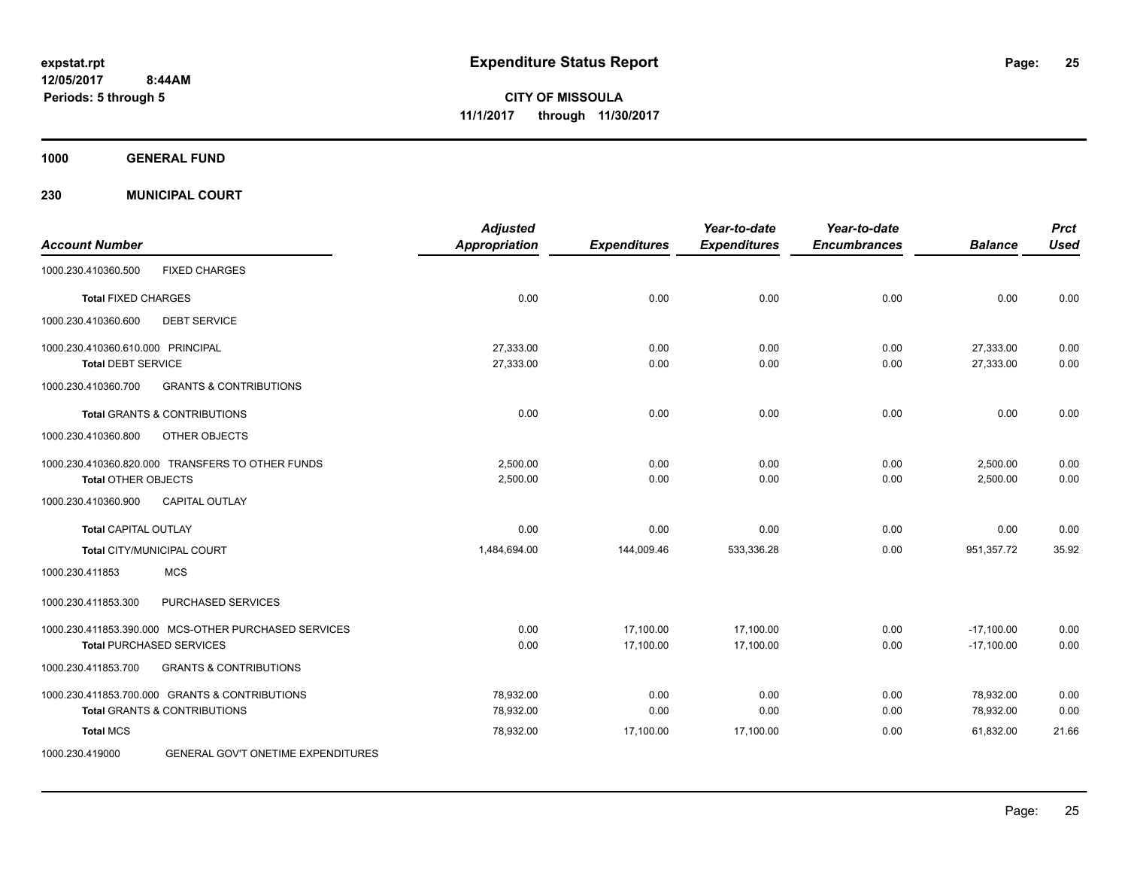**CITY OF MISSOULA 11/1/2017 through 11/30/2017**

**1000 GENERAL FUND**

**230 MUNICIPAL COURT**

| <b>Account Number</b>                                                                     | <b>Adjusted</b><br><b>Appropriation</b> | <b>Expenditures</b>    | Year-to-date<br><b>Expenditures</b> | Year-to-date<br><b>Encumbrances</b> | <b>Balance</b>               | <b>Prct</b><br><b>Used</b> |
|-------------------------------------------------------------------------------------------|-----------------------------------------|------------------------|-------------------------------------|-------------------------------------|------------------------------|----------------------------|
| <b>FIXED CHARGES</b><br>1000.230.410360.500                                               |                                         |                        |                                     |                                     |                              |                            |
| <b>Total FIXED CHARGES</b>                                                                | 0.00                                    | 0.00                   | 0.00                                | 0.00                                | 0.00                         | 0.00                       |
| <b>DEBT SERVICE</b><br>1000.230.410360.600                                                |                                         |                        |                                     |                                     |                              |                            |
| 1000.230.410360.610.000 PRINCIPAL<br><b>Total DEBT SERVICE</b>                            | 27,333.00<br>27,333.00                  | 0.00<br>0.00           | 0.00<br>0.00                        | 0.00<br>0.00                        | 27,333.00<br>27,333.00       | 0.00<br>0.00               |
| <b>GRANTS &amp; CONTRIBUTIONS</b><br>1000.230.410360.700                                  |                                         |                        |                                     |                                     |                              |                            |
| <b>Total GRANTS &amp; CONTRIBUTIONS</b>                                                   | 0.00                                    | 0.00                   | 0.00                                | 0.00                                | 0.00                         | 0.00                       |
| 1000.230.410360.800<br>OTHER OBJECTS                                                      |                                         |                        |                                     |                                     |                              |                            |
| 1000.230.410360.820.000 TRANSFERS TO OTHER FUNDS<br><b>Total OTHER OBJECTS</b>            | 2,500.00<br>2,500.00                    | 0.00<br>0.00           | 0.00<br>0.00                        | 0.00<br>0.00                        | 2,500.00<br>2,500.00         | 0.00<br>0.00               |
| 1000.230.410360.900<br><b>CAPITAL OUTLAY</b>                                              |                                         |                        |                                     |                                     |                              |                            |
| <b>Total CAPITAL OUTLAY</b>                                                               | 0.00                                    | 0.00                   | 0.00                                | 0.00                                | 0.00                         | 0.00                       |
| Total CITY/MUNICIPAL COURT                                                                | 1,484,694.00                            | 144,009.46             | 533,336.28                          | 0.00                                | 951,357.72                   | 35.92                      |
| 1000.230.411853<br><b>MCS</b>                                                             |                                         |                        |                                     |                                     |                              |                            |
| 1000.230.411853.300<br>PURCHASED SERVICES                                                 |                                         |                        |                                     |                                     |                              |                            |
| 1000.230.411853.390.000 MCS-OTHER PURCHASED SERVICES<br><b>Total PURCHASED SERVICES</b>   | 0.00<br>0.00                            | 17,100.00<br>17,100.00 | 17,100.00<br>17,100.00              | 0.00<br>0.00                        | $-17,100.00$<br>$-17,100.00$ | 0.00<br>0.00               |
| <b>GRANTS &amp; CONTRIBUTIONS</b><br>1000.230.411853.700                                  |                                         |                        |                                     |                                     |                              |                            |
| 1000.230.411853.700.000 GRANTS & CONTRIBUTIONS<br><b>Total GRANTS &amp; CONTRIBUTIONS</b> | 78,932.00<br>78,932.00                  | 0.00<br>0.00           | 0.00<br>0.00                        | 0.00<br>0.00                        | 78,932.00<br>78,932.00       | 0.00<br>0.00               |
| <b>Total MCS</b>                                                                          | 78,932.00                               | 17,100.00              | 17,100.00                           | 0.00                                | 61,832.00                    | 21.66                      |
| 1000.230.419000<br>GENERAL GOV'T ONETIME EXPENDITURES                                     |                                         |                        |                                     |                                     |                              |                            |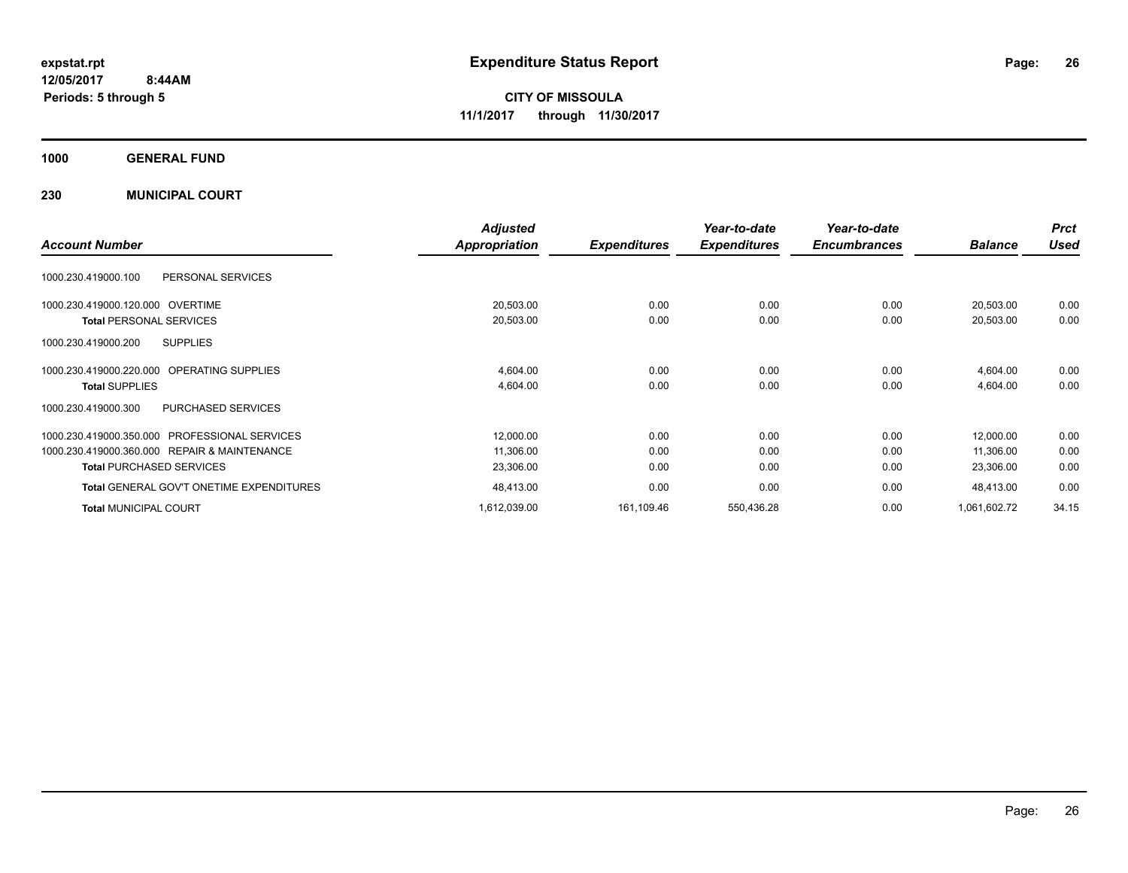**CITY OF MISSOULA 11/1/2017 through 11/30/2017**

**1000 GENERAL FUND**

**230 MUNICIPAL COURT**

|                                                  | <b>Adjusted</b> |                     | Year-to-date        | Year-to-date        |                | <b>Prct</b> |
|--------------------------------------------------|-----------------|---------------------|---------------------|---------------------|----------------|-------------|
| <b>Account Number</b>                            | Appropriation   | <b>Expenditures</b> | <b>Expenditures</b> | <b>Encumbrances</b> | <b>Balance</b> | Used        |
| 1000.230.419000.100<br>PERSONAL SERVICES         |                 |                     |                     |                     |                |             |
| 1000.230.419000.120.000 OVERTIME                 | 20,503.00       | 0.00                | 0.00                | 0.00                | 20,503.00      | 0.00        |
| <b>Total PERSONAL SERVICES</b>                   | 20,503.00       | 0.00                | 0.00                | 0.00                | 20,503.00      | 0.00        |
| <b>SUPPLIES</b><br>1000.230.419000.200           |                 |                     |                     |                     |                |             |
| 1000.230.419000.220.000 OPERATING SUPPLIES       | 4,604.00        | 0.00                | 0.00                | 0.00                | 4,604.00       | 0.00        |
| <b>Total SUPPLIES</b>                            | 4,604.00        | 0.00                | 0.00                | 0.00                | 4,604.00       | 0.00        |
| 1000.230.419000.300<br>PURCHASED SERVICES        |                 |                     |                     |                     |                |             |
| PROFESSIONAL SERVICES<br>1000.230.419000.350.000 | 12,000.00       | 0.00                | 0.00                | 0.00                | 12,000.00      | 0.00        |
| 1000.230.419000.360.000 REPAIR & MAINTENANCE     | 11,306.00       | 0.00                | 0.00                | 0.00                | 11,306.00      | 0.00        |
| <b>Total PURCHASED SERVICES</b>                  | 23,306.00       | 0.00                | 0.00                | 0.00                | 23,306.00      | 0.00        |
| <b>Total GENERAL GOV'T ONETIME EXPENDITURES</b>  | 48,413.00       | 0.00                | 0.00                | 0.00                | 48,413.00      | 0.00        |
| <b>Total MUNICIPAL COURT</b>                     | 1,612,039.00    | 161,109.46          | 550,436.28          | 0.00                | 1,061,602.72   | 34.15       |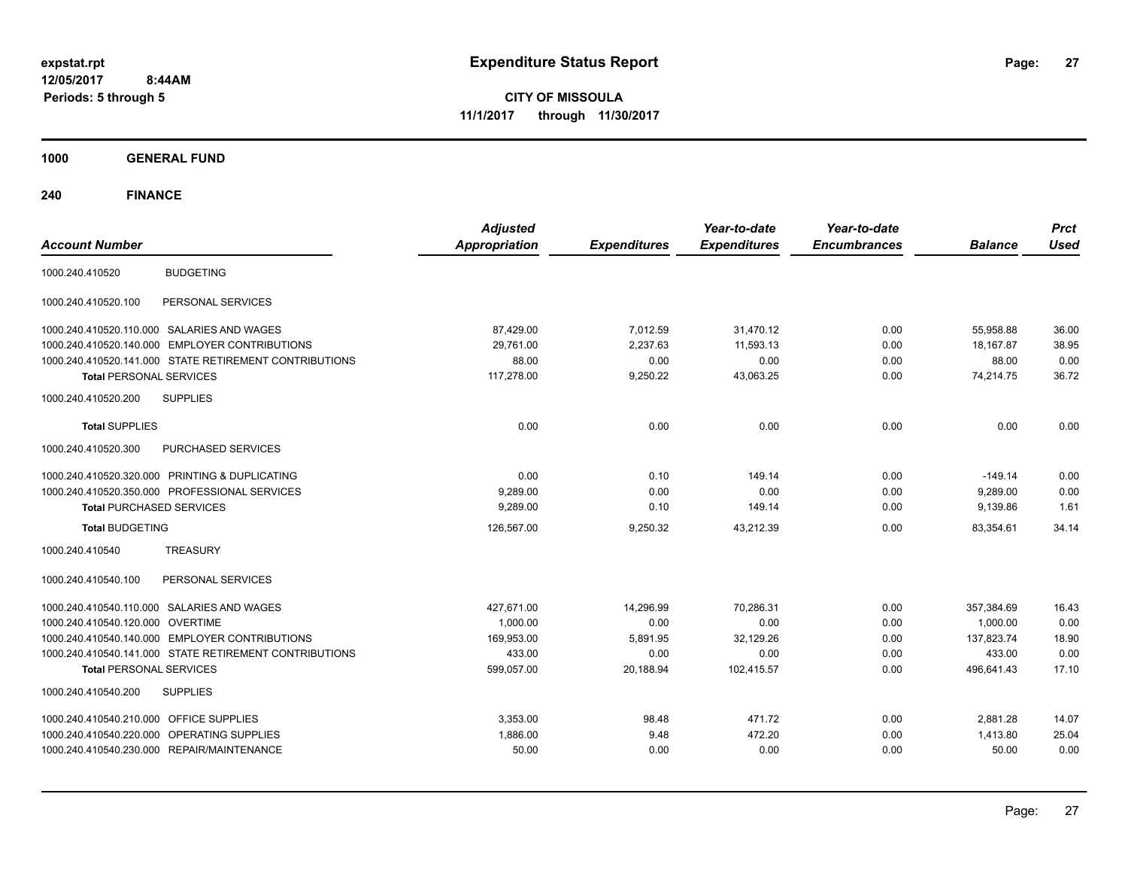**CITY OF MISSOULA 11/1/2017 through 11/30/2017**

**1000 GENERAL FUND**

| <b>Account Number</b>                                  | <b>Adjusted</b><br><b>Appropriation</b> | <b>Expenditures</b> | Year-to-date<br><b>Expenditures</b> | Year-to-date<br><b>Encumbrances</b> | <b>Balance</b> | <b>Prct</b><br><b>Used</b> |
|--------------------------------------------------------|-----------------------------------------|---------------------|-------------------------------------|-------------------------------------|----------------|----------------------------|
| <b>BUDGETING</b><br>1000.240.410520                    |                                         |                     |                                     |                                     |                |                            |
| PERSONAL SERVICES<br>1000.240.410520.100               |                                         |                     |                                     |                                     |                |                            |
| 1000.240.410520.110.000 SALARIES AND WAGES             | 87,429.00                               | 7,012.59            | 31,470.12                           | 0.00                                | 55,958.88      | 36.00                      |
| 1000.240.410520.140.000 EMPLOYER CONTRIBUTIONS         | 29,761.00                               | 2,237.63            | 11,593.13                           | 0.00                                | 18,167.87      | 38.95                      |
| 1000.240.410520.141.000 STATE RETIREMENT CONTRIBUTIONS | 88.00                                   | 0.00                | 0.00                                | 0.00                                | 88.00          | 0.00                       |
| <b>Total PERSONAL SERVICES</b>                         | 117,278.00                              | 9,250.22            | 43,063.25                           | 0.00                                | 74,214.75      | 36.72                      |
| <b>SUPPLIES</b><br>1000.240.410520.200                 |                                         |                     |                                     |                                     |                |                            |
| <b>Total SUPPLIES</b>                                  | 0.00                                    | 0.00                | 0.00                                | 0.00                                | 0.00           | 0.00                       |
| 1000.240.410520.300<br>PURCHASED SERVICES              |                                         |                     |                                     |                                     |                |                            |
| 1000.240.410520.320.000 PRINTING & DUPLICATING         | 0.00                                    | 0.10                | 149.14                              | 0.00                                | $-149.14$      | 0.00                       |
| 1000.240.410520.350.000 PROFESSIONAL SERVICES          | 9,289.00                                | 0.00                | 0.00                                | 0.00                                | 9,289.00       | 0.00                       |
| <b>Total PURCHASED SERVICES</b>                        | 9,289.00                                | 0.10                | 149.14                              | 0.00                                | 9,139.86       | 1.61                       |
| <b>Total BUDGETING</b>                                 | 126,567.00                              | 9,250.32            | 43,212.39                           | 0.00                                | 83,354.61      | 34.14                      |
| <b>TREASURY</b><br>1000.240.410540                     |                                         |                     |                                     |                                     |                |                            |
| PERSONAL SERVICES<br>1000.240.410540.100               |                                         |                     |                                     |                                     |                |                            |
| 1000.240.410540.110.000 SALARIES AND WAGES             | 427,671.00                              | 14.296.99           | 70.286.31                           | 0.00                                | 357,384.69     | 16.43                      |
| 1000.240.410540.120.000 OVERTIME                       | 1.000.00                                | 0.00                | 0.00                                | 0.00                                | 1.000.00       | 0.00                       |
| 1000.240.410540.140.000 EMPLOYER CONTRIBUTIONS         | 169,953.00                              | 5,891.95            | 32,129.26                           | 0.00                                | 137.823.74     | 18.90                      |
| 1000.240.410540.141.000 STATE RETIREMENT CONTRIBUTIONS | 433.00                                  | 0.00                | 0.00                                | 0.00                                | 433.00         | 0.00                       |
| <b>Total PERSONAL SERVICES</b>                         | 599,057.00                              | 20,188.94           | 102,415.57                          | 0.00                                | 496,641.43     | 17.10                      |
| 1000.240.410540.200<br><b>SUPPLIES</b>                 |                                         |                     |                                     |                                     |                |                            |
| 1000.240.410540.210.000 OFFICE SUPPLIES                | 3,353.00                                | 98.48               | 471.72                              | 0.00                                | 2,881.28       | 14.07                      |
| 1000.240.410540.220.000 OPERATING SUPPLIES             | 1,886.00                                | 9.48                | 472.20                              | 0.00                                | 1,413.80       | 25.04                      |
| 1000.240.410540.230.000 REPAIR/MAINTENANCE             | 50.00                                   | 0.00                | 0.00                                | 0.00                                | 50.00          | 0.00                       |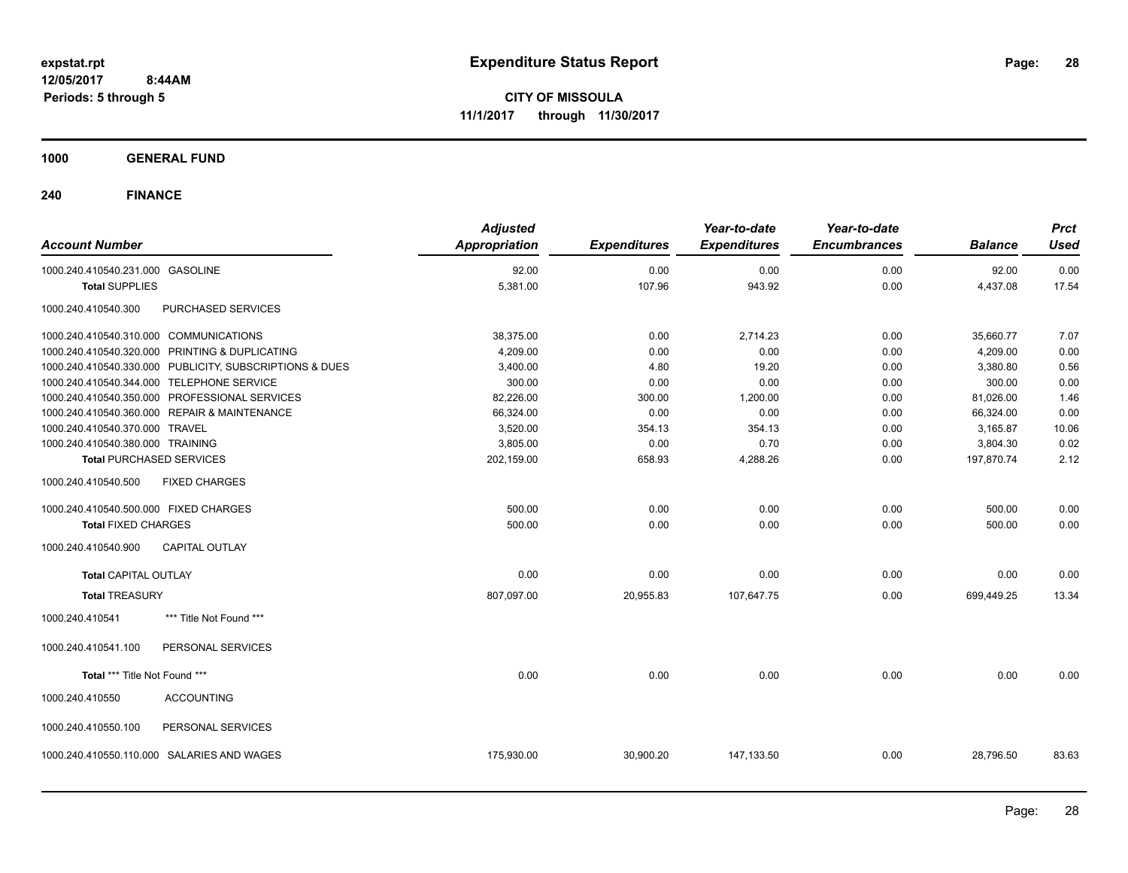**CITY OF MISSOULA 11/1/2017 through 11/30/2017**

**1000 GENERAL FUND**

| <b>Account Number</b>                                   | <b>Adjusted</b><br><b>Appropriation</b> | <b>Expenditures</b> | Year-to-date<br><b>Expenditures</b> | Year-to-date<br><b>Encumbrances</b> | <b>Balance</b> | <b>Prct</b><br><b>Used</b> |
|---------------------------------------------------------|-----------------------------------------|---------------------|-------------------------------------|-------------------------------------|----------------|----------------------------|
| 1000.240.410540.231.000 GASOLINE                        | 92.00                                   | 0.00                | 0.00                                | 0.00                                | 92.00          | 0.00                       |
| <b>Total SUPPLIES</b>                                   | 5,381.00                                | 107.96              | 943.92                              | 0.00                                | 4,437.08       | 17.54                      |
| PURCHASED SERVICES<br>1000.240.410540.300               |                                         |                     |                                     |                                     |                |                            |
| 1000.240.410540.310.000 COMMUNICATIONS                  | 38,375.00                               | 0.00                | 2,714.23                            | 0.00                                | 35,660.77      | 7.07                       |
| 1000.240.410540.320.000 PRINTING & DUPLICATING          | 4,209.00                                | 0.00                | 0.00                                | 0.00                                | 4,209.00       | 0.00                       |
| 1000.240.410540.330.000 PUBLICITY, SUBSCRIPTIONS & DUES | 3,400.00                                | 4.80                | 19.20                               | 0.00                                | 3,380.80       | 0.56                       |
| 1000.240.410540.344.000 TELEPHONE SERVICE               | 300.00                                  | 0.00                | 0.00                                | 0.00                                | 300.00         | 0.00                       |
| 1000.240.410540.350.000 PROFESSIONAL SERVICES           | 82,226.00                               | 300.00              | 1,200.00                            | 0.00                                | 81,026.00      | 1.46                       |
| 1000.240.410540.360.000 REPAIR & MAINTENANCE            | 66,324.00                               | 0.00                | 0.00                                | 0.00                                | 66,324.00      | 0.00                       |
| 1000.240.410540.370.000 TRAVEL                          | 3,520.00                                | 354.13              | 354.13                              | 0.00                                | 3,165.87       | 10.06                      |
| 1000.240.410540.380.000 TRAINING                        | 3,805.00                                | 0.00                | 0.70                                | 0.00                                | 3,804.30       | 0.02                       |
| <b>Total PURCHASED SERVICES</b>                         | 202,159.00                              | 658.93              | 4,288.26                            | 0.00                                | 197,870.74     | 2.12                       |
| <b>FIXED CHARGES</b><br>1000.240.410540.500             |                                         |                     |                                     |                                     |                |                            |
| 1000.240.410540.500.000 FIXED CHARGES                   | 500.00                                  | 0.00                | 0.00                                | 0.00                                | 500.00         | 0.00                       |
| <b>Total FIXED CHARGES</b>                              | 500.00                                  | 0.00                | 0.00                                | 0.00                                | 500.00         | 0.00                       |
| <b>CAPITAL OUTLAY</b><br>1000.240.410540.900            |                                         |                     |                                     |                                     |                |                            |
| <b>Total CAPITAL OUTLAY</b>                             | 0.00                                    | 0.00                | 0.00                                | 0.00                                | 0.00           | 0.00                       |
| <b>Total TREASURY</b>                                   | 807,097.00                              | 20,955.83           | 107,647.75                          | 0.00                                | 699,449.25     | 13.34                      |
| *** Title Not Found ***<br>1000.240.410541              |                                         |                     |                                     |                                     |                |                            |
| PERSONAL SERVICES<br>1000.240.410541.100                |                                         |                     |                                     |                                     |                |                            |
| Total *** Title Not Found ***                           | 0.00                                    | 0.00                | 0.00                                | 0.00                                | 0.00           | 0.00                       |
| 1000.240.410550<br><b>ACCOUNTING</b>                    |                                         |                     |                                     |                                     |                |                            |
| 1000.240.410550.100<br>PERSONAL SERVICES                |                                         |                     |                                     |                                     |                |                            |
| 1000.240.410550.110.000<br><b>SALARIES AND WAGES</b>    | 175,930.00                              | 30,900.20           | 147,133.50                          | 0.00                                | 28,796.50      | 83.63                      |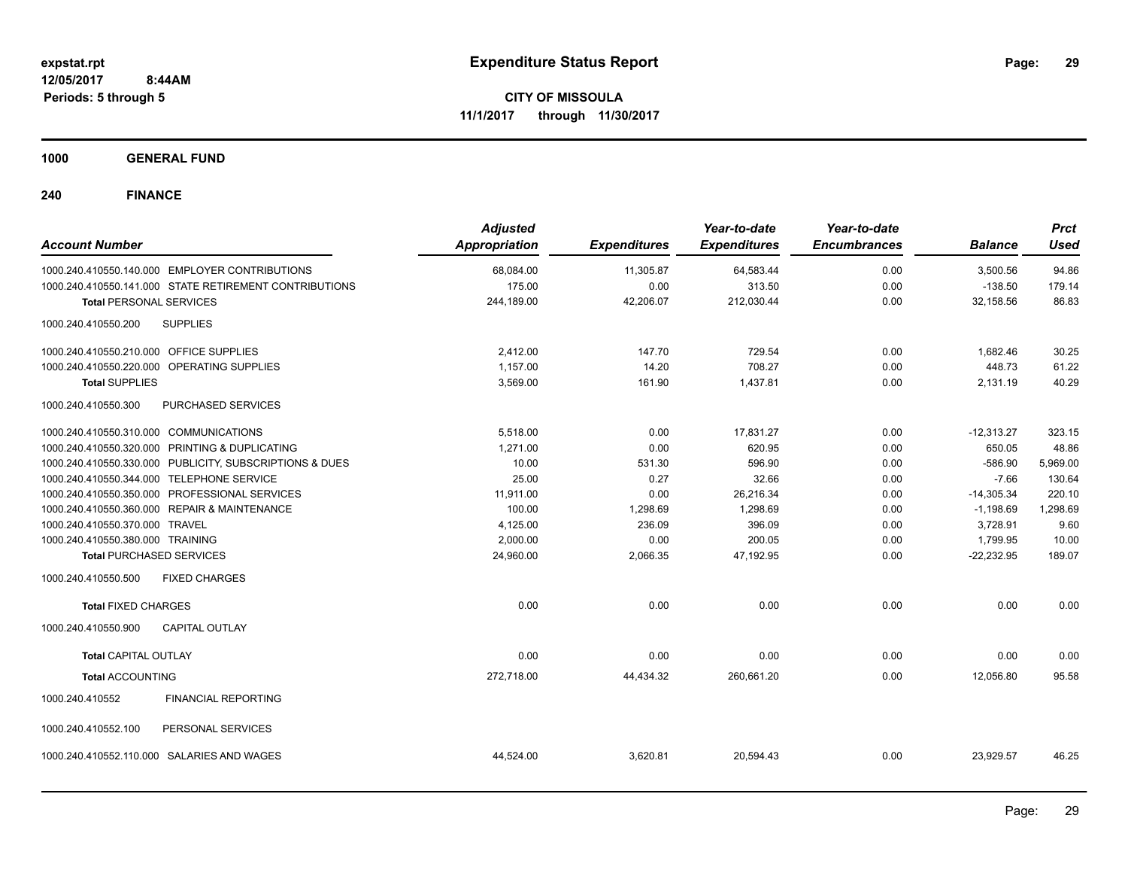**Periods: 5 through 5**

**CITY OF MISSOULA 11/1/2017 through 11/30/2017**

**1000 GENERAL FUND**

 **8:44AM**

| <b>Account Number</b>                     |                                                         | <b>Adjusted</b><br><b>Appropriation</b> | <b>Expenditures</b> | Year-to-date<br><b>Expenditures</b> | Year-to-date<br><b>Encumbrances</b> | <b>Balance</b> | <b>Prct</b><br>Used |
|-------------------------------------------|---------------------------------------------------------|-----------------------------------------|---------------------|-------------------------------------|-------------------------------------|----------------|---------------------|
|                                           | 1000.240.410550.140.000 EMPLOYER CONTRIBUTIONS          | 68,084.00                               | 11,305.87           | 64,583.44                           | 0.00                                | 3,500.56       | 94.86               |
|                                           | 1000.240.410550.141.000 STATE RETIREMENT CONTRIBUTIONS  | 175.00                                  | 0.00                | 313.50                              | 0.00                                | $-138.50$      | 179.14              |
| <b>Total PERSONAL SERVICES</b>            |                                                         | 244,189.00                              | 42,206.07           | 212,030.44                          | 0.00                                | 32,158.56      | 86.83               |
| 1000.240.410550.200                       | <b>SUPPLIES</b>                                         |                                         |                     |                                     |                                     |                |                     |
| 1000.240.410550.210.000 OFFICE SUPPLIES   |                                                         | 2,412.00                                | 147.70              | 729.54                              | 0.00                                | 1,682.46       | 30.25               |
|                                           | 1000.240.410550.220.000 OPERATING SUPPLIES              | 1,157.00                                | 14.20               | 708.27                              | 0.00                                | 448.73         | 61.22               |
| <b>Total SUPPLIES</b>                     |                                                         | 3,569.00                                | 161.90              | 1,437.81                            | 0.00                                | 2,131.19       | 40.29               |
| 1000.240.410550.300                       | PURCHASED SERVICES                                      |                                         |                     |                                     |                                     |                |                     |
| 1000.240.410550.310.000 COMMUNICATIONS    |                                                         | 5,518.00                                | 0.00                | 17,831.27                           | 0.00                                | $-12,313.27$   | 323.15              |
|                                           | 1000.240.410550.320.000 PRINTING & DUPLICATING          | 1,271.00                                | 0.00                | 620.95                              | 0.00                                | 650.05         | 48.86               |
|                                           | 1000.240.410550.330.000 PUBLICITY, SUBSCRIPTIONS & DUES | 10.00                                   | 531.30              | 596.90                              | 0.00                                | $-586.90$      | 5,969.00            |
| 1000.240.410550.344.000 TELEPHONE SERVICE |                                                         | 25.00                                   | 0.27                | 32.66                               | 0.00                                | $-7.66$        | 130.64              |
|                                           | 1000.240.410550.350.000 PROFESSIONAL SERVICES           | 11,911.00                               | 0.00                | 26,216.34                           | 0.00                                | $-14,305.34$   | 220.10              |
|                                           | 1000.240.410550.360.000 REPAIR & MAINTENANCE            | 100.00                                  | 1,298.69            | 1,298.69                            | 0.00                                | $-1,198.69$    | 1,298.69            |
| 1000.240.410550.370.000 TRAVEL            |                                                         | 4,125.00                                | 236.09              | 396.09                              | 0.00                                | 3,728.91       | 9.60                |
| 1000.240.410550.380.000 TRAINING          |                                                         | 2,000.00                                | 0.00                | 200.05                              | 0.00                                | 1,799.95       | 10.00               |
| <b>Total PURCHASED SERVICES</b>           |                                                         | 24,960.00                               | 2,066.35            | 47,192.95                           | 0.00                                | $-22,232.95$   | 189.07              |
| 1000.240.410550.500                       | <b>FIXED CHARGES</b>                                    |                                         |                     |                                     |                                     |                |                     |
| <b>Total FIXED CHARGES</b>                |                                                         | 0.00                                    | 0.00                | 0.00                                | 0.00                                | 0.00           | 0.00                |
| 1000.240.410550.900                       | <b>CAPITAL OUTLAY</b>                                   |                                         |                     |                                     |                                     |                |                     |
| <b>Total CAPITAL OUTLAY</b>               |                                                         | 0.00                                    | 0.00                | 0.00                                | 0.00                                | 0.00           | 0.00                |
| <b>Total ACCOUNTING</b>                   |                                                         | 272,718.00                              | 44,434.32           | 260,661.20                          | 0.00                                | 12,056.80      | 95.58               |
| 1000.240.410552                           | <b>FINANCIAL REPORTING</b>                              |                                         |                     |                                     |                                     |                |                     |
| 1000.240.410552.100                       | PERSONAL SERVICES                                       |                                         |                     |                                     |                                     |                |                     |
| 1000.240.410552.110.000                   | SALARIES AND WAGES                                      | 44,524.00                               | 3,620.81            | 20,594.43                           | 0.00                                | 23,929.57      | 46.25               |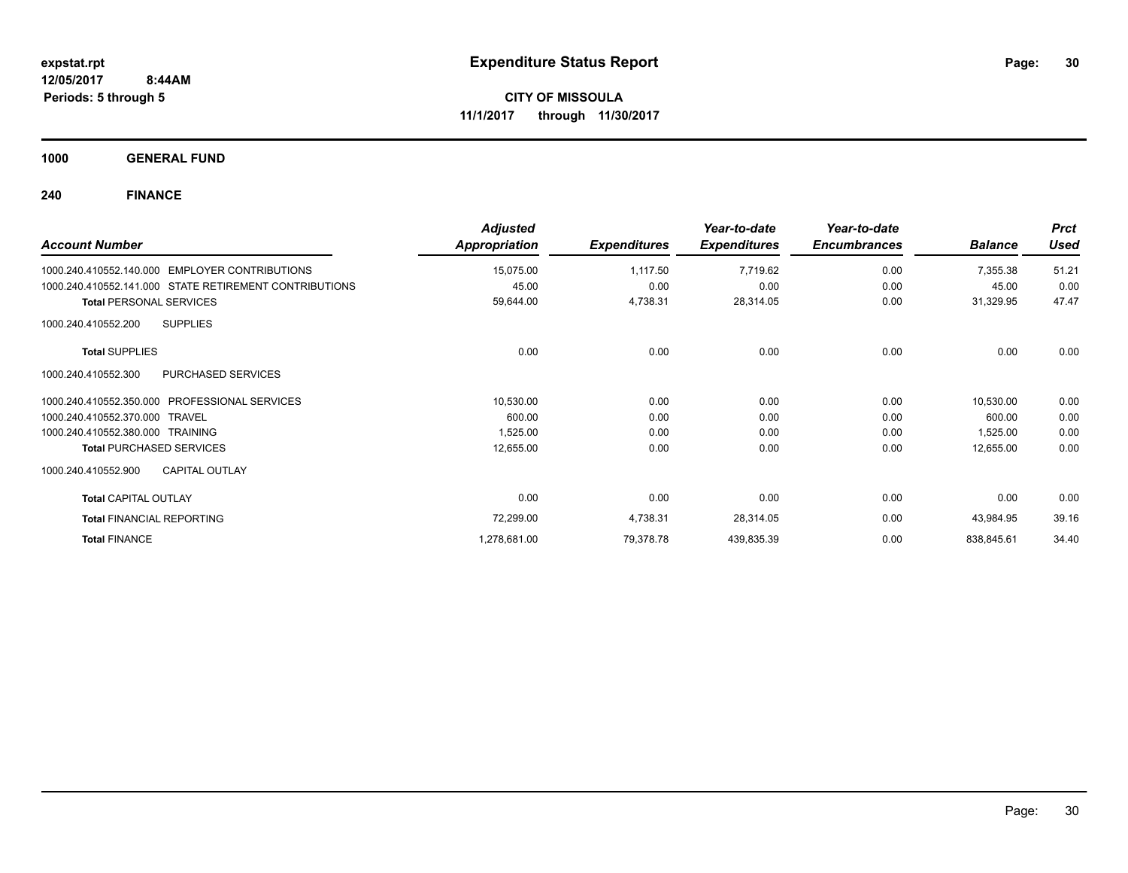**1000 GENERAL FUND**

| <b>Account Number</b>                                    | <b>Adjusted</b><br>Appropriation | <b>Expenditures</b> | Year-to-date<br><b>Expenditures</b> | Year-to-date<br><b>Encumbrances</b> | <b>Balance</b> | <b>Prct</b><br><b>Used</b> |
|----------------------------------------------------------|----------------------------------|---------------------|-------------------------------------|-------------------------------------|----------------|----------------------------|
| <b>EMPLOYER CONTRIBUTIONS</b><br>1000.240.410552.140.000 | 15,075.00                        | 1,117.50            | 7,719.62                            | 0.00                                | 7,355.38       | 51.21                      |
| 1000.240.410552.141.000 STATE RETIREMENT CONTRIBUTIONS   | 45.00                            | 0.00                | 0.00                                | 0.00                                | 45.00          | 0.00                       |
| <b>Total PERSONAL SERVICES</b>                           | 59,644.00                        | 4,738.31            | 28,314.05                           | 0.00                                | 31,329.95      | 47.47                      |
| <b>SUPPLIES</b><br>1000.240.410552.200                   |                                  |                     |                                     |                                     |                |                            |
| <b>Total SUPPLIES</b>                                    | 0.00                             | 0.00                | 0.00                                | 0.00                                | 0.00           | 0.00                       |
| <b>PURCHASED SERVICES</b><br>1000.240.410552.300         |                                  |                     |                                     |                                     |                |                            |
| <b>PROFESSIONAL SERVICES</b><br>1000.240.410552.350.000  | 10,530.00                        | 0.00                | 0.00                                | 0.00                                | 10,530.00      | 0.00                       |
| 1000.240.410552.370.000 TRAVEL                           | 600.00                           | 0.00                | 0.00                                | 0.00                                | 600.00         | 0.00                       |
| 1000.240.410552.380.000 TRAINING                         | 1,525.00                         | 0.00                | 0.00                                | 0.00                                | 1,525.00       | 0.00                       |
| <b>Total PURCHASED SERVICES</b>                          | 12,655.00                        | 0.00                | 0.00                                | 0.00                                | 12,655.00      | 0.00                       |
| <b>CAPITAL OUTLAY</b><br>1000.240.410552.900             |                                  |                     |                                     |                                     |                |                            |
| <b>Total CAPITAL OUTLAY</b>                              | 0.00                             | 0.00                | 0.00                                | 0.00                                | 0.00           | 0.00                       |
| <b>Total FINANCIAL REPORTING</b>                         | 72,299.00                        | 4,738.31            | 28,314.05                           | 0.00                                | 43,984.95      | 39.16                      |
| <b>Total FINANCE</b>                                     | 1,278,681.00                     | 79,378.78           | 439,835.39                          | 0.00                                | 838,845.61     | 34.40                      |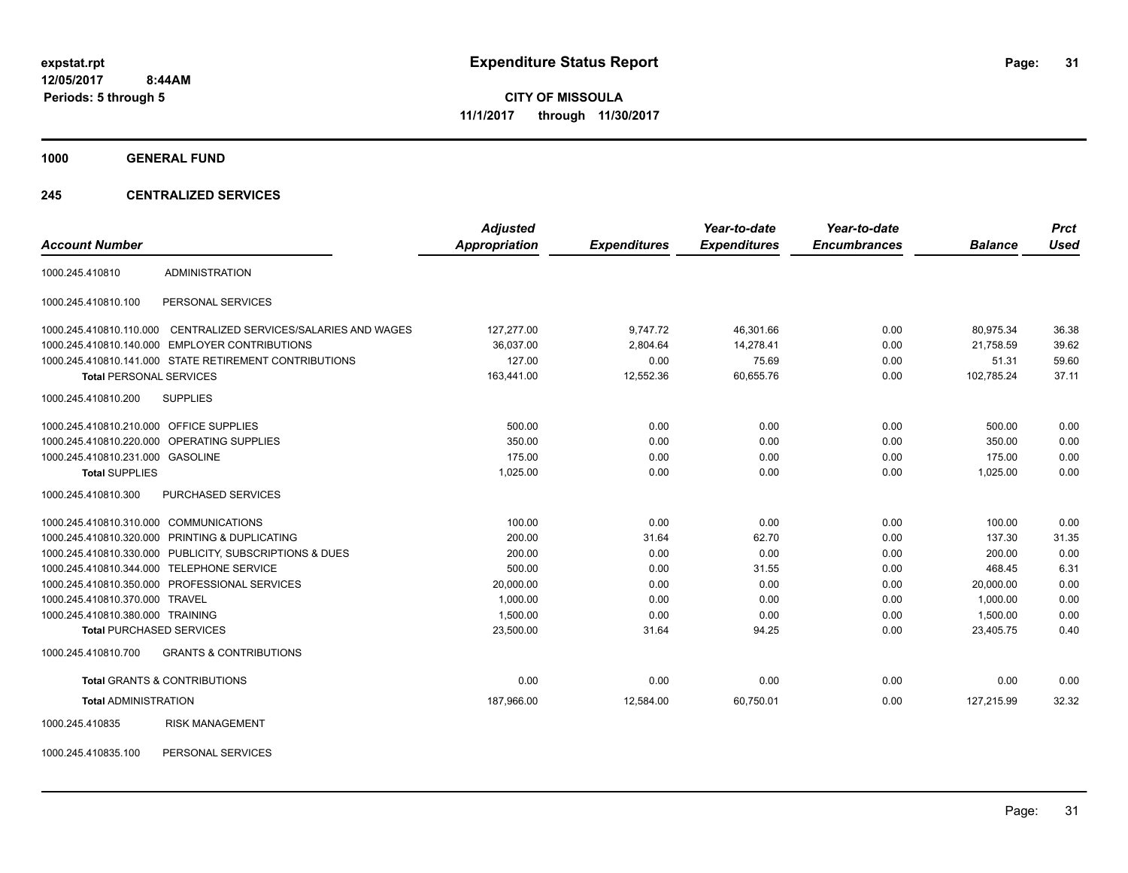**Periods: 5 through 5**

**CITY OF MISSOULA 11/1/2017 through 11/30/2017**

**1000 GENERAL FUND**

### **245 CENTRALIZED SERVICES**

|                                         |                                                         | <b>Adjusted</b> |                     | Year-to-date        | Year-to-date        |                | <b>Prct</b> |
|-----------------------------------------|---------------------------------------------------------|-----------------|---------------------|---------------------|---------------------|----------------|-------------|
| <b>Account Number</b>                   |                                                         | Appropriation   | <b>Expenditures</b> | <b>Expenditures</b> | <b>Encumbrances</b> | <b>Balance</b> | <b>Used</b> |
| 1000.245.410810                         | <b>ADMINISTRATION</b>                                   |                 |                     |                     |                     |                |             |
| 1000.245.410810.100                     | PERSONAL SERVICES                                       |                 |                     |                     |                     |                |             |
| 1000.245.410810.110.000                 | CENTRALIZED SERVICES/SALARIES AND WAGES                 | 127,277.00      | 9,747.72            | 46,301.66           | 0.00                | 80.975.34      | 36.38       |
|                                         | 1000.245.410810.140.000 EMPLOYER CONTRIBUTIONS          | 36.037.00       | 2.804.64            | 14.278.41           | 0.00                | 21.758.59      | 39.62       |
|                                         | 1000.245.410810.141.000 STATE RETIREMENT CONTRIBUTIONS  | 127.00          | 0.00                | 75.69               | 0.00                | 51.31          | 59.60       |
| <b>Total PERSONAL SERVICES</b>          |                                                         | 163,441.00      | 12,552.36           | 60,655.76           | 0.00                | 102,785.24     | 37.11       |
| 1000.245.410810.200                     | <b>SUPPLIES</b>                                         |                 |                     |                     |                     |                |             |
| 1000.245.410810.210.000 OFFICE SUPPLIES |                                                         | 500.00          | 0.00                | 0.00                | 0.00                | 500.00         | 0.00        |
|                                         | 1000.245.410810.220.000 OPERATING SUPPLIES              | 350.00          | 0.00                | 0.00                | 0.00                | 350.00         | 0.00        |
| 1000.245.410810.231.000 GASOLINE        |                                                         | 175.00          | 0.00                | 0.00                | 0.00                | 175.00         | 0.00        |
| <b>Total SUPPLIES</b>                   |                                                         | 1,025.00        | 0.00                | 0.00                | 0.00                | 1.025.00       | 0.00        |
| 1000.245.410810.300                     | PURCHASED SERVICES                                      |                 |                     |                     |                     |                |             |
| 1000.245.410810.310.000 COMMUNICATIONS  |                                                         | 100.00          | 0.00                | 0.00                | 0.00                | 100.00         | 0.00        |
|                                         | 1000.245.410810.320.000 PRINTING & DUPLICATING          | 200.00          | 31.64               | 62.70               | 0.00                | 137.30         | 31.35       |
|                                         | 1000.245.410810.330.000 PUBLICITY, SUBSCRIPTIONS & DUES | 200.00          | 0.00                | 0.00                | 0.00                | 200.00         | 0.00        |
| 1000.245.410810.344.000                 | <b>TELEPHONE SERVICE</b>                                | 500.00          | 0.00                | 31.55               | 0.00                | 468.45         | 6.31        |
|                                         | 1000.245.410810.350.000 PROFESSIONAL SERVICES           | 20,000.00       | 0.00                | 0.00                | 0.00                | 20,000.00      | 0.00        |
| 1000.245.410810.370.000                 | <b>TRAVEL</b>                                           | 1.000.00        | 0.00                | 0.00                | 0.00                | 1.000.00       | 0.00        |
| 1000.245.410810.380.000 TRAINING        |                                                         | 1,500.00        | 0.00                | 0.00                | 0.00                | 1,500.00       | 0.00        |
| <b>Total PURCHASED SERVICES</b>         |                                                         | 23,500.00       | 31.64               | 94.25               | 0.00                | 23,405.75      | 0.40        |
| 1000.245.410810.700                     | <b>GRANTS &amp; CONTRIBUTIONS</b>                       |                 |                     |                     |                     |                |             |
|                                         | <b>Total GRANTS &amp; CONTRIBUTIONS</b>                 | 0.00            | 0.00                | 0.00                | 0.00                | 0.00           | 0.00        |
| <b>Total ADMINISTRATION</b>             |                                                         | 187,966.00      | 12,584.00           | 60,750.01           | 0.00                | 127,215.99     | 32.32       |
| 1000.245.410835                         | <b>RISK MANAGEMENT</b>                                  |                 |                     |                     |                     |                |             |

1000.245.410835.100 PERSONAL SERVICES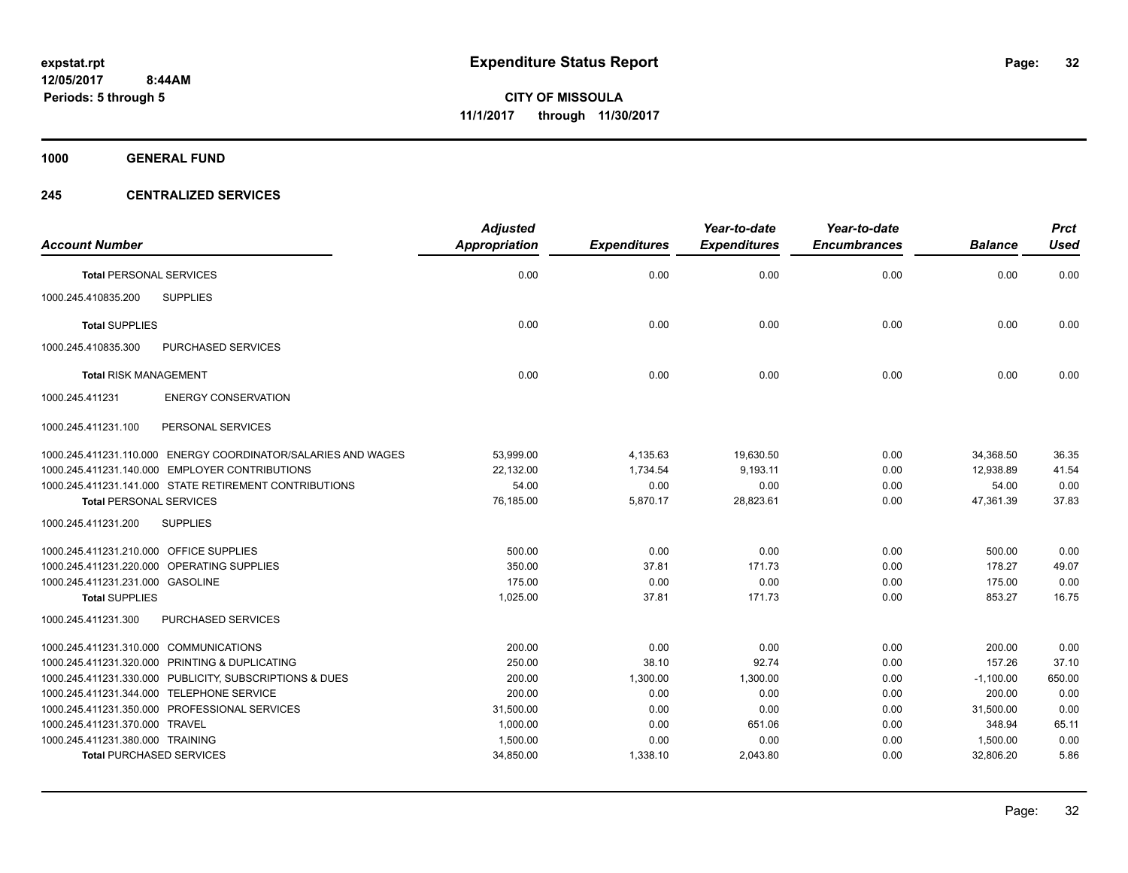**1000 GENERAL FUND**

### **245 CENTRALIZED SERVICES**

|                                         |                                                               | <b>Adjusted</b>      |                     | Year-to-date        | Year-to-date        |                | <b>Prct</b> |
|-----------------------------------------|---------------------------------------------------------------|----------------------|---------------------|---------------------|---------------------|----------------|-------------|
| <b>Account Number</b>                   |                                                               | <b>Appropriation</b> | <b>Expenditures</b> | <b>Expenditures</b> | <b>Encumbrances</b> | <b>Balance</b> | <b>Used</b> |
| <b>Total PERSONAL SERVICES</b>          |                                                               | 0.00                 | 0.00                | 0.00                | 0.00                | 0.00           | 0.00        |
| 1000.245.410835.200                     | <b>SUPPLIES</b>                                               |                      |                     |                     |                     |                |             |
| <b>Total SUPPLIES</b>                   |                                                               | 0.00                 | 0.00                | 0.00                | 0.00                | 0.00           | 0.00        |
| 1000.245.410835.300                     | PURCHASED SERVICES                                            |                      |                     |                     |                     |                |             |
| <b>Total RISK MANAGEMENT</b>            |                                                               | 0.00                 | 0.00                | 0.00                | 0.00                | 0.00           | 0.00        |
| 1000.245.411231                         | <b>ENERGY CONSERVATION</b>                                    |                      |                     |                     |                     |                |             |
| 1000.245.411231.100                     | PERSONAL SERVICES                                             |                      |                     |                     |                     |                |             |
|                                         | 1000.245.411231.110.000 ENERGY COORDINATOR/SALARIES AND WAGES | 53,999.00            | 4,135.63            | 19,630.50           | 0.00                | 34,368.50      | 36.35       |
|                                         | 1000.245.411231.140.000 EMPLOYER CONTRIBUTIONS                | 22,132.00            | 1,734.54            | 9,193.11            | 0.00                | 12.938.89      | 41.54       |
|                                         | 1000.245.411231.141.000 STATE RETIREMENT CONTRIBUTIONS        | 54.00                | 0.00                | 0.00                | 0.00                | 54.00          | 0.00        |
| <b>Total PERSONAL SERVICES</b>          |                                                               | 76,185.00            | 5,870.17            | 28,823.61           | 0.00                | 47,361.39      | 37.83       |
| 1000.245.411231.200                     | <b>SUPPLIES</b>                                               |                      |                     |                     |                     |                |             |
| 1000.245.411231.210.000 OFFICE SUPPLIES |                                                               | 500.00               | 0.00                | 0.00                | 0.00                | 500.00         | 0.00        |
|                                         | 1000.245.411231.220.000 OPERATING SUPPLIES                    | 350.00               | 37.81               | 171.73              | 0.00                | 178.27         | 49.07       |
| 1000.245.411231.231.000 GASOLINE        |                                                               | 175.00               | 0.00                | 0.00                | 0.00                | 175.00         | 0.00        |
| <b>Total SUPPLIES</b>                   |                                                               | 1,025.00             | 37.81               | 171.73              | 0.00                | 853.27         | 16.75       |
| 1000.245.411231.300                     | <b>PURCHASED SERVICES</b>                                     |                      |                     |                     |                     |                |             |
| 1000.245.411231.310.000 COMMUNICATIONS  |                                                               | 200.00               | 0.00                | 0.00                | 0.00                | 200.00         | 0.00        |
|                                         | 1000.245.411231.320.000 PRINTING & DUPLICATING                | 250.00               | 38.10               | 92.74               | 0.00                | 157.26         | 37.10       |
|                                         | 1000.245.411231.330.000 PUBLICITY, SUBSCRIPTIONS & DUES       | 200.00               | 1,300.00            | 1,300.00            | 0.00                | $-1,100.00$    | 650.00      |
|                                         | 1000.245.411231.344.000 TELEPHONE SERVICE                     | 200.00               | 0.00                | 0.00                | 0.00                | 200.00         | 0.00        |
|                                         | 1000.245.411231.350.000 PROFESSIONAL SERVICES                 | 31,500.00            | 0.00                | 0.00                | 0.00                | 31,500.00      | 0.00        |
| 1000.245.411231.370.000 TRAVEL          |                                                               | 1,000.00             | 0.00                | 651.06              | 0.00                | 348.94         | 65.11       |
| 1000.245.411231.380.000 TRAINING        |                                                               | 1,500.00             | 0.00                | 0.00                | 0.00                | 1,500.00       | 0.00        |
| <b>Total PURCHASED SERVICES</b>         |                                                               | 34,850.00            | 1,338.10            | 2,043.80            | 0.00                | 32,806.20      | 5.86        |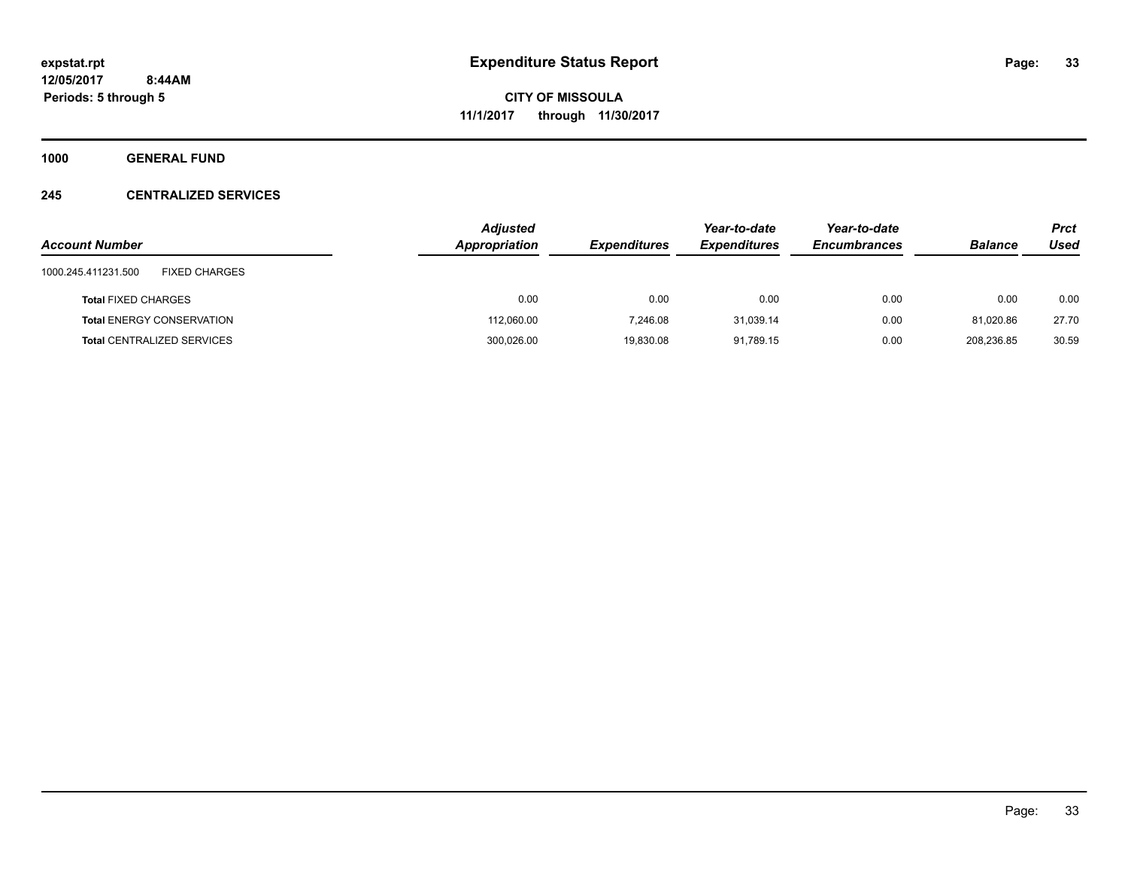**1000 GENERAL FUND**

### **245 CENTRALIZED SERVICES**

|                                             | <b>Adjusted</b> |                     | Year-to-date        | Year-to-date        |                | Prct  |
|---------------------------------------------|-----------------|---------------------|---------------------|---------------------|----------------|-------|
| <b>Account Number</b>                       | Appropriation   | <b>Expenditures</b> | <b>Expenditures</b> | <b>Encumbrances</b> | <b>Balance</b> | Used  |
| <b>FIXED CHARGES</b><br>1000.245.411231.500 |                 |                     |                     |                     |                |       |
| <b>Total FIXED CHARGES</b>                  | 0.00            | 0.00                | 0.00                | 0.00                | 0.00           | 0.00  |
| <b>Total ENERGY CONSERVATION</b>            | 112,060.00      | 7,246.08            | 31.039.14           | 0.00                | 81.020.86      | 27.70 |
| <b>Total CENTRALIZED SERVICES</b>           | 300,026.00      | 19,830.08           | 91.789.15           | 0.00                | 208.236.85     | 30.59 |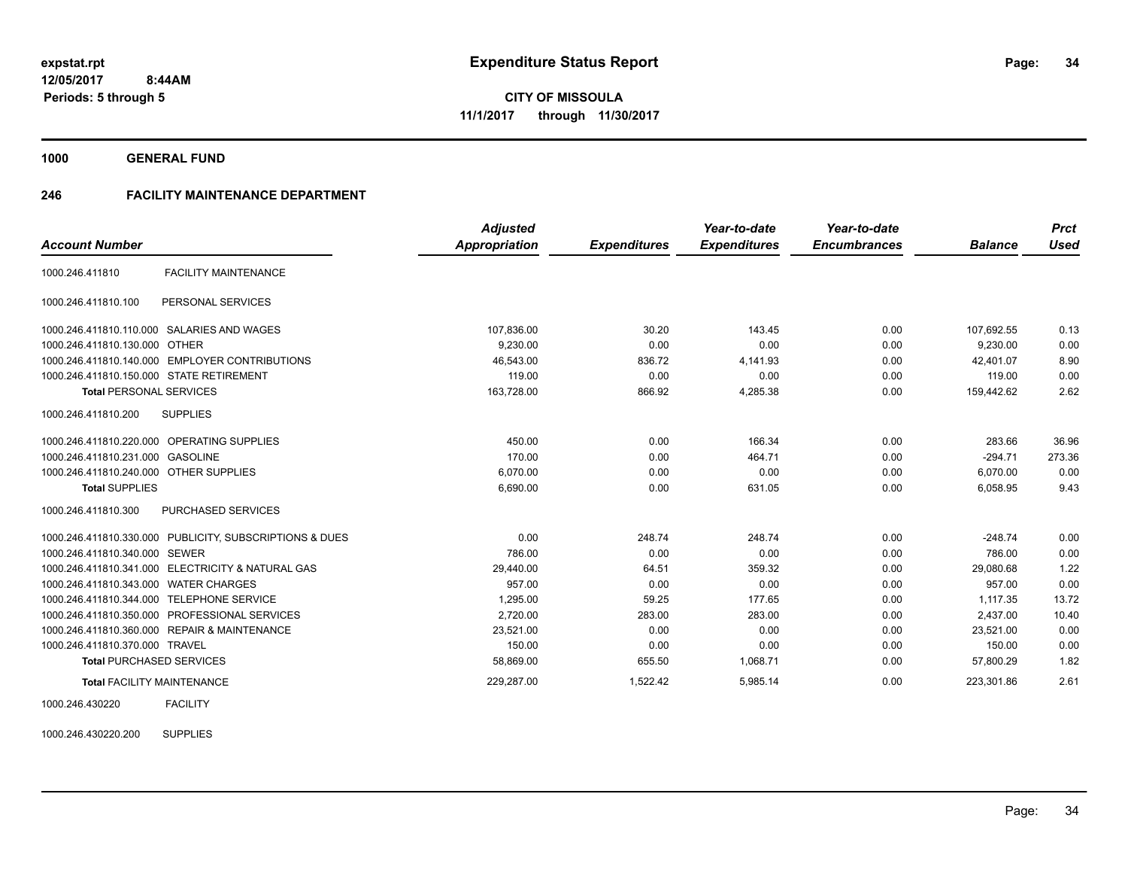**1000 GENERAL FUND**

### **246 FACILITY MAINTENANCE DEPARTMENT**

|                                          |                                                         | <b>Adjusted</b>      |                     | Year-to-date        | Year-to-date        |                | <b>Prct</b> |
|------------------------------------------|---------------------------------------------------------|----------------------|---------------------|---------------------|---------------------|----------------|-------------|
| <b>Account Number</b>                    |                                                         | <b>Appropriation</b> | <b>Expenditures</b> | <b>Expenditures</b> | <b>Encumbrances</b> | <b>Balance</b> | <b>Used</b> |
| 1000.246.411810                          | <b>FACILITY MAINTENANCE</b>                             |                      |                     |                     |                     |                |             |
| 1000.246.411810.100                      | PERSONAL SERVICES                                       |                      |                     |                     |                     |                |             |
|                                          | 1000.246.411810.110.000 SALARIES AND WAGES              | 107,836.00           | 30.20               | 143.45              | 0.00                | 107,692.55     | 0.13        |
| 1000.246.411810.130.000 OTHER            |                                                         | 9.230.00             | 0.00                | 0.00                | 0.00                | 9.230.00       | 0.00        |
|                                          | 1000.246.411810.140.000 EMPLOYER CONTRIBUTIONS          | 46,543.00            | 836.72              | 4,141.93            | 0.00                | 42.401.07      | 8.90        |
| 1000.246.411810.150.000 STATE RETIREMENT |                                                         | 119.00               | 0.00                | 0.00                | 0.00                | 119.00         | 0.00        |
| <b>Total PERSONAL SERVICES</b>           |                                                         | 163,728.00           | 866.92              | 4,285.38            | 0.00                | 159,442.62     | 2.62        |
| 1000.246.411810.200                      | <b>SUPPLIES</b>                                         |                      |                     |                     |                     |                |             |
|                                          | 1000.246.411810.220.000 OPERATING SUPPLIES              | 450.00               | 0.00                | 166.34              | 0.00                | 283.66         | 36.96       |
| 1000.246.411810.231.000 GASOLINE         |                                                         | 170.00               | 0.00                | 464.71              | 0.00                | $-294.71$      | 273.36      |
| 1000.246.411810.240.000 OTHER SUPPLIES   |                                                         | 6,070.00             | 0.00                | 0.00                | 0.00                | 6,070.00       | 0.00        |
| <b>Total SUPPLIES</b>                    |                                                         | 6,690.00             | 0.00                | 631.05              | 0.00                | 6,058.95       | 9.43        |
| 1000.246.411810.300                      | <b>PURCHASED SERVICES</b>                               |                      |                     |                     |                     |                |             |
|                                          | 1000.246.411810.330.000 PUBLICITY, SUBSCRIPTIONS & DUES | 0.00                 | 248.74              | 248.74              | 0.00                | $-248.74$      | 0.00        |
| 1000.246.411810.340.000 SEWER            |                                                         | 786.00               | 0.00                | 0.00                | 0.00                | 786.00         | 0.00        |
|                                          | 1000.246.411810.341.000 ELECTRICITY & NATURAL GAS       | 29,440.00            | 64.51               | 359.32              | 0.00                | 29,080.68      | 1.22        |
| 1000.246.411810.343.000 WATER CHARGES    |                                                         | 957.00               | 0.00                | 0.00                | 0.00                | 957.00         | 0.00        |
| 1000.246.411810.344.000                  | <b>TELEPHONE SERVICE</b>                                | 1,295.00             | 59.25               | 177.65              | 0.00                | 1,117.35       | 13.72       |
|                                          | 1000.246.411810.350.000 PROFESSIONAL SERVICES           | 2,720.00             | 283.00              | 283.00              | 0.00                | 2,437.00       | 10.40       |
|                                          | 1000.246.411810.360.000 REPAIR & MAINTENANCE            | 23,521.00            | 0.00                | 0.00                | 0.00                | 23,521.00      | 0.00        |
| 1000.246.411810.370.000 TRAVEL           |                                                         | 150.00               | 0.00                | 0.00                | 0.00                | 150.00         | 0.00        |
| <b>Total PURCHASED SERVICES</b>          |                                                         | 58,869.00            | 655.50              | 1,068.71            | 0.00                | 57,800.29      | 1.82        |
| <b>Total FACILITY MAINTENANCE</b>        |                                                         | 229,287.00           | 1,522.42            | 5,985.14            | 0.00                | 223,301.86     | 2.61        |
|                                          |                                                         |                      |                     |                     |                     |                |             |

1000.246.430220 FACILITY

1000.246.430220.200 SUPPLIES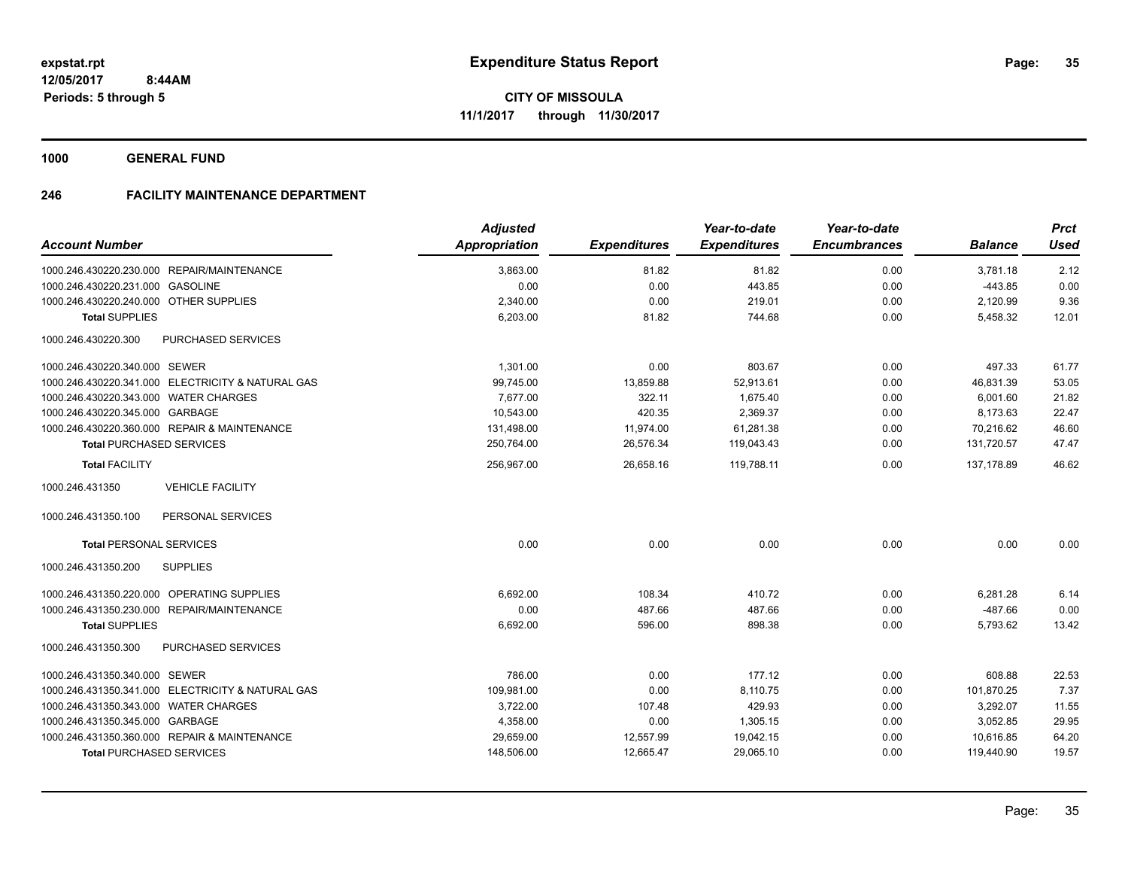**1000 GENERAL FUND**

### **246 FACILITY MAINTENANCE DEPARTMENT**

|                                            |                                                   | <b>Adjusted</b>      |                     | Year-to-date        | Year-to-date        |                | <b>Prct</b> |
|--------------------------------------------|---------------------------------------------------|----------------------|---------------------|---------------------|---------------------|----------------|-------------|
| <b>Account Number</b>                      |                                                   | <b>Appropriation</b> | <b>Expenditures</b> | <b>Expenditures</b> | <b>Encumbrances</b> | <b>Balance</b> | <b>Used</b> |
|                                            | 1000.246.430220.230.000 REPAIR/MAINTENANCE        | 3,863.00             | 81.82               | 81.82               | 0.00                | 3,781.18       | 2.12        |
| 1000.246.430220.231.000 GASOLINE           |                                                   | 0.00                 | 0.00                | 443.85              | 0.00                | $-443.85$      | 0.00        |
| 1000.246.430220.240.000 OTHER SUPPLIES     |                                                   | 2,340.00             | 0.00                | 219.01              | 0.00                | 2,120.99       | 9.36        |
| <b>Total SUPPLIES</b>                      |                                                   | 6,203.00             | 81.82               | 744.68              | 0.00                | 5,458.32       | 12.01       |
| 1000.246.430220.300                        | <b>PURCHASED SERVICES</b>                         |                      |                     |                     |                     |                |             |
| 1000.246.430220.340.000 SEWER              |                                                   | 1,301.00             | 0.00                | 803.67              | 0.00                | 497.33         | 61.77       |
|                                            | 1000.246.430220.341.000 ELECTRICITY & NATURAL GAS | 99,745.00            | 13,859.88           | 52,913.61           | 0.00                | 46,831.39      | 53.05       |
| 1000.246.430220.343.000 WATER CHARGES      |                                                   | 7.677.00             | 322.11              | 1,675.40            | 0.00                | 6.001.60       | 21.82       |
| 1000.246.430220.345.000 GARBAGE            |                                                   | 10,543.00            | 420.35              | 2,369.37            | 0.00                | 8,173.63       | 22.47       |
|                                            | 1000.246.430220.360.000 REPAIR & MAINTENANCE      | 131,498.00           | 11,974.00           | 61,281.38           | 0.00                | 70.216.62      | 46.60       |
| <b>Total PURCHASED SERVICES</b>            |                                                   | 250,764.00           | 26,576.34           | 119,043.43          | 0.00                | 131,720.57     | 47.47       |
| <b>Total FACILITY</b>                      |                                                   | 256,967.00           | 26,658.16           | 119,788.11          | 0.00                | 137,178.89     | 46.62       |
| 1000.246.431350                            | <b>VEHICLE FACILITY</b>                           |                      |                     |                     |                     |                |             |
| 1000.246.431350.100                        | PERSONAL SERVICES                                 |                      |                     |                     |                     |                |             |
| <b>Total PERSONAL SERVICES</b>             |                                                   | 0.00                 | 0.00                | 0.00                | 0.00                | 0.00           | 0.00        |
| 1000.246.431350.200                        | <b>SUPPLIES</b>                                   |                      |                     |                     |                     |                |             |
| 1000.246.431350.220.000 OPERATING SUPPLIES |                                                   | 6,692.00             | 108.34              | 410.72              | 0.00                | 6,281.28       | 6.14        |
|                                            | 1000.246.431350.230.000 REPAIR/MAINTENANCE        | 0.00                 | 487.66              | 487.66              | 0.00                | $-487.66$      | 0.00        |
| <b>Total SUPPLIES</b>                      |                                                   | 6,692.00             | 596.00              | 898.38              | 0.00                | 5,793.62       | 13.42       |
| 1000.246.431350.300                        | PURCHASED SERVICES                                |                      |                     |                     |                     |                |             |
| 1000.246.431350.340.000 SEWER              |                                                   | 786.00               | 0.00                | 177.12              | 0.00                | 608.88         | 22.53       |
|                                            | 1000.246.431350.341.000 ELECTRICITY & NATURAL GAS | 109,981.00           | 0.00                | 8,110.75            | 0.00                | 101,870.25     | 7.37        |
| 1000.246.431350.343.000 WATER CHARGES      |                                                   | 3,722.00             | 107.48              | 429.93              | 0.00                | 3,292.07       | 11.55       |
| 1000.246.431350.345.000 GARBAGE            |                                                   | 4,358.00             | 0.00                | 1,305.15            | 0.00                | 3,052.85       | 29.95       |
|                                            | 1000.246.431350.360.000 REPAIR & MAINTENANCE      | 29,659.00            | 12,557.99           | 19,042.15           | 0.00                | 10,616.85      | 64.20       |
| <b>Total PURCHASED SERVICES</b>            |                                                   | 148,506.00           | 12,665.47           | 29,065.10           | 0.00                | 119,440.90     | 19.57       |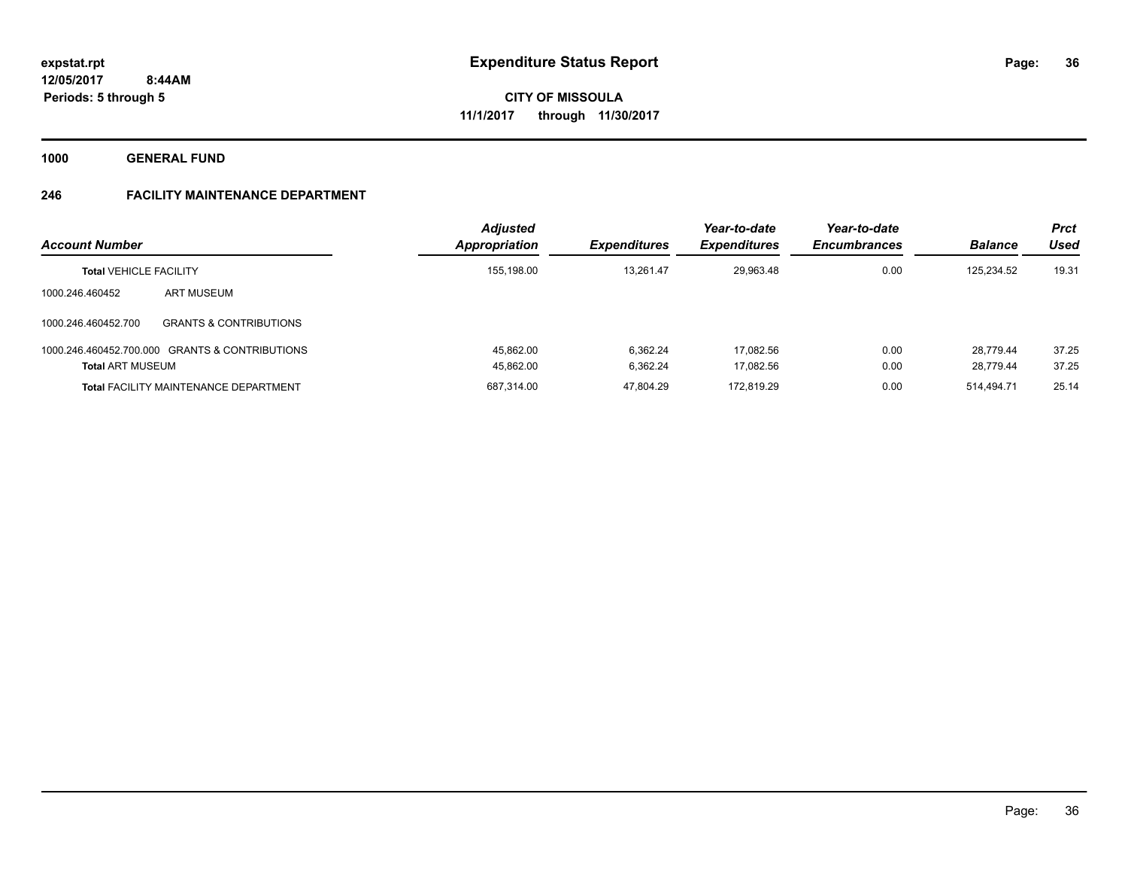**1000 GENERAL FUND**

### **246 FACILITY MAINTENANCE DEPARTMENT**

| <b>Account Number</b><br><b>Total VEHICLE FACILITY</b>                    |                                              | <b>Adjusted</b><br>Appropriation | <b>Expenditures</b><br>13.261.47 | Year-to-date<br><b>Expenditures</b><br>29.963.48 | Year-to-date<br><b>Encumbrances</b><br>0.00 | <b>Balance</b><br>125.234.52 | <b>Prct</b><br>Used<br>19.31 |
|---------------------------------------------------------------------------|----------------------------------------------|----------------------------------|----------------------------------|--------------------------------------------------|---------------------------------------------|------------------------------|------------------------------|
|                                                                           |                                              | 155,198.00                       |                                  |                                                  |                                             |                              |                              |
| 1000.246.460452                                                           | ART MUSEUM                                   |                                  |                                  |                                                  |                                             |                              |                              |
| 1000.246.460452.700                                                       | <b>GRANTS &amp; CONTRIBUTIONS</b>            |                                  |                                  |                                                  |                                             |                              |                              |
| 1000.246.460452.700.000 GRANTS & CONTRIBUTIONS<br><b>Total ART MUSEUM</b> |                                              | 45.862.00                        | 6.362.24                         | 17.082.56                                        | 0.00                                        | 28.779.44                    | 37.25                        |
|                                                                           |                                              | 45,862.00                        | 6.362.24                         | 17.082.56                                        | 0.00                                        | 28.779.44                    | 37.25                        |
|                                                                           | <b>Total FACILITY MAINTENANCE DEPARTMENT</b> | 687.314.00                       | 47.804.29                        | 172.819.29                                       | 0.00                                        | 514.494.71                   | 25.14                        |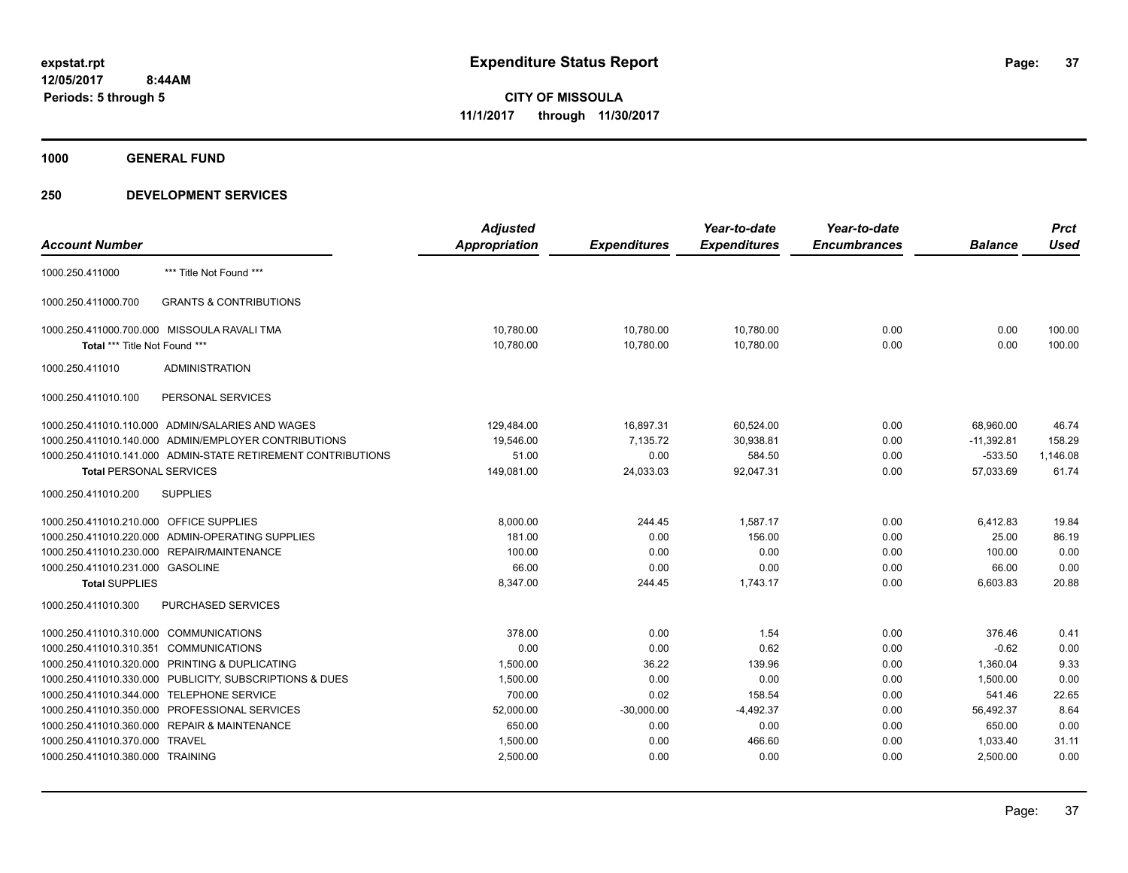**1000 GENERAL FUND**

|                                         |                                                              | <b>Adjusted</b> |                     | Year-to-date        | Year-to-date        |                | <b>Prct</b> |
|-----------------------------------------|--------------------------------------------------------------|-----------------|---------------------|---------------------|---------------------|----------------|-------------|
| <b>Account Number</b>                   |                                                              | Appropriation   | <b>Expenditures</b> | <b>Expenditures</b> | <b>Encumbrances</b> | <b>Balance</b> | <b>Used</b> |
| 1000.250.411000                         | *** Title Not Found ***                                      |                 |                     |                     |                     |                |             |
| 1000.250.411000.700                     | <b>GRANTS &amp; CONTRIBUTIONS</b>                            |                 |                     |                     |                     |                |             |
|                                         | 1000.250.411000.700.000 MISSOULA RAVALI TMA                  | 10.780.00       | 10,780.00           | 10,780.00           | 0.00                | 0.00           | 100.00      |
| Total *** Title Not Found ***           |                                                              | 10,780.00       | 10,780.00           | 10,780.00           | 0.00                | 0.00           | 100.00      |
| 1000.250.411010                         | <b>ADMINISTRATION</b>                                        |                 |                     |                     |                     |                |             |
| 1000.250.411010.100                     | PERSONAL SERVICES                                            |                 |                     |                     |                     |                |             |
|                                         | 1000.250.411010.110.000 ADMIN/SALARIES AND WAGES             | 129,484.00      | 16,897.31           | 60,524.00           | 0.00                | 68,960.00      | 46.74       |
|                                         | 1000.250.411010.140.000 ADMIN/EMPLOYER CONTRIBUTIONS         | 19,546.00       | 7,135.72            | 30,938.81           | 0.00                | $-11,392.81$   | 158.29      |
|                                         | 1000.250.411010.141.000 ADMIN-STATE RETIREMENT CONTRIBUTIONS | 51.00           | 0.00                | 584.50              | 0.00                | $-533.50$      | 1,146.08    |
| <b>Total PERSONAL SERVICES</b>          |                                                              | 149,081.00      | 24,033.03           | 92,047.31           | 0.00                | 57,033.69      | 61.74       |
| 1000.250.411010.200                     | <b>SUPPLIES</b>                                              |                 |                     |                     |                     |                |             |
| 1000.250.411010.210.000 OFFICE SUPPLIES |                                                              | 8,000.00        | 244.45              | 1,587.17            | 0.00                | 6,412.83       | 19.84       |
|                                         | 1000.250.411010.220.000 ADMIN-OPERATING SUPPLIES             | 181.00          | 0.00                | 156.00              | 0.00                | 25.00          | 86.19       |
|                                         | 1000.250.411010.230.000 REPAIR/MAINTENANCE                   | 100.00          | 0.00                | 0.00                | 0.00                | 100.00         | 0.00        |
| 1000.250.411010.231.000 GASOLINE        |                                                              | 66.00           | 0.00                | 0.00                | 0.00                | 66.00          | 0.00        |
| <b>Total SUPPLIES</b>                   |                                                              | 8,347.00        | 244.45              | 1,743.17            | 0.00                | 6,603.83       | 20.88       |
| 1000.250.411010.300                     | <b>PURCHASED SERVICES</b>                                    |                 |                     |                     |                     |                |             |
| 1000.250.411010.310.000                 | <b>COMMUNICATIONS</b>                                        | 378.00          | 0.00                | 1.54                | 0.00                | 376.46         | 0.41        |
| 1000.250.411010.310.351 COMMUNICATIONS  |                                                              | 0.00            | 0.00                | 0.62                | 0.00                | $-0.62$        | 0.00        |
|                                         | 1000.250.411010.320.000 PRINTING & DUPLICATING               | 1,500.00        | 36.22               | 139.96              | 0.00                | 1,360.04       | 9.33        |
|                                         | 1000.250.411010.330.000 PUBLICITY, SUBSCRIPTIONS & DUES      | 1,500.00        | 0.00                | 0.00                | 0.00                | 1.500.00       | 0.00        |
| 1000.250.411010.344.000                 | <b>TELEPHONE SERVICE</b>                                     | 700.00          | 0.02                | 158.54              | 0.00                | 541.46         | 22.65       |
|                                         | 1000.250.411010.350.000 PROFESSIONAL SERVICES                | 52,000.00       | $-30,000.00$        | $-4,492.37$         | 0.00                | 56,492.37      | 8.64        |
|                                         | 1000.250.411010.360.000 REPAIR & MAINTENANCE                 | 650.00          | 0.00                | 0.00                | 0.00                | 650.00         | 0.00        |
| 1000.250.411010.370.000                 | <b>TRAVEL</b>                                                | 1,500.00        | 0.00                | 466.60              | 0.00                | 1,033.40       | 31.11       |
| 1000.250.411010.380.000 TRAINING        |                                                              | 2,500.00        | 0.00                | 0.00                | 0.00                | 2,500.00       | 0.00        |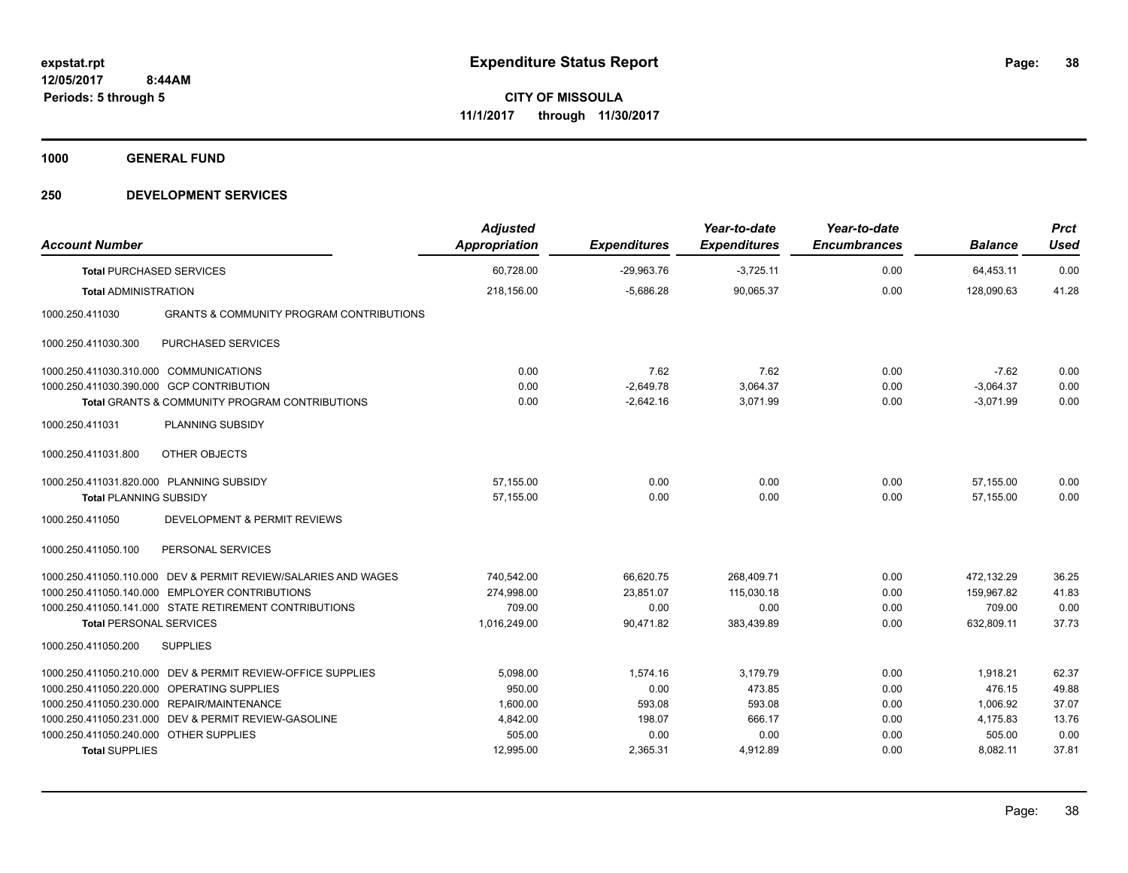**1000 GENERAL FUND**

| <b>Account Number</b>                    |                                                                | <b>Adjusted</b><br>Appropriation | <b>Expenditures</b> | Year-to-date<br><b>Expenditures</b> | Year-to-date<br><b>Encumbrances</b> | <b>Balance</b> | <b>Prct</b><br><b>Used</b> |
|------------------------------------------|----------------------------------------------------------------|----------------------------------|---------------------|-------------------------------------|-------------------------------------|----------------|----------------------------|
| <b>Total PURCHASED SERVICES</b>          |                                                                | 60,728.00                        | $-29,963.76$        | $-3,725.11$                         | 0.00                                | 64,453.11      | 0.00                       |
| <b>Total ADMINISTRATION</b>              |                                                                | 218,156.00                       | $-5,686.28$         | 90,065.37                           | 0.00                                | 128,090.63     | 41.28                      |
| 1000.250.411030                          | <b>GRANTS &amp; COMMUNITY PROGRAM CONTRIBUTIONS</b>            |                                  |                     |                                     |                                     |                |                            |
| 1000.250.411030.300                      | <b>PURCHASED SERVICES</b>                                      |                                  |                     |                                     |                                     |                |                            |
| 1000.250.411030.310.000 COMMUNICATIONS   |                                                                | 0.00                             | 7.62                | 7.62                                | 0.00                                | $-7.62$        | 0.00                       |
| 1000.250.411030.390.000 GCP CONTRIBUTION |                                                                | 0.00                             | $-2,649.78$         | 3,064.37                            | 0.00                                | $-3.064.37$    | 0.00                       |
|                                          | <b>Total GRANTS &amp; COMMUNITY PROGRAM CONTRIBUTIONS</b>      | 0.00                             | $-2,642.16$         | 3,071.99                            | 0.00                                | $-3,071.99$    | 0.00                       |
| 1000.250.411031                          | PLANNING SUBSIDY                                               |                                  |                     |                                     |                                     |                |                            |
| 1000.250.411031.800                      | OTHER OBJECTS                                                  |                                  |                     |                                     |                                     |                |                            |
| 1000.250.411031.820.000 PLANNING SUBSIDY |                                                                | 57,155.00                        | 0.00                | 0.00                                | 0.00                                | 57.155.00      | 0.00                       |
| <b>Total PLANNING SUBSIDY</b>            |                                                                | 57,155.00                        | 0.00                | 0.00                                | 0.00                                | 57,155.00      | 0.00                       |
| 1000.250.411050                          | <b>DEVELOPMENT &amp; PERMIT REVIEWS</b>                        |                                  |                     |                                     |                                     |                |                            |
| 1000.250.411050.100                      | PERSONAL SERVICES                                              |                                  |                     |                                     |                                     |                |                            |
|                                          | 1000.250.411050.110.000 DEV & PERMIT REVIEW/SALARIES AND WAGES | 740,542.00                       | 66,620.75           | 268,409.71                          | 0.00                                | 472,132.29     | 36.25                      |
|                                          | 1000.250.411050.140.000 EMPLOYER CONTRIBUTIONS                 | 274,998.00                       | 23,851.07           | 115.030.18                          | 0.00                                | 159,967.82     | 41.83                      |
|                                          | 1000.250.411050.141.000 STATE RETIREMENT CONTRIBUTIONS         | 709.00                           | 0.00                | 0.00                                | 0.00                                | 709.00         | 0.00                       |
| <b>Total PERSONAL SERVICES</b>           |                                                                | 1,016,249.00                     | 90,471.82           | 383,439.89                          | 0.00                                | 632,809.11     | 37.73                      |
| 1000.250.411050.200                      | <b>SUPPLIES</b>                                                |                                  |                     |                                     |                                     |                |                            |
|                                          | 1000.250.411050.210.000 DEV & PERMIT REVIEW-OFFICE SUPPLIES    | 5.098.00                         | 1.574.16            | 3.179.79                            | 0.00                                | 1.918.21       | 62.37                      |
|                                          | 1000.250.411050.220.000 OPERATING SUPPLIES                     | 950.00                           | 0.00                | 473.85                              | 0.00                                | 476.15         | 49.88                      |
|                                          | 1000.250.411050.230.000 REPAIR/MAINTENANCE                     | 1.600.00                         | 593.08              | 593.08                              | 0.00                                | 1,006.92       | 37.07                      |
|                                          | 1000.250.411050.231.000 DEV & PERMIT REVIEW-GASOLINE           | 4,842.00                         | 198.07              | 666.17                              | 0.00                                | 4,175.83       | 13.76                      |
| 1000.250.411050.240.000 OTHER SUPPLIES   |                                                                | 505.00                           | 0.00                | 0.00                                | 0.00                                | 505.00         | 0.00                       |
| <b>Total SUPPLIES</b>                    |                                                                | 12,995.00                        | 2,365.31            | 4,912.89                            | 0.00                                | 8,082.11       | 37.81                      |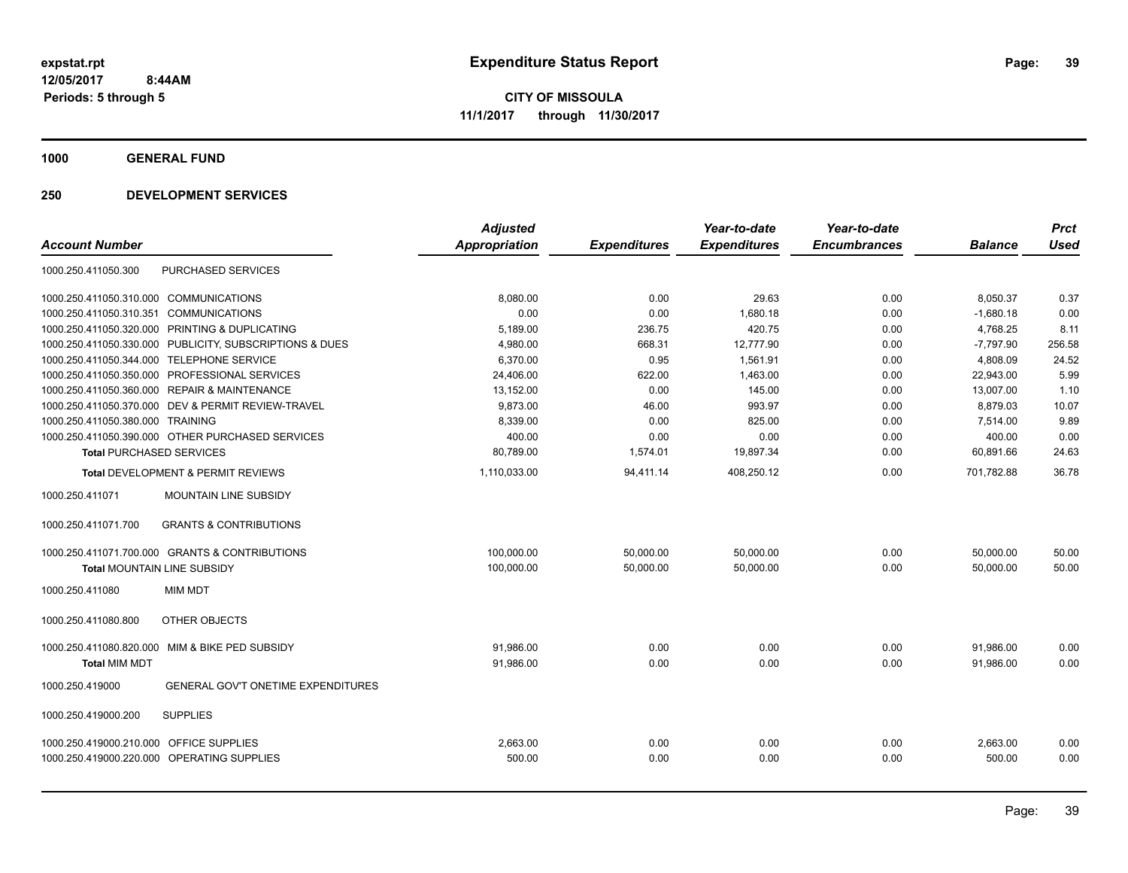**1000 GENERAL FUND**

|                                                          | <b>Adjusted</b>      |                     | Year-to-date        | Year-to-date        |                | <b>Prct</b> |
|----------------------------------------------------------|----------------------|---------------------|---------------------|---------------------|----------------|-------------|
| <b>Account Number</b>                                    | <b>Appropriation</b> | <b>Expenditures</b> | <b>Expenditures</b> | <b>Encumbrances</b> | <b>Balance</b> | <b>Used</b> |
| <b>PURCHASED SERVICES</b><br>1000.250.411050.300         |                      |                     |                     |                     |                |             |
| 1000.250.411050.310.000 COMMUNICATIONS                   | 8,080.00             | 0.00                | 29.63               | 0.00                | 8,050.37       | 0.37        |
| 1000.250.411050.310.351<br><b>COMMUNICATIONS</b>         | 0.00                 | 0.00                | 1,680.18            | 0.00                | $-1,680.18$    | 0.00        |
| 1000.250.411050.320.000<br>PRINTING & DUPLICATING        | 5,189.00             | 236.75              | 420.75              | 0.00                | 4,768.25       | 8.11        |
| 1000.250.411050.330.000 PUBLICITY, SUBSCRIPTIONS & DUES  | 4,980.00             | 668.31              | 12,777.90           | 0.00                | $-7,797.90$    | 256.58      |
| TELEPHONE SERVICE<br>1000.250.411050.344.000             | 6,370.00             | 0.95                | 1,561.91            | 0.00                | 4,808.09       | 24.52       |
| 1000.250.411050.350.000 PROFESSIONAL SERVICES            | 24,406.00            | 622.00              | 1,463.00            | 0.00                | 22,943.00      | 5.99        |
| 1000.250.411050.360.000 REPAIR & MAINTENANCE             | 13,152.00            | 0.00                | 145.00              | 0.00                | 13,007.00      | 1.10        |
| 1000.250.411050.370.000 DEV & PERMIT REVIEW-TRAVEL       | 9,873.00             | 46.00               | 993.97              | 0.00                | 8,879.03       | 10.07       |
| 1000.250.411050.380.000 TRAINING                         | 8,339.00             | 0.00                | 825.00              | 0.00                | 7,514.00       | 9.89        |
| 1000.250.411050.390.000 OTHER PURCHASED SERVICES         | 400.00               | 0.00                | 0.00                | 0.00                | 400.00         | 0.00        |
| <b>Total PURCHASED SERVICES</b>                          | 80,789.00            | 1,574.01            | 19,897.34           | 0.00                | 60,891.66      | 24.63       |
| Total DEVELOPMENT & PERMIT REVIEWS                       | 1,110,033.00         | 94,411.14           | 408,250.12          | 0.00                | 701,782.88     | 36.78       |
| MOUNTAIN LINE SUBSIDY<br>1000.250.411071                 |                      |                     |                     |                     |                |             |
| <b>GRANTS &amp; CONTRIBUTIONS</b><br>1000.250.411071.700 |                      |                     |                     |                     |                |             |
| 1000.250.411071.700.000 GRANTS & CONTRIBUTIONS           | 100,000.00           | 50,000.00           | 50,000.00           | 0.00                | 50,000.00      | 50.00       |
| <b>Total MOUNTAIN LINE SUBSIDY</b>                       | 100,000.00           | 50,000.00           | 50,000.00           | 0.00                | 50,000.00      | 50.00       |
| <b>MIM MDT</b><br>1000.250.411080                        |                      |                     |                     |                     |                |             |
| 1000.250.411080.800<br>OTHER OBJECTS                     |                      |                     |                     |                     |                |             |
| 1000.250.411080.820.000 MIM & BIKE PED SUBSIDY           | 91,986.00            | 0.00                | 0.00                | 0.00                | 91,986.00      | 0.00        |
| <b>Total MIM MDT</b>                                     | 91.986.00            | 0.00                | 0.00                | 0.00                | 91.986.00      | 0.00        |
| GENERAL GOV'T ONETIME EXPENDITURES<br>1000.250.419000    |                      |                     |                     |                     |                |             |
| <b>SUPPLIES</b><br>1000.250.419000.200                   |                      |                     |                     |                     |                |             |
| 1000.250.419000.210.000 OFFICE SUPPLIES                  | 2,663.00             | 0.00                | 0.00                | 0.00                | 2,663.00       | 0.00        |
| 1000.250.419000.220.000 OPERATING SUPPLIES               | 500.00               | 0.00                | 0.00                | 0.00                | 500.00         | 0.00        |
|                                                          |                      |                     |                     |                     |                |             |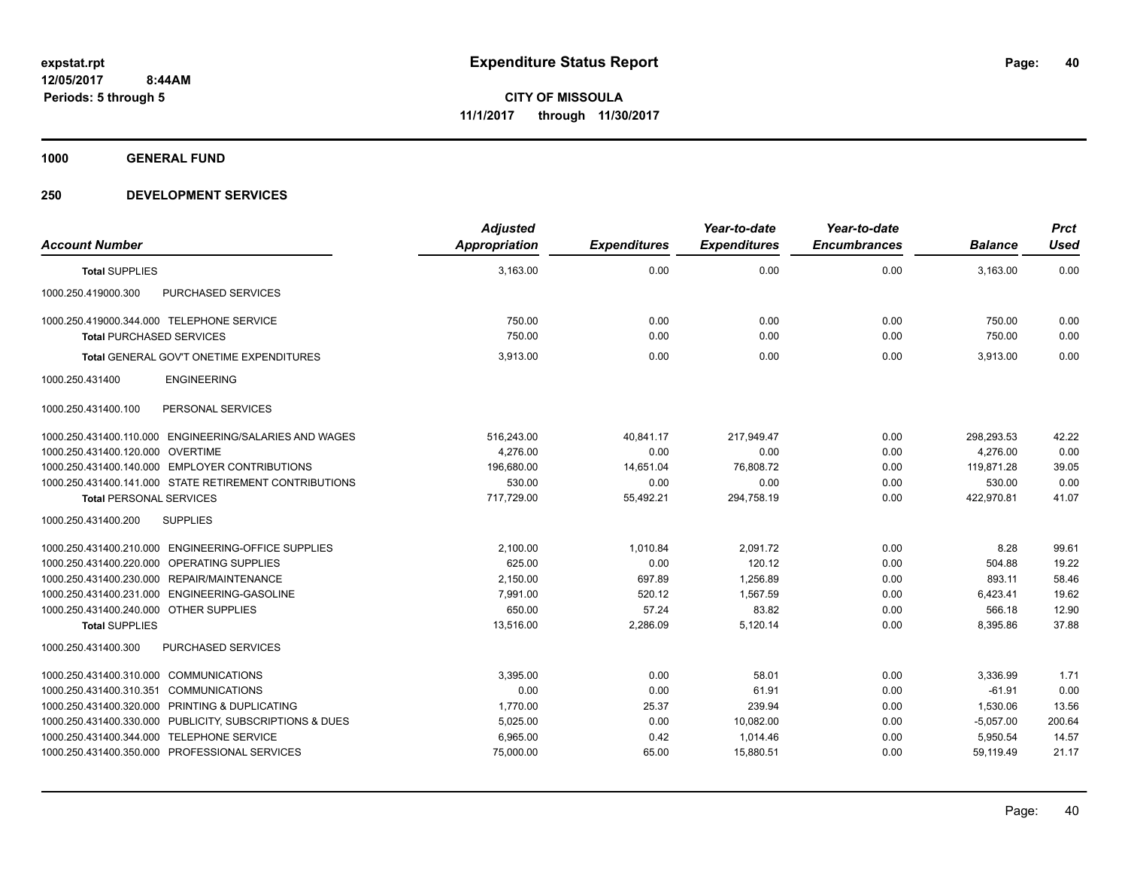**1000 GENERAL FUND**

| <b>Account Number</b>                                      | <b>Adjusted</b><br>Appropriation | <b>Expenditures</b> | Year-to-date<br><b>Expenditures</b> | Year-to-date<br><b>Encumbrances</b> | <b>Balance</b> | <b>Prct</b><br><b>Used</b> |
|------------------------------------------------------------|----------------------------------|---------------------|-------------------------------------|-------------------------------------|----------------|----------------------------|
| <b>Total SUPPLIES</b>                                      | 3,163.00                         | 0.00                | 0.00                                | 0.00                                | 3,163.00       | 0.00                       |
| 1000.250.419000.300<br>PURCHASED SERVICES                  |                                  |                     |                                     |                                     |                |                            |
| 1000.250.419000.344.000 TELEPHONE SERVICE                  | 750.00                           | 0.00                | 0.00                                | 0.00                                | 750.00         | 0.00                       |
| <b>Total PURCHASED SERVICES</b>                            | 750.00                           | 0.00                | 0.00                                | 0.00                                | 750.00         | 0.00                       |
| Total GENERAL GOV'T ONETIME EXPENDITURES                   | 3.913.00                         | 0.00                | 0.00                                | 0.00                                | 3.913.00       | 0.00                       |
| <b>ENGINEERING</b><br>1000.250.431400                      |                                  |                     |                                     |                                     |                |                            |
| PERSONAL SERVICES<br>1000.250.431400.100                   |                                  |                     |                                     |                                     |                |                            |
| 1000.250.431400.110.000 ENGINEERING/SALARIES AND WAGES     | 516,243.00                       | 40,841.17           | 217,949.47                          | 0.00                                | 298,293.53     | 42.22                      |
| 1000.250.431400.120.000 OVERTIME                           | 4.276.00                         | 0.00                | 0.00                                | 0.00                                | 4.276.00       | 0.00                       |
| 1000.250.431400.140.000 EMPLOYER CONTRIBUTIONS             | 196,680.00                       | 14,651.04           | 76,808.72                           | 0.00                                | 119,871.28     | 39.05                      |
| 1000.250.431400.141.000 STATE RETIREMENT CONTRIBUTIONS     | 530.00                           | 0.00                | 0.00                                | 0.00                                | 530.00         | 0.00                       |
| <b>Total PERSONAL SERVICES</b>                             | 717,729.00                       | 55,492.21           | 294,758.19                          | 0.00                                | 422,970.81     | 41.07                      |
| 1000.250.431400.200<br><b>SUPPLIES</b>                     |                                  |                     |                                     |                                     |                |                            |
| 1000.250.431400.210.000 ENGINEERING-OFFICE SUPPLIES        | 2,100.00                         | 1,010.84            | 2,091.72                            | 0.00                                | 8.28           | 99.61                      |
| OPERATING SUPPLIES<br>1000.250.431400.220.000              | 625.00                           | 0.00                | 120.12                              | 0.00                                | 504.88         | 19.22                      |
| 1000.250.431400.230.000 REPAIR/MAINTENANCE                 | 2,150.00                         | 697.89              | 1,256.89                            | 0.00                                | 893.11         | 58.46                      |
| 1000.250.431400.231.000<br>ENGINEERING-GASOLINE            | 7.991.00                         | 520.12              | 1.567.59                            | 0.00                                | 6,423.41       | 19.62                      |
| 1000.250.431400.240.000 OTHER SUPPLIES                     | 650.00                           | 57.24               | 83.82                               | 0.00                                | 566.18         | 12.90                      |
| <b>Total SUPPLIES</b>                                      | 13,516.00                        | 2,286.09            | 5,120.14                            | 0.00                                | 8,395.86       | 37.88                      |
| 1000.250.431400.300<br>PURCHASED SERVICES                  |                                  |                     |                                     |                                     |                |                            |
| <b>COMMUNICATIONS</b><br>1000.250.431400.310.000           | 3,395.00                         | 0.00                | 58.01                               | 0.00                                | 3,336.99       | 1.71                       |
| 1000.250.431400.310.351<br><b>COMMUNICATIONS</b>           | 0.00                             | 0.00                | 61.91                               | 0.00                                | $-61.91$       | 0.00                       |
| 1000.250.431400.320.000<br>PRINTING & DUPLICATING          | 1,770.00                         | 25.37               | 239.94                              | 0.00                                | 1,530.06       | 13.56                      |
| 1000.250.431400.330.000<br>PUBLICITY, SUBSCRIPTIONS & DUES | 5,025.00                         | 0.00                | 10,082.00                           | 0.00                                | $-5,057.00$    | 200.64                     |
| <b>TELEPHONE SERVICE</b><br>1000.250.431400.344.000        | 6,965.00                         | 0.42                | 1,014.46                            | 0.00                                | 5,950.54       | 14.57                      |
| 1000.250.431400.350.000 PROFESSIONAL SERVICES              | 75,000.00                        | 65.00               | 15,880.51                           | 0.00                                | 59,119.49      | 21.17                      |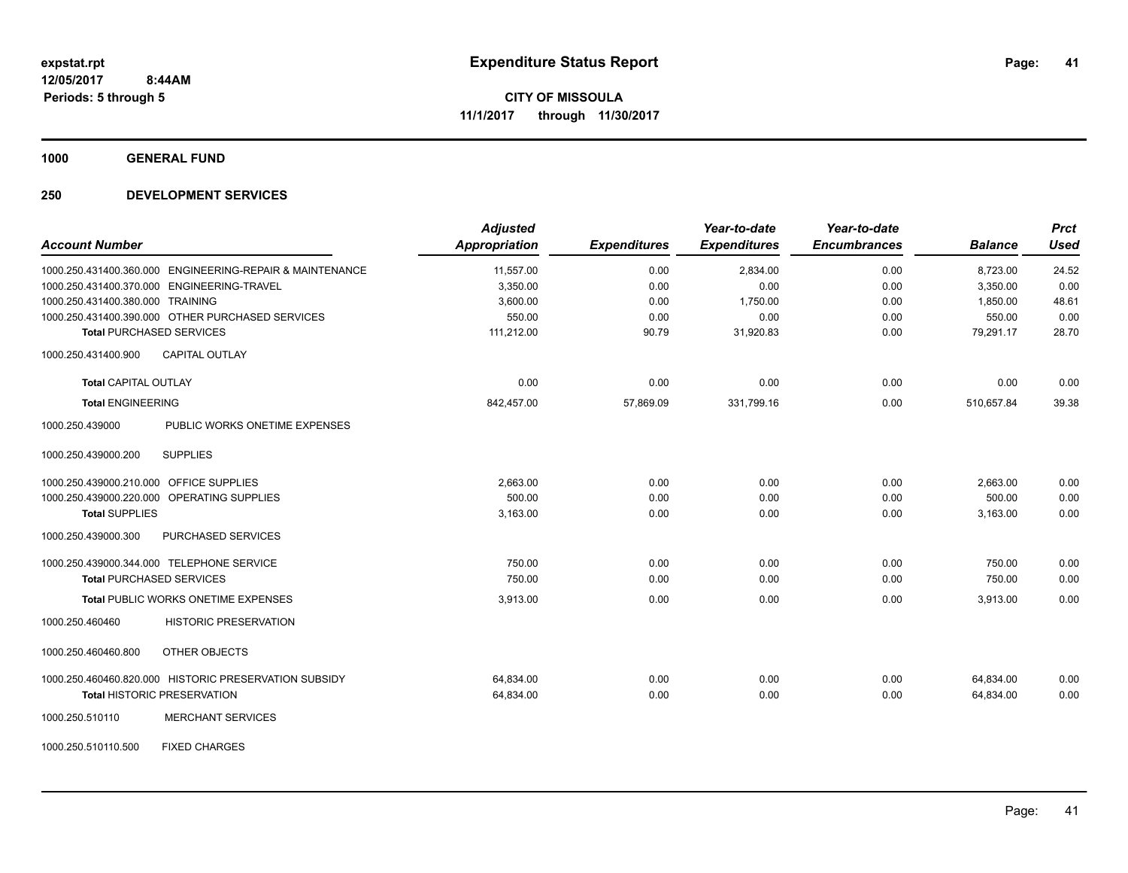**1000 GENERAL FUND**

| <b>Account Number</b>                                    | <b>Adjusted</b><br>Appropriation | <b>Expenditures</b> | Year-to-date<br><b>Expenditures</b> | Year-to-date<br><b>Encumbrances</b> | <b>Balance</b> | <b>Prct</b><br><b>Used</b> |
|----------------------------------------------------------|----------------------------------|---------------------|-------------------------------------|-------------------------------------|----------------|----------------------------|
| 1000.250.431400.360.000 ENGINEERING-REPAIR & MAINTENANCE | 11,557.00                        | 0.00                | 2,834.00                            | 0.00                                | 8,723.00       | 24.52                      |
| 1000.250.431400.370.000 ENGINEERING-TRAVEL               | 3,350.00                         | 0.00                | 0.00                                | 0.00                                | 3,350.00       | 0.00                       |
| 1000.250.431400.380.000 TRAINING                         | 3,600.00                         | 0.00                | 1,750.00                            | 0.00                                | 1,850.00       | 48.61                      |
| 1000.250.431400.390.000 OTHER PURCHASED SERVICES         | 550.00                           | 0.00                | 0.00                                | 0.00                                | 550.00         | 0.00                       |
| <b>Total PURCHASED SERVICES</b>                          | 111,212.00                       | 90.79               | 31,920.83                           | 0.00                                | 79,291.17      | 28.70                      |
| <b>CAPITAL OUTLAY</b><br>1000.250.431400.900             |                                  |                     |                                     |                                     |                |                            |
| <b>Total CAPITAL OUTLAY</b>                              | 0.00                             | 0.00                | 0.00                                | 0.00                                | 0.00           | 0.00                       |
| <b>Total ENGINEERING</b>                                 | 842,457.00                       | 57,869.09           | 331,799.16                          | 0.00                                | 510.657.84     | 39.38                      |
| 1000.250.439000<br>PUBLIC WORKS ONETIME EXPENSES         |                                  |                     |                                     |                                     |                |                            |
| 1000.250.439000.200<br><b>SUPPLIES</b>                   |                                  |                     |                                     |                                     |                |                            |
| 1000.250.439000.210.000 OFFICE SUPPLIES                  | 2.663.00                         | 0.00                | 0.00                                | 0.00                                | 2,663.00       | 0.00                       |
| 1000.250.439000.220.000 OPERATING SUPPLIES               | 500.00                           | 0.00                | 0.00                                | 0.00                                | 500.00         | 0.00                       |
| <b>Total SUPPLIES</b>                                    | 3,163.00                         | 0.00                | 0.00                                | 0.00                                | 3,163.00       | 0.00                       |
| 1000.250.439000.300<br>PURCHASED SERVICES                |                                  |                     |                                     |                                     |                |                            |
| 1000.250.439000.344.000 TELEPHONE SERVICE                | 750.00                           | 0.00                | 0.00                                | 0.00                                | 750.00         | 0.00                       |
| <b>Total PURCHASED SERVICES</b>                          | 750.00                           | 0.00                | 0.00                                | 0.00                                | 750.00         | 0.00                       |
| Total PUBLIC WORKS ONETIME EXPENSES                      | 3,913.00                         | 0.00                | 0.00                                | 0.00                                | 3,913.00       | 0.00                       |
| 1000.250.460460<br><b>HISTORIC PRESERVATION</b>          |                                  |                     |                                     |                                     |                |                            |
| OTHER OBJECTS<br>1000.250.460460.800                     |                                  |                     |                                     |                                     |                |                            |
| 1000.250.460460.820.000 HISTORIC PRESERVATION SUBSIDY    | 64,834.00                        | 0.00                | 0.00                                | 0.00                                | 64,834.00      | 0.00                       |
| <b>Total HISTORIC PRESERVATION</b>                       | 64,834.00                        | 0.00                | 0.00                                | 0.00                                | 64,834.00      | 0.00                       |
| 1000.250.510110<br><b>MERCHANT SERVICES</b>              |                                  |                     |                                     |                                     |                |                            |
| <b>FIXED CHARGES</b><br>1000.250.510110.500              |                                  |                     |                                     |                                     |                |                            |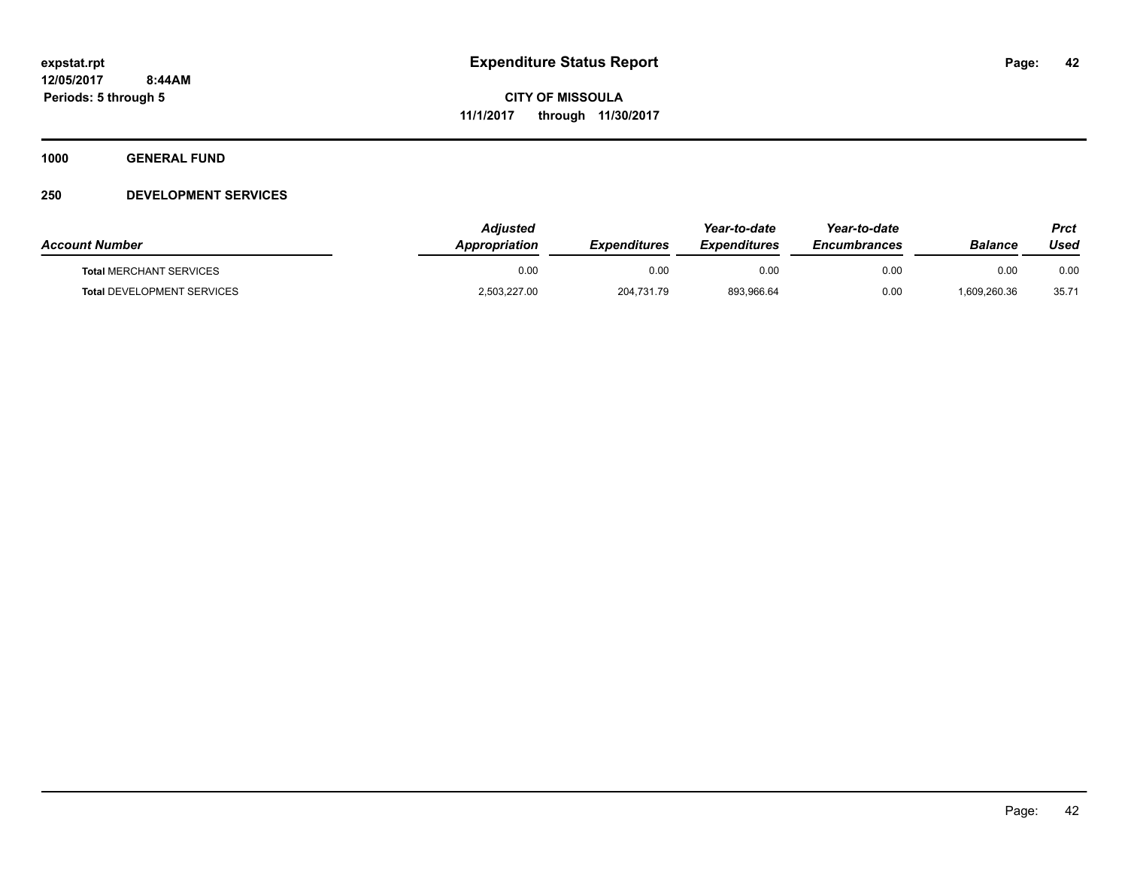**1000 GENERAL FUND**

| <b>Account Number</b>             | Adiusted<br>Appropriation | <b>Expenditures</b> | Year-to-date<br><b>Expenditures</b> | Year-to-date<br><b>Encumbrances</b> | Balance    | Prct<br>Used |
|-----------------------------------|---------------------------|---------------------|-------------------------------------|-------------------------------------|------------|--------------|
| <b>Total MERCHANT SERVICES</b>    | 0.00                      | 0.00                | 0.00                                | 0.00                                | 0.00       | 0.00         |
| <b>Total DEVELOPMENT SERVICES</b> | 2,503,227.00              | 204,731.79          | 893,966.64                          | 0.00                                | 609,260.36 | 35.71        |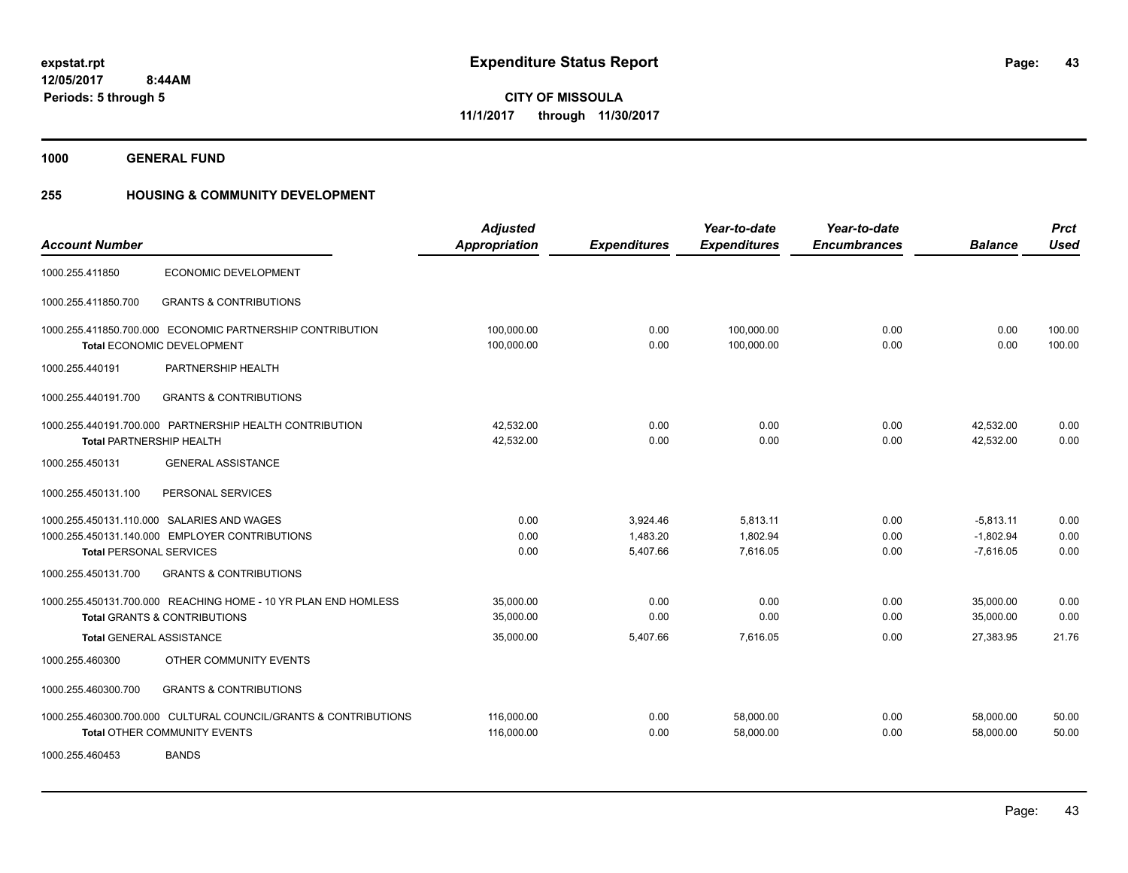**1000 GENERAL FUND**

### **255 HOUSING & COMMUNITY DEVELOPMENT**

| <b>Account Number</b>           |                                                                 | <b>Adjusted</b> |                     | Year-to-date        | Year-to-date<br><b>Encumbrances</b> | <b>Balance</b> | <b>Prct</b><br><b>Used</b> |
|---------------------------------|-----------------------------------------------------------------|-----------------|---------------------|---------------------|-------------------------------------|----------------|----------------------------|
|                                 |                                                                 | Appropriation   | <b>Expenditures</b> | <b>Expenditures</b> |                                     |                |                            |
| 1000.255.411850                 | ECONOMIC DEVELOPMENT                                            |                 |                     |                     |                                     |                |                            |
| 1000.255.411850.700             | <b>GRANTS &amp; CONTRIBUTIONS</b>                               |                 |                     |                     |                                     |                |                            |
|                                 | 1000.255.411850.700.000 ECONOMIC PARTNERSHIP CONTRIBUTION       | 100,000.00      | 0.00                | 100,000.00          | 0.00                                | 0.00           | 100.00                     |
|                                 | <b>Total ECONOMIC DEVELOPMENT</b>                               | 100,000.00      | 0.00                | 100,000.00          | 0.00                                | 0.00           | 100.00                     |
| 1000.255.440191                 | PARTNERSHIP HEALTH                                              |                 |                     |                     |                                     |                |                            |
| 1000.255.440191.700             | <b>GRANTS &amp; CONTRIBUTIONS</b>                               |                 |                     |                     |                                     |                |                            |
|                                 | 1000.255.440191.700.000 PARTNERSHIP HEALTH CONTRIBUTION         | 42,532.00       | 0.00                | 0.00                | 0.00                                | 42,532.00      | 0.00                       |
| <b>Total PARTNERSHIP HEALTH</b> |                                                                 | 42,532.00       | 0.00                | 0.00                | 0.00                                | 42,532.00      | 0.00                       |
| 1000.255.450131                 | <b>GENERAL ASSISTANCE</b>                                       |                 |                     |                     |                                     |                |                            |
| 1000.255.450131.100             | PERSONAL SERVICES                                               |                 |                     |                     |                                     |                |                            |
|                                 | 1000.255.450131.110.000 SALARIES AND WAGES                      | 0.00            | 3,924.46            | 5,813.11            | 0.00                                | $-5,813.11$    | 0.00                       |
|                                 | 1000.255.450131.140.000 EMPLOYER CONTRIBUTIONS                  | 0.00            | 1,483.20            | 1,802.94            | 0.00                                | $-1.802.94$    | 0.00                       |
| <b>Total PERSONAL SERVICES</b>  |                                                                 | 0.00            | 5,407.66            | 7,616.05            | 0.00                                | $-7,616.05$    | 0.00                       |
| 1000.255.450131.700             | <b>GRANTS &amp; CONTRIBUTIONS</b>                               |                 |                     |                     |                                     |                |                            |
|                                 | 1000.255.450131.700.000 REACHING HOME - 10 YR PLAN END HOMLESS  | 35,000.00       | 0.00                | 0.00                | 0.00                                | 35,000.00      | 0.00                       |
|                                 | <b>Total GRANTS &amp; CONTRIBUTIONS</b>                         | 35,000.00       | 0.00                | 0.00                | 0.00                                | 35,000.00      | 0.00                       |
| Total GENERAL ASSISTANCE        |                                                                 | 35,000.00       | 5,407.66            | 7,616.05            | 0.00                                | 27,383.95      | 21.76                      |
| 1000.255.460300                 | OTHER COMMUNITY EVENTS                                          |                 |                     |                     |                                     |                |                            |
| 1000.255.460300.700             | <b>GRANTS &amp; CONTRIBUTIONS</b>                               |                 |                     |                     |                                     |                |                            |
|                                 | 1000.255.460300.700.000 CULTURAL COUNCIL/GRANTS & CONTRIBUTIONS | 116,000.00      | 0.00                | 58,000.00           | 0.00                                | 58,000.00      | 50.00                      |
|                                 | <b>Total OTHER COMMUNITY EVENTS</b>                             | 116,000.00      | 0.00                | 58,000.00           | 0.00                                | 58.000.00      | 50.00                      |
| 1000.255.460453                 | <b>BANDS</b>                                                    |                 |                     |                     |                                     |                |                            |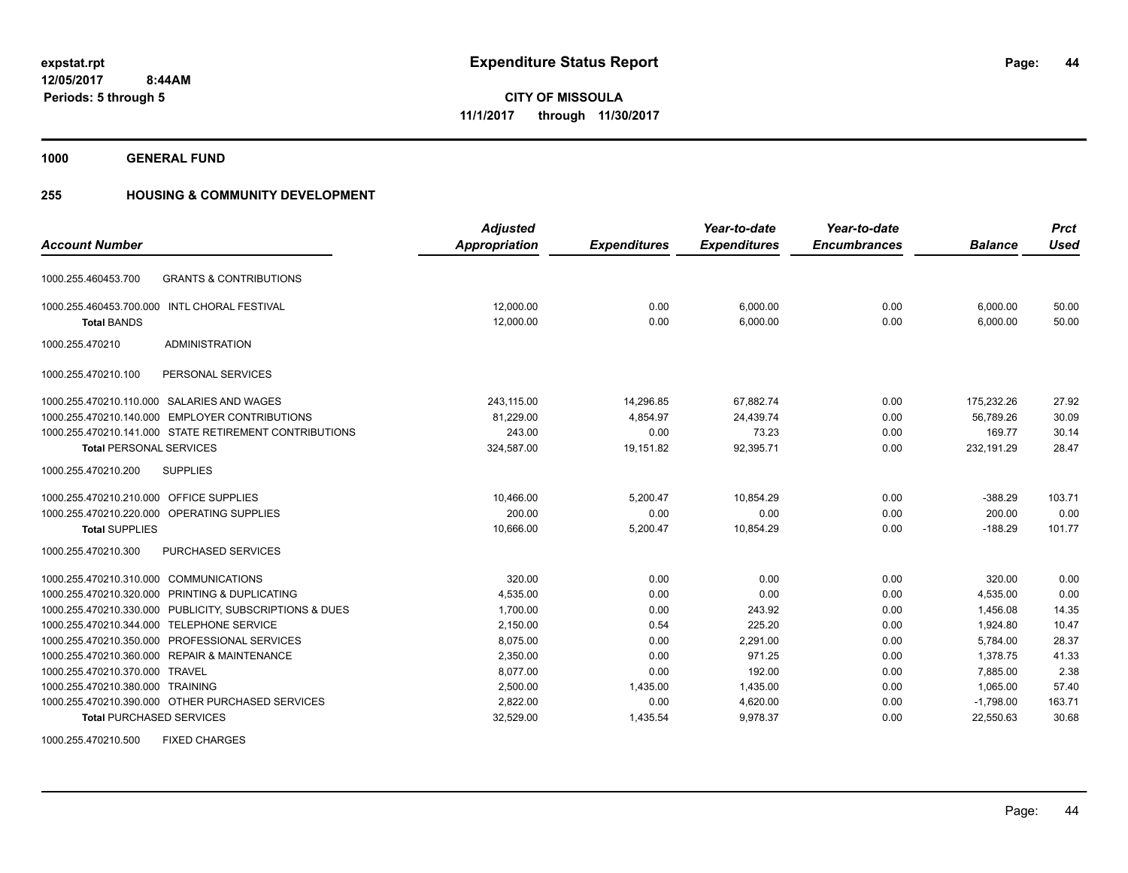**44**

**12/05/2017 8:44AM Periods: 5 through 5**

**CITY OF MISSOULA 11/1/2017 through 11/30/2017**

**1000 GENERAL FUND**

# **255 HOUSING & COMMUNITY DEVELOPMENT**

|                                                            | <b>Adjusted</b>      |                     | Year-to-date        | Year-to-date        |                | <b>Prct</b> |
|------------------------------------------------------------|----------------------|---------------------|---------------------|---------------------|----------------|-------------|
| <b>Account Number</b>                                      | <b>Appropriation</b> | <b>Expenditures</b> | <b>Expenditures</b> | <b>Encumbrances</b> | <b>Balance</b> | <b>Used</b> |
| <b>GRANTS &amp; CONTRIBUTIONS</b><br>1000.255.460453.700   |                      |                     |                     |                     |                |             |
| 1000.255.460453.700.000 INTL CHORAL FESTIVAL               | 12.000.00            | 0.00                | 6,000.00            | 0.00                | 6,000.00       | 50.00       |
| <b>Total BANDS</b>                                         | 12,000.00            | 0.00                | 6,000.00            | 0.00                | 6,000.00       | 50.00       |
| <b>ADMINISTRATION</b><br>1000.255.470210                   |                      |                     |                     |                     |                |             |
| 1000.255.470210.100<br>PERSONAL SERVICES                   |                      |                     |                     |                     |                |             |
| 1000.255.470210.110.000 SALARIES AND WAGES                 | 243,115.00           | 14,296.85           | 67,882.74           | 0.00                | 175,232.26     | 27.92       |
| 1000.255.470210.140.000 EMPLOYER CONTRIBUTIONS             | 81,229.00            | 4.854.97            | 24,439.74           | 0.00                | 56.789.26      | 30.09       |
| 1000.255.470210.141.000 STATE RETIREMENT CONTRIBUTIONS     | 243.00               | 0.00                | 73.23               | 0.00                | 169.77         | 30.14       |
| <b>Total PERSONAL SERVICES</b>                             | 324,587.00           | 19,151.82           | 92,395.71           | 0.00                | 232,191.29     | 28.47       |
| 1000.255.470210.200<br><b>SUPPLIES</b>                     |                      |                     |                     |                     |                |             |
| 1000.255.470210.210.000 OFFICE SUPPLIES                    | 10,466.00            | 5.200.47            | 10,854.29           | 0.00                | $-388.29$      | 103.71      |
| 1000.255.470210.220.000 OPERATING SUPPLIES                 | 200.00               | 0.00                | 0.00                | 0.00                | 200.00         | 0.00        |
| <b>Total SUPPLIES</b>                                      | 10,666.00            | 5,200.47            | 10,854.29           | 0.00                | $-188.29$      | 101.77      |
| PURCHASED SERVICES<br>1000.255.470210.300                  |                      |                     |                     |                     |                |             |
| <b>COMMUNICATIONS</b><br>1000.255.470210.310.000           | 320.00               | 0.00                | 0.00                | 0.00                | 320.00         | 0.00        |
| 1000.255.470210.320.000 PRINTING & DUPLICATING             | 4,535.00             | 0.00                | 0.00                | 0.00                | 4,535.00       | 0.00        |
| PUBLICITY, SUBSCRIPTIONS & DUES<br>1000.255.470210.330.000 | 1,700.00             | 0.00                | 243.92              | 0.00                | 1.456.08       | 14.35       |
| 1000.255.470210.344.000<br><b>TELEPHONE SERVICE</b>        | 2,150.00             | 0.54                | 225.20              | 0.00                | 1,924.80       | 10.47       |
| PROFESSIONAL SERVICES<br>1000.255.470210.350.000           | 8,075.00             | 0.00                | 2,291.00            | 0.00                | 5,784.00       | 28.37       |
| 1000.255.470210.360.000 REPAIR & MAINTENANCE               | 2,350.00             | 0.00                | 971.25              | 0.00                | 1,378.75       | 41.33       |
| 1000.255.470210.370.000 TRAVEL                             | 8.077.00             | 0.00                | 192.00              | 0.00                | 7.885.00       | 2.38        |
| 1000.255.470210.380.000 TRAINING                           | 2,500.00             | 1,435.00            | 1,435.00            | 0.00                | 1,065.00       | 57.40       |
| 1000.255.470210.390.000 OTHER PURCHASED SERVICES           | 2,822.00             | 0.00                | 4,620.00            | 0.00                | $-1,798.00$    | 163.71      |
| <b>Total PURCHASED SERVICES</b>                            | 32,529.00            | 1,435.54            | 9,978.37            | 0.00                | 22,550.63      | 30.68       |

1000.255.470210.500 FIXED CHARGES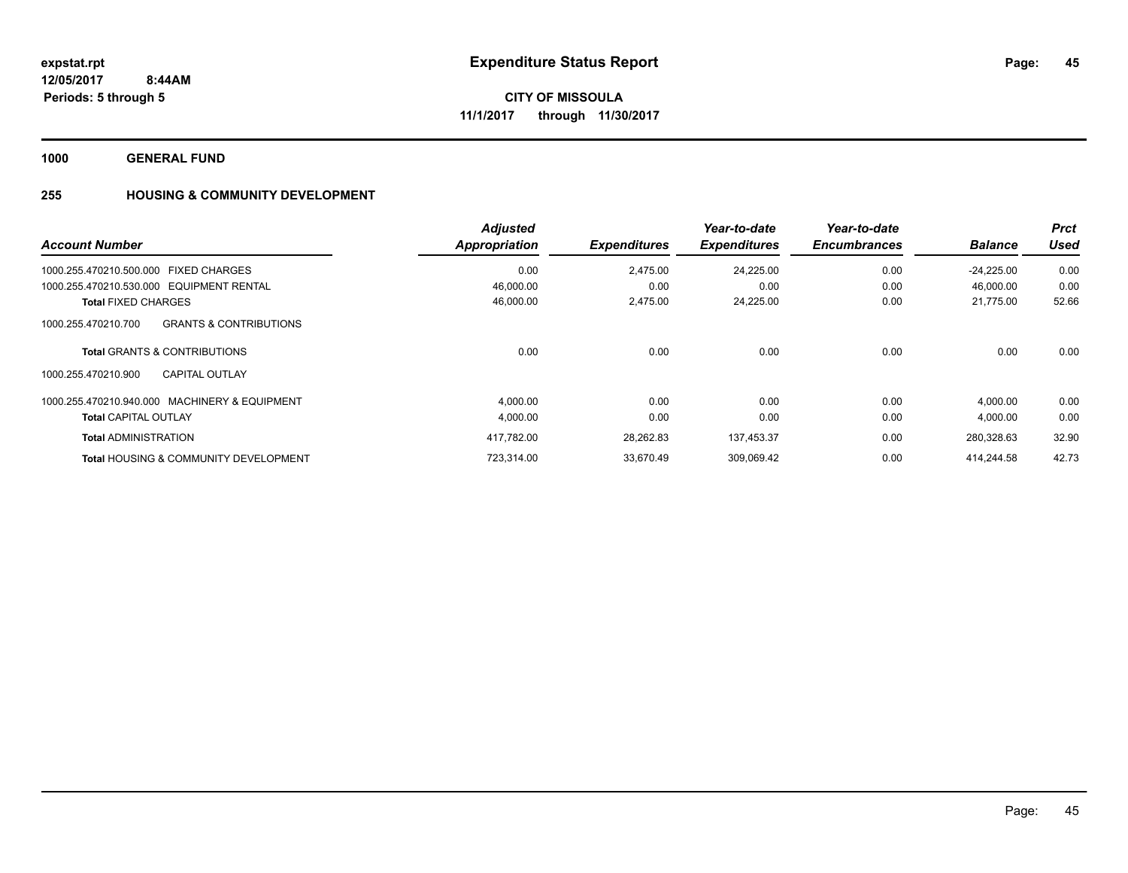**1000 GENERAL FUND**

# **255 HOUSING & COMMUNITY DEVELOPMENT**

| <b>Account Number</b>                                    | <b>Adjusted</b><br>Appropriation | <b>Expenditures</b> | Year-to-date<br><b>Expenditures</b> | Year-to-date<br><b>Encumbrances</b> | <b>Balance</b> | <b>Prct</b><br>Used |
|----------------------------------------------------------|----------------------------------|---------------------|-------------------------------------|-------------------------------------|----------------|---------------------|
| 1000.255.470210.500.000 FIXED CHARGES                    | 0.00                             | 2.475.00            | 24.225.00                           | 0.00                                | $-24.225.00$   | 0.00                |
| 1000.255.470210.530.000 EQUIPMENT RENTAL                 | 46,000.00                        | 0.00                | 0.00                                | 0.00                                | 46,000.00      | 0.00                |
| <b>Total FIXED CHARGES</b>                               | 46,000.00                        | 2,475.00            | 24,225.00                           | 0.00                                | 21,775.00      | 52.66               |
| 1000.255.470210.700<br><b>GRANTS &amp; CONTRIBUTIONS</b> |                                  |                     |                                     |                                     |                |                     |
| <b>Total GRANTS &amp; CONTRIBUTIONS</b>                  | 0.00                             | 0.00                | 0.00                                | 0.00                                | 0.00           | 0.00                |
| 1000.255.470210.900<br><b>CAPITAL OUTLAY</b>             |                                  |                     |                                     |                                     |                |                     |
| 1000.255.470210.940.000 MACHINERY & EQUIPMENT            | 4,000.00                         | 0.00                | 0.00                                | 0.00                                | 4,000.00       | 0.00                |
| <b>Total CAPITAL OUTLAY</b>                              | 4,000.00                         | 0.00                | 0.00                                | 0.00                                | 4,000.00       | 0.00                |
| <b>Total ADMINISTRATION</b>                              | 417.782.00                       | 28.262.83           | 137.453.37                          | 0.00                                | 280.328.63     | 32.90               |
| <b>Total HOUSING &amp; COMMUNITY DEVELOPMENT</b>         | 723.314.00                       | 33.670.49           | 309,069.42                          | 0.00                                | 414.244.58     | 42.73               |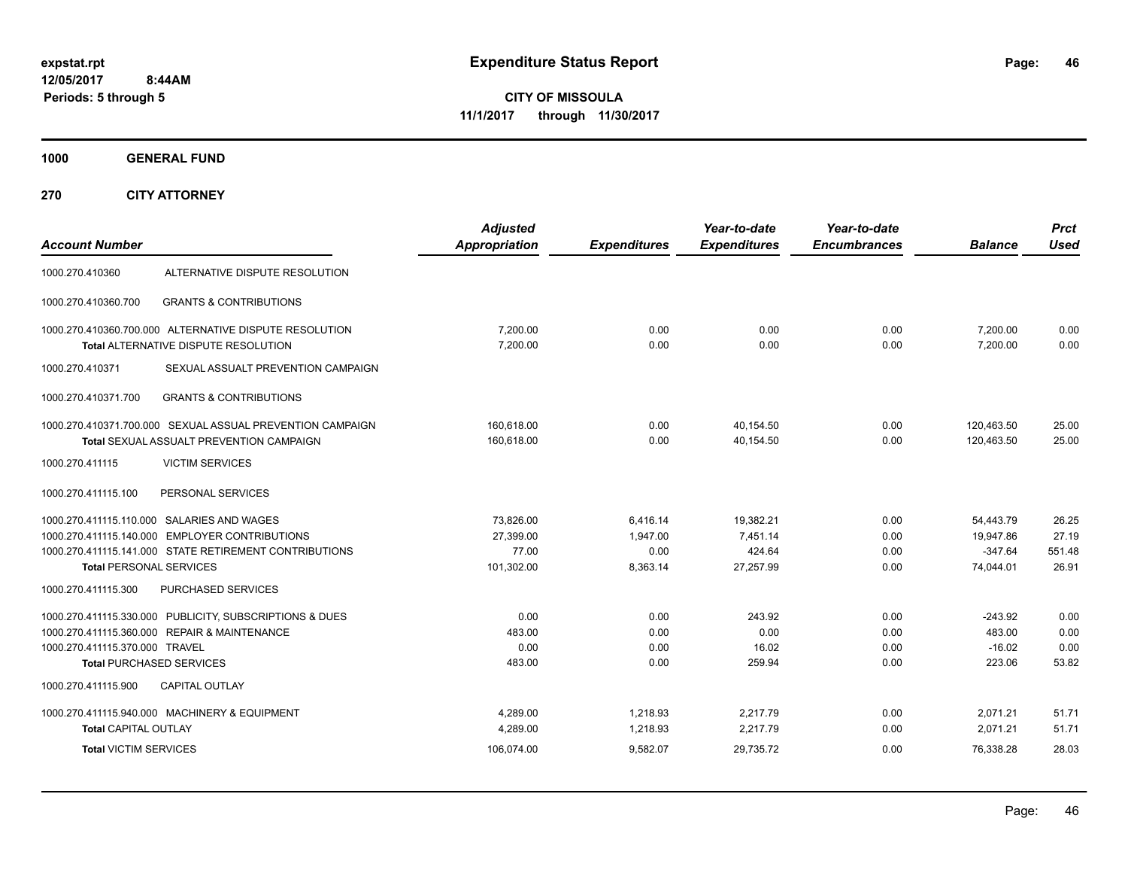**CITY OF MISSOULA 11/1/2017 through 11/30/2017**

**1000 GENERAL FUND**

| <b>Account Number</b>                                       |                                                                                                                                                        | <b>Adjusted</b><br><b>Appropriation</b>       | <b>Expenditures</b>                      | Year-to-date<br><b>Expenditures</b>          | Year-to-date<br><b>Encumbrances</b> | <b>Balance</b>                                   | <b>Prct</b><br><b>Used</b>        |
|-------------------------------------------------------------|--------------------------------------------------------------------------------------------------------------------------------------------------------|-----------------------------------------------|------------------------------------------|----------------------------------------------|-------------------------------------|--------------------------------------------------|-----------------------------------|
| 1000.270.410360                                             | ALTERNATIVE DISPUTE RESOLUTION                                                                                                                         |                                               |                                          |                                              |                                     |                                                  |                                   |
| 1000.270.410360.700                                         | <b>GRANTS &amp; CONTRIBUTIONS</b>                                                                                                                      |                                               |                                          |                                              |                                     |                                                  |                                   |
|                                                             | 1000.270.410360.700.000 ALTERNATIVE DISPUTE RESOLUTION<br>Total ALTERNATIVE DISPUTE RESOLUTION                                                         | 7,200.00<br>7.200.00                          | 0.00<br>0.00                             | 0.00<br>0.00                                 | 0.00<br>0.00                        | 7,200.00<br>7.200.00                             | 0.00<br>0.00                      |
| 1000.270.410371                                             | SEXUAL ASSUALT PREVENTION CAMPAIGN                                                                                                                     |                                               |                                          |                                              |                                     |                                                  |                                   |
| 1000.270.410371.700                                         | <b>GRANTS &amp; CONTRIBUTIONS</b>                                                                                                                      |                                               |                                          |                                              |                                     |                                                  |                                   |
|                                                             | 1000.270.410371.700.000 SEXUAL ASSUAL PREVENTION CAMPAIGN<br><b>Total SEXUAL ASSUALT PREVENTION CAMPAIGN</b>                                           | 160.618.00<br>160,618.00                      | 0.00<br>0.00                             | 40.154.50<br>40,154.50                       | 0.00<br>0.00                        | 120.463.50<br>120,463.50                         | 25.00<br>25.00                    |
| 1000.270.411115                                             | <b>VICTIM SERVICES</b>                                                                                                                                 |                                               |                                          |                                              |                                     |                                                  |                                   |
| 1000.270.411115.100                                         | PERSONAL SERVICES                                                                                                                                      |                                               |                                          |                                              |                                     |                                                  |                                   |
| <b>Total PERSONAL SERVICES</b>                              | 1000.270.411115.110.000 SALARIES AND WAGES<br>1000.270.411115.140.000 EMPLOYER CONTRIBUTIONS<br>1000.270.411115.141.000 STATE RETIREMENT CONTRIBUTIONS | 73.826.00<br>27,399.00<br>77.00<br>101,302.00 | 6,416.14<br>1,947.00<br>0.00<br>8,363.14 | 19,382.21<br>7,451.14<br>424.64<br>27,257.99 | 0.00<br>0.00<br>0.00<br>0.00        | 54,443.79<br>19,947.86<br>$-347.64$<br>74,044.01 | 26.25<br>27.19<br>551.48<br>26.91 |
| 1000.270.411115.300                                         | <b>PURCHASED SERVICES</b>                                                                                                                              |                                               |                                          |                                              |                                     |                                                  |                                   |
| 1000.270.411115.370.000 TRAVEL                              | 1000.270.411115.330.000 PUBLICITY, SUBSCRIPTIONS & DUES<br>1000.270.411115.360.000 REPAIR & MAINTENANCE<br><b>Total PURCHASED SERVICES</b>             | 0.00<br>483.00<br>0.00<br>483.00              | 0.00<br>0.00<br>0.00<br>0.00             | 243.92<br>0.00<br>16.02<br>259.94            | 0.00<br>0.00<br>0.00<br>0.00        | $-243.92$<br>483.00<br>$-16.02$<br>223.06        | 0.00<br>0.00<br>0.00<br>53.82     |
| 1000.270.411115.900                                         | <b>CAPITAL OUTLAY</b>                                                                                                                                  |                                               |                                          |                                              |                                     |                                                  |                                   |
| <b>Total CAPITAL OUTLAY</b><br><b>Total VICTIM SERVICES</b> | 1000.270.411115.940.000 MACHINERY & EQUIPMENT                                                                                                          | 4,289.00<br>4.289.00<br>106,074.00            | 1,218.93<br>1,218.93<br>9,582.07         | 2,217.79<br>2,217.79<br>29,735.72            | 0.00<br>0.00<br>0.00                | 2,071.21<br>2,071.21<br>76,338.28                | 51.71<br>51.71<br>28.03           |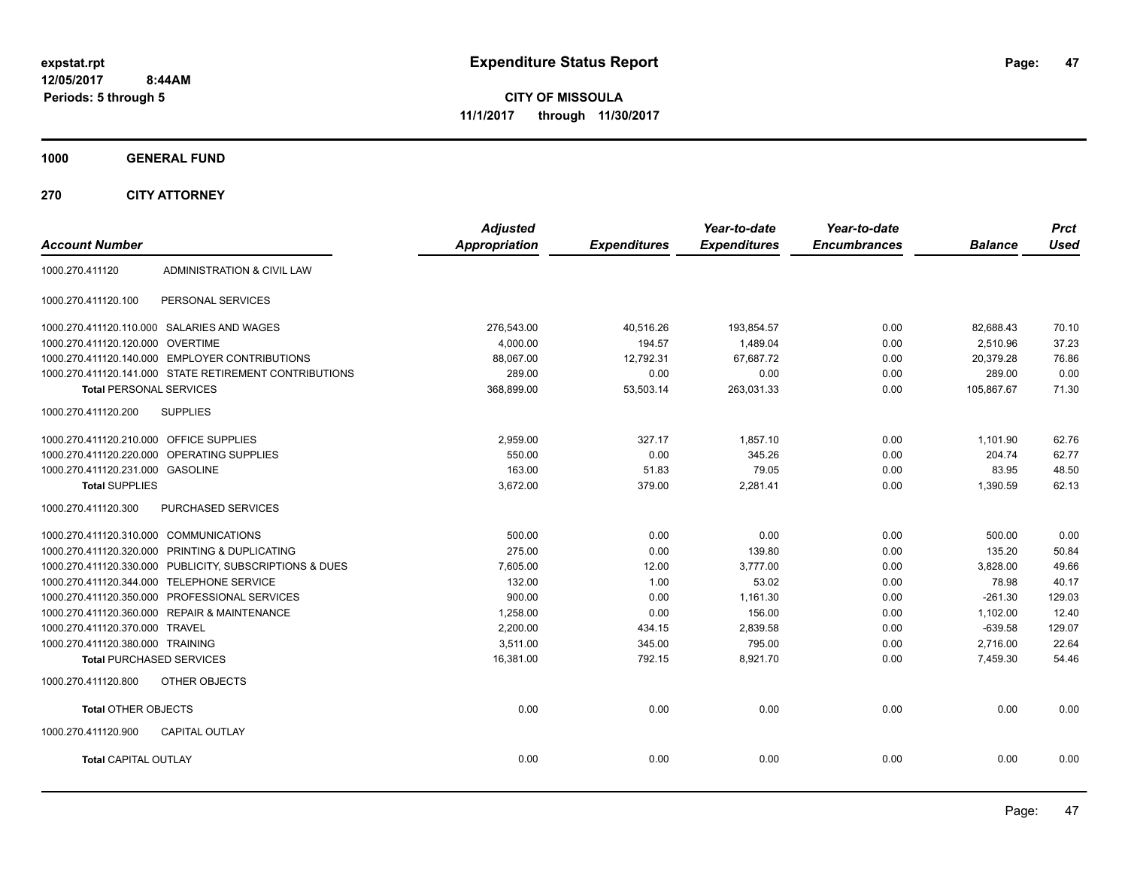**47**

**CITY OF MISSOULA 11/1/2017 through 11/30/2017**

**1000 GENERAL FUND**

| <b>Account Number</b>                   |                                                         | <b>Adjusted</b><br><b>Appropriation</b> | <b>Expenditures</b> | Year-to-date<br><b>Expenditures</b> | Year-to-date<br><b>Encumbrances</b> | <b>Balance</b> | <b>Prct</b><br><b>Used</b> |
|-----------------------------------------|---------------------------------------------------------|-----------------------------------------|---------------------|-------------------------------------|-------------------------------------|----------------|----------------------------|
|                                         |                                                         |                                         |                     |                                     |                                     |                |                            |
| 1000.270.411120                         | ADMINISTRATION & CIVIL LAW                              |                                         |                     |                                     |                                     |                |                            |
| 1000.270.411120.100                     | PERSONAL SERVICES                                       |                                         |                     |                                     |                                     |                |                            |
|                                         | 1000.270.411120.110.000 SALARIES AND WAGES              | 276,543.00                              | 40,516.26           | 193,854.57                          | 0.00                                | 82,688.43      | 70.10                      |
| 1000.270.411120.120.000 OVERTIME        |                                                         | 4,000.00                                | 194.57              | 1,489.04                            | 0.00                                | 2,510.96       | 37.23                      |
|                                         | 1000.270.411120.140.000 EMPLOYER CONTRIBUTIONS          | 88.067.00                               | 12,792.31           | 67,687.72                           | 0.00                                | 20.379.28      | 76.86                      |
|                                         | 1000.270.411120.141.000 STATE RETIREMENT CONTRIBUTIONS  | 289.00                                  | 0.00                | 0.00                                | 0.00                                | 289.00         | 0.00                       |
| <b>Total PERSONAL SERVICES</b>          |                                                         | 368,899.00                              | 53,503.14           | 263,031.33                          | 0.00                                | 105,867.67     | 71.30                      |
| 1000.270.411120.200                     | <b>SUPPLIES</b>                                         |                                         |                     |                                     |                                     |                |                            |
| 1000.270.411120.210.000 OFFICE SUPPLIES |                                                         | 2,959.00                                | 327.17              | 1,857.10                            | 0.00                                | 1,101.90       | 62.76                      |
|                                         | 1000.270.411120.220.000 OPERATING SUPPLIES              | 550.00                                  | 0.00                | 345.26                              | 0.00                                | 204.74         | 62.77                      |
| 1000.270.411120.231.000 GASOLINE        |                                                         | 163.00                                  | 51.83               | 79.05                               | 0.00                                | 83.95          | 48.50                      |
| <b>Total SUPPLIES</b>                   |                                                         | 3,672.00                                | 379.00              | 2,281.41                            | 0.00                                | 1,390.59       | 62.13                      |
| 1000.270.411120.300                     | <b>PURCHASED SERVICES</b>                               |                                         |                     |                                     |                                     |                |                            |
| 1000.270.411120.310.000 COMMUNICATIONS  |                                                         | 500.00                                  | 0.00                | 0.00                                | 0.00                                | 500.00         | 0.00                       |
|                                         | 1000.270.411120.320.000 PRINTING & DUPLICATING          | 275.00                                  | 0.00                | 139.80                              | 0.00                                | 135.20         | 50.84                      |
|                                         | 1000.270.411120.330.000 PUBLICITY, SUBSCRIPTIONS & DUES | 7.605.00                                | 12.00               | 3.777.00                            | 0.00                                | 3.828.00       | 49.66                      |
|                                         | 1000.270.411120.344.000 TELEPHONE SERVICE               | 132.00                                  | 1.00                | 53.02                               | 0.00                                | 78.98          | 40.17                      |
|                                         | 1000.270.411120.350.000 PROFESSIONAL SERVICES           | 900.00                                  | 0.00                | 1,161.30                            | 0.00                                | $-261.30$      | 129.03                     |
|                                         | 1000.270.411120.360.000 REPAIR & MAINTENANCE            | 1,258.00                                | 0.00                | 156.00                              | 0.00                                | 1,102.00       | 12.40                      |
| 1000.270.411120.370.000 TRAVEL          |                                                         | 2,200.00                                | 434.15              | 2,839.58                            | 0.00                                | $-639.58$      | 129.07                     |
| 1000.270.411120.380.000 TRAINING        |                                                         | 3,511.00                                | 345.00              | 795.00                              | 0.00                                | 2,716.00       | 22.64                      |
| <b>Total PURCHASED SERVICES</b>         |                                                         | 16,381.00                               | 792.15              | 8,921.70                            | 0.00                                | 7,459.30       | 54.46                      |
| 1000.270.411120.800                     | OTHER OBJECTS                                           |                                         |                     |                                     |                                     |                |                            |
| <b>Total OTHER OBJECTS</b>              |                                                         | 0.00                                    | 0.00                | 0.00                                | 0.00                                | 0.00           | 0.00                       |
| 1000.270.411120.900                     | <b>CAPITAL OUTLAY</b>                                   |                                         |                     |                                     |                                     |                |                            |
| <b>Total CAPITAL OUTLAY</b>             |                                                         | 0.00                                    | 0.00                | 0.00                                | 0.00                                | 0.00           | 0.00                       |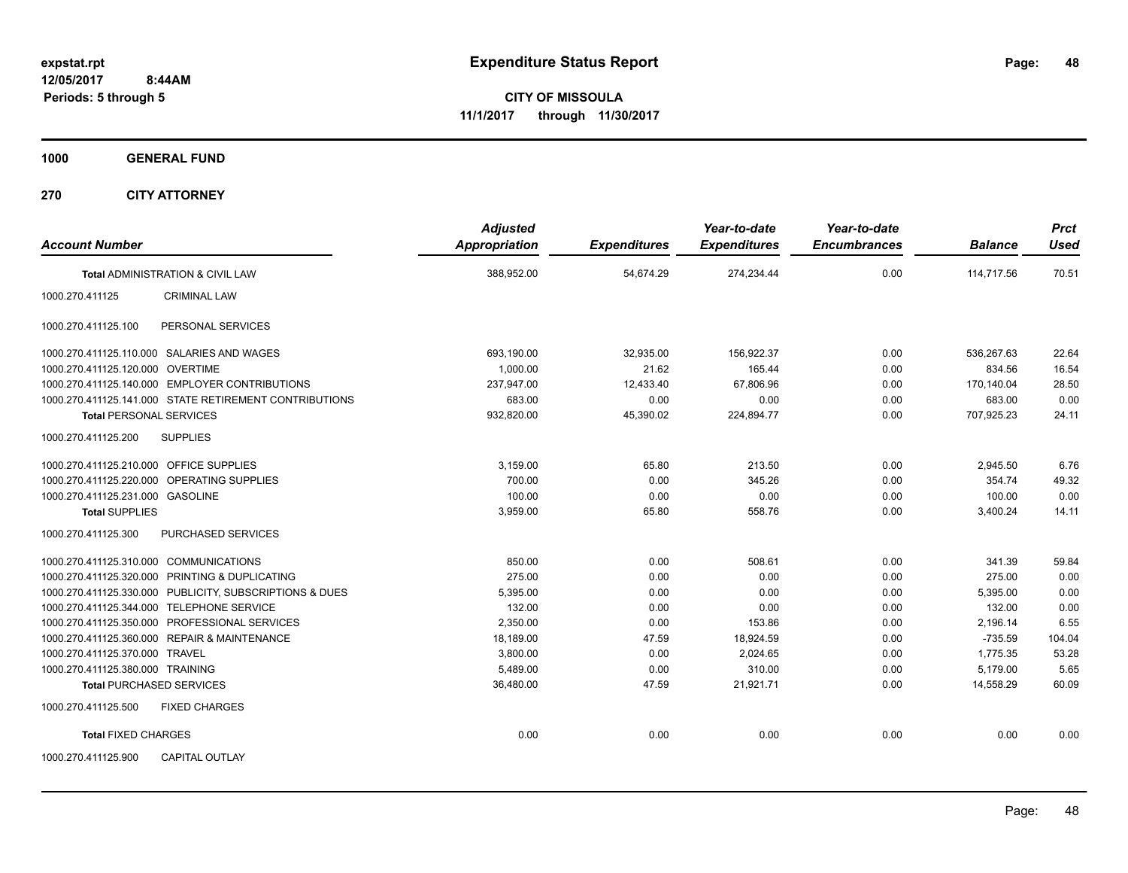**CITY OF MISSOULA 11/1/2017 through 11/30/2017**

**1000 GENERAL FUND**

| <b>Account Number</b>                                   | <b>Adjusted</b><br>Appropriation | <b>Expenditures</b> | Year-to-date<br><b>Expenditures</b> | Year-to-date<br><b>Encumbrances</b> | <b>Balance</b> | <b>Prct</b><br><b>Used</b> |
|---------------------------------------------------------|----------------------------------|---------------------|-------------------------------------|-------------------------------------|----------------|----------------------------|
| <b>Total ADMINISTRATION &amp; CIVIL LAW</b>             | 388,952.00                       | 54,674.29           | 274,234.44                          | 0.00                                | 114.717.56     | 70.51                      |
| <b>CRIMINAL LAW</b><br>1000.270.411125                  |                                  |                     |                                     |                                     |                |                            |
| PERSONAL SERVICES<br>1000.270.411125.100                |                                  |                     |                                     |                                     |                |                            |
| 1000.270.411125.110.000 SALARIES AND WAGES              | 693,190.00                       | 32,935.00           | 156,922.37                          | 0.00                                | 536.267.63     | 22.64                      |
| 1000.270.411125.120.000 OVERTIME                        | 1.000.00                         | 21.62               | 165.44                              | 0.00                                | 834.56         | 16.54                      |
| 1000.270.411125.140.000 EMPLOYER CONTRIBUTIONS          | 237,947.00                       | 12,433.40           | 67,806.96                           | 0.00                                | 170.140.04     | 28.50                      |
| 1000.270.411125.141.000 STATE RETIREMENT CONTRIBUTIONS  | 683.00                           | 0.00                | 0.00                                | 0.00                                | 683.00         | 0.00                       |
| <b>Total PERSONAL SERVICES</b>                          | 932,820.00                       | 45,390.02           | 224,894.77                          | 0.00                                | 707,925.23     | 24.11                      |
| <b>SUPPLIES</b><br>1000.270.411125.200                  |                                  |                     |                                     |                                     |                |                            |
| 1000.270.411125.210.000 OFFICE SUPPLIES                 | 3,159.00                         | 65.80               | 213.50                              | 0.00                                | 2,945.50       | 6.76                       |
| 1000.270.411125.220.000<br>OPERATING SUPPLIES           | 700.00                           | 0.00                | 345.26                              | 0.00                                | 354.74         | 49.32                      |
| 1000.270.411125.231.000 GASOLINE                        | 100.00                           | 0.00                | 0.00                                | 0.00                                | 100.00         | 0.00                       |
| <b>Total SUPPLIES</b>                                   | 3,959.00                         | 65.80               | 558.76                              | 0.00                                | 3,400.24       | 14.11                      |
| 1000.270.411125.300<br><b>PURCHASED SERVICES</b>        |                                  |                     |                                     |                                     |                |                            |
| 1000.270.411125.310.000 COMMUNICATIONS                  | 850.00                           | 0.00                | 508.61                              | 0.00                                | 341.39         | 59.84                      |
| 1000.270.411125.320.000 PRINTING & DUPLICATING          | 275.00                           | 0.00                | 0.00                                | 0.00                                | 275.00         | 0.00                       |
| 1000.270.411125.330.000 PUBLICITY, SUBSCRIPTIONS & DUES | 5,395.00                         | 0.00                | 0.00                                | 0.00                                | 5,395.00       | 0.00                       |
| 1000.270.411125.344.000 TELEPHONE SERVICE               | 132.00                           | 0.00                | 0.00                                | 0.00                                | 132.00         | 0.00                       |
| 1000.270.411125.350.000 PROFESSIONAL SERVICES           | 2,350.00                         | 0.00                | 153.86                              | 0.00                                | 2,196.14       | 6.55                       |
| 1000.270.411125.360.000 REPAIR & MAINTENANCE            | 18.189.00                        | 47.59               | 18,924.59                           | 0.00                                | $-735.59$      | 104.04                     |
| 1000.270.411125.370.000 TRAVEL                          | 3,800.00                         | 0.00                | 2.024.65                            | 0.00                                | 1.775.35       | 53.28                      |
| 1000.270.411125.380.000 TRAINING                        | 5.489.00                         | 0.00                | 310.00                              | 0.00                                | 5.179.00       | 5.65                       |
| <b>Total PURCHASED SERVICES</b>                         | 36,480.00                        | 47.59               | 21,921.71                           | 0.00                                | 14,558.29      | 60.09                      |
| 1000.270.411125.500<br><b>FIXED CHARGES</b>             |                                  |                     |                                     |                                     |                |                            |
| <b>Total FIXED CHARGES</b>                              | 0.00                             | 0.00                | 0.00                                | 0.00                                | 0.00           | 0.00                       |
| 1000.270.411125.900<br><b>CAPITAL OUTLAY</b>            |                                  |                     |                                     |                                     |                |                            |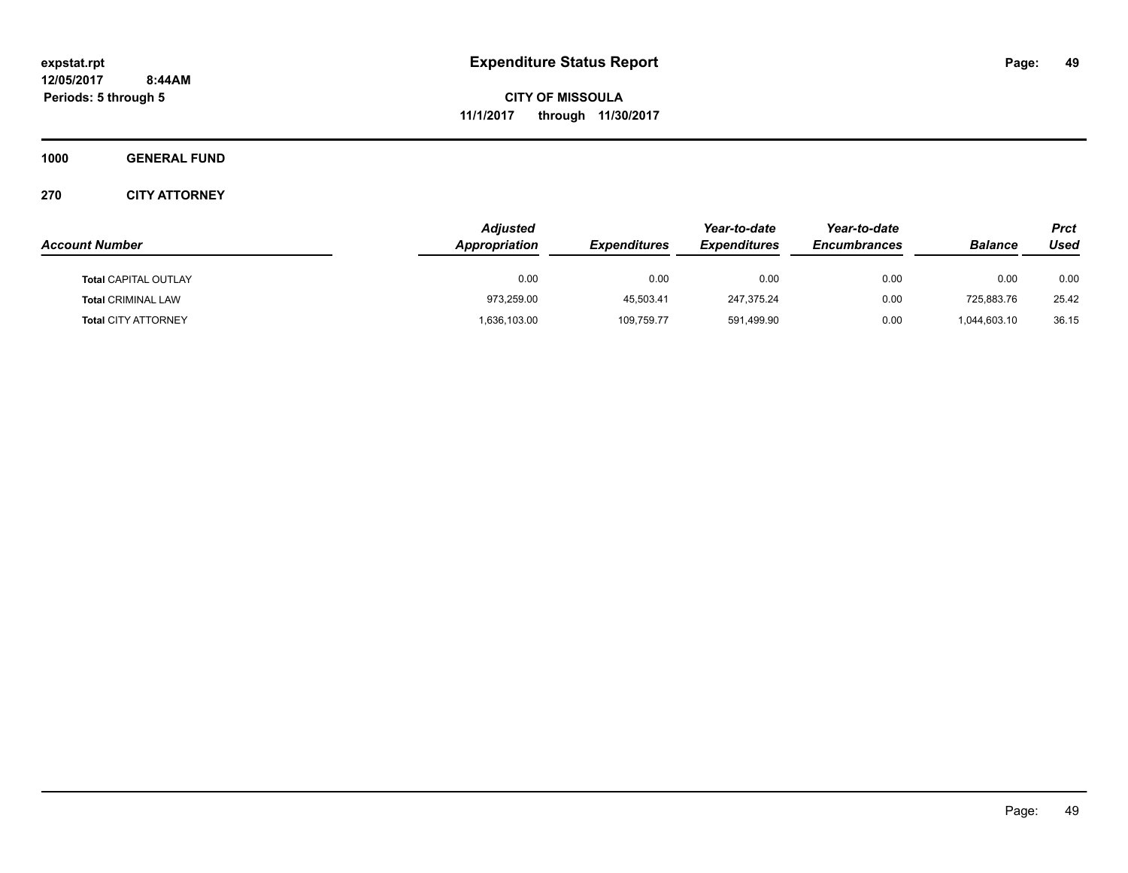**CITY OF MISSOULA 11/1/2017 through 11/30/2017**

**1000 GENERAL FUND**

|                             | <b>Adjusted</b> |                     | Year-to-date        | Year-to-date        |                | Prct  |
|-----------------------------|-----------------|---------------------|---------------------|---------------------|----------------|-------|
| <b>Account Number</b>       | Appropriation   | <b>Expenditures</b> | <b>Expenditures</b> | <b>Encumbrances</b> | <b>Balance</b> | Used  |
| <b>Total CAPITAL OUTLAY</b> | 0.00            | 0.00                | 0.00                | 0.00                | 0.00           | 0.00  |
| <b>Total CRIMINAL LAW</b>   | 973,259.00      | 45,503.41           | 247,375.24          | 0.00                | 725,883.76     | 25.42 |
| <b>Total CITY ATTORNEY</b>  | 1,636,103.00    | 109,759.77          | 591,499.90          | 0.00                | 1,044,603.10   | 36.15 |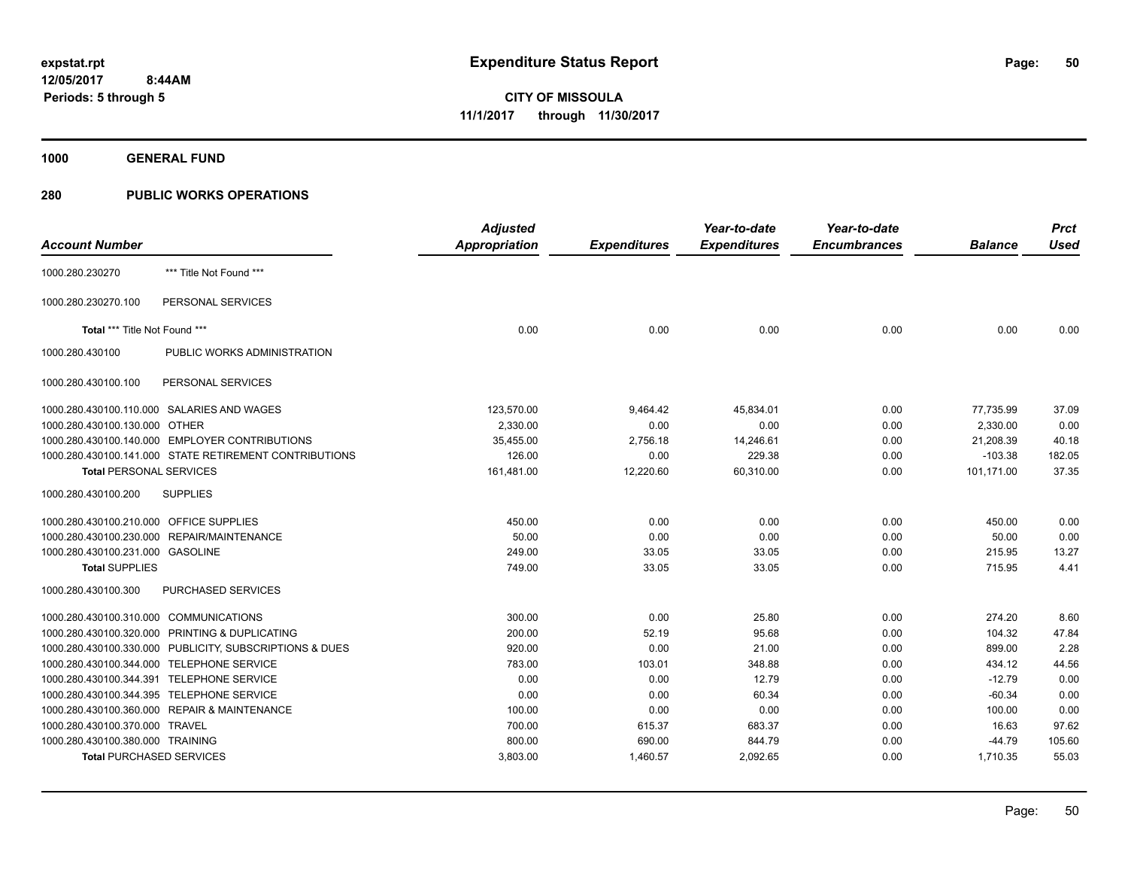**1000 GENERAL FUND**

|                                         |                                                         | <b>Adjusted</b>      |                     | Year-to-date        | Year-to-date        |                | <b>Prct</b> |
|-----------------------------------------|---------------------------------------------------------|----------------------|---------------------|---------------------|---------------------|----------------|-------------|
| <b>Account Number</b>                   |                                                         | <b>Appropriation</b> | <b>Expenditures</b> | <b>Expenditures</b> | <b>Encumbrances</b> | <b>Balance</b> | <b>Used</b> |
| 1000.280.230270                         | *** Title Not Found ***                                 |                      |                     |                     |                     |                |             |
| 1000.280.230270.100                     | PERSONAL SERVICES                                       |                      |                     |                     |                     |                |             |
| Total *** Title Not Found ***           |                                                         | 0.00                 | 0.00                | 0.00                | 0.00                | 0.00           | 0.00        |
| 1000.280.430100                         | PUBLIC WORKS ADMINISTRATION                             |                      |                     |                     |                     |                |             |
| 1000.280.430100.100                     | PERSONAL SERVICES                                       |                      |                     |                     |                     |                |             |
|                                         | 1000.280.430100.110.000 SALARIES AND WAGES              | 123,570.00           | 9,464.42            | 45,834.01           | 0.00                | 77,735.99      | 37.09       |
| 1000.280.430100.130.000                 | <b>OTHER</b>                                            | 2.330.00             | 0.00                | 0.00                | 0.00                | 2.330.00       | 0.00        |
|                                         | 1000.280.430100.140.000 EMPLOYER CONTRIBUTIONS          | 35,455.00            | 2,756.18            | 14,246.61           | 0.00                | 21,208.39      | 40.18       |
|                                         | 1000.280.430100.141.000 STATE RETIREMENT CONTRIBUTIONS  | 126.00               | 0.00                | 229.38              | 0.00                | $-103.38$      | 182.05      |
| <b>Total PERSONAL SERVICES</b>          |                                                         | 161,481.00           | 12,220.60           | 60,310.00           | 0.00                | 101,171.00     | 37.35       |
| 1000.280.430100.200                     | <b>SUPPLIES</b>                                         |                      |                     |                     |                     |                |             |
| 1000.280.430100.210.000 OFFICE SUPPLIES |                                                         | 450.00               | 0.00                | 0.00                | 0.00                | 450.00         | 0.00        |
| 1000.280.430100.230.000                 | REPAIR/MAINTENANCE                                      | 50.00                | 0.00                | 0.00                | 0.00                | 50.00          | 0.00        |
| 1000.280.430100.231.000 GASOLINE        |                                                         | 249.00               | 33.05               | 33.05               | 0.00                | 215.95         | 13.27       |
| <b>Total SUPPLIES</b>                   |                                                         | 749.00               | 33.05               | 33.05               | 0.00                | 715.95         | 4.41        |
| 1000.280.430100.300                     | <b>PURCHASED SERVICES</b>                               |                      |                     |                     |                     |                |             |
| 1000.280.430100.310.000 COMMUNICATIONS  |                                                         | 300.00               | 0.00                | 25.80               | 0.00                | 274.20         | 8.60        |
|                                         | 1000.280.430100.320.000 PRINTING & DUPLICATING          | 200.00               | 52.19               | 95.68               | 0.00                | 104.32         | 47.84       |
|                                         | 1000.280.430100.330.000 PUBLICITY, SUBSCRIPTIONS & DUES | 920.00               | 0.00                | 21.00               | 0.00                | 899.00         | 2.28        |
|                                         | 1000.280.430100.344.000 TELEPHONE SERVICE               | 783.00               | 103.01              | 348.88              | 0.00                | 434.12         | 44.56       |
|                                         | 1000.280.430100.344.391 TELEPHONE SERVICE               | 0.00                 | 0.00                | 12.79               | 0.00                | $-12.79$       | 0.00        |
| 1000.280.430100.344.395                 | <b>TELEPHONE SERVICE</b>                                | 0.00                 | 0.00                | 60.34               | 0.00                | $-60.34$       | 0.00        |
|                                         | 1000.280.430100.360.000 REPAIR & MAINTENANCE            | 100.00               | 0.00                | 0.00                | 0.00                | 100.00         | 0.00        |
| 1000.280.430100.370.000                 | <b>TRAVEL</b>                                           | 700.00               | 615.37              | 683.37              | 0.00                | 16.63          | 97.62       |
| 1000.280.430100.380.000 TRAINING        |                                                         | 800.00               | 690.00              | 844.79              | 0.00                | $-44.79$       | 105.60      |
|                                         | <b>Total PURCHASED SERVICES</b>                         | 3,803.00             | 1,460.57            | 2,092.65            | 0.00                | 1,710.35       | 55.03       |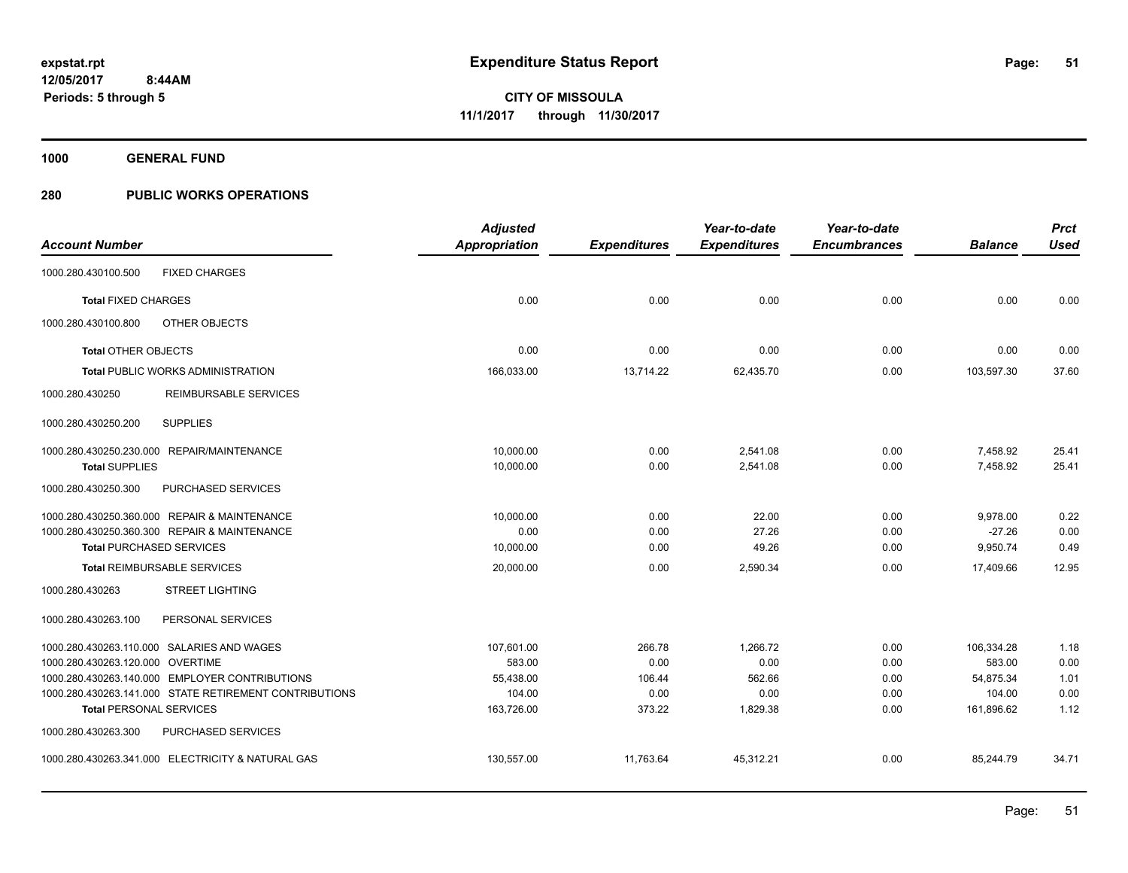**1000 GENERAL FUND**

|                                  |                                                        | <b>Adjusted</b>      |                     | Year-to-date        | Year-to-date        |                | <b>Prct</b> |
|----------------------------------|--------------------------------------------------------|----------------------|---------------------|---------------------|---------------------|----------------|-------------|
| <b>Account Number</b>            |                                                        | <b>Appropriation</b> | <b>Expenditures</b> | <b>Expenditures</b> | <b>Encumbrances</b> | <b>Balance</b> | <b>Used</b> |
| 1000.280.430100.500              | <b>FIXED CHARGES</b>                                   |                      |                     |                     |                     |                |             |
| <b>Total FIXED CHARGES</b>       |                                                        | 0.00                 | 0.00                | 0.00                | 0.00                | 0.00           | 0.00        |
| 1000.280.430100.800              | OTHER OBJECTS                                          |                      |                     |                     |                     |                |             |
| <b>Total OTHER OBJECTS</b>       |                                                        | 0.00                 | 0.00                | 0.00                | 0.00                | 0.00           | 0.00        |
|                                  | Total PUBLIC WORKS ADMINISTRATION                      | 166,033.00           | 13,714.22           | 62,435.70           | 0.00                | 103,597.30     | 37.60       |
| 1000.280.430250                  | <b>REIMBURSABLE SERVICES</b>                           |                      |                     |                     |                     |                |             |
| 1000.280.430250.200              | <b>SUPPLIES</b>                                        |                      |                     |                     |                     |                |             |
|                                  | 1000.280.430250.230.000 REPAIR/MAINTENANCE             | 10,000.00            | 0.00                | 2,541.08            | 0.00                | 7,458.92       | 25.41       |
| <b>Total SUPPLIES</b>            |                                                        | 10,000.00            | 0.00                | 2,541.08            | 0.00                | 7,458.92       | 25.41       |
| 1000.280.430250.300              | PURCHASED SERVICES                                     |                      |                     |                     |                     |                |             |
|                                  | 1000.280.430250.360.000 REPAIR & MAINTENANCE           | 10,000.00            | 0.00                | 22.00               | 0.00                | 9,978.00       | 0.22        |
|                                  | 1000.280.430250.360.300 REPAIR & MAINTENANCE           | 0.00                 | 0.00                | 27.26               | 0.00                | $-27.26$       | 0.00        |
|                                  | <b>Total PURCHASED SERVICES</b>                        | 10,000.00            | 0.00                | 49.26               | 0.00                | 9,950.74       | 0.49        |
|                                  | <b>Total REIMBURSABLE SERVICES</b>                     | 20,000.00            | 0.00                | 2,590.34            | 0.00                | 17,409.66      | 12.95       |
| 1000.280.430263                  | <b>STREET LIGHTING</b>                                 |                      |                     |                     |                     |                |             |
| 1000.280.430263.100              | PERSONAL SERVICES                                      |                      |                     |                     |                     |                |             |
|                                  | 1000.280.430263.110.000 SALARIES AND WAGES             | 107,601.00           | 266.78              | 1,266.72            | 0.00                | 106,334.28     | 1.18        |
| 1000.280.430263.120.000 OVERTIME |                                                        | 583.00               | 0.00                | 0.00                | 0.00                | 583.00         | 0.00        |
|                                  | 1000.280.430263.140.000 EMPLOYER CONTRIBUTIONS         | 55,438.00            | 106.44              | 562.66              | 0.00                | 54,875.34      | 1.01        |
|                                  | 1000.280.430263.141.000 STATE RETIREMENT CONTRIBUTIONS | 104.00               | 0.00                | 0.00                | 0.00                | 104.00         | 0.00        |
| <b>Total PERSONAL SERVICES</b>   |                                                        | 163,726.00           | 373.22              | 1,829.38            | 0.00                | 161,896.62     | 1.12        |
| 1000.280.430263.300              | PURCHASED SERVICES                                     |                      |                     |                     |                     |                |             |
|                                  | 1000.280.430263.341.000 ELECTRICITY & NATURAL GAS      | 130,557.00           | 11,763.64           | 45,312.21           | 0.00                | 85,244.79      | 34.71       |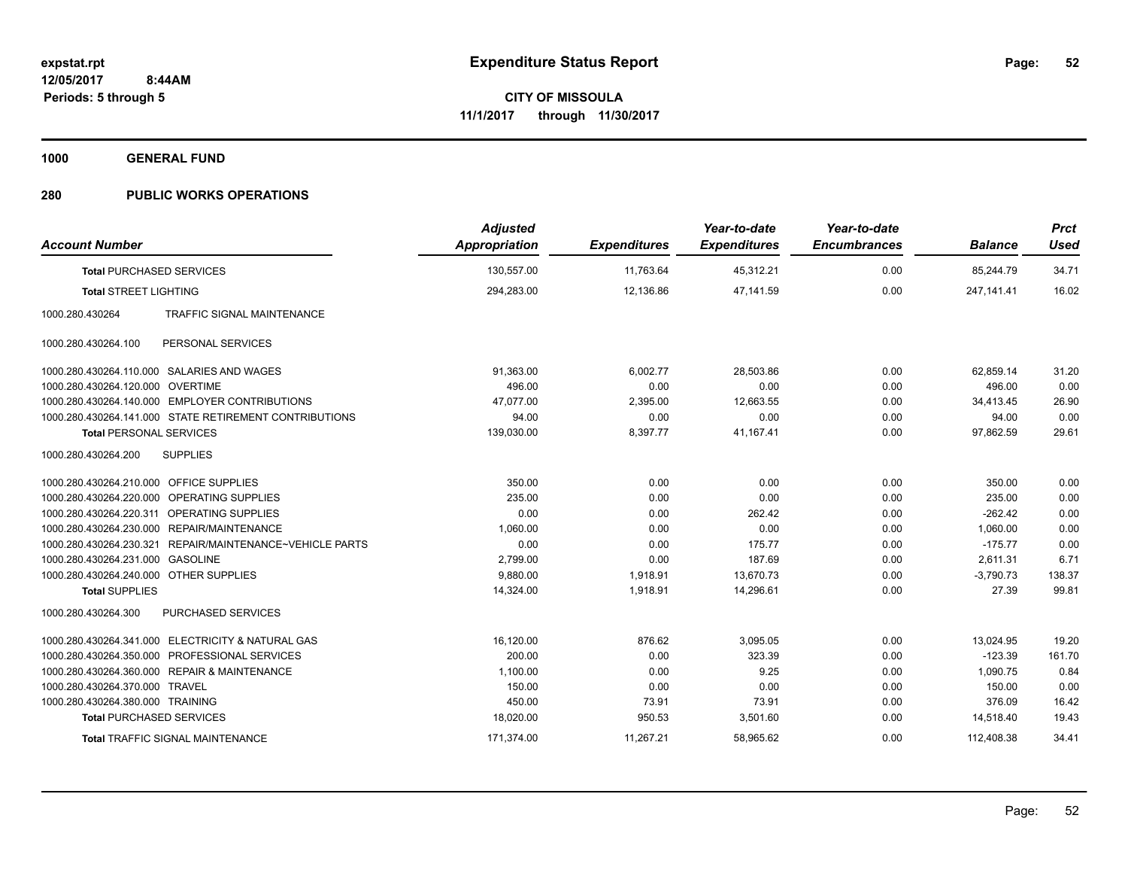**1000 GENERAL FUND**

| <b>Account Number</b>                   |                                                          | <b>Adjusted</b><br><b>Appropriation</b> | <b>Expenditures</b> | Year-to-date<br><b>Expenditures</b> | Year-to-date<br><b>Encumbrances</b> | <b>Balance</b> | <b>Prct</b><br><b>Used</b> |
|-----------------------------------------|----------------------------------------------------------|-----------------------------------------|---------------------|-------------------------------------|-------------------------------------|----------------|----------------------------|
| <b>Total PURCHASED SERVICES</b>         |                                                          | 130,557.00                              | 11,763.64           | 45,312.21                           | 0.00                                | 85,244.79      | 34.71                      |
| <b>Total STREET LIGHTING</b>            |                                                          | 294,283.00                              | 12,136.86           | 47,141.59                           | 0.00                                | 247, 141.41    | 16.02                      |
| 1000.280.430264                         | TRAFFIC SIGNAL MAINTENANCE                               |                                         |                     |                                     |                                     |                |                            |
| 1000.280.430264.100                     | PERSONAL SERVICES                                        |                                         |                     |                                     |                                     |                |                            |
|                                         | 1000.280.430264.110.000 SALARIES AND WAGES               | 91,363.00                               | 6,002.77            | 28,503.86                           | 0.00                                | 62,859.14      | 31.20                      |
| 1000.280.430264.120.000 OVERTIME        |                                                          | 496.00                                  | 0.00                | 0.00                                | 0.00                                | 496.00         | 0.00                       |
|                                         | 1000.280.430264.140.000 EMPLOYER CONTRIBUTIONS           | 47.077.00                               | 2,395.00            | 12,663.55                           | 0.00                                | 34,413.45      | 26.90                      |
|                                         | 1000.280.430264.141.000 STATE RETIREMENT CONTRIBUTIONS   | 94.00                                   | 0.00                | 0.00                                | 0.00                                | 94.00          | 0.00                       |
| <b>Total PERSONAL SERVICES</b>          |                                                          | 139,030.00                              | 8,397.77            | 41,167.41                           | 0.00                                | 97,862.59      | 29.61                      |
| 1000.280.430264.200                     | <b>SUPPLIES</b>                                          |                                         |                     |                                     |                                     |                |                            |
| 1000.280.430264.210.000 OFFICE SUPPLIES |                                                          | 350.00                                  | 0.00                | 0.00                                | 0.00                                | 350.00         | 0.00                       |
|                                         | 1000.280.430264.220.000 OPERATING SUPPLIES               | 235.00                                  | 0.00                | 0.00                                | 0.00                                | 235.00         | 0.00                       |
|                                         | 1000.280.430264.220.311 OPERATING SUPPLIES               | 0.00                                    | 0.00                | 262.42                              | 0.00                                | $-262.42$      | 0.00                       |
|                                         | 1000.280.430264.230.000 REPAIR/MAINTENANCE               | 1,060.00                                | 0.00                | 0.00                                | 0.00                                | 1,060.00       | 0.00                       |
|                                         | 1000.280.430264.230.321 REPAIR/MAINTENANCE~VEHICLE PARTS | 0.00                                    | 0.00                | 175.77                              | 0.00                                | $-175.77$      | 0.00                       |
| 1000.280.430264.231.000                 | <b>GASOLINE</b>                                          | 2,799.00                                | 0.00                | 187.69                              | 0.00                                | 2,611.31       | 6.71                       |
| 1000.280.430264.240.000 OTHER SUPPLIES  |                                                          | 9,880.00                                | 1,918.91            | 13,670.73                           | 0.00                                | $-3,790.73$    | 138.37                     |
| <b>Total SUPPLIES</b>                   |                                                          | 14,324.00                               | 1,918.91            | 14,296.61                           | 0.00                                | 27.39          | 99.81                      |
| 1000.280.430264.300                     | <b>PURCHASED SERVICES</b>                                |                                         |                     |                                     |                                     |                |                            |
|                                         | 1000.280.430264.341.000 ELECTRICITY & NATURAL GAS        | 16,120.00                               | 876.62              | 3,095.05                            | 0.00                                | 13,024.95      | 19.20                      |
|                                         | 1000.280.430264.350.000 PROFESSIONAL SERVICES            | 200.00                                  | 0.00                | 323.39                              | 0.00                                | $-123.39$      | 161.70                     |
|                                         | 1000.280.430264.360.000 REPAIR & MAINTENANCE             | 1,100.00                                | 0.00                | 9.25                                | 0.00                                | 1,090.75       | 0.84                       |
| 1000.280.430264.370.000 TRAVEL          |                                                          | 150.00                                  | 0.00                | 0.00                                | 0.00                                | 150.00         | 0.00                       |
| 1000.280.430264.380.000 TRAINING        |                                                          | 450.00                                  | 73.91               | 73.91                               | 0.00                                | 376.09         | 16.42                      |
| <b>Total PURCHASED SERVICES</b>         |                                                          | 18,020.00                               | 950.53              | 3,501.60                            | 0.00                                | 14,518.40      | 19.43                      |
|                                         | Total TRAFFIC SIGNAL MAINTENANCE                         | 171,374.00                              | 11,267.21           | 58,965.62                           | 0.00                                | 112,408.38     | 34.41                      |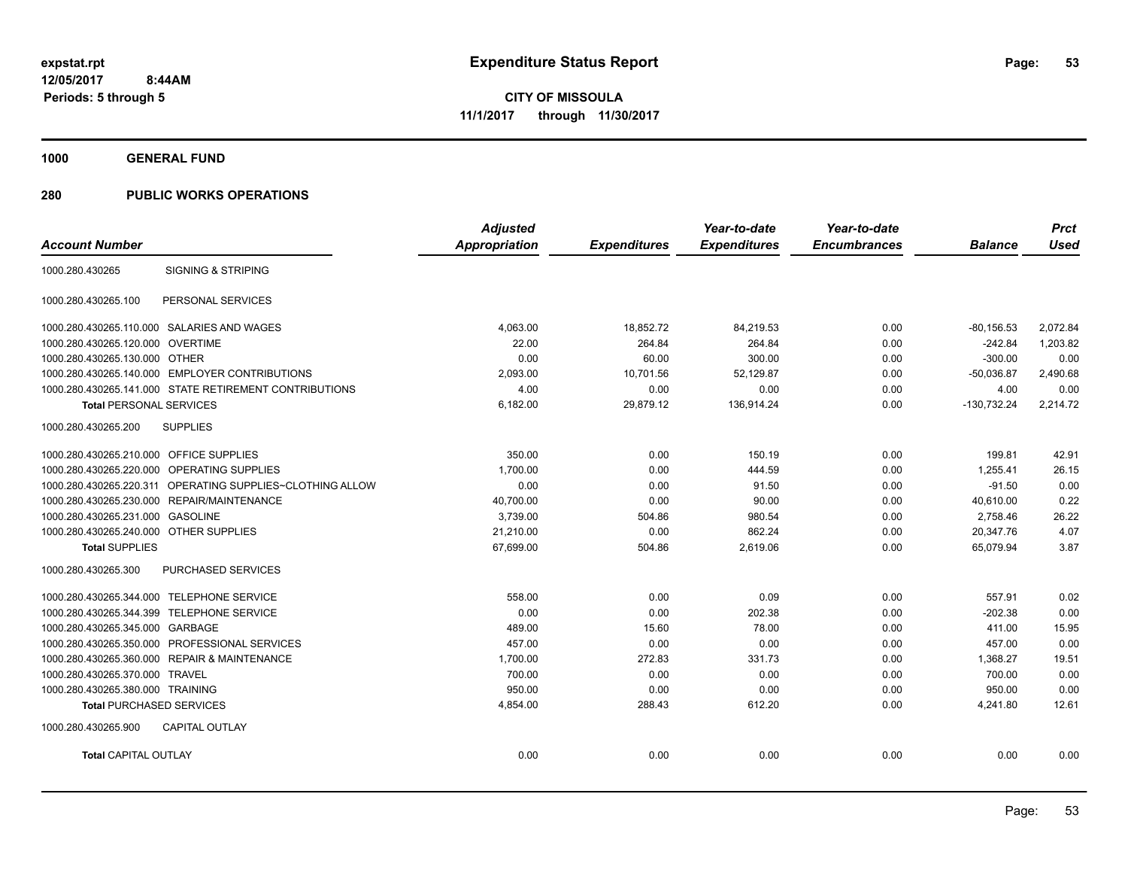**1000 GENERAL FUND**

|                                         |                                                           | <b>Adjusted</b>      |                     | Year-to-date        | Year-to-date        |                | <b>Prct</b> |
|-----------------------------------------|-----------------------------------------------------------|----------------------|---------------------|---------------------|---------------------|----------------|-------------|
| <b>Account Number</b>                   |                                                           | <b>Appropriation</b> | <b>Expenditures</b> | <b>Expenditures</b> | <b>Encumbrances</b> | <b>Balance</b> | <b>Used</b> |
| 1000.280.430265                         | <b>SIGNING &amp; STRIPING</b>                             |                      |                     |                     |                     |                |             |
| 1000.280.430265.100                     | PERSONAL SERVICES                                         |                      |                     |                     |                     |                |             |
|                                         | 1000.280.430265.110.000 SALARIES AND WAGES                | 4.063.00             | 18,852.72           | 84,219.53           | 0.00                | $-80, 156.53$  | 2,072.84    |
| 1000.280.430265.120.000                 | <b>OVERTIME</b>                                           | 22.00                | 264.84              | 264.84              | 0.00                | $-242.84$      | 1,203.82    |
| 1000.280.430265.130.000 OTHER           |                                                           | 0.00                 | 60.00               | 300.00              | 0.00                | $-300.00$      | 0.00        |
|                                         | 1000.280.430265.140.000 EMPLOYER CONTRIBUTIONS            | 2.093.00             | 10,701.56           | 52,129.87           | 0.00                | $-50,036.87$   | 2,490.68    |
|                                         | 1000.280.430265.141.000 STATE RETIREMENT CONTRIBUTIONS    | 4.00                 | 0.00                | 0.00                | 0.00                | 4.00           | 0.00        |
| <b>Total PERSONAL SERVICES</b>          |                                                           | 6,182.00             | 29,879.12           | 136,914.24          | 0.00                | $-130,732.24$  | 2,214.72    |
| 1000.280.430265.200                     | <b>SUPPLIES</b>                                           |                      |                     |                     |                     |                |             |
| 1000.280.430265.210.000 OFFICE SUPPLIES |                                                           | 350.00               | 0.00                | 150.19              | 0.00                | 199.81         | 42.91       |
|                                         | 1000.280.430265.220.000 OPERATING SUPPLIES                | 1,700.00             | 0.00                | 444.59              | 0.00                | 1,255.41       | 26.15       |
|                                         | 1000.280.430265.220.311 OPERATING SUPPLIES~CLOTHING ALLOW | 0.00                 | 0.00                | 91.50               | 0.00                | $-91.50$       | 0.00        |
|                                         | 1000.280.430265.230.000 REPAIR/MAINTENANCE                | 40,700.00            | 0.00                | 90.00               | 0.00                | 40,610.00      | 0.22        |
| 1000.280.430265.231.000                 | <b>GASOLINE</b>                                           | 3,739.00             | 504.86              | 980.54              | 0.00                | 2,758.46       | 26.22       |
| 1000.280.430265.240.000 OTHER SUPPLIES  |                                                           | 21,210.00            | 0.00                | 862.24              | 0.00                | 20,347.76      | 4.07        |
| <b>Total SUPPLIES</b>                   |                                                           | 67,699.00            | 504.86              | 2,619.06            | 0.00                | 65,079.94      | 3.87        |
| 1000.280.430265.300                     | PURCHASED SERVICES                                        |                      |                     |                     |                     |                |             |
|                                         | 1000.280.430265.344.000 TELEPHONE SERVICE                 | 558.00               | 0.00                | 0.09                | 0.00                | 557.91         | 0.02        |
|                                         | 1000.280.430265.344.399 TELEPHONE SERVICE                 | 0.00                 | 0.00                | 202.38              | 0.00                | $-202.38$      | 0.00        |
| 1000.280.430265.345.000 GARBAGE         |                                                           | 489.00               | 15.60               | 78.00               | 0.00                | 411.00         | 15.95       |
|                                         | 1000.280.430265.350.000 PROFESSIONAL SERVICES             | 457.00               | 0.00                | 0.00                | 0.00                | 457.00         | 0.00        |
|                                         | 1000.280.430265.360.000 REPAIR & MAINTENANCE              | 1,700.00             | 272.83              | 331.73              | 0.00                | 1.368.27       | 19.51       |
| 1000.280.430265.370.000 TRAVEL          |                                                           | 700.00               | 0.00                | 0.00                | 0.00                | 700.00         | 0.00        |
| 1000.280.430265.380.000 TRAINING        |                                                           | 950.00               | 0.00                | 0.00                | 0.00                | 950.00         | 0.00        |
| <b>Total PURCHASED SERVICES</b>         |                                                           | 4,854.00             | 288.43              | 612.20              | 0.00                | 4.241.80       | 12.61       |
| 1000.280.430265.900                     | CAPITAL OUTLAY                                            |                      |                     |                     |                     |                |             |
| <b>Total CAPITAL OUTLAY</b>             |                                                           | 0.00                 | 0.00                | 0.00                | 0.00                | 0.00           | 0.00        |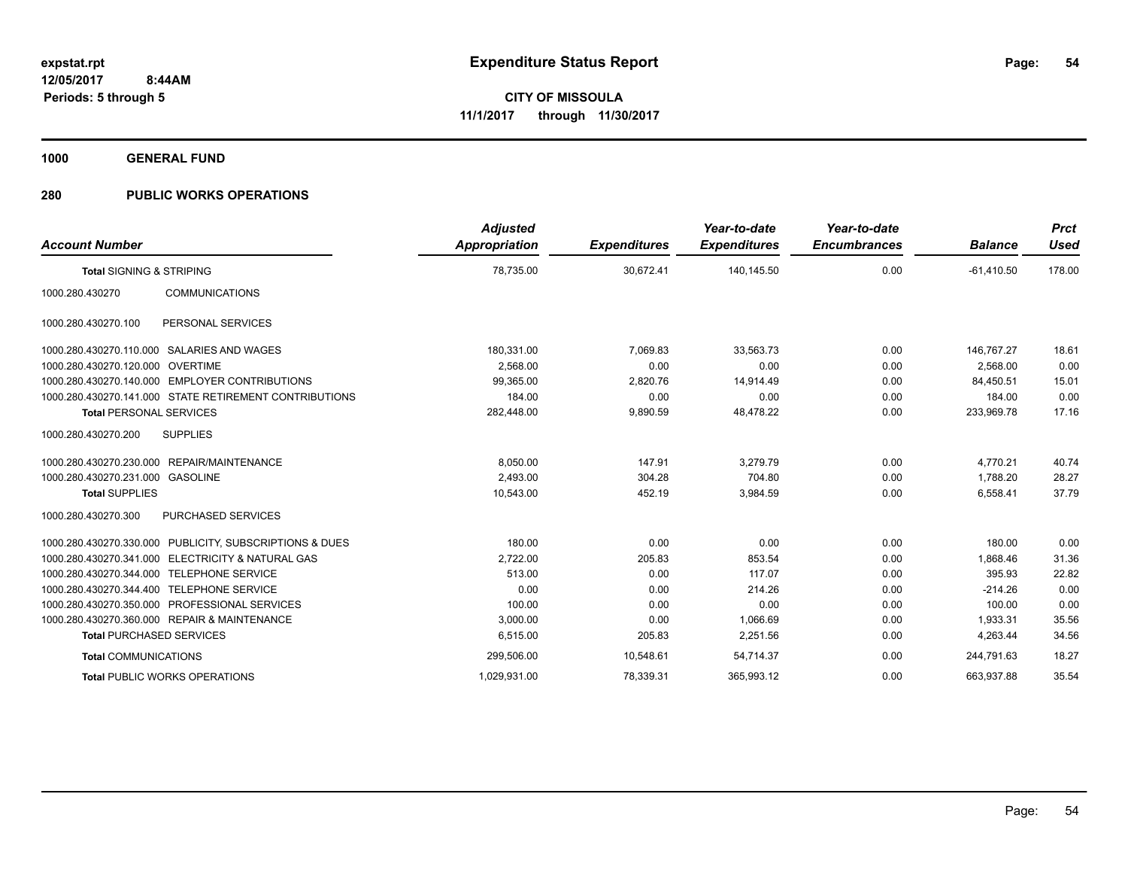**1000 GENERAL FUND**

| <b>Account Number</b>                        |                                                        | <b>Adjusted</b><br><b>Appropriation</b> | <b>Expenditures</b> | Year-to-date<br><b>Expenditures</b> | Year-to-date<br><b>Encumbrances</b> | <b>Balance</b> | <b>Prct</b><br><b>Used</b> |
|----------------------------------------------|--------------------------------------------------------|-----------------------------------------|---------------------|-------------------------------------|-------------------------------------|----------------|----------------------------|
| <b>Total SIGNING &amp; STRIPING</b>          |                                                        | 78,735.00                               | 30,672.41           | 140.145.50                          | 0.00                                | $-61.410.50$   | 178.00                     |
| 1000.280.430270                              | <b>COMMUNICATIONS</b>                                  |                                         |                     |                                     |                                     |                |                            |
| 1000.280.430270.100                          | PERSONAL SERVICES                                      |                                         |                     |                                     |                                     |                |                            |
| 1000.280.430270.110.000                      | SALARIES AND WAGES                                     | 180,331.00                              | 7.069.83            | 33.563.73                           | 0.00                                | 146.767.27     | 18.61                      |
| 1000.280.430270.120.000 OVERTIME             |                                                        | 2.568.00                                | 0.00                | 0.00                                | 0.00                                | 2.568.00       | 0.00                       |
| 1000.280.430270.140.000                      | <b>EMPLOYER CONTRIBUTIONS</b>                          | 99,365.00                               | 2,820.76            | 14,914.49                           | 0.00                                | 84,450.51      | 15.01                      |
|                                              | 1000.280.430270.141.000 STATE RETIREMENT CONTRIBUTIONS | 184.00                                  | 0.00                | 0.00                                | 0.00                                | 184.00         | 0.00                       |
| <b>Total PERSONAL SERVICES</b>               |                                                        | 282,448.00                              | 9,890.59            | 48,478.22                           | 0.00                                | 233,969.78     | 17.16                      |
| 1000.280.430270.200                          | <b>SUPPLIES</b>                                        |                                         |                     |                                     |                                     |                |                            |
| 1000.280.430270.230.000                      | <b>REPAIR/MAINTENANCE</b>                              | 8,050.00                                | 147.91              | 3.279.79                            | 0.00                                | 4,770.21       | 40.74                      |
| 1000.280.430270.231.000 GASOLINE             |                                                        | 2.493.00                                | 304.28              | 704.80                              | 0.00                                | 1,788.20       | 28.27                      |
| <b>Total SUPPLIES</b>                        |                                                        | 10,543.00                               | 452.19              | 3,984.59                            | 0.00                                | 6,558.41       | 37.79                      |
| 1000.280.430270.300                          | PURCHASED SERVICES                                     |                                         |                     |                                     |                                     |                |                            |
| 1000.280.430270.330.000                      | PUBLICITY, SUBSCRIPTIONS & DUES                        | 180.00                                  | 0.00                | 0.00                                | 0.00                                | 180.00         | 0.00                       |
| 1000.280.430270.341.000                      | <b>ELECTRICITY &amp; NATURAL GAS</b>                   | 2.722.00                                | 205.83              | 853.54                              | 0.00                                | 1.868.46       | 31.36                      |
| 1000.280.430270.344.000                      | <b>TELEPHONE SERVICE</b>                               | 513.00                                  | 0.00                | 117.07                              | 0.00                                | 395.93         | 22.82                      |
| 1000.280.430270.344.400                      | <b>TELEPHONE SERVICE</b>                               | 0.00                                    | 0.00                | 214.26                              | 0.00                                | $-214.26$      | 0.00                       |
| 1000.280.430270.350.000                      | <b>PROFESSIONAL SERVICES</b>                           | 100.00                                  | 0.00                | 0.00                                | 0.00                                | 100.00         | 0.00                       |
| 1000.280.430270.360.000 REPAIR & MAINTENANCE |                                                        | 3.000.00                                | 0.00                | 1.066.69                            | 0.00                                | 1.933.31       | 35.56                      |
| <b>Total PURCHASED SERVICES</b>              |                                                        | 6,515.00                                | 205.83              | 2,251.56                            | 0.00                                | 4,263.44       | 34.56                      |
| <b>Total COMMUNICATIONS</b>                  |                                                        | 299,506.00                              | 10,548.61           | 54,714.37                           | 0.00                                | 244,791.63     | 18.27                      |
| <b>Total PUBLIC WORKS OPERATIONS</b>         |                                                        | 1,029,931.00                            | 78,339.31           | 365,993.12                          | 0.00                                | 663,937.88     | 35.54                      |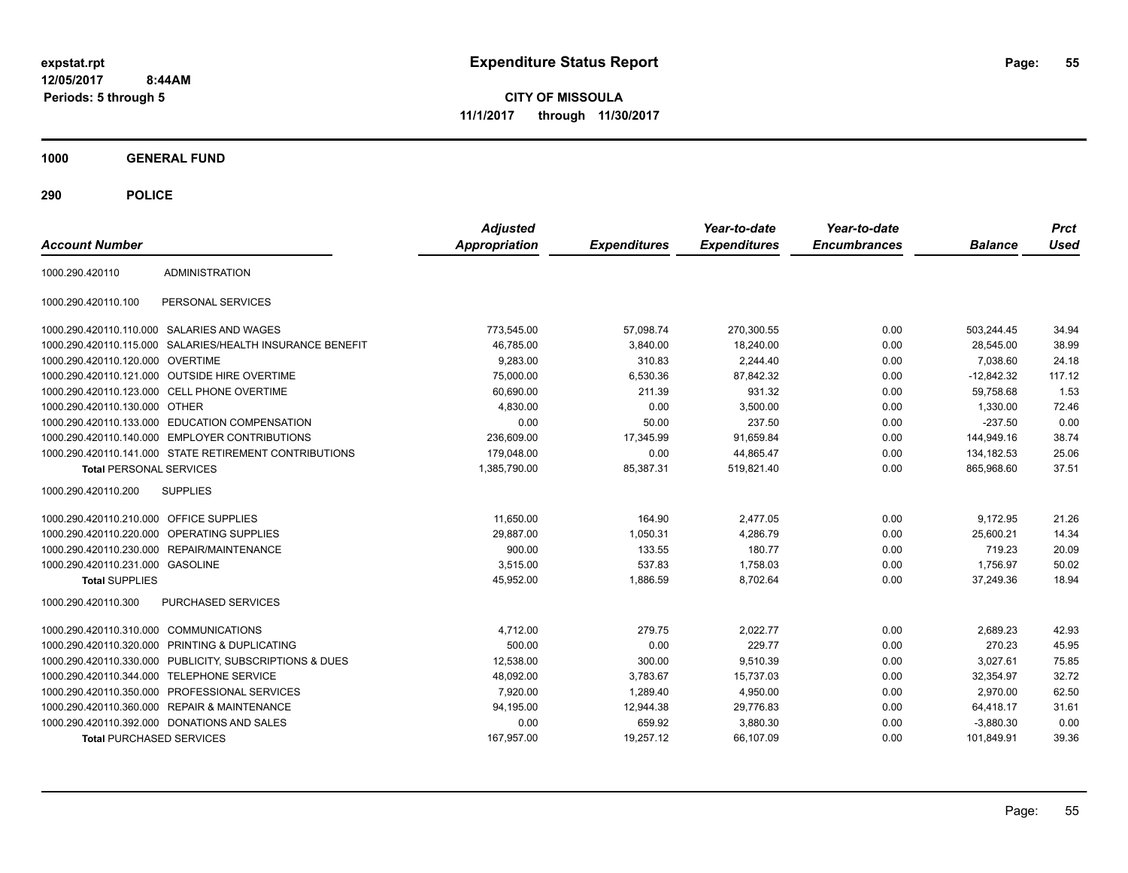**CITY OF MISSOULA 11/1/2017 through 11/30/2017**

**1000 GENERAL FUND**

| <b>Account Number</b>                   |                                                        | <b>Adjusted</b><br><b>Appropriation</b> | <b>Expenditures</b> | Year-to-date<br><b>Expenditures</b> | Year-to-date<br><b>Encumbrances</b> | <b>Balance</b> | <b>Prct</b><br>Used |
|-----------------------------------------|--------------------------------------------------------|-----------------------------------------|---------------------|-------------------------------------|-------------------------------------|----------------|---------------------|
| 1000.290.420110                         | <b>ADMINISTRATION</b>                                  |                                         |                     |                                     |                                     |                |                     |
| 1000.290.420110.100                     | PERSONAL SERVICES                                      |                                         |                     |                                     |                                     |                |                     |
|                                         | 1000.290.420110.110.000 SALARIES AND WAGES             | 773,545.00                              | 57.098.74           | 270.300.55                          | 0.00                                | 503,244.45     | 34.94               |
| 1000.290.420110.115.000                 | SALARIES/HEALTH INSURANCE BENEFIT                      | 46,785.00                               | 3,840.00            | 18,240.00                           | 0.00                                | 28,545.00      | 38.99               |
| 1000.290.420110.120.000 OVERTIME        |                                                        | 9,283.00                                | 310.83              | 2,244.40                            | 0.00                                | 7,038.60       | 24.18               |
|                                         | 1000.290.420110.121.000 OUTSIDE HIRE OVERTIME          | 75,000.00                               | 6,530.36            | 87,842.32                           | 0.00                                | $-12,842.32$   | 117.12              |
|                                         | 1000.290.420110.123.000 CELL PHONE OVERTIME            | 60.690.00                               | 211.39              | 931.32                              | 0.00                                | 59.758.68      | 1.53                |
| 1000.290.420110.130.000 OTHER           |                                                        | 4,830.00                                | 0.00                | 3,500.00                            | 0.00                                | 1,330.00       | 72.46               |
| 1000.290.420110.133.000                 | <b>EDUCATION COMPENSATION</b>                          | 0.00                                    | 50.00               | 237.50                              | 0.00                                | $-237.50$      | 0.00                |
|                                         | 1000.290.420110.140.000 EMPLOYER CONTRIBUTIONS         | 236,609.00                              | 17,345.99           | 91,659.84                           | 0.00                                | 144,949.16     | 38.74               |
|                                         | 1000.290.420110.141.000 STATE RETIREMENT CONTRIBUTIONS | 179,048.00                              | 0.00                | 44,865.47                           | 0.00                                | 134,182.53     | 25.06               |
| <b>Total PERSONAL SERVICES</b>          |                                                        | 1.385.790.00                            | 85,387.31           | 519.821.40                          | 0.00                                | 865,968.60     | 37.51               |
| 1000.290.420110.200                     | <b>SUPPLIES</b>                                        |                                         |                     |                                     |                                     |                |                     |
| 1000.290.420110.210.000 OFFICE SUPPLIES |                                                        | 11,650.00                               | 164.90              | 2,477.05                            | 0.00                                | 9,172.95       | 21.26               |
| 1000.290.420110.220.000                 | <b>OPERATING SUPPLIES</b>                              | 29,887.00                               | 1,050.31            | 4,286.79                            | 0.00                                | 25,600.21      | 14.34               |
| 1000.290.420110.230.000                 | REPAIR/MAINTENANCE                                     | 900.00                                  | 133.55              | 180.77                              | 0.00                                | 719.23         | 20.09               |
| 1000.290.420110.231.000 GASOLINE        |                                                        | 3,515.00                                | 537.83              | 1,758.03                            | 0.00                                | 1,756.97       | 50.02               |
| <b>Total SUPPLIES</b>                   |                                                        | 45.952.00                               | 1.886.59            | 8.702.64                            | 0.00                                | 37.249.36      | 18.94               |
| 1000.290.420110.300                     | <b>PURCHASED SERVICES</b>                              |                                         |                     |                                     |                                     |                |                     |
| 1000.290.420110.310.000                 | <b>COMMUNICATIONS</b>                                  | 4,712.00                                | 279.75              | 2,022.77                            | 0.00                                | 2,689.23       | 42.93               |
| 1000.290.420110.320.000                 | PRINTING & DUPLICATING                                 | 500.00                                  | 0.00                | 229.77                              | 0.00                                | 270.23         | 45.95               |
| 1000.290.420110.330.000                 | PUBLICITY, SUBSCRIPTIONS & DUES                        | 12,538.00                               | 300.00              | 9,510.39                            | 0.00                                | 3,027.61       | 75.85               |
| 1000.290.420110.344.000                 | <b>TELEPHONE SERVICE</b>                               | 48,092.00                               | 3,783.67            | 15,737.03                           | 0.00                                | 32,354.97      | 32.72               |
|                                         | 1000.290.420110.350.000 PROFESSIONAL SERVICES          | 7,920.00                                | 1.289.40            | 4,950.00                            | 0.00                                | 2.970.00       | 62.50               |
|                                         | 1000.290.420110.360.000 REPAIR & MAINTENANCE           | 94,195.00                               | 12.944.38           | 29.776.83                           | 0.00                                | 64,418.17      | 31.61               |
|                                         | 1000.290.420110.392.000 DONATIONS AND SALES            | 0.00                                    | 659.92              | 3,880.30                            | 0.00                                | $-3,880.30$    | 0.00                |
| <b>Total PURCHASED SERVICES</b>         |                                                        | 167,957.00                              | 19,257.12           | 66,107.09                           | 0.00                                | 101,849.91     | 39.36               |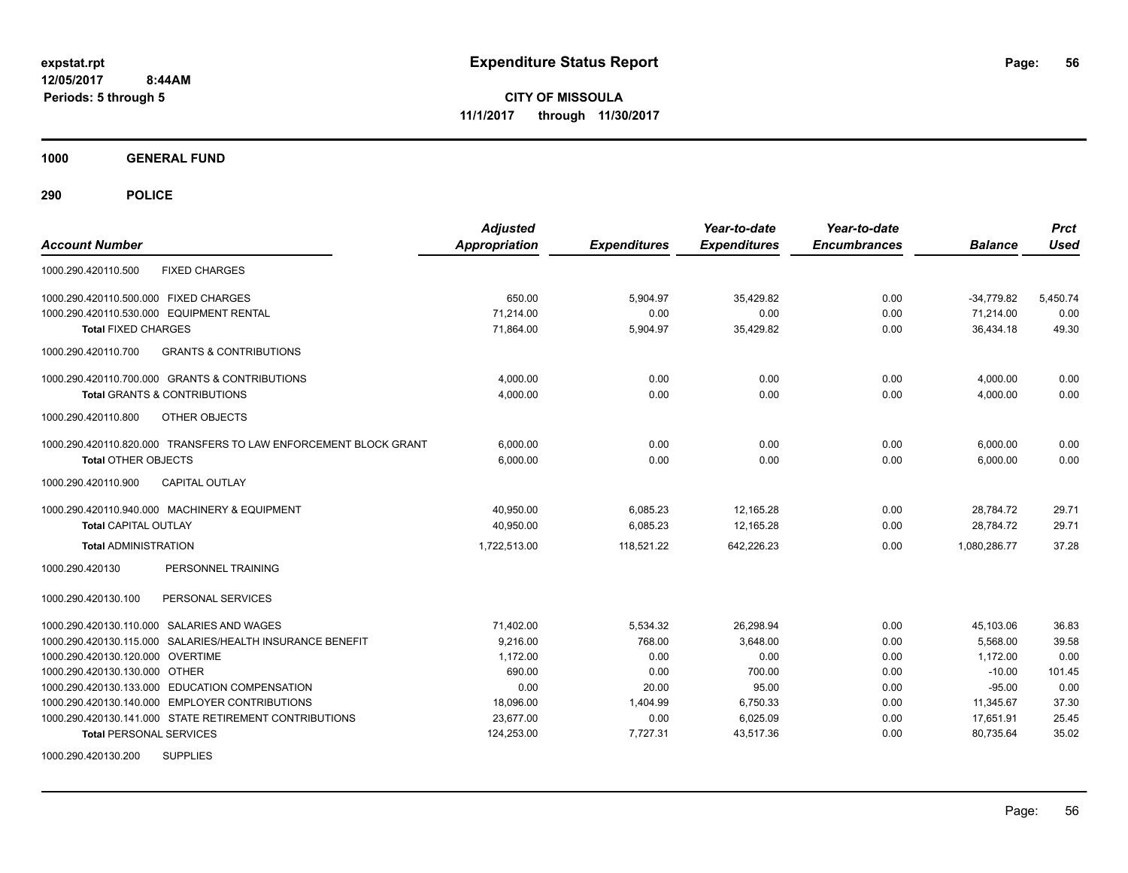**CITY OF MISSOULA 11/1/2017 through 11/30/2017**

**1000 GENERAL FUND**

| <b>Account Number</b>                                            | <b>Adjusted</b><br><b>Appropriation</b> | <b>Expenditures</b> | Year-to-date<br><b>Expenditures</b> | Year-to-date<br><b>Encumbrances</b> | <b>Balance</b> | <b>Prct</b><br><b>Used</b> |
|------------------------------------------------------------------|-----------------------------------------|---------------------|-------------------------------------|-------------------------------------|----------------|----------------------------|
| <b>FIXED CHARGES</b><br>1000.290.420110.500                      |                                         |                     |                                     |                                     |                |                            |
| 1000.290.420110.500.000 FIXED CHARGES                            | 650.00                                  | 5,904.97            | 35,429.82                           | 0.00                                | $-34,779.82$   | 5,450.74                   |
| 1000.290.420110.530.000 EQUIPMENT RENTAL                         | 71,214.00                               | 0.00                | 0.00                                | 0.00                                | 71,214.00      | 0.00                       |
| <b>Total FIXED CHARGES</b>                                       | 71,864.00                               | 5,904.97            | 35,429.82                           | 0.00                                | 36,434.18      | 49.30                      |
| <b>GRANTS &amp; CONTRIBUTIONS</b><br>1000.290.420110.700         |                                         |                     |                                     |                                     |                |                            |
| 1000.290.420110.700.000 GRANTS & CONTRIBUTIONS                   | 4,000.00                                | 0.00                | 0.00                                | 0.00                                | 4,000.00       | 0.00                       |
| <b>Total GRANTS &amp; CONTRIBUTIONS</b>                          | 4.000.00                                | 0.00                | 0.00                                | 0.00                                | 4.000.00       | 0.00                       |
| 1000.290.420110.800<br><b>OTHER OBJECTS</b>                      |                                         |                     |                                     |                                     |                |                            |
| 1000.290.420110.820.000 TRANSFERS TO LAW ENFORCEMENT BLOCK GRANT | 6,000.00                                | 0.00                | 0.00                                | 0.00                                | 6,000.00       | 0.00                       |
| <b>Total OTHER OBJECTS</b>                                       | 6,000.00                                | 0.00                | 0.00                                | 0.00                                | 6,000.00       | 0.00                       |
| 1000.290.420110.900<br><b>CAPITAL OUTLAY</b>                     |                                         |                     |                                     |                                     |                |                            |
| 1000.290.420110.940.000 MACHINERY & EQUIPMENT                    | 40,950.00                               | 6,085.23            | 12,165.28                           | 0.00                                | 28,784.72      | 29.71                      |
| <b>Total CAPITAL OUTLAY</b>                                      | 40,950.00                               | 6,085.23            | 12,165.28                           | 0.00                                | 28,784.72      | 29.71                      |
| <b>Total ADMINISTRATION</b>                                      | 1,722,513.00                            | 118,521.22          | 642,226.23                          | 0.00                                | 1,080,286.77   | 37.28                      |
| PERSONNEL TRAINING<br>1000.290.420130                            |                                         |                     |                                     |                                     |                |                            |
| 1000.290.420130.100<br>PERSONAL SERVICES                         |                                         |                     |                                     |                                     |                |                            |
| 1000.290.420130.110.000 SALARIES AND WAGES                       | 71,402.00                               | 5,534.32            | 26,298.94                           | 0.00                                | 45,103.06      | 36.83                      |
| 1000.290.420130.115.000 SALARIES/HEALTH INSURANCE BENEFIT        | 9,216.00                                | 768.00              | 3,648.00                            | 0.00                                | 5,568.00       | 39.58                      |
| 1000.290.420130.120.000 OVERTIME                                 | 1,172.00                                | 0.00                | 0.00                                | 0.00                                | 1,172.00       | 0.00                       |
| 1000.290.420130.130.000 OTHER                                    | 690.00                                  | 0.00                | 700.00                              | 0.00                                | $-10.00$       | 101.45                     |
| 1000.290.420130.133.000 EDUCATION COMPENSATION                   | 0.00                                    | 20.00               | 95.00                               | 0.00                                | $-95.00$       | 0.00                       |
| 1000.290.420130.140.000 EMPLOYER CONTRIBUTIONS                   | 18,096.00                               | 1,404.99            | 6,750.33                            | 0.00                                | 11,345.67      | 37.30                      |
| 1000.290.420130.141.000 STATE RETIREMENT CONTRIBUTIONS           | 23,677.00                               | 0.00                | 6,025.09                            | 0.00                                | 17,651.91      | 25.45                      |
| <b>Total PERSONAL SERVICES</b>                                   | 124,253.00                              | 7,727.31            | 43,517.36                           | 0.00                                | 80,735.64      | 35.02                      |
| <b>SUPPLIES</b><br>1000.290.420130.200                           |                                         |                     |                                     |                                     |                |                            |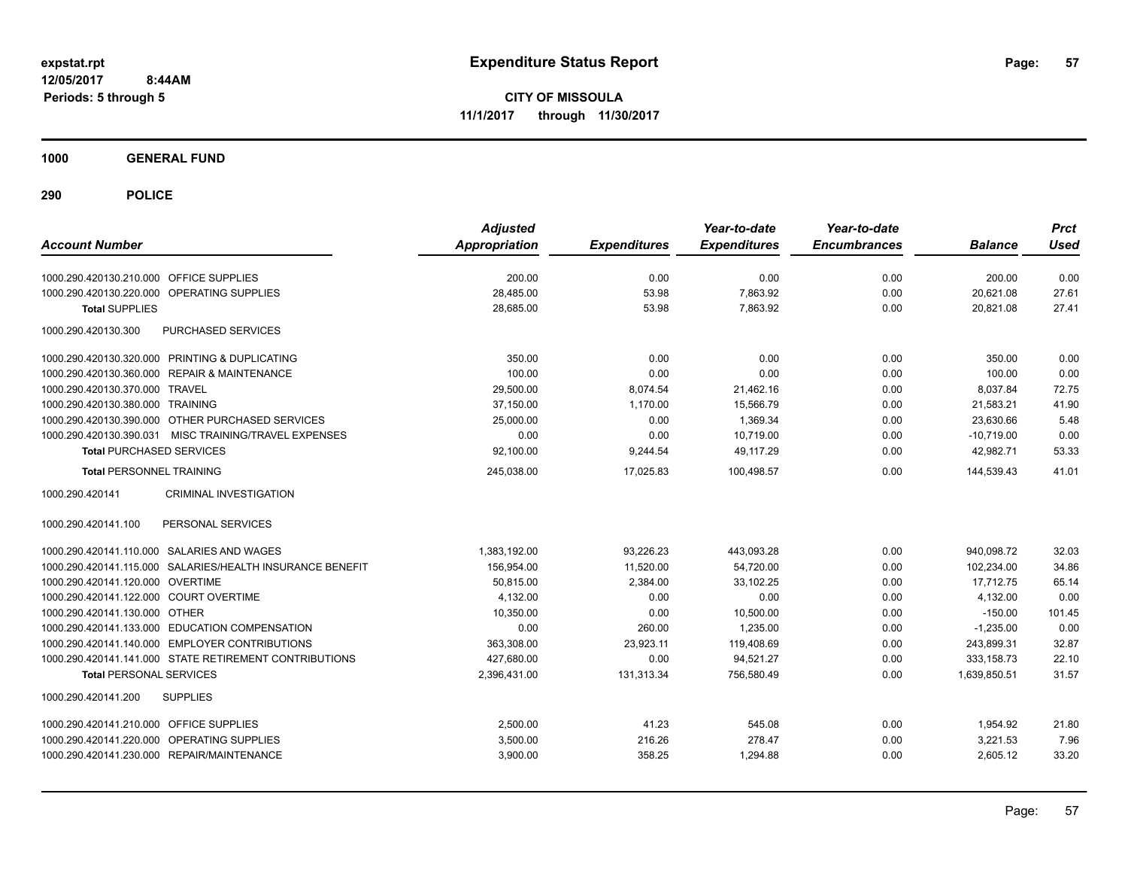**CITY OF MISSOULA 11/1/2017 through 11/30/2017**

**1000 GENERAL FUND**

| <b>Account Number</b>                                     | <b>Adjusted</b><br><b>Appropriation</b> | <b>Expenditures</b> | Year-to-date<br><b>Expenditures</b> | Year-to-date<br><b>Encumbrances</b> | <b>Balance</b> | <b>Prct</b><br><b>Used</b> |
|-----------------------------------------------------------|-----------------------------------------|---------------------|-------------------------------------|-------------------------------------|----------------|----------------------------|
| 1000.290.420130.210.000 OFFICE SUPPLIES                   | 200.00                                  | 0.00                | 0.00                                | 0.00                                | 200.00         | 0.00                       |
| 1000.290.420130.220.000 OPERATING SUPPLIES                | 28,485.00                               | 53.98               | 7,863.92                            | 0.00                                | 20,621.08      | 27.61                      |
| <b>Total SUPPLIES</b>                                     | 28,685.00                               | 53.98               | 7,863.92                            | 0.00                                | 20,821.08      | 27.41                      |
| 1000.290.420130.300<br>PURCHASED SERVICES                 |                                         |                     |                                     |                                     |                |                            |
| 1000.290.420130.320.000 PRINTING & DUPLICATING            | 350.00                                  | 0.00                | 0.00                                | 0.00                                | 350.00         | 0.00                       |
| 1000.290.420130.360.000 REPAIR & MAINTENANCE              | 100.00                                  | 0.00                | 0.00                                | 0.00                                | 100.00         | 0.00                       |
| 1000.290.420130.370.000 TRAVEL                            | 29,500.00                               | 8,074.54            | 21,462.16                           | 0.00                                | 8,037.84       | 72.75                      |
| 1000.290.420130.380.000 TRAINING                          | 37,150.00                               | 1,170.00            | 15,566.79                           | 0.00                                | 21,583.21      | 41.90                      |
| 1000.290.420130.390.000 OTHER PURCHASED SERVICES          | 25,000.00                               | 0.00                | 1,369.34                            | 0.00                                | 23,630.66      | 5.48                       |
| 1000.290.420130.390.031 MISC TRAINING/TRAVEL EXPENSES     | 0.00                                    | 0.00                | 10.719.00                           | 0.00                                | $-10.719.00$   | 0.00                       |
| <b>Total PURCHASED SERVICES</b>                           | 92,100.00                               | 9,244.54            | 49,117.29                           | 0.00                                | 42,982.71      | 53.33                      |
| <b>Total PERSONNEL TRAINING</b>                           | 245,038.00                              | 17,025.83           | 100,498.57                          | 0.00                                | 144,539.43     | 41.01                      |
| <b>CRIMINAL INVESTIGATION</b><br>1000.290.420141          |                                         |                     |                                     |                                     |                |                            |
| PERSONAL SERVICES<br>1000.290.420141.100                  |                                         |                     |                                     |                                     |                |                            |
| 1000.290.420141.110.000 SALARIES AND WAGES                | 1,383,192.00                            | 93,226.23           | 443,093.28                          | 0.00                                | 940,098.72     | 32.03                      |
| 1000.290.420141.115.000 SALARIES/HEALTH INSURANCE BENEFIT | 156,954.00                              | 11,520.00           | 54,720.00                           | 0.00                                | 102,234.00     | 34.86                      |
| 1000.290.420141.120.000 OVERTIME                          | 50,815.00                               | 2,384.00            | 33.102.25                           | 0.00                                | 17.712.75      | 65.14                      |
| 1000.290.420141.122.000 COURT OVERTIME                    | 4,132.00                                | 0.00                | 0.00                                | 0.00                                | 4,132.00       | 0.00                       |
| 1000.290.420141.130.000 OTHER                             | 10.350.00                               | 0.00                | 10,500.00                           | 0.00                                | $-150.00$      | 101.45                     |
| 1000.290.420141.133.000 EDUCATION COMPENSATION            | 0.00                                    | 260.00              | 1.235.00                            | 0.00                                | $-1.235.00$    | 0.00                       |
| 1000.290.420141.140.000 EMPLOYER CONTRIBUTIONS            | 363,308.00                              | 23,923.11           | 119,408.69                          | 0.00                                | 243,899.31     | 32.87                      |
| 1000.290.420141.141.000 STATE RETIREMENT CONTRIBUTIONS    | 427,680.00                              | 0.00                | 94,521.27                           | 0.00                                | 333, 158.73    | 22.10                      |
| <b>Total PERSONAL SERVICES</b>                            | 2,396,431.00                            | 131,313.34          | 756,580.49                          | 0.00                                | 1,639,850.51   | 31.57                      |
| <b>SUPPLIES</b><br>1000.290.420141.200                    |                                         |                     |                                     |                                     |                |                            |
| 1000.290.420141.210.000 OFFICE SUPPLIES                   | 2,500.00                                | 41.23               | 545.08                              | 0.00                                | 1,954.92       | 21.80                      |
| OPERATING SUPPLIES<br>1000.290.420141.220.000             | 3,500.00                                | 216.26              | 278.47                              | 0.00                                | 3,221.53       | 7.96                       |
| 1000.290.420141.230.000 REPAIR/MAINTENANCE                | 3,900.00                                | 358.25              | 1,294.88                            | 0.00                                | 2,605.12       | 33.20                      |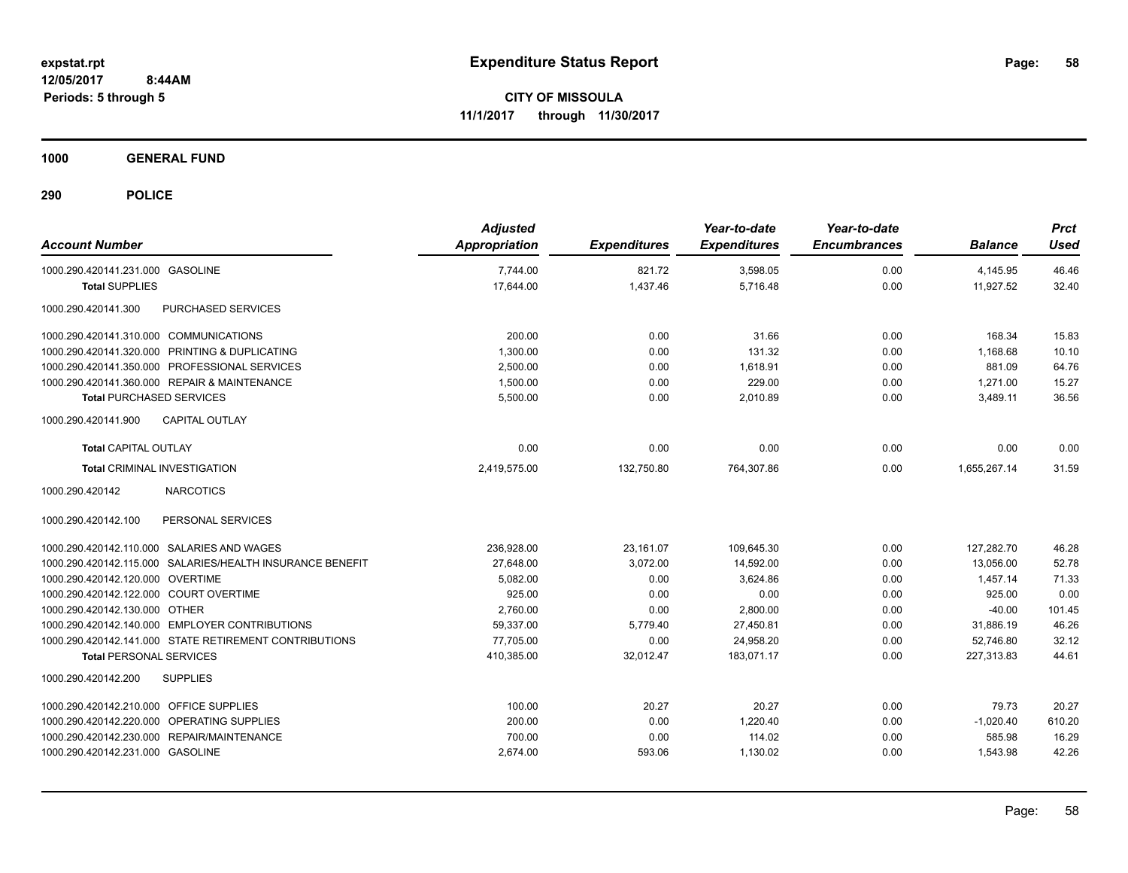**CITY OF MISSOULA 11/1/2017 through 11/30/2017**

**1000 GENERAL FUND**

| <b>Account Number</b>                                     | <b>Adjusted</b><br>Appropriation | <b>Expenditures</b> | Year-to-date<br><b>Expenditures</b> | Year-to-date<br><b>Encumbrances</b> | <b>Balance</b> | <b>Prct</b><br><b>Used</b> |
|-----------------------------------------------------------|----------------------------------|---------------------|-------------------------------------|-------------------------------------|----------------|----------------------------|
| 1000.290.420141.231.000 GASOLINE                          | 7,744.00                         | 821.72              | 3,598.05                            | 0.00                                | 4,145.95       | 46.46                      |
| <b>Total SUPPLIES</b>                                     | 17,644.00                        | 1,437.46            | 5,716.48                            | 0.00                                | 11,927.52      | 32.40                      |
| 1000.290.420141.300<br><b>PURCHASED SERVICES</b>          |                                  |                     |                                     |                                     |                |                            |
| 1000.290.420141.310.000 COMMUNICATIONS                    | 200.00                           | 0.00                | 31.66                               | 0.00                                | 168.34         | 15.83                      |
| 1000.290.420141.320.000 PRINTING & DUPLICATING            | 1,300.00                         | 0.00                | 131.32                              | 0.00                                | 1,168.68       | 10.10                      |
| 1000.290.420141.350.000 PROFESSIONAL SERVICES             | 2,500.00                         | 0.00                | 1,618.91                            | 0.00                                | 881.09         | 64.76                      |
| 1000.290.420141.360.000 REPAIR & MAINTENANCE              | 1,500.00                         | 0.00                | 229.00                              | 0.00                                | 1,271.00       | 15.27                      |
| <b>Total PURCHASED SERVICES</b>                           | 5,500.00                         | 0.00                | 2,010.89                            | 0.00                                | 3,489.11       | 36.56                      |
| <b>CAPITAL OUTLAY</b><br>1000.290.420141.900              |                                  |                     |                                     |                                     |                |                            |
| <b>Total CAPITAL OUTLAY</b>                               | 0.00                             | 0.00                | 0.00                                | 0.00                                | 0.00           | 0.00                       |
| <b>Total CRIMINAL INVESTIGATION</b>                       | 2,419,575.00                     | 132,750.80          | 764,307.86                          | 0.00                                | 1,655,267.14   | 31.59                      |
| 1000.290.420142<br><b>NARCOTICS</b>                       |                                  |                     |                                     |                                     |                |                            |
| PERSONAL SERVICES<br>1000.290.420142.100                  |                                  |                     |                                     |                                     |                |                            |
| 1000.290.420142.110.000 SALARIES AND WAGES                | 236.928.00                       | 23,161.07           | 109,645.30                          | 0.00                                | 127.282.70     | 46.28                      |
| 1000.290.420142.115.000 SALARIES/HEALTH INSURANCE BENEFIT | 27,648.00                        | 3,072.00            | 14,592.00                           | 0.00                                | 13,056.00      | 52.78                      |
| 1000.290.420142.120.000 OVERTIME                          | 5,082.00                         | 0.00                | 3,624.86                            | 0.00                                | 1,457.14       | 71.33                      |
| 1000.290.420142.122.000 COURT OVERTIME                    | 925.00                           | 0.00                | 0.00                                | 0.00                                | 925.00         | 0.00                       |
| 1000.290.420142.130.000 OTHER                             | 2.760.00                         | 0.00                | 2,800.00                            | 0.00                                | $-40.00$       | 101.45                     |
| 1000.290.420142.140.000 EMPLOYER CONTRIBUTIONS            | 59,337.00                        | 5,779.40            | 27,450.81                           | 0.00                                | 31.886.19      | 46.26                      |
| 1000.290.420142.141.000 STATE RETIREMENT CONTRIBUTIONS    | 77,705.00                        | 0.00                | 24,958.20                           | 0.00                                | 52,746.80      | 32.12                      |
| <b>Total PERSONAL SERVICES</b>                            | 410,385.00                       | 32,012.47           | 183.071.17                          | 0.00                                | 227,313.83     | 44.61                      |
| <b>SUPPLIES</b><br>1000.290.420142.200                    |                                  |                     |                                     |                                     |                |                            |
| 1000.290.420142.210.000 OFFICE SUPPLIES                   | 100.00                           | 20.27               | 20.27                               | 0.00                                | 79.73          | 20.27                      |
| 1000.290.420142.220.000 OPERATING SUPPLIES                | 200.00                           | 0.00                | 1,220.40                            | 0.00                                | $-1,020.40$    | 610.20                     |
| 1000.290.420142.230.000 REPAIR/MAINTENANCE                | 700.00                           | 0.00                | 114.02                              | 0.00                                | 585.98         | 16.29                      |
| 1000.290.420142.231.000 GASOLINE                          | 2,674.00                         | 593.06              | 1,130.02                            | 0.00                                | 1,543.98       | 42.26                      |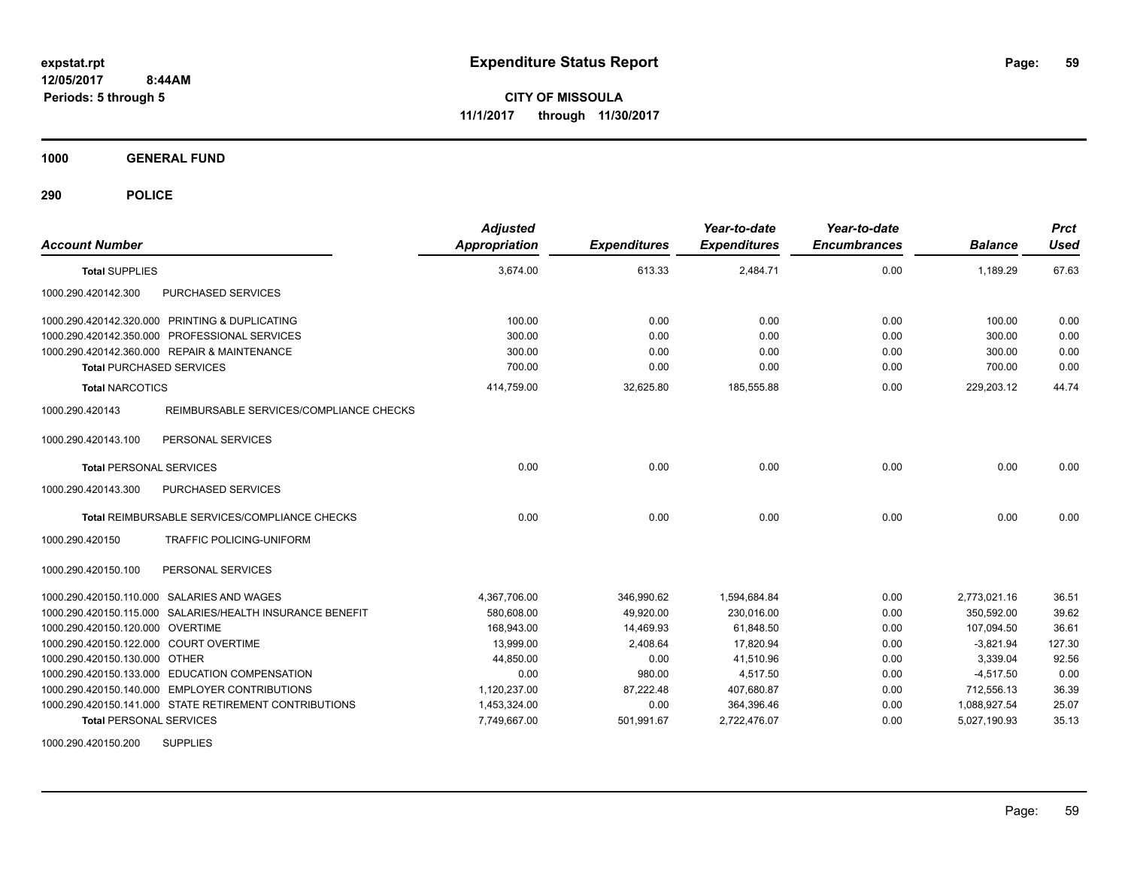**CITY OF MISSOULA 11/1/2017 through 11/30/2017**

**1000 GENERAL FUND**

| <b>Account Number</b>                                      | <b>Adjusted</b><br>Appropriation | <b>Expenditures</b> | Year-to-date<br><b>Expenditures</b> | Year-to-date<br><b>Encumbrances</b> | <b>Balance</b> | <b>Prct</b><br><b>Used</b> |
|------------------------------------------------------------|----------------------------------|---------------------|-------------------------------------|-------------------------------------|----------------|----------------------------|
| <b>Total SUPPLIES</b>                                      | 3,674.00                         | 613.33              | 2,484.71                            | 0.00                                | 1,189.29       | 67.63                      |
| 1000.290.420142.300<br>PURCHASED SERVICES                  |                                  |                     |                                     |                                     |                |                            |
| 1000.290.420142.320.000 PRINTING & DUPLICATING             | 100.00                           | 0.00                | 0.00                                | 0.00                                | 100.00         | 0.00                       |
| 1000.290.420142.350.000 PROFESSIONAL SERVICES              | 300.00                           | 0.00                | 0.00                                | 0.00                                | 300.00         | 0.00                       |
| 1000.290.420142.360.000 REPAIR & MAINTENANCE               | 300.00                           | 0.00                | 0.00                                | 0.00                                | 300.00         | 0.00                       |
| <b>Total PURCHASED SERVICES</b>                            | 700.00                           | 0.00                | 0.00                                | 0.00                                | 700.00         | 0.00                       |
| <b>Total NARCOTICS</b>                                     | 414,759.00                       | 32,625.80           | 185,555.88                          | 0.00                                | 229,203.12     | 44.74                      |
| REIMBURSABLE SERVICES/COMPLIANCE CHECKS<br>1000.290.420143 |                                  |                     |                                     |                                     |                |                            |
| PERSONAL SERVICES<br>1000.290.420143.100                   |                                  |                     |                                     |                                     |                |                            |
| <b>Total PERSONAL SERVICES</b>                             | 0.00                             | 0.00                | 0.00                                | 0.00                                | 0.00           | 0.00                       |
| PURCHASED SERVICES<br>1000.290.420143.300                  |                                  |                     |                                     |                                     |                |                            |
| Total REIMBURSABLE SERVICES/COMPLIANCE CHECKS              | 0.00                             | 0.00                | 0.00                                | 0.00                                | 0.00           | 0.00                       |
| 1000.290.420150<br>TRAFFIC POLICING-UNIFORM                |                                  |                     |                                     |                                     |                |                            |
| PERSONAL SERVICES<br>1000.290.420150.100                   |                                  |                     |                                     |                                     |                |                            |
| 1000.290.420150.110.000 SALARIES AND WAGES                 | 4,367,706.00                     | 346,990.62          | 1,594,684.84                        | 0.00                                | 2,773,021.16   | 36.51                      |
| 1000.290.420150.115.000 SALARIES/HEALTH INSURANCE BENEFIT  | 580,608.00                       | 49,920.00           | 230,016.00                          | 0.00                                | 350,592.00     | 39.62                      |
| 1000.290.420150.120.000 OVERTIME                           | 168,943.00                       | 14,469.93           | 61,848.50                           | 0.00                                | 107,094.50     | 36.61                      |
| 1000.290.420150.122.000 COURT OVERTIME                     | 13,999.00                        | 2,408.64            | 17,820.94                           | 0.00                                | $-3,821.94$    | 127.30                     |
| 1000.290.420150.130.000 OTHER                              | 44,850.00                        | 0.00                | 41,510.96                           | 0.00                                | 3,339.04       | 92.56                      |
| 1000.290.420150.133.000 EDUCATION COMPENSATION             | 0.00                             | 980.00              | 4,517.50                            | 0.00                                | $-4,517.50$    | 0.00                       |
| 1000.290.420150.140.000 EMPLOYER CONTRIBUTIONS             | 1,120,237.00                     | 87,222.48           | 407,680.87                          | 0.00                                | 712,556.13     | 36.39                      |
| 1000.290.420150.141.000 STATE RETIREMENT CONTRIBUTIONS     | 1,453,324.00                     | 0.00                | 364,396.46                          | 0.00                                | 1,088,927.54   | 25.07                      |
| <b>Total PERSONAL SERVICES</b>                             | 7,749,667.00                     | 501,991.67          | 2,722,476.07                        | 0.00                                | 5,027,190.93   | 35.13                      |
| <b>SUPPLIES</b><br>1000.290.420150.200                     |                                  |                     |                                     |                                     |                |                            |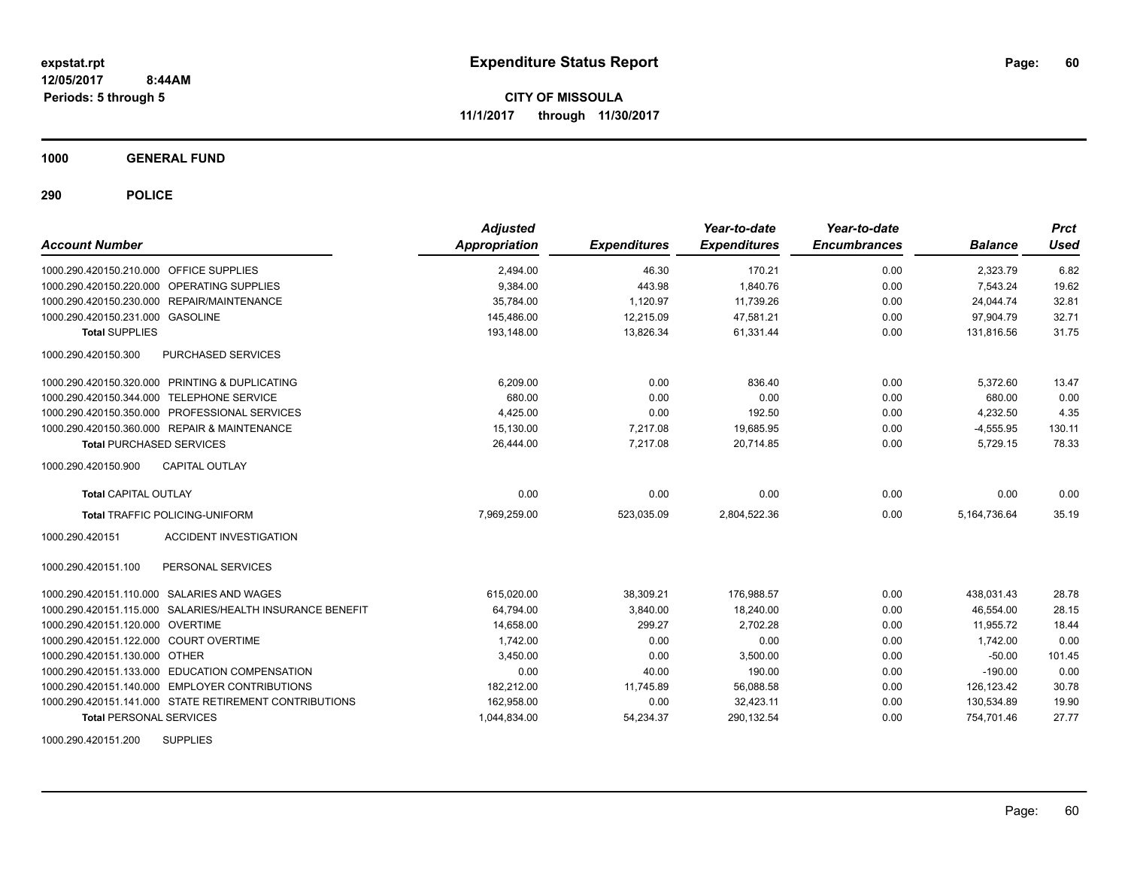**CITY OF MISSOULA 11/1/2017 through 11/30/2017**

**1000 GENERAL FUND**

**290 POLICE**

| <b>Account Number</b>                                     | <b>Adjusted</b><br>Appropriation | <b>Expenditures</b> | Year-to-date<br><b>Expenditures</b> | Year-to-date<br><b>Encumbrances</b> | <b>Balance</b> | <b>Prct</b><br><b>Used</b> |
|-----------------------------------------------------------|----------------------------------|---------------------|-------------------------------------|-------------------------------------|----------------|----------------------------|
| 1000.290.420150.210.000 OFFICE SUPPLIES                   | 2,494.00                         | 46.30               | 170.21                              | 0.00                                | 2,323.79       | 6.82                       |
| 1000.290.420150.220.000<br>OPERATING SUPPLIES             | 9,384.00                         | 443.98              | 1,840.76                            | 0.00                                | 7.543.24       | 19.62                      |
| 1000.290.420150.230.000 REPAIR/MAINTENANCE                | 35,784.00                        | 1,120.97            | 11,739.26                           | 0.00                                | 24,044.74      | 32.81                      |
| 1000.290.420150.231.000 GASOLINE                          | 145,486.00                       | 12,215.09           | 47,581.21                           | 0.00                                | 97,904.79      | 32.71                      |
| <b>Total SUPPLIES</b>                                     | 193,148.00                       | 13,826.34           | 61,331.44                           | 0.00                                | 131,816.56     | 31.75                      |
| PURCHASED SERVICES<br>1000.290.420150.300                 |                                  |                     |                                     |                                     |                |                            |
| 1000.290.420150.320.000 PRINTING & DUPLICATING            | 6,209.00                         | 0.00                | 836.40                              | 0.00                                | 5,372.60       | 13.47                      |
| 1000.290.420150.344.000 TELEPHONE SERVICE                 | 680.00                           | 0.00                | 0.00                                | 0.00                                | 680.00         | 0.00                       |
| 1000.290.420150.350.000 PROFESSIONAL SERVICES             | 4,425.00                         | 0.00                | 192.50                              | 0.00                                | 4,232.50       | 4.35                       |
| 1000.290.420150.360.000 REPAIR & MAINTENANCE              | 15,130.00                        | 7,217.08            | 19,685.95                           | 0.00                                | $-4,555.95$    | 130.11                     |
| <b>Total PURCHASED SERVICES</b>                           | 26,444.00                        | 7.217.08            | 20.714.85                           | 0.00                                | 5,729.15       | 78.33                      |
| <b>CAPITAL OUTLAY</b><br>1000.290.420150.900              |                                  |                     |                                     |                                     |                |                            |
| <b>Total CAPITAL OUTLAY</b>                               | 0.00                             | 0.00                | 0.00                                | 0.00                                | 0.00           | 0.00                       |
| <b>Total TRAFFIC POLICING-UNIFORM</b>                     | 7,969,259.00                     | 523,035.09          | 2,804,522.36                        | 0.00                                | 5, 164, 736.64 | 35.19                      |
| 1000.290.420151<br><b>ACCIDENT INVESTIGATION</b>          |                                  |                     |                                     |                                     |                |                            |
| PERSONAL SERVICES<br>1000.290.420151.100                  |                                  |                     |                                     |                                     |                |                            |
| 1000.290.420151.110.000 SALARIES AND WAGES                | 615,020.00                       | 38,309.21           | 176,988.57                          | 0.00                                | 438,031.43     | 28.78                      |
| 1000.290.420151.115.000 SALARIES/HEALTH INSURANCE BENEFIT | 64,794.00                        | 3.840.00            | 18,240.00                           | 0.00                                | 46.554.00      | 28.15                      |
| 1000.290.420151.120.000 OVERTIME                          | 14,658.00                        | 299.27              | 2.702.28                            | 0.00                                | 11.955.72      | 18.44                      |
| 1000.290.420151.122.000 COURT OVERTIME                    | 1,742.00                         | 0.00                | 0.00                                | 0.00                                | 1,742.00       | 0.00                       |
| 1000.290.420151.130.000 OTHER                             | 3,450.00                         | 0.00                | 3,500.00                            | 0.00                                | $-50.00$       | 101.45                     |
| 1000.290.420151.133.000 EDUCATION COMPENSATION            | 0.00                             | 40.00               | 190.00                              | 0.00                                | $-190.00$      | 0.00                       |
| 1000.290.420151.140.000 EMPLOYER CONTRIBUTIONS            | 182,212.00                       | 11,745.89           | 56,088.58                           | 0.00                                | 126.123.42     | 30.78                      |
| 1000.290.420151.141.000 STATE RETIREMENT CONTRIBUTIONS    | 162,958.00                       | 0.00                | 32,423.11                           | 0.00                                | 130,534.89     | 19.90                      |
| <b>Total PERSONAL SERVICES</b>                            | 1,044,834.00                     | 54,234.37           | 290,132.54                          | 0.00                                | 754,701.46     | 27.77                      |

1000.290.420151.200 SUPPLIES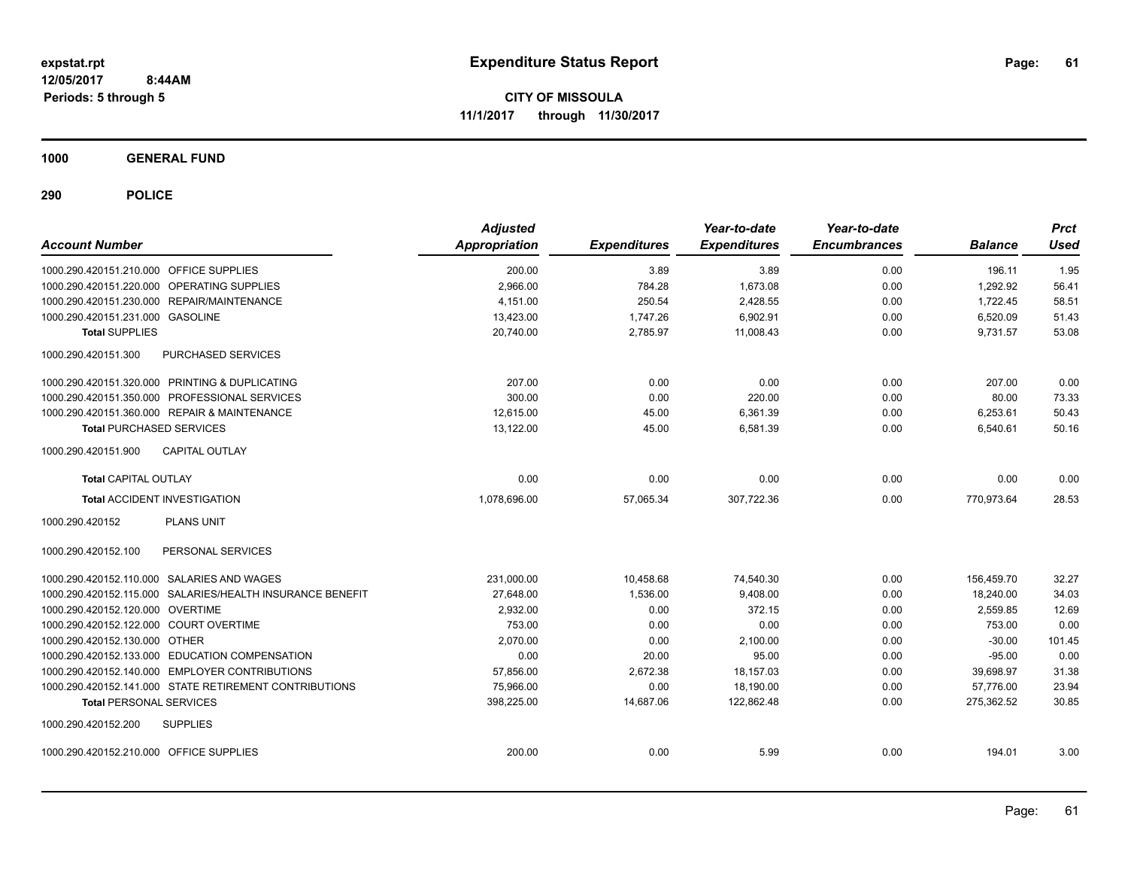**CITY OF MISSOULA 11/1/2017 through 11/30/2017**

**1000 GENERAL FUND**

| <b>Account Number</b>                   |                                                           | <b>Adjusted</b><br><b>Appropriation</b> | <b>Expenditures</b> | Year-to-date<br><b>Expenditures</b> | Year-to-date<br><b>Encumbrances</b> | <b>Balance</b> | <b>Prct</b><br><b>Used</b> |
|-----------------------------------------|-----------------------------------------------------------|-----------------------------------------|---------------------|-------------------------------------|-------------------------------------|----------------|----------------------------|
| 1000.290.420151.210.000 OFFICE SUPPLIES |                                                           | 200.00                                  | 3.89                | 3.89                                | 0.00                                | 196.11         | 1.95                       |
|                                         | 1000.290.420151.220.000 OPERATING SUPPLIES                | 2,966.00                                | 784.28              | 1,673.08                            | 0.00                                | 1,292.92       | 56.41                      |
|                                         | 1000.290.420151.230.000 REPAIR/MAINTENANCE                | 4.151.00                                | 250.54              | 2,428.55                            | 0.00                                | 1,722.45       | 58.51                      |
| 1000.290.420151.231.000 GASOLINE        |                                                           | 13,423.00                               | 1,747.26            | 6,902.91                            | 0.00                                | 6,520.09       | 51.43                      |
| <b>Total SUPPLIES</b>                   |                                                           | 20,740.00                               | 2,785.97            | 11,008.43                           | 0.00                                | 9,731.57       | 53.08                      |
| 1000.290.420151.300                     | PURCHASED SERVICES                                        |                                         |                     |                                     |                                     |                |                            |
|                                         | 1000.290.420151.320.000 PRINTING & DUPLICATING            | 207.00                                  | 0.00                | 0.00                                | 0.00                                | 207.00         | 0.00                       |
|                                         | 1000.290.420151.350.000 PROFESSIONAL SERVICES             | 300.00                                  | 0.00                | 220.00                              | 0.00                                | 80.00          | 73.33                      |
|                                         | 1000.290.420151.360.000 REPAIR & MAINTENANCE              | 12,615.00                               | 45.00               | 6,361.39                            | 0.00                                | 6,253.61       | 50.43                      |
| <b>Total PURCHASED SERVICES</b>         |                                                           | 13,122.00                               | 45.00               | 6,581.39                            | 0.00                                | 6,540.61       | 50.16                      |
| 1000.290.420151.900                     | <b>CAPITAL OUTLAY</b>                                     |                                         |                     |                                     |                                     |                |                            |
| <b>Total CAPITAL OUTLAY</b>             |                                                           | 0.00                                    | 0.00                | 0.00                                | 0.00                                | 0.00           | 0.00                       |
|                                         | <b>Total ACCIDENT INVESTIGATION</b>                       | 1,078,696.00                            | 57,065.34           | 307,722.36                          | 0.00                                | 770,973.64     | 28.53                      |
| 1000.290.420152                         | <b>PLANS UNIT</b>                                         |                                         |                     |                                     |                                     |                |                            |
| 1000.290.420152.100                     | PERSONAL SERVICES                                         |                                         |                     |                                     |                                     |                |                            |
|                                         | 1000.290.420152.110.000 SALARIES AND WAGES                | 231,000.00                              | 10,458.68           | 74,540.30                           | 0.00                                | 156,459.70     | 32.27                      |
|                                         | 1000.290.420152.115.000 SALARIES/HEALTH INSURANCE BENEFIT | 27.648.00                               | 1,536.00            | 9.408.00                            | 0.00                                | 18,240.00      | 34.03                      |
| 1000.290.420152.120.000 OVERTIME        |                                                           | 2,932.00                                | 0.00                | 372.15                              | 0.00                                | 2,559.85       | 12.69                      |
| 1000.290.420152.122.000 COURT OVERTIME  |                                                           | 753.00                                  | 0.00                | 0.00                                | 0.00                                | 753.00         | 0.00                       |
| 1000.290.420152.130.000 OTHER           |                                                           | 2,070.00                                | 0.00                | 2,100.00                            | 0.00                                | $-30.00$       | 101.45                     |
|                                         | 1000.290.420152.133.000 EDUCATION COMPENSATION            | 0.00                                    | 20.00               | 95.00                               | 0.00                                | $-95.00$       | 0.00                       |
|                                         | 1000.290.420152.140.000 EMPLOYER CONTRIBUTIONS            | 57,856.00                               | 2,672.38            | 18,157.03                           | 0.00                                | 39,698.97      | 31.38                      |
|                                         | 1000.290.420152.141.000 STATE RETIREMENT CONTRIBUTIONS    | 75.966.00                               | 0.00                | 18,190.00                           | 0.00                                | 57,776.00      | 23.94                      |
| <b>Total PERSONAL SERVICES</b>          |                                                           | 398,225.00                              | 14,687.06           | 122.862.48                          | 0.00                                | 275.362.52     | 30.85                      |
| 1000.290.420152.200                     | <b>SUPPLIES</b>                                           |                                         |                     |                                     |                                     |                |                            |
| 1000.290.420152.210.000 OFFICE SUPPLIES |                                                           | 200.00                                  | 0.00                | 5.99                                | 0.00                                | 194.01         | 3.00                       |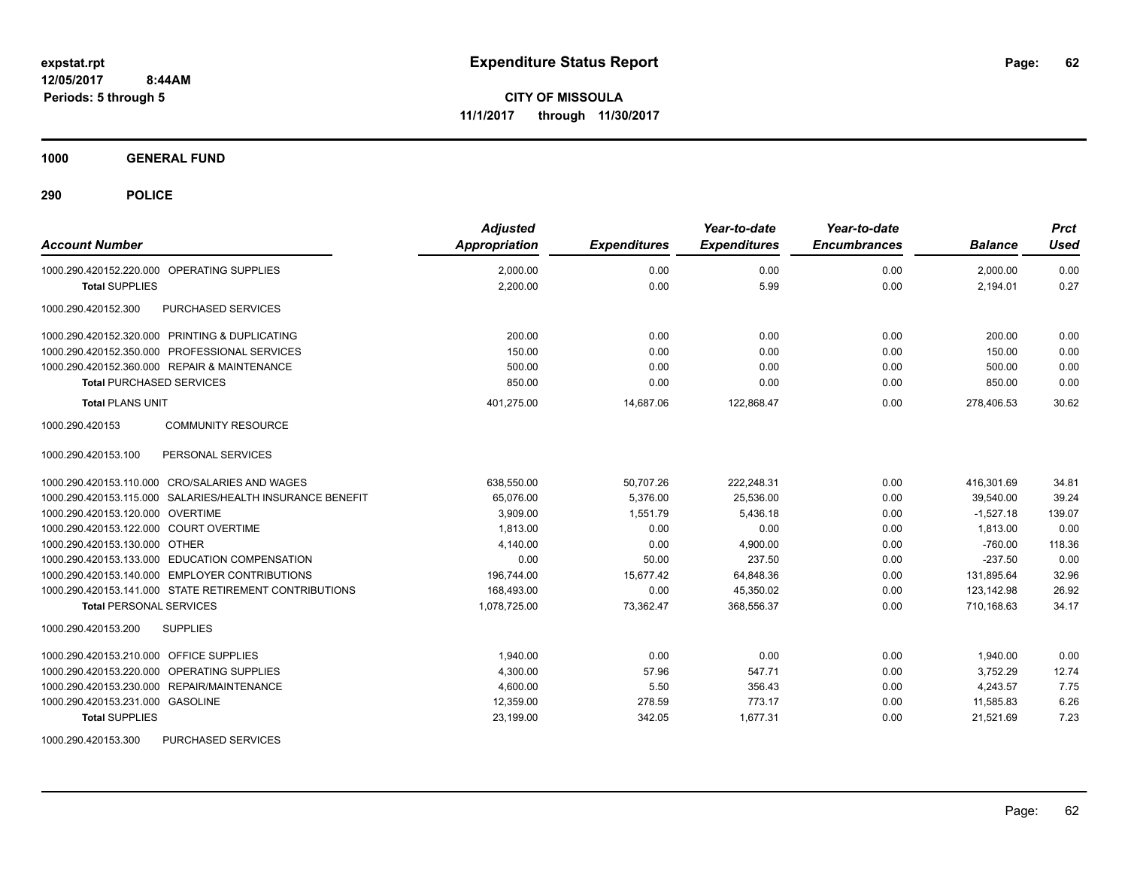**CITY OF MISSOULA 11/1/2017 through 11/30/2017**

**1000 GENERAL FUND**

| <b>Account Number</b>                                     | <b>Adjusted</b><br>Appropriation | <b>Expenditures</b> | Year-to-date<br><b>Expenditures</b> | Year-to-date<br><b>Encumbrances</b> | <b>Balance</b> | <b>Prct</b><br><b>Used</b> |
|-----------------------------------------------------------|----------------------------------|---------------------|-------------------------------------|-------------------------------------|----------------|----------------------------|
| 1000.290.420152.220.000 OPERATING SUPPLIES                | 2,000.00                         | 0.00                | 0.00                                | 0.00                                | 2.000.00       | 0.00                       |
| <b>Total SUPPLIES</b>                                     | 2,200.00                         | 0.00                | 5.99                                | 0.00                                | 2,194.01       | 0.27                       |
| 1000.290.420152.300<br>PURCHASED SERVICES                 |                                  |                     |                                     |                                     |                |                            |
| 1000.290.420152.320.000 PRINTING & DUPLICATING            | 200.00                           | 0.00                | 0.00                                | 0.00                                | 200.00         | 0.00                       |
| 1000.290.420152.350.000 PROFESSIONAL SERVICES             | 150.00                           | 0.00                | 0.00                                | 0.00                                | 150.00         | 0.00                       |
| 1000.290.420152.360.000 REPAIR & MAINTENANCE              | 500.00                           | 0.00                | 0.00                                | 0.00                                | 500.00         | 0.00                       |
| <b>Total PURCHASED SERVICES</b>                           | 850.00                           | 0.00                | 0.00                                | 0.00                                | 850.00         | 0.00                       |
| <b>Total PLANS UNIT</b>                                   | 401,275.00                       | 14,687.06           | 122,868.47                          | 0.00                                | 278,406.53     | 30.62                      |
| 1000.290.420153<br><b>COMMUNITY RESOURCE</b>              |                                  |                     |                                     |                                     |                |                            |
| PERSONAL SERVICES<br>1000.290.420153.100                  |                                  |                     |                                     |                                     |                |                            |
| 1000.290.420153.110.000 CRO/SALARIES AND WAGES            | 638,550.00                       | 50,707.26           | 222.248.31                          | 0.00                                | 416.301.69     | 34.81                      |
| 1000.290.420153.115.000 SALARIES/HEALTH INSURANCE BENEFIT | 65,076.00                        | 5,376.00            | 25,536.00                           | 0.00                                | 39,540.00      | 39.24                      |
| 1000.290.420153.120.000 OVERTIME                          | 3,909.00                         | 1,551.79            | 5,436.18                            | 0.00                                | $-1,527.18$    | 139.07                     |
| 1000.290.420153.122.000 COURT OVERTIME                    | 1,813.00                         | 0.00                | 0.00                                | 0.00                                | 1,813.00       | 0.00                       |
| 1000.290.420153.130.000 OTHER                             | 4,140.00                         | 0.00                | 4,900.00                            | 0.00                                | $-760.00$      | 118.36                     |
| 1000.290.420153.133.000 EDUCATION COMPENSATION            | 0.00                             | 50.00               | 237.50                              | 0.00                                | $-237.50$      | 0.00                       |
| 1000.290.420153.140.000 EMPLOYER CONTRIBUTIONS            | 196,744.00                       | 15,677.42           | 64,848.36                           | 0.00                                | 131,895.64     | 32.96                      |
| 1000.290.420153.141.000 STATE RETIREMENT CONTRIBUTIONS    | 168,493.00                       | 0.00                | 45,350.02                           | 0.00                                | 123.142.98     | 26.92                      |
| <b>Total PERSONAL SERVICES</b>                            | 1,078,725.00                     | 73,362.47           | 368,556.37                          | 0.00                                | 710,168.63     | 34.17                      |
| 1000.290.420153.200<br><b>SUPPLIES</b>                    |                                  |                     |                                     |                                     |                |                            |
| 1000.290.420153.210.000 OFFICE SUPPLIES                   | 1,940.00                         | 0.00                | 0.00                                | 0.00                                | 1,940.00       | 0.00                       |
| 1000.290.420153.220.000 OPERATING SUPPLIES                | 4,300.00                         | 57.96               | 547.71                              | 0.00                                | 3,752.29       | 12.74                      |
| 1000.290.420153.230.000 REPAIR/MAINTENANCE                | 4,600.00                         | 5.50                | 356.43                              | 0.00                                | 4,243.57       | 7.75                       |
| 1000.290.420153.231.000 GASOLINE                          | 12,359.00                        | 278.59              | 773.17                              | 0.00                                | 11,585.83      | 6.26                       |
| <b>Total SUPPLIES</b>                                     | 23,199.00                        | 342.05              | 1,677.31                            | 0.00                                | 21,521.69      | 7.23                       |
| 1000.290.420153.300<br>PURCHASED SERVICES                 |                                  |                     |                                     |                                     |                |                            |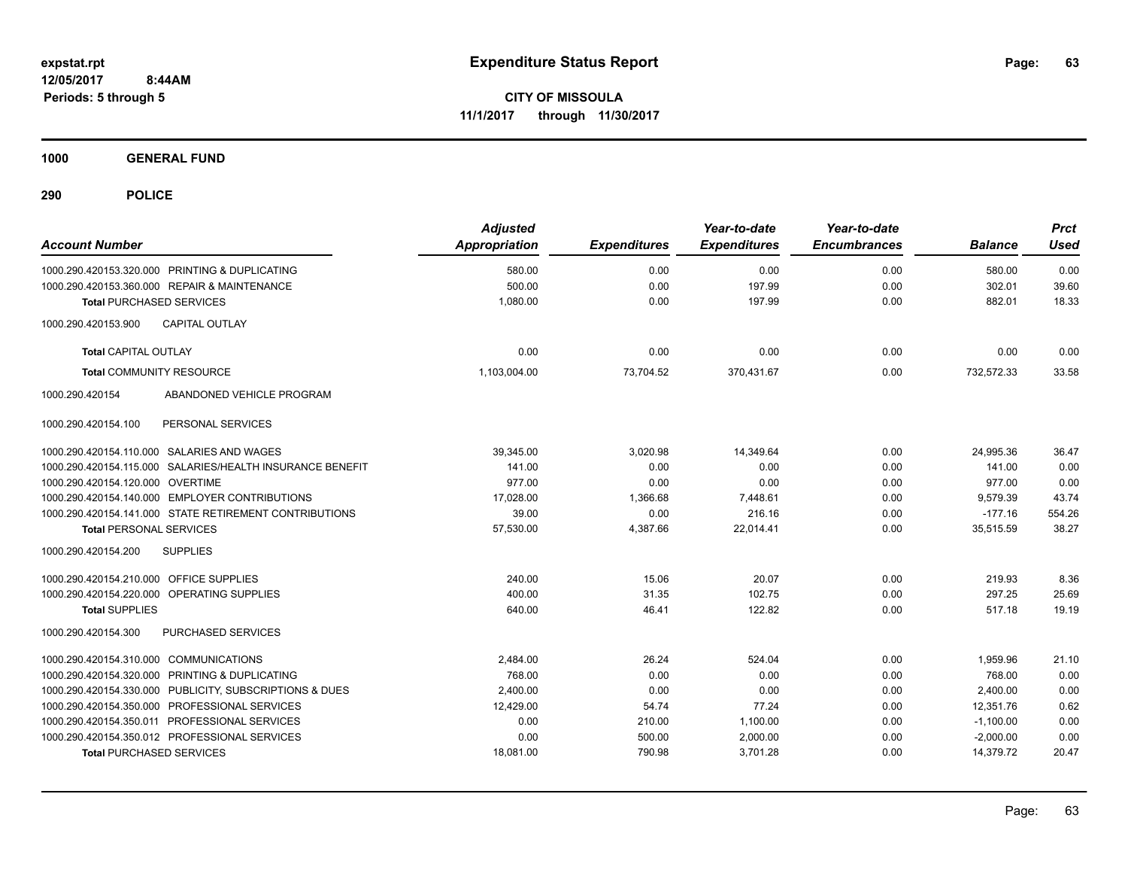**CITY OF MISSOULA 11/1/2017 through 11/30/2017**

**1000 GENERAL FUND**

| <b>Account Number</b>                                      | <b>Adjusted</b><br>Appropriation | <b>Expenditures</b> | Year-to-date<br><b>Expenditures</b> | Year-to-date<br><b>Encumbrances</b> | <b>Balance</b> | <b>Prct</b><br><b>Used</b> |
|------------------------------------------------------------|----------------------------------|---------------------|-------------------------------------|-------------------------------------|----------------|----------------------------|
| 1000.290.420153.320.000 PRINTING & DUPLICATING             | 580.00                           | 0.00                | 0.00                                | 0.00                                | 580.00         | 0.00                       |
| 1000.290.420153.360.000 REPAIR & MAINTENANCE               | 500.00                           | 0.00                | 197.99                              | 0.00                                | 302.01         | 39.60                      |
| <b>Total PURCHASED SERVICES</b>                            | 1,080.00                         | 0.00                | 197.99                              | 0.00                                | 882.01         | 18.33                      |
| 1000.290.420153.900<br><b>CAPITAL OUTLAY</b>               |                                  |                     |                                     |                                     |                |                            |
| <b>Total CAPITAL OUTLAY</b>                                | 0.00                             | 0.00                | 0.00                                | 0.00                                | 0.00           | 0.00                       |
| <b>Total COMMUNITY RESOURCE</b>                            | 1,103,004.00                     | 73.704.52           | 370.431.67                          | 0.00                                | 732.572.33     | 33.58                      |
| ABANDONED VEHICLE PROGRAM<br>1000.290.420154               |                                  |                     |                                     |                                     |                |                            |
| PERSONAL SERVICES<br>1000.290.420154.100                   |                                  |                     |                                     |                                     |                |                            |
| 1000.290.420154.110.000 SALARIES AND WAGES                 | 39,345.00                        | 3,020.98            | 14.349.64                           | 0.00                                | 24.995.36      | 36.47                      |
| 1000.290.420154.115.000 SALARIES/HEALTH INSURANCE BENEFIT  | 141.00                           | 0.00                | 0.00                                | 0.00                                | 141.00         | 0.00                       |
| 1000.290.420154.120.000 OVERTIME                           | 977.00                           | 0.00                | 0.00                                | 0.00                                | 977.00         | 0.00                       |
| 1000.290.420154.140.000 EMPLOYER CONTRIBUTIONS             | 17,028.00                        | 1,366.68            | 7,448.61                            | 0.00                                | 9,579.39       | 43.74                      |
| 1000.290.420154.141.000 STATE RETIREMENT CONTRIBUTIONS     | 39.00                            | 0.00                | 216.16                              | 0.00                                | $-177.16$      | 554.26                     |
| <b>Total PERSONAL SERVICES</b>                             | 57,530.00                        | 4,387.66            | 22.014.41                           | 0.00                                | 35,515.59      | 38.27                      |
| 1000.290.420154.200<br><b>SUPPLIES</b>                     |                                  |                     |                                     |                                     |                |                            |
| 1000.290.420154.210.000 OFFICE SUPPLIES                    | 240.00                           | 15.06               | 20.07                               | 0.00                                | 219.93         | 8.36                       |
| 1000.290.420154.220.000 OPERATING SUPPLIES                 | 400.00                           | 31.35               | 102.75                              | 0.00                                | 297.25         | 25.69                      |
| <b>Total SUPPLIES</b>                                      | 640.00                           | 46.41               | 122.82                              | 0.00                                | 517.18         | 19.19                      |
| PURCHASED SERVICES<br>1000.290.420154.300                  |                                  |                     |                                     |                                     |                |                            |
| 1000.290.420154.310.000 COMMUNICATIONS                     | 2,484.00                         | 26.24               | 524.04                              | 0.00                                | 1,959.96       | 21.10                      |
| PRINTING & DUPLICATING<br>1000.290.420154.320.000          | 768.00                           | 0.00                | 0.00                                | 0.00                                | 768.00         | 0.00                       |
| 1000.290.420154.330.000<br>PUBLICITY, SUBSCRIPTIONS & DUES | 2,400.00                         | 0.00                | 0.00                                | 0.00                                | 2,400.00       | 0.00                       |
| 1000.290.420154.350.000 PROFESSIONAL SERVICES              | 12,429.00                        | 54.74               | 77.24                               | 0.00                                | 12,351.76      | 0.62                       |
| 1000.290.420154.350.011 PROFESSIONAL SERVICES              | 0.00                             | 210.00              | 1,100.00                            | 0.00                                | $-1,100.00$    | 0.00                       |
| 1000.290.420154.350.012 PROFESSIONAL SERVICES              | 0.00                             | 500.00              | 2,000.00                            | 0.00                                | $-2,000.00$    | 0.00                       |
| <b>Total PURCHASED SERVICES</b>                            | 18,081.00                        | 790.98              | 3,701.28                            | 0.00                                | 14,379.72      | 20.47                      |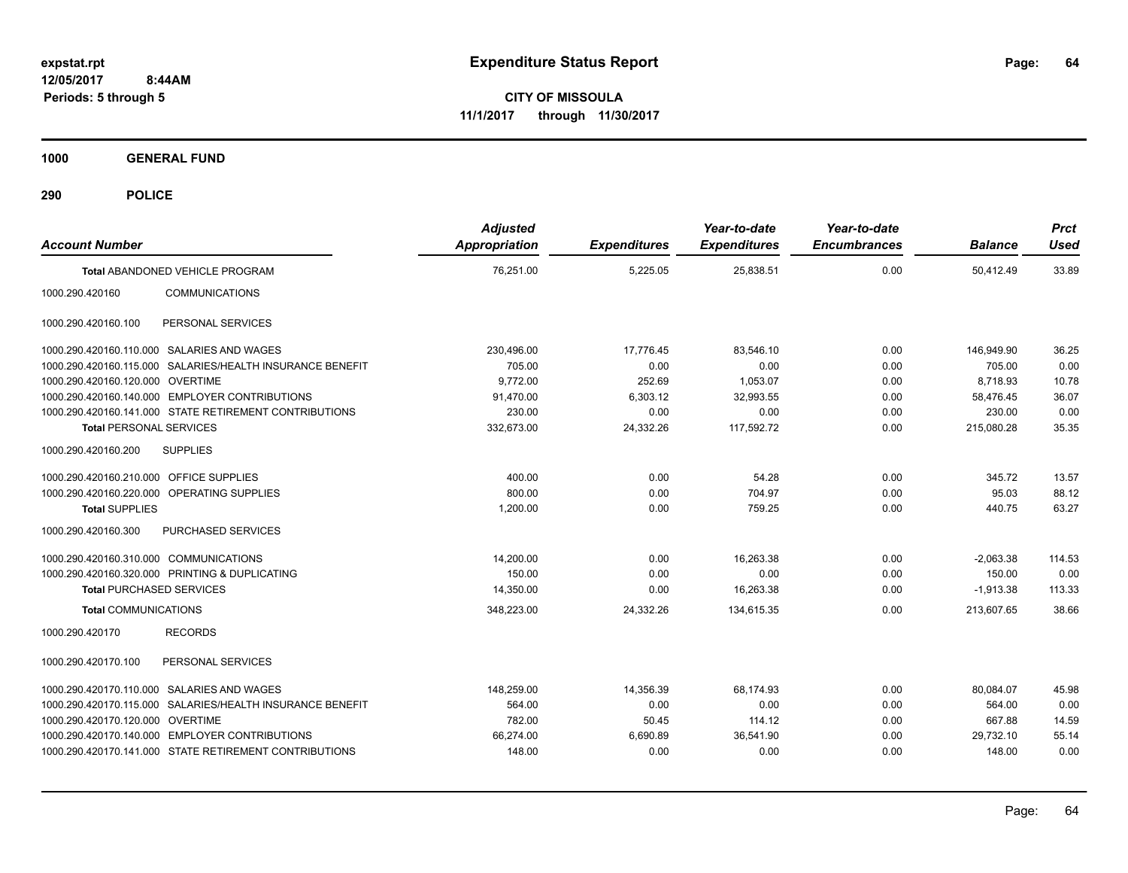**CITY OF MISSOULA 11/1/2017 through 11/30/2017**

**1000 GENERAL FUND**

| <b>Account Number</b>                   |                                                           | <b>Adjusted</b><br>Appropriation | <b>Expenditures</b> | Year-to-date<br><b>Expenditures</b> | Year-to-date<br><b>Encumbrances</b> | <b>Balance</b> | <b>Prct</b><br><b>Used</b> |
|-----------------------------------------|-----------------------------------------------------------|----------------------------------|---------------------|-------------------------------------|-------------------------------------|----------------|----------------------------|
|                                         | Total ABANDONED VEHICLE PROGRAM                           | 76,251.00                        | 5,225.05            | 25,838.51                           | 0.00                                | 50,412.49      | 33.89                      |
| 1000.290.420160                         | <b>COMMUNICATIONS</b>                                     |                                  |                     |                                     |                                     |                |                            |
| 1000.290.420160.100                     | PERSONAL SERVICES                                         |                                  |                     |                                     |                                     |                |                            |
|                                         | 1000.290.420160.110.000 SALARIES AND WAGES                | 230,496.00                       | 17,776.45           | 83.546.10                           | 0.00                                | 146,949.90     | 36.25                      |
|                                         | 1000.290.420160.115.000 SALARIES/HEALTH INSURANCE BENEFIT | 705.00                           | 0.00                | 0.00                                | 0.00                                | 705.00         | 0.00                       |
| 1000.290.420160.120.000 OVERTIME        |                                                           | 9.772.00                         | 252.69              | 1,053.07                            | 0.00                                | 8.718.93       | 10.78                      |
|                                         | 1000.290.420160.140.000 EMPLOYER CONTRIBUTIONS            | 91,470.00                        | 6,303.12            | 32,993.55                           | 0.00                                | 58,476.45      | 36.07                      |
|                                         | 1000.290.420160.141.000 STATE RETIREMENT CONTRIBUTIONS    | 230.00                           | 0.00                | 0.00                                | 0.00                                | 230.00         | 0.00                       |
| <b>Total PERSONAL SERVICES</b>          |                                                           | 332,673.00                       | 24,332.26           | 117,592.72                          | 0.00                                | 215,080.28     | 35.35                      |
| 1000.290.420160.200                     | <b>SUPPLIES</b>                                           |                                  |                     |                                     |                                     |                |                            |
| 1000.290.420160.210.000 OFFICE SUPPLIES |                                                           | 400.00                           | 0.00                | 54.28                               | 0.00                                | 345.72         | 13.57                      |
|                                         | 1000.290.420160.220.000 OPERATING SUPPLIES                | 800.00                           | 0.00                | 704.97                              | 0.00                                | 95.03          | 88.12                      |
| <b>Total SUPPLIES</b>                   |                                                           | 1,200.00                         | 0.00                | 759.25                              | 0.00                                | 440.75         | 63.27                      |
| 1000.290.420160.300                     | PURCHASED SERVICES                                        |                                  |                     |                                     |                                     |                |                            |
| 1000.290.420160.310.000 COMMUNICATIONS  |                                                           | 14,200.00                        | 0.00                | 16,263.38                           | 0.00                                | $-2,063.38$    | 114.53                     |
|                                         | 1000.290.420160.320.000 PRINTING & DUPLICATING            | 150.00                           | 0.00                | 0.00                                | 0.00                                | 150.00         | 0.00                       |
| <b>Total PURCHASED SERVICES</b>         |                                                           | 14,350.00                        | 0.00                | 16,263.38                           | 0.00                                | $-1,913.38$    | 113.33                     |
| <b>Total COMMUNICATIONS</b>             |                                                           | 348,223.00                       | 24,332.26           | 134,615.35                          | 0.00                                | 213.607.65     | 38.66                      |
| 1000.290.420170                         | <b>RECORDS</b>                                            |                                  |                     |                                     |                                     |                |                            |
| 1000.290.420170.100                     | PERSONAL SERVICES                                         |                                  |                     |                                     |                                     |                |                            |
|                                         | 1000.290.420170.110.000 SALARIES AND WAGES                | 148,259.00                       | 14,356.39           | 68,174.93                           | 0.00                                | 80,084.07      | 45.98                      |
|                                         | 1000.290.420170.115.000 SALARIES/HEALTH INSURANCE BENEFIT | 564.00                           | 0.00                | 0.00                                | 0.00                                | 564.00         | 0.00                       |
| 1000.290.420170.120.000 OVERTIME        |                                                           | 782.00                           | 50.45               | 114.12                              | 0.00                                | 667.88         | 14.59                      |
|                                         | 1000.290.420170.140.000 EMPLOYER CONTRIBUTIONS            | 66,274.00                        | 6,690.89            | 36,541.90                           | 0.00                                | 29,732.10      | 55.14                      |
|                                         | 1000.290.420170.141.000 STATE RETIREMENT CONTRIBUTIONS    | 148.00                           | 0.00                | 0.00                                | 0.00                                | 148.00         | 0.00                       |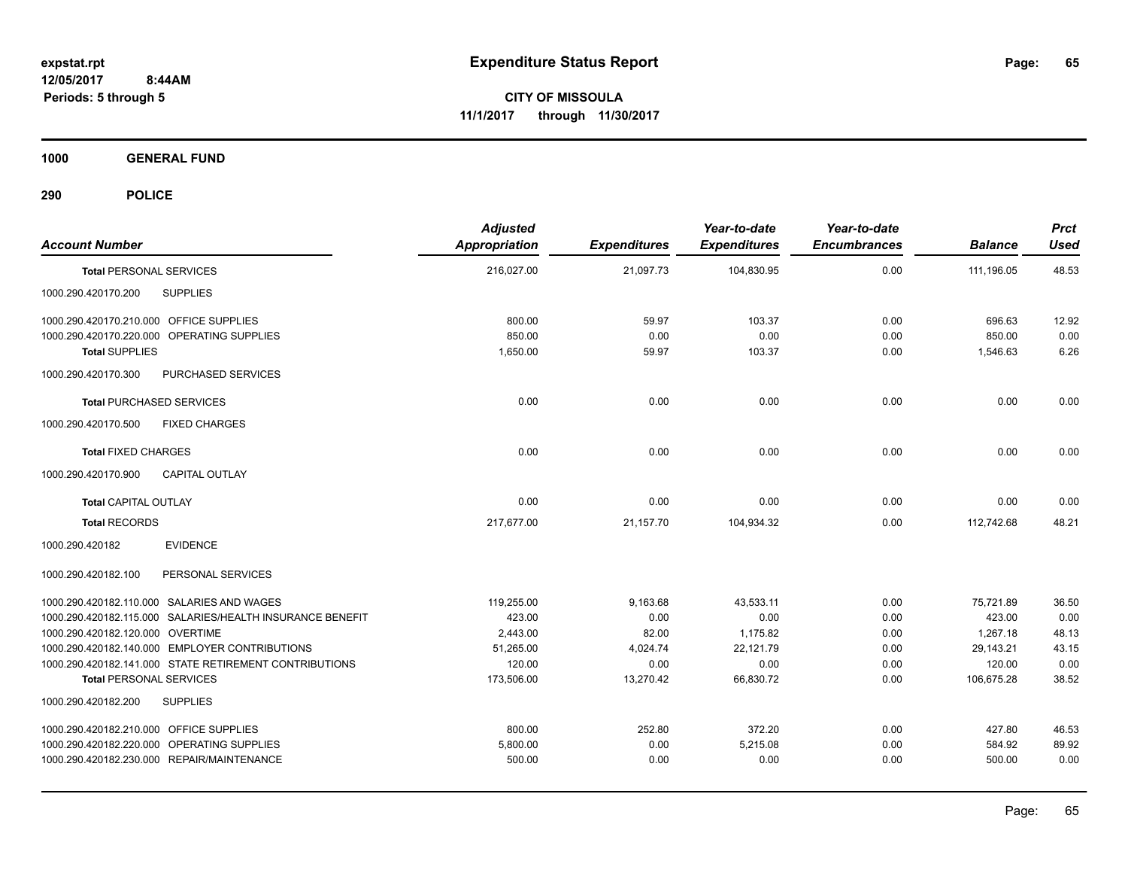**CITY OF MISSOULA 11/1/2017 through 11/30/2017**

**1000 GENERAL FUND**

| <b>Account Number</b>                                     | <b>Adjusted</b><br><b>Appropriation</b> | <b>Expenditures</b> | Year-to-date<br><b>Expenditures</b> | Year-to-date<br><b>Encumbrances</b> | <b>Balance</b> | <b>Prct</b><br><b>Used</b> |
|-----------------------------------------------------------|-----------------------------------------|---------------------|-------------------------------------|-------------------------------------|----------------|----------------------------|
| <b>Total PERSONAL SERVICES</b>                            | 216,027.00                              | 21,097.73           | 104,830.95                          | 0.00                                | 111,196.05     | 48.53                      |
| 1000.290.420170.200<br><b>SUPPLIES</b>                    |                                         |                     |                                     |                                     |                |                            |
| 1000.290.420170.210.000 OFFICE SUPPLIES                   | 800.00                                  | 59.97               | 103.37                              | 0.00                                | 696.63         | 12.92                      |
| 1000.290.420170.220.000 OPERATING SUPPLIES                | 850.00                                  | 0.00                | 0.00                                | 0.00                                | 850.00         | 0.00                       |
| <b>Total SUPPLIES</b>                                     | 1,650.00                                | 59.97               | 103.37                              | 0.00                                | 1,546.63       | 6.26                       |
| 1000.290.420170.300<br>PURCHASED SERVICES                 |                                         |                     |                                     |                                     |                |                            |
| <b>Total PURCHASED SERVICES</b>                           | 0.00                                    | 0.00                | 0.00                                | 0.00                                | 0.00           | 0.00                       |
| 1000.290.420170.500<br><b>FIXED CHARGES</b>               |                                         |                     |                                     |                                     |                |                            |
| <b>Total FIXED CHARGES</b>                                | 0.00                                    | 0.00                | 0.00                                | 0.00                                | 0.00           | 0.00                       |
| <b>CAPITAL OUTLAY</b><br>1000.290.420170.900              |                                         |                     |                                     |                                     |                |                            |
| <b>Total CAPITAL OUTLAY</b>                               | 0.00                                    | 0.00                | 0.00                                | 0.00                                | 0.00           | 0.00                       |
| <b>Total RECORDS</b>                                      | 217,677.00                              | 21,157.70           | 104,934.32                          | 0.00                                | 112,742.68     | 48.21                      |
| 1000.290.420182<br><b>EVIDENCE</b>                        |                                         |                     |                                     |                                     |                |                            |
| PERSONAL SERVICES<br>1000.290.420182.100                  |                                         |                     |                                     |                                     |                |                            |
| 1000.290.420182.110.000 SALARIES AND WAGES                | 119,255.00                              | 9,163.68            | 43,533.11                           | 0.00                                | 75,721.89      | 36.50                      |
| 1000.290.420182.115.000 SALARIES/HEALTH INSURANCE BENEFIT | 423.00                                  | 0.00                | 0.00                                | 0.00                                | 423.00         | 0.00                       |
| 1000.290.420182.120.000 OVERTIME                          | 2,443.00                                | 82.00               | 1,175.82                            | 0.00                                | 1,267.18       | 48.13                      |
| 1000.290.420182.140.000 EMPLOYER CONTRIBUTIONS            | 51,265.00                               | 4,024.74            | 22,121.79                           | 0.00                                | 29,143.21      | 43.15                      |
| 1000.290.420182.141.000 STATE RETIREMENT CONTRIBUTIONS    | 120.00                                  | 0.00                | 0.00                                | 0.00                                | 120.00         | 0.00                       |
| <b>Total PERSONAL SERVICES</b>                            | 173,506.00                              | 13,270.42           | 66,830.72                           | 0.00                                | 106,675.28     | 38.52                      |
| 1000.290.420182.200<br><b>SUPPLIES</b>                    |                                         |                     |                                     |                                     |                |                            |
| 1000.290.420182.210.000 OFFICE SUPPLIES                   | 800.00                                  | 252.80              | 372.20                              | 0.00                                | 427.80         | 46.53                      |
| 1000.290.420182.220.000 OPERATING SUPPLIES                | 5,800.00                                | 0.00                | 5,215.08                            | 0.00                                | 584.92         | 89.92                      |
| 1000.290.420182.230.000 REPAIR/MAINTENANCE                | 500.00                                  | 0.00                | 0.00                                | 0.00                                | 500.00         | 0.00                       |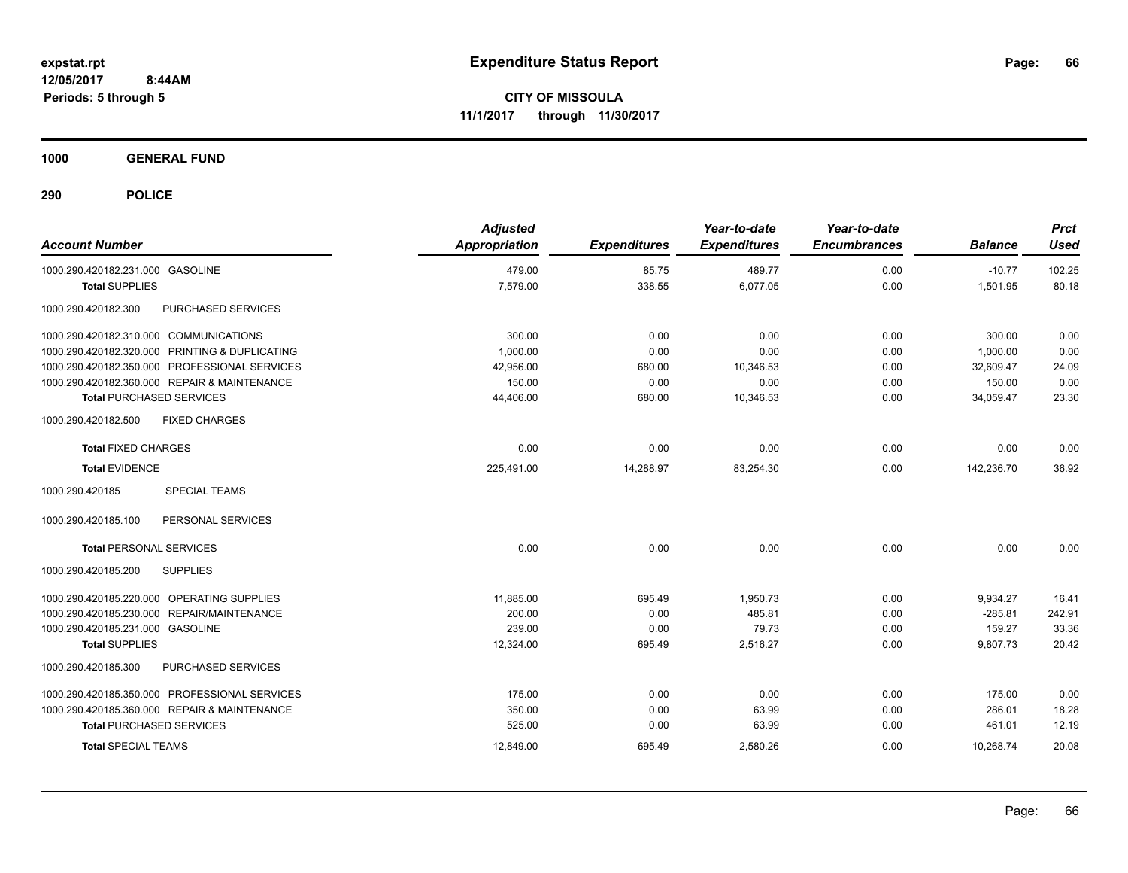**CITY OF MISSOULA 11/1/2017 through 11/30/2017**

**1000 GENERAL FUND**

| <b>Account Number</b>                                | <b>Adjusted</b><br><b>Appropriation</b> | <b>Expenditures</b> | Year-to-date<br><b>Expenditures</b> | Year-to-date<br><b>Encumbrances</b> | <b>Balance</b> | <b>Prct</b><br><b>Used</b> |
|------------------------------------------------------|-----------------------------------------|---------------------|-------------------------------------|-------------------------------------|----------------|----------------------------|
| 1000.290.420182.231.000 GASOLINE                     | 479.00                                  | 85.75               | 489.77                              | 0.00                                | $-10.77$       | 102.25                     |
| <b>Total SUPPLIES</b>                                | 7,579.00                                | 338.55              | 6,077.05                            | 0.00                                | 1,501.95       | 80.18                      |
| PURCHASED SERVICES<br>1000.290.420182.300            |                                         |                     |                                     |                                     |                |                            |
| 1000.290.420182.310.000 COMMUNICATIONS               | 300.00                                  | 0.00                | 0.00                                | 0.00                                | 300.00         | 0.00                       |
| 1000.290.420182.320.000 PRINTING & DUPLICATING       | 1.000.00                                | 0.00                | 0.00                                | 0.00                                | 1,000.00       | 0.00                       |
| 1000.290.420182.350.000 PROFESSIONAL SERVICES        | 42,956.00                               | 680.00              | 10,346.53                           | 0.00                                | 32,609.47      | 24.09                      |
| 1000.290.420182.360.000 REPAIR & MAINTENANCE         | 150.00                                  | 0.00                | 0.00                                | 0.00                                | 150.00         | 0.00                       |
| <b>Total PURCHASED SERVICES</b>                      | 44,406.00                               | 680.00              | 10,346.53                           | 0.00                                | 34,059.47      | 23.30                      |
| <b>FIXED CHARGES</b><br>1000.290.420182.500          |                                         |                     |                                     |                                     |                |                            |
| <b>Total FIXED CHARGES</b>                           | 0.00                                    | 0.00                | 0.00                                | 0.00                                | 0.00           | 0.00                       |
| <b>Total EVIDENCE</b>                                | 225,491.00                              | 14,288.97           | 83,254.30                           | 0.00                                | 142,236.70     | 36.92                      |
| 1000.290.420185<br><b>SPECIAL TEAMS</b>              |                                         |                     |                                     |                                     |                |                            |
| PERSONAL SERVICES<br>1000.290.420185.100             |                                         |                     |                                     |                                     |                |                            |
| <b>Total PERSONAL SERVICES</b>                       | 0.00                                    | 0.00                | 0.00                                | 0.00                                | 0.00           | 0.00                       |
| 1000.290.420185.200<br><b>SUPPLIES</b>               |                                         |                     |                                     |                                     |                |                            |
| 1000.290.420185.220.000 OPERATING SUPPLIES           | 11.885.00                               | 695.49              | 1.950.73                            | 0.00                                | 9,934.27       | 16.41                      |
| <b>REPAIR/MAINTENANCE</b><br>1000.290.420185.230.000 | 200.00                                  | 0.00                | 485.81                              | 0.00                                | $-285.81$      | 242.91                     |
| 1000.290.420185.231.000 GASOLINE                     | 239.00                                  | 0.00                | 79.73                               | 0.00                                | 159.27         | 33.36                      |
| <b>Total SUPPLIES</b>                                | 12,324.00                               | 695.49              | 2,516.27                            | 0.00                                | 9,807.73       | 20.42                      |
| PURCHASED SERVICES<br>1000.290.420185.300            |                                         |                     |                                     |                                     |                |                            |
| 1000.290.420185.350.000 PROFESSIONAL SERVICES        | 175.00                                  | 0.00                | 0.00                                | 0.00                                | 175.00         | 0.00                       |
| 1000.290.420185.360.000 REPAIR & MAINTENANCE         | 350.00                                  | 0.00                | 63.99                               | 0.00                                | 286.01         | 18.28                      |
| <b>Total PURCHASED SERVICES</b>                      | 525.00                                  | 0.00                | 63.99                               | 0.00                                | 461.01         | 12.19                      |
| <b>Total SPECIAL TEAMS</b>                           | 12,849.00                               | 695.49              | 2,580.26                            | 0.00                                | 10,268.74      | 20.08                      |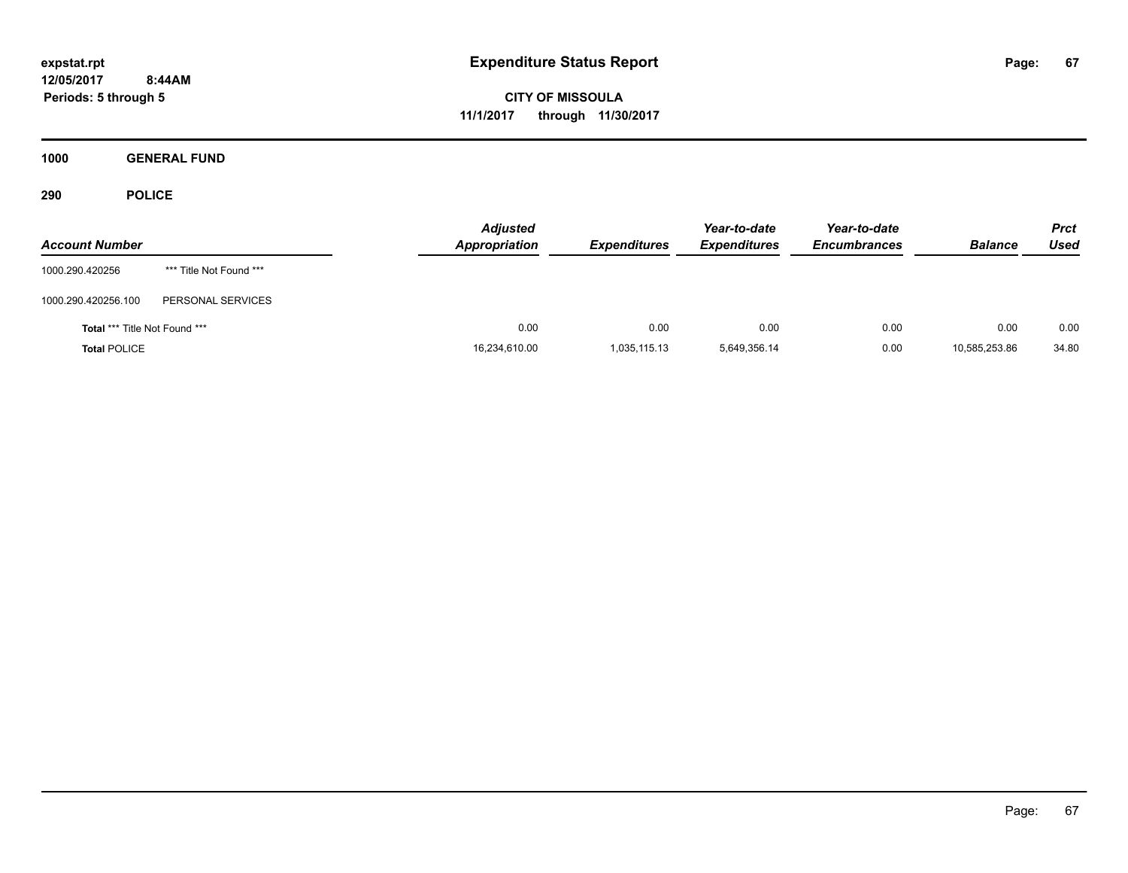**CITY OF MISSOULA 11/1/2017 through 11/30/2017**

**1000 GENERAL FUND**

| <b>Account Number</b>                |                         | <b>Adjusted</b><br>Appropriation | <b>Expenditures</b> | Year-to-date<br><b>Expenditures</b> | Year-to-date<br><b>Encumbrances</b> | <b>Balance</b> | <b>Prct</b><br>Used |
|--------------------------------------|-------------------------|----------------------------------|---------------------|-------------------------------------|-------------------------------------|----------------|---------------------|
| 1000.290.420256                      | *** Title Not Found *** |                                  |                     |                                     |                                     |                |                     |
| 1000.290.420256.100                  | PERSONAL SERVICES       |                                  |                     |                                     |                                     |                |                     |
| <b>Total *** Title Not Found ***</b> |                         | 0.00                             | 0.00                | 0.00                                | 0.00                                | 0.00           | 0.00                |
| <b>Total POLICE</b>                  |                         | 16,234,610.00                    | 1,035,115.13        | 5,649,356.14                        | 0.00                                | 10,585,253.86  | 34.80               |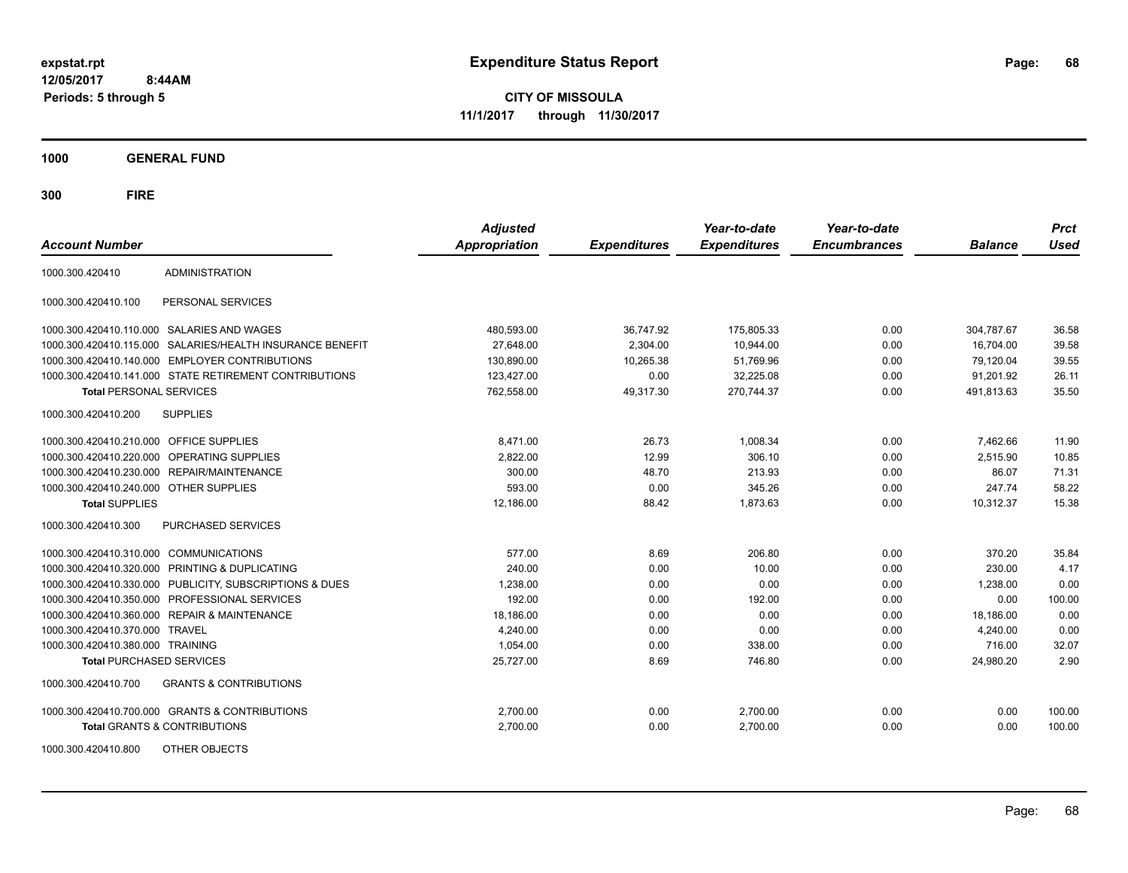**CITY OF MISSOULA 11/1/2017 through 11/30/2017**

**1000 GENERAL FUND**

| <b>Account Number</b>                   |                                                        | <b>Adjusted</b><br><b>Appropriation</b> | <b>Expenditures</b> | Year-to-date<br><b>Expenditures</b> | Year-to-date<br><b>Encumbrances</b> | <b>Balance</b> | <b>Prct</b><br><b>Used</b> |
|-----------------------------------------|--------------------------------------------------------|-----------------------------------------|---------------------|-------------------------------------|-------------------------------------|----------------|----------------------------|
| 1000.300.420410                         | <b>ADMINISTRATION</b>                                  |                                         |                     |                                     |                                     |                |                            |
| 1000.300.420410.100                     | PERSONAL SERVICES                                      |                                         |                     |                                     |                                     |                |                            |
|                                         | 1000.300.420410.110.000 SALARIES AND WAGES             | 480,593.00                              | 36,747.92           | 175,805.33                          | 0.00                                | 304,787.67     | 36.58                      |
| 1000.300.420410.115.000                 | SALARIES/HEALTH INSURANCE BENEFIT                      | 27.648.00                               | 2.304.00            | 10.944.00                           | 0.00                                | 16.704.00      | 39.58                      |
| 1000.300.420410.140.000                 | <b>EMPLOYER CONTRIBUTIONS</b>                          | 130,890.00                              | 10,265.38           | 51,769.96                           | 0.00                                | 79,120.04      | 39.55                      |
|                                         | 1000.300.420410.141.000 STATE RETIREMENT CONTRIBUTIONS | 123,427.00                              | 0.00                | 32,225.08                           | 0.00                                | 91,201.92      | 26.11                      |
| <b>Total PERSONAL SERVICES</b>          |                                                        | 762,558.00                              | 49,317.30           | 270.744.37                          | 0.00                                | 491,813.63     | 35.50                      |
| 1000.300.420410.200                     | <b>SUPPLIES</b>                                        |                                         |                     |                                     |                                     |                |                            |
| 1000.300.420410.210.000 OFFICE SUPPLIES |                                                        | 8,471.00                                | 26.73               | 1,008.34                            | 0.00                                | 7,462.66       | 11.90                      |
|                                         | 1000.300.420410.220.000 OPERATING SUPPLIES             | 2,822.00                                | 12.99               | 306.10                              | 0.00                                | 2,515.90       | 10.85                      |
| 1000.300.420410.230.000                 | REPAIR/MAINTENANCE                                     | 300.00                                  | 48.70               | 213.93                              | 0.00                                | 86.07          | 71.31                      |
| 1000.300.420410.240.000 OTHER SUPPLIES  |                                                        | 593.00                                  | 0.00                | 345.26                              | 0.00                                | 247.74         | 58.22                      |
| <b>Total SUPPLIES</b>                   |                                                        | 12,186.00                               | 88.42               | 1,873.63                            | 0.00                                | 10,312.37      | 15.38                      |
| 1000.300.420410.300                     | PURCHASED SERVICES                                     |                                         |                     |                                     |                                     |                |                            |
| 1000.300.420410.310.000 COMMUNICATIONS  |                                                        | 577.00                                  | 8.69                | 206.80                              | 0.00                                | 370.20         | 35.84                      |
| 1000.300.420410.320.000                 | PRINTING & DUPLICATING                                 | 240.00                                  | 0.00                | 10.00                               | 0.00                                | 230.00         | 4.17                       |
| 1000.300.420410.330.000                 | PUBLICITY, SUBSCRIPTIONS & DUES                        | 1,238.00                                | 0.00                | 0.00                                | 0.00                                | 1,238.00       | 0.00                       |
| 1000.300.420410.350.000                 | PROFESSIONAL SERVICES                                  | 192.00                                  | 0.00                | 192.00                              | 0.00                                | 0.00           | 100.00                     |
| 1000.300.420410.360.000                 | <b>REPAIR &amp; MAINTENANCE</b>                        | 18,186.00                               | 0.00                | 0.00                                | 0.00                                | 18,186.00      | 0.00                       |
| 1000.300.420410.370.000                 | <b>TRAVEL</b>                                          | 4.240.00                                | 0.00                | 0.00                                | 0.00                                | 4,240.00       | 0.00                       |
| 1000.300.420410.380.000 TRAINING        |                                                        | 1,054.00                                | 0.00                | 338.00                              | 0.00                                | 716.00         | 32.07                      |
| <b>Total PURCHASED SERVICES</b>         |                                                        | 25,727.00                               | 8.69                | 746.80                              | 0.00                                | 24,980.20      | 2.90                       |
| 1000.300.420410.700                     | <b>GRANTS &amp; CONTRIBUTIONS</b>                      |                                         |                     |                                     |                                     |                |                            |
|                                         | 1000.300.420410.700.000 GRANTS & CONTRIBUTIONS         | 2,700.00                                | 0.00                | 2,700.00                            | 0.00                                | 0.00           | 100.00                     |
|                                         | <b>Total GRANTS &amp; CONTRIBUTIONS</b>                | 2,700.00                                | 0.00                | 2,700.00                            | 0.00                                | 0.00           | 100.00                     |
| 1000.300.420410.800                     | OTHER OBJECTS                                          |                                         |                     |                                     |                                     |                |                            |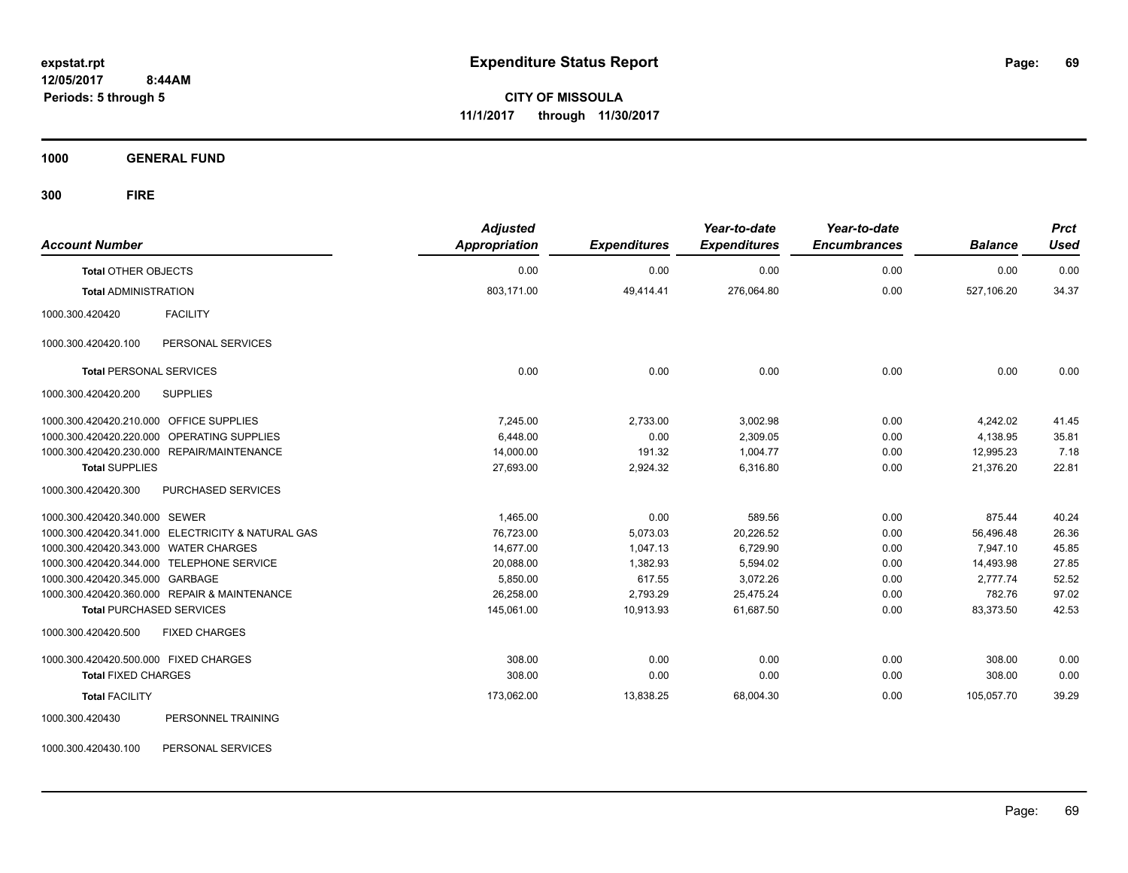**CITY OF MISSOULA 11/1/2017 through 11/30/2017**

**1000 GENERAL FUND**

| <b>Account Number</b>                             | <b>Adjusted</b><br><b>Appropriation</b> | <b>Expenditures</b> | Year-to-date<br><b>Expenditures</b> | Year-to-date<br><b>Encumbrances</b> | <b>Balance</b> | <b>Prct</b><br><b>Used</b> |
|---------------------------------------------------|-----------------------------------------|---------------------|-------------------------------------|-------------------------------------|----------------|----------------------------|
| <b>Total OTHER OBJECTS</b>                        | 0.00                                    | 0.00                | 0.00                                | 0.00                                | 0.00           | 0.00                       |
| <b>Total ADMINISTRATION</b>                       | 803,171.00                              | 49,414.41           | 276,064.80                          | 0.00                                | 527,106.20     | 34.37                      |
| <b>FACILITY</b><br>1000.300.420420                |                                         |                     |                                     |                                     |                |                            |
| PERSONAL SERVICES<br>1000.300.420420.100          |                                         |                     |                                     |                                     |                |                            |
| <b>Total PERSONAL SERVICES</b>                    | 0.00                                    | 0.00                | 0.00                                | 0.00                                | 0.00           | 0.00                       |
| 1000.300.420420.200<br><b>SUPPLIES</b>            |                                         |                     |                                     |                                     |                |                            |
| 1000.300.420420.210.000 OFFICE SUPPLIES           | 7.245.00                                | 2,733.00            | 3,002.98                            | 0.00                                | 4,242.02       | 41.45                      |
| 1000.300.420420.220.000 OPERATING SUPPLIES        | 6,448.00                                | 0.00                | 2,309.05                            | 0.00                                | 4,138.95       | 35.81                      |
| 1000.300.420420.230.000 REPAIR/MAINTENANCE        | 14,000.00                               | 191.32              | 1,004.77                            | 0.00                                | 12,995.23      | 7.18                       |
| <b>Total SUPPLIES</b>                             | 27,693.00                               | 2,924.32            | 6,316.80                            | 0.00                                | 21,376.20      | 22.81                      |
| 1000.300.420420.300<br>PURCHASED SERVICES         |                                         |                     |                                     |                                     |                |                            |
| 1000.300.420420.340.000 SEWER                     | 1,465.00                                | 0.00                | 589.56                              | 0.00                                | 875.44         | 40.24                      |
| 1000.300.420420.341.000 ELECTRICITY & NATURAL GAS | 76,723.00                               | 5,073.03            | 20,226.52                           | 0.00                                | 56,496.48      | 26.36                      |
| 1000.300.420420.343.000 WATER CHARGES             | 14,677.00                               | 1,047.13            | 6,729.90                            | 0.00                                | 7,947.10       | 45.85                      |
| 1000.300.420420.344.000 TELEPHONE SERVICE         | 20,088.00                               | 1,382.93            | 5,594.02                            | 0.00                                | 14,493.98      | 27.85                      |
| 1000.300.420420.345.000 GARBAGE                   | 5,850.00                                | 617.55              | 3,072.26                            | 0.00                                | 2,777.74       | 52.52                      |
| 1000.300.420420.360.000 REPAIR & MAINTENANCE      | 26,258.00                               | 2,793.29            | 25,475.24                           | 0.00                                | 782.76         | 97.02                      |
| <b>Total PURCHASED SERVICES</b>                   | 145,061.00                              | 10,913.93           | 61,687.50                           | 0.00                                | 83,373.50      | 42.53                      |
| 1000.300.420420.500<br><b>FIXED CHARGES</b>       |                                         |                     |                                     |                                     |                |                            |
| 1000.300.420420.500.000 FIXED CHARGES             | 308.00                                  | 0.00                | 0.00                                | 0.00                                | 308.00         | 0.00                       |
| <b>Total FIXED CHARGES</b>                        | 308.00                                  | 0.00                | 0.00                                | 0.00                                | 308.00         | 0.00                       |
| <b>Total FACILITY</b>                             | 173,062.00                              | 13,838.25           | 68,004.30                           | 0.00                                | 105,057.70     | 39.29                      |
| PERSONNEL TRAINING<br>1000.300.420430             |                                         |                     |                                     |                                     |                |                            |
| 1000.300.420430.100<br>PERSONAL SERVICES          |                                         |                     |                                     |                                     |                |                            |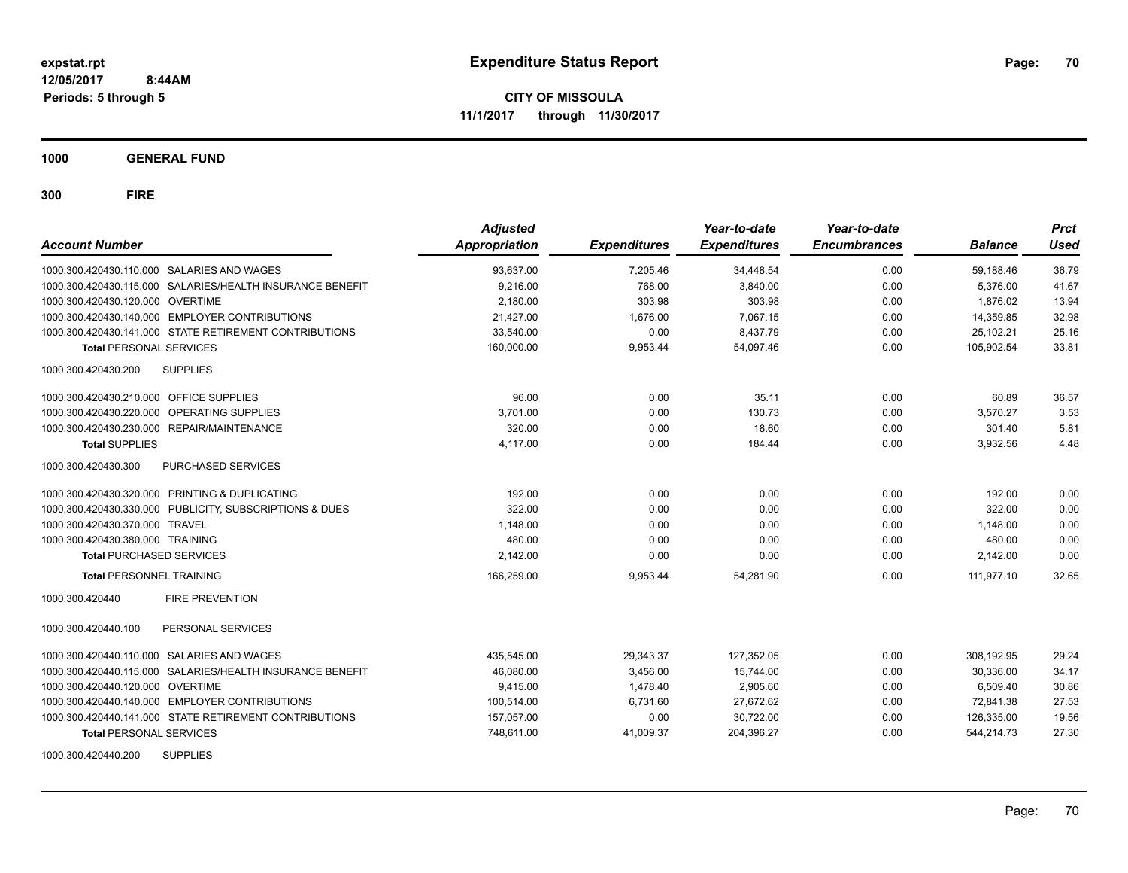**CITY OF MISSOULA 11/1/2017 through 11/30/2017**

**1000 GENERAL FUND**

| <b>Account Number</b>                                     |                    | <b>Adjusted</b><br><b>Appropriation</b> | <b>Expenditures</b> | Year-to-date<br><b>Expenditures</b> | Year-to-date<br><b>Encumbrances</b> | <b>Balance</b> | <b>Prct</b><br><b>Used</b> |
|-----------------------------------------------------------|--------------------|-----------------------------------------|---------------------|-------------------------------------|-------------------------------------|----------------|----------------------------|
| 1000.300.420430.110.000 SALARIES AND WAGES                |                    | 93,637.00                               | 7,205.46            | 34,448.54                           | 0.00                                | 59,188.46      | 36.79                      |
| 1000.300.420430.115.000 SALARIES/HEALTH INSURANCE BENEFIT |                    | 9,216.00                                | 768.00              | 3,840.00                            | 0.00                                | 5,376.00       | 41.67                      |
| 1000.300.420430.120.000 OVERTIME                          |                    | 2,180.00                                | 303.98              | 303.98                              | 0.00                                | 1,876.02       | 13.94                      |
| 1000.300.420430.140.000 EMPLOYER CONTRIBUTIONS            |                    | 21.427.00                               | 1.676.00            | 7,067.15                            | 0.00                                | 14.359.85      | 32.98                      |
| 1000.300.420430.141.000 STATE RETIREMENT CONTRIBUTIONS    |                    | 33.540.00                               | 0.00                | 8.437.79                            | 0.00                                | 25.102.21      | 25.16                      |
| <b>Total PERSONAL SERVICES</b>                            |                    | 160,000.00                              | 9,953.44            | 54.097.46                           | 0.00                                | 105.902.54     | 33.81                      |
| 1000.300.420430.200<br><b>SUPPLIES</b>                    |                    |                                         |                     |                                     |                                     |                |                            |
| 1000.300.420430.210.000 OFFICE SUPPLIES                   |                    | 96.00                                   | 0.00                | 35.11                               | 0.00                                | 60.89          | 36.57                      |
| 1000.300.420430.220.000                                   | OPERATING SUPPLIES | 3,701.00                                | 0.00                | 130.73                              | 0.00                                | 3,570.27       | 3.53                       |
| 1000.300.420430.230.000 REPAIR/MAINTENANCE                |                    | 320.00                                  | 0.00                | 18.60                               | 0.00                                | 301.40         | 5.81                       |
| <b>Total SUPPLIES</b>                                     |                    | 4,117.00                                | 0.00                | 184.44                              | 0.00                                | 3,932.56       | 4.48                       |
| 1000.300.420430.300                                       | PURCHASED SERVICES |                                         |                     |                                     |                                     |                |                            |
| 1000.300.420430.320.000 PRINTING & DUPLICATING            |                    | 192.00                                  | 0.00                | 0.00                                | 0.00                                | 192.00         | 0.00                       |
| 1000.300.420430.330.000 PUBLICITY, SUBSCRIPTIONS & DUES   |                    | 322.00                                  | 0.00                | 0.00                                | 0.00                                | 322.00         | 0.00                       |
| 1000.300.420430.370.000 TRAVEL                            |                    | 1,148.00                                | 0.00                | 0.00                                | 0.00                                | 1,148.00       | 0.00                       |
| 1000.300.420430.380.000 TRAINING                          |                    | 480.00                                  | 0.00                | 0.00                                | 0.00                                | 480.00         | 0.00                       |
| <b>Total PURCHASED SERVICES</b>                           |                    | 2,142.00                                | 0.00                | 0.00                                | 0.00                                | 2,142.00       | 0.00                       |
| <b>Total PERSONNEL TRAINING</b>                           |                    | 166.259.00                              | 9.953.44            | 54.281.90                           | 0.00                                | 111.977.10     | 32.65                      |
| 1000.300.420440<br><b>FIRE PREVENTION</b>                 |                    |                                         |                     |                                     |                                     |                |                            |
| 1000.300.420440.100                                       | PERSONAL SERVICES  |                                         |                     |                                     |                                     |                |                            |
| 1000.300.420440.110.000 SALARIES AND WAGES                |                    | 435,545.00                              | 29,343.37           | 127,352.05                          | 0.00                                | 308,192.95     | 29.24                      |
| 1000.300.420440.115.000 SALARIES/HEALTH INSURANCE BENEFIT |                    | 46,080.00                               | 3,456.00            | 15,744.00                           | 0.00                                | 30,336.00      | 34.17                      |
| 1000.300.420440.120.000 OVERTIME                          |                    | 9,415.00                                | 1,478.40            | 2,905.60                            | 0.00                                | 6,509.40       | 30.86                      |
| 1000.300.420440.140.000 EMPLOYER CONTRIBUTIONS            |                    | 100,514.00                              | 6,731.60            | 27,672.62                           | 0.00                                | 72,841.38      | 27.53                      |
| 1000.300.420440.141.000 STATE RETIREMENT CONTRIBUTIONS    |                    | 157,057.00                              | 0.00                | 30,722.00                           | 0.00                                | 126,335.00     | 19.56                      |
| <b>Total PERSONAL SERVICES</b>                            |                    | 748,611.00                              | 41,009.37           | 204,396.27                          | 0.00                                | 544,214.73     | 27.30                      |
| 1000.300.420440.200<br><b>SUPPLIES</b>                    |                    |                                         |                     |                                     |                                     |                |                            |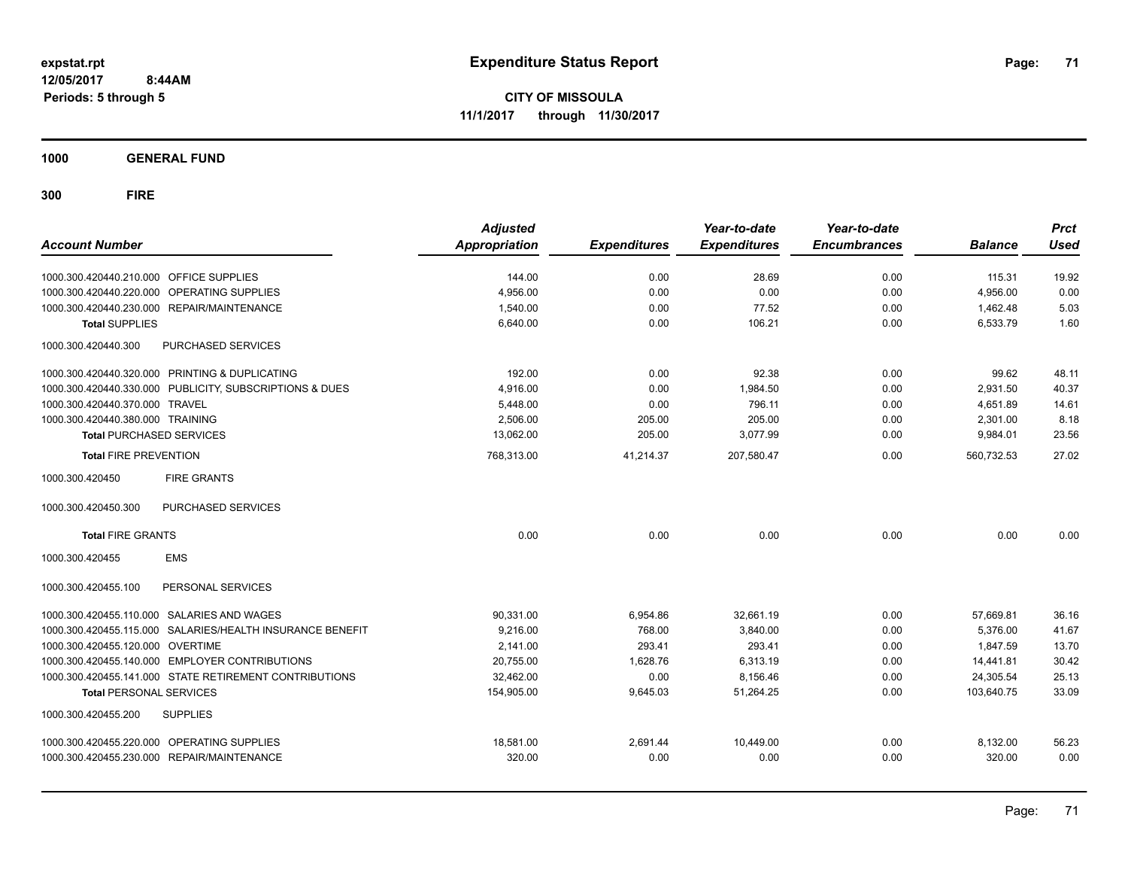**CITY OF MISSOULA 11/1/2017 through 11/30/2017**

**1000 GENERAL FUND**

| <b>Account Number</b>                   |                                                           | <b>Adjusted</b><br><b>Appropriation</b> | <b>Expenditures</b> | Year-to-date<br><b>Expenditures</b> | Year-to-date<br><b>Encumbrances</b> | <b>Balance</b> | <b>Prct</b><br><b>Used</b> |
|-----------------------------------------|-----------------------------------------------------------|-----------------------------------------|---------------------|-------------------------------------|-------------------------------------|----------------|----------------------------|
|                                         |                                                           |                                         |                     |                                     |                                     |                |                            |
| 1000.300.420440.210.000 OFFICE SUPPLIES |                                                           | 144.00                                  | 0.00                | 28.69                               | 0.00                                | 115.31         | 19.92                      |
| 1000.300.420440.220.000                 | OPERATING SUPPLIES                                        | 4,956.00                                | 0.00                | 0.00                                | 0.00                                | 4,956.00       | 0.00                       |
|                                         | 1000.300.420440.230.000 REPAIR/MAINTENANCE                | 1,540.00                                | 0.00                | 77.52                               | 0.00                                | 1,462.48       | 5.03                       |
| <b>Total SUPPLIES</b>                   |                                                           | 6,640.00                                | 0.00                | 106.21                              | 0.00                                | 6,533.79       | 1.60                       |
| 1000.300.420440.300                     | PURCHASED SERVICES                                        |                                         |                     |                                     |                                     |                |                            |
|                                         | 1000.300.420440.320.000 PRINTING & DUPLICATING            | 192.00                                  | 0.00                | 92.38                               | 0.00                                | 99.62          | 48.11                      |
|                                         | 1000.300.420440.330.000 PUBLICITY, SUBSCRIPTIONS & DUES   | 4,916.00                                | 0.00                | 1,984.50                            | 0.00                                | 2,931.50       | 40.37                      |
| 1000.300.420440.370.000 TRAVEL          |                                                           | 5,448.00                                | 0.00                | 796.11                              | 0.00                                | 4,651.89       | 14.61                      |
| 1000.300.420440.380.000 TRAINING        |                                                           | 2,506.00                                | 205.00              | 205.00                              | 0.00                                | 2,301.00       | 8.18                       |
| <b>Total PURCHASED SERVICES</b>         |                                                           | 13,062.00                               | 205.00              | 3,077.99                            | 0.00                                | 9,984.01       | 23.56                      |
| <b>Total FIRE PREVENTION</b>            |                                                           | 768,313.00                              | 41,214.37           | 207,580.47                          | 0.00                                | 560,732.53     | 27.02                      |
| 1000.300.420450                         | <b>FIRE GRANTS</b>                                        |                                         |                     |                                     |                                     |                |                            |
| 1000.300.420450.300                     | <b>PURCHASED SERVICES</b>                                 |                                         |                     |                                     |                                     |                |                            |
| <b>Total FIRE GRANTS</b>                |                                                           | 0.00                                    | 0.00                | 0.00                                | 0.00                                | 0.00           | 0.00                       |
| 1000.300.420455                         | <b>EMS</b>                                                |                                         |                     |                                     |                                     |                |                            |
| 1000.300.420455.100                     | PERSONAL SERVICES                                         |                                         |                     |                                     |                                     |                |                            |
|                                         | 1000.300.420455.110.000 SALARIES AND WAGES                | 90,331.00                               | 6,954.86            | 32,661.19                           | 0.00                                | 57,669.81      | 36.16                      |
|                                         | 1000.300.420455.115.000 SALARIES/HEALTH INSURANCE BENEFIT | 9.216.00                                | 768.00              | 3.840.00                            | 0.00                                | 5.376.00       | 41.67                      |
| 1000.300.420455.120.000 OVERTIME        |                                                           | 2.141.00                                | 293.41              | 293.41                              | 0.00                                | 1.847.59       | 13.70                      |
|                                         | 1000.300.420455.140.000 EMPLOYER CONTRIBUTIONS            | 20,755.00                               | 1,628.76            | 6,313.19                            | 0.00                                | 14,441.81      | 30.42                      |
|                                         | 1000.300.420455.141.000 STATE RETIREMENT CONTRIBUTIONS    | 32,462.00                               | 0.00                | 8,156.46                            | 0.00                                | 24,305.54      | 25.13                      |
| <b>Total PERSONAL SERVICES</b>          |                                                           | 154,905.00                              | 9,645.03            | 51.264.25                           | 0.00                                | 103.640.75     | 33.09                      |
| 1000.300.420455.200                     | <b>SUPPLIES</b>                                           |                                         |                     |                                     |                                     |                |                            |
|                                         | 1000.300.420455.220.000 OPERATING SUPPLIES                | 18,581.00                               | 2,691.44            | 10,449.00                           | 0.00                                | 8,132.00       | 56.23                      |
|                                         | 1000.300.420455.230.000 REPAIR/MAINTENANCE                | 320.00                                  | 0.00                | 0.00                                | 0.00                                | 320.00         | 0.00                       |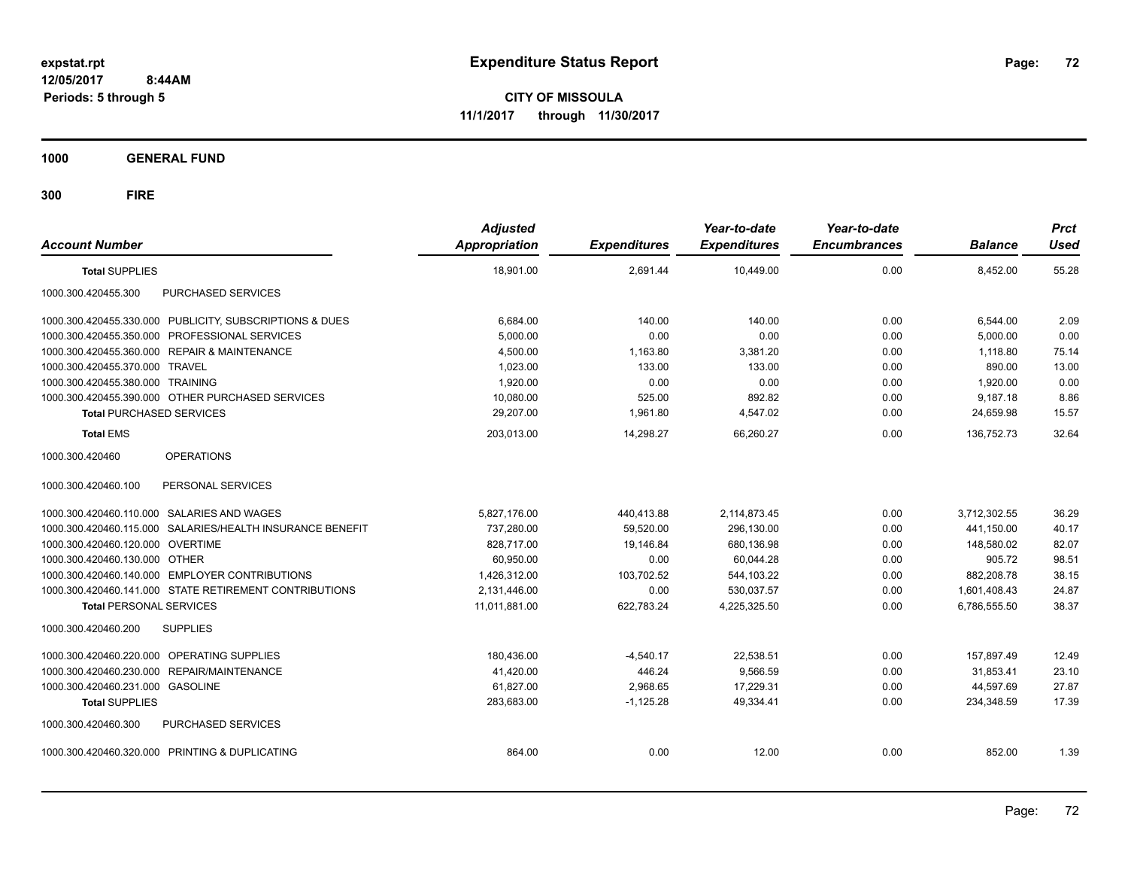**CITY OF MISSOULA 11/1/2017 through 11/30/2017**

**1000 GENERAL FUND**

| <b>Account Number</b>                                     | <b>Adjusted</b><br><b>Appropriation</b> | <b>Expenditures</b> | Year-to-date<br><b>Expenditures</b> | Year-to-date<br><b>Encumbrances</b> | <b>Balance</b> | <b>Prct</b><br><b>Used</b> |
|-----------------------------------------------------------|-----------------------------------------|---------------------|-------------------------------------|-------------------------------------|----------------|----------------------------|
| <b>Total SUPPLIES</b>                                     | 18,901.00                               | 2,691.44            | 10,449.00                           | 0.00                                | 8,452.00       | 55.28                      |
| 1000.300.420455.300<br>PURCHASED SERVICES                 |                                         |                     |                                     |                                     |                |                            |
| 1000.300.420455.330.000 PUBLICITY, SUBSCRIPTIONS & DUES   | 6,684.00                                | 140.00              | 140.00                              | 0.00                                | 6,544.00       | 2.09                       |
| 1000.300.420455.350.000 PROFESSIONAL SERVICES             | 5,000.00                                | 0.00                | 0.00                                | 0.00                                | 5,000.00       | 0.00                       |
| 1000.300.420455.360.000 REPAIR & MAINTENANCE              | 4,500.00                                | 1,163.80            | 3,381.20                            | 0.00                                | 1,118.80       | 75.14                      |
| 1000.300.420455.370.000 TRAVEL                            | 1,023.00                                | 133.00              | 133.00                              | 0.00                                | 890.00         | 13.00                      |
| 1000.300.420455.380.000 TRAINING                          | 1,920.00                                | 0.00                | 0.00                                | 0.00                                | 1,920.00       | 0.00                       |
| 1000.300.420455.390.000 OTHER PURCHASED SERVICES          | 10,080.00                               | 525.00              | 892.82                              | 0.00                                | 9,187.18       | 8.86                       |
| <b>Total PURCHASED SERVICES</b>                           | 29,207.00                               | 1.961.80            | 4,547.02                            | 0.00                                | 24,659.98      | 15.57                      |
| <b>Total EMS</b>                                          | 203,013.00                              | 14,298.27           | 66.260.27                           | 0.00                                | 136.752.73     | 32.64                      |
| 1000.300.420460<br><b>OPERATIONS</b>                      |                                         |                     |                                     |                                     |                |                            |
| 1000.300.420460.100<br>PERSONAL SERVICES                  |                                         |                     |                                     |                                     |                |                            |
| 1000.300.420460.110.000 SALARIES AND WAGES                | 5,827,176.00                            | 440,413.88          | 2,114,873.45                        | 0.00                                | 3,712,302.55   | 36.29                      |
| 1000.300.420460.115.000 SALARIES/HEALTH INSURANCE BENEFIT | 737,280.00                              | 59,520.00           | 296,130.00                          | 0.00                                | 441,150.00     | 40.17                      |
| 1000.300.420460.120.000 OVERTIME                          | 828,717.00                              | 19,146.84           | 680,136.98                          | 0.00                                | 148,580.02     | 82.07                      |
| 1000.300.420460.130.000 OTHER                             | 60,950.00                               | 0.00                | 60,044.28                           | 0.00                                | 905.72         | 98.51                      |
| 1000.300.420460.140.000 EMPLOYER CONTRIBUTIONS            | 1,426,312.00                            | 103,702.52          | 544,103.22                          | 0.00                                | 882.208.78     | 38.15                      |
| 1000.300.420460.141.000 STATE RETIREMENT CONTRIBUTIONS    | 2,131,446.00                            | 0.00                | 530,037.57                          | 0.00                                | 1,601,408.43   | 24.87                      |
| <b>Total PERSONAL SERVICES</b>                            | 11,011,881.00                           | 622,783.24          | 4,225,325.50                        | 0.00                                | 6,786,555.50   | 38.37                      |
| 1000.300.420460.200<br><b>SUPPLIES</b>                    |                                         |                     |                                     |                                     |                |                            |
| 1000.300.420460.220.000 OPERATING SUPPLIES                | 180,436.00                              | $-4.540.17$         | 22.538.51                           | 0.00                                | 157.897.49     | 12.49                      |
| 1000.300.420460.230.000 REPAIR/MAINTENANCE                | 41,420.00                               | 446.24              | 9,566.59                            | 0.00                                | 31,853.41      | 23.10                      |
| 1000.300.420460.231.000 GASOLINE                          | 61.827.00                               | 2.968.65            | 17.229.31                           | 0.00                                | 44.597.69      | 27.87                      |
| <b>Total SUPPLIES</b>                                     | 283,683.00                              | $-1,125.28$         | 49.334.41                           | 0.00                                | 234,348.59     | 17.39                      |
| PURCHASED SERVICES<br>1000.300.420460.300                 |                                         |                     |                                     |                                     |                |                            |
| 1000.300.420460.320.000 PRINTING & DUPLICATING            | 864.00                                  | 0.00                | 12.00                               | 0.00                                | 852.00         | 1.39                       |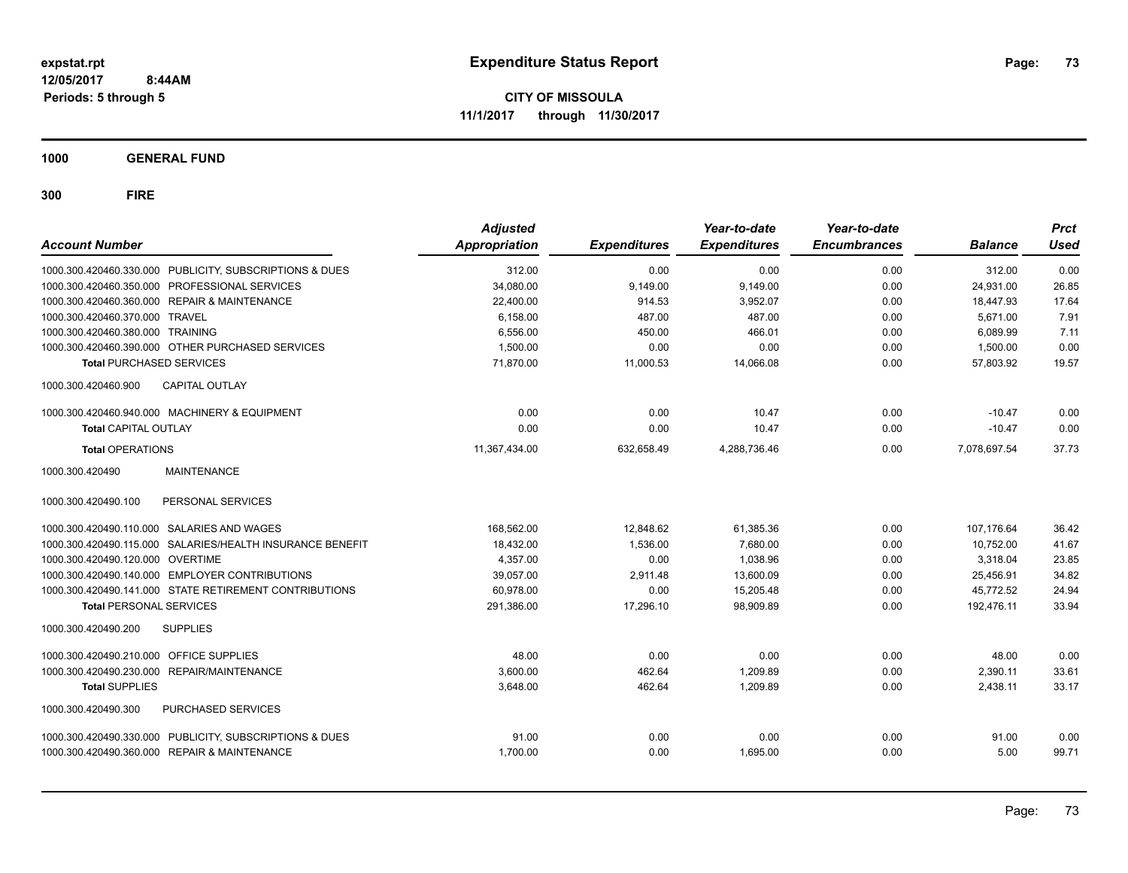**CITY OF MISSOULA 11/1/2017 through 11/30/2017**

**1000 GENERAL FUND**

**300 FIRE**

| <b>Account Number</b>                        |                                                           | <b>Adjusted</b><br>Appropriation | <b>Expenditures</b> | Year-to-date<br><b>Expenditures</b> | Year-to-date<br><b>Encumbrances</b> | <b>Balance</b> | <b>Prct</b><br>Used |
|----------------------------------------------|-----------------------------------------------------------|----------------------------------|---------------------|-------------------------------------|-------------------------------------|----------------|---------------------|
|                                              | 1000.300.420460.330.000 PUBLICITY, SUBSCRIPTIONS & DUES   | 312.00                           | 0.00                | 0.00                                | 0.00                                | 312.00         | 0.00                |
|                                              | 1000.300.420460.350.000 PROFESSIONAL SERVICES             | 34,080.00                        | 9,149.00            | 9,149.00                            | 0.00                                | 24,931.00      | 26.85               |
| 1000.300.420460.360.000 REPAIR & MAINTENANCE |                                                           | 22,400.00                        | 914.53              | 3,952.07                            | 0.00                                | 18,447.93      | 17.64               |
| 1000.300.420460.370.000 TRAVEL               |                                                           | 6,158.00                         | 487.00              | 487.00                              | 0.00                                | 5,671.00       | 7.91                |
| 1000.300.420460.380.000 TRAINING             |                                                           | 6.556.00                         | 450.00              | 466.01                              | 0.00                                | 6,089.99       | 7.11                |
|                                              | 1000.300.420460.390.000 OTHER PURCHASED SERVICES          | 1,500.00                         | 0.00                | 0.00                                | 0.00                                | 1,500.00       | 0.00                |
| <b>Total PURCHASED SERVICES</b>              |                                                           | 71,870.00                        | 11,000.53           | 14,066.08                           | 0.00                                | 57,803.92      | 19.57               |
| 1000.300.420460.900                          | CAPITAL OUTLAY                                            |                                  |                     |                                     |                                     |                |                     |
|                                              | 1000.300.420460.940.000 MACHINERY & EQUIPMENT             | 0.00                             | 0.00                | 10.47                               | 0.00                                | $-10.47$       | 0.00                |
| <b>Total CAPITAL OUTLAY</b>                  |                                                           | 0.00                             | 0.00                | 10.47                               | 0.00                                | $-10.47$       | 0.00                |
| <b>Total OPERATIONS</b>                      |                                                           | 11,367,434.00                    | 632,658.49          | 4,288,736.46                        | 0.00                                | 7,078,697.54   | 37.73               |
| 1000.300.420490                              | <b>MAINTENANCE</b>                                        |                                  |                     |                                     |                                     |                |                     |
| 1000.300.420490.100                          | PERSONAL SERVICES                                         |                                  |                     |                                     |                                     |                |                     |
| 1000.300.420490.110.000 SALARIES AND WAGES   |                                                           | 168,562.00                       | 12,848.62           | 61,385.36                           | 0.00                                | 107,176.64     | 36.42               |
|                                              | 1000.300.420490.115.000 SALARIES/HEALTH INSURANCE BENEFIT | 18,432.00                        | 1,536.00            | 7.680.00                            | 0.00                                | 10,752.00      | 41.67               |
| 1000.300.420490.120.000 OVERTIME             |                                                           | 4.357.00                         | 0.00                | 1.038.96                            | 0.00                                | 3.318.04       | 23.85               |
|                                              | 1000.300.420490.140.000 EMPLOYER CONTRIBUTIONS            | 39,057.00                        | 2,911.48            | 13,600.09                           | 0.00                                | 25,456.91      | 34.82               |
|                                              | 1000.300.420490.141.000 STATE RETIREMENT CONTRIBUTIONS    | 60,978.00                        | 0.00                | 15,205.48                           | 0.00                                | 45,772.52      | 24.94               |
| <b>Total PERSONAL SERVICES</b>               |                                                           | 291,386.00                       | 17.296.10           | 98,909.89                           | 0.00                                | 192,476.11     | 33.94               |
| 1000.300.420490.200                          | <b>SUPPLIES</b>                                           |                                  |                     |                                     |                                     |                |                     |
| 1000.300.420490.210.000 OFFICE SUPPLIES      |                                                           | 48.00                            | 0.00                | 0.00                                | 0.00                                | 48.00          | 0.00                |
| 1000.300.420490.230.000                      | REPAIR/MAINTENANCE                                        | 3,600.00                         | 462.64              | 1,209.89                            | 0.00                                | 2,390.11       | 33.61               |
| <b>Total SUPPLIES</b>                        |                                                           | 3,648.00                         | 462.64              | 1,209.89                            | 0.00                                | 2,438.11       | 33.17               |
| 1000.300.420490.300                          | PURCHASED SERVICES                                        |                                  |                     |                                     |                                     |                |                     |
|                                              | 1000.300.420490.330.000 PUBLICITY, SUBSCRIPTIONS & DUES   | 91.00                            | 0.00                | 0.00                                | 0.00                                | 91.00          | 0.00                |
| 1000.300.420490.360.000 REPAIR & MAINTENANCE |                                                           | 1,700.00                         | 0.00                | 1.695.00                            | 0.00                                | 5.00           | 99.71               |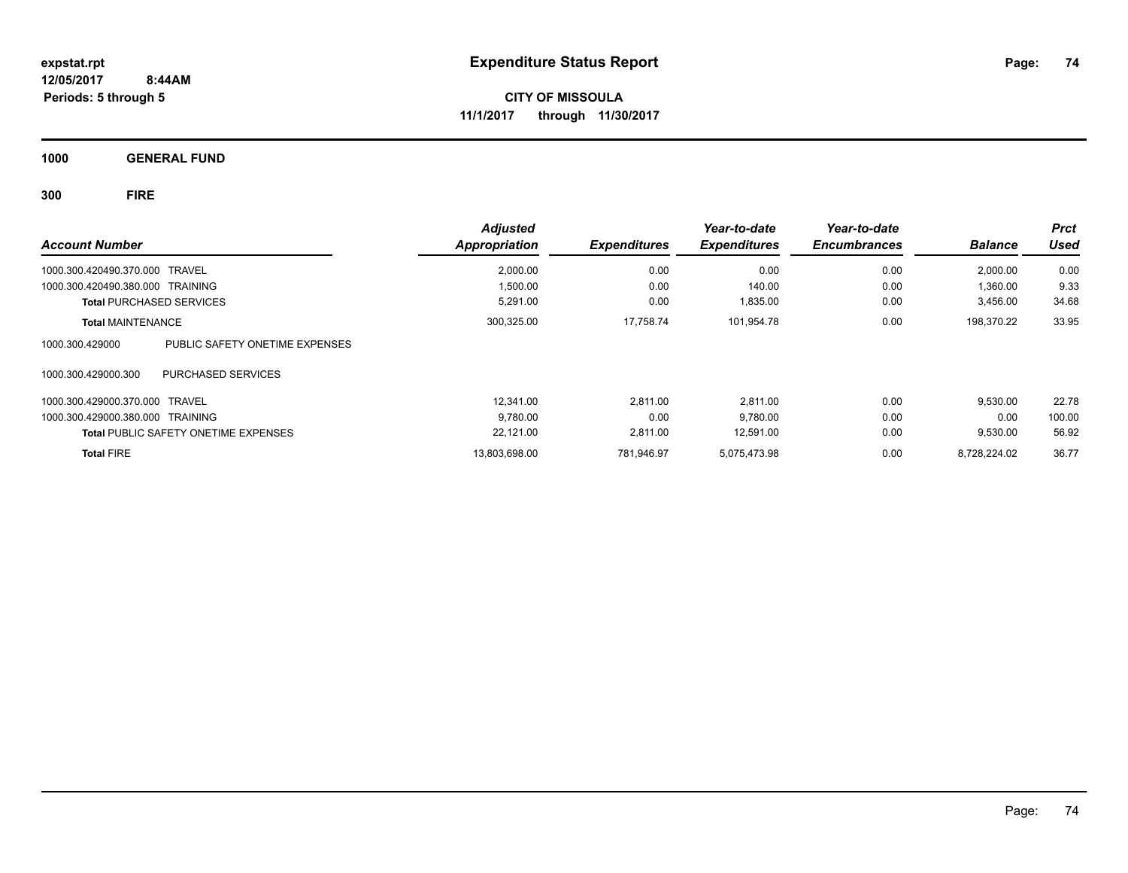**CITY OF MISSOULA 11/1/2017 through 11/30/2017**

**1000 GENERAL FUND**

**300 FIRE**

| <b>Account Number</b>                             | <b>Adjusted</b><br><b>Appropriation</b> | <b>Expenditures</b> | Year-to-date<br><b>Expenditures</b> | Year-to-date<br><b>Encumbrances</b> | <b>Balance</b> | <b>Prct</b><br><b>Used</b> |
|---------------------------------------------------|-----------------------------------------|---------------------|-------------------------------------|-------------------------------------|----------------|----------------------------|
|                                                   |                                         |                     |                                     |                                     |                |                            |
| 1000.300.420490.370.000 TRAVEL                    | 2,000.00                                | 0.00                | 0.00                                | 0.00                                | 2.000.00       | 0.00                       |
| 1000.300.420490.380.000 TRAINING                  | 1,500.00                                | 0.00                | 140.00                              | 0.00                                | 1.360.00       | 9.33                       |
| <b>Total PURCHASED SERVICES</b>                   | 5,291.00                                | 0.00                | 1,835.00                            | 0.00                                | 3,456.00       | 34.68                      |
| <b>Total MAINTENANCE</b>                          | 300,325.00                              | 17,758.74           | 101,954.78                          | 0.00                                | 198,370.22     | 33.95                      |
| 1000.300.429000<br>PUBLIC SAFETY ONETIME EXPENSES |                                         |                     |                                     |                                     |                |                            |
| 1000.300.429000.300<br><b>PURCHASED SERVICES</b>  |                                         |                     |                                     |                                     |                |                            |
| 1000.300.429000.370.000 TRAVEL                    | 12.341.00                               | 2.811.00            | 2,811.00                            | 0.00                                | 9,530.00       | 22.78                      |
| 1000.300.429000.380.000 TRAINING                  | 9,780.00                                | 0.00                | 9,780.00                            | 0.00                                | 0.00           | 100.00                     |
| <b>Total PUBLIC SAFETY ONETIME EXPENSES</b>       | 22,121.00                               | 2,811.00            | 12,591.00                           | 0.00                                | 9,530.00       | 56.92                      |
| <b>Total FIRE</b>                                 | 13.803.698.00                           | 781.946.97          | 5.075.473.98                        | 0.00                                | 8.728.224.02   | 36.77                      |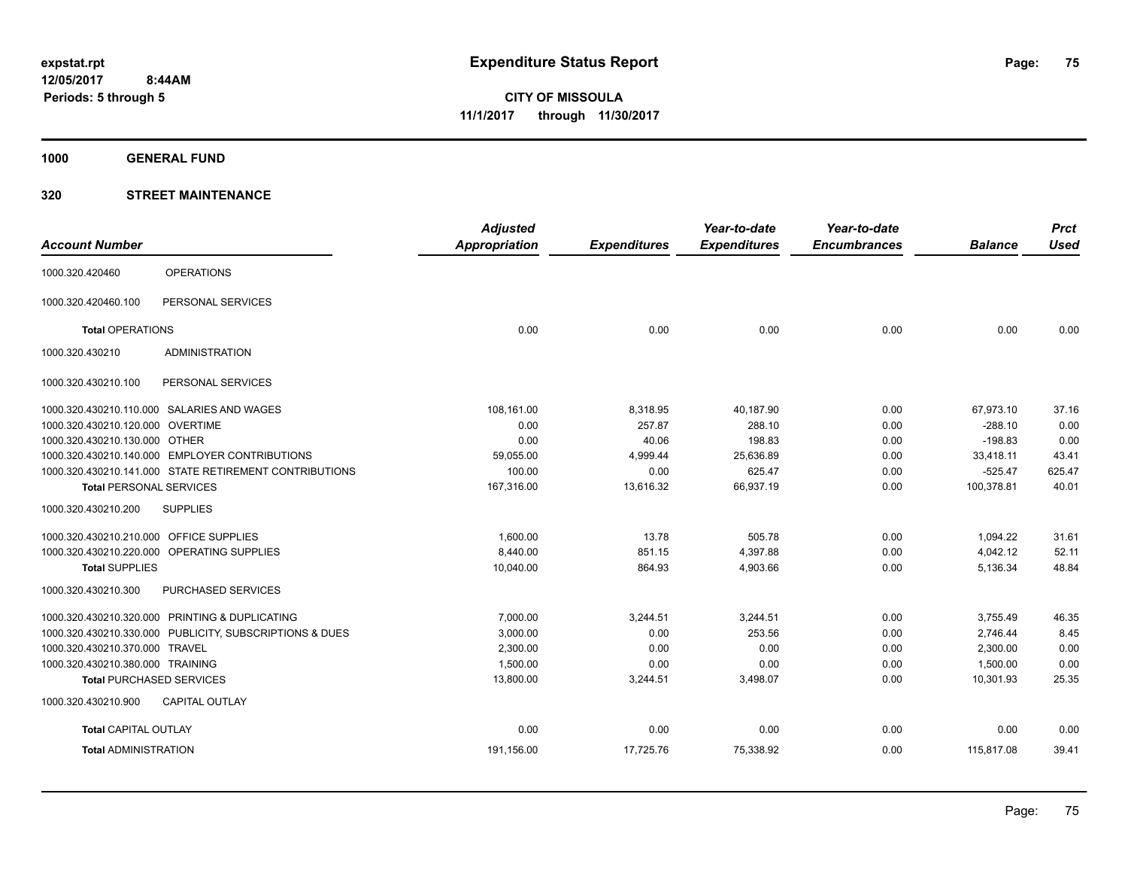**1000 GENERAL FUND**

|                                         |                                                         | <b>Adjusted</b> |                     | Year-to-date        | Year-to-date        |                | <b>Prct</b> |
|-----------------------------------------|---------------------------------------------------------|-----------------|---------------------|---------------------|---------------------|----------------|-------------|
| <b>Account Number</b>                   |                                                         | Appropriation   | <b>Expenditures</b> | <b>Expenditures</b> | <b>Encumbrances</b> | <b>Balance</b> | <b>Used</b> |
| 1000.320.420460                         | <b>OPERATIONS</b>                                       |                 |                     |                     |                     |                |             |
| 1000.320.420460.100                     | PERSONAL SERVICES                                       |                 |                     |                     |                     |                |             |
| <b>Total OPERATIONS</b>                 |                                                         | 0.00            | 0.00                | 0.00                | 0.00                | 0.00           | 0.00        |
| 1000.320.430210                         | <b>ADMINISTRATION</b>                                   |                 |                     |                     |                     |                |             |
| 1000.320.430210.100                     | PERSONAL SERVICES                                       |                 |                     |                     |                     |                |             |
|                                         | 1000.320.430210.110.000 SALARIES AND WAGES              | 108,161.00      | 8,318.95            | 40,187.90           | 0.00                | 67,973.10      | 37.16       |
| 1000.320.430210.120.000 OVERTIME        |                                                         | 0.00            | 257.87              | 288.10              | 0.00                | $-288.10$      | 0.00        |
| 1000.320.430210.130.000 OTHER           |                                                         | 0.00            | 40.06               | 198.83              | 0.00                | $-198.83$      | 0.00        |
|                                         | 1000.320.430210.140.000 EMPLOYER CONTRIBUTIONS          | 59,055.00       | 4,999.44            | 25,636.89           | 0.00                | 33,418.11      | 43.41       |
|                                         | 1000.320.430210.141.000 STATE RETIREMENT CONTRIBUTIONS  | 100.00          | 0.00                | 625.47              | 0.00                | $-525.47$      | 625.47      |
| <b>Total PERSONAL SERVICES</b>          |                                                         | 167,316.00      | 13,616.32           | 66,937.19           | 0.00                | 100,378.81     | 40.01       |
| 1000.320.430210.200                     | <b>SUPPLIES</b>                                         |                 |                     |                     |                     |                |             |
| 1000.320.430210.210.000 OFFICE SUPPLIES |                                                         | 1,600.00        | 13.78               | 505.78              | 0.00                | 1,094.22       | 31.61       |
|                                         | 1000.320.430210.220.000 OPERATING SUPPLIES              | 8,440.00        | 851.15              | 4,397.88            | 0.00                | 4,042.12       | 52.11       |
| <b>Total SUPPLIES</b>                   |                                                         | 10,040.00       | 864.93              | 4,903.66            | 0.00                | 5,136.34       | 48.84       |
| 1000.320.430210.300                     | PURCHASED SERVICES                                      |                 |                     |                     |                     |                |             |
|                                         | 1000.320.430210.320.000 PRINTING & DUPLICATING          | 7.000.00        | 3,244.51            | 3,244.51            | 0.00                | 3,755.49       | 46.35       |
|                                         | 1000.320.430210.330.000 PUBLICITY, SUBSCRIPTIONS & DUES | 3,000.00        | 0.00                | 253.56              | 0.00                | 2,746.44       | 8.45        |
| 1000.320.430210.370.000 TRAVEL          |                                                         | 2,300.00        | 0.00                | 0.00                | 0.00                | 2,300.00       | 0.00        |
| 1000.320.430210.380.000 TRAINING        |                                                         | 1,500.00        | 0.00                | 0.00                | 0.00                | 1,500.00       | 0.00        |
|                                         | <b>Total PURCHASED SERVICES</b>                         | 13,800.00       | 3,244.51            | 3,498.07            | 0.00                | 10,301.93      | 25.35       |
| 1000.320.430210.900                     | <b>CAPITAL OUTLAY</b>                                   |                 |                     |                     |                     |                |             |
| <b>Total CAPITAL OUTLAY</b>             |                                                         | 0.00            | 0.00                | 0.00                | 0.00                | 0.00           | 0.00        |
| <b>Total ADMINISTRATION</b>             |                                                         | 191,156.00      | 17,725.76           | 75,338.92           | 0.00                | 115,817.08     | 39.41       |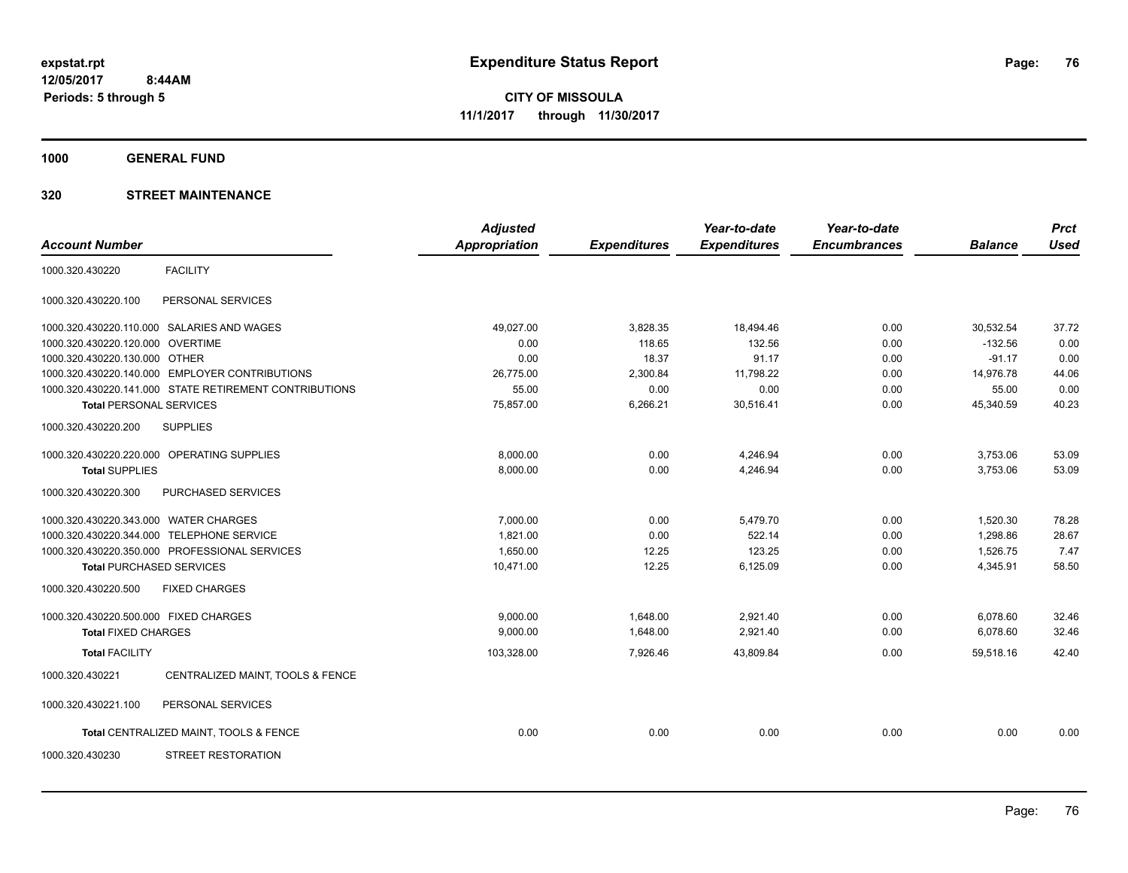**1000 GENERAL FUND**

|                                       |                                                        | <b>Adjusted</b>      |                     | Year-to-date        | Year-to-date        |                | <b>Prct</b> |
|---------------------------------------|--------------------------------------------------------|----------------------|---------------------|---------------------|---------------------|----------------|-------------|
| <b>Account Number</b>                 |                                                        | <b>Appropriation</b> | <b>Expenditures</b> | <b>Expenditures</b> | <b>Encumbrances</b> | <b>Balance</b> | <b>Used</b> |
| 1000.320.430220                       | <b>FACILITY</b>                                        |                      |                     |                     |                     |                |             |
| 1000.320.430220.100                   | PERSONAL SERVICES                                      |                      |                     |                     |                     |                |             |
|                                       | 1000.320.430220.110.000 SALARIES AND WAGES             | 49,027.00            | 3,828.35            | 18,494.46           | 0.00                | 30,532.54      | 37.72       |
| 1000.320.430220.120.000               | <b>OVERTIME</b>                                        | 0.00                 | 118.65              | 132.56              | 0.00                | $-132.56$      | 0.00        |
| 1000.320.430220.130.000 OTHER         |                                                        | 0.00                 | 18.37               | 91.17               | 0.00                | $-91.17$       | 0.00        |
|                                       | 1000.320.430220.140.000 EMPLOYER CONTRIBUTIONS         | 26,775.00            | 2,300.84            | 11,798.22           | 0.00                | 14,976.78      | 44.06       |
|                                       | 1000.320.430220.141.000 STATE RETIREMENT CONTRIBUTIONS | 55.00                | 0.00                | 0.00                | 0.00                | 55.00          | 0.00        |
| <b>Total PERSONAL SERVICES</b>        |                                                        | 75,857.00            | 6,266.21            | 30,516.41           | 0.00                | 45,340.59      | 40.23       |
| 1000.320.430220.200                   | <b>SUPPLIES</b>                                        |                      |                     |                     |                     |                |             |
|                                       | 1000.320.430220.220.000 OPERATING SUPPLIES             | 8,000.00             | 0.00                | 4,246.94            | 0.00                | 3,753.06       | 53.09       |
| <b>Total SUPPLIES</b>                 |                                                        | 8,000.00             | 0.00                | 4,246.94            | 0.00                | 3,753.06       | 53.09       |
| 1000.320.430220.300                   | PURCHASED SERVICES                                     |                      |                     |                     |                     |                |             |
| 1000.320.430220.343.000 WATER CHARGES |                                                        | 7,000.00             | 0.00                | 5,479.70            | 0.00                | 1,520.30       | 78.28       |
| 1000.320.430220.344.000               | <b>TELEPHONE SERVICE</b>                               | 1,821.00             | 0.00                | 522.14              | 0.00                | 1,298.86       | 28.67       |
|                                       | 1000.320.430220.350.000 PROFESSIONAL SERVICES          | 1,650.00             | 12.25               | 123.25              | 0.00                | 1,526.75       | 7.47        |
| <b>Total PURCHASED SERVICES</b>       |                                                        | 10,471.00            | 12.25               | 6,125.09            | 0.00                | 4,345.91       | 58.50       |
| 1000.320.430220.500                   | <b>FIXED CHARGES</b>                                   |                      |                     |                     |                     |                |             |
| 1000.320.430220.500.000 FIXED CHARGES |                                                        | 9,000.00             | 1,648.00            | 2,921.40            | 0.00                | 6,078.60       | 32.46       |
| <b>Total FIXED CHARGES</b>            |                                                        | 9.000.00             | 1,648.00            | 2,921.40            | 0.00                | 6,078.60       | 32.46       |
| <b>Total FACILITY</b>                 |                                                        | 103,328.00           | 7,926.46            | 43,809.84           | 0.00                | 59,518.16      | 42.40       |
| 1000.320.430221                       | CENTRALIZED MAINT, TOOLS & FENCE                       |                      |                     |                     |                     |                |             |
| 1000.320.430221.100                   | PERSONAL SERVICES                                      |                      |                     |                     |                     |                |             |
|                                       | Total CENTRALIZED MAINT, TOOLS & FENCE                 | 0.00                 | 0.00                | 0.00                | 0.00                | 0.00           | 0.00        |
| 1000.320.430230                       | <b>STREET RESTORATION</b>                              |                      |                     |                     |                     |                |             |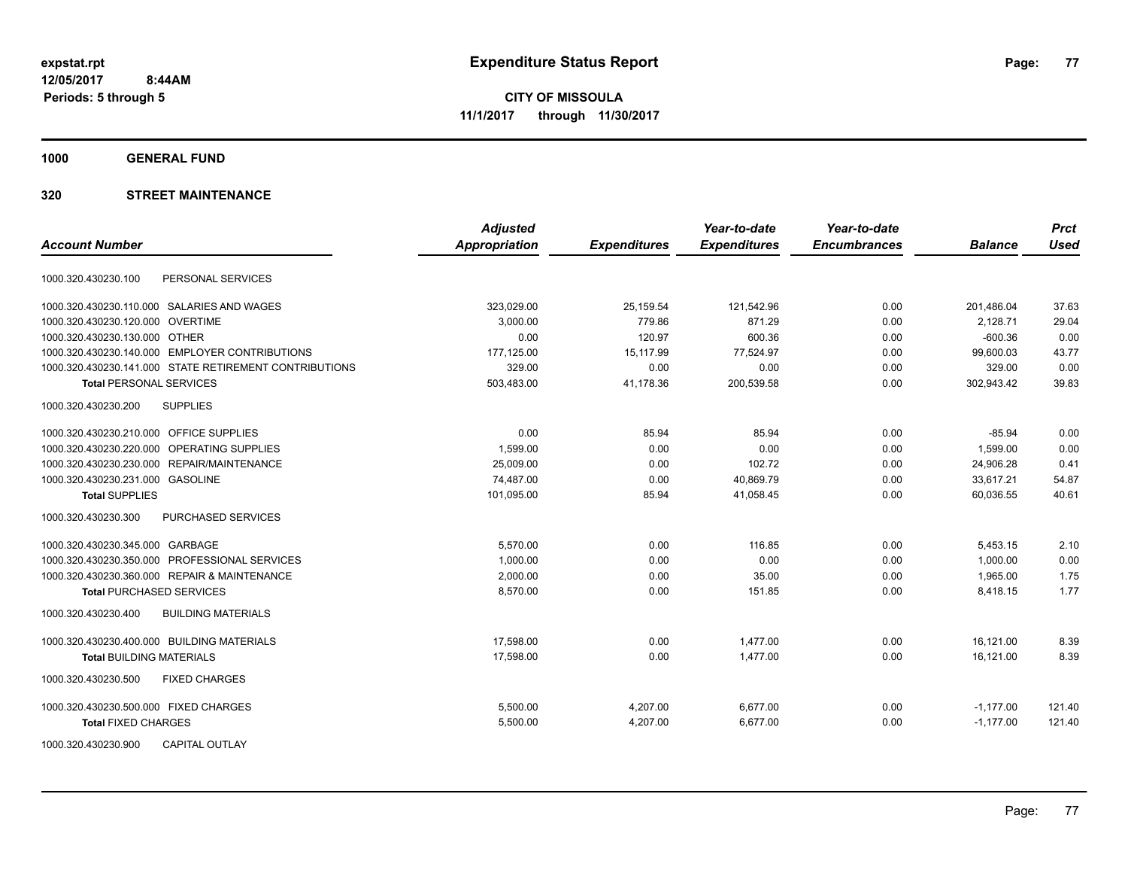**1000 GENERAL FUND**

|                                                        | <b>Adjusted</b>      |                     | Year-to-date        | Year-to-date        |                | <b>Prct</b> |
|--------------------------------------------------------|----------------------|---------------------|---------------------|---------------------|----------------|-------------|
| <b>Account Number</b>                                  | <b>Appropriation</b> | <b>Expenditures</b> | <b>Expenditures</b> | <b>Encumbrances</b> | <b>Balance</b> | <b>Used</b> |
| PERSONAL SERVICES<br>1000.320.430230.100               |                      |                     |                     |                     |                |             |
| 1000.320.430230.110.000 SALARIES AND WAGES             | 323,029.00           | 25,159.54           | 121,542.96          | 0.00                | 201,486.04     | 37.63       |
| 1000.320.430230.120.000 OVERTIME                       | 3,000.00             | 779.86              | 871.29              | 0.00                | 2,128.71       | 29.04       |
| 1000.320.430230.130.000 OTHER                          | 0.00                 | 120.97              | 600.36              | 0.00                | $-600.36$      | 0.00        |
| 1000.320.430230.140.000 EMPLOYER CONTRIBUTIONS         | 177,125.00           | 15,117.99           | 77,524.97           | 0.00                | 99,600.03      | 43.77       |
| 1000.320.430230.141.000 STATE RETIREMENT CONTRIBUTIONS | 329.00               | 0.00                | 0.00                | 0.00                | 329.00         | 0.00        |
| <b>Total PERSONAL SERVICES</b>                         | 503,483.00           | 41,178.36           | 200,539.58          | 0.00                | 302,943.42     | 39.83       |
| <b>SUPPLIES</b><br>1000.320.430230.200                 |                      |                     |                     |                     |                |             |
| 1000.320.430230.210.000 OFFICE SUPPLIES                | 0.00                 | 85.94               | 85.94               | 0.00                | $-85.94$       | 0.00        |
| 1000.320.430230.220.000<br>OPERATING SUPPLIES          | 1,599.00             | 0.00                | 0.00                | 0.00                | 1,599.00       | 0.00        |
| 1000.320.430230.230.000 REPAIR/MAINTENANCE             | 25,009.00            | 0.00                | 102.72              | 0.00                | 24,906.28      | 0.41        |
| 1000.320.430230.231.000 GASOLINE                       | 74,487.00            | 0.00                | 40,869.79           | 0.00                | 33,617.21      | 54.87       |
| <b>Total SUPPLIES</b>                                  | 101,095.00           | 85.94               | 41,058.45           | 0.00                | 60,036.55      | 40.61       |
| 1000.320.430230.300<br>PURCHASED SERVICES              |                      |                     |                     |                     |                |             |
| 1000.320.430230.345.000 GARBAGE                        | 5,570.00             | 0.00                | 116.85              | 0.00                | 5,453.15       | 2.10        |
| 1000.320.430230.350.000 PROFESSIONAL SERVICES          | 1,000.00             | 0.00                | 0.00                | 0.00                | 1,000.00       | 0.00        |
| 1000.320.430230.360.000 REPAIR & MAINTENANCE           | 2,000.00             | 0.00                | 35.00               | 0.00                | 1,965.00       | 1.75        |
| <b>Total PURCHASED SERVICES</b>                        | 8,570.00             | 0.00                | 151.85              | 0.00                | 8,418.15       | 1.77        |
| 1000.320.430230.400<br><b>BUILDING MATERIALS</b>       |                      |                     |                     |                     |                |             |
| 1000.320.430230.400.000 BUILDING MATERIALS             | 17,598.00            | 0.00                | 1,477.00            | 0.00                | 16,121.00      | 8.39        |
| <b>Total BUILDING MATERIALS</b>                        | 17,598.00            | 0.00                | 1,477.00            | 0.00                | 16,121.00      | 8.39        |
| 1000.320.430230.500<br><b>FIXED CHARGES</b>            |                      |                     |                     |                     |                |             |
| 1000.320.430230.500.000 FIXED CHARGES                  | 5,500.00             | 4,207.00            | 6,677.00            | 0.00                | $-1,177.00$    | 121.40      |
| <b>Total FIXED CHARGES</b>                             | 5,500.00             | 4,207.00            | 6,677.00            | 0.00                | $-1,177.00$    | 121.40      |
| 1000.320.430230.900<br><b>CAPITAL OUTLAY</b>           |                      |                     |                     |                     |                |             |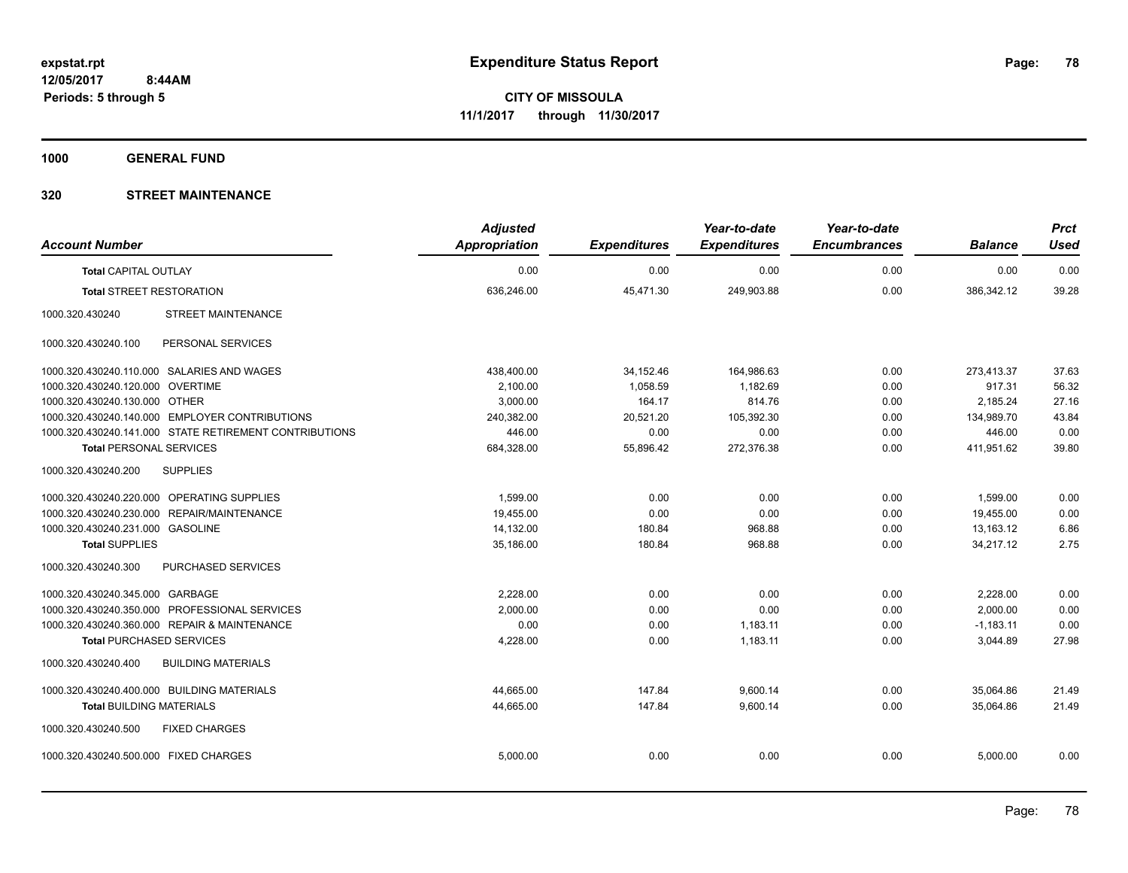**1000 GENERAL FUND**

| <b>Account Number</b>                                  | <b>Adjusted</b><br><b>Appropriation</b> | <b>Expenditures</b> | Year-to-date<br><b>Expenditures</b> | Year-to-date<br><b>Encumbrances</b> | <b>Balance</b> | <b>Prct</b><br><b>Used</b> |
|--------------------------------------------------------|-----------------------------------------|---------------------|-------------------------------------|-------------------------------------|----------------|----------------------------|
| <b>Total CAPITAL OUTLAY</b>                            | 0.00                                    | 0.00                | 0.00                                | 0.00                                | 0.00           | 0.00                       |
| <b>Total STREET RESTORATION</b>                        | 636,246.00                              | 45,471.30           | 249,903.88                          | 0.00                                | 386,342.12     | 39.28                      |
| <b>STREET MAINTENANCE</b><br>1000.320.430240           |                                         |                     |                                     |                                     |                |                            |
| PERSONAL SERVICES<br>1000.320.430240.100               |                                         |                     |                                     |                                     |                |                            |
| 1000.320.430240.110.000 SALARIES AND WAGES             | 438,400.00                              | 34,152.46           | 164,986.63                          | 0.00                                | 273,413.37     | 37.63                      |
| 1000.320.430240.120.000 OVERTIME                       | 2.100.00                                | 1.058.59            | 1.182.69                            | 0.00                                | 917.31         | 56.32                      |
| 1000.320.430240.130.000 OTHER                          | 3,000.00                                | 164.17              | 814.76                              | 0.00                                | 2,185.24       | 27.16                      |
| 1000.320.430240.140.000 EMPLOYER CONTRIBUTIONS         | 240,382.00                              | 20,521.20           | 105,392.30                          | 0.00                                | 134,989.70     | 43.84                      |
| 1000.320.430240.141.000 STATE RETIREMENT CONTRIBUTIONS | 446.00                                  | 0.00                | 0.00                                | 0.00                                | 446.00         | 0.00                       |
| <b>Total PERSONAL SERVICES</b>                         | 684,328.00                              | 55,896.42           | 272,376.38                          | 0.00                                | 411,951.62     | 39.80                      |
| <b>SUPPLIES</b><br>1000.320.430240.200                 |                                         |                     |                                     |                                     |                |                            |
| 1000.320.430240.220.000 OPERATING SUPPLIES             | 1.599.00                                | 0.00                | 0.00                                | 0.00                                | 1,599.00       | 0.00                       |
| 1000.320.430240.230.000 REPAIR/MAINTENANCE             | 19,455.00                               | 0.00                | 0.00                                | 0.00                                | 19,455.00      | 0.00                       |
| 1000.320.430240.231.000 GASOLINE                       | 14,132.00                               | 180.84              | 968.88                              | 0.00                                | 13,163.12      | 6.86                       |
| <b>Total SUPPLIES</b>                                  | 35,186.00                               | 180.84              | 968.88                              | 0.00                                | 34,217.12      | 2.75                       |
| 1000.320.430240.300<br>PURCHASED SERVICES              |                                         |                     |                                     |                                     |                |                            |
| 1000.320.430240.345.000 GARBAGE                        | 2,228.00                                | 0.00                | 0.00                                | 0.00                                | 2,228.00       | 0.00                       |
| 1000.320.430240.350.000 PROFESSIONAL SERVICES          | 2,000.00                                | 0.00                | 0.00                                | 0.00                                | 2,000.00       | 0.00                       |
| 1000.320.430240.360.000 REPAIR & MAINTENANCE           | 0.00                                    | 0.00                | 1,183.11                            | 0.00                                | $-1,183.11$    | 0.00                       |
| <b>Total PURCHASED SERVICES</b>                        | 4,228.00                                | 0.00                | 1,183.11                            | 0.00                                | 3,044.89       | 27.98                      |
| 1000.320.430240.400<br><b>BUILDING MATERIALS</b>       |                                         |                     |                                     |                                     |                |                            |
| 1000.320.430240.400.000 BUILDING MATERIALS             | 44.665.00                               | 147.84              | 9,600.14                            | 0.00                                | 35.064.86      | 21.49                      |
| <b>Total BUILDING MATERIALS</b>                        | 44,665.00                               | 147.84              | 9,600.14                            | 0.00                                | 35,064.86      | 21.49                      |
| 1000.320.430240.500<br><b>FIXED CHARGES</b>            |                                         |                     |                                     |                                     |                |                            |
| 1000.320.430240.500.000 FIXED CHARGES                  | 5,000.00                                | 0.00                | 0.00                                | 0.00                                | 5,000.00       | 0.00                       |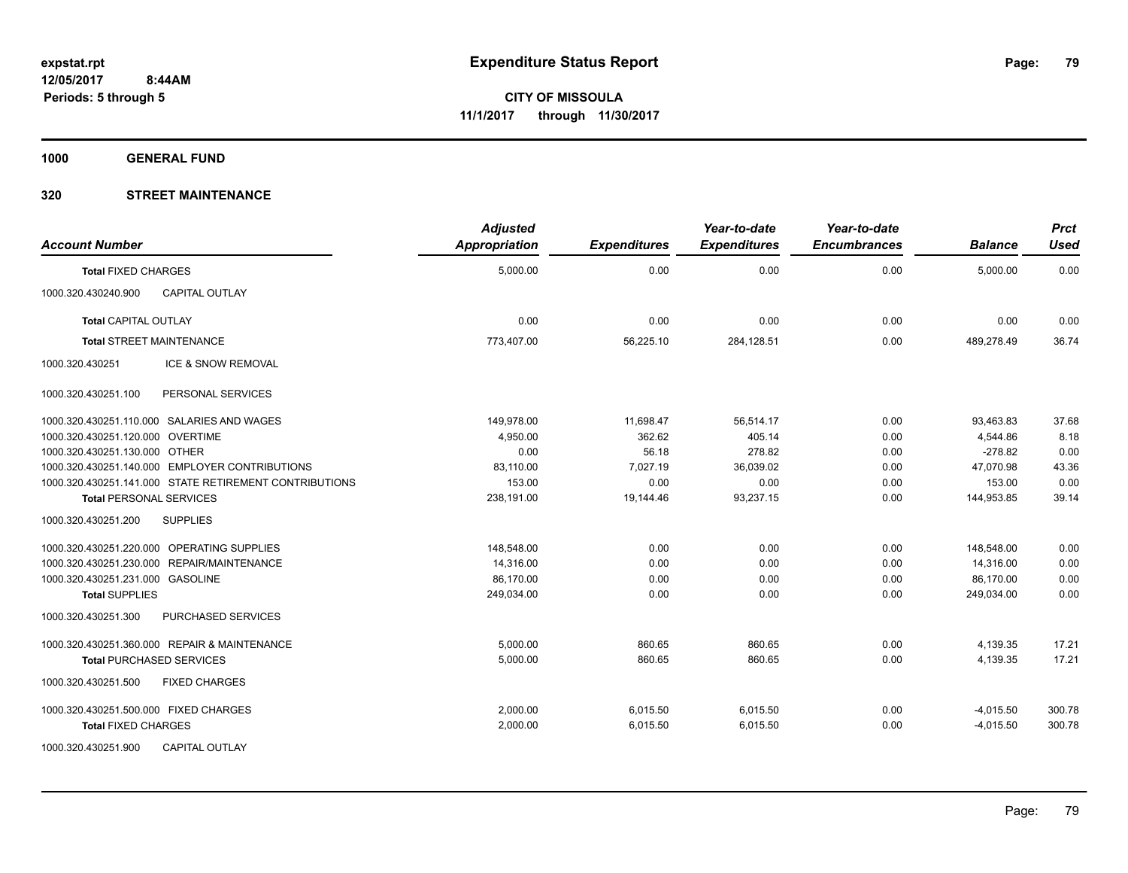**1000 GENERAL FUND**

| <b>Account Number</b>                                  | <b>Adjusted</b><br>Appropriation | <b>Expenditures</b> | Year-to-date<br><b>Expenditures</b> | Year-to-date<br><b>Encumbrances</b> | <b>Balance</b> | <b>Prct</b><br><b>Used</b> |
|--------------------------------------------------------|----------------------------------|---------------------|-------------------------------------|-------------------------------------|----------------|----------------------------|
| <b>Total FIXED CHARGES</b>                             | 5,000.00                         | 0.00                | 0.00                                | 0.00                                | 5,000.00       | 0.00                       |
| 1000.320.430240.900<br><b>CAPITAL OUTLAY</b>           |                                  |                     |                                     |                                     |                |                            |
| <b>Total CAPITAL OUTLAY</b>                            | 0.00                             | 0.00                | 0.00                                | 0.00                                | 0.00           | 0.00                       |
| <b>Total STREET MAINTENANCE</b>                        | 773,407.00                       | 56,225.10           | 284,128.51                          | 0.00                                | 489,278.49     | 36.74                      |
| ICE & SNOW REMOVAL<br>1000.320.430251                  |                                  |                     |                                     |                                     |                |                            |
| 1000.320.430251.100<br>PERSONAL SERVICES               |                                  |                     |                                     |                                     |                |                            |
| 1000.320.430251.110.000 SALARIES AND WAGES             | 149,978.00                       | 11,698.47           | 56,514.17                           | 0.00                                | 93,463.83      | 37.68                      |
| 1000.320.430251.120.000 OVERTIME                       | 4,950.00                         | 362.62              | 405.14                              | 0.00                                | 4,544.86       | 8.18                       |
| 1000.320.430251.130.000 OTHER                          | 0.00                             | 56.18               | 278.82                              | 0.00                                | $-278.82$      | 0.00                       |
| 1000.320.430251.140.000 EMPLOYER CONTRIBUTIONS         | 83,110.00                        | 7,027.19            | 36,039.02                           | 0.00                                | 47,070.98      | 43.36                      |
| 1000.320.430251.141.000 STATE RETIREMENT CONTRIBUTIONS | 153.00                           | 0.00                | 0.00                                | 0.00                                | 153.00         | 0.00                       |
| <b>Total PERSONAL SERVICES</b>                         | 238,191.00                       | 19.144.46           | 93,237.15                           | 0.00                                | 144,953.85     | 39.14                      |
| 1000.320.430251.200<br><b>SUPPLIES</b>                 |                                  |                     |                                     |                                     |                |                            |
| 1000.320.430251.220.000 OPERATING SUPPLIES             | 148,548.00                       | 0.00                | 0.00                                | 0.00                                | 148,548.00     | 0.00                       |
| 1000.320.430251.230.000 REPAIR/MAINTENANCE             | 14,316.00                        | 0.00                | 0.00                                | 0.00                                | 14,316.00      | 0.00                       |
| 1000.320.430251.231.000 GASOLINE                       | 86,170.00                        | 0.00                | 0.00                                | 0.00                                | 86,170.00      | 0.00                       |
| <b>Total SUPPLIES</b>                                  | 249,034.00                       | 0.00                | 0.00                                | 0.00                                | 249,034.00     | 0.00                       |
| 1000.320.430251.300<br>PURCHASED SERVICES              |                                  |                     |                                     |                                     |                |                            |
| 1000.320.430251.360.000 REPAIR & MAINTENANCE           | 5,000.00                         | 860.65              | 860.65                              | 0.00                                | 4,139.35       | 17.21                      |
| <b>Total PURCHASED SERVICES</b>                        | 5,000.00                         | 860.65              | 860.65                              | 0.00                                | 4,139.35       | 17.21                      |
| 1000.320.430251.500<br><b>FIXED CHARGES</b>            |                                  |                     |                                     |                                     |                |                            |
| 1000.320.430251.500.000 FIXED CHARGES                  | 2,000.00                         | 6,015.50            | 6,015.50                            | 0.00                                | $-4,015.50$    | 300.78                     |
| <b>Total FIXED CHARGES</b>                             | 2,000.00                         | 6,015.50            | 6,015.50                            | 0.00                                | $-4,015.50$    | 300.78                     |
| 1000.320.430251.900<br><b>CAPITAL OUTLAY</b>           |                                  |                     |                                     |                                     |                |                            |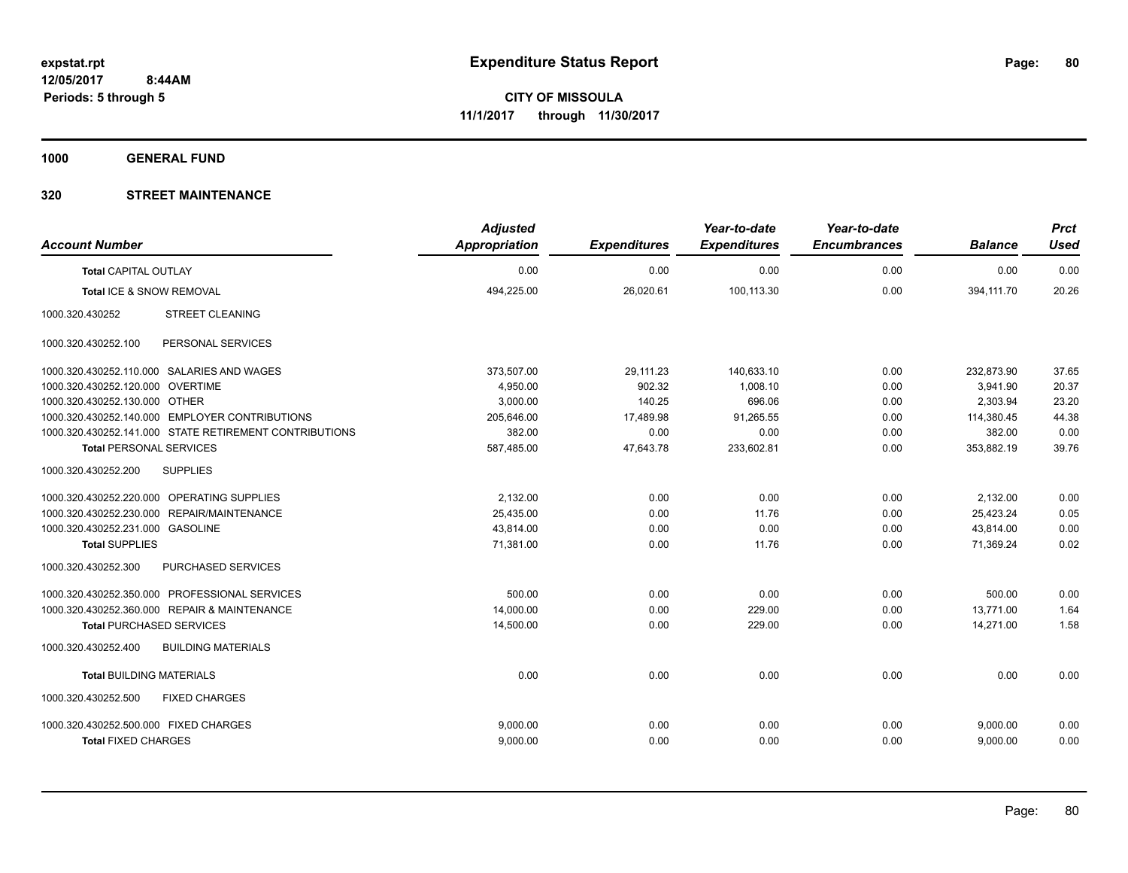**1000 GENERAL FUND**

| <b>Account Number</b>                 |                                                        | <b>Adjusted</b><br>Appropriation | <b>Expenditures</b> | Year-to-date<br><b>Expenditures</b> | Year-to-date<br><b>Encumbrances</b> | <b>Balance</b> | <b>Prct</b><br><b>Used</b> |
|---------------------------------------|--------------------------------------------------------|----------------------------------|---------------------|-------------------------------------|-------------------------------------|----------------|----------------------------|
| <b>Total CAPITAL OUTLAY</b>           |                                                        | 0.00                             | 0.00                | 0.00                                | 0.00                                | 0.00           | 0.00                       |
| Total ICE & SNOW REMOVAL              |                                                        | 494,225.00                       | 26,020.61           | 100,113.30                          | 0.00                                | 394,111.70     | 20.26                      |
| 1000.320.430252                       | <b>STREET CLEANING</b>                                 |                                  |                     |                                     |                                     |                |                            |
| 1000.320.430252.100                   | PERSONAL SERVICES                                      |                                  |                     |                                     |                                     |                |                            |
|                                       | 1000.320.430252.110.000 SALARIES AND WAGES             | 373,507.00                       | 29,111.23           | 140,633.10                          | 0.00                                | 232,873.90     | 37.65                      |
| 1000.320.430252.120.000 OVERTIME      |                                                        | 4,950.00                         | 902.32              | 1,008.10                            | 0.00                                | 3,941.90       | 20.37                      |
| 1000.320.430252.130.000 OTHER         |                                                        | 3,000.00                         | 140.25              | 696.06                              | 0.00                                | 2,303.94       | 23.20                      |
|                                       | 1000.320.430252.140.000 EMPLOYER CONTRIBUTIONS         | 205,646.00                       | 17,489.98           | 91,265.55                           | 0.00                                | 114,380.45     | 44.38                      |
|                                       | 1000.320.430252.141.000 STATE RETIREMENT CONTRIBUTIONS | 382.00                           | 0.00                | 0.00                                | 0.00                                | 382.00         | 0.00                       |
| <b>Total PERSONAL SERVICES</b>        |                                                        | 587,485.00                       | 47,643.78           | 233,602.81                          | 0.00                                | 353,882.19     | 39.76                      |
| 1000.320.430252.200                   | <b>SUPPLIES</b>                                        |                                  |                     |                                     |                                     |                |                            |
|                                       | 1000.320.430252.220.000 OPERATING SUPPLIES             | 2,132.00                         | 0.00                | 0.00                                | 0.00                                | 2,132.00       | 0.00                       |
|                                       | 1000.320.430252.230.000 REPAIR/MAINTENANCE             | 25,435.00                        | 0.00                | 11.76                               | 0.00                                | 25,423.24      | 0.05                       |
| 1000.320.430252.231.000 GASOLINE      |                                                        | 43,814.00                        | 0.00                | 0.00                                | 0.00                                | 43,814.00      | 0.00                       |
| <b>Total SUPPLIES</b>                 |                                                        | 71,381.00                        | 0.00                | 11.76                               | 0.00                                | 71,369.24      | 0.02                       |
| 1000.320.430252.300                   | PURCHASED SERVICES                                     |                                  |                     |                                     |                                     |                |                            |
|                                       | 1000.320.430252.350.000 PROFESSIONAL SERVICES          | 500.00                           | 0.00                | 0.00                                | 0.00                                | 500.00         | 0.00                       |
|                                       | 1000.320.430252.360.000 REPAIR & MAINTENANCE           | 14,000.00                        | 0.00                | 229.00                              | 0.00                                | 13.771.00      | 1.64                       |
| <b>Total PURCHASED SERVICES</b>       |                                                        | 14,500.00                        | 0.00                | 229.00                              | 0.00                                | 14,271.00      | 1.58                       |
| 1000.320.430252.400                   | <b>BUILDING MATERIALS</b>                              |                                  |                     |                                     |                                     |                |                            |
| <b>Total BUILDING MATERIALS</b>       |                                                        | 0.00                             | 0.00                | 0.00                                | 0.00                                | 0.00           | 0.00                       |
| 1000.320.430252.500                   | <b>FIXED CHARGES</b>                                   |                                  |                     |                                     |                                     |                |                            |
| 1000.320.430252.500.000 FIXED CHARGES |                                                        | 9,000.00                         | 0.00                | 0.00                                | 0.00                                | 9,000.00       | 0.00                       |
| <b>Total FIXED CHARGES</b>            |                                                        | 9,000.00                         | 0.00                | 0.00                                | 0.00                                | 9,000.00       | 0.00                       |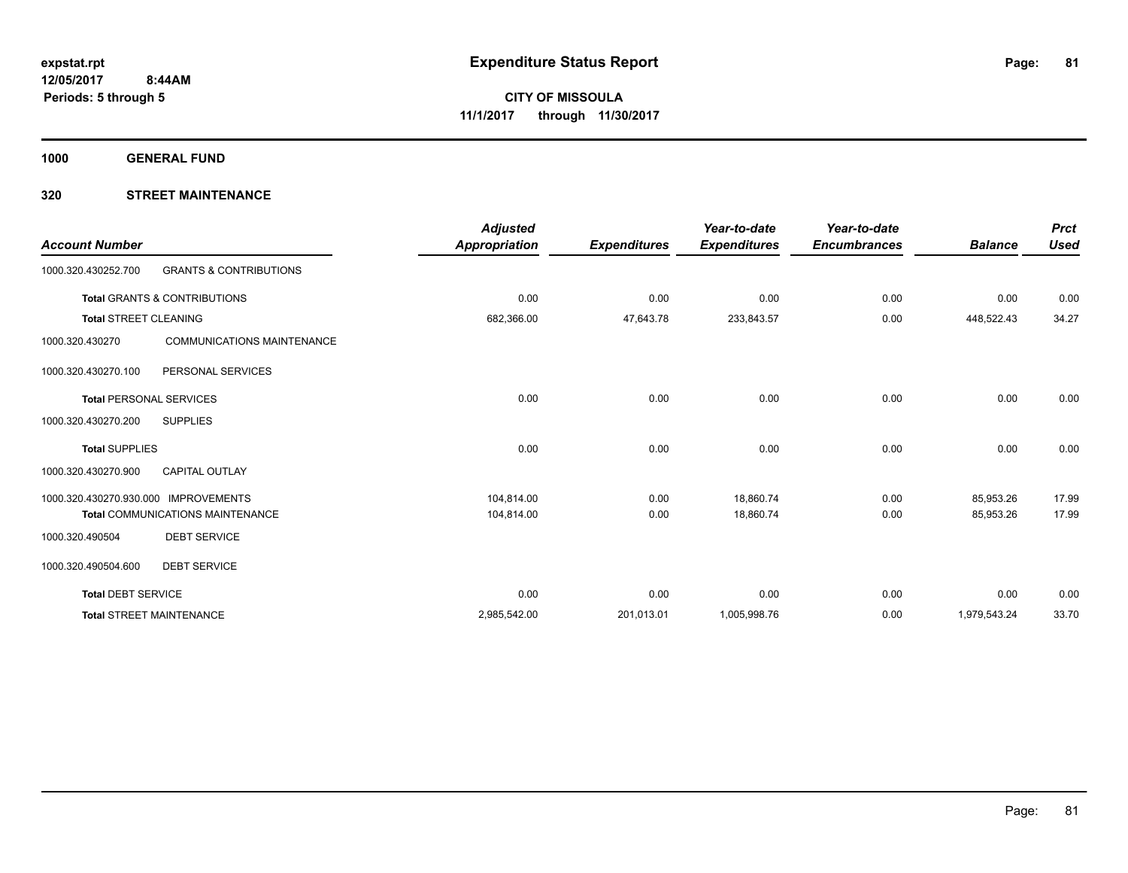**1000 GENERAL FUND**

| <b>Account Number</b>                |                                         | <b>Adjusted</b><br><b>Appropriation</b> | <b>Expenditures</b> | Year-to-date<br><b>Expenditures</b> | Year-to-date<br><b>Encumbrances</b> | <b>Balance</b> | <b>Prct</b><br><b>Used</b> |
|--------------------------------------|-----------------------------------------|-----------------------------------------|---------------------|-------------------------------------|-------------------------------------|----------------|----------------------------|
| 1000.320.430252.700                  | <b>GRANTS &amp; CONTRIBUTIONS</b>       |                                         |                     |                                     |                                     |                |                            |
|                                      | <b>Total GRANTS &amp; CONTRIBUTIONS</b> | 0.00                                    | 0.00                | 0.00                                | 0.00                                | 0.00           | 0.00                       |
| <b>Total STREET CLEANING</b>         |                                         | 682,366.00                              | 47,643.78           | 233,843.57                          | 0.00                                | 448,522.43     | 34.27                      |
| 1000.320.430270                      | <b>COMMUNICATIONS MAINTENANCE</b>       |                                         |                     |                                     |                                     |                |                            |
| 1000.320.430270.100                  | PERSONAL SERVICES                       |                                         |                     |                                     |                                     |                |                            |
| <b>Total PERSONAL SERVICES</b>       |                                         | 0.00                                    | 0.00                | 0.00                                | 0.00                                | 0.00           | 0.00                       |
| 1000.320.430270.200                  | <b>SUPPLIES</b>                         |                                         |                     |                                     |                                     |                |                            |
| <b>Total SUPPLIES</b>                |                                         | 0.00                                    | 0.00                | 0.00                                | 0.00                                | 0.00           | 0.00                       |
| 1000.320.430270.900                  | <b>CAPITAL OUTLAY</b>                   |                                         |                     |                                     |                                     |                |                            |
| 1000.320.430270.930.000 IMPROVEMENTS |                                         | 104,814.00                              | 0.00                | 18,860.74                           | 0.00                                | 85,953.26      | 17.99                      |
|                                      | <b>Total COMMUNICATIONS MAINTENANCE</b> | 104,814.00                              | 0.00                | 18,860.74                           | 0.00                                | 85,953.26      | 17.99                      |
| 1000.320.490504                      | <b>DEBT SERVICE</b>                     |                                         |                     |                                     |                                     |                |                            |
| 1000.320.490504.600                  | <b>DEBT SERVICE</b>                     |                                         |                     |                                     |                                     |                |                            |
| <b>Total DEBT SERVICE</b>            |                                         | 0.00                                    | 0.00                | 0.00                                | 0.00                                | 0.00           | 0.00                       |
|                                      | <b>Total STREET MAINTENANCE</b>         | 2,985,542.00                            | 201,013.01          | 1,005,998.76                        | 0.00                                | 1,979,543.24   | 33.70                      |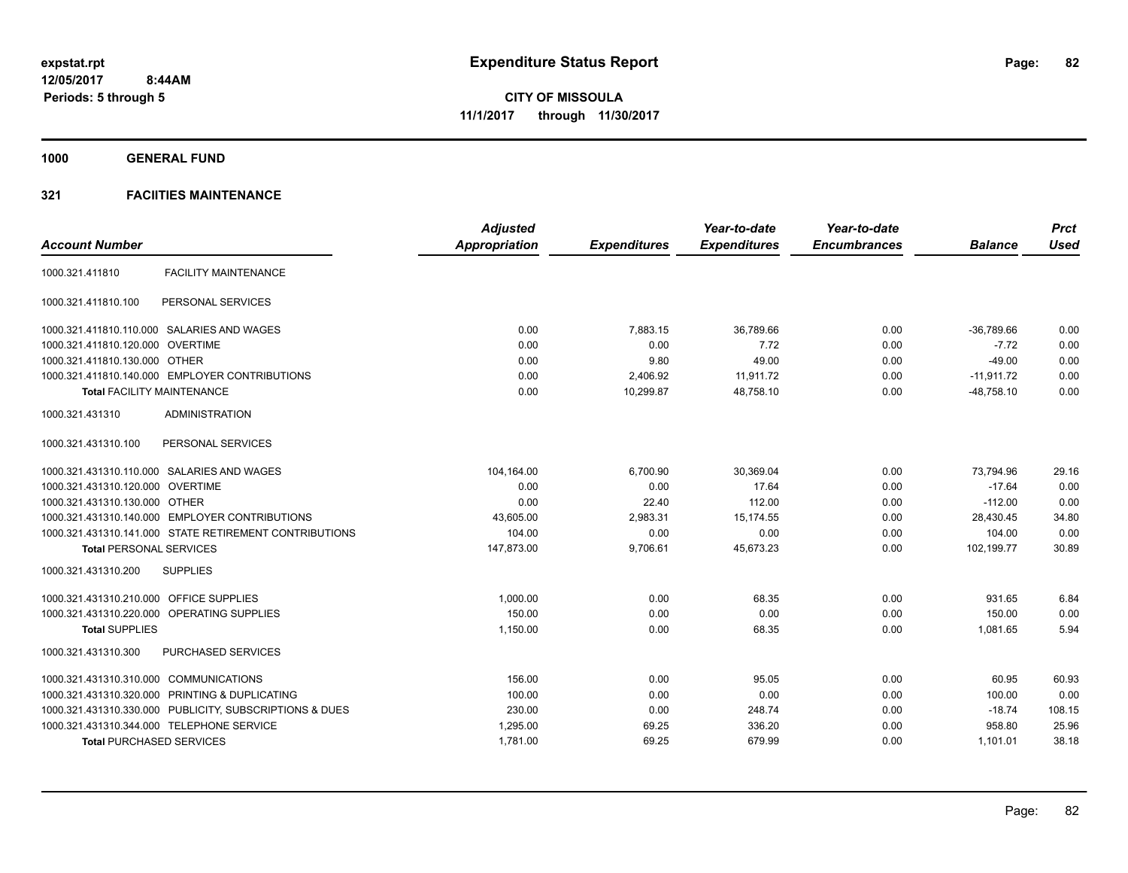**1000 GENERAL FUND**

# **321 FACIITIES MAINTENANCE**

|                                         |                                                         | <b>Adjusted</b>      |                     | Year-to-date        | Year-to-date        |                | <b>Prct</b> |
|-----------------------------------------|---------------------------------------------------------|----------------------|---------------------|---------------------|---------------------|----------------|-------------|
| <b>Account Number</b>                   |                                                         | <b>Appropriation</b> | <b>Expenditures</b> | <b>Expenditures</b> | <b>Encumbrances</b> | <b>Balance</b> | <b>Used</b> |
| 1000.321.411810                         | <b>FACILITY MAINTENANCE</b>                             |                      |                     |                     |                     |                |             |
| 1000.321.411810.100                     | PERSONAL SERVICES                                       |                      |                     |                     |                     |                |             |
|                                         | 1000.321.411810.110.000 SALARIES AND WAGES              | 0.00                 | 7.883.15            | 36.789.66           | 0.00                | $-36.789.66$   | 0.00        |
| 1000.321.411810.120.000 OVERTIME        |                                                         | 0.00                 | 0.00                | 7.72                | 0.00                | $-7.72$        | 0.00        |
| 1000.321.411810.130.000 OTHER           |                                                         | 0.00                 | 9.80                | 49.00               | 0.00                | $-49.00$       | 0.00        |
|                                         | 1000.321.411810.140.000 EMPLOYER CONTRIBUTIONS          | 0.00                 | 2,406.92            | 11,911.72           | 0.00                | $-11.911.72$   | 0.00        |
|                                         | <b>Total FACILITY MAINTENANCE</b>                       | 0.00                 | 10,299.87           | 48,758.10           | 0.00                | $-48,758.10$   | 0.00        |
| 1000.321.431310                         | <b>ADMINISTRATION</b>                                   |                      |                     |                     |                     |                |             |
| 1000.321.431310.100                     | PERSONAL SERVICES                                       |                      |                     |                     |                     |                |             |
|                                         | 1000.321.431310.110.000 SALARIES AND WAGES              | 104,164.00           | 6,700.90            | 30,369.04           | 0.00                | 73,794.96      | 29.16       |
| 1000.321.431310.120.000 OVERTIME        |                                                         | 0.00                 | 0.00                | 17.64               | 0.00                | $-17.64$       | 0.00        |
| 1000.321.431310.130.000 OTHER           |                                                         | 0.00                 | 22.40               | 112.00              | 0.00                | $-112.00$      | 0.00        |
|                                         | 1000.321.431310.140.000 EMPLOYER CONTRIBUTIONS          | 43,605.00            | 2,983.31            | 15,174.55           | 0.00                | 28,430.45      | 34.80       |
|                                         | 1000.321.431310.141.000 STATE RETIREMENT CONTRIBUTIONS  | 104.00               | 0.00                | 0.00                | 0.00                | 104.00         | 0.00        |
| <b>Total PERSONAL SERVICES</b>          |                                                         | 147,873.00           | 9,706.61            | 45,673.23           | 0.00                | 102,199.77     | 30.89       |
| 1000.321.431310.200                     | <b>SUPPLIES</b>                                         |                      |                     |                     |                     |                |             |
| 1000.321.431310.210.000 OFFICE SUPPLIES |                                                         | 1,000.00             | 0.00                | 68.35               | 0.00                | 931.65         | 6.84        |
|                                         | 1000.321.431310.220.000 OPERATING SUPPLIES              | 150.00               | 0.00                | 0.00                | 0.00                | 150.00         | 0.00        |
| <b>Total SUPPLIES</b>                   |                                                         | 1,150.00             | 0.00                | 68.35               | 0.00                | 1,081.65       | 5.94        |
| 1000.321.431310.300                     | PURCHASED SERVICES                                      |                      |                     |                     |                     |                |             |
| 1000.321.431310.310.000 COMMUNICATIONS  |                                                         | 156.00               | 0.00                | 95.05               | 0.00                | 60.95          | 60.93       |
|                                         | 1000.321.431310.320.000 PRINTING & DUPLICATING          | 100.00               | 0.00                | 0.00                | 0.00                | 100.00         | 0.00        |
|                                         | 1000.321.431310.330.000 PUBLICITY, SUBSCRIPTIONS & DUES | 230.00               | 0.00                | 248.74              | 0.00                | $-18.74$       | 108.15      |
|                                         | 1000.321.431310.344.000 TELEPHONE SERVICE               | 1,295.00             | 69.25               | 336.20              | 0.00                | 958.80         | 25.96       |
| <b>Total PURCHASED SERVICES</b>         |                                                         | 1,781.00             | 69.25               | 679.99              | 0.00                | 1,101.01       | 38.18       |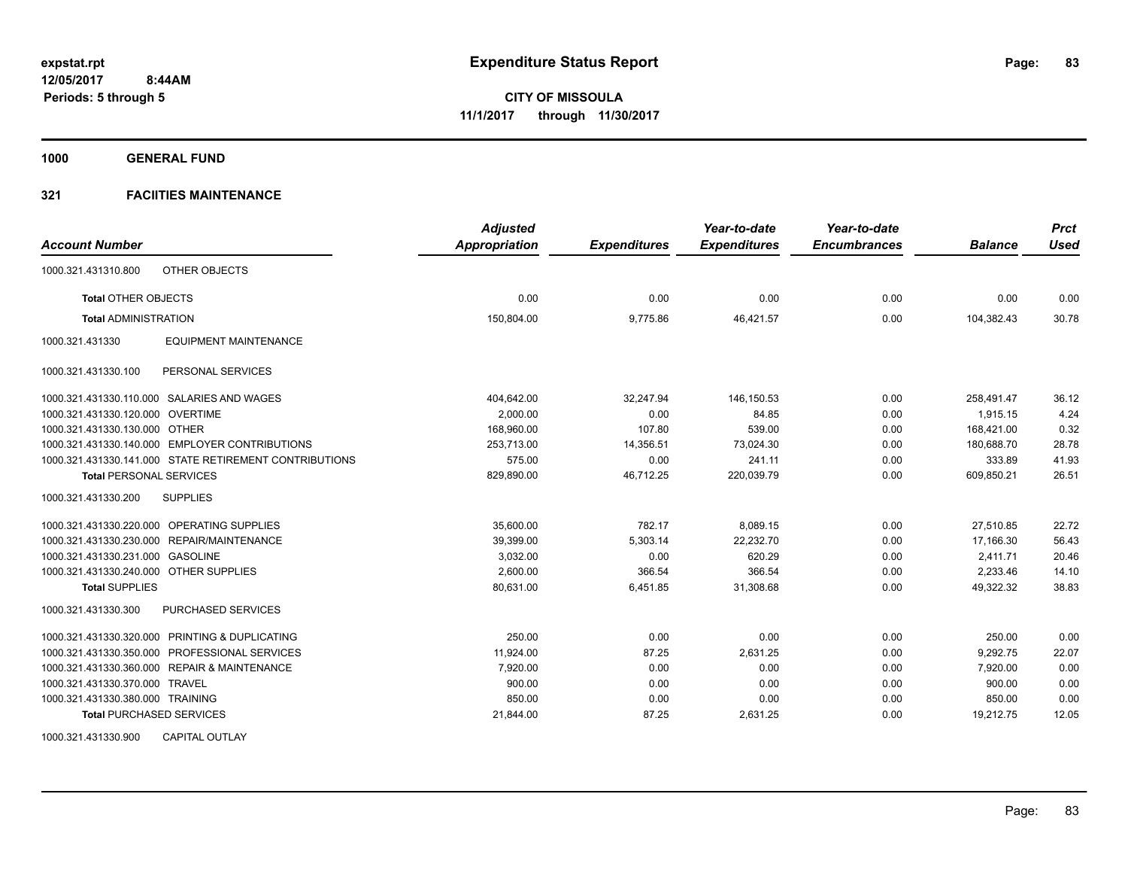**1000 GENERAL FUND**

# **321 FACIITIES MAINTENANCE**

| <b>Account Number</b>                                  | <b>Adjusted</b><br>Appropriation |                     | Year-to-date<br><b>Expenditures</b> | Year-to-date<br><b>Encumbrances</b> | <b>Balance</b> | <b>Prct</b><br><b>Used</b> |
|--------------------------------------------------------|----------------------------------|---------------------|-------------------------------------|-------------------------------------|----------------|----------------------------|
|                                                        |                                  | <b>Expenditures</b> |                                     |                                     |                |                            |
| 1000.321.431310.800<br><b>OTHER OBJECTS</b>            |                                  |                     |                                     |                                     |                |                            |
| <b>Total OTHER OBJECTS</b>                             | 0.00                             | 0.00                | 0.00                                | 0.00                                | 0.00           | 0.00                       |
| <b>Total ADMINISTRATION</b>                            | 150,804.00                       | 9,775.86            | 46,421.57                           | 0.00                                | 104,382.43     | 30.78                      |
| <b>EQUIPMENT MAINTENANCE</b><br>1000.321.431330        |                                  |                     |                                     |                                     |                |                            |
| 1000.321.431330.100<br>PERSONAL SERVICES               |                                  |                     |                                     |                                     |                |                            |
| 1000.321.431330.110.000 SALARIES AND WAGES             | 404,642.00                       | 32,247.94           | 146,150.53                          | 0.00                                | 258,491.47     | 36.12                      |
| 1000.321.431330.120.000 OVERTIME                       | 2,000.00                         | 0.00                | 84.85                               | 0.00                                | 1,915.15       | 4.24                       |
| 1000.321.431330.130.000 OTHER                          | 168,960.00                       | 107.80              | 539.00                              | 0.00                                | 168,421.00     | 0.32                       |
| 1000.321.431330.140.000 EMPLOYER CONTRIBUTIONS         | 253,713.00                       | 14,356.51           | 73,024.30                           | 0.00                                | 180,688.70     | 28.78                      |
| 1000.321.431330.141.000 STATE RETIREMENT CONTRIBUTIONS | 575.00                           | 0.00                | 241.11                              | 0.00                                | 333.89         | 41.93                      |
| <b>Total PERSONAL SERVICES</b>                         | 829,890.00                       | 46,712.25           | 220,039.79                          | 0.00                                | 609,850.21     | 26.51                      |
| 1000.321.431330.200<br><b>SUPPLIES</b>                 |                                  |                     |                                     |                                     |                |                            |
| 1000.321.431330.220.000 OPERATING SUPPLIES             | 35,600.00                        | 782.17              | 8,089.15                            | 0.00                                | 27,510.85      | 22.72                      |
| 1000.321.431330.230.000 REPAIR/MAINTENANCE             | 39,399.00                        | 5,303.14            | 22.232.70                           | 0.00                                | 17.166.30      | 56.43                      |
| 1000.321.431330.231.000 GASOLINE                       | 3,032.00                         | 0.00                | 620.29                              | 0.00                                | 2,411.71       | 20.46                      |
| 1000.321.431330.240.000 OTHER SUPPLIES                 | 2,600.00                         | 366.54              | 366.54                              | 0.00                                | 2,233.46       | 14.10                      |
| <b>Total SUPPLIES</b>                                  | 80.631.00                        | 6,451.85            | 31,308.68                           | 0.00                                | 49.322.32      | 38.83                      |
| 1000.321.431330.300<br><b>PURCHASED SERVICES</b>       |                                  |                     |                                     |                                     |                |                            |
| 1000.321.431330.320.000 PRINTING & DUPLICATING         | 250.00                           | 0.00                | 0.00                                | 0.00                                | 250.00         | 0.00                       |
| 1000.321.431330.350.000 PROFESSIONAL SERVICES          | 11,924.00                        | 87.25               | 2,631.25                            | 0.00                                | 9,292.75       | 22.07                      |
| 1000.321.431330.360.000 REPAIR & MAINTENANCE           | 7,920.00                         | 0.00                | 0.00                                | 0.00                                | 7.920.00       | 0.00                       |
| 1000.321.431330.370.000 TRAVEL                         | 900.00                           | 0.00                | 0.00                                | 0.00                                | 900.00         | 0.00                       |
| 1000.321.431330.380.000 TRAINING                       | 850.00                           | 0.00                | 0.00                                | 0.00                                | 850.00         | 0.00                       |
| <b>Total PURCHASED SERVICES</b>                        | 21,844.00                        | 87.25               | 2,631.25                            | 0.00                                | 19,212.75      | 12.05                      |

1000.321.431330.900 CAPITAL OUTLAY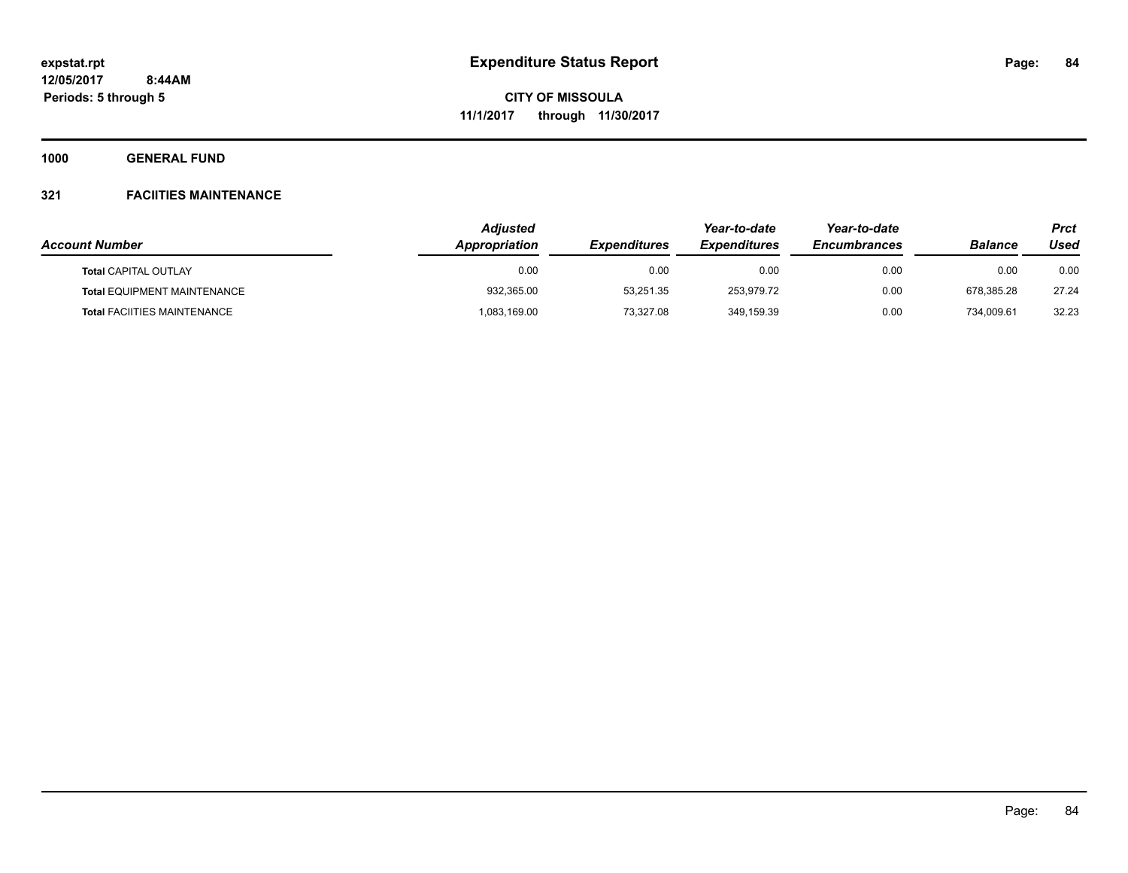**1000 GENERAL FUND**

# **321 FACIITIES MAINTENANCE**

|                                    | <b>Adjusted</b>      |                            | Year-to-date               | Year-to-date        |                | Prct  |
|------------------------------------|----------------------|----------------------------|----------------------------|---------------------|----------------|-------|
| <b>Account Number</b>              | <b>Appropriation</b> | <i><b>Expenditures</b></i> | <i><b>Expenditures</b></i> | <b>Encumbrances</b> | <b>Balance</b> | Used  |
| <b>Total CAPITAL OUTLAY</b>        | 0.00                 | 0.00                       | 0.00                       | 0.00                | 0.00           | 0.00  |
| <b>Total EQUIPMENT MAINTENANCE</b> | 932,365.00           | 53.251.35                  | 253.979.72                 | 0.00                | 678.385.28     | 27.24 |
| <b>Total FACIITIES MAINTENANCE</b> | 083,169.00           | 73.327.08                  | 349,159.39                 | 0.00                | 734.009.61     | 32.23 |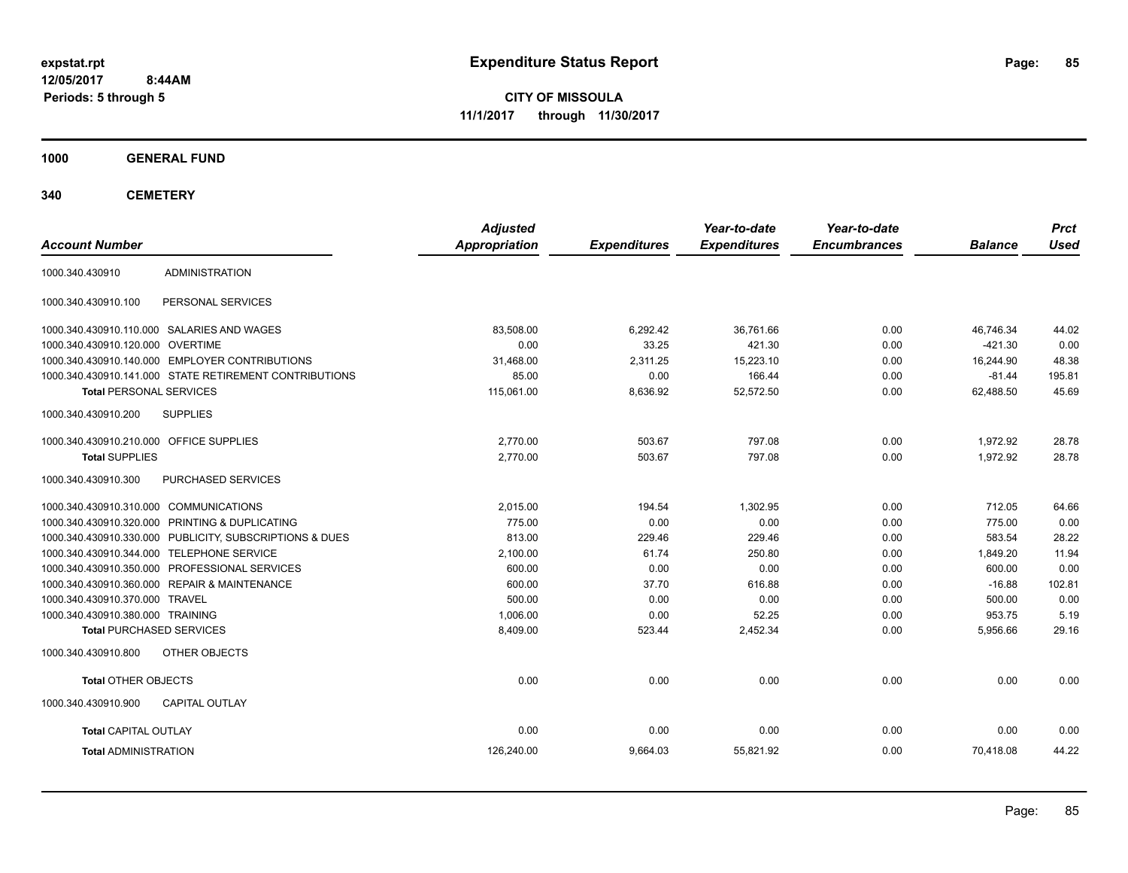**CITY OF MISSOULA 11/1/2017 through 11/30/2017**

**1000 GENERAL FUND**

**340 CEMETERY**

| <b>Account Number</b>                                   | <b>Adjusted</b><br><b>Appropriation</b> | <b>Expenditures</b> | Year-to-date<br><b>Expenditures</b> | Year-to-date<br><b>Encumbrances</b> | <b>Balance</b> | <b>Prct</b><br><b>Used</b> |
|---------------------------------------------------------|-----------------------------------------|---------------------|-------------------------------------|-------------------------------------|----------------|----------------------------|
| <b>ADMINISTRATION</b><br>1000.340.430910                |                                         |                     |                                     |                                     |                |                            |
| 1000.340.430910.100<br>PERSONAL SERVICES                |                                         |                     |                                     |                                     |                |                            |
| 1000.340.430910.110.000 SALARIES AND WAGES              | 83.508.00                               | 6,292.42            | 36.761.66                           | 0.00                                | 46.746.34      | 44.02                      |
| 1000.340.430910.120.000 OVERTIME                        | 0.00                                    | 33.25               | 421.30                              | 0.00                                | $-421.30$      | 0.00                       |
| 1000.340.430910.140.000 EMPLOYER CONTRIBUTIONS          | 31.468.00                               | 2.311.25            | 15.223.10                           | 0.00                                | 16.244.90      | 48.38                      |
| 1000.340.430910.141.000 STATE RETIREMENT CONTRIBUTIONS  | 85.00                                   | 0.00                | 166.44                              | 0.00                                | $-81.44$       | 195.81                     |
| <b>Total PERSONAL SERVICES</b>                          | 115.061.00                              | 8,636.92            | 52,572.50                           | 0.00                                | 62.488.50      | 45.69                      |
| 1000.340.430910.200<br><b>SUPPLIES</b>                  |                                         |                     |                                     |                                     |                |                            |
| 1000.340.430910.210.000 OFFICE SUPPLIES                 | 2,770.00                                | 503.67              | 797.08                              | 0.00                                | 1,972.92       | 28.78                      |
| <b>Total SUPPLIES</b>                                   | 2,770.00                                | 503.67              | 797.08                              | 0.00                                | 1,972.92       | 28.78                      |
| 1000.340.430910.300<br><b>PURCHASED SERVICES</b>        |                                         |                     |                                     |                                     |                |                            |
| 1000.340.430910.310.000 COMMUNICATIONS                  | 2,015.00                                | 194.54              | 1,302.95                            | 0.00                                | 712.05         | 64.66                      |
| 1000.340.430910.320.000 PRINTING & DUPLICATING          | 775.00                                  | 0.00                | 0.00                                | 0.00                                | 775.00         | 0.00                       |
| 1000.340.430910.330.000 PUBLICITY, SUBSCRIPTIONS & DUES | 813.00                                  | 229.46              | 229.46                              | 0.00                                | 583.54         | 28.22                      |
| 1000.340.430910.344.000 TELEPHONE SERVICE               | 2,100.00                                | 61.74               | 250.80                              | 0.00                                | 1,849.20       | 11.94                      |
| 1000.340.430910.350.000 PROFESSIONAL SERVICES           | 600.00                                  | 0.00                | 0.00                                | 0.00                                | 600.00         | 0.00                       |
| 1000.340.430910.360.000 REPAIR & MAINTENANCE            | 600.00                                  | 37.70               | 616.88                              | 0.00                                | $-16.88$       | 102.81                     |
| 1000.340.430910.370.000 TRAVEL                          | 500.00                                  | 0.00                | 0.00                                | 0.00                                | 500.00         | 0.00                       |
| 1000.340.430910.380.000 TRAINING                        | 1,006.00                                | 0.00                | 52.25                               | 0.00                                | 953.75         | 5.19                       |
| <b>Total PURCHASED SERVICES</b>                         | 8,409.00                                | 523.44              | 2,452.34                            | 0.00                                | 5,956.66       | 29.16                      |
| 1000.340.430910.800<br>OTHER OBJECTS                    |                                         |                     |                                     |                                     |                |                            |
| <b>Total OTHER OBJECTS</b>                              | 0.00                                    | 0.00                | 0.00                                | 0.00                                | 0.00           | 0.00                       |
| 1000.340.430910.900<br><b>CAPITAL OUTLAY</b>            |                                         |                     |                                     |                                     |                |                            |
| <b>Total CAPITAL OUTLAY</b>                             | 0.00                                    | 0.00                | 0.00                                | 0.00                                | 0.00           | 0.00                       |
| <b>Total ADMINISTRATION</b>                             | 126,240.00                              | 9,664.03            | 55,821.92                           | 0.00                                | 70,418.08      | 44.22                      |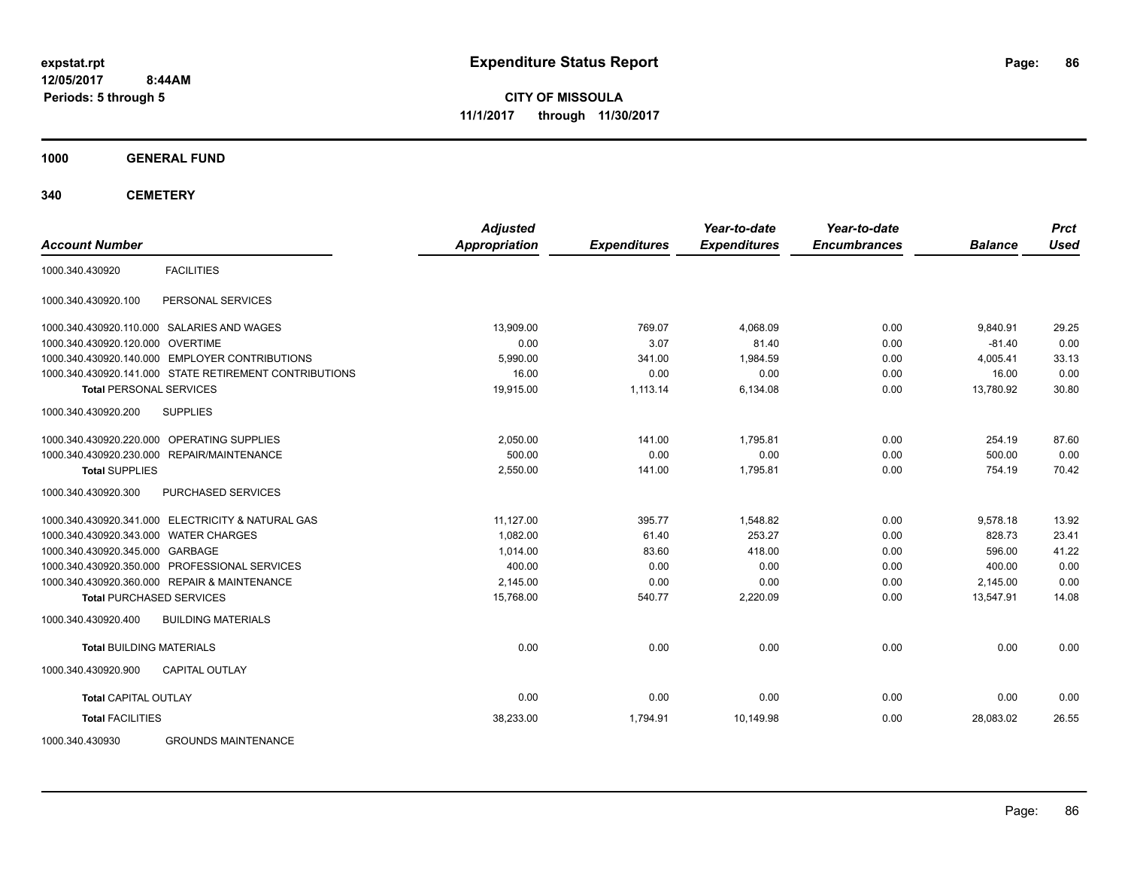**CITY OF MISSOULA 11/1/2017 through 11/30/2017**

**1000 GENERAL FUND**

**340 CEMETERY**

|                                                        | <b>Adjusted</b>      |                     | Year-to-date        | Year-to-date        |                | <b>Prct</b> |
|--------------------------------------------------------|----------------------|---------------------|---------------------|---------------------|----------------|-------------|
| <b>Account Number</b>                                  | <b>Appropriation</b> | <b>Expenditures</b> | <b>Expenditures</b> | <b>Encumbrances</b> | <b>Balance</b> | <b>Used</b> |
| <b>FACILITIES</b><br>1000.340.430920                   |                      |                     |                     |                     |                |             |
| PERSONAL SERVICES<br>1000.340.430920.100               |                      |                     |                     |                     |                |             |
| 1000.340.430920.110.000 SALARIES AND WAGES             | 13,909.00            | 769.07              | 4,068.09            | 0.00                | 9,840.91       | 29.25       |
| 1000.340.430920.120.000 OVERTIME                       | 0.00                 | 3.07                | 81.40               | 0.00                | $-81.40$       | 0.00        |
| 1000.340.430920.140.000 EMPLOYER CONTRIBUTIONS         | 5,990.00             | 341.00              | 1,984.59            | 0.00                | 4,005.41       | 33.13       |
| 1000.340.430920.141.000 STATE RETIREMENT CONTRIBUTIONS | 16.00                | 0.00                | 0.00                | 0.00                | 16.00          | 0.00        |
| <b>Total PERSONAL SERVICES</b>                         | 19,915.00            | 1,113.14            | 6,134.08            | 0.00                | 13,780.92      | 30.80       |
| 1000.340.430920.200<br><b>SUPPLIES</b>                 |                      |                     |                     |                     |                |             |
| 1000.340.430920.220.000 OPERATING SUPPLIES             | 2,050.00             | 141.00              | 1.795.81            | 0.00                | 254.19         | 87.60       |
| 1000.340.430920.230.000 REPAIR/MAINTENANCE             | 500.00               | 0.00                | 0.00                | 0.00                | 500.00         | 0.00        |
| <b>Total SUPPLIES</b>                                  | 2,550.00             | 141.00              | 1,795.81            | 0.00                | 754.19         | 70.42       |
| 1000.340.430920.300<br>PURCHASED SERVICES              |                      |                     |                     |                     |                |             |
| 1000.340.430920.341.000 ELECTRICITY & NATURAL GAS      | 11.127.00            | 395.77              | 1.548.82            | 0.00                | 9.578.18       | 13.92       |
| 1000.340.430920.343.000 WATER CHARGES                  | 1,082.00             | 61.40               | 253.27              | 0.00                | 828.73         | 23.41       |
| 1000.340.430920.345.000 GARBAGE                        | 1,014.00             | 83.60               | 418.00              | 0.00                | 596.00         | 41.22       |
| 1000.340.430920.350.000 PROFESSIONAL SERVICES          | 400.00               | 0.00                | 0.00                | 0.00                | 400.00         | 0.00        |
| 1000.340.430920.360.000 REPAIR & MAINTENANCE           | 2,145.00             | 0.00                | 0.00                | 0.00                | 2,145.00       | 0.00        |
| <b>Total PURCHASED SERVICES</b>                        | 15,768.00            | 540.77              | 2,220.09            | 0.00                | 13.547.91      | 14.08       |
| <b>BUILDING MATERIALS</b><br>1000.340.430920.400       |                      |                     |                     |                     |                |             |
| <b>Total BUILDING MATERIALS</b>                        | 0.00                 | 0.00                | 0.00                | 0.00                | 0.00           | 0.00        |
| 1000.340.430920.900<br><b>CAPITAL OUTLAY</b>           |                      |                     |                     |                     |                |             |
| <b>Total CAPITAL OUTLAY</b>                            | 0.00                 | 0.00                | 0.00                | 0.00                | 0.00           | 0.00        |
| <b>Total FACILITIES</b>                                | 38,233.00            | 1,794.91            | 10,149.98           | 0.00                | 28.083.02      | 26.55       |
|                                                        |                      |                     |                     |                     |                |             |

1000.340.430930 GROUNDS MAINTENANCE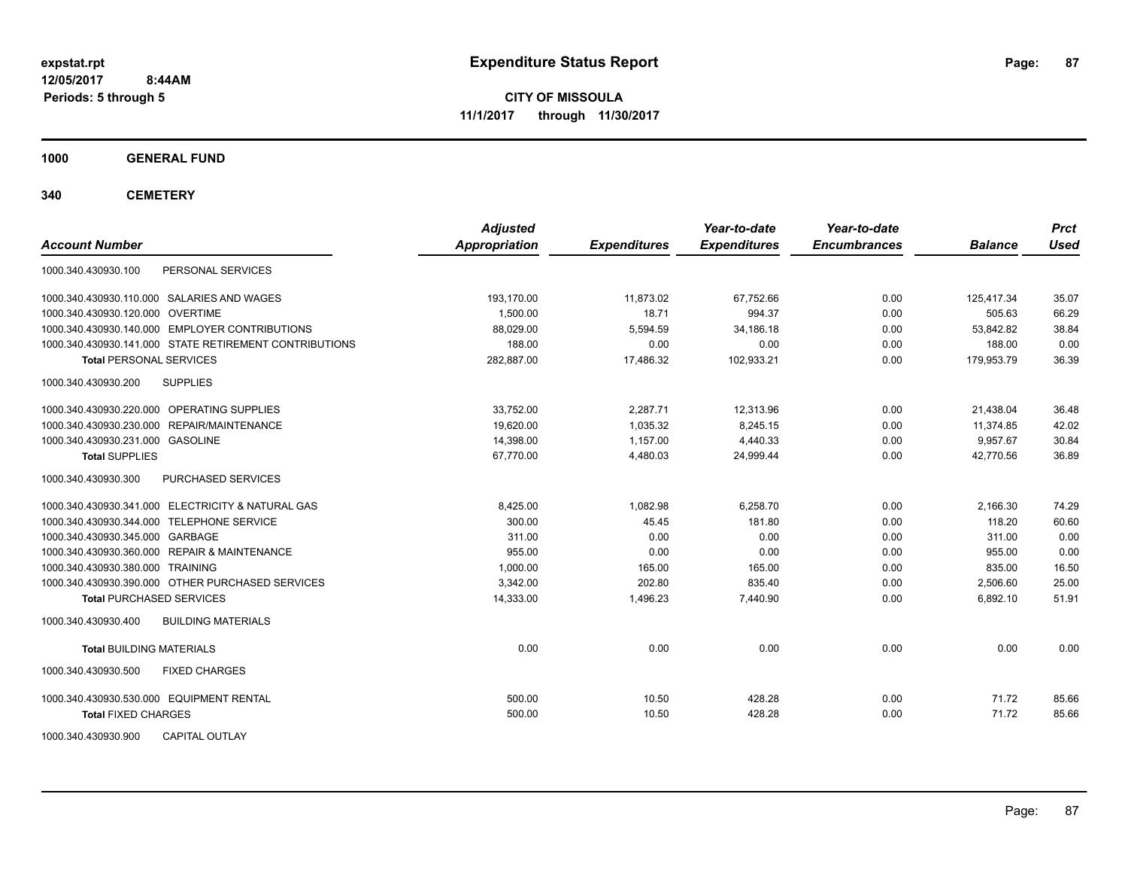**CITY OF MISSOULA 11/1/2017 through 11/30/2017**

**1000 GENERAL FUND**

**340 CEMETERY**

| <b>Account Number</b>                                  | <b>Adjusted</b><br>Appropriation | <b>Expenditures</b> | Year-to-date<br><b>Expenditures</b> | Year-to-date<br><b>Encumbrances</b> | <b>Balance</b> | <b>Prct</b><br><b>Used</b> |
|--------------------------------------------------------|----------------------------------|---------------------|-------------------------------------|-------------------------------------|----------------|----------------------------|
| PERSONAL SERVICES<br>1000.340.430930.100               |                                  |                     |                                     |                                     |                |                            |
| 1000.340.430930.110.000 SALARIES AND WAGES             | 193.170.00                       | 11,873.02           | 67,752.66                           | 0.00                                | 125.417.34     | 35.07                      |
| 1000.340.430930.120.000 OVERTIME                       | 1.500.00                         | 18.71               | 994.37                              | 0.00                                | 505.63         | 66.29                      |
| 1000.340.430930.140.000 EMPLOYER CONTRIBUTIONS         | 88,029.00                        | 5,594.59            | 34,186.18                           | 0.00                                | 53,842.82      | 38.84                      |
| 1000.340.430930.141.000 STATE RETIREMENT CONTRIBUTIONS | 188.00                           | 0.00                | 0.00                                | 0.00                                | 188.00         | 0.00                       |
| <b>Total PERSONAL SERVICES</b>                         | 282,887.00                       | 17,486.32           | 102,933.21                          | 0.00                                | 179,953.79     | 36.39                      |
| <b>SUPPLIES</b><br>1000.340.430930.200                 |                                  |                     |                                     |                                     |                |                            |
| 1000.340.430930.220.000 OPERATING SUPPLIES             | 33.752.00                        | 2.287.71            | 12,313.96                           | 0.00                                | 21,438.04      | 36.48                      |
| 1000.340.430930.230.000 REPAIR/MAINTENANCE             | 19.620.00                        | 1.035.32            | 8,245.15                            | 0.00                                | 11,374.85      | 42.02                      |
| 1000.340.430930.231.000 GASOLINE                       | 14,398.00                        | 1,157.00            | 4,440.33                            | 0.00                                | 9,957.67       | 30.84                      |
| <b>Total SUPPLIES</b>                                  | 67,770.00                        | 4,480.03            | 24,999.44                           | 0.00                                | 42,770.56      | 36.89                      |
| 1000.340.430930.300<br>PURCHASED SERVICES              |                                  |                     |                                     |                                     |                |                            |
| 1000.340.430930.341.000 ELECTRICITY & NATURAL GAS      | 8.425.00                         | 1,082.98            | 6.258.70                            | 0.00                                | 2,166.30       | 74.29                      |
| 1000.340.430930.344.000 TELEPHONE SERVICE              | 300.00                           | 45.45               | 181.80                              | 0.00                                | 118.20         | 60.60                      |
| 1000.340.430930.345.000 GARBAGE                        | 311.00                           | 0.00                | 0.00                                | 0.00                                | 311.00         | 0.00                       |
| 1000.340.430930.360.000 REPAIR & MAINTENANCE           | 955.00                           | 0.00                | 0.00                                | 0.00                                | 955.00         | 0.00                       |
| 1000.340.430930.380.000 TRAINING                       | 1.000.00                         | 165.00              | 165.00                              | 0.00                                | 835.00         | 16.50                      |
| 1000.340.430930.390.000 OTHER PURCHASED SERVICES       | 3,342.00                         | 202.80              | 835.40                              | 0.00                                | 2,506.60       | 25.00                      |
| <b>Total PURCHASED SERVICES</b>                        | 14,333.00                        | 1,496.23            | 7,440.90                            | 0.00                                | 6,892.10       | 51.91                      |
| 1000.340.430930.400<br><b>BUILDING MATERIALS</b>       |                                  |                     |                                     |                                     |                |                            |
| <b>Total BUILDING MATERIALS</b>                        | 0.00                             | 0.00                | 0.00                                | 0.00                                | 0.00           | 0.00                       |
| 1000.340.430930.500<br><b>FIXED CHARGES</b>            |                                  |                     |                                     |                                     |                |                            |
| 1000.340.430930.530.000 EQUIPMENT RENTAL               | 500.00                           | 10.50               | 428.28                              | 0.00                                | 71.72          | 85.66                      |
| <b>Total FIXED CHARGES</b>                             | 500.00                           | 10.50               | 428.28                              | 0.00                                | 71.72          | 85.66                      |
| <b>CAPITAL OUTLAY</b><br>1000.340.430930.900           |                                  |                     |                                     |                                     |                |                            |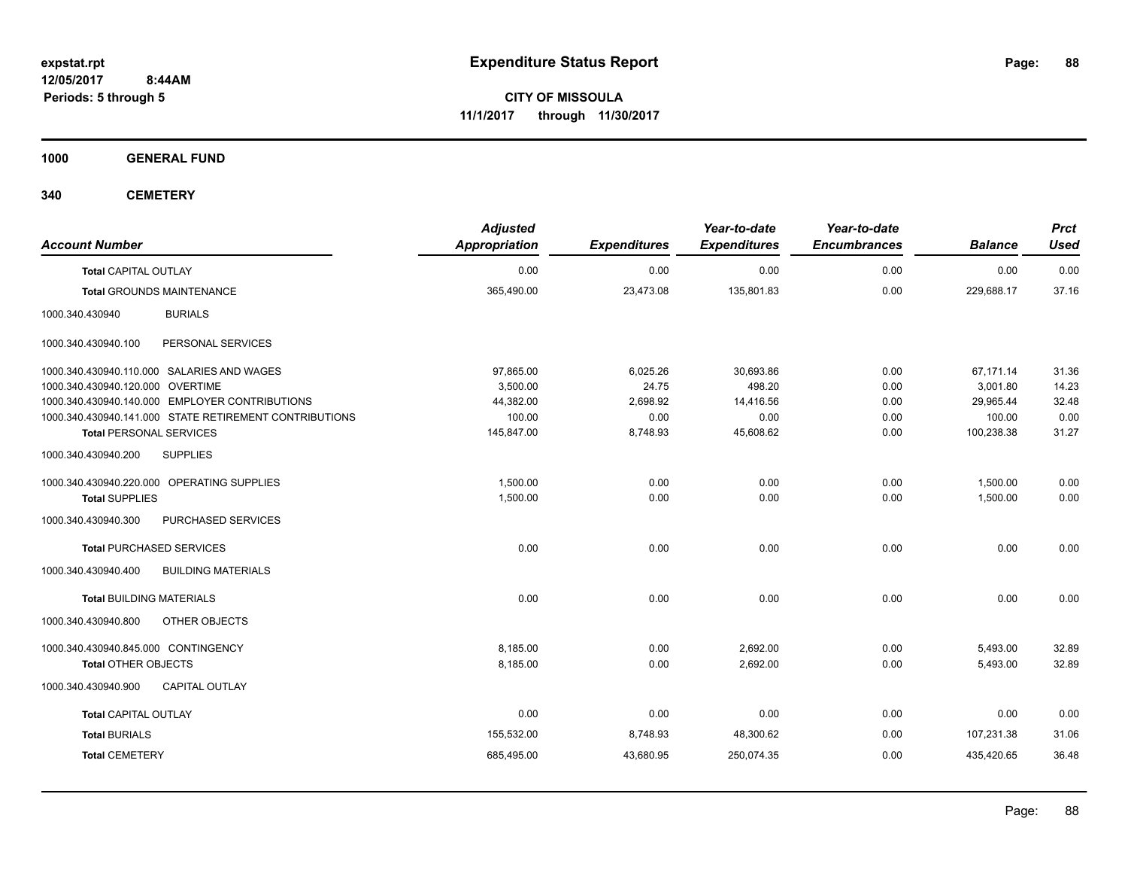**CITY OF MISSOULA 11/1/2017 through 11/30/2017**

**1000 GENERAL FUND**

**340 CEMETERY**

| <b>Account Number</b>                                  | <b>Adjusted</b><br><b>Appropriation</b> | <b>Expenditures</b> | Year-to-date<br><b>Expenditures</b> | Year-to-date<br><b>Encumbrances</b> | <b>Balance</b> | <b>Prct</b><br><b>Used</b> |
|--------------------------------------------------------|-----------------------------------------|---------------------|-------------------------------------|-------------------------------------|----------------|----------------------------|
| <b>Total CAPITAL OUTLAY</b>                            | 0.00                                    | 0.00                | 0.00                                | 0.00                                | 0.00           | 0.00                       |
| <b>Total GROUNDS MAINTENANCE</b>                       | 365,490.00                              | 23,473.08           | 135,801.83                          | 0.00                                | 229,688.17     | 37.16                      |
| 1000.340.430940<br><b>BURIALS</b>                      |                                         |                     |                                     |                                     |                |                            |
| 1000.340.430940.100<br>PERSONAL SERVICES               |                                         |                     |                                     |                                     |                |                            |
| 1000.340.430940.110.000 SALARIES AND WAGES             | 97.865.00                               | 6,025.26            | 30,693.86                           | 0.00                                | 67,171.14      | 31.36                      |
| 1000.340.430940.120.000 OVERTIME                       | 3,500.00                                | 24.75               | 498.20                              | 0.00                                | 3,001.80       | 14.23                      |
| 1000.340.430940.140.000 EMPLOYER CONTRIBUTIONS         | 44,382.00                               | 2,698.92            | 14,416.56                           | 0.00                                | 29,965.44      | 32.48                      |
| 1000.340.430940.141.000 STATE RETIREMENT CONTRIBUTIONS | 100.00                                  | 0.00                | 0.00                                | 0.00                                | 100.00         | 0.00                       |
| <b>Total PERSONAL SERVICES</b>                         | 145,847.00                              | 8,748.93            | 45,608.62                           | 0.00                                | 100,238.38     | 31.27                      |
| <b>SUPPLIES</b><br>1000.340.430940.200                 |                                         |                     |                                     |                                     |                |                            |
| 1000.340.430940.220.000 OPERATING SUPPLIES             | 1,500.00                                | 0.00                | 0.00                                | 0.00                                | 1,500.00       | 0.00                       |
| <b>Total SUPPLIES</b>                                  | 1,500.00                                | 0.00                | 0.00                                | 0.00                                | 1,500.00       | 0.00                       |
| PURCHASED SERVICES<br>1000.340.430940.300              |                                         |                     |                                     |                                     |                |                            |
| <b>Total PURCHASED SERVICES</b>                        | 0.00                                    | 0.00                | 0.00                                | 0.00                                | 0.00           | 0.00                       |
| 1000.340.430940.400<br><b>BUILDING MATERIALS</b>       |                                         |                     |                                     |                                     |                |                            |
| <b>Total BUILDING MATERIALS</b>                        | 0.00                                    | 0.00                | 0.00                                | 0.00                                | 0.00           | 0.00                       |
| 1000.340.430940.800<br>OTHER OBJECTS                   |                                         |                     |                                     |                                     |                |                            |
| 1000.340.430940.845.000 CONTINGENCY                    | 8,185.00                                | 0.00                | 2,692.00                            | 0.00                                | 5,493.00       | 32.89                      |
| <b>Total OTHER OBJECTS</b>                             | 8,185.00                                | 0.00                | 2,692.00                            | 0.00                                | 5,493.00       | 32.89                      |
| 1000.340.430940.900<br><b>CAPITAL OUTLAY</b>           |                                         |                     |                                     |                                     |                |                            |
| <b>Total CAPITAL OUTLAY</b>                            | 0.00                                    | 0.00                | 0.00                                | 0.00                                | 0.00           | 0.00                       |
| <b>Total BURIALS</b>                                   | 155,532.00                              | 8,748.93            | 48,300.62                           | 0.00                                | 107,231.38     | 31.06                      |
|                                                        |                                         |                     |                                     |                                     |                |                            |
| <b>Total CEMETERY</b>                                  | 685,495.00                              | 43,680.95           | 250,074.35                          | 0.00                                | 435,420.65     | 36.48                      |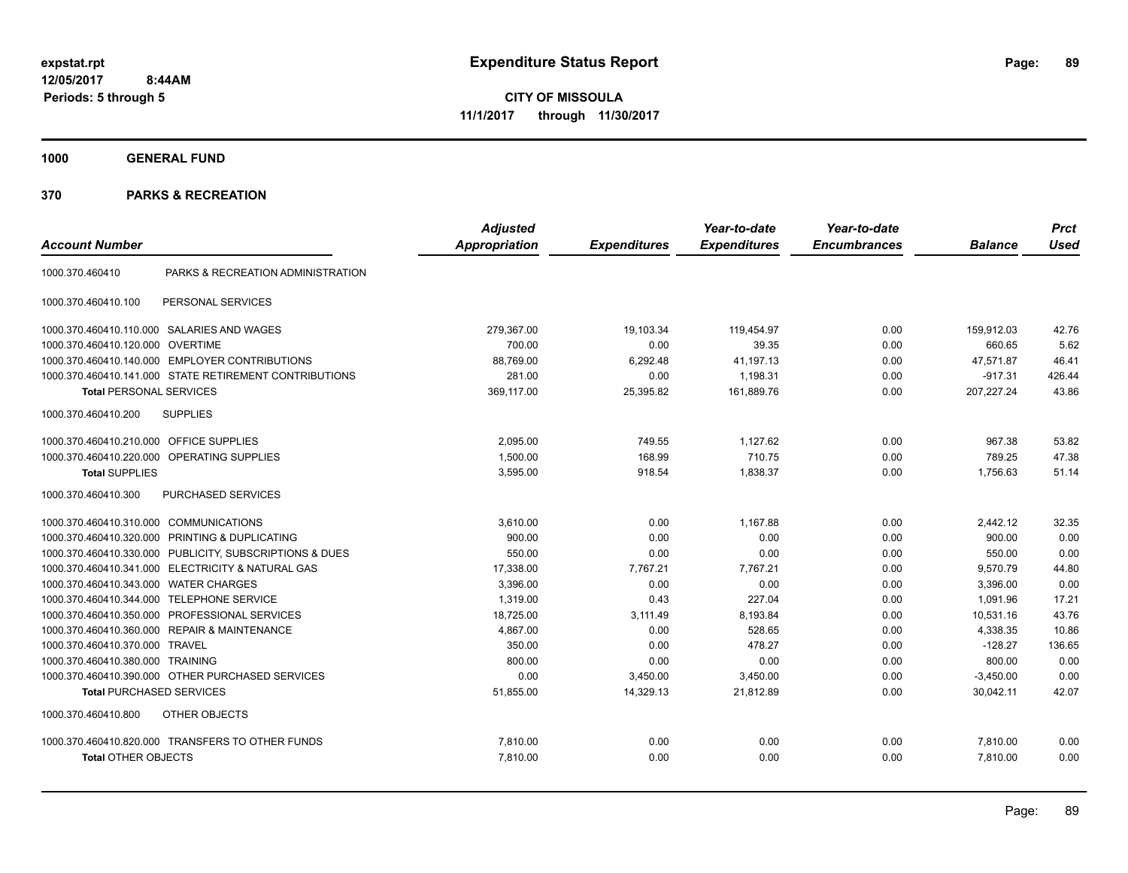**CITY OF MISSOULA 11/1/2017 through 11/30/2017**

**1000 GENERAL FUND**

| <b>Account Number</b>                  |                                                         | <b>Adjusted</b><br><b>Appropriation</b> | <b>Expenditures</b> | Year-to-date<br><b>Expenditures</b> | Year-to-date<br><b>Encumbrances</b> | <b>Balance</b> | <b>Prct</b><br><b>Used</b> |
|----------------------------------------|---------------------------------------------------------|-----------------------------------------|---------------------|-------------------------------------|-------------------------------------|----------------|----------------------------|
|                                        |                                                         |                                         |                     |                                     |                                     |                |                            |
| 1000.370.460410                        | PARKS & RECREATION ADMINISTRATION                       |                                         |                     |                                     |                                     |                |                            |
| 1000.370.460410.100                    | PERSONAL SERVICES                                       |                                         |                     |                                     |                                     |                |                            |
|                                        | 1000.370.460410.110.000 SALARIES AND WAGES              | 279,367.00                              | 19,103.34           | 119,454.97                          | 0.00                                | 159,912.03     | 42.76                      |
| 1000.370.460410.120.000                | <b>OVERTIME</b>                                         | 700.00                                  | 0.00                | 39.35                               | 0.00                                | 660.65         | 5.62                       |
| 1000.370.460410.140.000                | <b>EMPLOYER CONTRIBUTIONS</b>                           | 88,769.00                               | 6,292.48            | 41,197.13                           | 0.00                                | 47,571.87      | 46.41                      |
|                                        | 1000.370.460410.141.000 STATE RETIREMENT CONTRIBUTIONS  | 281.00                                  | 0.00                | 1,198.31                            | 0.00                                | $-917.31$      | 426.44                     |
| <b>Total PERSONAL SERVICES</b>         |                                                         | 369.117.00                              | 25,395.82           | 161.889.76                          | 0.00                                | 207,227.24     | 43.86                      |
| 1000.370.460410.200                    | <b>SUPPLIES</b>                                         |                                         |                     |                                     |                                     |                |                            |
| 1000.370.460410.210.000                | <b>OFFICE SUPPLIES</b>                                  | 2.095.00                                | 749.55              | 1,127.62                            | 0.00                                | 967.38         | 53.82                      |
| 1000.370.460410.220.000                | OPERATING SUPPLIES                                      | 1,500.00                                | 168.99              | 710.75                              | 0.00                                | 789.25         | 47.38                      |
| <b>Total SUPPLIES</b>                  |                                                         | 3,595.00                                | 918.54              | 1,838.37                            | 0.00                                | 1,756.63       | 51.14                      |
| 1000.370.460410.300                    | <b>PURCHASED SERVICES</b>                               |                                         |                     |                                     |                                     |                |                            |
| 1000.370.460410.310.000 COMMUNICATIONS |                                                         | 3,610.00                                | 0.00                | 1,167.88                            | 0.00                                | 2,442.12       | 32.35                      |
| 1000.370.460410.320.000                | PRINTING & DUPLICATING                                  | 900.00                                  | 0.00                | 0.00                                | 0.00                                | 900.00         | 0.00                       |
|                                        | 1000.370.460410.330.000 PUBLICITY, SUBSCRIPTIONS & DUES | 550.00                                  | 0.00                | 0.00                                | 0.00                                | 550.00         | 0.00                       |
| 1000.370.460410.341.000                | <b>ELECTRICITY &amp; NATURAL GAS</b>                    | 17,338.00                               | 7,767.21            | 7,767.21                            | 0.00                                | 9,570.79       | 44.80                      |
| 1000.370.460410.343.000                | <b>WATER CHARGES</b>                                    | 3,396.00                                | 0.00                | 0.00                                | 0.00                                | 3,396.00       | 0.00                       |
| 1000.370.460410.344.000                | <b>TELEPHONE SERVICE</b>                                | 1,319.00                                | 0.43                | 227.04                              | 0.00                                | 1,091.96       | 17.21                      |
| 1000.370.460410.350.000                | PROFESSIONAL SERVICES                                   | 18,725.00                               | 3,111.49            | 8,193.84                            | 0.00                                | 10,531.16      | 43.76                      |
| 1000.370.460410.360.000                | <b>REPAIR &amp; MAINTENANCE</b>                         | 4,867.00                                | 0.00                | 528.65                              | 0.00                                | 4,338.35       | 10.86                      |
| 1000.370.460410.370.000                | TRAVEL                                                  | 350.00                                  | 0.00                | 478.27                              | 0.00                                | $-128.27$      | 136.65                     |
| 1000.370.460410.380.000                | <b>TRAINING</b>                                         | 800.00                                  | 0.00                | 0.00                                | 0.00                                | 800.00         | 0.00                       |
|                                        | 1000.370.460410.390.000 OTHER PURCHASED SERVICES        | 0.00                                    | 3,450.00            | 3,450.00                            | 0.00                                | $-3,450.00$    | 0.00                       |
| <b>Total PURCHASED SERVICES</b>        |                                                         | 51,855.00                               | 14,329.13           | 21,812.89                           | 0.00                                | 30,042.11      | 42.07                      |
| 1000.370.460410.800                    | <b>OTHER OBJECTS</b>                                    |                                         |                     |                                     |                                     |                |                            |
|                                        | 1000.370.460410.820.000 TRANSFERS TO OTHER FUNDS        | 7,810.00                                | 0.00                | 0.00                                | 0.00                                | 7,810.00       | 0.00                       |
| <b>Total OTHER OBJECTS</b>             |                                                         | 7,810.00                                | 0.00                | 0.00                                | 0.00                                | 7,810.00       | 0.00                       |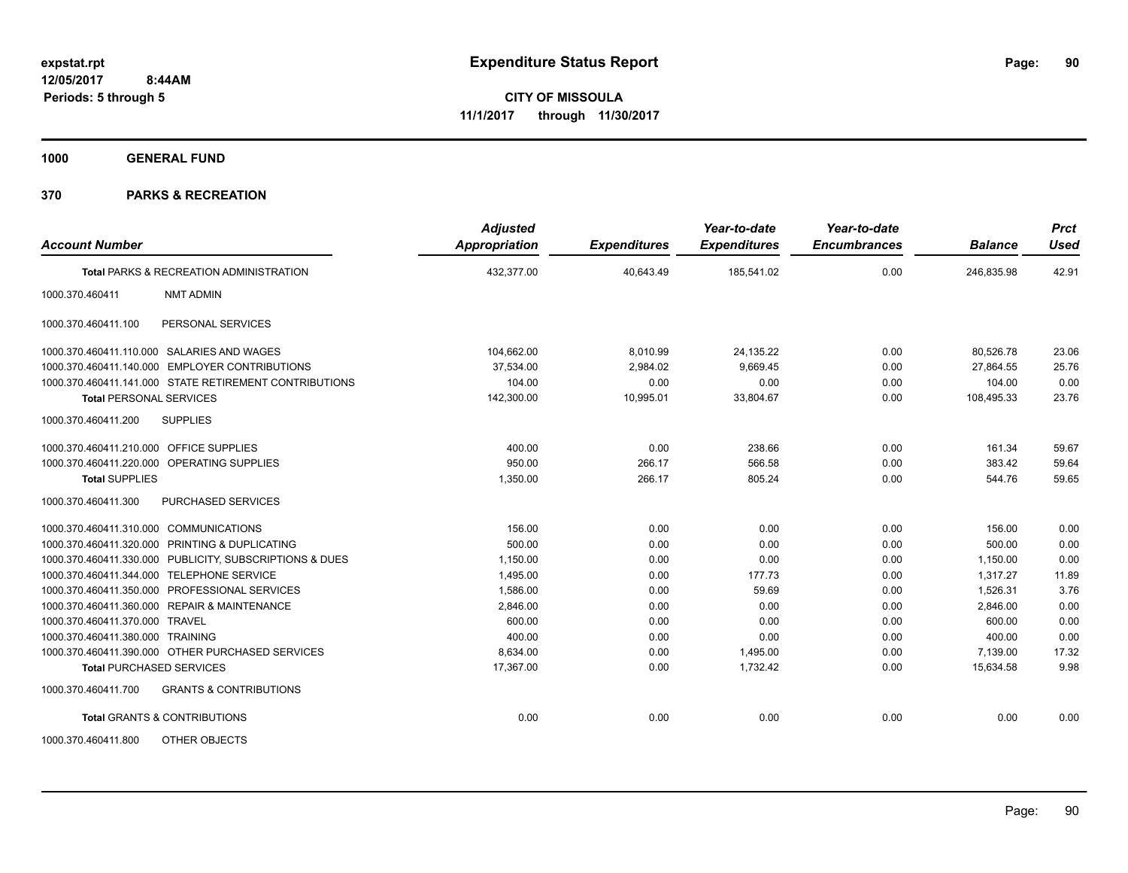**1000 GENERAL FUND**

| <b>Account Number</b>                                    | <b>Adjusted</b><br><b>Appropriation</b> | <b>Expenditures</b> | Year-to-date<br><b>Expenditures</b> | Year-to-date<br><b>Encumbrances</b> | <b>Balance</b> | <b>Prct</b><br><b>Used</b> |
|----------------------------------------------------------|-----------------------------------------|---------------------|-------------------------------------|-------------------------------------|----------------|----------------------------|
| Total PARKS & RECREATION ADMINISTRATION                  | 432,377.00                              | 40,643.49           | 185,541.02                          | 0.00                                | 246,835.98     | 42.91                      |
| 1000.370.460411<br><b>NMT ADMIN</b>                      |                                         |                     |                                     |                                     |                |                            |
| 1000.370.460411.100<br>PERSONAL SERVICES                 |                                         |                     |                                     |                                     |                |                            |
| 1000.370.460411.110.000 SALARIES AND WAGES               | 104,662.00                              | 8,010.99            | 24,135.22                           | 0.00                                | 80,526.78      | 23.06                      |
| <b>EMPLOYER CONTRIBUTIONS</b><br>1000.370.460411.140.000 | 37,534.00                               | 2,984.02            | 9.669.45                            | 0.00                                | 27,864.55      | 25.76                      |
| 1000.370.460411.141.000 STATE RETIREMENT CONTRIBUTIONS   | 104.00                                  | 0.00                | 0.00                                | 0.00                                | 104.00         | 0.00                       |
| <b>Total PERSONAL SERVICES</b>                           | 142,300.00                              | 10,995.01           | 33,804.67                           | 0.00                                | 108,495.33     | 23.76                      |
| 1000.370.460411.200<br><b>SUPPLIES</b>                   |                                         |                     |                                     |                                     |                |                            |
| 1000.370.460411.210.000 OFFICE SUPPLIES                  | 400.00                                  | 0.00                | 238.66                              | 0.00                                | 161.34         | 59.67                      |
| 1000.370.460411.220.000 OPERATING SUPPLIES               | 950.00                                  | 266.17              | 566.58                              | 0.00                                | 383.42         | 59.64                      |
| <b>Total SUPPLIES</b>                                    | 1,350.00                                | 266.17              | 805.24                              | 0.00                                | 544.76         | 59.65                      |
| 1000.370.460411.300<br>PURCHASED SERVICES                |                                         |                     |                                     |                                     |                |                            |
| 1000.370.460411.310.000 COMMUNICATIONS                   | 156.00                                  | 0.00                | 0.00                                | 0.00                                | 156.00         | 0.00                       |
| 1000.370.460411.320.000 PRINTING & DUPLICATING           | 500.00                                  | 0.00                | 0.00                                | 0.00                                | 500.00         | 0.00                       |
| 1000.370.460411.330.000 PUBLICITY, SUBSCRIPTIONS & DUES  | 1,150.00                                | 0.00                | 0.00                                | 0.00                                | 1,150.00       | 0.00                       |
| 1000.370.460411.344.000 TELEPHONE SERVICE                | 1.495.00                                | 0.00                | 177.73                              | 0.00                                | 1.317.27       | 11.89                      |
| 1000.370.460411.350.000 PROFESSIONAL SERVICES            | 1,586.00                                | 0.00                | 59.69                               | 0.00                                | 1,526.31       | 3.76                       |
| 1000.370.460411.360.000 REPAIR & MAINTENANCE             | 2,846.00                                | 0.00                | 0.00                                | 0.00                                | 2,846.00       | 0.00                       |
| <b>TRAVEL</b><br>1000.370.460411.370.000                 | 600.00                                  | 0.00                | 0.00                                | 0.00                                | 600.00         | 0.00                       |
| 1000.370.460411.380.000 TRAINING                         | 400.00                                  | 0.00                | 0.00                                | 0.00                                | 400.00         | 0.00                       |
| 1000.370.460411.390.000 OTHER PURCHASED SERVICES         | 8,634.00                                | 0.00                | 1,495.00                            | 0.00                                | 7,139.00       | 17.32                      |
| <b>Total PURCHASED SERVICES</b>                          | 17,367.00                               | 0.00                | 1,732.42                            | 0.00                                | 15,634.58      | 9.98                       |
| <b>GRANTS &amp; CONTRIBUTIONS</b><br>1000.370.460411.700 |                                         |                     |                                     |                                     |                |                            |
| <b>Total GRANTS &amp; CONTRIBUTIONS</b>                  | 0.00                                    | 0.00                | 0.00                                | 0.00                                | 0.00           | 0.00                       |
| 1000.370.460411.800<br>OTHER OBJECTS                     |                                         |                     |                                     |                                     |                |                            |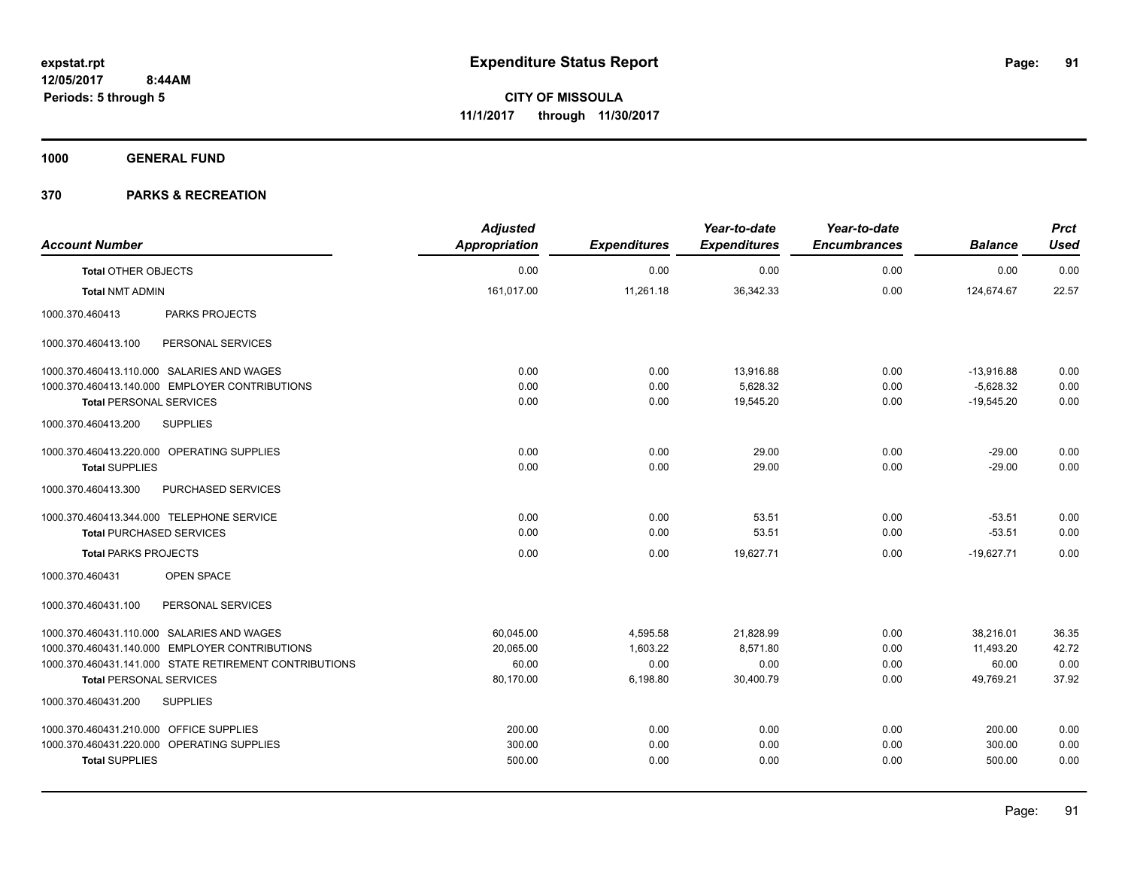**1000 GENERAL FUND**

| <b>Account Number</b>                                  | <b>Adjusted</b><br><b>Appropriation</b> | <b>Expenditures</b> | Year-to-date<br><b>Expenditures</b> | Year-to-date<br><b>Encumbrances</b> | <b>Balance</b> | <b>Prct</b><br><b>Used</b> |
|--------------------------------------------------------|-----------------------------------------|---------------------|-------------------------------------|-------------------------------------|----------------|----------------------------|
| <b>Total OTHER OBJECTS</b>                             | 0.00                                    | 0.00                | 0.00                                | 0.00                                | 0.00           | 0.00                       |
| <b>Total NMT ADMIN</b>                                 | 161,017.00                              | 11,261.18           | 36,342.33                           | 0.00                                | 124,674.67     | 22.57                      |
| 1000.370.460413<br><b>PARKS PROJECTS</b>               |                                         |                     |                                     |                                     |                |                            |
| PERSONAL SERVICES<br>1000.370.460413.100               |                                         |                     |                                     |                                     |                |                            |
| 1000.370.460413.110.000 SALARIES AND WAGES             | 0.00                                    | 0.00                | 13,916.88                           | 0.00                                | $-13,916.88$   | 0.00                       |
| 1000.370.460413.140.000 EMPLOYER CONTRIBUTIONS         | 0.00                                    | 0.00                | 5,628.32                            | 0.00                                | $-5,628.32$    | 0.00                       |
| <b>Total PERSONAL SERVICES</b>                         | 0.00                                    | 0.00                | 19,545.20                           | 0.00                                | $-19,545.20$   | 0.00                       |
| <b>SUPPLIES</b><br>1000.370.460413.200                 |                                         |                     |                                     |                                     |                |                            |
| 1000.370.460413.220.000 OPERATING SUPPLIES             | 0.00                                    | 0.00                | 29.00                               | 0.00                                | $-29.00$       | 0.00                       |
| <b>Total SUPPLIES</b>                                  | 0.00                                    | 0.00                | 29.00                               | 0.00                                | $-29.00$       | 0.00                       |
| 1000.370.460413.300<br>PURCHASED SERVICES              |                                         |                     |                                     |                                     |                |                            |
| 1000.370.460413.344.000 TELEPHONE SERVICE              | 0.00                                    | 0.00                | 53.51                               | 0.00                                | $-53.51$       | 0.00                       |
| <b>Total PURCHASED SERVICES</b>                        | 0.00                                    | 0.00                | 53.51                               | 0.00                                | $-53.51$       | 0.00                       |
| <b>Total PARKS PROJECTS</b>                            | 0.00                                    | 0.00                | 19,627.71                           | 0.00                                | $-19,627.71$   | 0.00                       |
| 1000.370.460431<br>OPEN SPACE                          |                                         |                     |                                     |                                     |                |                            |
| PERSONAL SERVICES<br>1000.370.460431.100               |                                         |                     |                                     |                                     |                |                            |
| 1000.370.460431.110.000 SALARIES AND WAGES             | 60,045.00                               | 4,595.58            | 21,828.99                           | 0.00                                | 38,216.01      | 36.35                      |
| 1000.370.460431.140.000 EMPLOYER CONTRIBUTIONS         | 20,065.00                               | 1,603.22            | 8,571.80                            | 0.00                                | 11,493.20      | 42.72                      |
| 1000.370.460431.141.000 STATE RETIREMENT CONTRIBUTIONS | 60.00                                   | 0.00                | 0.00                                | 0.00                                | 60.00          | 0.00                       |
| <b>Total PERSONAL SERVICES</b>                         | 80,170.00                               | 6,198.80            | 30,400.79                           | 0.00                                | 49.769.21      | 37.92                      |
| 1000.370.460431.200<br><b>SUPPLIES</b>                 |                                         |                     |                                     |                                     |                |                            |
| 1000.370.460431.210.000 OFFICE SUPPLIES                | 200.00                                  | 0.00                | 0.00                                | 0.00                                | 200.00         | 0.00                       |
| 1000.370.460431.220.000 OPERATING SUPPLIES             | 300.00                                  | 0.00                | 0.00                                | 0.00                                | 300.00         | 0.00                       |
| <b>Total SUPPLIES</b>                                  | 500.00                                  | 0.00                | 0.00                                | 0.00                                | 500.00         | 0.00                       |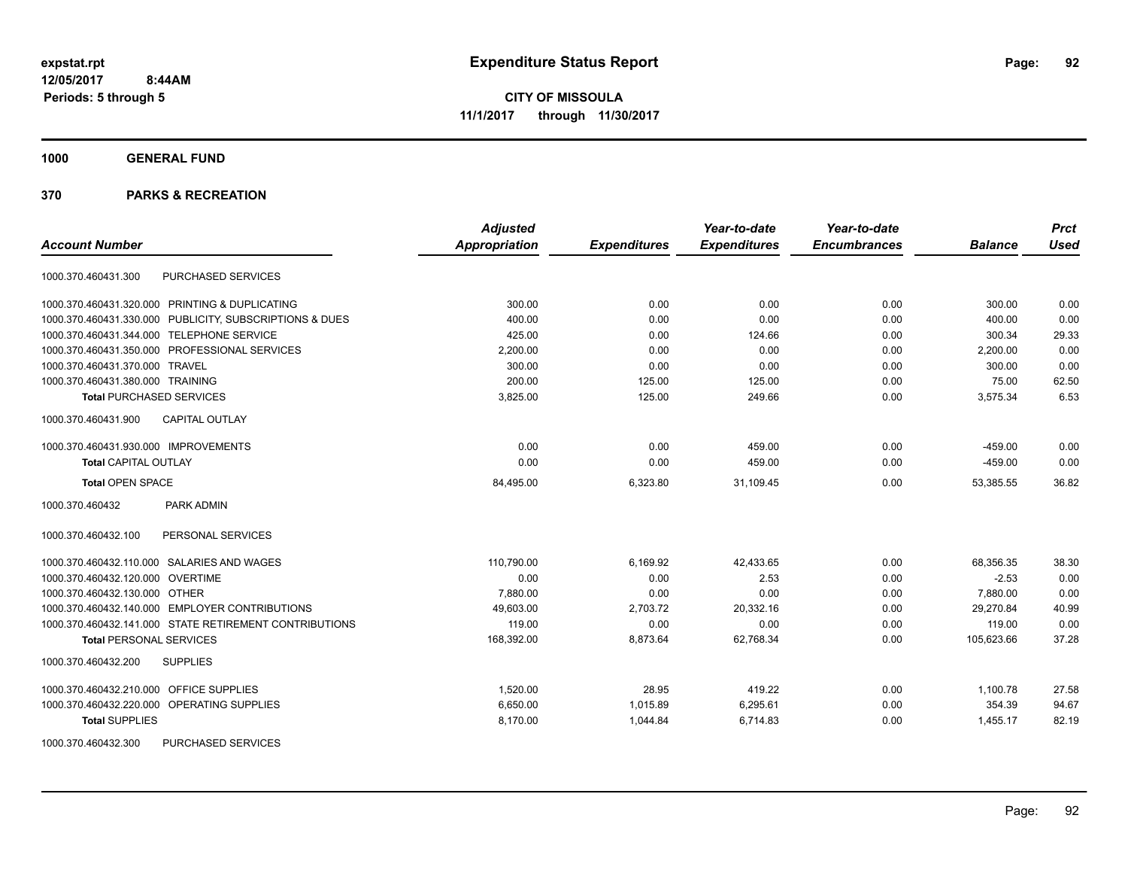**1000 GENERAL FUND**

| <b>Account Number</b>                                   | <b>Adjusted</b><br><b>Appropriation</b> | <b>Expenditures</b> | Year-to-date<br><b>Expenditures</b> | Year-to-date<br><b>Encumbrances</b> | <b>Balance</b> | <b>Prct</b><br><b>Used</b> |
|---------------------------------------------------------|-----------------------------------------|---------------------|-------------------------------------|-------------------------------------|----------------|----------------------------|
|                                                         |                                         |                     |                                     |                                     |                |                            |
| PURCHASED SERVICES<br>1000.370.460431.300               |                                         |                     |                                     |                                     |                |                            |
| 1000.370.460431.320.000 PRINTING & DUPLICATING          | 300.00                                  | 0.00                | 0.00                                | 0.00                                | 300.00         | 0.00                       |
| 1000.370.460431.330.000 PUBLICITY, SUBSCRIPTIONS & DUES | 400.00                                  | 0.00                | 0.00                                | 0.00                                | 400.00         | 0.00                       |
| 1000.370.460431.344.000 TELEPHONE SERVICE               | 425.00                                  | 0.00                | 124.66                              | 0.00                                | 300.34         | 29.33                      |
| 1000.370.460431.350.000 PROFESSIONAL SERVICES           | 2,200.00                                | 0.00                | 0.00                                | 0.00                                | 2,200.00       | 0.00                       |
| 1000.370.460431.370.000 TRAVEL                          | 300.00                                  | 0.00                | 0.00                                | 0.00                                | 300.00         | 0.00                       |
| 1000.370.460431.380.000 TRAINING                        | 200.00                                  | 125.00              | 125.00                              | 0.00                                | 75.00          | 62.50                      |
| <b>Total PURCHASED SERVICES</b>                         | 3,825.00                                | 125.00              | 249.66                              | 0.00                                | 3,575.34       | 6.53                       |
| <b>CAPITAL OUTLAY</b><br>1000.370.460431.900            |                                         |                     |                                     |                                     |                |                            |
| 1000.370.460431.930.000 IMPROVEMENTS                    | 0.00                                    | 0.00                | 459.00                              | 0.00                                | $-459.00$      | 0.00                       |
| <b>Total CAPITAL OUTLAY</b>                             | 0.00                                    | 0.00                | 459.00                              | 0.00                                | $-459.00$      | 0.00                       |
| <b>Total OPEN SPACE</b>                                 | 84,495.00                               | 6,323.80            | 31,109.45                           | 0.00                                | 53,385.55      | 36.82                      |
| 1000.370.460432<br>PARK ADMIN                           |                                         |                     |                                     |                                     |                |                            |
| PERSONAL SERVICES<br>1000.370.460432.100                |                                         |                     |                                     |                                     |                |                            |
| 1000.370.460432.110.000 SALARIES AND WAGES              | 110.790.00                              | 6.169.92            | 42.433.65                           | 0.00                                | 68.356.35      | 38.30                      |
| 1000.370.460432.120.000 OVERTIME                        | 0.00                                    | 0.00                | 2.53                                | 0.00                                | $-2.53$        | 0.00                       |
| 1000.370.460432.130.000 OTHER                           | 7.880.00                                | 0.00                | 0.00                                | 0.00                                | 7.880.00       | 0.00                       |
| 1000.370.460432.140.000 EMPLOYER CONTRIBUTIONS          | 49,603.00                               | 2,703.72            | 20,332.16                           | 0.00                                | 29,270.84      | 40.99                      |
| 1000.370.460432.141.000 STATE RETIREMENT CONTRIBUTIONS  | 119.00                                  | 0.00                | 0.00                                | 0.00                                | 119.00         | 0.00                       |
| <b>Total PERSONAL SERVICES</b>                          | 168,392.00                              | 8,873.64            | 62,768.34                           | 0.00                                | 105,623.66     | 37.28                      |
| 1000.370.460432.200<br><b>SUPPLIES</b>                  |                                         |                     |                                     |                                     |                |                            |
| 1000.370.460432.210.000 OFFICE SUPPLIES                 | 1.520.00                                | 28.95               | 419.22                              | 0.00                                | 1,100.78       | 27.58                      |
| 1000.370.460432.220.000 OPERATING SUPPLIES              | 6,650.00                                | 1,015.89            | 6,295.61                            | 0.00                                | 354.39         | 94.67                      |
| <b>Total SUPPLIES</b>                                   | 8,170.00                                | 1,044.84            | 6,714.83                            | 0.00                                | 1,455.17       | 82.19                      |
| <b>PURCHASED SERVICES</b><br>1000.370.460432.300        |                                         |                     |                                     |                                     |                |                            |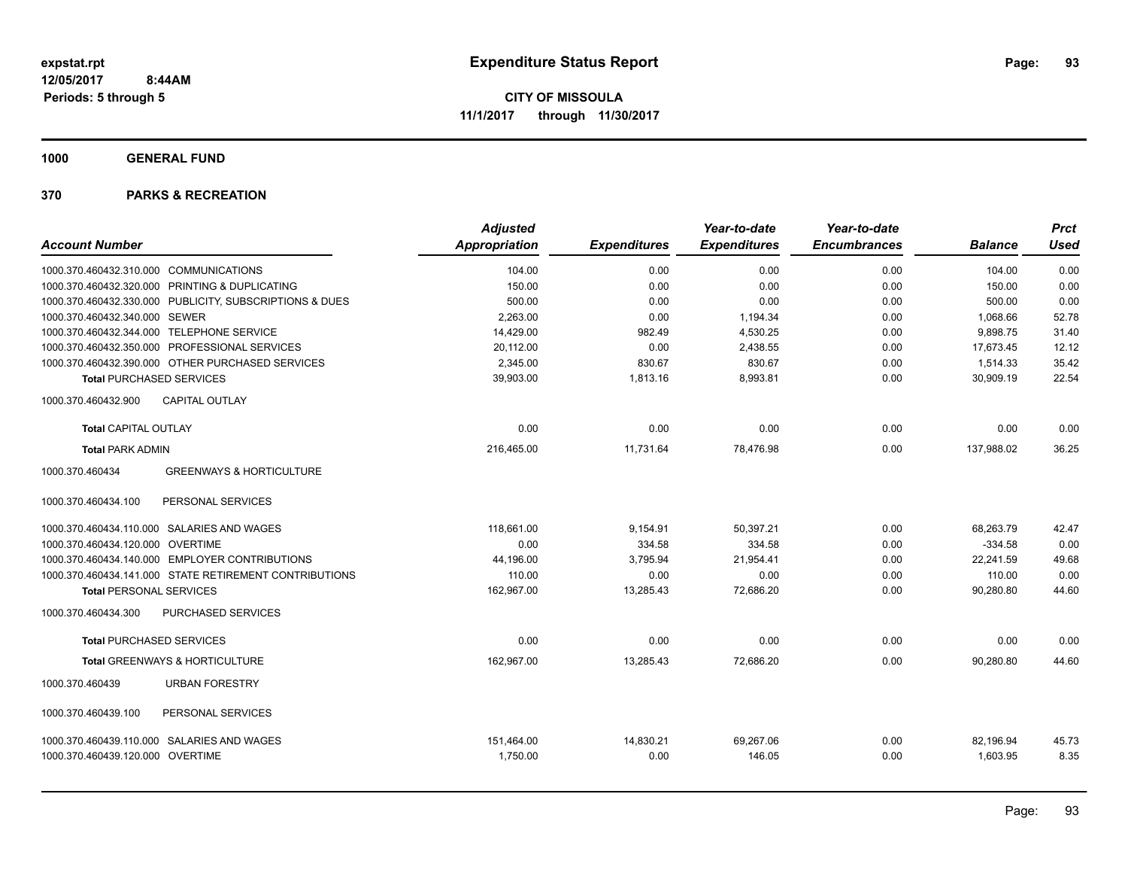**1000 GENERAL FUND**

| <b>Account Number</b>                                   | <b>Adjusted</b><br><b>Appropriation</b> | <b>Expenditures</b> | Year-to-date<br><b>Expenditures</b> | Year-to-date<br><b>Encumbrances</b> | <b>Balance</b> | <b>Prct</b><br><b>Used</b> |
|---------------------------------------------------------|-----------------------------------------|---------------------|-------------------------------------|-------------------------------------|----------------|----------------------------|
| 1000.370.460432.310.000 COMMUNICATIONS                  | 104.00                                  | 0.00                | 0.00                                | 0.00                                | 104.00         | 0.00                       |
| 1000.370.460432.320.000 PRINTING & DUPLICATING          | 150.00                                  | 0.00                | 0.00                                | 0.00                                | 150.00         | 0.00                       |
| 1000.370.460432.330.000 PUBLICITY, SUBSCRIPTIONS & DUES | 500.00                                  | 0.00                | 0.00                                | 0.00                                | 500.00         | 0.00                       |
| 1000.370.460432.340.000 SEWER                           | 2,263.00                                | 0.00                | 1,194.34                            | 0.00                                | 1,068.66       | 52.78                      |
| 1000.370.460432.344.000 TELEPHONE SERVICE               | 14,429.00                               | 982.49              | 4,530.25                            | 0.00                                | 9,898.75       | 31.40                      |
| 1000.370.460432.350.000 PROFESSIONAL SERVICES           | 20,112.00                               | 0.00                | 2,438.55                            | 0.00                                | 17,673.45      | 12.12                      |
| 1000.370.460432.390.000 OTHER PURCHASED SERVICES        | 2,345.00                                | 830.67              | 830.67                              | 0.00                                | 1,514.33       | 35.42                      |
| <b>Total PURCHASED SERVICES</b>                         | 39,903.00                               | 1,813.16            | 8,993.81                            | 0.00                                | 30,909.19      | 22.54                      |
| 1000.370.460432.900<br><b>CAPITAL OUTLAY</b>            |                                         |                     |                                     |                                     |                |                            |
| <b>Total CAPITAL OUTLAY</b>                             | 0.00                                    | 0.00                | 0.00                                | 0.00                                | 0.00           | 0.00                       |
| <b>Total PARK ADMIN</b>                                 | 216,465.00                              | 11,731.64           | 78,476.98                           | 0.00                                | 137,988.02     | 36.25                      |
| <b>GREENWAYS &amp; HORTICULTURE</b><br>1000.370.460434  |                                         |                     |                                     |                                     |                |                            |
| PERSONAL SERVICES<br>1000.370.460434.100                |                                         |                     |                                     |                                     |                |                            |
| 1000.370.460434.110.000 SALARIES AND WAGES              | 118.661.00                              | 9,154.91            | 50,397.21                           | 0.00                                | 68,263.79      | 42.47                      |
| 1000.370.460434.120.000 OVERTIME                        | 0.00                                    | 334.58              | 334.58                              | 0.00                                | $-334.58$      | 0.00                       |
| 1000.370.460434.140.000 EMPLOYER CONTRIBUTIONS          | 44.196.00                               | 3,795.94            | 21,954.41                           | 0.00                                | 22,241.59      | 49.68                      |
| 1000.370.460434.141.000 STATE RETIREMENT CONTRIBUTIONS  | 110.00                                  | 0.00                | 0.00                                | 0.00                                | 110.00         | 0.00                       |
| <b>Total PERSONAL SERVICES</b>                          | 162,967.00                              | 13,285.43           | 72,686.20                           | 0.00                                | 90,280.80      | 44.60                      |
| PURCHASED SERVICES<br>1000.370.460434.300               |                                         |                     |                                     |                                     |                |                            |
| <b>Total PURCHASED SERVICES</b>                         | 0.00                                    | 0.00                | 0.00                                | 0.00                                | 0.00           | 0.00                       |
| Total GREENWAYS & HORTICULTURE                          | 162,967.00                              | 13,285.43           | 72,686.20                           | 0.00                                | 90,280.80      | 44.60                      |
| 1000.370.460439<br><b>URBAN FORESTRY</b>                |                                         |                     |                                     |                                     |                |                            |
| 1000.370.460439.100<br>PERSONAL SERVICES                |                                         |                     |                                     |                                     |                |                            |
| 1000.370.460439.110.000 SALARIES AND WAGES              | 151,464.00                              | 14,830.21           | 69,267.06                           | 0.00                                | 82,196.94      | 45.73                      |
| 1000.370.460439.120.000 OVERTIME                        | 1,750.00                                | 0.00                | 146.05                              | 0.00                                | 1,603.95       | 8.35                       |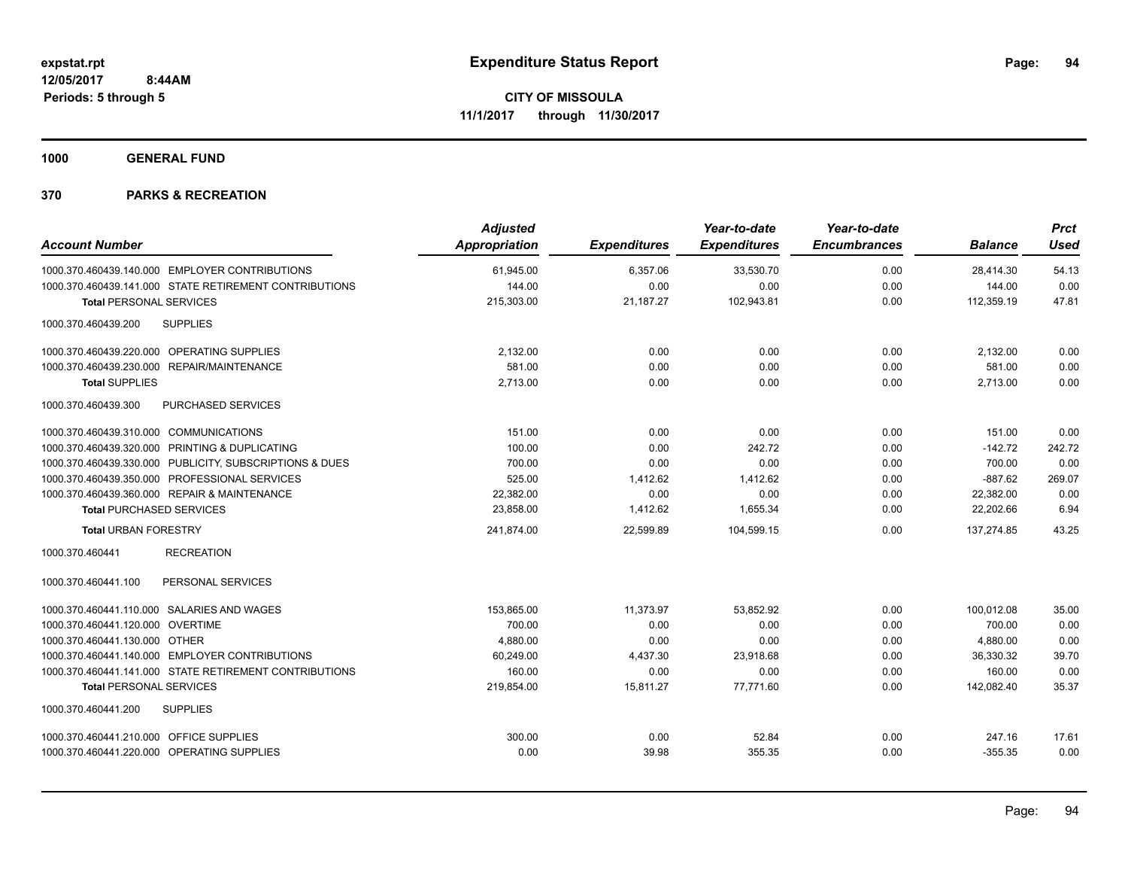**1000 GENERAL FUND**

| <b>Account Number</b>                                   | <b>Adjusted</b><br><b>Appropriation</b> | <b>Expenditures</b> | Year-to-date<br><b>Expenditures</b> | Year-to-date<br><b>Encumbrances</b> | <b>Balance</b> | <b>Prct</b><br><b>Used</b> |
|---------------------------------------------------------|-----------------------------------------|---------------------|-------------------------------------|-------------------------------------|----------------|----------------------------|
|                                                         |                                         |                     |                                     |                                     |                |                            |
| 1000.370.460439.140.000 EMPLOYER CONTRIBUTIONS          | 61,945.00                               | 6,357.06            | 33,530.70                           | 0.00                                | 28,414.30      | 54.13                      |
| 1000.370.460439.141.000 STATE RETIREMENT CONTRIBUTIONS  | 144.00                                  | 0.00                | 0.00                                | 0.00                                | 144.00         | 0.00                       |
| <b>Total PERSONAL SERVICES</b>                          | 215,303.00                              | 21,187.27           | 102,943.81                          | 0.00                                | 112,359.19     | 47.81                      |
| <b>SUPPLIES</b><br>1000.370.460439.200                  |                                         |                     |                                     |                                     |                |                            |
| 1000.370.460439.220.000 OPERATING SUPPLIES              | 2,132.00                                | 0.00                | 0.00                                | 0.00                                | 2,132.00       | 0.00                       |
| 1000.370.460439.230.000<br>REPAIR/MAINTENANCE           | 581.00                                  | 0.00                | 0.00                                | 0.00                                | 581.00         | 0.00                       |
| <b>Total SUPPLIES</b>                                   | 2,713.00                                | 0.00                | 0.00                                | 0.00                                | 2,713.00       | 0.00                       |
| 1000.370.460439.300<br>PURCHASED SERVICES               |                                         |                     |                                     |                                     |                |                            |
| 1000.370.460439.310.000 COMMUNICATIONS                  | 151.00                                  | 0.00                | 0.00                                | 0.00                                | 151.00         | 0.00                       |
| 1000.370.460439.320.000 PRINTING & DUPLICATING          | 100.00                                  | 0.00                | 242.72                              | 0.00                                | $-142.72$      | 242.72                     |
| 1000.370.460439.330.000 PUBLICITY, SUBSCRIPTIONS & DUES | 700.00                                  | 0.00                | 0.00                                | 0.00                                | 700.00         | 0.00                       |
| 1000.370.460439.350.000 PROFESSIONAL SERVICES           | 525.00                                  | 1,412.62            | 1,412.62                            | 0.00                                | $-887.62$      | 269.07                     |
| 1000.370.460439.360.000 REPAIR & MAINTENANCE            | 22,382.00                               | 0.00                | 0.00                                | 0.00                                | 22,382.00      | 0.00                       |
| <b>Total PURCHASED SERVICES</b>                         | 23,858.00                               | 1,412.62            | 1,655.34                            | 0.00                                | 22,202.66      | 6.94                       |
| <b>Total URBAN FORESTRY</b>                             | 241,874.00                              | 22,599.89           | 104,599.15                          | 0.00                                | 137,274.85     | 43.25                      |
| 1000.370.460441<br><b>RECREATION</b>                    |                                         |                     |                                     |                                     |                |                            |
| PERSONAL SERVICES<br>1000.370.460441.100                |                                         |                     |                                     |                                     |                |                            |
| 1000.370.460441.110.000 SALARIES AND WAGES              | 153,865.00                              | 11,373.97           | 53,852.92                           | 0.00                                | 100,012.08     | 35.00                      |
| 1000.370.460441.120.000 OVERTIME                        | 700.00                                  | 0.00                | 0.00                                | 0.00                                | 700.00         | 0.00                       |
| 1000.370.460441.130.000 OTHER                           | 4,880.00                                | 0.00                | 0.00                                | 0.00                                | 4,880.00       | 0.00                       |
| 1000.370.460441.140.000 EMPLOYER CONTRIBUTIONS          | 60,249.00                               | 4,437.30            | 23,918.68                           | 0.00                                | 36,330.32      | 39.70                      |
| 1000.370.460441.141.000 STATE RETIREMENT CONTRIBUTIONS  | 160.00                                  | 0.00                | 0.00                                | 0.00                                | 160.00         | 0.00                       |
| <b>Total PERSONAL SERVICES</b>                          | 219,854.00                              | 15,811.27           | 77,771.60                           | 0.00                                | 142,082.40     | 35.37                      |
| 1000.370.460441.200<br><b>SUPPLIES</b>                  |                                         |                     |                                     |                                     |                |                            |
| 1000.370.460441.210.000 OFFICE SUPPLIES                 | 300.00                                  | 0.00                | 52.84                               | 0.00                                | 247.16         | 17.61                      |
| 1000.370.460441.220.000 OPERATING SUPPLIES              | 0.00                                    | 39.98               | 355.35                              | 0.00                                | $-355.35$      | 0.00                       |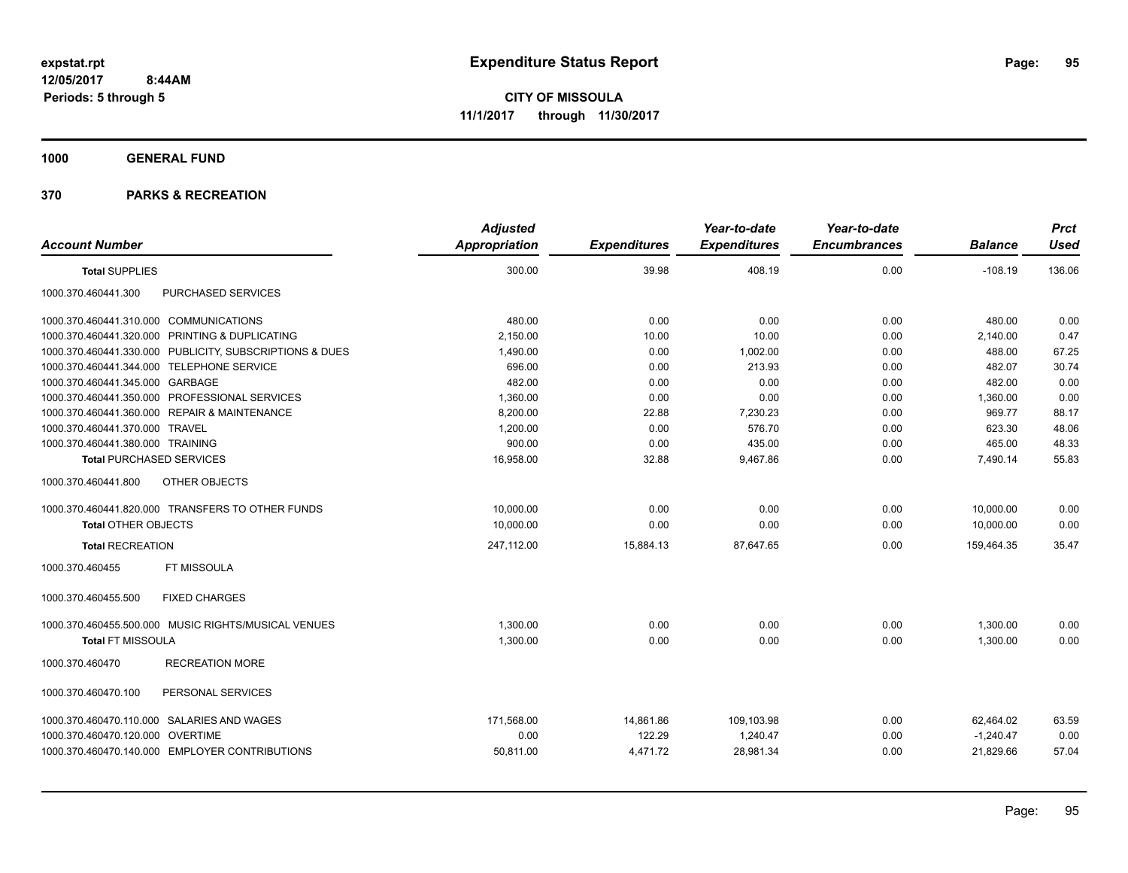**1000 GENERAL FUND**

|                                                         | <b>Adjusted</b> |                     | Year-to-date        | Year-to-date        |                | <b>Prct</b> |
|---------------------------------------------------------|-----------------|---------------------|---------------------|---------------------|----------------|-------------|
| <b>Account Number</b>                                   | Appropriation   | <b>Expenditures</b> | <b>Expenditures</b> | <b>Encumbrances</b> | <b>Balance</b> | <b>Used</b> |
| <b>Total SUPPLIES</b>                                   | 300.00          | 39.98               | 408.19              | 0.00                | $-108.19$      | 136.06      |
| PURCHASED SERVICES<br>1000.370.460441.300               |                 |                     |                     |                     |                |             |
| 1000.370.460441.310.000 COMMUNICATIONS                  | 480.00          | 0.00                | 0.00                | 0.00                | 480.00         | 0.00        |
| 1000.370.460441.320.000 PRINTING & DUPLICATING          | 2,150.00        | 10.00               | 10.00               | 0.00                | 2,140.00       | 0.47        |
| 1000.370.460441.330.000 PUBLICITY, SUBSCRIPTIONS & DUES | 1,490.00        | 0.00                | 1,002.00            | 0.00                | 488.00         | 67.25       |
| 1000.370.460441.344.000 TELEPHONE SERVICE               | 696.00          | 0.00                | 213.93              | 0.00                | 482.07         | 30.74       |
| 1000.370.460441.345.000 GARBAGE                         | 482.00          | 0.00                | 0.00                | 0.00                | 482.00         | 0.00        |
| 1000.370.460441.350.000 PROFESSIONAL SERVICES           | 1,360.00        | 0.00                | 0.00                | 0.00                | 1,360.00       | 0.00        |
| 1000.370.460441.360.000 REPAIR & MAINTENANCE            | 8,200.00        | 22.88               | 7,230.23            | 0.00                | 969.77         | 88.17       |
| 1000.370.460441.370.000 TRAVEL                          | 1,200.00        | 0.00                | 576.70              | 0.00                | 623.30         | 48.06       |
| 1000.370.460441.380.000 TRAINING                        | 900.00          | 0.00                | 435.00              | 0.00                | 465.00         | 48.33       |
| <b>Total PURCHASED SERVICES</b>                         | 16,958.00       | 32.88               | 9,467.86            | 0.00                | 7,490.14       | 55.83       |
| OTHER OBJECTS<br>1000.370.460441.800                    |                 |                     |                     |                     |                |             |
| 1000.370.460441.820.000 TRANSFERS TO OTHER FUNDS        | 10.000.00       | 0.00                | 0.00                | 0.00                | 10.000.00      | 0.00        |
| <b>Total OTHER OBJECTS</b>                              | 10,000.00       | 0.00                | 0.00                | 0.00                | 10,000.00      | 0.00        |
| <b>Total RECREATION</b>                                 | 247,112.00      | 15,884.13           | 87.647.65           | 0.00                | 159.464.35     | 35.47       |
| FT MISSOULA<br>1000.370.460455                          |                 |                     |                     |                     |                |             |
| 1000.370.460455.500<br><b>FIXED CHARGES</b>             |                 |                     |                     |                     |                |             |
| 1000.370.460455.500.000 MUSIC RIGHTS/MUSICAL VENUES     | 1,300.00        | 0.00                | 0.00                | 0.00                | 1,300.00       | 0.00        |
| <b>Total FT MISSOULA</b>                                | 1,300.00        | 0.00                | 0.00                | 0.00                | 1,300.00       | 0.00        |
| <b>RECREATION MORE</b><br>1000.370.460470               |                 |                     |                     |                     |                |             |
| 1000.370.460470.100<br>PERSONAL SERVICES                |                 |                     |                     |                     |                |             |
| 1000.370.460470.110.000 SALARIES AND WAGES              | 171,568.00      | 14,861.86           | 109,103.98          | 0.00                | 62,464.02      | 63.59       |
| 1000.370.460470.120.000 OVERTIME                        | 0.00            | 122.29              | 1,240.47            | 0.00                | $-1,240.47$    | 0.00        |
| 1000.370.460470.140.000 EMPLOYER CONTRIBUTIONS          | 50,811.00       | 4,471.72            | 28,981.34           | 0.00                | 21,829.66      | 57.04       |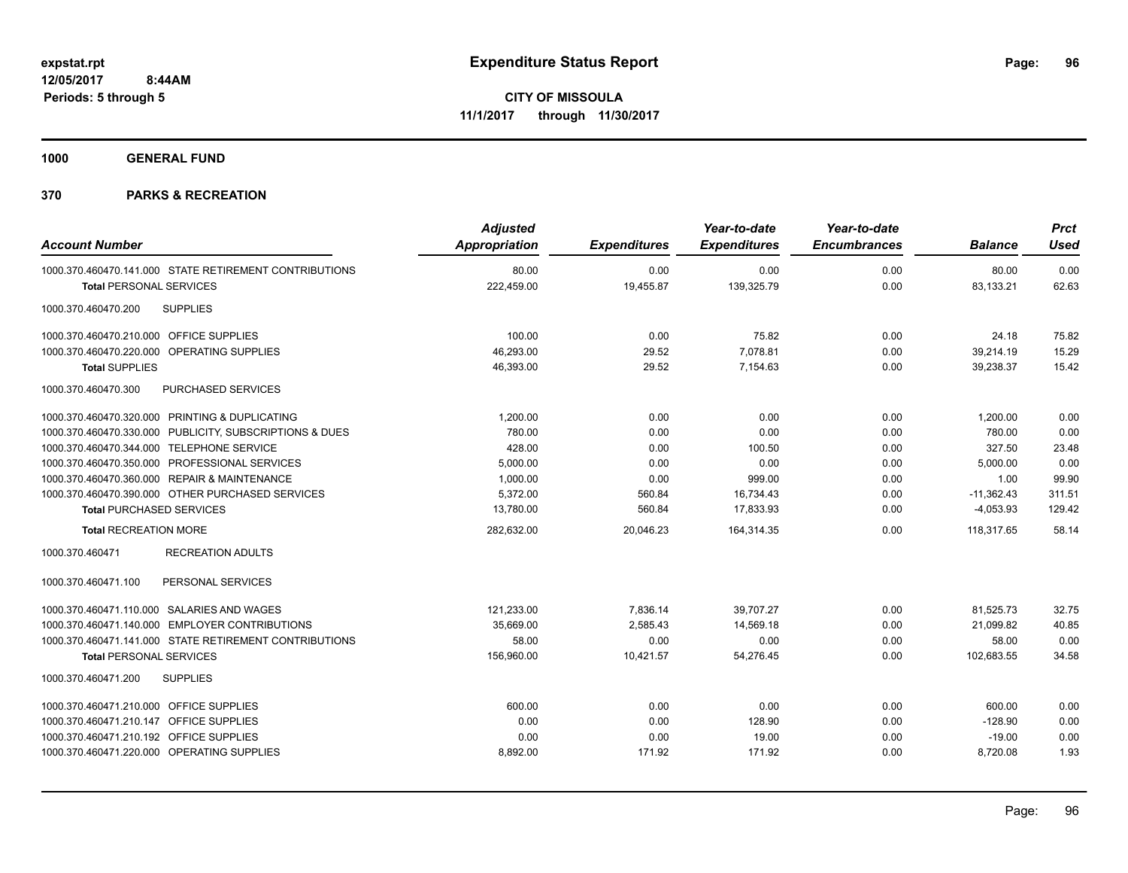**1000 GENERAL FUND**

|                                                         | <b>Adjusted</b>      |                     | Year-to-date        | Year-to-date        |                | <b>Prct</b> |
|---------------------------------------------------------|----------------------|---------------------|---------------------|---------------------|----------------|-------------|
| <b>Account Number</b>                                   | <b>Appropriation</b> | <b>Expenditures</b> | <b>Expenditures</b> | <b>Encumbrances</b> | <b>Balance</b> | <b>Used</b> |
| 1000.370.460470.141.000 STATE RETIREMENT CONTRIBUTIONS  | 80.00                | 0.00                | 0.00                | 0.00                | 80.00          | 0.00        |
| <b>Total PERSONAL SERVICES</b>                          | 222,459.00           | 19,455.87           | 139,325.79          | 0.00                | 83,133.21      | 62.63       |
| <b>SUPPLIES</b><br>1000.370.460470.200                  |                      |                     |                     |                     |                |             |
| 1000.370.460470.210.000 OFFICE SUPPLIES                 | 100.00               | 0.00                | 75.82               | 0.00                | 24.18          | 75.82       |
| 1000.370.460470.220.000 OPERATING SUPPLIES              | 46,293.00            | 29.52               | 7,078.81            | 0.00                | 39,214.19      | 15.29       |
| <b>Total SUPPLIES</b>                                   | 46,393.00            | 29.52               | 7,154.63            | 0.00                | 39,238.37      | 15.42       |
| 1000.370.460470.300<br><b>PURCHASED SERVICES</b>        |                      |                     |                     |                     |                |             |
| 1000.370.460470.320.000 PRINTING & DUPLICATING          | 1,200.00             | 0.00                | 0.00                | 0.00                | 1,200.00       | 0.00        |
| 1000.370.460470.330.000 PUBLICITY, SUBSCRIPTIONS & DUES | 780.00               | 0.00                | 0.00                | 0.00                | 780.00         | 0.00        |
| 1000.370.460470.344.000 TELEPHONE SERVICE               | 428.00               | 0.00                | 100.50              | 0.00                | 327.50         | 23.48       |
| 1000.370.460470.350.000 PROFESSIONAL SERVICES           | 5,000.00             | 0.00                | 0.00                | 0.00                | 5,000.00       | 0.00        |
| 1000.370.460470.360.000 REPAIR & MAINTENANCE            | 1,000.00             | 0.00                | 999.00              | 0.00                | 1.00           | 99.90       |
| 1000.370.460470.390.000 OTHER PURCHASED SERVICES        | 5.372.00             | 560.84              | 16,734.43           | 0.00                | $-11,362.43$   | 311.51      |
| <b>Total PURCHASED SERVICES</b>                         | 13,780.00            | 560.84              | 17,833.93           | 0.00                | $-4,053.93$    | 129.42      |
| <b>Total RECREATION MORE</b>                            | 282,632.00           | 20,046.23           | 164,314.35          | 0.00                | 118.317.65     | 58.14       |
| 1000.370.460471<br><b>RECREATION ADULTS</b>             |                      |                     |                     |                     |                |             |
| 1000.370.460471.100<br>PERSONAL SERVICES                |                      |                     |                     |                     |                |             |
| 1000.370.460471.110.000 SALARIES AND WAGES              | 121,233.00           | 7,836.14            | 39,707.27           | 0.00                | 81,525.73      | 32.75       |
| 1000.370.460471.140.000 EMPLOYER CONTRIBUTIONS          | 35.669.00            | 2,585.43            | 14.569.18           | 0.00                | 21.099.82      | 40.85       |
| 1000.370.460471.141.000 STATE RETIREMENT CONTRIBUTIONS  | 58.00                | 0.00                | 0.00                | 0.00                | 58.00          | 0.00        |
| <b>Total PERSONAL SERVICES</b>                          | 156,960.00           | 10,421.57           | 54,276.45           | 0.00                | 102,683.55     | 34.58       |
| 1000.370.460471.200<br><b>SUPPLIES</b>                  |                      |                     |                     |                     |                |             |
| 1000.370.460471.210.000 OFFICE SUPPLIES                 | 600.00               | 0.00                | 0.00                | 0.00                | 600.00         | 0.00        |
| 1000.370.460471.210.147 OFFICE SUPPLIES                 | 0.00                 | 0.00                | 128.90              | 0.00                | $-128.90$      | 0.00        |
| 1000.370.460471.210.192 OFFICE SUPPLIES                 | 0.00                 | 0.00                | 19.00               | 0.00                | $-19.00$       | 0.00        |
| 1000.370.460471.220.000 OPERATING SUPPLIES              | 8,892.00             | 171.92              | 171.92              | 0.00                | 8,720.08       | 1.93        |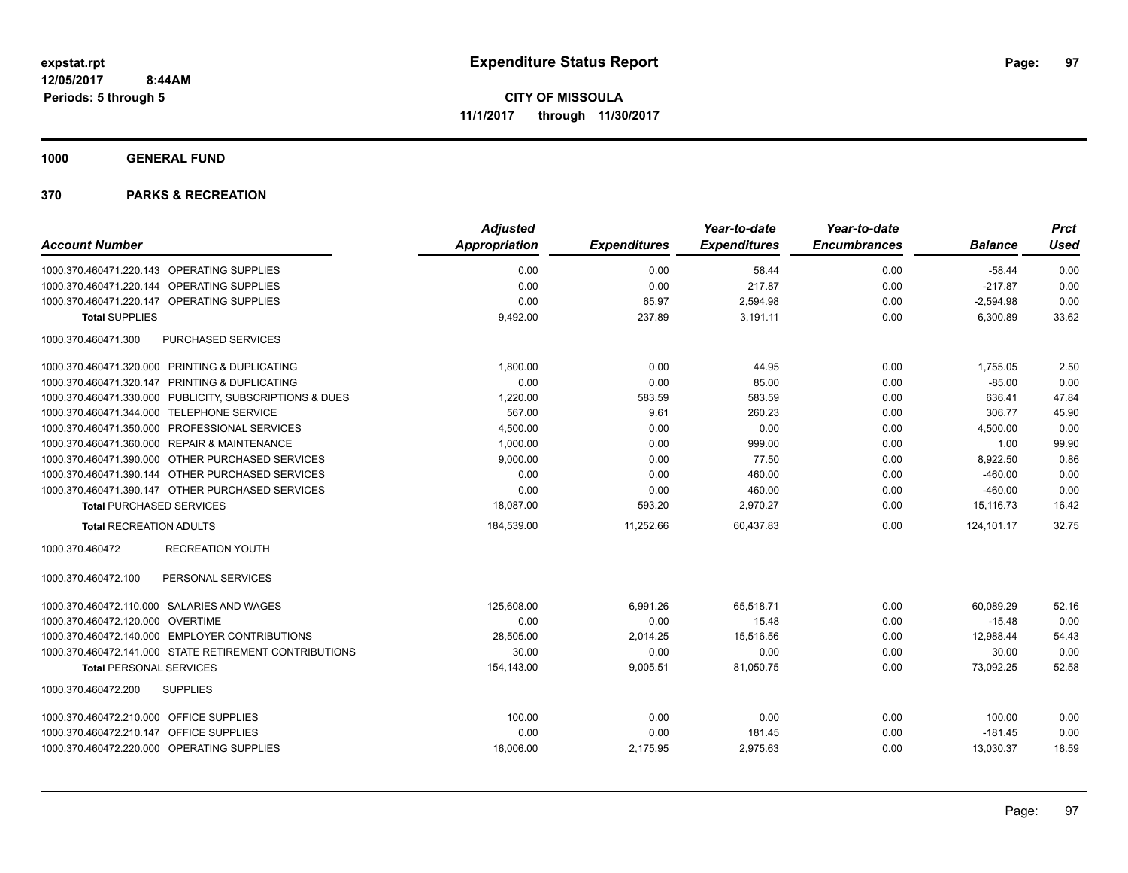**1000 GENERAL FUND**

|                                                         | <b>Adjusted</b> |                     | Year-to-date        | Year-to-date        |                | <b>Prct</b> |
|---------------------------------------------------------|-----------------|---------------------|---------------------|---------------------|----------------|-------------|
| <b>Account Number</b>                                   | Appropriation   | <b>Expenditures</b> | <b>Expenditures</b> | <b>Encumbrances</b> | <b>Balance</b> | <b>Used</b> |
| 1000.370.460471.220.143 OPERATING SUPPLIES              | 0.00            | 0.00                | 58.44               | 0.00                | $-58.44$       | 0.00        |
| 1000.370.460471.220.144 OPERATING SUPPLIES              | 0.00            | 0.00                | 217.87              | 0.00                | $-217.87$      | 0.00        |
| 1000.370.460471.220.147 OPERATING SUPPLIES              | 0.00            | 65.97               | 2,594.98            | 0.00                | $-2,594.98$    | 0.00        |
| <b>Total SUPPLIES</b>                                   | 9,492.00        | 237.89              | 3,191.11            | 0.00                | 6,300.89       | 33.62       |
| 1000.370.460471.300<br>PURCHASED SERVICES               |                 |                     |                     |                     |                |             |
| 1000.370.460471.320.000 PRINTING & DUPLICATING          | 1,800.00        | 0.00                | 44.95               | 0.00                | 1,755.05       | 2.50        |
| 1000.370.460471.320.147 PRINTING & DUPLICATING          | 0.00            | 0.00                | 85.00               | 0.00                | $-85.00$       | 0.00        |
| 1000.370.460471.330.000 PUBLICITY, SUBSCRIPTIONS & DUES | 1,220.00        | 583.59              | 583.59              | 0.00                | 636.41         | 47.84       |
| 1000.370.460471.344.000 TELEPHONE SERVICE               | 567.00          | 9.61                | 260.23              | 0.00                | 306.77         | 45.90       |
| 1000.370.460471.350.000 PROFESSIONAL SERVICES           | 4,500.00        | 0.00                | 0.00                | 0.00                | 4,500.00       | 0.00        |
| 1000.370.460471.360.000 REPAIR & MAINTENANCE            | 1,000.00        | 0.00                | 999.00              | 0.00                | 1.00           | 99.90       |
| 1000.370.460471.390.000 OTHER PURCHASED SERVICES        | 9,000.00        | 0.00                | 77.50               | 0.00                | 8,922.50       | 0.86        |
| 1000.370.460471.390.144 OTHER PURCHASED SERVICES        | 0.00            | 0.00                | 460.00              | 0.00                | $-460.00$      | 0.00        |
| 1000.370.460471.390.147 OTHER PURCHASED SERVICES        | 0.00            | 0.00                | 460.00              | 0.00                | $-460.00$      | 0.00        |
| <b>Total PURCHASED SERVICES</b>                         | 18,087.00       | 593.20              | 2,970.27            | 0.00                | 15,116.73      | 16.42       |
| <b>Total RECREATION ADULTS</b>                          | 184,539.00      | 11,252.66           | 60,437.83           | 0.00                | 124,101.17     | 32.75       |
| 1000.370.460472<br><b>RECREATION YOUTH</b>              |                 |                     |                     |                     |                |             |
| 1000.370.460472.100<br>PERSONAL SERVICES                |                 |                     |                     |                     |                |             |
| 1000.370.460472.110.000 SALARIES AND WAGES              | 125,608.00      | 6,991.26            | 65,518.71           | 0.00                | 60,089.29      | 52.16       |
| 1000.370.460472.120.000 OVERTIME                        | 0.00            | 0.00                | 15.48               | 0.00                | $-15.48$       | 0.00        |
| 1000.370.460472.140.000 EMPLOYER CONTRIBUTIONS          | 28,505.00       | 2,014.25            | 15,516.56           | 0.00                | 12,988.44      | 54.43       |
| 1000.370.460472.141.000 STATE RETIREMENT CONTRIBUTIONS  | 30.00           | 0.00                | 0.00                | 0.00                | 30.00          | 0.00        |
| <b>Total PERSONAL SERVICES</b>                          | 154,143.00      | 9,005.51            | 81,050.75           | 0.00                | 73,092.25      | 52.58       |
| <b>SUPPLIES</b><br>1000.370.460472.200                  |                 |                     |                     |                     |                |             |
| 1000.370.460472.210.000 OFFICE SUPPLIES                 | 100.00          | 0.00                | 0.00                | 0.00                | 100.00         | 0.00        |
| 1000.370.460472.210.147 OFFICE SUPPLIES                 | 0.00            | 0.00                | 181.45              | 0.00                | $-181.45$      | 0.00        |
| 1000.370.460472.220.000 OPERATING SUPPLIES              | 16,006.00       | 2,175.95            | 2,975.63            | 0.00                | 13,030.37      | 18.59       |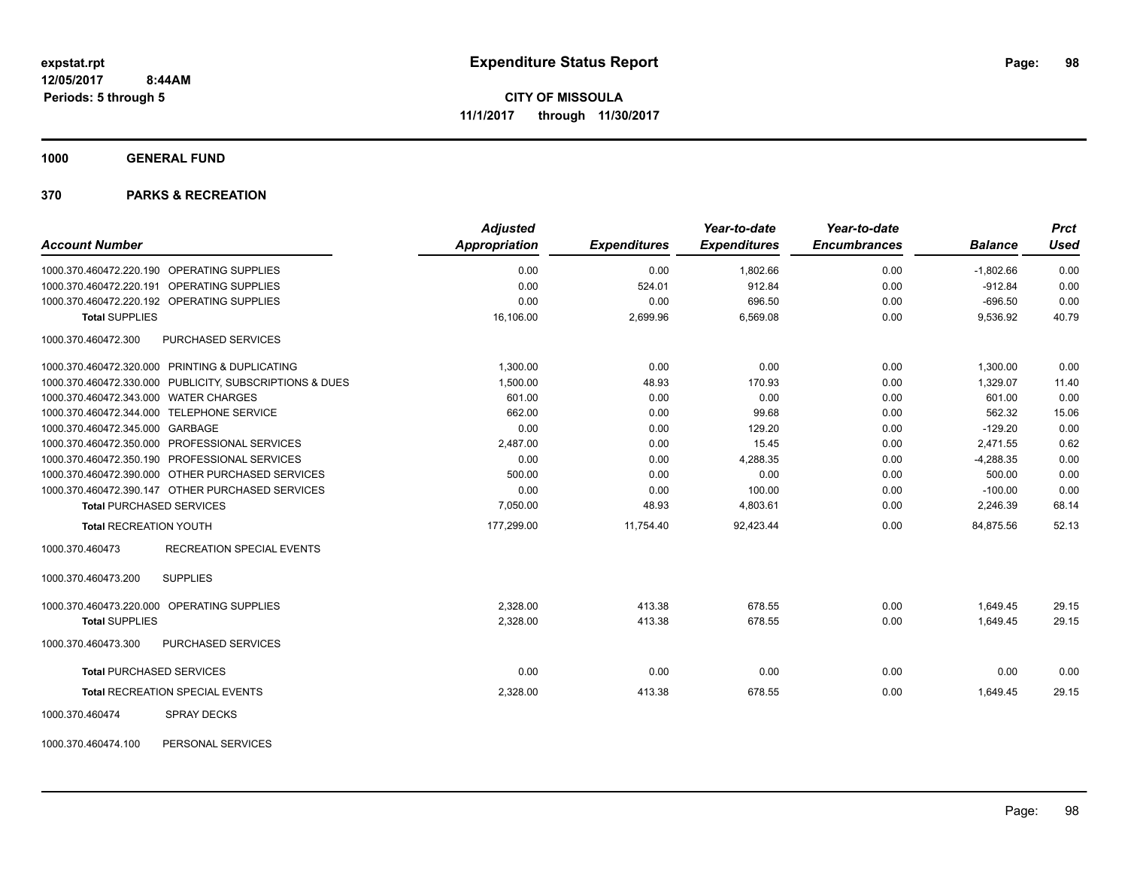**1000 GENERAL FUND**

# **370 PARKS & RECREATION**

| <b>Account Number</b>                                                                    | <b>Adjusted</b><br>Appropriation | <b>Expenditures</b> | Year-to-date<br><b>Expenditures</b> | Year-to-date<br><b>Encumbrances</b> | <b>Balance</b>           | <b>Prct</b><br><b>Used</b> |
|------------------------------------------------------------------------------------------|----------------------------------|---------------------|-------------------------------------|-------------------------------------|--------------------------|----------------------------|
|                                                                                          |                                  |                     |                                     |                                     |                          |                            |
| 1000.370.460472.220.190 OPERATING SUPPLIES<br>1000.370.460472.220.191 OPERATING SUPPLIES | 0.00<br>0.00                     | 0.00<br>524.01      | 1,802.66<br>912.84                  | 0.00<br>0.00                        | $-1,802.66$<br>$-912.84$ | 0.00<br>0.00               |
| 1000.370.460472.220.192 OPERATING SUPPLIES                                               | 0.00                             | 0.00                | 696.50                              | 0.00                                | $-696.50$                | 0.00                       |
| <b>Total SUPPLIES</b>                                                                    | 16,106.00                        | 2,699.96            | 6,569.08                            | 0.00                                | 9,536.92                 | 40.79                      |
|                                                                                          |                                  |                     |                                     |                                     |                          |                            |
| 1000.370.460472.300<br>PURCHASED SERVICES                                                |                                  |                     |                                     |                                     |                          |                            |
| 1000.370.460472.320.000 PRINTING & DUPLICATING                                           | 1,300.00                         | 0.00                | 0.00                                | 0.00                                | 1,300.00                 | 0.00                       |
| 1000.370.460472.330.000 PUBLICITY, SUBSCRIPTIONS & DUES                                  | 1,500.00                         | 48.93               | 170.93                              | 0.00                                | 1,329.07                 | 11.40                      |
| 1000.370.460472.343.000 WATER CHARGES                                                    | 601.00                           | 0.00                | 0.00                                | 0.00                                | 601.00                   | 0.00                       |
| 1000.370.460472.344.000 TELEPHONE SERVICE                                                | 662.00                           | 0.00                | 99.68                               | 0.00                                | 562.32                   | 15.06                      |
| 1000.370.460472.345.000 GARBAGE                                                          | 0.00                             | 0.00                | 129.20                              | 0.00                                | $-129.20$                | 0.00                       |
| 1000.370.460472.350.000 PROFESSIONAL SERVICES                                            | 2,487.00                         | 0.00                | 15.45                               | 0.00                                | 2,471.55                 | 0.62                       |
| 1000.370.460472.350.190 PROFESSIONAL SERVICES                                            | 0.00                             | 0.00                | 4,288.35                            | 0.00                                | $-4,288.35$              | 0.00                       |
| 1000.370.460472.390.000 OTHER PURCHASED SERVICES                                         | 500.00                           | 0.00                | 0.00                                | 0.00                                | 500.00                   | 0.00                       |
| 1000.370.460472.390.147 OTHER PURCHASED SERVICES                                         | 0.00                             | 0.00                | 100.00                              | 0.00                                | $-100.00$                | 0.00                       |
| <b>Total PURCHASED SERVICES</b>                                                          | 7,050.00                         | 48.93               | 4,803.61                            | 0.00                                | 2,246.39                 | 68.14                      |
| <b>Total RECREATION YOUTH</b>                                                            | 177,299.00                       | 11,754.40           | 92,423.44                           | 0.00                                | 84,875.56                | 52.13                      |
| <b>RECREATION SPECIAL EVENTS</b><br>1000.370.460473                                      |                                  |                     |                                     |                                     |                          |                            |
| <b>SUPPLIES</b><br>1000.370.460473.200                                                   |                                  |                     |                                     |                                     |                          |                            |
| 1000.370.460473.220.000 OPERATING SUPPLIES                                               | 2.328.00                         | 413.38              | 678.55                              | 0.00                                | 1,649.45                 | 29.15                      |
| <b>Total SUPPLIES</b>                                                                    | 2,328.00                         | 413.38              | 678.55                              | 0.00                                | 1,649.45                 | 29.15                      |
| 1000.370.460473.300<br>PURCHASED SERVICES                                                |                                  |                     |                                     |                                     |                          |                            |
| <b>Total PURCHASED SERVICES</b>                                                          | 0.00                             | 0.00                | 0.00                                | 0.00                                | 0.00                     | 0.00                       |
| <b>Total RECREATION SPECIAL EVENTS</b>                                                   | 2,328.00                         | 413.38              | 678.55                              | 0.00                                | 1,649.45                 | 29.15                      |
| 1000.370.460474<br><b>SPRAY DECKS</b>                                                    |                                  |                     |                                     |                                     |                          |                            |
| 1000.370.460474.100<br>PERSONAL SERVICES                                                 |                                  |                     |                                     |                                     |                          |                            |

Page: 98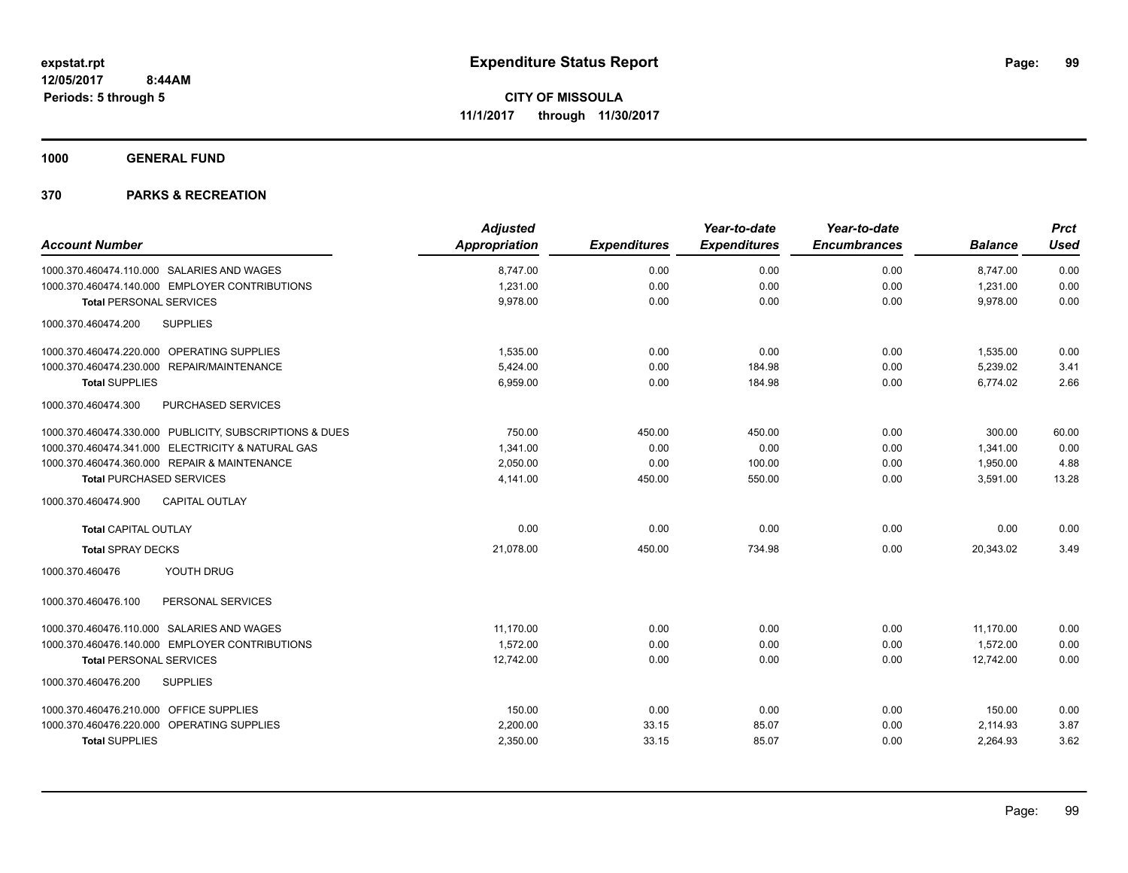**1000 GENERAL FUND**

| <b>Account Number</b>                                   | <b>Adjusted</b><br><b>Appropriation</b> | <b>Expenditures</b> | Year-to-date<br><b>Expenditures</b> | Year-to-date<br><b>Encumbrances</b> | <b>Balance</b> | <b>Prct</b><br><b>Used</b> |
|---------------------------------------------------------|-----------------------------------------|---------------------|-------------------------------------|-------------------------------------|----------------|----------------------------|
|                                                         |                                         |                     |                                     |                                     |                |                            |
| 1000.370.460474.110.000 SALARIES AND WAGES              | 8,747.00                                | 0.00                | 0.00                                | 0.00                                | 8,747.00       | 0.00                       |
| 1000.370.460474.140.000 EMPLOYER CONTRIBUTIONS          | 1,231.00                                | 0.00                | 0.00                                | 0.00                                | 1,231.00       | 0.00                       |
| <b>Total PERSONAL SERVICES</b>                          | 9.978.00                                | 0.00                | 0.00                                | 0.00                                | 9,978.00       | 0.00                       |
| 1000.370.460474.200<br><b>SUPPLIES</b>                  |                                         |                     |                                     |                                     |                |                            |
| 1000.370.460474.220.000 OPERATING SUPPLIES              | 1,535.00                                | 0.00                | 0.00                                | 0.00                                | 1,535.00       | 0.00                       |
| 1000.370.460474.230.000 REPAIR/MAINTENANCE              | 5.424.00                                | 0.00                | 184.98                              | 0.00                                | 5,239.02       | 3.41                       |
| <b>Total SUPPLIES</b>                                   | 6,959.00                                | 0.00                | 184.98                              | 0.00                                | 6,774.02       | 2.66                       |
| 1000.370.460474.300<br><b>PURCHASED SERVICES</b>        |                                         |                     |                                     |                                     |                |                            |
| 1000.370.460474.330.000 PUBLICITY, SUBSCRIPTIONS & DUES | 750.00                                  | 450.00              | 450.00                              | 0.00                                | 300.00         | 60.00                      |
| 1000.370.460474.341.000 ELECTRICITY & NATURAL GAS       | 1,341.00                                | 0.00                | 0.00                                | 0.00                                | 1,341.00       | 0.00                       |
| 1000.370.460474.360.000 REPAIR & MAINTENANCE            | 2,050.00                                | 0.00                | 100.00                              | 0.00                                | 1,950.00       | 4.88                       |
| <b>Total PURCHASED SERVICES</b>                         | 4,141.00                                | 450.00              | 550.00                              | 0.00                                | 3,591.00       | 13.28                      |
| 1000.370.460474.900<br><b>CAPITAL OUTLAY</b>            |                                         |                     |                                     |                                     |                |                            |
| <b>Total CAPITAL OUTLAY</b>                             | 0.00                                    | 0.00                | 0.00                                | 0.00                                | 0.00           | 0.00                       |
| <b>Total SPRAY DECKS</b>                                | 21,078.00                               | 450.00              | 734.98                              | 0.00                                | 20,343.02      | 3.49                       |
| YOUTH DRUG<br>1000.370.460476                           |                                         |                     |                                     |                                     |                |                            |
| 1000.370.460476.100<br>PERSONAL SERVICES                |                                         |                     |                                     |                                     |                |                            |
| 1000.370.460476.110.000 SALARIES AND WAGES              | 11,170.00                               | 0.00                | 0.00                                | 0.00                                | 11,170.00      | 0.00                       |
| 1000.370.460476.140.000 EMPLOYER CONTRIBUTIONS          | 1,572.00                                | 0.00                | 0.00                                | 0.00                                | 1,572.00       | 0.00                       |
| <b>Total PERSONAL SERVICES</b>                          | 12,742.00                               | 0.00                | 0.00                                | 0.00                                | 12,742.00      | 0.00                       |
| <b>SUPPLIES</b><br>1000.370.460476.200                  |                                         |                     |                                     |                                     |                |                            |
| 1000.370.460476.210.000 OFFICE SUPPLIES                 | 150.00                                  | 0.00                | 0.00                                | 0.00                                | 150.00         | 0.00                       |
| 1000.370.460476.220.000 OPERATING SUPPLIES              | 2,200.00                                | 33.15               | 85.07                               | 0.00                                | 2,114.93       | 3.87                       |
| <b>Total SUPPLIES</b>                                   | 2,350.00                                | 33.15               | 85.07                               | 0.00                                | 2,264.93       | 3.62                       |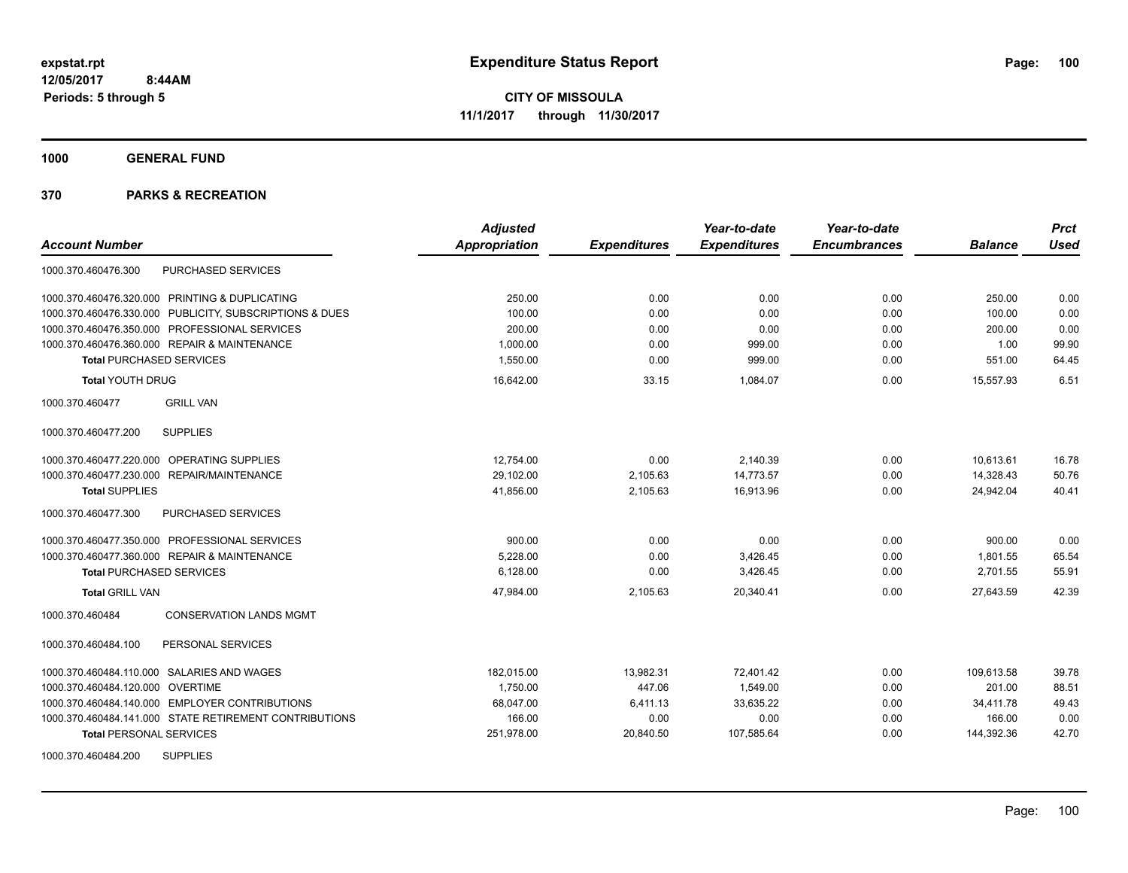**1000 GENERAL FUND**

| <b>Account Number</b>                                   | <b>Adjusted</b><br>Appropriation | <b>Expenditures</b> | Year-to-date<br><b>Expenditures</b> | Year-to-date<br><b>Encumbrances</b> | <b>Balance</b> | <b>Prct</b><br><b>Used</b> |
|---------------------------------------------------------|----------------------------------|---------------------|-------------------------------------|-------------------------------------|----------------|----------------------------|
| PURCHASED SERVICES<br>1000.370.460476.300               |                                  |                     |                                     |                                     |                |                            |
| 1000.370.460476.320.000 PRINTING & DUPLICATING          | 250.00                           | 0.00                | 0.00                                | 0.00                                | 250.00         | 0.00                       |
| 1000.370.460476.330.000 PUBLICITY, SUBSCRIPTIONS & DUES | 100.00                           | 0.00                | 0.00                                | 0.00                                | 100.00         | 0.00                       |
| 1000.370.460476.350.000 PROFESSIONAL SERVICES           | 200.00                           | 0.00                | 0.00                                | 0.00                                | 200.00         | 0.00                       |
| 1000.370.460476.360.000 REPAIR & MAINTENANCE            | 1,000.00                         | 0.00                | 999.00                              | 0.00                                | 1.00           | 99.90                      |
| <b>Total PURCHASED SERVICES</b>                         | 1,550.00                         | 0.00                | 999.00                              | 0.00                                | 551.00         | 64.45                      |
| <b>Total YOUTH DRUG</b>                                 | 16,642.00                        | 33.15               | 1,084.07                            | 0.00                                | 15,557.93      | 6.51                       |
| <b>GRILL VAN</b><br>1000.370.460477                     |                                  |                     |                                     |                                     |                |                            |
| <b>SUPPLIES</b><br>1000.370.460477.200                  |                                  |                     |                                     |                                     |                |                            |
| 1000.370.460477.220.000 OPERATING SUPPLIES              | 12,754.00                        | 0.00                | 2,140.39                            | 0.00                                | 10,613.61      | 16.78                      |
| 1000.370.460477.230.000 REPAIR/MAINTENANCE              | 29,102.00                        | 2,105.63            | 14,773.57                           | 0.00                                | 14,328.43      | 50.76                      |
| <b>Total SUPPLIES</b>                                   | 41,856.00                        | 2,105.63            | 16,913.96                           | 0.00                                | 24,942.04      | 40.41                      |
| 1000.370.460477.300<br><b>PURCHASED SERVICES</b>        |                                  |                     |                                     |                                     |                |                            |
| 1000.370.460477.350.000 PROFESSIONAL SERVICES           | 900.00                           | 0.00                | 0.00                                | 0.00                                | 900.00         | 0.00                       |
| 1000.370.460477.360.000 REPAIR & MAINTENANCE            | 5,228.00                         | 0.00                | 3,426.45                            | 0.00                                | 1,801.55       | 65.54                      |
| <b>Total PURCHASED SERVICES</b>                         | 6,128.00                         | 0.00                | 3,426.45                            | 0.00                                | 2,701.55       | 55.91                      |
| <b>Total GRILL VAN</b>                                  | 47,984.00                        | 2,105.63            | 20,340.41                           | 0.00                                | 27,643.59      | 42.39                      |
| <b>CONSERVATION LANDS MGMT</b><br>1000.370.460484       |                                  |                     |                                     |                                     |                |                            |
| 1000.370.460484.100<br>PERSONAL SERVICES                |                                  |                     |                                     |                                     |                |                            |
| 1000.370.460484.110.000 SALARIES AND WAGES              | 182.015.00                       | 13.982.31           | 72.401.42                           | 0.00                                | 109.613.58     | 39.78                      |
| 1000.370.460484.120.000 OVERTIME                        | 1.750.00                         | 447.06              | 1.549.00                            | 0.00                                | 201.00         | 88.51                      |
| 1000.370.460484.140.000 EMPLOYER CONTRIBUTIONS          | 68,047.00                        | 6,411.13            | 33,635.22                           | 0.00                                | 34,411.78      | 49.43                      |
| 1000.370.460484.141.000 STATE RETIREMENT CONTRIBUTIONS  | 166.00                           | 0.00                | 0.00                                | 0.00                                | 166.00         | 0.00                       |
| <b>Total PERSONAL SERVICES</b>                          | 251,978.00                       | 20,840.50           | 107,585.64                          | 0.00                                | 144,392.36     | 42.70                      |
| <b>SUPPLIES</b><br>1000.370.460484.200                  |                                  |                     |                                     |                                     |                |                            |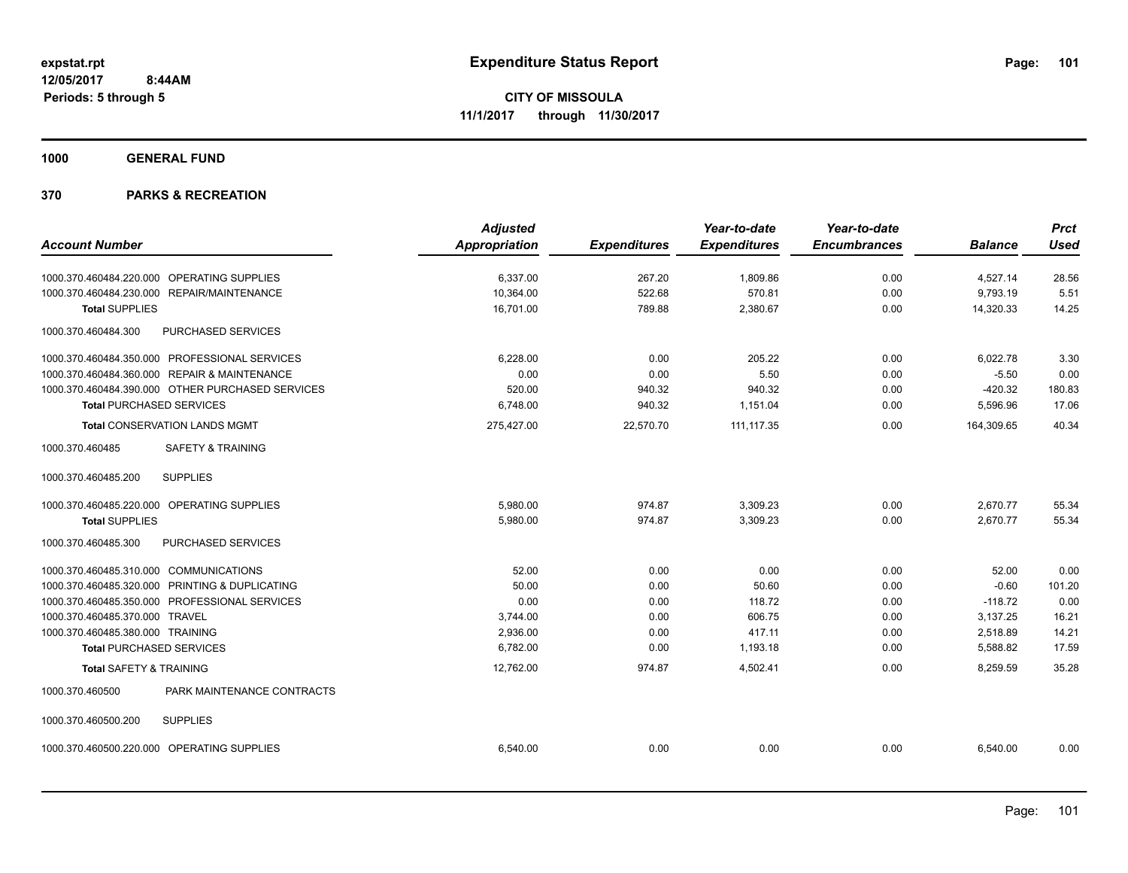**1000 GENERAL FUND**

|                                                  | <b>Adjusted</b> |                     | Year-to-date        | Year-to-date        |                | <b>Prct</b> |
|--------------------------------------------------|-----------------|---------------------|---------------------|---------------------|----------------|-------------|
| <b>Account Number</b>                            | Appropriation   | <b>Expenditures</b> | <b>Expenditures</b> | <b>Encumbrances</b> | <b>Balance</b> | <b>Used</b> |
| 1000.370.460484.220.000 OPERATING SUPPLIES       | 6.337.00        | 267.20              | 1.809.86            | 0.00                | 4,527.14       | 28.56       |
| 1000.370.460484.230.000 REPAIR/MAINTENANCE       | 10,364.00       | 522.68              | 570.81              | 0.00                | 9,793.19       | 5.51        |
| <b>Total SUPPLIES</b>                            | 16,701.00       | 789.88              | 2,380.67            | 0.00                | 14,320.33      | 14.25       |
| PURCHASED SERVICES<br>1000.370.460484.300        |                 |                     |                     |                     |                |             |
| 1000.370.460484.350.000 PROFESSIONAL SERVICES    | 6,228.00        | 0.00                | 205.22              | 0.00                | 6,022.78       | 3.30        |
| 1000.370.460484.360.000 REPAIR & MAINTENANCE     | 0.00            | 0.00                | 5.50                | 0.00                | $-5.50$        | 0.00        |
| 1000.370.460484.390.000 OTHER PURCHASED SERVICES | 520.00          | 940.32              | 940.32              | 0.00                | $-420.32$      | 180.83      |
| <b>Total PURCHASED SERVICES</b>                  | 6.748.00        | 940.32              | 1,151.04            | 0.00                | 5,596.96       | 17.06       |
| <b>Total CONSERVATION LANDS MGMT</b>             | 275,427.00      | 22,570.70           | 111, 117.35         | 0.00                | 164,309.65     | 40.34       |
| <b>SAFETY &amp; TRAINING</b><br>1000.370.460485  |                 |                     |                     |                     |                |             |
| <b>SUPPLIES</b><br>1000.370.460485.200           |                 |                     |                     |                     |                |             |
| 1000.370.460485.220.000 OPERATING SUPPLIES       | 5.980.00        | 974.87              | 3,309.23            | 0.00                | 2,670.77       | 55.34       |
| <b>Total SUPPLIES</b>                            | 5,980.00        | 974.87              | 3,309.23            | 0.00                | 2,670.77       | 55.34       |
| 1000.370.460485.300<br>PURCHASED SERVICES        |                 |                     |                     |                     |                |             |
| 1000.370.460485.310.000 COMMUNICATIONS           | 52.00           | 0.00                | 0.00                | 0.00                | 52.00          | 0.00        |
| 1000.370.460485.320.000 PRINTING & DUPLICATING   | 50.00           | 0.00                | 50.60               | 0.00                | $-0.60$        | 101.20      |
| 1000.370.460485.350.000 PROFESSIONAL SERVICES    | 0.00            | 0.00                | 118.72              | 0.00                | $-118.72$      | 0.00        |
| 1000.370.460485.370.000 TRAVEL                   | 3,744.00        | 0.00                | 606.75              | 0.00                | 3,137.25       | 16.21       |
| 1000.370.460485.380.000 TRAINING                 | 2,936.00        | 0.00                | 417.11              | 0.00                | 2,518.89       | 14.21       |
| <b>Total PURCHASED SERVICES</b>                  | 6,782.00        | 0.00                | 1,193.18            | 0.00                | 5,588.82       | 17.59       |
| <b>Total SAFETY &amp; TRAINING</b>               | 12,762.00       | 974.87              | 4,502.41            | 0.00                | 8,259.59       | 35.28       |
| PARK MAINTENANCE CONTRACTS<br>1000.370.460500    |                 |                     |                     |                     |                |             |
| <b>SUPPLIES</b><br>1000.370.460500.200           |                 |                     |                     |                     |                |             |
| 1000.370.460500.220.000 OPERATING SUPPLIES       | 6,540.00        | 0.00                | 0.00                | 0.00                | 6,540.00       | 0.00        |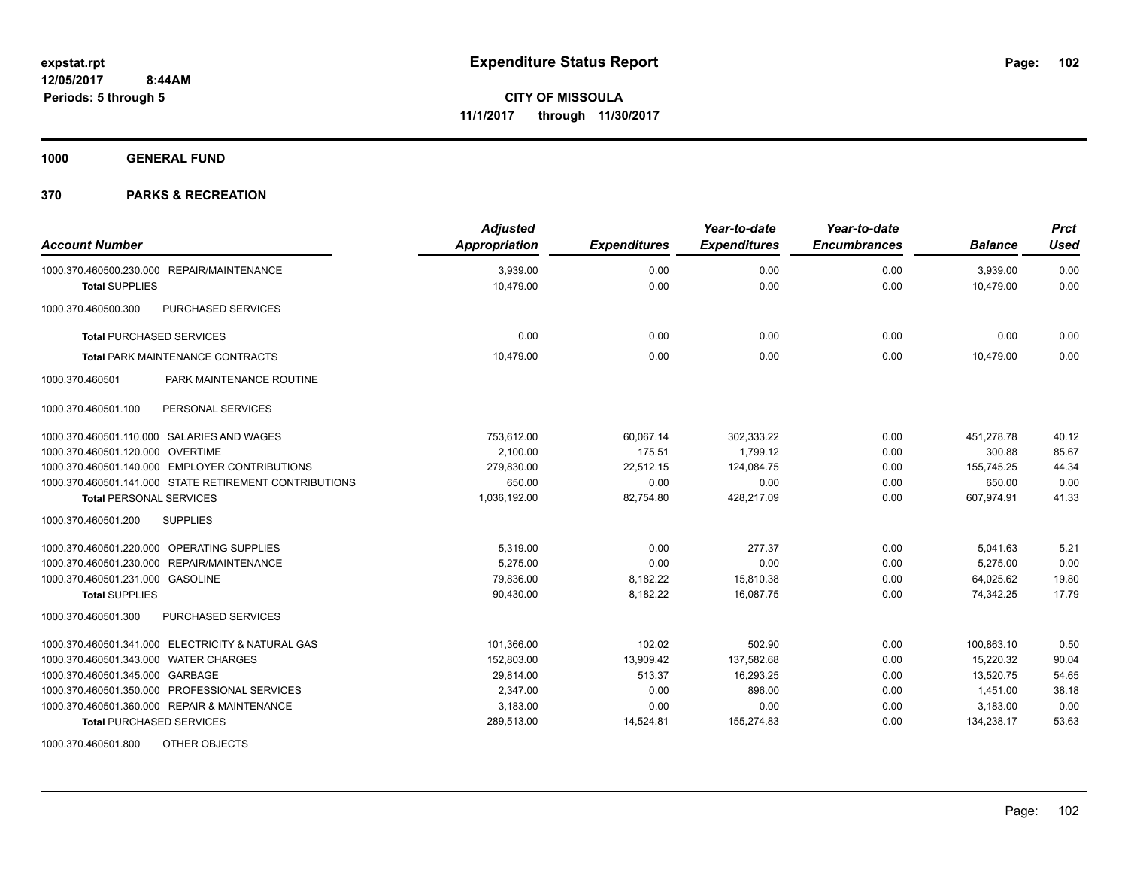**1000 GENERAL FUND**

# **370 PARKS & RECREATION**

| <b>Account Number</b>                                  | <b>Adjusted</b><br>Appropriation | <b>Expenditures</b> | Year-to-date<br><b>Expenditures</b> | Year-to-date<br><b>Encumbrances</b> | <b>Balance</b> | <b>Prct</b><br><b>Used</b> |
|--------------------------------------------------------|----------------------------------|---------------------|-------------------------------------|-------------------------------------|----------------|----------------------------|
| 1000.370.460500.230.000 REPAIR/MAINTENANCE             | 3,939.00                         | 0.00                | 0.00                                | 0.00                                | 3,939.00       | 0.00                       |
| <b>Total SUPPLIES</b>                                  | 10,479.00                        | 0.00                | 0.00                                | 0.00                                | 10,479.00      | 0.00                       |
| 1000.370.460500.300<br>PURCHASED SERVICES              |                                  |                     |                                     |                                     |                |                            |
| <b>Total PURCHASED SERVICES</b>                        | 0.00                             | 0.00                | 0.00                                | 0.00                                | 0.00           | 0.00                       |
| <b>Total PARK MAINTENANCE CONTRACTS</b>                | 10,479.00                        | 0.00                | 0.00                                | 0.00                                | 10.479.00      | 0.00                       |
| 1000.370.460501<br>PARK MAINTENANCE ROUTINE            |                                  |                     |                                     |                                     |                |                            |
| PERSONAL SERVICES<br>1000.370.460501.100               |                                  |                     |                                     |                                     |                |                            |
| 1000.370.460501.110.000 SALARIES AND WAGES             | 753,612.00                       | 60.067.14           | 302,333.22                          | 0.00                                | 451,278.78     | 40.12                      |
| 1000.370.460501.120.000 OVERTIME                       | 2.100.00                         | 175.51              | 1,799.12                            | 0.00                                | 300.88         | 85.67                      |
| 1000.370.460501.140.000 EMPLOYER CONTRIBUTIONS         | 279,830.00                       | 22,512.15           | 124,084.75                          | 0.00                                | 155,745.25     | 44.34                      |
| 1000.370.460501.141.000 STATE RETIREMENT CONTRIBUTIONS | 650.00                           | 0.00                | 0.00                                | 0.00                                | 650.00         | 0.00                       |
| <b>Total PERSONAL SERVICES</b>                         | 1,036,192.00                     | 82,754.80           | 428,217.09                          | 0.00                                | 607,974.91     | 41.33                      |
| 1000.370.460501.200<br><b>SUPPLIES</b>                 |                                  |                     |                                     |                                     |                |                            |
| 1000.370.460501.220.000 OPERATING SUPPLIES             | 5,319.00                         | 0.00                | 277.37                              | 0.00                                | 5,041.63       | 5.21                       |
| 1000.370.460501.230.000 REPAIR/MAINTENANCE             | 5,275.00                         | 0.00                | 0.00                                | 0.00                                | 5,275.00       | 0.00                       |
| 1000.370.460501.231.000 GASOLINE                       | 79,836.00                        | 8,182.22            | 15,810.38                           | 0.00                                | 64,025.62      | 19.80                      |
| <b>Total SUPPLIES</b>                                  | 90,430.00                        | 8,182.22            | 16,087.75                           | 0.00                                | 74,342.25      | 17.79                      |
| <b>PURCHASED SERVICES</b><br>1000.370.460501.300       |                                  |                     |                                     |                                     |                |                            |
| 1000.370.460501.341.000 ELECTRICITY & NATURAL GAS      | 101,366.00                       | 102.02              | 502.90                              | 0.00                                | 100,863.10     | 0.50                       |
| 1000.370.460501.343.000 WATER CHARGES                  | 152,803.00                       | 13,909.42           | 137,582.68                          | 0.00                                | 15.220.32      | 90.04                      |
| 1000.370.460501.345.000 GARBAGE                        | 29,814.00                        | 513.37              | 16,293.25                           | 0.00                                | 13,520.75      | 54.65                      |
| 1000.370.460501.350.000 PROFESSIONAL SERVICES          | 2,347.00                         | 0.00                | 896.00                              | 0.00                                | 1,451.00       | 38.18                      |
| 1000.370.460501.360.000 REPAIR & MAINTENANCE           | 3,183.00                         | 0.00                | 0.00                                | 0.00                                | 3,183.00       | 0.00                       |
| <b>Total PURCHASED SERVICES</b>                        | 289,513.00                       | 14,524.81           | 155,274.83                          | 0.00                                | 134,238.17     | 53.63                      |

1000.370.460501.800 OTHER OBJECTS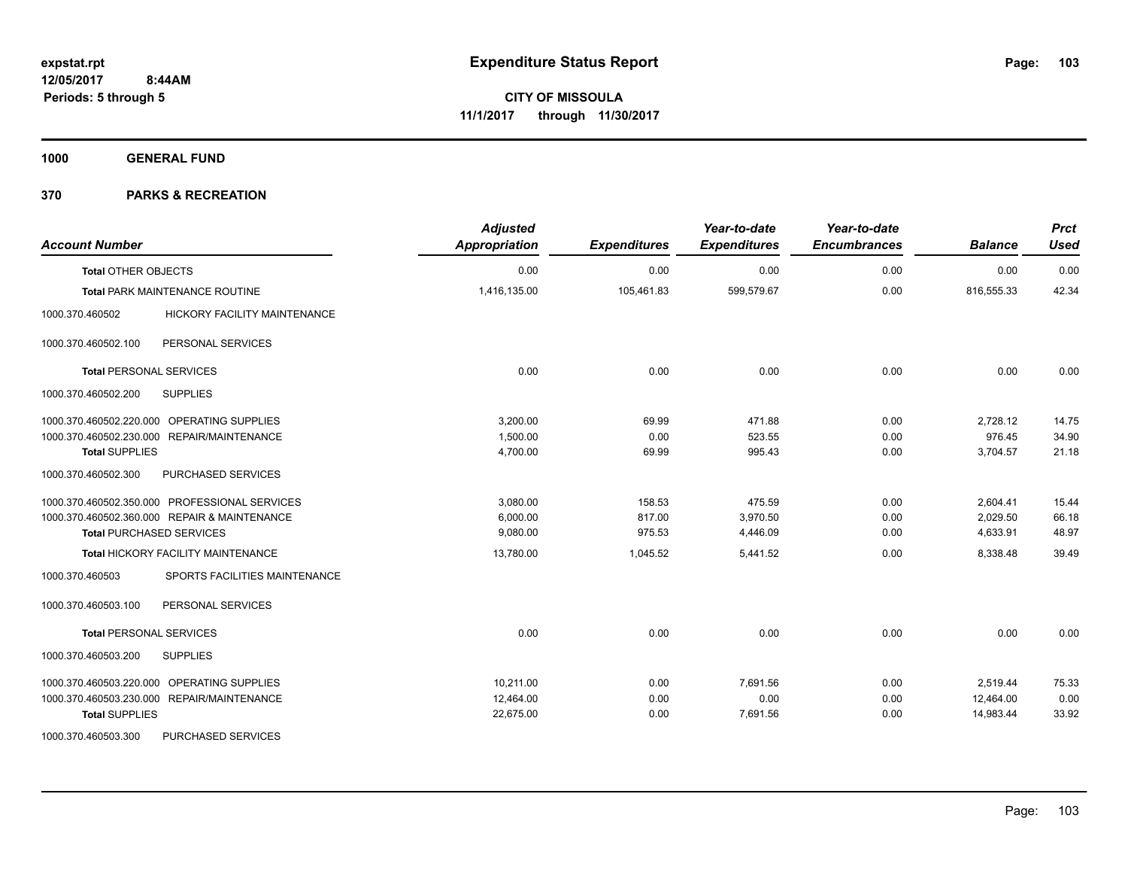**1000 GENERAL FUND**

| <b>Account Number</b>                                  | <b>Adjusted</b><br>Appropriation | <b>Expenditures</b> | Year-to-date<br><b>Expenditures</b> | Year-to-date<br><b>Encumbrances</b> | <b>Balance</b> | <b>Prct</b><br><b>Used</b> |
|--------------------------------------------------------|----------------------------------|---------------------|-------------------------------------|-------------------------------------|----------------|----------------------------|
| <b>Total OTHER OBJECTS</b>                             | 0.00                             | 0.00                | 0.00                                | 0.00                                | 0.00           | 0.00                       |
| <b>Total PARK MAINTENANCE ROUTINE</b>                  | 1,416,135.00                     | 105,461.83          | 599,579.67                          | 0.00                                | 816,555.33     | 42.34                      |
| 1000.370.460502<br><b>HICKORY FACILITY MAINTENANCE</b> |                                  |                     |                                     |                                     |                |                            |
| 1000.370.460502.100<br>PERSONAL SERVICES               |                                  |                     |                                     |                                     |                |                            |
| <b>Total PERSONAL SERVICES</b>                         | 0.00                             | 0.00                | 0.00                                | 0.00                                | 0.00           | 0.00                       |
| <b>SUPPLIES</b><br>1000.370.460502.200                 |                                  |                     |                                     |                                     |                |                            |
| OPERATING SUPPLIES<br>1000.370.460502.220.000          | 3,200.00                         | 69.99               | 471.88                              | 0.00                                | 2,728.12       | 14.75                      |
| 1000.370.460502.230.000 REPAIR/MAINTENANCE             | 1,500.00                         | 0.00                | 523.55                              | 0.00                                | 976.45         | 34.90                      |
| <b>Total SUPPLIES</b>                                  | 4,700.00                         | 69.99               | 995.43                              | 0.00                                | 3,704.57       | 21.18                      |
| PURCHASED SERVICES<br>1000.370.460502.300              |                                  |                     |                                     |                                     |                |                            |
| 1000.370.460502.350.000 PROFESSIONAL SERVICES          | 3,080.00                         | 158.53              | 475.59                              | 0.00                                | 2,604.41       | 15.44                      |
| 1000.370.460502.360.000 REPAIR & MAINTENANCE           | 6,000.00                         | 817.00              | 3,970.50                            | 0.00                                | 2,029.50       | 66.18                      |
| <b>Total PURCHASED SERVICES</b>                        | 9,080.00                         | 975.53              | 4,446.09                            | 0.00                                | 4,633.91       | 48.97                      |
| Total HICKORY FACILITY MAINTENANCE                     | 13,780.00                        | 1,045.52            | 5,441.52                            | 0.00                                | 8,338.48       | 39.49                      |
| SPORTS FACILITIES MAINTENANCE<br>1000.370.460503       |                                  |                     |                                     |                                     |                |                            |
| 1000.370.460503.100<br>PERSONAL SERVICES               |                                  |                     |                                     |                                     |                |                            |
| <b>Total PERSONAL SERVICES</b>                         | 0.00                             | 0.00                | 0.00                                | 0.00                                | 0.00           | 0.00                       |
| 1000.370.460503.200<br><b>SUPPLIES</b>                 |                                  |                     |                                     |                                     |                |                            |
| 1000.370.460503.220.000 OPERATING SUPPLIES             | 10.211.00                        | 0.00                | 7,691.56                            | 0.00                                | 2,519.44       | 75.33                      |
| 1000.370.460503.230.000 REPAIR/MAINTENANCE             | 12,464.00                        | 0.00                | 0.00                                | 0.00                                | 12,464.00      | 0.00                       |
| <b>Total SUPPLIES</b>                                  | 22,675.00                        | 0.00                | 7,691.56                            | 0.00                                | 14,983.44      | 33.92                      |
| 1000.370.460503.300<br>PURCHASED SERVICES              |                                  |                     |                                     |                                     |                |                            |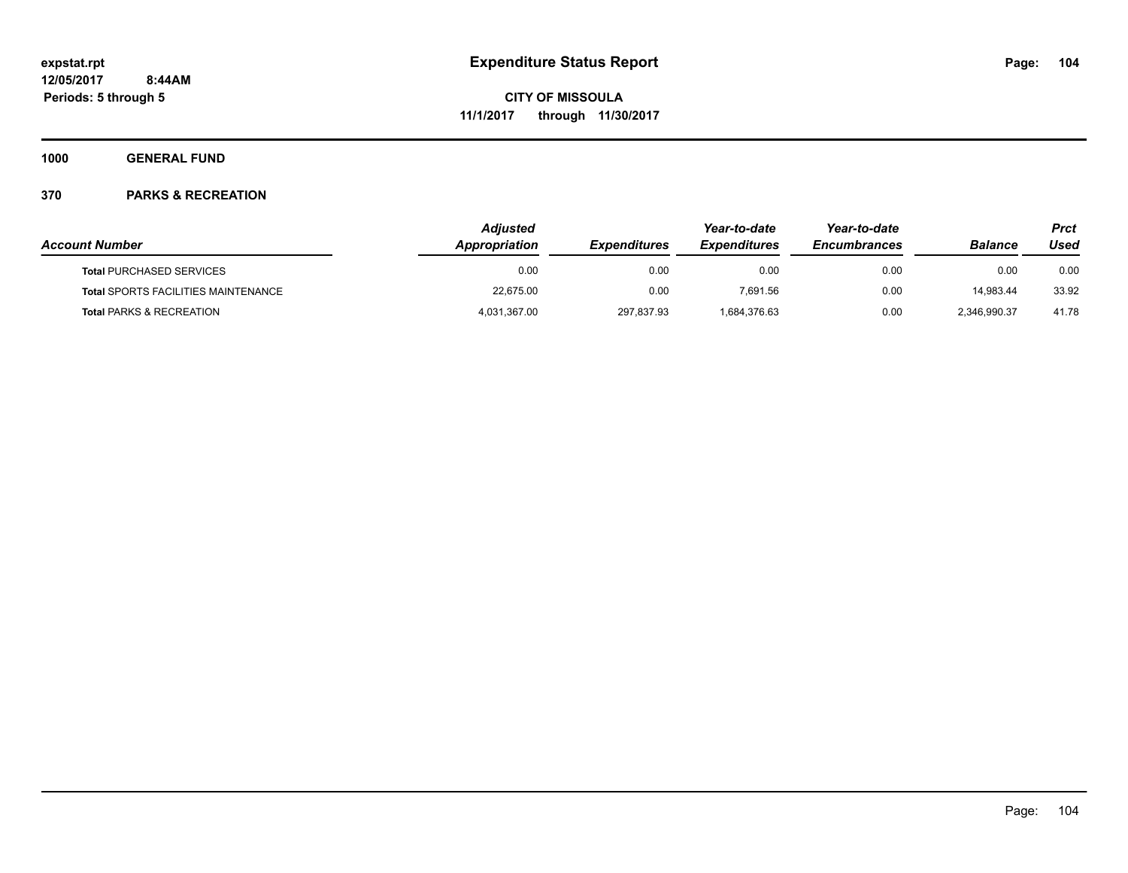**1000 GENERAL FUND**

|                                            | <b>Adjusted</b>      | Year-to-date               | Year-to-date        |                     | Prct           |       |
|--------------------------------------------|----------------------|----------------------------|---------------------|---------------------|----------------|-------|
| <b>Account Number</b>                      | <b>Appropriation</b> | <i><b>Expenditures</b></i> | <b>Expenditures</b> | <b>Encumbrances</b> | <b>Balance</b> | Used  |
| <b>Total PURCHASED SERVICES</b>            | 0.00                 | 0.00                       | 0.00                | 0.00                | 0.00           | 0.00  |
| <b>Total SPORTS FACILITIES MAINTENANCE</b> | 22,675.00            | 0.00                       | 7.691.56            | 0.00                | 14.983.44      | 33.92 |
| <b>Total PARKS &amp; RECREATION</b>        | 4,031,367.00         | 297,837.93                 | 1,684,376.63        | 0.00                | 2.346.990.37   | 41.78 |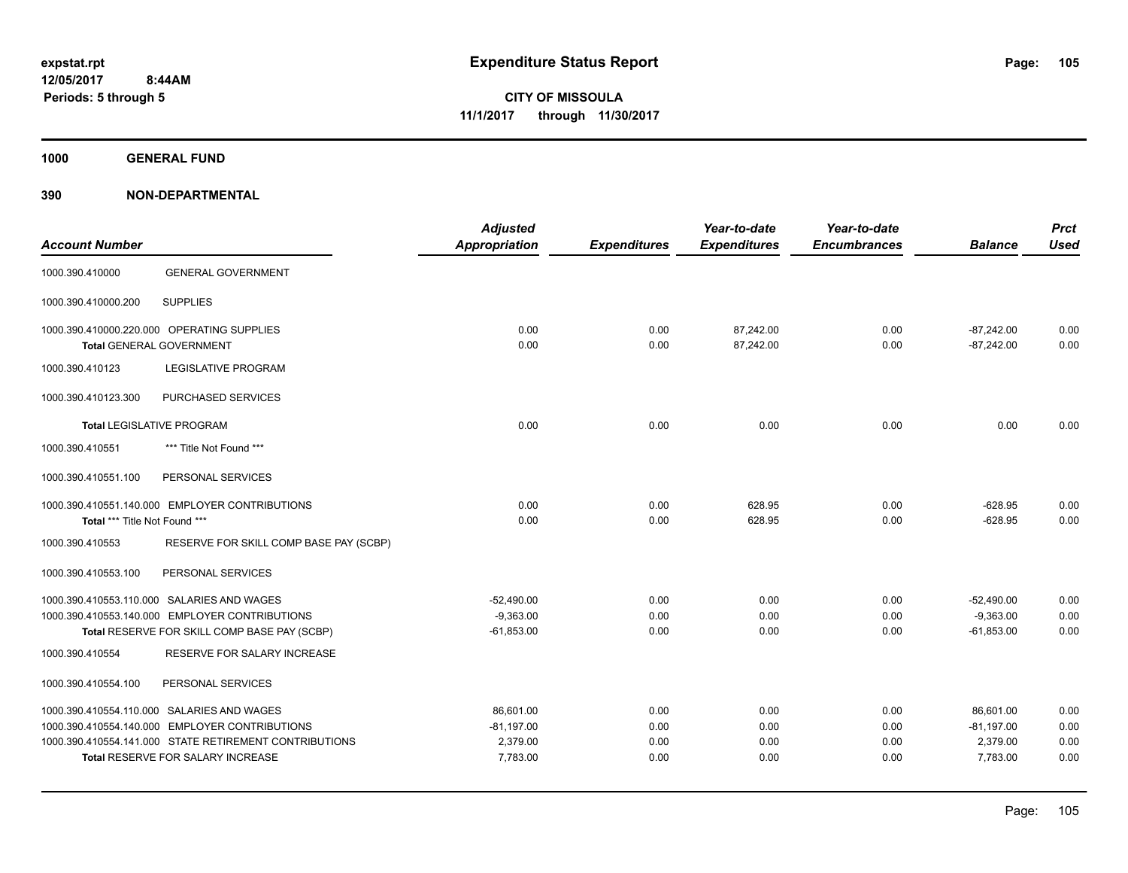**1000 GENERAL FUND**

|                               |                                                        | <b>Adjusted</b>      |                     | Year-to-date        | Year-to-date        |                | <b>Prct</b> |
|-------------------------------|--------------------------------------------------------|----------------------|---------------------|---------------------|---------------------|----------------|-------------|
| <b>Account Number</b>         |                                                        | <b>Appropriation</b> | <b>Expenditures</b> | <b>Expenditures</b> | <b>Encumbrances</b> | <b>Balance</b> | <b>Used</b> |
| 1000.390.410000               | <b>GENERAL GOVERNMENT</b>                              |                      |                     |                     |                     |                |             |
| 1000.390.410000.200           | <b>SUPPLIES</b>                                        |                      |                     |                     |                     |                |             |
|                               | 1000.390.410000.220.000 OPERATING SUPPLIES             | 0.00                 | 0.00                | 87,242.00           | 0.00                | $-87,242.00$   | 0.00        |
|                               | <b>Total GENERAL GOVERNMENT</b>                        | 0.00                 | 0.00                | 87,242.00           | 0.00                | $-87,242.00$   | 0.00        |
| 1000.390.410123               | <b>LEGISLATIVE PROGRAM</b>                             |                      |                     |                     |                     |                |             |
| 1000.390.410123.300           | PURCHASED SERVICES                                     |                      |                     |                     |                     |                |             |
|                               | <b>Total LEGISLATIVE PROGRAM</b>                       | 0.00                 | 0.00                | 0.00                | 0.00                | 0.00           | 0.00        |
| 1000.390.410551               | *** Title Not Found ***                                |                      |                     |                     |                     |                |             |
| 1000.390.410551.100           | PERSONAL SERVICES                                      |                      |                     |                     |                     |                |             |
|                               | 1000.390.410551.140.000 EMPLOYER CONTRIBUTIONS         | 0.00                 | 0.00                | 628.95              | 0.00                | $-628.95$      | 0.00        |
| Total *** Title Not Found *** |                                                        | 0.00                 | 0.00                | 628.95              | 0.00                | $-628.95$      | 0.00        |
| 1000.390.410553               | RESERVE FOR SKILL COMP BASE PAY (SCBP)                 |                      |                     |                     |                     |                |             |
| 1000.390.410553.100           | PERSONAL SERVICES                                      |                      |                     |                     |                     |                |             |
|                               | 1000.390.410553.110.000 SALARIES AND WAGES             | $-52,490.00$         | 0.00                | 0.00                | 0.00                | $-52,490.00$   | 0.00        |
|                               | 1000.390.410553.140.000 EMPLOYER CONTRIBUTIONS         | $-9.363.00$          | 0.00                | 0.00                | 0.00                | $-9.363.00$    | 0.00        |
|                               | Total RESERVE FOR SKILL COMP BASE PAY (SCBP)           | $-61,853.00$         | 0.00                | 0.00                | 0.00                | $-61,853.00$   | 0.00        |
| 1000.390.410554               | RESERVE FOR SALARY INCREASE                            |                      |                     |                     |                     |                |             |
| 1000.390.410554.100           | PERSONAL SERVICES                                      |                      |                     |                     |                     |                |             |
|                               | 1000.390.410554.110.000 SALARIES AND WAGES             | 86,601.00            | 0.00                | 0.00                | 0.00                | 86,601.00      | 0.00        |
|                               | 1000.390.410554.140.000 EMPLOYER CONTRIBUTIONS         | $-81,197.00$         | 0.00                | 0.00                | 0.00                | $-81,197.00$   | 0.00        |
|                               | 1000.390.410554.141.000 STATE RETIREMENT CONTRIBUTIONS | 2,379.00             | 0.00                | 0.00                | 0.00                | 2,379.00       | 0.00        |
|                               | <b>Total RESERVE FOR SALARY INCREASE</b>               | 7,783.00             | 0.00                | 0.00                | 0.00                | 7.783.00       | 0.00        |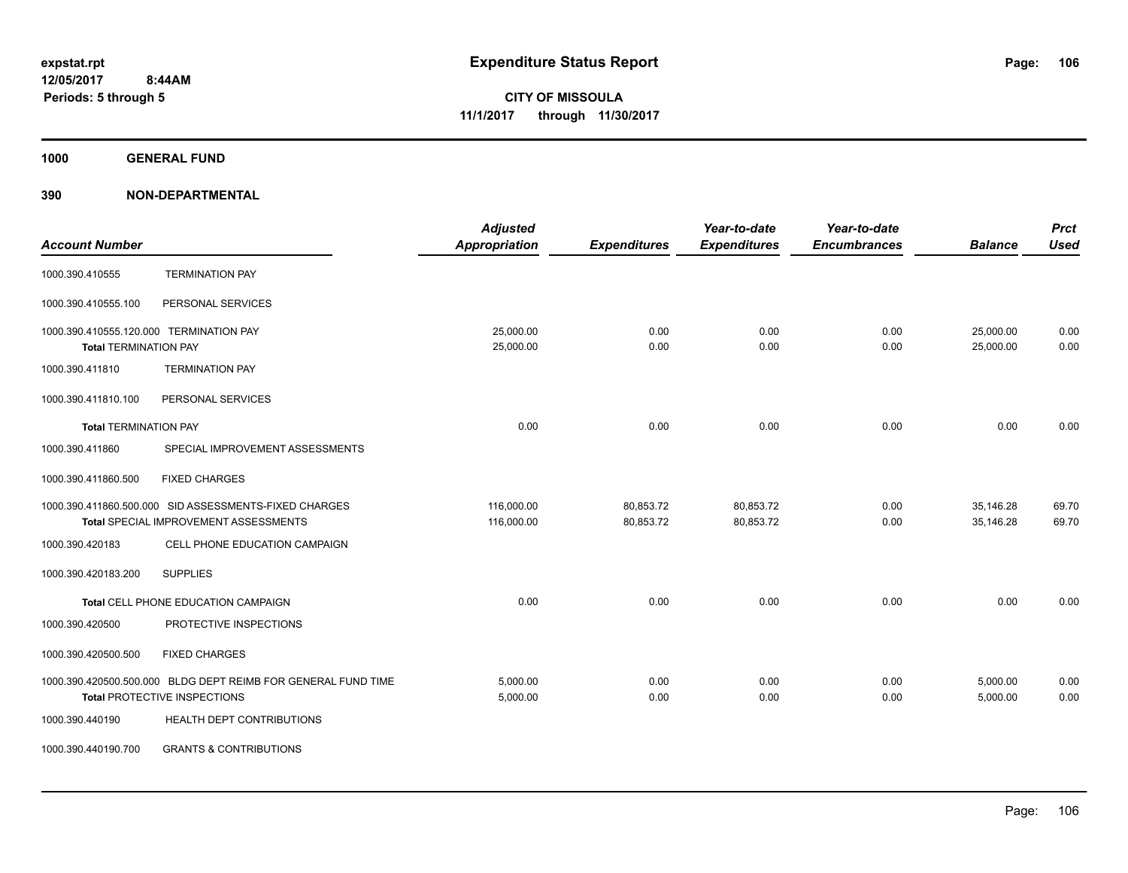**1000 GENERAL FUND**

| <b>Account Number</b>                                                   |                                                                                                      | <b>Adjusted</b><br><b>Appropriation</b> | <b>Expenditures</b>    | Year-to-date<br><b>Expenditures</b> | Year-to-date<br><b>Encumbrances</b> | <b>Balance</b>         | <b>Prct</b><br><b>Used</b> |
|-------------------------------------------------------------------------|------------------------------------------------------------------------------------------------------|-----------------------------------------|------------------------|-------------------------------------|-------------------------------------|------------------------|----------------------------|
|                                                                         |                                                                                                      |                                         |                        |                                     |                                     |                        |                            |
| 1000.390.410555                                                         | <b>TERMINATION PAY</b>                                                                               |                                         |                        |                                     |                                     |                        |                            |
| 1000.390.410555.100                                                     | PERSONAL SERVICES                                                                                    |                                         |                        |                                     |                                     |                        |                            |
| 1000.390.410555.120.000 TERMINATION PAY<br><b>Total TERMINATION PAY</b> |                                                                                                      | 25,000.00<br>25,000.00                  | 0.00<br>0.00           | 0.00<br>0.00                        | 0.00<br>0.00                        | 25,000.00<br>25,000.00 | 0.00<br>0.00               |
| 1000.390.411810                                                         | <b>TERMINATION PAY</b>                                                                               |                                         |                        |                                     |                                     |                        |                            |
| 1000.390.411810.100                                                     | PERSONAL SERVICES                                                                                    |                                         |                        |                                     |                                     |                        |                            |
| <b>Total TERMINATION PAY</b>                                            |                                                                                                      | 0.00                                    | 0.00                   | 0.00                                | 0.00                                | 0.00                   | 0.00                       |
| 1000.390.411860                                                         | SPECIAL IMPROVEMENT ASSESSMENTS                                                                      |                                         |                        |                                     |                                     |                        |                            |
| 1000.390.411860.500                                                     | <b>FIXED CHARGES</b>                                                                                 |                                         |                        |                                     |                                     |                        |                            |
|                                                                         | 1000.390.411860.500.000 SID ASSESSMENTS-FIXED CHARGES<br>Total SPECIAL IMPROVEMENT ASSESSMENTS       | 116,000.00<br>116,000.00                | 80,853.72<br>80,853.72 | 80,853.72<br>80,853.72              | 0.00<br>0.00                        | 35,146.28<br>35.146.28 | 69.70<br>69.70             |
| 1000.390.420183                                                         | CELL PHONE EDUCATION CAMPAIGN                                                                        |                                         |                        |                                     |                                     |                        |                            |
| 1000.390.420183.200                                                     | <b>SUPPLIES</b>                                                                                      |                                         |                        |                                     |                                     |                        |                            |
|                                                                         | Total CELL PHONE EDUCATION CAMPAIGN                                                                  | 0.00                                    | 0.00                   | 0.00                                | 0.00                                | 0.00                   | 0.00                       |
| 1000.390.420500                                                         | PROTECTIVE INSPECTIONS                                                                               |                                         |                        |                                     |                                     |                        |                            |
| 1000.390.420500.500                                                     | <b>FIXED CHARGES</b>                                                                                 |                                         |                        |                                     |                                     |                        |                            |
|                                                                         | 1000.390.420500.500.000 BLDG DEPT REIMB FOR GENERAL FUND TIME<br><b>Total PROTECTIVE INSPECTIONS</b> | 5,000.00<br>5,000.00                    | 0.00<br>0.00           | 0.00<br>0.00                        | 0.00<br>0.00                        | 5,000.00<br>5,000.00   | 0.00<br>0.00               |
| 1000.390.440190                                                         | HEALTH DEPT CONTRIBUTIONS                                                                            |                                         |                        |                                     |                                     |                        |                            |
| 1000.390.440190.700                                                     | <b>GRANTS &amp; CONTRIBUTIONS</b>                                                                    |                                         |                        |                                     |                                     |                        |                            |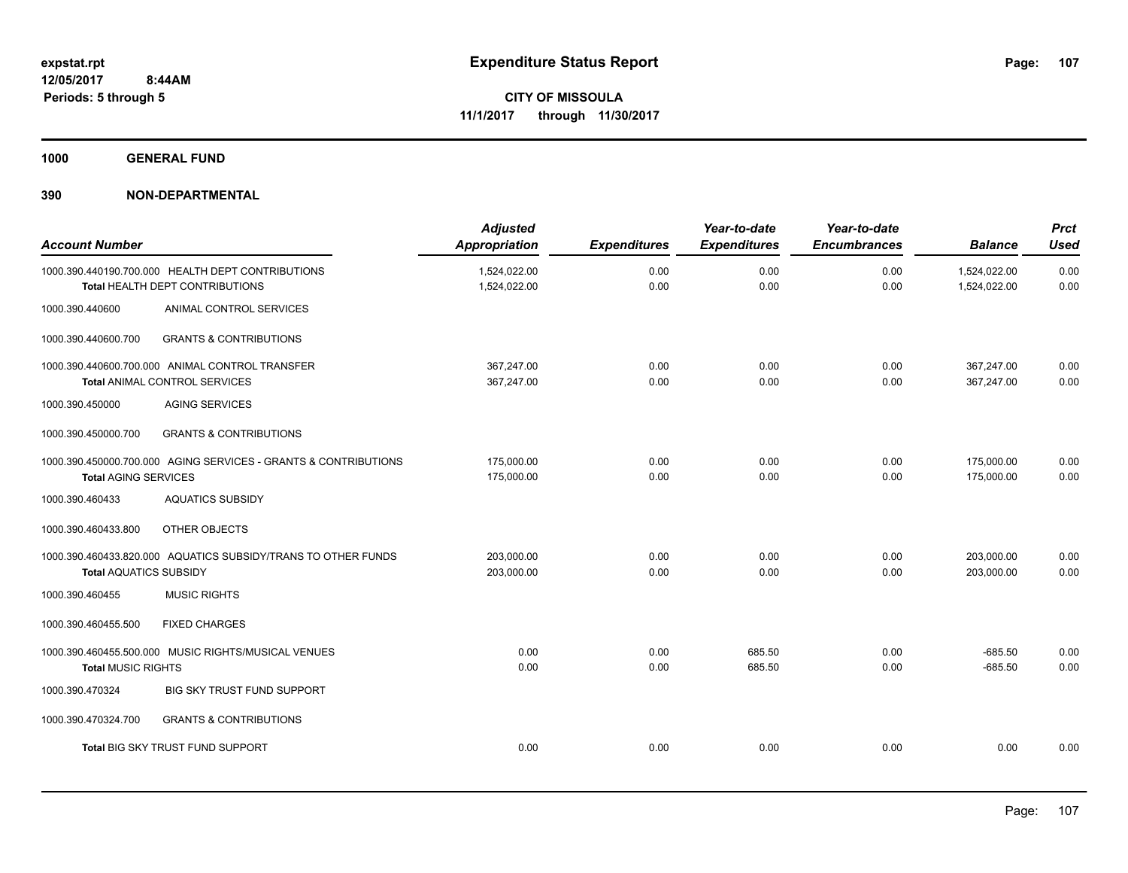**1000 GENERAL FUND**

| <b>Account Number</b>         |                                                                                      | <b>Adjusted</b><br><b>Appropriation</b> | <b>Expenditures</b> | Year-to-date<br><b>Expenditures</b> | Year-to-date<br><b>Encumbrances</b> | <b>Balance</b>               | <b>Prct</b><br><b>Used</b> |
|-------------------------------|--------------------------------------------------------------------------------------|-----------------------------------------|---------------------|-------------------------------------|-------------------------------------|------------------------------|----------------------------|
|                               | 1000.390.440190.700.000 HEALTH DEPT CONTRIBUTIONS<br>Total HEALTH DEPT CONTRIBUTIONS | 1,524,022.00<br>1,524,022.00            | 0.00<br>0.00        | 0.00<br>0.00                        | 0.00<br>0.00                        | 1,524,022.00<br>1,524,022.00 | 0.00<br>0.00               |
| 1000.390.440600               | ANIMAL CONTROL SERVICES                                                              |                                         |                     |                                     |                                     |                              |                            |
| 1000.390.440600.700           | <b>GRANTS &amp; CONTRIBUTIONS</b>                                                    |                                         |                     |                                     |                                     |                              |                            |
|                               | 1000.390.440600.700.000 ANIMAL CONTROL TRANSFER<br>Total ANIMAL CONTROL SERVICES     | 367.247.00<br>367,247.00                | 0.00<br>0.00        | 0.00<br>0.00                        | 0.00<br>0.00                        | 367.247.00<br>367,247.00     | 0.00<br>0.00               |
| 1000.390.450000               | <b>AGING SERVICES</b>                                                                |                                         |                     |                                     |                                     |                              |                            |
| 1000.390.450000.700           | <b>GRANTS &amp; CONTRIBUTIONS</b>                                                    |                                         |                     |                                     |                                     |                              |                            |
| <b>Total AGING SERVICES</b>   | 1000.390.450000.700.000 AGING SERVICES - GRANTS & CONTRIBUTIONS                      | 175,000.00<br>175,000.00                | 0.00<br>0.00        | 0.00<br>0.00                        | 0.00<br>0.00                        | 175,000.00<br>175,000.00     | 0.00<br>0.00               |
| 1000.390.460433               | <b>AQUATICS SUBSIDY</b>                                                              |                                         |                     |                                     |                                     |                              |                            |
| 1000.390.460433.800           | OTHER OBJECTS                                                                        |                                         |                     |                                     |                                     |                              |                            |
| <b>Total AQUATICS SUBSIDY</b> | 1000.390.460433.820.000 AQUATICS SUBSIDY/TRANS TO OTHER FUNDS                        | 203,000.00<br>203,000.00                | 0.00<br>0.00        | 0.00<br>0.00                        | 0.00<br>0.00                        | 203,000.00<br>203,000.00     | 0.00<br>0.00               |
| 1000.390.460455               | <b>MUSIC RIGHTS</b>                                                                  |                                         |                     |                                     |                                     |                              |                            |
| 1000.390.460455.500           | <b>FIXED CHARGES</b>                                                                 |                                         |                     |                                     |                                     |                              |                            |
| <b>Total MUSIC RIGHTS</b>     | 1000.390.460455.500.000 MUSIC RIGHTS/MUSICAL VENUES                                  | 0.00<br>0.00                            | 0.00<br>0.00        | 685.50<br>685.50                    | 0.00<br>0.00                        | $-685.50$<br>$-685.50$       | 0.00<br>0.00               |
| 1000.390.470324               | <b>BIG SKY TRUST FUND SUPPORT</b>                                                    |                                         |                     |                                     |                                     |                              |                            |
| 1000.390.470324.700           | <b>GRANTS &amp; CONTRIBUTIONS</b>                                                    |                                         |                     |                                     |                                     |                              |                            |
|                               | Total BIG SKY TRUST FUND SUPPORT                                                     | 0.00                                    | 0.00                | 0.00                                | 0.00                                | 0.00                         | 0.00                       |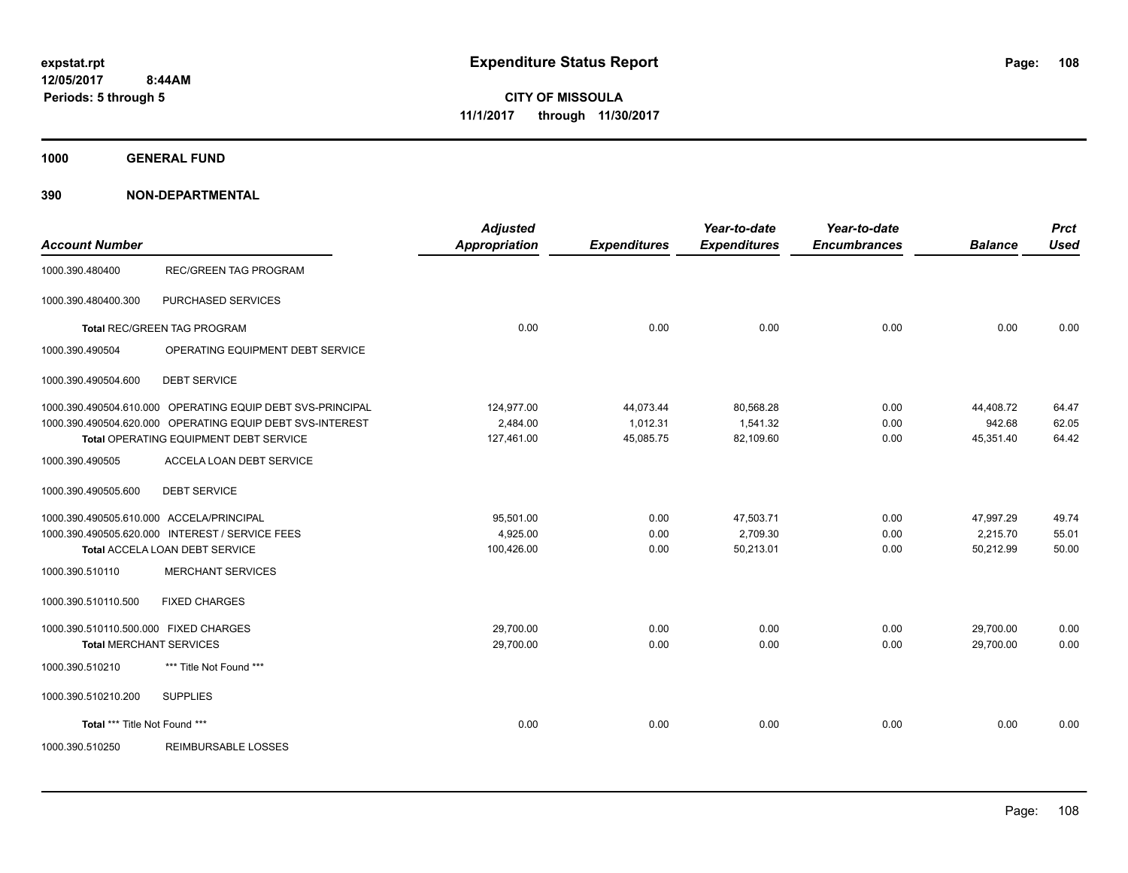**1000 GENERAL FUND**

| <b>Account Number</b>                    |                                                            | <b>Adjusted</b><br><b>Appropriation</b> | <b>Expenditures</b> | Year-to-date<br><b>Expenditures</b> | Year-to-date<br><b>Encumbrances</b> | <b>Balance</b> | <b>Prct</b><br><b>Used</b> |
|------------------------------------------|------------------------------------------------------------|-----------------------------------------|---------------------|-------------------------------------|-------------------------------------|----------------|----------------------------|
| 1000.390.480400                          | <b>REC/GREEN TAG PROGRAM</b>                               |                                         |                     |                                     |                                     |                |                            |
| 1000.390.480400.300                      | PURCHASED SERVICES                                         |                                         |                     |                                     |                                     |                |                            |
|                                          | <b>Total REC/GREEN TAG PROGRAM</b>                         | 0.00                                    | 0.00                | 0.00                                | 0.00                                | 0.00           | 0.00                       |
| 1000.390.490504                          | OPERATING EQUIPMENT DEBT SERVICE                           |                                         |                     |                                     |                                     |                |                            |
| 1000.390.490504.600                      | <b>DEBT SERVICE</b>                                        |                                         |                     |                                     |                                     |                |                            |
|                                          | 1000.390.490504.610.000 OPERATING EQUIP DEBT SVS-PRINCIPAL | 124,977.00                              | 44,073.44           | 80,568.28                           | 0.00                                | 44,408.72      | 64.47                      |
|                                          | 1000.390.490504.620.000 OPERATING EQUIP DEBT SVS-INTEREST  | 2,484.00                                | 1,012.31            | 1,541.32                            | 0.00                                | 942.68         | 62.05                      |
|                                          | Total OPERATING EQUIPMENT DEBT SERVICE                     | 127,461.00                              | 45,085.75           | 82,109.60                           | 0.00                                | 45,351.40      | 64.42                      |
| 1000.390.490505                          | ACCELA LOAN DEBT SERVICE                                   |                                         |                     |                                     |                                     |                |                            |
| 1000.390.490505.600                      | <b>DEBT SERVICE</b>                                        |                                         |                     |                                     |                                     |                |                            |
| 1000.390.490505.610.000 ACCELA/PRINCIPAL |                                                            | 95,501.00                               | 0.00                | 47,503.71                           | 0.00                                | 47,997.29      | 49.74                      |
|                                          | 1000.390.490505.620.000 INTEREST / SERVICE FEES            | 4,925.00                                | 0.00                | 2.709.30                            | 0.00                                | 2,215.70       | 55.01                      |
|                                          | Total ACCELA LOAN DEBT SERVICE                             | 100,426.00                              | 0.00                | 50,213.01                           | 0.00                                | 50,212.99      | 50.00                      |
| 1000.390.510110                          | <b>MERCHANT SERVICES</b>                                   |                                         |                     |                                     |                                     |                |                            |
| 1000.390.510110.500                      | <b>FIXED CHARGES</b>                                       |                                         |                     |                                     |                                     |                |                            |
| 1000.390.510110.500.000 FIXED CHARGES    |                                                            | 29,700.00                               | 0.00                | 0.00                                | 0.00                                | 29,700.00      | 0.00                       |
| <b>Total MERCHANT SERVICES</b>           |                                                            | 29,700.00                               | 0.00                | 0.00                                | 0.00                                | 29,700.00      | 0.00                       |
| 1000.390.510210                          | *** Title Not Found ***                                    |                                         |                     |                                     |                                     |                |                            |
| 1000.390.510210.200                      | <b>SUPPLIES</b>                                            |                                         |                     |                                     |                                     |                |                            |
| Total *** Title Not Found ***            |                                                            | 0.00                                    | 0.00                | 0.00                                | 0.00                                | 0.00           | 0.00                       |
| 1000.390.510250                          | <b>REIMBURSABLE LOSSES</b>                                 |                                         |                     |                                     |                                     |                |                            |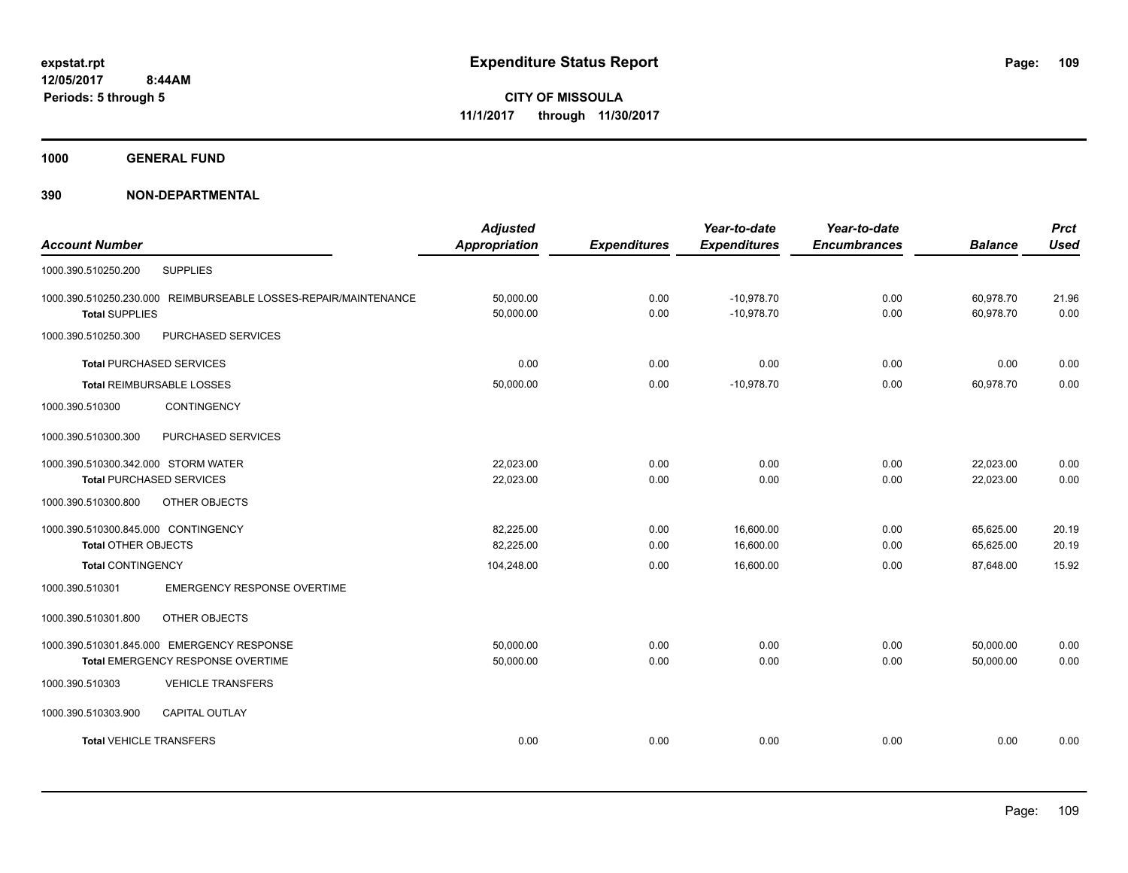**1000 GENERAL FUND**

| <b>Account Number</b>                                                                    | <b>Adjusted</b><br><b>Appropriation</b> | <b>Expenditures</b> | Year-to-date<br><b>Expenditures</b> | Year-to-date<br><b>Encumbrances</b> | <b>Balance</b>         | <b>Prct</b><br><b>Used</b> |
|------------------------------------------------------------------------------------------|-----------------------------------------|---------------------|-------------------------------------|-------------------------------------|------------------------|----------------------------|
| <b>SUPPLIES</b><br>1000.390.510250.200                                                   |                                         |                     |                                     |                                     |                        |                            |
| 1000.390.510250.230.000 REIMBURSEABLE LOSSES-REPAIR/MAINTENANCE<br><b>Total SUPPLIES</b> | 50,000.00<br>50,000.00                  | 0.00<br>0.00        | $-10,978.70$<br>$-10,978.70$        | 0.00<br>0.00                        | 60,978.70<br>60,978.70 | 21.96<br>0.00              |
| PURCHASED SERVICES<br>1000.390.510250.300                                                |                                         |                     |                                     |                                     |                        |                            |
| <b>Total PURCHASED SERVICES</b>                                                          | 0.00                                    | 0.00                | 0.00                                | 0.00                                | 0.00                   | 0.00                       |
| Total REIMBURSABLE LOSSES                                                                | 50,000.00                               | 0.00                | $-10,978.70$                        | 0.00                                | 60,978.70              | 0.00                       |
| CONTINGENCY<br>1000.390.510300                                                           |                                         |                     |                                     |                                     |                        |                            |
| PURCHASED SERVICES<br>1000.390.510300.300                                                |                                         |                     |                                     |                                     |                        |                            |
| 1000.390.510300.342.000 STORM WATER<br><b>Total PURCHASED SERVICES</b>                   | 22,023.00<br>22,023.00                  | 0.00<br>0.00        | 0.00<br>0.00                        | 0.00<br>0.00                        | 22,023.00<br>22,023.00 | 0.00<br>0.00               |
| 1000.390.510300.800<br>OTHER OBJECTS                                                     |                                         |                     |                                     |                                     |                        |                            |
| 1000.390.510300.845.000 CONTINGENCY                                                      | 82,225.00                               | 0.00                | 16,600.00                           | 0.00                                | 65,625.00              | 20.19                      |
| <b>Total OTHER OBJECTS</b>                                                               | 82,225.00                               | 0.00                | 16,600.00                           | 0.00                                | 65,625.00              | 20.19                      |
| <b>Total CONTINGENCY</b>                                                                 | 104,248.00                              | 0.00                | 16,600.00                           | 0.00                                | 87,648.00              | 15.92                      |
| <b>EMERGENCY RESPONSE OVERTIME</b><br>1000.390.510301                                    |                                         |                     |                                     |                                     |                        |                            |
| OTHER OBJECTS<br>1000.390.510301.800                                                     |                                         |                     |                                     |                                     |                        |                            |
| 1000.390.510301.845.000 EMERGENCY RESPONSE<br>Total EMERGENCY RESPONSE OVERTIME          | 50,000.00<br>50,000.00                  | 0.00<br>0.00        | 0.00<br>0.00                        | 0.00<br>0.00                        | 50,000.00<br>50,000.00 | 0.00<br>0.00               |
| 1000.390.510303<br><b>VEHICLE TRANSFERS</b>                                              |                                         |                     |                                     |                                     |                        |                            |
| 1000.390.510303.900<br><b>CAPITAL OUTLAY</b>                                             |                                         |                     |                                     |                                     |                        |                            |
| <b>Total VEHICLE TRANSFERS</b>                                                           | 0.00                                    | 0.00                | 0.00                                | 0.00                                | 0.00                   | 0.00                       |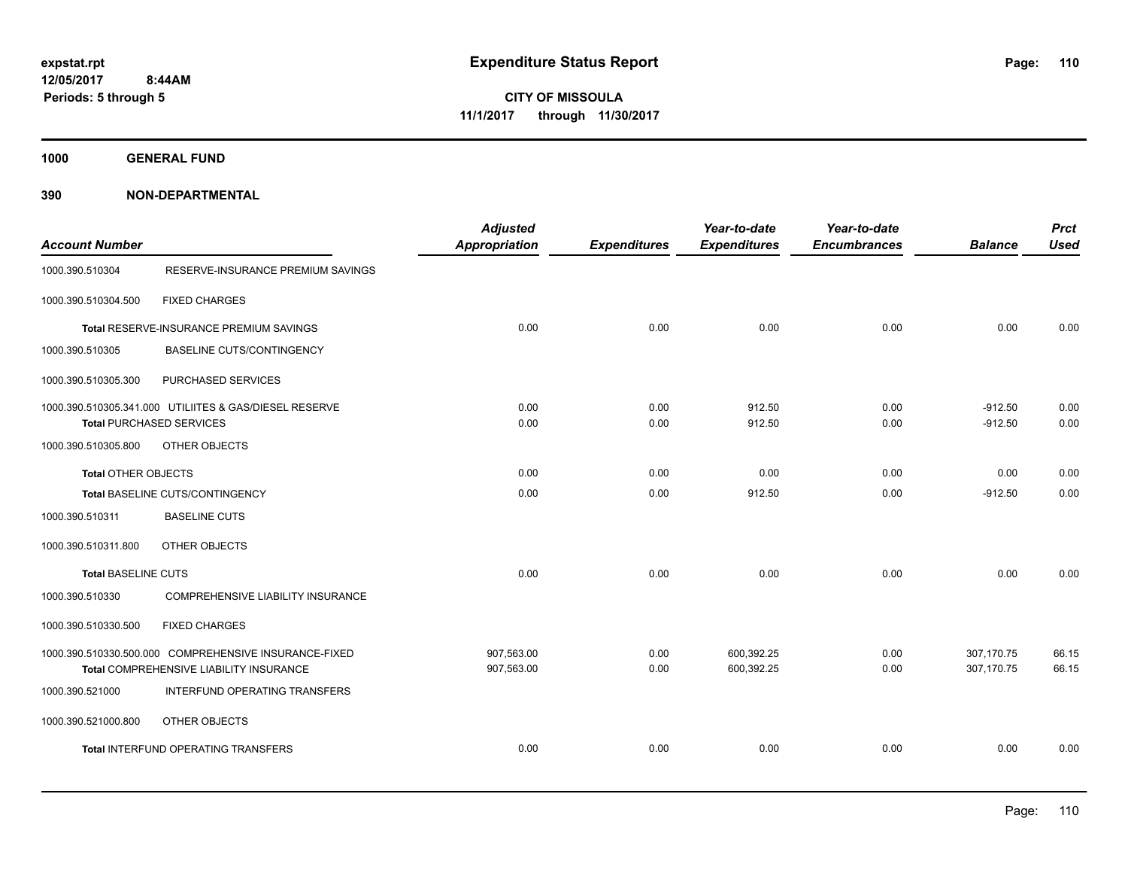**1000 GENERAL FUND**

| <b>Account Number</b>      |                                                        | <b>Adjusted</b><br><b>Appropriation</b> | <b>Expenditures</b> | Year-to-date<br><b>Expenditures</b> | Year-to-date<br><b>Encumbrances</b> | <b>Balance</b> | <b>Prct</b><br><b>Used</b> |
|----------------------------|--------------------------------------------------------|-----------------------------------------|---------------------|-------------------------------------|-------------------------------------|----------------|----------------------------|
| 1000.390.510304            | RESERVE-INSURANCE PREMIUM SAVINGS                      |                                         |                     |                                     |                                     |                |                            |
| 1000.390.510304.500        | <b>FIXED CHARGES</b>                                   |                                         |                     |                                     |                                     |                |                            |
|                            | Total RESERVE-INSURANCE PREMIUM SAVINGS                | 0.00                                    | 0.00                | 0.00                                | 0.00                                | 0.00           | 0.00                       |
| 1000.390.510305            | <b>BASELINE CUTS/CONTINGENCY</b>                       |                                         |                     |                                     |                                     |                |                            |
| 1000.390.510305.300        | PURCHASED SERVICES                                     |                                         |                     |                                     |                                     |                |                            |
|                            | 1000.390.510305.341.000 UTILIITES & GAS/DIESEL RESERVE | 0.00                                    | 0.00                | 912.50                              | 0.00                                | $-912.50$      | 0.00                       |
|                            | <b>Total PURCHASED SERVICES</b>                        | 0.00                                    | 0.00                | 912.50                              | 0.00                                | $-912.50$      | 0.00                       |
| 1000.390.510305.800        | OTHER OBJECTS                                          |                                         |                     |                                     |                                     |                |                            |
| <b>Total OTHER OBJECTS</b> |                                                        | 0.00                                    | 0.00                | 0.00                                | 0.00                                | 0.00           | 0.00                       |
|                            | Total BASELINE CUTS/CONTINGENCY                        | 0.00                                    | 0.00                | 912.50                              | 0.00                                | $-912.50$      | 0.00                       |
| 1000.390.510311            | <b>BASELINE CUTS</b>                                   |                                         |                     |                                     |                                     |                |                            |
| 1000.390.510311.800        | OTHER OBJECTS                                          |                                         |                     |                                     |                                     |                |                            |
| <b>Total BASELINE CUTS</b> |                                                        | 0.00                                    | 0.00                | 0.00                                | 0.00                                | 0.00           | 0.00                       |
| 1000.390.510330            | COMPREHENSIVE LIABILITY INSURANCE                      |                                         |                     |                                     |                                     |                |                            |
| 1000.390.510330.500        | <b>FIXED CHARGES</b>                                   |                                         |                     |                                     |                                     |                |                            |
|                            | 1000.390.510330.500.000 COMPREHENSIVE INSURANCE-FIXED  | 907,563.00                              | 0.00                | 600,392.25                          | 0.00                                | 307,170.75     | 66.15                      |
|                            | Total COMPREHENSIVE LIABILITY INSURANCE                | 907,563.00                              | 0.00                | 600,392.25                          | 0.00                                | 307,170.75     | 66.15                      |
| 1000.390.521000            | INTERFUND OPERATING TRANSFERS                          |                                         |                     |                                     |                                     |                |                            |
| 1000.390.521000.800        | OTHER OBJECTS                                          |                                         |                     |                                     |                                     |                |                            |
|                            | Total INTERFUND OPERATING TRANSFERS                    | 0.00                                    | 0.00                | 0.00                                | 0.00                                | 0.00           | 0.00                       |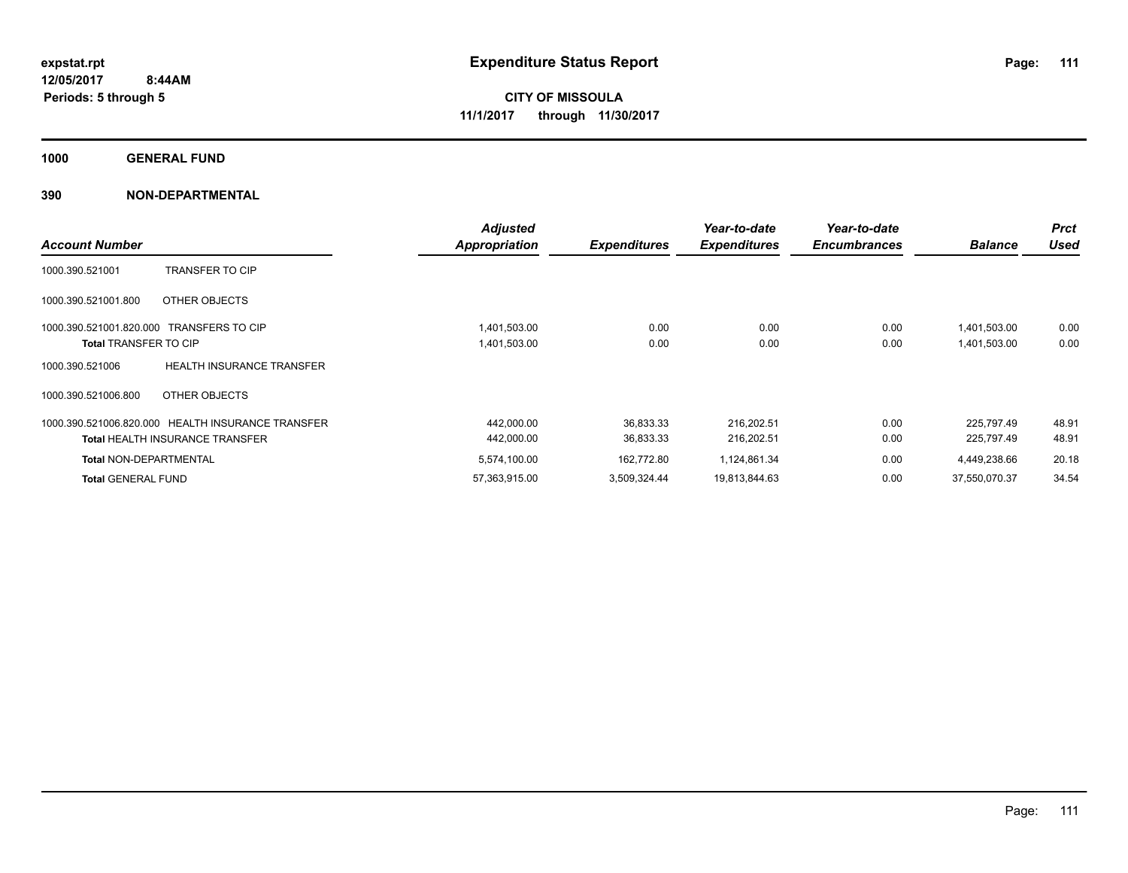**1000 GENERAL FUND**

| <b>Account Number</b>                                                    |                                                                                             | <b>Adjusted</b><br><b>Appropriation</b> | <b>Expenditures</b>    | Year-to-date<br><b>Expenditures</b> | Year-to-date<br><b>Encumbrances</b> | <b>Balance</b>               | <b>Prct</b><br><b>Used</b> |
|--------------------------------------------------------------------------|---------------------------------------------------------------------------------------------|-----------------------------------------|------------------------|-------------------------------------|-------------------------------------|------------------------------|----------------------------|
| 1000.390.521001                                                          | <b>TRANSFER TO CIP</b>                                                                      |                                         |                        |                                     |                                     |                              |                            |
| 1000.390.521001.800                                                      | OTHER OBJECTS                                                                               |                                         |                        |                                     |                                     |                              |                            |
| 1000.390.521001.820.000 TRANSFERS TO CIP<br><b>Total TRANSFER TO CIP</b> |                                                                                             | 1,401,503.00<br>1,401,503.00            | 0.00<br>0.00           | 0.00<br>0.00                        | 0.00<br>0.00                        | 1,401,503.00<br>1,401,503.00 | 0.00<br>0.00               |
| 1000.390.521006                                                          | <b>HEALTH INSURANCE TRANSFER</b>                                                            |                                         |                        |                                     |                                     |                              |                            |
| 1000.390.521006.800                                                      | OTHER OBJECTS                                                                               |                                         |                        |                                     |                                     |                              |                            |
|                                                                          | 1000.390.521006.820.000 HEALTH INSURANCE TRANSFER<br><b>Total HEALTH INSURANCE TRANSFER</b> | 442,000.00<br>442,000.00                | 36,833.33<br>36,833.33 | 216,202.51<br>216,202.51            | 0.00<br>0.00                        | 225.797.49<br>225,797.49     | 48.91<br>48.91             |
| <b>Total NON-DEPARTMENTAL</b>                                            |                                                                                             | 5,574,100.00                            | 162,772.80             | 1,124,861.34                        | 0.00                                | 4,449,238.66                 | 20.18                      |
| <b>Total GENERAL FUND</b>                                                |                                                                                             | 57,363,915.00                           | 3,509,324.44           | 19,813,844.63                       | 0.00                                | 37,550,070.37                | 34.54                      |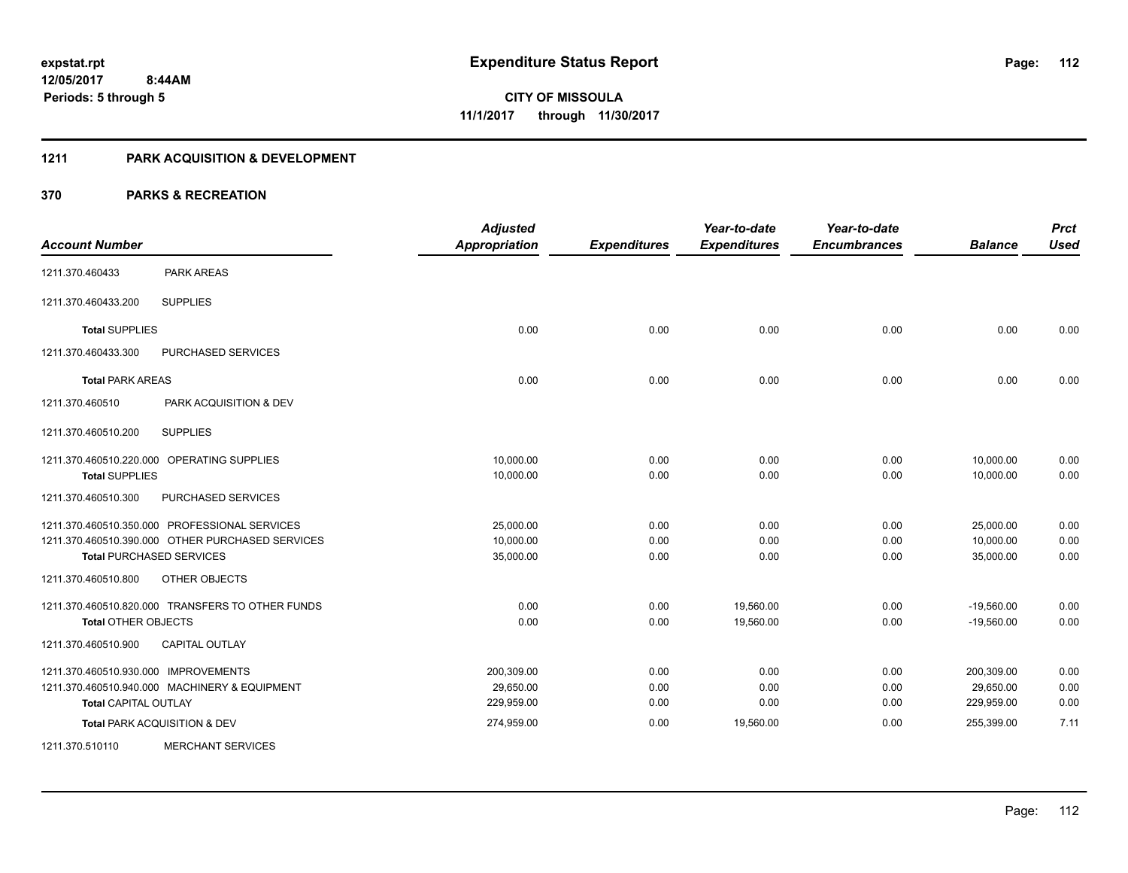#### **1211 PARK ACQUISITION & DEVELOPMENT**

| <b>Account Number</b>                      |                                                  | <b>Adjusted</b><br><b>Appropriation</b> | <b>Expenditures</b> | Year-to-date<br><b>Expenditures</b> | Year-to-date<br><b>Encumbrances</b> | <b>Balance</b> | <b>Prct</b><br><b>Used</b> |
|--------------------------------------------|--------------------------------------------------|-----------------------------------------|---------------------|-------------------------------------|-------------------------------------|----------------|----------------------------|
| 1211.370.460433                            | <b>PARK AREAS</b>                                |                                         |                     |                                     |                                     |                |                            |
| 1211.370.460433.200                        | <b>SUPPLIES</b>                                  |                                         |                     |                                     |                                     |                |                            |
| <b>Total SUPPLIES</b>                      |                                                  | 0.00                                    | 0.00                | 0.00                                | 0.00                                | 0.00           | 0.00                       |
| 1211.370.460433.300                        | <b>PURCHASED SERVICES</b>                        |                                         |                     |                                     |                                     |                |                            |
| <b>Total PARK AREAS</b>                    |                                                  | 0.00                                    | 0.00                | 0.00                                | 0.00                                | 0.00           | 0.00                       |
| 1211.370.460510                            | PARK ACQUISITION & DEV                           |                                         |                     |                                     |                                     |                |                            |
| 1211.370.460510.200                        | <b>SUPPLIES</b>                                  |                                         |                     |                                     |                                     |                |                            |
| 1211.370.460510.220.000 OPERATING SUPPLIES |                                                  | 10,000.00                               | 0.00                | 0.00                                | 0.00                                | 10,000.00      | 0.00                       |
| <b>Total SUPPLIES</b>                      |                                                  | 10,000.00                               | 0.00                | 0.00                                | 0.00                                | 10,000.00      | 0.00                       |
| 1211.370.460510.300                        | PURCHASED SERVICES                               |                                         |                     |                                     |                                     |                |                            |
|                                            | 1211.370.460510.350.000 PROFESSIONAL SERVICES    | 25,000.00                               | 0.00                | 0.00                                | 0.00                                | 25,000.00      | 0.00                       |
|                                            | 1211.370.460510.390.000 OTHER PURCHASED SERVICES | 10,000.00                               | 0.00                | 0.00                                | 0.00                                | 10,000.00      | 0.00                       |
| <b>Total PURCHASED SERVICES</b>            |                                                  | 35,000.00                               | 0.00                | 0.00                                | 0.00                                | 35,000.00      | 0.00                       |
| 1211.370.460510.800                        | OTHER OBJECTS                                    |                                         |                     |                                     |                                     |                |                            |
|                                            | 1211.370.460510.820.000 TRANSFERS TO OTHER FUNDS | 0.00                                    | 0.00                | 19,560.00                           | 0.00                                | $-19,560.00$   | 0.00                       |
| <b>Total OTHER OBJECTS</b>                 |                                                  | 0.00                                    | 0.00                | 19,560.00                           | 0.00                                | $-19,560.00$   | 0.00                       |
| 1211.370.460510.900                        | <b>CAPITAL OUTLAY</b>                            |                                         |                     |                                     |                                     |                |                            |
| 1211.370.460510.930.000 IMPROVEMENTS       |                                                  | 200,309.00                              | 0.00                | 0.00                                | 0.00                                | 200,309.00     | 0.00                       |
|                                            | 1211.370.460510.940.000 MACHINERY & EQUIPMENT    | 29,650.00                               | 0.00                | 0.00                                | 0.00                                | 29,650.00      | 0.00                       |
| <b>Total CAPITAL OUTLAY</b>                |                                                  | 229,959.00                              | 0.00                | 0.00                                | 0.00                                | 229,959.00     | 0.00                       |
| Total PARK ACQUISITION & DEV               |                                                  | 274,959.00                              | 0.00                | 19,560.00                           | 0.00                                | 255,399.00     | 7.11                       |
| 1211.370.510110                            | <b>MERCHANT SERVICES</b>                         |                                         |                     |                                     |                                     |                |                            |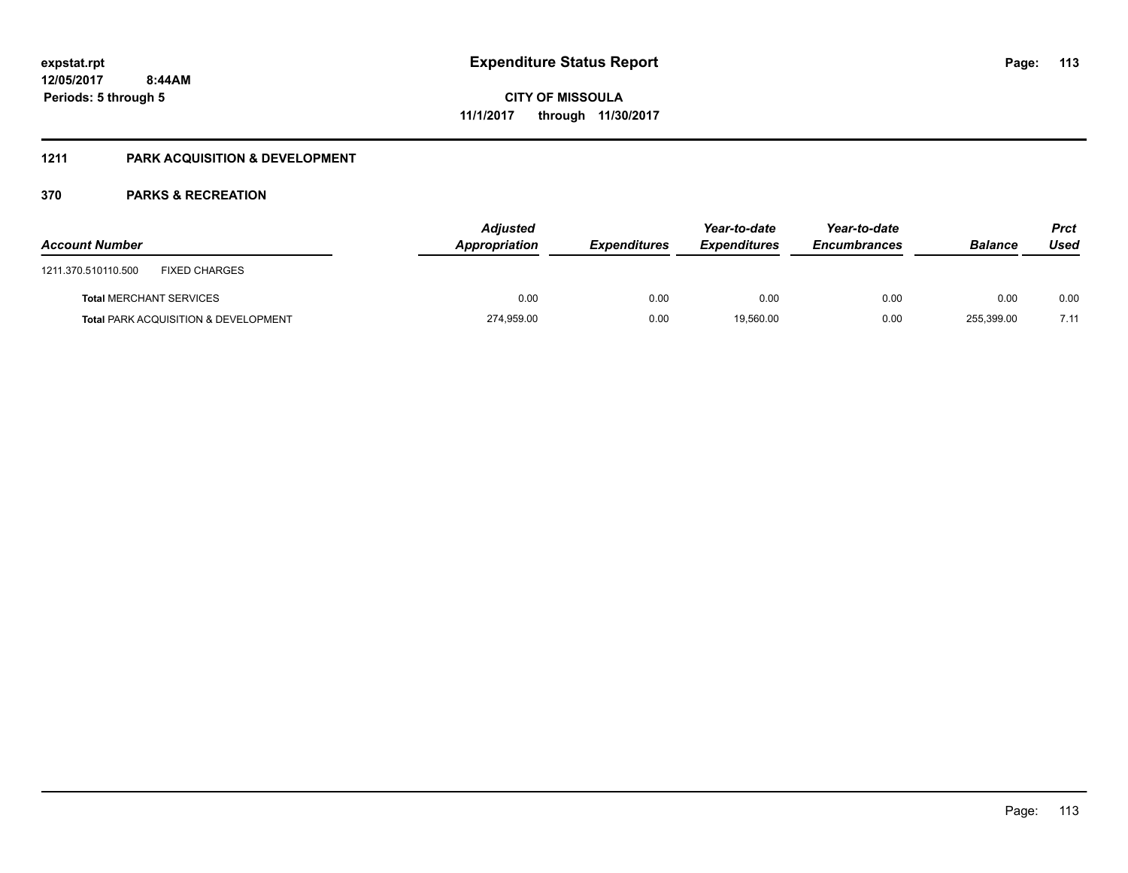## **1211 PARK ACQUISITION & DEVELOPMENT**

| <b>Account Number</b>                           | <b>Adjusted</b><br>Appropriation | <b>Expenditures</b> | Year-to-date<br><b>Expenditures</b> | Year-to-date<br><b>Encumbrances</b> | <b>Balance</b> | <b>Prct</b><br>Used |
|-------------------------------------------------|----------------------------------|---------------------|-------------------------------------|-------------------------------------|----------------|---------------------|
| <b>FIXED CHARGES</b><br>1211.370.510110.500     |                                  |                     |                                     |                                     |                |                     |
| <b>Total MERCHANT SERVICES</b>                  | 0.00                             | 0.00                | 0.00                                | 0.00                                | 0.00           | 0.00                |
| <b>Total PARK ACQUISITION &amp; DEVELOPMENT</b> | 274,959.00                       | 0.00                | 19.560.00                           | 0.00                                | 255,399.00     | 7.11                |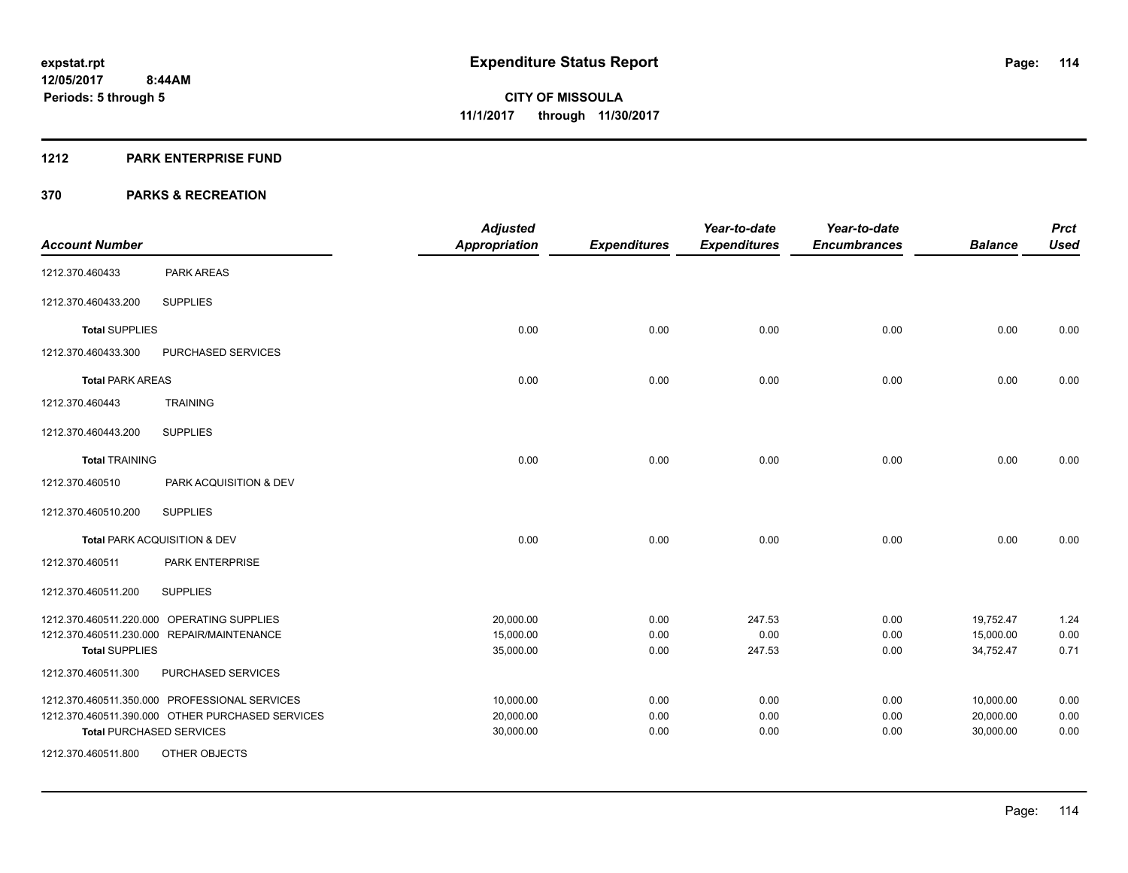#### **1212 PARK ENTERPRISE FUND**

|                         |                                                                                                                                      | <b>Adjusted</b>                     |                      | Year-to-date             | Year-to-date         |                                     | <b>Prct</b>          |
|-------------------------|--------------------------------------------------------------------------------------------------------------------------------------|-------------------------------------|----------------------|--------------------------|----------------------|-------------------------------------|----------------------|
| <b>Account Number</b>   |                                                                                                                                      | <b>Appropriation</b>                | <b>Expenditures</b>  | <b>Expenditures</b>      | <b>Encumbrances</b>  | <b>Balance</b>                      | <b>Used</b>          |
| 1212.370.460433         | PARK AREAS                                                                                                                           |                                     |                      |                          |                      |                                     |                      |
| 1212.370.460433.200     | <b>SUPPLIES</b>                                                                                                                      |                                     |                      |                          |                      |                                     |                      |
| <b>Total SUPPLIES</b>   |                                                                                                                                      | 0.00                                | 0.00                 | 0.00                     | 0.00                 | 0.00                                | 0.00                 |
| 1212.370.460433.300     | PURCHASED SERVICES                                                                                                                   |                                     |                      |                          |                      |                                     |                      |
| <b>Total PARK AREAS</b> |                                                                                                                                      | 0.00                                | 0.00                 | 0.00                     | 0.00                 | 0.00                                | 0.00                 |
| 1212.370.460443         | <b>TRAINING</b>                                                                                                                      |                                     |                      |                          |                      |                                     |                      |
| 1212.370.460443.200     | <b>SUPPLIES</b>                                                                                                                      |                                     |                      |                          |                      |                                     |                      |
| <b>Total TRAINING</b>   |                                                                                                                                      | 0.00                                | 0.00                 | 0.00                     | 0.00                 | 0.00                                | 0.00                 |
| 1212.370.460510         | PARK ACQUISITION & DEV                                                                                                               |                                     |                      |                          |                      |                                     |                      |
| 1212.370.460510.200     | <b>SUPPLIES</b>                                                                                                                      |                                     |                      |                          |                      |                                     |                      |
|                         | Total PARK ACQUISITION & DEV                                                                                                         | 0.00                                | 0.00                 | 0.00                     | 0.00                 | 0.00                                | 0.00                 |
| 1212.370.460511         | PARK ENTERPRISE                                                                                                                      |                                     |                      |                          |                      |                                     |                      |
| 1212.370.460511.200     | <b>SUPPLIES</b>                                                                                                                      |                                     |                      |                          |                      |                                     |                      |
| <b>Total SUPPLIES</b>   | 1212.370.460511.220.000 OPERATING SUPPLIES<br>1212.370.460511.230.000 REPAIR/MAINTENANCE                                             | 20,000.00<br>15,000.00<br>35,000.00 | 0.00<br>0.00<br>0.00 | 247.53<br>0.00<br>247.53 | 0.00<br>0.00<br>0.00 | 19,752.47<br>15,000.00<br>34,752.47 | 1.24<br>0.00<br>0.71 |
| 1212.370.460511.300     | PURCHASED SERVICES                                                                                                                   |                                     |                      |                          |                      |                                     |                      |
|                         | 1212.370.460511.350.000 PROFESSIONAL SERVICES<br>1212.370.460511.390.000 OTHER PURCHASED SERVICES<br><b>Total PURCHASED SERVICES</b> | 10,000.00<br>20,000.00<br>30,000.00 | 0.00<br>0.00<br>0.00 | 0.00<br>0.00<br>0.00     | 0.00<br>0.00<br>0.00 | 10,000.00<br>20,000.00<br>30,000.00 | 0.00<br>0.00<br>0.00 |
| 1212.370.460511.800     | <b>OTHER OBJECTS</b>                                                                                                                 |                                     |                      |                          |                      |                                     |                      |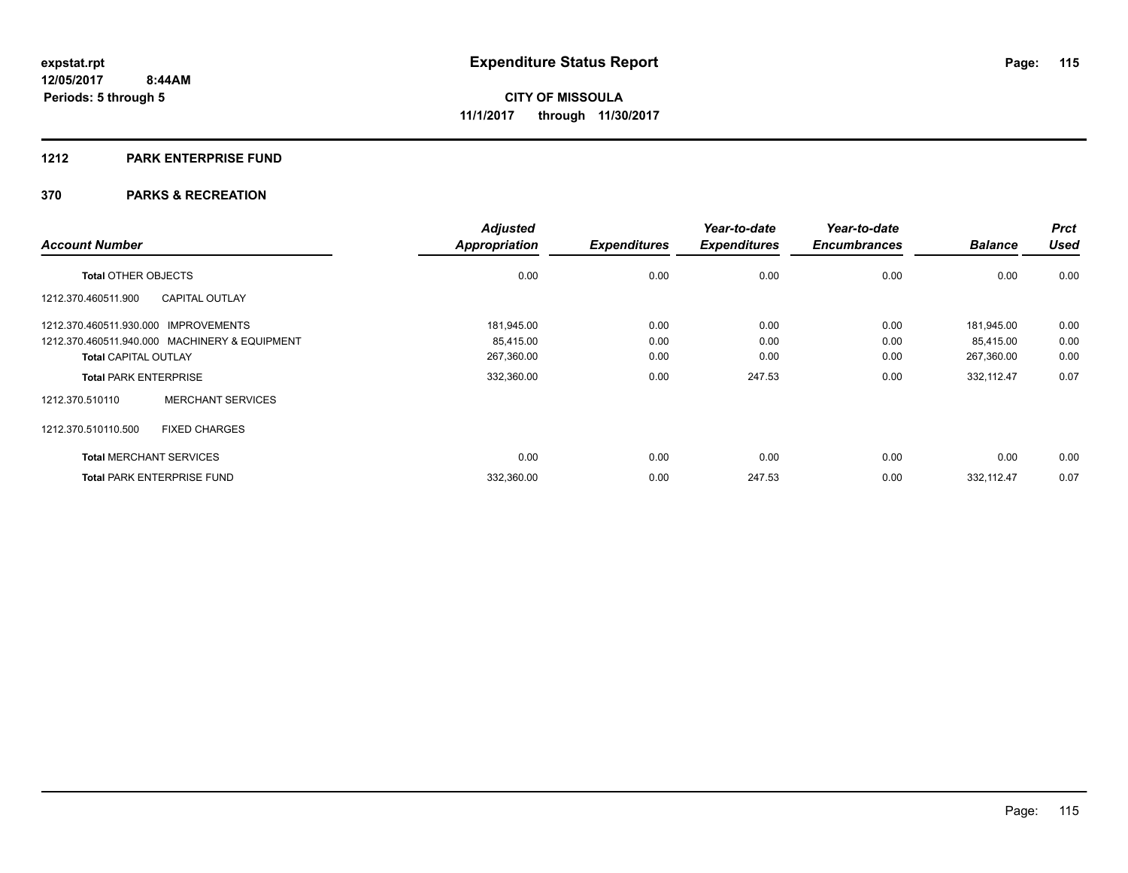#### **1212 PARK ENTERPRISE FUND**

|                                      |                                               | <b>Adjusted</b>      |                     | Year-to-date        | Year-to-date        |                | <b>Prct</b> |
|--------------------------------------|-----------------------------------------------|----------------------|---------------------|---------------------|---------------------|----------------|-------------|
| <b>Account Number</b>                |                                               | <b>Appropriation</b> | <b>Expenditures</b> | <b>Expenditures</b> | <b>Encumbrances</b> | <b>Balance</b> | <b>Used</b> |
| <b>Total OTHER OBJECTS</b>           |                                               | 0.00                 | 0.00                | 0.00                | 0.00                | 0.00           | 0.00        |
| 1212.370.460511.900                  | <b>CAPITAL OUTLAY</b>                         |                      |                     |                     |                     |                |             |
| 1212.370.460511.930.000 IMPROVEMENTS |                                               | 181,945.00           | 0.00                | 0.00                | 0.00                | 181.945.00     | 0.00        |
|                                      | 1212.370.460511.940.000 MACHINERY & EQUIPMENT | 85,415.00            | 0.00                | 0.00                | 0.00                | 85,415.00      | 0.00        |
| <b>Total CAPITAL OUTLAY</b>          |                                               | 267,360.00           | 0.00                | 0.00                | 0.00                | 267,360.00     | 0.00        |
| <b>Total PARK ENTERPRISE</b>         |                                               | 332,360.00           | 0.00                | 247.53              | 0.00                | 332,112.47     | 0.07        |
| 1212.370.510110                      | <b>MERCHANT SERVICES</b>                      |                      |                     |                     |                     |                |             |
| 1212.370.510110.500                  | <b>FIXED CHARGES</b>                          |                      |                     |                     |                     |                |             |
| <b>Total MERCHANT SERVICES</b>       |                                               | 0.00                 | 0.00                | 0.00                | 0.00                | 0.00           | 0.00        |
|                                      | <b>Total PARK ENTERPRISE FUND</b>             | 332,360.00           | 0.00                | 247.53              | 0.00                | 332,112.47     | 0.07        |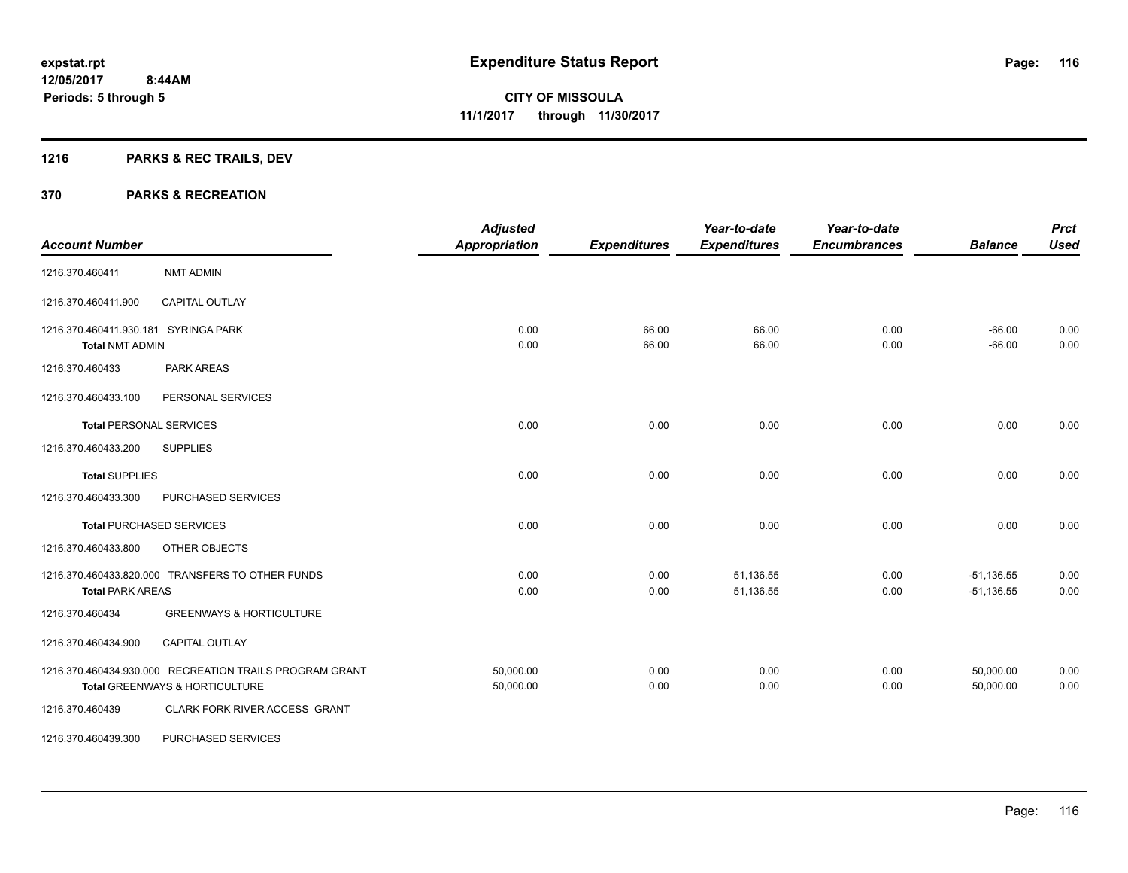# **1216 PARKS & REC TRAILS, DEV**

| <b>Account Number</b>                |                                                         | <b>Adjusted</b><br>Appropriation | <b>Expenditures</b> | Year-to-date<br><b>Expenditures</b> | Year-to-date<br><b>Encumbrances</b> | <b>Balance</b> | <b>Prct</b><br><b>Used</b> |
|--------------------------------------|---------------------------------------------------------|----------------------------------|---------------------|-------------------------------------|-------------------------------------|----------------|----------------------------|
|                                      |                                                         |                                  |                     |                                     |                                     |                |                            |
| 1216.370.460411                      | NMT ADMIN                                               |                                  |                     |                                     |                                     |                |                            |
| 1216.370.460411.900                  | <b>CAPITAL OUTLAY</b>                                   |                                  |                     |                                     |                                     |                |                            |
| 1216.370.460411.930.181 SYRINGA PARK |                                                         | 0.00                             | 66.00               | 66.00                               | 0.00                                | $-66.00$       | 0.00                       |
| <b>Total NMT ADMIN</b>               |                                                         | 0.00                             | 66.00               | 66.00                               | 0.00                                | $-66.00$       | 0.00                       |
| 1216.370.460433                      | <b>PARK AREAS</b>                                       |                                  |                     |                                     |                                     |                |                            |
| 1216.370.460433.100                  | PERSONAL SERVICES                                       |                                  |                     |                                     |                                     |                |                            |
| <b>Total PERSONAL SERVICES</b>       |                                                         | 0.00                             | 0.00                | 0.00                                | 0.00                                | 0.00           | 0.00                       |
| 1216.370.460433.200                  | <b>SUPPLIES</b>                                         |                                  |                     |                                     |                                     |                |                            |
| <b>Total SUPPLIES</b>                |                                                         | 0.00                             | 0.00                | 0.00                                | 0.00                                | 0.00           | 0.00                       |
| 1216.370.460433.300                  | PURCHASED SERVICES                                      |                                  |                     |                                     |                                     |                |                            |
|                                      | <b>Total PURCHASED SERVICES</b>                         | 0.00                             | 0.00                | 0.00                                | 0.00                                | 0.00           | 0.00                       |
| 1216.370.460433.800                  | OTHER OBJECTS                                           |                                  |                     |                                     |                                     |                |                            |
|                                      | 1216.370.460433.820.000 TRANSFERS TO OTHER FUNDS        | 0.00                             | 0.00                | 51,136.55                           | 0.00                                | $-51,136.55$   | 0.00                       |
| <b>Total PARK AREAS</b>              |                                                         | 0.00                             | 0.00                | 51,136.55                           | 0.00                                | $-51,136.55$   | 0.00                       |
| 1216.370.460434                      | <b>GREENWAYS &amp; HORTICULTURE</b>                     |                                  |                     |                                     |                                     |                |                            |
| 1216.370.460434.900                  | CAPITAL OUTLAY                                          |                                  |                     |                                     |                                     |                |                            |
|                                      | 1216.370.460434.930.000 RECREATION TRAILS PROGRAM GRANT | 50,000.00                        | 0.00                | 0.00                                | 0.00                                | 50,000.00      | 0.00                       |
|                                      | Total GREENWAYS & HORTICULTURE                          | 50,000.00                        | 0.00                | 0.00                                | 0.00                                | 50.000.00      | 0.00                       |
| 1216.370.460439                      | CLARK FORK RIVER ACCESS GRANT                           |                                  |                     |                                     |                                     |                |                            |
| 1216.370.460439.300                  | PURCHASED SERVICES                                      |                                  |                     |                                     |                                     |                |                            |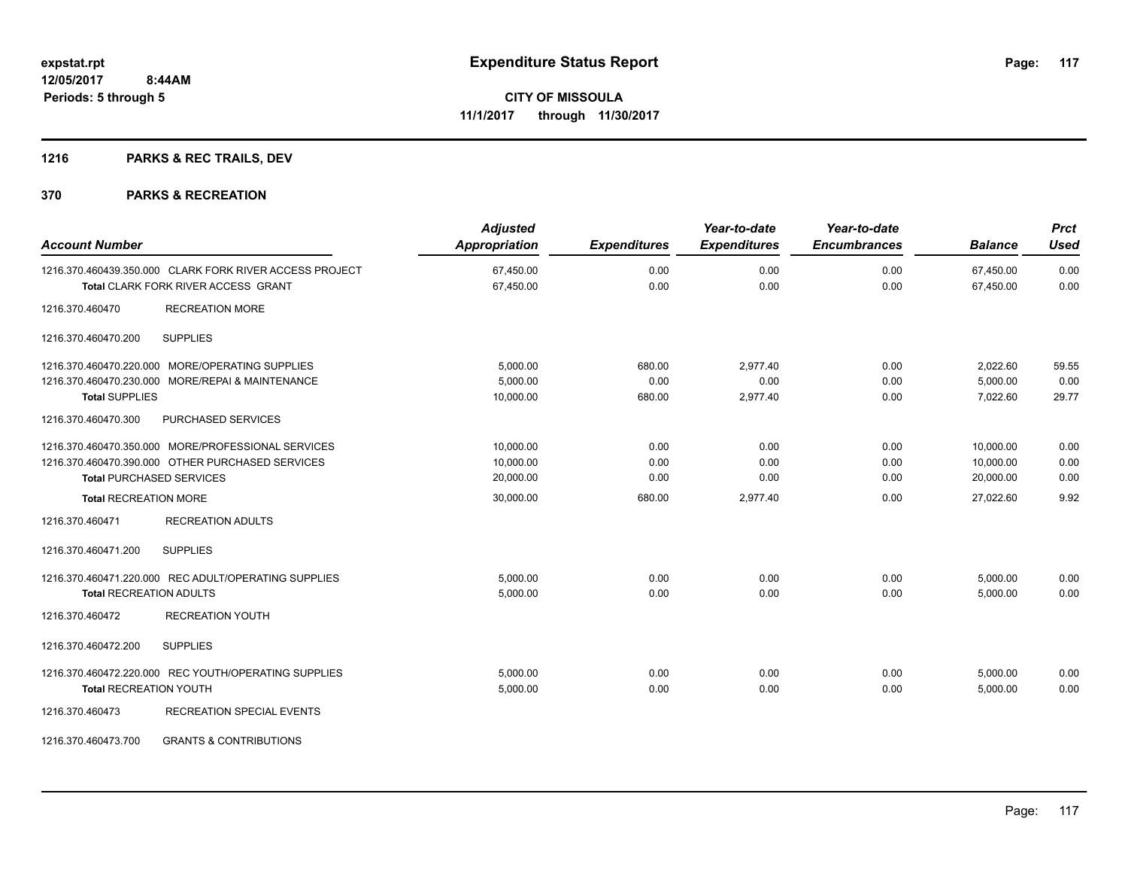# **1216 PARKS & REC TRAILS, DEV**

| <b>Account Number</b>                                                                                                                                                     | <b>Adjusted</b><br><b>Appropriation</b>          | <b>Expenditures</b>            | Year-to-date<br><b>Expenditures</b> | Year-to-date<br><b>Encumbrances</b> | <b>Balance</b>                                   | <b>Prct</b><br><b>Used</b>   |
|---------------------------------------------------------------------------------------------------------------------------------------------------------------------------|--------------------------------------------------|--------------------------------|-------------------------------------|-------------------------------------|--------------------------------------------------|------------------------------|
| 1216.370.460439.350.000 CLARK FORK RIVER ACCESS PROJECT<br><b>Total CLARK FORK RIVER ACCESS GRANT</b>                                                                     | 67,450.00<br>67,450.00                           | 0.00<br>0.00                   | 0.00<br>0.00                        | 0.00<br>0.00                        | 67,450.00<br>67,450.00                           | 0.00<br>0.00                 |
| <b>RECREATION MORE</b><br>1216.370.460470                                                                                                                                 |                                                  |                                |                                     |                                     |                                                  |                              |
| <b>SUPPLIES</b><br>1216.370.460470.200                                                                                                                                    |                                                  |                                |                                     |                                     |                                                  |                              |
| 1216.370.460470.220.000 MORE/OPERATING SUPPLIES<br>1216.370.460470.230.000 MORE/REPAI & MAINTENANCE<br><b>Total SUPPLIES</b><br>1216.370.460470.300<br>PURCHASED SERVICES | 5,000.00<br>5,000.00<br>10,000.00                | 680.00<br>0.00<br>680.00       | 2,977.40<br>0.00<br>2,977.40        | 0.00<br>0.00<br>0.00                | 2,022.60<br>5,000.00<br>7,022.60                 | 59.55<br>0.00<br>29.77       |
| 1216.370.460470.350.000 MORE/PROFESSIONAL SERVICES<br>1216.370.460470.390.000 OTHER PURCHASED SERVICES<br><b>Total PURCHASED SERVICES</b><br><b>Total RECREATION MORE</b> | 10,000.00<br>10,000.00<br>20,000.00<br>30,000.00 | 0.00<br>0.00<br>0.00<br>680.00 | 0.00<br>0.00<br>0.00<br>2,977.40    | 0.00<br>0.00<br>0.00<br>0.00        | 10,000.00<br>10,000.00<br>20,000.00<br>27,022.60 | 0.00<br>0.00<br>0.00<br>9.92 |
| 1216.370.460471<br><b>RECREATION ADULTS</b>                                                                                                                               |                                                  |                                |                                     |                                     |                                                  |                              |
| 1216.370.460471.200<br><b>SUPPLIES</b>                                                                                                                                    |                                                  |                                |                                     |                                     |                                                  |                              |
| 1216.370.460471.220.000 REC ADULT/OPERATING SUPPLIES<br><b>Total RECREATION ADULTS</b><br>1216.370.460472<br><b>RECREATION YOUTH</b>                                      | 5,000.00<br>5,000.00                             | 0.00<br>0.00                   | 0.00<br>0.00                        | 0.00<br>0.00                        | 5,000.00<br>5,000.00                             | 0.00<br>0.00                 |
| 1216.370.460472.200<br><b>SUPPLIES</b>                                                                                                                                    |                                                  |                                |                                     |                                     |                                                  |                              |
| 1216.370.460472.220.000 REC YOUTH/OPERATING SUPPLIES<br><b>Total RECREATION YOUTH</b><br>1216.370.460473<br><b>RECREATION SPECIAL EVENTS</b>                              | 5,000.00<br>5,000.00                             | 0.00<br>0.00                   | 0.00<br>0.00                        | 0.00<br>0.00                        | 5,000.00<br>5,000.00                             | 0.00<br>0.00                 |
| <b>GRANTS &amp; CONTRIBUTIONS</b><br>1216.370.460473.700                                                                                                                  |                                                  |                                |                                     |                                     |                                                  |                              |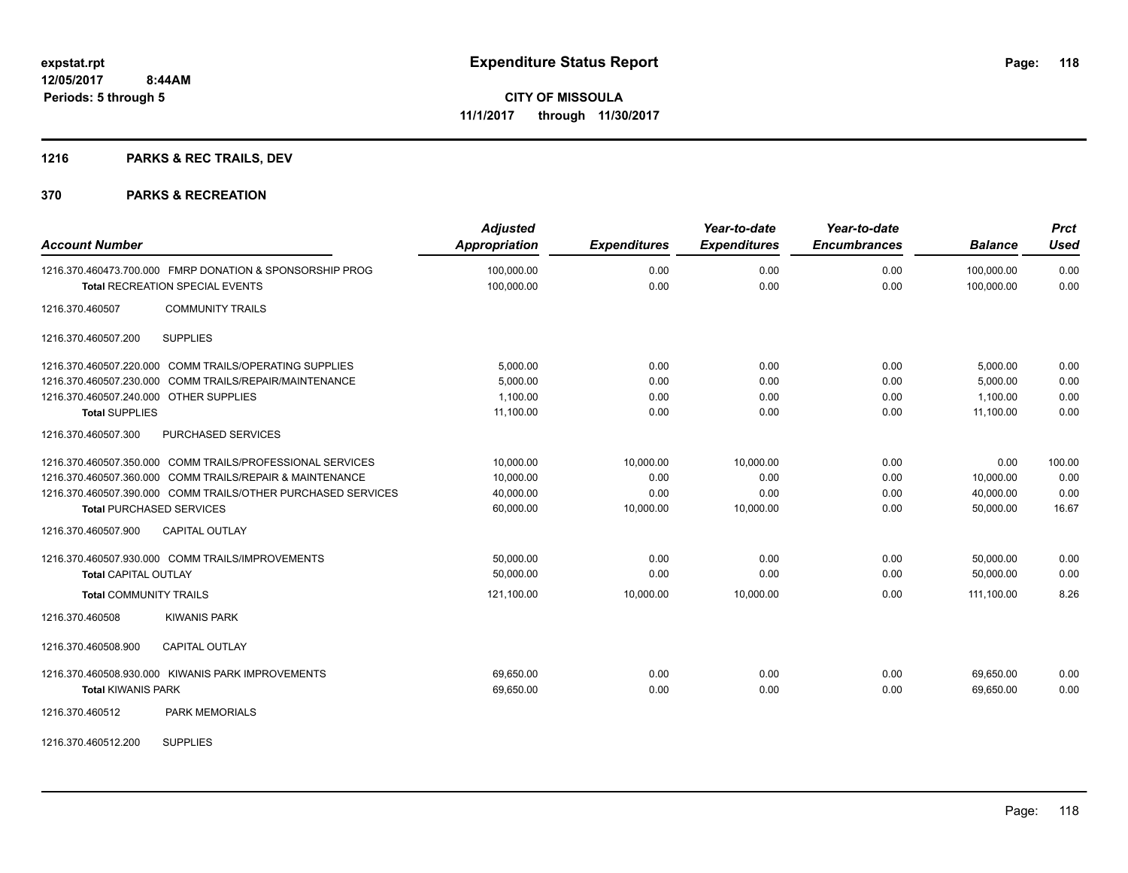# **1216 PARKS & REC TRAILS, DEV**

#### **370 PARKS & RECREATION**

| <b>Account Number</b>                                                                              | <b>Adjusted</b><br><b>Appropriation</b> | <b>Expenditures</b> | Year-to-date<br><b>Expenditures</b> | Year-to-date<br><b>Encumbrances</b> | <b>Balance</b>           | <b>Prct</b><br>Used |
|----------------------------------------------------------------------------------------------------|-----------------------------------------|---------------------|-------------------------------------|-------------------------------------|--------------------------|---------------------|
| 1216.370.460473.700.000 FMRP DONATION & SPONSORSHIP PROG<br><b>Total RECREATION SPECIAL EVENTS</b> | 100,000.00<br>100,000.00                | 0.00<br>0.00        | 0.00<br>0.00                        | 0.00<br>0.00                        | 100,000.00<br>100,000.00 | 0.00<br>0.00        |
| <b>COMMUNITY TRAILS</b><br>1216.370.460507                                                         |                                         |                     |                                     |                                     |                          |                     |
| 1216.370.460507.200<br><b>SUPPLIES</b>                                                             |                                         |                     |                                     |                                     |                          |                     |
| 1216.370.460507.220.000 COMM TRAILS/OPERATING SUPPLIES                                             | 5,000.00                                | 0.00                | 0.00                                | 0.00                                | 5,000.00                 | 0.00                |
| 1216.370.460507.230.000 COMM TRAILS/REPAIR/MAINTENANCE                                             | 5,000.00                                | 0.00                | 0.00                                | 0.00                                | 5,000.00                 | 0.00                |
| 1216.370.460507.240.000 OTHER SUPPLIES                                                             | 1.100.00                                | 0.00                | 0.00                                | 0.00                                | 1.100.00                 | 0.00                |
| <b>Total SUPPLIES</b>                                                                              | 11,100.00                               | 0.00                | 0.00                                | 0.00                                | 11.100.00                | 0.00                |
| PURCHASED SERVICES<br>1216.370.460507.300                                                          |                                         |                     |                                     |                                     |                          |                     |
| 1216.370.460507.350.000 COMM TRAILS/PROFESSIONAL SERVICES                                          | 10,000.00                               | 10,000.00           | 10.000.00                           | 0.00                                | 0.00                     | 100.00              |
| 1216.370.460507.360.000 COMM TRAILS/REPAIR & MAINTENANCE                                           | 10,000.00                               | 0.00                | 0.00                                | 0.00                                | 10,000.00                | 0.00                |
| 1216.370.460507.390.000 COMM TRAILS/OTHER PURCHASED SERVICES                                       | 40,000.00                               | 0.00                | 0.00                                | 0.00                                | 40,000.00                | 0.00                |
| <b>Total PURCHASED SERVICES</b>                                                                    | 60,000.00                               | 10,000.00           | 10,000.00                           | 0.00                                | 50.000.00                | 16.67               |
| 1216.370.460507.900<br><b>CAPITAL OUTLAY</b>                                                       |                                         |                     |                                     |                                     |                          |                     |
| 1216.370.460507.930.000 COMM TRAILS/IMPROVEMENTS                                                   | 50,000.00                               | 0.00                | 0.00                                | 0.00                                | 50,000.00                | 0.00                |
| <b>Total CAPITAL OUTLAY</b>                                                                        | 50,000.00                               | 0.00                | 0.00                                | 0.00                                | 50,000.00                | 0.00                |
| <b>Total COMMUNITY TRAILS</b>                                                                      | 121,100.00                              | 10,000.00           | 10,000.00                           | 0.00                                | 111,100.00               | 8.26                |
| <b>KIWANIS PARK</b><br>1216.370.460508                                                             |                                         |                     |                                     |                                     |                          |                     |
| 1216.370.460508.900<br><b>CAPITAL OUTLAY</b>                                                       |                                         |                     |                                     |                                     |                          |                     |
| 1216.370.460508.930.000 KIWANIS PARK IMPROVEMENTS                                                  | 69,650.00                               | 0.00                | 0.00                                | 0.00                                | 69,650.00                | 0.00                |
| <b>Total KIWANIS PARK</b>                                                                          | 69,650.00                               | 0.00                | 0.00                                | 0.00                                | 69,650.00                | 0.00                |
| 1216.370.460512<br><b>PARK MEMORIALS</b>                                                           |                                         |                     |                                     |                                     |                          |                     |
|                                                                                                    |                                         |                     |                                     |                                     |                          |                     |

1216.370.460512.200 SUPPLIES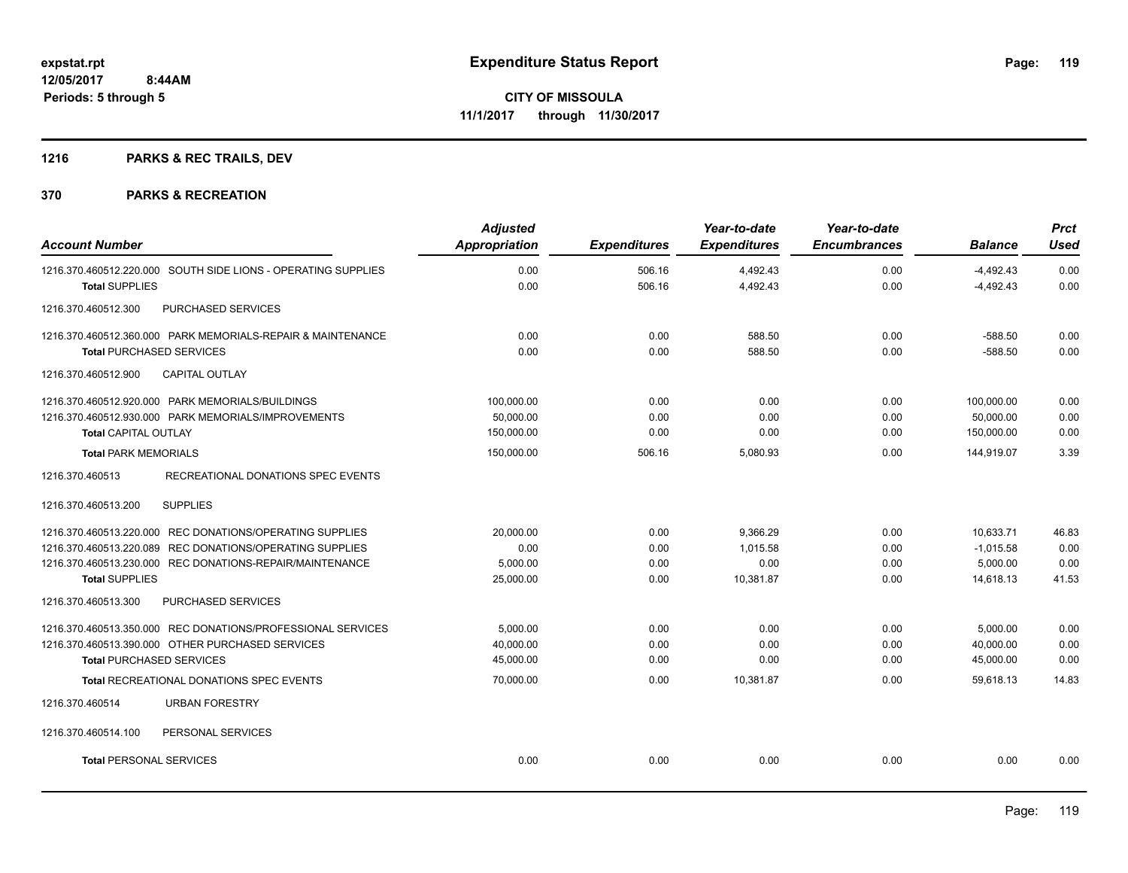# **1216 PARKS & REC TRAILS, DEV**

| <b>Account Number</b>                                         | <b>Adjusted</b><br><b>Appropriation</b> | <b>Expenditures</b> | Year-to-date<br><b>Expenditures</b> | Year-to-date<br><b>Encumbrances</b> | <b>Balance</b> | <b>Prct</b><br>Used |
|---------------------------------------------------------------|-----------------------------------------|---------------------|-------------------------------------|-------------------------------------|----------------|---------------------|
| 1216.370.460512.220.000 SOUTH SIDE LIONS - OPERATING SUPPLIES | 0.00                                    | 506.16              | 4,492.43                            | 0.00                                | $-4.492.43$    | 0.00                |
| <b>Total SUPPLIES</b>                                         | 0.00                                    | 506.16              | 4,492.43                            | 0.00                                | $-4,492.43$    | 0.00                |
| 1216.370.460512.300<br>PURCHASED SERVICES                     |                                         |                     |                                     |                                     |                |                     |
| 1216.370.460512.360.000 PARK MEMORIALS-REPAIR & MAINTENANCE   | 0.00                                    | 0.00                | 588.50                              | 0.00                                | $-588.50$      | 0.00                |
| <b>Total PURCHASED SERVICES</b>                               | 0.00                                    | 0.00                | 588.50                              | 0.00                                | $-588.50$      | 0.00                |
| <b>CAPITAL OUTLAY</b><br>1216.370.460512.900                  |                                         |                     |                                     |                                     |                |                     |
| 1216.370.460512.920.000 PARK MEMORIALS/BUILDINGS              | 100,000.00                              | 0.00                | 0.00                                | 0.00                                | 100,000.00     | 0.00                |
| 1216.370.460512.930.000 PARK MEMORIALS/IMPROVEMENTS           | 50,000.00                               | 0.00                | 0.00                                | 0.00                                | 50,000.00      | 0.00                |
| <b>Total CAPITAL OUTLAY</b>                                   | 150,000.00                              | 0.00                | 0.00                                | 0.00                                | 150,000.00     | 0.00                |
| <b>Total PARK MEMORIALS</b>                                   | 150,000.00                              | 506.16              | 5,080.93                            | 0.00                                | 144.919.07     | 3.39                |
| RECREATIONAL DONATIONS SPEC EVENTS<br>1216.370.460513         |                                         |                     |                                     |                                     |                |                     |
| 1216.370.460513.200<br><b>SUPPLIES</b>                        |                                         |                     |                                     |                                     |                |                     |
| 1216.370.460513.220.000 REC DONATIONS/OPERATING SUPPLIES      | 20,000.00                               | 0.00                | 9,366.29                            | 0.00                                | 10,633.71      | 46.83               |
| 1216.370.460513.220.089 REC DONATIONS/OPERATING SUPPLIES      | 0.00                                    | 0.00                | 1,015.58                            | 0.00                                | $-1,015.58$    | 0.00                |
| 1216.370.460513.230.000 REC DONATIONS-REPAIR/MAINTENANCE      | 5,000.00                                | 0.00                | 0.00                                | 0.00                                | 5,000.00       | 0.00                |
| <b>Total SUPPLIES</b>                                         | 25,000.00                               | 0.00                | 10,381.87                           | 0.00                                | 14,618.13      | 41.53               |
| PURCHASED SERVICES<br>1216.370.460513.300                     |                                         |                     |                                     |                                     |                |                     |
| 1216.370.460513.350.000 REC DONATIONS/PROFESSIONAL SERVICES   | 5,000.00                                | 0.00                | 0.00                                | 0.00                                | 5,000.00       | 0.00                |
| 1216.370.460513.390.000 OTHER PURCHASED SERVICES              | 40,000.00                               | 0.00                | 0.00                                | 0.00                                | 40.000.00      | 0.00                |
| <b>Total PURCHASED SERVICES</b>                               | 45,000.00                               | 0.00                | 0.00                                | 0.00                                | 45,000.00      | 0.00                |
| <b>Total RECREATIONAL DONATIONS SPEC EVENTS</b>               | 70,000.00                               | 0.00                | 10,381.87                           | 0.00                                | 59,618.13      | 14.83               |
| 1216.370.460514<br><b>URBAN FORESTRY</b>                      |                                         |                     |                                     |                                     |                |                     |
| PERSONAL SERVICES<br>1216.370.460514.100                      |                                         |                     |                                     |                                     |                |                     |
| <b>Total PERSONAL SERVICES</b>                                | 0.00                                    | 0.00                | 0.00                                | 0.00                                | 0.00           | 0.00                |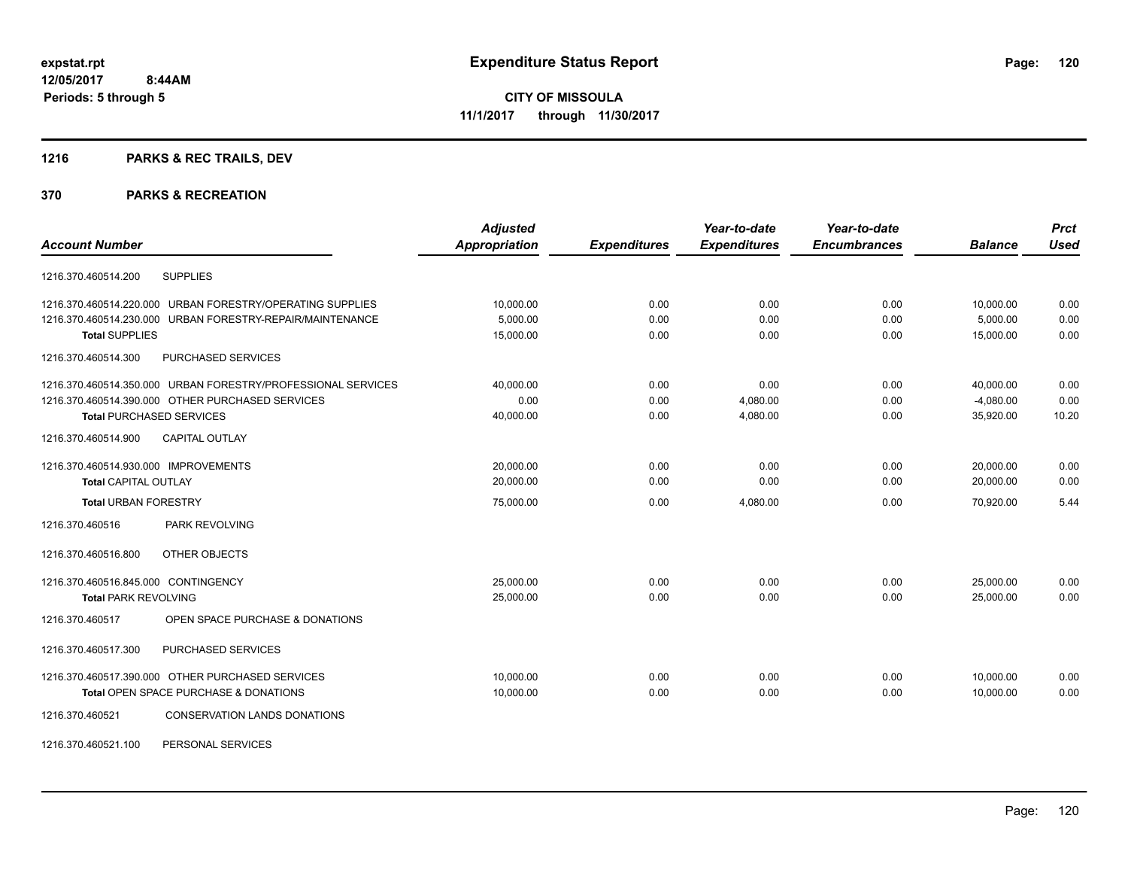# **1216 PARKS & REC TRAILS, DEV**

|                                                              | <b>Adjusted</b>      |                     | Year-to-date        | Year-to-date        |                | <b>Prct</b> |
|--------------------------------------------------------------|----------------------|---------------------|---------------------|---------------------|----------------|-------------|
| <b>Account Number</b>                                        | <b>Appropriation</b> | <b>Expenditures</b> | <b>Expenditures</b> | <b>Encumbrances</b> | <b>Balance</b> | <b>Used</b> |
| <b>SUPPLIES</b><br>1216.370.460514.200                       |                      |                     |                     |                     |                |             |
| 1216.370.460514.220.000 URBAN FORESTRY/OPERATING SUPPLIES    | 10,000.00            | 0.00                | 0.00                | 0.00                | 10,000.00      | 0.00        |
| URBAN FORESTRY-REPAIR/MAINTENANCE<br>1216.370.460514.230.000 | 5,000.00             | 0.00                | 0.00                | 0.00                | 5,000.00       | 0.00        |
| <b>Total SUPPLIES</b>                                        | 15,000.00            | 0.00                | 0.00                | 0.00                | 15,000.00      | 0.00        |
| PURCHASED SERVICES<br>1216.370.460514.300                    |                      |                     |                     |                     |                |             |
| 1216.370.460514.350.000 URBAN FORESTRY/PROFESSIONAL SERVICES | 40,000.00            | 0.00                | 0.00                | 0.00                | 40,000.00      | 0.00        |
| 1216.370.460514.390.000 OTHER PURCHASED SERVICES             | 0.00                 | 0.00                | 4,080.00            | 0.00                | $-4,080.00$    | 0.00        |
| <b>Total PURCHASED SERVICES</b>                              | 40,000.00            | 0.00                | 4,080.00            | 0.00                | 35,920.00      | 10.20       |
| <b>CAPITAL OUTLAY</b><br>1216.370.460514.900                 |                      |                     |                     |                     |                |             |
| 1216.370.460514.930.000 IMPROVEMENTS                         | 20,000.00            | 0.00                | 0.00                | 0.00                | 20,000.00      | 0.00        |
| <b>Total CAPITAL OUTLAY</b>                                  | 20,000.00            | 0.00                | 0.00                | 0.00                | 20,000.00      | 0.00        |
| <b>Total URBAN FORESTRY</b>                                  | 75,000.00            | 0.00                | 4,080.00            | 0.00                | 70,920.00      | 5.44        |
| 1216.370.460516<br>PARK REVOLVING                            |                      |                     |                     |                     |                |             |
| OTHER OBJECTS<br>1216.370.460516.800                         |                      |                     |                     |                     |                |             |
| 1216.370.460516.845.000 CONTINGENCY                          | 25,000.00            | 0.00                | 0.00                | 0.00                | 25,000.00      | 0.00        |
| <b>Total PARK REVOLVING</b>                                  | 25,000.00            | 0.00                | 0.00                | 0.00                | 25.000.00      | 0.00        |
| OPEN SPACE PURCHASE & DONATIONS<br>1216.370.460517           |                      |                     |                     |                     |                |             |
| PURCHASED SERVICES<br>1216.370.460517.300                    |                      |                     |                     |                     |                |             |
| 1216.370.460517.390.000 OTHER PURCHASED SERVICES             | 10,000.00            | 0.00                | 0.00                | 0.00                | 10,000.00      | 0.00        |
| Total OPEN SPACE PURCHASE & DONATIONS                        | 10,000.00            | 0.00                | 0.00                | 0.00                | 10,000.00      | 0.00        |
| 1216.370.460521<br><b>CONSERVATION LANDS DONATIONS</b>       |                      |                     |                     |                     |                |             |
| PERSONAL SERVICES<br>1216.370.460521.100                     |                      |                     |                     |                     |                |             |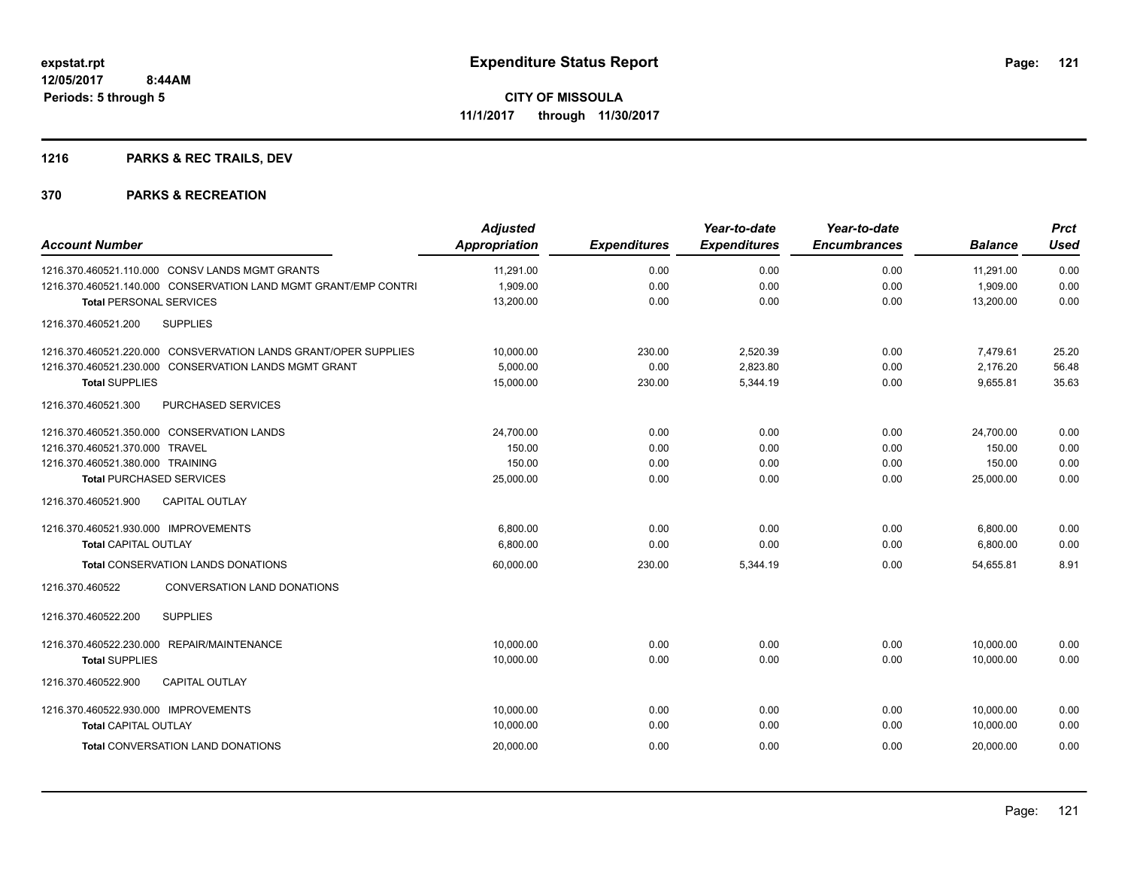# **1216 PARKS & REC TRAILS, DEV**

| <b>Account Number</b>                                           | <b>Adjusted</b><br><b>Appropriation</b> | <b>Expenditures</b> | Year-to-date<br><b>Expenditures</b> | Year-to-date<br><b>Encumbrances</b> | <b>Balance</b> | <b>Prct</b><br><b>Used</b> |
|-----------------------------------------------------------------|-----------------------------------------|---------------------|-------------------------------------|-------------------------------------|----------------|----------------------------|
| 1216.370.460521.110.000 CONSV LANDS MGMT GRANTS                 | 11,291.00                               | 0.00                | 0.00                                | 0.00                                | 11,291.00      | 0.00                       |
| 1216.370.460521.140.000 CONSERVATION LAND MGMT GRANT/EMP CONTRI | 1,909.00                                | 0.00                | 0.00                                | 0.00                                | 1,909.00       | 0.00                       |
| <b>Total PERSONAL SERVICES</b>                                  | 13,200.00                               | 0.00                | 0.00                                | 0.00                                | 13,200.00      | 0.00                       |
| 1216.370.460521.200<br><b>SUPPLIES</b>                          |                                         |                     |                                     |                                     |                |                            |
| 1216.370.460521.220.000 CONSVERVATION LANDS GRANT/OPER SUPPLIES | 10,000.00                               | 230.00              | 2,520.39                            | 0.00                                | 7,479.61       | 25.20                      |
| 1216.370.460521.230.000 CONSERVATION LANDS MGMT GRANT           | 5,000.00                                | 0.00                | 2,823.80                            | 0.00                                | 2,176.20       | 56.48                      |
| <b>Total SUPPLIES</b>                                           | 15,000.00                               | 230.00              | 5,344.19                            | 0.00                                | 9,655.81       | 35.63                      |
| 1216.370.460521.300<br>PURCHASED SERVICES                       |                                         |                     |                                     |                                     |                |                            |
| 1216.370.460521.350.000 CONSERVATION LANDS                      | 24,700.00                               | 0.00                | 0.00                                | 0.00                                | 24,700.00      | 0.00                       |
| 1216.370.460521.370.000 TRAVEL                                  | 150.00                                  | 0.00                | 0.00                                | 0.00                                | 150.00         | 0.00                       |
| 1216.370.460521.380.000 TRAINING                                | 150.00                                  | 0.00                | 0.00                                | 0.00                                | 150.00         | 0.00                       |
| <b>Total PURCHASED SERVICES</b>                                 | 25,000.00                               | 0.00                | 0.00                                | 0.00                                | 25,000.00      | 0.00                       |
| <b>CAPITAL OUTLAY</b><br>1216.370.460521.900                    |                                         |                     |                                     |                                     |                |                            |
| 1216.370.460521.930.000 IMPROVEMENTS                            | 6,800.00                                | 0.00                | 0.00                                | 0.00                                | 6,800.00       | 0.00                       |
| <b>Total CAPITAL OUTLAY</b>                                     | 6,800.00                                | 0.00                | 0.00                                | 0.00                                | 6,800.00       | 0.00                       |
| <b>Total CONSERVATION LANDS DONATIONS</b>                       | 60,000.00                               | 230.00              | 5,344.19                            | 0.00                                | 54.655.81      | 8.91                       |
| 1216.370.460522<br><b>CONVERSATION LAND DONATIONS</b>           |                                         |                     |                                     |                                     |                |                            |
| <b>SUPPLIES</b><br>1216.370.460522.200                          |                                         |                     |                                     |                                     |                |                            |
| 1216.370.460522.230.000 REPAIR/MAINTENANCE                      | 10,000.00                               | 0.00                | 0.00                                | 0.00                                | 10,000.00      | 0.00                       |
| <b>Total SUPPLIES</b>                                           | 10,000.00                               | 0.00                | 0.00                                | 0.00                                | 10.000.00      | 0.00                       |
| 1216.370.460522.900<br><b>CAPITAL OUTLAY</b>                    |                                         |                     |                                     |                                     |                |                            |
| 1216.370.460522.930.000 IMPROVEMENTS                            | 10,000.00                               | 0.00                | 0.00                                | 0.00                                | 10,000.00      | 0.00                       |
| <b>Total CAPITAL OUTLAY</b>                                     | 10,000.00                               | 0.00                | 0.00                                | 0.00                                | 10,000.00      | 0.00                       |
| Total CONVERSATION LAND DONATIONS                               | 20,000.00                               | 0.00                | 0.00                                | 0.00                                | 20,000.00      | 0.00                       |
|                                                                 |                                         |                     |                                     |                                     |                |                            |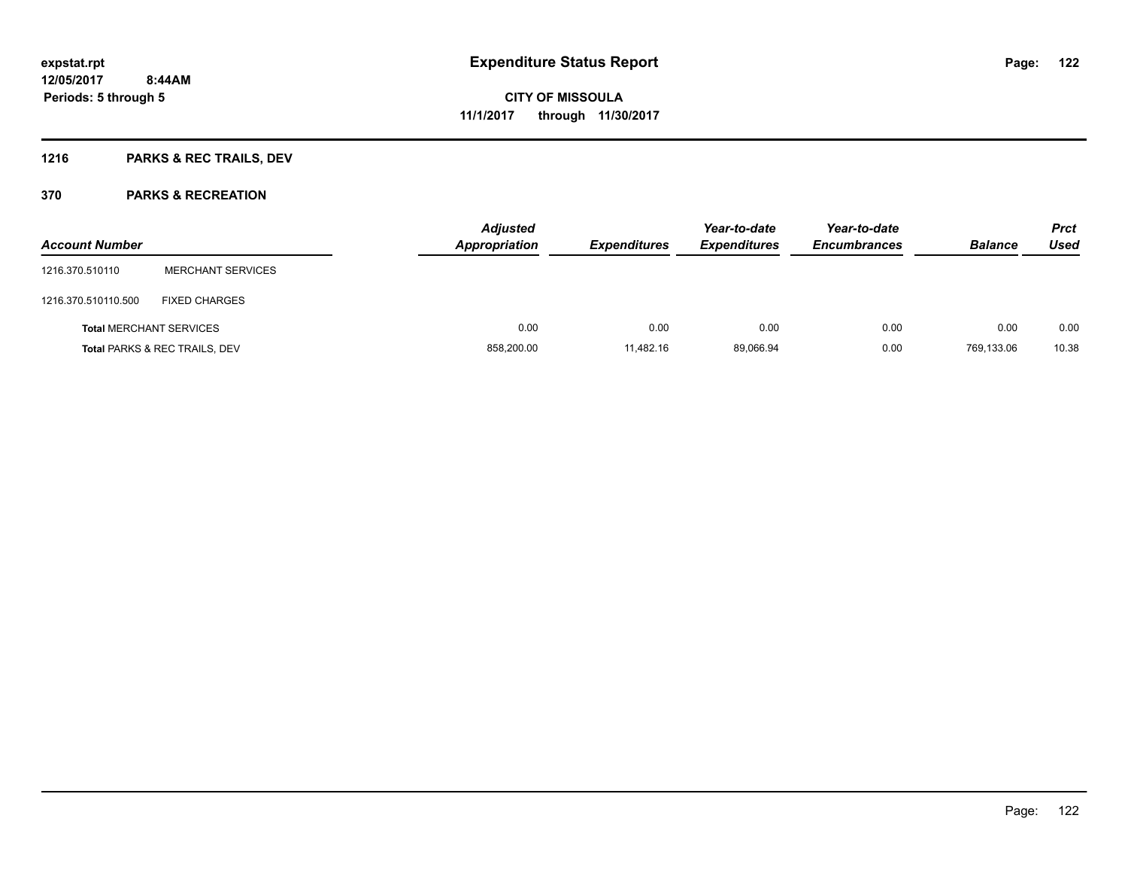# **1216 PARKS & REC TRAILS, DEV**

| <b>Account Number</b>          |                                          | <b>Adjusted</b><br><b>Appropriation</b> | <b>Expenditures</b> | Year-to-date<br><b>Expenditures</b> | Year-to-date<br><b>Encumbrances</b> | <b>Balance</b> | <b>Prct</b><br>Used |
|--------------------------------|------------------------------------------|-----------------------------------------|---------------------|-------------------------------------|-------------------------------------|----------------|---------------------|
| 1216.370.510110                | <b>MERCHANT SERVICES</b>                 |                                         |                     |                                     |                                     |                |                     |
| 1216.370.510110.500            | <b>FIXED CHARGES</b>                     |                                         |                     |                                     |                                     |                |                     |
| <b>Total MERCHANT SERVICES</b> |                                          | 0.00                                    | 0.00                | 0.00                                | 0.00                                | 0.00           | 0.00                |
|                                | <b>Total PARKS &amp; REC TRAILS, DEV</b> | 858,200.00                              | 11,482.16           | 89,066.94                           | 0.00                                | 769,133.06     | 10.38               |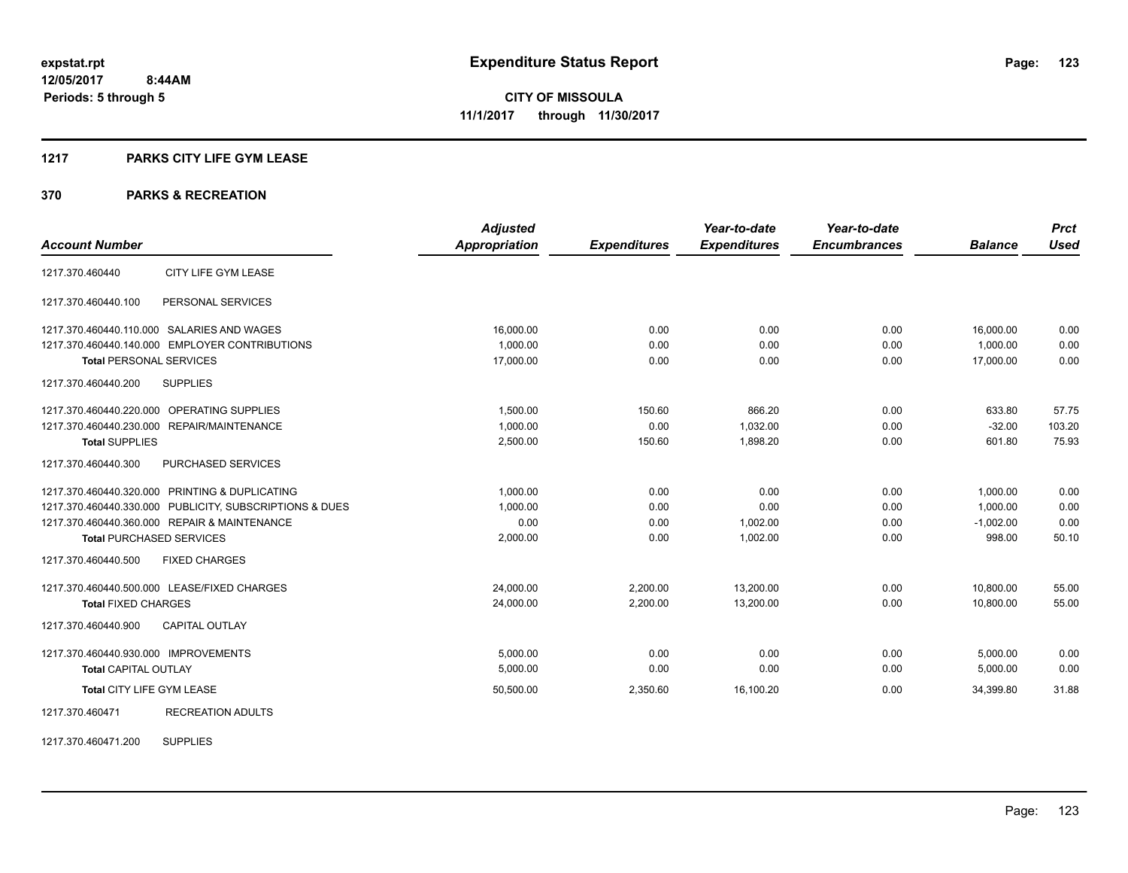## **1217 PARKS CITY LIFE GYM LEASE**

#### **370 PARKS & RECREATION**

|                                      |                                                         | <b>Adjusted</b>      |                     | Year-to-date        | Year-to-date        |                | <b>Prct</b> |
|--------------------------------------|---------------------------------------------------------|----------------------|---------------------|---------------------|---------------------|----------------|-------------|
| <b>Account Number</b>                |                                                         | <b>Appropriation</b> | <b>Expenditures</b> | <b>Expenditures</b> | <b>Encumbrances</b> | <b>Balance</b> | <b>Used</b> |
| 1217.370.460440                      | CITY LIFE GYM LEASE                                     |                      |                     |                     |                     |                |             |
| 1217.370.460440.100                  | PERSONAL SERVICES                                       |                      |                     |                     |                     |                |             |
|                                      | 1217.370.460440.110.000 SALARIES AND WAGES              | 16,000.00            | 0.00                | 0.00                | 0.00                | 16,000.00      | 0.00        |
|                                      | 1217.370.460440.140.000 EMPLOYER CONTRIBUTIONS          | 1,000.00             | 0.00                | 0.00                | 0.00                | 1,000.00       | 0.00        |
| <b>Total PERSONAL SERVICES</b>       |                                                         | 17,000.00            | 0.00                | 0.00                | 0.00                | 17,000.00      | 0.00        |
| 1217.370.460440.200                  | <b>SUPPLIES</b>                                         |                      |                     |                     |                     |                |             |
|                                      | 1217.370.460440.220.000 OPERATING SUPPLIES              | 1.500.00             | 150.60              | 866.20              | 0.00                | 633.80         | 57.75       |
|                                      | 1217.370.460440.230.000 REPAIR/MAINTENANCE              | 1.000.00             | 0.00                | 1,032.00            | 0.00                | $-32.00$       | 103.20      |
| <b>Total SUPPLIES</b>                |                                                         | 2,500.00             | 150.60              | 1,898.20            | 0.00                | 601.80         | 75.93       |
| 1217.370.460440.300                  | PURCHASED SERVICES                                      |                      |                     |                     |                     |                |             |
|                                      | 1217.370.460440.320.000 PRINTING & DUPLICATING          | 1.000.00             | 0.00                | 0.00                | 0.00                | 1,000.00       | 0.00        |
|                                      | 1217.370.460440.330.000 PUBLICITY, SUBSCRIPTIONS & DUES | 1.000.00             | 0.00                | 0.00                | 0.00                | 1.000.00       | 0.00        |
|                                      | 1217.370.460440.360.000 REPAIR & MAINTENANCE            | 0.00                 | 0.00                | 1,002.00            | 0.00                | $-1,002.00$    | 0.00        |
| <b>Total PURCHASED SERVICES</b>      |                                                         | 2,000.00             | 0.00                | 1,002.00            | 0.00                | 998.00         | 50.10       |
| 1217.370.460440.500                  | <b>FIXED CHARGES</b>                                    |                      |                     |                     |                     |                |             |
|                                      | 1217.370.460440.500.000 LEASE/FIXED CHARGES             | 24,000.00            | 2,200.00            | 13,200.00           | 0.00                | 10,800.00      | 55.00       |
| <b>Total FIXED CHARGES</b>           |                                                         | 24,000.00            | 2,200.00            | 13,200.00           | 0.00                | 10,800.00      | 55.00       |
| 1217.370.460440.900                  | <b>CAPITAL OUTLAY</b>                                   |                      |                     |                     |                     |                |             |
| 1217.370.460440.930.000 IMPROVEMENTS |                                                         | 5,000.00             | 0.00                | 0.00                | 0.00                | 5,000.00       | 0.00        |
| <b>Total CAPITAL OUTLAY</b>          |                                                         | 5,000.00             | 0.00                | 0.00                | 0.00                | 5,000.00       | 0.00        |
| <b>Total CITY LIFE GYM LEASE</b>     |                                                         | 50,500.00            | 2,350.60            | 16,100.20           | 0.00                | 34,399.80      | 31.88       |
| 1217.370.460471                      | <b>RECREATION ADULTS</b>                                |                      |                     |                     |                     |                |             |

1217.370.460471.200 SUPPLIES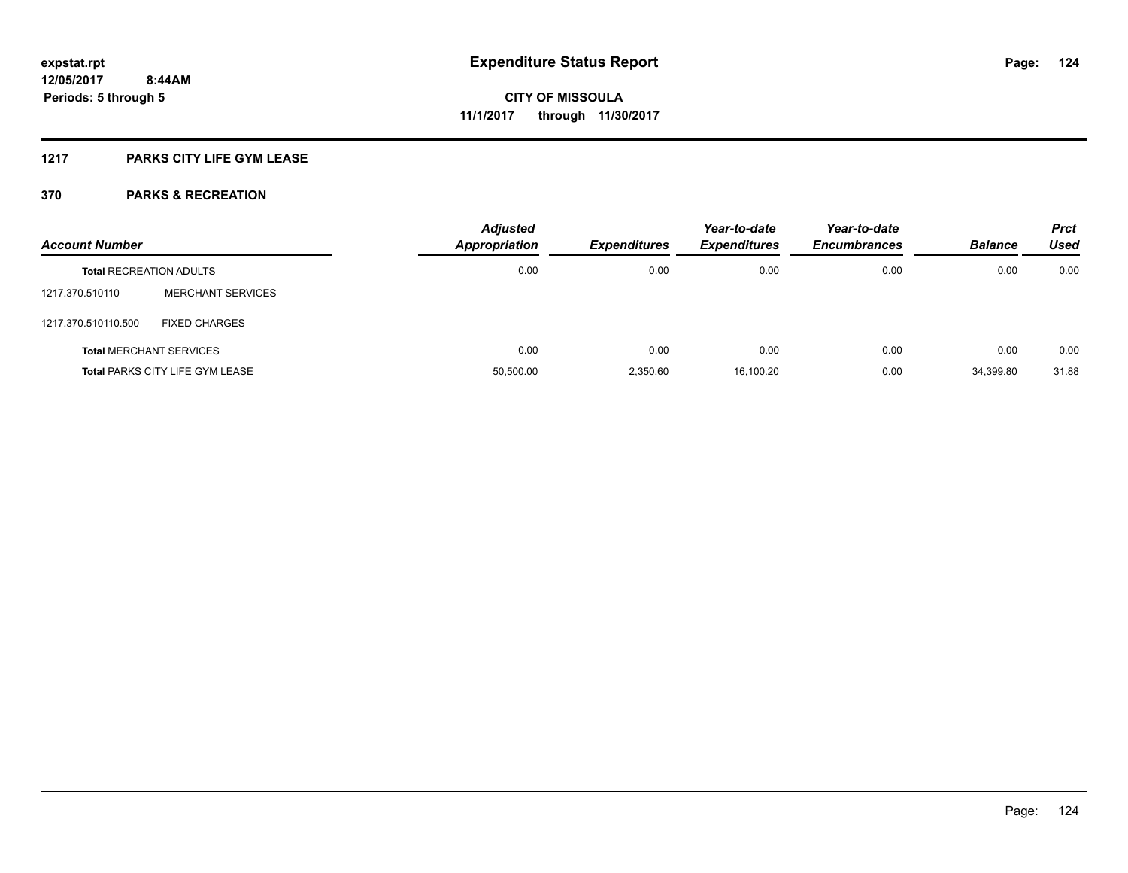## **1217 PARKS CITY LIFE GYM LEASE**

| <b>Account Number</b>          |                                        | <b>Adjusted</b><br>Appropriation | <b>Expenditures</b> | Year-to-date<br><b>Expenditures</b> | Year-to-date<br><b>Encumbrances</b> | <b>Balance</b> | <b>Prct</b><br>Used |
|--------------------------------|----------------------------------------|----------------------------------|---------------------|-------------------------------------|-------------------------------------|----------------|---------------------|
| <b>Total RECREATION ADULTS</b> |                                        | 0.00                             | 0.00                | 0.00                                | 0.00                                | 0.00           | 0.00                |
| 1217.370.510110                | <b>MERCHANT SERVICES</b>               |                                  |                     |                                     |                                     |                |                     |
| 1217.370.510110.500            | <b>FIXED CHARGES</b>                   |                                  |                     |                                     |                                     |                |                     |
|                                | <b>Total MERCHANT SERVICES</b>         | 0.00                             | 0.00                | 0.00                                | 0.00                                | 0.00           | 0.00                |
|                                | <b>Total PARKS CITY LIFE GYM LEASE</b> | 50,500.00                        | 2.350.60            | 16.100.20                           | 0.00                                | 34,399.80      | 31.88               |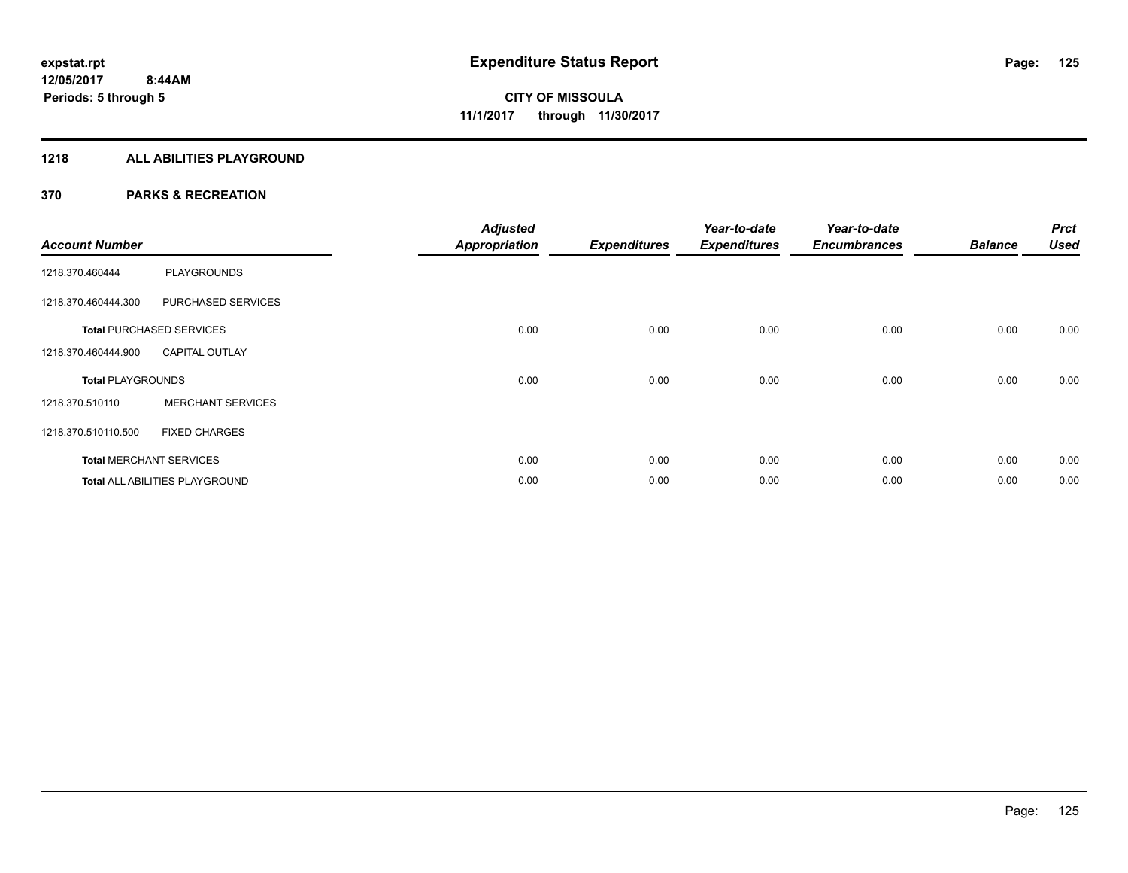## **1218 ALL ABILITIES PLAYGROUND**

| <b>Account Number</b>    |                                 | <b>Adjusted</b><br><b>Appropriation</b> | <b>Expenditures</b> | Year-to-date<br><b>Expenditures</b> | Year-to-date<br><b>Encumbrances</b> | <b>Balance</b> | <b>Prct</b><br><b>Used</b> |
|--------------------------|---------------------------------|-----------------------------------------|---------------------|-------------------------------------|-------------------------------------|----------------|----------------------------|
| 1218.370.460444          | <b>PLAYGROUNDS</b>              |                                         |                     |                                     |                                     |                |                            |
| 1218.370.460444.300      | PURCHASED SERVICES              |                                         |                     |                                     |                                     |                |                            |
|                          | <b>Total PURCHASED SERVICES</b> | 0.00                                    | 0.00                | 0.00                                | 0.00                                | 0.00           | 0.00                       |
| 1218.370.460444.900      | <b>CAPITAL OUTLAY</b>           |                                         |                     |                                     |                                     |                |                            |
| <b>Total PLAYGROUNDS</b> |                                 | 0.00                                    | 0.00                | 0.00                                | 0.00                                | 0.00           | 0.00                       |
| 1218.370.510110          | <b>MERCHANT SERVICES</b>        |                                         |                     |                                     |                                     |                |                            |
| 1218.370.510110.500      | <b>FIXED CHARGES</b>            |                                         |                     |                                     |                                     |                |                            |
|                          | <b>Total MERCHANT SERVICES</b>  | 0.00                                    | 0.00                | 0.00                                | 0.00                                | 0.00           | 0.00                       |
|                          | Total ALL ABILITIES PLAYGROUND  | 0.00                                    | 0.00                | 0.00                                | 0.00                                | 0.00           | 0.00                       |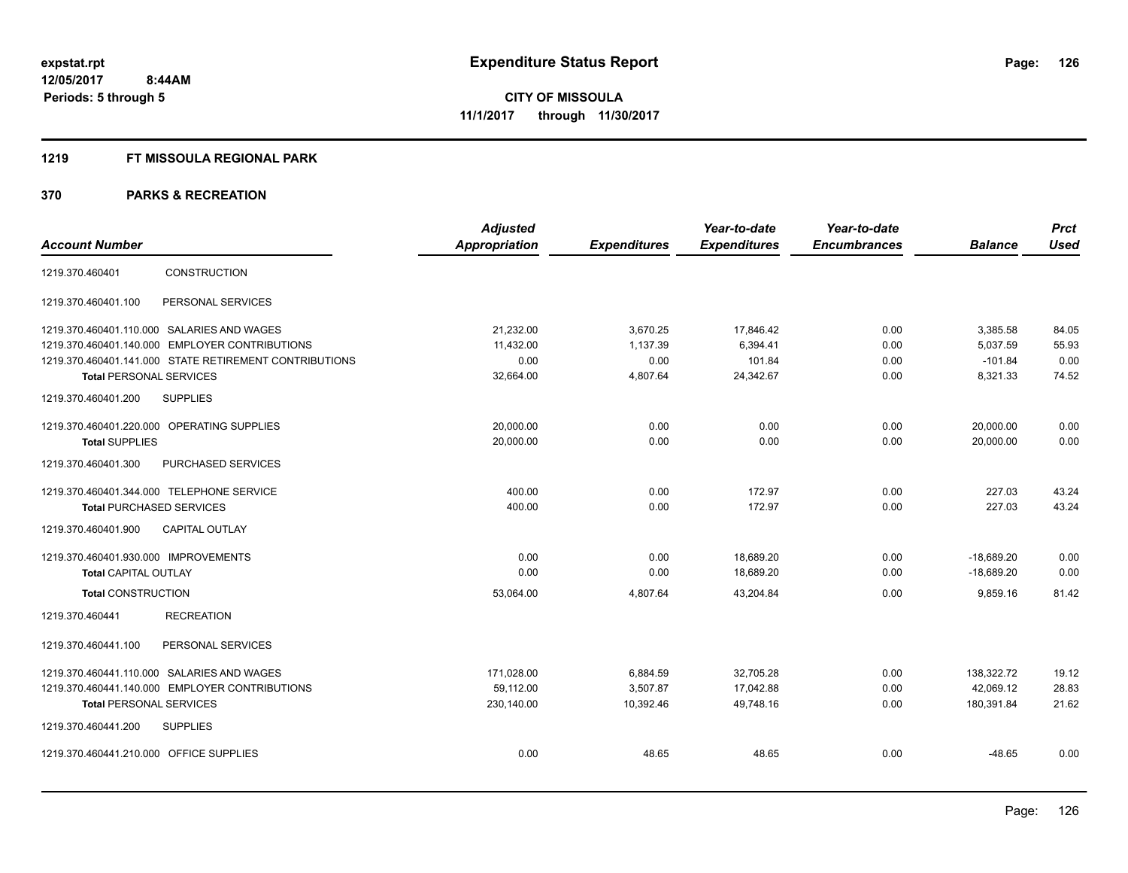#### **1219 FT MISSOULA REGIONAL PARK**

|                                            |                                                        | <b>Adjusted</b> |                     | Year-to-date        | Year-to-date        |                | <b>Prct</b> |
|--------------------------------------------|--------------------------------------------------------|-----------------|---------------------|---------------------|---------------------|----------------|-------------|
| <b>Account Number</b>                      |                                                        | Appropriation   | <b>Expenditures</b> | <b>Expenditures</b> | <b>Encumbrances</b> | <b>Balance</b> | <b>Used</b> |
| 1219.370.460401                            | <b>CONSTRUCTION</b>                                    |                 |                     |                     |                     |                |             |
| 1219.370.460401.100                        | PERSONAL SERVICES                                      |                 |                     |                     |                     |                |             |
| 1219.370.460401.110.000 SALARIES AND WAGES |                                                        | 21,232.00       | 3,670.25            | 17,846.42           | 0.00                | 3,385.58       | 84.05       |
|                                            | 1219.370.460401.140.000 EMPLOYER CONTRIBUTIONS         | 11,432.00       | 1,137.39            | 6,394.41            | 0.00                | 5,037.59       | 55.93       |
|                                            | 1219.370.460401.141.000 STATE RETIREMENT CONTRIBUTIONS | 0.00            | 0.00                | 101.84              | 0.00                | $-101.84$      | 0.00        |
| <b>Total PERSONAL SERVICES</b>             |                                                        | 32,664.00       | 4,807.64            | 24,342.67           | 0.00                | 8,321.33       | 74.52       |
| 1219.370.460401.200                        | <b>SUPPLIES</b>                                        |                 |                     |                     |                     |                |             |
| 1219.370.460401.220.000 OPERATING SUPPLIES |                                                        | 20,000.00       | 0.00                | 0.00                | 0.00                | 20,000.00      | 0.00        |
| <b>Total SUPPLIES</b>                      |                                                        | 20,000.00       | 0.00                | 0.00                | 0.00                | 20,000.00      | 0.00        |
| 1219.370.460401.300                        | PURCHASED SERVICES                                     |                 |                     |                     |                     |                |             |
| 1219.370.460401.344.000 TELEPHONE SERVICE  |                                                        | 400.00          | 0.00                | 172.97              | 0.00                | 227.03         | 43.24       |
| <b>Total PURCHASED SERVICES</b>            |                                                        | 400.00          | 0.00                | 172.97              | 0.00                | 227.03         | 43.24       |
| 1219.370.460401.900                        | <b>CAPITAL OUTLAY</b>                                  |                 |                     |                     |                     |                |             |
| 1219.370.460401.930.000 IMPROVEMENTS       |                                                        | 0.00            | 0.00                | 18,689.20           | 0.00                | $-18,689.20$   | 0.00        |
| <b>Total CAPITAL OUTLAY</b>                |                                                        | 0.00            | 0.00                | 18,689.20           | 0.00                | $-18,689.20$   | 0.00        |
| <b>Total CONSTRUCTION</b>                  |                                                        | 53,064.00       | 4,807.64            | 43,204.84           | 0.00                | 9,859.16       | 81.42       |
| 1219.370.460441                            | <b>RECREATION</b>                                      |                 |                     |                     |                     |                |             |
| 1219.370.460441.100                        | PERSONAL SERVICES                                      |                 |                     |                     |                     |                |             |
| 1219.370.460441.110.000 SALARIES AND WAGES |                                                        | 171,028.00      | 6,884.59            | 32,705.28           | 0.00                | 138,322.72     | 19.12       |
|                                            | 1219.370.460441.140.000 EMPLOYER CONTRIBUTIONS         | 59.112.00       | 3,507.87            | 17.042.88           | 0.00                | 42.069.12      | 28.83       |
| <b>Total PERSONAL SERVICES</b>             |                                                        | 230,140.00      | 10,392.46           | 49,748.16           | 0.00                | 180,391.84     | 21.62       |
| 1219.370.460441.200                        | <b>SUPPLIES</b>                                        |                 |                     |                     |                     |                |             |
| 1219.370.460441.210.000 OFFICE SUPPLIES    |                                                        | 0.00            | 48.65               | 48.65               | 0.00                | $-48.65$       | 0.00        |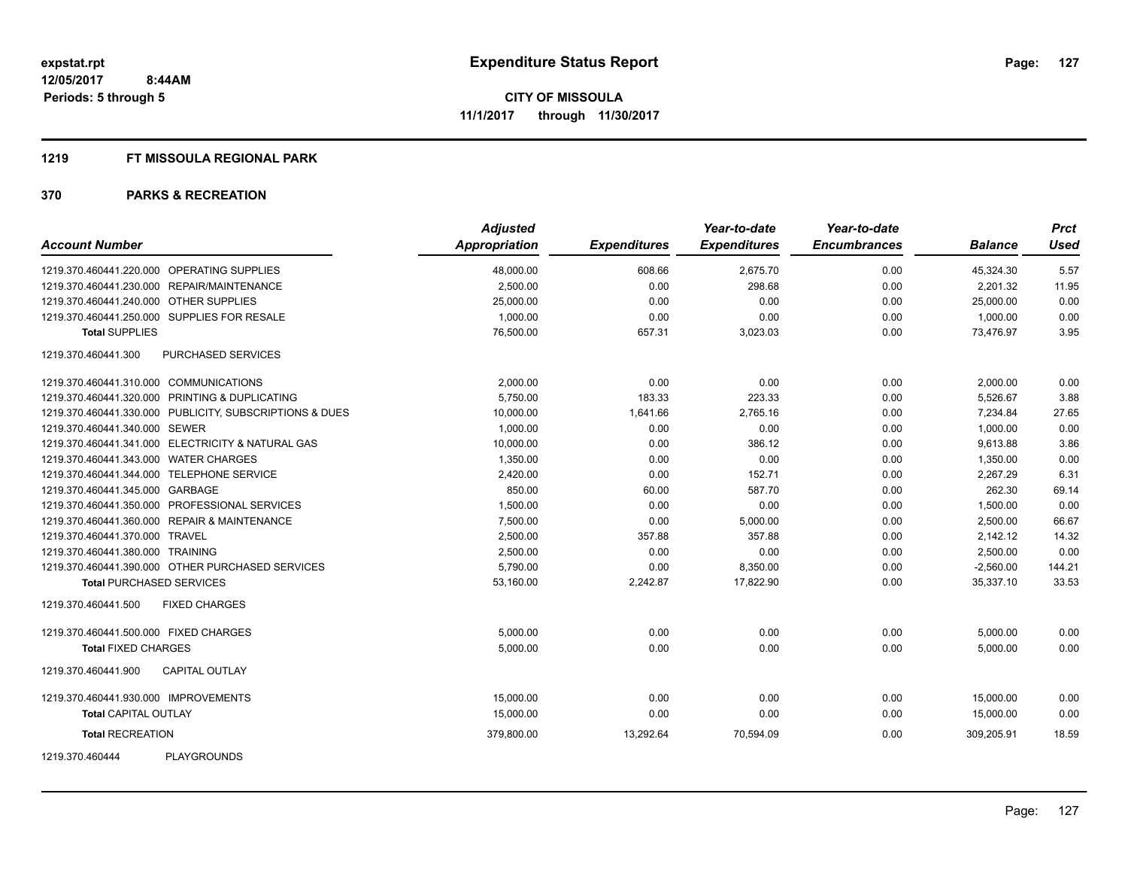#### **1219 FT MISSOULA REGIONAL PARK**

| <b>Account Number</b>                  |                                                         | <b>Adjusted</b><br><b>Appropriation</b> | <b>Expenditures</b> | Year-to-date<br><b>Expenditures</b> | Year-to-date<br><b>Encumbrances</b> | <b>Balance</b> | <b>Prct</b><br><b>Used</b> |
|----------------------------------------|---------------------------------------------------------|-----------------------------------------|---------------------|-------------------------------------|-------------------------------------|----------------|----------------------------|
|                                        | 1219.370.460441.220.000 OPERATING SUPPLIES              | 48,000.00                               | 608.66              | 2,675.70                            | 0.00                                | 45,324.30      | 5.57                       |
|                                        | 1219.370.460441.230.000 REPAIR/MAINTENANCE              | 2,500.00                                | 0.00                | 298.68                              | 0.00                                | 2,201.32       | 11.95                      |
| 1219.370.460441.240.000 OTHER SUPPLIES |                                                         | 25,000.00                               | 0.00                | 0.00                                | 0.00                                | 25,000.00      | 0.00                       |
|                                        | 1219.370.460441.250.000 SUPPLIES FOR RESALE             | 1,000.00                                | 0.00                | 0.00                                | 0.00                                | 1,000.00       | 0.00                       |
| <b>Total SUPPLIES</b>                  |                                                         | 76,500.00                               | 657.31              | 3,023.03                            | 0.00                                | 73,476.97      | 3.95                       |
| 1219.370.460441.300                    | <b>PURCHASED SERVICES</b>                               |                                         |                     |                                     |                                     |                |                            |
| 1219.370.460441.310.000 COMMUNICATIONS |                                                         | 2,000.00                                | 0.00                | 0.00                                | 0.00                                | 2,000.00       | 0.00                       |
|                                        | 1219.370.460441.320.000 PRINTING & DUPLICATING          | 5,750.00                                | 183.33              | 223.33                              | 0.00                                | 5,526.67       | 3.88                       |
|                                        | 1219.370.460441.330.000 PUBLICITY, SUBSCRIPTIONS & DUES | 10,000.00                               | 1,641.66            | 2,765.16                            | 0.00                                | 7,234.84       | 27.65                      |
| 1219.370.460441.340.000 SEWER          |                                                         | 1,000.00                                | 0.00                | 0.00                                | 0.00                                | 1.000.00       | 0.00                       |
|                                        | 1219.370.460441.341.000 ELECTRICITY & NATURAL GAS       | 10,000.00                               | 0.00                | 386.12                              | 0.00                                | 9,613.88       | 3.86                       |
| 1219.370.460441.343.000 WATER CHARGES  |                                                         | 1,350.00                                | 0.00                | 0.00                                | 0.00                                | 1,350.00       | 0.00                       |
|                                        | 1219.370.460441.344.000 TELEPHONE SERVICE               | 2,420.00                                | 0.00                | 152.71                              | 0.00                                | 2,267.29       | 6.31                       |
| 1219.370.460441.345.000 GARBAGE        |                                                         | 850.00                                  | 60.00               | 587.70                              | 0.00                                | 262.30         | 69.14                      |
|                                        | 1219.370.460441.350.000 PROFESSIONAL SERVICES           | 1,500.00                                | 0.00                | 0.00                                | 0.00                                | 1,500.00       | 0.00                       |
|                                        | 1219.370.460441.360.000 REPAIR & MAINTENANCE            | 7.500.00                                | 0.00                | 5,000.00                            | 0.00                                | 2.500.00       | 66.67                      |
| 1219.370.460441.370.000 TRAVEL         |                                                         | 2,500.00                                | 357.88              | 357.88                              | 0.00                                | 2,142.12       | 14.32                      |
| 1219.370.460441.380.000 TRAINING       |                                                         | 2,500.00                                | 0.00                | 0.00                                | 0.00                                | 2,500.00       | 0.00                       |
|                                        | 1219.370.460441.390.000 OTHER PURCHASED SERVICES        | 5,790.00                                | 0.00                | 8,350.00                            | 0.00                                | $-2,560.00$    | 144.21                     |
| <b>Total PURCHASED SERVICES</b>        |                                                         | 53,160.00                               | 2,242.87            | 17,822.90                           | 0.00                                | 35,337.10      | 33.53                      |
| 1219.370.460441.500                    | <b>FIXED CHARGES</b>                                    |                                         |                     |                                     |                                     |                |                            |
| 1219.370.460441.500.000 FIXED CHARGES  |                                                         | 5,000.00                                | 0.00                | 0.00                                | 0.00                                | 5,000.00       | 0.00                       |
| <b>Total FIXED CHARGES</b>             |                                                         | 5,000.00                                | 0.00                | 0.00                                | 0.00                                | 5,000.00       | 0.00                       |
| 1219.370.460441.900                    | <b>CAPITAL OUTLAY</b>                                   |                                         |                     |                                     |                                     |                |                            |
| 1219.370.460441.930.000 IMPROVEMENTS   |                                                         | 15,000.00                               | 0.00                | 0.00                                | 0.00                                | 15,000.00      | 0.00                       |
| <b>Total CAPITAL OUTLAY</b>            |                                                         | 15,000.00                               | 0.00                | 0.00                                | 0.00                                | 15,000.00      | 0.00                       |
| <b>Total RECREATION</b>                |                                                         | 379,800.00                              | 13,292.64           | 70,594.09                           | 0.00                                | 309,205.91     | 18.59                      |
| 1219.370.460444                        | <b>PLAYGROUNDS</b>                                      |                                         |                     |                                     |                                     |                |                            |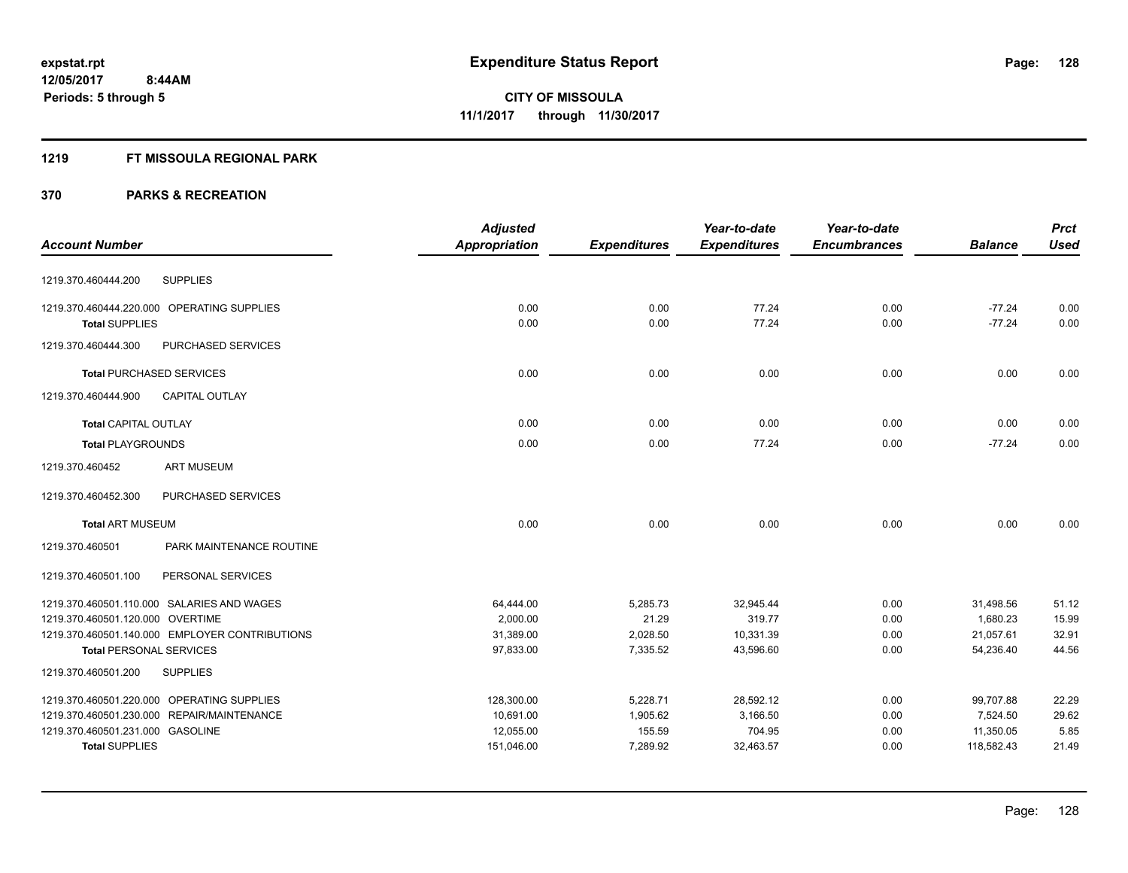## **1219 FT MISSOULA REGIONAL PARK**

|                                  |                                                | <b>Adjusted</b>      |                     | Year-to-date        | Year-to-date        |                | <b>Prct</b> |
|----------------------------------|------------------------------------------------|----------------------|---------------------|---------------------|---------------------|----------------|-------------|
| <b>Account Number</b>            |                                                | <b>Appropriation</b> | <b>Expenditures</b> | <b>Expenditures</b> | <b>Encumbrances</b> | <b>Balance</b> | <b>Used</b> |
| 1219.370.460444.200              | <b>SUPPLIES</b>                                |                      |                     |                     |                     |                |             |
|                                  | 1219.370.460444.220.000 OPERATING SUPPLIES     | 0.00                 | 0.00                | 77.24               | 0.00                | $-77.24$       | 0.00        |
| <b>Total SUPPLIES</b>            |                                                | 0.00                 | 0.00                | 77.24               | 0.00                | $-77.24$       | 0.00        |
| 1219.370.460444.300              | PURCHASED SERVICES                             |                      |                     |                     |                     |                |             |
|                                  | <b>Total PURCHASED SERVICES</b>                | 0.00                 | 0.00                | 0.00                | 0.00                | 0.00           | 0.00        |
| 1219.370.460444.900              | <b>CAPITAL OUTLAY</b>                          |                      |                     |                     |                     |                |             |
| <b>Total CAPITAL OUTLAY</b>      |                                                | 0.00                 | 0.00                | 0.00                | 0.00                | 0.00           | 0.00        |
| <b>Total PLAYGROUNDS</b>         |                                                | 0.00                 | 0.00                | 77.24               | 0.00                | $-77.24$       | 0.00        |
| 1219.370.460452                  | <b>ART MUSEUM</b>                              |                      |                     |                     |                     |                |             |
| 1219.370.460452.300              | PURCHASED SERVICES                             |                      |                     |                     |                     |                |             |
| <b>Total ART MUSEUM</b>          |                                                | 0.00                 | 0.00                | 0.00                | 0.00                | 0.00           | 0.00        |
| 1219.370.460501                  | PARK MAINTENANCE ROUTINE                       |                      |                     |                     |                     |                |             |
| 1219.370.460501.100              | PERSONAL SERVICES                              |                      |                     |                     |                     |                |             |
|                                  | 1219.370.460501.110.000 SALARIES AND WAGES     | 64,444.00            | 5,285.73            | 32,945.44           | 0.00                | 31,498.56      | 51.12       |
| 1219.370.460501.120.000 OVERTIME |                                                | 2,000.00             | 21.29               | 319.77              | 0.00                | 1,680.23       | 15.99       |
|                                  | 1219.370.460501.140.000 EMPLOYER CONTRIBUTIONS | 31,389.00            | 2,028.50            | 10,331.39           | 0.00                | 21,057.61      | 32.91       |
| <b>Total PERSONAL SERVICES</b>   |                                                | 97,833.00            | 7,335.52            | 43,596.60           | 0.00                | 54,236.40      | 44.56       |
| 1219.370.460501.200              | <b>SUPPLIES</b>                                |                      |                     |                     |                     |                |             |
|                                  | 1219.370.460501.220.000 OPERATING SUPPLIES     | 128,300.00           | 5,228.71            | 28,592.12           | 0.00                | 99,707.88      | 22.29       |
|                                  | 1219.370.460501.230.000 REPAIR/MAINTENANCE     | 10,691.00            | 1,905.62            | 3,166.50            | 0.00                | 7,524.50       | 29.62       |
| 1219.370.460501.231.000 GASOLINE |                                                | 12,055.00            | 155.59              | 704.95              | 0.00                | 11,350.05      | 5.85        |
| <b>Total SUPPLIES</b>            |                                                | 151,046.00           | 7,289.92            | 32,463.57           | 0.00                | 118,582.43     | 21.49       |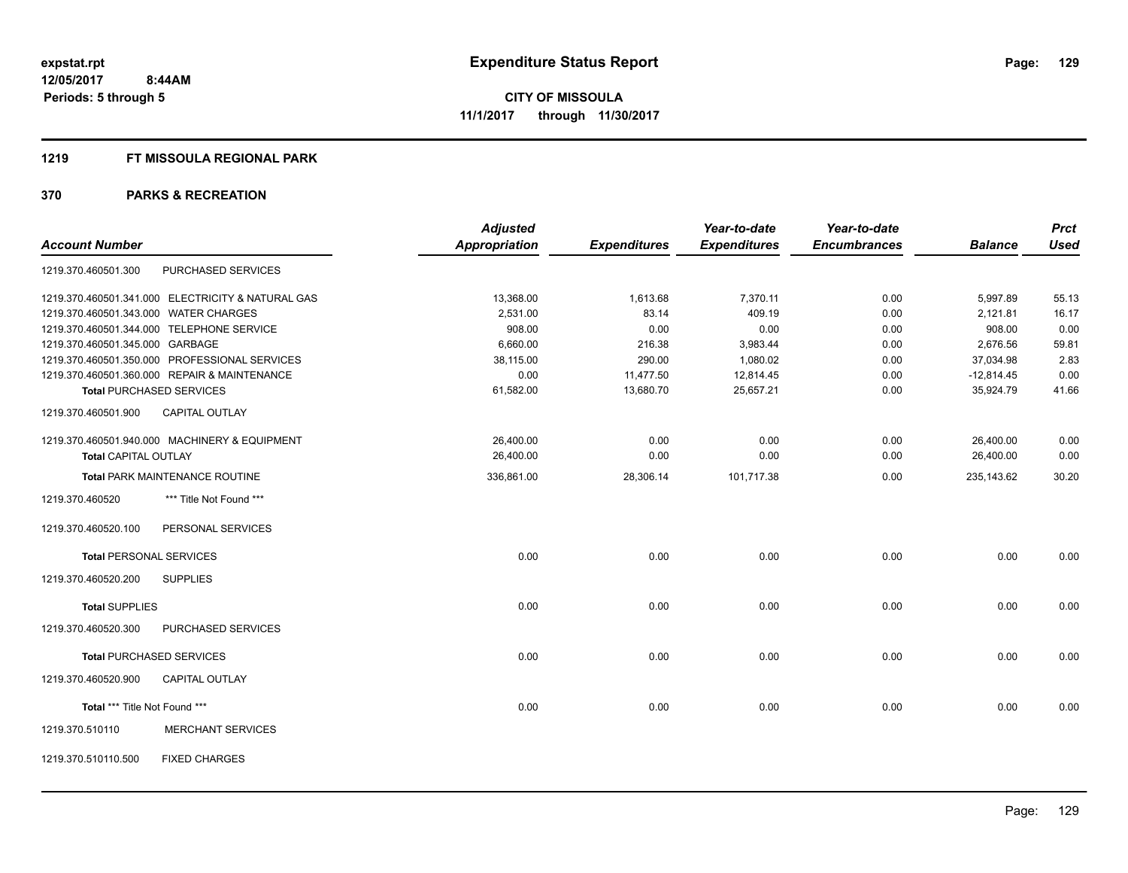#### **1219 FT MISSOULA REGIONAL PARK**

|                                       |                                                   | <b>Adjusted</b>      |                     | Year-to-date        | Year-to-date        |                | <b>Prct</b> |
|---------------------------------------|---------------------------------------------------|----------------------|---------------------|---------------------|---------------------|----------------|-------------|
| <b>Account Number</b>                 |                                                   | <b>Appropriation</b> | <b>Expenditures</b> | <b>Expenditures</b> | <b>Encumbrances</b> | <b>Balance</b> | <b>Used</b> |
| 1219.370.460501.300                   | PURCHASED SERVICES                                |                      |                     |                     |                     |                |             |
|                                       | 1219.370.460501.341.000 ELECTRICITY & NATURAL GAS | 13,368.00            | 1,613.68            | 7,370.11            | 0.00                | 5,997.89       | 55.13       |
| 1219.370.460501.343.000 WATER CHARGES |                                                   | 2,531.00             | 83.14               | 409.19              | 0.00                | 2,121.81       | 16.17       |
|                                       | 1219.370.460501.344.000 TELEPHONE SERVICE         | 908.00               | 0.00                | 0.00                | 0.00                | 908.00         | 0.00        |
| 1219.370.460501.345.000 GARBAGE       |                                                   | 6,660.00             | 216.38              | 3,983.44            | 0.00                | 2,676.56       | 59.81       |
|                                       | 1219.370.460501.350.000 PROFESSIONAL SERVICES     | 38,115.00            | 290.00              | 1,080.02            | 0.00                | 37,034.98      | 2.83        |
|                                       | 1219.370.460501.360.000 REPAIR & MAINTENANCE      | 0.00                 | 11,477.50           | 12,814.45           | 0.00                | $-12,814.45$   | 0.00        |
|                                       | <b>Total PURCHASED SERVICES</b>                   | 61,582.00            | 13,680.70           | 25,657.21           | 0.00                | 35,924.79      | 41.66       |
| 1219.370.460501.900                   | CAPITAL OUTLAY                                    |                      |                     |                     |                     |                |             |
|                                       | 1219.370.460501.940.000 MACHINERY & EQUIPMENT     | 26,400.00            | 0.00                | 0.00                | 0.00                | 26,400.00      | 0.00        |
| <b>Total CAPITAL OUTLAY</b>           |                                                   | 26,400.00            | 0.00                | 0.00                | 0.00                | 26,400.00      | 0.00        |
|                                       | <b>Total PARK MAINTENANCE ROUTINE</b>             | 336,861.00           | 28,306.14           | 101,717.38          | 0.00                | 235,143.62     | 30.20       |
| 1219.370.460520                       | *** Title Not Found ***                           |                      |                     |                     |                     |                |             |
| 1219.370.460520.100                   | PERSONAL SERVICES                                 |                      |                     |                     |                     |                |             |
| <b>Total PERSONAL SERVICES</b>        |                                                   | 0.00                 | 0.00                | 0.00                | 0.00                | 0.00           | 0.00        |
| 1219.370.460520.200                   | <b>SUPPLIES</b>                                   |                      |                     |                     |                     |                |             |
| <b>Total SUPPLIES</b>                 |                                                   | 0.00                 | 0.00                | 0.00                | 0.00                | 0.00           | 0.00        |
| 1219.370.460520.300                   | PURCHASED SERVICES                                |                      |                     |                     |                     |                |             |
|                                       | <b>Total PURCHASED SERVICES</b>                   | 0.00                 | 0.00                | 0.00                | 0.00                | 0.00           | 0.00        |
| 1219.370.460520.900                   | <b>CAPITAL OUTLAY</b>                             |                      |                     |                     |                     |                |             |
| Total *** Title Not Found ***         |                                                   | 0.00                 | 0.00                | 0.00                | 0.00                | 0.00           | 0.00        |
| 1219.370.510110                       | <b>MERCHANT SERVICES</b>                          |                      |                     |                     |                     |                |             |
| 1219.370.510110.500                   | <b>FIXED CHARGES</b>                              |                      |                     |                     |                     |                |             |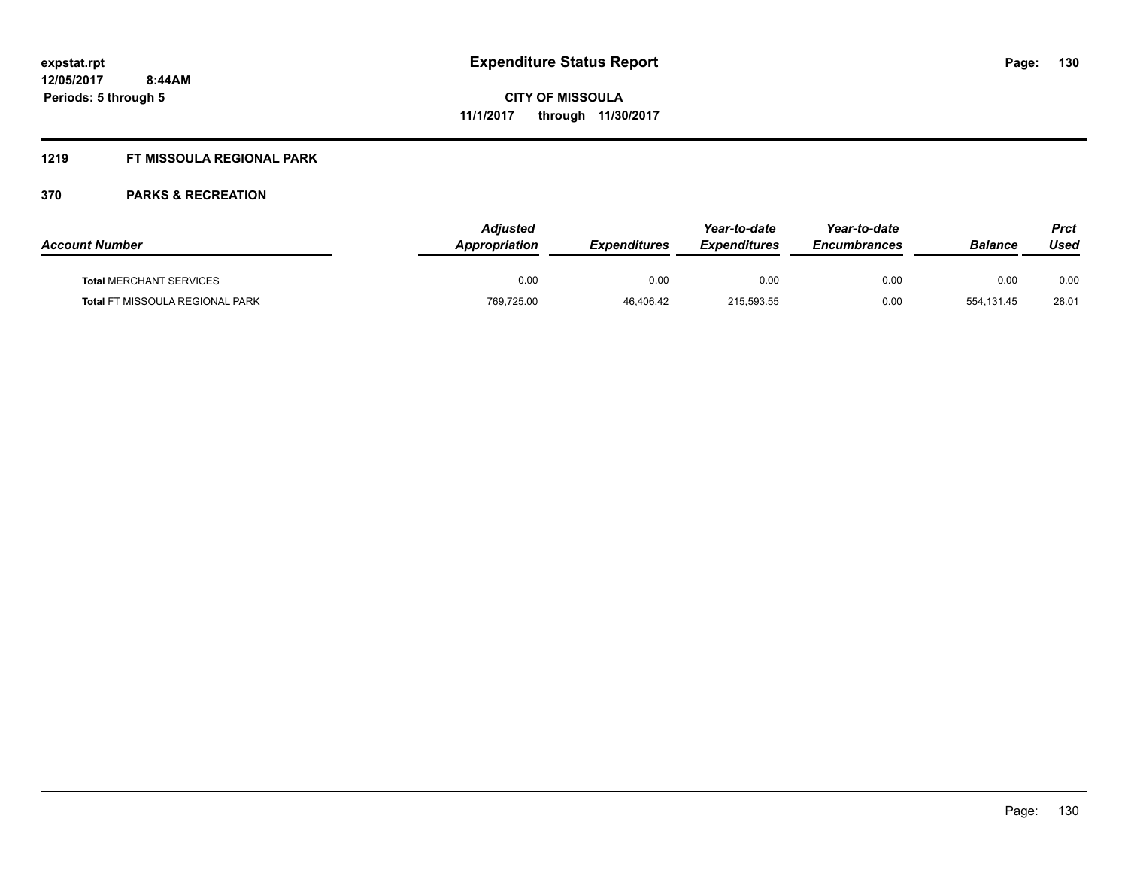## **1219 FT MISSOULA REGIONAL PARK**

| <b>Account Number</b>                  | Adjusted<br>Appropriation | <b>Expenditures</b> | Year-to-date<br><b>Expenditures</b> | Year-to-date<br><b>Encumbrances</b> | <b>Balance</b> | <b>Prct</b><br>Used |
|----------------------------------------|---------------------------|---------------------|-------------------------------------|-------------------------------------|----------------|---------------------|
| <b>Total MERCHANT SERVICES</b>         | 0.00                      | 0.00                | 0.00                                | 0.00                                | 0.00           | 0.00                |
| <b>Total FT MISSOULA REGIONAL PARK</b> | 769,725.00                | 46.406.42           | 215,593.55                          | 0.00                                | 554.131.45     | 28.01               |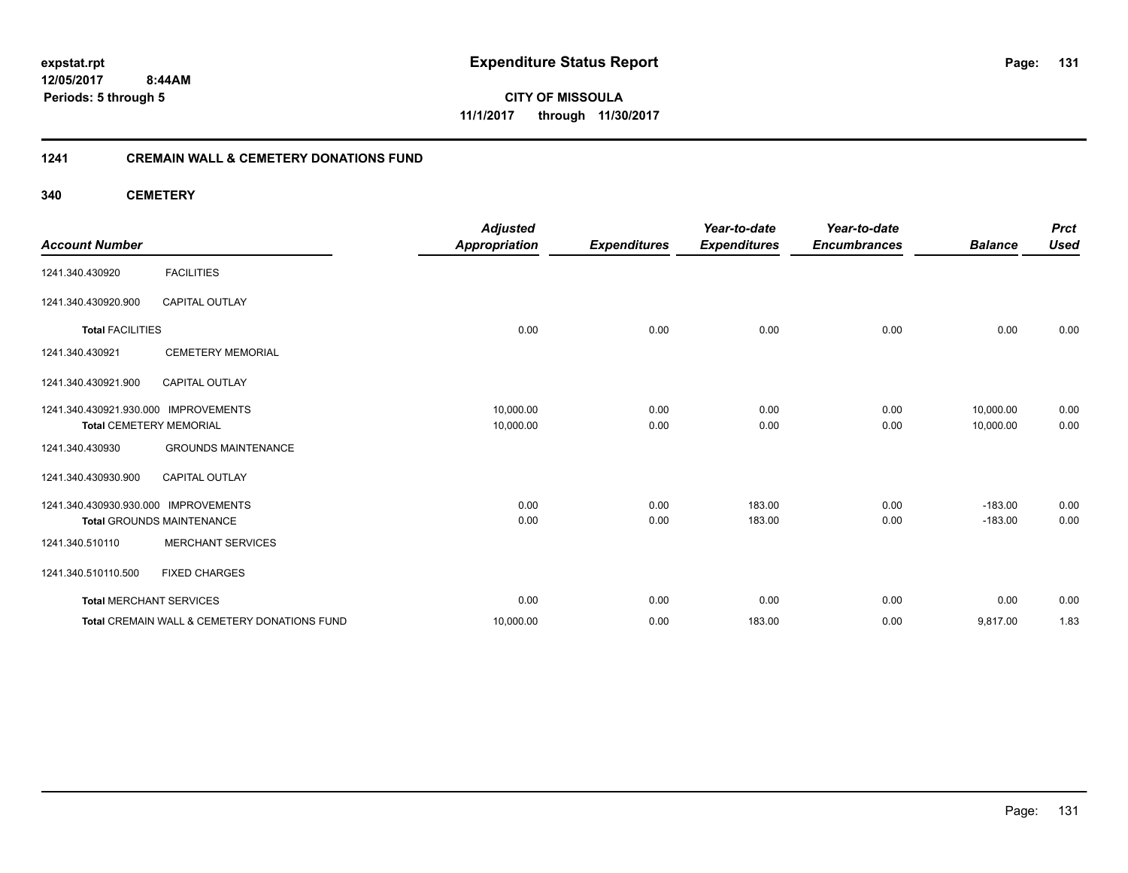**12/05/2017 8:44AM Periods: 5 through 5**

**CITY OF MISSOULA 11/1/2017 through 11/30/2017**

## **1241 CREMAIN WALL & CEMETERY DONATIONS FUND**

**340 CEMETERY**

| <b>Account Number</b>                |                                              | <b>Adjusted</b><br><b>Appropriation</b> | <b>Expenditures</b> | Year-to-date<br><b>Expenditures</b> | Year-to-date<br><b>Encumbrances</b> | <b>Balance</b> | <b>Prct</b><br><b>Used</b> |
|--------------------------------------|----------------------------------------------|-----------------------------------------|---------------------|-------------------------------------|-------------------------------------|----------------|----------------------------|
| 1241.340.430920                      | <b>FACILITIES</b>                            |                                         |                     |                                     |                                     |                |                            |
| 1241.340.430920.900                  | <b>CAPITAL OUTLAY</b>                        |                                         |                     |                                     |                                     |                |                            |
| <b>Total FACILITIES</b>              |                                              | 0.00                                    | 0.00                | 0.00                                | 0.00                                | 0.00           | 0.00                       |
| 1241.340.430921                      | <b>CEMETERY MEMORIAL</b>                     |                                         |                     |                                     |                                     |                |                            |
| 1241.340.430921.900                  | <b>CAPITAL OUTLAY</b>                        |                                         |                     |                                     |                                     |                |                            |
| 1241.340.430921.930.000 IMPROVEMENTS |                                              | 10,000.00                               | 0.00                | 0.00                                | 0.00                                | 10,000.00      | 0.00                       |
| <b>Total CEMETERY MEMORIAL</b>       |                                              | 10,000.00                               | 0.00                | 0.00                                | 0.00                                | 10,000.00      | 0.00                       |
| 1241.340.430930                      | <b>GROUNDS MAINTENANCE</b>                   |                                         |                     |                                     |                                     |                |                            |
| 1241.340.430930.900                  | <b>CAPITAL OUTLAY</b>                        |                                         |                     |                                     |                                     |                |                            |
| 1241.340.430930.930.000              | <b>IMPROVEMENTS</b>                          | 0.00                                    | 0.00                | 183.00                              | 0.00                                | $-183.00$      | 0.00                       |
|                                      | <b>Total GROUNDS MAINTENANCE</b>             | 0.00                                    | 0.00                | 183.00                              | 0.00                                | $-183.00$      | 0.00                       |
| 1241.340.510110                      | <b>MERCHANT SERVICES</b>                     |                                         |                     |                                     |                                     |                |                            |
| 1241.340.510110.500                  | <b>FIXED CHARGES</b>                         |                                         |                     |                                     |                                     |                |                            |
| <b>Total MERCHANT SERVICES</b>       |                                              | 0.00                                    | 0.00                | 0.00                                | 0.00                                | 0.00           | 0.00                       |
|                                      | Total CREMAIN WALL & CEMETERY DONATIONS FUND | 10,000.00                               | 0.00                | 183.00                              | 0.00                                | 9,817.00       | 1.83                       |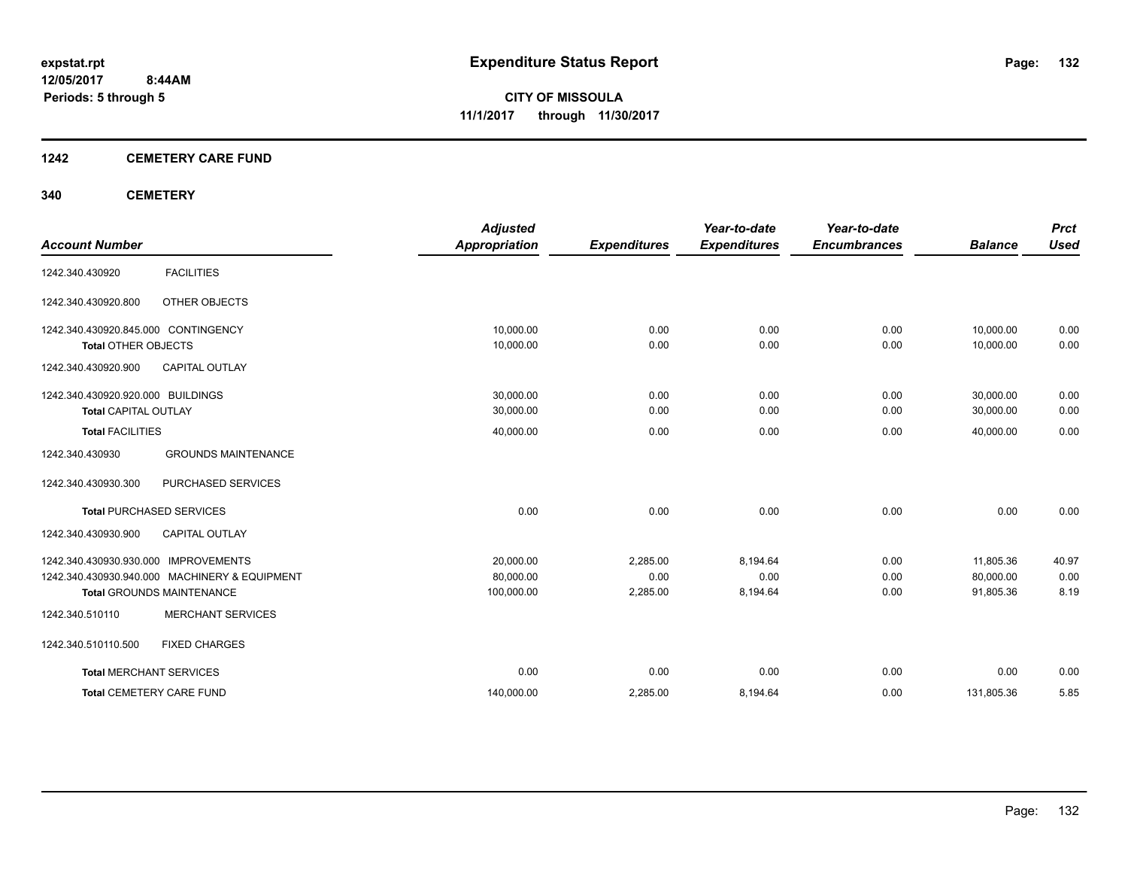#### **1242 CEMETERY CARE FUND**

#### **340 CEMETERY**

|                                     |                                               | <b>Adjusted</b>      |                     | Year-to-date        | Year-to-date        |                | <b>Prct</b> |
|-------------------------------------|-----------------------------------------------|----------------------|---------------------|---------------------|---------------------|----------------|-------------|
| <b>Account Number</b>               |                                               | <b>Appropriation</b> | <b>Expenditures</b> | <b>Expenditures</b> | <b>Encumbrances</b> | <b>Balance</b> | <b>Used</b> |
| 1242.340.430920                     | <b>FACILITIES</b>                             |                      |                     |                     |                     |                |             |
| 1242.340.430920.800                 | OTHER OBJECTS                                 |                      |                     |                     |                     |                |             |
| 1242.340.430920.845.000 CONTINGENCY |                                               | 10,000.00            | 0.00                | 0.00                | 0.00                | 10,000.00      | 0.00        |
| <b>Total OTHER OBJECTS</b>          |                                               | 10,000.00            | 0.00                | 0.00                | 0.00                | 10,000.00      | 0.00        |
| 1242.340.430920.900                 | <b>CAPITAL OUTLAY</b>                         |                      |                     |                     |                     |                |             |
| 1242.340.430920.920.000 BUILDINGS   |                                               | 30.000.00            | 0.00                | 0.00                | 0.00                | 30,000.00      | 0.00        |
| <b>Total CAPITAL OUTLAY</b>         |                                               | 30,000.00            | 0.00                | 0.00                | 0.00                | 30,000.00      | 0.00        |
| <b>Total FACILITIES</b>             |                                               | 40,000.00            | 0.00                | 0.00                | 0.00                | 40.000.00      | 0.00        |
| 1242.340.430930                     | <b>GROUNDS MAINTENANCE</b>                    |                      |                     |                     |                     |                |             |
| 1242.340.430930.300                 | PURCHASED SERVICES                            |                      |                     |                     |                     |                |             |
|                                     | <b>Total PURCHASED SERVICES</b>               | 0.00                 | 0.00                | 0.00                | 0.00                | 0.00           | 0.00        |
| 1242.340.430930.900                 | <b>CAPITAL OUTLAY</b>                         |                      |                     |                     |                     |                |             |
| 1242.340.430930.930.000             | <b>IMPROVEMENTS</b>                           | 20,000.00            | 2.285.00            | 8.194.64            | 0.00                | 11,805.36      | 40.97       |
|                                     | 1242.340.430930.940.000 MACHINERY & EQUIPMENT | 80.000.00            | 0.00                | 0.00                | 0.00                | 80.000.00      | 0.00        |
|                                     | <b>Total GROUNDS MAINTENANCE</b>              | 100,000.00           | 2,285.00            | 8,194.64            | 0.00                | 91,805.36      | 8.19        |
| 1242.340.510110                     | <b>MERCHANT SERVICES</b>                      |                      |                     |                     |                     |                |             |
| 1242.340.510110.500                 | <b>FIXED CHARGES</b>                          |                      |                     |                     |                     |                |             |
| <b>Total MERCHANT SERVICES</b>      |                                               | 0.00                 | 0.00                | 0.00                | 0.00                | 0.00           | 0.00        |
|                                     | <b>Total CEMETERY CARE FUND</b>               | 140,000.00           | 2,285.00            | 8,194.64            | 0.00                | 131,805.36     | 5.85        |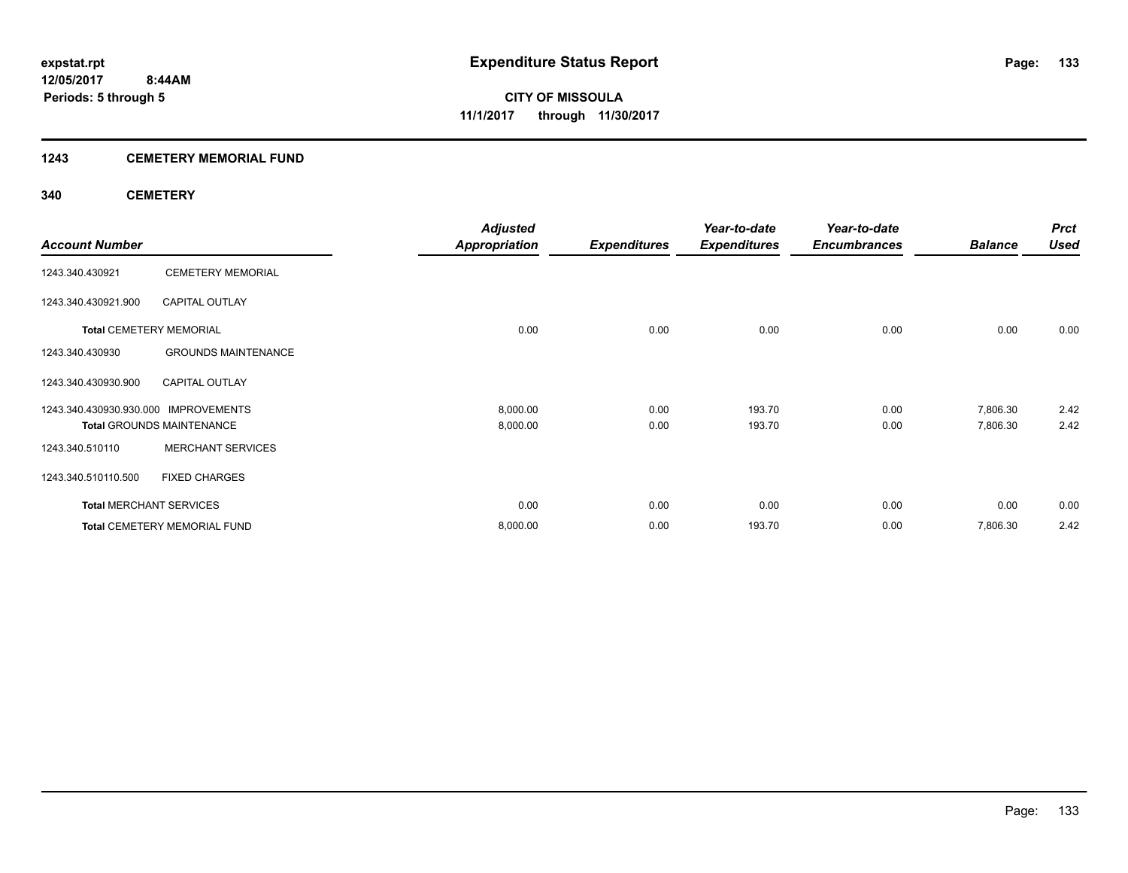#### **1243 CEMETERY MEMORIAL FUND**

#### **340 CEMETERY**

|                                      |                                     | <b>Adjusted</b>      |                     | Year-to-date        | Year-to-date        |                | <b>Prct</b> |
|--------------------------------------|-------------------------------------|----------------------|---------------------|---------------------|---------------------|----------------|-------------|
| <b>Account Number</b>                |                                     | <b>Appropriation</b> | <b>Expenditures</b> | <b>Expenditures</b> | <b>Encumbrances</b> | <b>Balance</b> | <b>Used</b> |
| 1243.340.430921                      | <b>CEMETERY MEMORIAL</b>            |                      |                     |                     |                     |                |             |
| 1243.340.430921.900                  | <b>CAPITAL OUTLAY</b>               |                      |                     |                     |                     |                |             |
|                                      | <b>Total CEMETERY MEMORIAL</b>      | 0.00                 | 0.00                | 0.00                | 0.00                | 0.00           | 0.00        |
| 1243.340.430930                      | <b>GROUNDS MAINTENANCE</b>          |                      |                     |                     |                     |                |             |
| 1243.340.430930.900                  | <b>CAPITAL OUTLAY</b>               |                      |                     |                     |                     |                |             |
| 1243.340.430930.930.000 IMPROVEMENTS |                                     | 8,000.00             | 0.00                | 193.70              | 0.00                | 7,806.30       | 2.42        |
|                                      | <b>Total GROUNDS MAINTENANCE</b>    | 8,000.00             | 0.00                | 193.70              | 0.00                | 7,806.30       | 2.42        |
| 1243.340.510110                      | <b>MERCHANT SERVICES</b>            |                      |                     |                     |                     |                |             |
| 1243.340.510110.500                  | <b>FIXED CHARGES</b>                |                      |                     |                     |                     |                |             |
| <b>Total MERCHANT SERVICES</b>       |                                     | 0.00                 | 0.00                | 0.00                | 0.00                | 0.00           | 0.00        |
|                                      | <b>Total CEMETERY MEMORIAL FUND</b> | 8,000.00             | 0.00                | 193.70              | 0.00                | 7,806.30       | 2.42        |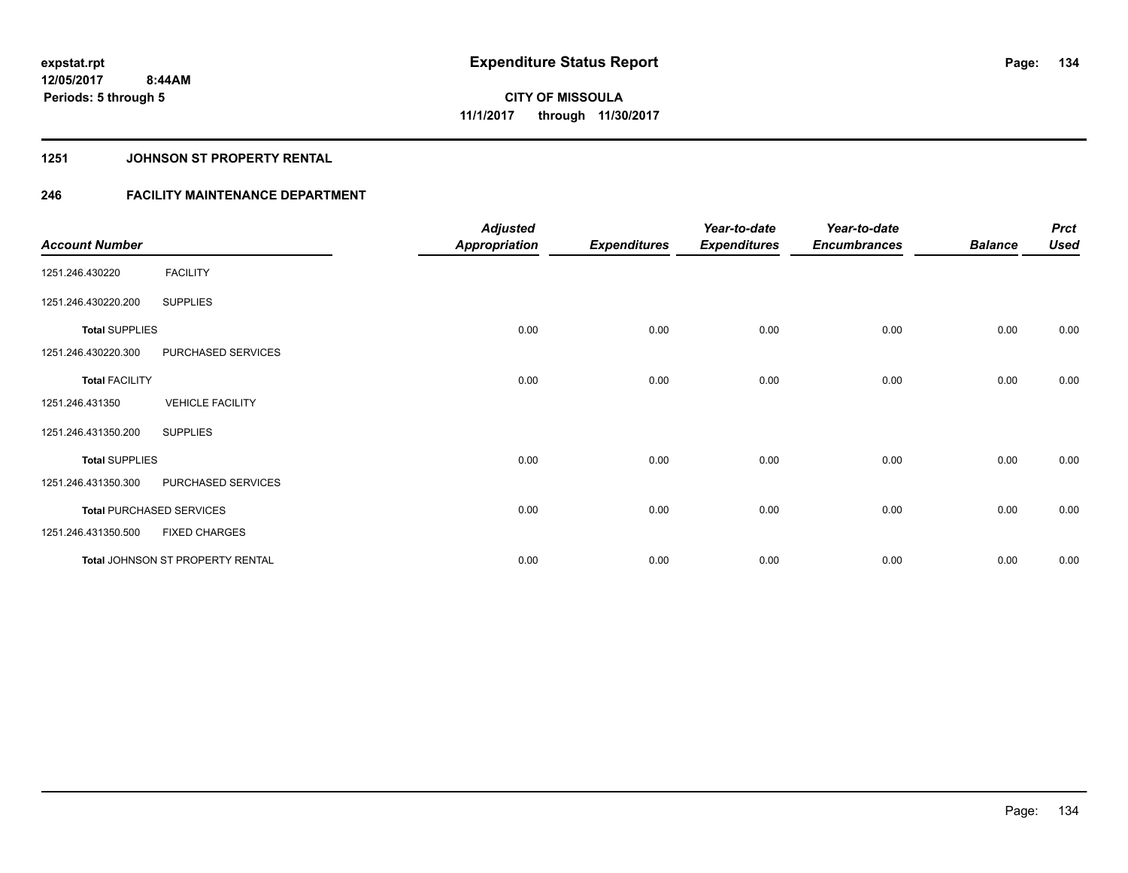#### **1251 JOHNSON ST PROPERTY RENTAL**

## **246 FACILITY MAINTENANCE DEPARTMENT**

| <b>Account Number</b> |                                         | <b>Adjusted</b><br><b>Appropriation</b> | <b>Expenditures</b> | Year-to-date<br><b>Expenditures</b> | Year-to-date<br><b>Encumbrances</b> | <b>Balance</b> | <b>Prct</b><br><b>Used</b> |
|-----------------------|-----------------------------------------|-----------------------------------------|---------------------|-------------------------------------|-------------------------------------|----------------|----------------------------|
| 1251.246.430220       | <b>FACILITY</b>                         |                                         |                     |                                     |                                     |                |                            |
| 1251.246.430220.200   | <b>SUPPLIES</b>                         |                                         |                     |                                     |                                     |                |                            |
| <b>Total SUPPLIES</b> |                                         | 0.00                                    | 0.00                | 0.00                                | 0.00                                | 0.00           | 0.00                       |
| 1251.246.430220.300   | PURCHASED SERVICES                      |                                         |                     |                                     |                                     |                |                            |
| <b>Total FACILITY</b> |                                         | 0.00                                    | 0.00                | 0.00                                | 0.00                                | 0.00           | 0.00                       |
| 1251.246.431350       | <b>VEHICLE FACILITY</b>                 |                                         |                     |                                     |                                     |                |                            |
| 1251.246.431350.200   | <b>SUPPLIES</b>                         |                                         |                     |                                     |                                     |                |                            |
| <b>Total SUPPLIES</b> |                                         | 0.00                                    | 0.00                | 0.00                                | 0.00                                | 0.00           | 0.00                       |
| 1251.246.431350.300   | PURCHASED SERVICES                      |                                         |                     |                                     |                                     |                |                            |
|                       | <b>Total PURCHASED SERVICES</b>         | 0.00                                    | 0.00                | 0.00                                | 0.00                                | 0.00           | 0.00                       |
| 1251.246.431350.500   | <b>FIXED CHARGES</b>                    |                                         |                     |                                     |                                     |                |                            |
|                       | <b>Total JOHNSON ST PROPERTY RENTAL</b> | 0.00                                    | 0.00                | 0.00                                | 0.00                                | 0.00           | 0.00                       |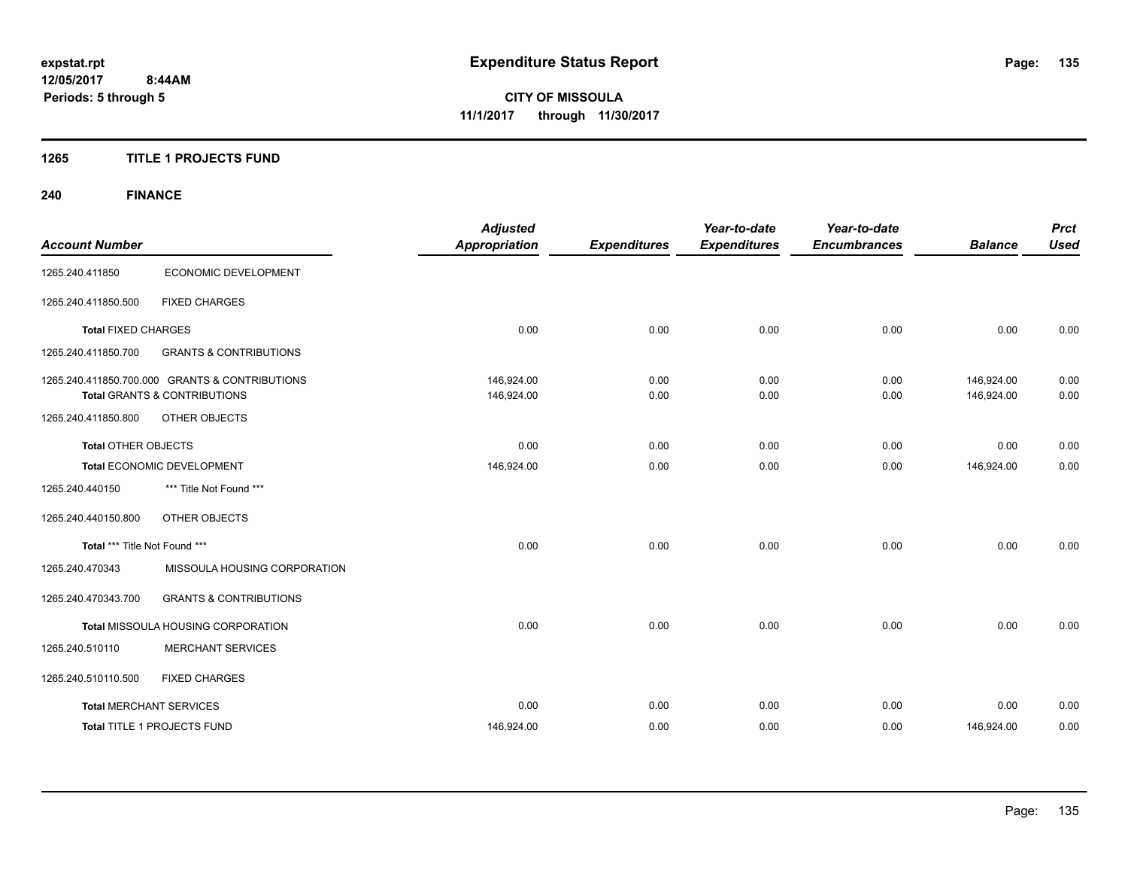#### **1265 TITLE 1 PROJECTS FUND**

# **240 FINANCE**

|                               |                                                | <b>Adjusted</b><br><b>Appropriation</b> |                     | Year-to-date        | Year-to-date        |                | <b>Prct</b><br><b>Used</b> |
|-------------------------------|------------------------------------------------|-----------------------------------------|---------------------|---------------------|---------------------|----------------|----------------------------|
| <b>Account Number</b>         |                                                |                                         | <b>Expenditures</b> | <b>Expenditures</b> | <b>Encumbrances</b> | <b>Balance</b> |                            |
| 1265.240.411850               | ECONOMIC DEVELOPMENT                           |                                         |                     |                     |                     |                |                            |
| 1265.240.411850.500           | <b>FIXED CHARGES</b>                           |                                         |                     |                     |                     |                |                            |
| <b>Total FIXED CHARGES</b>    |                                                | 0.00                                    | 0.00                | 0.00                | 0.00                | 0.00           | 0.00                       |
| 1265.240.411850.700           | <b>GRANTS &amp; CONTRIBUTIONS</b>              |                                         |                     |                     |                     |                |                            |
|                               | 1265.240.411850.700.000 GRANTS & CONTRIBUTIONS | 146,924.00                              | 0.00                | 0.00                | 0.00                | 146,924.00     | 0.00                       |
|                               | <b>Total GRANTS &amp; CONTRIBUTIONS</b>        | 146,924.00                              | 0.00                | 0.00                | 0.00                | 146,924.00     | 0.00                       |
| 1265.240.411850.800           | OTHER OBJECTS                                  |                                         |                     |                     |                     |                |                            |
| <b>Total OTHER OBJECTS</b>    |                                                | 0.00                                    | 0.00                | 0.00                | 0.00                | 0.00           | 0.00                       |
|                               | Total ECONOMIC DEVELOPMENT                     | 146,924.00                              | 0.00                | 0.00                | 0.00                | 146,924.00     | 0.00                       |
| 1265.240.440150               | *** Title Not Found ***                        |                                         |                     |                     |                     |                |                            |
| 1265.240.440150.800           | OTHER OBJECTS                                  |                                         |                     |                     |                     |                |                            |
| Total *** Title Not Found *** |                                                | 0.00                                    | 0.00                | 0.00                | 0.00                | 0.00           | 0.00                       |
| 1265.240.470343               | MISSOULA HOUSING CORPORATION                   |                                         |                     |                     |                     |                |                            |
| 1265.240.470343.700           | <b>GRANTS &amp; CONTRIBUTIONS</b>              |                                         |                     |                     |                     |                |                            |
|                               | Total MISSOULA HOUSING CORPORATION             | 0.00                                    | 0.00                | 0.00                | 0.00                | 0.00           | 0.00                       |
| 1265.240.510110               | <b>MERCHANT SERVICES</b>                       |                                         |                     |                     |                     |                |                            |
| 1265.240.510110.500           | <b>FIXED CHARGES</b>                           |                                         |                     |                     |                     |                |                            |
|                               | <b>Total MERCHANT SERVICES</b>                 | 0.00                                    | 0.00                | 0.00                | 0.00                | 0.00           | 0.00                       |
|                               | Total TITLE 1 PROJECTS FUND                    | 146,924.00                              | 0.00                | 0.00                | 0.00                | 146,924.00     | 0.00                       |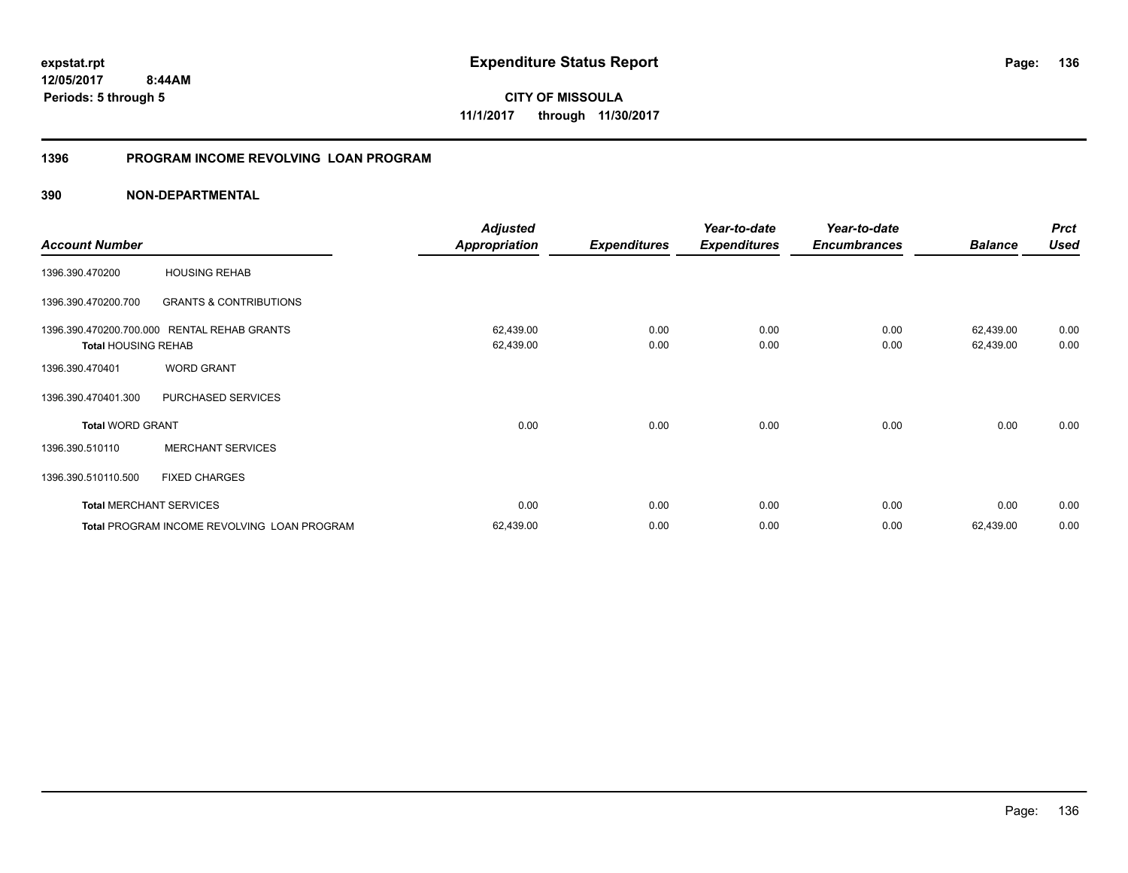**12/05/2017 8:44AM Periods: 5 through 5**

**CITY OF MISSOULA 11/1/2017 through 11/30/2017**

#### **1396 PROGRAM INCOME REVOLVING LOAN PROGRAM**

|                                |                                             | <b>Adjusted</b> |                     | Year-to-date        | Year-to-date        |                | <b>Prct</b> |
|--------------------------------|---------------------------------------------|-----------------|---------------------|---------------------|---------------------|----------------|-------------|
| <b>Account Number</b>          |                                             | Appropriation   | <b>Expenditures</b> | <b>Expenditures</b> | <b>Encumbrances</b> | <b>Balance</b> | <b>Used</b> |
| 1396.390.470200                | <b>HOUSING REHAB</b>                        |                 |                     |                     |                     |                |             |
| 1396.390.470200.700            | <b>GRANTS &amp; CONTRIBUTIONS</b>           |                 |                     |                     |                     |                |             |
| 1396.390.470200.700.000        | <b>RENTAL REHAB GRANTS</b>                  | 62,439.00       | 0.00                | 0.00                | 0.00                | 62,439.00      | 0.00        |
| <b>Total HOUSING REHAB</b>     |                                             | 62,439.00       | 0.00                | 0.00                | 0.00                | 62,439.00      | 0.00        |
| 1396.390.470401                | <b>WORD GRANT</b>                           |                 |                     |                     |                     |                |             |
| 1396.390.470401.300            | PURCHASED SERVICES                          |                 |                     |                     |                     |                |             |
| <b>Total WORD GRANT</b>        |                                             | 0.00            | 0.00                | 0.00                | 0.00                | 0.00           | 0.00        |
| 1396.390.510110                | <b>MERCHANT SERVICES</b>                    |                 |                     |                     |                     |                |             |
| 1396.390.510110.500            | <b>FIXED CHARGES</b>                        |                 |                     |                     |                     |                |             |
| <b>Total MERCHANT SERVICES</b> |                                             | 0.00            | 0.00                | 0.00                | 0.00                | 0.00           | 0.00        |
|                                | Total PROGRAM INCOME REVOLVING LOAN PROGRAM | 62,439.00       | 0.00                | 0.00                | 0.00                | 62,439.00      | 0.00        |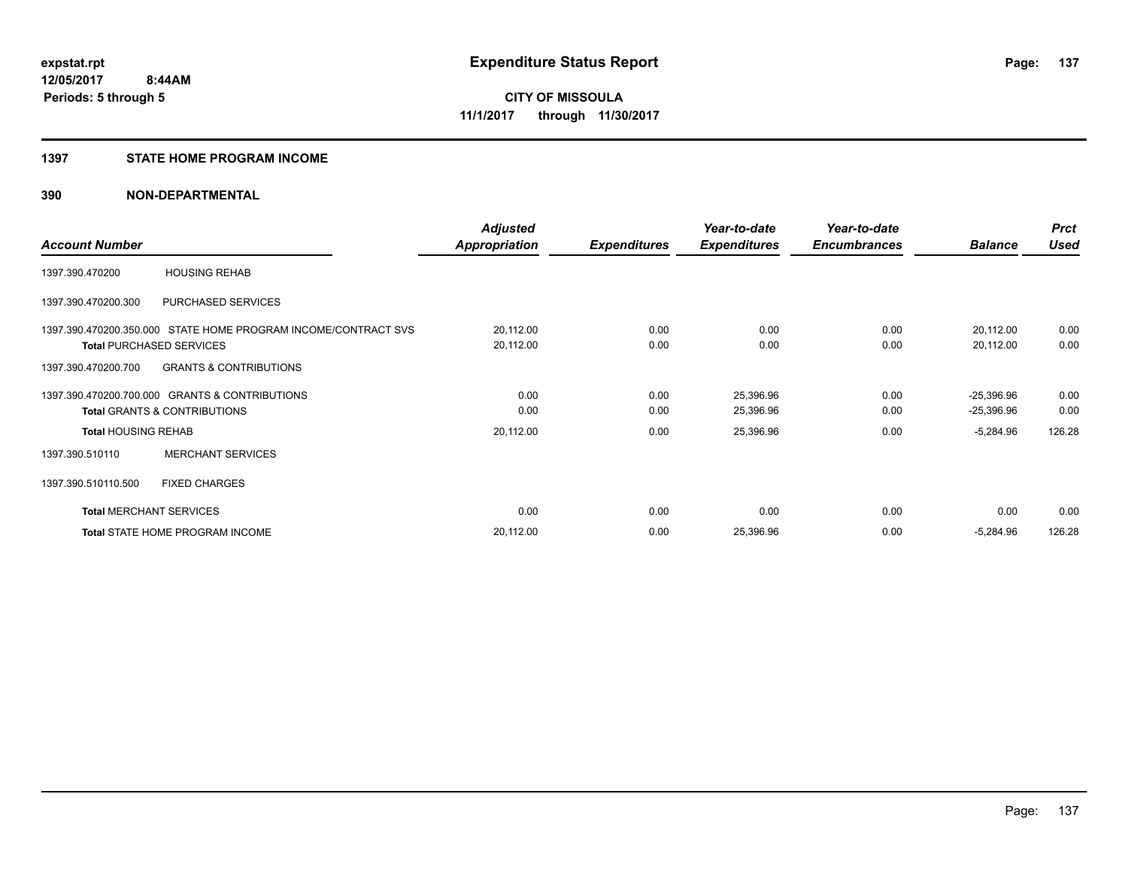#### **1397 STATE HOME PROGRAM INCOME**

|                                |                                                                | <b>Adjusted</b>      |                     | Year-to-date        | Year-to-date        |                | <b>Prct</b> |
|--------------------------------|----------------------------------------------------------------|----------------------|---------------------|---------------------|---------------------|----------------|-------------|
| <b>Account Number</b>          |                                                                | <b>Appropriation</b> | <b>Expenditures</b> | <b>Expenditures</b> | <b>Encumbrances</b> | <b>Balance</b> | <b>Used</b> |
| 1397.390.470200                | <b>HOUSING REHAB</b>                                           |                      |                     |                     |                     |                |             |
| 1397.390.470200.300            | PURCHASED SERVICES                                             |                      |                     |                     |                     |                |             |
|                                | 1397.390.470200.350.000 STATE HOME PROGRAM INCOME/CONTRACT SVS | 20,112.00            | 0.00                | 0.00                | 0.00                | 20,112.00      | 0.00        |
|                                | <b>Total PURCHASED SERVICES</b>                                | 20,112.00            | 0.00                | 0.00                | 0.00                | 20,112.00      | 0.00        |
| 1397.390.470200.700            | <b>GRANTS &amp; CONTRIBUTIONS</b>                              |                      |                     |                     |                     |                |             |
|                                | 1397.390.470200.700.000 GRANTS & CONTRIBUTIONS                 | 0.00                 | 0.00                | 25,396.96           | 0.00                | $-25,396.96$   | 0.00        |
|                                | <b>Total GRANTS &amp; CONTRIBUTIONS</b>                        | 0.00                 | 0.00                | 25,396.96           | 0.00                | $-25,396.96$   | 0.00        |
| <b>Total HOUSING REHAB</b>     |                                                                | 20,112.00            | 0.00                | 25,396.96           | 0.00                | $-5,284.96$    | 126.28      |
| 1397.390.510110                | <b>MERCHANT SERVICES</b>                                       |                      |                     |                     |                     |                |             |
| 1397.390.510110.500            | <b>FIXED CHARGES</b>                                           |                      |                     |                     |                     |                |             |
| <b>Total MERCHANT SERVICES</b> |                                                                | 0.00                 | 0.00                | 0.00                | 0.00                | 0.00           | 0.00        |
|                                | Total STATE HOME PROGRAM INCOME                                | 20,112.00            | 0.00                | 25,396.96           | 0.00                | $-5,284.96$    | 126.28      |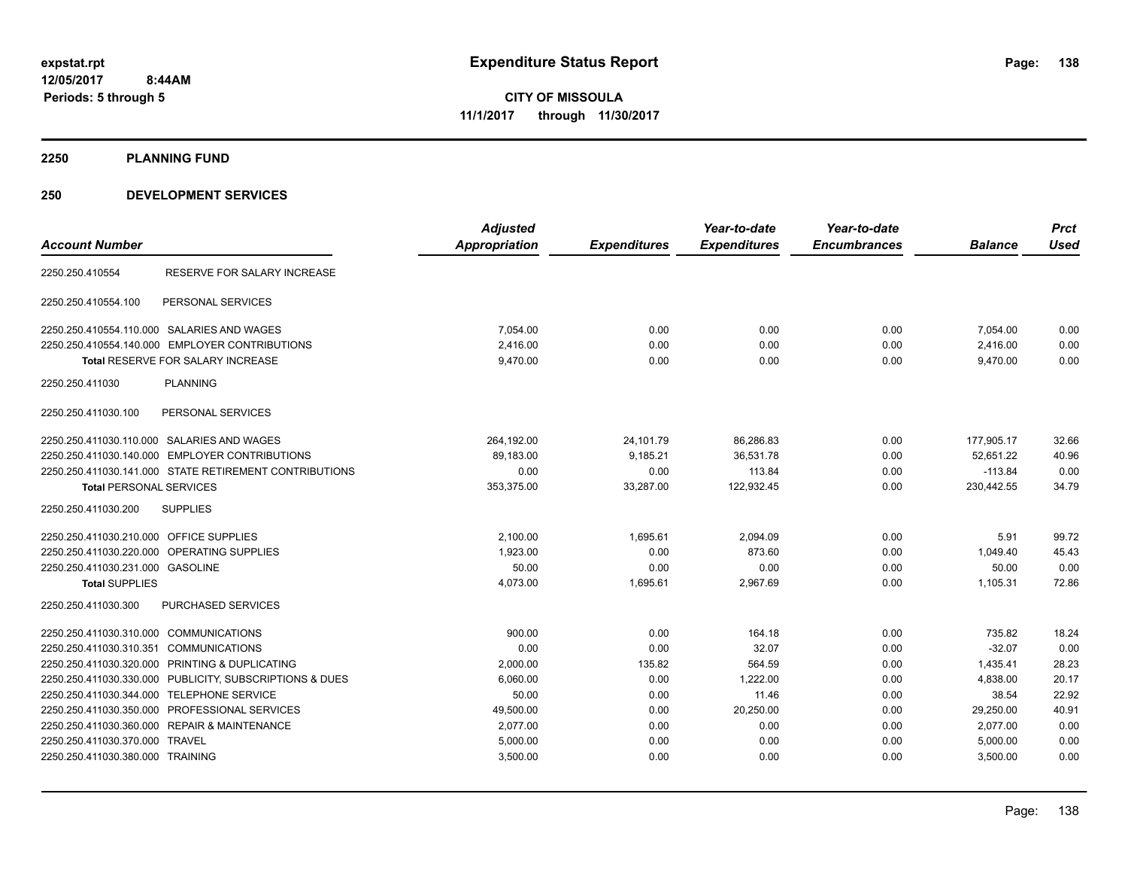**2250 PLANNING FUND**

| <b>Account Number</b>                          |                                                         | <b>Adjusted</b><br>Appropriation | <b>Expenditures</b> | Year-to-date<br><b>Expenditures</b> | Year-to-date<br><b>Encumbrances</b> | <b>Balance</b> | <b>Prct</b><br><b>Used</b> |
|------------------------------------------------|---------------------------------------------------------|----------------------------------|---------------------|-------------------------------------|-------------------------------------|----------------|----------------------------|
| 2250.250.410554                                | RESERVE FOR SALARY INCREASE                             |                                  |                     |                                     |                                     |                |                            |
| 2250.250.410554.100                            | PERSONAL SERVICES                                       |                                  |                     |                                     |                                     |                |                            |
| 2250.250.410554.110.000 SALARIES AND WAGES     |                                                         | 7,054.00                         | 0.00                | 0.00                                | 0.00                                | 7,054.00       | 0.00                       |
| 2250.250.410554.140.000 EMPLOYER CONTRIBUTIONS |                                                         | 2,416.00                         | 0.00                | 0.00                                | 0.00                                | 2,416.00       | 0.00                       |
| <b>Total RESERVE FOR SALARY INCREASE</b>       |                                                         | 9,470.00                         | 0.00                | 0.00                                | 0.00                                | 9,470.00       | 0.00                       |
| 2250.250.411030                                | <b>PLANNING</b>                                         |                                  |                     |                                     |                                     |                |                            |
| 2250.250.411030.100                            | PERSONAL SERVICES                                       |                                  |                     |                                     |                                     |                |                            |
| 2250.250.411030.110.000 SALARIES AND WAGES     |                                                         | 264,192.00                       | 24,101.79           | 86,286.83                           | 0.00                                | 177,905.17     | 32.66                      |
| 2250.250.411030.140.000 EMPLOYER CONTRIBUTIONS |                                                         | 89,183.00                        | 9,185.21            | 36,531.78                           | 0.00                                | 52,651.22      | 40.96                      |
|                                                | 2250.250.411030.141.000 STATE RETIREMENT CONTRIBUTIONS  | 0.00                             | 0.00                | 113.84                              | 0.00                                | $-113.84$      | 0.00                       |
| <b>Total PERSONAL SERVICES</b>                 |                                                         | 353,375.00                       | 33,287.00           | 122,932.45                          | 0.00                                | 230,442.55     | 34.79                      |
| 2250.250.411030.200                            | <b>SUPPLIES</b>                                         |                                  |                     |                                     |                                     |                |                            |
| 2250.250.411030.210.000 OFFICE SUPPLIES        |                                                         | 2,100.00                         | 1,695.61            | 2,094.09                            | 0.00                                | 5.91           | 99.72                      |
| 2250.250.411030.220.000 OPERATING SUPPLIES     |                                                         | 1,923.00                         | 0.00                | 873.60                              | 0.00                                | 1,049.40       | 45.43                      |
| 2250.250.411030.231.000 GASOLINE               |                                                         | 50.00                            | 0.00                | 0.00                                | 0.00                                | 50.00          | 0.00                       |
| <b>Total SUPPLIES</b>                          |                                                         | 4,073.00                         | 1,695.61            | 2,967.69                            | 0.00                                | 1,105.31       | 72.86                      |
| 2250.250.411030.300                            | PURCHASED SERVICES                                      |                                  |                     |                                     |                                     |                |                            |
| 2250.250.411030.310.000 COMMUNICATIONS         |                                                         | 900.00                           | 0.00                | 164.18                              | 0.00                                | 735.82         | 18.24                      |
| 2250.250.411030.310.351 COMMUNICATIONS         |                                                         | 0.00                             | 0.00                | 32.07                               | 0.00                                | $-32.07$       | 0.00                       |
| 2250.250.411030.320.000 PRINTING & DUPLICATING |                                                         | 2,000.00                         | 135.82              | 564.59                              | 0.00                                | 1,435.41       | 28.23                      |
|                                                | 2250.250.411030.330.000 PUBLICITY, SUBSCRIPTIONS & DUES | 6,060.00                         | 0.00                | 1,222.00                            | 0.00                                | 4,838.00       | 20.17                      |
| 2250.250.411030.344.000 TELEPHONE SERVICE      |                                                         | 50.00                            | 0.00                | 11.46                               | 0.00                                | 38.54          | 22.92                      |
| 2250.250.411030.350.000 PROFESSIONAL SERVICES  |                                                         | 49,500.00                        | 0.00                | 20,250.00                           | 0.00                                | 29,250.00      | 40.91                      |
| 2250.250.411030.360.000 REPAIR & MAINTENANCE   |                                                         | 2,077.00                         | 0.00                | 0.00                                | 0.00                                | 2,077.00       | 0.00                       |
| 2250.250.411030.370.000 TRAVEL                 |                                                         | 5,000.00                         | 0.00                | 0.00                                | 0.00                                | 5,000.00       | 0.00                       |
| 2250.250.411030.380.000 TRAINING               |                                                         | 3,500.00                         | 0.00                | 0.00                                | 0.00                                | 3,500.00       | 0.00                       |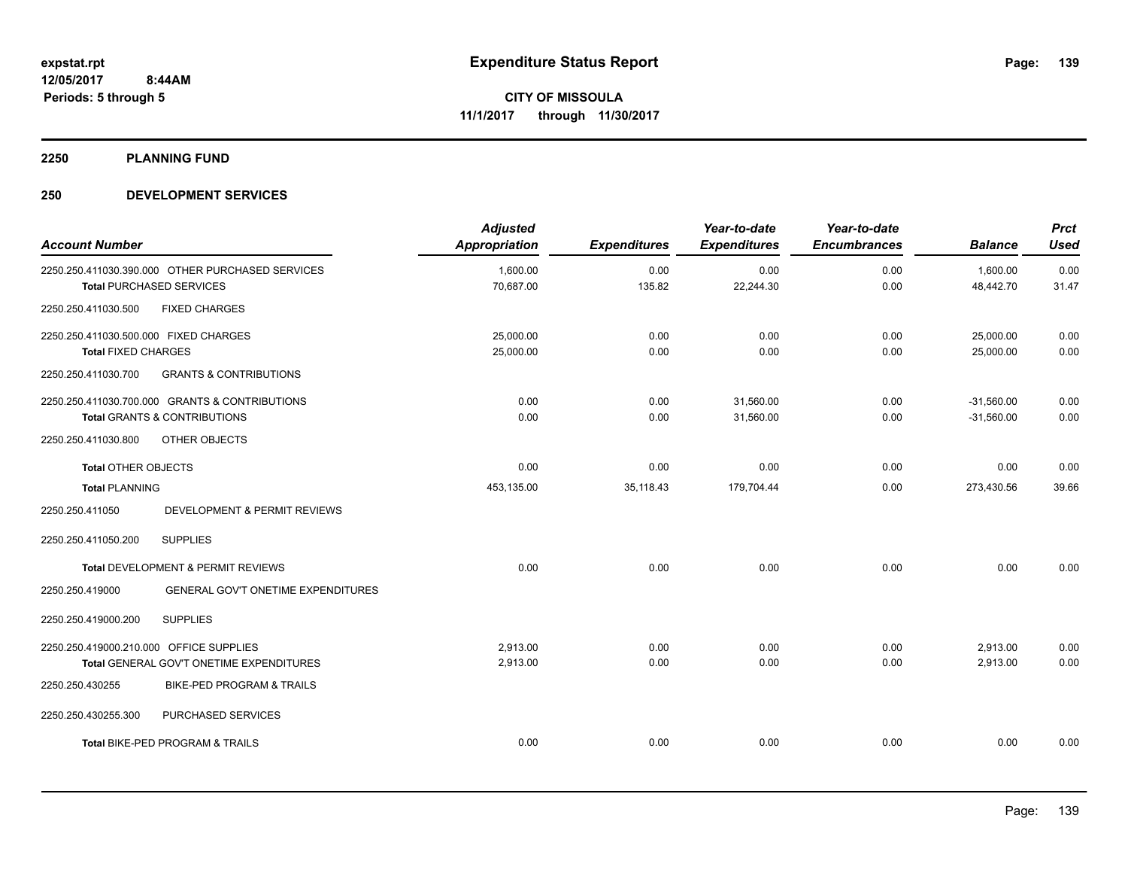**2250 PLANNING FUND**

| <b>Account Number</b>                   |                                                  | <b>Adjusted</b><br><b>Appropriation</b> | <b>Expenditures</b> | Year-to-date<br><b>Expenditures</b> | Year-to-date<br><b>Encumbrances</b> | <b>Balance</b>        | <b>Prct</b><br><b>Used</b> |
|-----------------------------------------|--------------------------------------------------|-----------------------------------------|---------------------|-------------------------------------|-------------------------------------|-----------------------|----------------------------|
|                                         | 2250.250.411030.390.000 OTHER PURCHASED SERVICES | 1,600.00<br>70,687.00                   | 0.00<br>135.82      | 0.00<br>22,244.30                   | 0.00<br>0.00                        | 1,600.00<br>48,442.70 | 0.00<br>31.47              |
|                                         | <b>Total PURCHASED SERVICES</b>                  |                                         |                     |                                     |                                     |                       |                            |
| 2250.250.411030.500                     | <b>FIXED CHARGES</b>                             |                                         |                     |                                     |                                     |                       |                            |
| 2250.250.411030.500.000 FIXED CHARGES   |                                                  | 25,000.00                               | 0.00                | 0.00                                | 0.00                                | 25,000.00             | 0.00                       |
| <b>Total FIXED CHARGES</b>              |                                                  | 25,000.00                               | 0.00                | 0.00                                | 0.00                                | 25,000.00             | 0.00                       |
| 2250.250.411030.700                     | <b>GRANTS &amp; CONTRIBUTIONS</b>                |                                         |                     |                                     |                                     |                       |                            |
|                                         | 2250.250.411030.700.000 GRANTS & CONTRIBUTIONS   | 0.00                                    | 0.00                | 31,560.00                           | 0.00                                | $-31,560.00$          | 0.00                       |
|                                         | <b>Total GRANTS &amp; CONTRIBUTIONS</b>          | 0.00                                    | 0.00                | 31,560.00                           | 0.00                                | $-31,560.00$          | 0.00                       |
| 2250.250.411030.800                     | OTHER OBJECTS                                    |                                         |                     |                                     |                                     |                       |                            |
| <b>Total OTHER OBJECTS</b>              |                                                  | 0.00                                    | 0.00                | 0.00                                | 0.00                                | 0.00                  | 0.00                       |
| <b>Total PLANNING</b>                   |                                                  | 453.135.00                              | 35,118.43           | 179,704.44                          | 0.00                                | 273,430.56            | 39.66                      |
| 2250.250.411050                         | DEVELOPMENT & PERMIT REVIEWS                     |                                         |                     |                                     |                                     |                       |                            |
| 2250.250.411050.200                     | <b>SUPPLIES</b>                                  |                                         |                     |                                     |                                     |                       |                            |
|                                         | Total DEVELOPMENT & PERMIT REVIEWS               | 0.00                                    | 0.00                | 0.00                                | 0.00                                | 0.00                  | 0.00                       |
| 2250.250.419000                         | GENERAL GOV'T ONETIME EXPENDITURES               |                                         |                     |                                     |                                     |                       |                            |
| 2250.250.419000.200                     | <b>SUPPLIES</b>                                  |                                         |                     |                                     |                                     |                       |                            |
| 2250.250.419000.210.000 OFFICE SUPPLIES |                                                  | 2,913.00                                | 0.00                | 0.00                                | 0.00                                | 2,913.00              | 0.00                       |
|                                         | Total GENERAL GOV'T ONETIME EXPENDITURES         | 2,913.00                                | 0.00                | 0.00                                | 0.00                                | 2,913.00              | 0.00                       |
| 2250.250.430255                         | <b>BIKE-PED PROGRAM &amp; TRAILS</b>             |                                         |                     |                                     |                                     |                       |                            |
| 2250.250.430255.300                     | PURCHASED SERVICES                               |                                         |                     |                                     |                                     |                       |                            |
|                                         | <b>Total BIKE-PED PROGRAM &amp; TRAILS</b>       | 0.00                                    | 0.00                | 0.00                                | 0.00                                | 0.00                  | 0.00                       |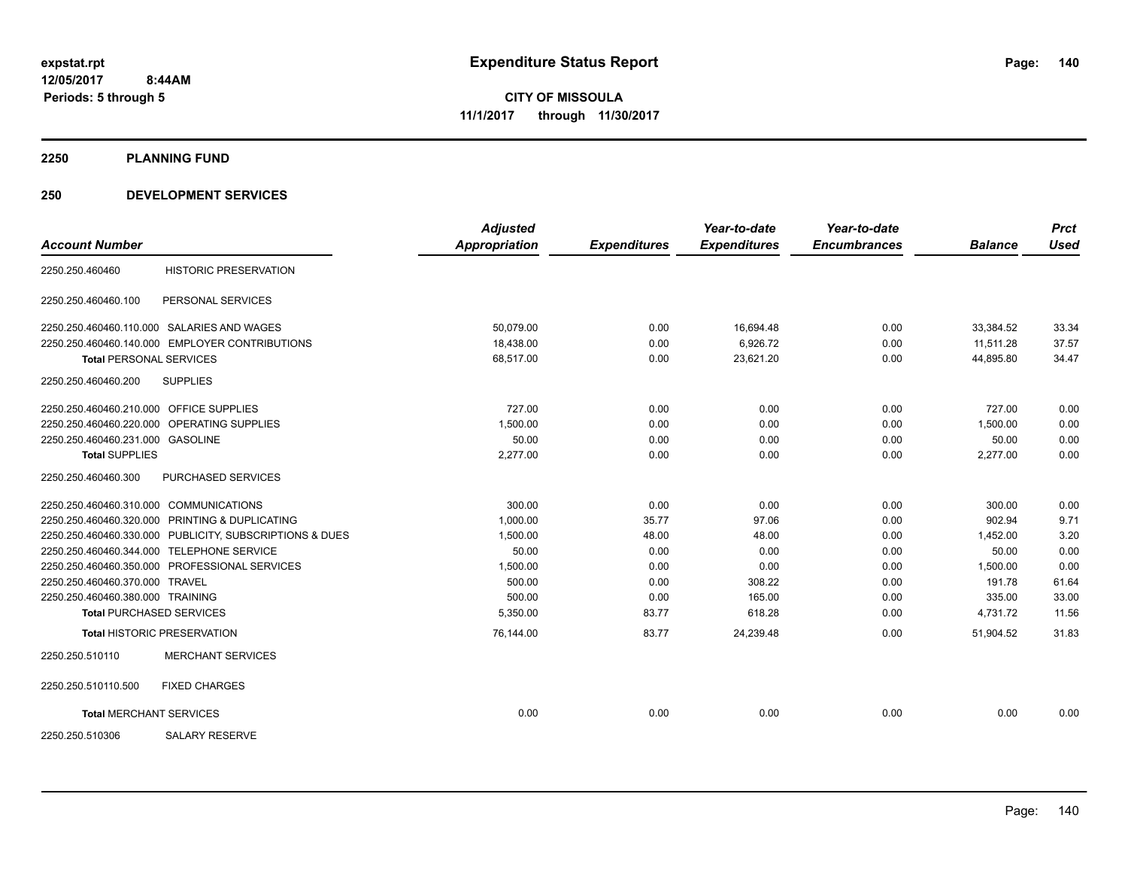#### **2250 PLANNING FUND**

|                                         |                                                         | <b>Adjusted</b>      |                     | Year-to-date        | Year-to-date        |                | <b>Prct</b> |
|-----------------------------------------|---------------------------------------------------------|----------------------|---------------------|---------------------|---------------------|----------------|-------------|
| <b>Account Number</b>                   |                                                         | <b>Appropriation</b> | <b>Expenditures</b> | <b>Expenditures</b> | <b>Encumbrances</b> | <b>Balance</b> | <b>Used</b> |
| 2250.250.460460                         | <b>HISTORIC PRESERVATION</b>                            |                      |                     |                     |                     |                |             |
| 2250.250.460460.100                     | PERSONAL SERVICES                                       |                      |                     |                     |                     |                |             |
|                                         | 2250.250.460460.110.000 SALARIES AND WAGES              | 50,079.00            | 0.00                | 16,694.48           | 0.00                | 33,384.52      | 33.34       |
|                                         | 2250.250.460460.140.000 EMPLOYER CONTRIBUTIONS          | 18,438.00            | 0.00                | 6.926.72            | 0.00                | 11.511.28      | 37.57       |
| <b>Total PERSONAL SERVICES</b>          |                                                         | 68,517.00            | 0.00                | 23,621.20           | 0.00                | 44,895.80      | 34.47       |
| 2250.250.460460.200                     | <b>SUPPLIES</b>                                         |                      |                     |                     |                     |                |             |
| 2250.250.460460.210.000 OFFICE SUPPLIES |                                                         | 727.00               | 0.00                | 0.00                | 0.00                | 727.00         | 0.00        |
|                                         | 2250.250.460460.220.000 OPERATING SUPPLIES              | 1,500.00             | 0.00                | 0.00                | 0.00                | 1,500.00       | 0.00        |
| 2250.250.460460.231.000 GASOLINE        |                                                         | 50.00                | 0.00                | 0.00                | 0.00                | 50.00          | 0.00        |
| <b>Total SUPPLIES</b>                   |                                                         | 2,277.00             | 0.00                | 0.00                | 0.00                | 2,277.00       | 0.00        |
| 2250.250.460460.300                     | PURCHASED SERVICES                                      |                      |                     |                     |                     |                |             |
| 2250.250.460460.310.000 COMMUNICATIONS  |                                                         | 300.00               | 0.00                | 0.00                | 0.00                | 300.00         | 0.00        |
|                                         | 2250.250.460460.320.000 PRINTING & DUPLICATING          | 1.000.00             | 35.77               | 97.06               | 0.00                | 902.94         | 9.71        |
|                                         | 2250.250.460460.330.000 PUBLICITY, SUBSCRIPTIONS & DUES | 1,500.00             | 48.00               | 48.00               | 0.00                | 1,452.00       | 3.20        |
|                                         | 2250.250.460460.344.000 TELEPHONE SERVICE               | 50.00                | 0.00                | 0.00                | 0.00                | 50.00          | 0.00        |
|                                         | 2250.250.460460.350.000 PROFESSIONAL SERVICES           | 1,500.00             | 0.00                | 0.00                | 0.00                | 1,500.00       | 0.00        |
| 2250.250.460460.370.000 TRAVEL          |                                                         | 500.00               | 0.00                | 308.22              | 0.00                | 191.78         | 61.64       |
| 2250.250.460460.380.000 TRAINING        |                                                         | 500.00               | 0.00                | 165.00              | 0.00                | 335.00         | 33.00       |
|                                         | <b>Total PURCHASED SERVICES</b>                         | 5,350.00             | 83.77               | 618.28              | 0.00                | 4,731.72       | 11.56       |
|                                         | <b>Total HISTORIC PRESERVATION</b>                      | 76,144.00            | 83.77               | 24,239.48           | 0.00                | 51,904.52      | 31.83       |
| 2250.250.510110                         | <b>MERCHANT SERVICES</b>                                |                      |                     |                     |                     |                |             |
| 2250.250.510110.500                     | <b>FIXED CHARGES</b>                                    |                      |                     |                     |                     |                |             |
| <b>Total MERCHANT SERVICES</b>          |                                                         | 0.00                 | 0.00                | 0.00                | 0.00                | 0.00           | 0.00        |
| 2250.250.510306                         | <b>SALARY RESERVE</b>                                   |                      |                     |                     |                     |                |             |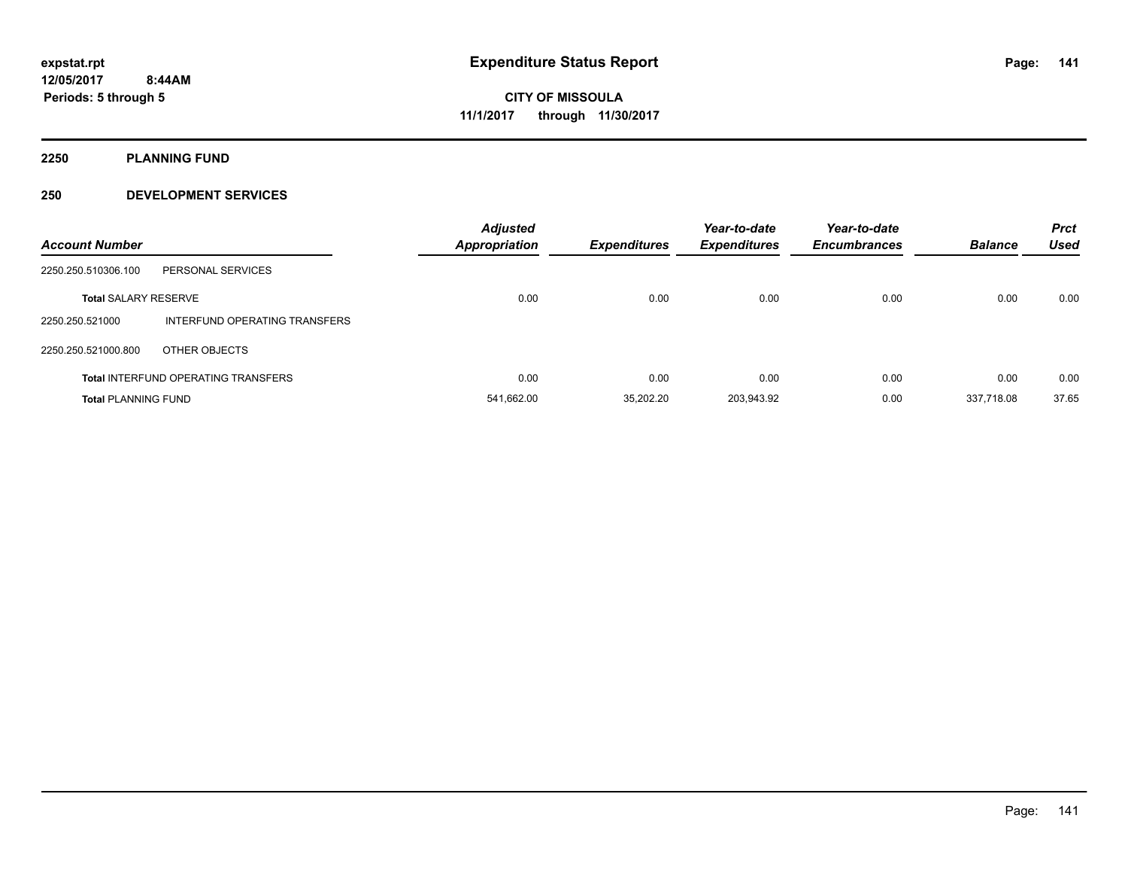**2250 PLANNING FUND**

| <b>Account Number</b>       |                                            | <b>Adjusted</b><br>Appropriation | <b>Expenditures</b> | Year-to-date<br><b>Expenditures</b> | Year-to-date<br><b>Encumbrances</b> | <b>Balance</b> | <b>Prct</b><br><b>Used</b> |
|-----------------------------|--------------------------------------------|----------------------------------|---------------------|-------------------------------------|-------------------------------------|----------------|----------------------------|
| 2250.250.510306.100         | PERSONAL SERVICES                          |                                  |                     |                                     |                                     |                |                            |
| <b>Total SALARY RESERVE</b> |                                            | 0.00                             | 0.00                | 0.00                                | 0.00                                | 0.00           | 0.00                       |
| 2250.250.521000             | INTERFUND OPERATING TRANSFERS              |                                  |                     |                                     |                                     |                |                            |
| 2250.250.521000.800         | OTHER OBJECTS                              |                                  |                     |                                     |                                     |                |                            |
|                             | <b>Total INTERFUND OPERATING TRANSFERS</b> | 0.00                             | 0.00                | 0.00                                | 0.00                                | 0.00           | 0.00                       |
| <b>Total PLANNING FUND</b>  |                                            | 541,662.00                       | 35.202.20           | 203.943.92                          | 0.00                                | 337.718.08     | 37.65                      |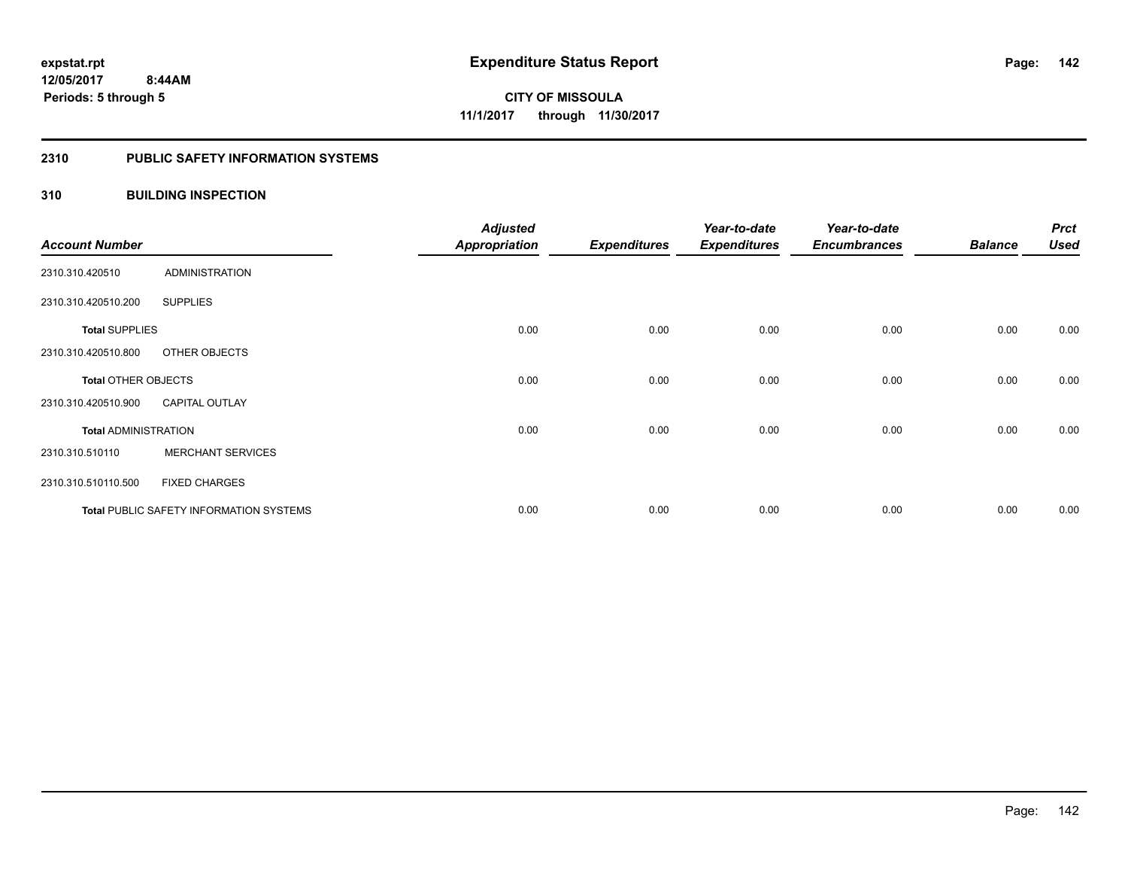#### **2310 PUBLIC SAFETY INFORMATION SYSTEMS**

#### **310 BUILDING INSPECTION**

| <b>Account Number</b>       |                                                | <b>Adjusted</b><br><b>Appropriation</b> | <b>Expenditures</b> | Year-to-date<br><b>Expenditures</b> | Year-to-date<br><b>Encumbrances</b> | <b>Balance</b> | <b>Prct</b><br><b>Used</b> |
|-----------------------------|------------------------------------------------|-----------------------------------------|---------------------|-------------------------------------|-------------------------------------|----------------|----------------------------|
| 2310.310.420510             | <b>ADMINISTRATION</b>                          |                                         |                     |                                     |                                     |                |                            |
| 2310.310.420510.200         | <b>SUPPLIES</b>                                |                                         |                     |                                     |                                     |                |                            |
| <b>Total SUPPLIES</b>       |                                                | 0.00                                    | 0.00                | 0.00                                | 0.00                                | 0.00           | 0.00                       |
| 2310.310.420510.800         | OTHER OBJECTS                                  |                                         |                     |                                     |                                     |                |                            |
| <b>Total OTHER OBJECTS</b>  |                                                | 0.00                                    | 0.00                | 0.00                                | 0.00                                | 0.00           | 0.00                       |
| 2310.310.420510.900         | <b>CAPITAL OUTLAY</b>                          |                                         |                     |                                     |                                     |                |                            |
| <b>Total ADMINISTRATION</b> |                                                | 0.00                                    | 0.00                | 0.00                                | 0.00                                | 0.00           | 0.00                       |
| 2310.310.510110             | <b>MERCHANT SERVICES</b>                       |                                         |                     |                                     |                                     |                |                            |
| 2310.310.510110.500         | <b>FIXED CHARGES</b>                           |                                         |                     |                                     |                                     |                |                            |
|                             | <b>Total PUBLIC SAFETY INFORMATION SYSTEMS</b> | 0.00                                    | 0.00                | 0.00                                | 0.00                                | 0.00           | 0.00                       |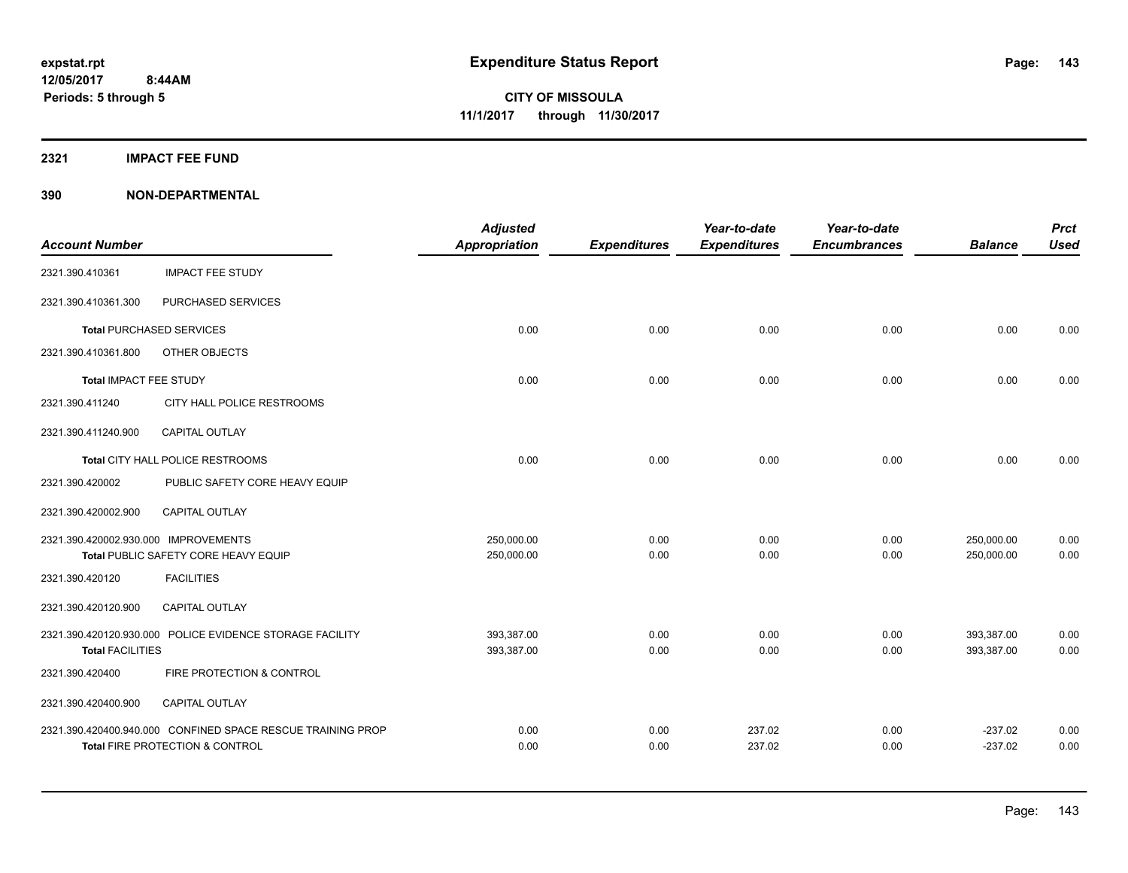#### **2321 IMPACT FEE FUND**

|                                      |                                                             | <b>Adjusted</b>      |                     | Year-to-date        | Year-to-date        |                | <b>Prct</b> |
|--------------------------------------|-------------------------------------------------------------|----------------------|---------------------|---------------------|---------------------|----------------|-------------|
| <b>Account Number</b>                |                                                             | <b>Appropriation</b> | <b>Expenditures</b> | <b>Expenditures</b> | <b>Encumbrances</b> | <b>Balance</b> | <b>Used</b> |
| 2321.390.410361                      | <b>IMPACT FEE STUDY</b>                                     |                      |                     |                     |                     |                |             |
| 2321.390.410361.300                  | PURCHASED SERVICES                                          |                      |                     |                     |                     |                |             |
|                                      | <b>Total PURCHASED SERVICES</b>                             | 0.00                 | 0.00                | 0.00                | 0.00                | 0.00           | 0.00        |
| 2321.390.410361.800                  | OTHER OBJECTS                                               |                      |                     |                     |                     |                |             |
| <b>Total IMPACT FEE STUDY</b>        |                                                             | 0.00                 | 0.00                | 0.00                | 0.00                | 0.00           | 0.00        |
| 2321.390.411240                      | CITY HALL POLICE RESTROOMS                                  |                      |                     |                     |                     |                |             |
| 2321.390.411240.900                  | CAPITAL OUTLAY                                              |                      |                     |                     |                     |                |             |
|                                      | Total CITY HALL POLICE RESTROOMS                            | 0.00                 | 0.00                | 0.00                | 0.00                | 0.00           | 0.00        |
| 2321.390.420002                      | PUBLIC SAFETY CORE HEAVY EQUIP                              |                      |                     |                     |                     |                |             |
| 2321.390.420002.900                  | <b>CAPITAL OUTLAY</b>                                       |                      |                     |                     |                     |                |             |
| 2321.390.420002.930.000 IMPROVEMENTS |                                                             | 250,000.00           | 0.00                | 0.00                | 0.00                | 250,000.00     | 0.00        |
|                                      | Total PUBLIC SAFETY CORE HEAVY EQUIP                        | 250,000.00           | 0.00                | 0.00                | 0.00                | 250,000.00     | 0.00        |
| 2321.390.420120                      | <b>FACILITIES</b>                                           |                      |                     |                     |                     |                |             |
| 2321.390.420120.900                  | <b>CAPITAL OUTLAY</b>                                       |                      |                     |                     |                     |                |             |
|                                      | 2321.390.420120.930.000 POLICE EVIDENCE STORAGE FACILITY    | 393,387.00           | 0.00                | 0.00                | 0.00                | 393,387.00     | 0.00        |
| <b>Total FACILITIES</b>              |                                                             | 393,387.00           | 0.00                | 0.00                | 0.00                | 393,387.00     | 0.00        |
| 2321.390.420400                      | FIRE PROTECTION & CONTROL                                   |                      |                     |                     |                     |                |             |
| 2321.390.420400.900                  | CAPITAL OUTLAY                                              |                      |                     |                     |                     |                |             |
|                                      | 2321.390.420400.940.000 CONFINED SPACE RESCUE TRAINING PROP | 0.00                 | 0.00                | 237.02              | 0.00                | $-237.02$      | 0.00        |
|                                      | Total FIRE PROTECTION & CONTROL                             | 0.00                 | 0.00                | 237.02              | 0.00                | $-237.02$      | 0.00        |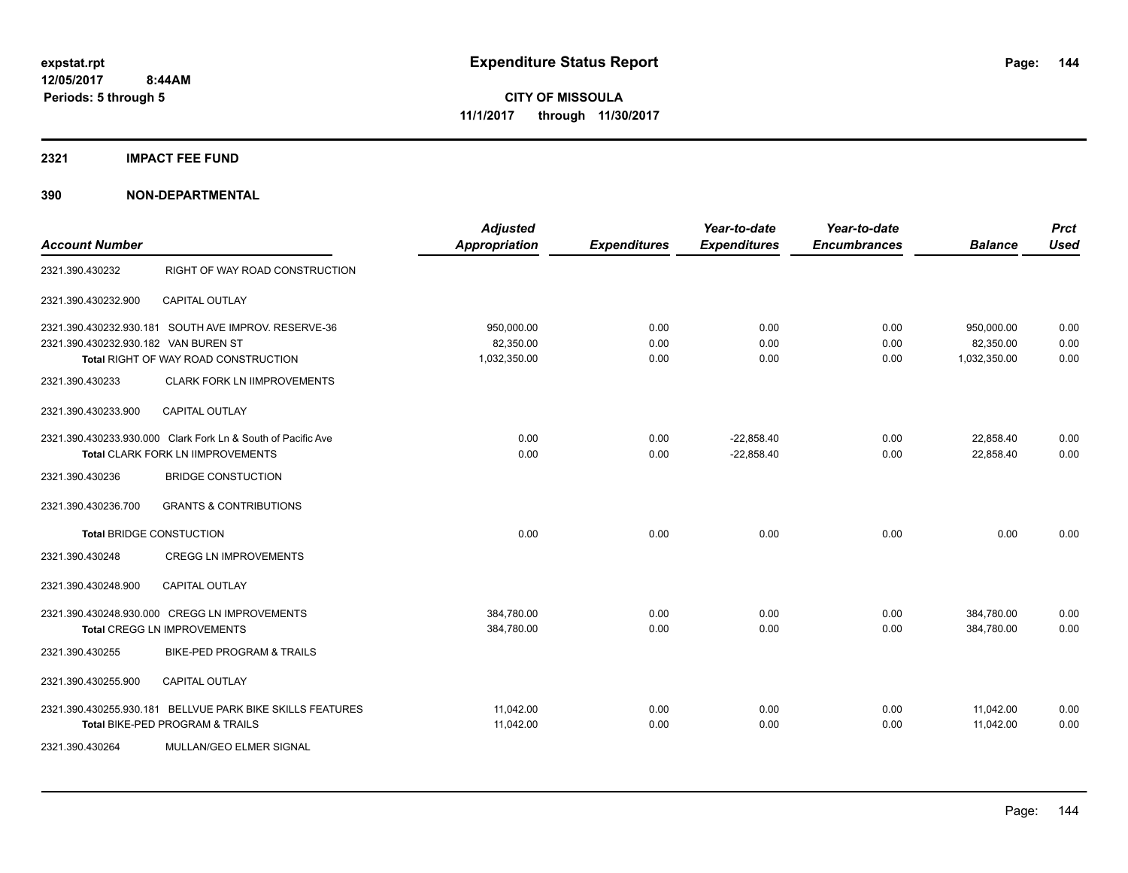**2321 IMPACT FEE FUND**

|                                                                                                                                                                            | <b>Adjusted</b><br><b>Appropriation</b> | <b>Expenditures</b>  | Year-to-date<br><b>Expenditures</b> | Year-to-date<br><b>Encumbrances</b> | <b>Balance</b>                          | <b>Prct</b><br><b>Used</b> |
|----------------------------------------------------------------------------------------------------------------------------------------------------------------------------|-----------------------------------------|----------------------|-------------------------------------|-------------------------------------|-----------------------------------------|----------------------------|
| RIGHT OF WAY ROAD CONSTRUCTION                                                                                                                                             |                                         |                      |                                     |                                     |                                         |                            |
| <b>CAPITAL OUTLAY</b>                                                                                                                                                      |                                         |                      |                                     |                                     |                                         |                            |
| 2321.390.430232.930.181 SOUTH AVE IMPROV, RESERVE-36<br>2321.390.430232.930.182 VAN BUREN ST<br>Total RIGHT OF WAY ROAD CONSTRUCTION<br><b>CLARK FORK LN IIMPROVEMENTS</b> | 950,000.00<br>82,350.00<br>1,032,350.00 | 0.00<br>0.00<br>0.00 | 0.00<br>0.00<br>0.00                | 0.00<br>0.00<br>0.00                | 950,000.00<br>82,350.00<br>1,032,350.00 | 0.00<br>0.00<br>0.00       |
| <b>CAPITAL OUTLAY</b>                                                                                                                                                      |                                         |                      |                                     |                                     |                                         |                            |
| 2321.390.430233.930.000 Clark Fork Ln & South of Pacific Ave<br><b>Total CLARK FORK LN IIMPROVEMENTS</b><br><b>BRIDGE CONSTUCTION</b>                                      | 0.00<br>0.00                            | 0.00<br>0.00         | $-22,858.40$<br>$-22,858.40$        | 0.00<br>0.00                        | 22,858.40<br>22,858.40                  | 0.00<br>0.00               |
| <b>GRANTS &amp; CONTRIBUTIONS</b>                                                                                                                                          |                                         |                      |                                     |                                     |                                         |                            |
| <b>Total BRIDGE CONSTUCTION</b>                                                                                                                                            | 0.00                                    | 0.00                 | 0.00                                | 0.00                                | 0.00                                    | 0.00                       |
| <b>CREGG LN IMPROVEMENTS</b>                                                                                                                                               |                                         |                      |                                     |                                     |                                         |                            |
| <b>CAPITAL OUTLAY</b>                                                                                                                                                      |                                         |                      |                                     |                                     |                                         |                            |
| 2321.390.430248.930.000 CREGG LN IMPROVEMENTS<br><b>Total CREGG LN IMPROVEMENTS</b>                                                                                        | 384,780.00<br>384,780.00                | 0.00<br>0.00         | 0.00<br>0.00                        | 0.00<br>0.00                        | 384,780.00<br>384,780.00                | 0.00<br>0.00               |
| <b>BIKE-PED PROGRAM &amp; TRAILS</b>                                                                                                                                       |                                         |                      |                                     |                                     |                                         |                            |
| <b>CAPITAL OUTLAY</b>                                                                                                                                                      |                                         |                      |                                     |                                     |                                         |                            |
| 2321.390.430255.930.181 BELLVUE PARK BIKE SKILLS FEATURES<br>Total BIKE-PED PROGRAM & TRAILS<br>MULLAN/GEO ELMER SIGNAL                                                    | 11,042.00<br>11,042.00                  | 0.00<br>0.00         | 0.00<br>0.00                        | 0.00<br>0.00                        | 11,042.00<br>11,042.00                  | 0.00<br>0.00               |
|                                                                                                                                                                            |                                         |                      |                                     |                                     |                                         |                            |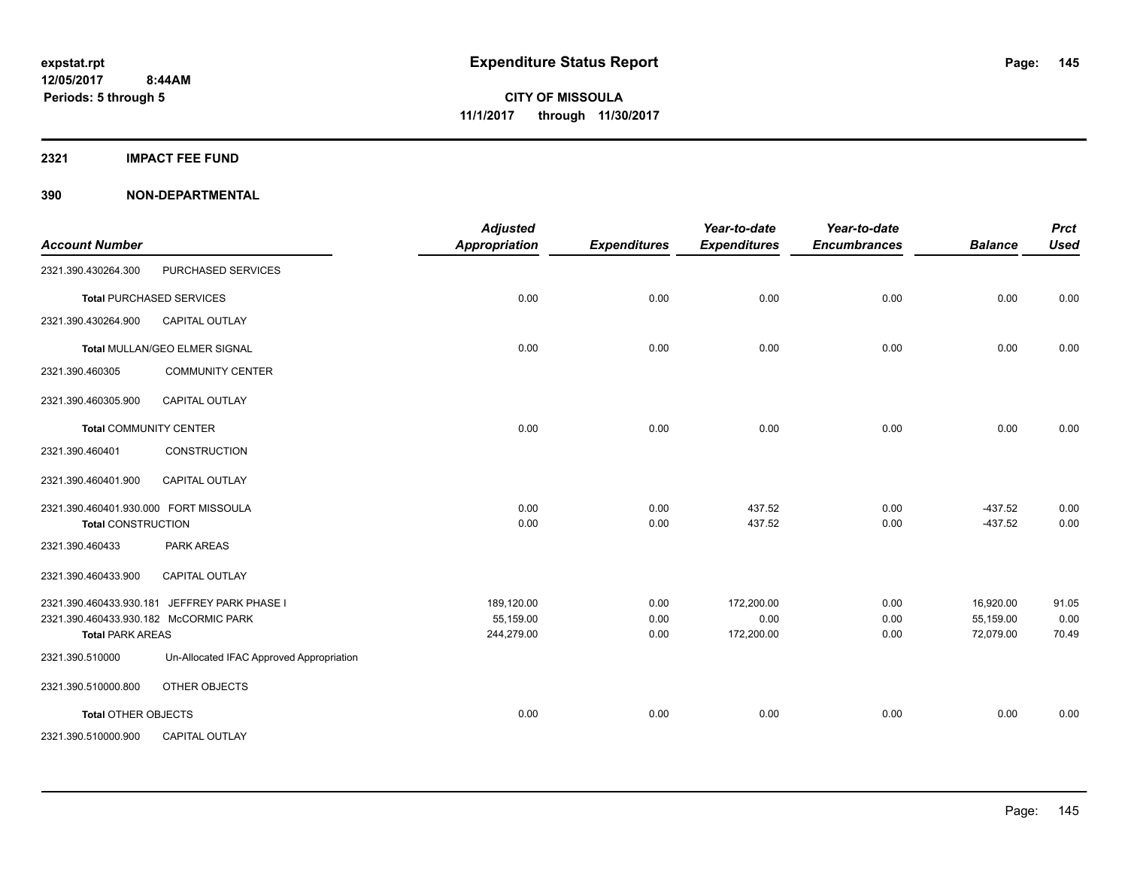# **2321 IMPACT FEE FUND**

| <b>Account Number</b>                                              |                                              | <b>Adjusted</b><br><b>Appropriation</b> | <b>Expenditures</b>  | Year-to-date<br><b>Expenditures</b> | Year-to-date<br><b>Encumbrances</b> | <b>Balance</b>                      | <b>Prct</b><br><b>Used</b> |
|--------------------------------------------------------------------|----------------------------------------------|-----------------------------------------|----------------------|-------------------------------------|-------------------------------------|-------------------------------------|----------------------------|
| 2321.390.430264.300                                                | PURCHASED SERVICES                           |                                         |                      |                                     |                                     |                                     |                            |
|                                                                    | <b>Total PURCHASED SERVICES</b>              | 0.00                                    | 0.00                 | 0.00                                | 0.00                                | 0.00                                | 0.00                       |
| 2321.390.430264.900                                                | CAPITAL OUTLAY                               |                                         |                      |                                     |                                     |                                     |                            |
|                                                                    | Total MULLAN/GEO ELMER SIGNAL                | 0.00                                    | 0.00                 | 0.00                                | 0.00                                | 0.00                                | 0.00                       |
| 2321.390.460305                                                    | <b>COMMUNITY CENTER</b>                      |                                         |                      |                                     |                                     |                                     |                            |
| 2321.390.460305.900                                                | <b>CAPITAL OUTLAY</b>                        |                                         |                      |                                     |                                     |                                     |                            |
| <b>Total COMMUNITY CENTER</b>                                      |                                              | 0.00                                    | 0.00                 | 0.00                                | 0.00                                | 0.00                                | 0.00                       |
| 2321.390.460401                                                    | CONSTRUCTION                                 |                                         |                      |                                     |                                     |                                     |                            |
| 2321.390.460401.900                                                | CAPITAL OUTLAY                               |                                         |                      |                                     |                                     |                                     |                            |
| 2321.390.460401.930.000 FORT MISSOULA<br><b>Total CONSTRUCTION</b> |                                              | 0.00<br>0.00                            | 0.00<br>0.00         | 437.52<br>437.52                    | 0.00<br>0.00                        | $-437.52$<br>$-437.52$              | 0.00<br>0.00               |
| 2321.390.460433                                                    | <b>PARK AREAS</b>                            |                                         |                      |                                     |                                     |                                     |                            |
| 2321.390.460433.900                                                | <b>CAPITAL OUTLAY</b>                        |                                         |                      |                                     |                                     |                                     |                            |
| 2321.390.460433.930.182 McCORMIC PARK<br><b>Total PARK AREAS</b>   | 2321.390.460433.930.181 JEFFREY PARK PHASE I | 189,120.00<br>55,159.00<br>244,279.00   | 0.00<br>0.00<br>0.00 | 172,200.00<br>0.00<br>172,200.00    | 0.00<br>0.00<br>0.00                | 16,920.00<br>55,159.00<br>72,079.00 | 91.05<br>0.00<br>70.49     |
| 2321.390.510000                                                    | Un-Allocated IFAC Approved Appropriation     |                                         |                      |                                     |                                     |                                     |                            |
| 2321.390.510000.800                                                | OTHER OBJECTS                                |                                         |                      |                                     |                                     |                                     |                            |
| <b>Total OTHER OBJECTS</b>                                         |                                              | 0.00                                    | 0.00                 | 0.00                                | 0.00                                | 0.00                                | 0.00                       |
| 2321.390.510000.900                                                | <b>CAPITAL OUTLAY</b>                        |                                         |                      |                                     |                                     |                                     |                            |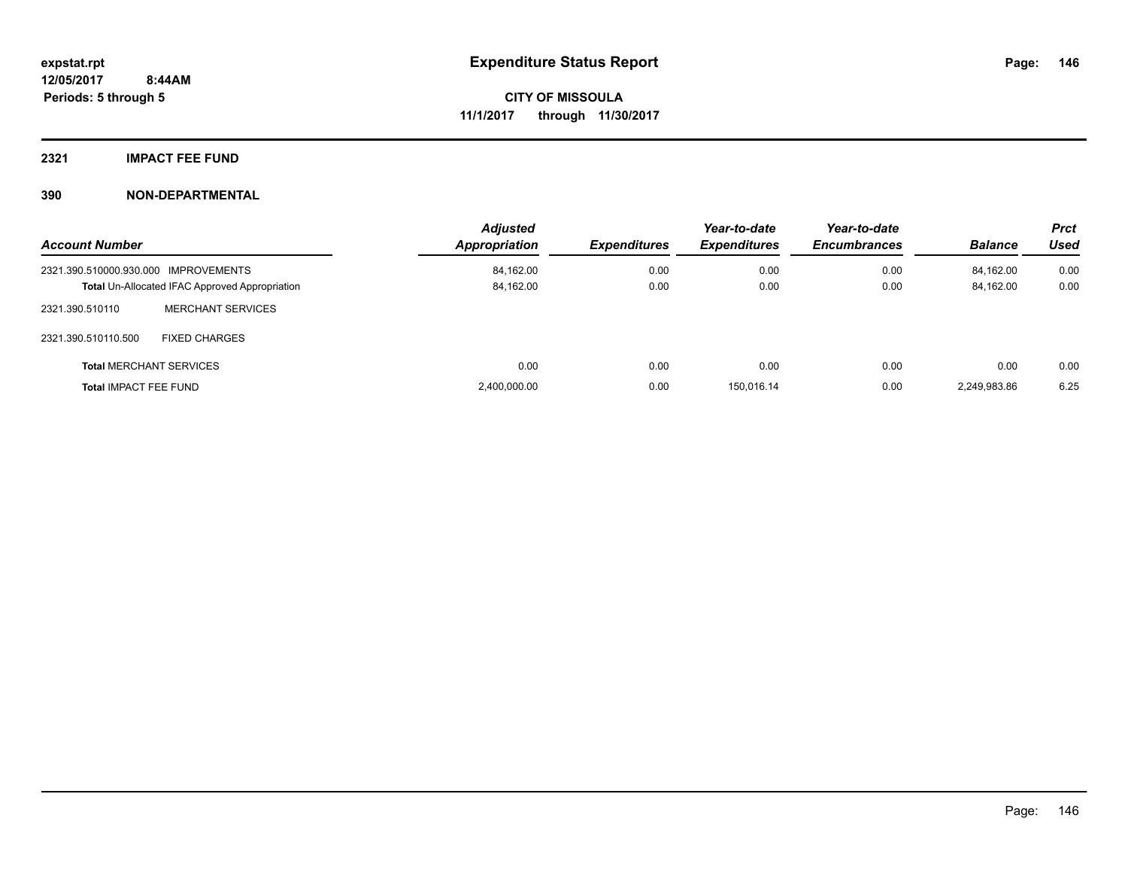# **2321 IMPACT FEE FUND**

| <b>Account Number</b>                                 |                                | <b>Adjusted</b><br>Appropriation | <b>Expenditures</b> | Year-to-date<br><b>Expenditures</b> | Year-to-date<br><b>Encumbrances</b> | <b>Balance</b> | <b>Prct</b><br>Used |
|-------------------------------------------------------|--------------------------------|----------------------------------|---------------------|-------------------------------------|-------------------------------------|----------------|---------------------|
| 2321.390.510000.930.000 IMPROVEMENTS                  |                                | 84,162.00                        | 0.00                | 0.00                                | 0.00                                | 84.162.00      | 0.00                |
| <b>Total Un-Allocated IFAC Approved Appropriation</b> |                                | 84,162.00                        | 0.00                | 0.00                                | 0.00                                | 84,162.00      | 0.00                |
| 2321.390.510110                                       | <b>MERCHANT SERVICES</b>       |                                  |                     |                                     |                                     |                |                     |
| 2321.390.510110.500                                   | <b>FIXED CHARGES</b>           |                                  |                     |                                     |                                     |                |                     |
|                                                       | <b>Total MERCHANT SERVICES</b> | 0.00                             | 0.00                | 0.00                                | 0.00                                | 0.00           | 0.00                |
| <b>Total IMPACT FEE FUND</b>                          |                                | 2,400,000.00                     | 0.00                | 150.016.14                          | 0.00                                | 2.249.983.86   | 6.25                |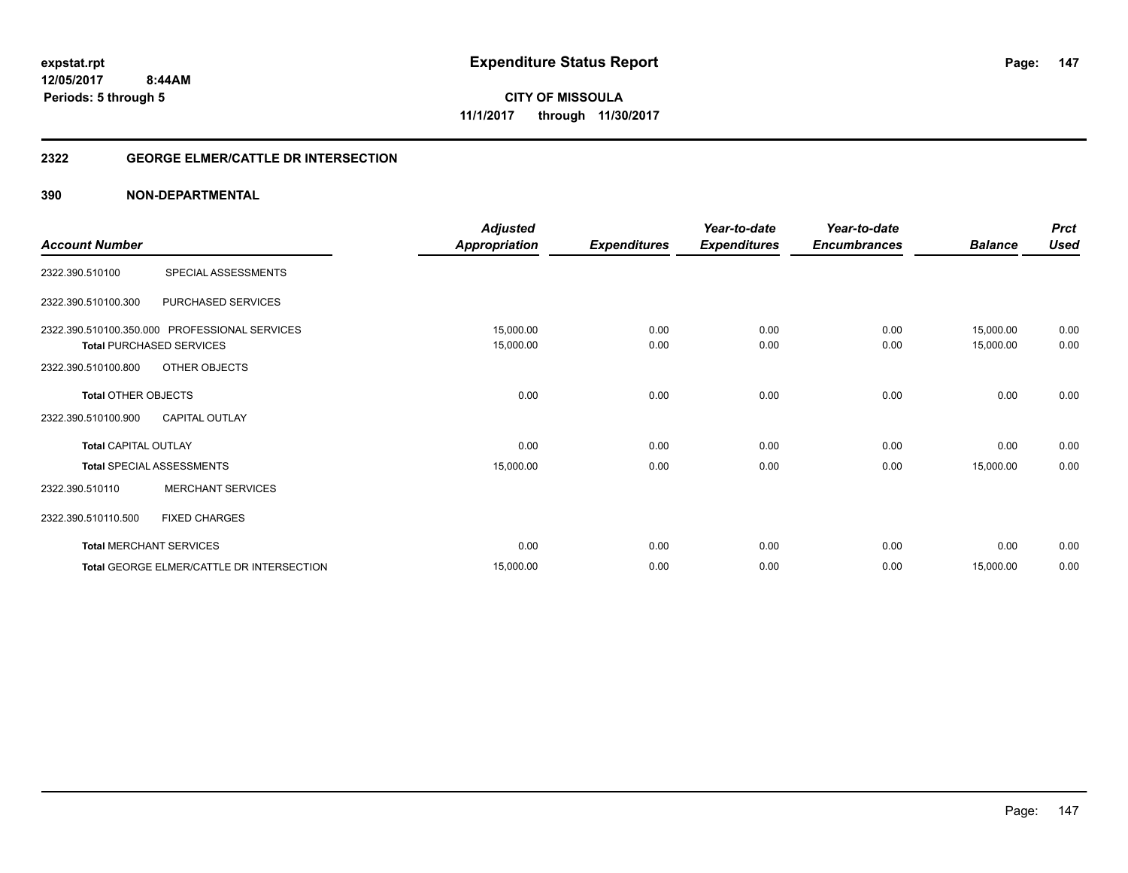# **2322 GEORGE ELMER/CATTLE DR INTERSECTION**

| <b>Account Number</b>                             |                                                                                                   | <b>Adjusted</b><br><b>Appropriation</b> | <b>Expenditures</b> | Year-to-date<br><b>Expenditures</b> | Year-to-date<br><b>Encumbrances</b> | <b>Balance</b>         | <b>Prct</b><br><b>Used</b> |
|---------------------------------------------------|---------------------------------------------------------------------------------------------------|-----------------------------------------|---------------------|-------------------------------------|-------------------------------------|------------------------|----------------------------|
| 2322.390.510100                                   | SPECIAL ASSESSMENTS                                                                               |                                         |                     |                                     |                                     |                        |                            |
| 2322.390.510100.300                               | PURCHASED SERVICES                                                                                |                                         |                     |                                     |                                     |                        |                            |
| 2322.390.510100.800                               | 2322.390.510100.350.000 PROFESSIONAL SERVICES<br><b>Total PURCHASED SERVICES</b><br>OTHER OBJECTS | 15,000.00<br>15,000.00                  | 0.00<br>0.00        | 0.00<br>0.00                        | 0.00<br>0.00                        | 15,000.00<br>15,000.00 | 0.00<br>0.00               |
| <b>Total OTHER OBJECTS</b><br>2322.390.510100.900 | <b>CAPITAL OUTLAY</b>                                                                             | 0.00                                    | 0.00                | 0.00                                | 0.00                                | 0.00                   | 0.00                       |
| <b>Total CAPITAL OUTLAY</b>                       |                                                                                                   | 0.00                                    | 0.00                | 0.00                                | 0.00                                | 0.00                   | 0.00                       |
| 2322.390.510110                                   | <b>Total SPECIAL ASSESSMENTS</b><br><b>MERCHANT SERVICES</b>                                      | 15,000.00                               | 0.00                | 0.00                                | 0.00                                | 15,000.00              | 0.00                       |
| 2322.390.510110.500                               | <b>FIXED CHARGES</b>                                                                              |                                         |                     |                                     |                                     |                        |                            |
|                                                   | <b>Total MERCHANT SERVICES</b>                                                                    | 0.00                                    | 0.00                | 0.00                                | 0.00                                | 0.00                   | 0.00                       |
|                                                   | Total GEORGE ELMER/CATTLE DR INTERSECTION                                                         | 15,000.00                               | 0.00                | 0.00                                | 0.00                                | 15,000.00              | 0.00                       |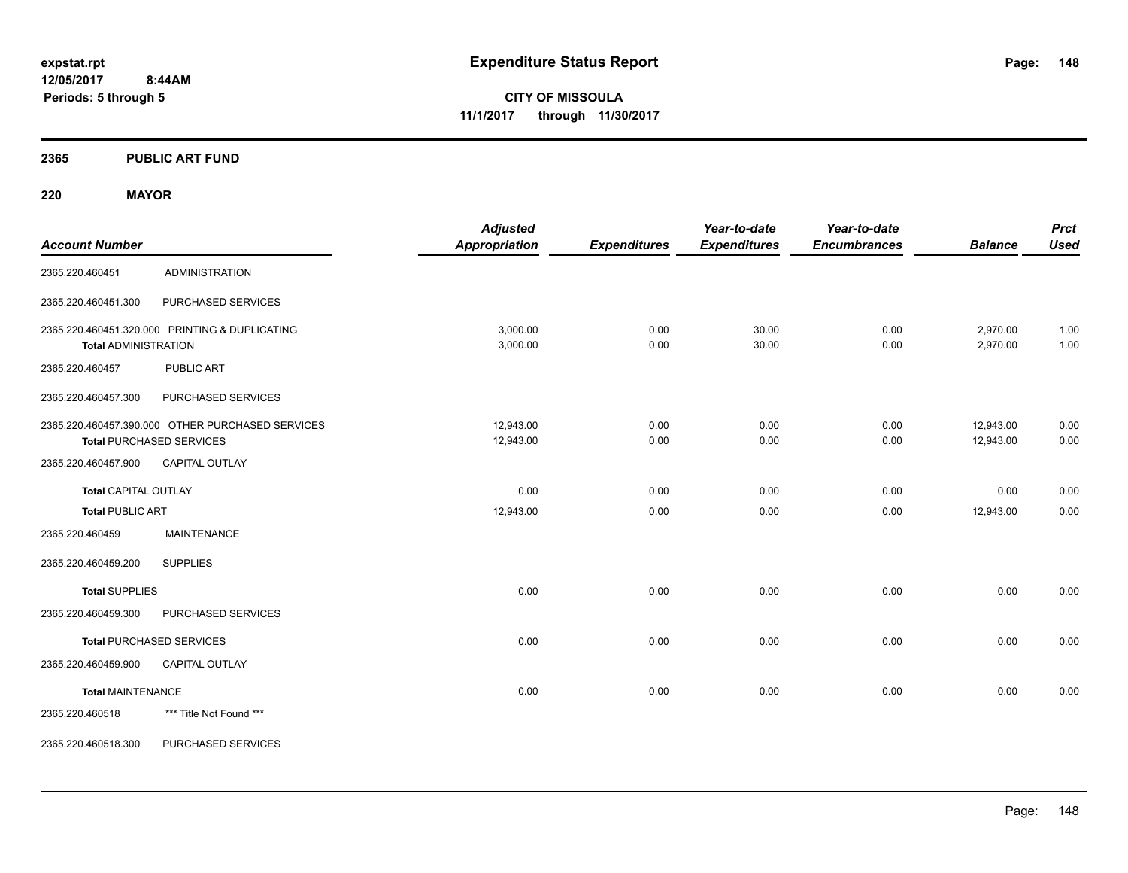**Periods: 5 through 5**

**CITY OF MISSOULA 11/1/2017 through 11/30/2017**

**2365 PUBLIC ART FUND**

**220 MAYOR**

| <b>Account Number</b>       |                                                                                     | <b>Adjusted</b><br>Appropriation | <b>Expenditures</b> | Year-to-date<br><b>Expenditures</b> | Year-to-date<br><b>Encumbrances</b> | <b>Balance</b>         | <b>Prct</b><br><b>Used</b> |
|-----------------------------|-------------------------------------------------------------------------------------|----------------------------------|---------------------|-------------------------------------|-------------------------------------|------------------------|----------------------------|
| 2365.220.460451             | <b>ADMINISTRATION</b>                                                               |                                  |                     |                                     |                                     |                        |                            |
| 2365.220.460451.300         | PURCHASED SERVICES                                                                  |                                  |                     |                                     |                                     |                        |                            |
| <b>Total ADMINISTRATION</b> | 2365.220.460451.320.000 PRINTING & DUPLICATING                                      | 3,000.00<br>3,000.00             | 0.00<br>0.00        | 30.00<br>30.00                      | 0.00<br>0.00                        | 2,970.00<br>2,970.00   | 1.00<br>1.00               |
| 2365.220.460457             | <b>PUBLIC ART</b>                                                                   |                                  |                     |                                     |                                     |                        |                            |
| 2365.220.460457.300         | PURCHASED SERVICES                                                                  |                                  |                     |                                     |                                     |                        |                            |
|                             | 2365.220.460457.390.000 OTHER PURCHASED SERVICES<br><b>Total PURCHASED SERVICES</b> | 12,943.00<br>12,943.00           | 0.00<br>0.00        | 0.00<br>0.00                        | 0.00<br>0.00                        | 12,943.00<br>12,943.00 | 0.00<br>0.00               |
| 2365.220.460457.900         | <b>CAPITAL OUTLAY</b>                                                               |                                  |                     |                                     |                                     |                        |                            |
| <b>Total CAPITAL OUTLAY</b> |                                                                                     | 0.00                             | 0.00                | 0.00                                | 0.00                                | 0.00                   | 0.00                       |
| <b>Total PUBLIC ART</b>     |                                                                                     | 12,943.00                        | 0.00                | 0.00                                | 0.00                                | 12,943.00              | 0.00                       |
| 2365.220.460459             | <b>MAINTENANCE</b>                                                                  |                                  |                     |                                     |                                     |                        |                            |
| 2365.220.460459.200         | <b>SUPPLIES</b>                                                                     |                                  |                     |                                     |                                     |                        |                            |
| <b>Total SUPPLIES</b>       |                                                                                     | 0.00                             | 0.00                | 0.00                                | 0.00                                | 0.00                   | 0.00                       |
| 2365.220.460459.300         | PURCHASED SERVICES                                                                  |                                  |                     |                                     |                                     |                        |                            |
|                             | <b>Total PURCHASED SERVICES</b>                                                     | 0.00                             | 0.00                | 0.00                                | 0.00                                | 0.00                   | 0.00                       |
| 2365.220.460459.900         | <b>CAPITAL OUTLAY</b>                                                               |                                  |                     |                                     |                                     |                        |                            |
| <b>Total MAINTENANCE</b>    |                                                                                     | 0.00                             | 0.00                | 0.00                                | 0.00                                | 0.00                   | 0.00                       |
| 2365.220.460518             | *** Title Not Found ***                                                             |                                  |                     |                                     |                                     |                        |                            |
| 2365.220.460518.300         | PURCHASED SERVICES                                                                  |                                  |                     |                                     |                                     |                        |                            |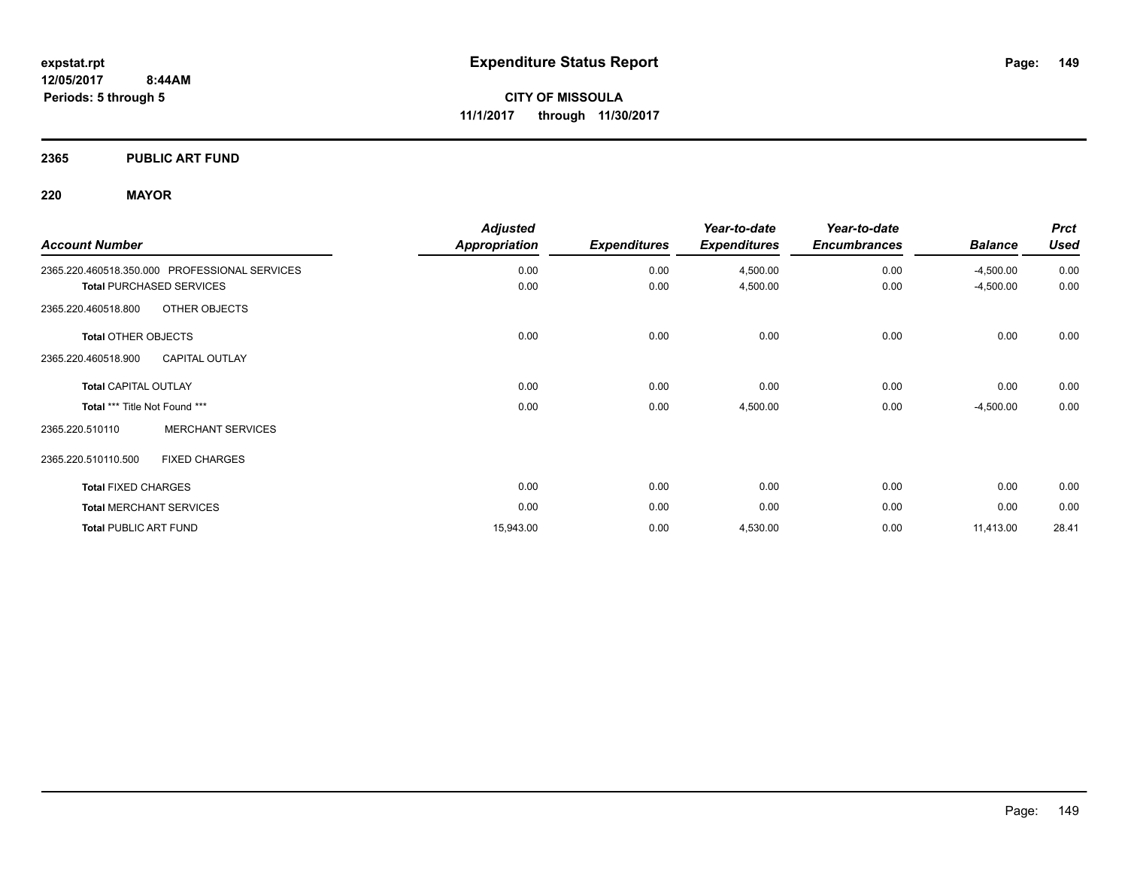**2365 PUBLIC ART FUND**

# **220 MAYOR**

| <b>Account Number</b>                         | <b>Adjusted</b><br>Appropriation | <b>Expenditures</b> | Year-to-date<br><b>Expenditures</b> | Year-to-date<br><b>Encumbrances</b> | <b>Balance</b> | <b>Prct</b><br><b>Used</b> |
|-----------------------------------------------|----------------------------------|---------------------|-------------------------------------|-------------------------------------|----------------|----------------------------|
| 2365.220.460518.350.000 PROFESSIONAL SERVICES | 0.00                             | 0.00                | 4,500.00                            | 0.00                                | $-4,500.00$    | 0.00                       |
| <b>Total PURCHASED SERVICES</b>               | 0.00                             | 0.00                | 4,500.00                            | 0.00                                | $-4,500.00$    | 0.00                       |
| OTHER OBJECTS<br>2365.220.460518.800          |                                  |                     |                                     |                                     |                |                            |
| Total OTHER OBJECTS                           | 0.00                             | 0.00                | 0.00                                | 0.00                                | 0.00           | 0.00                       |
| <b>CAPITAL OUTLAY</b><br>2365.220.460518.900  |                                  |                     |                                     |                                     |                |                            |
| <b>Total CAPITAL OUTLAY</b>                   | 0.00                             | 0.00                | 0.00                                | 0.00                                | 0.00           | 0.00                       |
| Total *** Title Not Found ***                 | 0.00                             | 0.00                | 4,500.00                            | 0.00                                | $-4,500.00$    | 0.00                       |
| <b>MERCHANT SERVICES</b><br>2365.220.510110   |                                  |                     |                                     |                                     |                |                            |
| 2365.220.510110.500<br><b>FIXED CHARGES</b>   |                                  |                     |                                     |                                     |                |                            |
| <b>Total FIXED CHARGES</b>                    | 0.00                             | 0.00                | 0.00                                | 0.00                                | 0.00           | 0.00                       |
| <b>Total MERCHANT SERVICES</b>                | 0.00                             | 0.00                | 0.00                                | 0.00                                | 0.00           | 0.00                       |
| <b>Total PUBLIC ART FUND</b>                  | 15,943.00                        | 0.00                | 4,530.00                            | 0.00                                | 11,413.00      | 28.41                      |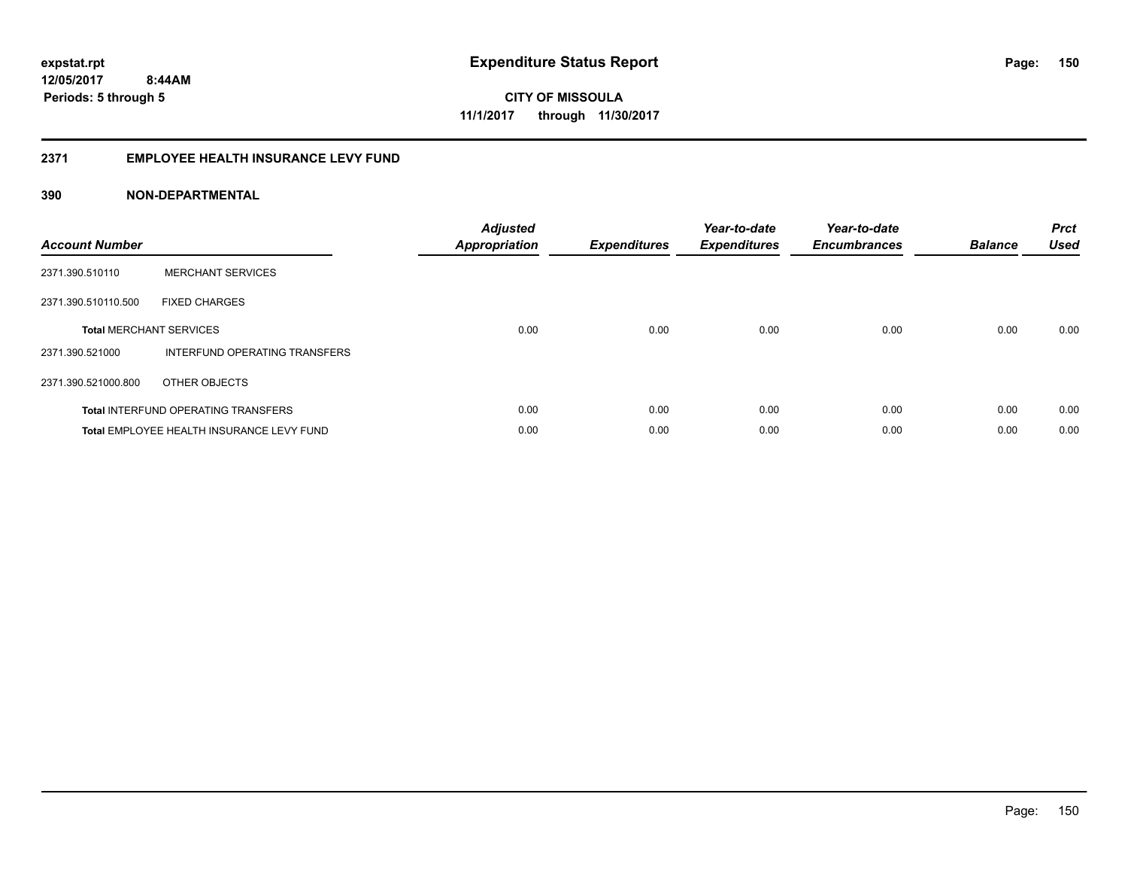**12/05/2017 8:44AM Periods: 5 through 5**

**CITY OF MISSOULA 11/1/2017 through 11/30/2017**

### **2371 EMPLOYEE HEALTH INSURANCE LEVY FUND**

| <b>Account Number</b> |                                            | <b>Adjusted</b><br><b>Appropriation</b> | <b>Expenditures</b> | Year-to-date<br><b>Expenditures</b> | Year-to-date<br><b>Encumbrances</b> | <b>Balance</b> | <b>Prct</b><br><b>Used</b> |
|-----------------------|--------------------------------------------|-----------------------------------------|---------------------|-------------------------------------|-------------------------------------|----------------|----------------------------|
| 2371.390.510110       | <b>MERCHANT SERVICES</b>                   |                                         |                     |                                     |                                     |                |                            |
| 2371.390.510110.500   | <b>FIXED CHARGES</b>                       |                                         |                     |                                     |                                     |                |                            |
|                       | <b>Total MERCHANT SERVICES</b>             | 0.00                                    | 0.00                | 0.00                                | 0.00                                | 0.00           | 0.00                       |
| 2371.390.521000       | INTERFUND OPERATING TRANSFERS              |                                         |                     |                                     |                                     |                |                            |
| 2371.390.521000.800   | OTHER OBJECTS                              |                                         |                     |                                     |                                     |                |                            |
|                       | <b>Total INTERFUND OPERATING TRANSFERS</b> | 0.00                                    | 0.00                | 0.00                                | 0.00                                | 0.00           | 0.00                       |
|                       | Total EMPLOYEE HEALTH INSURANCE LEVY FUND  | 0.00                                    | 0.00                | 0.00                                | 0.00                                | 0.00           | 0.00                       |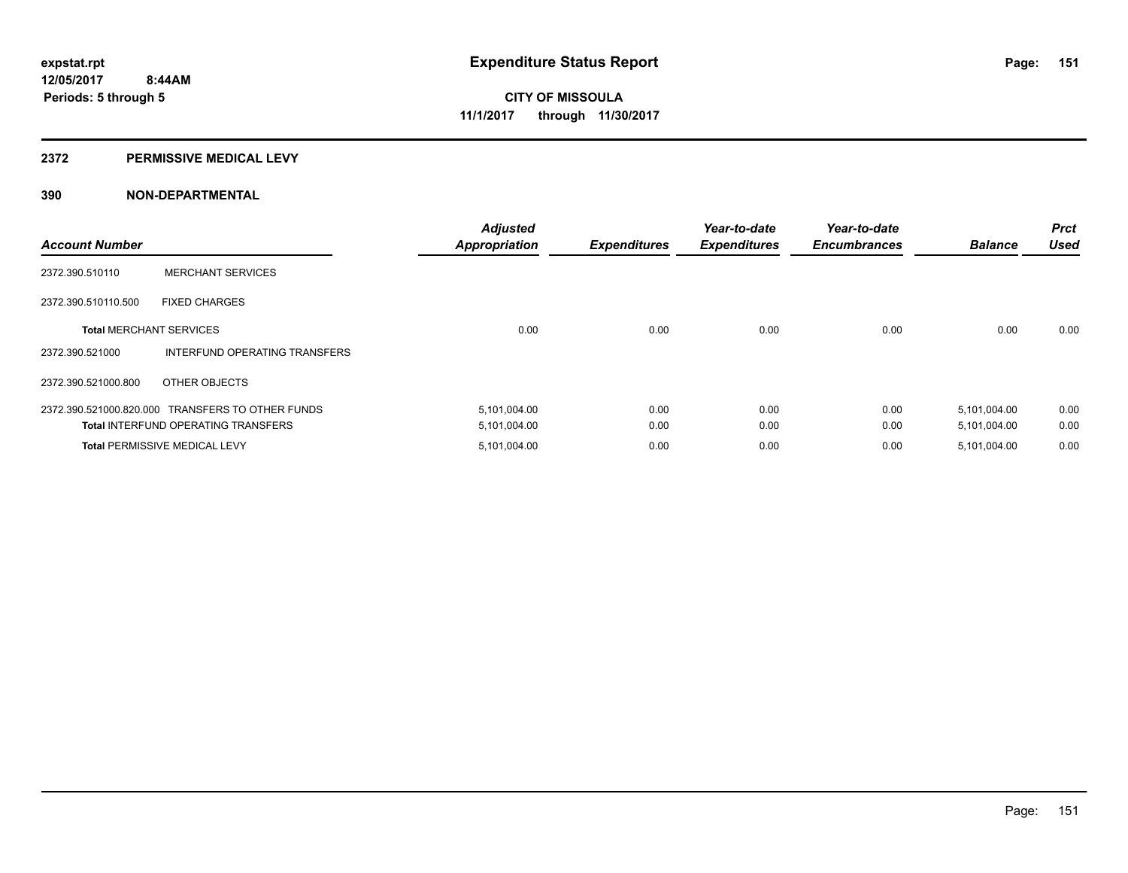#### **2372 PERMISSIVE MEDICAL LEVY**

| <b>Account Number</b>          |                                                  | <b>Adjusted</b><br><b>Appropriation</b> | <b>Expenditures</b> | Year-to-date<br><b>Expenditures</b> | Year-to-date<br><b>Encumbrances</b> | <b>Balance</b> | <b>Prct</b><br><b>Used</b> |
|--------------------------------|--------------------------------------------------|-----------------------------------------|---------------------|-------------------------------------|-------------------------------------|----------------|----------------------------|
| 2372.390.510110                | <b>MERCHANT SERVICES</b>                         |                                         |                     |                                     |                                     |                |                            |
| 2372.390.510110.500            | <b>FIXED CHARGES</b>                             |                                         |                     |                                     |                                     |                |                            |
| <b>Total MERCHANT SERVICES</b> |                                                  | 0.00                                    | 0.00                | 0.00                                | 0.00                                | 0.00           | 0.00                       |
| 2372.390.521000                | INTERFUND OPERATING TRANSFERS                    |                                         |                     |                                     |                                     |                |                            |
| 2372.390.521000.800            | OTHER OBJECTS                                    |                                         |                     |                                     |                                     |                |                            |
|                                | 2372.390.521000.820.000 TRANSFERS TO OTHER FUNDS | 5,101,004.00                            | 0.00                | 0.00                                | 0.00                                | 5,101,004.00   | 0.00                       |
|                                | <b>Total INTERFUND OPERATING TRANSFERS</b>       | 5,101,004.00                            | 0.00                | 0.00                                | 0.00                                | 5,101,004.00   | 0.00                       |
|                                | <b>Total PERMISSIVE MEDICAL LEVY</b>             | 5,101,004.00                            | 0.00                | 0.00                                | 0.00                                | 5,101,004.00   | 0.00                       |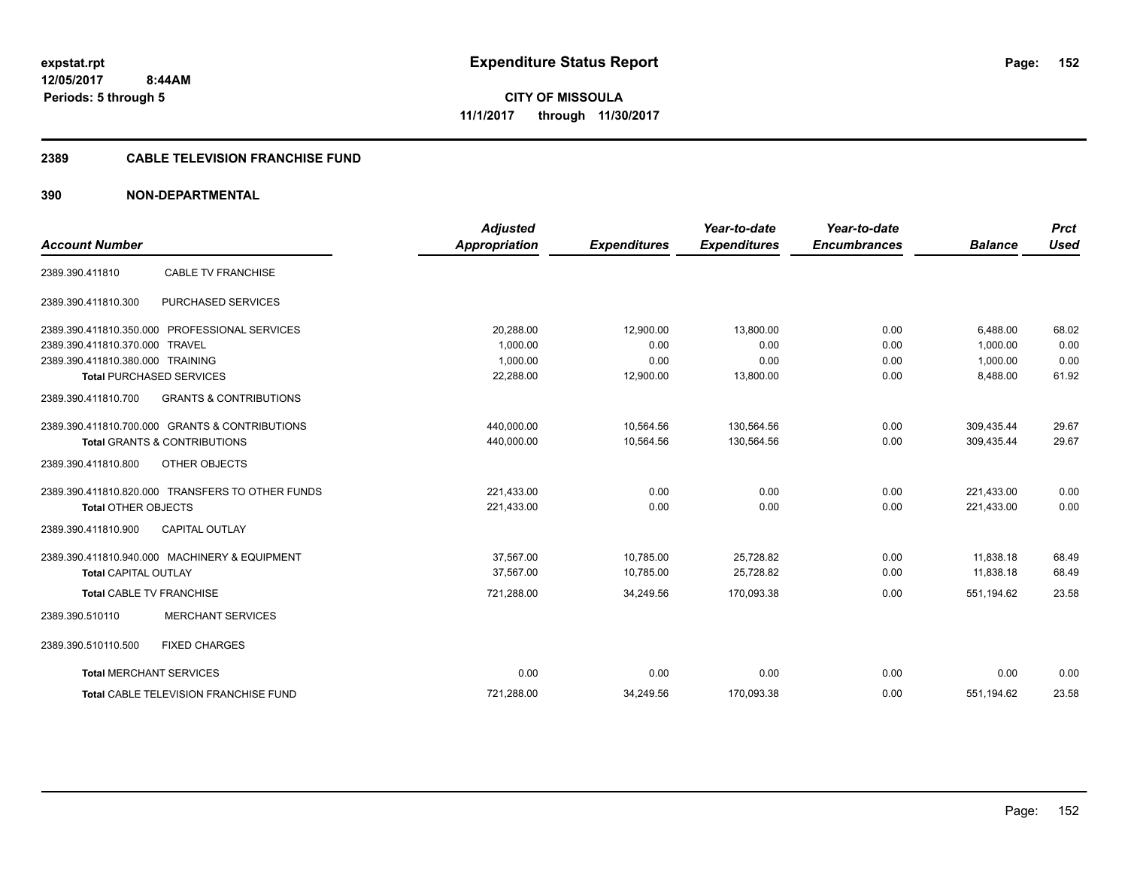**12/05/2017 8:44AM Periods: 5 through 5**

**CITY OF MISSOULA 11/1/2017 through 11/30/2017**

# **2389 CABLE TELEVISION FRANCHISE FUND**

| <b>Account Number</b>            |                                                  | <b>Adjusted</b><br>Appropriation | <b>Expenditures</b> | Year-to-date<br><b>Expenditures</b> | Year-to-date<br><b>Encumbrances</b> | <b>Balance</b> | <b>Prct</b><br><b>Used</b> |
|----------------------------------|--------------------------------------------------|----------------------------------|---------------------|-------------------------------------|-------------------------------------|----------------|----------------------------|
|                                  |                                                  |                                  |                     |                                     |                                     |                |                            |
| 2389.390.411810                  | <b>CABLE TV FRANCHISE</b>                        |                                  |                     |                                     |                                     |                |                            |
| 2389.390.411810.300              | PURCHASED SERVICES                               |                                  |                     |                                     |                                     |                |                            |
|                                  | 2389.390.411810.350.000 PROFESSIONAL SERVICES    | 20,288.00                        | 12,900.00           | 13,800.00                           | 0.00                                | 6,488.00       | 68.02                      |
| 2389.390.411810.370.000 TRAVEL   |                                                  | 1,000.00                         | 0.00                | 0.00                                | 0.00                                | 1,000.00       | 0.00                       |
| 2389.390.411810.380.000 TRAINING |                                                  | 1,000.00                         | 0.00                | 0.00                                | 0.00                                | 1,000.00       | 0.00                       |
|                                  | <b>Total PURCHASED SERVICES</b>                  | 22,288.00                        | 12,900.00           | 13,800.00                           | 0.00                                | 8,488.00       | 61.92                      |
| 2389.390.411810.700              | <b>GRANTS &amp; CONTRIBUTIONS</b>                |                                  |                     |                                     |                                     |                |                            |
|                                  | 2389.390.411810.700.000 GRANTS & CONTRIBUTIONS   | 440,000.00                       | 10,564.56           | 130,564.56                          | 0.00                                | 309,435.44     | 29.67                      |
|                                  | <b>Total GRANTS &amp; CONTRIBUTIONS</b>          | 440,000.00                       | 10,564.56           | 130,564.56                          | 0.00                                | 309,435.44     | 29.67                      |
| 2389.390.411810.800              | OTHER OBJECTS                                    |                                  |                     |                                     |                                     |                |                            |
|                                  | 2389.390.411810.820.000 TRANSFERS TO OTHER FUNDS | 221,433.00                       | 0.00                | 0.00                                | 0.00                                | 221,433.00     | 0.00                       |
| <b>Total OTHER OBJECTS</b>       |                                                  | 221,433.00                       | 0.00                | 0.00                                | 0.00                                | 221,433.00     | 0.00                       |
| 2389.390.411810.900              | <b>CAPITAL OUTLAY</b>                            |                                  |                     |                                     |                                     |                |                            |
|                                  | 2389.390.411810.940.000 MACHINERY & EQUIPMENT    | 37,567.00                        | 10,785.00           | 25,728.82                           | 0.00                                | 11,838.18      | 68.49                      |
| <b>Total CAPITAL OUTLAY</b>      |                                                  | 37.567.00                        | 10,785.00           | 25,728.82                           | 0.00                                | 11.838.18      | 68.49                      |
| <b>Total CABLE TV FRANCHISE</b>  |                                                  | 721,288.00                       | 34,249.56           | 170,093.38                          | 0.00                                | 551,194.62     | 23.58                      |
| 2389.390.510110                  | <b>MERCHANT SERVICES</b>                         |                                  |                     |                                     |                                     |                |                            |
| 2389.390.510110.500              | <b>FIXED CHARGES</b>                             |                                  |                     |                                     |                                     |                |                            |
| <b>Total MERCHANT SERVICES</b>   |                                                  | 0.00                             | 0.00                | 0.00                                | 0.00                                | 0.00           | 0.00                       |
|                                  | Total CABLE TELEVISION FRANCHISE FUND            | 721,288.00                       | 34,249.56           | 170,093.38                          | 0.00                                | 551,194.62     | 23.58                      |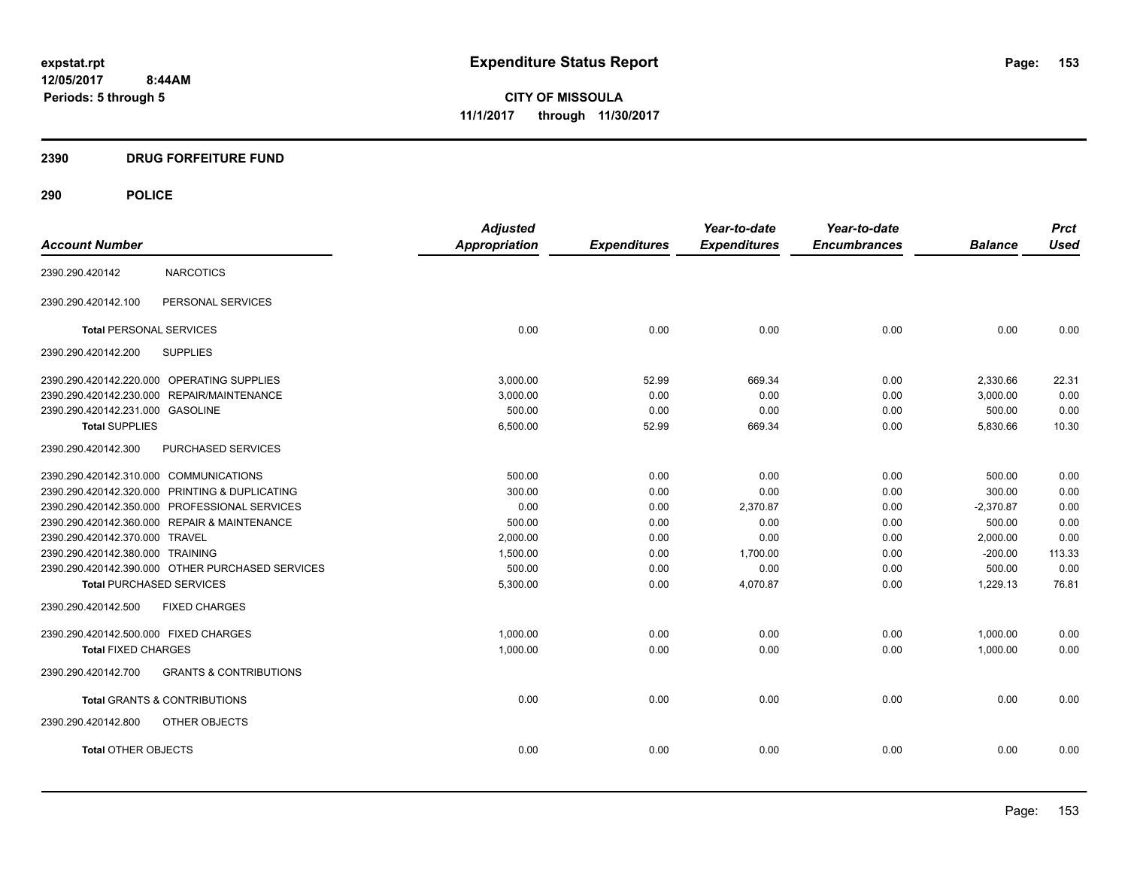**12/05/2017 8:44AM Periods: 5 through 5**

**CITY OF MISSOULA 11/1/2017 through 11/30/2017**

# **2390 DRUG FORFEITURE FUND**

# **290 POLICE**

|                                                          | <b>Adjusted</b> |                     | Year-to-date        | Year-to-date        |                | <b>Prct</b> |
|----------------------------------------------------------|-----------------|---------------------|---------------------|---------------------|----------------|-------------|
| <b>Account Number</b>                                    | Appropriation   | <b>Expenditures</b> | <b>Expenditures</b> | <b>Encumbrances</b> | <b>Balance</b> | <b>Used</b> |
| <b>NARCOTICS</b><br>2390.290.420142                      |                 |                     |                     |                     |                |             |
| PERSONAL SERVICES<br>2390.290.420142.100                 |                 |                     |                     |                     |                |             |
| <b>Total PERSONAL SERVICES</b>                           | 0.00            | 0.00                | 0.00                | 0.00                | 0.00           | 0.00        |
| 2390.290.420142.200<br><b>SUPPLIES</b>                   |                 |                     |                     |                     |                |             |
| 2390.290.420142.220.000 OPERATING SUPPLIES               | 3,000.00        | 52.99               | 669.34              | 0.00                | 2,330.66       | 22.31       |
| 2390.290.420142.230.000 REPAIR/MAINTENANCE               | 3,000.00        | 0.00                | 0.00                | 0.00                | 3,000.00       | 0.00        |
| 2390.290.420142.231.000 GASOLINE                         | 500.00          | 0.00                | 0.00                | 0.00                | 500.00         | 0.00        |
| <b>Total SUPPLIES</b>                                    | 6,500.00        | 52.99               | 669.34              | 0.00                | 5,830.66       | 10.30       |
| 2390.290.420142.300<br>PURCHASED SERVICES                |                 |                     |                     |                     |                |             |
| 2390.290.420142.310.000 COMMUNICATIONS                   | 500.00          | 0.00                | 0.00                | 0.00                | 500.00         | 0.00        |
| 2390.290.420142.320.000 PRINTING & DUPLICATING           | 300.00          | 0.00                | 0.00                | 0.00                | 300.00         | 0.00        |
| 2390.290.420142.350.000 PROFESSIONAL SERVICES            | 0.00            | 0.00                | 2,370.87            | 0.00                | $-2,370.87$    | 0.00        |
| 2390.290.420142.360.000 REPAIR & MAINTENANCE             | 500.00          | 0.00                | 0.00                | 0.00                | 500.00         | 0.00        |
| 2390.290.420142.370.000 TRAVEL                           | 2,000.00        | 0.00                | 0.00                | 0.00                | 2,000.00       | 0.00        |
| 2390.290.420142.380.000 TRAINING                         | 1,500.00        | 0.00                | 1,700.00            | 0.00                | $-200.00$      | 113.33      |
| 2390.290.420142.390.000 OTHER PURCHASED SERVICES         | 500.00          | 0.00                | 0.00                | 0.00                | 500.00         | 0.00        |
| <b>Total PURCHASED SERVICES</b>                          | 5,300.00        | 0.00                | 4,070.87            | 0.00                | 1,229.13       | 76.81       |
| 2390.290.420142.500<br><b>FIXED CHARGES</b>              |                 |                     |                     |                     |                |             |
| 2390.290.420142.500.000 FIXED CHARGES                    | 1,000.00        | 0.00                | 0.00                | 0.00                | 1,000.00       | 0.00        |
| <b>Total FIXED CHARGES</b>                               | 1,000.00        | 0.00                | 0.00                | 0.00                | 1,000.00       | 0.00        |
| 2390.290.420142.700<br><b>GRANTS &amp; CONTRIBUTIONS</b> |                 |                     |                     |                     |                |             |
| <b>Total GRANTS &amp; CONTRIBUTIONS</b>                  | 0.00            | 0.00                | 0.00                | 0.00                | 0.00           | 0.00        |
| 2390.290.420142.800<br>OTHER OBJECTS                     |                 |                     |                     |                     |                |             |
| <b>Total OTHER OBJECTS</b>                               | 0.00            | 0.00                | 0.00                | 0.00                | 0.00           | 0.00        |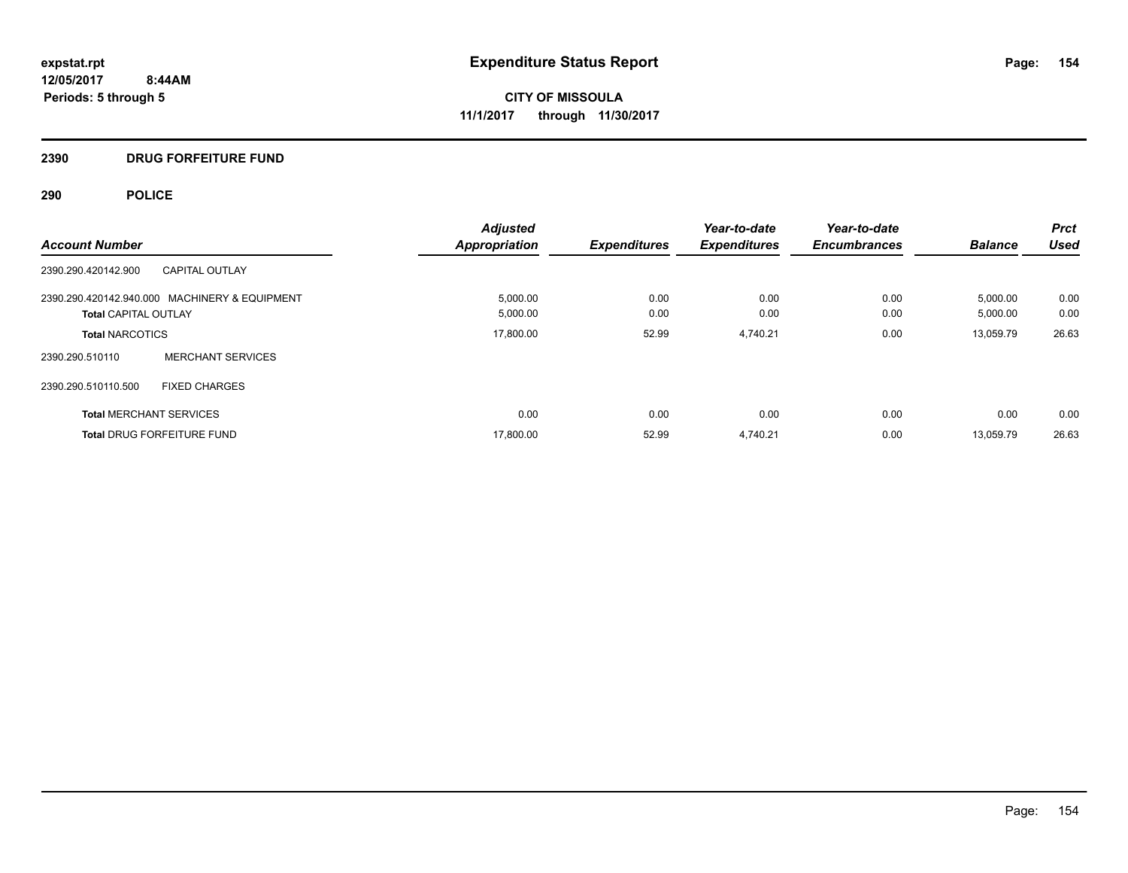# **2390 DRUG FORFEITURE FUND**

# **290 POLICE**

|                                               | <b>Adjusted</b>      |                     | Year-to-date        | Year-to-date        |                | <b>Prct</b> |
|-----------------------------------------------|----------------------|---------------------|---------------------|---------------------|----------------|-------------|
| <b>Account Number</b>                         | <b>Appropriation</b> | <b>Expenditures</b> | <b>Expenditures</b> | <b>Encumbrances</b> | <b>Balance</b> | <b>Used</b> |
| CAPITAL OUTLAY<br>2390.290.420142.900         |                      |                     |                     |                     |                |             |
| 2390.290.420142.940.000 MACHINERY & EQUIPMENT | 5,000.00             | 0.00                | 0.00                | 0.00                | 5,000.00       | 0.00        |
| <b>Total CAPITAL OUTLAY</b>                   | 5,000.00             | 0.00                | 0.00                | 0.00                | 5,000.00       | 0.00        |
| <b>Total NARCOTICS</b>                        | 17,800.00            | 52.99               | 4,740.21            | 0.00                | 13.059.79      | 26.63       |
| <b>MERCHANT SERVICES</b><br>2390.290.510110   |                      |                     |                     |                     |                |             |
| 2390.290.510110.500<br><b>FIXED CHARGES</b>   |                      |                     |                     |                     |                |             |
| <b>Total MERCHANT SERVICES</b>                | 0.00                 | 0.00                | 0.00                | 0.00                | 0.00           | 0.00        |
| <b>Total DRUG FORFEITURE FUND</b>             | 17,800.00            | 52.99               | 4,740.21            | 0.00                | 13.059.79      | 26.63       |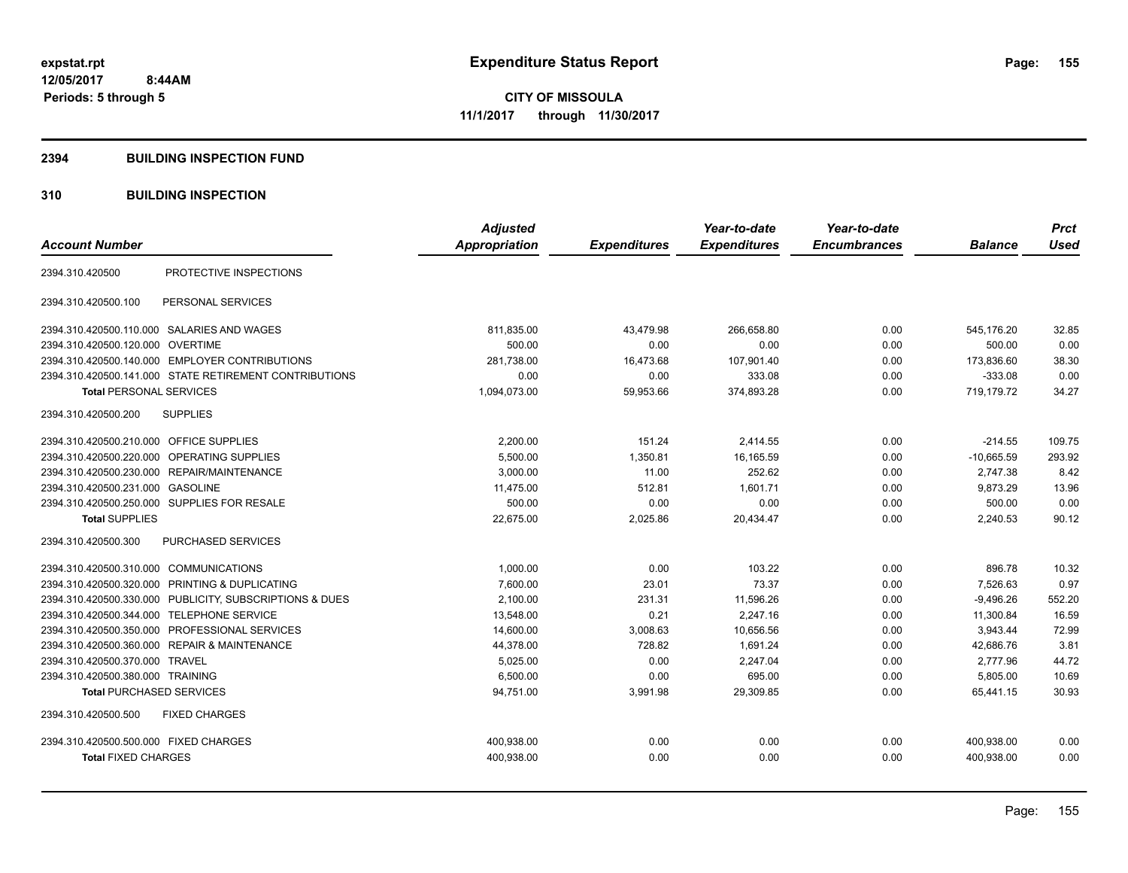#### **2394 BUILDING INSPECTION FUND**

# **310 BUILDING INSPECTION**

|                                                            |                                 | <b>Adjusted</b>      |                     | Year-to-date        | Year-to-date        |                | <b>Prct</b> |
|------------------------------------------------------------|---------------------------------|----------------------|---------------------|---------------------|---------------------|----------------|-------------|
| <b>Account Number</b>                                      |                                 | <b>Appropriation</b> | <b>Expenditures</b> | <b>Expenditures</b> | <b>Encumbrances</b> | <b>Balance</b> | <b>Used</b> |
| 2394.310.420500                                            | PROTECTIVE INSPECTIONS          |                      |                     |                     |                     |                |             |
| 2394.310.420500.100<br>PERSONAL SERVICES                   |                                 |                      |                     |                     |                     |                |             |
| 2394.310.420500.110.000 SALARIES AND WAGES                 |                                 | 811,835.00           | 43,479.98           | 266,658.80          | 0.00                | 545,176.20     | 32.85       |
| <b>OVERTIME</b><br>2394.310.420500.120.000                 |                                 | 500.00               | 0.00                | 0.00                | 0.00                | 500.00         | 0.00        |
| 2394.310.420500.140.000 EMPLOYER CONTRIBUTIONS             |                                 | 281,738.00           | 16,473.68           | 107,901.40          | 0.00                | 173,836.60     | 38.30       |
| 2394.310.420500.141.000 STATE RETIREMENT CONTRIBUTIONS     |                                 | 0.00                 | 0.00                | 333.08              | 0.00                | $-333.08$      | 0.00        |
| <b>Total PERSONAL SERVICES</b>                             |                                 | 1,094,073.00         | 59,953.66           | 374,893.28          | 0.00                | 719.179.72     | 34.27       |
| 2394.310.420500.200<br><b>SUPPLIES</b>                     |                                 |                      |                     |                     |                     |                |             |
| 2394.310.420500.210.000 OFFICE SUPPLIES                    |                                 | 2,200.00             | 151.24              | 2,414.55            | 0.00                | $-214.55$      | 109.75      |
| 2394.310.420500.220.000<br>OPERATING SUPPLIES              |                                 | 5,500.00             | 1,350.81            | 16,165.59           | 0.00                | $-10,665.59$   | 293.92      |
| 2394.310.420500.230.000 REPAIR/MAINTENANCE                 |                                 | 3,000.00             | 11.00               | 252.62              | 0.00                | 2,747.38       | 8.42        |
| 2394.310.420500.231.000 GASOLINE                           |                                 | 11,475.00            | 512.81              | 1.601.71            | 0.00                | 9.873.29       | 13.96       |
| 2394.310.420500.250.000 SUPPLIES FOR RESALE                |                                 | 500.00               | 0.00                | 0.00                | 0.00                | 500.00         | 0.00        |
| <b>Total SUPPLIES</b>                                      |                                 | 22,675.00            | 2,025.86            | 20,434.47           | 0.00                | 2,240.53       | 90.12       |
| PURCHASED SERVICES<br>2394.310.420500.300                  |                                 |                      |                     |                     |                     |                |             |
| 2394.310.420500.310.000 COMMUNICATIONS                     |                                 | 1,000.00             | 0.00                | 103.22              | 0.00                | 896.78         | 10.32       |
| 2394.310.420500.320.000 PRINTING & DUPLICATING             |                                 | 7,600.00             | 23.01               | 73.37               | 0.00                | 7,526.63       | 0.97        |
| 2394.310.420500.330.000                                    | PUBLICITY, SUBSCRIPTIONS & DUES | 2,100.00             | 231.31              | 11,596.26           | 0.00                | $-9,496.26$    | 552.20      |
| 2394.310.420500.344.000 TELEPHONE SERVICE                  |                                 | 13,548.00            | 0.21                | 2,247.16            | 0.00                | 11,300.84      | 16.59       |
| 2394.310.420500.350.000                                    | PROFESSIONAL SERVICES           | 14,600.00            | 3,008.63            | 10,656.56           | 0.00                | 3,943.44       | 72.99       |
| <b>REPAIR &amp; MAINTENANCE</b><br>2394.310.420500.360.000 |                                 | 44,378.00            | 728.82              | 1,691.24            | 0.00                | 42,686.76      | 3.81        |
| 2394.310.420500.370.000 TRAVEL                             |                                 | 5,025.00             | 0.00                | 2,247.04            | 0.00                | 2.777.96       | 44.72       |
| 2394.310.420500.380.000 TRAINING                           |                                 | 6,500.00             | 0.00                | 695.00              | 0.00                | 5,805.00       | 10.69       |
| <b>Total PURCHASED SERVICES</b>                            |                                 | 94,751.00            | 3,991.98            | 29,309.85           | 0.00                | 65,441.15      | 30.93       |
| 2394.310.420500.500<br><b>FIXED CHARGES</b>                |                                 |                      |                     |                     |                     |                |             |
| 2394.310.420500.500.000 FIXED CHARGES                      |                                 | 400,938.00           | 0.00                | 0.00                | 0.00                | 400,938.00     | 0.00        |
| <b>Total FIXED CHARGES</b>                                 |                                 | 400,938.00           | 0.00                | 0.00                | 0.00                | 400,938.00     | 0.00        |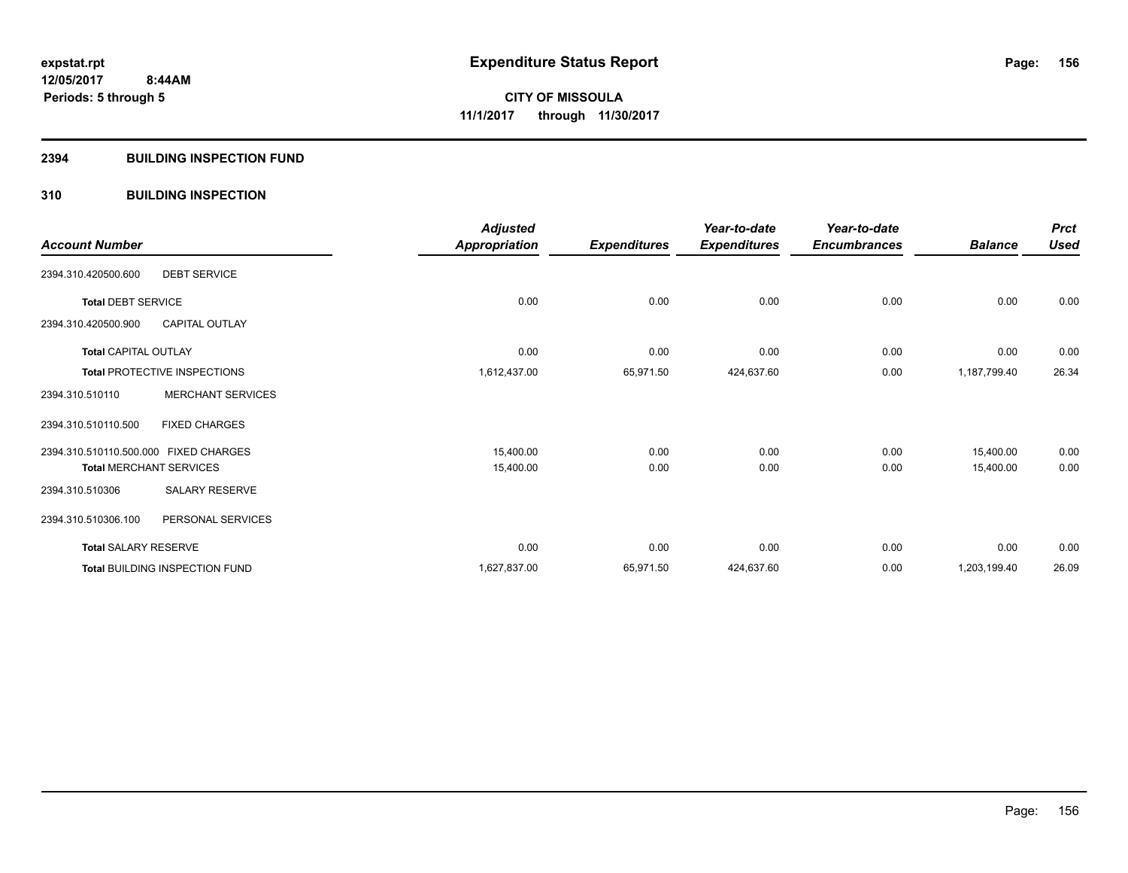# **2394 BUILDING INSPECTION FUND**

# **310 BUILDING INSPECTION**

| <b>Account Number</b>                 |                                     | <b>Adjusted</b><br><b>Appropriation</b> | <b>Expenditures</b> | Year-to-date<br><b>Expenditures</b> | Year-to-date<br><b>Encumbrances</b> | <b>Balance</b> | <b>Prct</b><br><b>Used</b> |
|---------------------------------------|-------------------------------------|-----------------------------------------|---------------------|-------------------------------------|-------------------------------------|----------------|----------------------------|
| 2394.310.420500.600                   | <b>DEBT SERVICE</b>                 |                                         |                     |                                     |                                     |                |                            |
| <b>Total DEBT SERVICE</b>             |                                     | 0.00                                    | 0.00                | 0.00                                | 0.00                                | 0.00           | 0.00                       |
| 2394.310.420500.900                   | <b>CAPITAL OUTLAY</b>               |                                         |                     |                                     |                                     |                |                            |
| <b>Total CAPITAL OUTLAY</b>           |                                     | 0.00                                    | 0.00                | 0.00                                | 0.00                                | 0.00           | 0.00                       |
|                                       | <b>Total PROTECTIVE INSPECTIONS</b> | 1,612,437.00                            | 65,971.50           | 424,637.60                          | 0.00                                | 1,187,799.40   | 26.34                      |
| 2394.310.510110                       | <b>MERCHANT SERVICES</b>            |                                         |                     |                                     |                                     |                |                            |
| 2394.310.510110.500                   | <b>FIXED CHARGES</b>                |                                         |                     |                                     |                                     |                |                            |
| 2394.310.510110.500.000 FIXED CHARGES |                                     | 15,400.00                               | 0.00                | 0.00                                | 0.00                                | 15,400.00      | 0.00                       |
|                                       | <b>Total MERCHANT SERVICES</b>      | 15,400.00                               | 0.00                | 0.00                                | 0.00                                | 15,400.00      | 0.00                       |
| 2394.310.510306                       | <b>SALARY RESERVE</b>               |                                         |                     |                                     |                                     |                |                            |
| 2394.310.510306.100                   | PERSONAL SERVICES                   |                                         |                     |                                     |                                     |                |                            |
| <b>Total SALARY RESERVE</b>           |                                     | 0.00                                    | 0.00                | 0.00                                | 0.00                                | 0.00           | 0.00                       |
|                                       | Total BUILDING INSPECTION FUND      | 1,627,837.00                            | 65,971.50           | 424,637.60                          | 0.00                                | 1,203,199.40   | 26.09                      |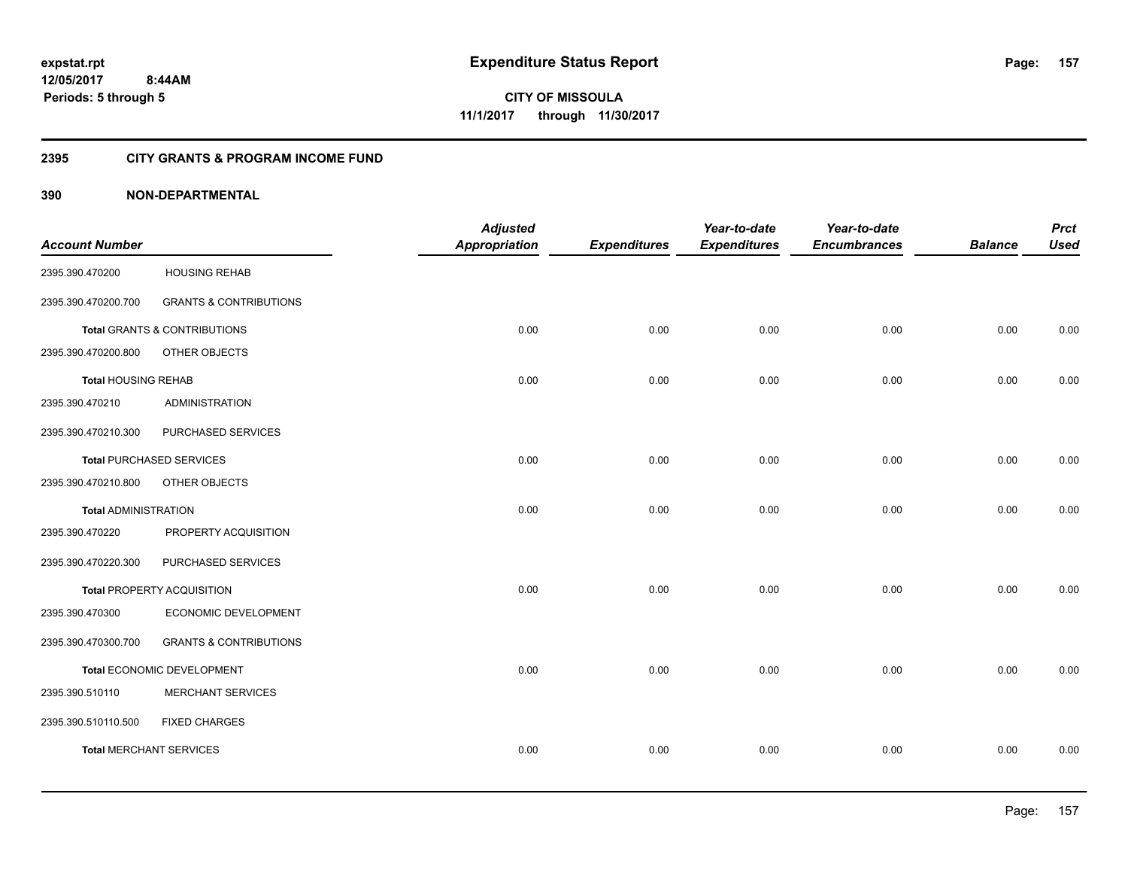**12/05/2017 8:44AM Periods: 5 through 5**

**157**

**CITY OF MISSOULA 11/1/2017 through 11/30/2017**

# **2395 CITY GRANTS & PROGRAM INCOME FUND**

|                                |                                         | <b>Adjusted</b>      |                     | Year-to-date        | Year-to-date        |                | <b>Prct</b> |
|--------------------------------|-----------------------------------------|----------------------|---------------------|---------------------|---------------------|----------------|-------------|
| <b>Account Number</b>          |                                         | <b>Appropriation</b> | <b>Expenditures</b> | <b>Expenditures</b> | <b>Encumbrances</b> | <b>Balance</b> | <b>Used</b> |
| 2395.390.470200                | <b>HOUSING REHAB</b>                    |                      |                     |                     |                     |                |             |
| 2395.390.470200.700            | <b>GRANTS &amp; CONTRIBUTIONS</b>       |                      |                     |                     |                     |                |             |
|                                | <b>Total GRANTS &amp; CONTRIBUTIONS</b> | 0.00                 | 0.00                | 0.00                | 0.00                | 0.00           | 0.00        |
| 2395.390.470200.800            | OTHER OBJECTS                           |                      |                     |                     |                     |                |             |
| <b>Total HOUSING REHAB</b>     |                                         | 0.00                 | 0.00                | 0.00                | 0.00                | 0.00           | 0.00        |
| 2395.390.470210                | <b>ADMINISTRATION</b>                   |                      |                     |                     |                     |                |             |
| 2395.390.470210.300            | PURCHASED SERVICES                      |                      |                     |                     |                     |                |             |
|                                | <b>Total PURCHASED SERVICES</b>         | 0.00                 | 0.00                | 0.00                | 0.00                | 0.00           | 0.00        |
| 2395.390.470210.800            | OTHER OBJECTS                           |                      |                     |                     |                     |                |             |
| <b>Total ADMINISTRATION</b>    |                                         | 0.00                 | 0.00                | 0.00                | 0.00                | 0.00           | 0.00        |
| 2395.390.470220                | PROPERTY ACQUISITION                    |                      |                     |                     |                     |                |             |
| 2395.390.470220.300            | PURCHASED SERVICES                      |                      |                     |                     |                     |                |             |
|                                | Total PROPERTY ACQUISITION              | 0.00                 | 0.00                | 0.00                | 0.00                | 0.00           | 0.00        |
| 2395.390.470300                | ECONOMIC DEVELOPMENT                    |                      |                     |                     |                     |                |             |
| 2395.390.470300.700            | <b>GRANTS &amp; CONTRIBUTIONS</b>       |                      |                     |                     |                     |                |             |
|                                | Total ECONOMIC DEVELOPMENT              | 0.00                 | 0.00                | 0.00                | 0.00                | 0.00           | 0.00        |
| 2395.390.510110                | MERCHANT SERVICES                       |                      |                     |                     |                     |                |             |
| 2395.390.510110.500            | <b>FIXED CHARGES</b>                    |                      |                     |                     |                     |                |             |
| <b>Total MERCHANT SERVICES</b> |                                         | 0.00                 | 0.00                | 0.00                | 0.00                | 0.00           | 0.00        |
|                                |                                         |                      |                     |                     |                     |                |             |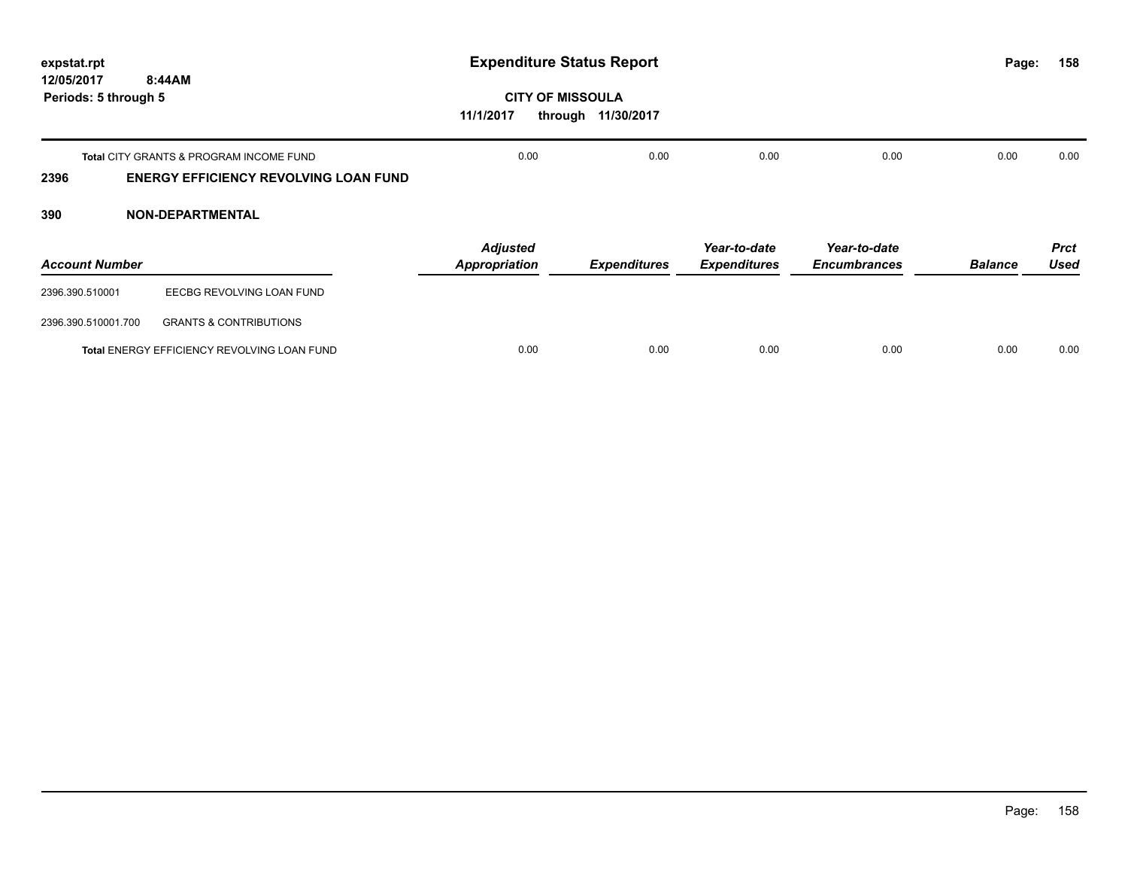| expstat.rpt                                  |                                                                                                    | <b>Expenditure Status Report</b>                |                     |                                     |                                     |                | 158<br>Page:               |
|----------------------------------------------|----------------------------------------------------------------------------------------------------|-------------------------------------------------|---------------------|-------------------------------------|-------------------------------------|----------------|----------------------------|
| 12/05/2017<br>8:44AM<br>Periods: 5 through 5 |                                                                                                    | <b>CITY OF MISSOULA</b><br>11/1/2017<br>through | 11/30/2017          |                                     |                                     |                |                            |
| 2396                                         | <b>Total CITY GRANTS &amp; PROGRAM INCOME FUND</b><br><b>ENERGY EFFICIENCY REVOLVING LOAN FUND</b> | 0.00                                            | 0.00                | 0.00                                | 0.00                                | 0.00           | 0.00                       |
| 390                                          | <b>NON-DEPARTMENTAL</b>                                                                            |                                                 |                     |                                     |                                     |                |                            |
| <b>Account Number</b>                        |                                                                                                    | <b>Adjusted</b><br><b>Appropriation</b>         | <b>Expenditures</b> | Year-to-date<br><b>Expenditures</b> | Year-to-date<br><b>Encumbrances</b> | <b>Balance</b> | <b>Prct</b><br><b>Used</b> |
| 2396.390.510001                              | EECBG REVOLVING LOAN FUND                                                                          |                                                 |                     |                                     |                                     |                |                            |
| 2396.390.510001.700                          | <b>GRANTS &amp; CONTRIBUTIONS</b>                                                                  |                                                 |                     |                                     |                                     |                |                            |
|                                              | Total ENERGY EFFICIENCY REVOLVING LOAN FUND                                                        | 0.00                                            | 0.00                | 0.00                                | 0.00                                | 0.00           | 0.00                       |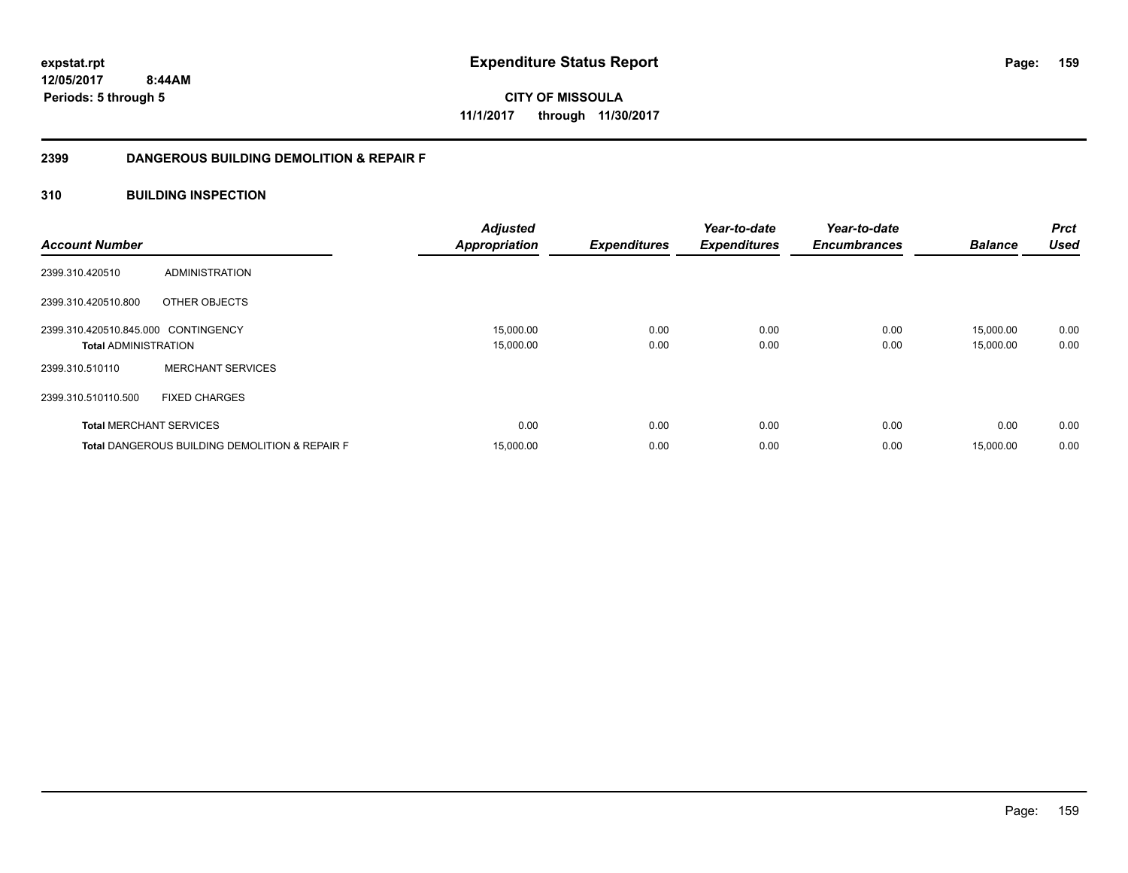**12/05/2017 8:44AM**

**Periods: 5 through 5**

**159**

**CITY OF MISSOULA 11/1/2017 through 11/30/2017**

# **2399 DANGEROUS BUILDING DEMOLITION & REPAIR F**

# **310 BUILDING INSPECTION**

| <b>Account Number</b>                                              |                                                           | <b>Adjusted</b><br><b>Appropriation</b> | <b>Expenditures</b> | Year-to-date<br><b>Expenditures</b> | Year-to-date<br><b>Encumbrances</b> | <b>Balance</b>         | Prct<br><b>Used</b> |
|--------------------------------------------------------------------|-----------------------------------------------------------|-----------------------------------------|---------------------|-------------------------------------|-------------------------------------|------------------------|---------------------|
| 2399.310.420510                                                    | ADMINISTRATION                                            |                                         |                     |                                     |                                     |                        |                     |
| 2399.310.420510.800                                                | OTHER OBJECTS                                             |                                         |                     |                                     |                                     |                        |                     |
| 2399.310.420510.845.000 CONTINGENCY<br><b>Total ADMINISTRATION</b> |                                                           | 15,000.00<br>15,000.00                  | 0.00<br>0.00        | 0.00<br>0.00                        | 0.00<br>0.00                        | 15,000.00<br>15,000.00 | 0.00<br>0.00        |
| 2399.310.510110                                                    | <b>MERCHANT SERVICES</b>                                  |                                         |                     |                                     |                                     |                        |                     |
| 2399.310.510110.500                                                | <b>FIXED CHARGES</b>                                      |                                         |                     |                                     |                                     |                        |                     |
| <b>Total MERCHANT SERVICES</b>                                     |                                                           | 0.00                                    | 0.00                | 0.00                                | 0.00                                | 0.00                   | 0.00                |
|                                                                    | <b>Total DANGEROUS BUILDING DEMOLITION &amp; REPAIR F</b> | 15,000.00                               | 0.00                | 0.00                                | 0.00                                | 15,000.00              | 0.00                |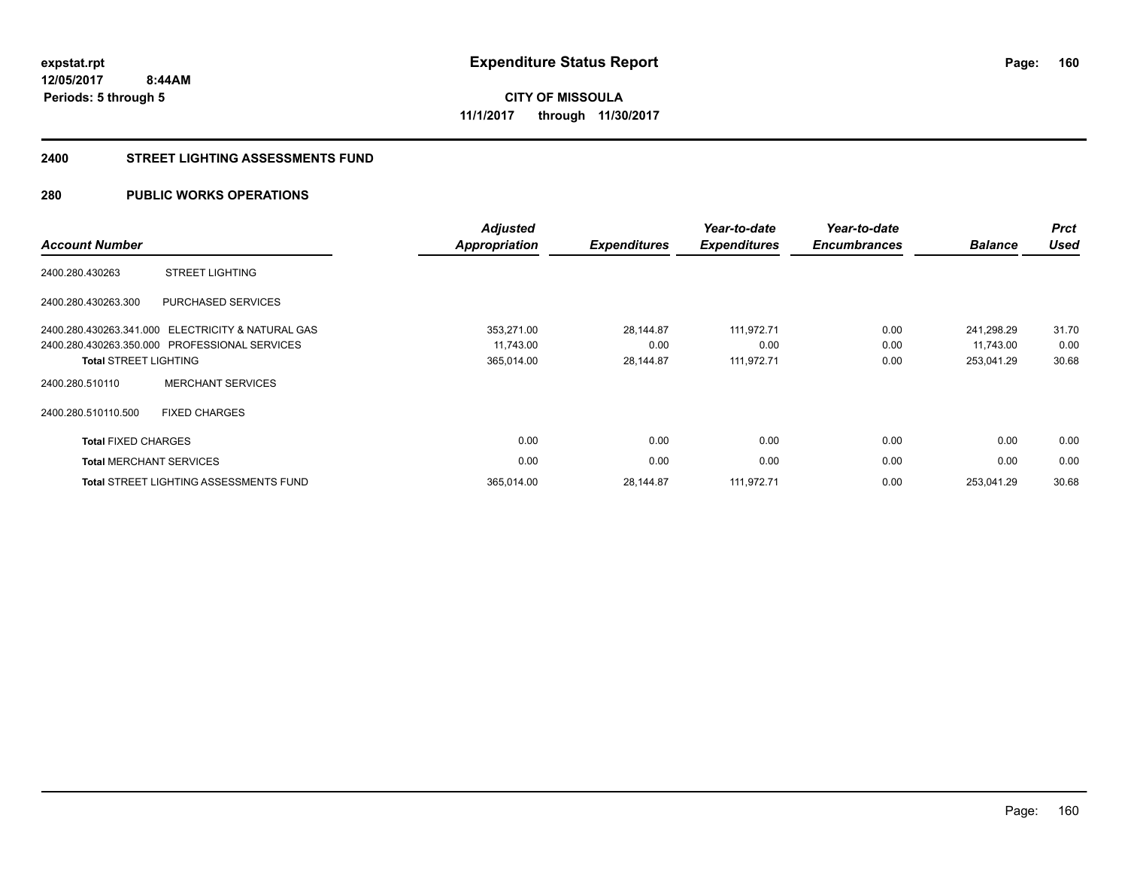**160**

**12/05/2017 8:44AM Periods: 5 through 5**

**CITY OF MISSOULA 11/1/2017 through 11/30/2017**

#### **2400 STREET LIGHTING ASSESSMENTS FUND**

# **280 PUBLIC WORKS OPERATIONS**

| <b>Account Number</b>          |                                                   | <b>Adjusted</b><br><b>Appropriation</b> | <b>Expenditures</b> | Year-to-date<br><b>Expenditures</b> | Year-to-date<br><b>Encumbrances</b> | <b>Balance</b> | <b>Prct</b><br><b>Used</b> |
|--------------------------------|---------------------------------------------------|-----------------------------------------|---------------------|-------------------------------------|-------------------------------------|----------------|----------------------------|
| 2400.280.430263                | <b>STREET LIGHTING</b>                            |                                         |                     |                                     |                                     |                |                            |
| 2400.280.430263.300            | PURCHASED SERVICES                                |                                         |                     |                                     |                                     |                |                            |
|                                | 2400.280.430263.341.000 ELECTRICITY & NATURAL GAS | 353,271.00                              | 28,144.87           | 111,972.71                          | 0.00                                | 241,298.29     | 31.70                      |
|                                | 2400.280.430263.350.000 PROFESSIONAL SERVICES     | 11,743.00                               | 0.00                | 0.00                                | 0.00                                | 11,743.00      | 0.00                       |
| <b>Total STREET LIGHTING</b>   |                                                   | 365,014.00                              | 28,144.87           | 111,972.71                          | 0.00                                | 253,041.29     | 30.68                      |
| 2400.280.510110                | <b>MERCHANT SERVICES</b>                          |                                         |                     |                                     |                                     |                |                            |
| 2400.280.510110.500            | <b>FIXED CHARGES</b>                              |                                         |                     |                                     |                                     |                |                            |
| <b>Total FIXED CHARGES</b>     |                                                   | 0.00                                    | 0.00                | 0.00                                | 0.00                                | 0.00           | 0.00                       |
| <b>Total MERCHANT SERVICES</b> |                                                   | 0.00                                    | 0.00                | 0.00                                | 0.00                                | 0.00           | 0.00                       |
|                                | <b>Total STREET LIGHTING ASSESSMENTS FUND</b>     | 365,014.00                              | 28,144.87           | 111,972.71                          | 0.00                                | 253,041.29     | 30.68                      |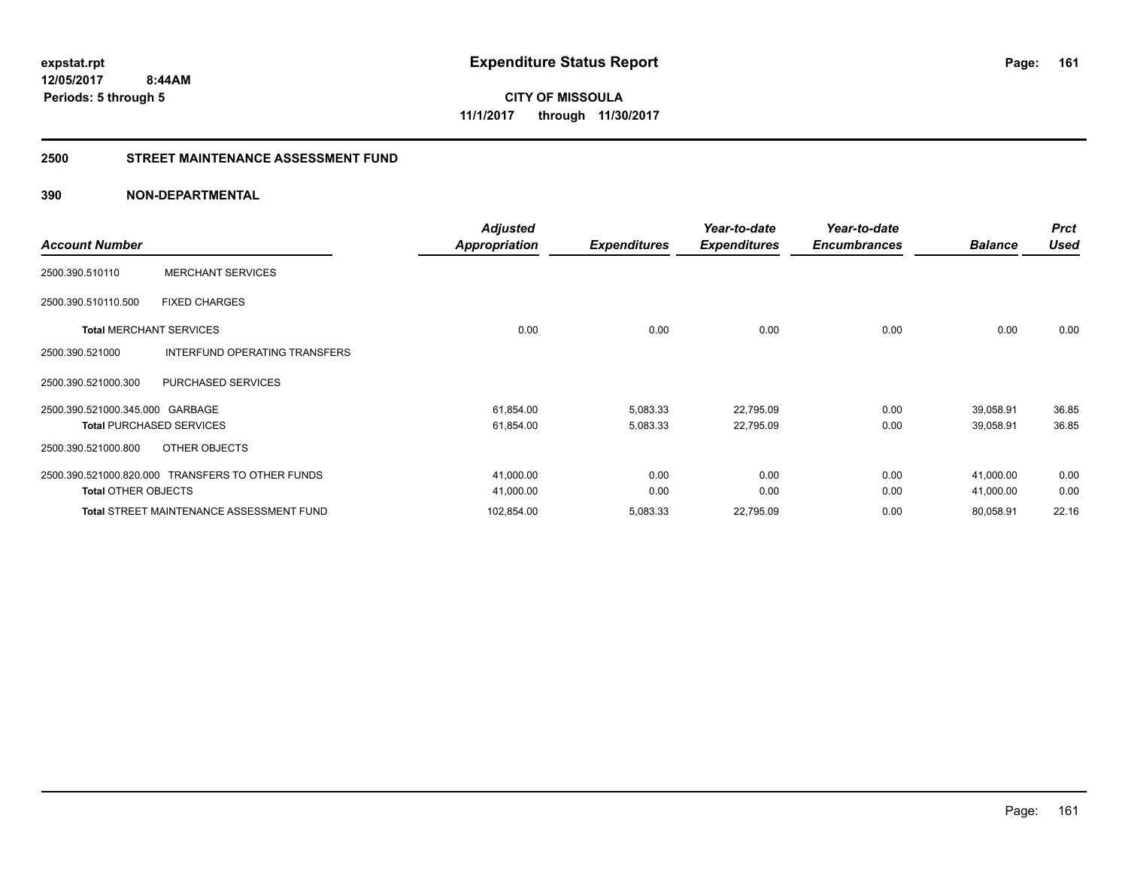**161**

**12/05/2017 8:44AM Periods: 5 through 5**

**CITY OF MISSOULA 11/1/2017 through 11/30/2017**

# **2500 STREET MAINTENANCE ASSESSMENT FUND**

| <b>Account Number</b>           |                                                  | <b>Adjusted</b><br>Appropriation | <b>Expenditures</b> | Year-to-date<br><b>Expenditures</b> | Year-to-date<br><b>Encumbrances</b> | <b>Balance</b> | <b>Prct</b><br><b>Used</b> |
|---------------------------------|--------------------------------------------------|----------------------------------|---------------------|-------------------------------------|-------------------------------------|----------------|----------------------------|
| 2500.390.510110                 | <b>MERCHANT SERVICES</b>                         |                                  |                     |                                     |                                     |                |                            |
| 2500.390.510110.500             | <b>FIXED CHARGES</b>                             |                                  |                     |                                     |                                     |                |                            |
| <b>Total MERCHANT SERVICES</b>  |                                                  | 0.00                             | 0.00                | 0.00                                | 0.00                                | 0.00           | 0.00                       |
| 2500.390.521000                 | INTERFUND OPERATING TRANSFERS                    |                                  |                     |                                     |                                     |                |                            |
| 2500.390.521000.300             | PURCHASED SERVICES                               |                                  |                     |                                     |                                     |                |                            |
| 2500.390.521000.345.000 GARBAGE |                                                  | 61,854.00                        | 5,083.33            | 22,795.09                           | 0.00                                | 39,058.91      | 36.85                      |
|                                 | <b>Total PURCHASED SERVICES</b>                  | 61,854.00                        | 5,083.33            | 22,795.09                           | 0.00                                | 39,058.91      | 36.85                      |
| 2500.390.521000.800             | OTHER OBJECTS                                    |                                  |                     |                                     |                                     |                |                            |
|                                 | 2500.390.521000.820.000 TRANSFERS TO OTHER FUNDS | 41,000.00                        | 0.00                | 0.00                                | 0.00                                | 41,000.00      | 0.00                       |
| <b>Total OTHER OBJECTS</b>      |                                                  | 41,000.00                        | 0.00                | 0.00                                | 0.00                                | 41,000.00      | 0.00                       |
|                                 | <b>Total STREET MAINTENANCE ASSESSMENT FUND</b>  | 102,854.00                       | 5,083.33            | 22,795.09                           | 0.00                                | 80,058.91      | 22.16                      |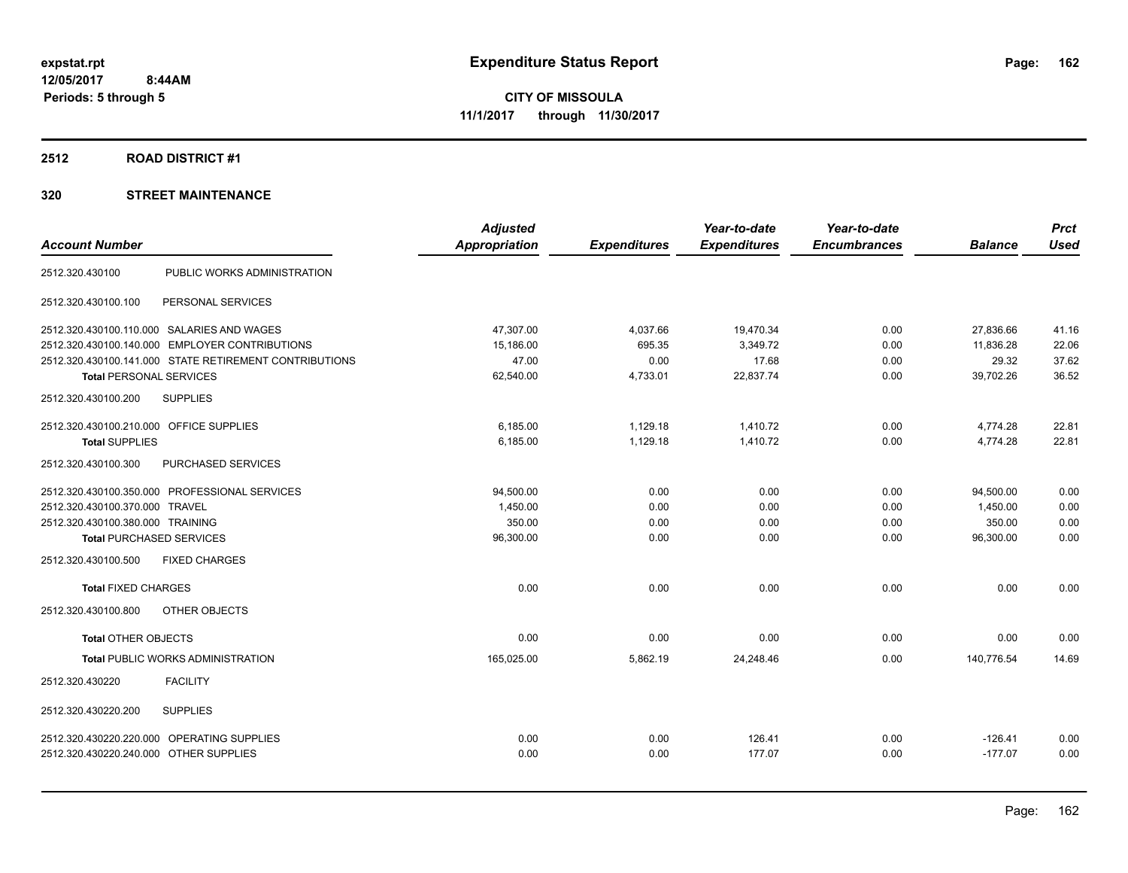# **2512 ROAD DISTRICT #1**

|                                         |                                                        | <b>Adjusted</b>      |                     | Year-to-date        | Year-to-date        |                | <b>Prct</b> |
|-----------------------------------------|--------------------------------------------------------|----------------------|---------------------|---------------------|---------------------|----------------|-------------|
| <b>Account Number</b>                   |                                                        | <b>Appropriation</b> | <b>Expenditures</b> | <b>Expenditures</b> | <b>Encumbrances</b> | <b>Balance</b> | <b>Used</b> |
| 2512.320.430100                         | PUBLIC WORKS ADMINISTRATION                            |                      |                     |                     |                     |                |             |
| 2512.320.430100.100                     | PERSONAL SERVICES                                      |                      |                     |                     |                     |                |             |
|                                         | 2512.320.430100.110.000 SALARIES AND WAGES             | 47.307.00            | 4,037.66            | 19,470.34           | 0.00                | 27,836.66      | 41.16       |
|                                         | 2512.320.430100.140.000 EMPLOYER CONTRIBUTIONS         | 15,186.00            | 695.35              | 3,349.72            | 0.00                | 11,836.28      | 22.06       |
|                                         | 2512.320.430100.141.000 STATE RETIREMENT CONTRIBUTIONS | 47.00                | 0.00                | 17.68               | 0.00                | 29.32          | 37.62       |
| <b>Total PERSONAL SERVICES</b>          |                                                        | 62,540.00            | 4,733.01            | 22,837.74           | 0.00                | 39,702.26      | 36.52       |
| 2512.320.430100.200                     | <b>SUPPLIES</b>                                        |                      |                     |                     |                     |                |             |
| 2512.320.430100.210.000 OFFICE SUPPLIES |                                                        | 6,185.00             | 1,129.18            | 1,410.72            | 0.00                | 4,774.28       | 22.81       |
| <b>Total SUPPLIES</b>                   |                                                        | 6,185.00             | 1,129.18            | 1,410.72            | 0.00                | 4,774.28       | 22.81       |
| 2512.320.430100.300                     | PURCHASED SERVICES                                     |                      |                     |                     |                     |                |             |
|                                         | 2512.320.430100.350.000 PROFESSIONAL SERVICES          | 94,500.00            | 0.00                | 0.00                | 0.00                | 94,500.00      | 0.00        |
| 2512.320.430100.370.000 TRAVEL          |                                                        | 1,450.00             | 0.00                | 0.00                | 0.00                | 1,450.00       | 0.00        |
| 2512.320.430100.380.000 TRAINING        |                                                        | 350.00               | 0.00                | 0.00                | 0.00                | 350.00         | 0.00        |
| <b>Total PURCHASED SERVICES</b>         |                                                        | 96,300.00            | 0.00                | 0.00                | 0.00                | 96,300.00      | 0.00        |
| 2512.320.430100.500                     | <b>FIXED CHARGES</b>                                   |                      |                     |                     |                     |                |             |
| <b>Total FIXED CHARGES</b>              |                                                        | 0.00                 | 0.00                | 0.00                | 0.00                | 0.00           | 0.00        |
| 2512.320.430100.800                     | <b>OTHER OBJECTS</b>                                   |                      |                     |                     |                     |                |             |
| <b>Total OTHER OBJECTS</b>              |                                                        | 0.00                 | 0.00                | 0.00                | 0.00                | 0.00           | 0.00        |
|                                         | <b>Total PUBLIC WORKS ADMINISTRATION</b>               | 165,025.00           | 5,862.19            | 24,248.46           | 0.00                | 140,776.54     | 14.69       |
| 2512.320.430220                         | <b>FACILITY</b>                                        |                      |                     |                     |                     |                |             |
| 2512.320.430220.200                     | <b>SUPPLIES</b>                                        |                      |                     |                     |                     |                |             |
|                                         | 2512.320.430220.220.000 OPERATING SUPPLIES             | 0.00                 | 0.00                | 126.41              | 0.00                | $-126.41$      | 0.00        |
| 2512.320.430220.240.000 OTHER SUPPLIES  |                                                        | 0.00                 | 0.00                | 177.07              | 0.00                | $-177.07$      | 0.00        |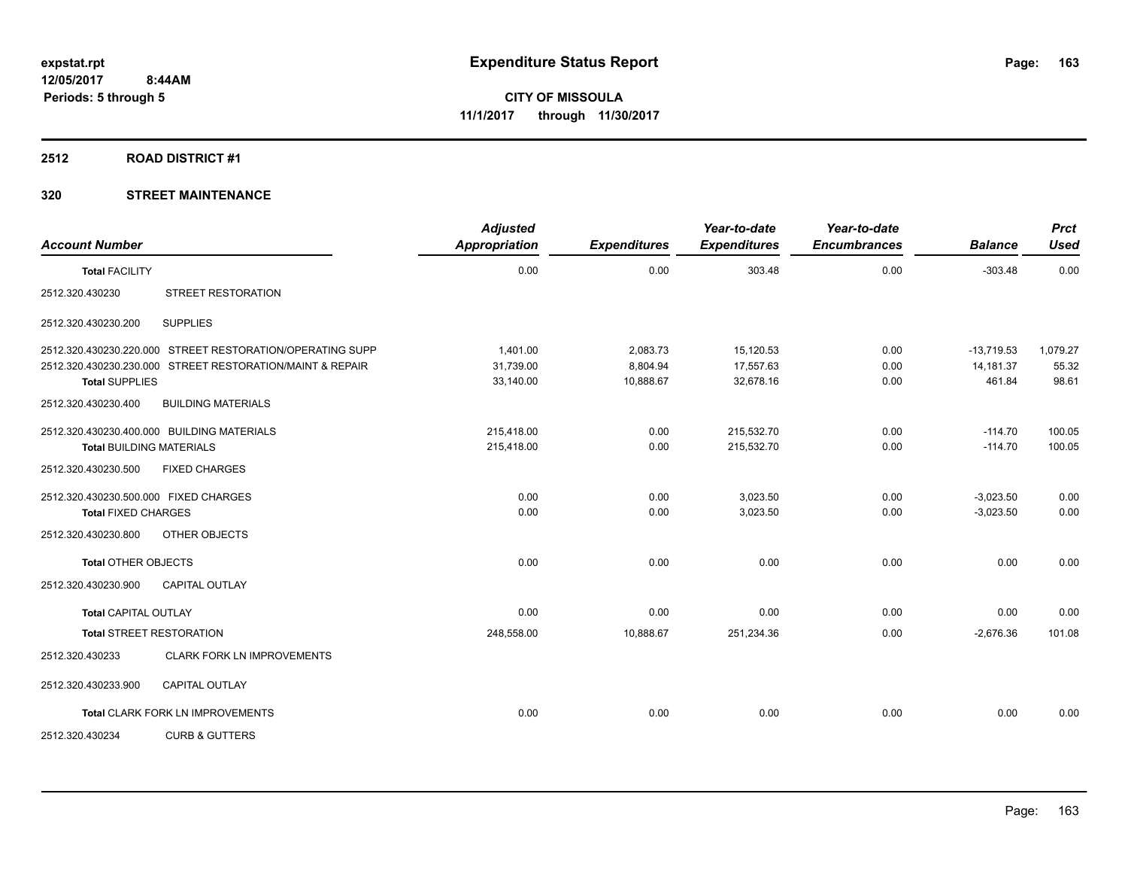#### **2512 ROAD DISTRICT #1**

| <b>Account Number</b>                 |                                                           | <b>Adjusted</b><br><b>Appropriation</b> | <b>Expenditures</b> | Year-to-date<br><b>Expenditures</b> | Year-to-date<br><b>Encumbrances</b> | <b>Balance</b> | Prct<br><b>Used</b> |
|---------------------------------------|-----------------------------------------------------------|-----------------------------------------|---------------------|-------------------------------------|-------------------------------------|----------------|---------------------|
| <b>Total FACILITY</b>                 |                                                           | 0.00                                    | 0.00                | 303.48                              | 0.00                                | $-303.48$      | 0.00                |
| 2512.320.430230                       | <b>STREET RESTORATION</b>                                 |                                         |                     |                                     |                                     |                |                     |
| 2512.320.430230.200                   | <b>SUPPLIES</b>                                           |                                         |                     |                                     |                                     |                |                     |
|                                       | 2512.320.430230.220.000 STREET RESTORATION/OPERATING SUPP | 1.401.00                                | 2,083.73            | 15,120.53                           | 0.00                                | $-13.719.53$   | 1,079.27            |
|                                       | 2512.320.430230.230.000 STREET RESTORATION/MAINT & REPAIR | 31,739.00                               | 8,804.94            | 17,557.63                           | 0.00                                | 14,181.37      | 55.32               |
| <b>Total SUPPLIES</b>                 |                                                           | 33,140.00                               | 10,888.67           | 32,678.16                           | 0.00                                | 461.84         | 98.61               |
| 2512.320.430230.400                   | <b>BUILDING MATERIALS</b>                                 |                                         |                     |                                     |                                     |                |                     |
|                                       | 2512.320.430230.400.000 BUILDING MATERIALS                | 215.418.00                              | 0.00                | 215,532.70                          | 0.00                                | $-114.70$      | 100.05              |
| <b>Total BUILDING MATERIALS</b>       |                                                           | 215,418.00                              | 0.00                | 215,532.70                          | 0.00                                | $-114.70$      | 100.05              |
| 2512.320.430230.500                   | <b>FIXED CHARGES</b>                                      |                                         |                     |                                     |                                     |                |                     |
| 2512.320.430230.500.000 FIXED CHARGES |                                                           | 0.00                                    | 0.00                | 3,023.50                            | 0.00                                | $-3,023.50$    | 0.00                |
| <b>Total FIXED CHARGES</b>            |                                                           | 0.00                                    | 0.00                | 3,023.50                            | 0.00                                | $-3,023.50$    | 0.00                |
| 2512.320.430230.800                   | OTHER OBJECTS                                             |                                         |                     |                                     |                                     |                |                     |
| <b>Total OTHER OBJECTS</b>            |                                                           | 0.00                                    | 0.00                | 0.00                                | 0.00                                | 0.00           | 0.00                |
| 2512.320.430230.900                   | <b>CAPITAL OUTLAY</b>                                     |                                         |                     |                                     |                                     |                |                     |
| <b>Total CAPITAL OUTLAY</b>           |                                                           | 0.00                                    | 0.00                | 0.00                                | 0.00                                | 0.00           | 0.00                |
|                                       | <b>Total STREET RESTORATION</b>                           | 248,558.00                              | 10,888.67           | 251,234.36                          | 0.00                                | $-2,676.36$    | 101.08              |
| 2512.320.430233                       | CLARK FORK LN IMPROVEMENTS                                |                                         |                     |                                     |                                     |                |                     |
| 2512.320.430233.900                   | <b>CAPITAL OUTLAY</b>                                     |                                         |                     |                                     |                                     |                |                     |
|                                       | <b>Total CLARK FORK LN IMPROVEMENTS</b>                   | 0.00                                    | 0.00                | 0.00                                | 0.00                                | 0.00           | 0.00                |
| 2512.320.430234                       | <b>CURB &amp; GUTTERS</b>                                 |                                         |                     |                                     |                                     |                |                     |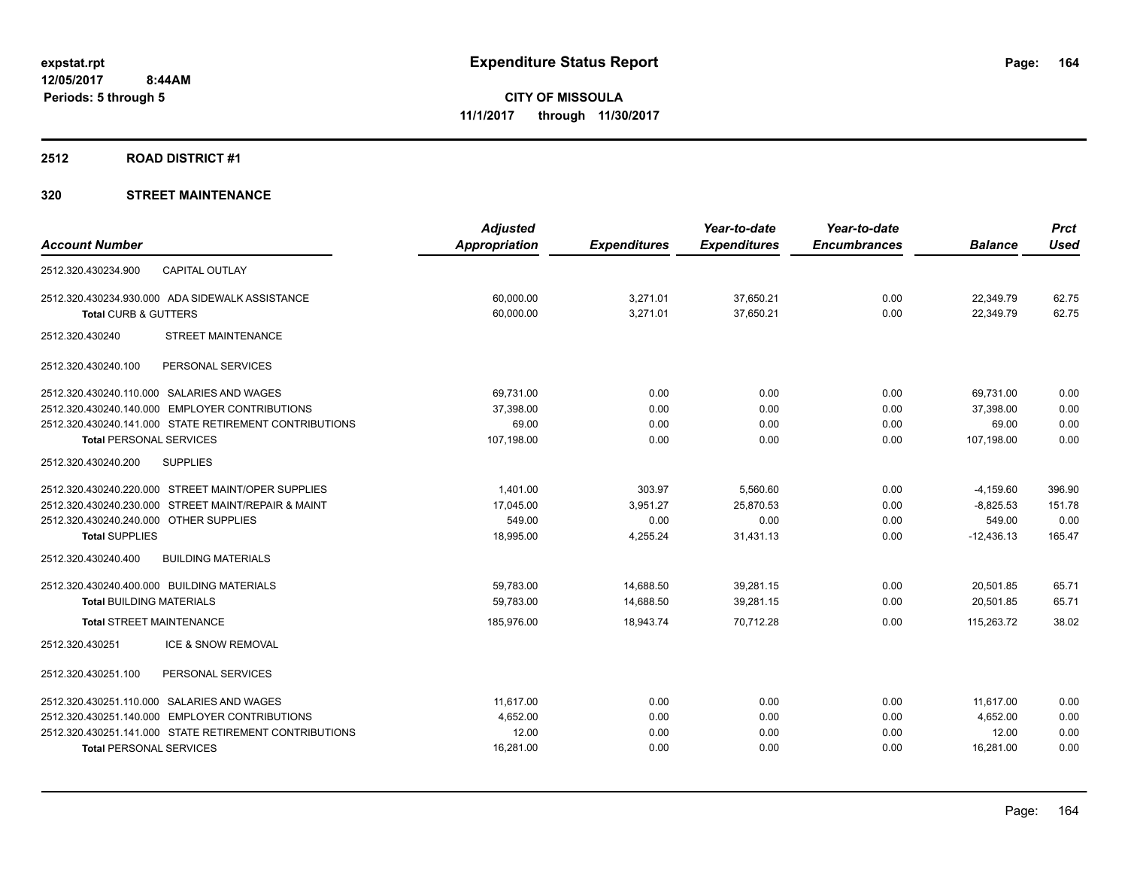# **2512 ROAD DISTRICT #1**

| <b>Appropriation</b><br><b>Account Number</b><br><b>Expenditures</b><br><b>Expenditures</b><br><b>Encumbrances</b> | <b>Balance</b> | <b>Used</b> |
|--------------------------------------------------------------------------------------------------------------------|----------------|-------------|
|                                                                                                                    |                |             |
| <b>CAPITAL OUTLAY</b><br>2512.320.430234.900                                                                       |                |             |
| 2512.320.430234.930.000 ADA SIDEWALK ASSISTANCE<br>60,000.00<br>3,271.01<br>37,650.21<br>0.00                      | 22,349.79      | 62.75       |
| <b>Total CURB &amp; GUTTERS</b><br>60,000.00<br>3,271.01<br>37,650.21<br>0.00                                      | 22,349.79      | 62.75       |
| 2512.320.430240<br><b>STREET MAINTENANCE</b>                                                                       |                |             |
| 2512.320.430240.100<br>PERSONAL SERVICES                                                                           |                |             |
| 2512.320.430240.110.000 SALARIES AND WAGES<br>69,731.00<br>0.00<br>0.00<br>0.00                                    | 69,731.00      | 0.00        |
| 2512.320.430240.140.000 EMPLOYER CONTRIBUTIONS<br>0.00<br>0.00<br>0.00<br>37,398.00                                | 37,398.00      | 0.00        |
| 2512.320.430240.141.000 STATE RETIREMENT CONTRIBUTIONS<br>69.00<br>0.00<br>0.00<br>0.00                            | 69.00          | 0.00        |
| <b>Total PERSONAL SERVICES</b><br>107,198.00<br>0.00<br>0.00<br>0.00                                               | 107,198.00     | 0.00        |
| <b>SUPPLIES</b><br>2512.320.430240.200                                                                             |                |             |
| 2512.320.430240.220.000 STREET MAINT/OPER SUPPLIES<br>1.401.00<br>303.97<br>5,560.60<br>0.00                       | $-4,159.60$    | 396.90      |
| 17,045.00<br>3,951.27<br>2512.320.430240.230.000 STREET MAINT/REPAIR & MAINT<br>25,870.53<br>0.00                  | $-8,825.53$    | 151.78      |
| 549.00<br>2512.320.430240.240.000 OTHER SUPPLIES<br>0.00<br>0.00<br>0.00                                           | 549.00         | 0.00        |
| <b>Total SUPPLIES</b><br>18,995.00<br>4,255.24<br>31,431.13<br>0.00                                                | $-12,436.13$   | 165.47      |
| 2512.320.430240.400<br><b>BUILDING MATERIALS</b>                                                                   |                |             |
| 39,281.15<br>0.00<br>2512.320.430240.400.000 BUILDING MATERIALS<br>59,783.00<br>14,688.50                          | 20,501.85      | 65.71       |
| 14,688.50<br>39,281.15<br>0.00<br>59,783.00<br><b>Total BUILDING MATERIALS</b>                                     | 20,501.85      | 65.71       |
| <b>Total STREET MAINTENANCE</b><br>0.00<br>185,976.00<br>18,943.74<br>70.712.28                                    | 115,263.72     | 38.02       |
| 2512.320.430251<br><b>ICE &amp; SNOW REMOVAL</b>                                                                   |                |             |
| 2512.320.430251.100<br>PERSONAL SERVICES                                                                           |                |             |
| 2512.320.430251.110.000 SALARIES AND WAGES<br>11,617.00<br>0.00<br>0.00<br>0.00                                    | 11,617.00      | 0.00        |
| 2512.320.430251.140.000 EMPLOYER CONTRIBUTIONS<br>4,652.00<br>0.00<br>0.00<br>0.00                                 | 4,652.00       | 0.00        |
| 2512.320.430251.141.000 STATE RETIREMENT CONTRIBUTIONS<br>12.00<br>0.00<br>0.00<br>0.00                            | 12.00          | 0.00        |
| 16,281.00<br>0.00<br><b>Total PERSONAL SERVICES</b><br>0.00<br>0.00                                                | 16,281.00      | 0.00        |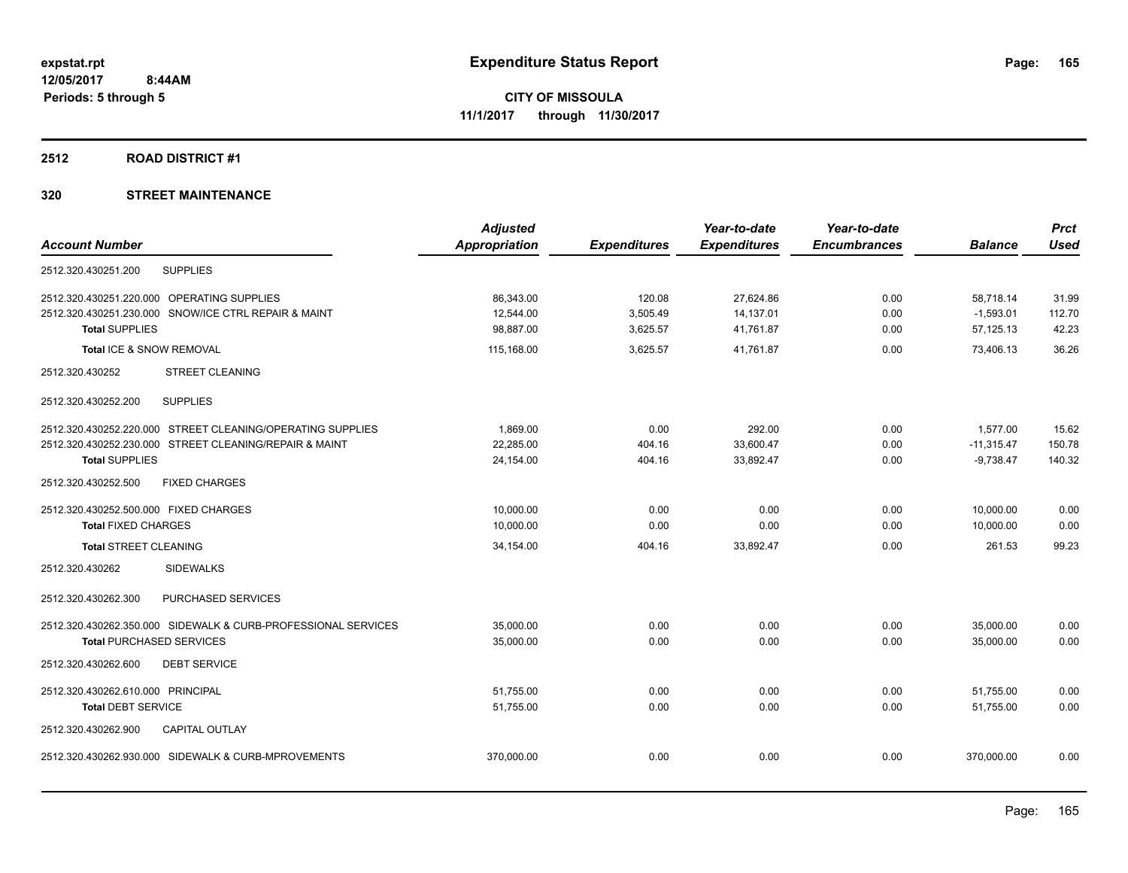#### **2512 ROAD DISTRICT #1**

|                                                               | <b>Adjusted</b>      |                     | Year-to-date        | Year-to-date        |                | <b>Prct</b> |
|---------------------------------------------------------------|----------------------|---------------------|---------------------|---------------------|----------------|-------------|
| <b>Account Number</b>                                         | <b>Appropriation</b> | <b>Expenditures</b> | <b>Expenditures</b> | <b>Encumbrances</b> | <b>Balance</b> | <b>Used</b> |
| 2512.320.430251.200<br><b>SUPPLIES</b>                        |                      |                     |                     |                     |                |             |
| 2512.320.430251.220.000 OPERATING SUPPLIES                    | 86.343.00            | 120.08              | 27.624.86           | 0.00                | 58.718.14      | 31.99       |
| 2512.320.430251.230.000 SNOW/ICE CTRL REPAIR & MAINT          | 12,544.00            | 3,505.49            | 14,137.01           | 0.00                | $-1,593.01$    | 112.70      |
| <b>Total SUPPLIES</b>                                         | 98.887.00            | 3,625.57            | 41,761.87           | 0.00                | 57,125.13      | 42.23       |
| Total ICE & SNOW REMOVAL                                      | 115,168.00           | 3.625.57            | 41,761.87           | 0.00                | 73.406.13      | 36.26       |
| 2512.320.430252<br><b>STREET CLEANING</b>                     |                      |                     |                     |                     |                |             |
| <b>SUPPLIES</b><br>2512.320.430252.200                        |                      |                     |                     |                     |                |             |
| 2512.320.430252.220.000 STREET CLEANING/OPERATING SUPPLIES    | 1,869.00             | 0.00                | 292.00              | 0.00                | 1,577.00       | 15.62       |
| 2512.320.430252.230.000 STREET CLEANING/REPAIR & MAINT        | 22,285.00            | 404.16              | 33,600.47           | 0.00                | $-11,315.47$   | 150.78      |
| <b>Total SUPPLIES</b>                                         | 24,154.00            | 404.16              | 33,892.47           | 0.00                | $-9,738.47$    | 140.32      |
| <b>FIXED CHARGES</b><br>2512.320.430252.500                   |                      |                     |                     |                     |                |             |
| 2512.320.430252.500.000 FIXED CHARGES                         | 10,000.00            | 0.00                | 0.00                | 0.00                | 10,000.00      | 0.00        |
| <b>Total FIXED CHARGES</b>                                    | 10,000.00            | 0.00                | 0.00                | 0.00                | 10,000.00      | 0.00        |
| <b>Total STREET CLEANING</b>                                  | 34,154.00            | 404.16              | 33,892.47           | 0.00                | 261.53         | 99.23       |
| 2512.320.430262<br><b>SIDEWALKS</b>                           |                      |                     |                     |                     |                |             |
| 2512.320.430262.300<br>PURCHASED SERVICES                     |                      |                     |                     |                     |                |             |
| 2512.320.430262.350.000 SIDEWALK & CURB-PROFESSIONAL SERVICES | 35,000.00            | 0.00                | 0.00                | 0.00                | 35,000.00      | 0.00        |
| <b>Total PURCHASED SERVICES</b>                               | 35,000.00            | 0.00                | 0.00                | 0.00                | 35,000.00      | 0.00        |
| <b>DEBT SERVICE</b><br>2512.320.430262.600                    |                      |                     |                     |                     |                |             |
| 2512.320.430262.610.000 PRINCIPAL                             | 51,755.00            | 0.00                | 0.00                | 0.00                | 51,755.00      | 0.00        |
| <b>Total DEBT SERVICE</b>                                     | 51,755.00            | 0.00                | 0.00                | 0.00                | 51.755.00      | 0.00        |
| 2512.320.430262.900<br><b>CAPITAL OUTLAY</b>                  |                      |                     |                     |                     |                |             |
| 2512.320.430262.930.000 SIDEWALK & CURB-MPROVEMENTS           | 370,000.00           | 0.00                | 0.00                | 0.00                | 370,000.00     | 0.00        |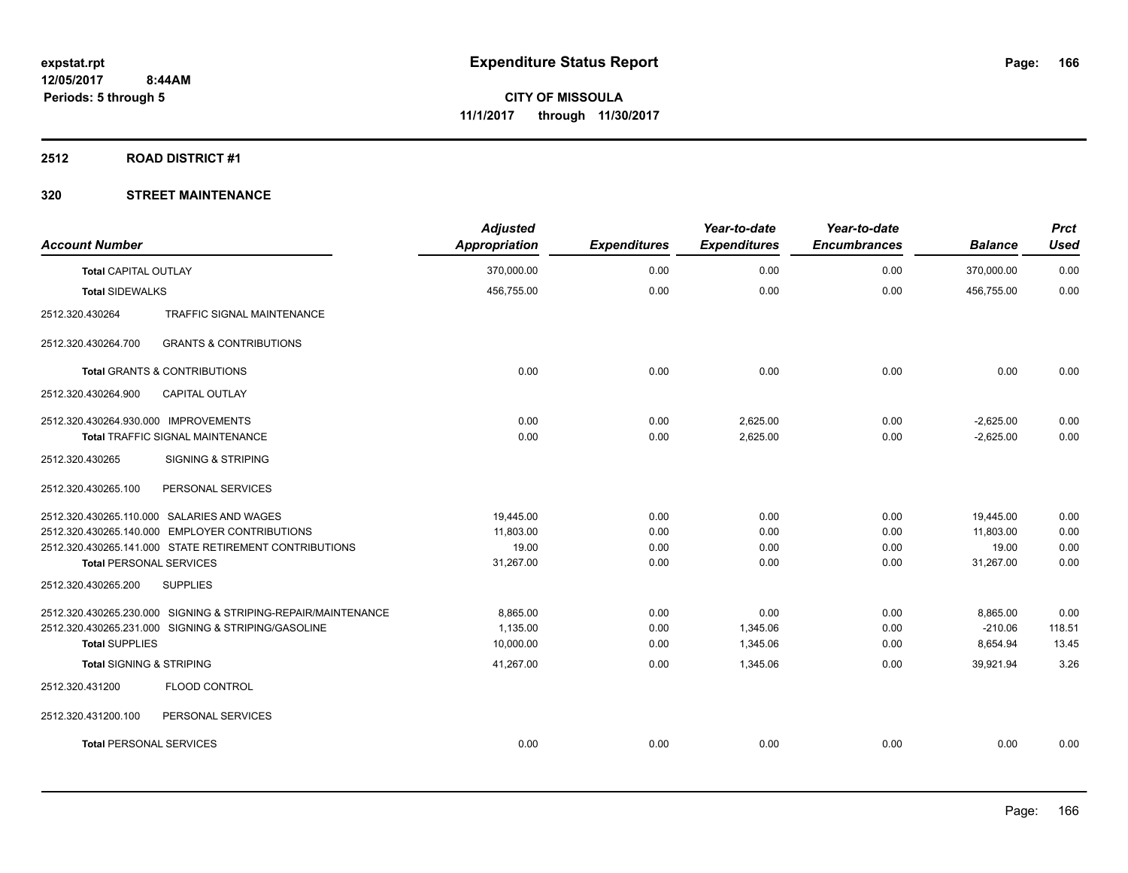#### **2512 ROAD DISTRICT #1**

| <b>Account Number</b>                |                                                               | <b>Adjusted</b><br><b>Appropriation</b> | <b>Expenditures</b> | Year-to-date<br><b>Expenditures</b> | Year-to-date<br><b>Encumbrances</b> | <b>Balance</b>             | <b>Prct</b><br><b>Used</b> |
|--------------------------------------|---------------------------------------------------------------|-----------------------------------------|---------------------|-------------------------------------|-------------------------------------|----------------------------|----------------------------|
| <b>Total CAPITAL OUTLAY</b>          |                                                               | 370,000.00                              | 0.00                | 0.00                                | 0.00                                | 370,000.00                 | 0.00                       |
| <b>Total SIDEWALKS</b>               |                                                               | 456,755.00                              | 0.00                | 0.00                                | 0.00                                | 456.755.00                 | 0.00                       |
| 2512.320.430264                      | <b>TRAFFIC SIGNAL MAINTENANCE</b>                             |                                         |                     |                                     |                                     |                            |                            |
| 2512.320.430264.700                  | <b>GRANTS &amp; CONTRIBUTIONS</b>                             |                                         |                     |                                     |                                     |                            |                            |
|                                      | <b>Total GRANTS &amp; CONTRIBUTIONS</b>                       | 0.00                                    | 0.00                | 0.00                                | 0.00                                | 0.00                       | 0.00                       |
| 2512.320.430264.900                  | <b>CAPITAL OUTLAY</b>                                         |                                         |                     |                                     |                                     |                            |                            |
| 2512.320.430264.930.000 IMPROVEMENTS | <b>Total TRAFFIC SIGNAL MAINTENANCE</b>                       | 0.00<br>0.00                            | 0.00<br>0.00        | 2,625.00<br>2,625.00                | 0.00<br>0.00                        | $-2,625.00$<br>$-2,625.00$ | 0.00<br>0.00               |
| 2512.320.430265                      | <b>SIGNING &amp; STRIPING</b>                                 |                                         |                     |                                     |                                     |                            |                            |
| 2512.320.430265.100                  | PERSONAL SERVICES                                             |                                         |                     |                                     |                                     |                            |                            |
|                                      | 2512.320.430265.110.000 SALARIES AND WAGES                    | 19,445.00                               | 0.00                | 0.00                                | 0.00                                | 19,445.00                  | 0.00                       |
|                                      | 2512.320.430265.140.000 EMPLOYER CONTRIBUTIONS                | 11,803.00<br>19.00                      | 0.00                | 0.00                                | 0.00                                | 11,803.00                  | 0.00                       |
| <b>Total PERSONAL SERVICES</b>       | 2512.320.430265.141.000 STATE RETIREMENT CONTRIBUTIONS        | 31,267.00                               | 0.00<br>0.00        | 0.00<br>0.00                        | 0.00<br>0.00                        | 19.00<br>31,267.00         | 0.00<br>0.00               |
| 2512.320.430265.200                  | <b>SUPPLIES</b>                                               |                                         |                     |                                     |                                     |                            |                            |
|                                      | 2512.320.430265.230.000 SIGNING & STRIPING-REPAIR/MAINTENANCE | 8.865.00                                | 0.00                | 0.00                                | 0.00                                | 8,865.00                   | 0.00                       |
|                                      | 2512.320.430265.231.000 SIGNING & STRIPING/GASOLINE           | 1,135.00                                | 0.00                | 1,345.06                            | 0.00                                | $-210.06$                  | 118.51                     |
| <b>Total SUPPLIES</b>                |                                                               | 10,000.00                               | 0.00                | 1,345.06                            | 0.00                                | 8,654.94                   | 13.45                      |
| <b>Total SIGNING &amp; STRIPING</b>  |                                                               | 41,267.00                               | 0.00                | 1,345.06                            | 0.00                                | 39,921.94                  | 3.26                       |
| 2512.320.431200                      | FLOOD CONTROL                                                 |                                         |                     |                                     |                                     |                            |                            |
| 2512.320.431200.100                  | PERSONAL SERVICES                                             |                                         |                     |                                     |                                     |                            |                            |
| <b>Total PERSONAL SERVICES</b>       |                                                               | 0.00                                    | 0.00                | 0.00                                | 0.00                                | 0.00                       | 0.00                       |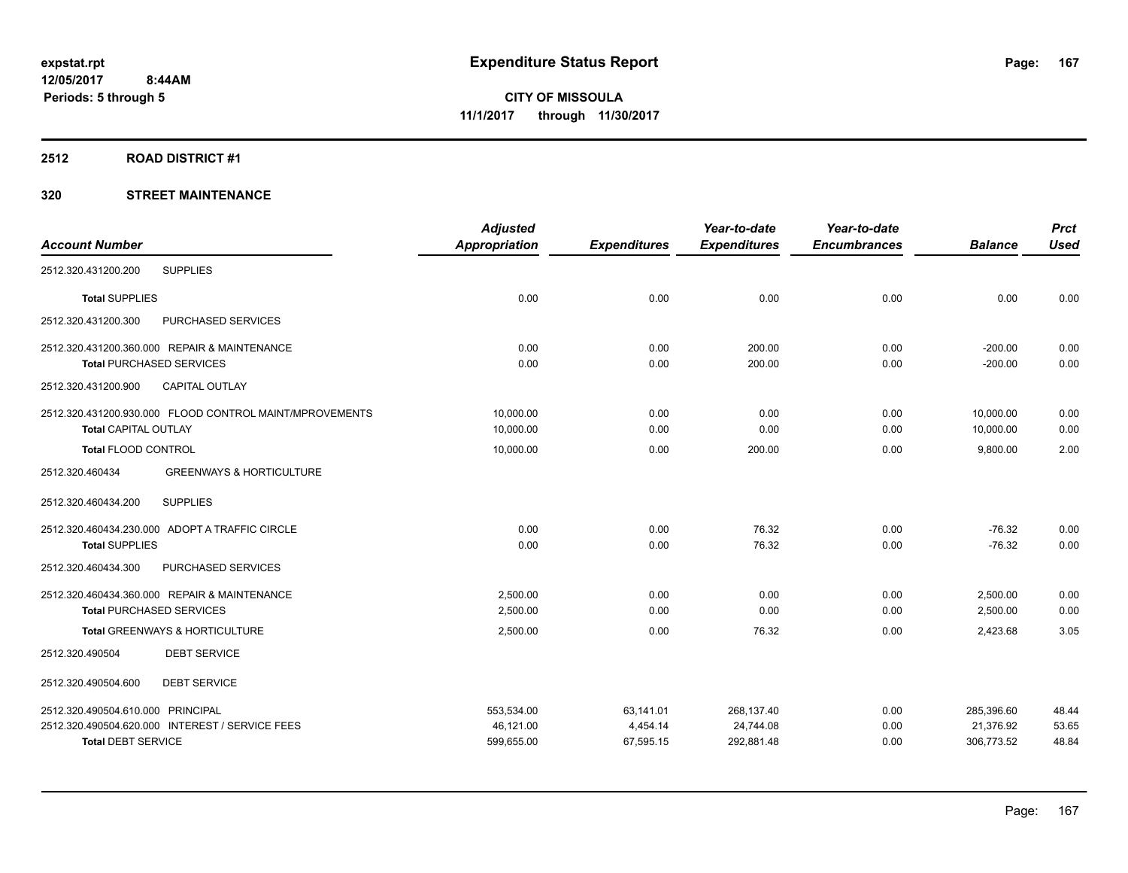#### **2512 ROAD DISTRICT #1**

|                                                         | <b>Adjusted</b>      |                     | Year-to-date        | Year-to-date        |                | <b>Prct</b> |
|---------------------------------------------------------|----------------------|---------------------|---------------------|---------------------|----------------|-------------|
| <b>Account Number</b>                                   | <b>Appropriation</b> | <b>Expenditures</b> | <b>Expenditures</b> | <b>Encumbrances</b> | <b>Balance</b> | <b>Used</b> |
| <b>SUPPLIES</b><br>2512.320.431200.200                  |                      |                     |                     |                     |                |             |
| <b>Total SUPPLIES</b>                                   | 0.00                 | 0.00                | 0.00                | 0.00                | 0.00           | 0.00        |
| 2512.320.431200.300<br>PURCHASED SERVICES               |                      |                     |                     |                     |                |             |
| 2512.320.431200.360.000 REPAIR & MAINTENANCE            | 0.00                 | 0.00                | 200.00              | 0.00                | $-200.00$      | 0.00        |
| <b>Total PURCHASED SERVICES</b>                         | 0.00                 | 0.00                | 200.00              | 0.00                | $-200.00$      | 0.00        |
| CAPITAL OUTLAY<br>2512.320.431200.900                   |                      |                     |                     |                     |                |             |
| 2512.320.431200.930.000 FLOOD CONTROL MAINT/MPROVEMENTS | 10,000.00            | 0.00                | 0.00                | 0.00                | 10,000.00      | 0.00        |
| <b>Total CAPITAL OUTLAY</b>                             | 10,000.00            | 0.00                | 0.00                | 0.00                | 10,000.00      | 0.00        |
| Total FLOOD CONTROL                                     | 10,000.00            | 0.00                | 200.00              | 0.00                | 9,800.00       | 2.00        |
| <b>GREENWAYS &amp; HORTICULTURE</b><br>2512.320.460434  |                      |                     |                     |                     |                |             |
| <b>SUPPLIES</b><br>2512.320.460434.200                  |                      |                     |                     |                     |                |             |
| 2512.320.460434.230.000 ADOPT A TRAFFIC CIRCLE          | 0.00                 | 0.00                | 76.32               | 0.00                | $-76.32$       | 0.00        |
| <b>Total SUPPLIES</b>                                   | 0.00                 | 0.00                | 76.32               | 0.00                | $-76.32$       | 0.00        |
| 2512.320.460434.300<br>PURCHASED SERVICES               |                      |                     |                     |                     |                |             |
| 2512.320.460434.360.000 REPAIR & MAINTENANCE            | 2.500.00             | 0.00                | 0.00                | 0.00                | 2,500.00       | 0.00        |
| <b>Total PURCHASED SERVICES</b>                         | 2,500.00             | 0.00                | 0.00                | 0.00                | 2,500.00       | 0.00        |
| Total GREENWAYS & HORTICULTURE                          | 2,500.00             | 0.00                | 76.32               | 0.00                | 2,423.68       | 3.05        |
| <b>DEBT SERVICE</b><br>2512.320.490504                  |                      |                     |                     |                     |                |             |
| <b>DEBT SERVICE</b><br>2512.320.490504.600              |                      |                     |                     |                     |                |             |
| 2512.320.490504.610.000 PRINCIPAL                       | 553,534.00           | 63,141.01           | 268,137.40          | 0.00                | 285,396.60     | 48.44       |
| 2512.320.490504.620.000 INTEREST / SERVICE FEES         | 46,121.00            | 4,454.14            | 24,744.08           | 0.00                | 21,376.92      | 53.65       |
| <b>Total DEBT SERVICE</b>                               | 599,655.00           | 67,595.15           | 292,881.48          | 0.00                | 306,773.52     | 48.84       |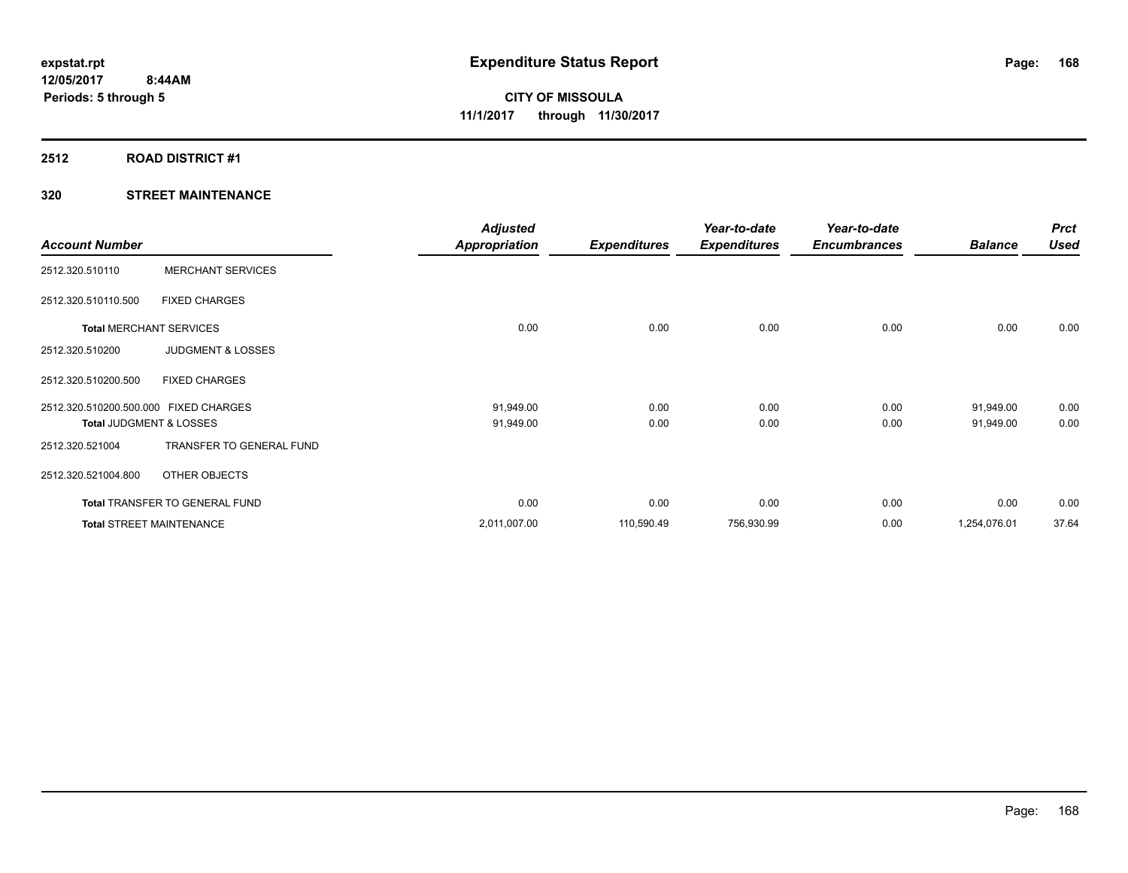### **2512 ROAD DISTRICT #1**

|                                       |                                       | <b>Adjusted</b> |                     | Year-to-date        | Year-to-date        |                | <b>Prct</b> |
|---------------------------------------|---------------------------------------|-----------------|---------------------|---------------------|---------------------|----------------|-------------|
| <b>Account Number</b>                 |                                       | Appropriation   | <b>Expenditures</b> | <b>Expenditures</b> | <b>Encumbrances</b> | <b>Balance</b> | <b>Used</b> |
| 2512.320.510110                       | <b>MERCHANT SERVICES</b>              |                 |                     |                     |                     |                |             |
| 2512.320.510110.500                   | <b>FIXED CHARGES</b>                  |                 |                     |                     |                     |                |             |
| <b>Total MERCHANT SERVICES</b>        |                                       | 0.00            | 0.00                | 0.00                | 0.00                | 0.00           | 0.00        |
| 2512.320.510200                       | <b>JUDGMENT &amp; LOSSES</b>          |                 |                     |                     |                     |                |             |
| 2512.320.510200.500                   | <b>FIXED CHARGES</b>                  |                 |                     |                     |                     |                |             |
| 2512.320.510200.500.000 FIXED CHARGES |                                       | 91,949.00       | 0.00                | 0.00                | 0.00                | 91,949.00      | 0.00        |
| Total JUDGMENT & LOSSES               |                                       | 91,949.00       | 0.00                | 0.00                | 0.00                | 91,949.00      | 0.00        |
| 2512.320.521004                       | TRANSFER TO GENERAL FUND              |                 |                     |                     |                     |                |             |
| 2512.320.521004.800                   | OTHER OBJECTS                         |                 |                     |                     |                     |                |             |
|                                       | <b>Total TRANSFER TO GENERAL FUND</b> | 0.00            | 0.00                | 0.00                | 0.00                | 0.00           | 0.00        |
| <b>Total STREET MAINTENANCE</b>       |                                       | 2,011,007.00    | 110,590.49          | 756,930.99          | 0.00                | 1,254,076.01   | 37.64       |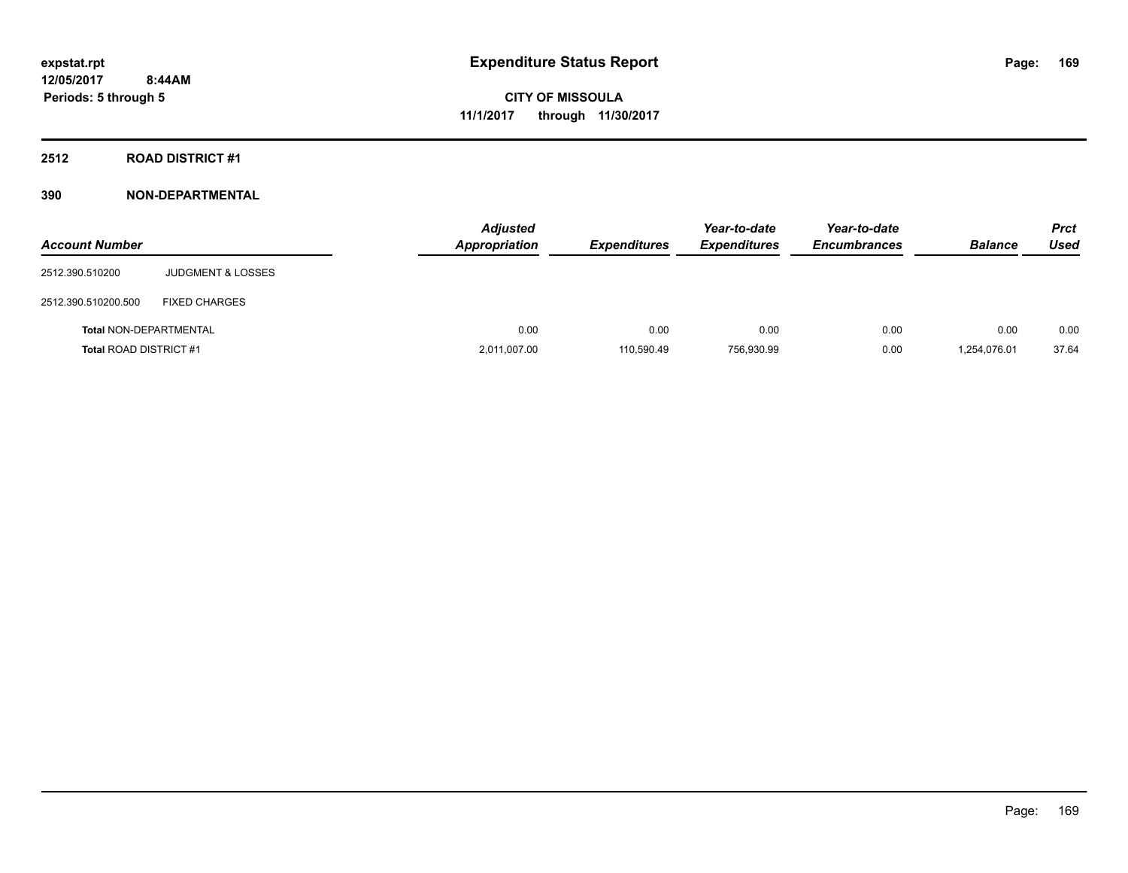# **2512 ROAD DISTRICT #1**

| <b>Account Number</b>         |                              | <b>Adjusted</b><br><b>Appropriation</b> | <b>Expenditures</b> | Year-to-date<br><b>Expenditures</b> | Year-to-date<br><b>Encumbrances</b> | <b>Balance</b> | <b>Prct</b><br><b>Used</b> |
|-------------------------------|------------------------------|-----------------------------------------|---------------------|-------------------------------------|-------------------------------------|----------------|----------------------------|
| 2512.390.510200               | <b>JUDGMENT &amp; LOSSES</b> |                                         |                     |                                     |                                     |                |                            |
| 2512.390.510200.500           | <b>FIXED CHARGES</b>         |                                         |                     |                                     |                                     |                |                            |
| <b>Total NON-DEPARTMENTAL</b> |                              | 0.00                                    | 0.00                | 0.00                                | 0.00                                | 0.00           | 0.00                       |
| <b>Total ROAD DISTRICT #1</b> |                              | 2,011,007.00                            | 110,590.49          | 756.930.99                          | 0.00                                | 1,254,076.01   | 37.64                      |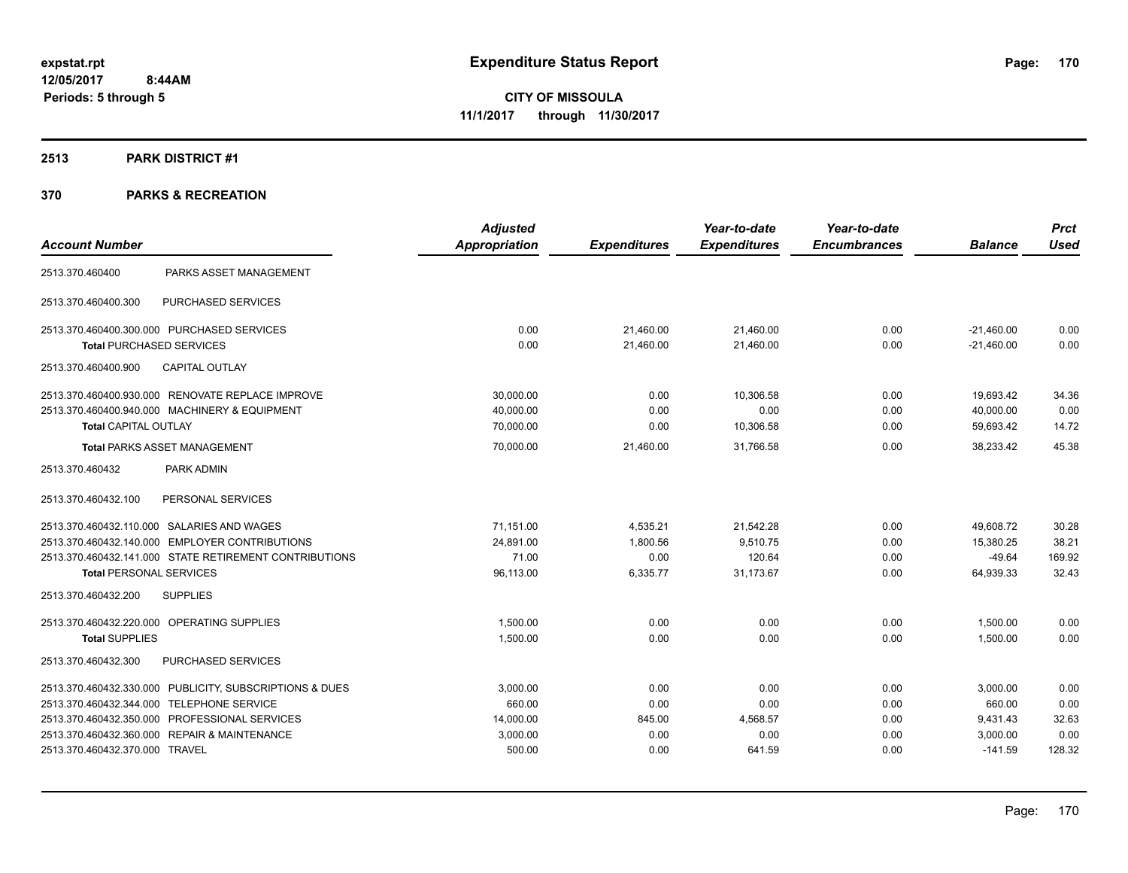#### **2513 PARK DISTRICT #1**

|                                                         | <b>Adjusted</b>      |                     | Year-to-date        | Year-to-date        |                | <b>Prct</b> |
|---------------------------------------------------------|----------------------|---------------------|---------------------|---------------------|----------------|-------------|
| <b>Account Number</b>                                   | <b>Appropriation</b> | <b>Expenditures</b> | <b>Expenditures</b> | <b>Encumbrances</b> | <b>Balance</b> | <b>Used</b> |
| PARKS ASSET MANAGEMENT<br>2513.370.460400               |                      |                     |                     |                     |                |             |
| PURCHASED SERVICES<br>2513.370.460400.300               |                      |                     |                     |                     |                |             |
| 2513.370.460400.300.000 PURCHASED SERVICES              | 0.00                 | 21,460.00           | 21,460.00           | 0.00                | $-21,460.00$   | 0.00        |
| <b>Total PURCHASED SERVICES</b>                         | 0.00                 | 21,460.00           | 21,460.00           | 0.00                | $-21,460.00$   | 0.00        |
| <b>CAPITAL OUTLAY</b><br>2513.370.460400.900            |                      |                     |                     |                     |                |             |
| 2513.370.460400.930.000 RENOVATE REPLACE IMPROVE        | 30,000.00            | 0.00                | 10,306.58           | 0.00                | 19,693.42      | 34.36       |
| 2513.370.460400.940.000 MACHINERY & EQUIPMENT           | 40,000.00            | 0.00                | 0.00                | 0.00                | 40,000.00      | 0.00        |
| <b>Total CAPITAL OUTLAY</b>                             | 70,000.00            | 0.00                | 10,306.58           | 0.00                | 59,693.42      | 14.72       |
| <b>Total PARKS ASSET MANAGEMENT</b>                     | 70,000.00            | 21,460.00           | 31,766.58           | 0.00                | 38,233.42      | 45.38       |
| 2513.370.460432<br>PARK ADMIN                           |                      |                     |                     |                     |                |             |
| 2513.370.460432.100<br>PERSONAL SERVICES                |                      |                     |                     |                     |                |             |
| 2513.370.460432.110.000 SALARIES AND WAGES              | 71,151.00            | 4,535.21            | 21,542.28           | 0.00                | 49,608.72      | 30.28       |
| 2513.370.460432.140.000 EMPLOYER CONTRIBUTIONS          | 24,891.00            | 1,800.56            | 9,510.75            | 0.00                | 15,380.25      | 38.21       |
| 2513.370.460432.141.000 STATE RETIREMENT CONTRIBUTIONS  | 71.00                | 0.00                | 120.64              | 0.00                | $-49.64$       | 169.92      |
| <b>Total PERSONAL SERVICES</b>                          | 96,113.00            | 6,335.77            | 31,173.67           | 0.00                | 64,939.33      | 32.43       |
| <b>SUPPLIES</b><br>2513.370.460432.200                  |                      |                     |                     |                     |                |             |
| 2513.370.460432.220.000 OPERATING SUPPLIES              | 1,500.00             | 0.00                | 0.00                | 0.00                | 1,500.00       | 0.00        |
| <b>Total SUPPLIES</b>                                   | 1,500.00             | 0.00                | 0.00                | 0.00                | 1,500.00       | 0.00        |
| PURCHASED SERVICES<br>2513.370.460432.300               |                      |                     |                     |                     |                |             |
| 2513.370.460432.330.000 PUBLICITY, SUBSCRIPTIONS & DUES | 3,000.00             | 0.00                | 0.00                | 0.00                | 3,000.00       | 0.00        |
| 2513.370.460432.344.000 TELEPHONE SERVICE               | 660.00               | 0.00                | 0.00                | 0.00                | 660.00         | 0.00        |
| 2513.370.460432.350.000 PROFESSIONAL SERVICES           | 14,000.00            | 845.00              | 4,568.57            | 0.00                | 9,431.43       | 32.63       |
| 2513.370.460432.360.000 REPAIR & MAINTENANCE            | 3,000.00             | 0.00                | 0.00                | 0.00                | 3,000.00       | 0.00        |
| 2513.370.460432.370.000 TRAVEL                          | 500.00               | 0.00                | 641.59              | 0.00                | $-141.59$      | 128.32      |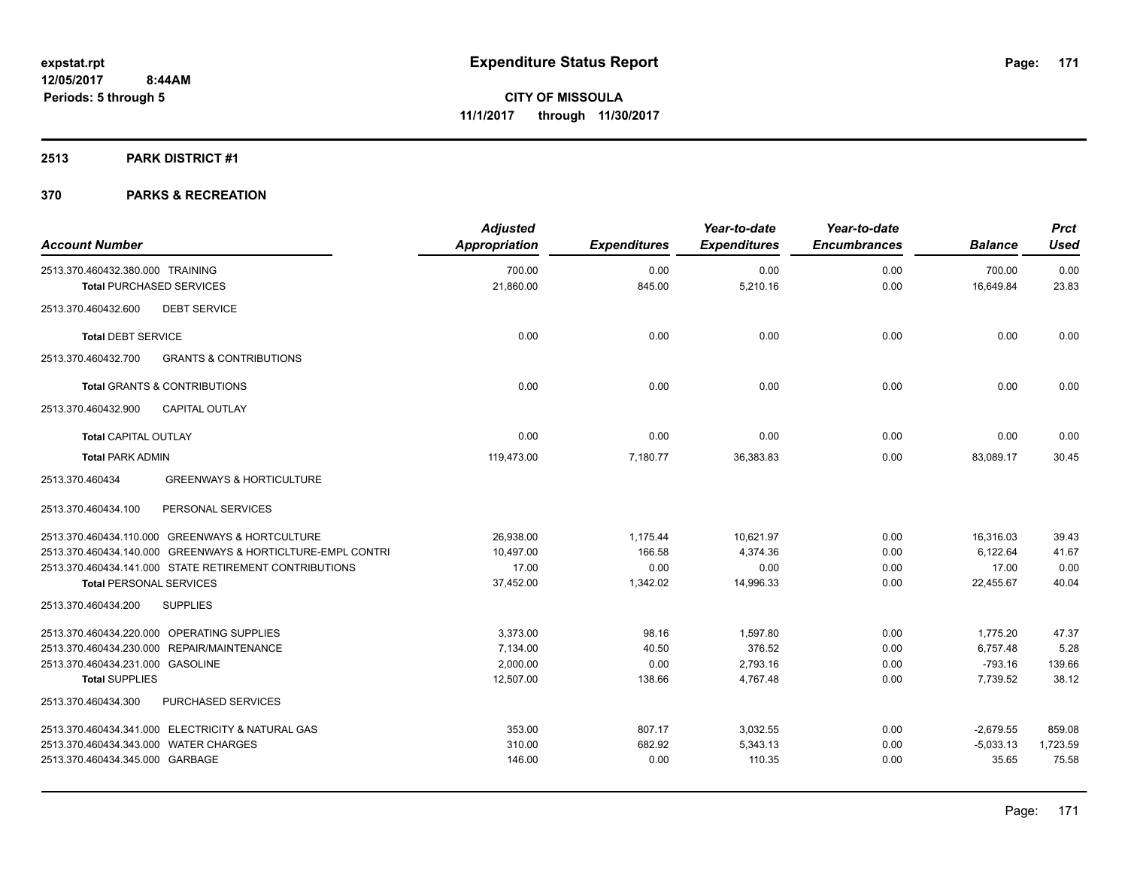# **2513 PARK DISTRICT #1**

| <b>Account Number</b>                                       | <b>Adjusted</b><br>Appropriation | <b>Expenditures</b> | Year-to-date<br><b>Expenditures</b> | Year-to-date<br><b>Encumbrances</b> | <b>Balance</b> | <b>Prct</b><br><b>Used</b> |
|-------------------------------------------------------------|----------------------------------|---------------------|-------------------------------------|-------------------------------------|----------------|----------------------------|
| 2513.370.460432.380.000 TRAINING                            | 700.00                           | 0.00                | 0.00                                | 0.00                                | 700.00         | 0.00                       |
| <b>Total PURCHASED SERVICES</b>                             | 21,860.00                        | 845.00              | 5,210.16                            | 0.00                                | 16,649.84      | 23.83                      |
| <b>DEBT SERVICE</b><br>2513.370.460432.600                  |                                  |                     |                                     |                                     |                |                            |
| <b>Total DEBT SERVICE</b>                                   | 0.00                             | 0.00                | 0.00                                | 0.00                                | 0.00           | 0.00                       |
| 2513.370.460432.700<br><b>GRANTS &amp; CONTRIBUTIONS</b>    |                                  |                     |                                     |                                     |                |                            |
| <b>Total GRANTS &amp; CONTRIBUTIONS</b>                     | 0.00                             | 0.00                | 0.00                                | 0.00                                | 0.00           | 0.00                       |
| 2513.370.460432.900<br><b>CAPITAL OUTLAY</b>                |                                  |                     |                                     |                                     |                |                            |
| <b>Total CAPITAL OUTLAY</b>                                 | 0.00                             | 0.00                | 0.00                                | 0.00                                | 0.00           | 0.00                       |
| <b>Total PARK ADMIN</b>                                     | 119,473.00                       | 7,180.77            | 36,383.83                           | 0.00                                | 83,089.17      | 30.45                      |
| 2513.370.460434<br><b>GREENWAYS &amp; HORTICULTURE</b>      |                                  |                     |                                     |                                     |                |                            |
| 2513.370.460434.100<br>PERSONAL SERVICES                    |                                  |                     |                                     |                                     |                |                            |
| 2513.370.460434.110.000 GREENWAYS & HORTCULTURE             | 26,938.00                        | 1,175.44            | 10,621.97                           | 0.00                                | 16,316.03      | 39.43                      |
| 2513.370.460434.140.000 GREENWAYS & HORTICLTURE-EMPL CONTRI | 10,497.00                        | 166.58              | 4,374.36                            | 0.00                                | 6,122.64       | 41.67                      |
| 2513.370.460434.141.000 STATE RETIREMENT CONTRIBUTIONS      | 17.00                            | 0.00                | 0.00                                | 0.00                                | 17.00          | 0.00                       |
| <b>Total PERSONAL SERVICES</b>                              | 37,452.00                        | 1,342.02            | 14,996.33                           | 0.00                                | 22,455.67      | 40.04                      |
| <b>SUPPLIES</b><br>2513.370.460434.200                      |                                  |                     |                                     |                                     |                |                            |
| 2513.370.460434.220.000 OPERATING SUPPLIES                  | 3,373.00                         | 98.16               | 1,597.80                            | 0.00                                | 1,775.20       | 47.37                      |
| 2513.370.460434.230.000 REPAIR/MAINTENANCE                  | 7,134.00                         | 40.50               | 376.52                              | 0.00                                | 6,757.48       | 5.28                       |
| 2513.370.460434.231.000 GASOLINE                            | 2,000.00                         | 0.00                | 2,793.16                            | 0.00                                | $-793.16$      | 139.66                     |
| <b>Total SUPPLIES</b>                                       | 12,507.00                        | 138.66              | 4,767.48                            | 0.00                                | 7,739.52       | 38.12                      |
| 2513.370.460434.300<br>PURCHASED SERVICES                   |                                  |                     |                                     |                                     |                |                            |
| 2513.370.460434.341.000 ELECTRICITY & NATURAL GAS           | 353.00                           | 807.17              | 3,032.55                            | 0.00                                | $-2,679.55$    | 859.08                     |
| 2513.370.460434.343.000 WATER CHARGES                       | 310.00                           | 682.92              | 5,343.13                            | 0.00                                | $-5,033.13$    | 1,723.59                   |
| 2513.370.460434.345.000 GARBAGE                             | 146.00                           | 0.00                | 110.35                              | 0.00                                | 35.65          | 75.58                      |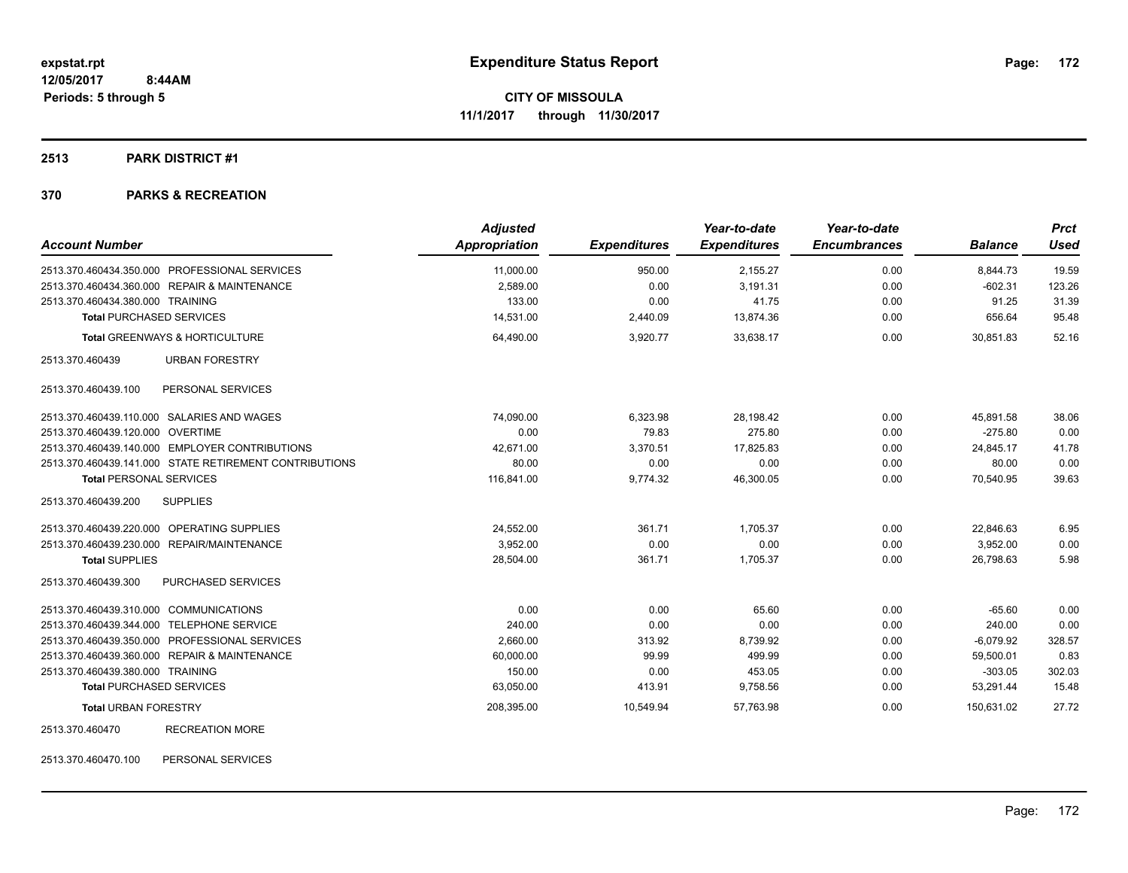# **2513 PARK DISTRICT #1**

#### **370 PARKS & RECREATION**

| <b>Account Number</b>                                  | <b>Adjusted</b><br><b>Appropriation</b> | <b>Expenditures</b> | Year-to-date<br><b>Expenditures</b> | Year-to-date<br><b>Encumbrances</b> | <b>Balance</b>        | <b>Prct</b><br><b>Used</b> |
|--------------------------------------------------------|-----------------------------------------|---------------------|-------------------------------------|-------------------------------------|-----------------------|----------------------------|
| 2513.370.460434.350.000 PROFESSIONAL SERVICES          |                                         |                     |                                     |                                     |                       |                            |
| 2513.370.460434.360.000 REPAIR & MAINTENANCE           | 11,000.00<br>2,589.00                   | 950.00<br>0.00      | 2,155.27<br>3,191.31                | 0.00<br>0.00                        | 8,844.73<br>$-602.31$ | 19.59<br>123.26            |
| 2513.370.460434.380.000 TRAINING                       | 133.00                                  | 0.00                | 41.75                               | 0.00                                | 91.25                 | 31.39                      |
| <b>Total PURCHASED SERVICES</b>                        | 14,531.00                               | 2,440.09            | 13,874.36                           | 0.00                                | 656.64                | 95.48                      |
| <b>Total GREENWAYS &amp; HORTICULTURE</b>              | 64,490.00                               | 3,920.77            | 33.638.17                           | 0.00                                | 30.851.83             | 52.16                      |
| 2513.370.460439<br><b>URBAN FORESTRY</b>               |                                         |                     |                                     |                                     |                       |                            |
| 2513.370.460439.100<br>PERSONAL SERVICES               |                                         |                     |                                     |                                     |                       |                            |
| 2513.370.460439.110.000 SALARIES AND WAGES             | 74,090.00                               | 6,323.98            | 28,198.42                           | 0.00                                | 45,891.58             | 38.06                      |
| 2513.370.460439.120.000 OVERTIME                       | 0.00                                    | 79.83               | 275.80                              | 0.00                                | $-275.80$             | 0.00                       |
| 2513.370.460439.140.000 EMPLOYER CONTRIBUTIONS         | 42,671.00                               | 3,370.51            | 17,825.83                           | 0.00                                | 24,845.17             | 41.78                      |
| 2513.370.460439.141.000 STATE RETIREMENT CONTRIBUTIONS | 80.00                                   | 0.00                | 0.00                                | 0.00                                | 80.00                 | 0.00                       |
| <b>Total PERSONAL SERVICES</b>                         | 116,841.00                              | 9,774.32            | 46,300.05                           | 0.00                                | 70,540.95             | 39.63                      |
| 2513.370.460439.200<br><b>SUPPLIES</b>                 |                                         |                     |                                     |                                     |                       |                            |
| 2513.370.460439.220.000 OPERATING SUPPLIES             | 24,552.00                               | 361.71              | 1,705.37                            | 0.00                                | 22,846.63             | 6.95                       |
| 2513.370.460439.230.000 REPAIR/MAINTENANCE             | 3.952.00                                | 0.00                | 0.00                                | 0.00                                | 3.952.00              | 0.00                       |
| <b>Total SUPPLIES</b>                                  | 28,504.00                               | 361.71              | 1,705.37                            | 0.00                                | 26,798.63             | 5.98                       |
| <b>PURCHASED SERVICES</b><br>2513.370.460439.300       |                                         |                     |                                     |                                     |                       |                            |
| 2513.370.460439.310.000 COMMUNICATIONS                 | 0.00                                    | 0.00                | 65.60                               | 0.00                                | $-65.60$              | 0.00                       |
| 2513.370.460439.344.000 TELEPHONE SERVICE              | 240.00                                  | 0.00                | 0.00                                | 0.00                                | 240.00                | 0.00                       |
| 2513.370.460439.350.000 PROFESSIONAL SERVICES          | 2,660.00                                | 313.92              | 8,739.92                            | 0.00                                | $-6,079.92$           | 328.57                     |
| 2513.370.460439.360.000 REPAIR & MAINTENANCE           | 60,000.00                               | 99.99               | 499.99                              | 0.00                                | 59,500.01             | 0.83                       |
| 2513.370.460439.380.000 TRAINING                       | 150.00                                  | 0.00                | 453.05                              | 0.00                                | $-303.05$             | 302.03                     |
| <b>Total PURCHASED SERVICES</b>                        | 63,050.00                               | 413.91              | 9,758.56                            | 0.00                                | 53,291.44             | 15.48                      |
| <b>Total URBAN FORESTRY</b>                            | 208,395.00                              | 10,549.94           | 57,763.98                           | 0.00                                | 150,631.02            | 27.72                      |
| <b>RECREATION MORE</b><br>2513.370.460470              |                                         |                     |                                     |                                     |                       |                            |

2513.370.460470.100 PERSONAL SERVICES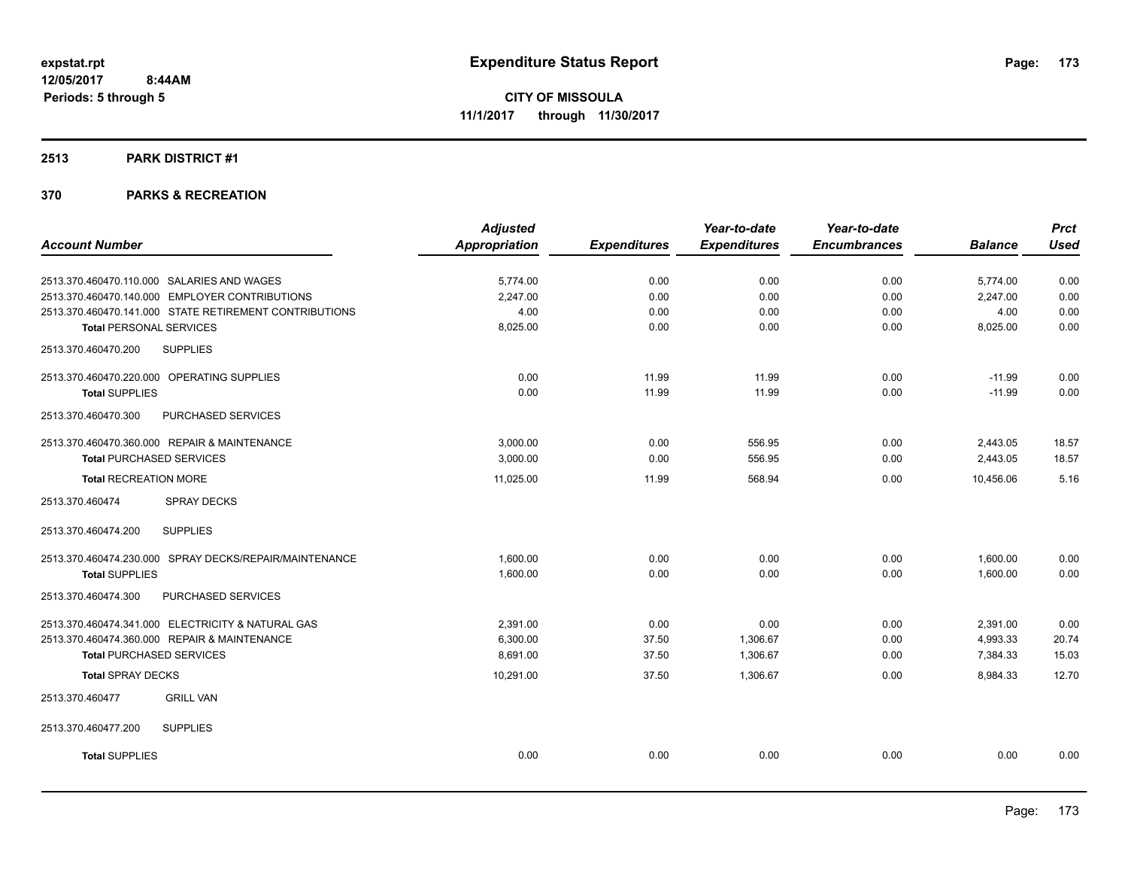#### **2513 PARK DISTRICT #1**

|                                                        | <b>Adjusted</b>      |                     | Year-to-date        | Year-to-date        |                | <b>Prct</b> |
|--------------------------------------------------------|----------------------|---------------------|---------------------|---------------------|----------------|-------------|
| <b>Account Number</b>                                  | <b>Appropriation</b> | <b>Expenditures</b> | <b>Expenditures</b> | <b>Encumbrances</b> | <b>Balance</b> | <b>Used</b> |
| 2513.370.460470.110.000 SALARIES AND WAGES             | 5,774.00             | 0.00                | 0.00                | 0.00                | 5,774.00       | 0.00        |
| 2513.370.460470.140.000 EMPLOYER CONTRIBUTIONS         | 2,247.00             | 0.00                | 0.00                | 0.00                | 2,247.00       | 0.00        |
| 2513.370.460470.141.000 STATE RETIREMENT CONTRIBUTIONS | 4.00                 | 0.00                | 0.00                | 0.00                | 4.00           | 0.00        |
| <b>Total PERSONAL SERVICES</b>                         | 8,025.00             | 0.00                | 0.00                | 0.00                | 8,025.00       | 0.00        |
| <b>SUPPLIES</b><br>2513.370.460470.200                 |                      |                     |                     |                     |                |             |
| 2513.370.460470.220.000 OPERATING SUPPLIES             | 0.00                 | 11.99               | 11.99               | 0.00                | $-11.99$       | 0.00        |
| <b>Total SUPPLIES</b>                                  | 0.00                 | 11.99               | 11.99               | 0.00                | $-11.99$       | 0.00        |
| 2513.370.460470.300<br>PURCHASED SERVICES              |                      |                     |                     |                     |                |             |
| 2513.370.460470.360.000 REPAIR & MAINTENANCE           | 3.000.00             | 0.00                | 556.95              | 0.00                | 2,443.05       | 18.57       |
| <b>Total PURCHASED SERVICES</b>                        | 3,000.00             | 0.00                | 556.95              | 0.00                | 2,443.05       | 18.57       |
| <b>Total RECREATION MORE</b>                           | 11,025.00            | 11.99               | 568.94              | 0.00                | 10,456.06      | 5.16        |
| <b>SPRAY DECKS</b><br>2513.370.460474                  |                      |                     |                     |                     |                |             |
| <b>SUPPLIES</b><br>2513.370.460474.200                 |                      |                     |                     |                     |                |             |
| 2513.370.460474.230.000 SPRAY DECKS/REPAIR/MAINTENANCE | 1,600.00             | 0.00                | 0.00                | 0.00                | 1,600.00       | 0.00        |
| <b>Total SUPPLIES</b>                                  | 1,600.00             | 0.00                | 0.00                | 0.00                | 1,600.00       | 0.00        |
| 2513.370.460474.300<br>PURCHASED SERVICES              |                      |                     |                     |                     |                |             |
| 2513.370.460474.341.000 ELECTRICITY & NATURAL GAS      | 2,391.00             | 0.00                | 0.00                | 0.00                | 2,391.00       | 0.00        |
| 2513.370.460474.360.000 REPAIR & MAINTENANCE           | 6,300.00             | 37.50               | 1,306.67            | 0.00                | 4,993.33       | 20.74       |
| Total PURCHASED SERVICES                               | 8,691.00             | 37.50               | 1,306.67            | 0.00                | 7,384.33       | 15.03       |
| <b>Total SPRAY DECKS</b>                               | 10,291.00            | 37.50               | 1,306.67            | 0.00                | 8,984.33       | 12.70       |
| <b>GRILL VAN</b><br>2513.370.460477                    |                      |                     |                     |                     |                |             |
| 2513.370.460477.200<br><b>SUPPLIES</b>                 |                      |                     |                     |                     |                |             |
| <b>Total SUPPLIES</b>                                  | 0.00                 | 0.00                | 0.00                | 0.00                | 0.00           | 0.00        |
|                                                        |                      |                     |                     |                     |                |             |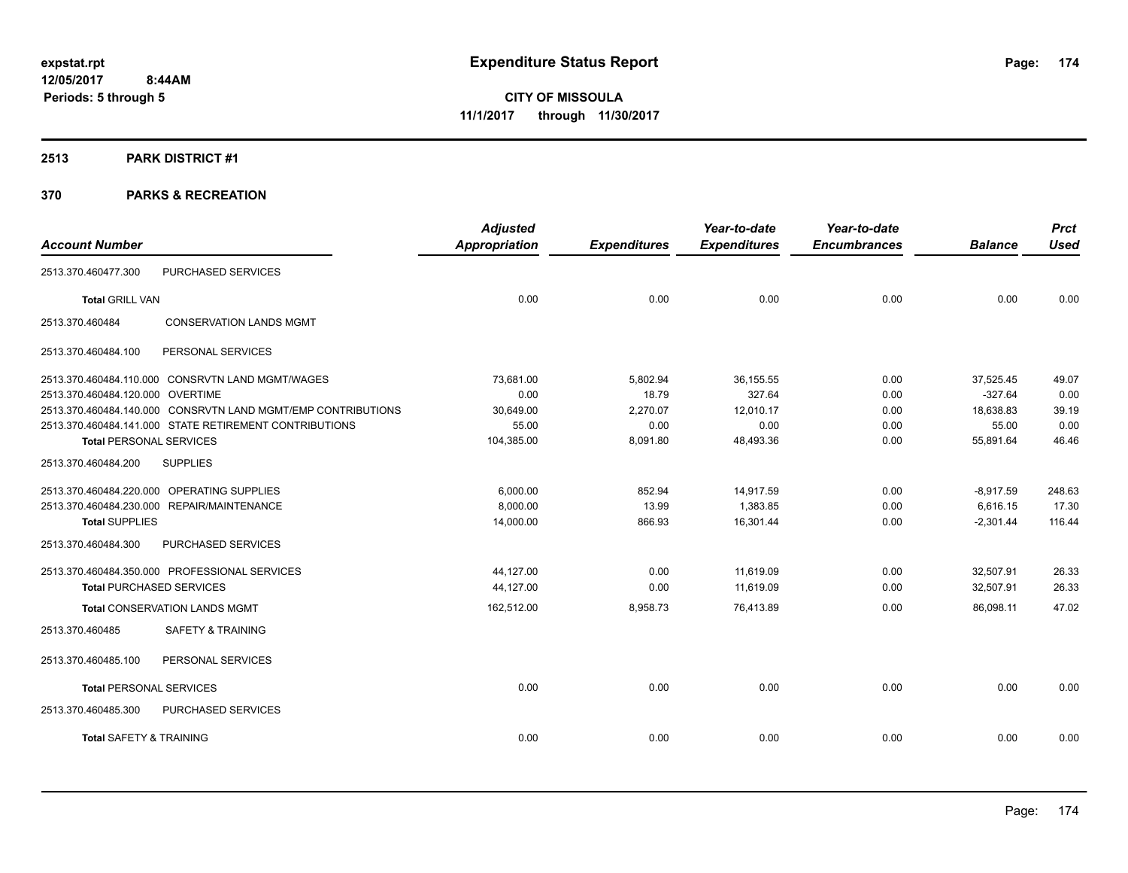#### **2513 PARK DISTRICT #1**

|                                    |                                                              | <b>Adjusted</b> |                     | Year-to-date        | Year-to-date        |                | <b>Prct</b> |
|------------------------------------|--------------------------------------------------------------|-----------------|---------------------|---------------------|---------------------|----------------|-------------|
| <b>Account Number</b>              |                                                              | Appropriation   | <b>Expenditures</b> | <b>Expenditures</b> | <b>Encumbrances</b> | <b>Balance</b> | <b>Used</b> |
| 2513.370.460477.300                | <b>PURCHASED SERVICES</b>                                    |                 |                     |                     |                     |                |             |
| <b>Total GRILL VAN</b>             |                                                              | 0.00            | 0.00                | 0.00                | 0.00                | 0.00           | 0.00        |
| 2513.370.460484                    | <b>CONSERVATION LANDS MGMT</b>                               |                 |                     |                     |                     |                |             |
| 2513.370.460484.100                | PERSONAL SERVICES                                            |                 |                     |                     |                     |                |             |
|                                    | 2513.370.460484.110.000 CONSRVTN LAND MGMT/WAGES             | 73,681.00       | 5,802.94            | 36,155.55           | 0.00                | 37,525.45      | 49.07       |
| 2513.370.460484.120.000 OVERTIME   |                                                              | 0.00            | 18.79               | 327.64              | 0.00                | $-327.64$      | 0.00        |
|                                    | 2513.370.460484.140.000 CONSRVTN LAND MGMT/EMP CONTRIBUTIONS | 30,649.00       | 2,270.07            | 12,010.17           | 0.00                | 18,638.83      | 39.19       |
|                                    | 2513.370.460484.141.000 STATE RETIREMENT CONTRIBUTIONS       | 55.00           | 0.00                | 0.00                | 0.00                | 55.00          | 0.00        |
| <b>Total PERSONAL SERVICES</b>     |                                                              | 104,385.00      | 8,091.80            | 48,493.36           | 0.00                | 55,891.64      | 46.46       |
| 2513.370.460484.200                | <b>SUPPLIES</b>                                              |                 |                     |                     |                     |                |             |
|                                    | 2513.370.460484.220.000 OPERATING SUPPLIES                   | 6,000.00        | 852.94              | 14,917.59           | 0.00                | $-8,917.59$    | 248.63      |
|                                    | 2513.370.460484.230.000 REPAIR/MAINTENANCE                   | 8,000.00        | 13.99               | 1,383.85            | 0.00                | 6,616.15       | 17.30       |
| <b>Total SUPPLIES</b>              |                                                              | 14,000.00       | 866.93              | 16,301.44           | 0.00                | $-2,301.44$    | 116.44      |
| 2513.370.460484.300                | PURCHASED SERVICES                                           |                 |                     |                     |                     |                |             |
|                                    | 2513.370.460484.350.000 PROFESSIONAL SERVICES                | 44,127.00       | 0.00                | 11,619.09           | 0.00                | 32,507.91      | 26.33       |
| <b>Total PURCHASED SERVICES</b>    |                                                              | 44,127.00       | 0.00                | 11,619.09           | 0.00                | 32,507.91      | 26.33       |
|                                    | <b>Total CONSERVATION LANDS MGMT</b>                         | 162,512.00      | 8,958.73            | 76,413.89           | 0.00                | 86,098.11      | 47.02       |
| 2513.370.460485                    | <b>SAFETY &amp; TRAINING</b>                                 |                 |                     |                     |                     |                |             |
| 2513.370.460485.100                | PERSONAL SERVICES                                            |                 |                     |                     |                     |                |             |
| <b>Total PERSONAL SERVICES</b>     |                                                              | 0.00            | 0.00                | 0.00                | 0.00                | 0.00           | 0.00        |
| 2513.370.460485.300                | PURCHASED SERVICES                                           |                 |                     |                     |                     |                |             |
| <b>Total SAFETY &amp; TRAINING</b> |                                                              | 0.00            | 0.00                | 0.00                | 0.00                | 0.00           | 0.00        |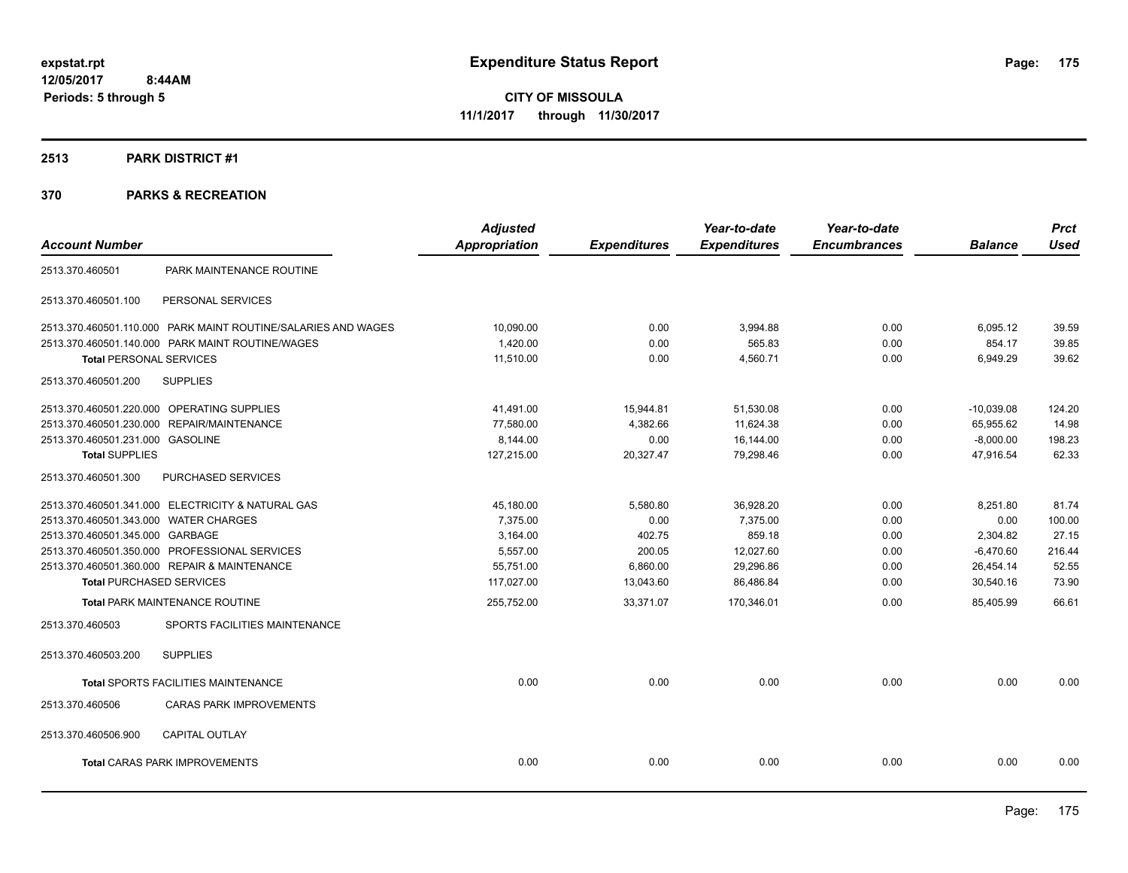# **2513 PARK DISTRICT #1**

|                                                               | <b>Adjusted</b>      |                     | Year-to-date        | Year-to-date        |                | <b>Prct</b> |
|---------------------------------------------------------------|----------------------|---------------------|---------------------|---------------------|----------------|-------------|
| <b>Account Number</b>                                         | <b>Appropriation</b> | <b>Expenditures</b> | <b>Expenditures</b> | <b>Encumbrances</b> | <b>Balance</b> | <b>Used</b> |
| PARK MAINTENANCE ROUTINE<br>2513.370.460501                   |                      |                     |                     |                     |                |             |
| 2513.370.460501.100<br>PERSONAL SERVICES                      |                      |                     |                     |                     |                |             |
| 2513.370.460501.110.000 PARK MAINT ROUTINE/SALARIES AND WAGES | 10,090.00            | 0.00                | 3,994.88            | 0.00                | 6,095.12       | 39.59       |
| 2513.370.460501.140.000 PARK MAINT ROUTINE/WAGES              | 1,420.00             | 0.00                | 565.83              | 0.00                | 854.17         | 39.85       |
| <b>Total PERSONAL SERVICES</b>                                | 11,510.00            | 0.00                | 4,560.71            | 0.00                | 6,949.29       | 39.62       |
| 2513.370.460501.200<br><b>SUPPLIES</b>                        |                      |                     |                     |                     |                |             |
| 2513.370.460501.220.000 OPERATING SUPPLIES                    | 41,491.00            | 15,944.81           | 51,530.08           | 0.00                | $-10,039.08$   | 124.20      |
| 2513.370.460501.230.000 REPAIR/MAINTENANCE                    | 77,580.00            | 4,382.66            | 11,624.38           | 0.00                | 65,955.62      | 14.98       |
| 2513.370.460501.231.000 GASOLINE                              | 8,144.00             | 0.00                | 16,144.00           | 0.00                | $-8,000.00$    | 198.23      |
| <b>Total SUPPLIES</b>                                         | 127,215.00           | 20,327.47           | 79,298.46           | 0.00                | 47,916.54      | 62.33       |
| 2513.370.460501.300<br>PURCHASED SERVICES                     |                      |                     |                     |                     |                |             |
| 2513.370.460501.341.000 ELECTRICITY & NATURAL GAS             | 45,180.00            | 5,580.80            | 36,928.20           | 0.00                | 8,251.80       | 81.74       |
| 2513.370.460501.343.000 WATER CHARGES                         | 7,375.00             | 0.00                | 7,375.00            | 0.00                | 0.00           | 100.00      |
| 2513.370.460501.345.000 GARBAGE                               | 3,164.00             | 402.75              | 859.18              | 0.00                | 2,304.82       | 27.15       |
| 2513.370.460501.350.000 PROFESSIONAL SERVICES                 | 5,557.00             | 200.05              | 12,027.60           | 0.00                | $-6,470.60$    | 216.44      |
| 2513.370.460501.360.000 REPAIR & MAINTENANCE                  | 55,751.00            | 6,860.00            | 29,296.86           | 0.00                | 26,454.14      | 52.55       |
| <b>Total PURCHASED SERVICES</b>                               | 117,027.00           | 13,043.60           | 86,486.84           | 0.00                | 30,540.16      | 73.90       |
| <b>Total PARK MAINTENANCE ROUTINE</b>                         | 255,752.00           | 33,371.07           | 170,346.01          | 0.00                | 85,405.99      | 66.61       |
| SPORTS FACILITIES MAINTENANCE<br>2513.370.460503              |                      |                     |                     |                     |                |             |
| <b>SUPPLIES</b><br>2513.370.460503.200                        |                      |                     |                     |                     |                |             |
| <b>Total SPORTS FACILITIES MAINTENANCE</b>                    | 0.00                 | 0.00                | 0.00                | 0.00                | 0.00           | 0.00        |
| 2513.370.460506<br><b>CARAS PARK IMPROVEMENTS</b>             |                      |                     |                     |                     |                |             |
| 2513.370.460506.900<br><b>CAPITAL OUTLAY</b>                  |                      |                     |                     |                     |                |             |
| <b>Total CARAS PARK IMPROVEMENTS</b>                          | 0.00                 | 0.00                | 0.00                | 0.00                | 0.00           | 0.00        |
|                                                               |                      |                     |                     |                     |                |             |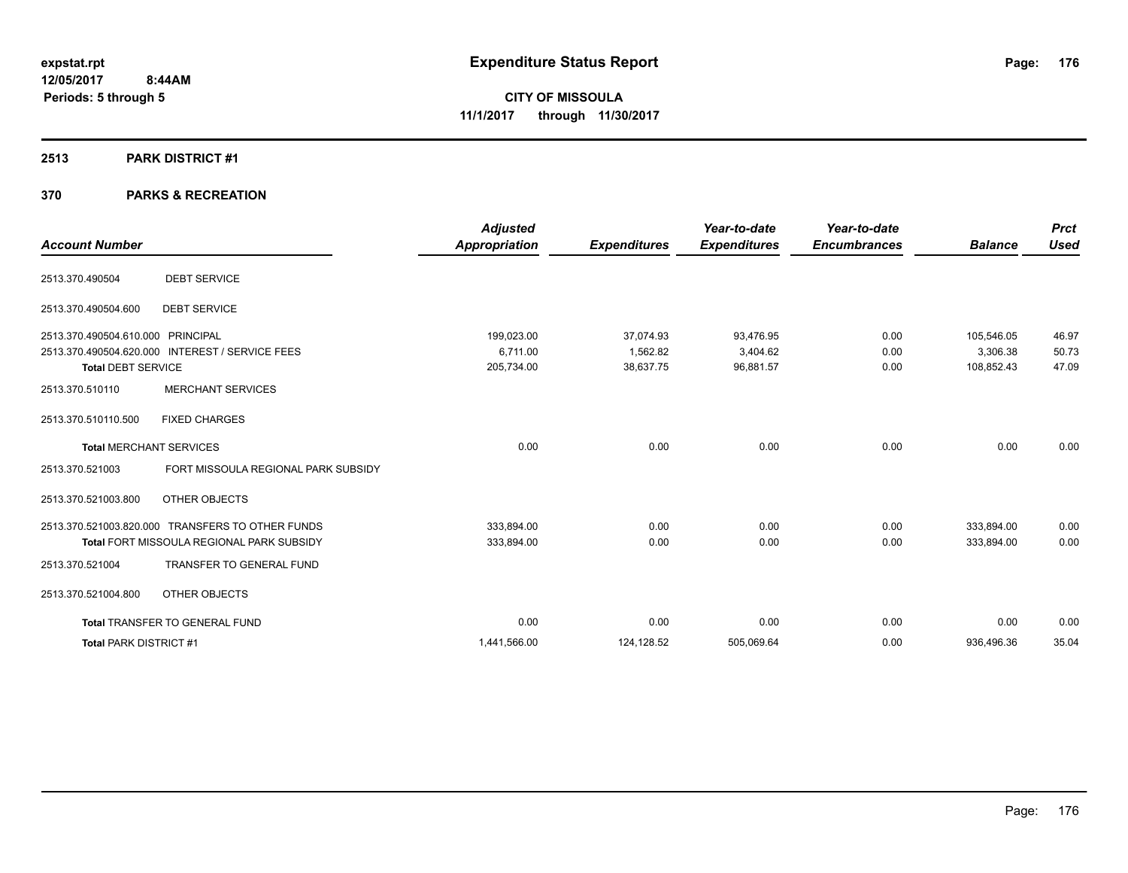### **2513 PARK DISTRICT #1**

| <b>Account Number</b>                                                                                                                                                                | <b>Adjusted</b><br><b>Appropriation</b> | <b>Expenditures</b>                | Year-to-date<br><b>Expenditures</b> | Year-to-date<br><b>Encumbrances</b> | <b>Balance</b>                       | <b>Prct</b><br><b>Used</b> |
|--------------------------------------------------------------------------------------------------------------------------------------------------------------------------------------|-----------------------------------------|------------------------------------|-------------------------------------|-------------------------------------|--------------------------------------|----------------------------|
| <b>DEBT SERVICE</b><br>2513.370.490504                                                                                                                                               |                                         |                                    |                                     |                                     |                                      |                            |
| <b>DEBT SERVICE</b><br>2513.370.490504.600                                                                                                                                           |                                         |                                    |                                     |                                     |                                      |                            |
| <b>PRINCIPAL</b><br>2513.370.490504.610.000<br>2513.370.490504.620.000<br><b>INTEREST / SERVICE FEES</b><br><b>Total DEBT SERVICE</b><br><b>MERCHANT SERVICES</b><br>2513.370.510110 | 199,023.00<br>6.711.00<br>205,734.00    | 37,074.93<br>1.562.82<br>38,637.75 | 93,476.95<br>3,404.62<br>96,881.57  | 0.00<br>0.00<br>0.00                | 105,546.05<br>3.306.38<br>108,852.43 | 46.97<br>50.73<br>47.09    |
| <b>FIXED CHARGES</b><br>2513.370.510110.500                                                                                                                                          |                                         |                                    |                                     |                                     |                                      |                            |
| <b>Total MERCHANT SERVICES</b><br>FORT MISSOULA REGIONAL PARK SUBSIDY<br>2513.370.521003                                                                                             | 0.00                                    | 0.00                               | 0.00                                | 0.00                                | 0.00                                 | 0.00                       |
| OTHER OBJECTS<br>2513.370.521003.800                                                                                                                                                 |                                         |                                    |                                     |                                     |                                      |                            |
| 2513.370.521003.820.000 TRANSFERS TO OTHER FUNDS<br>Total FORT MISSOULA REGIONAL PARK SUBSIDY                                                                                        | 333,894.00<br>333,894.00                | 0.00<br>0.00                       | 0.00<br>0.00                        | 0.00<br>0.00                        | 333.894.00<br>333,894.00             | 0.00<br>0.00               |
| 2513.370.521004<br>TRANSFER TO GENERAL FUND                                                                                                                                          |                                         |                                    |                                     |                                     |                                      |                            |
| 2513.370.521004.800<br><b>OTHER OBJECTS</b>                                                                                                                                          |                                         |                                    |                                     |                                     |                                      |                            |
| <b>Total TRANSFER TO GENERAL FUND</b>                                                                                                                                                | 0.00                                    | 0.00                               | 0.00                                | 0.00                                | 0.00                                 | 0.00                       |
| <b>Total PARK DISTRICT #1</b>                                                                                                                                                        | 1,441,566.00                            | 124,128.52                         | 505,069.64                          | 0.00                                | 936,496.36                           | 35.04                      |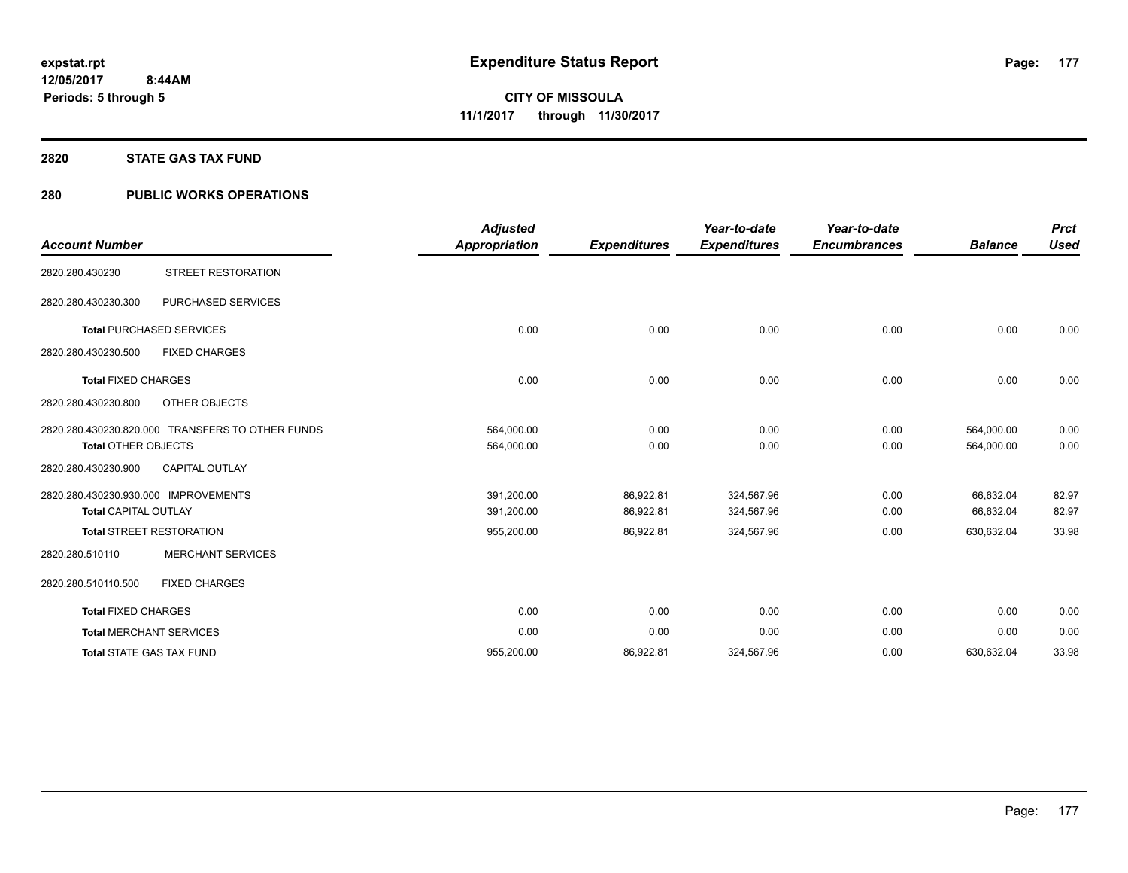# **2820 STATE GAS TAX FUND**

# **280 PUBLIC WORKS OPERATIONS**

| <b>Account Number</b>                                               |                                                  | <b>Adjusted</b><br><b>Appropriation</b> | <b>Expenditures</b>    | Year-to-date<br><b>Expenditures</b> | Year-to-date<br><b>Encumbrances</b> | <b>Balance</b>           | <b>Prct</b><br><b>Used</b> |
|---------------------------------------------------------------------|--------------------------------------------------|-----------------------------------------|------------------------|-------------------------------------|-------------------------------------|--------------------------|----------------------------|
| 2820.280.430230                                                     | <b>STREET RESTORATION</b>                        |                                         |                        |                                     |                                     |                          |                            |
| 2820.280.430230.300                                                 | PURCHASED SERVICES                               |                                         |                        |                                     |                                     |                          |                            |
|                                                                     | <b>Total PURCHASED SERVICES</b>                  | 0.00                                    | 0.00                   | 0.00                                | 0.00                                | 0.00                     | 0.00                       |
| 2820.280.430230.500                                                 | <b>FIXED CHARGES</b>                             |                                         |                        |                                     |                                     |                          |                            |
| <b>Total FIXED CHARGES</b>                                          |                                                  | 0.00                                    | 0.00                   | 0.00                                | 0.00                                | 0.00                     | 0.00                       |
| 2820.280.430230.800                                                 | OTHER OBJECTS                                    |                                         |                        |                                     |                                     |                          |                            |
| <b>Total OTHER OBJECTS</b>                                          | 2820.280.430230.820.000 TRANSFERS TO OTHER FUNDS | 564,000.00<br>564,000.00                | 0.00<br>0.00           | 0.00<br>0.00                        | 0.00<br>0.00                        | 564,000.00<br>564,000.00 | 0.00<br>0.00               |
| 2820.280.430230.900                                                 | <b>CAPITAL OUTLAY</b>                            |                                         |                        |                                     |                                     |                          |                            |
| 2820.280.430230.930.000 IMPROVEMENTS<br><b>Total CAPITAL OUTLAY</b> |                                                  | 391,200.00<br>391,200.00                | 86,922.81<br>86,922.81 | 324,567.96<br>324,567.96            | 0.00<br>0.00                        | 66,632.04<br>66,632.04   | 82.97<br>82.97             |
|                                                                     | <b>Total STREET RESTORATION</b>                  | 955,200.00                              | 86,922.81              | 324,567.96                          | 0.00                                | 630,632.04               | 33.98                      |
| 2820.280.510110                                                     | <b>MERCHANT SERVICES</b>                         |                                         |                        |                                     |                                     |                          |                            |
| 2820.280.510110.500                                                 | <b>FIXED CHARGES</b>                             |                                         |                        |                                     |                                     |                          |                            |
| <b>Total FIXED CHARGES</b>                                          |                                                  | 0.00                                    | 0.00                   | 0.00                                | 0.00                                | 0.00                     | 0.00                       |
|                                                                     | <b>Total MERCHANT SERVICES</b>                   | 0.00                                    | 0.00                   | 0.00                                | 0.00                                | 0.00                     | 0.00                       |
|                                                                     | <b>Total STATE GAS TAX FUND</b>                  | 955,200.00                              | 86,922.81              | 324,567.96                          | 0.00                                | 630,632.04               | 33.98                      |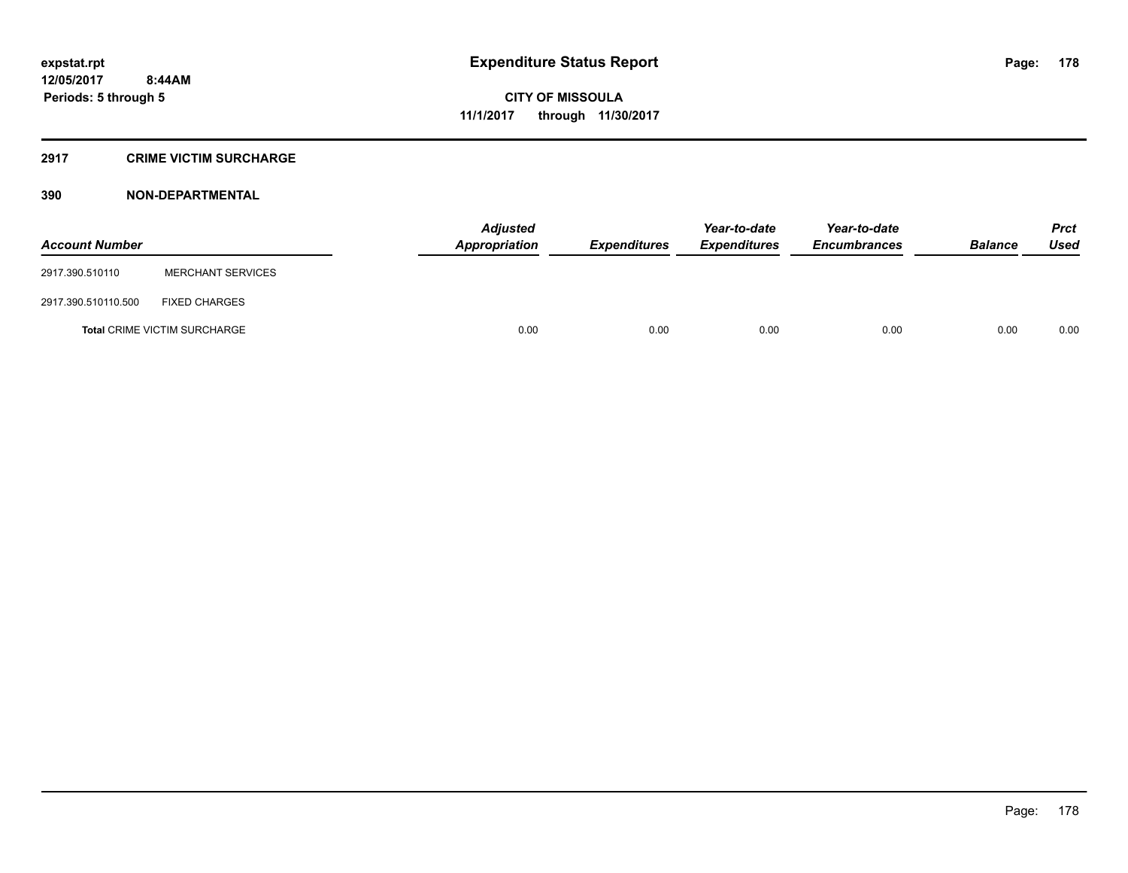# **2917 CRIME VICTIM SURCHARGE**

| <b>Account Number</b> |                                     | Adjusted<br><b>Appropriation</b> | <b>Expenditures</b> | Year-to-date<br><b>Expenditures</b> | Year-to-date<br><b>Encumbrances</b> | <b>Balance</b> | <b>Prct</b><br><b>Used</b> |
|-----------------------|-------------------------------------|----------------------------------|---------------------|-------------------------------------|-------------------------------------|----------------|----------------------------|
| 2917.390.510110       | <b>MERCHANT SERVICES</b>            |                                  |                     |                                     |                                     |                |                            |
| 2917.390.510110.500   | <b>FIXED CHARGES</b>                |                                  |                     |                                     |                                     |                |                            |
|                       | <b>Total CRIME VICTIM SURCHARGE</b> | 0.00                             | 0.00                | 0.00                                | 0.00                                | 0.00           | 0.00                       |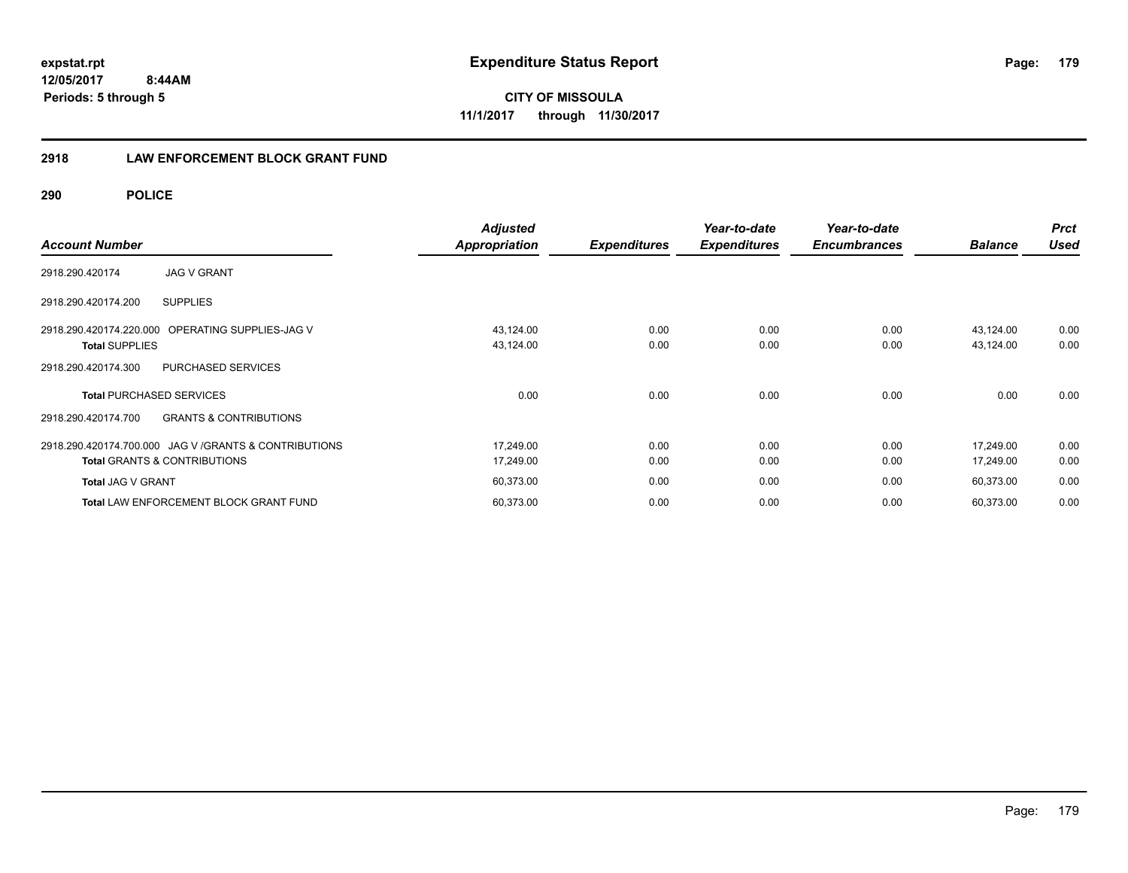**12/05/2017 8:44AM Periods: 5 through 5**

**CITY OF MISSOULA 11/1/2017 through 11/30/2017**

# **2918 LAW ENFORCEMENT BLOCK GRANT FUND**

**290 POLICE**

| <b>Account Number</b>                                    | <b>Adjusted</b><br><b>Appropriation</b> | <b>Expenditures</b> | Year-to-date<br><b>Expenditures</b> | Year-to-date<br><b>Encumbrances</b> | <b>Balance</b> | <b>Prct</b><br>Used |
|----------------------------------------------------------|-----------------------------------------|---------------------|-------------------------------------|-------------------------------------|----------------|---------------------|
| <b>JAG V GRANT</b><br>2918.290.420174                    |                                         |                     |                                     |                                     |                |                     |
| <b>SUPPLIES</b><br>2918.290.420174.200                   |                                         |                     |                                     |                                     |                |                     |
| OPERATING SUPPLIES-JAG V<br>2918.290.420174.220.000      | 43,124.00                               | 0.00                | 0.00                                | 0.00                                | 43,124.00      | 0.00                |
| <b>Total SUPPLIES</b>                                    | 43,124.00                               | 0.00                | 0.00                                | 0.00                                | 43,124.00      | 0.00                |
| PURCHASED SERVICES<br>2918.290.420174.300                |                                         |                     |                                     |                                     |                |                     |
| <b>Total PURCHASED SERVICES</b>                          | 0.00                                    | 0.00                | 0.00                                | 0.00                                | 0.00           | 0.00                |
| <b>GRANTS &amp; CONTRIBUTIONS</b><br>2918.290.420174.700 |                                         |                     |                                     |                                     |                |                     |
| 2918.290.420174.700.000 JAG V / GRANTS & CONTRIBUTIONS   | 17,249.00                               | 0.00                | 0.00                                | 0.00                                | 17,249.00      | 0.00                |
| <b>Total GRANTS &amp; CONTRIBUTIONS</b>                  | 17,249.00                               | 0.00                | 0.00                                | 0.00                                | 17,249.00      | 0.00                |
| <b>Total JAG V GRANT</b>                                 | 60,373.00                               | 0.00                | 0.00                                | 0.00                                | 60,373.00      | 0.00                |
| <b>Total LAW ENFORCEMENT BLOCK GRANT FUND</b>            | 60,373.00                               | 0.00                | 0.00                                | 0.00                                | 60,373.00      | 0.00                |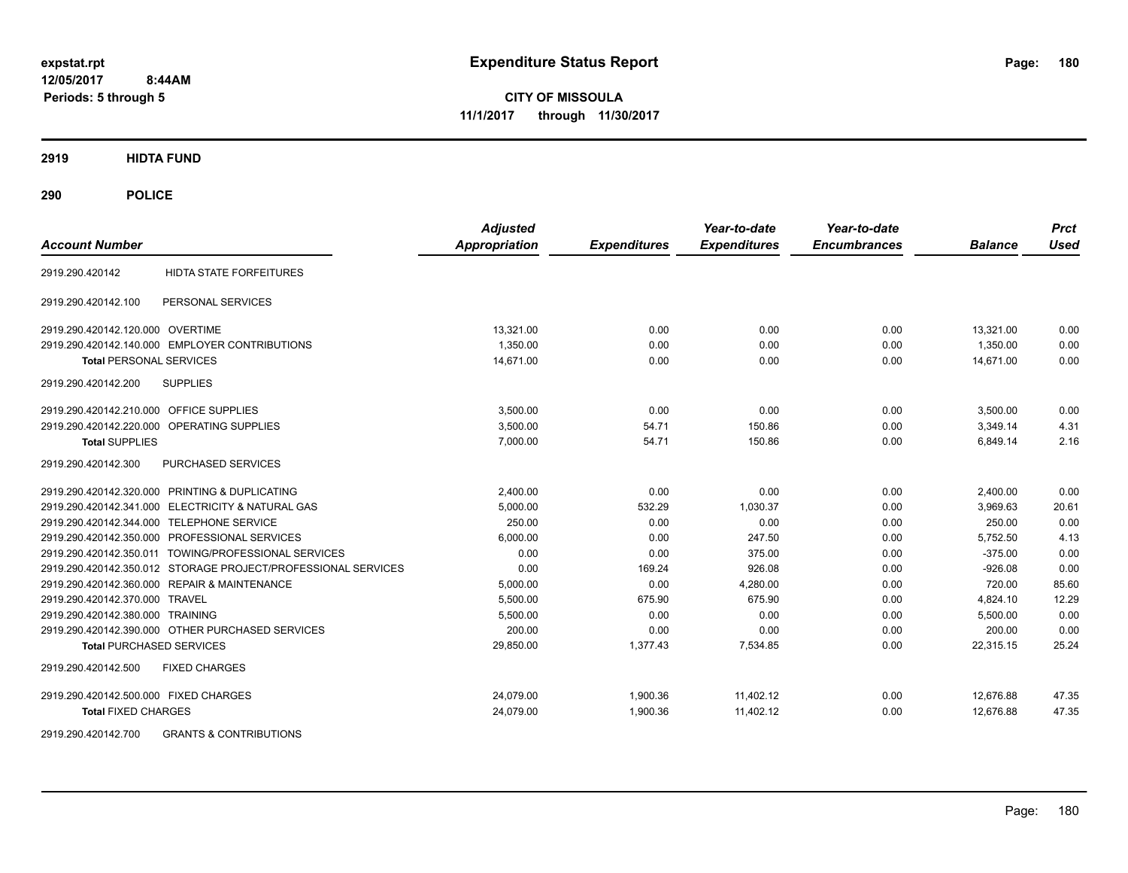**12/05/2017 8:44AM Periods: 5 through 5**

**CITY OF MISSOULA 11/1/2017 through 11/30/2017**

**2919 HIDTA FUND**

**290 POLICE**

| <b>Account Number</b>                     |                                                               | <b>Adjusted</b><br><b>Appropriation</b> | <b>Expenditures</b> | Year-to-date<br><b>Expenditures</b> | Year-to-date<br><b>Encumbrances</b> | <b>Balance</b> | <b>Prct</b><br><b>Used</b> |
|-------------------------------------------|---------------------------------------------------------------|-----------------------------------------|---------------------|-------------------------------------|-------------------------------------|----------------|----------------------------|
| 2919.290.420142                           | <b>HIDTA STATE FORFEITURES</b>                                |                                         |                     |                                     |                                     |                |                            |
| 2919.290.420142.100                       | PERSONAL SERVICES                                             |                                         |                     |                                     |                                     |                |                            |
| 2919.290.420142.120.000 OVERTIME          |                                                               | 13.321.00                               | 0.00                | 0.00                                | 0.00                                | 13.321.00      | 0.00                       |
|                                           | 2919.290.420142.140.000 EMPLOYER CONTRIBUTIONS                | 1.350.00                                | 0.00                | 0.00                                | 0.00                                | 1.350.00       | 0.00                       |
| <b>Total PERSONAL SERVICES</b>            |                                                               | 14,671.00                               | 0.00                | 0.00                                | 0.00                                | 14,671.00      | 0.00                       |
| 2919.290.420142.200                       | <b>SUPPLIES</b>                                               |                                         |                     |                                     |                                     |                |                            |
| 2919.290.420142.210.000 OFFICE SUPPLIES   |                                                               | 3,500.00                                | 0.00                | 0.00                                | 0.00                                | 3,500.00       | 0.00                       |
|                                           | 2919.290.420142.220.000 OPERATING SUPPLIES                    | 3.500.00                                | 54.71               | 150.86                              | 0.00                                | 3.349.14       | 4.31                       |
| <b>Total SUPPLIES</b>                     |                                                               | 7,000.00                                | 54.71               | 150.86                              | 0.00                                | 6,849.14       | 2.16                       |
| 2919.290.420142.300                       | PURCHASED SERVICES                                            |                                         |                     |                                     |                                     |                |                            |
|                                           | 2919.290.420142.320.000 PRINTING & DUPLICATING                | 2,400.00                                | 0.00                | 0.00                                | 0.00                                | 2,400.00       | 0.00                       |
|                                           | 2919.290.420142.341.000 ELECTRICITY & NATURAL GAS             | 5,000.00                                | 532.29              | 1,030.37                            | 0.00                                | 3,969.63       | 20.61                      |
| 2919.290.420142.344.000 TELEPHONE SERVICE |                                                               | 250.00                                  | 0.00                | 0.00                                | 0.00                                | 250.00         | 0.00                       |
|                                           | 2919.290.420142.350.000 PROFESSIONAL SERVICES                 | 6.000.00                                | 0.00                | 247.50                              | 0.00                                | 5,752.50       | 4.13                       |
|                                           | 2919.290.420142.350.011 TOWING/PROFESSIONAL SERVICES          | 0.00                                    | 0.00                | 375.00                              | 0.00                                | $-375.00$      | 0.00                       |
|                                           | 2919.290.420142.350.012 STORAGE PROJECT/PROFESSIONAL SERVICES | 0.00                                    | 169.24              | 926.08                              | 0.00                                | $-926.08$      | 0.00                       |
|                                           | 2919.290.420142.360.000 REPAIR & MAINTENANCE                  | 5,000.00                                | 0.00                | 4.280.00                            | 0.00                                | 720.00         | 85.60                      |
| 2919.290.420142.370.000 TRAVEL            |                                                               | 5,500.00                                | 675.90              | 675.90                              | 0.00                                | 4,824.10       | 12.29                      |
| 2919.290.420142.380.000 TRAINING          |                                                               | 5,500.00                                | 0.00                | 0.00                                | 0.00                                | 5,500.00       | 0.00                       |
|                                           | 2919.290.420142.390.000 OTHER PURCHASED SERVICES              | 200.00                                  | 0.00                | 0.00                                | 0.00                                | 200.00         | 0.00                       |
| <b>Total PURCHASED SERVICES</b>           |                                                               | 29,850.00                               | 1,377.43            | 7,534.85                            | 0.00                                | 22,315.15      | 25.24                      |
| 2919.290.420142.500                       | <b>FIXED CHARGES</b>                                          |                                         |                     |                                     |                                     |                |                            |
| 2919.290.420142.500.000 FIXED CHARGES     |                                                               | 24.079.00                               | 1.900.36            | 11.402.12                           | 0.00                                | 12.676.88      | 47.35                      |
| <b>Total FIXED CHARGES</b>                |                                                               | 24,079.00                               | 1,900.36            | 11,402.12                           | 0.00                                | 12,676.88      | 47.35                      |

2919.290.420142.700 GRANTS & CONTRIBUTIONS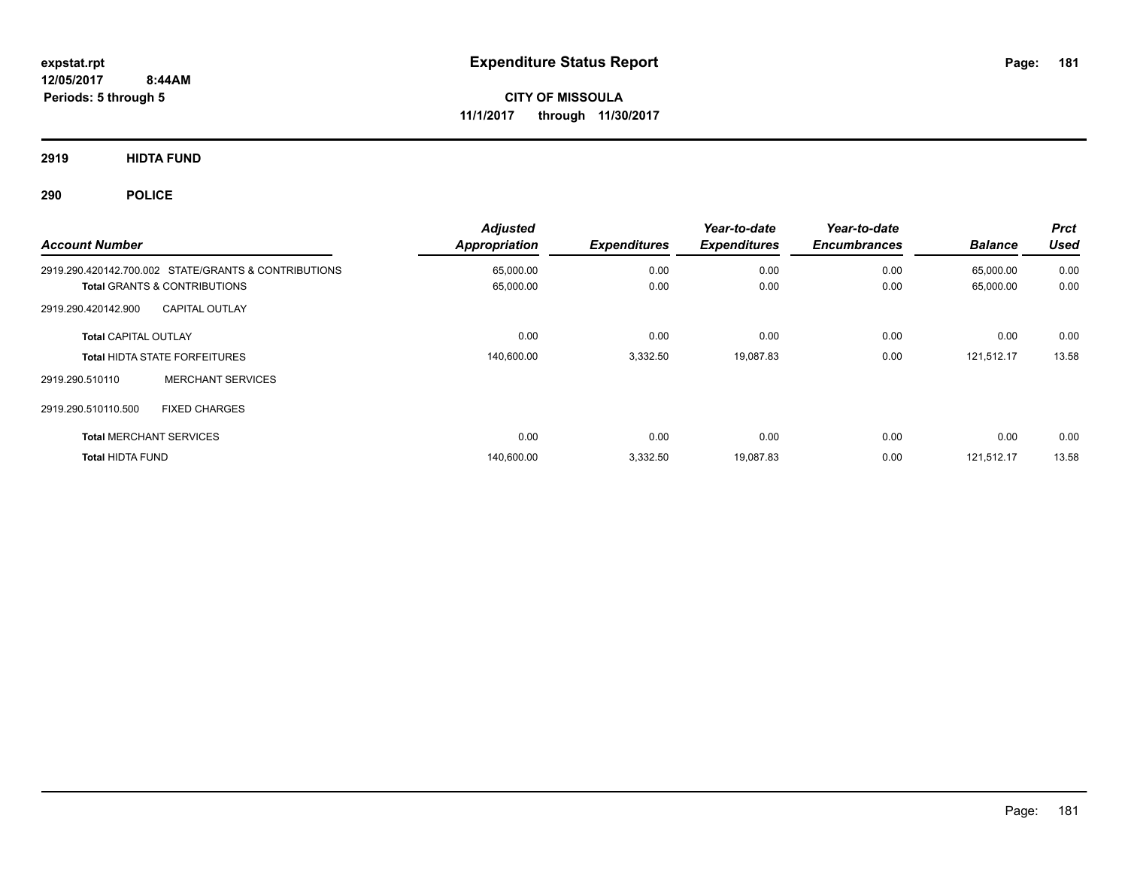**12/05/2017 8:44AM Periods: 5 through 5**

**CITY OF MISSOULA 11/1/2017 through 11/30/2017**

**2919 HIDTA FUND**

| <b>Account Number</b>          |                                                      | <b>Adjusted</b><br><b>Appropriation</b> | <b>Expenditures</b> | Year-to-date<br><b>Expenditures</b> | Year-to-date<br><b>Encumbrances</b> | <b>Balance</b> | <b>Prct</b><br><b>Used</b> |
|--------------------------------|------------------------------------------------------|-----------------------------------------|---------------------|-------------------------------------|-------------------------------------|----------------|----------------------------|
|                                | 2919.290.420142.700.002 STATE/GRANTS & CONTRIBUTIONS | 65,000.00                               | 0.00                | 0.00                                | 0.00                                | 65,000.00      | 0.00                       |
|                                | <b>Total GRANTS &amp; CONTRIBUTIONS</b>              | 65,000.00                               | 0.00                | 0.00                                | 0.00                                | 65,000.00      | 0.00                       |
| 2919.290.420142.900            | <b>CAPITAL OUTLAY</b>                                |                                         |                     |                                     |                                     |                |                            |
| <b>Total CAPITAL OUTLAY</b>    |                                                      | 0.00                                    | 0.00                | 0.00                                | 0.00                                | 0.00           | 0.00                       |
|                                | <b>Total HIDTA STATE FORFEITURES</b>                 | 140,600.00                              | 3,332.50            | 19,087.83                           | 0.00                                | 121,512.17     | 13.58                      |
| 2919.290.510110                | <b>MERCHANT SERVICES</b>                             |                                         |                     |                                     |                                     |                |                            |
| 2919.290.510110.500            | <b>FIXED CHARGES</b>                                 |                                         |                     |                                     |                                     |                |                            |
| <b>Total MERCHANT SERVICES</b> |                                                      | 0.00                                    | 0.00                | 0.00                                | 0.00                                | 0.00           | 0.00                       |
| <b>Total HIDTA FUND</b>        |                                                      | 140,600.00                              | 3.332.50            | 19,087.83                           | 0.00                                | 121.512.17     | 13.58                      |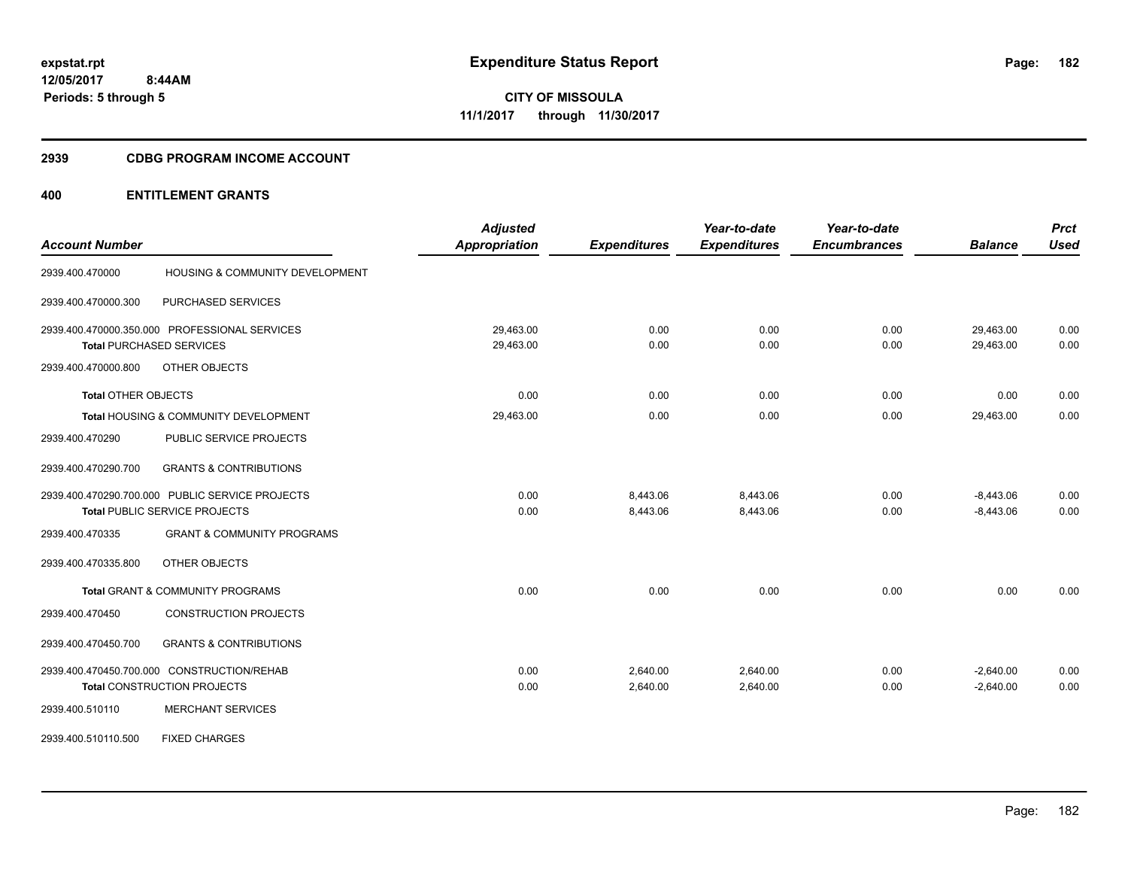#### **2939 CDBG PROGRAM INCOME ACCOUNT**

|                            |                                                 | <b>Adjusted</b> |                     | Year-to-date        | Year-to-date        |                | <b>Prct</b> |
|----------------------------|-------------------------------------------------|-----------------|---------------------|---------------------|---------------------|----------------|-------------|
| <b>Account Number</b>      |                                                 | Appropriation   | <b>Expenditures</b> | <b>Expenditures</b> | <b>Encumbrances</b> | <b>Balance</b> | <b>Used</b> |
| 2939.400.470000            | <b>HOUSING &amp; COMMUNITY DEVELOPMENT</b>      |                 |                     |                     |                     |                |             |
| 2939.400.470000.300        | PURCHASED SERVICES                              |                 |                     |                     |                     |                |             |
|                            | 2939.400.470000.350.000 PROFESSIONAL SERVICES   | 29,463.00       | 0.00                | 0.00                | 0.00                | 29,463.00      | 0.00        |
|                            | <b>Total PURCHASED SERVICES</b>                 | 29,463.00       | 0.00                | 0.00                | 0.00                | 29,463.00      | 0.00        |
| 2939.400.470000.800        | OTHER OBJECTS                                   |                 |                     |                     |                     |                |             |
| <b>Total OTHER OBJECTS</b> |                                                 | 0.00            | 0.00                | 0.00                | 0.00                | 0.00           | 0.00        |
|                            | Total HOUSING & COMMUNITY DEVELOPMENT           | 29,463.00       | 0.00                | 0.00                | 0.00                | 29,463.00      | 0.00        |
| 2939.400.470290            | PUBLIC SERVICE PROJECTS                         |                 |                     |                     |                     |                |             |
| 2939.400.470290.700        | <b>GRANTS &amp; CONTRIBUTIONS</b>               |                 |                     |                     |                     |                |             |
|                            | 2939.400.470290.700.000 PUBLIC SERVICE PROJECTS | 0.00            | 8,443.06            | 8,443.06            | 0.00                | $-8,443.06$    | 0.00        |
|                            | Total PUBLIC SERVICE PROJECTS                   | 0.00            | 8,443.06            | 8,443.06            | 0.00                | $-8,443.06$    | 0.00        |
| 2939.400.470335            | <b>GRANT &amp; COMMUNITY PROGRAMS</b>           |                 |                     |                     |                     |                |             |
| 2939.400.470335.800        | OTHER OBJECTS                                   |                 |                     |                     |                     |                |             |
|                            | Total GRANT & COMMUNITY PROGRAMS                | 0.00            | 0.00                | 0.00                | 0.00                | 0.00           | 0.00        |
| 2939.400.470450            | <b>CONSTRUCTION PROJECTS</b>                    |                 |                     |                     |                     |                |             |
| 2939.400.470450.700        | <b>GRANTS &amp; CONTRIBUTIONS</b>               |                 |                     |                     |                     |                |             |
|                            | 2939.400.470450.700.000 CONSTRUCTION/REHAB      | 0.00            | 2,640.00            | 2.640.00            | 0.00                | $-2,640.00$    | 0.00        |
|                            | <b>Total CONSTRUCTION PROJECTS</b>              | 0.00            | 2,640.00            | 2,640.00            | 0.00                | $-2,640.00$    | 0.00        |
| 2939.400.510110            | <b>MERCHANT SERVICES</b>                        |                 |                     |                     |                     |                |             |
| 2939.400.510110.500        | <b>FIXED CHARGES</b>                            |                 |                     |                     |                     |                |             |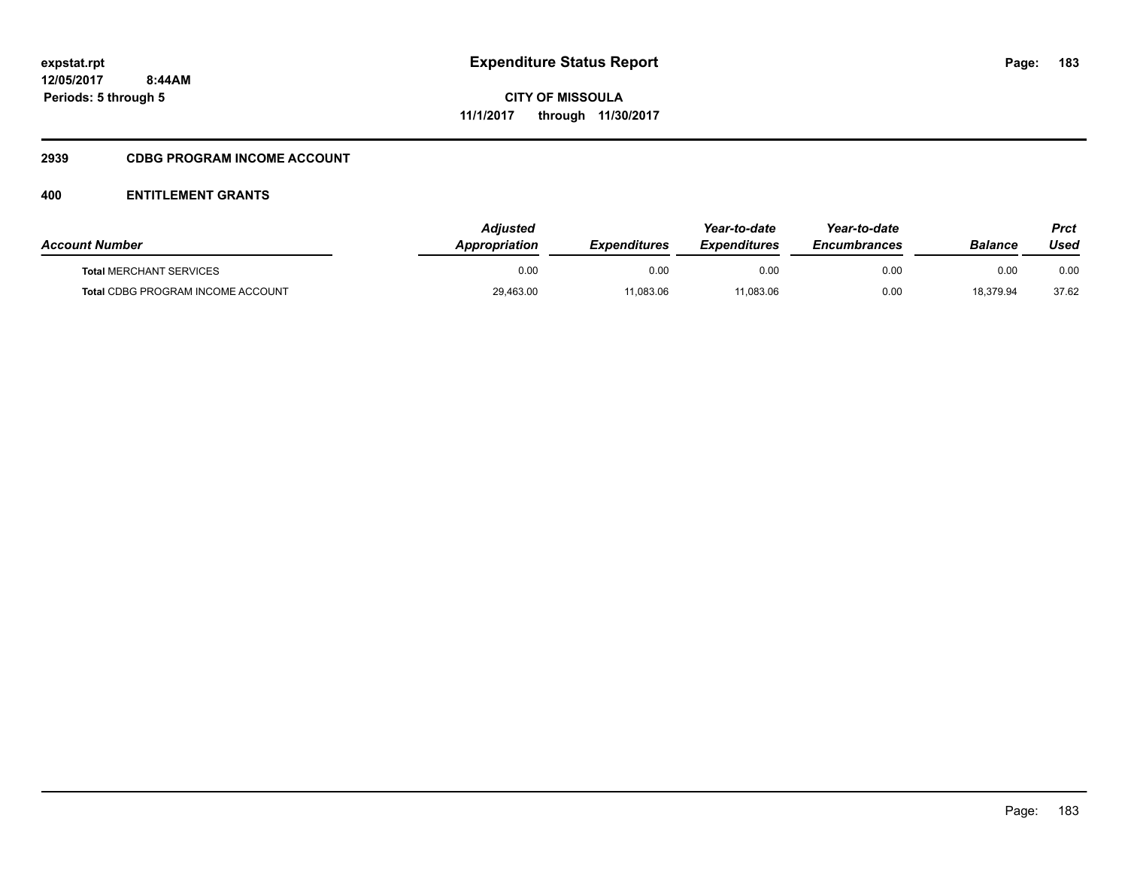# **2939 CDBG PROGRAM INCOME ACCOUNT**

| <b>Account Number</b>                    | Adiusted<br>Appropriation | <b>Expenditures</b> | Year-to-date<br><b>Expenditures</b> | Year-to-date<br><i><b>Encumbrances</b></i> | Balance   | Prct<br>Used |
|------------------------------------------|---------------------------|---------------------|-------------------------------------|--------------------------------------------|-----------|--------------|
| <b>Total MERCHANT SERVICES</b>           | 0.00                      | 0.00                | 0.00                                | 0.00                                       | 0.00      | 0.00         |
| <b>Total CDBG PROGRAM INCOME ACCOUNT</b> | 29,463.00                 | 11,083.06           | 11,083.06                           | 0.00                                       | 18.379.94 | 37.62        |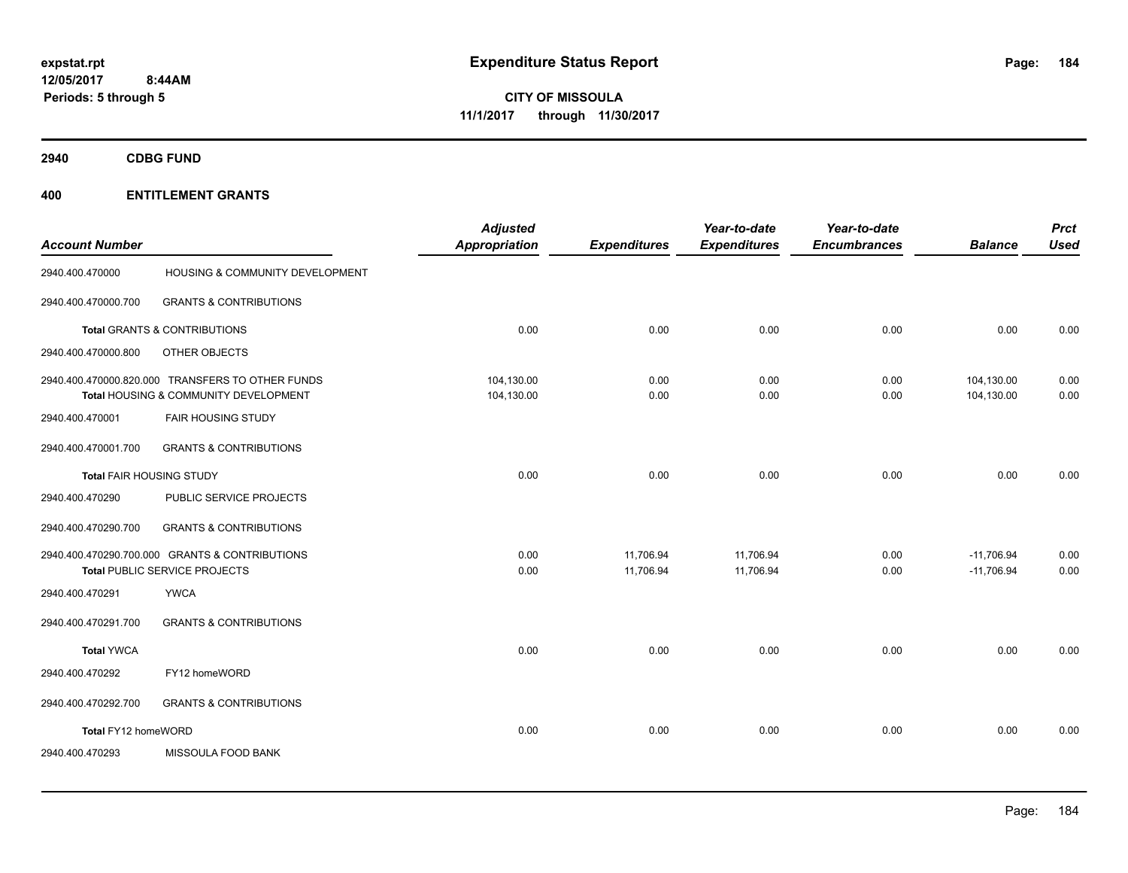**2940 CDBG FUND**

|                          |                                                  | <b>Adjusted</b>      |                     | Year-to-date        | Year-to-date        |                | <b>Prct</b> |
|--------------------------|--------------------------------------------------|----------------------|---------------------|---------------------|---------------------|----------------|-------------|
| <b>Account Number</b>    |                                                  | <b>Appropriation</b> | <b>Expenditures</b> | <b>Expenditures</b> | <b>Encumbrances</b> | <b>Balance</b> | <b>Used</b> |
| 2940.400.470000          | HOUSING & COMMUNITY DEVELOPMENT                  |                      |                     |                     |                     |                |             |
| 2940.400.470000.700      | <b>GRANTS &amp; CONTRIBUTIONS</b>                |                      |                     |                     |                     |                |             |
|                          | Total GRANTS & CONTRIBUTIONS                     | 0.00                 | 0.00                | 0.00                | 0.00                | 0.00           | 0.00        |
| 2940.400.470000.800      | OTHER OBJECTS                                    |                      |                     |                     |                     |                |             |
|                          | 2940.400.470000.820.000 TRANSFERS TO OTHER FUNDS | 104,130.00           | 0.00                | 0.00                | 0.00                | 104,130.00     | 0.00        |
|                          | Total HOUSING & COMMUNITY DEVELOPMENT            | 104,130.00           | 0.00                | 0.00                | 0.00                | 104,130.00     | 0.00        |
| 2940.400.470001          | <b>FAIR HOUSING STUDY</b>                        |                      |                     |                     |                     |                |             |
| 2940.400.470001.700      | <b>GRANTS &amp; CONTRIBUTIONS</b>                |                      |                     |                     |                     |                |             |
| Total FAIR HOUSING STUDY |                                                  | 0.00                 | 0.00                | 0.00                | 0.00                | 0.00           | 0.00        |
| 2940.400.470290          | PUBLIC SERVICE PROJECTS                          |                      |                     |                     |                     |                |             |
| 2940.400.470290.700      | <b>GRANTS &amp; CONTRIBUTIONS</b>                |                      |                     |                     |                     |                |             |
|                          | 2940.400.470290.700.000 GRANTS & CONTRIBUTIONS   | 0.00                 | 11,706.94           | 11,706.94           | 0.00                | $-11,706.94$   | 0.00        |
|                          | Total PUBLIC SERVICE PROJECTS                    | 0.00                 | 11,706.94           | 11,706.94           | 0.00                | $-11,706.94$   | 0.00        |
| 2940.400.470291          | <b>YWCA</b>                                      |                      |                     |                     |                     |                |             |
| 2940.400.470291.700      | <b>GRANTS &amp; CONTRIBUTIONS</b>                |                      |                     |                     |                     |                |             |
| <b>Total YWCA</b>        |                                                  | 0.00                 | 0.00                | 0.00                | 0.00                | 0.00           | 0.00        |
| 2940.400.470292          | FY12 homeWORD                                    |                      |                     |                     |                     |                |             |
| 2940.400.470292.700      | <b>GRANTS &amp; CONTRIBUTIONS</b>                |                      |                     |                     |                     |                |             |
| Total FY12 homeWORD      |                                                  | 0.00                 | 0.00                | 0.00                | 0.00                | 0.00           | 0.00        |
| 2940.400.470293          | MISSOULA FOOD BANK                               |                      |                     |                     |                     |                |             |
|                          |                                                  |                      |                     |                     |                     |                |             |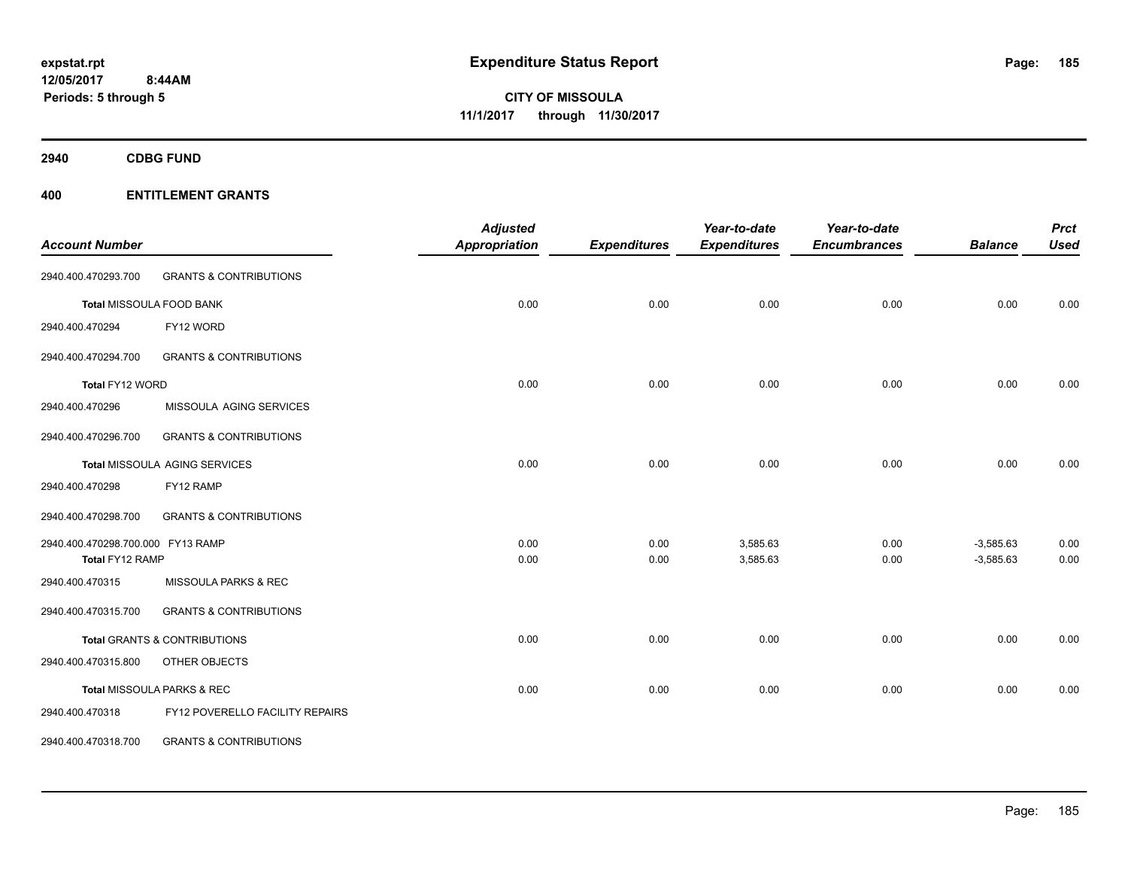**2940 CDBG FUND**

|                                   |                                         | <b>Adjusted</b>      |                     | Year-to-date        | Year-to-date        |                | <b>Prct</b> |
|-----------------------------------|-----------------------------------------|----------------------|---------------------|---------------------|---------------------|----------------|-------------|
| <b>Account Number</b>             |                                         | <b>Appropriation</b> | <b>Expenditures</b> | <b>Expenditures</b> | <b>Encumbrances</b> | <b>Balance</b> | <b>Used</b> |
| 2940.400.470293.700               | <b>GRANTS &amp; CONTRIBUTIONS</b>       |                      |                     |                     |                     |                |             |
|                                   | <b>Total MISSOULA FOOD BANK</b>         | 0.00                 | 0.00                | 0.00                | 0.00                | 0.00           | 0.00        |
| 2940.400.470294                   | FY12 WORD                               |                      |                     |                     |                     |                |             |
| 2940.400.470294.700               | <b>GRANTS &amp; CONTRIBUTIONS</b>       |                      |                     |                     |                     |                |             |
| Total FY12 WORD                   |                                         | 0.00                 | 0.00                | 0.00                | 0.00                | 0.00           | 0.00        |
| 2940.400.470296                   | MISSOULA AGING SERVICES                 |                      |                     |                     |                     |                |             |
| 2940.400.470296.700               | <b>GRANTS &amp; CONTRIBUTIONS</b>       |                      |                     |                     |                     |                |             |
|                                   | Total MISSOULA AGING SERVICES           | 0.00                 | 0.00                | 0.00                | 0.00                | 0.00           | 0.00        |
| 2940.400.470298                   | FY12 RAMP                               |                      |                     |                     |                     |                |             |
| 2940.400.470298.700               | <b>GRANTS &amp; CONTRIBUTIONS</b>       |                      |                     |                     |                     |                |             |
| 2940.400.470298.700.000 FY13 RAMP |                                         | 0.00                 | 0.00                | 3,585.63            | 0.00                | $-3,585.63$    | 0.00        |
| Total FY12 RAMP                   |                                         | 0.00                 | 0.00                | 3,585.63            | 0.00                | $-3,585.63$    | 0.00        |
| 2940.400.470315                   | MISSOULA PARKS & REC                    |                      |                     |                     |                     |                |             |
| 2940.400.470315.700               | <b>GRANTS &amp; CONTRIBUTIONS</b>       |                      |                     |                     |                     |                |             |
|                                   | <b>Total GRANTS &amp; CONTRIBUTIONS</b> | 0.00                 | 0.00                | 0.00                | 0.00                | 0.00           | 0.00        |
| 2940.400.470315.800               | OTHER OBJECTS                           |                      |                     |                     |                     |                |             |
|                                   | Total MISSOULA PARKS & REC              | 0.00                 | 0.00                | 0.00                | 0.00                | 0.00           | 0.00        |
| 2940.400.470318                   | FY12 POVERELLO FACILITY REPAIRS         |                      |                     |                     |                     |                |             |
| 2940.400.470318.700               | <b>GRANTS &amp; CONTRIBUTIONS</b>       |                      |                     |                     |                     |                |             |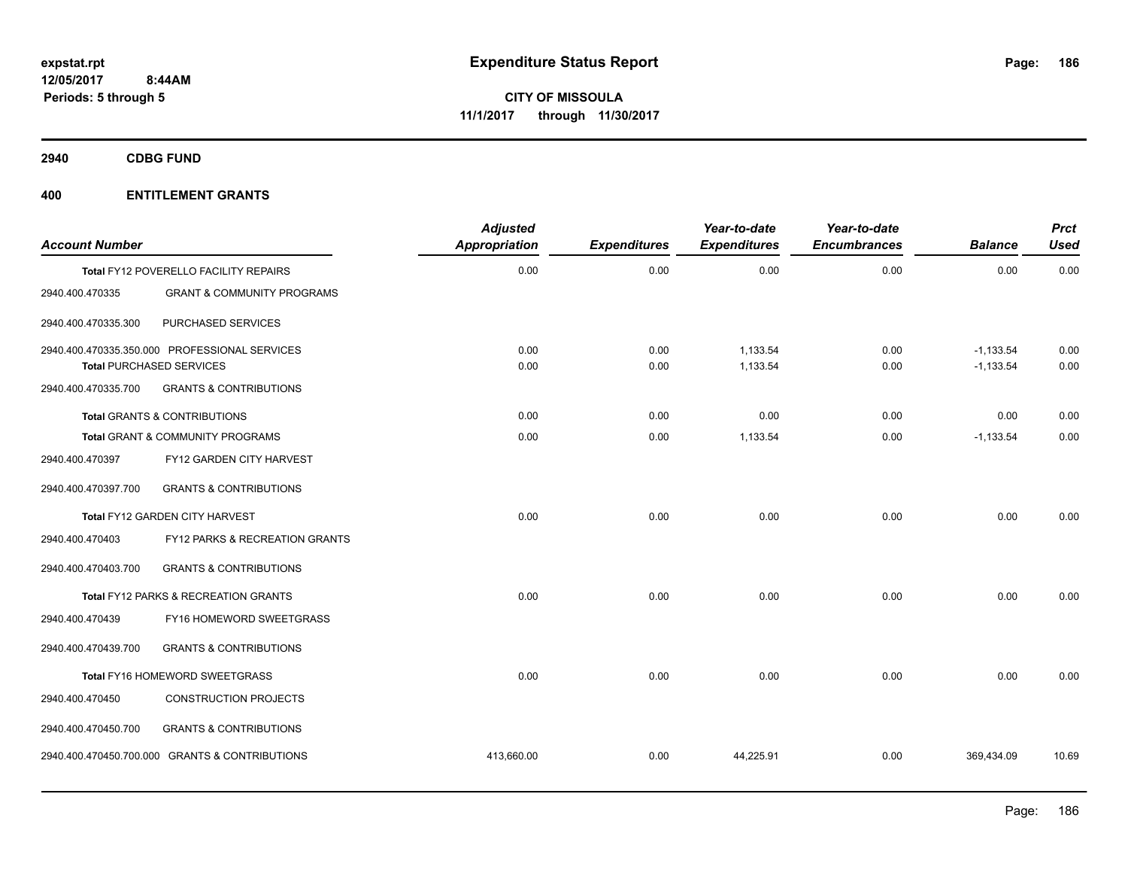**2940 CDBG FUND**

| <b>Account Number</b> |                                                                                  | <b>Adjusted</b><br><b>Appropriation</b> | <b>Expenditures</b> | Year-to-date<br><b>Expenditures</b> | Year-to-date<br><b>Encumbrances</b> | <b>Balance</b>             | Prct<br><b>Used</b> |
|-----------------------|----------------------------------------------------------------------------------|-----------------------------------------|---------------------|-------------------------------------|-------------------------------------|----------------------------|---------------------|
|                       | Total FY12 POVERELLO FACILITY REPAIRS                                            | 0.00                                    | 0.00                | 0.00                                | 0.00                                | 0.00                       | 0.00                |
| 2940.400.470335       | <b>GRANT &amp; COMMUNITY PROGRAMS</b>                                            |                                         |                     |                                     |                                     |                            |                     |
| 2940.400.470335.300   | PURCHASED SERVICES                                                               |                                         |                     |                                     |                                     |                            |                     |
|                       | 2940.400.470335.350.000 PROFESSIONAL SERVICES<br><b>Total PURCHASED SERVICES</b> | 0.00<br>0.00                            | 0.00<br>0.00        | 1,133.54<br>1,133.54                | 0.00<br>0.00                        | $-1,133.54$<br>$-1,133.54$ | 0.00<br>0.00        |
| 2940.400.470335.700   | <b>GRANTS &amp; CONTRIBUTIONS</b>                                                |                                         |                     |                                     |                                     |                            |                     |
|                       | <b>Total GRANTS &amp; CONTRIBUTIONS</b>                                          | 0.00                                    | 0.00                | 0.00                                | 0.00                                | 0.00                       | 0.00                |
|                       | <b>Total GRANT &amp; COMMUNITY PROGRAMS</b>                                      | 0.00                                    | 0.00                | 1,133.54                            | 0.00                                | $-1,133.54$                | 0.00                |
| 2940.400.470397       | FY12 GARDEN CITY HARVEST                                                         |                                         |                     |                                     |                                     |                            |                     |
| 2940.400.470397.700   | <b>GRANTS &amp; CONTRIBUTIONS</b>                                                |                                         |                     |                                     |                                     |                            |                     |
|                       | Total FY12 GARDEN CITY HARVEST                                                   | 0.00                                    | 0.00                | 0.00                                | 0.00                                | 0.00                       | 0.00                |
| 2940.400.470403       | FY12 PARKS & RECREATION GRANTS                                                   |                                         |                     |                                     |                                     |                            |                     |
| 2940.400.470403.700   | <b>GRANTS &amp; CONTRIBUTIONS</b>                                                |                                         |                     |                                     |                                     |                            |                     |
|                       | Total FY12 PARKS & RECREATION GRANTS                                             | 0.00                                    | 0.00                | 0.00                                | 0.00                                | 0.00                       | 0.00                |
| 2940.400.470439       | FY16 HOMEWORD SWEETGRASS                                                         |                                         |                     |                                     |                                     |                            |                     |
| 2940.400.470439.700   | <b>GRANTS &amp; CONTRIBUTIONS</b>                                                |                                         |                     |                                     |                                     |                            |                     |
|                       | Total FY16 HOMEWORD SWEETGRASS                                                   | 0.00                                    | 0.00                | 0.00                                | 0.00                                | 0.00                       | 0.00                |
| 2940.400.470450       | <b>CONSTRUCTION PROJECTS</b>                                                     |                                         |                     |                                     |                                     |                            |                     |
| 2940.400.470450.700   | <b>GRANTS &amp; CONTRIBUTIONS</b>                                                |                                         |                     |                                     |                                     |                            |                     |
|                       | 2940.400.470450.700.000 GRANTS & CONTRIBUTIONS                                   | 413,660.00                              | 0.00                | 44,225.91                           | 0.00                                | 369,434.09                 | 10.69               |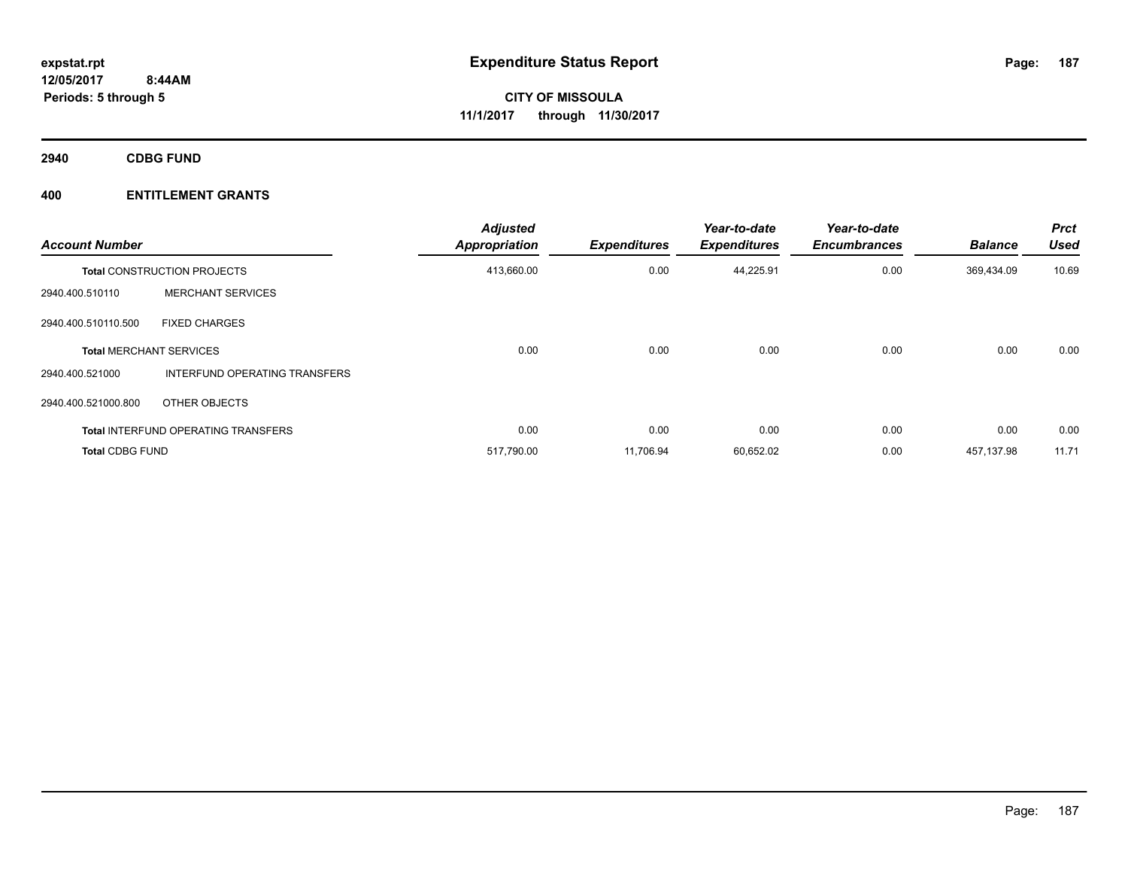**2940 CDBG FUND**

| <b>Account Number</b>          |                                            | <b>Adjusted</b><br><b>Appropriation</b> | <b>Expenditures</b> | Year-to-date<br><b>Expenditures</b> | Year-to-date<br><b>Encumbrances</b> | <b>Balance</b> | <b>Prct</b><br><b>Used</b> |
|--------------------------------|--------------------------------------------|-----------------------------------------|---------------------|-------------------------------------|-------------------------------------|----------------|----------------------------|
|                                | <b>Total CONSTRUCTION PROJECTS</b>         | 413,660.00                              | 0.00                | 44,225.91                           | 0.00                                | 369,434.09     | 10.69                      |
| 2940.400.510110                | <b>MERCHANT SERVICES</b>                   |                                         |                     |                                     |                                     |                |                            |
| 2940.400.510110.500            | <b>FIXED CHARGES</b>                       |                                         |                     |                                     |                                     |                |                            |
| <b>Total MERCHANT SERVICES</b> |                                            | 0.00                                    | 0.00                | 0.00                                | 0.00                                | 0.00           | 0.00                       |
| 2940.400.521000                | INTERFUND OPERATING TRANSFERS              |                                         |                     |                                     |                                     |                |                            |
| 2940.400.521000.800            | OTHER OBJECTS                              |                                         |                     |                                     |                                     |                |                            |
|                                | <b>Total INTERFUND OPERATING TRANSFERS</b> | 0.00                                    | 0.00                | 0.00                                | 0.00                                | 0.00           | 0.00                       |
| <b>Total CDBG FUND</b>         |                                            | 517,790.00                              | 11.706.94           | 60,652.02                           | 0.00                                | 457.137.98     | 11.71                      |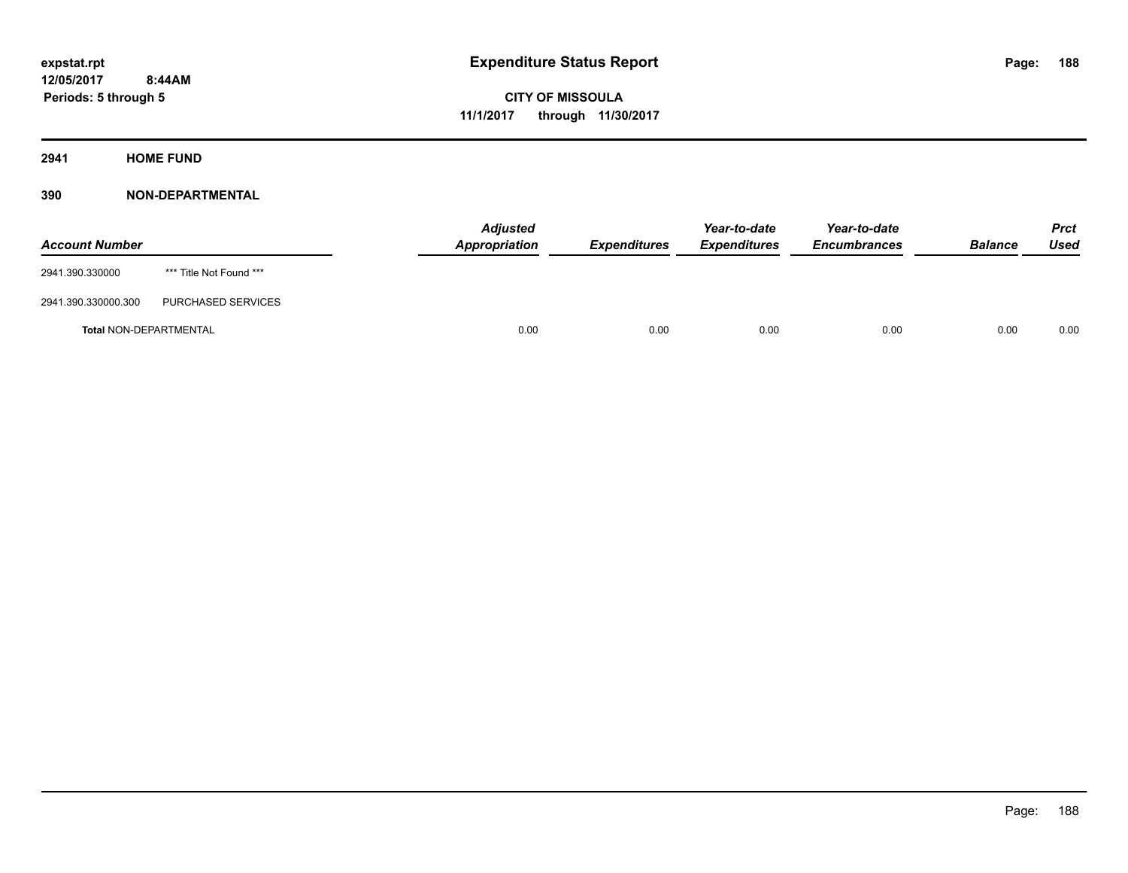**2941 HOME FUND**

| <b>Account Number</b>         |                         | <b>Adjusted</b><br>Appropriation | <b>Expenditures</b> | Year-to-date<br><b>Expenditures</b> | Year-to-date<br><b>Encumbrances</b> | <b>Balance</b> | Prct<br><b>Used</b> |
|-------------------------------|-------------------------|----------------------------------|---------------------|-------------------------------------|-------------------------------------|----------------|---------------------|
| 2941.390.330000               | *** Title Not Found *** |                                  |                     |                                     |                                     |                |                     |
| 2941.390.330000.300           | PURCHASED SERVICES      |                                  |                     |                                     |                                     |                |                     |
| <b>Total NON-DEPARTMENTAL</b> |                         | 0.00                             | 0.00                | 0.00                                | 0.00                                | 0.00           | 0.00                |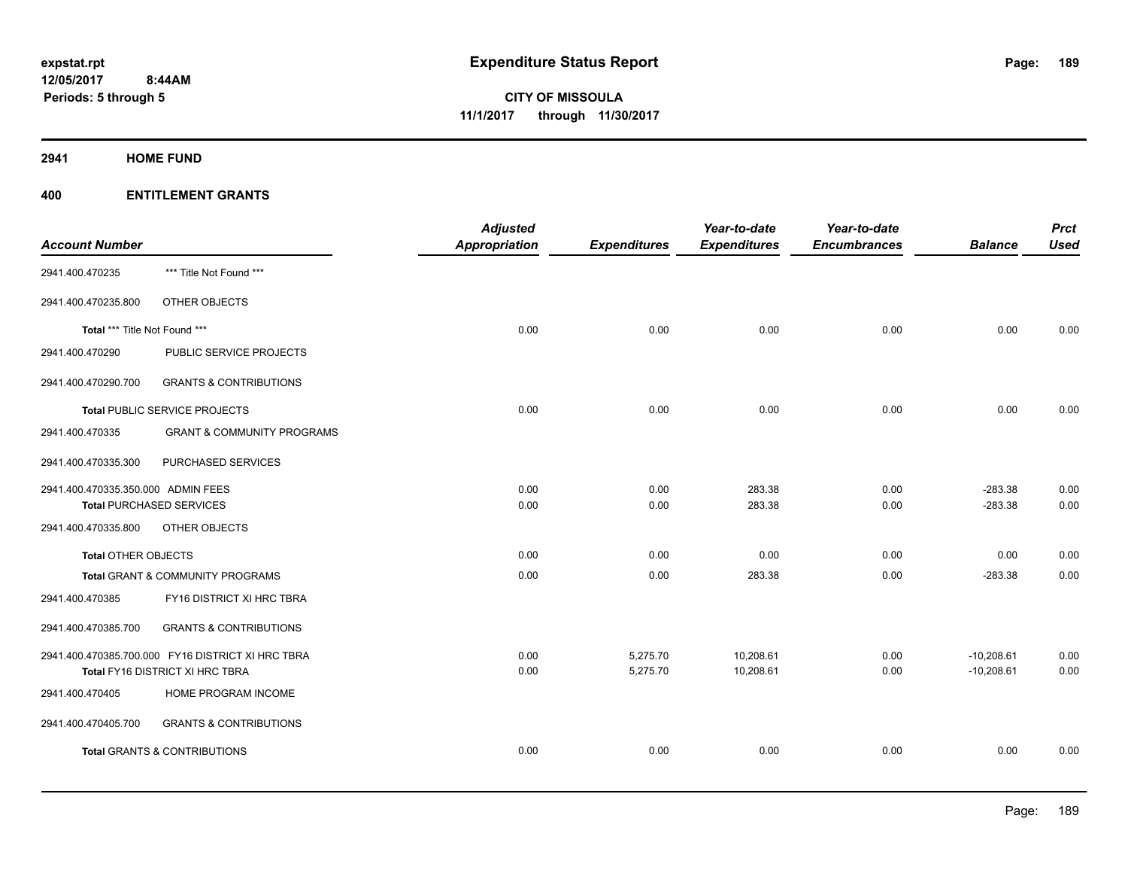### **2941 HOME FUND**

|                                    |                                                   | <b>Adjusted</b>      |                     | Year-to-date        | Year-to-date        |                | <b>Prct</b> |
|------------------------------------|---------------------------------------------------|----------------------|---------------------|---------------------|---------------------|----------------|-------------|
| <b>Account Number</b>              |                                                   | <b>Appropriation</b> | <b>Expenditures</b> | <b>Expenditures</b> | <b>Encumbrances</b> | <b>Balance</b> | <b>Used</b> |
| 2941.400.470235                    | *** Title Not Found ***                           |                      |                     |                     |                     |                |             |
| 2941.400.470235.800                | OTHER OBJECTS                                     |                      |                     |                     |                     |                |             |
| Total *** Title Not Found ***      |                                                   | 0.00                 | 0.00                | 0.00                | 0.00                | 0.00           | 0.00        |
| 2941.400.470290                    | PUBLIC SERVICE PROJECTS                           |                      |                     |                     |                     |                |             |
| 2941.400.470290.700                | <b>GRANTS &amp; CONTRIBUTIONS</b>                 |                      |                     |                     |                     |                |             |
|                                    | Total PUBLIC SERVICE PROJECTS                     | 0.00                 | 0.00                | 0.00                | 0.00                | 0.00           | 0.00        |
| 2941.400.470335                    | <b>GRANT &amp; COMMUNITY PROGRAMS</b>             |                      |                     |                     |                     |                |             |
| 2941.400.470335.300                | PURCHASED SERVICES                                |                      |                     |                     |                     |                |             |
| 2941.400.470335.350.000 ADMIN FEES |                                                   | 0.00                 | 0.00                | 283.38              | 0.00                | $-283.38$      | 0.00        |
|                                    | <b>Total PURCHASED SERVICES</b>                   | 0.00                 | 0.00                | 283.38              | 0.00                | $-283.38$      | 0.00        |
| 2941.400.470335.800                | OTHER OBJECTS                                     |                      |                     |                     |                     |                |             |
| <b>Total OTHER OBJECTS</b>         |                                                   | 0.00                 | 0.00                | 0.00                | 0.00                | 0.00           | 0.00        |
|                                    | Total GRANT & COMMUNITY PROGRAMS                  | 0.00                 | 0.00                | 283.38              | 0.00                | $-283.38$      | 0.00        |
| 2941.400.470385                    | FY16 DISTRICT XI HRC TBRA                         |                      |                     |                     |                     |                |             |
| 2941.400.470385.700                | <b>GRANTS &amp; CONTRIBUTIONS</b>                 |                      |                     |                     |                     |                |             |
|                                    | 2941.400.470385.700.000 FY16 DISTRICT XI HRC TBRA | 0.00                 | 5,275.70            | 10,208.61           | 0.00                | $-10,208.61$   | 0.00        |
|                                    | Total FY16 DISTRICT XI HRC TBRA                   | 0.00                 | 5,275.70            | 10,208.61           | 0.00                | $-10,208.61$   | 0.00        |
| 2941.400.470405                    | HOME PROGRAM INCOME                               |                      |                     |                     |                     |                |             |
| 2941.400.470405.700                | <b>GRANTS &amp; CONTRIBUTIONS</b>                 |                      |                     |                     |                     |                |             |
|                                    | <b>Total GRANTS &amp; CONTRIBUTIONS</b>           | 0.00                 | 0.00                | 0.00                | 0.00                | 0.00           | 0.00        |
|                                    |                                                   |                      |                     |                     |                     |                |             |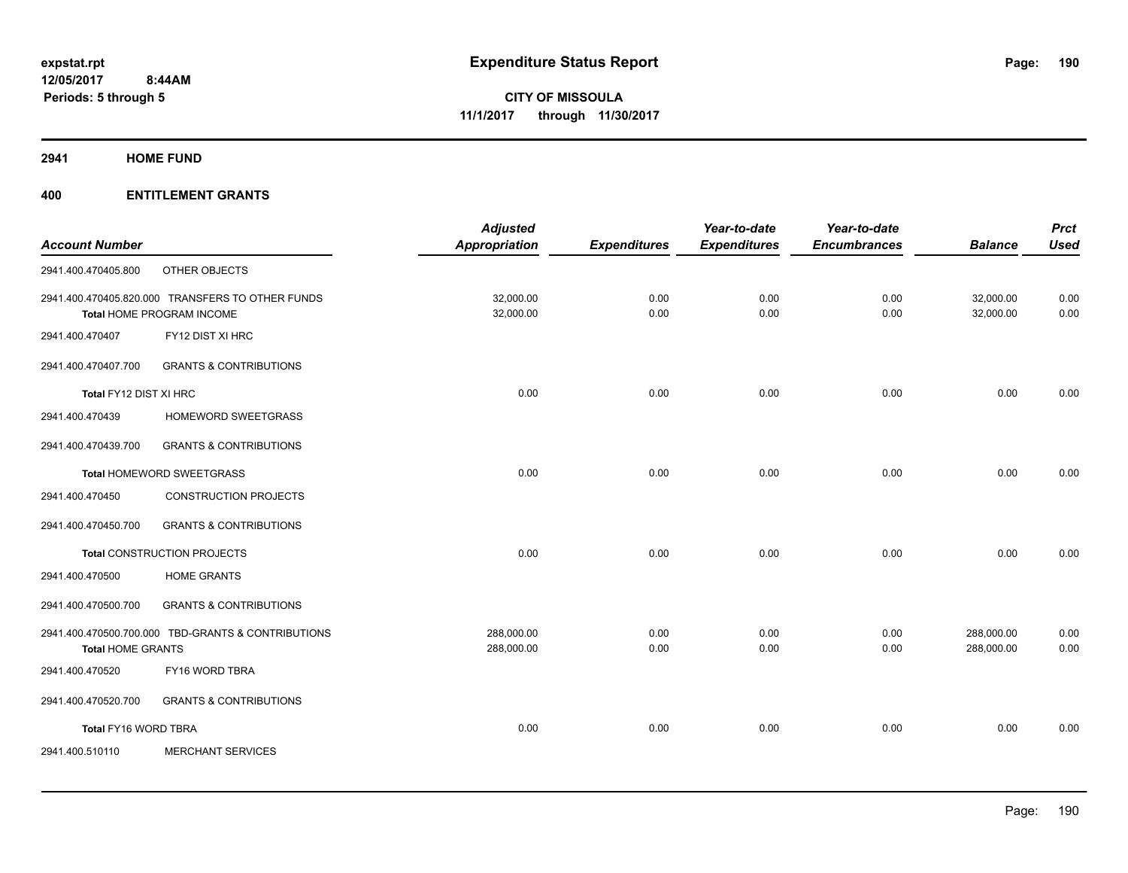**2941 HOME FUND**

| <b>Account Number</b>                       |                                                                               | <b>Adjusted</b><br>Appropriation | <b>Expenditures</b> | Year-to-date<br><b>Expenditures</b> | Year-to-date<br><b>Encumbrances</b> | <b>Balance</b>           | <b>Prct</b><br><b>Used</b> |
|---------------------------------------------|-------------------------------------------------------------------------------|----------------------------------|---------------------|-------------------------------------|-------------------------------------|--------------------------|----------------------------|
| 2941.400.470405.800                         | OTHER OBJECTS                                                                 |                                  |                     |                                     |                                     |                          |                            |
|                                             |                                                                               |                                  |                     |                                     |                                     |                          |                            |
|                                             | 2941.400.470405.820.000 TRANSFERS TO OTHER FUNDS<br>Total HOME PROGRAM INCOME | 32,000.00<br>32,000.00           | 0.00<br>0.00        | 0.00<br>0.00                        | 0.00<br>0.00                        | 32,000.00<br>32,000.00   | 0.00<br>0.00               |
| 2941.400.470407                             | FY12 DIST XI HRC                                                              |                                  |                     |                                     |                                     |                          |                            |
| 2941.400.470407.700                         | <b>GRANTS &amp; CONTRIBUTIONS</b>                                             |                                  |                     |                                     |                                     |                          |                            |
| Total FY12 DIST XI HRC                      |                                                                               | 0.00                             | 0.00                | 0.00                                | 0.00                                | 0.00                     | 0.00                       |
| 2941.400.470439                             | HOMEWORD SWEETGRASS                                                           |                                  |                     |                                     |                                     |                          |                            |
| 2941.400.470439.700                         | <b>GRANTS &amp; CONTRIBUTIONS</b>                                             |                                  |                     |                                     |                                     |                          |                            |
|                                             | Total HOMEWORD SWEETGRASS                                                     | 0.00                             | 0.00                | 0.00                                | 0.00                                | 0.00                     | 0.00                       |
| 2941.400.470450                             | <b>CONSTRUCTION PROJECTS</b>                                                  |                                  |                     |                                     |                                     |                          |                            |
| 2941.400.470450.700                         | <b>GRANTS &amp; CONTRIBUTIONS</b>                                             |                                  |                     |                                     |                                     |                          |                            |
|                                             | Total CONSTRUCTION PROJECTS                                                   | 0.00                             | 0.00                | 0.00                                | 0.00                                | 0.00                     | 0.00                       |
| 2941.400.470500                             | <b>HOME GRANTS</b>                                                            |                                  |                     |                                     |                                     |                          |                            |
| 2941.400.470500.700                         | <b>GRANTS &amp; CONTRIBUTIONS</b>                                             |                                  |                     |                                     |                                     |                          |                            |
|                                             | 2941.400.470500.700.000 TBD-GRANTS & CONTRIBUTIONS                            | 288,000.00<br>288,000.00         | 0.00                | 0.00<br>0.00                        | 0.00<br>0.00                        | 288,000.00<br>288,000.00 | 0.00<br>0.00               |
| <b>Total HOME GRANTS</b><br>2941.400.470520 | FY16 WORD TBRA                                                                |                                  | 0.00                |                                     |                                     |                          |                            |
|                                             |                                                                               |                                  |                     |                                     |                                     |                          |                            |
| 2941.400.470520.700                         | <b>GRANTS &amp; CONTRIBUTIONS</b>                                             |                                  |                     |                                     |                                     |                          |                            |
| Total FY16 WORD TBRA                        |                                                                               | 0.00                             | 0.00                | 0.00                                | 0.00                                | 0.00                     | 0.00                       |
| 2941.400.510110                             | <b>MERCHANT SERVICES</b>                                                      |                                  |                     |                                     |                                     |                          |                            |
|                                             |                                                                               |                                  |                     |                                     |                                     |                          |                            |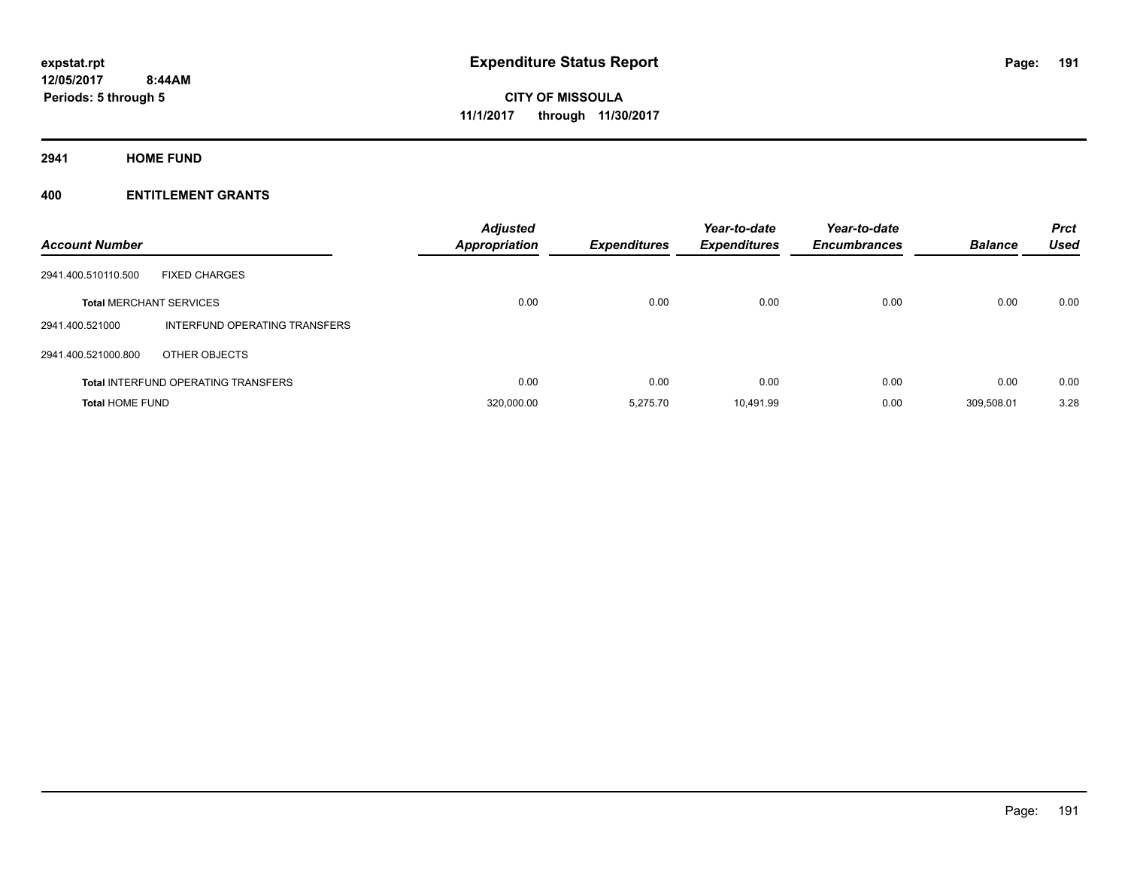**2941 HOME FUND**

| <b>Account Number</b>          |                                            | <b>Adjusted</b><br><b>Appropriation</b> | <b>Expenditures</b> | Year-to-date<br><b>Expenditures</b> | Year-to-date<br><b>Encumbrances</b> | <b>Balance</b> | <b>Prct</b><br><b>Used</b> |
|--------------------------------|--------------------------------------------|-----------------------------------------|---------------------|-------------------------------------|-------------------------------------|----------------|----------------------------|
| 2941.400.510110.500            | <b>FIXED CHARGES</b>                       |                                         |                     |                                     |                                     |                |                            |
| <b>Total MERCHANT SERVICES</b> |                                            | 0.00                                    | 0.00                | 0.00                                | 0.00                                | 0.00           | 0.00                       |
| 2941.400.521000                | INTERFUND OPERATING TRANSFERS              |                                         |                     |                                     |                                     |                |                            |
| 2941.400.521000.800            | OTHER OBJECTS                              |                                         |                     |                                     |                                     |                |                            |
|                                | <b>Total INTERFUND OPERATING TRANSFERS</b> | 0.00                                    | 0.00                | 0.00                                | 0.00                                | 0.00           | 0.00                       |
| <b>Total HOME FUND</b>         |                                            | 320,000.00                              | 5.275.70            | 10,491.99                           | 0.00                                | 309.508.01     | 3.28                       |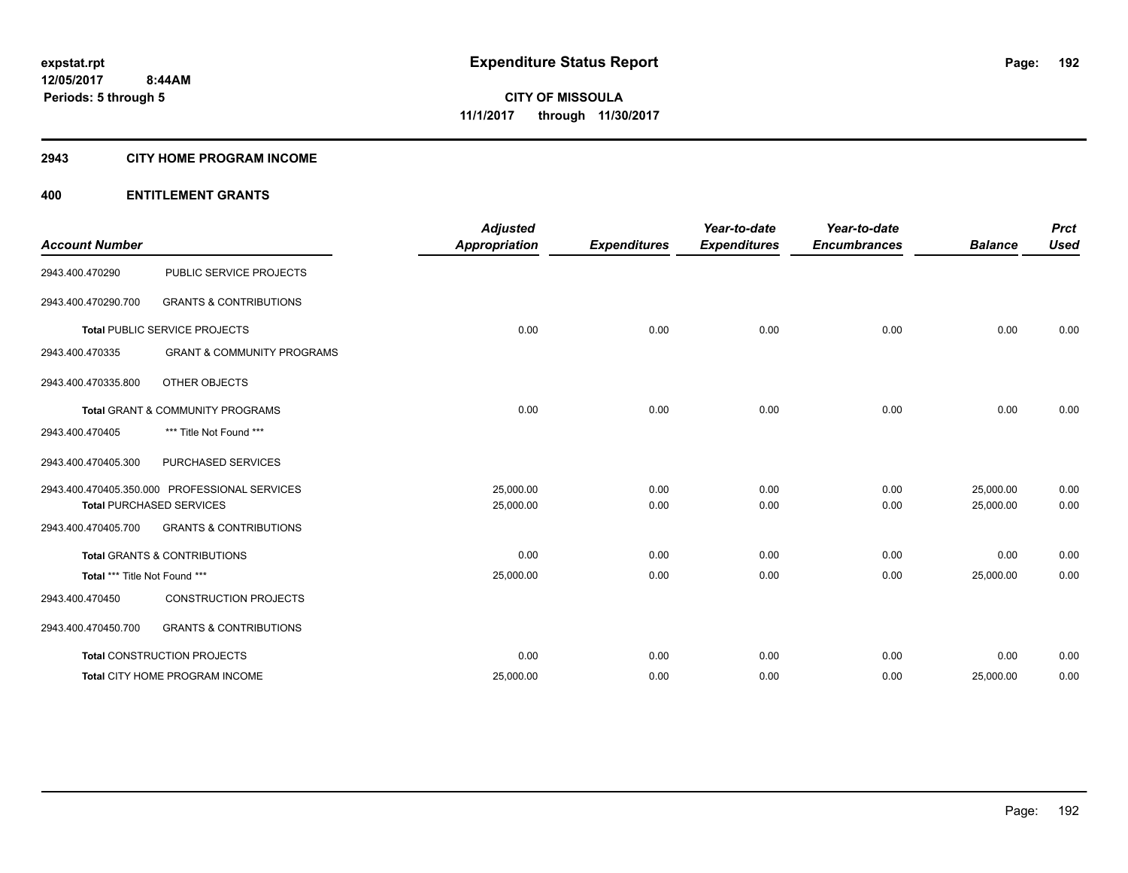#### **2943 CITY HOME PROGRAM INCOME**

| <b>Account Number</b>         |                                               | <b>Adjusted</b><br><b>Appropriation</b> | <b>Expenditures</b> | Year-to-date<br><b>Expenditures</b> | Year-to-date<br><b>Encumbrances</b> | <b>Balance</b> | <b>Prct</b><br><b>Used</b> |
|-------------------------------|-----------------------------------------------|-----------------------------------------|---------------------|-------------------------------------|-------------------------------------|----------------|----------------------------|
| 2943.400.470290               | PUBLIC SERVICE PROJECTS                       |                                         |                     |                                     |                                     |                |                            |
| 2943.400.470290.700           | <b>GRANTS &amp; CONTRIBUTIONS</b>             |                                         |                     |                                     |                                     |                |                            |
|                               | Total PUBLIC SERVICE PROJECTS                 | 0.00                                    | 0.00                | 0.00                                | 0.00                                | 0.00           | 0.00                       |
| 2943.400.470335               | <b>GRANT &amp; COMMUNITY PROGRAMS</b>         |                                         |                     |                                     |                                     |                |                            |
| 2943.400.470335.800           | OTHER OBJECTS                                 |                                         |                     |                                     |                                     |                |                            |
|                               | Total GRANT & COMMUNITY PROGRAMS              | 0.00                                    | 0.00                | 0.00                                | 0.00                                | 0.00           | 0.00                       |
| 2943.400.470405               | *** Title Not Found ***                       |                                         |                     |                                     |                                     |                |                            |
| 2943.400.470405.300           | PURCHASED SERVICES                            |                                         |                     |                                     |                                     |                |                            |
|                               | 2943.400.470405.350.000 PROFESSIONAL SERVICES | 25,000.00                               | 0.00                | 0.00                                | 0.00                                | 25,000.00      | 0.00                       |
|                               | <b>Total PURCHASED SERVICES</b>               | 25,000.00                               | 0.00                | 0.00                                | 0.00                                | 25,000.00      | 0.00                       |
| 2943.400.470405.700           | <b>GRANTS &amp; CONTRIBUTIONS</b>             |                                         |                     |                                     |                                     |                |                            |
|                               | <b>Total GRANTS &amp; CONTRIBUTIONS</b>       | 0.00                                    | 0.00                | 0.00                                | 0.00                                | 0.00           | 0.00                       |
| Total *** Title Not Found *** |                                               | 25,000.00                               | 0.00                | 0.00                                | 0.00                                | 25,000.00      | 0.00                       |
| 2943.400.470450               | <b>CONSTRUCTION PROJECTS</b>                  |                                         |                     |                                     |                                     |                |                            |
| 2943.400.470450.700           | <b>GRANTS &amp; CONTRIBUTIONS</b>             |                                         |                     |                                     |                                     |                |                            |
|                               | Total CONSTRUCTION PROJECTS                   | 0.00                                    | 0.00                | 0.00                                | 0.00                                | 0.00           | 0.00                       |
|                               | <b>Total CITY HOME PROGRAM INCOME</b>         | 25,000.00                               | 0.00                | 0.00                                | 0.00                                | 25,000.00      | 0.00                       |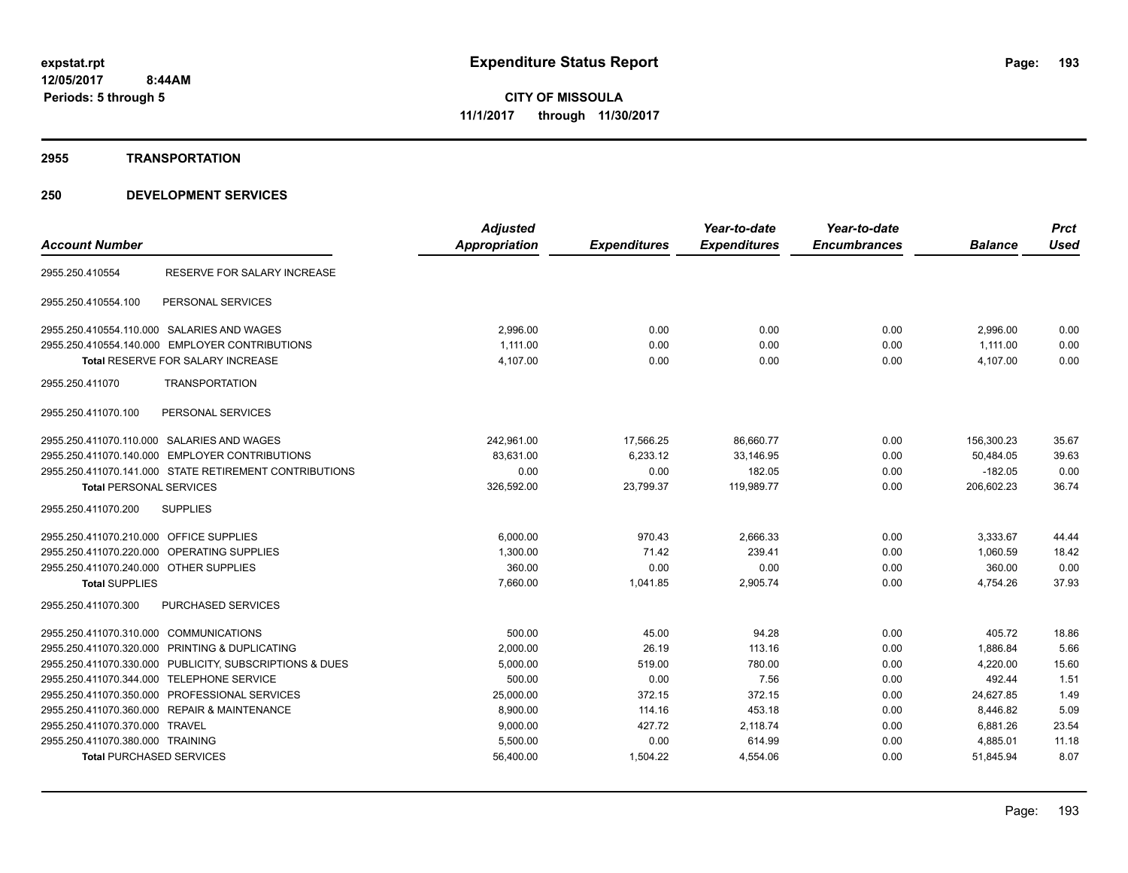#### **2955 TRANSPORTATION**

|                                                         |                             | <b>Adjusted</b> |                     | Year-to-date        | Year-to-date        |                | <b>Prct</b> |
|---------------------------------------------------------|-----------------------------|-----------------|---------------------|---------------------|---------------------|----------------|-------------|
| <b>Account Number</b>                                   |                             | Appropriation   | <b>Expenditures</b> | <b>Expenditures</b> | <b>Encumbrances</b> | <b>Balance</b> | <b>Used</b> |
| 2955.250.410554                                         | RESERVE FOR SALARY INCREASE |                 |                     |                     |                     |                |             |
| 2955.250.410554.100<br>PERSONAL SERVICES                |                             |                 |                     |                     |                     |                |             |
| 2955.250.410554.110.000 SALARIES AND WAGES              |                             | 2,996.00        | 0.00                | 0.00                | 0.00                | 2,996.00       | 0.00        |
| 2955.250.410554.140.000 EMPLOYER CONTRIBUTIONS          |                             | 1.111.00        | 0.00                | 0.00                | 0.00                | 1,111.00       | 0.00        |
| <b>Total RESERVE FOR SALARY INCREASE</b>                |                             | 4,107.00        | 0.00                | 0.00                | 0.00                | 4,107.00       | 0.00        |
| 2955.250.411070<br><b>TRANSPORTATION</b>                |                             |                 |                     |                     |                     |                |             |
| PERSONAL SERVICES<br>2955.250.411070.100                |                             |                 |                     |                     |                     |                |             |
| 2955.250.411070.110.000 SALARIES AND WAGES              |                             | 242,961.00      | 17,566.25           | 86,660.77           | 0.00                | 156,300.23     | 35.67       |
| 2955.250.411070.140.000 EMPLOYER CONTRIBUTIONS          |                             | 83,631.00       | 6,233.12            | 33,146.95           | 0.00                | 50,484.05      | 39.63       |
| 2955.250.411070.141.000 STATE RETIREMENT CONTRIBUTIONS  |                             | 0.00            | 0.00                | 182.05              | 0.00                | $-182.05$      | 0.00        |
| <b>Total PERSONAL SERVICES</b>                          |                             | 326,592.00      | 23,799.37           | 119,989.77          | 0.00                | 206,602.23     | 36.74       |
| 2955.250.411070.200<br><b>SUPPLIES</b>                  |                             |                 |                     |                     |                     |                |             |
| 2955.250.411070.210.000 OFFICE SUPPLIES                 |                             | 6,000.00        | 970.43              | 2,666.33            | 0.00                | 3,333.67       | 44.44       |
| 2955.250.411070.220.000 OPERATING SUPPLIES              |                             | 1,300.00        | 71.42               | 239.41              | 0.00                | 1,060.59       | 18.42       |
| 2955.250.411070.240.000 OTHER SUPPLIES                  |                             | 360.00          | 0.00                | 0.00                | 0.00                | 360.00         | 0.00        |
| <b>Total SUPPLIES</b>                                   |                             | 7,660.00        | 1,041.85            | 2,905.74            | 0.00                | 4,754.26       | 37.93       |
| <b>PURCHASED SERVICES</b><br>2955.250.411070.300        |                             |                 |                     |                     |                     |                |             |
| 2955.250.411070.310.000 COMMUNICATIONS                  |                             | 500.00          | 45.00               | 94.28               | 0.00                | 405.72         | 18.86       |
| 2955.250.411070.320.000 PRINTING & DUPLICATING          |                             | 2,000.00        | 26.19               | 113.16              | 0.00                | 1,886.84       | 5.66        |
| 2955.250.411070.330.000 PUBLICITY, SUBSCRIPTIONS & DUES |                             | 5,000.00        | 519.00              | 780.00              | 0.00                | 4,220.00       | 15.60       |
| 2955.250.411070.344.000 TELEPHONE SERVICE               |                             | 500.00          | 0.00                | 7.56                | 0.00                | 492.44         | 1.51        |
| 2955.250.411070.350.000 PROFESSIONAL SERVICES           |                             | 25,000.00       | 372.15              | 372.15              | 0.00                | 24.627.85      | 1.49        |
| 2955.250.411070.360.000 REPAIR & MAINTENANCE            |                             | 8,900.00        | 114.16              | 453.18              | 0.00                | 8,446.82       | 5.09        |
| 2955.250.411070.370.000 TRAVEL                          |                             | 9,000.00        | 427.72              | 2,118.74            | 0.00                | 6,881.26       | 23.54       |
| 2955.250.411070.380.000 TRAINING                        |                             | 5,500.00        | 0.00                | 614.99              | 0.00                | 4,885.01       | 11.18       |
| <b>Total PURCHASED SERVICES</b>                         |                             | 56,400.00       | 1,504.22            | 4,554.06            | 0.00                | 51,845.94      | 8.07        |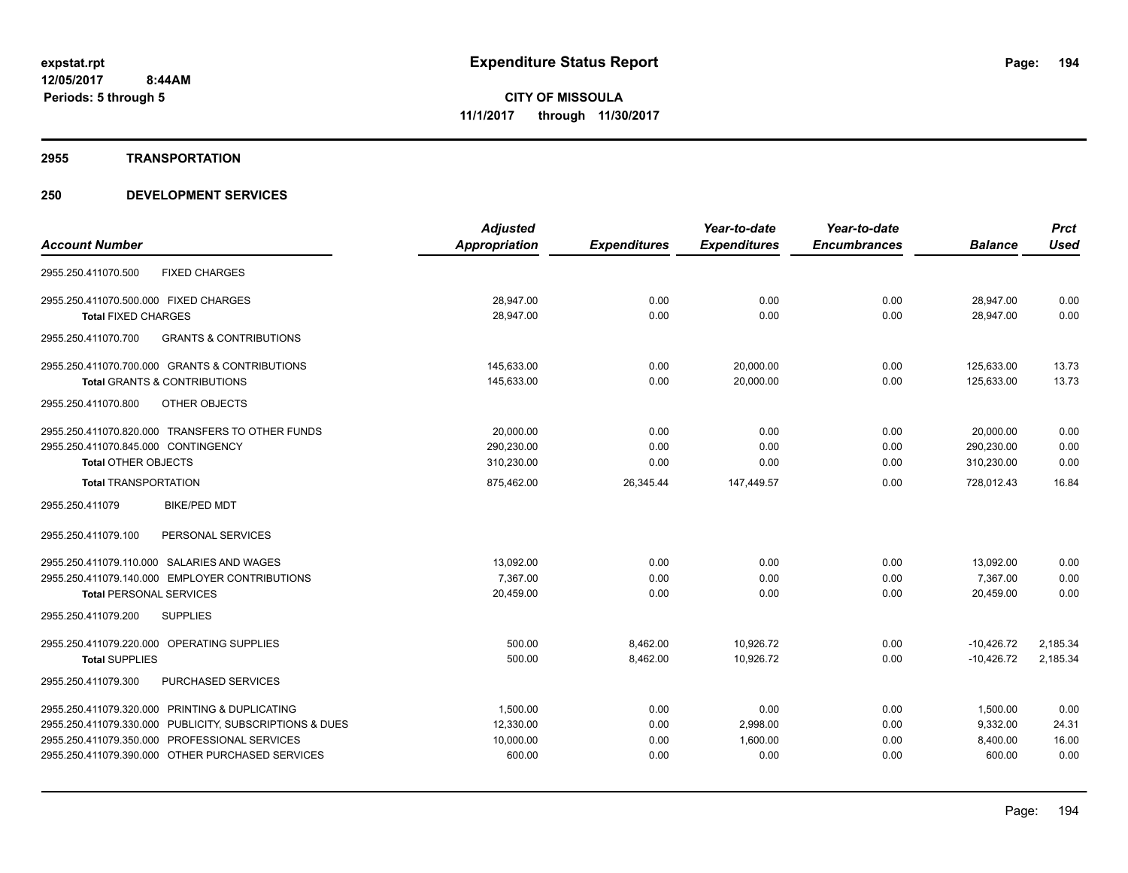#### **2955 TRANSPORTATION**

|                                                          | <b>Adjusted</b>      |                     | Year-to-date        | Year-to-date        |                | <b>Prct</b> |
|----------------------------------------------------------|----------------------|---------------------|---------------------|---------------------|----------------|-------------|
| <b>Account Number</b>                                    | <b>Appropriation</b> | <b>Expenditures</b> | <b>Expenditures</b> | <b>Encumbrances</b> | <b>Balance</b> | <b>Used</b> |
| <b>FIXED CHARGES</b><br>2955.250.411070.500              |                      |                     |                     |                     |                |             |
| 2955.250.411070.500.000 FIXED CHARGES                    | 28,947.00            | 0.00                | 0.00                | 0.00                | 28,947.00      | 0.00        |
| <b>Total FIXED CHARGES</b>                               | 28,947.00            | 0.00                | 0.00                | 0.00                | 28.947.00      | 0.00        |
| <b>GRANTS &amp; CONTRIBUTIONS</b><br>2955.250.411070.700 |                      |                     |                     |                     |                |             |
| 2955.250.411070.700.000 GRANTS & CONTRIBUTIONS           | 145,633.00           | 0.00                | 20,000.00           | 0.00                | 125,633.00     | 13.73       |
| <b>Total GRANTS &amp; CONTRIBUTIONS</b>                  | 145,633.00           | 0.00                | 20,000.00           | 0.00                | 125,633.00     | 13.73       |
| <b>OTHER OBJECTS</b><br>2955.250.411070.800              |                      |                     |                     |                     |                |             |
| 2955.250.411070.820.000 TRANSFERS TO OTHER FUNDS         | 20,000.00            | 0.00                | 0.00                | 0.00                | 20,000.00      | 0.00        |
| 2955.250.411070.845.000 CONTINGENCY                      | 290,230.00           | 0.00                | 0.00                | 0.00                | 290,230.00     | 0.00        |
| <b>Total OTHER OBJECTS</b>                               | 310,230.00           | 0.00                | 0.00                | 0.00                | 310,230.00     | 0.00        |
| <b>Total TRANSPORTATION</b>                              | 875,462.00           | 26,345.44           | 147,449.57          | 0.00                | 728,012.43     | 16.84       |
| 2955.250.411079<br><b>BIKE/PED MDT</b>                   |                      |                     |                     |                     |                |             |
| 2955.250.411079.100<br>PERSONAL SERVICES                 |                      |                     |                     |                     |                |             |
| 2955.250.411079.110.000 SALARIES AND WAGES               | 13,092.00            | 0.00                | 0.00                | 0.00                | 13,092.00      | 0.00        |
| 2955.250.411079.140.000 EMPLOYER CONTRIBUTIONS           | 7.367.00             | 0.00                | 0.00                | 0.00                | 7,367.00       | 0.00        |
| <b>Total PERSONAL SERVICES</b>                           | 20,459.00            | 0.00                | 0.00                | 0.00                | 20,459.00      | 0.00        |
| 2955.250.411079.200<br><b>SUPPLIES</b>                   |                      |                     |                     |                     |                |             |
| 2955.250.411079.220.000 OPERATING SUPPLIES               | 500.00               | 8,462.00            | 10,926.72           | 0.00                | $-10,426.72$   | 2,185.34    |
| <b>Total SUPPLIES</b>                                    | 500.00               | 8,462.00            | 10,926.72           | 0.00                | $-10,426.72$   | 2,185.34    |
| PURCHASED SERVICES<br>2955.250.411079.300                |                      |                     |                     |                     |                |             |
| 2955.250.411079.320.000 PRINTING & DUPLICATING           | 1,500.00             | 0.00                | 0.00                | 0.00                | 1,500.00       | 0.00        |
| 2955.250.411079.330.000 PUBLICITY, SUBSCRIPTIONS & DUES  | 12,330.00            | 0.00                | 2,998.00            | 0.00                | 9,332.00       | 24.31       |
| 2955.250.411079.350.000 PROFESSIONAL SERVICES            | 10,000.00            | 0.00                | 1,600.00            | 0.00                | 8,400.00       | 16.00       |
| 2955.250.411079.390.000 OTHER PURCHASED SERVICES         | 600.00               | 0.00                | 0.00                | 0.00                | 600.00         | 0.00        |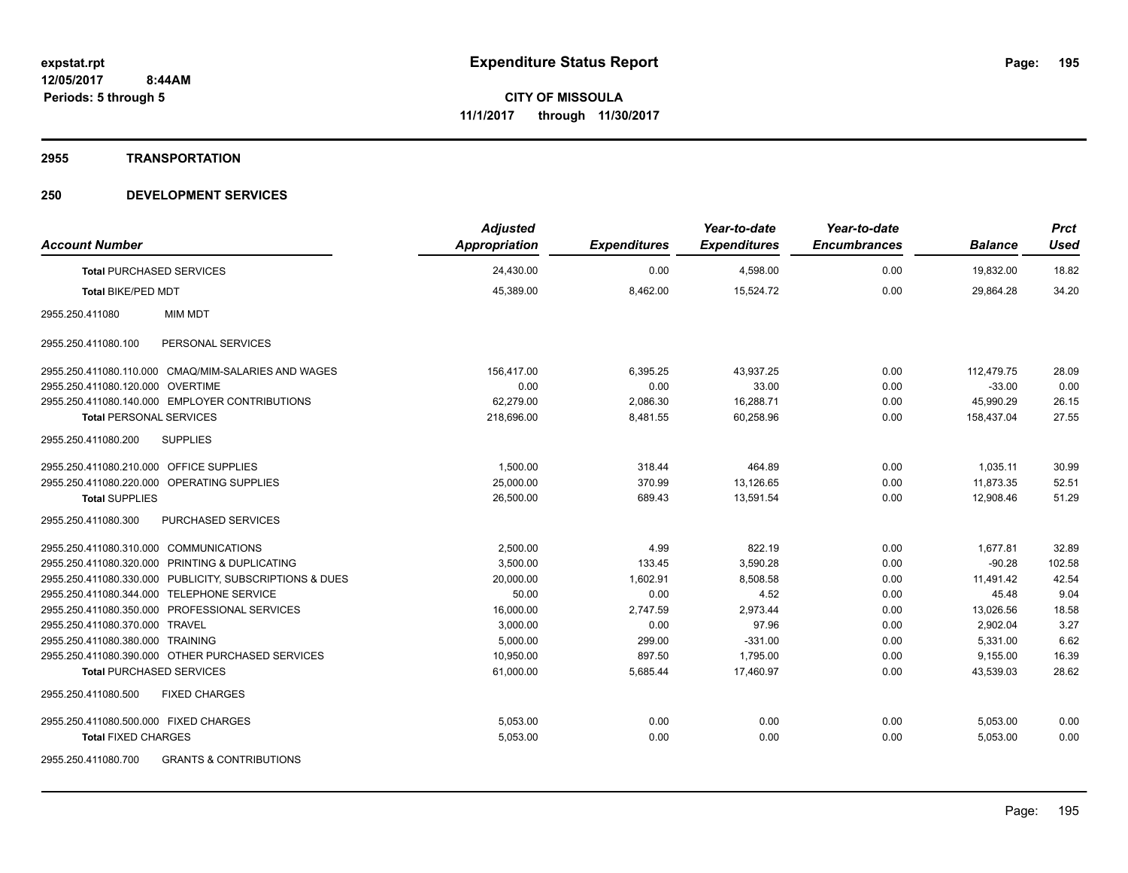#### **2955 TRANSPORTATION**

| <b>Account Number</b>                                    | <b>Adjusted</b><br><b>Appropriation</b> | <b>Expenditures</b> | Year-to-date<br><b>Expenditures</b> | Year-to-date<br><b>Encumbrances</b> | <b>Balance</b> | <b>Prct</b><br><b>Used</b> |
|----------------------------------------------------------|-----------------------------------------|---------------------|-------------------------------------|-------------------------------------|----------------|----------------------------|
| <b>Total PURCHASED SERVICES</b>                          | 24,430.00                               | 0.00                | 4,598.00                            | 0.00                                | 19,832.00      | 18.82                      |
| <b>Total BIKE/PED MDT</b>                                | 45,389.00                               | 8,462.00            | 15,524.72                           | 0.00                                | 29,864.28      | 34.20                      |
| 2955.250.411080<br><b>MIM MDT</b>                        |                                         |                     |                                     |                                     |                |                            |
| 2955.250.411080.100<br>PERSONAL SERVICES                 |                                         |                     |                                     |                                     |                |                            |
| 2955.250.411080.110.000 CMAQ/MIM-SALARIES AND WAGES      | 156,417.00                              | 6,395.25            | 43,937.25                           | 0.00                                | 112.479.75     | 28.09                      |
| 2955.250.411080.120.000 OVERTIME                         | 0.00                                    | 0.00                | 33.00                               | 0.00                                | $-33.00$       | 0.00                       |
| 2955.250.411080.140.000 EMPLOYER CONTRIBUTIONS           | 62,279.00                               | 2,086.30            | 16,288.71                           | 0.00                                | 45,990.29      | 26.15                      |
| <b>Total PERSONAL SERVICES</b>                           | 218,696.00                              | 8,481.55            | 60,258.96                           | 0.00                                | 158,437.04     | 27.55                      |
| 2955.250.411080.200<br><b>SUPPLIES</b>                   |                                         |                     |                                     |                                     |                |                            |
| 2955.250.411080.210.000 OFFICE SUPPLIES                  | 1,500.00                                | 318.44              | 464.89                              | 0.00                                | 1,035.11       | 30.99                      |
| 2955.250.411080.220.000 OPERATING SUPPLIES               | 25,000.00                               | 370.99              | 13,126.65                           | 0.00                                | 11,873.35      | 52.51                      |
| <b>Total SUPPLIES</b>                                    | 26,500.00                               | 689.43              | 13,591.54                           | 0.00                                | 12,908.46      | 51.29                      |
| <b>PURCHASED SERVICES</b><br>2955.250.411080.300         |                                         |                     |                                     |                                     |                |                            |
| 2955.250.411080.310.000 COMMUNICATIONS                   | 2,500.00                                | 4.99                | 822.19                              | 0.00                                | 1,677.81       | 32.89                      |
| 2955.250.411080.320.000 PRINTING & DUPLICATING           | 3,500.00                                | 133.45              | 3,590.28                            | 0.00                                | $-90.28$       | 102.58                     |
| 2955.250.411080.330.000 PUBLICITY, SUBSCRIPTIONS & DUES  | 20,000.00                               | 1,602.91            | 8,508.58                            | 0.00                                | 11,491.42      | 42.54                      |
| 2955.250.411080.344.000 TELEPHONE SERVICE                | 50.00                                   | 0.00                | 4.52                                | 0.00                                | 45.48          | 9.04                       |
| 2955.250.411080.350.000 PROFESSIONAL SERVICES            | 16,000.00                               | 2,747.59            | 2,973.44                            | 0.00                                | 13,026.56      | 18.58                      |
| 2955.250.411080.370.000 TRAVEL                           | 3,000.00                                | 0.00                | 97.96                               | 0.00                                | 2,902.04       | 3.27                       |
| 2955.250.411080.380.000 TRAINING                         | 5,000.00                                | 299.00              | $-331.00$                           | 0.00                                | 5,331.00       | 6.62                       |
| 2955.250.411080.390.000 OTHER PURCHASED SERVICES         | 10,950.00                               | 897.50              | 1,795.00                            | 0.00                                | 9,155.00       | 16.39                      |
| <b>Total PURCHASED SERVICES</b>                          | 61,000.00                               | 5,685.44            | 17.460.97                           | 0.00                                | 43,539.03      | 28.62                      |
| <b>FIXED CHARGES</b><br>2955.250.411080.500              |                                         |                     |                                     |                                     |                |                            |
| 2955.250.411080.500.000 FIXED CHARGES                    | 5,053.00                                | 0.00                | 0.00                                | 0.00                                | 5,053.00       | 0.00                       |
| <b>Total FIXED CHARGES</b>                               | 5,053.00                                | 0.00                | 0.00                                | 0.00                                | 5,053.00       | 0.00                       |
| <b>GRANTS &amp; CONTRIBUTIONS</b><br>2955.250.411080.700 |                                         |                     |                                     |                                     |                |                            |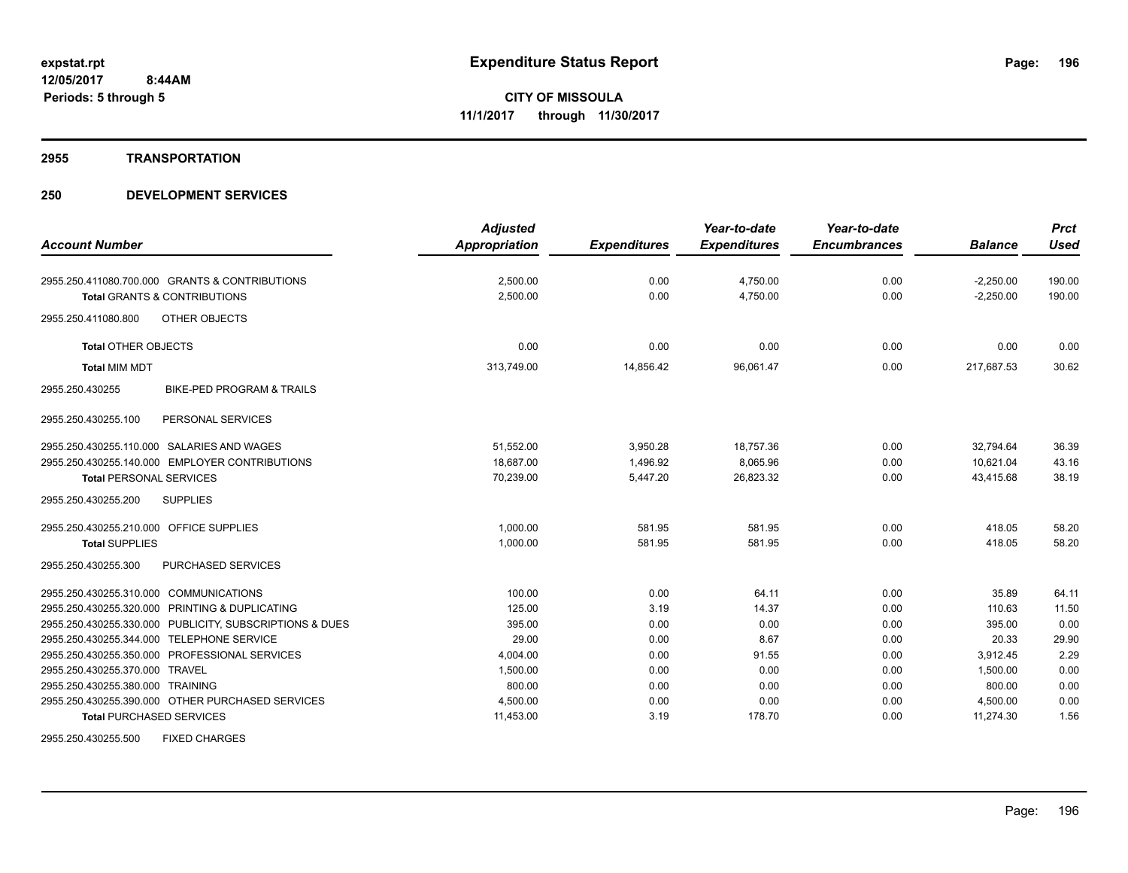#### **2955 TRANSPORTATION**

| <b>Account Number</b>                                   | <b>Adjusted</b>      |                     | Year-to-date<br><b>Expenditures</b> | Year-to-date<br><b>Encumbrances</b> | <b>Balance</b> | <b>Prct</b><br><b>Used</b> |
|---------------------------------------------------------|----------------------|---------------------|-------------------------------------|-------------------------------------|----------------|----------------------------|
|                                                         | <b>Appropriation</b> | <b>Expenditures</b> |                                     |                                     |                |                            |
| 2955.250.411080.700.000 GRANTS & CONTRIBUTIONS          | 2,500.00             | 0.00                | 4,750.00                            | 0.00                                | $-2,250.00$    | 190.00                     |
| <b>Total GRANTS &amp; CONTRIBUTIONS</b>                 | 2,500.00             | 0.00                | 4,750.00                            | 0.00                                | $-2,250.00$    | 190.00                     |
| <b>OTHER OBJECTS</b><br>2955.250.411080.800             |                      |                     |                                     |                                     |                |                            |
| <b>Total OTHER OBJECTS</b>                              | 0.00                 | 0.00                | 0.00                                | 0.00                                | 0.00           | 0.00                       |
| <b>Total MIM MDT</b>                                    | 313,749.00           | 14,856.42           | 96,061.47                           | 0.00                                | 217,687.53     | 30.62                      |
| <b>BIKE-PED PROGRAM &amp; TRAILS</b><br>2955.250.430255 |                      |                     |                                     |                                     |                |                            |
| PERSONAL SERVICES<br>2955.250.430255.100                |                      |                     |                                     |                                     |                |                            |
| 2955.250.430255.110.000 SALARIES AND WAGES              | 51,552.00            | 3,950.28            | 18,757.36                           | 0.00                                | 32,794.64      | 36.39                      |
| 2955.250.430255.140.000 EMPLOYER CONTRIBUTIONS          | 18.687.00            | 1.496.92            | 8,065.96                            | 0.00                                | 10.621.04      | 43.16                      |
| <b>Total PERSONAL SERVICES</b>                          | 70,239.00            | 5,447.20            | 26,823.32                           | 0.00                                | 43,415.68      | 38.19                      |
| 2955.250.430255.200<br><b>SUPPLIES</b>                  |                      |                     |                                     |                                     |                |                            |
| 2955.250.430255.210.000 OFFICE SUPPLIES                 | 1.000.00             | 581.95              | 581.95                              | 0.00                                | 418.05         | 58.20                      |
| <b>Total SUPPLIES</b>                                   | 1,000.00             | 581.95              | 581.95                              | 0.00                                | 418.05         | 58.20                      |
| <b>PURCHASED SERVICES</b><br>2955.250.430255.300        |                      |                     |                                     |                                     |                |                            |
| 2955.250.430255.310.000 COMMUNICATIONS                  | 100.00               | 0.00                | 64.11                               | 0.00                                | 35.89          | 64.11                      |
| 2955.250.430255.320.000 PRINTING & DUPLICATING          | 125.00               | 3.19                | 14.37                               | 0.00                                | 110.63         | 11.50                      |
| 2955.250.430255.330.000 PUBLICITY, SUBSCRIPTIONS & DUES | 395.00               | 0.00                | 0.00                                | 0.00                                | 395.00         | 0.00                       |
| 2955.250.430255.344.000 TELEPHONE SERVICE               | 29.00                | 0.00                | 8.67                                | 0.00                                | 20.33          | 29.90                      |
| 2955.250.430255.350.000 PROFESSIONAL SERVICES           | 4,004.00             | 0.00                | 91.55                               | 0.00                                | 3.912.45       | 2.29                       |
| 2955.250.430255.370.000 TRAVEL                          | 1,500.00             | 0.00                | 0.00                                | 0.00                                | 1,500.00       | 0.00                       |
| 2955.250.430255.380.000 TRAINING                        | 800.00               | 0.00                | 0.00                                | 0.00                                | 800.00         | 0.00                       |
| 2955.250.430255.390.000 OTHER PURCHASED SERVICES        | 4,500.00             | 0.00                | 0.00                                | 0.00                                | 4,500.00       | 0.00                       |
| <b>Total PURCHASED SERVICES</b>                         | 11,453.00            | 3.19                | 178.70                              | 0.00                                | 11,274.30      | 1.56                       |
| <b>FIXED CHARGES</b><br>2955.250.430255.500             |                      |                     |                                     |                                     |                |                            |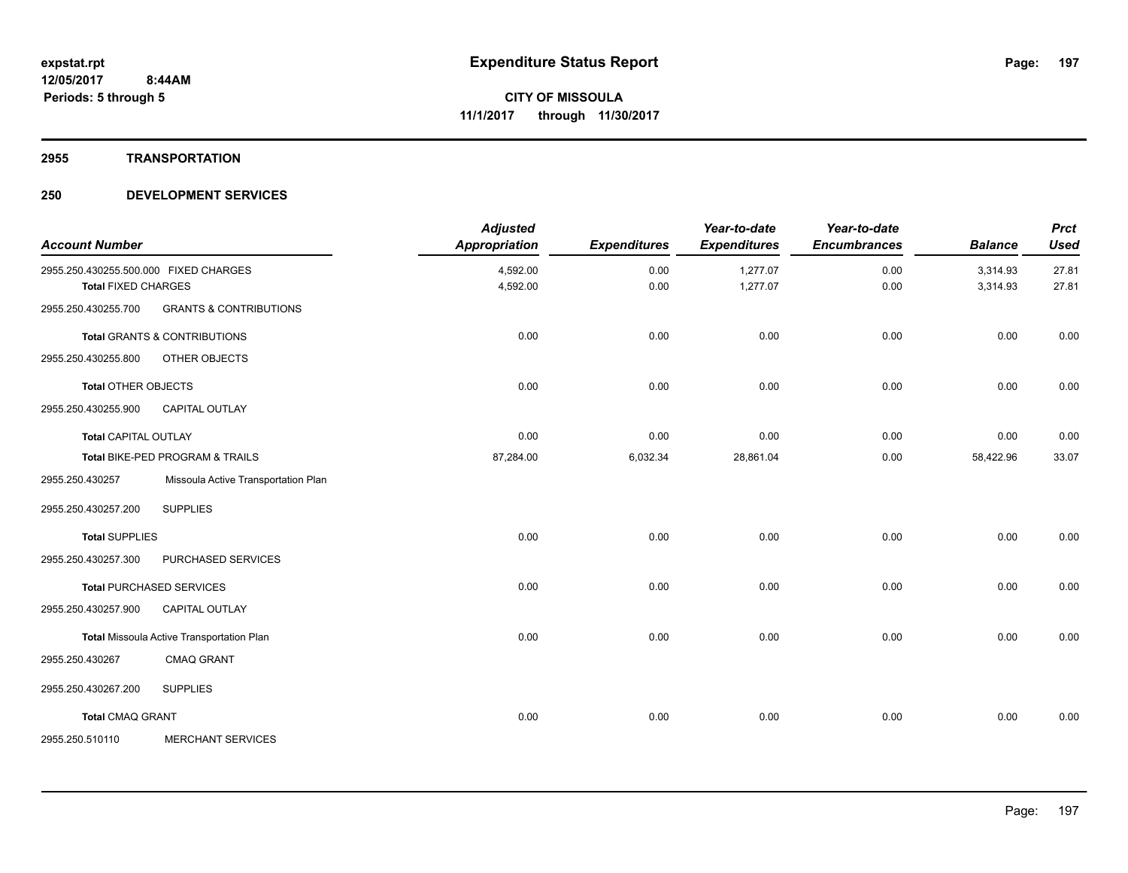#### **2955 TRANSPORTATION**

| <b>Account Number</b>                                               |                                           | <b>Adjusted</b><br><b>Appropriation</b> | <b>Expenditures</b> | Year-to-date<br><b>Expenditures</b> | Year-to-date<br><b>Encumbrances</b> | <b>Balance</b>       | <b>Prct</b><br><b>Used</b> |
|---------------------------------------------------------------------|-------------------------------------------|-----------------------------------------|---------------------|-------------------------------------|-------------------------------------|----------------------|----------------------------|
| 2955.250.430255.500.000 FIXED CHARGES<br><b>Total FIXED CHARGES</b> |                                           | 4,592.00<br>4,592.00                    | 0.00<br>0.00        | 1,277.07<br>1,277.07                | 0.00<br>0.00                        | 3,314.93<br>3,314.93 | 27.81<br>27.81             |
| 2955.250.430255.700                                                 | <b>GRANTS &amp; CONTRIBUTIONS</b>         |                                         |                     |                                     |                                     |                      |                            |
|                                                                     | <b>Total GRANTS &amp; CONTRIBUTIONS</b>   | 0.00                                    | 0.00                | 0.00                                | 0.00                                | 0.00                 | 0.00                       |
| 2955.250.430255.800                                                 | OTHER OBJECTS                             |                                         |                     |                                     |                                     |                      |                            |
| <b>Total OTHER OBJECTS</b>                                          |                                           | 0.00                                    | 0.00                | 0.00                                | 0.00                                | 0.00                 | 0.00                       |
| 2955.250.430255.900                                                 | <b>CAPITAL OUTLAY</b>                     |                                         |                     |                                     |                                     |                      |                            |
| <b>Total CAPITAL OUTLAY</b>                                         |                                           | 0.00                                    | 0.00                | 0.00                                | 0.00                                | 0.00                 | 0.00                       |
|                                                                     | Total BIKE-PED PROGRAM & TRAILS           | 87,284.00                               | 6,032.34            | 28,861.04                           | 0.00                                | 58,422.96            | 33.07                      |
| 2955.250.430257                                                     | Missoula Active Transportation Plan       |                                         |                     |                                     |                                     |                      |                            |
| 2955.250.430257.200                                                 | <b>SUPPLIES</b>                           |                                         |                     |                                     |                                     |                      |                            |
| <b>Total SUPPLIES</b>                                               |                                           | 0.00                                    | 0.00                | 0.00                                | 0.00                                | 0.00                 | 0.00                       |
| 2955.250.430257.300                                                 | PURCHASED SERVICES                        |                                         |                     |                                     |                                     |                      |                            |
|                                                                     | <b>Total PURCHASED SERVICES</b>           | 0.00                                    | 0.00                | 0.00                                | 0.00                                | 0.00                 | 0.00                       |
| 2955.250.430257.900                                                 | CAPITAL OUTLAY                            |                                         |                     |                                     |                                     |                      |                            |
|                                                                     | Total Missoula Active Transportation Plan | 0.00                                    | 0.00                | 0.00                                | 0.00                                | 0.00                 | 0.00                       |
| 2955.250.430267                                                     | <b>CMAQ GRANT</b>                         |                                         |                     |                                     |                                     |                      |                            |
| 2955.250.430267.200                                                 | <b>SUPPLIES</b>                           |                                         |                     |                                     |                                     |                      |                            |
| <b>Total CMAQ GRANT</b>                                             |                                           | 0.00                                    | 0.00                | 0.00                                | 0.00                                | 0.00                 | 0.00                       |
| 2955.250.510110                                                     | <b>MERCHANT SERVICES</b>                  |                                         |                     |                                     |                                     |                      |                            |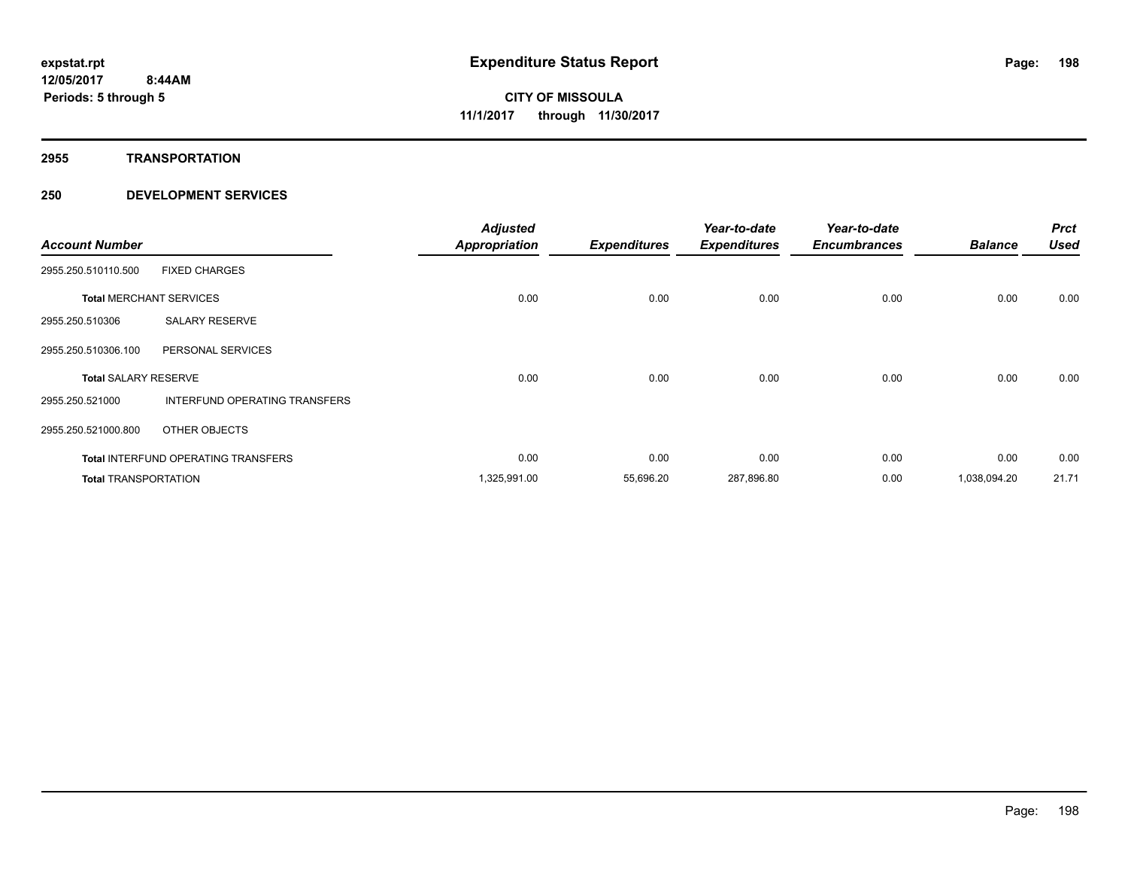**2955 TRANSPORTATION**

| <b>Account Number</b>       |                                            | <b>Adjusted</b><br><b>Appropriation</b> | <b>Expenditures</b> | Year-to-date<br><b>Expenditures</b> | Year-to-date<br><b>Encumbrances</b> | <b>Balance</b> | <b>Prct</b><br><b>Used</b> |
|-----------------------------|--------------------------------------------|-----------------------------------------|---------------------|-------------------------------------|-------------------------------------|----------------|----------------------------|
| 2955.250.510110.500         | <b>FIXED CHARGES</b>                       |                                         |                     |                                     |                                     |                |                            |
|                             | <b>Total MERCHANT SERVICES</b>             | 0.00                                    | 0.00                | 0.00                                | 0.00                                | 0.00           | 0.00                       |
| 2955.250.510306             | <b>SALARY RESERVE</b>                      |                                         |                     |                                     |                                     |                |                            |
| 2955.250.510306.100         | PERSONAL SERVICES                          |                                         |                     |                                     |                                     |                |                            |
| <b>Total SALARY RESERVE</b> |                                            | 0.00                                    | 0.00                | 0.00                                | 0.00                                | 0.00           | 0.00                       |
| 2955.250.521000             | INTERFUND OPERATING TRANSFERS              |                                         |                     |                                     |                                     |                |                            |
| 2955.250.521000.800         | OTHER OBJECTS                              |                                         |                     |                                     |                                     |                |                            |
|                             | <b>Total INTERFUND OPERATING TRANSFERS</b> | 0.00                                    | 0.00                | 0.00                                | 0.00                                | 0.00           | 0.00                       |
| <b>Total TRANSPORTATION</b> |                                            | 1,325,991.00                            | 55,696.20           | 287,896.80                          | 0.00                                | 1,038,094.20   | 21.71                      |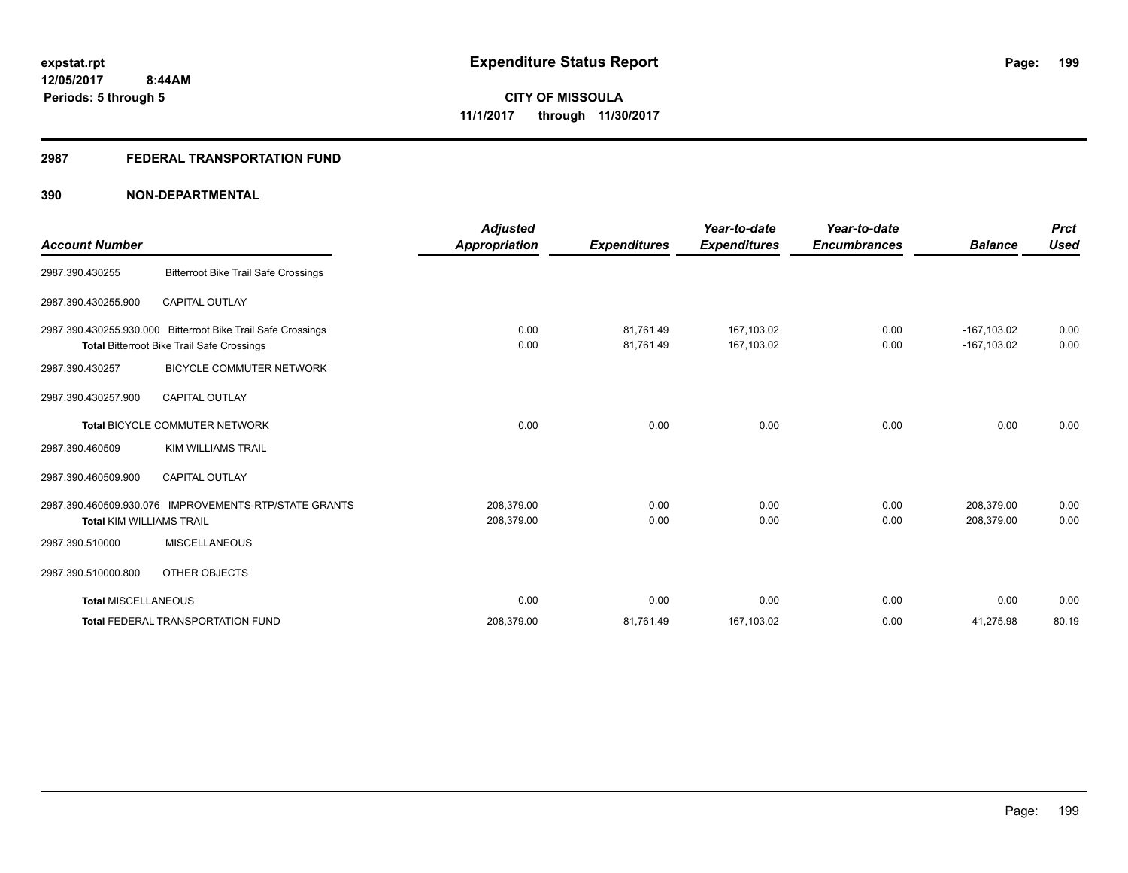# **2987 FEDERAL TRANSPORTATION FUND**

|                                 |                                                              | <b>Adjusted</b>      |                     | Year-to-date        | Year-to-date        |                | <b>Prct</b> |
|---------------------------------|--------------------------------------------------------------|----------------------|---------------------|---------------------|---------------------|----------------|-------------|
| <b>Account Number</b>           |                                                              | <b>Appropriation</b> | <b>Expenditures</b> | <b>Expenditures</b> | <b>Encumbrances</b> | <b>Balance</b> | <b>Used</b> |
| 2987.390.430255                 | <b>Bitterroot Bike Trail Safe Crossings</b>                  |                      |                     |                     |                     |                |             |
| 2987.390.430255.900             | <b>CAPITAL OUTLAY</b>                                        |                      |                     |                     |                     |                |             |
|                                 | 2987.390.430255.930.000 Bitterroot Bike Trail Safe Crossings | 0.00                 | 81,761.49           | 167,103.02          | 0.00                | $-167,103.02$  | 0.00        |
|                                 | <b>Total Bitterroot Bike Trail Safe Crossings</b>            | 0.00                 | 81,761.49           | 167,103.02          | 0.00                | $-167.103.02$  | 0.00        |
| 2987.390.430257                 | <b>BICYCLE COMMUTER NETWORK</b>                              |                      |                     |                     |                     |                |             |
| 2987.390.430257.900             | <b>CAPITAL OUTLAY</b>                                        |                      |                     |                     |                     |                |             |
|                                 | Total BICYCLE COMMUTER NETWORK                               | 0.00                 | 0.00                | 0.00                | 0.00                | 0.00           | 0.00        |
| 2987.390.460509                 | <b>KIM WILLIAMS TRAIL</b>                                    |                      |                     |                     |                     |                |             |
| 2987.390.460509.900             | <b>CAPITAL OUTLAY</b>                                        |                      |                     |                     |                     |                |             |
|                                 | 2987.390.460509.930.076 IMPROVEMENTS-RTP/STATE GRANTS        | 208,379.00           | 0.00                | 0.00                | 0.00                | 208.379.00     | 0.00        |
| <b>Total KIM WILLIAMS TRAIL</b> |                                                              | 208,379.00           | 0.00                | 0.00                | 0.00                | 208,379.00     | 0.00        |
| 2987.390.510000                 | <b>MISCELLANEOUS</b>                                         |                      |                     |                     |                     |                |             |
| 2987.390.510000.800             | <b>OTHER OBJECTS</b>                                         |                      |                     |                     |                     |                |             |
| <b>Total MISCELLANEOUS</b>      |                                                              | 0.00                 | 0.00                | 0.00                | 0.00                | 0.00           | 0.00        |
|                                 | <b>Total FEDERAL TRANSPORTATION FUND</b>                     | 208,379.00           | 81,761.49           | 167,103.02          | 0.00                | 41,275.98      | 80.19       |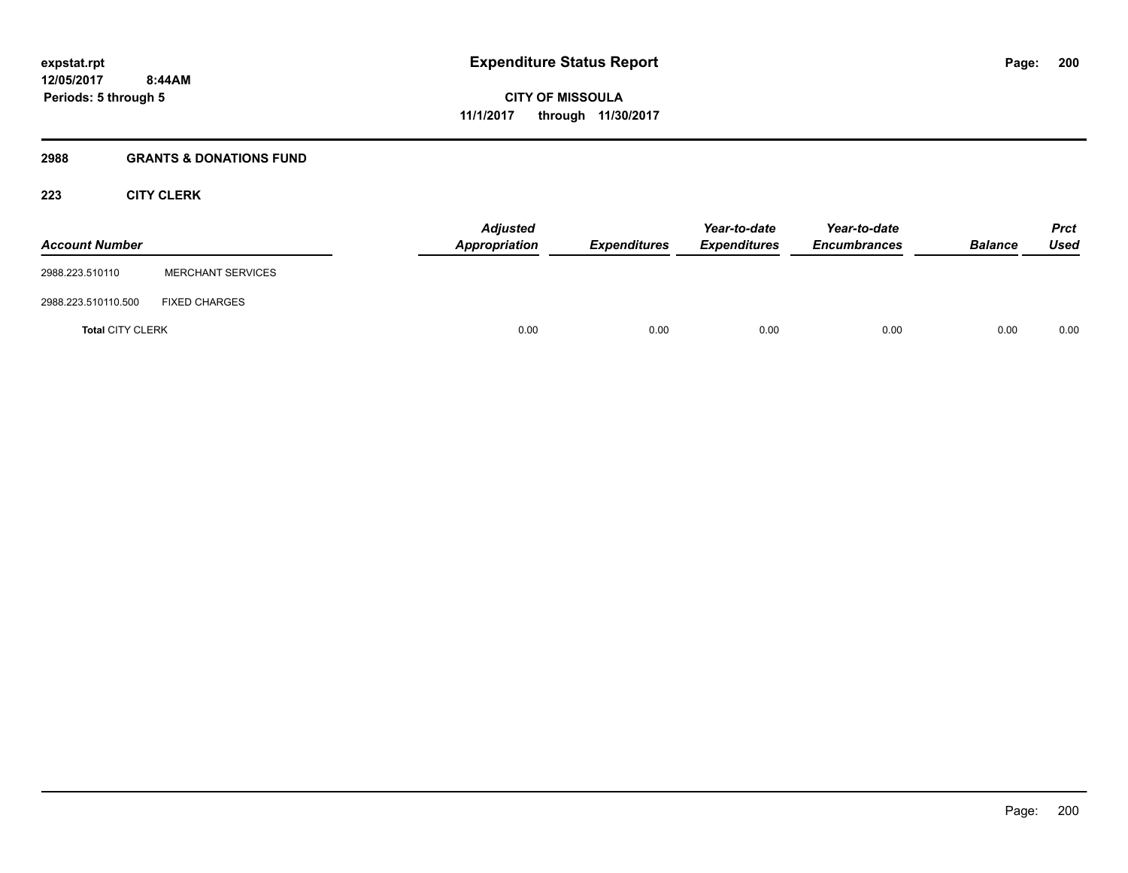# **2988 GRANTS & DONATIONS FUND**

# **223 CITY CLERK**

| <b>Account Number</b>   |                          | <b>Adjusted</b><br>Appropriation | <b>Expenditures</b> | Year-to-date<br><b>Expenditures</b> | Year-to-date<br><b>Encumbrances</b> | <b>Balance</b> | Prct<br><b>Used</b> |
|-------------------------|--------------------------|----------------------------------|---------------------|-------------------------------------|-------------------------------------|----------------|---------------------|
| 2988.223.510110         | <b>MERCHANT SERVICES</b> |                                  |                     |                                     |                                     |                |                     |
| 2988.223.510110.500     | <b>FIXED CHARGES</b>     |                                  |                     |                                     |                                     |                |                     |
| <b>Total CITY CLERK</b> |                          | 0.00                             | 0.00                | 0.00                                | 0.00                                | 0.00           | 0.00                |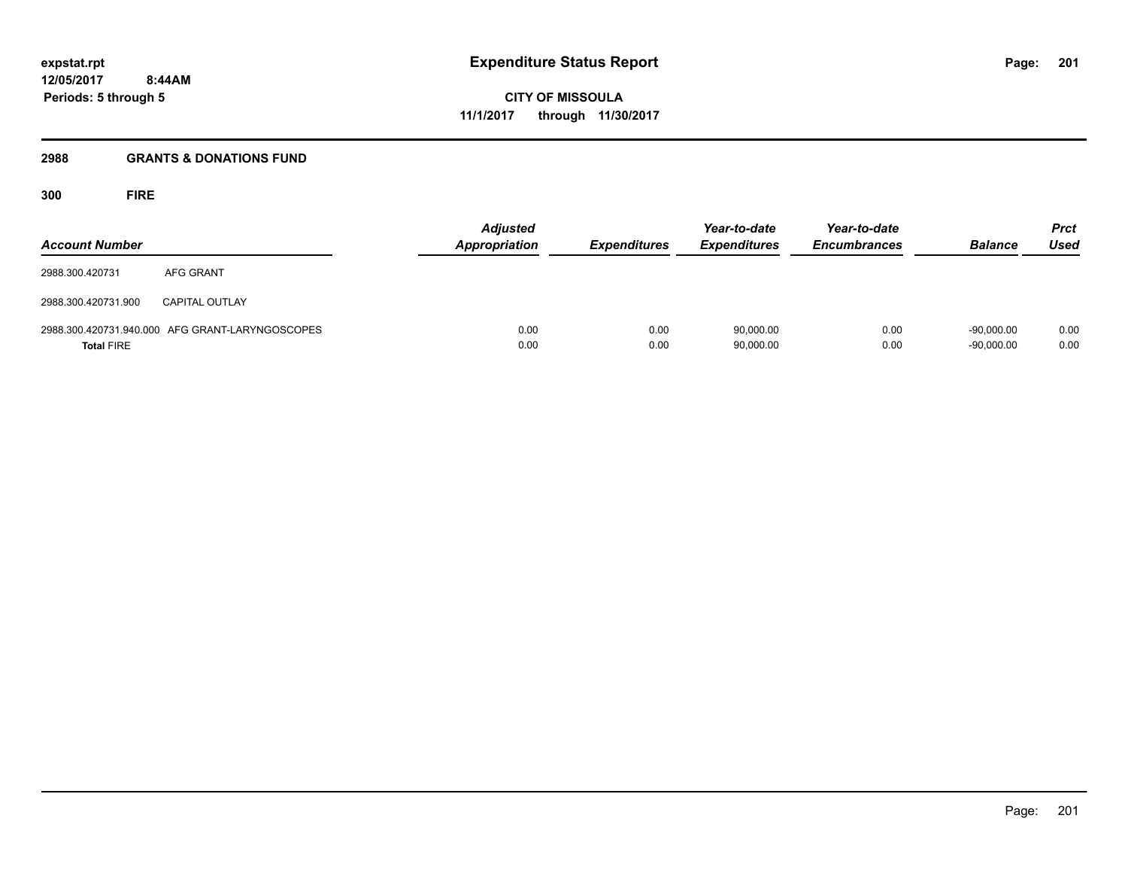**12/05/2017 8:44AM Periods: 5 through 5**

**CITY OF MISSOULA 11/1/2017 through 11/30/2017**

### **2988 GRANTS & DONATIONS FUND**

**300 FIRE**

| <b>Account Number</b> |                                                 | Adjusted<br><b>Appropriation</b> | <b>Expenditures</b> | Year-to-date<br><b>Expenditures</b> | Year-to-date<br><b>Encumbrances</b> | <b>Balance</b>               | <b>Prct</b><br><b>Used</b> |
|-----------------------|-------------------------------------------------|----------------------------------|---------------------|-------------------------------------|-------------------------------------|------------------------------|----------------------------|
| 2988.300.420731       | AFG GRANT                                       |                                  |                     |                                     |                                     |                              |                            |
| 2988.300.420731.900   | <b>CAPITAL OUTLAY</b>                           |                                  |                     |                                     |                                     |                              |                            |
| <b>Total FIRE</b>     | 2988.300.420731.940.000 AFG GRANT-LARYNGOSCOPES | 0.00<br>0.00                     | 0.00<br>0.00        | 90,000.00<br>90,000.00              | 0.00<br>0.00                        | $-90.000.00$<br>$-90,000.00$ | 0.00<br>0.00               |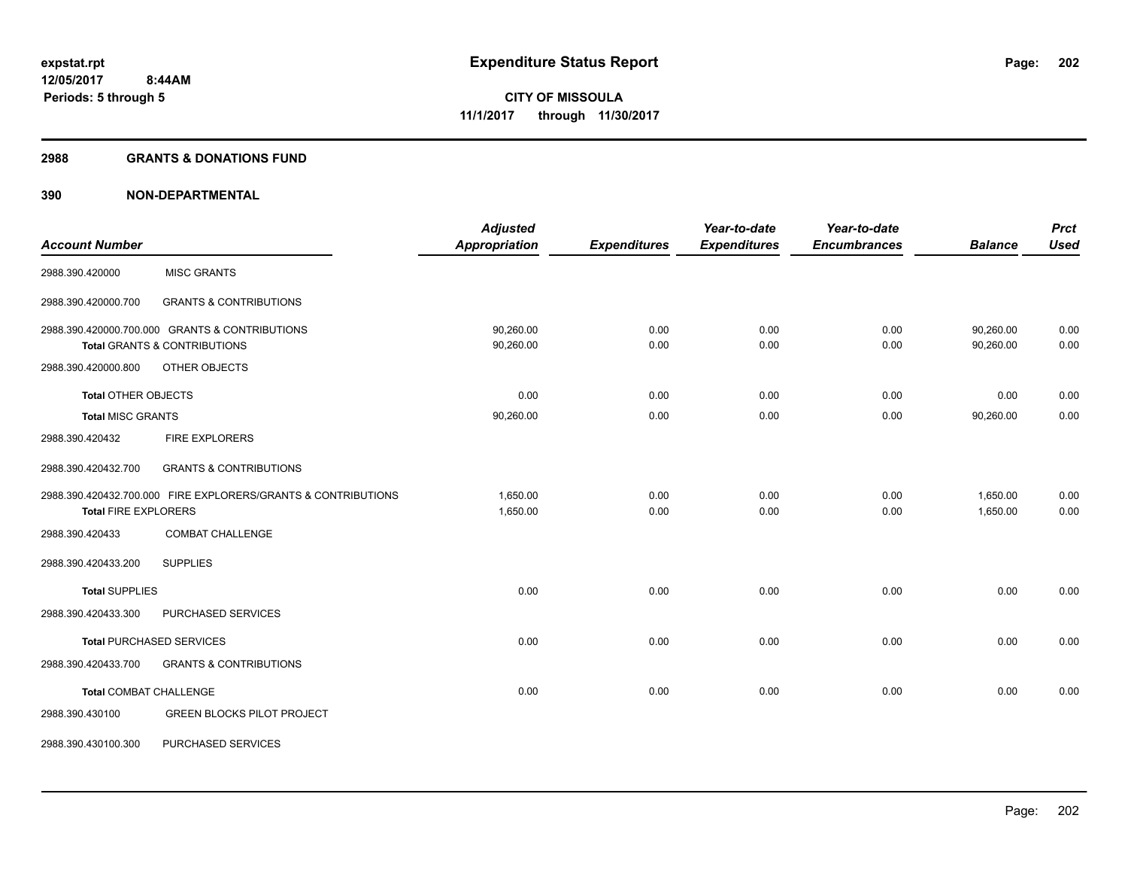#### **2988 GRANTS & DONATIONS FUND**

|                               |                                                               | <b>Adjusted</b>      |                     | Year-to-date        | Year-to-date        |                | <b>Prct</b> |
|-------------------------------|---------------------------------------------------------------|----------------------|---------------------|---------------------|---------------------|----------------|-------------|
| <b>Account Number</b>         |                                                               | <b>Appropriation</b> | <b>Expenditures</b> | <b>Expenditures</b> | <b>Encumbrances</b> | <b>Balance</b> | <b>Used</b> |
| 2988.390.420000               | <b>MISC GRANTS</b>                                            |                      |                     |                     |                     |                |             |
| 2988.390.420000.700           | <b>GRANTS &amp; CONTRIBUTIONS</b>                             |                      |                     |                     |                     |                |             |
|                               | 2988.390.420000.700.000 GRANTS & CONTRIBUTIONS                | 90,260.00            | 0.00                | 0.00                | 0.00                | 90,260.00      | 0.00        |
|                               | <b>Total GRANTS &amp; CONTRIBUTIONS</b>                       | 90,260.00            | 0.00                | 0.00                | 0.00                | 90,260.00      | 0.00        |
| 2988.390.420000.800           | OTHER OBJECTS                                                 |                      |                     |                     |                     |                |             |
| <b>Total OTHER OBJECTS</b>    |                                                               | 0.00                 | 0.00                | 0.00                | 0.00                | 0.00           | 0.00        |
| <b>Total MISC GRANTS</b>      |                                                               | 90,260.00            | 0.00                | 0.00                | 0.00                | 90,260.00      | 0.00        |
| 2988.390.420432               | <b>FIRE EXPLORERS</b>                                         |                      |                     |                     |                     |                |             |
| 2988.390.420432.700           | <b>GRANTS &amp; CONTRIBUTIONS</b>                             |                      |                     |                     |                     |                |             |
|                               | 2988.390.420432.700.000 FIRE EXPLORERS/GRANTS & CONTRIBUTIONS | 1,650.00             | 0.00                | 0.00                | 0.00                | 1,650.00       | 0.00        |
| <b>Total FIRE EXPLORERS</b>   |                                                               | 1,650.00             | 0.00                | 0.00                | 0.00                | 1,650.00       | 0.00        |
| 2988.390.420433               | <b>COMBAT CHALLENGE</b>                                       |                      |                     |                     |                     |                |             |
| 2988.390.420433.200           | <b>SUPPLIES</b>                                               |                      |                     |                     |                     |                |             |
| <b>Total SUPPLIES</b>         |                                                               | 0.00                 | 0.00                | 0.00                | 0.00                | 0.00           | 0.00        |
| 2988.390.420433.300           | PURCHASED SERVICES                                            |                      |                     |                     |                     |                |             |
|                               | <b>Total PURCHASED SERVICES</b>                               | 0.00                 | 0.00                | 0.00                | 0.00                | 0.00           | 0.00        |
| 2988.390.420433.700           | <b>GRANTS &amp; CONTRIBUTIONS</b>                             |                      |                     |                     |                     |                |             |
| <b>Total COMBAT CHALLENGE</b> |                                                               | 0.00                 | 0.00                | 0.00                | 0.00                | 0.00           | 0.00        |
| 2988.390.430100               | <b>GREEN BLOCKS PILOT PROJECT</b>                             |                      |                     |                     |                     |                |             |
| 2988.390.430100.300           | PURCHASED SERVICES                                            |                      |                     |                     |                     |                |             |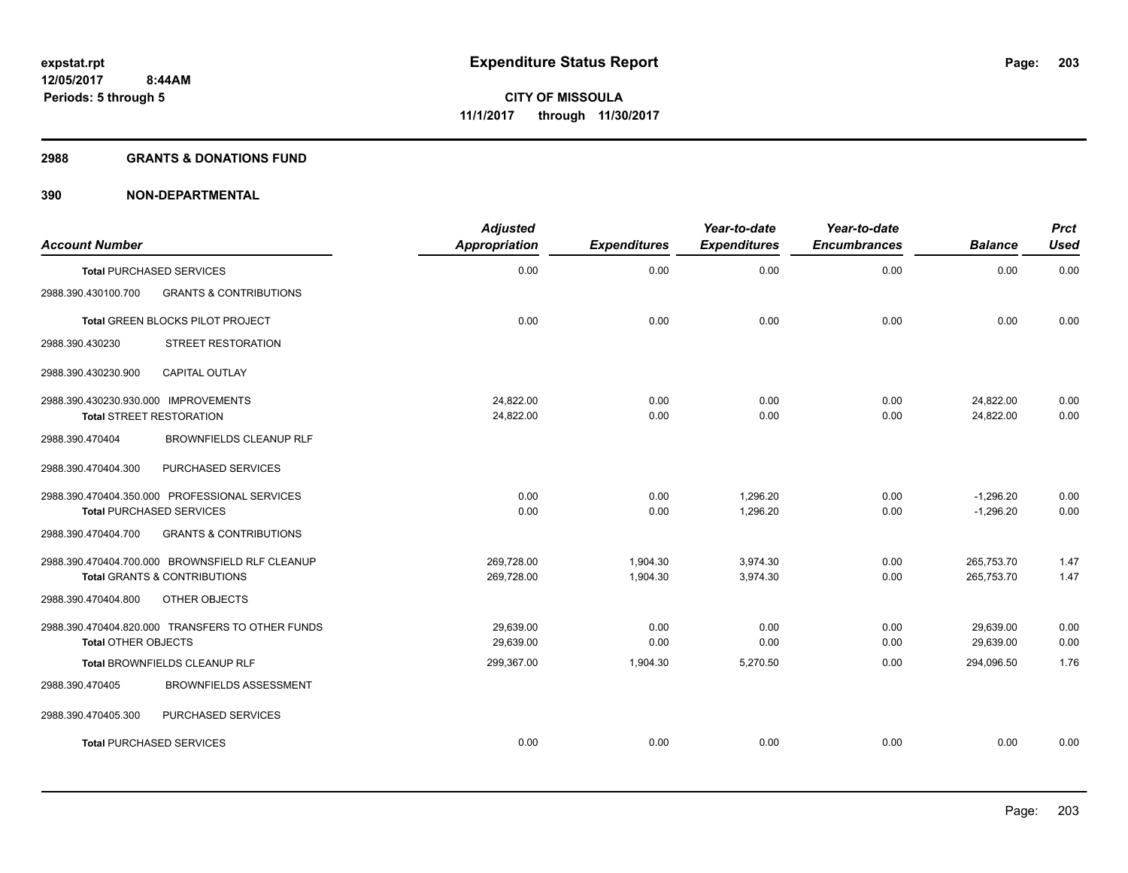### **2988 GRANTS & DONATIONS FUND**

| <b>Account Number</b>                |                                                  | <b>Adjusted</b><br>Appropriation | <b>Expenditures</b> | Year-to-date<br><b>Expenditures</b> | Year-to-date<br><b>Encumbrances</b> | <b>Balance</b> | <b>Prct</b><br><b>Used</b> |
|--------------------------------------|--------------------------------------------------|----------------------------------|---------------------|-------------------------------------|-------------------------------------|----------------|----------------------------|
| <b>Total PURCHASED SERVICES</b>      |                                                  | 0.00                             | 0.00                | 0.00                                | 0.00                                | 0.00           | 0.00                       |
| 2988.390.430100.700                  | <b>GRANTS &amp; CONTRIBUTIONS</b>                |                                  |                     |                                     |                                     |                |                            |
|                                      | Total GREEN BLOCKS PILOT PROJECT                 | 0.00                             | 0.00                | 0.00                                | 0.00                                | 0.00           | 0.00                       |
| 2988.390.430230                      | STREET RESTORATION                               |                                  |                     |                                     |                                     |                |                            |
| 2988.390.430230.900                  | <b>CAPITAL OUTLAY</b>                            |                                  |                     |                                     |                                     |                |                            |
| 2988.390.430230.930.000 IMPROVEMENTS |                                                  | 24,822.00                        | 0.00                | 0.00                                | 0.00                                | 24,822.00      | 0.00                       |
| <b>Total STREET RESTORATION</b>      |                                                  | 24,822.00                        | 0.00                | 0.00                                | 0.00                                | 24,822.00      | 0.00                       |
| 2988.390.470404                      | <b>BROWNFIELDS CLEANUP RLF</b>                   |                                  |                     |                                     |                                     |                |                            |
| 2988.390.470404.300                  | PURCHASED SERVICES                               |                                  |                     |                                     |                                     |                |                            |
|                                      | 2988.390.470404.350.000 PROFESSIONAL SERVICES    | 0.00                             | 0.00                | 1,296.20                            | 0.00                                | $-1.296.20$    | 0.00                       |
| <b>Total PURCHASED SERVICES</b>      |                                                  | 0.00                             | 0.00                | 1,296.20                            | 0.00                                | $-1,296.20$    | 0.00                       |
| 2988.390.470404.700                  | <b>GRANTS &amp; CONTRIBUTIONS</b>                |                                  |                     |                                     |                                     |                |                            |
|                                      | 2988.390.470404.700.000 BROWNSFIELD RLF CLEANUP  | 269,728.00                       | 1,904.30            | 3,974.30                            | 0.00                                | 265,753.70     | 1.47                       |
|                                      | <b>Total GRANTS &amp; CONTRIBUTIONS</b>          | 269,728.00                       | 1,904.30            | 3,974.30                            | 0.00                                | 265,753.70     | 1.47                       |
| 2988.390.470404.800                  | OTHER OBJECTS                                    |                                  |                     |                                     |                                     |                |                            |
|                                      | 2988.390.470404.820.000 TRANSFERS TO OTHER FUNDS | 29,639.00                        | 0.00                | 0.00                                | 0.00                                | 29,639.00      | 0.00                       |
| <b>Total OTHER OBJECTS</b>           |                                                  | 29,639.00                        | 0.00                | 0.00                                | 0.00                                | 29,639.00      | 0.00                       |
|                                      | Total BROWNFIELDS CLEANUP RLF                    | 299,367.00                       | 1,904.30            | 5,270.50                            | 0.00                                | 294,096.50     | 1.76                       |
| 2988.390.470405                      | <b>BROWNFIELDS ASSESSMENT</b>                    |                                  |                     |                                     |                                     |                |                            |
| 2988.390.470405.300                  | PURCHASED SERVICES                               |                                  |                     |                                     |                                     |                |                            |
| <b>Total PURCHASED SERVICES</b>      |                                                  | 0.00                             | 0.00                | 0.00                                | 0.00                                | 0.00           | 0.00                       |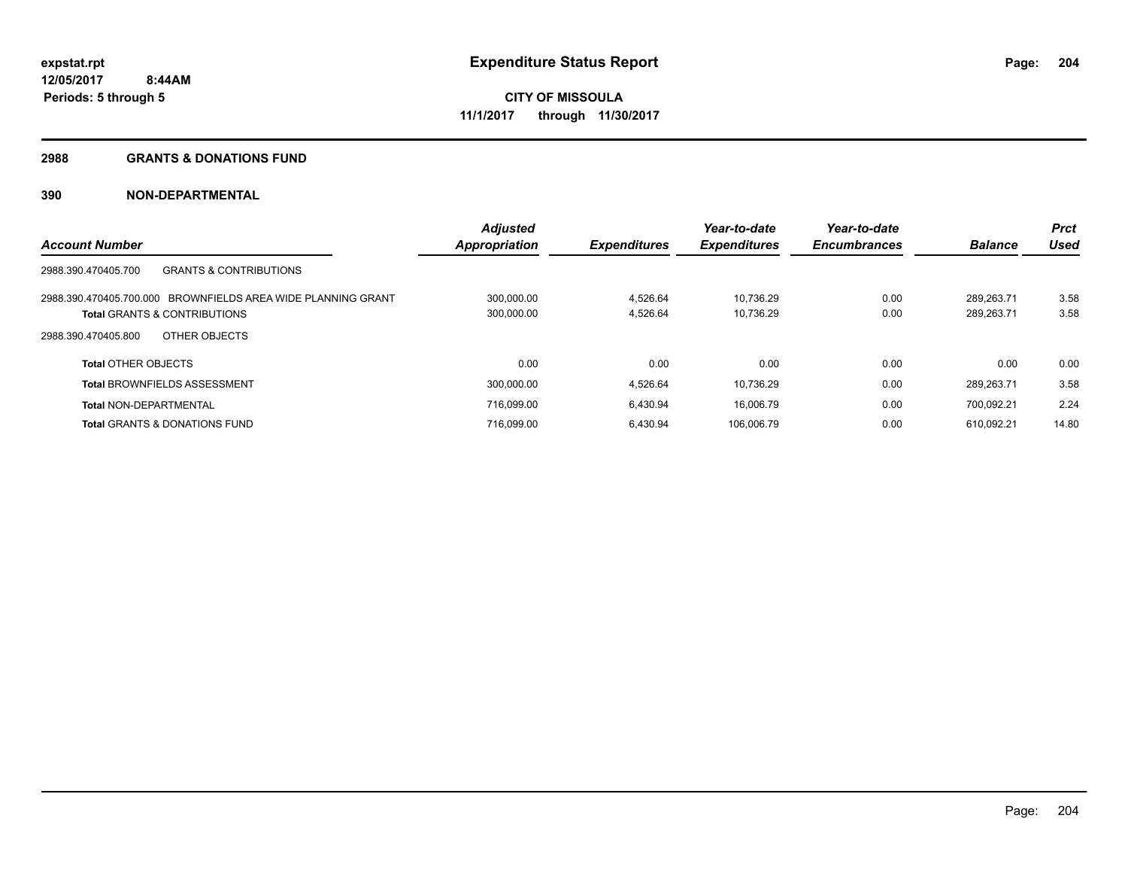#### **2988 GRANTS & DONATIONS FUND**

|                                                              | <b>Adjusted</b> |                     | Year-to-date        | Year-to-date        |                | <b>Prct</b> |
|--------------------------------------------------------------|-----------------|---------------------|---------------------|---------------------|----------------|-------------|
| <b>Account Number</b>                                        | Appropriation   | <b>Expenditures</b> | <b>Expenditures</b> | <b>Encumbrances</b> | <b>Balance</b> | Used        |
| <b>GRANTS &amp; CONTRIBUTIONS</b><br>2988.390.470405.700     |                 |                     |                     |                     |                |             |
| 2988.390.470405.700.000 BROWNFIELDS AREA WIDE PLANNING GRANT | 300,000.00      | 4,526.64            | 10.736.29           | 0.00                | 289.263.71     | 3.58        |
| <b>Total GRANTS &amp; CONTRIBUTIONS</b>                      | 300,000.00      | 4,526.64            | 10,736.29           | 0.00                | 289,263.71     | 3.58        |
| OTHER OBJECTS<br>2988.390.470405.800                         |                 |                     |                     |                     |                |             |
| <b>Total OTHER OBJECTS</b>                                   | 0.00            | 0.00                | 0.00                | 0.00                | 0.00           | 0.00        |
| <b>Total BROWNFIELDS ASSESSMENT</b>                          | 300,000.00      | 4,526.64            | 10,736.29           | 0.00                | 289,263.71     | 3.58        |
| <b>Total NON-DEPARTMENTAL</b>                                | 716,099.00      | 6.430.94            | 16,006.79           | 0.00                | 700.092.21     | 2.24        |
| <b>Total GRANTS &amp; DONATIONS FUND</b>                     | 716,099.00      | 6,430.94            | 106.006.79          | 0.00                | 610.092.21     | 14.80       |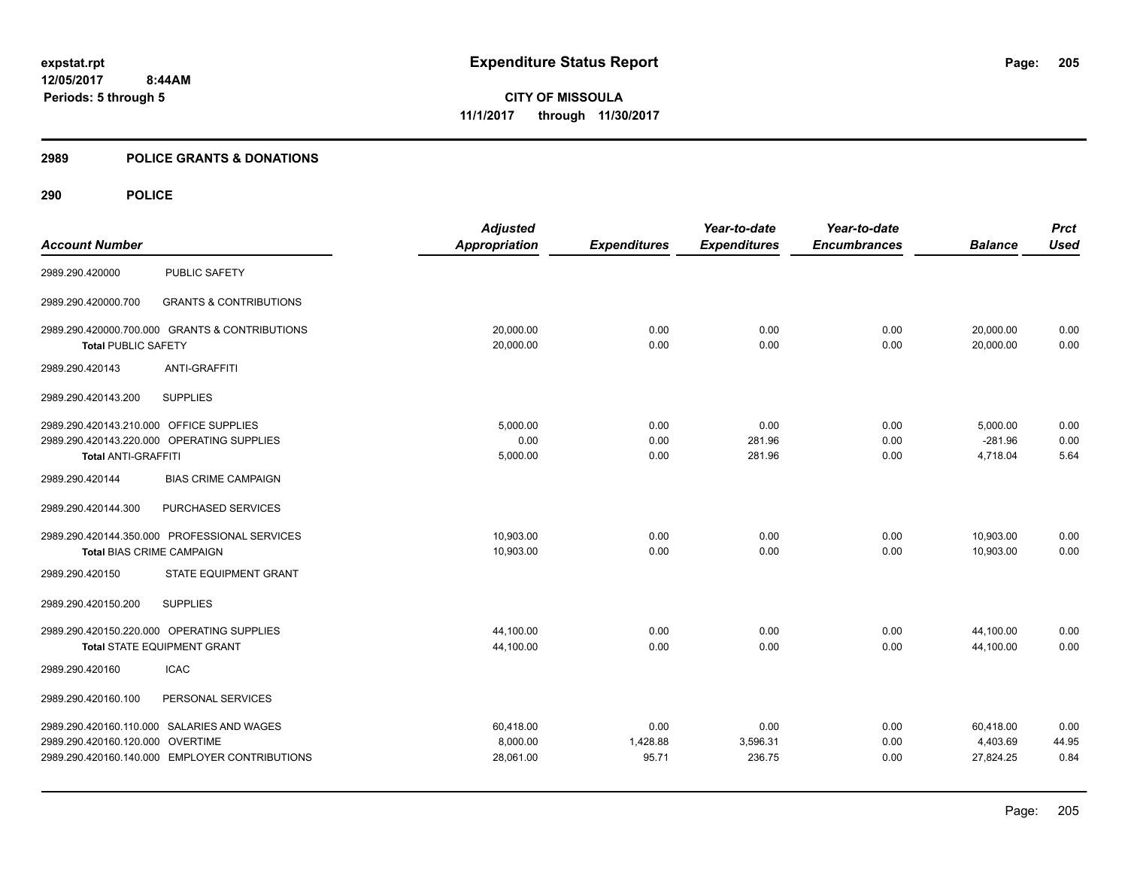#### **2989 POLICE GRANTS & DONATIONS**

|                                         |                                                | <b>Adjusted</b>      |                     | Year-to-date        | Year-to-date        |                | <b>Prct</b> |
|-----------------------------------------|------------------------------------------------|----------------------|---------------------|---------------------|---------------------|----------------|-------------|
| <b>Account Number</b>                   |                                                | <b>Appropriation</b> | <b>Expenditures</b> | <b>Expenditures</b> | <b>Encumbrances</b> | <b>Balance</b> | <b>Used</b> |
| 2989.290.420000                         | <b>PUBLIC SAFETY</b>                           |                      |                     |                     |                     |                |             |
| 2989.290.420000.700                     | <b>GRANTS &amp; CONTRIBUTIONS</b>              |                      |                     |                     |                     |                |             |
|                                         | 2989.290.420000.700.000 GRANTS & CONTRIBUTIONS | 20,000.00            | 0.00                | 0.00                | 0.00                | 20,000.00      | 0.00        |
| <b>Total PUBLIC SAFETY</b>              |                                                | 20,000.00            | 0.00                | 0.00                | 0.00                | 20,000.00      | 0.00        |
| 2989.290.420143                         | <b>ANTI-GRAFFITI</b>                           |                      |                     |                     |                     |                |             |
| 2989.290.420143.200                     | <b>SUPPLIES</b>                                |                      |                     |                     |                     |                |             |
| 2989.290.420143.210.000 OFFICE SUPPLIES |                                                | 5.000.00             | 0.00                | 0.00                | 0.00                | 5,000.00       | 0.00        |
|                                         | 2989.290.420143.220.000 OPERATING SUPPLIES     | 0.00                 | 0.00                | 281.96              | 0.00                | $-281.96$      | 0.00        |
| <b>Total ANTI-GRAFFITI</b>              |                                                | 5,000.00             | 0.00                | 281.96              | 0.00                | 4.718.04       | 5.64        |
| 2989.290.420144                         | <b>BIAS CRIME CAMPAIGN</b>                     |                      |                     |                     |                     |                |             |
| 2989.290.420144.300                     | PURCHASED SERVICES                             |                      |                     |                     |                     |                |             |
|                                         | 2989.290.420144.350.000 PROFESSIONAL SERVICES  | 10,903.00            | 0.00                | 0.00                | 0.00                | 10,903.00      | 0.00        |
| <b>Total BIAS CRIME CAMPAIGN</b>        |                                                | 10,903.00            | 0.00                | 0.00                | 0.00                | 10,903.00      | 0.00        |
| 2989.290.420150                         | STATE EQUIPMENT GRANT                          |                      |                     |                     |                     |                |             |
| 2989.290.420150.200                     | <b>SUPPLIES</b>                                |                      |                     |                     |                     |                |             |
|                                         | 2989.290.420150.220.000 OPERATING SUPPLIES     | 44,100.00            | 0.00                | 0.00                | 0.00                | 44,100.00      | 0.00        |
|                                         | Total STATE EQUIPMENT GRANT                    | 44,100.00            | 0.00                | 0.00                | 0.00                | 44,100.00      | 0.00        |
| 2989.290.420160                         | <b>ICAC</b>                                    |                      |                     |                     |                     |                |             |
| 2989.290.420160.100                     | PERSONAL SERVICES                              |                      |                     |                     |                     |                |             |
|                                         | 2989.290.420160.110.000 SALARIES AND WAGES     | 60,418.00            | 0.00                | 0.00                | 0.00                | 60,418.00      | 0.00        |
| 2989.290.420160.120.000 OVERTIME        |                                                | 8,000.00             | 1,428.88            | 3,596.31            | 0.00                | 4,403.69       | 44.95       |
|                                         | 2989.290.420160.140.000 EMPLOYER CONTRIBUTIONS | 28,061.00            | 95.71               | 236.75              | 0.00                | 27,824.25      | 0.84        |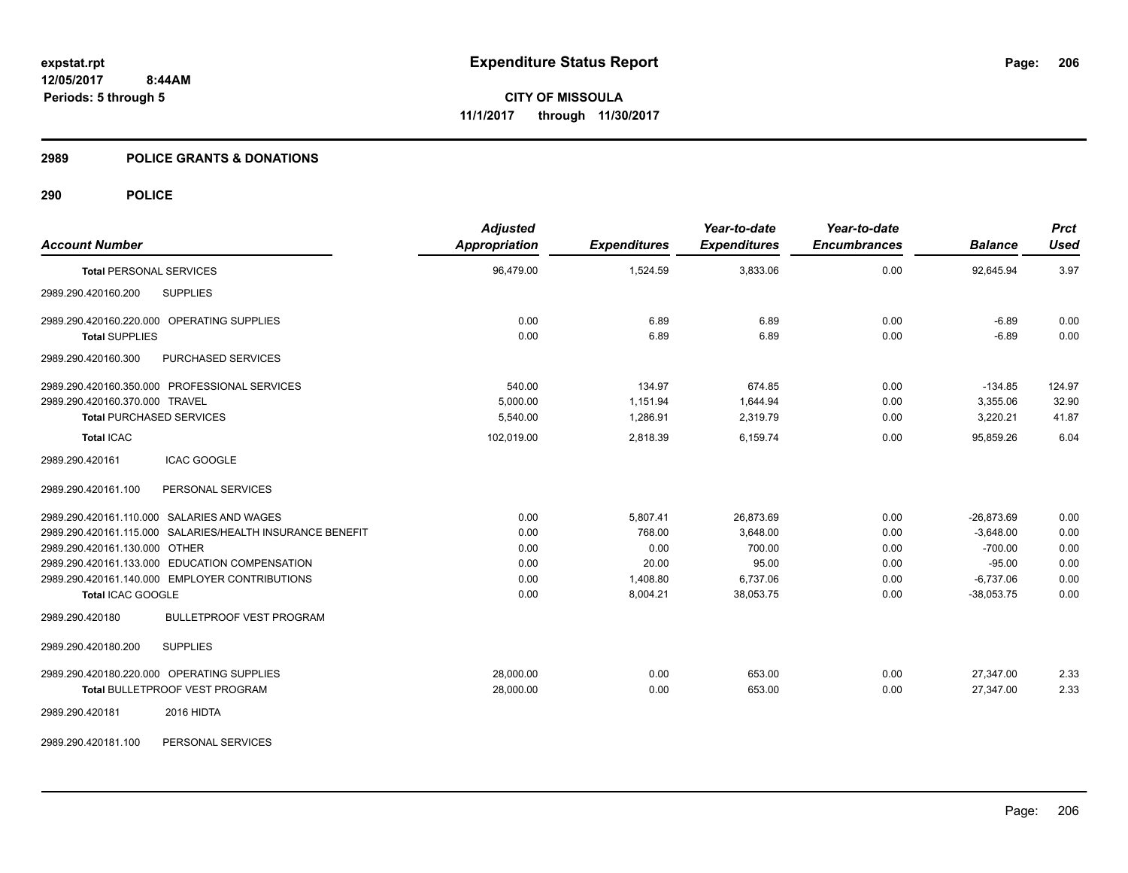### **2989 POLICE GRANTS & DONATIONS**

# **290 POLICE**

| <b>Account Number</b>                                     | <b>Adjusted</b><br>Appropriation | <b>Expenditures</b> | Year-to-date<br><b>Expenditures</b> | Year-to-date<br><b>Encumbrances</b> | <b>Balance</b> | <b>Prct</b><br><b>Used</b> |
|-----------------------------------------------------------|----------------------------------|---------------------|-------------------------------------|-------------------------------------|----------------|----------------------------|
| <b>Total PERSONAL SERVICES</b>                            | 96,479.00                        | 1,524.59            | 3,833.06                            | 0.00                                | 92,645.94      | 3.97                       |
| <b>SUPPLIES</b><br>2989.290.420160.200                    |                                  |                     |                                     |                                     |                |                            |
| 2989.290.420160.220.000 OPERATING SUPPLIES                | 0.00                             | 6.89                | 6.89                                | 0.00                                | $-6.89$        | 0.00                       |
| <b>Total SUPPLIES</b>                                     | 0.00                             | 6.89                | 6.89                                | 0.00                                | $-6.89$        | 0.00                       |
| PURCHASED SERVICES<br>2989.290.420160.300                 |                                  |                     |                                     |                                     |                |                            |
| 2989.290.420160.350.000 PROFESSIONAL SERVICES             | 540.00                           | 134.97              | 674.85                              | 0.00                                | $-134.85$      | 124.97                     |
| 2989.290.420160.370.000 TRAVEL                            | 5,000.00                         | 1,151.94            | 1,644.94                            | 0.00                                | 3,355.06       | 32.90                      |
| <b>Total PURCHASED SERVICES</b>                           | 5,540.00                         | 1,286.91            | 2,319.79                            | 0.00                                | 3,220.21       | 41.87                      |
| <b>Total ICAC</b>                                         | 102,019.00                       | 2,818.39            | 6,159.74                            | 0.00                                | 95,859.26      | 6.04                       |
| <b>ICAC GOOGLE</b><br>2989.290.420161                     |                                  |                     |                                     |                                     |                |                            |
| PERSONAL SERVICES<br>2989.290.420161.100                  |                                  |                     |                                     |                                     |                |                            |
| 2989.290.420161.110.000 SALARIES AND WAGES                | 0.00                             | 5,807.41            | 26,873.69                           | 0.00                                | $-26,873.69$   | 0.00                       |
| 2989.290.420161.115.000 SALARIES/HEALTH INSURANCE BENEFIT | 0.00                             | 768.00              | 3.648.00                            | 0.00                                | $-3,648.00$    | 0.00                       |
| 2989.290.420161.130.000 OTHER                             | 0.00                             | 0.00                | 700.00                              | 0.00                                | $-700.00$      | 0.00                       |
| 2989.290.420161.133.000 EDUCATION COMPENSATION            | 0.00                             | 20.00               | 95.00                               | 0.00                                | $-95.00$       | 0.00                       |
| 2989.290.420161.140.000 EMPLOYER CONTRIBUTIONS            | 0.00                             | 1,408.80            | 6,737.06                            | 0.00                                | $-6,737.06$    | 0.00                       |
| Total ICAC GOOGLE                                         | 0.00                             | 8,004.21            | 38,053.75                           | 0.00                                | $-38,053.75$   | 0.00                       |
| <b>BULLETPROOF VEST PROGRAM</b><br>2989.290.420180        |                                  |                     |                                     |                                     |                |                            |
| 2989.290.420180.200<br><b>SUPPLIES</b>                    |                                  |                     |                                     |                                     |                |                            |
| 2989.290.420180.220.000 OPERATING SUPPLIES                | 28,000.00                        | 0.00                | 653.00                              | 0.00                                | 27,347.00      | 2.33                       |
| <b>Total BULLETPROOF VEST PROGRAM</b>                     | 28,000.00                        | 0.00                | 653.00                              | 0.00                                | 27,347.00      | 2.33                       |
| 2989.290.420181<br>2016 HIDTA                             |                                  |                     |                                     |                                     |                |                            |
|                                                           |                                  |                     |                                     |                                     |                |                            |

2989.290.420181.100 PERSONAL SERVICES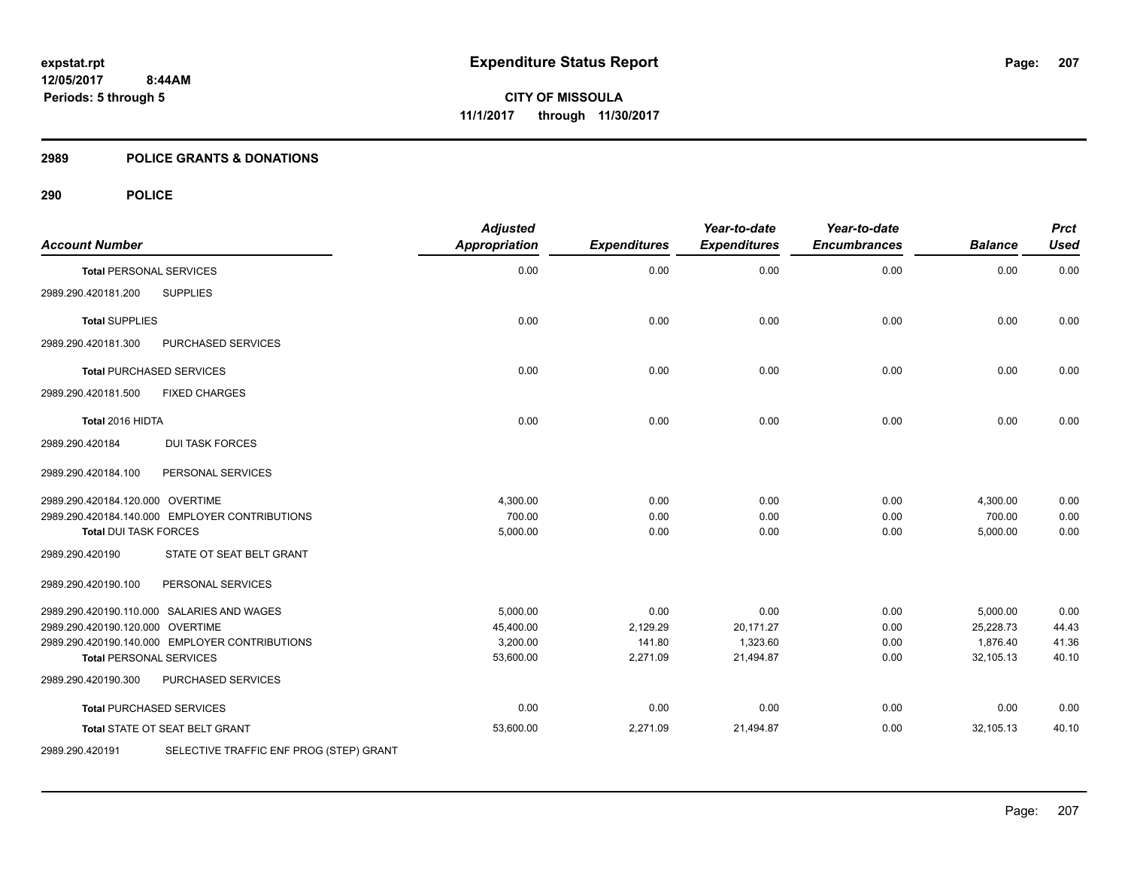#### **2989 POLICE GRANTS & DONATIONS**

| <b>Account Number</b>            |                                                | <b>Adjusted</b><br><b>Appropriation</b> | <b>Expenditures</b> | Year-to-date<br><b>Expenditures</b> | Year-to-date<br><b>Encumbrances</b> | <b>Balance</b> | <b>Prct</b><br><b>Used</b> |
|----------------------------------|------------------------------------------------|-----------------------------------------|---------------------|-------------------------------------|-------------------------------------|----------------|----------------------------|
| <b>Total PERSONAL SERVICES</b>   |                                                | 0.00                                    | 0.00                | 0.00                                | 0.00                                | 0.00           | 0.00                       |
| 2989.290.420181.200              | <b>SUPPLIES</b>                                |                                         |                     |                                     |                                     |                |                            |
| <b>Total SUPPLIES</b>            |                                                | 0.00                                    | 0.00                | 0.00                                | 0.00                                | 0.00           | 0.00                       |
| 2989.290.420181.300              | PURCHASED SERVICES                             |                                         |                     |                                     |                                     |                |                            |
|                                  | <b>Total PURCHASED SERVICES</b>                | 0.00                                    | 0.00                | 0.00                                | 0.00                                | 0.00           | 0.00                       |
| 2989.290.420181.500              | <b>FIXED CHARGES</b>                           |                                         |                     |                                     |                                     |                |                            |
| Total 2016 HIDTA                 |                                                | 0.00                                    | 0.00                | 0.00                                | 0.00                                | 0.00           | 0.00                       |
| 2989.290.420184                  | <b>DUI TASK FORCES</b>                         |                                         |                     |                                     |                                     |                |                            |
| 2989.290.420184.100              | PERSONAL SERVICES                              |                                         |                     |                                     |                                     |                |                            |
| 2989.290.420184.120.000 OVERTIME |                                                | 4,300.00                                | 0.00                | 0.00                                | 0.00                                | 4,300.00       | 0.00                       |
|                                  | 2989.290.420184.140.000 EMPLOYER CONTRIBUTIONS | 700.00                                  | 0.00                | 0.00                                | 0.00                                | 700.00         | 0.00                       |
| <b>Total DUI TASK FORCES</b>     |                                                | 5,000.00                                | 0.00                | 0.00                                | 0.00                                | 5,000.00       | 0.00                       |
| 2989.290.420190                  | STATE OT SEAT BELT GRANT                       |                                         |                     |                                     |                                     |                |                            |
| 2989.290.420190.100              | PERSONAL SERVICES                              |                                         |                     |                                     |                                     |                |                            |
|                                  | 2989.290.420190.110.000 SALARIES AND WAGES     | 5,000.00                                | 0.00                | 0.00                                | 0.00                                | 5,000.00       | 0.00                       |
| 2989.290.420190.120.000 OVERTIME |                                                | 45,400.00                               | 2,129.29            | 20,171.27                           | 0.00                                | 25,228.73      | 44.43                      |
|                                  | 2989.290.420190.140.000 EMPLOYER CONTRIBUTIONS | 3,200.00                                | 141.80              | 1,323.60                            | 0.00                                | 1,876.40       | 41.36                      |
| <b>Total PERSONAL SERVICES</b>   |                                                | 53,600.00                               | 2,271.09            | 21,494.87                           | 0.00                                | 32,105.13      | 40.10                      |
| 2989.290.420190.300              | PURCHASED SERVICES                             |                                         |                     |                                     |                                     |                |                            |
|                                  | <b>Total PURCHASED SERVICES</b>                | 0.00                                    | 0.00                | 0.00                                | 0.00                                | 0.00           | 0.00                       |
|                                  | Total STATE OT SEAT BELT GRANT                 | 53,600.00                               | 2,271.09            | 21,494.87                           | 0.00                                | 32,105.13      | 40.10                      |
| 2989.290.420191                  | SELECTIVE TRAFFIC ENF PROG (STEP) GRANT        |                                         |                     |                                     |                                     |                |                            |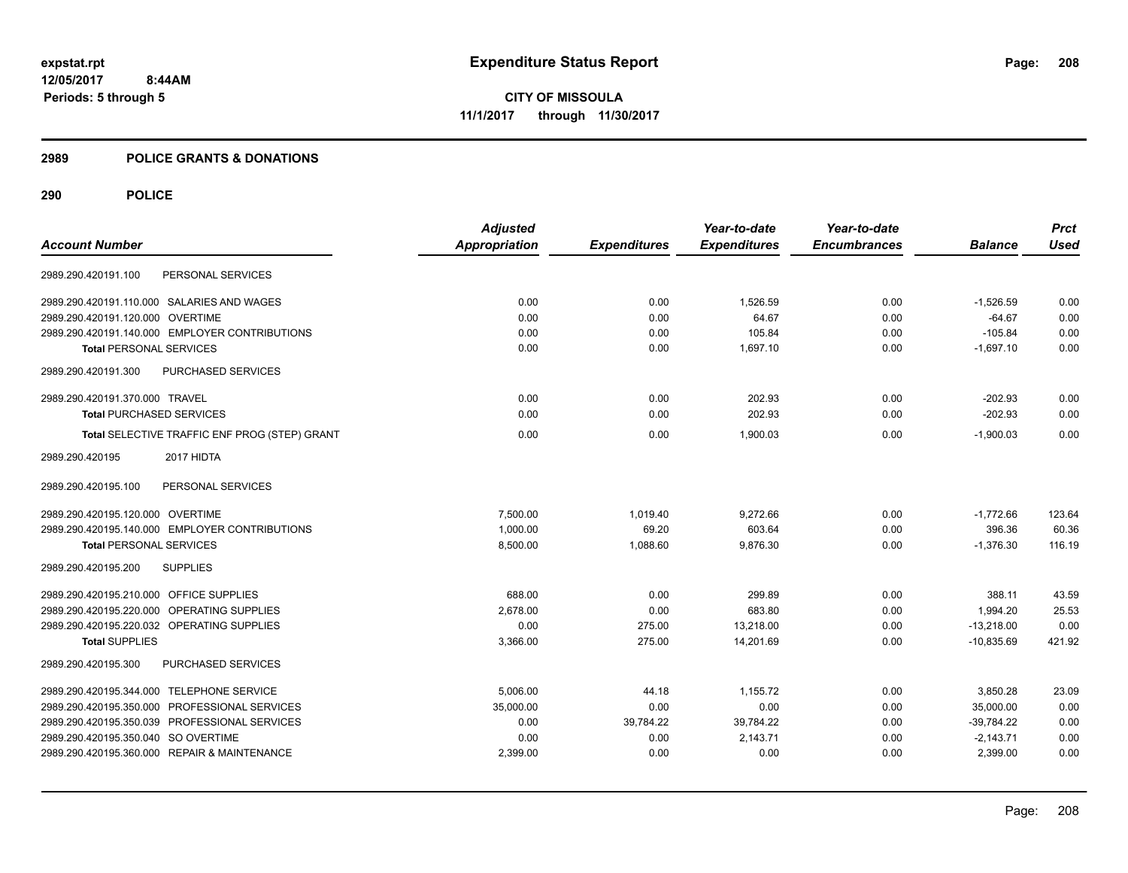#### **2989 POLICE GRANTS & DONATIONS**

|                                                | <b>Adjusted</b> |                     | Year-to-date        | Year-to-date        |                | <b>Prct</b> |
|------------------------------------------------|-----------------|---------------------|---------------------|---------------------|----------------|-------------|
| <b>Account Number</b>                          | Appropriation   | <b>Expenditures</b> | <b>Expenditures</b> | <b>Encumbrances</b> | <b>Balance</b> | <b>Used</b> |
| PERSONAL SERVICES<br>2989.290.420191.100       |                 |                     |                     |                     |                |             |
| 2989.290.420191.110.000 SALARIES AND WAGES     | 0.00            | 0.00                | 1.526.59            | 0.00                | $-1.526.59$    | 0.00        |
| 2989.290.420191.120.000 OVERTIME               | 0.00            | 0.00                | 64.67               | 0.00                | $-64.67$       | 0.00        |
| 2989.290.420191.140.000 EMPLOYER CONTRIBUTIONS | 0.00            | 0.00                | 105.84              | 0.00                | $-105.84$      | 0.00        |
| <b>Total PERSONAL SERVICES</b>                 | 0.00            | 0.00                | 1,697.10            | 0.00                | $-1,697.10$    | 0.00        |
| 2989.290.420191.300<br>PURCHASED SERVICES      |                 |                     |                     |                     |                |             |
| 2989.290.420191.370.000 TRAVEL                 | 0.00            | 0.00                | 202.93              | 0.00                | $-202.93$      | 0.00        |
| <b>Total PURCHASED SERVICES</b>                | 0.00            | 0.00                | 202.93              | 0.00                | $-202.93$      | 0.00        |
| Total SELECTIVE TRAFFIC ENF PROG (STEP) GRANT  | 0.00            | 0.00                | 1.900.03            | 0.00                | $-1.900.03$    | 0.00        |
| 2017 HIDTA<br>2989.290.420195                  |                 |                     |                     |                     |                |             |
| PERSONAL SERVICES<br>2989.290.420195.100       |                 |                     |                     |                     |                |             |
| 2989.290.420195.120.000 OVERTIME               | 7,500.00        | 1,019.40            | 9,272.66            | 0.00                | $-1,772.66$    | 123.64      |
| 2989.290.420195.140.000 EMPLOYER CONTRIBUTIONS | 1,000.00        | 69.20               | 603.64              | 0.00                | 396.36         | 60.36       |
| <b>Total PERSONAL SERVICES</b>                 | 8,500.00        | 1,088.60            | 9,876.30            | 0.00                | $-1,376.30$    | 116.19      |
| <b>SUPPLIES</b><br>2989.290.420195.200         |                 |                     |                     |                     |                |             |
| 2989.290.420195.210.000 OFFICE SUPPLIES        | 688.00          | 0.00                | 299.89              | 0.00                | 388.11         | 43.59       |
| 2989.290.420195.220.000 OPERATING SUPPLIES     | 2,678.00        | 0.00                | 683.80              | 0.00                | 1,994.20       | 25.53       |
| 2989.290.420195.220.032 OPERATING SUPPLIES     | 0.00            | 275.00              | 13,218.00           | 0.00                | $-13,218.00$   | 0.00        |
| <b>Total SUPPLIES</b>                          | 3,366.00        | 275.00              | 14,201.69           | 0.00                | $-10,835.69$   | 421.92      |
| PURCHASED SERVICES<br>2989.290.420195.300      |                 |                     |                     |                     |                |             |
| 2989.290.420195.344.000 TELEPHONE SERVICE      | 5,006.00        | 44.18               | 1,155.72            | 0.00                | 3,850.28       | 23.09       |
| 2989.290.420195.350.000 PROFESSIONAL SERVICES  | 35,000.00       | 0.00                | 0.00                | 0.00                | 35,000.00      | 0.00        |
| 2989.290.420195.350.039 PROFESSIONAL SERVICES  | 0.00            | 39,784.22           | 39,784.22           | 0.00                | $-39,784.22$   | 0.00        |
| 2989.290.420195.350.040 SO OVERTIME            | 0.00            | 0.00                | 2,143.71            | 0.00                | $-2,143.71$    | 0.00        |
| 2989.290.420195.360.000 REPAIR & MAINTENANCE   | 2,399.00        | 0.00                | 0.00                | 0.00                | 2,399.00       | 0.00        |
|                                                |                 |                     |                     |                     |                |             |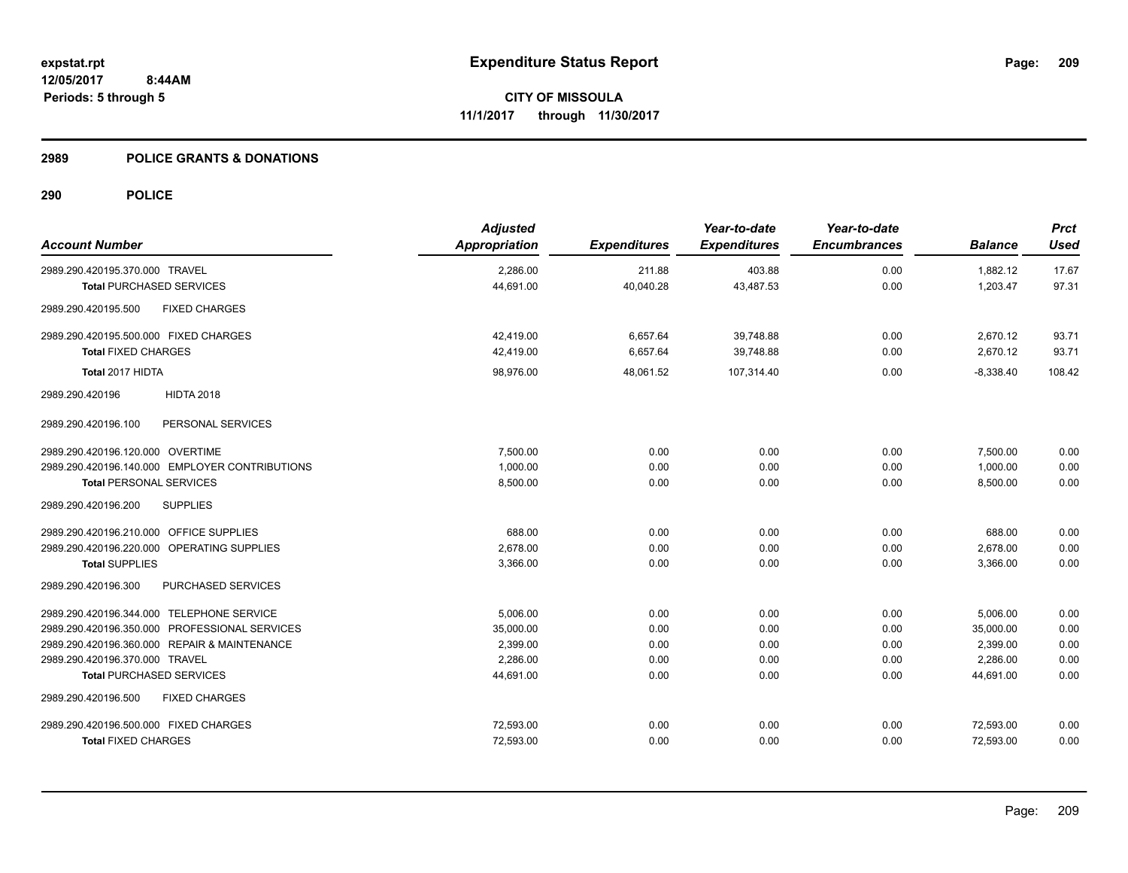#### **2989 POLICE GRANTS & DONATIONS**

| <b>Account Number</b>                          | <b>Adjusted</b><br>Appropriation | <b>Expenditures</b> | Year-to-date<br><b>Expenditures</b> | Year-to-date<br><b>Encumbrances</b> | <b>Balance</b> | <b>Prct</b><br><b>Used</b> |
|------------------------------------------------|----------------------------------|---------------------|-------------------------------------|-------------------------------------|----------------|----------------------------|
| 2989.290.420195.370.000 TRAVEL                 | 2,286.00                         | 211.88              | 403.88                              | 0.00                                | 1,882.12       | 17.67                      |
| <b>Total PURCHASED SERVICES</b>                | 44,691.00                        | 40,040.28           | 43,487.53                           | 0.00                                | 1,203.47       | 97.31                      |
| <b>FIXED CHARGES</b><br>2989.290.420195.500    |                                  |                     |                                     |                                     |                |                            |
| 2989.290.420195.500.000 FIXED CHARGES          | 42,419.00                        | 6,657.64            | 39,748.88                           | 0.00                                | 2,670.12       | 93.71                      |
| <b>Total FIXED CHARGES</b>                     | 42,419.00                        | 6,657.64            | 39,748.88                           | 0.00                                | 2,670.12       | 93.71                      |
| Total 2017 HIDTA                               | 98,976.00                        | 48,061.52           | 107,314.40                          | 0.00                                | $-8,338.40$    | 108.42                     |
| <b>HIDTA 2018</b><br>2989.290.420196           |                                  |                     |                                     |                                     |                |                            |
| 2989.290.420196.100<br>PERSONAL SERVICES       |                                  |                     |                                     |                                     |                |                            |
| 2989.290.420196.120.000 OVERTIME               | 7,500.00                         | 0.00                | 0.00                                | 0.00                                | 7,500.00       | 0.00                       |
| 2989.290.420196.140.000 EMPLOYER CONTRIBUTIONS | 1.000.00                         | 0.00                | 0.00                                | 0.00                                | 1,000.00       | 0.00                       |
| <b>Total PERSONAL SERVICES</b>                 | 8,500.00                         | 0.00                | 0.00                                | 0.00                                | 8,500.00       | 0.00                       |
| <b>SUPPLIES</b><br>2989.290.420196.200         |                                  |                     |                                     |                                     |                |                            |
| 2989.290.420196.210.000 OFFICE SUPPLIES        | 688.00                           | 0.00                | 0.00                                | 0.00                                | 688.00         | 0.00                       |
| 2989.290.420196.220.000 OPERATING SUPPLIES     | 2,678.00                         | 0.00                | 0.00                                | 0.00                                | 2,678.00       | 0.00                       |
| <b>Total SUPPLIES</b>                          | 3,366.00                         | 0.00                | 0.00                                | 0.00                                | 3,366.00       | 0.00                       |
| PURCHASED SERVICES<br>2989.290.420196.300      |                                  |                     |                                     |                                     |                |                            |
| 2989.290.420196.344.000 TELEPHONE SERVICE      | 5,006.00                         | 0.00                | 0.00                                | 0.00                                | 5,006.00       | 0.00                       |
| 2989.290.420196.350.000 PROFESSIONAL SERVICES  | 35,000.00                        | 0.00                | 0.00                                | 0.00                                | 35,000.00      | 0.00                       |
| 2989.290.420196.360.000 REPAIR & MAINTENANCE   | 2,399.00                         | 0.00                | 0.00                                | 0.00                                | 2,399.00       | 0.00                       |
| 2989.290.420196.370.000 TRAVEL                 | 2.286.00                         | 0.00                | 0.00                                | 0.00                                | 2,286.00       | 0.00                       |
| <b>Total PURCHASED SERVICES</b>                | 44,691.00                        | 0.00                | 0.00                                | 0.00                                | 44,691.00      | 0.00                       |
| <b>FIXED CHARGES</b><br>2989.290.420196.500    |                                  |                     |                                     |                                     |                |                            |
| 2989.290.420196.500.000 FIXED CHARGES          | 72,593.00                        | 0.00                | 0.00                                | 0.00                                | 72,593.00      | 0.00                       |
| <b>Total FIXED CHARGES</b>                     | 72,593.00                        | 0.00                | 0.00                                | 0.00                                | 72,593.00      | 0.00                       |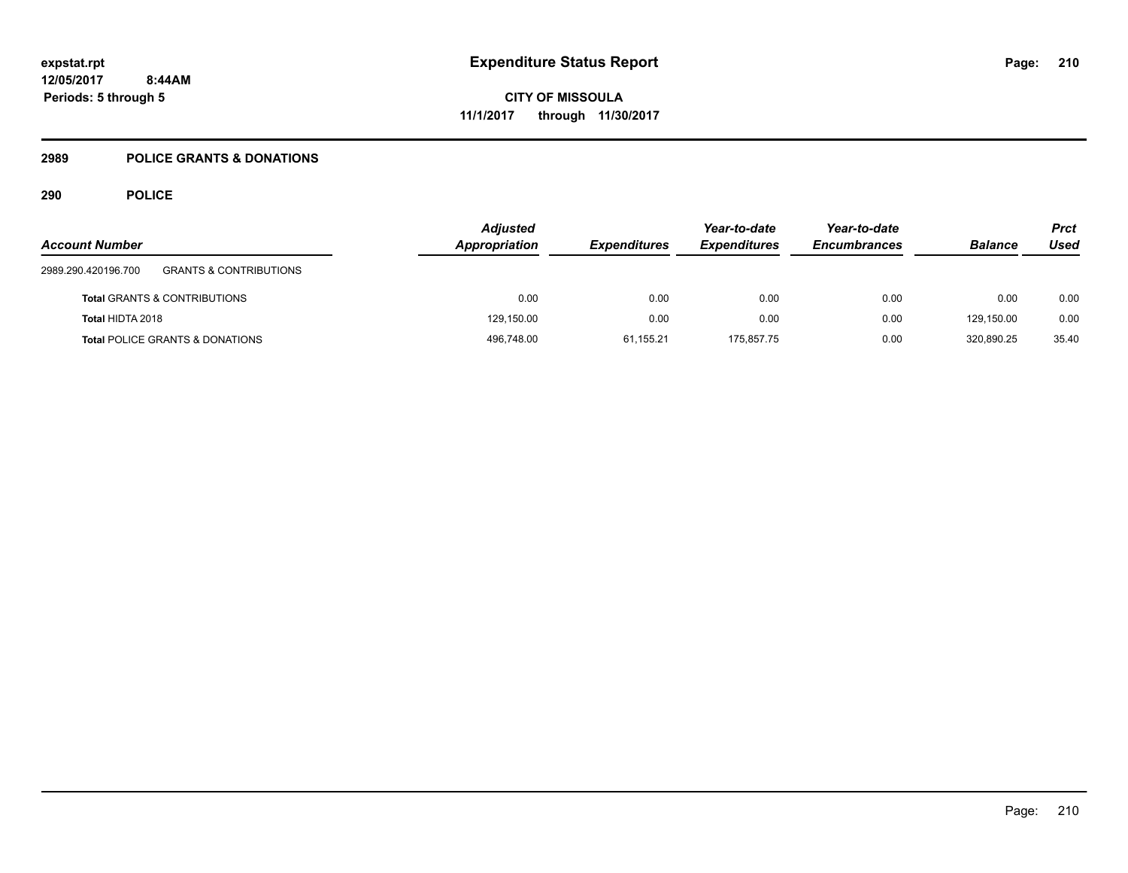# **2989 POLICE GRANTS & DONATIONS**

| <b>Account Number</b>                                    | <b>Adjusted</b><br>Appropriation | <b>Expenditures</b> | Year-to-date<br><b>Expenditures</b> | Year-to-date<br><b>Encumbrances</b> | <b>Balance</b> | <b>Prct</b><br>Used |
|----------------------------------------------------------|----------------------------------|---------------------|-------------------------------------|-------------------------------------|----------------|---------------------|
| <b>GRANTS &amp; CONTRIBUTIONS</b><br>2989.290.420196.700 |                                  |                     |                                     |                                     |                |                     |
| <b>Total GRANTS &amp; CONTRIBUTIONS</b>                  | 0.00                             | 0.00                | 0.00                                | 0.00                                | 0.00           | 0.00                |
| Total HIDTA 2018                                         | 129,150.00                       | 0.00                | 0.00                                | 0.00                                | 129.150.00     | 0.00                |
| <b>Total POLICE GRANTS &amp; DONATIONS</b>               | 496,748.00                       | 61.155.21           | 175.857.75                          | 0.00                                | 320.890.25     | 35.40               |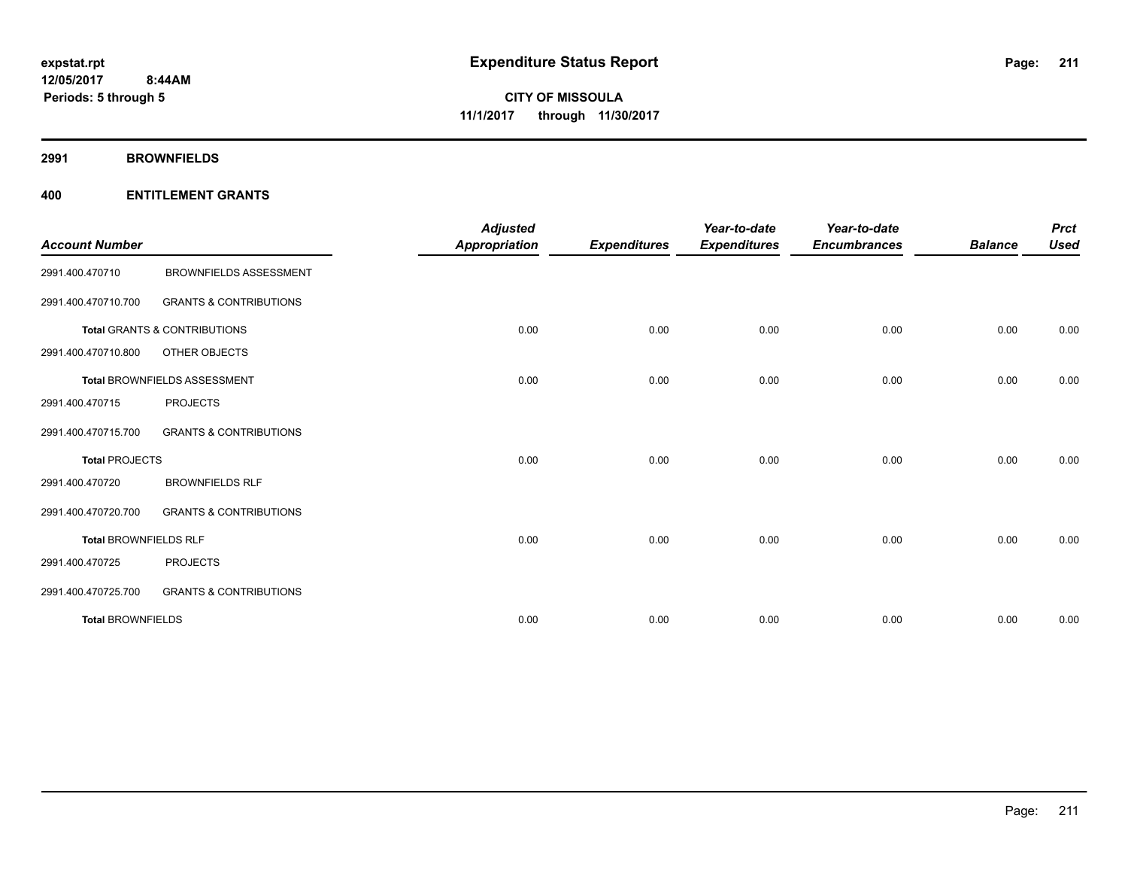**2991 BROWNFIELDS**

| <b>Account Number</b>        |                                         | <b>Adjusted</b><br><b>Appropriation</b> | <b>Expenditures</b> | Year-to-date<br><b>Expenditures</b> | Year-to-date<br><b>Encumbrances</b> | <b>Balance</b> | <b>Prct</b><br><b>Used</b> |
|------------------------------|-----------------------------------------|-----------------------------------------|---------------------|-------------------------------------|-------------------------------------|----------------|----------------------------|
| 2991.400.470710              | <b>BROWNFIELDS ASSESSMENT</b>           |                                         |                     |                                     |                                     |                |                            |
| 2991.400.470710.700          | <b>GRANTS &amp; CONTRIBUTIONS</b>       |                                         |                     |                                     |                                     |                |                            |
|                              | <b>Total GRANTS &amp; CONTRIBUTIONS</b> | 0.00                                    | 0.00                | 0.00                                | 0.00                                | 0.00           | 0.00                       |
| 2991.400.470710.800          | OTHER OBJECTS                           |                                         |                     |                                     |                                     |                |                            |
|                              | Total BROWNFIELDS ASSESSMENT            | 0.00                                    | 0.00                | 0.00                                | 0.00                                | 0.00           | 0.00                       |
| 2991.400.470715              | <b>PROJECTS</b>                         |                                         |                     |                                     |                                     |                |                            |
| 2991.400.470715.700          | <b>GRANTS &amp; CONTRIBUTIONS</b>       |                                         |                     |                                     |                                     |                |                            |
| <b>Total PROJECTS</b>        |                                         | 0.00                                    | 0.00                | 0.00                                | 0.00                                | 0.00           | 0.00                       |
| 2991.400.470720              | <b>BROWNFIELDS RLF</b>                  |                                         |                     |                                     |                                     |                |                            |
| 2991.400.470720.700          | <b>GRANTS &amp; CONTRIBUTIONS</b>       |                                         |                     |                                     |                                     |                |                            |
| <b>Total BROWNFIELDS RLF</b> |                                         | 0.00                                    | 0.00                | 0.00                                | 0.00                                | 0.00           | 0.00                       |
| 2991.400.470725              | <b>PROJECTS</b>                         |                                         |                     |                                     |                                     |                |                            |
| 2991.400.470725.700          | <b>GRANTS &amp; CONTRIBUTIONS</b>       |                                         |                     |                                     |                                     |                |                            |
| <b>Total BROWNFIELDS</b>     |                                         | 0.00                                    | 0.00                | 0.00                                | 0.00                                | 0.00           | 0.00                       |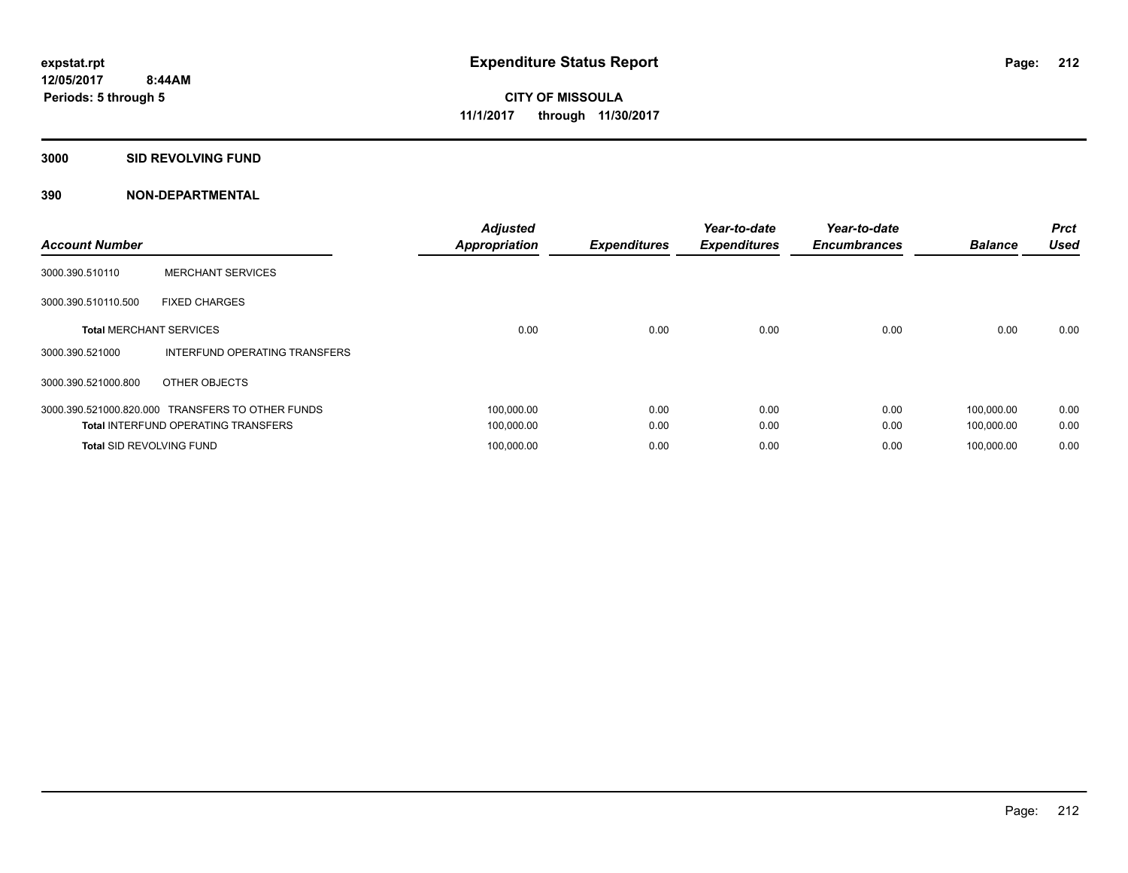#### **3000 SID REVOLVING FUND**

| <b>Account Number</b>           |                                            | <b>Adjusted</b><br><b>Appropriation</b> | <b>Expenditures</b> | Year-to-date<br><b>Expenditures</b> | Year-to-date<br><b>Encumbrances</b> | <b>Balance</b> | <b>Prct</b><br><b>Used</b> |
|---------------------------------|--------------------------------------------|-----------------------------------------|---------------------|-------------------------------------|-------------------------------------|----------------|----------------------------|
| 3000.390.510110                 | <b>MERCHANT SERVICES</b>                   |                                         |                     |                                     |                                     |                |                            |
| 3000.390.510110.500             | <b>FIXED CHARGES</b>                       |                                         |                     |                                     |                                     |                |                            |
| <b>Total MERCHANT SERVICES</b>  |                                            | 0.00                                    | 0.00                | 0.00                                | 0.00                                | 0.00           | 0.00                       |
| 3000.390.521000                 | INTERFUND OPERATING TRANSFERS              |                                         |                     |                                     |                                     |                |                            |
| 3000.390.521000.800             | OTHER OBJECTS                              |                                         |                     |                                     |                                     |                |                            |
| 3000.390.521000.820.000         | <b>TRANSFERS TO OTHER FUNDS</b>            | 100,000.00                              | 0.00                | 0.00                                | 0.00                                | 100.000.00     | 0.00                       |
|                                 | <b>Total INTERFUND OPERATING TRANSFERS</b> | 100,000.00                              | 0.00                | 0.00                                | 0.00                                | 100,000.00     | 0.00                       |
| <b>Total SID REVOLVING FUND</b> |                                            | 100,000.00                              | 0.00                | 0.00                                | 0.00                                | 100.000.00     | 0.00                       |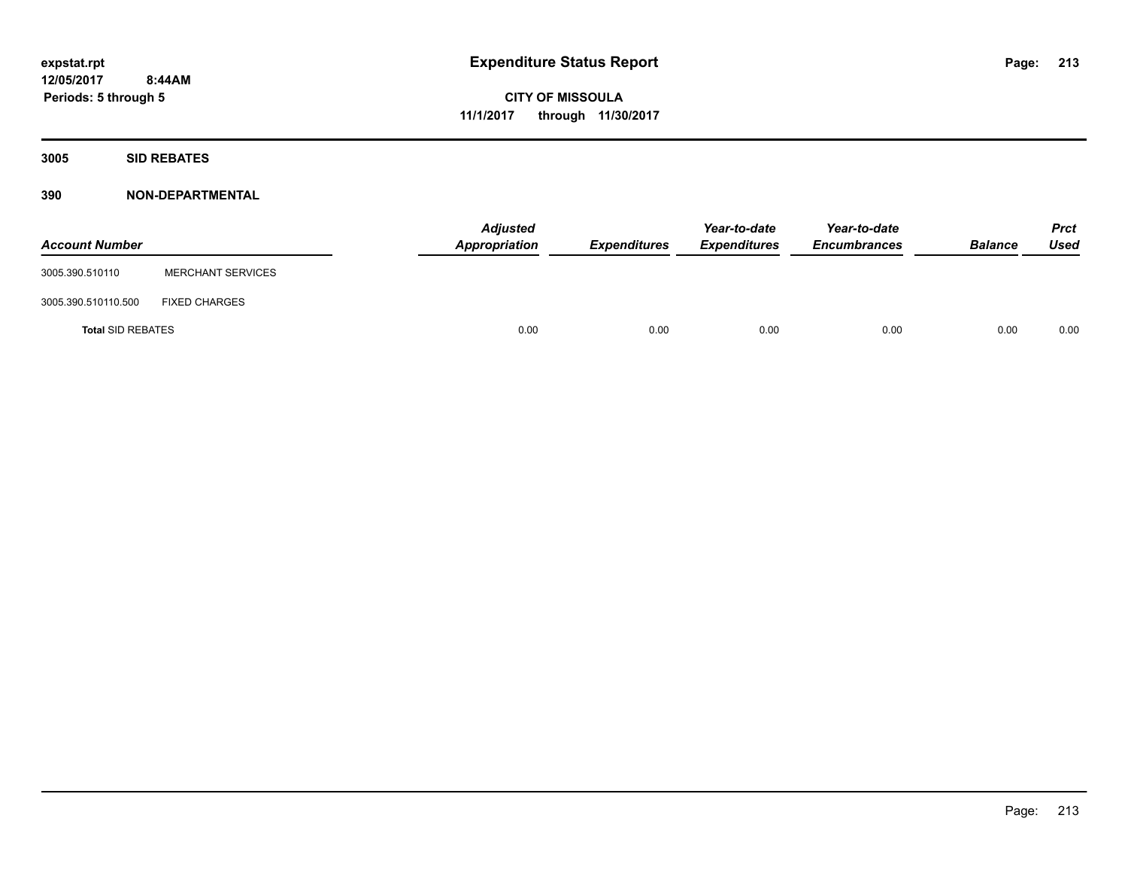**3005 SID REBATES**

| <b>Account Number</b>    |                          | <b>Adjusted</b><br>Appropriation | <b>Expenditures</b> | Year-to-date<br><b>Expenditures</b> | Year-to-date<br><b>Encumbrances</b> | <b>Balance</b> | Prct<br><b>Used</b> |
|--------------------------|--------------------------|----------------------------------|---------------------|-------------------------------------|-------------------------------------|----------------|---------------------|
| 3005.390.510110          | <b>MERCHANT SERVICES</b> |                                  |                     |                                     |                                     |                |                     |
| 3005.390.510110.500      | <b>FIXED CHARGES</b>     |                                  |                     |                                     |                                     |                |                     |
| <b>Total SID REBATES</b> |                          | 0.00                             | 0.00                | 0.00                                | 0.00                                | 0.00           | 0.00                |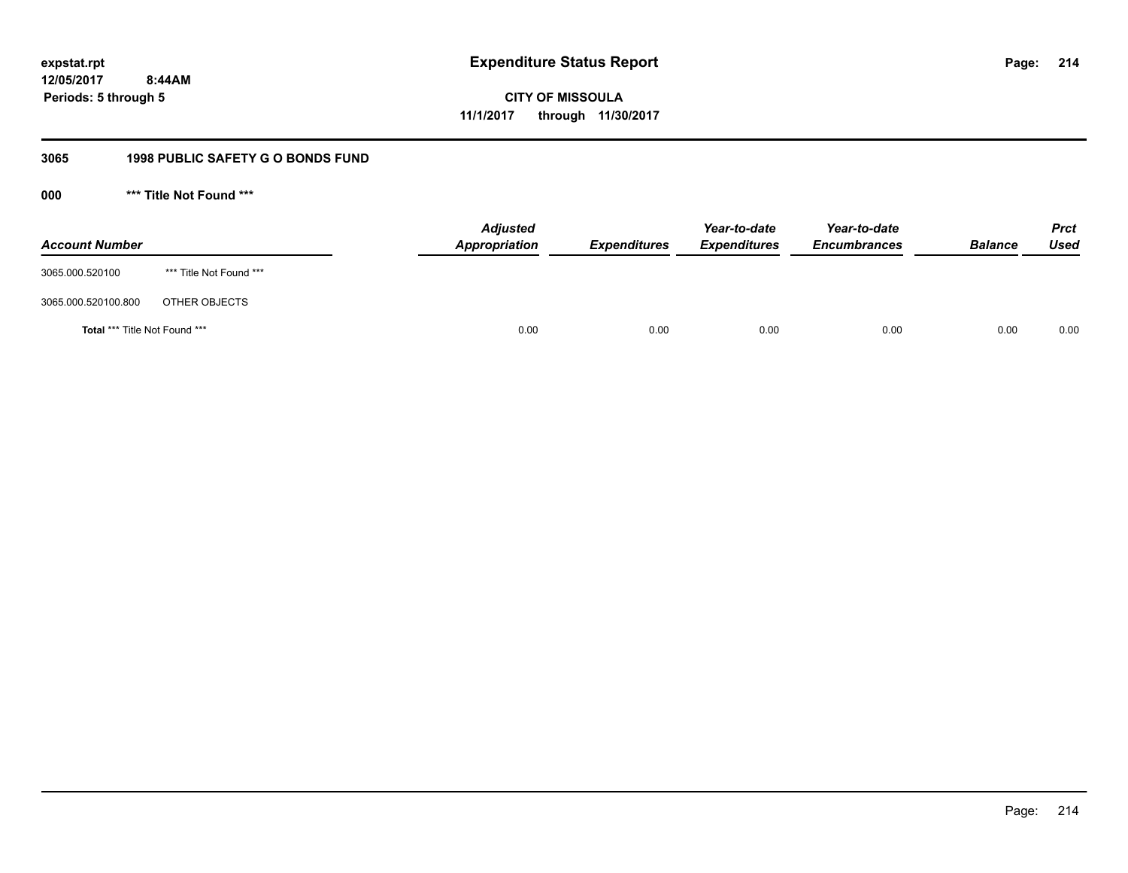# **12/05/2017 8:44AM Periods: 5 through 5**

**CITY OF MISSOULA 11/1/2017 through 11/30/2017**

# **3065 1998 PUBLIC SAFETY G O BONDS FUND**

**000 \*\*\* Title Not Found \*\*\***

| <b>Account Number</b>         |                         | <b>Adjusted</b><br>Appropriation | <b>Expenditures</b> | Year-to-date<br><b>Expenditures</b> | Year-to-date<br><b>Encumbrances</b> | <b>Balance</b> | <b>Prct</b><br>Used |
|-------------------------------|-------------------------|----------------------------------|---------------------|-------------------------------------|-------------------------------------|----------------|---------------------|
| 3065.000.520100               | *** Title Not Found *** |                                  |                     |                                     |                                     |                |                     |
| 3065.000.520100.800           | OTHER OBJECTS           |                                  |                     |                                     |                                     |                |                     |
| Total *** Title Not Found *** |                         | 0.00                             | 0.00                | 0.00                                | 0.00                                | 0.00           | 0.00                |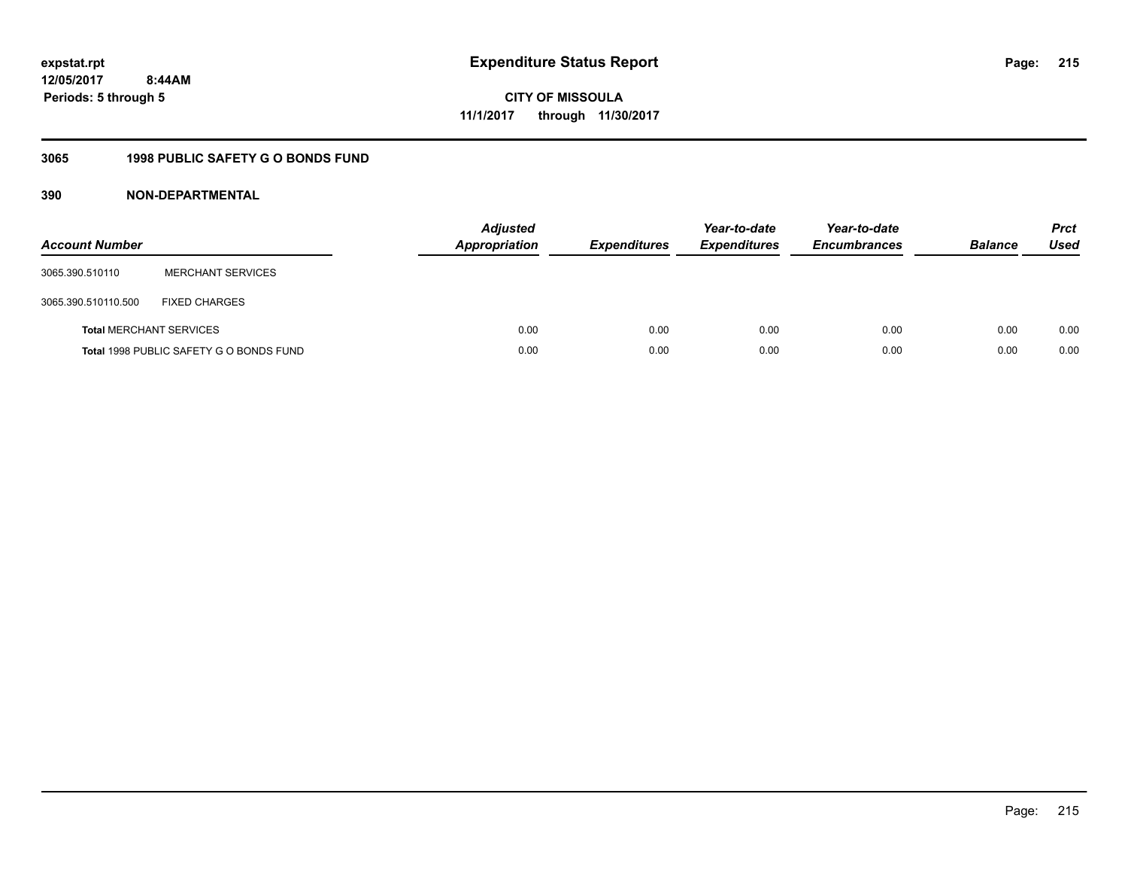# **12/05/2017 8:44AM Periods: 5 through 5**

**CITY OF MISSOULA 11/1/2017 through 11/30/2017**

# **3065 1998 PUBLIC SAFETY G O BONDS FUND**

| <b>Account Number</b> |                                         | <b>Adjusted</b><br><b>Appropriation</b> | <b>Expenditures</b> | Year-to-date<br><b>Expenditures</b> | Year-to-date<br><b>Encumbrances</b> | <b>Balance</b> | <b>Prct</b><br>Used |
|-----------------------|-----------------------------------------|-----------------------------------------|---------------------|-------------------------------------|-------------------------------------|----------------|---------------------|
| 3065.390.510110       | <b>MERCHANT SERVICES</b>                |                                         |                     |                                     |                                     |                |                     |
| 3065.390.510110.500   | <b>FIXED CHARGES</b>                    |                                         |                     |                                     |                                     |                |                     |
|                       | <b>Total MERCHANT SERVICES</b>          | 0.00                                    | 0.00                | 0.00                                | 0.00                                | 0.00           | 0.00                |
|                       | Total 1998 PUBLIC SAFETY G O BONDS FUND | 0.00                                    | 0.00                | 0.00                                | 0.00                                | 0.00           | 0.00                |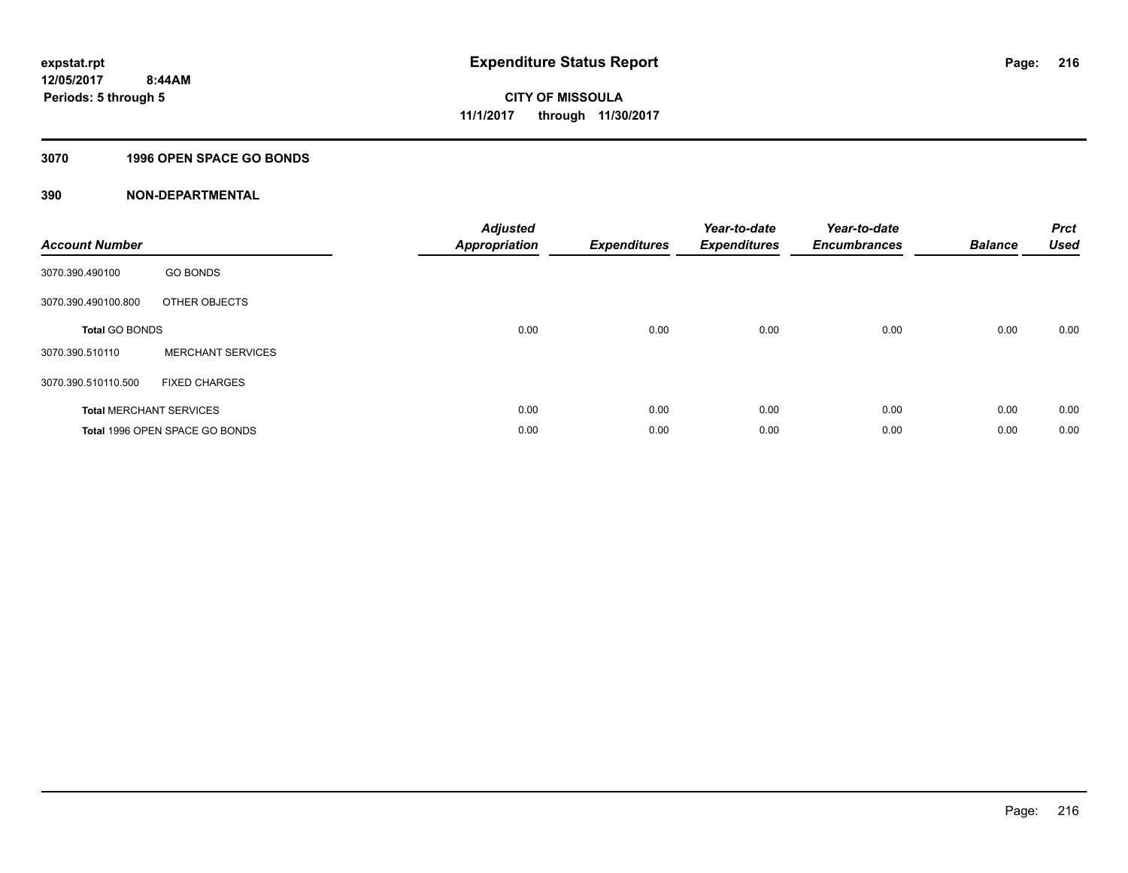### **3070 1996 OPEN SPACE GO BONDS**

| <b>Account Number</b>          |                                       | <b>Adjusted</b><br><b>Appropriation</b> | <b>Expenditures</b> | Year-to-date<br><b>Expenditures</b> | Year-to-date<br><b>Encumbrances</b> | <b>Balance</b> | <b>Prct</b><br><b>Used</b> |
|--------------------------------|---------------------------------------|-----------------------------------------|---------------------|-------------------------------------|-------------------------------------|----------------|----------------------------|
| 3070.390.490100                | <b>GO BONDS</b>                       |                                         |                     |                                     |                                     |                |                            |
| 3070.390.490100.800            | OTHER OBJECTS                         |                                         |                     |                                     |                                     |                |                            |
| <b>Total GO BONDS</b>          |                                       | 0.00                                    | 0.00                | 0.00                                | 0.00                                | 0.00           | 0.00                       |
| 3070.390.510110                | <b>MERCHANT SERVICES</b>              |                                         |                     |                                     |                                     |                |                            |
| 3070.390.510110.500            | <b>FIXED CHARGES</b>                  |                                         |                     |                                     |                                     |                |                            |
| <b>Total MERCHANT SERVICES</b> |                                       | 0.00                                    | 0.00                | 0.00                                | 0.00                                | 0.00           | 0.00                       |
|                                | <b>Total 1996 OPEN SPACE GO BONDS</b> | 0.00                                    | 0.00                | 0.00                                | 0.00                                | 0.00           | 0.00                       |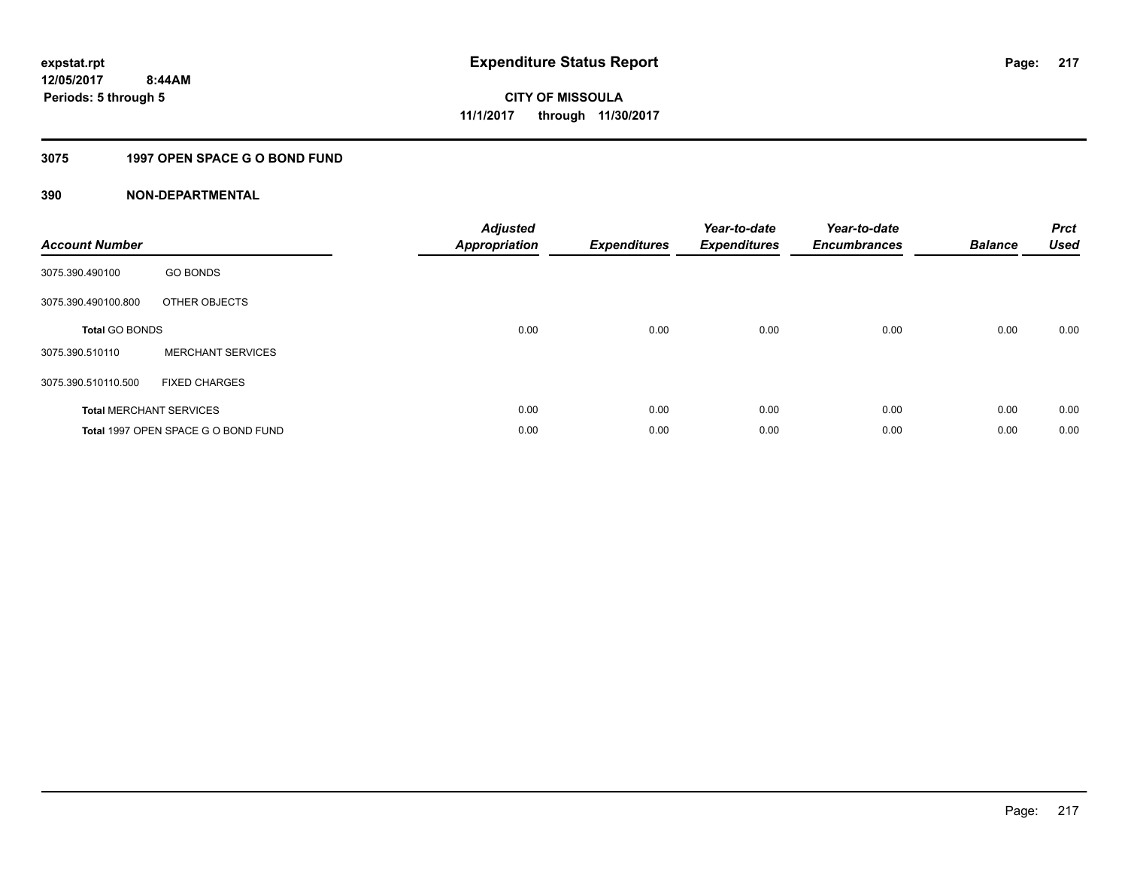### **3075 1997 OPEN SPACE G O BOND FUND**

| <b>Account Number</b> |                                     | <b>Adjusted</b><br>Appropriation | <b>Expenditures</b> | Year-to-date<br><b>Expenditures</b> | Year-to-date<br><b>Encumbrances</b> | <b>Balance</b> | <b>Prct</b><br><b>Used</b> |
|-----------------------|-------------------------------------|----------------------------------|---------------------|-------------------------------------|-------------------------------------|----------------|----------------------------|
| 3075.390.490100       | <b>GO BONDS</b>                     |                                  |                     |                                     |                                     |                |                            |
| 3075.390.490100.800   | OTHER OBJECTS                       |                                  |                     |                                     |                                     |                |                            |
| <b>Total GO BONDS</b> |                                     | 0.00                             | 0.00                | 0.00                                | 0.00                                | 0.00           | 0.00                       |
| 3075.390.510110       | <b>MERCHANT SERVICES</b>            |                                  |                     |                                     |                                     |                |                            |
| 3075.390.510110.500   | <b>FIXED CHARGES</b>                |                                  |                     |                                     |                                     |                |                            |
|                       | <b>Total MERCHANT SERVICES</b>      | 0.00                             | 0.00                | 0.00                                | 0.00                                | 0.00           | 0.00                       |
|                       | Total 1997 OPEN SPACE G O BOND FUND | 0.00                             | 0.00                | 0.00                                | 0.00                                | 0.00           | 0.00                       |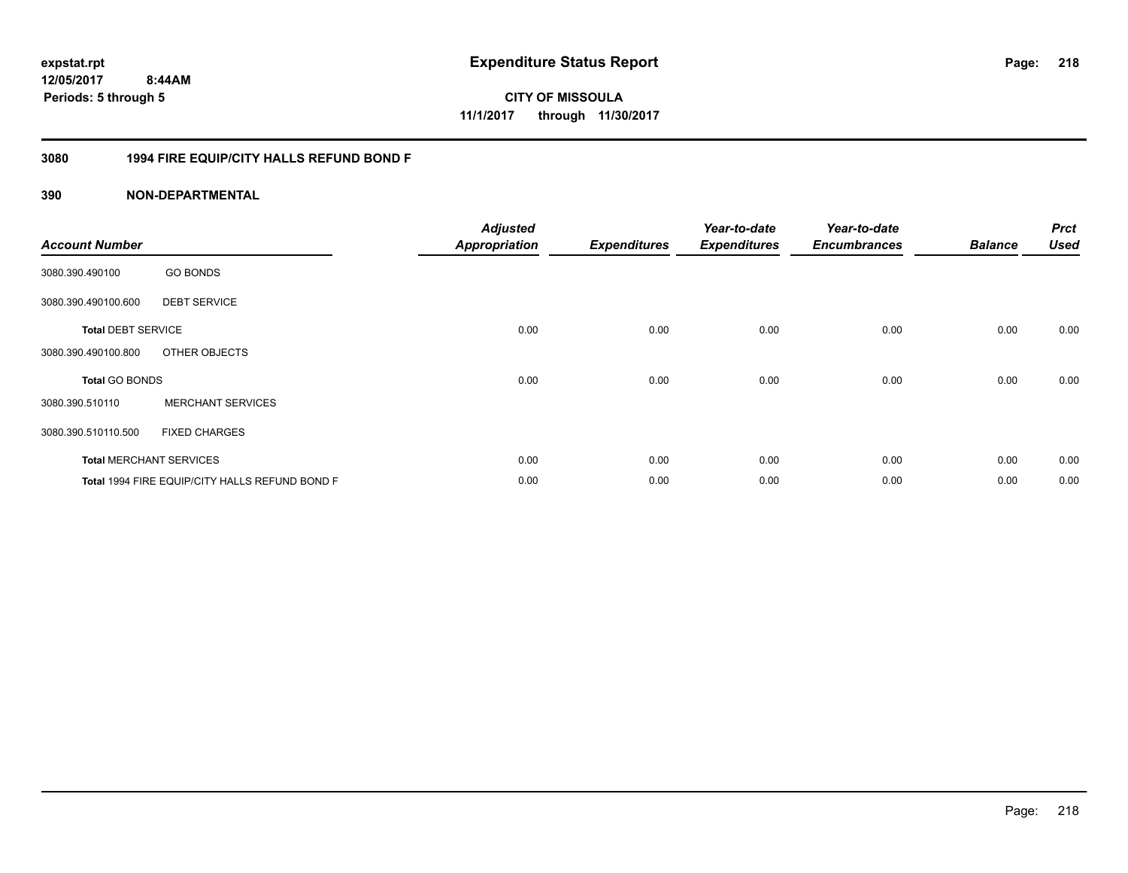**CITY OF MISSOULA 11/1/2017 through 11/30/2017**

#### **3080 1994 FIRE EQUIP/CITY HALLS REFUND BOND F**

| <b>Account Number</b>     |                                                | <b>Adjusted</b><br><b>Appropriation</b> | <b>Expenditures</b> | Year-to-date<br><b>Expenditures</b> | Year-to-date<br><b>Encumbrances</b> | <b>Balance</b> | <b>Prct</b><br><b>Used</b> |
|---------------------------|------------------------------------------------|-----------------------------------------|---------------------|-------------------------------------|-------------------------------------|----------------|----------------------------|
| 3080.390.490100           | <b>GO BONDS</b>                                |                                         |                     |                                     |                                     |                |                            |
| 3080.390.490100.600       | <b>DEBT SERVICE</b>                            |                                         |                     |                                     |                                     |                |                            |
| <b>Total DEBT SERVICE</b> |                                                | 0.00                                    | 0.00                | 0.00                                | 0.00                                | 0.00           | 0.00                       |
| 3080.390.490100.800       | OTHER OBJECTS                                  |                                         |                     |                                     |                                     |                |                            |
| <b>Total GO BONDS</b>     |                                                | 0.00                                    | 0.00                | 0.00                                | 0.00                                | 0.00           | 0.00                       |
| 3080.390.510110           | <b>MERCHANT SERVICES</b>                       |                                         |                     |                                     |                                     |                |                            |
| 3080.390.510110.500       | <b>FIXED CHARGES</b>                           |                                         |                     |                                     |                                     |                |                            |
|                           | <b>Total MERCHANT SERVICES</b>                 | 0.00                                    | 0.00                | 0.00                                | 0.00                                | 0.00           | 0.00                       |
|                           | Total 1994 FIRE EQUIP/CITY HALLS REFUND BOND F | 0.00                                    | 0.00                | 0.00                                | 0.00                                | 0.00           | 0.00                       |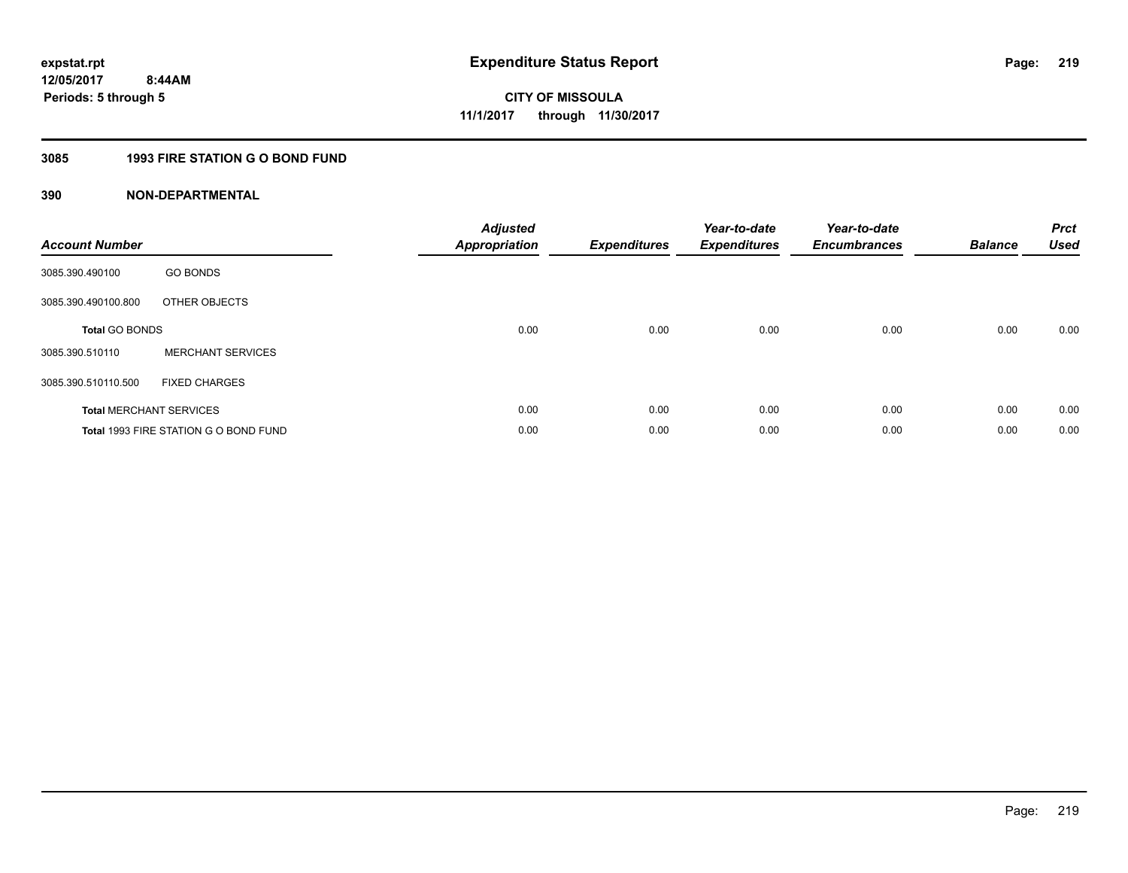#### **3085 1993 FIRE STATION G O BOND FUND**

| <b>Account Number</b> |                                       | <b>Adjusted</b><br>Appropriation | <b>Expenditures</b> | Year-to-date<br><b>Expenditures</b> | Year-to-date<br><b>Encumbrances</b> | <b>Balance</b> | <b>Prct</b><br><b>Used</b> |
|-----------------------|---------------------------------------|----------------------------------|---------------------|-------------------------------------|-------------------------------------|----------------|----------------------------|
| 3085.390.490100       | <b>GO BONDS</b>                       |                                  |                     |                                     |                                     |                |                            |
| 3085.390.490100.800   | OTHER OBJECTS                         |                                  |                     |                                     |                                     |                |                            |
| <b>Total GO BONDS</b> |                                       | 0.00                             | 0.00                | 0.00                                | 0.00                                | 0.00           | 0.00                       |
| 3085.390.510110       | <b>MERCHANT SERVICES</b>              |                                  |                     |                                     |                                     |                |                            |
| 3085.390.510110.500   | <b>FIXED CHARGES</b>                  |                                  |                     |                                     |                                     |                |                            |
|                       | <b>Total MERCHANT SERVICES</b>        | 0.00                             | 0.00                | 0.00                                | 0.00                                | 0.00           | 0.00                       |
|                       | Total 1993 FIRE STATION G O BOND FUND | 0.00                             | 0.00                | 0.00                                | 0.00                                | 0.00           | 0.00                       |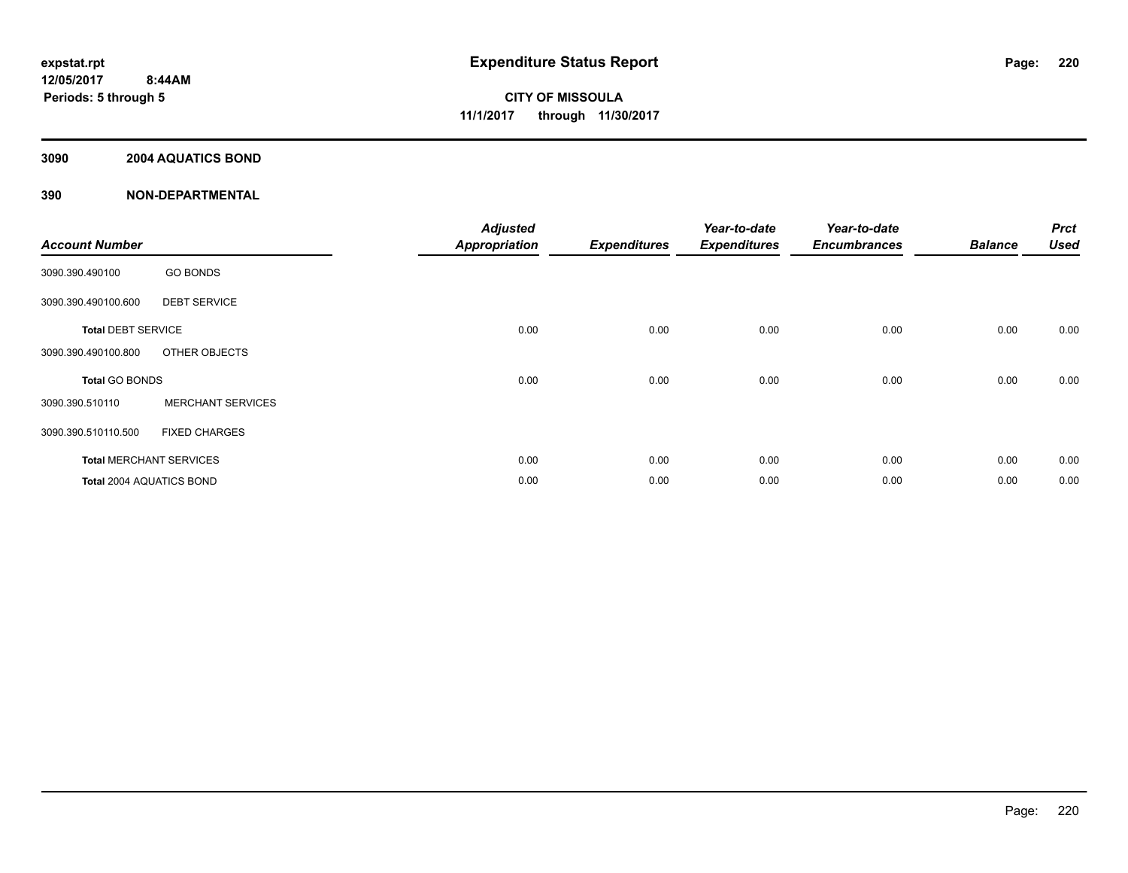#### **3090 2004 AQUATICS BOND**

| <b>Account Number</b>          |                          | <b>Adjusted</b><br><b>Appropriation</b> | <b>Expenditures</b> | Year-to-date<br><b>Expenditures</b> | Year-to-date<br><b>Encumbrances</b> | <b>Balance</b> | <b>Prct</b><br><b>Used</b> |
|--------------------------------|--------------------------|-----------------------------------------|---------------------|-------------------------------------|-------------------------------------|----------------|----------------------------|
| 3090.390.490100                | <b>GO BONDS</b>          |                                         |                     |                                     |                                     |                |                            |
| 3090.390.490100.600            | <b>DEBT SERVICE</b>      |                                         |                     |                                     |                                     |                |                            |
| <b>Total DEBT SERVICE</b>      |                          | 0.00                                    | 0.00                | 0.00                                | 0.00                                | 0.00           | 0.00                       |
| 3090.390.490100.800            | OTHER OBJECTS            |                                         |                     |                                     |                                     |                |                            |
| <b>Total GO BONDS</b>          |                          | 0.00                                    | 0.00                | 0.00                                | 0.00                                | 0.00           | 0.00                       |
| 3090.390.510110                | <b>MERCHANT SERVICES</b> |                                         |                     |                                     |                                     |                |                            |
| 3090.390.510110.500            | <b>FIXED CHARGES</b>     |                                         |                     |                                     |                                     |                |                            |
| <b>Total MERCHANT SERVICES</b> |                          | 0.00                                    | 0.00                | 0.00                                | 0.00                                | 0.00           | 0.00                       |
| Total 2004 AQUATICS BOND       |                          | 0.00                                    | 0.00                | 0.00                                | 0.00                                | 0.00           | 0.00                       |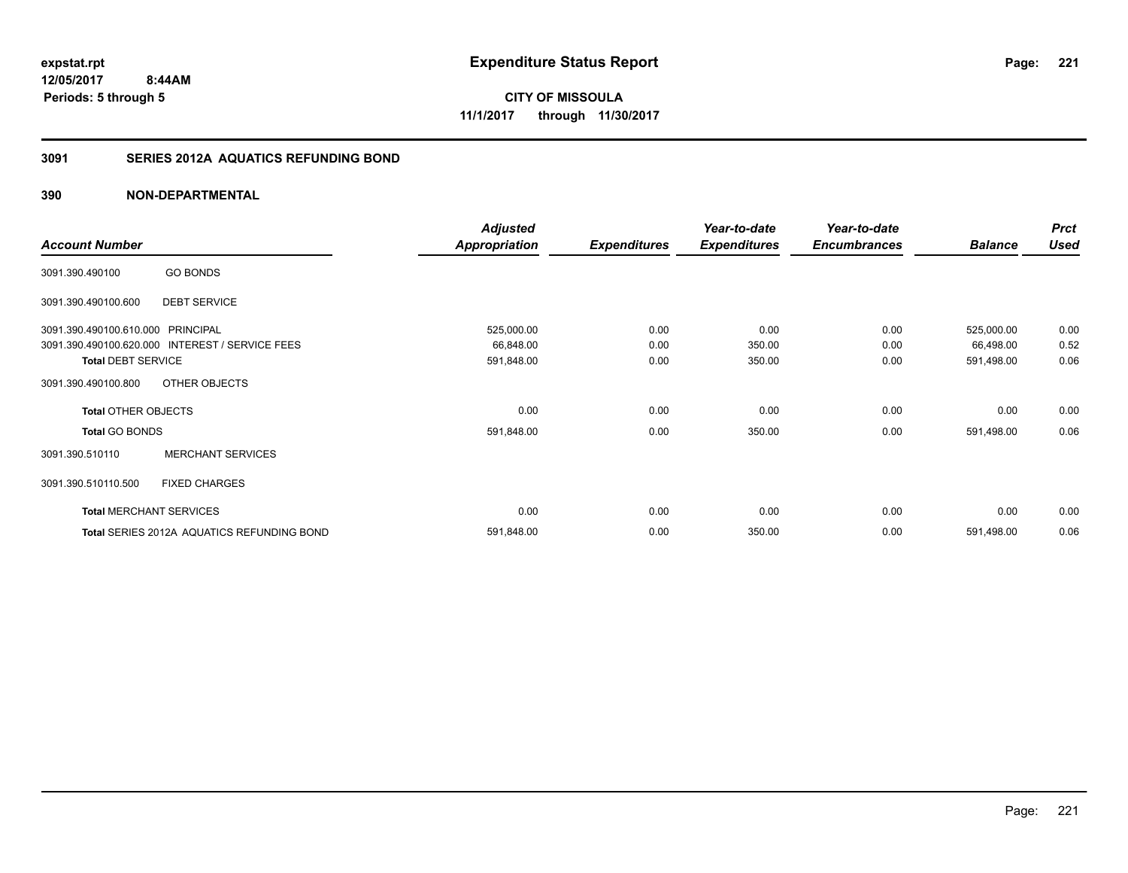# **12/05/2017**

**221**

 **8:44AM Periods: 5 through 5**

**CITY OF MISSOULA 11/1/2017 through 11/30/2017**

#### **3091 SERIES 2012A AQUATICS REFUNDING BOND**

|                                   |                                                 | <b>Adjusted</b>      |                     | Year-to-date        | Year-to-date        |                | <b>Prct</b> |
|-----------------------------------|-------------------------------------------------|----------------------|---------------------|---------------------|---------------------|----------------|-------------|
| <b>Account Number</b>             |                                                 | <b>Appropriation</b> | <b>Expenditures</b> | <b>Expenditures</b> | <b>Encumbrances</b> | <b>Balance</b> | <b>Used</b> |
| 3091.390.490100                   | <b>GO BONDS</b>                                 |                      |                     |                     |                     |                |             |
| 3091.390.490100.600               | <b>DEBT SERVICE</b>                             |                      |                     |                     |                     |                |             |
| 3091.390.490100.610.000 PRINCIPAL |                                                 | 525,000.00           | 0.00                | 0.00                | 0.00                | 525,000.00     | 0.00        |
|                                   | 3091.390.490100.620.000 INTEREST / SERVICE FEES | 66,848.00            | 0.00                | 350.00              | 0.00                | 66,498.00      | 0.52        |
| <b>Total DEBT SERVICE</b>         |                                                 | 591,848.00           | 0.00                | 350.00              | 0.00                | 591,498.00     | 0.06        |
| 3091.390.490100.800               | OTHER OBJECTS                                   |                      |                     |                     |                     |                |             |
| <b>Total OTHER OBJECTS</b>        |                                                 | 0.00                 | 0.00                | 0.00                | 0.00                | 0.00           | 0.00        |
| <b>Total GO BONDS</b>             |                                                 | 591,848.00           | 0.00                | 350.00              | 0.00                | 591,498.00     | 0.06        |
| 3091.390.510110                   | <b>MERCHANT SERVICES</b>                        |                      |                     |                     |                     |                |             |
| 3091.390.510110.500               | <b>FIXED CHARGES</b>                            |                      |                     |                     |                     |                |             |
|                                   | <b>Total MERCHANT SERVICES</b>                  | 0.00                 | 0.00                | 0.00                | 0.00                | 0.00           | 0.00        |
|                                   | Total SERIES 2012A AQUATICS REFUNDING BOND      | 591,848.00           | 0.00                | 350.00              | 0.00                | 591,498.00     | 0.06        |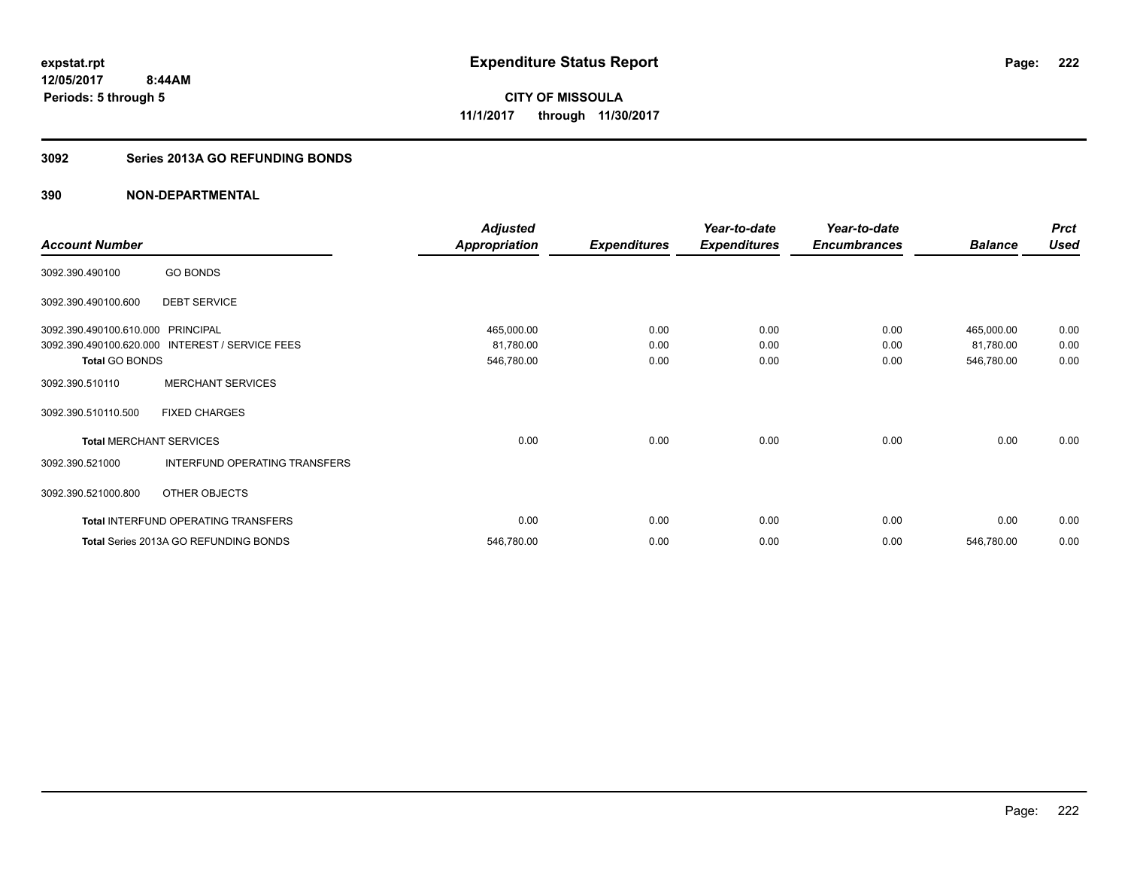### **3092 Series 2013A GO REFUNDING BONDS**

|                                   |                                            | <b>Adjusted</b> |                     | Year-to-date        | Year-to-date        |                | <b>Prct</b> |
|-----------------------------------|--------------------------------------------|-----------------|---------------------|---------------------|---------------------|----------------|-------------|
| <b>Account Number</b>             |                                            | Appropriation   | <b>Expenditures</b> | <b>Expenditures</b> | <b>Encumbrances</b> | <b>Balance</b> | <b>Used</b> |
| 3092.390.490100                   | <b>GO BONDS</b>                            |                 |                     |                     |                     |                |             |
| 3092.390.490100.600               | <b>DEBT SERVICE</b>                        |                 |                     |                     |                     |                |             |
| 3092.390.490100.610.000 PRINCIPAL |                                            | 465,000.00      | 0.00                | 0.00                | 0.00                | 465,000.00     | 0.00        |
| 3092.390.490100.620.000           | INTEREST / SERVICE FEES                    | 81,780.00       | 0.00                | 0.00                | 0.00                | 81,780.00      | 0.00        |
| <b>Total GO BONDS</b>             |                                            | 546,780.00      | 0.00                | 0.00                | 0.00                | 546,780.00     | 0.00        |
| 3092.390.510110                   | <b>MERCHANT SERVICES</b>                   |                 |                     |                     |                     |                |             |
| 3092.390.510110.500               | <b>FIXED CHARGES</b>                       |                 |                     |                     |                     |                |             |
| <b>Total MERCHANT SERVICES</b>    |                                            | 0.00            | 0.00                | 0.00                | 0.00                | 0.00           | 0.00        |
| 3092.390.521000                   | INTERFUND OPERATING TRANSFERS              |                 |                     |                     |                     |                |             |
| 3092.390.521000.800               | OTHER OBJECTS                              |                 |                     |                     |                     |                |             |
|                                   | <b>Total INTERFUND OPERATING TRANSFERS</b> | 0.00            | 0.00                | 0.00                | 0.00                | 0.00           | 0.00        |
|                                   | Total Series 2013A GO REFUNDING BONDS      | 546,780.00      | 0.00                | 0.00                | 0.00                | 546,780.00     | 0.00        |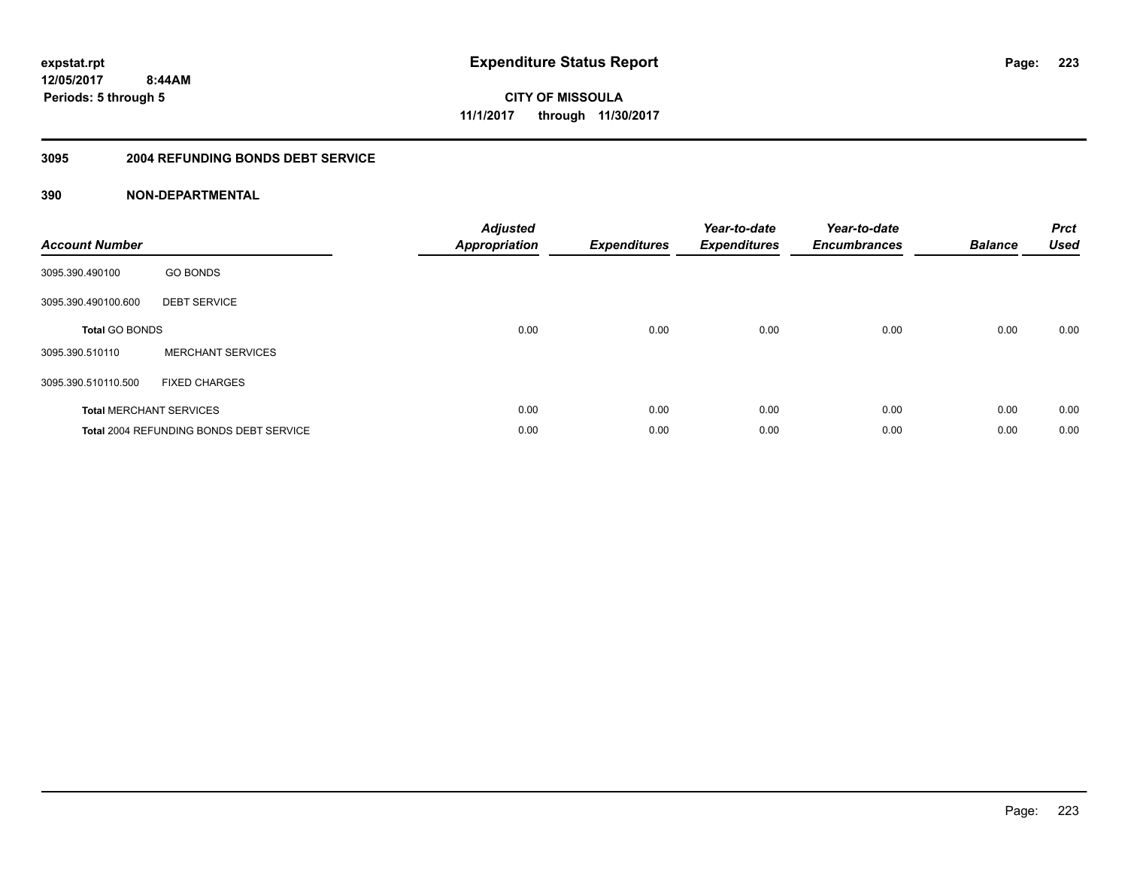**CITY OF MISSOULA 11/1/2017 through 11/30/2017**

#### **3095 2004 REFUNDING BONDS DEBT SERVICE**

| <b>Account Number</b> |                                                | <b>Adjusted</b><br>Appropriation | <b>Expenditures</b> | Year-to-date<br><b>Expenditures</b> | Year-to-date<br><b>Encumbrances</b> | <b>Balance</b> | <b>Prct</b><br><b>Used</b> |
|-----------------------|------------------------------------------------|----------------------------------|---------------------|-------------------------------------|-------------------------------------|----------------|----------------------------|
| 3095.390.490100       | <b>GO BONDS</b>                                |                                  |                     |                                     |                                     |                |                            |
| 3095.390.490100.600   | <b>DEBT SERVICE</b>                            |                                  |                     |                                     |                                     |                |                            |
| <b>Total GO BONDS</b> |                                                | 0.00                             | 0.00                | 0.00                                | 0.00                                | 0.00           | 0.00                       |
| 3095.390.510110       | <b>MERCHANT SERVICES</b>                       |                                  |                     |                                     |                                     |                |                            |
| 3095.390.510110.500   | <b>FIXED CHARGES</b>                           |                                  |                     |                                     |                                     |                |                            |
|                       | <b>Total MERCHANT SERVICES</b>                 | 0.00                             | 0.00                | 0.00                                | 0.00                                | 0.00           | 0.00                       |
|                       | <b>Total 2004 REFUNDING BONDS DEBT SERVICE</b> | 0.00                             | 0.00                | 0.00                                | 0.00                                | 0.00           | 0.00                       |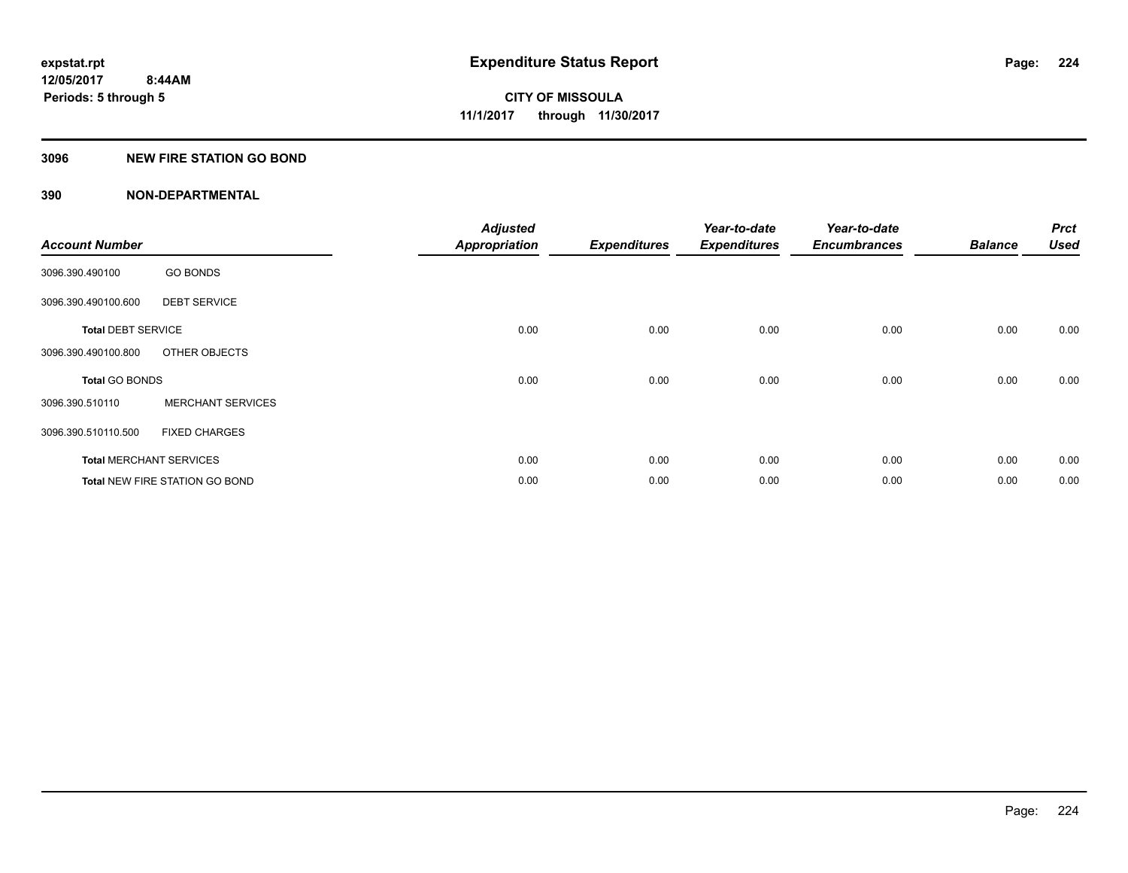#### **3096 NEW FIRE STATION GO BOND**

| <b>Account Number</b>          |                                       | <b>Adjusted</b><br><b>Appropriation</b> | <b>Expenditures</b> | Year-to-date<br><b>Expenditures</b> | Year-to-date<br><b>Encumbrances</b> | <b>Balance</b> | <b>Prct</b><br><b>Used</b> |
|--------------------------------|---------------------------------------|-----------------------------------------|---------------------|-------------------------------------|-------------------------------------|----------------|----------------------------|
|                                |                                       |                                         |                     |                                     |                                     |                |                            |
| 3096.390.490100                | <b>GO BONDS</b>                       |                                         |                     |                                     |                                     |                |                            |
| 3096.390.490100.600            | <b>DEBT SERVICE</b>                   |                                         |                     |                                     |                                     |                |                            |
| <b>Total DEBT SERVICE</b>      |                                       | 0.00                                    | 0.00                | 0.00                                | 0.00                                | 0.00           | 0.00                       |
| 3096.390.490100.800            | OTHER OBJECTS                         |                                         |                     |                                     |                                     |                |                            |
| <b>Total GO BONDS</b>          |                                       | 0.00                                    | 0.00                | 0.00                                | 0.00                                | 0.00           | 0.00                       |
| 3096.390.510110                | <b>MERCHANT SERVICES</b>              |                                         |                     |                                     |                                     |                |                            |
| 3096.390.510110.500            | <b>FIXED CHARGES</b>                  |                                         |                     |                                     |                                     |                |                            |
| <b>Total MERCHANT SERVICES</b> |                                       | 0.00                                    | 0.00                | 0.00                                | 0.00                                | 0.00           | 0.00                       |
|                                | <b>Total NEW FIRE STATION GO BOND</b> | 0.00                                    | 0.00                | 0.00                                | 0.00                                | 0.00           | 0.00                       |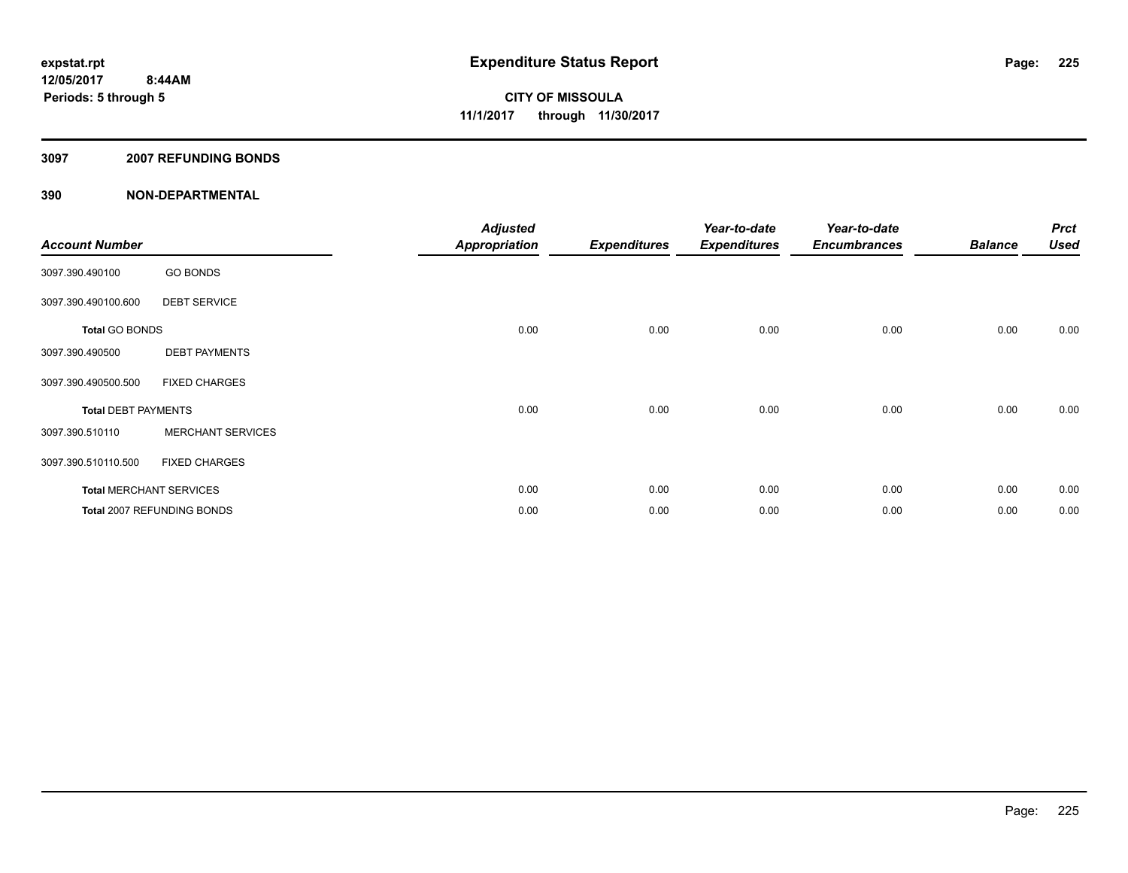#### **3097 2007 REFUNDING BONDS**

| <b>Account Number</b>      |                                | <b>Adjusted</b><br><b>Appropriation</b> | <b>Expenditures</b> | Year-to-date<br><b>Expenditures</b> | Year-to-date<br><b>Encumbrances</b> | <b>Balance</b> | <b>Prct</b><br><b>Used</b> |
|----------------------------|--------------------------------|-----------------------------------------|---------------------|-------------------------------------|-------------------------------------|----------------|----------------------------|
| 3097.390.490100            | <b>GO BONDS</b>                |                                         |                     |                                     |                                     |                |                            |
| 3097.390.490100.600        | <b>DEBT SERVICE</b>            |                                         |                     |                                     |                                     |                |                            |
| <b>Total GO BONDS</b>      |                                | 0.00                                    | 0.00                | 0.00                                | 0.00                                | 0.00           | 0.00                       |
| 3097.390.490500            | <b>DEBT PAYMENTS</b>           |                                         |                     |                                     |                                     |                |                            |
| 3097.390.490500.500        | <b>FIXED CHARGES</b>           |                                         |                     |                                     |                                     |                |                            |
| <b>Total DEBT PAYMENTS</b> |                                | 0.00                                    | 0.00                | 0.00                                | 0.00                                | 0.00           | 0.00                       |
| 3097.390.510110            | <b>MERCHANT SERVICES</b>       |                                         |                     |                                     |                                     |                |                            |
| 3097.390.510110.500        | <b>FIXED CHARGES</b>           |                                         |                     |                                     |                                     |                |                            |
|                            | <b>Total MERCHANT SERVICES</b> | 0.00                                    | 0.00                | 0.00                                | 0.00                                | 0.00           | 0.00                       |
|                            | Total 2007 REFUNDING BONDS     | 0.00                                    | 0.00                | 0.00                                | 0.00                                | 0.00           | 0.00                       |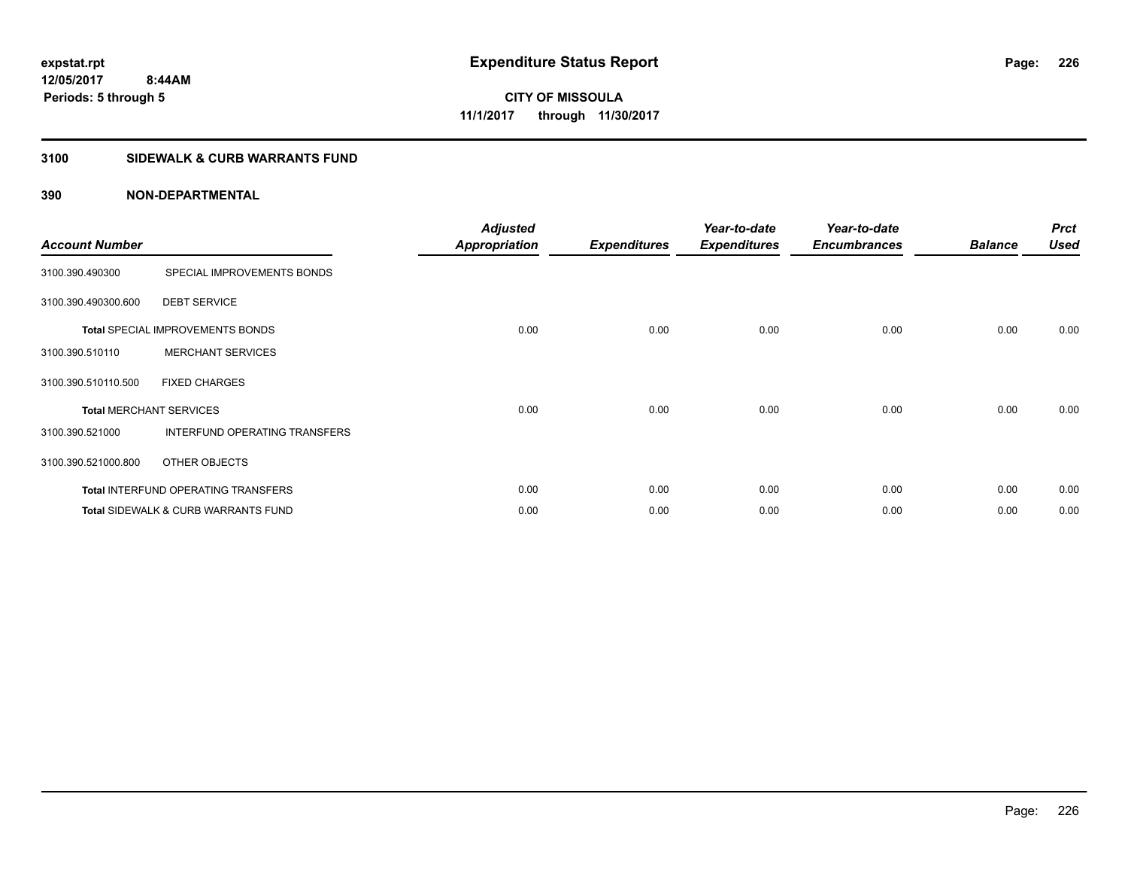#### **3100 SIDEWALK & CURB WARRANTS FUND**

| <b>Account Number</b>          |                                                | <b>Adjusted</b><br><b>Appropriation</b> | <b>Expenditures</b> | Year-to-date<br><b>Expenditures</b> | Year-to-date<br><b>Encumbrances</b> | <b>Balance</b> | <b>Prct</b><br><b>Used</b> |
|--------------------------------|------------------------------------------------|-----------------------------------------|---------------------|-------------------------------------|-------------------------------------|----------------|----------------------------|
| 3100.390.490300                | SPECIAL IMPROVEMENTS BONDS                     |                                         |                     |                                     |                                     |                |                            |
| 3100.390.490300.600            | <b>DEBT SERVICE</b>                            |                                         |                     |                                     |                                     |                |                            |
|                                | <b>Total SPECIAL IMPROVEMENTS BONDS</b>        | 0.00                                    | 0.00                | 0.00                                | 0.00                                | 0.00           | 0.00                       |
| 3100.390.510110                | <b>MERCHANT SERVICES</b>                       |                                         |                     |                                     |                                     |                |                            |
| 3100.390.510110.500            | <b>FIXED CHARGES</b>                           |                                         |                     |                                     |                                     |                |                            |
| <b>Total MERCHANT SERVICES</b> |                                                | 0.00                                    | 0.00                | 0.00                                | 0.00                                | 0.00           | 0.00                       |
| 3100.390.521000                | INTERFUND OPERATING TRANSFERS                  |                                         |                     |                                     |                                     |                |                            |
| 3100.390.521000.800            | OTHER OBJECTS                                  |                                         |                     |                                     |                                     |                |                            |
|                                | <b>Total INTERFUND OPERATING TRANSFERS</b>     | 0.00                                    | 0.00                | 0.00                                | 0.00                                | 0.00           | 0.00                       |
|                                | <b>Total SIDEWALK &amp; CURB WARRANTS FUND</b> | 0.00                                    | 0.00                | 0.00                                | 0.00                                | 0.00           | 0.00                       |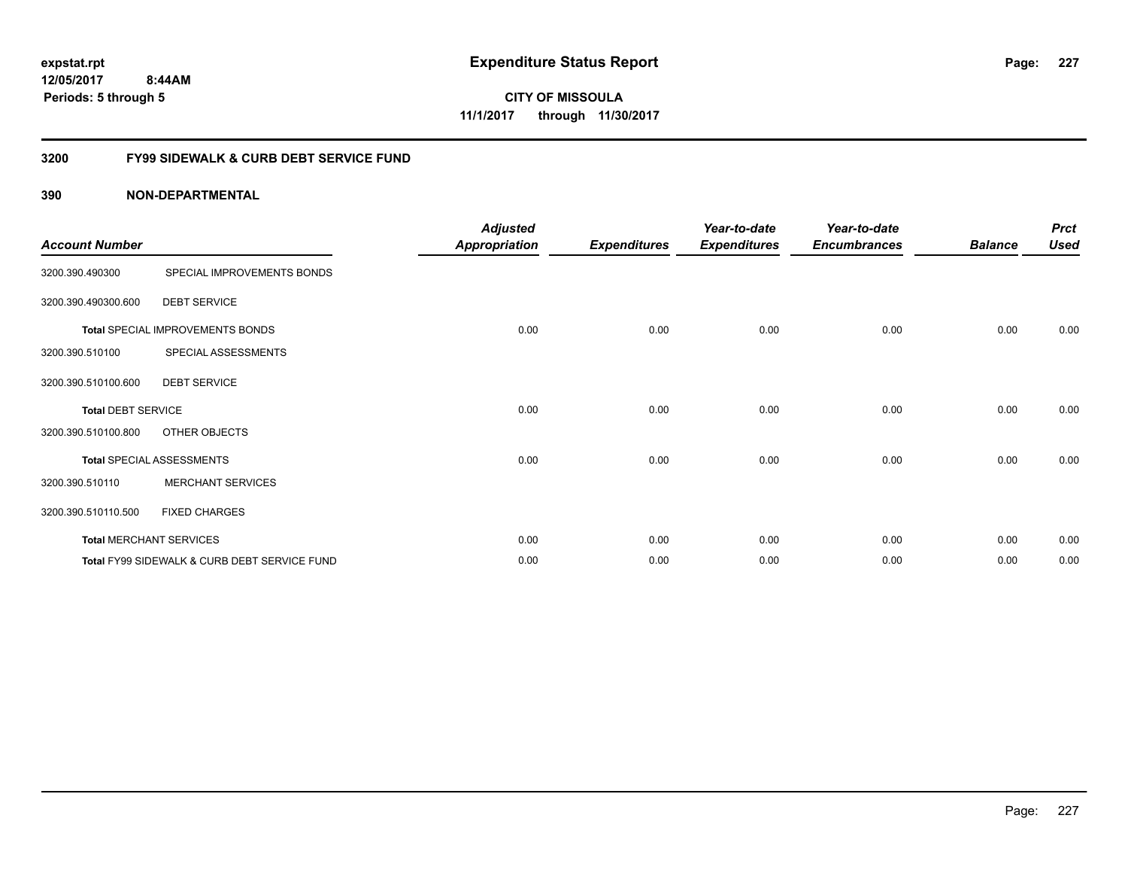**227**

**12/05/2017 8:44AM Periods: 5 through 5**

**CITY OF MISSOULA 11/1/2017 through 11/30/2017**

#### **3200 FY99 SIDEWALK & CURB DEBT SERVICE FUND**

| <b>Account Number</b>     |                                              | <b>Adjusted</b><br><b>Appropriation</b> | <b>Expenditures</b> | Year-to-date<br><b>Expenditures</b> | Year-to-date<br><b>Encumbrances</b> | <b>Balance</b> | <b>Prct</b><br><b>Used</b> |
|---------------------------|----------------------------------------------|-----------------------------------------|---------------------|-------------------------------------|-------------------------------------|----------------|----------------------------|
| 3200.390.490300           | SPECIAL IMPROVEMENTS BONDS                   |                                         |                     |                                     |                                     |                |                            |
| 3200.390.490300.600       | <b>DEBT SERVICE</b>                          |                                         |                     |                                     |                                     |                |                            |
|                           | <b>Total SPECIAL IMPROVEMENTS BONDS</b>      | 0.00                                    | 0.00                | 0.00                                | 0.00                                | 0.00           | 0.00                       |
| 3200.390.510100           | SPECIAL ASSESSMENTS                          |                                         |                     |                                     |                                     |                |                            |
| 3200.390.510100.600       | <b>DEBT SERVICE</b>                          |                                         |                     |                                     |                                     |                |                            |
| <b>Total DEBT SERVICE</b> |                                              | 0.00                                    | 0.00                | 0.00                                | 0.00                                | 0.00           | 0.00                       |
| 3200.390.510100.800       | OTHER OBJECTS                                |                                         |                     |                                     |                                     |                |                            |
|                           | <b>Total SPECIAL ASSESSMENTS</b>             | 0.00                                    | 0.00                | 0.00                                | 0.00                                | 0.00           | 0.00                       |
| 3200.390.510110           | <b>MERCHANT SERVICES</b>                     |                                         |                     |                                     |                                     |                |                            |
| 3200.390.510110.500       | <b>FIXED CHARGES</b>                         |                                         |                     |                                     |                                     |                |                            |
|                           | <b>Total MERCHANT SERVICES</b>               | 0.00                                    | 0.00                | 0.00                                | 0.00                                | 0.00           | 0.00                       |
|                           | Total FY99 SIDEWALK & CURB DEBT SERVICE FUND | 0.00                                    | 0.00                | 0.00                                | 0.00                                | 0.00           | 0.00                       |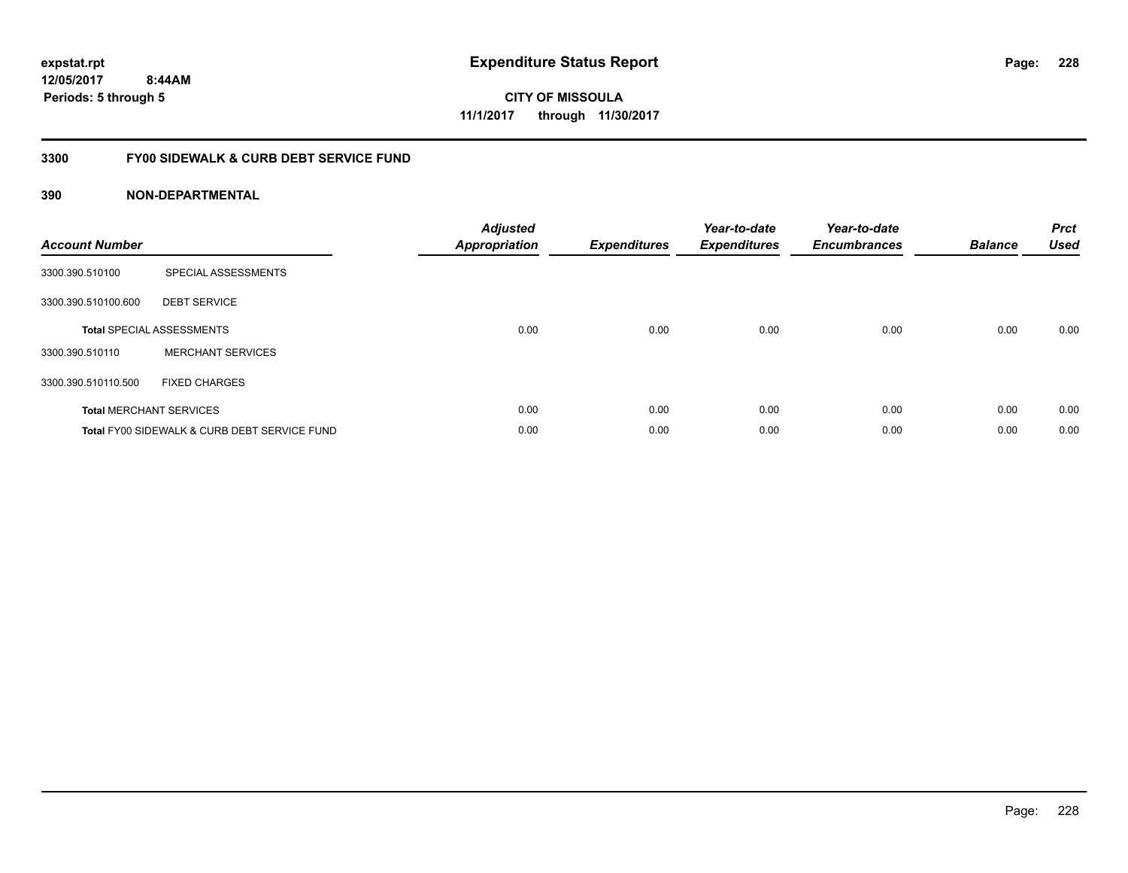**228**

**12/05/2017 8:44AM Periods: 5 through 5**

**CITY OF MISSOULA 11/1/2017 through 11/30/2017**

#### **3300 FY00 SIDEWALK & CURB DEBT SERVICE FUND**

| <b>Account Number</b> |                                              | <b>Adjusted</b><br><b>Appropriation</b> | <b>Expenditures</b> | Year-to-date<br><b>Expenditures</b> | Year-to-date<br><b>Encumbrances</b> | <b>Balance</b> | <b>Prct</b><br><b>Used</b> |
|-----------------------|----------------------------------------------|-----------------------------------------|---------------------|-------------------------------------|-------------------------------------|----------------|----------------------------|
| 3300.390.510100       | SPECIAL ASSESSMENTS                          |                                         |                     |                                     |                                     |                |                            |
| 3300.390.510100.600   | <b>DEBT SERVICE</b>                          |                                         |                     |                                     |                                     |                |                            |
|                       | <b>Total SPECIAL ASSESSMENTS</b>             | 0.00                                    | 0.00                | 0.00                                | 0.00                                | 0.00           | 0.00                       |
| 3300.390.510110       | <b>MERCHANT SERVICES</b>                     |                                         |                     |                                     |                                     |                |                            |
| 3300.390.510110.500   | <b>FIXED CHARGES</b>                         |                                         |                     |                                     |                                     |                |                            |
|                       | <b>Total MERCHANT SERVICES</b>               | 0.00                                    | 0.00                | 0.00                                | 0.00                                | 0.00           | 0.00                       |
|                       | Total FY00 SIDEWALK & CURB DEBT SERVICE FUND | 0.00                                    | 0.00                | 0.00                                | 0.00                                | 0.00           | 0.00                       |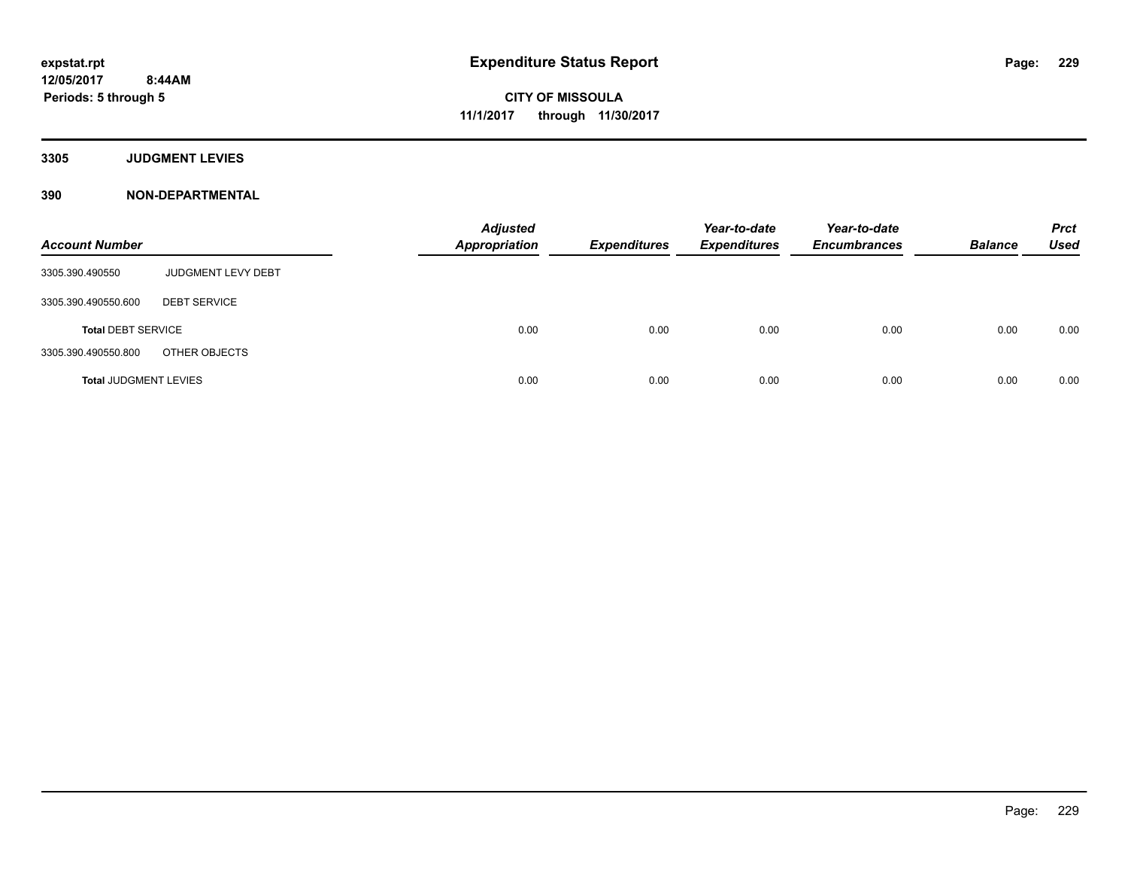**3305 JUDGMENT LEVIES**

| <b>Account Number</b>        |                     | <b>Adjusted</b><br><b>Appropriation</b> | <b>Expenditures</b> | Year-to-date<br><b>Expenditures</b> | Year-to-date<br><b>Encumbrances</b> | <b>Balance</b> | <b>Prct</b><br><b>Used</b> |
|------------------------------|---------------------|-----------------------------------------|---------------------|-------------------------------------|-------------------------------------|----------------|----------------------------|
| 3305.390.490550              | JUDGMENT LEVY DEBT  |                                         |                     |                                     |                                     |                |                            |
| 3305.390.490550.600          | <b>DEBT SERVICE</b> |                                         |                     |                                     |                                     |                |                            |
| <b>Total DEBT SERVICE</b>    |                     | 0.00                                    | 0.00                | 0.00                                | 0.00                                | 0.00           | 0.00                       |
| 3305.390.490550.800          | OTHER OBJECTS       |                                         |                     |                                     |                                     |                |                            |
| <b>Total JUDGMENT LEVIES</b> |                     | 0.00                                    | 0.00                | 0.00                                | 0.00                                | 0.00           | 0.00                       |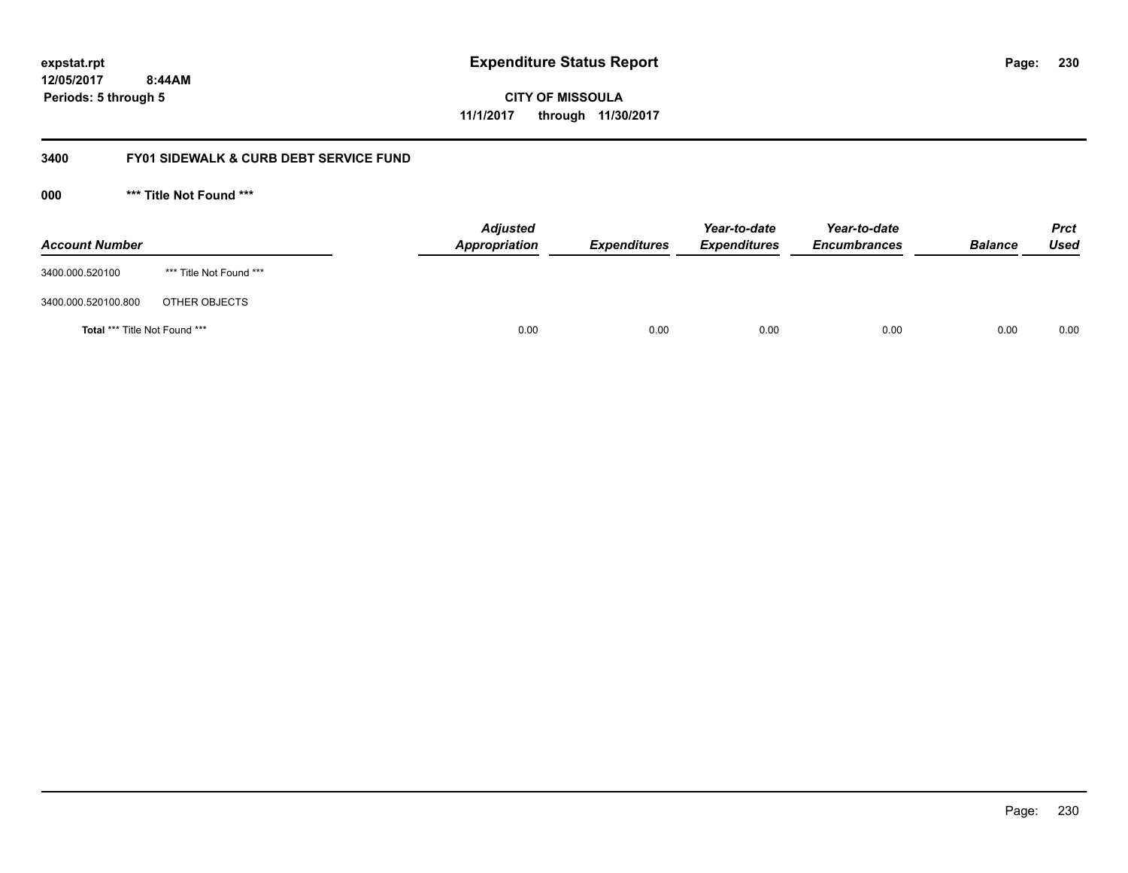**CITY OF MISSOULA 11/1/2017 through 11/30/2017**

#### **3400 FY01 SIDEWALK & CURB DEBT SERVICE FUND**

**000 \*\*\* Title Not Found \*\*\***

| <b>Account Number</b>                |                         | <b>Adjusted</b><br>Appropriation | <b>Expenditures</b> | Year-to-date<br><b>Expenditures</b> | Year-to-date<br><b>Encumbrances</b> | <b>Balance</b> | <b>Prct</b><br><b>Used</b> |
|--------------------------------------|-------------------------|----------------------------------|---------------------|-------------------------------------|-------------------------------------|----------------|----------------------------|
| 3400.000.520100                      | *** Title Not Found *** |                                  |                     |                                     |                                     |                |                            |
| 3400.000.520100.800                  | OTHER OBJECTS           |                                  |                     |                                     |                                     |                |                            |
| <b>Total *** Title Not Found ***</b> |                         |                                  | 0.00<br>0.00        | 0.00                                | 0.00                                | 0.00           | 0.00                       |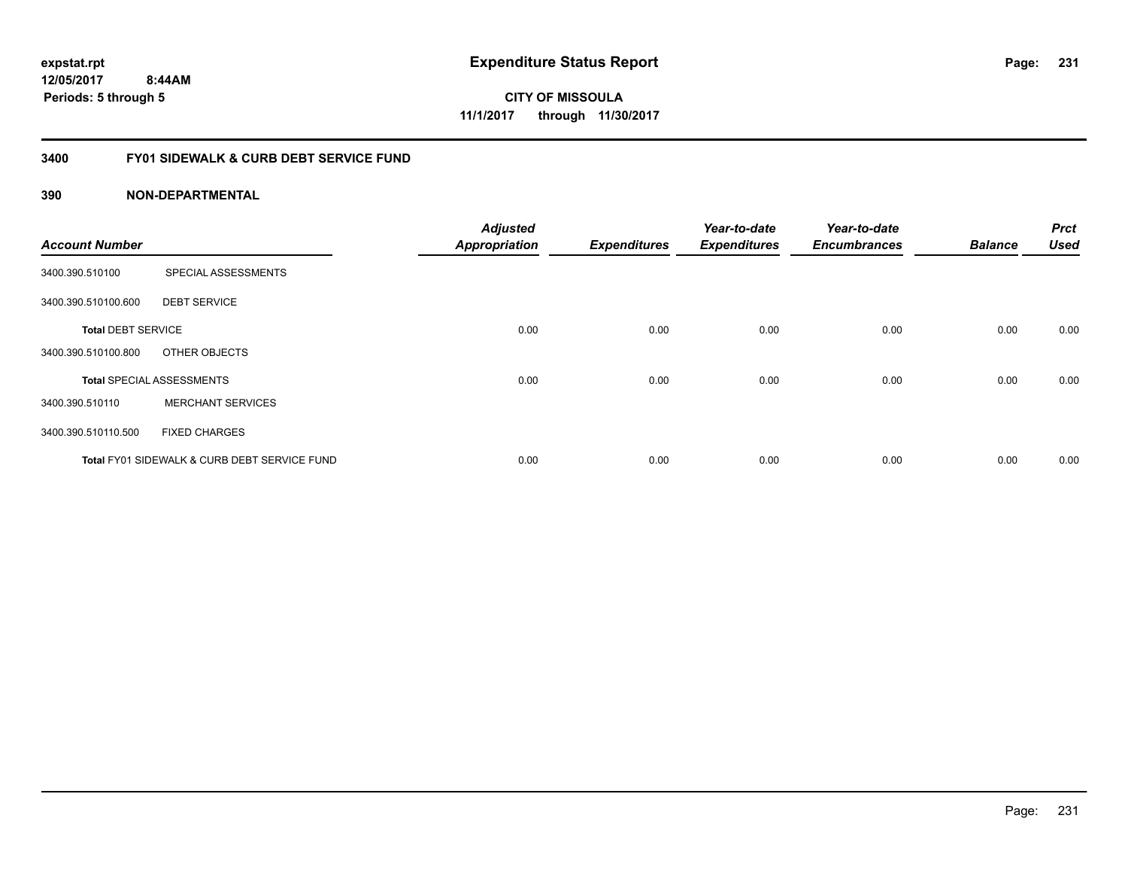**CITY OF MISSOULA 11/1/2017 through 11/30/2017**

#### **3400 FY01 SIDEWALK & CURB DEBT SERVICE FUND**

| <b>Account Number</b>     |                                              | <b>Adjusted</b><br><b>Appropriation</b> | <b>Expenditures</b> | Year-to-date<br><b>Expenditures</b> | Year-to-date<br><b>Encumbrances</b> | <b>Balance</b> | <b>Prct</b><br><b>Used</b> |
|---------------------------|----------------------------------------------|-----------------------------------------|---------------------|-------------------------------------|-------------------------------------|----------------|----------------------------|
|                           |                                              |                                         |                     |                                     |                                     |                |                            |
| 3400.390.510100           | SPECIAL ASSESSMENTS                          |                                         |                     |                                     |                                     |                |                            |
| 3400.390.510100.600       | <b>DEBT SERVICE</b>                          |                                         |                     |                                     |                                     |                |                            |
| <b>Total DEBT SERVICE</b> |                                              | 0.00                                    | 0.00                | 0.00                                | 0.00                                | 0.00           | 0.00                       |
| 3400.390.510100.800       | OTHER OBJECTS                                |                                         |                     |                                     |                                     |                |                            |
|                           | <b>Total SPECIAL ASSESSMENTS</b>             | 0.00                                    | 0.00                | 0.00                                | 0.00                                | 0.00           | 0.00                       |
| 3400.390.510110           | <b>MERCHANT SERVICES</b>                     |                                         |                     |                                     |                                     |                |                            |
| 3400.390.510110.500       | <b>FIXED CHARGES</b>                         |                                         |                     |                                     |                                     |                |                            |
|                           | Total FY01 SIDEWALK & CURB DEBT SERVICE FUND | 0.00                                    | 0.00                | 0.00                                | 0.00                                | 0.00           | 0.00                       |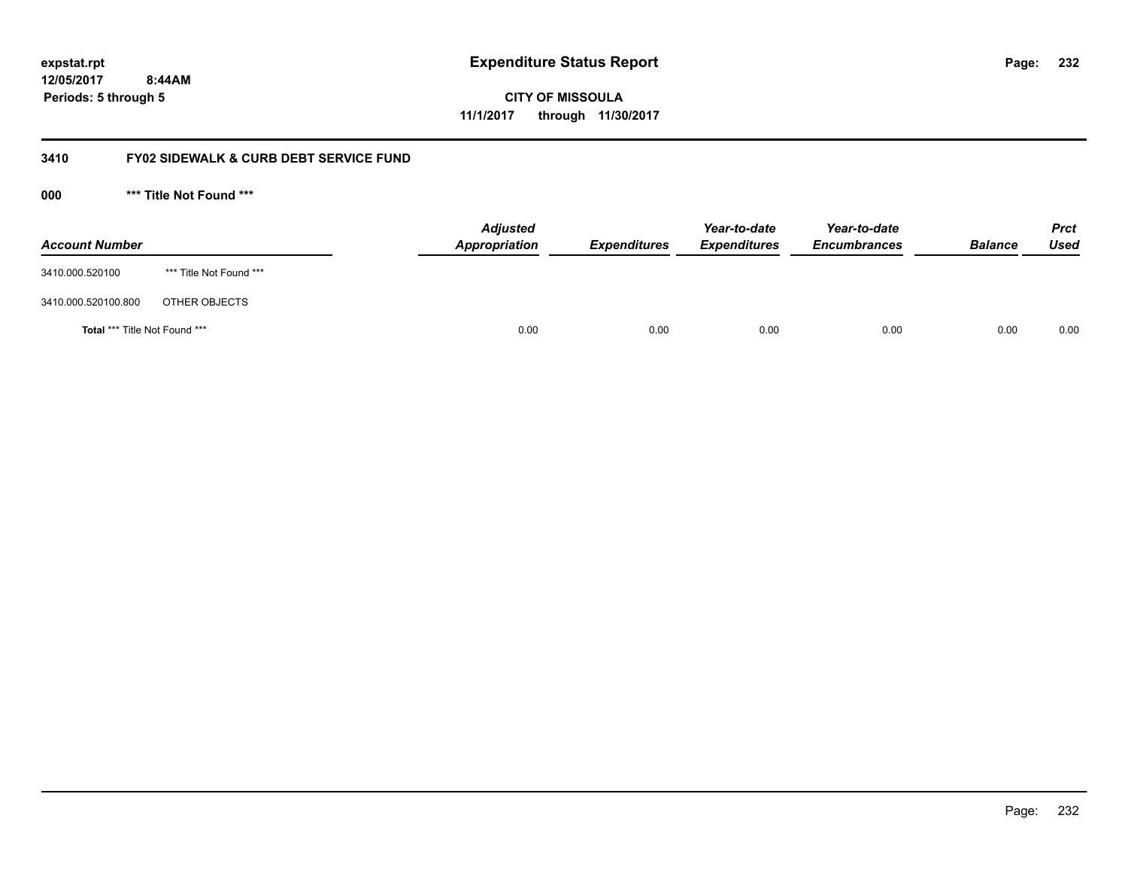**CITY OF MISSOULA 11/1/2017 through 11/30/2017**

#### **3410 FY02 SIDEWALK & CURB DEBT SERVICE FUND**

**000 \*\*\* Title Not Found \*\*\***

| <b>Account Number</b>                |                         | <b>Adjusted</b><br>Appropriation | <b>Expenditures</b> | Year-to-date<br><b>Expenditures</b> | Year-to-date<br><b>Encumbrances</b> | <b>Balance</b> | <b>Prct</b><br><b>Used</b> |
|--------------------------------------|-------------------------|----------------------------------|---------------------|-------------------------------------|-------------------------------------|----------------|----------------------------|
| 3410.000.520100                      | *** Title Not Found *** |                                  |                     |                                     |                                     |                |                            |
| 3410.000.520100.800                  | OTHER OBJECTS           |                                  |                     |                                     |                                     |                |                            |
| <b>Total *** Title Not Found ***</b> |                         | 0.00                             | 0.00                | 0.00                                | 0.00                                | 0.00           | 0.00                       |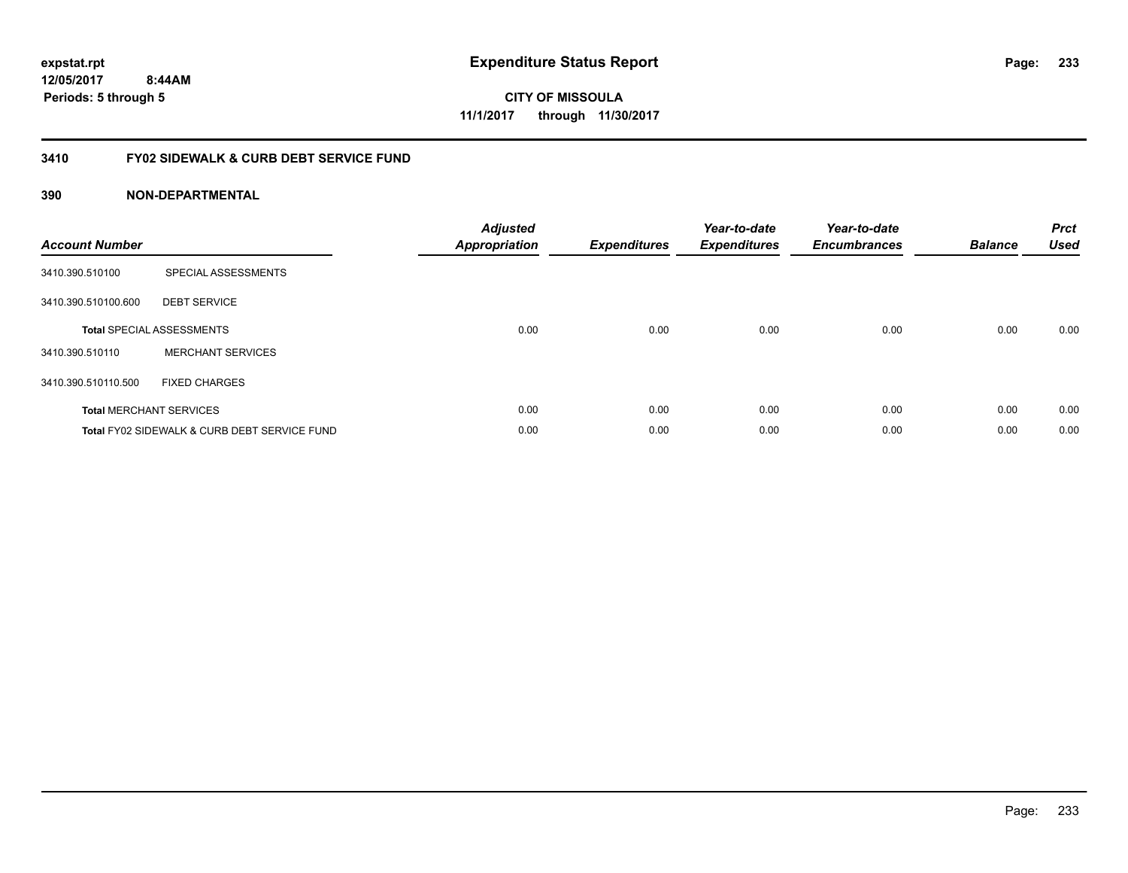**233**

**CITY OF MISSOULA 11/1/2017 through 11/30/2017**

#### **3410 FY02 SIDEWALK & CURB DEBT SERVICE FUND**

| <b>Account Number</b> |                                              | <b>Adjusted</b><br>Appropriation | <b>Expenditures</b> | Year-to-date<br><b>Expenditures</b> | Year-to-date<br><b>Encumbrances</b> | <b>Balance</b> | <b>Prct</b><br><b>Used</b> |
|-----------------------|----------------------------------------------|----------------------------------|---------------------|-------------------------------------|-------------------------------------|----------------|----------------------------|
| 3410.390.510100       | SPECIAL ASSESSMENTS                          |                                  |                     |                                     |                                     |                |                            |
| 3410.390.510100.600   | <b>DEBT SERVICE</b>                          |                                  |                     |                                     |                                     |                |                            |
|                       | <b>Total SPECIAL ASSESSMENTS</b>             | 0.00                             | 0.00                | 0.00                                | 0.00                                | 0.00           | 0.00                       |
| 3410.390.510110       | <b>MERCHANT SERVICES</b>                     |                                  |                     |                                     |                                     |                |                            |
| 3410.390.510110.500   | <b>FIXED CHARGES</b>                         |                                  |                     |                                     |                                     |                |                            |
|                       | <b>Total MERCHANT SERVICES</b>               | 0.00                             | 0.00                | 0.00                                | 0.00                                | 0.00           | 0.00                       |
|                       | Total FY02 SIDEWALK & CURB DEBT SERVICE FUND | 0.00                             | 0.00                | 0.00                                | 0.00                                | 0.00           | 0.00                       |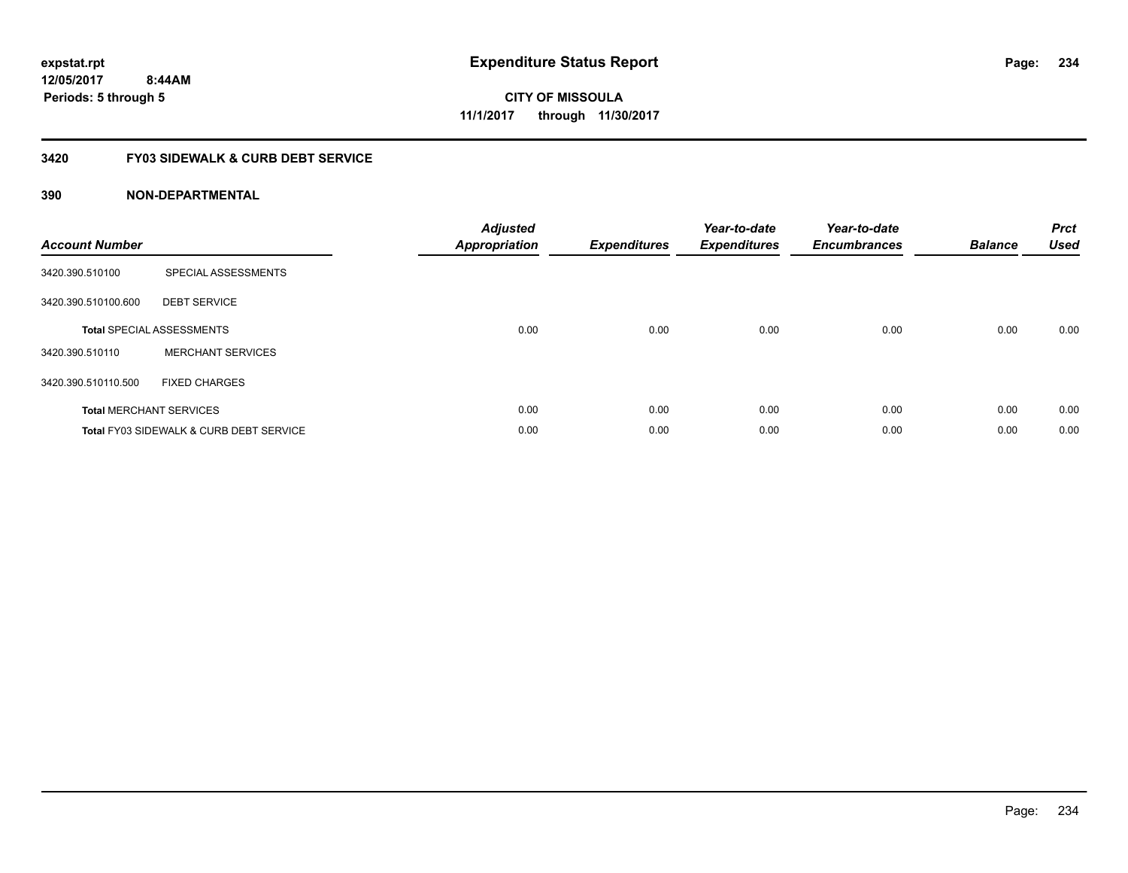# **CITY OF MISSOULA 11/1/2017 through 11/30/2017**

#### **3420 FY03 SIDEWALK & CURB DEBT SERVICE**

| <b>Account Number</b> |                                                    | <b>Adjusted</b><br>Appropriation | <b>Expenditures</b> | Year-to-date<br><b>Expenditures</b> | Year-to-date<br><b>Encumbrances</b> | <b>Balance</b> | <b>Prct</b><br><b>Used</b> |
|-----------------------|----------------------------------------------------|----------------------------------|---------------------|-------------------------------------|-------------------------------------|----------------|----------------------------|
| 3420.390.510100       | SPECIAL ASSESSMENTS                                |                                  |                     |                                     |                                     |                |                            |
| 3420.390.510100.600   | <b>DEBT SERVICE</b>                                |                                  |                     |                                     |                                     |                |                            |
|                       | <b>Total SPECIAL ASSESSMENTS</b>                   | 0.00                             | 0.00                | 0.00                                | 0.00                                | 0.00           | 0.00                       |
| 3420.390.510110       | <b>MERCHANT SERVICES</b>                           |                                  |                     |                                     |                                     |                |                            |
| 3420.390.510110.500   | <b>FIXED CHARGES</b>                               |                                  |                     |                                     |                                     |                |                            |
|                       | <b>Total MERCHANT SERVICES</b>                     | 0.00                             | 0.00                | 0.00                                | 0.00                                | 0.00           | 0.00                       |
|                       | <b>Total FY03 SIDEWALK &amp; CURB DEBT SERVICE</b> | 0.00                             | 0.00                | 0.00                                | 0.00                                | 0.00           | 0.00                       |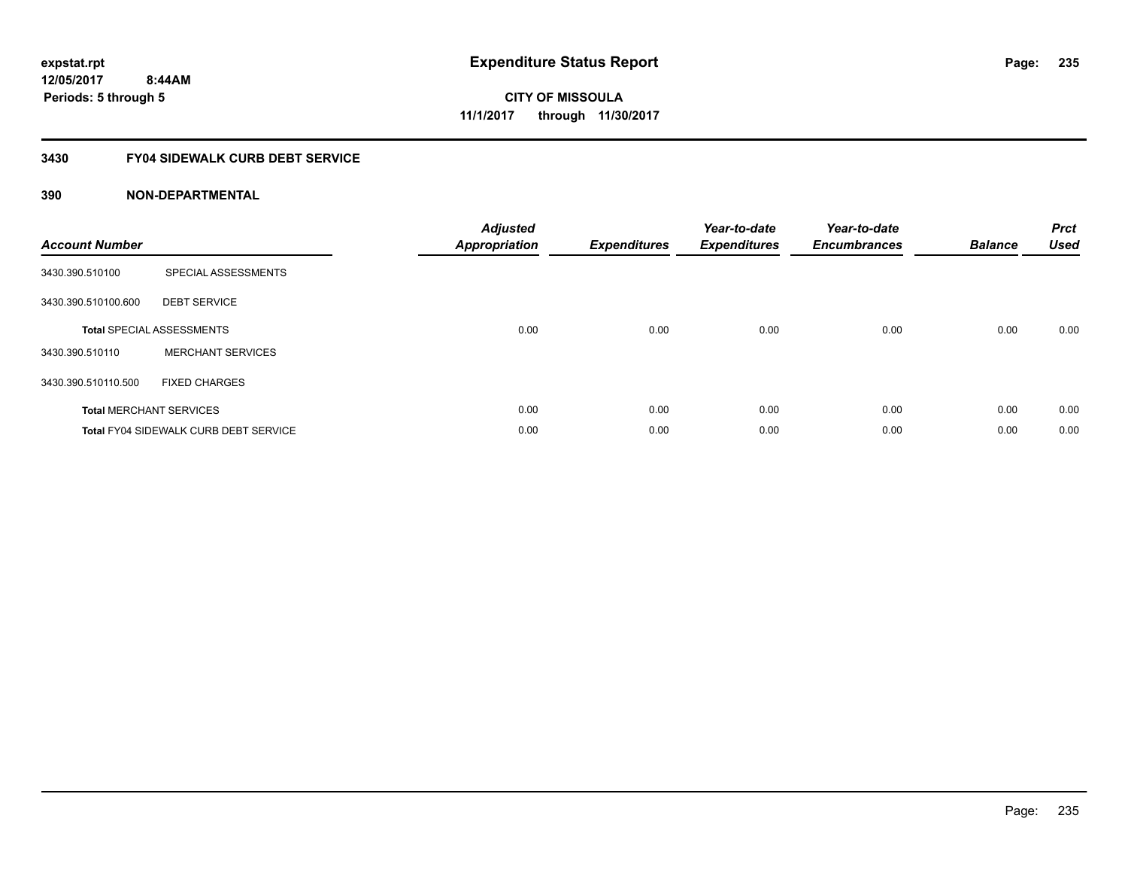#### **3430 FY04 SIDEWALK CURB DEBT SERVICE**

| <b>Account Number</b> |                                       | <b>Adjusted</b><br><b>Appropriation</b> | <b>Expenditures</b> | Year-to-date<br><b>Expenditures</b> | Year-to-date<br><b>Encumbrances</b> | <b>Balance</b> | <b>Prct</b><br><b>Used</b> |
|-----------------------|---------------------------------------|-----------------------------------------|---------------------|-------------------------------------|-------------------------------------|----------------|----------------------------|
| 3430.390.510100       | SPECIAL ASSESSMENTS                   |                                         |                     |                                     |                                     |                |                            |
| 3430.390.510100.600   | <b>DEBT SERVICE</b>                   |                                         |                     |                                     |                                     |                |                            |
|                       | <b>Total SPECIAL ASSESSMENTS</b>      | 0.00                                    | 0.00                | 0.00                                | 0.00                                | 0.00           | 0.00                       |
| 3430.390.510110       | <b>MERCHANT SERVICES</b>              |                                         |                     |                                     |                                     |                |                            |
| 3430.390.510110.500   | <b>FIXED CHARGES</b>                  |                                         |                     |                                     |                                     |                |                            |
|                       | <b>Total MERCHANT SERVICES</b>        | 0.00                                    | 0.00                | 0.00                                | 0.00                                | 0.00           | 0.00                       |
|                       | Total FY04 SIDEWALK CURB DEBT SERVICE | 0.00                                    | 0.00                | 0.00                                | 0.00                                | 0.00           | 0.00                       |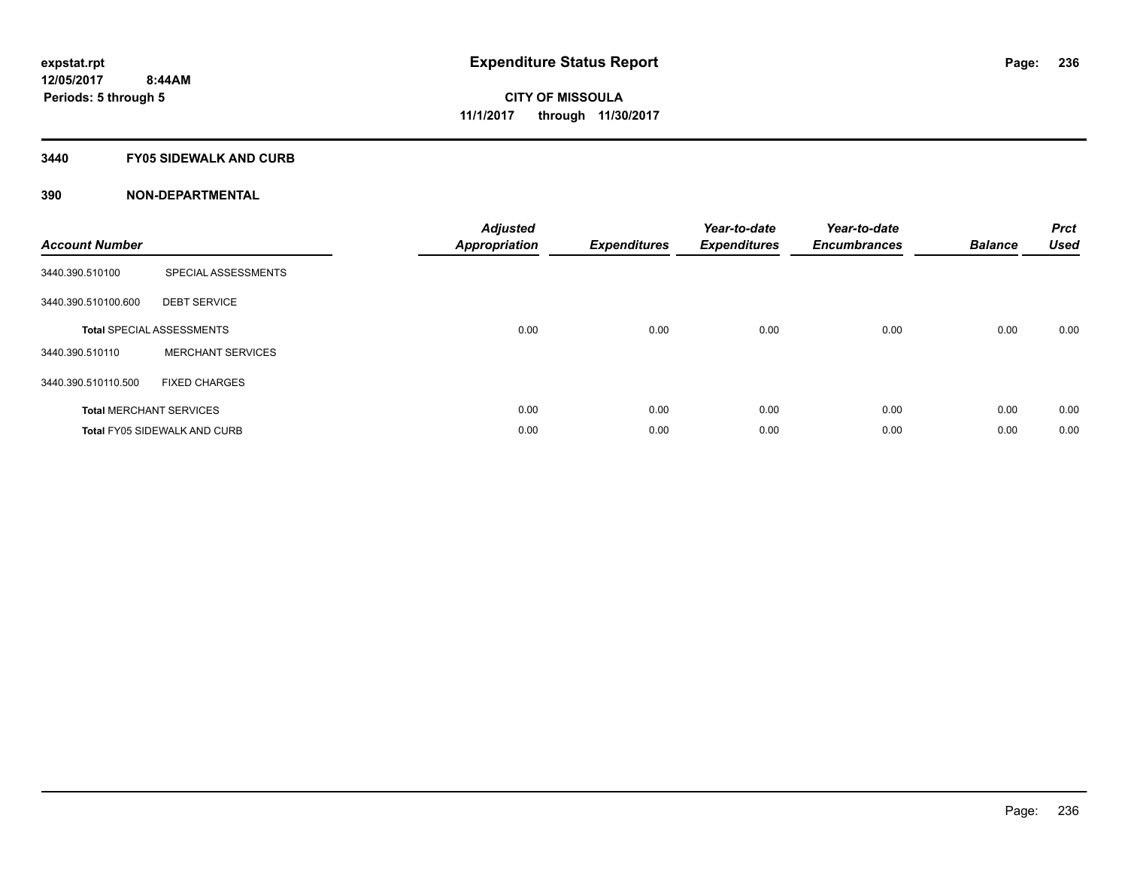#### **3440 FY05 SIDEWALK AND CURB**

| <b>Account Number</b> |                                     | <b>Adjusted</b><br>Appropriation | <b>Expenditures</b> | Year-to-date<br><b>Expenditures</b> | Year-to-date<br><b>Encumbrances</b> | <b>Balance</b> | <b>Prct</b><br><b>Used</b> |
|-----------------------|-------------------------------------|----------------------------------|---------------------|-------------------------------------|-------------------------------------|----------------|----------------------------|
| 3440.390.510100       | SPECIAL ASSESSMENTS                 |                                  |                     |                                     |                                     |                |                            |
| 3440.390.510100.600   | <b>DEBT SERVICE</b>                 |                                  |                     |                                     |                                     |                |                            |
|                       | <b>Total SPECIAL ASSESSMENTS</b>    | 0.00                             | 0.00                | 0.00                                | 0.00                                | 0.00           | 0.00                       |
| 3440.390.510110       | <b>MERCHANT SERVICES</b>            |                                  |                     |                                     |                                     |                |                            |
| 3440.390.510110.500   | <b>FIXED CHARGES</b>                |                                  |                     |                                     |                                     |                |                            |
|                       | <b>Total MERCHANT SERVICES</b>      | 0.00                             | 0.00                | 0.00                                | 0.00                                | 0.00           | 0.00                       |
|                       | <b>Total FY05 SIDEWALK AND CURB</b> | 0.00                             | 0.00                | 0.00                                | 0.00                                | 0.00           | 0.00                       |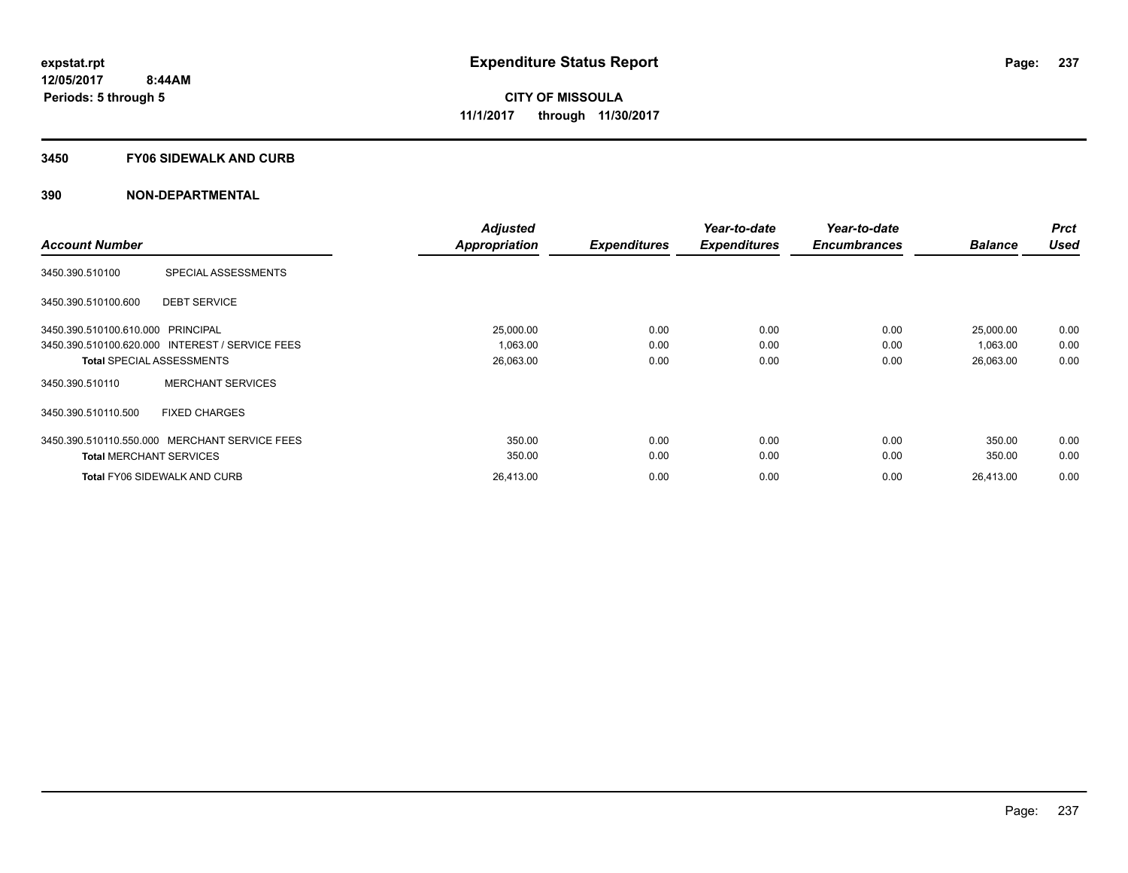#### **3450 FY06 SIDEWALK AND CURB**

|                                   |                                                 | <b>Adjusted</b> |                     | Year-to-date        | Year-to-date        |                | <b>Prct</b> |
|-----------------------------------|-------------------------------------------------|-----------------|---------------------|---------------------|---------------------|----------------|-------------|
| <b>Account Number</b>             |                                                 | Appropriation   | <b>Expenditures</b> | <b>Expenditures</b> | <b>Encumbrances</b> | <b>Balance</b> | <b>Used</b> |
| 3450.390.510100                   | SPECIAL ASSESSMENTS                             |                 |                     |                     |                     |                |             |
| 3450.390.510100.600               | <b>DEBT SERVICE</b>                             |                 |                     |                     |                     |                |             |
| 3450.390.510100.610.000 PRINCIPAL |                                                 | 25,000.00       | 0.00                | 0.00                | 0.00                | 25,000.00      | 0.00        |
|                                   | 3450.390.510100.620.000 INTEREST / SERVICE FEES | 1,063.00        | 0.00                | 0.00                | 0.00                | 1,063.00       | 0.00        |
| <b>Total SPECIAL ASSESSMENTS</b>  |                                                 | 26,063.00       | 0.00                | 0.00                | 0.00                | 26,063.00      | 0.00        |
| 3450.390.510110                   | <b>MERCHANT SERVICES</b>                        |                 |                     |                     |                     |                |             |
| 3450.390.510110.500               | <b>FIXED CHARGES</b>                            |                 |                     |                     |                     |                |             |
| 3450.390.510110.550.000           | MERCHANT SERVICE FEES                           | 350.00          | 0.00                | 0.00                | 0.00                | 350.00         | 0.00        |
| <b>Total MERCHANT SERVICES</b>    |                                                 | 350.00          | 0.00                | 0.00                | 0.00                | 350.00         | 0.00        |
|                                   | <b>Total FY06 SIDEWALK AND CURB</b>             | 26,413.00       | 0.00                | 0.00                | 0.00                | 26,413.00      | 0.00        |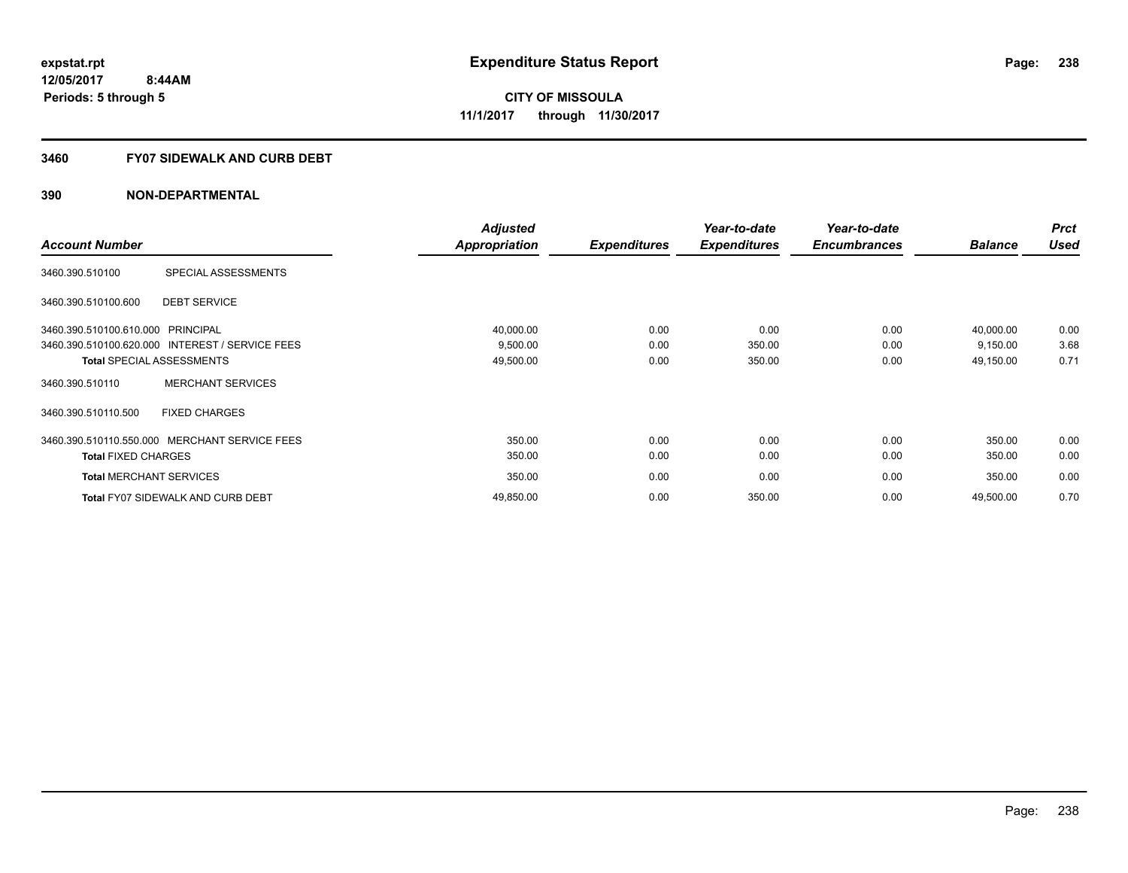#### **3460 FY07 SIDEWALK AND CURB DEBT**

|                                   |                                                 | <b>Adjusted</b>      |                     | Year-to-date        | Year-to-date        |                | <b>Prct</b> |
|-----------------------------------|-------------------------------------------------|----------------------|---------------------|---------------------|---------------------|----------------|-------------|
| <b>Account Number</b>             |                                                 | <b>Appropriation</b> | <b>Expenditures</b> | <b>Expenditures</b> | <b>Encumbrances</b> | <b>Balance</b> | <b>Used</b> |
| 3460.390.510100                   | SPECIAL ASSESSMENTS                             |                      |                     |                     |                     |                |             |
| 3460.390.510100.600               | <b>DEBT SERVICE</b>                             |                      |                     |                     |                     |                |             |
| 3460.390.510100.610.000 PRINCIPAL |                                                 | 40,000.00            | 0.00                | 0.00                | 0.00                | 40,000.00      | 0.00        |
|                                   | 3460.390.510100.620.000 INTEREST / SERVICE FEES | 9,500.00             | 0.00                | 350.00              | 0.00                | 9,150.00       | 3.68        |
|                                   | <b>Total SPECIAL ASSESSMENTS</b>                | 49,500.00            | 0.00                | 350.00              | 0.00                | 49,150.00      | 0.71        |
| 3460.390.510110                   | <b>MERCHANT SERVICES</b>                        |                      |                     |                     |                     |                |             |
| 3460.390.510110.500               | <b>FIXED CHARGES</b>                            |                      |                     |                     |                     |                |             |
|                                   | 3460.390.510110.550.000 MERCHANT SERVICE FEES   | 350.00               | 0.00                | 0.00                | 0.00                | 350.00         | 0.00        |
| <b>Total FIXED CHARGES</b>        |                                                 | 350.00               | 0.00                | 0.00                | 0.00                | 350.00         | 0.00        |
| <b>Total MERCHANT SERVICES</b>    |                                                 | 350.00               | 0.00                | 0.00                | 0.00                | 350.00         | 0.00        |
|                                   | <b>Total FY07 SIDEWALK AND CURB DEBT</b>        | 49,850.00            | 0.00                | 350.00              | 0.00                | 49,500.00      | 0.70        |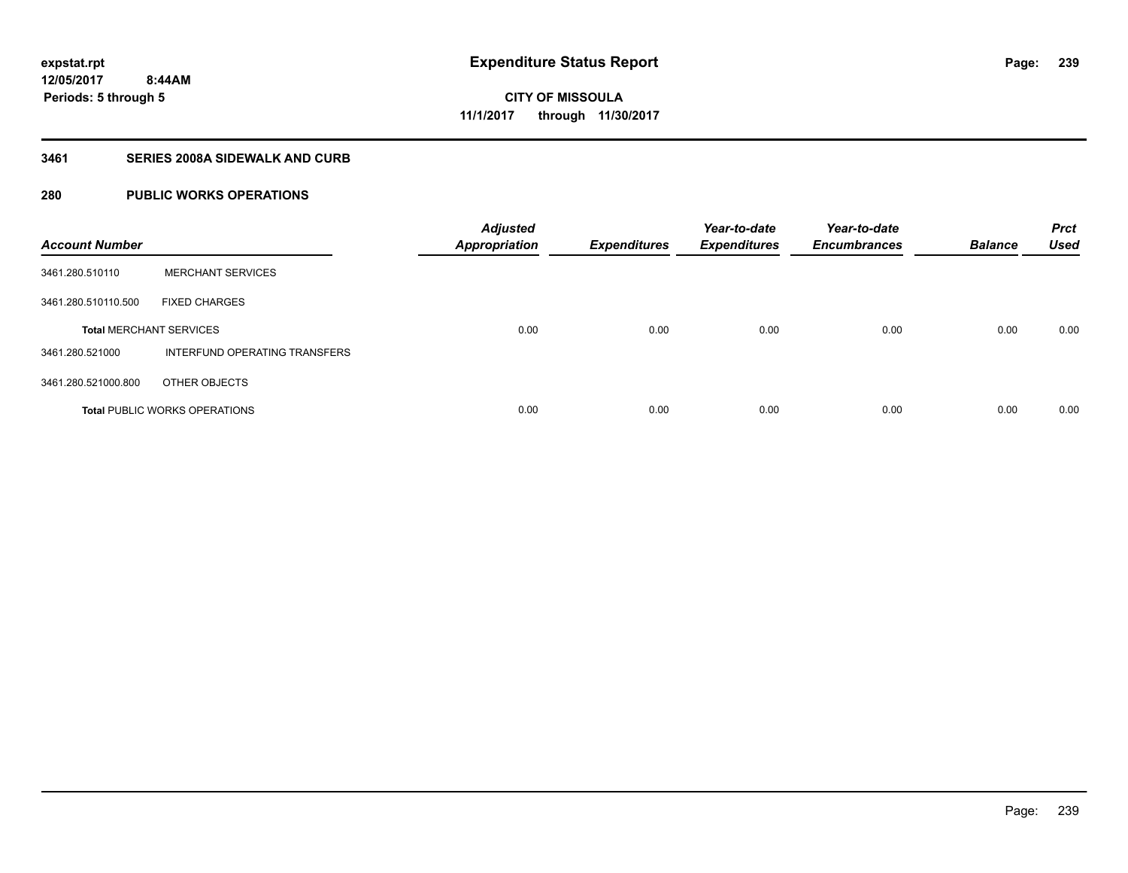**CITY OF MISSOULA 11/1/2017 through 11/30/2017**

#### **3461 SERIES 2008A SIDEWALK AND CURB**

#### **280 PUBLIC WORKS OPERATIONS**

| <b>Account Number</b>          |                                      | <b>Adjusted</b><br><b>Appropriation</b> | <b>Expenditures</b> | Year-to-date<br><b>Expenditures</b> | Year-to-date<br><b>Encumbrances</b> | <b>Balance</b> | <b>Prct</b><br><b>Used</b> |
|--------------------------------|--------------------------------------|-----------------------------------------|---------------------|-------------------------------------|-------------------------------------|----------------|----------------------------|
| 3461.280.510110                | <b>MERCHANT SERVICES</b>             |                                         |                     |                                     |                                     |                |                            |
| 3461.280.510110.500            | <b>FIXED CHARGES</b>                 |                                         |                     |                                     |                                     |                |                            |
| <b>Total MERCHANT SERVICES</b> |                                      | 0.00                                    | 0.00                | 0.00                                | 0.00                                | 0.00           | 0.00                       |
| 3461.280.521000                | INTERFUND OPERATING TRANSFERS        |                                         |                     |                                     |                                     |                |                            |
| 3461.280.521000.800            | OTHER OBJECTS                        |                                         |                     |                                     |                                     |                |                            |
|                                | <b>Total PUBLIC WORKS OPERATIONS</b> | 0.00                                    | 0.00                | 0.00                                | 0.00                                | 0.00           | 0.00                       |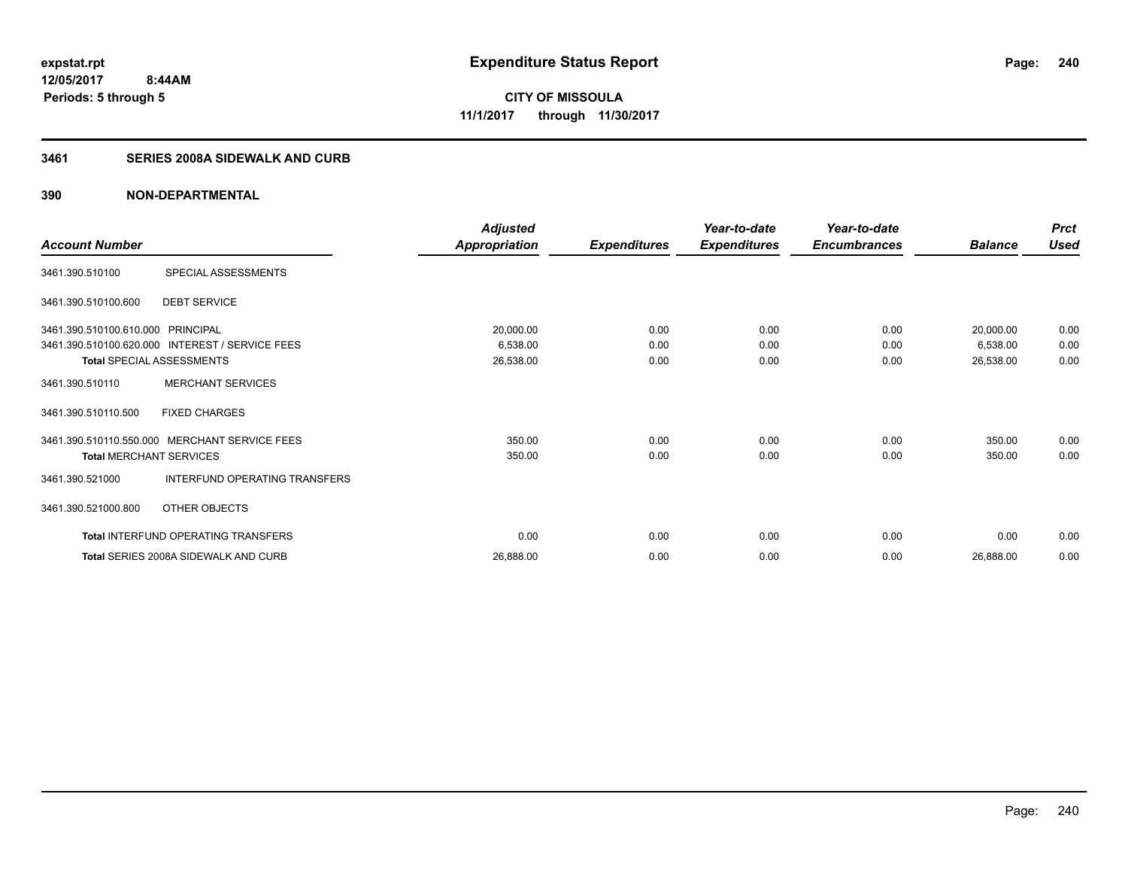#### **3461 SERIES 2008A SIDEWALK AND CURB**

|                                   |                                                 | <b>Adjusted</b>      |                     | Year-to-date        | Year-to-date        |                | <b>Prct</b> |
|-----------------------------------|-------------------------------------------------|----------------------|---------------------|---------------------|---------------------|----------------|-------------|
| <b>Account Number</b>             |                                                 | <b>Appropriation</b> | <b>Expenditures</b> | <b>Expenditures</b> | <b>Encumbrances</b> | <b>Balance</b> | <b>Used</b> |
| 3461.390.510100                   | SPECIAL ASSESSMENTS                             |                      |                     |                     |                     |                |             |
| 3461.390.510100.600               | <b>DEBT SERVICE</b>                             |                      |                     |                     |                     |                |             |
| 3461.390.510100.610.000 PRINCIPAL |                                                 | 20,000.00            | 0.00                | 0.00                | 0.00                | 20,000.00      | 0.00        |
|                                   | 3461.390.510100.620.000 INTEREST / SERVICE FEES | 6,538.00             | 0.00                | 0.00                | 0.00                | 6,538.00       | 0.00        |
|                                   | Total SPECIAL ASSESSMENTS                       | 26,538.00            | 0.00                | 0.00                | 0.00                | 26,538.00      | 0.00        |
| 3461.390.510110                   | <b>MERCHANT SERVICES</b>                        |                      |                     |                     |                     |                |             |
| 3461.390.510110.500               | <b>FIXED CHARGES</b>                            |                      |                     |                     |                     |                |             |
|                                   | 3461.390.510110.550.000 MERCHANT SERVICE FEES   | 350.00               | 0.00                | 0.00                | 0.00                | 350.00         | 0.00        |
| <b>Total MERCHANT SERVICES</b>    |                                                 | 350.00               | 0.00                | 0.00                | 0.00                | 350.00         | 0.00        |
| 3461.390.521000                   | INTERFUND OPERATING TRANSFERS                   |                      |                     |                     |                     |                |             |
| 3461.390.521000.800               | OTHER OBJECTS                                   |                      |                     |                     |                     |                |             |
|                                   | Total INTERFUND OPERATING TRANSFERS             | 0.00                 | 0.00                | 0.00                | 0.00                | 0.00           | 0.00        |
|                                   | Total SERIES 2008A SIDEWALK AND CURB            | 26,888.00            | 0.00                | 0.00                | 0.00                | 26,888.00      | 0.00        |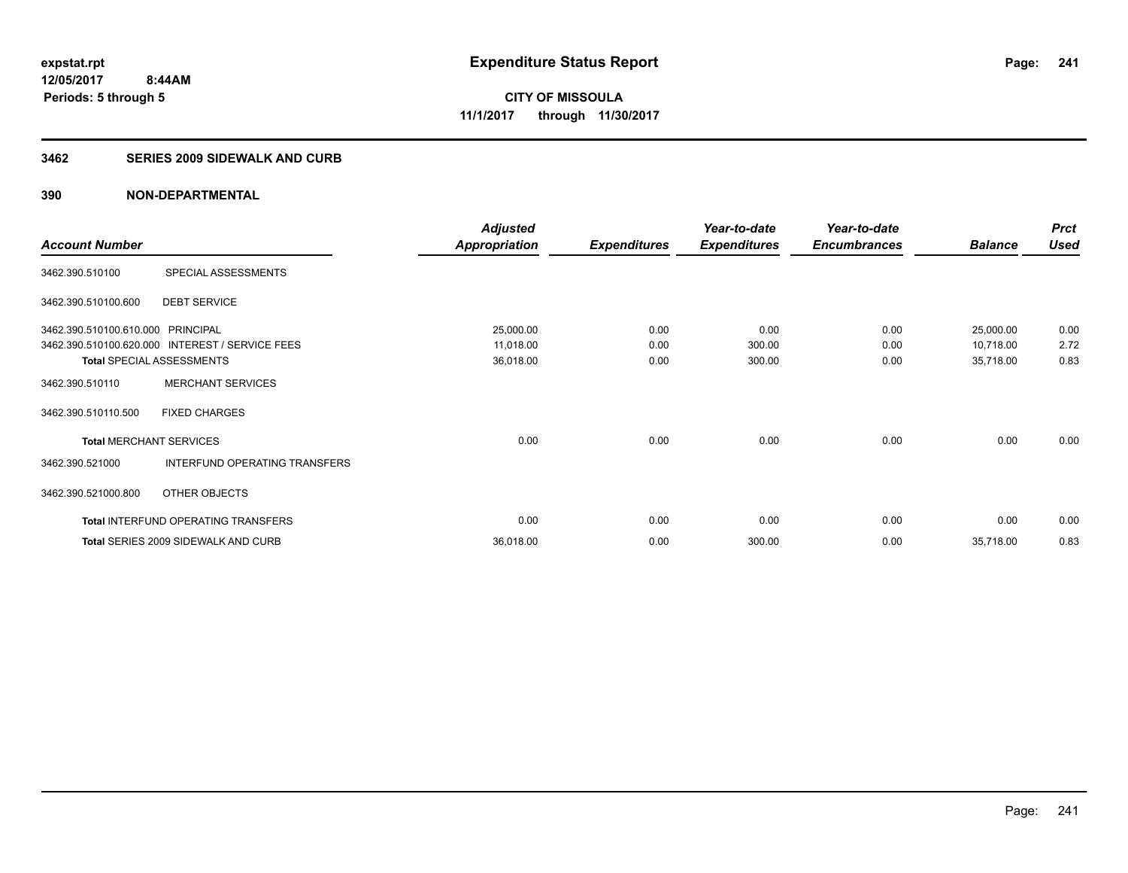#### **3462 SERIES 2009 SIDEWALK AND CURB**

|                                   |                                                 | <b>Adjusted</b>      |                     | Year-to-date        | Year-to-date        |                | <b>Prct</b> |
|-----------------------------------|-------------------------------------------------|----------------------|---------------------|---------------------|---------------------|----------------|-------------|
| <b>Account Number</b>             |                                                 | <b>Appropriation</b> | <b>Expenditures</b> | <b>Expenditures</b> | <b>Encumbrances</b> | <b>Balance</b> | <b>Used</b> |
| 3462.390.510100                   | SPECIAL ASSESSMENTS                             |                      |                     |                     |                     |                |             |
| 3462.390.510100.600               | <b>DEBT SERVICE</b>                             |                      |                     |                     |                     |                |             |
| 3462.390.510100.610.000 PRINCIPAL |                                                 | 25,000.00            | 0.00                | 0.00                | 0.00                | 25,000.00      | 0.00        |
|                                   | 3462.390.510100.620.000 INTEREST / SERVICE FEES | 11,018.00            | 0.00                | 300.00              | 0.00                | 10,718.00      | 2.72        |
| <b>Total SPECIAL ASSESSMENTS</b>  |                                                 | 36,018.00            | 0.00                | 300.00              | 0.00                | 35,718.00      | 0.83        |
| 3462.390.510110                   | <b>MERCHANT SERVICES</b>                        |                      |                     |                     |                     |                |             |
| 3462.390.510110.500               | <b>FIXED CHARGES</b>                            |                      |                     |                     |                     |                |             |
| <b>Total MERCHANT SERVICES</b>    |                                                 | 0.00                 | 0.00                | 0.00                | 0.00                | 0.00           | 0.00        |
| 3462.390.521000                   | INTERFUND OPERATING TRANSFERS                   |                      |                     |                     |                     |                |             |
| 3462.390.521000.800               | OTHER OBJECTS                                   |                      |                     |                     |                     |                |             |
|                                   | Total INTERFUND OPERATING TRANSFERS             | 0.00                 | 0.00                | 0.00                | 0.00                | 0.00           | 0.00        |
|                                   | <b>Total SERIES 2009 SIDEWALK AND CURB</b>      | 36,018.00            | 0.00                | 300.00              | 0.00                | 35,718.00      | 0.83        |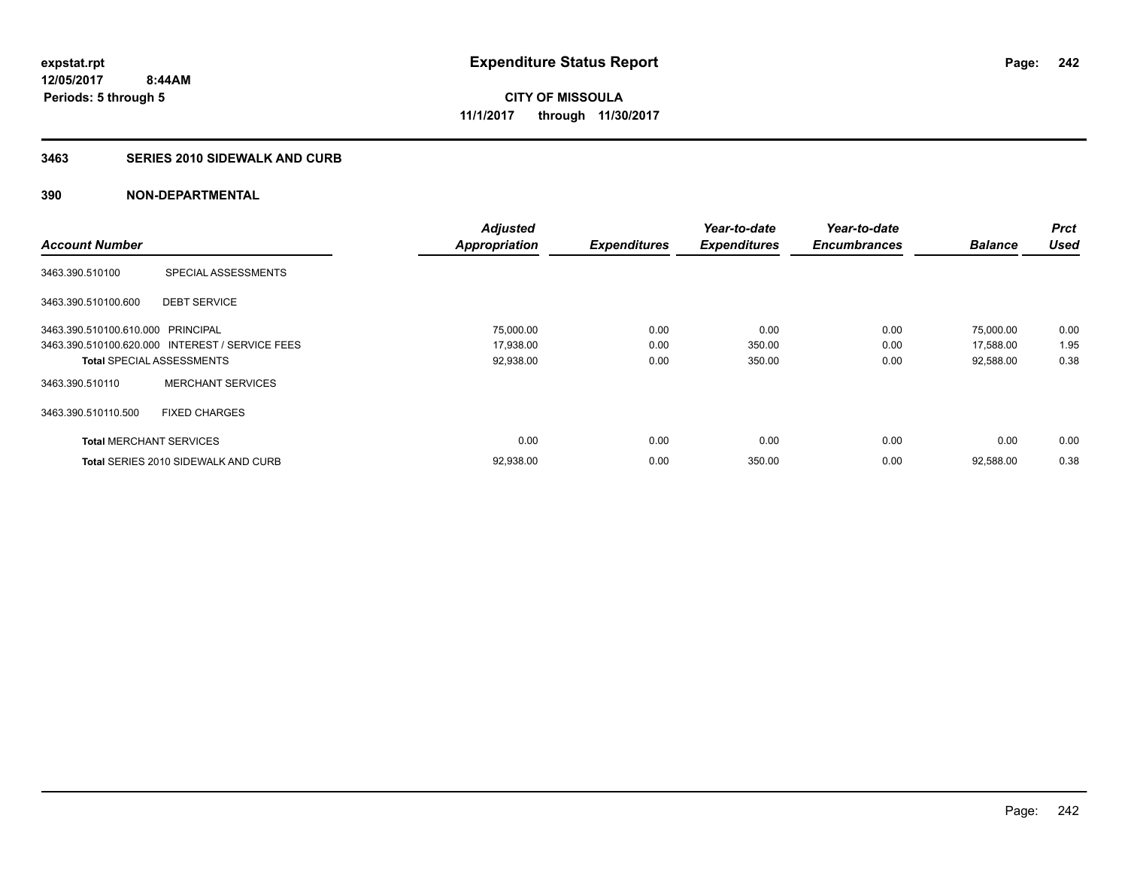#### **3463 SERIES 2010 SIDEWALK AND CURB**

|                                   |                                                 | <b>Adjusted</b>      |                     | Year-to-date        | Year-to-date        |                | <b>Prct</b> |
|-----------------------------------|-------------------------------------------------|----------------------|---------------------|---------------------|---------------------|----------------|-------------|
| <b>Account Number</b>             |                                                 | <b>Appropriation</b> | <b>Expenditures</b> | <b>Expenditures</b> | <b>Encumbrances</b> | <b>Balance</b> | <b>Used</b> |
| 3463.390.510100                   | SPECIAL ASSESSMENTS                             |                      |                     |                     |                     |                |             |
| 3463.390.510100.600               | <b>DEBT SERVICE</b>                             |                      |                     |                     |                     |                |             |
| 3463.390.510100.610.000 PRINCIPAL |                                                 | 75,000.00            | 0.00                | 0.00                | 0.00                | 75,000.00      | 0.00        |
|                                   | 3463.390.510100.620.000 INTEREST / SERVICE FEES | 17,938.00            | 0.00                | 350.00              | 0.00                | 17,588.00      | 1.95        |
| <b>Total SPECIAL ASSESSMENTS</b>  |                                                 | 92,938.00            | 0.00                | 350.00              | 0.00                | 92,588.00      | 0.38        |
| 3463.390.510110                   | <b>MERCHANT SERVICES</b>                        |                      |                     |                     |                     |                |             |
| 3463.390.510110.500               | <b>FIXED CHARGES</b>                            |                      |                     |                     |                     |                |             |
| <b>Total MERCHANT SERVICES</b>    |                                                 | 0.00                 | 0.00                | 0.00                | 0.00                | 0.00           | 0.00        |
|                                   | <b>Total SERIES 2010 SIDEWALK AND CURB</b>      | 92,938.00            | 0.00                | 350.00              | 0.00                | 92,588.00      | 0.38        |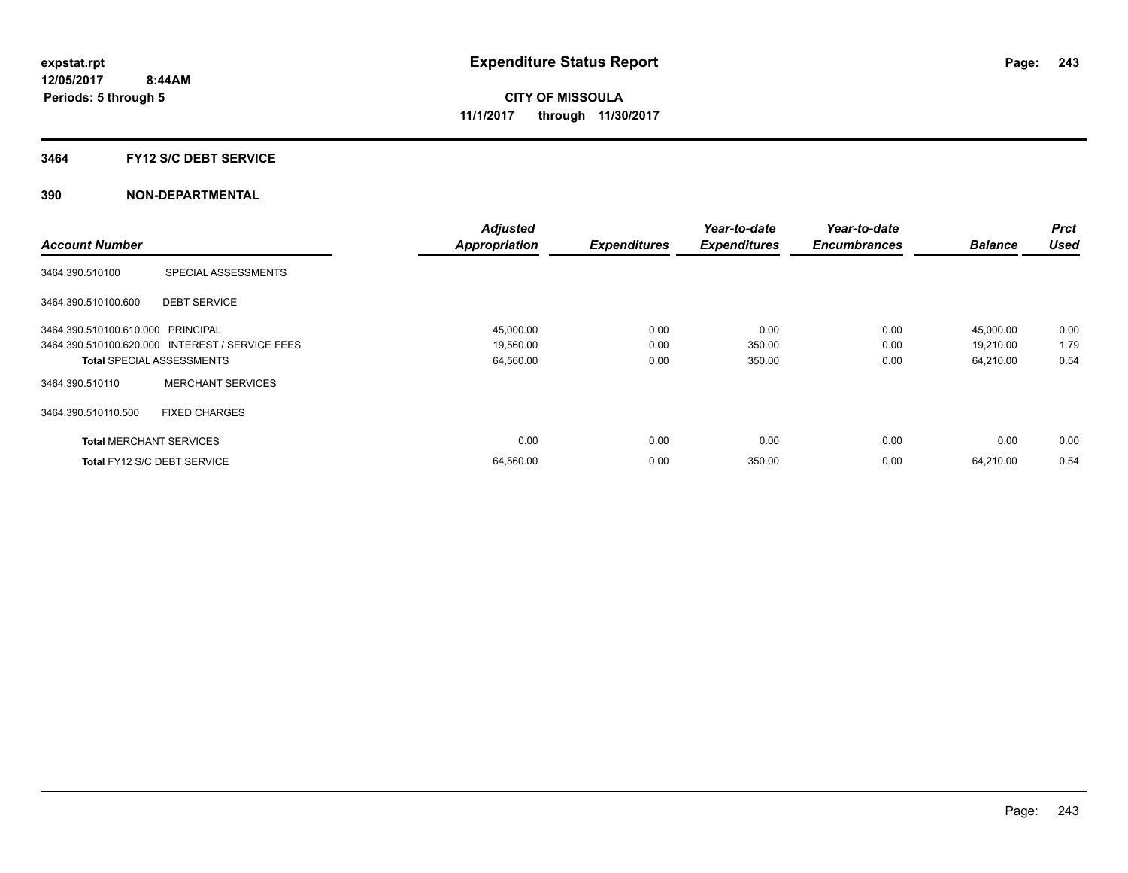#### **3464 FY12 S/C DEBT SERVICE**

|                                   |                                                 | <b>Adjusted</b>      |                     | Year-to-date        | Year-to-date        |                | <b>Prct</b> |
|-----------------------------------|-------------------------------------------------|----------------------|---------------------|---------------------|---------------------|----------------|-------------|
| <b>Account Number</b>             |                                                 | <b>Appropriation</b> | <b>Expenditures</b> | <b>Expenditures</b> | <b>Encumbrances</b> | <b>Balance</b> | <b>Used</b> |
| 3464.390.510100                   | SPECIAL ASSESSMENTS                             |                      |                     |                     |                     |                |             |
| 3464.390.510100.600               | <b>DEBT SERVICE</b>                             |                      |                     |                     |                     |                |             |
| 3464.390.510100.610.000 PRINCIPAL |                                                 | 45,000.00            | 0.00                | 0.00                | 0.00                | 45,000.00      | 0.00        |
|                                   | 3464.390.510100.620.000 INTEREST / SERVICE FEES | 19,560.00            | 0.00                | 350.00              | 0.00                | 19,210.00      | 1.79        |
| <b>Total SPECIAL ASSESSMENTS</b>  |                                                 | 64,560.00            | 0.00                | 350.00              | 0.00                | 64,210.00      | 0.54        |
| 3464.390.510110                   | <b>MERCHANT SERVICES</b>                        |                      |                     |                     |                     |                |             |
| 3464.390.510110.500               | <b>FIXED CHARGES</b>                            |                      |                     |                     |                     |                |             |
| <b>Total MERCHANT SERVICES</b>    |                                                 | 0.00                 | 0.00                | 0.00                | 0.00                | 0.00           | 0.00        |
|                                   | Total FY12 S/C DEBT SERVICE                     | 64,560.00            | 0.00                | 350.00              | 0.00                | 64.210.00      | 0.54        |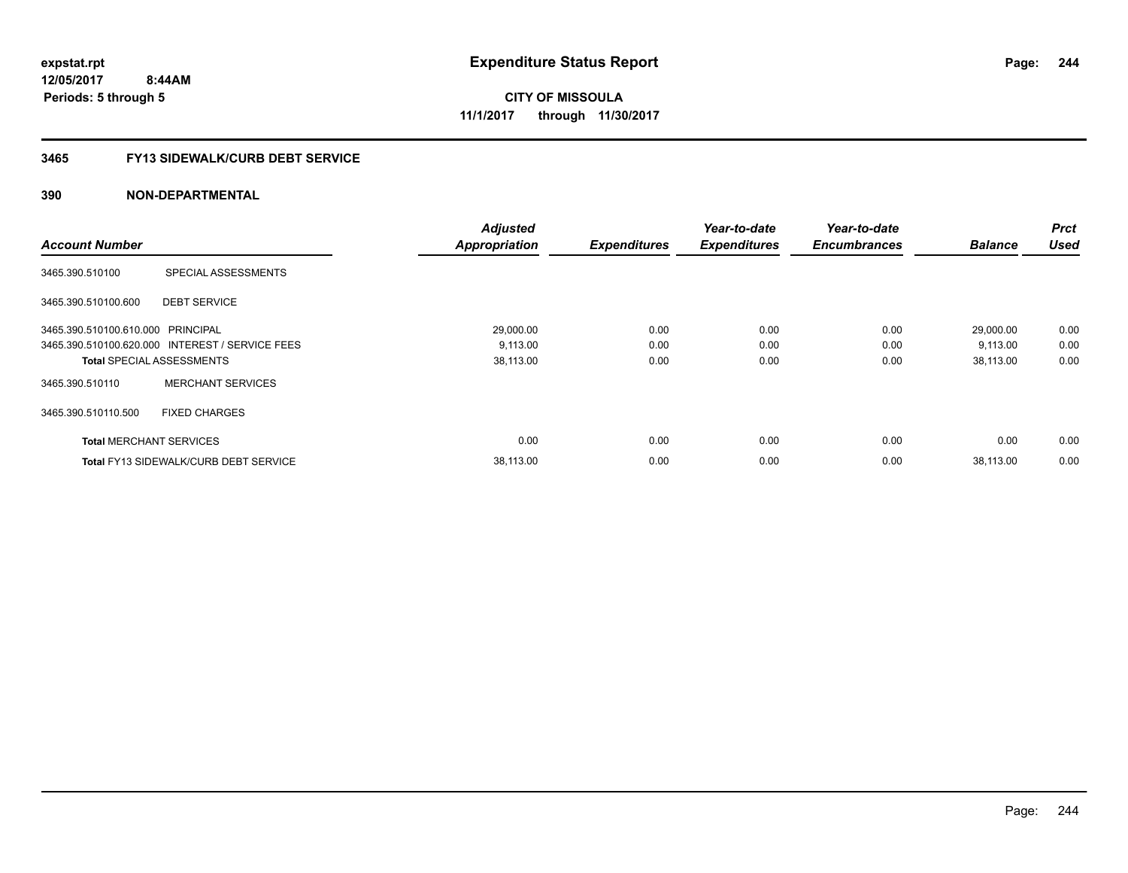**CITY OF MISSOULA 11/1/2017 through 11/30/2017**

#### **3465 FY13 SIDEWALK/CURB DEBT SERVICE**

|                                   |                                                 | <b>Adjusted</b>      |                     | Year-to-date        | Year-to-date        |                | <b>Prct</b> |
|-----------------------------------|-------------------------------------------------|----------------------|---------------------|---------------------|---------------------|----------------|-------------|
| <b>Account Number</b>             |                                                 | <b>Appropriation</b> | <b>Expenditures</b> | <b>Expenditures</b> | <b>Encumbrances</b> | <b>Balance</b> | <b>Used</b> |
| 3465.390.510100                   | SPECIAL ASSESSMENTS                             |                      |                     |                     |                     |                |             |
| 3465.390.510100.600               | <b>DEBT SERVICE</b>                             |                      |                     |                     |                     |                |             |
| 3465.390.510100.610.000 PRINCIPAL |                                                 | 29,000.00            | 0.00                | 0.00                | 0.00                | 29,000.00      | 0.00        |
|                                   | 3465.390.510100.620.000 INTEREST / SERVICE FEES | 9,113.00             | 0.00                | 0.00                | 0.00                | 9,113.00       | 0.00        |
| <b>Total SPECIAL ASSESSMENTS</b>  |                                                 | 38,113.00            | 0.00                | 0.00                | 0.00                | 38,113.00      | 0.00        |
| 3465.390.510110                   | <b>MERCHANT SERVICES</b>                        |                      |                     |                     |                     |                |             |
| 3465.390.510110.500               | <b>FIXED CHARGES</b>                            |                      |                     |                     |                     |                |             |
| <b>Total MERCHANT SERVICES</b>    |                                                 | 0.00                 | 0.00                | 0.00                | 0.00                | 0.00           | 0.00        |
|                                   | <b>Total FY13 SIDEWALK/CURB DEBT SERVICE</b>    | 38,113.00            | 0.00                | 0.00                | 0.00                | 38.113.00      | 0.00        |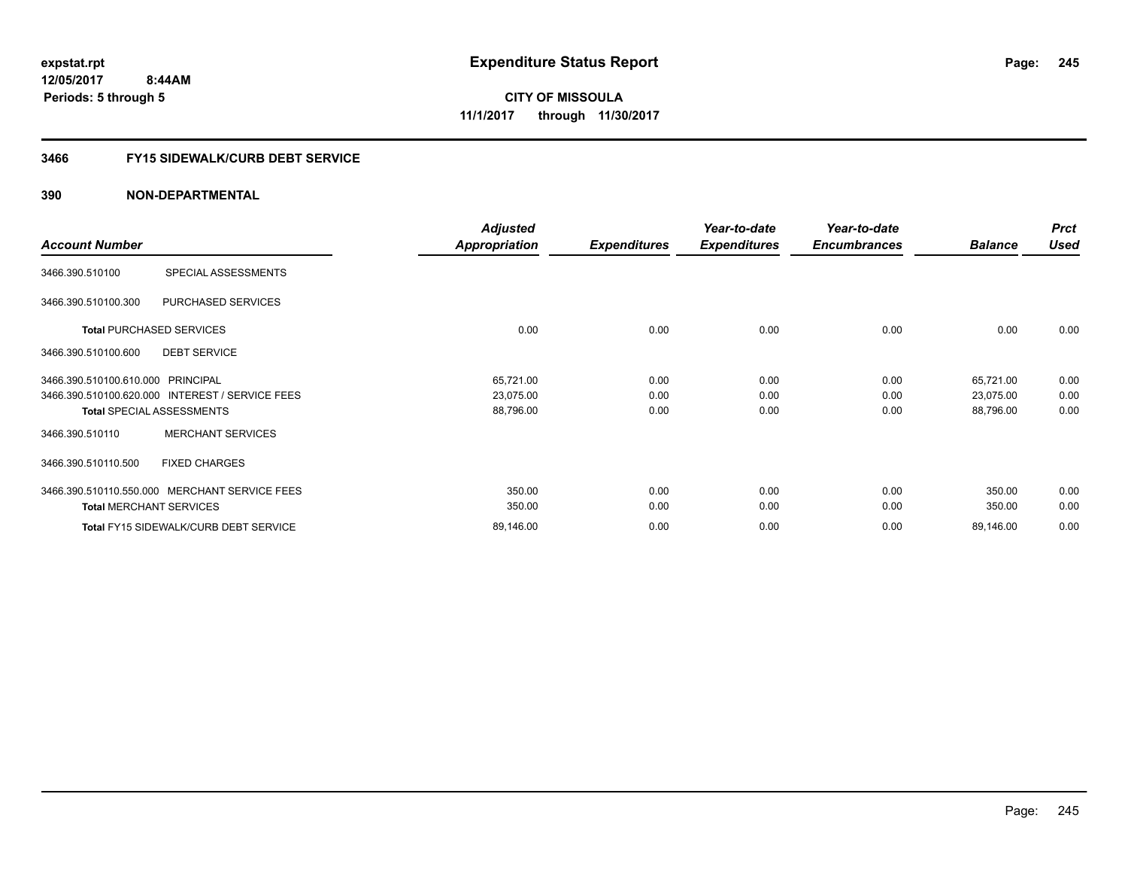#### **3466 FY15 SIDEWALK/CURB DEBT SERVICE**

|                                                 | <b>Adjusted</b>      |                     | Year-to-date        | Year-to-date        |                | <b>Prct</b> |
|-------------------------------------------------|----------------------|---------------------|---------------------|---------------------|----------------|-------------|
| <b>Account Number</b>                           | <b>Appropriation</b> | <b>Expenditures</b> | <b>Expenditures</b> | <b>Encumbrances</b> | <b>Balance</b> | <b>Used</b> |
| SPECIAL ASSESSMENTS<br>3466.390.510100          |                      |                     |                     |                     |                |             |
| 3466.390.510100.300<br>PURCHASED SERVICES       |                      |                     |                     |                     |                |             |
| <b>Total PURCHASED SERVICES</b>                 | 0.00                 | 0.00                | 0.00                | 0.00                | 0.00           | 0.00        |
| <b>DEBT SERVICE</b><br>3466.390.510100.600      |                      |                     |                     |                     |                |             |
| 3466.390.510100.610.000 PRINCIPAL               | 65,721.00            | 0.00                | 0.00                | 0.00                | 65,721.00      | 0.00        |
| 3466.390.510100.620.000 INTEREST / SERVICE FEES | 23,075.00            | 0.00                | 0.00                | 0.00                | 23,075.00      | 0.00        |
| <b>Total SPECIAL ASSESSMENTS</b>                | 88,796.00            | 0.00                | 0.00                | 0.00                | 88,796.00      | 0.00        |
| <b>MERCHANT SERVICES</b><br>3466.390.510110     |                      |                     |                     |                     |                |             |
| <b>FIXED CHARGES</b><br>3466.390.510110.500     |                      |                     |                     |                     |                |             |
| 3466.390.510110.550.000 MERCHANT SERVICE FEES   | 350.00               | 0.00                | 0.00                | 0.00                | 350.00         | 0.00        |
| <b>Total MERCHANT SERVICES</b>                  | 350.00               | 0.00                | 0.00                | 0.00                | 350.00         | 0.00        |
| <b>Total FY15 SIDEWALK/CURB DEBT SERVICE</b>    | 89,146.00            | 0.00                | 0.00                | 0.00                | 89,146.00      | 0.00        |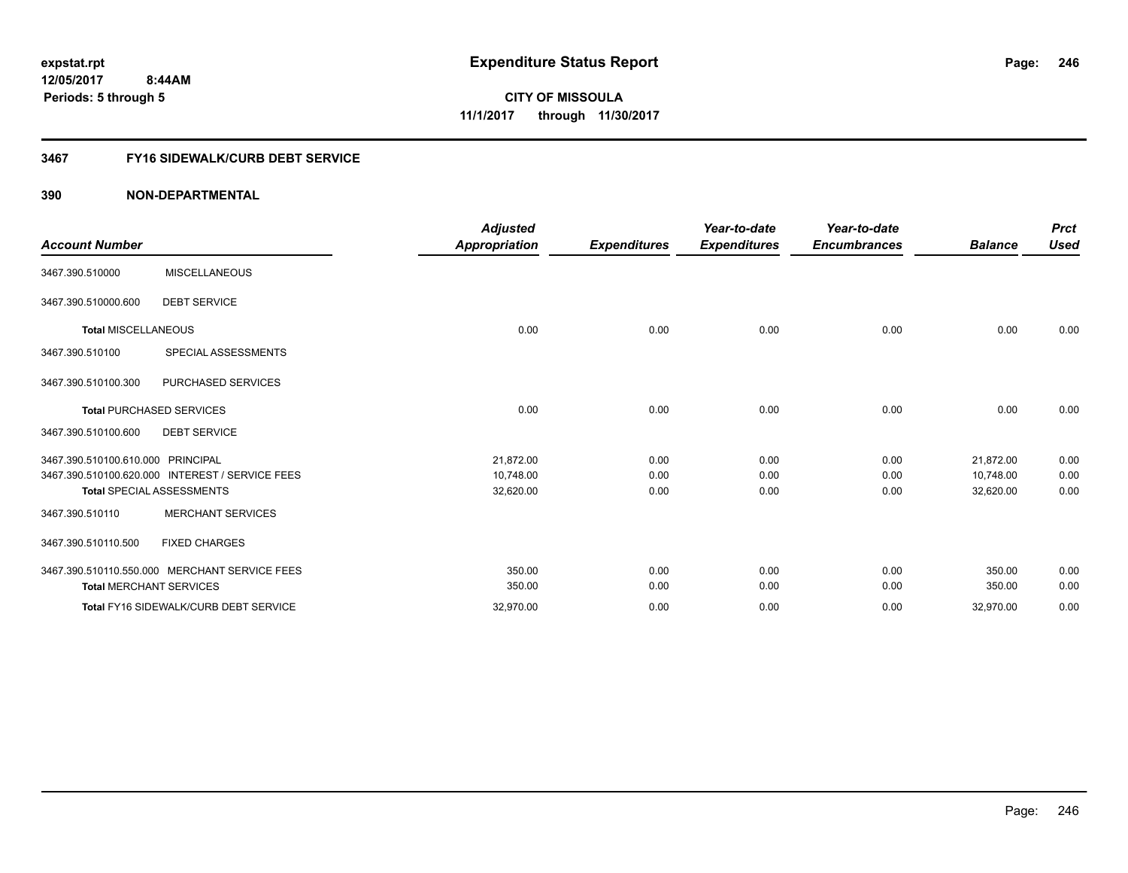#### **3467 FY16 SIDEWALK/CURB DEBT SERVICE**

| <b>Account Number</b>                                                                                                    | <b>Adjusted</b><br><b>Appropriation</b> | <b>Expenditures</b>  | Year-to-date<br><b>Expenditures</b> | Year-to-date<br><b>Encumbrances</b> | <b>Balance</b>                      | <b>Prct</b><br><b>Used</b> |
|--------------------------------------------------------------------------------------------------------------------------|-----------------------------------------|----------------------|-------------------------------------|-------------------------------------|-------------------------------------|----------------------------|
| <b>MISCELLANEOUS</b><br>3467.390.510000                                                                                  |                                         |                      |                                     |                                     |                                     |                            |
| <b>DEBT SERVICE</b><br>3467.390.510000.600                                                                               |                                         |                      |                                     |                                     |                                     |                            |
| <b>Total MISCELLANEOUS</b>                                                                                               | 0.00                                    | 0.00                 | 0.00                                | 0.00                                | 0.00                                | 0.00                       |
| SPECIAL ASSESSMENTS<br>3467.390.510100                                                                                   |                                         |                      |                                     |                                     |                                     |                            |
| 3467.390.510100.300<br>PURCHASED SERVICES                                                                                |                                         |                      |                                     |                                     |                                     |                            |
| <b>Total PURCHASED SERVICES</b>                                                                                          | 0.00                                    | 0.00                 | 0.00                                | 0.00                                | 0.00                                | 0.00                       |
| 3467.390.510100.600<br><b>DEBT SERVICE</b>                                                                               |                                         |                      |                                     |                                     |                                     |                            |
| 3467.390.510100.610.000 PRINCIPAL<br>3467.390.510100.620.000 INTEREST / SERVICE FEES<br><b>Total SPECIAL ASSESSMENTS</b> | 21,872.00<br>10,748.00<br>32,620.00     | 0.00<br>0.00<br>0.00 | 0.00<br>0.00<br>0.00                | 0.00<br>0.00<br>0.00                | 21,872.00<br>10,748.00<br>32,620.00 | 0.00<br>0.00<br>0.00       |
| <b>MERCHANT SERVICES</b><br>3467.390.510110                                                                              |                                         |                      |                                     |                                     |                                     |                            |
| <b>FIXED CHARGES</b><br>3467.390.510110.500                                                                              |                                         |                      |                                     |                                     |                                     |                            |
| 3467.390.510110.550.000 MERCHANT SERVICE FEES<br><b>Total MERCHANT SERVICES</b>                                          | 350.00<br>350.00                        | 0.00<br>0.00         | 0.00<br>0.00                        | 0.00<br>0.00                        | 350.00<br>350.00                    | 0.00<br>0.00               |
| Total FY16 SIDEWALK/CURB DEBT SERVICE                                                                                    | 32,970.00                               | 0.00                 | 0.00                                | 0.00                                | 32,970.00                           | 0.00                       |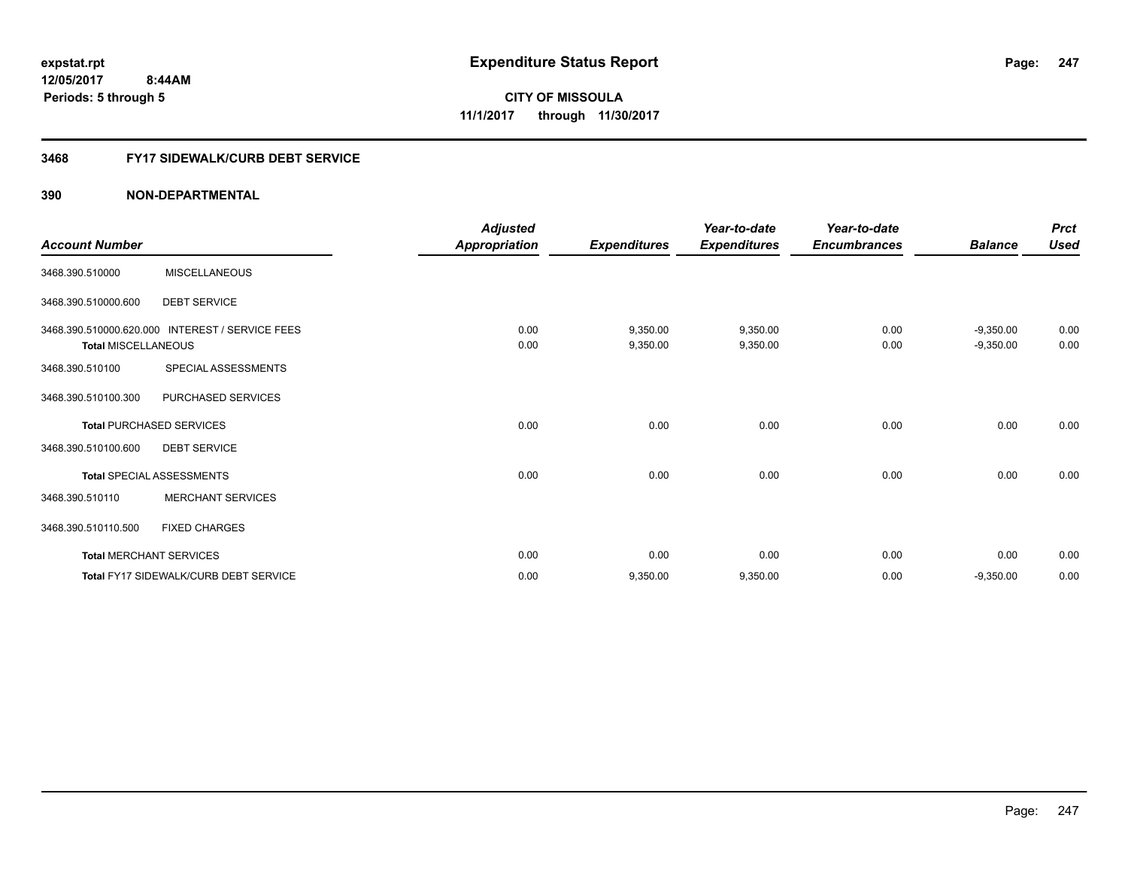#### **3468 FY17 SIDEWALK/CURB DEBT SERVICE**

| <b>Account Number</b>      |                                                 | <b>Adjusted</b><br>Appropriation | <b>Expenditures</b>  | Year-to-date<br><b>Expenditures</b> | Year-to-date<br><b>Encumbrances</b> | <b>Balance</b>             | <b>Prct</b><br><b>Used</b> |
|----------------------------|-------------------------------------------------|----------------------------------|----------------------|-------------------------------------|-------------------------------------|----------------------------|----------------------------|
| 3468.390.510000            | <b>MISCELLANEOUS</b>                            |                                  |                      |                                     |                                     |                            |                            |
| 3468.390.510000.600        | <b>DEBT SERVICE</b>                             |                                  |                      |                                     |                                     |                            |                            |
| <b>Total MISCELLANEOUS</b> | 3468.390.510000.620.000 INTEREST / SERVICE FEES | 0.00<br>0.00                     | 9,350.00<br>9,350.00 | 9,350.00<br>9,350.00                | 0.00<br>0.00                        | $-9,350.00$<br>$-9,350.00$ | 0.00<br>0.00               |
| 3468.390.510100            | SPECIAL ASSESSMENTS                             |                                  |                      |                                     |                                     |                            |                            |
| 3468.390.510100.300        | <b>PURCHASED SERVICES</b>                       |                                  |                      |                                     |                                     |                            |                            |
|                            | <b>Total PURCHASED SERVICES</b>                 | 0.00                             | 0.00                 | 0.00                                | 0.00                                | 0.00                       | 0.00                       |
| 3468.390.510100.600        | <b>DEBT SERVICE</b>                             |                                  |                      |                                     |                                     |                            |                            |
|                            | <b>Total SPECIAL ASSESSMENTS</b>                | 0.00                             | 0.00                 | 0.00                                | 0.00                                | 0.00                       | 0.00                       |
| 3468.390.510110            | <b>MERCHANT SERVICES</b>                        |                                  |                      |                                     |                                     |                            |                            |
| 3468.390.510110.500        | <b>FIXED CHARGES</b>                            |                                  |                      |                                     |                                     |                            |                            |
|                            | <b>Total MERCHANT SERVICES</b>                  | 0.00                             | 0.00                 | 0.00                                | 0.00                                | 0.00                       | 0.00                       |
|                            | <b>Total FY17 SIDEWALK/CURB DEBT SERVICE</b>    | 0.00                             | 9,350.00             | 9,350.00                            | 0.00                                | $-9,350.00$                | 0.00                       |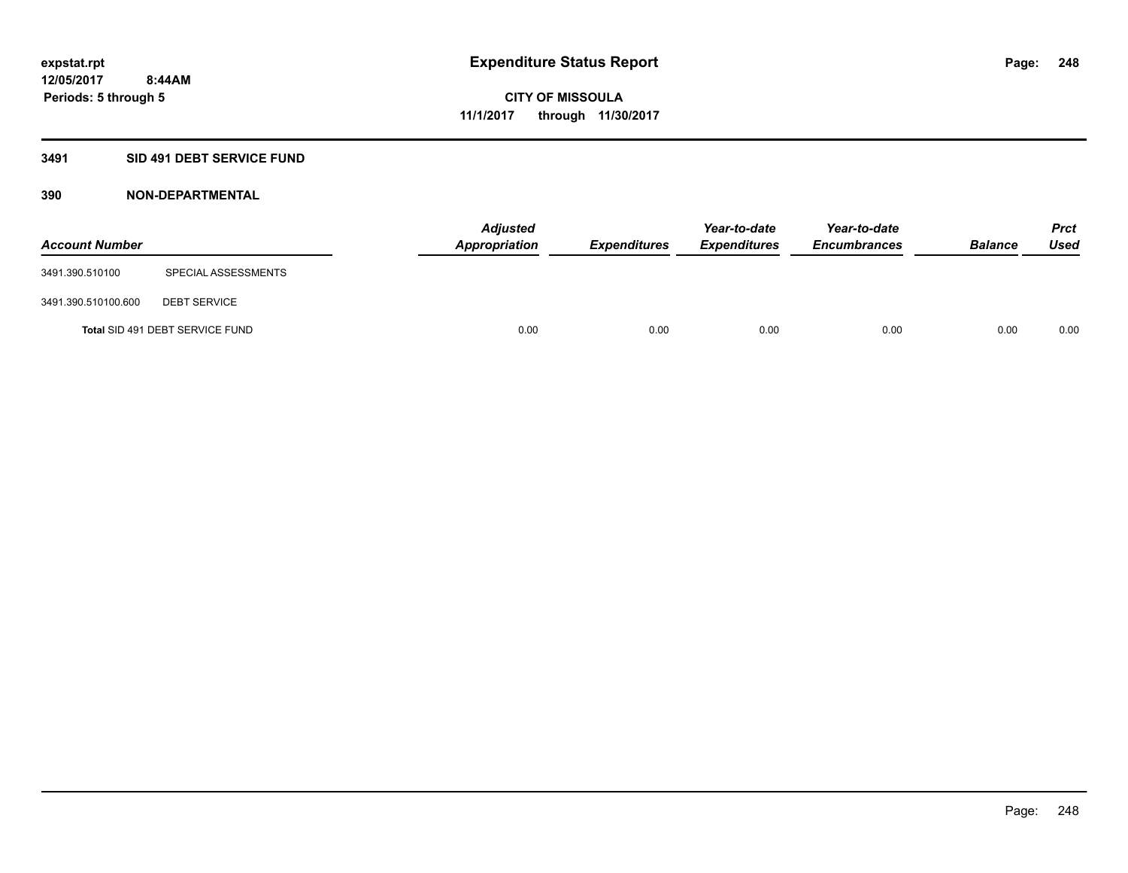#### **3491 SID 491 DEBT SERVICE FUND**

| <b>Account Number</b> |                                 | <b>Adjusted</b><br>Appropriation | <b>Expenditures</b> | Year-to-date<br><b>Expenditures</b> | Year-to-date<br><b>Encumbrances</b> | <b>Balance</b> | <b>Prct</b><br><b>Used</b> |
|-----------------------|---------------------------------|----------------------------------|---------------------|-------------------------------------|-------------------------------------|----------------|----------------------------|
| 3491.390.510100       | SPECIAL ASSESSMENTS             |                                  |                     |                                     |                                     |                |                            |
| 3491.390.510100.600   | <b>DEBT SERVICE</b>             |                                  |                     |                                     |                                     |                |                            |
|                       | Total SID 491 DEBT SERVICE FUND | 0.00                             | 0.00                | 0.00                                | 0.00                                | 0.00           | 0.00                       |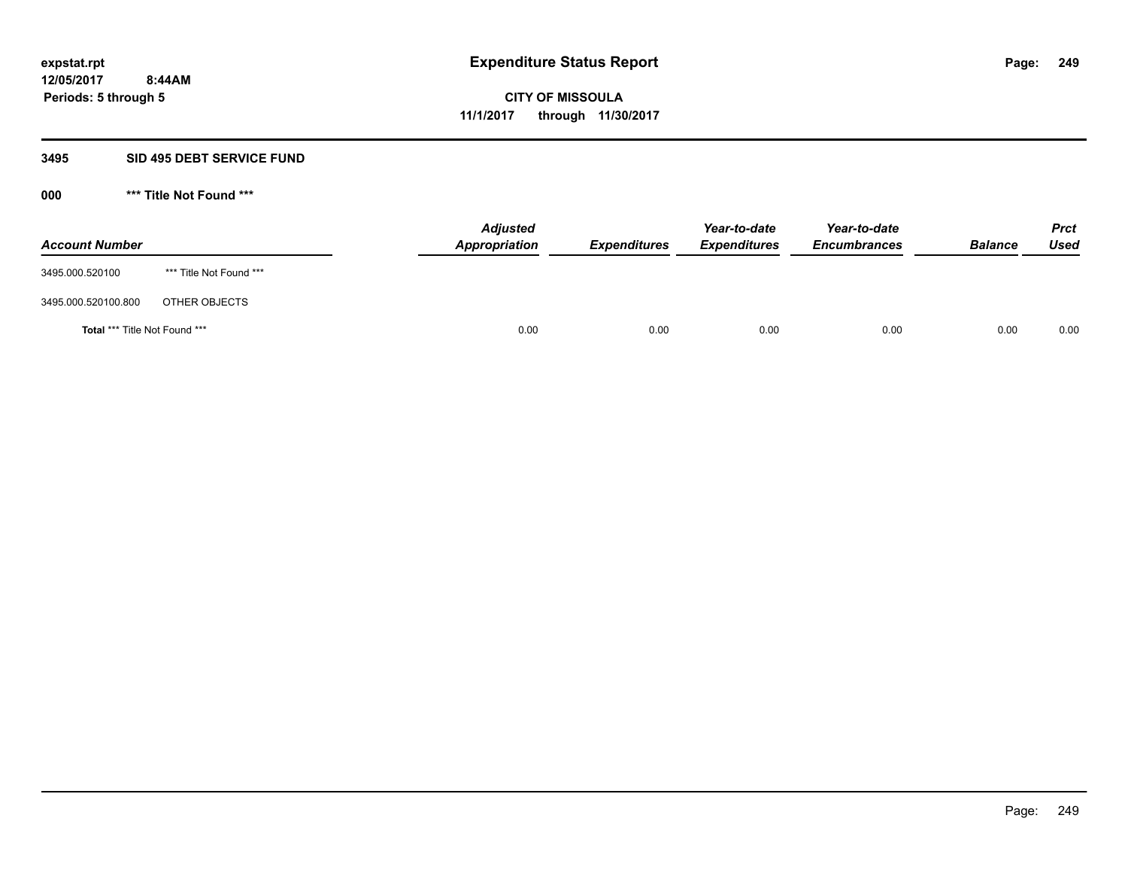#### **3495 SID 495 DEBT SERVICE FUND**

**000 \*\*\* Title Not Found \*\*\***

| <b>Account Number</b>                |                         | <b>Adjusted</b><br><b>Appropriation</b> | <b>Expenditures</b> | Year-to-date<br><b>Expenditures</b> | Year-to-date<br><b>Encumbrances</b> | <b>Balance</b> | <b>Prct</b><br><b>Used</b> |
|--------------------------------------|-------------------------|-----------------------------------------|---------------------|-------------------------------------|-------------------------------------|----------------|----------------------------|
| 3495.000.520100                      | *** Title Not Found *** |                                         |                     |                                     |                                     |                |                            |
| 3495.000.520100.800                  | OTHER OBJECTS           |                                         |                     |                                     |                                     |                |                            |
| <b>Total *** Title Not Found ***</b> |                         | 0.00                                    | 0.00                | 0.00                                | 0.00                                | 0.00           | 0.00                       |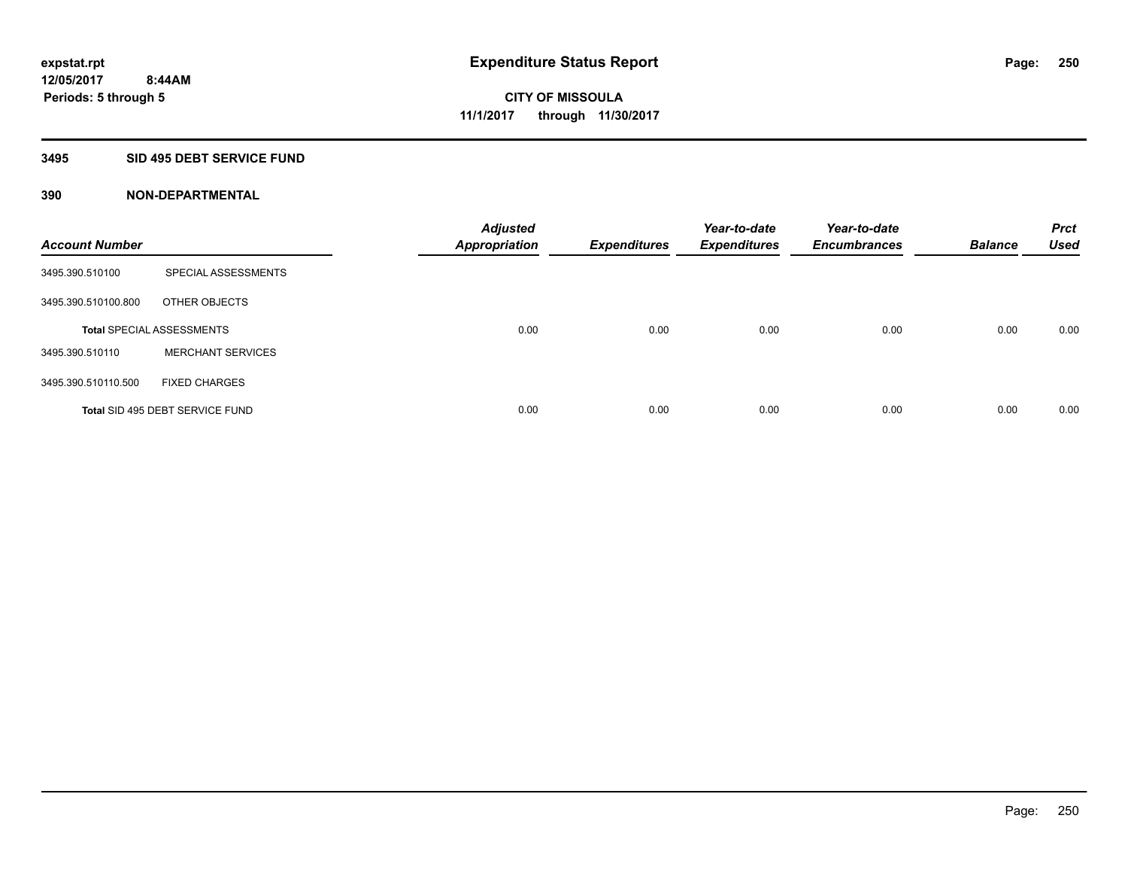#### **3495 SID 495 DEBT SERVICE FUND**

| <b>Account Number</b> |                                  | <b>Adjusted</b><br>Appropriation | <b>Expenditures</b> | Year-to-date<br><b>Expenditures</b> | Year-to-date<br><b>Encumbrances</b> | <b>Balance</b> | <b>Prct</b><br><b>Used</b> |
|-----------------------|----------------------------------|----------------------------------|---------------------|-------------------------------------|-------------------------------------|----------------|----------------------------|
| 3495.390.510100       | SPECIAL ASSESSMENTS              |                                  |                     |                                     |                                     |                |                            |
| 3495.390.510100.800   | OTHER OBJECTS                    |                                  |                     |                                     |                                     |                |                            |
|                       | <b>Total SPECIAL ASSESSMENTS</b> | 0.00                             | 0.00                | 0.00                                | 0.00                                | 0.00           | 0.00                       |
| 3495.390.510110       | <b>MERCHANT SERVICES</b>         |                                  |                     |                                     |                                     |                |                            |
| 3495.390.510110.500   | <b>FIXED CHARGES</b>             |                                  |                     |                                     |                                     |                |                            |
|                       | Total SID 495 DEBT SERVICE FUND  | 0.00                             | 0.00                | 0.00                                | 0.00                                | 0.00           | 0.00                       |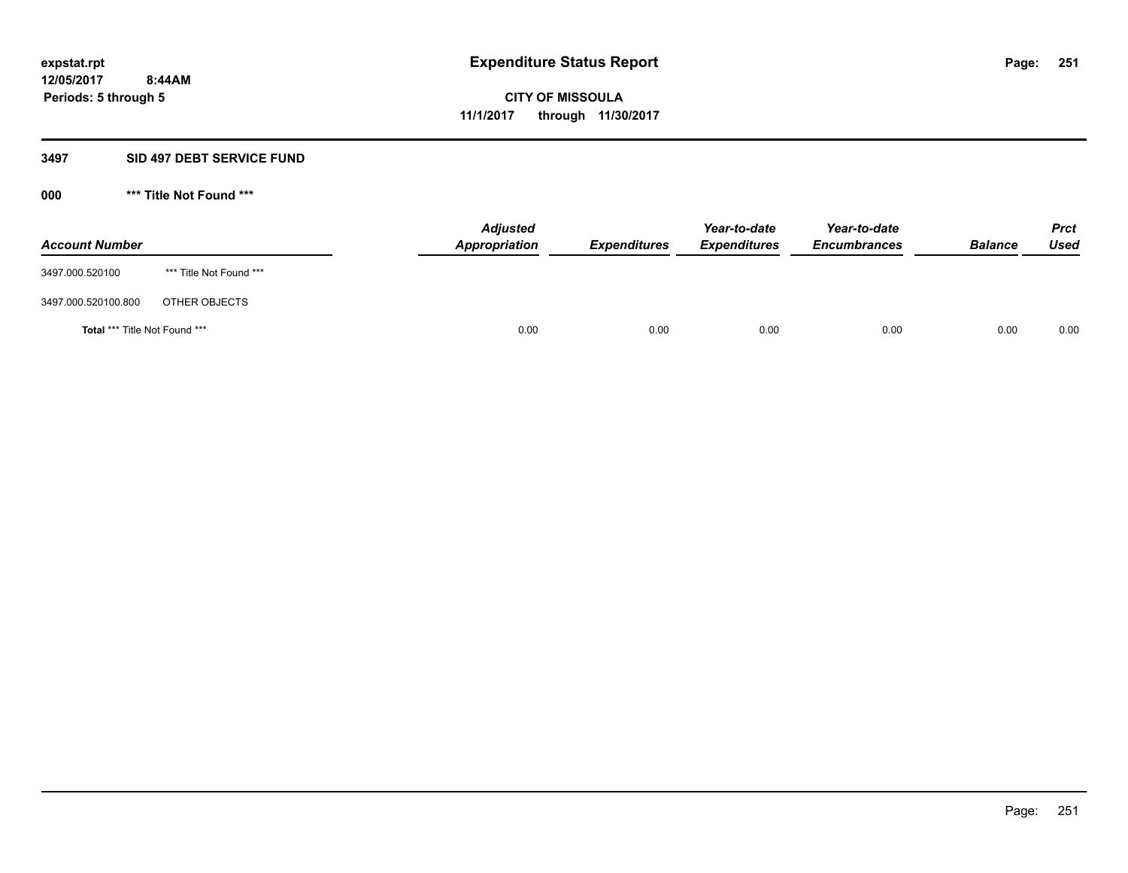#### **3497 SID 497 DEBT SERVICE FUND**

**000 \*\*\* Title Not Found \*\*\***

| <b>Account Number</b>                |                         | <b>Adjusted</b><br>Appropriation | <b>Expenditures</b> | Year-to-date<br><b>Expenditures</b> | Year-to-date<br><b>Encumbrances</b> | <b>Balance</b> | <b>Prct</b><br>Used |
|--------------------------------------|-------------------------|----------------------------------|---------------------|-------------------------------------|-------------------------------------|----------------|---------------------|
| 3497.000.520100                      | *** Title Not Found *** |                                  |                     |                                     |                                     |                |                     |
| 3497.000.520100.800                  | OTHER OBJECTS           |                                  |                     |                                     |                                     |                |                     |
| <b>Total *** Title Not Found ***</b> |                         | 0.00                             | 0.00                | 0.00                                | 0.00                                | 0.00           | 0.00                |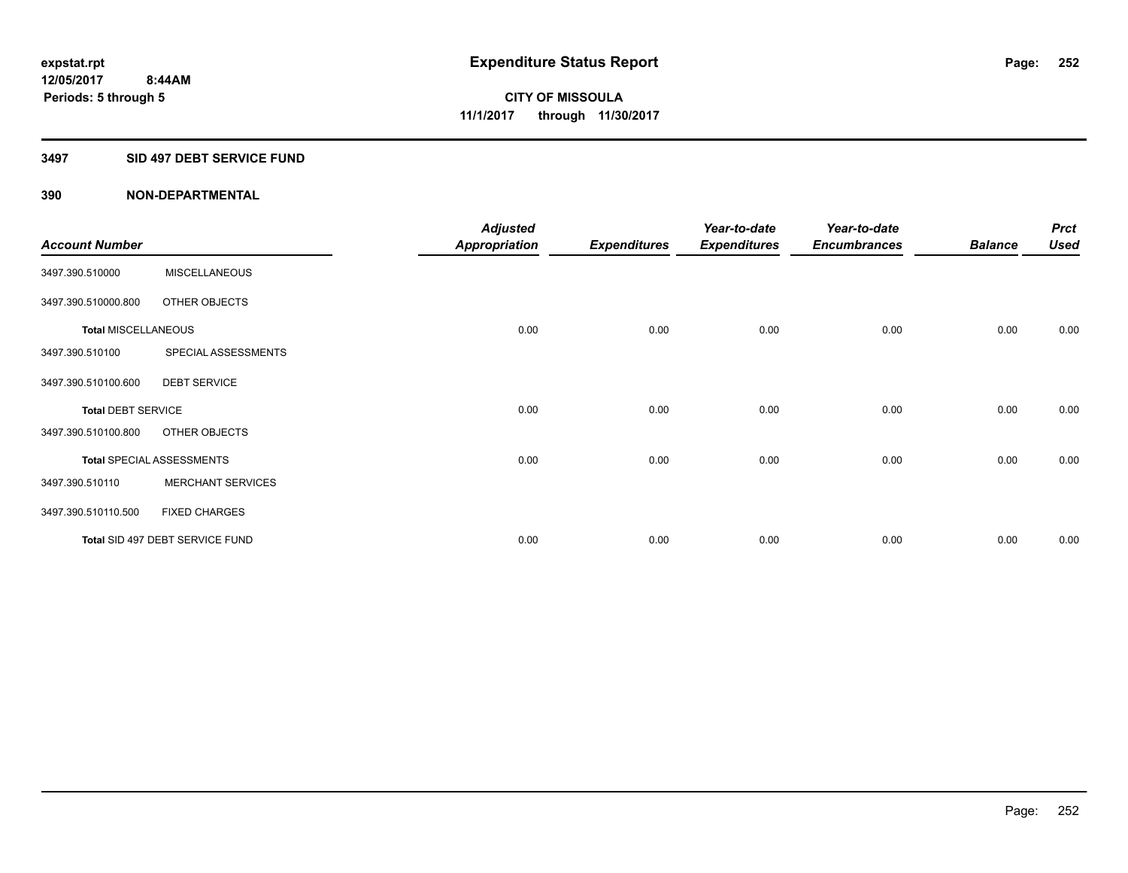#### **3497 SID 497 DEBT SERVICE FUND**

|                            |                                  | <b>Adjusted</b> |                     | Year-to-date        | Year-to-date        |                | <b>Prct</b> |
|----------------------------|----------------------------------|-----------------|---------------------|---------------------|---------------------|----------------|-------------|
| <b>Account Number</b>      |                                  | Appropriation   | <b>Expenditures</b> | <b>Expenditures</b> | <b>Encumbrances</b> | <b>Balance</b> | <b>Used</b> |
| 3497.390.510000            | <b>MISCELLANEOUS</b>             |                 |                     |                     |                     |                |             |
| 3497.390.510000.800        | OTHER OBJECTS                    |                 |                     |                     |                     |                |             |
| <b>Total MISCELLANEOUS</b> |                                  | 0.00            | 0.00                | 0.00                | 0.00                | 0.00           | 0.00        |
| 3497.390.510100            | SPECIAL ASSESSMENTS              |                 |                     |                     |                     |                |             |
| 3497.390.510100.600        | <b>DEBT SERVICE</b>              |                 |                     |                     |                     |                |             |
| <b>Total DEBT SERVICE</b>  |                                  | 0.00            | 0.00                | 0.00                | 0.00                | 0.00           | 0.00        |
| 3497.390.510100.800        | OTHER OBJECTS                    |                 |                     |                     |                     |                |             |
|                            | <b>Total SPECIAL ASSESSMENTS</b> | 0.00            | 0.00                | 0.00                | 0.00                | 0.00           | 0.00        |
| 3497.390.510110            | <b>MERCHANT SERVICES</b>         |                 |                     |                     |                     |                |             |
| 3497.390.510110.500        | <b>FIXED CHARGES</b>             |                 |                     |                     |                     |                |             |
|                            | Total SID 497 DEBT SERVICE FUND  | 0.00            | 0.00                | 0.00                | 0.00                | 0.00           | 0.00        |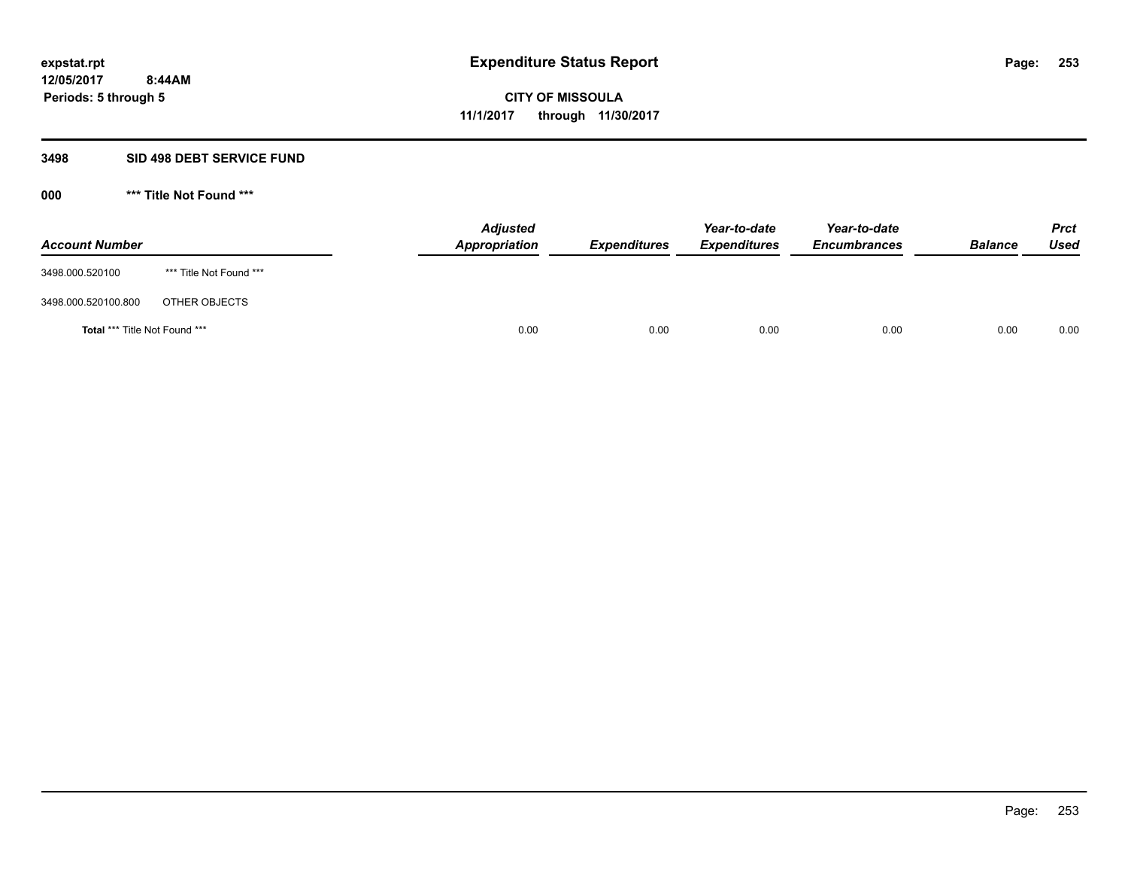#### **3498 SID 498 DEBT SERVICE FUND**

| <b>Account Number</b>         |                         | <b>Adjusted</b><br>Appropriation | <b>Expenditures</b> | Year-to-date<br><b>Expenditures</b> | Year-to-date<br><b>Encumbrances</b> | <b>Balance</b> | <b>Prct</b><br>Used |
|-------------------------------|-------------------------|----------------------------------|---------------------|-------------------------------------|-------------------------------------|----------------|---------------------|
| 3498.000.520100               | *** Title Not Found *** |                                  |                     |                                     |                                     |                |                     |
| 3498.000.520100.800           | OTHER OBJECTS           |                                  |                     |                                     |                                     |                |                     |
| Total *** Title Not Found *** |                         | 0.00                             | 0.00                | 0.00                                | 0.00                                | 0.00           | 0.00                |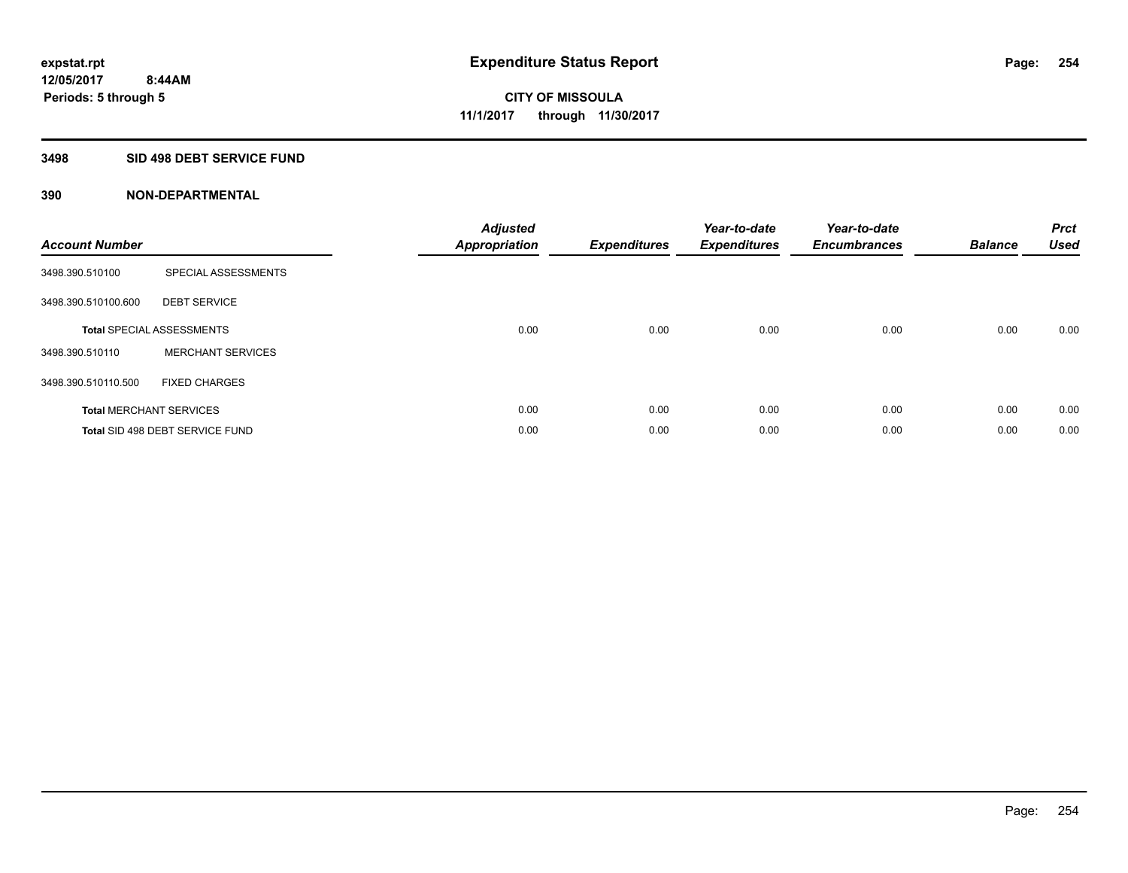#### **3498 SID 498 DEBT SERVICE FUND**

| <b>Account Number</b> |                                  | <b>Adjusted</b><br>Appropriation | <b>Expenditures</b> | Year-to-date<br><b>Expenditures</b> | Year-to-date<br><b>Encumbrances</b> | <b>Balance</b> | <b>Prct</b><br><b>Used</b> |
|-----------------------|----------------------------------|----------------------------------|---------------------|-------------------------------------|-------------------------------------|----------------|----------------------------|
| 3498.390.510100       | SPECIAL ASSESSMENTS              |                                  |                     |                                     |                                     |                |                            |
| 3498.390.510100.600   | <b>DEBT SERVICE</b>              |                                  |                     |                                     |                                     |                |                            |
|                       | <b>Total SPECIAL ASSESSMENTS</b> | 0.00                             | 0.00                | 0.00                                | 0.00                                | 0.00           | 0.00                       |
| 3498.390.510110       | <b>MERCHANT SERVICES</b>         |                                  |                     |                                     |                                     |                |                            |
| 3498.390.510110.500   | <b>FIXED CHARGES</b>             |                                  |                     |                                     |                                     |                |                            |
|                       | <b>Total MERCHANT SERVICES</b>   | 0.00                             | 0.00                | 0.00                                | 0.00                                | 0.00           | 0.00                       |
|                       | Total SID 498 DEBT SERVICE FUND  | 0.00                             | 0.00                | 0.00                                | 0.00                                | 0.00           | 0.00                       |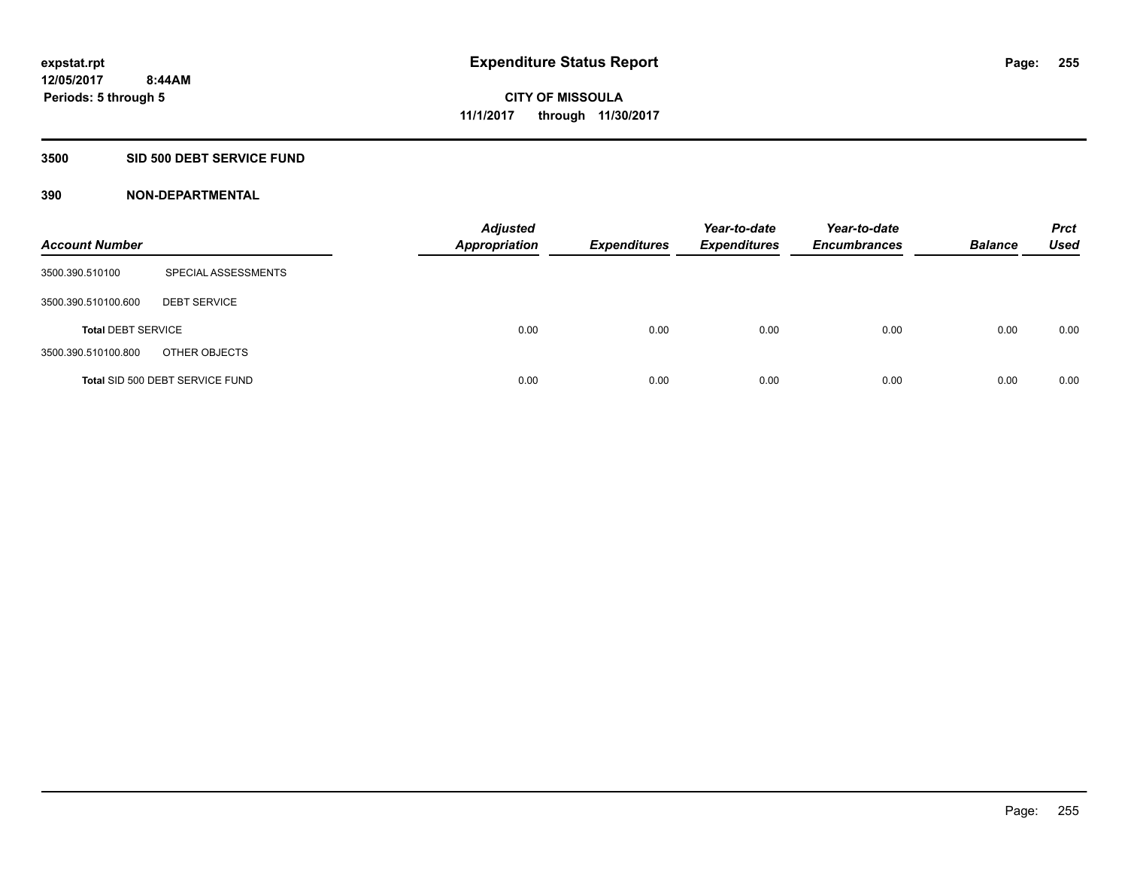### **3500 SID 500 DEBT SERVICE FUND**

| <b>Account Number</b>     |                                 | <b>Adjusted</b><br><b>Appropriation</b> | <b>Expenditures</b> | Year-to-date<br><b>Expenditures</b> | Year-to-date<br><b>Encumbrances</b> | <b>Balance</b> | <b>Prct</b><br>Used |
|---------------------------|---------------------------------|-----------------------------------------|---------------------|-------------------------------------|-------------------------------------|----------------|---------------------|
| 3500.390.510100           | SPECIAL ASSESSMENTS             |                                         |                     |                                     |                                     |                |                     |
| 3500.390.510100.600       | <b>DEBT SERVICE</b>             |                                         |                     |                                     |                                     |                |                     |
| <b>Total DEBT SERVICE</b> |                                 | 0.00                                    | 0.00                | 0.00                                | 0.00                                | 0.00           | 0.00                |
| 3500.390.510100.800       | OTHER OBJECTS                   |                                         |                     |                                     |                                     |                |                     |
|                           | Total SID 500 DEBT SERVICE FUND | 0.00                                    | 0.00                | 0.00                                | 0.00                                | 0.00           | 0.00                |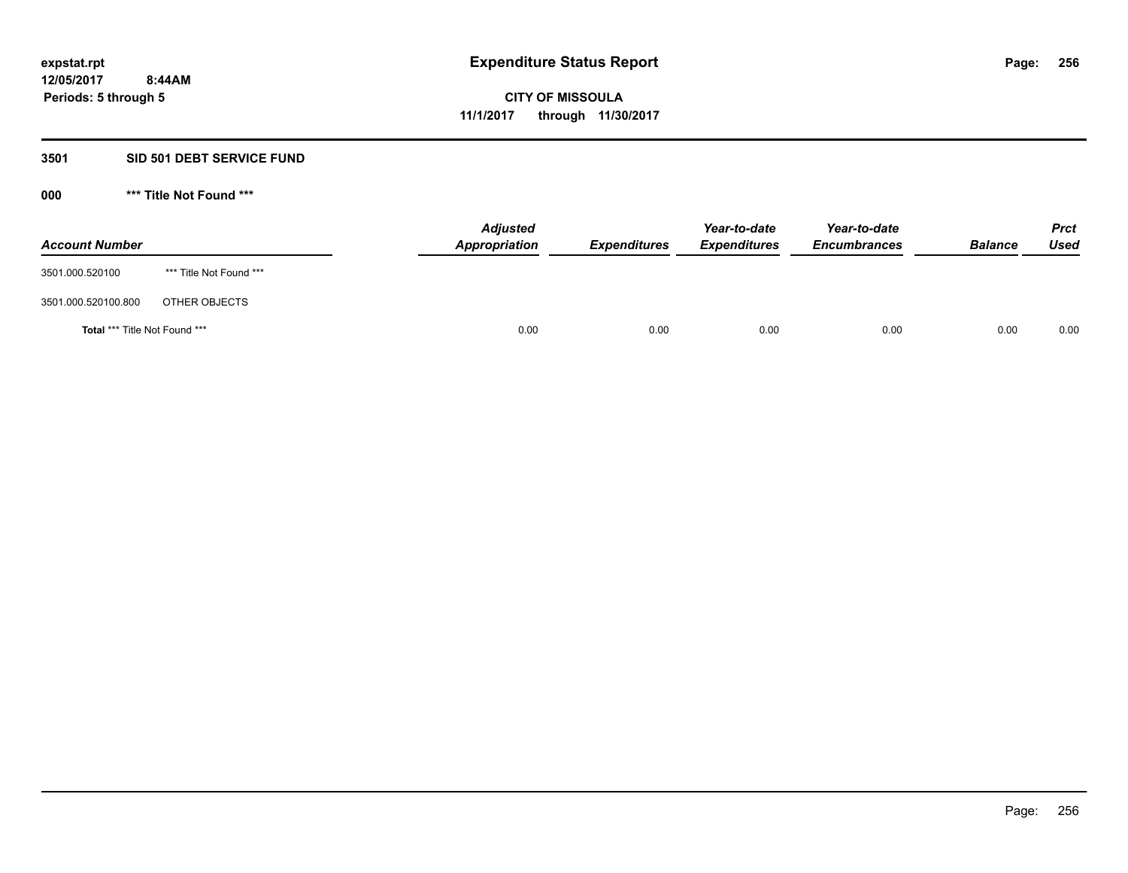#### **3501 SID 501 DEBT SERVICE FUND**

| <b>Account Number</b>                |                         | <b>Adjusted</b><br>Appropriation | <b>Expenditures</b> | Year-to-date<br><b>Expenditures</b> | Year-to-date<br><b>Encumbrances</b> | <b>Balance</b> | <b>Prct</b><br>Used |
|--------------------------------------|-------------------------|----------------------------------|---------------------|-------------------------------------|-------------------------------------|----------------|---------------------|
| 3501.000.520100                      | *** Title Not Found *** |                                  |                     |                                     |                                     |                |                     |
| 3501.000.520100.800                  | OTHER OBJECTS           |                                  |                     |                                     |                                     |                |                     |
| <b>Total *** Title Not Found ***</b> |                         | 0.00                             | 0.00                | 0.00                                | 0.00                                | 0.00           | 0.00                |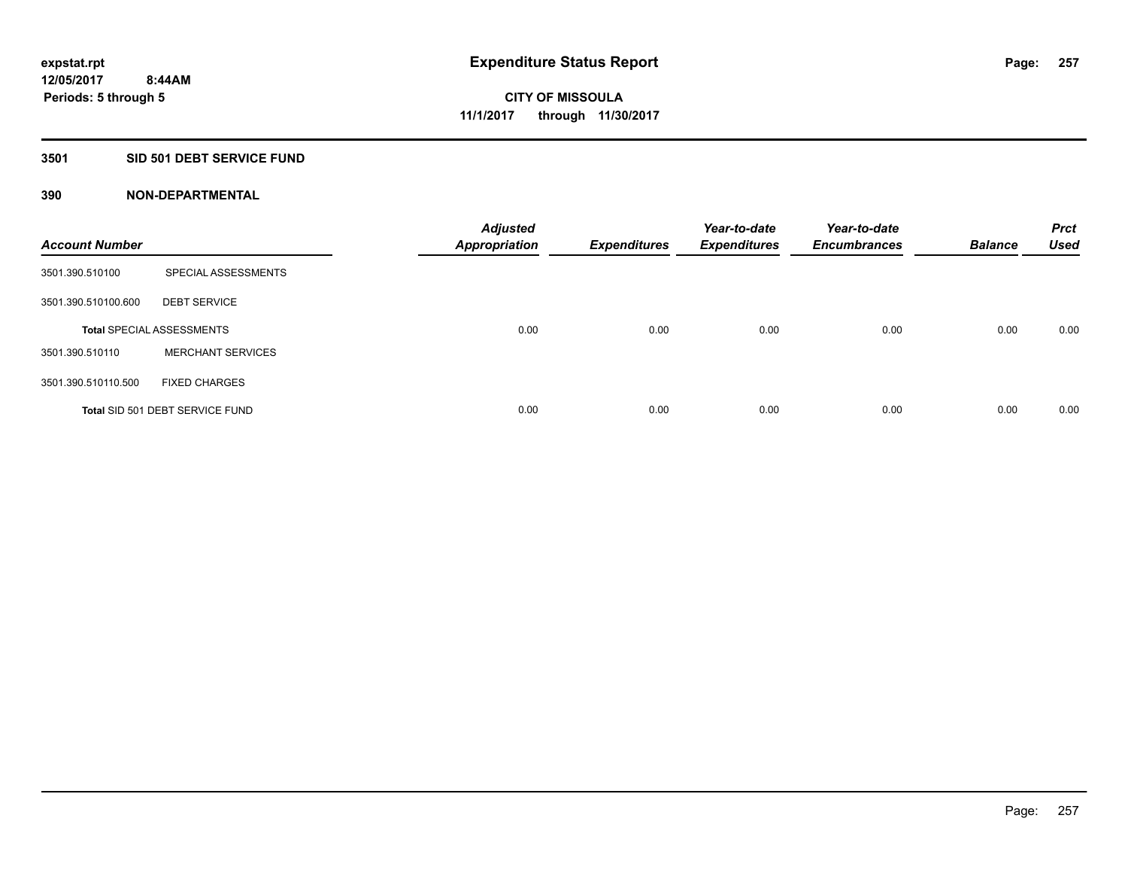### **3501 SID 501 DEBT SERVICE FUND**

| <b>Account Number</b> |                                  | <b>Adjusted</b><br>Appropriation | <b>Expenditures</b> | Year-to-date<br><b>Expenditures</b> | Year-to-date<br><b>Encumbrances</b> | <b>Balance</b> | <b>Prct</b><br><b>Used</b> |
|-----------------------|----------------------------------|----------------------------------|---------------------|-------------------------------------|-------------------------------------|----------------|----------------------------|
| 3501.390.510100       | SPECIAL ASSESSMENTS              |                                  |                     |                                     |                                     |                |                            |
| 3501.390.510100.600   | <b>DEBT SERVICE</b>              |                                  |                     |                                     |                                     |                |                            |
|                       | <b>Total SPECIAL ASSESSMENTS</b> | 0.00                             | 0.00                | 0.00                                | 0.00                                | 0.00           | 0.00                       |
| 3501.390.510110       | <b>MERCHANT SERVICES</b>         |                                  |                     |                                     |                                     |                |                            |
| 3501.390.510110.500   | <b>FIXED CHARGES</b>             |                                  |                     |                                     |                                     |                |                            |
|                       | Total SID 501 DEBT SERVICE FUND  | 0.00                             | 0.00                | 0.00                                | 0.00                                | 0.00           | 0.00                       |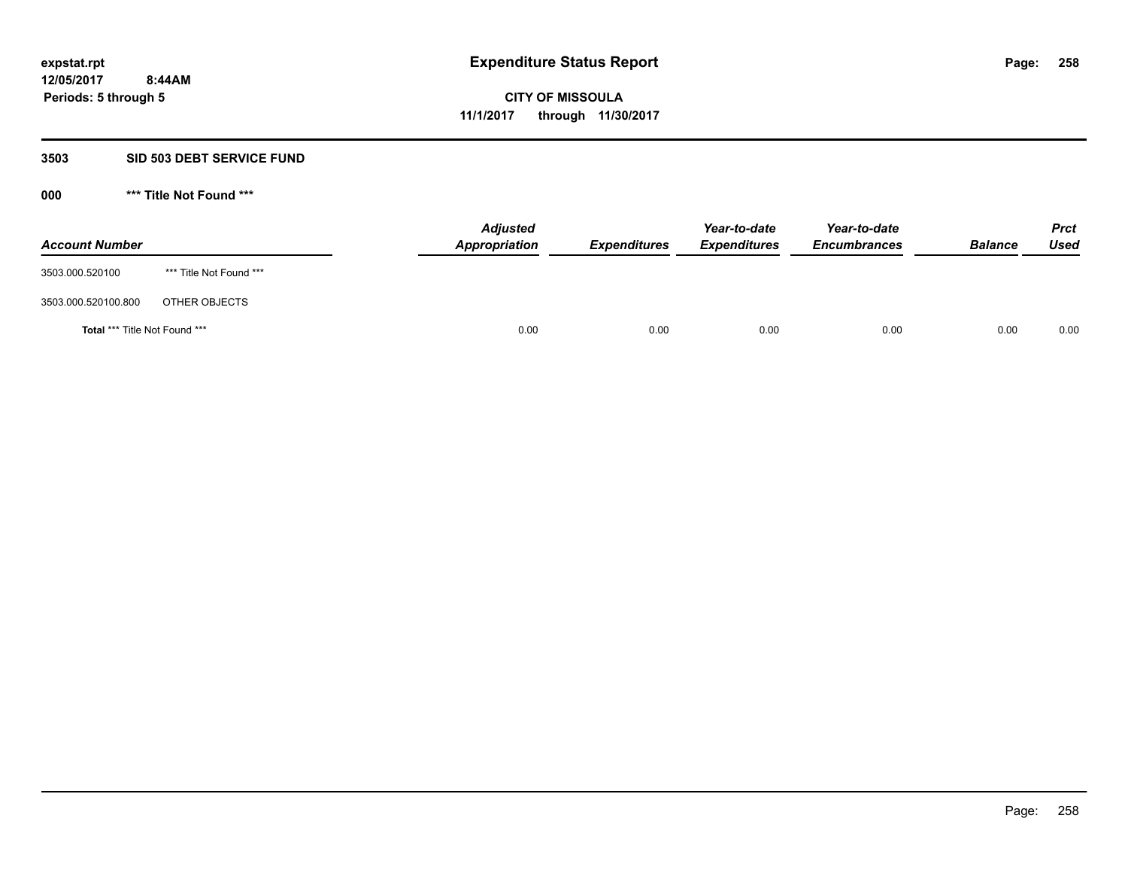#### **3503 SID 503 DEBT SERVICE FUND**

| <b>Account Number</b>                |                         | <b>Adjusted</b><br>Appropriation | <b>Expenditures</b> | Year-to-date<br><b>Expenditures</b> | Year-to-date<br><b>Encumbrances</b> | <b>Balance</b> | <b>Prct</b><br>Used |
|--------------------------------------|-------------------------|----------------------------------|---------------------|-------------------------------------|-------------------------------------|----------------|---------------------|
| 3503.000.520100                      | *** Title Not Found *** |                                  |                     |                                     |                                     |                |                     |
| 3503.000.520100.800                  | OTHER OBJECTS           |                                  |                     |                                     |                                     |                |                     |
| <b>Total *** Title Not Found ***</b> |                         |                                  | 0.00<br>0.00        | 0.00                                | 0.00                                | 0.00           | 0.00                |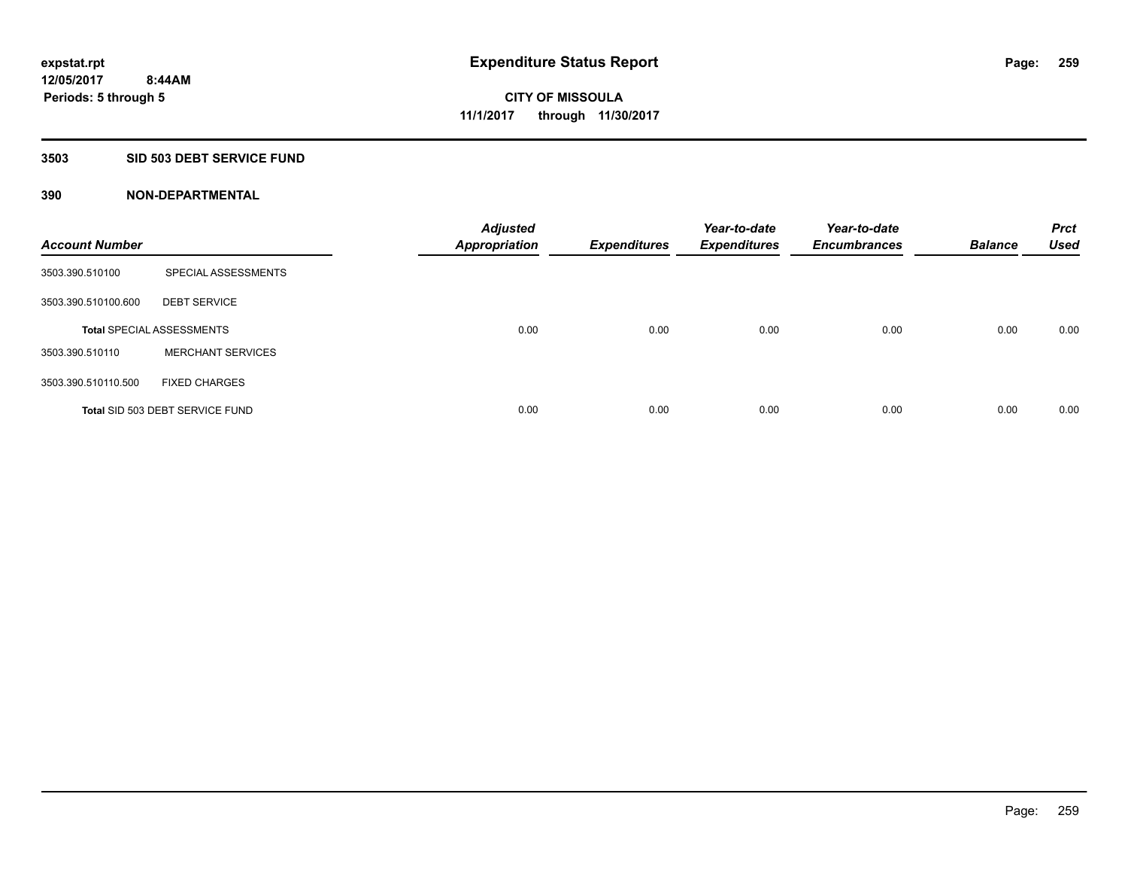#### **3503 SID 503 DEBT SERVICE FUND**

| <b>Account Number</b> |                                  | <b>Adjusted</b><br><b>Appropriation</b> | <b>Expenditures</b> | Year-to-date<br><b>Expenditures</b> | Year-to-date<br><b>Encumbrances</b> | <b>Balance</b> | <b>Prct</b><br><b>Used</b> |
|-----------------------|----------------------------------|-----------------------------------------|---------------------|-------------------------------------|-------------------------------------|----------------|----------------------------|
| 3503.390.510100       | SPECIAL ASSESSMENTS              |                                         |                     |                                     |                                     |                |                            |
| 3503.390.510100.600   | <b>DEBT SERVICE</b>              |                                         |                     |                                     |                                     |                |                            |
|                       | <b>Total SPECIAL ASSESSMENTS</b> | 0.00                                    | 0.00                | 0.00                                | 0.00                                | 0.00           | 0.00                       |
| 3503.390.510110       | <b>MERCHANT SERVICES</b>         |                                         |                     |                                     |                                     |                |                            |
| 3503.390.510110.500   | <b>FIXED CHARGES</b>             |                                         |                     |                                     |                                     |                |                            |
|                       | Total SID 503 DEBT SERVICE FUND  | 0.00                                    | 0.00                | 0.00                                | 0.00                                | 0.00           | 0.00                       |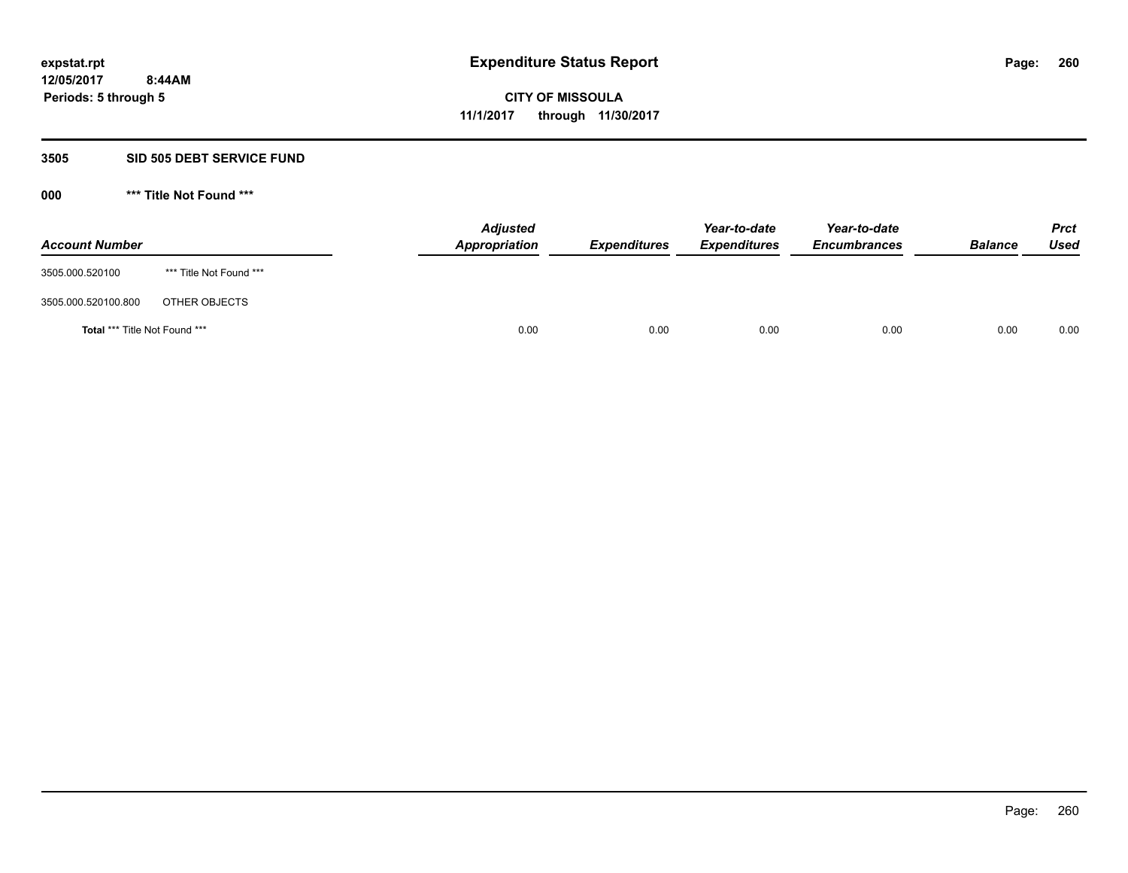#### **3505 SID 505 DEBT SERVICE FUND**

| <b>Account Number</b>                |                         | <b>Adjusted</b><br>Appropriation | <b>Expenditures</b> | Year-to-date<br><b>Expenditures</b> | Year-to-date<br><b>Encumbrances</b> | <b>Balance</b> | <b>Prct</b><br>Used |
|--------------------------------------|-------------------------|----------------------------------|---------------------|-------------------------------------|-------------------------------------|----------------|---------------------|
| 3505.000.520100                      | *** Title Not Found *** |                                  |                     |                                     |                                     |                |                     |
| 3505.000.520100.800                  | OTHER OBJECTS           |                                  |                     |                                     |                                     |                |                     |
| <b>Total *** Title Not Found ***</b> |                         | 0.00                             | 0.00                | 0.00                                | 0.00                                | 0.00           | 0.00                |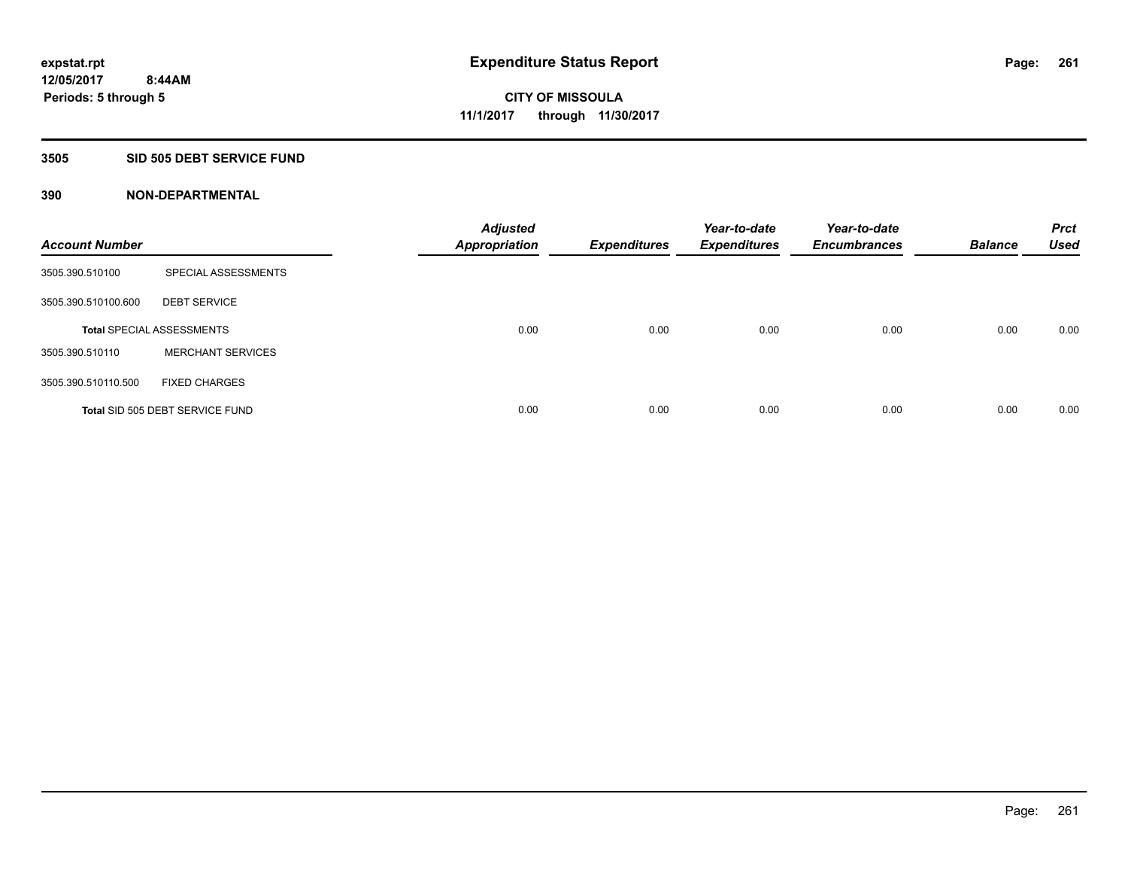#### **3505 SID 505 DEBT SERVICE FUND**

| <b>Account Number</b> |                                  | <b>Adjusted</b><br><b>Appropriation</b> | <b>Expenditures</b> | Year-to-date<br><b>Expenditures</b> | Year-to-date<br><b>Encumbrances</b> | <b>Balance</b> | <b>Prct</b><br><b>Used</b> |
|-----------------------|----------------------------------|-----------------------------------------|---------------------|-------------------------------------|-------------------------------------|----------------|----------------------------|
| 3505.390.510100       | SPECIAL ASSESSMENTS              |                                         |                     |                                     |                                     |                |                            |
| 3505.390.510100.600   | <b>DEBT SERVICE</b>              |                                         |                     |                                     |                                     |                |                            |
|                       | <b>Total SPECIAL ASSESSMENTS</b> | 0.00                                    | 0.00                | 0.00                                | 0.00                                | 0.00           | 0.00                       |
| 3505.390.510110       | <b>MERCHANT SERVICES</b>         |                                         |                     |                                     |                                     |                |                            |
| 3505.390.510110.500   | <b>FIXED CHARGES</b>             |                                         |                     |                                     |                                     |                |                            |
|                       | Total SID 505 DEBT SERVICE FUND  | 0.00                                    | 0.00                | 0.00                                | 0.00                                | 0.00           | 0.00                       |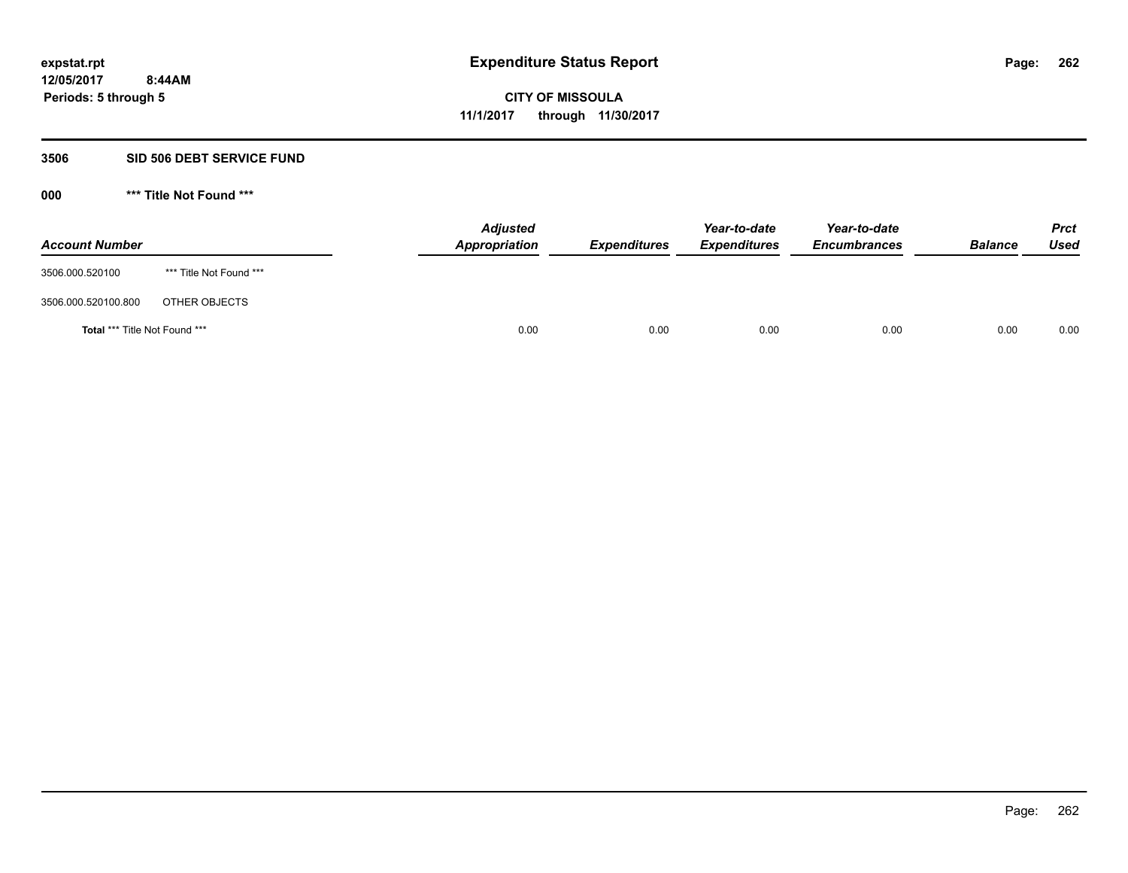#### **3506 SID 506 DEBT SERVICE FUND**

| <b>Account Number</b>                |                         | <b>Adjusted</b><br>Appropriation | <b>Expenditures</b> | Year-to-date<br><b>Expenditures</b> | Year-to-date<br><b>Encumbrances</b> | <b>Balance</b> | <b>Prct</b><br><b>Used</b> |
|--------------------------------------|-------------------------|----------------------------------|---------------------|-------------------------------------|-------------------------------------|----------------|----------------------------|
| 3506.000.520100                      | *** Title Not Found *** |                                  |                     |                                     |                                     |                |                            |
| 3506.000.520100.800                  | OTHER OBJECTS           |                                  |                     |                                     |                                     |                |                            |
| <b>Total *** Title Not Found ***</b> |                         | 0.00                             | 0.00                | 0.00                                | 0.00                                | 0.00           | 0.00                       |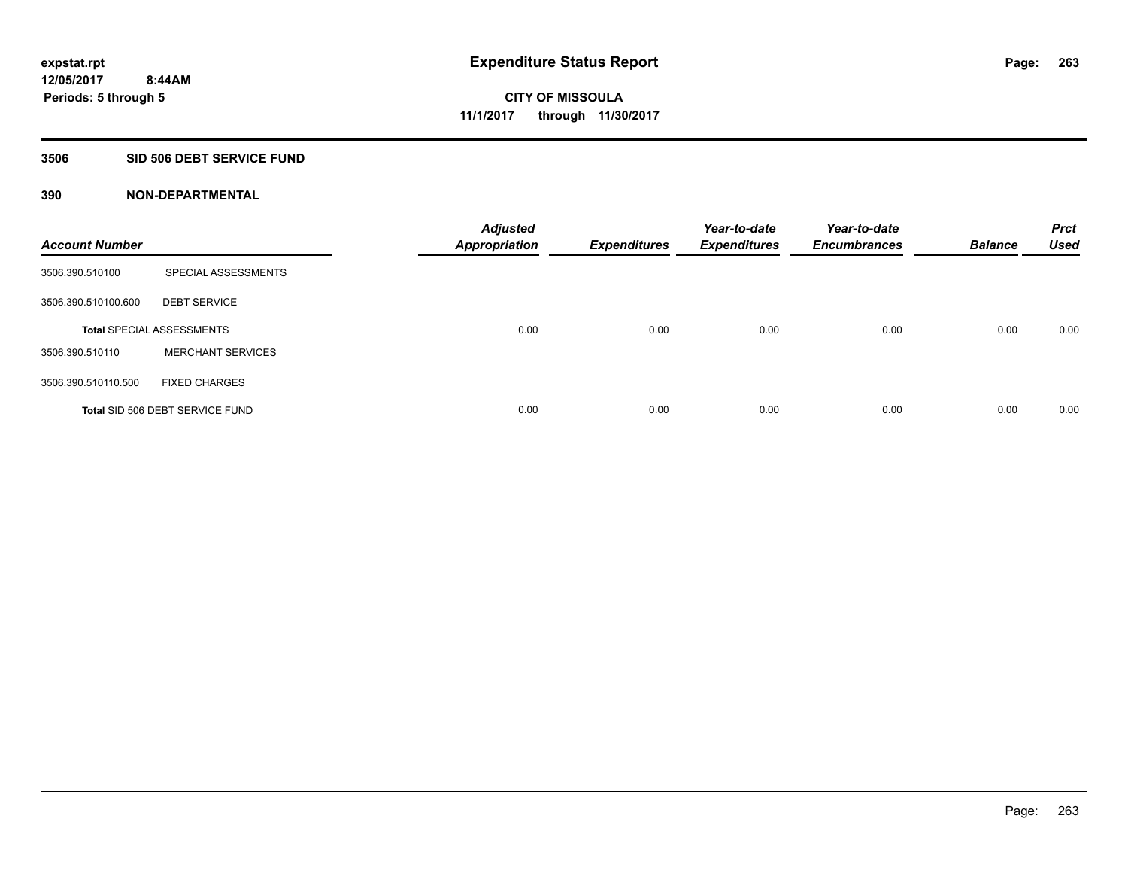### **3506 SID 506 DEBT SERVICE FUND**

| <b>Account Number</b> |                                  | <b>Adjusted</b><br><b>Appropriation</b> | <b>Expenditures</b> | Year-to-date<br><b>Expenditures</b> | Year-to-date<br><b>Encumbrances</b> | <b>Balance</b> | <b>Prct</b><br><b>Used</b> |
|-----------------------|----------------------------------|-----------------------------------------|---------------------|-------------------------------------|-------------------------------------|----------------|----------------------------|
| 3506.390.510100       | SPECIAL ASSESSMENTS              |                                         |                     |                                     |                                     |                |                            |
| 3506.390.510100.600   | <b>DEBT SERVICE</b>              |                                         |                     |                                     |                                     |                |                            |
|                       | <b>Total SPECIAL ASSESSMENTS</b> | 0.00                                    | 0.00                | 0.00                                | 0.00                                | 0.00           | 0.00                       |
| 3506.390.510110       | <b>MERCHANT SERVICES</b>         |                                         |                     |                                     |                                     |                |                            |
| 3506.390.510110.500   | <b>FIXED CHARGES</b>             |                                         |                     |                                     |                                     |                |                            |
|                       | Total SID 506 DEBT SERVICE FUND  | 0.00                                    | 0.00                | 0.00                                | 0.00                                | 0.00           | 0.00                       |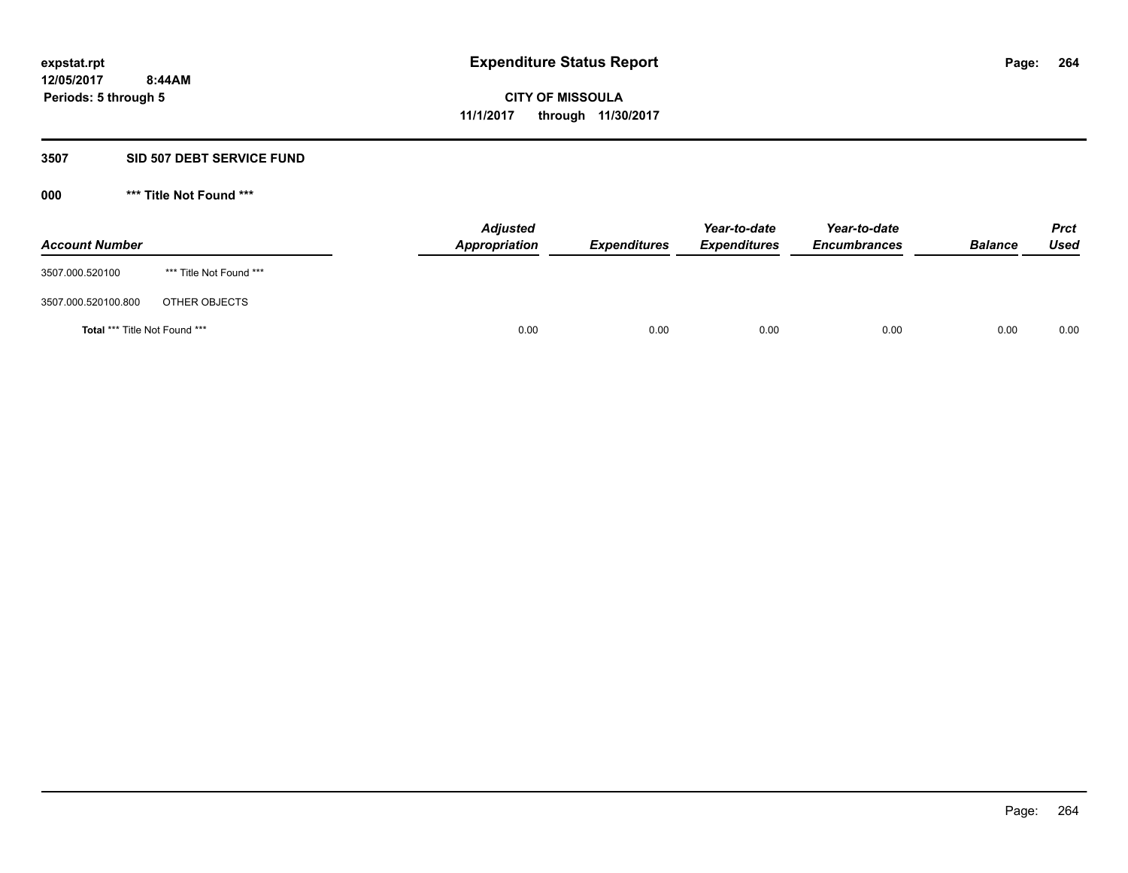#### **3507 SID 507 DEBT SERVICE FUND**

| <b>Account Number</b>         |                         | <b>Adjusted</b><br>Appropriation | <b>Expenditures</b> | Year-to-date<br><b>Expenditures</b> | Year-to-date<br><b>Encumbrances</b> | <b>Balance</b> | <b>Prct</b><br>Used |
|-------------------------------|-------------------------|----------------------------------|---------------------|-------------------------------------|-------------------------------------|----------------|---------------------|
| 3507.000.520100               | *** Title Not Found *** |                                  |                     |                                     |                                     |                |                     |
| 3507.000.520100.800           | OTHER OBJECTS           |                                  |                     |                                     |                                     |                |                     |
| Total *** Title Not Found *** |                         | 0.00                             | 0.00                | 0.00                                | 0.00                                | 0.00           | 0.00                |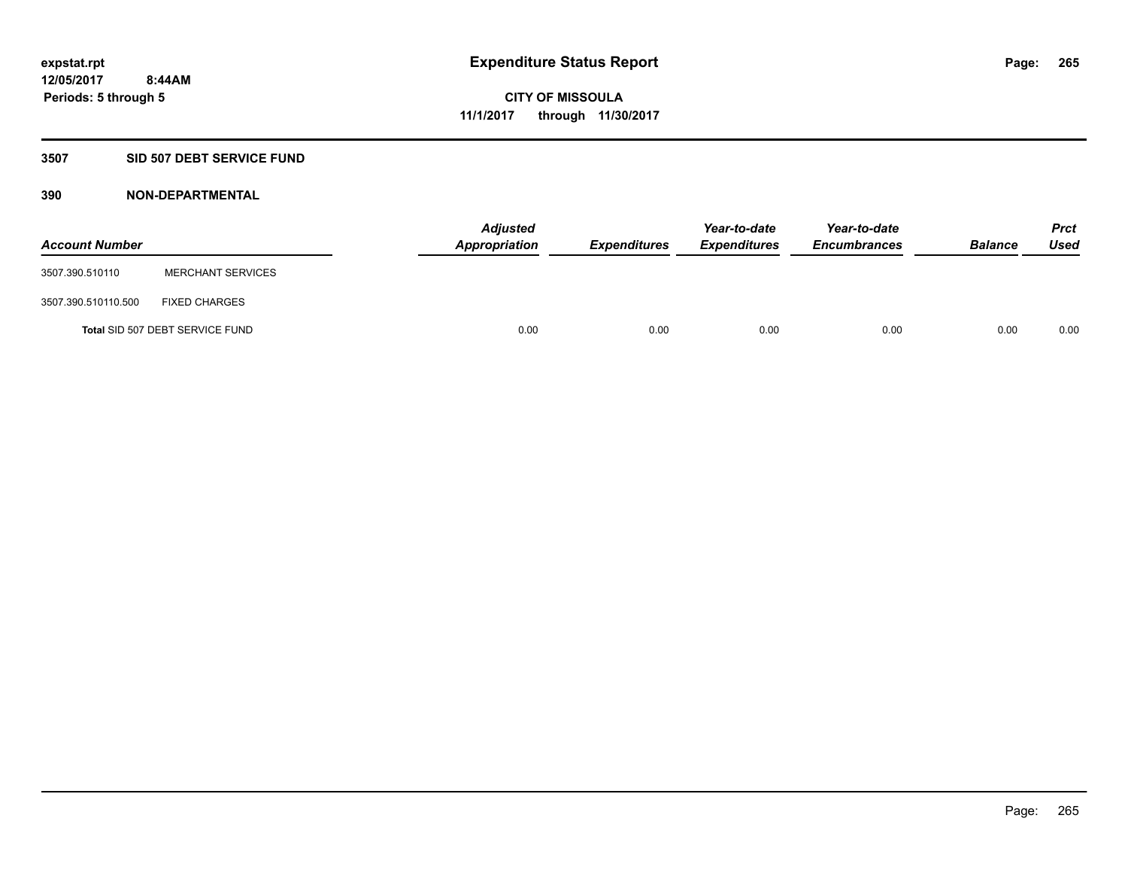### **3507 SID 507 DEBT SERVICE FUND**

| <b>Account Number</b> |                                 | <b>Adjusted</b><br>Appropriation | <b>Expenditures</b> | Year-to-date<br><b>Expenditures</b> | Year-to-date<br><b>Encumbrances</b> | <b>Balance</b> | <b>Prct</b><br><b>Used</b> |
|-----------------------|---------------------------------|----------------------------------|---------------------|-------------------------------------|-------------------------------------|----------------|----------------------------|
| 3507.390.510110       | <b>MERCHANT SERVICES</b>        |                                  |                     |                                     |                                     |                |                            |
| 3507.390.510110.500   | <b>FIXED CHARGES</b>            |                                  |                     |                                     |                                     |                |                            |
|                       | Total SID 507 DEBT SERVICE FUND | 0.00                             | 0.00                | 0.00                                | 0.00                                | 0.00           | 0.00                       |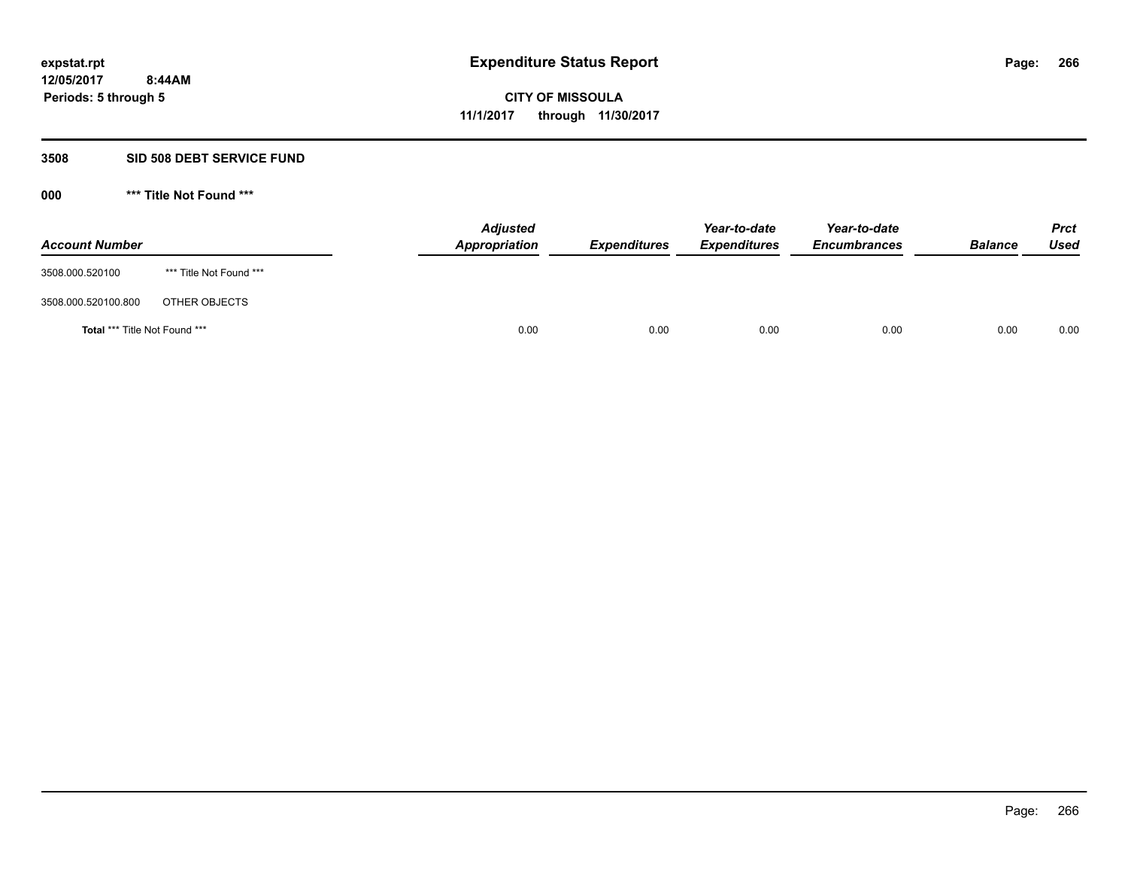#### **3508 SID 508 DEBT SERVICE FUND**

| <b>Account Number</b>                |                         | <b>Adjusted</b><br>Appropriation | <b>Expenditures</b> | Year-to-date<br><b>Expenditures</b> | Year-to-date<br><b>Encumbrances</b> | <b>Balance</b> | <b>Prct</b><br>Used |
|--------------------------------------|-------------------------|----------------------------------|---------------------|-------------------------------------|-------------------------------------|----------------|---------------------|
| 3508.000.520100                      | *** Title Not Found *** |                                  |                     |                                     |                                     |                |                     |
| 3508.000.520100.800                  | OTHER OBJECTS           |                                  |                     |                                     |                                     |                |                     |
| <b>Total *** Title Not Found ***</b> |                         |                                  | 0.00<br>0.00        | 0.00                                | 0.00                                | 0.00           | 0.00                |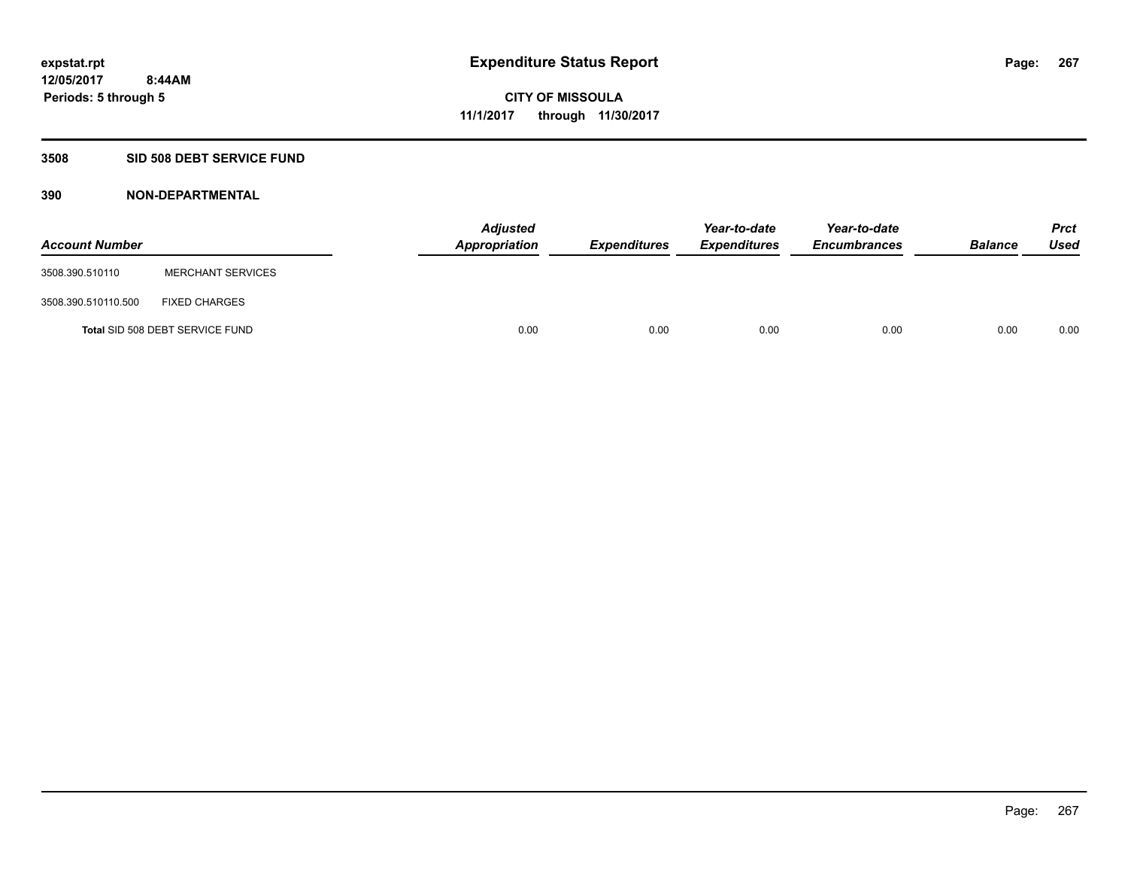## **3508 SID 508 DEBT SERVICE FUND**

| <b>Account Number</b> |                                 | <b>Adjusted</b><br>Appropriation | <b>Expenditures</b> | Year-to-date<br><b>Expenditures</b> | Year-to-date<br><b>Encumbrances</b> | <b>Balance</b> | <b>Prct</b><br><b>Used</b> |
|-----------------------|---------------------------------|----------------------------------|---------------------|-------------------------------------|-------------------------------------|----------------|----------------------------|
| 3508.390.510110       | <b>MERCHANT SERVICES</b>        |                                  |                     |                                     |                                     |                |                            |
| 3508.390.510110.500   | <b>FIXED CHARGES</b>            |                                  |                     |                                     |                                     |                |                            |
|                       | Total SID 508 DEBT SERVICE FUND | 0.00                             | 0.00                | 0.00                                | 0.00                                | 0.00           | 0.00                       |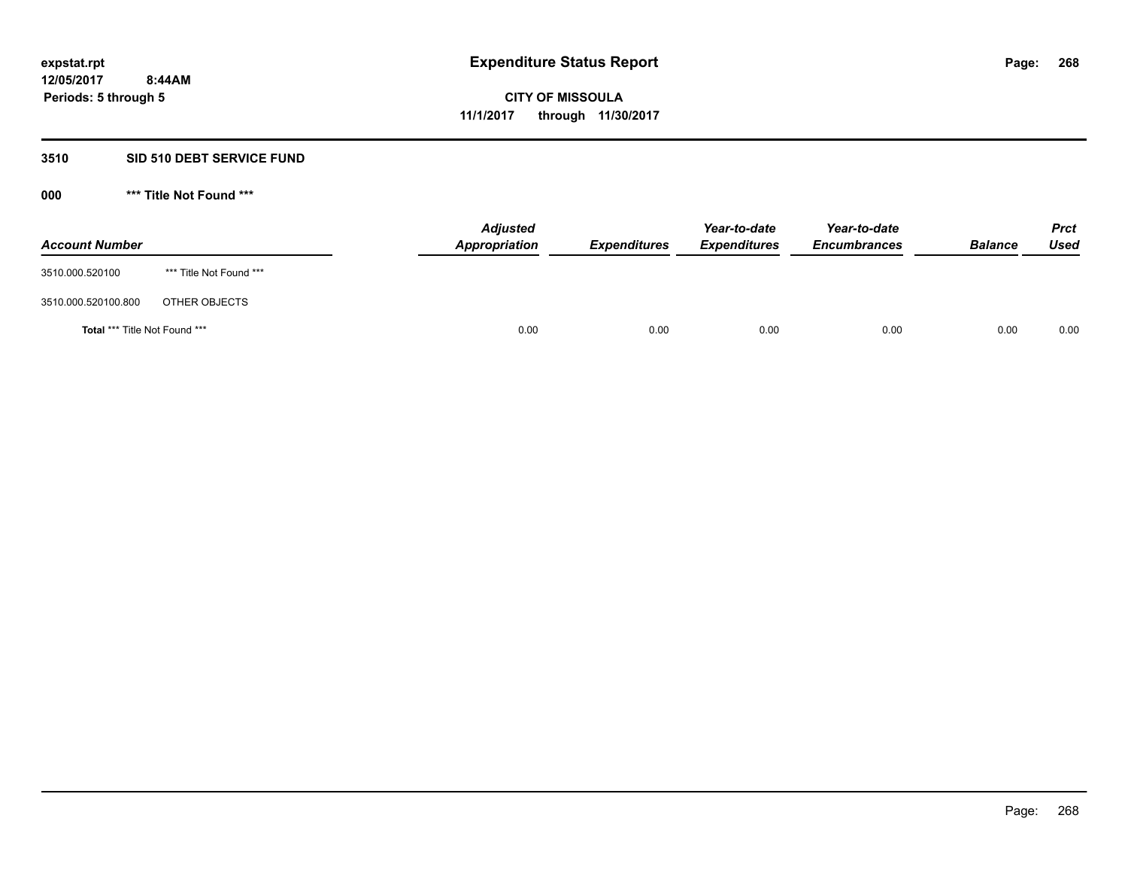#### **3510 SID 510 DEBT SERVICE FUND**

| <b>Account Number</b>                |                         | <b>Adjusted</b><br>Appropriation | <b>Expenditures</b> | Year-to-date<br><b>Expenditures</b> | Year-to-date<br><b>Encumbrances</b> | <b>Balance</b> | <b>Prct</b><br>Used |
|--------------------------------------|-------------------------|----------------------------------|---------------------|-------------------------------------|-------------------------------------|----------------|---------------------|
| 3510.000.520100                      | *** Title Not Found *** |                                  |                     |                                     |                                     |                |                     |
| 3510.000.520100.800                  | OTHER OBJECTS           |                                  |                     |                                     |                                     |                |                     |
| <b>Total *** Title Not Found ***</b> |                         | 0.00                             | 0.00                | 0.00                                | 0.00                                | 0.00           | 0.00                |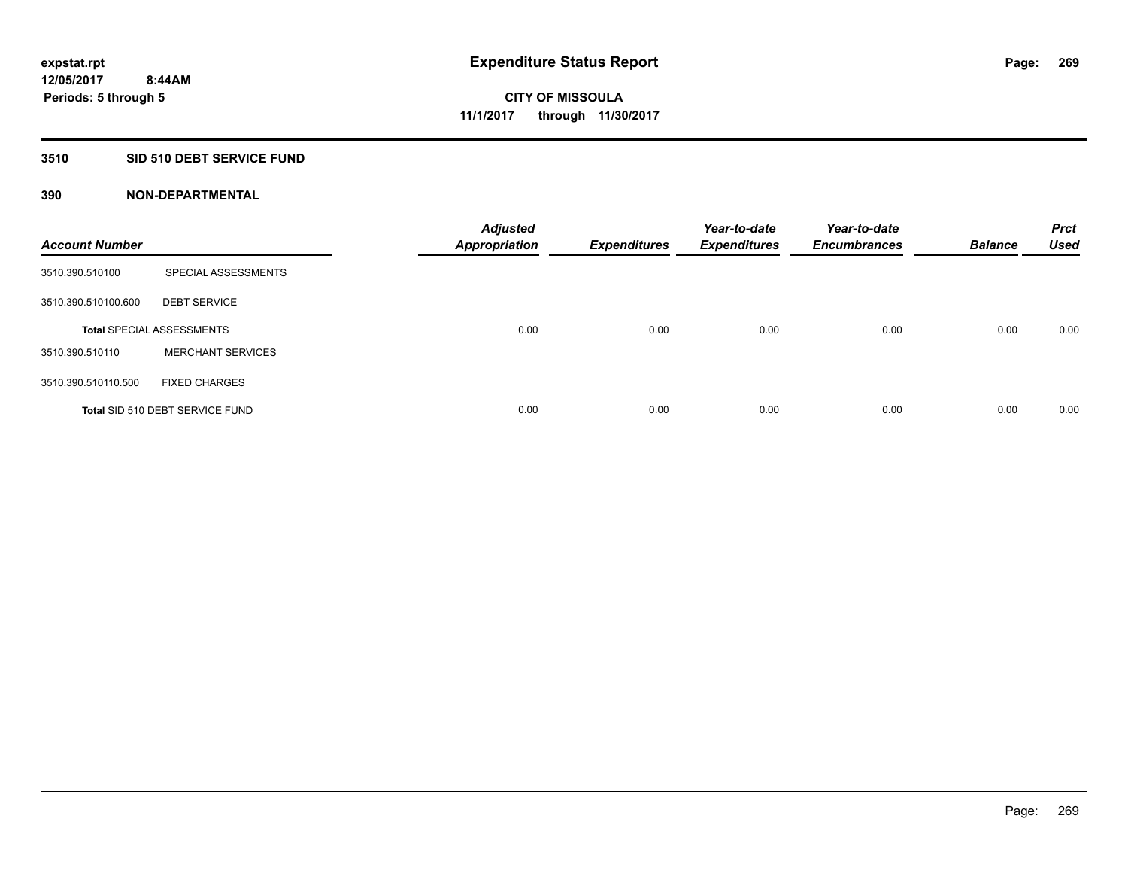### **3510 SID 510 DEBT SERVICE FUND**

| <b>Account Number</b> |                                  | <b>Adjusted</b><br><b>Appropriation</b> | <b>Expenditures</b> | Year-to-date<br><b>Expenditures</b> | Year-to-date<br><b>Encumbrances</b> | <b>Balance</b> | <b>Prct</b><br><b>Used</b> |
|-----------------------|----------------------------------|-----------------------------------------|---------------------|-------------------------------------|-------------------------------------|----------------|----------------------------|
| 3510.390.510100       | SPECIAL ASSESSMENTS              |                                         |                     |                                     |                                     |                |                            |
| 3510.390.510100.600   | <b>DEBT SERVICE</b>              |                                         |                     |                                     |                                     |                |                            |
|                       | <b>Total SPECIAL ASSESSMENTS</b> | 0.00                                    | 0.00                | 0.00                                | 0.00                                | 0.00           | 0.00                       |
| 3510.390.510110       | <b>MERCHANT SERVICES</b>         |                                         |                     |                                     |                                     |                |                            |
| 3510.390.510110.500   | <b>FIXED CHARGES</b>             |                                         |                     |                                     |                                     |                |                            |
|                       | Total SID 510 DEBT SERVICE FUND  | 0.00                                    | 0.00                | 0.00                                | 0.00                                | 0.00           | 0.00                       |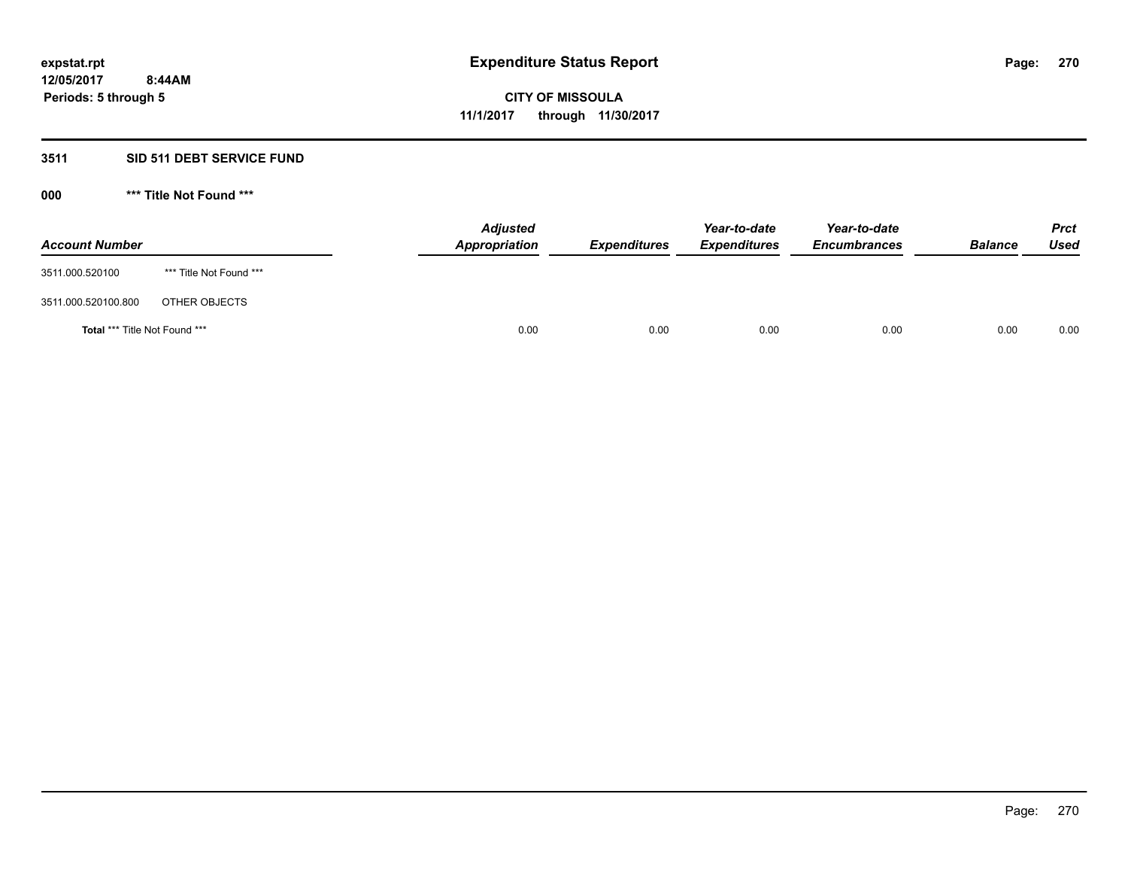### **3511 SID 511 DEBT SERVICE FUND**

| <b>Account Number</b>                |                         | <b>Adjusted</b><br>Appropriation | <b>Expenditures</b> | Year-to-date<br><b>Expenditures</b> | Year-to-date<br><b>Encumbrances</b> | <b>Balance</b> | <b>Prct</b><br>Used |
|--------------------------------------|-------------------------|----------------------------------|---------------------|-------------------------------------|-------------------------------------|----------------|---------------------|
| 3511.000.520100                      | *** Title Not Found *** |                                  |                     |                                     |                                     |                |                     |
| 3511.000.520100.800                  | OTHER OBJECTS           |                                  |                     |                                     |                                     |                |                     |
| <b>Total *** Title Not Found ***</b> |                         | 0.00                             | 0.00                | 0.00                                | 0.00                                | 0.00           | 0.00                |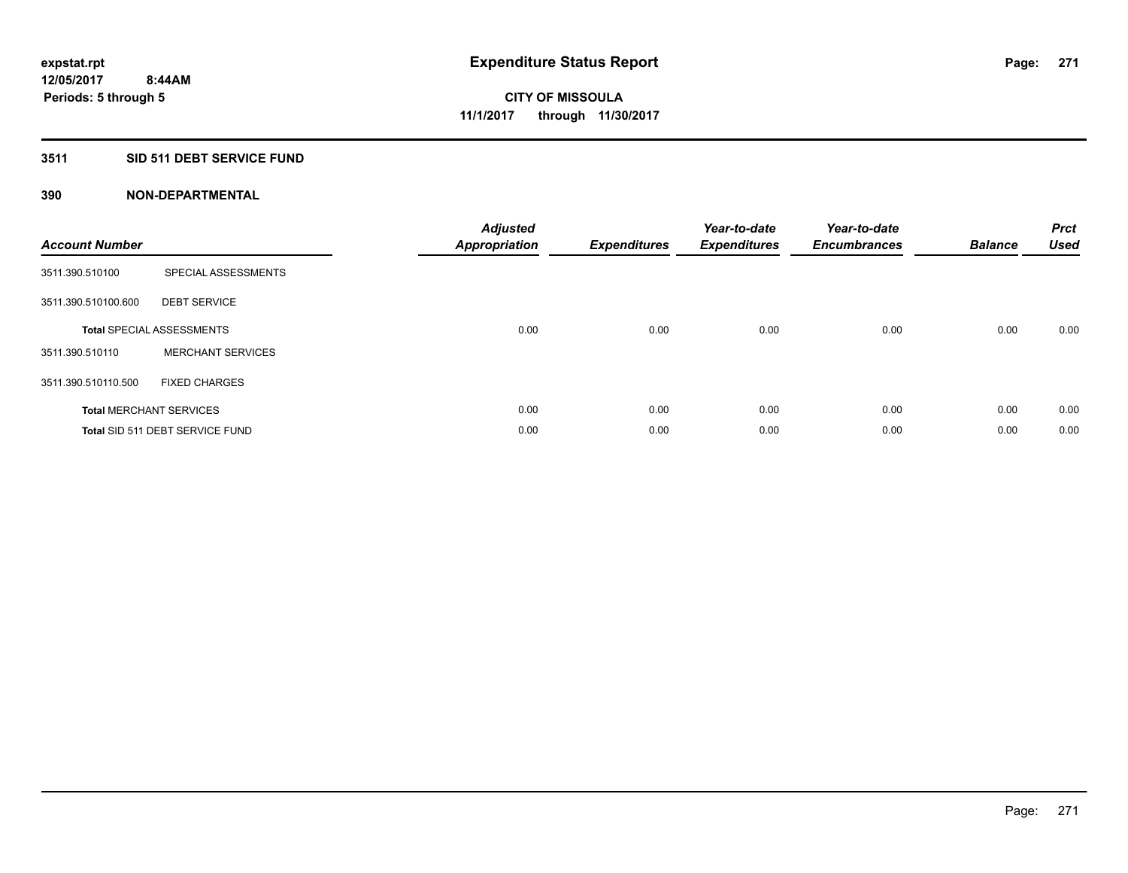### **3511 SID 511 DEBT SERVICE FUND**

| <b>Account Number</b> |                                  | <b>Adjusted</b><br>Appropriation | <b>Expenditures</b> | Year-to-date<br><b>Expenditures</b> | Year-to-date<br><b>Encumbrances</b> | <b>Balance</b> | <b>Prct</b><br><b>Used</b> |
|-----------------------|----------------------------------|----------------------------------|---------------------|-------------------------------------|-------------------------------------|----------------|----------------------------|
| 3511.390.510100       | SPECIAL ASSESSMENTS              |                                  |                     |                                     |                                     |                |                            |
| 3511.390.510100.600   | <b>DEBT SERVICE</b>              |                                  |                     |                                     |                                     |                |                            |
|                       | <b>Total SPECIAL ASSESSMENTS</b> | 0.00                             | 0.00                | 0.00                                | 0.00                                | 0.00           | 0.00                       |
| 3511.390.510110       | <b>MERCHANT SERVICES</b>         |                                  |                     |                                     |                                     |                |                            |
| 3511.390.510110.500   | <b>FIXED CHARGES</b>             |                                  |                     |                                     |                                     |                |                            |
|                       | <b>Total MERCHANT SERVICES</b>   | 0.00                             | 0.00                | 0.00                                | 0.00                                | 0.00           | 0.00                       |
|                       | Total SID 511 DEBT SERVICE FUND  | 0.00                             | 0.00                | 0.00                                | 0.00                                | 0.00           | 0.00                       |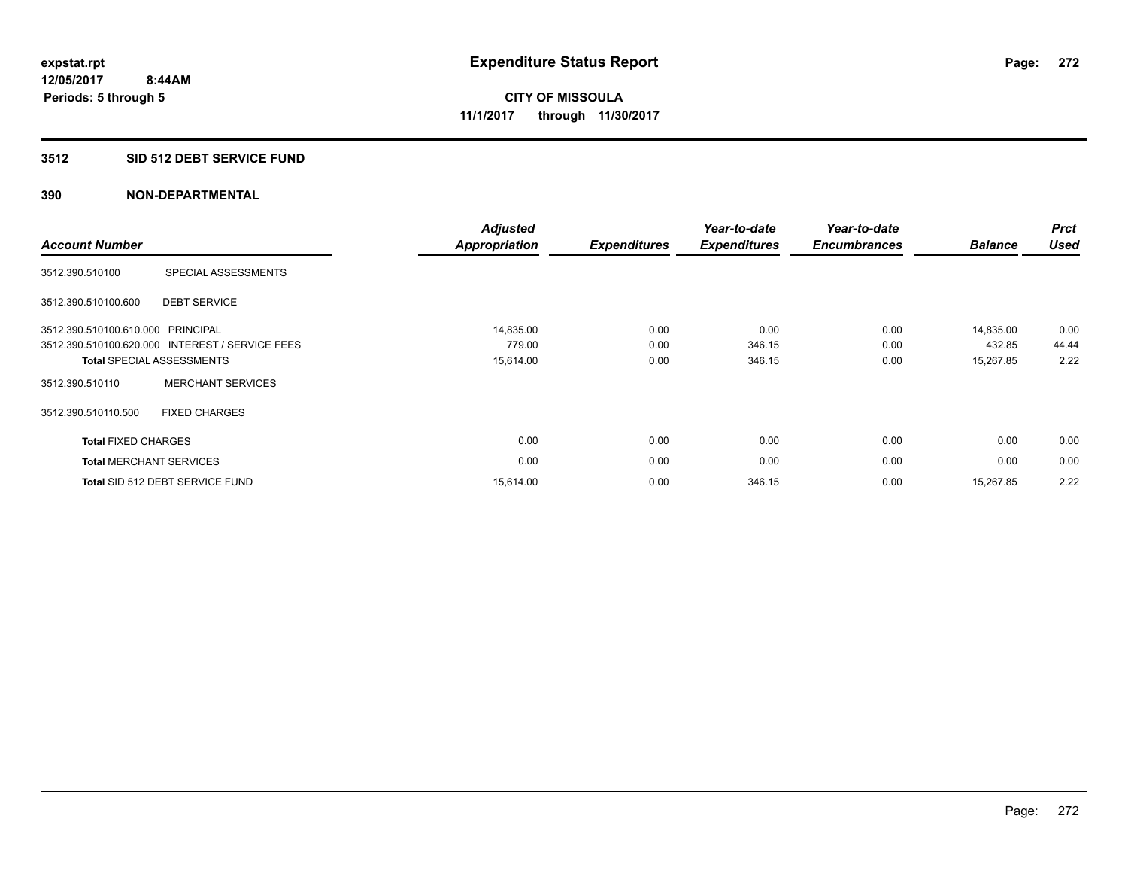#### **3512 SID 512 DEBT SERVICE FUND**

| <b>Account Number</b>          |                                                 | <b>Adjusted</b><br>Appropriation | <b>Expenditures</b> | Year-to-date<br><b>Expenditures</b> | Year-to-date<br><b>Encumbrances</b> | <b>Balance</b> | <b>Prct</b><br><b>Used</b> |
|--------------------------------|-------------------------------------------------|----------------------------------|---------------------|-------------------------------------|-------------------------------------|----------------|----------------------------|
| 3512.390.510100                | SPECIAL ASSESSMENTS                             |                                  |                     |                                     |                                     |                |                            |
| 3512.390.510100.600            | <b>DEBT SERVICE</b>                             |                                  |                     |                                     |                                     |                |                            |
| 3512.390.510100.610.000        | <b>PRINCIPAL</b>                                | 14,835.00                        | 0.00                | 0.00                                | 0.00                                | 14,835.00      | 0.00                       |
|                                | 3512.390.510100.620.000 INTEREST / SERVICE FEES | 779.00                           | 0.00                | 346.15                              | 0.00                                | 432.85         | 44.44                      |
|                                | <b>Total SPECIAL ASSESSMENTS</b>                | 15,614.00                        | 0.00                | 346.15                              | 0.00                                | 15,267.85      | 2.22                       |
| 3512.390.510110                | <b>MERCHANT SERVICES</b>                        |                                  |                     |                                     |                                     |                |                            |
| 3512.390.510110.500            | <b>FIXED CHARGES</b>                            |                                  |                     |                                     |                                     |                |                            |
| <b>Total FIXED CHARGES</b>     |                                                 | 0.00                             | 0.00                | 0.00                                | 0.00                                | 0.00           | 0.00                       |
| <b>Total MERCHANT SERVICES</b> |                                                 | 0.00                             | 0.00                | 0.00                                | 0.00                                | 0.00           | 0.00                       |
|                                | Total SID 512 DEBT SERVICE FUND                 | 15.614.00                        | 0.00                | 346.15                              | 0.00                                | 15,267.85      | 2.22                       |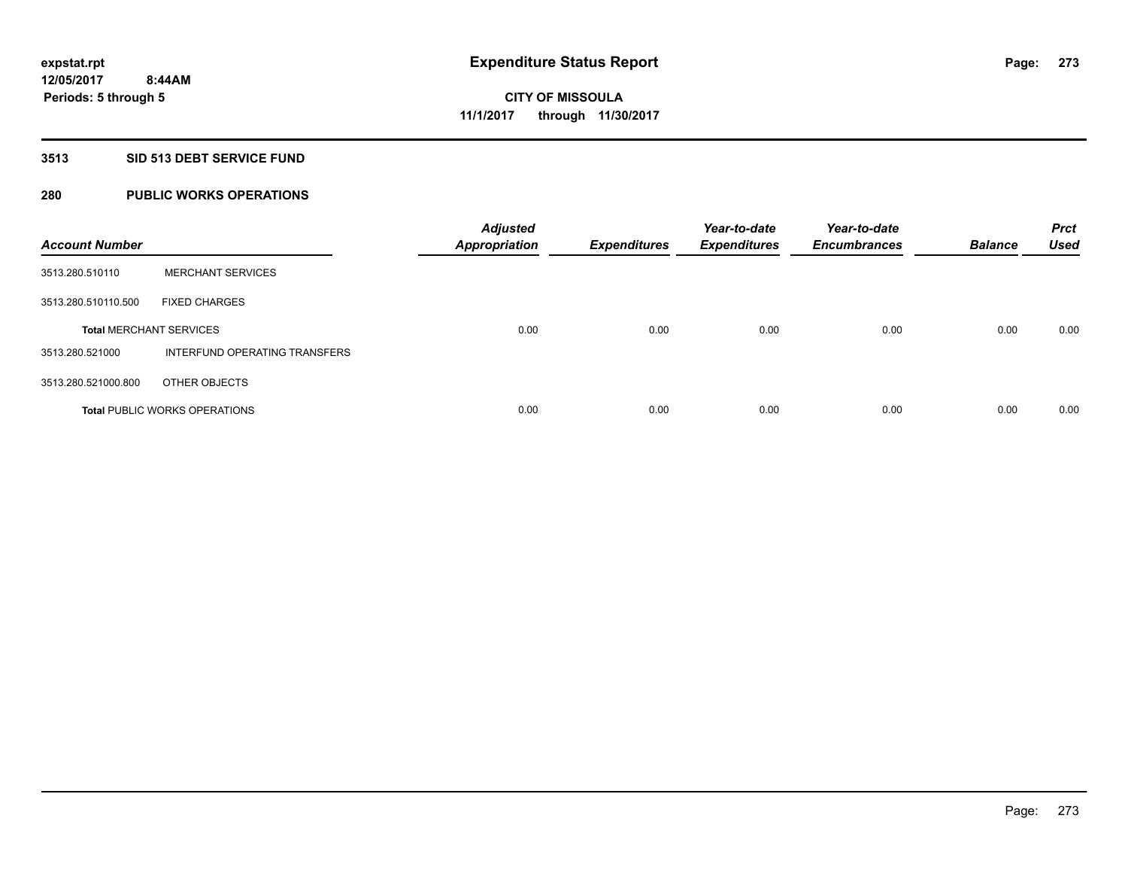### **3513 SID 513 DEBT SERVICE FUND**

## **280 PUBLIC WORKS OPERATIONS**

| <b>Account Number</b>          |                                      | <b>Adjusted</b><br><b>Appropriation</b> | <b>Expenditures</b> | Year-to-date<br><b>Expenditures</b> | Year-to-date<br><b>Encumbrances</b> | <b>Balance</b> | <b>Prct</b><br><b>Used</b> |
|--------------------------------|--------------------------------------|-----------------------------------------|---------------------|-------------------------------------|-------------------------------------|----------------|----------------------------|
| 3513.280.510110                | <b>MERCHANT SERVICES</b>             |                                         |                     |                                     |                                     |                |                            |
| 3513.280.510110.500            | <b>FIXED CHARGES</b>                 |                                         |                     |                                     |                                     |                |                            |
| <b>Total MERCHANT SERVICES</b> |                                      | 0.00                                    | 0.00                | 0.00                                | 0.00                                | 0.00           | 0.00                       |
| 3513.280.521000                | INTERFUND OPERATING TRANSFERS        |                                         |                     |                                     |                                     |                |                            |
| 3513.280.521000.800            | OTHER OBJECTS                        |                                         |                     |                                     |                                     |                |                            |
|                                | <b>Total PUBLIC WORKS OPERATIONS</b> | 0.00                                    | 0.00                | 0.00                                | 0.00                                | 0.00           | 0.00                       |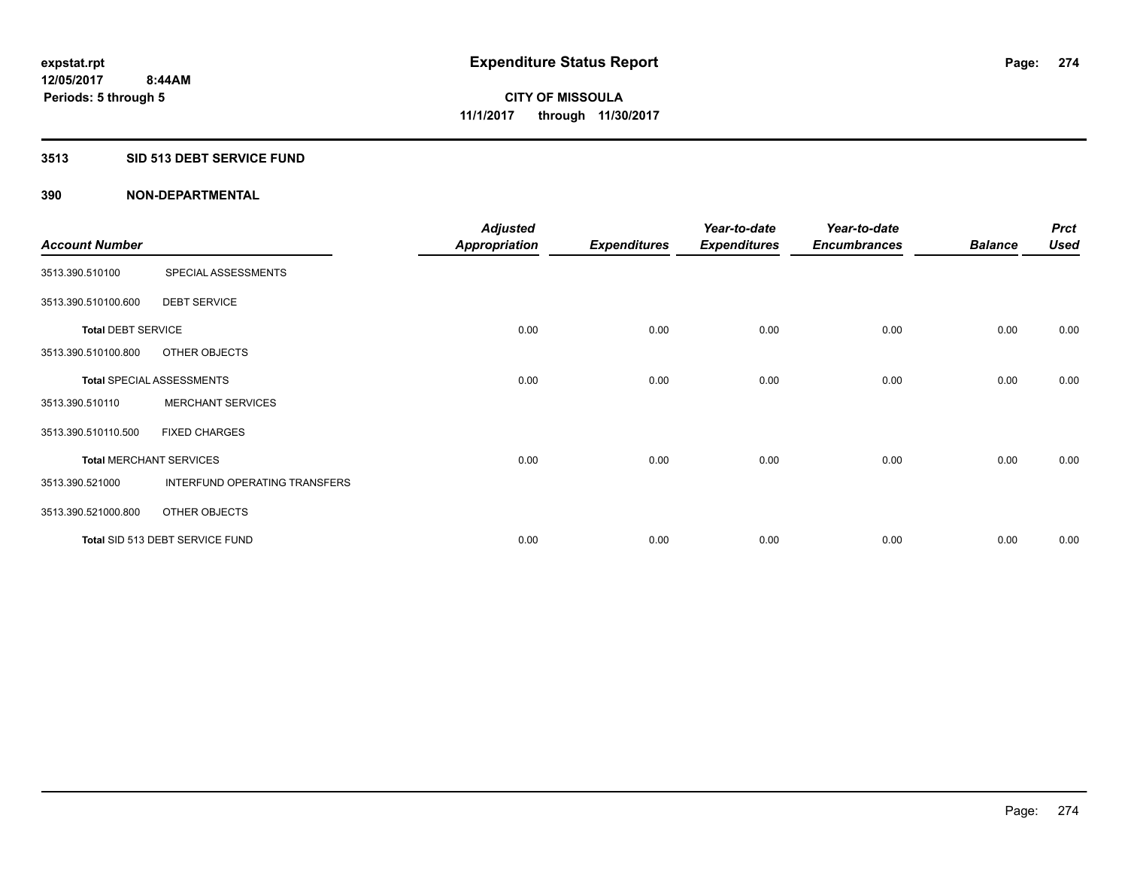### **3513 SID 513 DEBT SERVICE FUND**

|                                |                                 | <b>Adjusted</b>      |                     | Year-to-date        | Year-to-date        |                | <b>Prct</b> |
|--------------------------------|---------------------------------|----------------------|---------------------|---------------------|---------------------|----------------|-------------|
| <b>Account Number</b>          |                                 | <b>Appropriation</b> | <b>Expenditures</b> | <b>Expenditures</b> | <b>Encumbrances</b> | <b>Balance</b> | <b>Used</b> |
| 3513.390.510100                | SPECIAL ASSESSMENTS             |                      |                     |                     |                     |                |             |
| 3513.390.510100.600            | <b>DEBT SERVICE</b>             |                      |                     |                     |                     |                |             |
| <b>Total DEBT SERVICE</b>      |                                 | 0.00                 | 0.00                | 0.00                | 0.00                | 0.00           | 0.00        |
| 3513.390.510100.800            | OTHER OBJECTS                   |                      |                     |                     |                     |                |             |
|                                | Total SPECIAL ASSESSMENTS       | 0.00                 | 0.00                | 0.00                | 0.00                | 0.00           | 0.00        |
| 3513.390.510110                | <b>MERCHANT SERVICES</b>        |                      |                     |                     |                     |                |             |
| 3513.390.510110.500            | <b>FIXED CHARGES</b>            |                      |                     |                     |                     |                |             |
| <b>Total MERCHANT SERVICES</b> |                                 | 0.00                 | 0.00                | 0.00                | 0.00                | 0.00           | 0.00        |
| 3513.390.521000                | INTERFUND OPERATING TRANSFERS   |                      |                     |                     |                     |                |             |
| 3513.390.521000.800            | OTHER OBJECTS                   |                      |                     |                     |                     |                |             |
|                                | Total SID 513 DEBT SERVICE FUND | 0.00                 | 0.00                | 0.00                | 0.00                | 0.00           | 0.00        |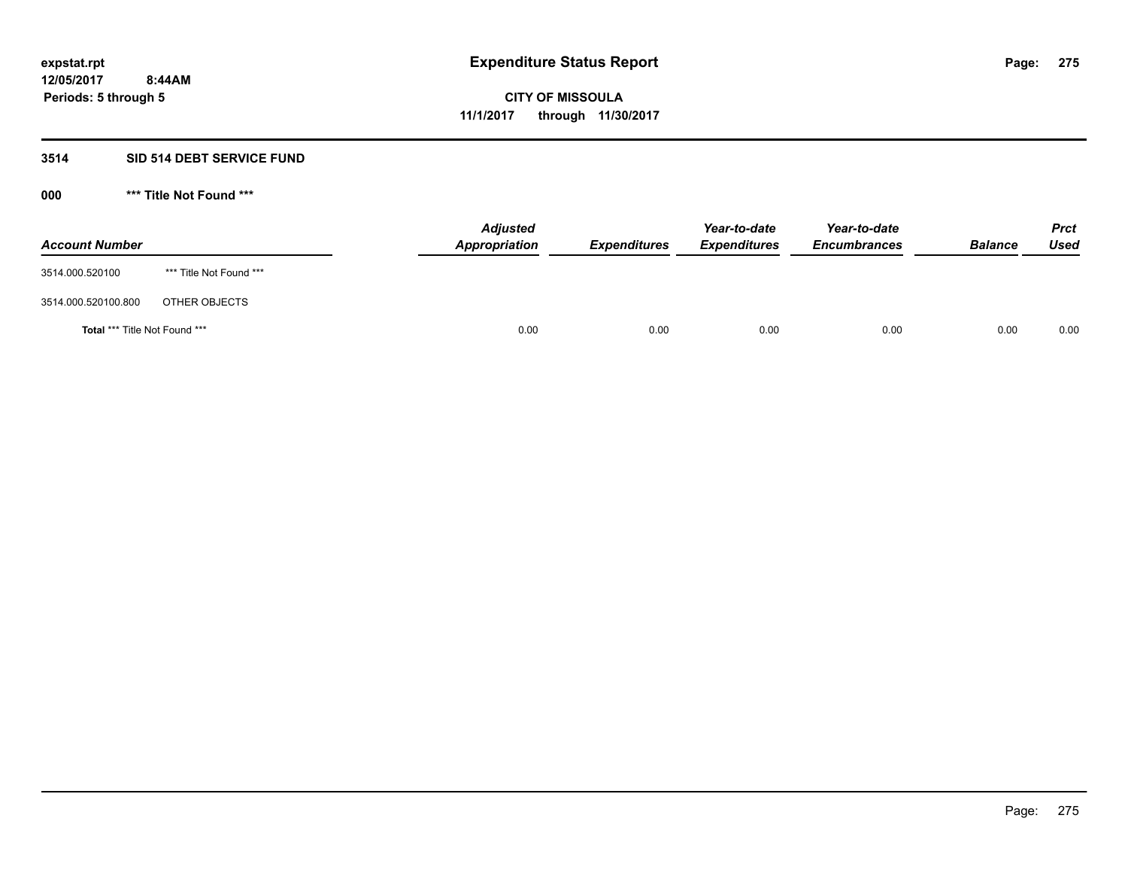#### **3514 SID 514 DEBT SERVICE FUND**

| <b>Account Number</b>                |                         | <b>Adjusted</b><br><b>Appropriation</b> | <b>Expenditures</b> | Year-to-date<br><b>Expenditures</b> | Year-to-date<br><b>Encumbrances</b> | <b>Balance</b> | <b>Prct</b><br><b>Used</b> |
|--------------------------------------|-------------------------|-----------------------------------------|---------------------|-------------------------------------|-------------------------------------|----------------|----------------------------|
| 3514.000.520100                      | *** Title Not Found *** |                                         |                     |                                     |                                     |                |                            |
| 3514.000.520100.800                  | OTHER OBJECTS           |                                         |                     |                                     |                                     |                |                            |
| <b>Total *** Title Not Found ***</b> |                         | 0.00                                    | 0.00                | 0.00                                | 0.00                                | 0.00           | 0.00                       |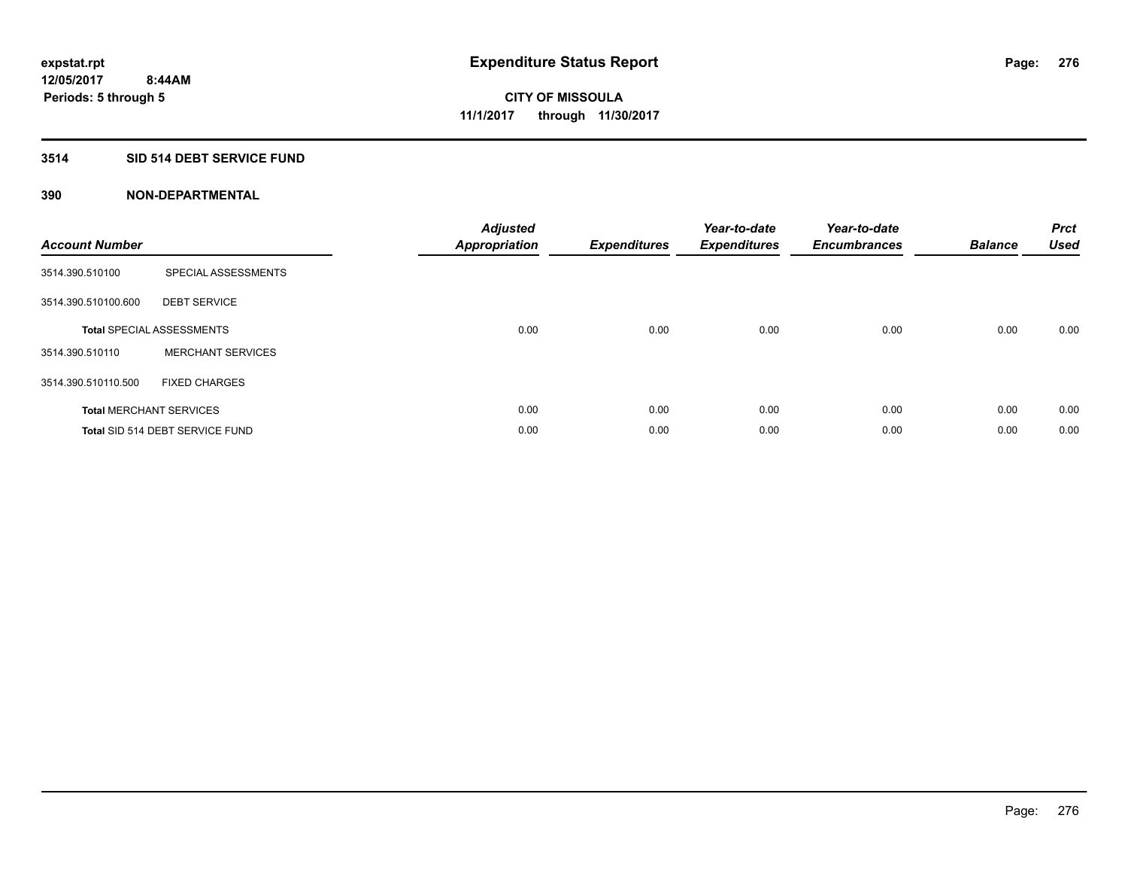### **3514 SID 514 DEBT SERVICE FUND**

| <b>Account Number</b> |                                  | <b>Adjusted</b><br>Appropriation | <b>Expenditures</b> | Year-to-date<br><b>Expenditures</b> | Year-to-date<br><b>Encumbrances</b> | <b>Balance</b> | <b>Prct</b><br><b>Used</b> |
|-----------------------|----------------------------------|----------------------------------|---------------------|-------------------------------------|-------------------------------------|----------------|----------------------------|
| 3514.390.510100       | SPECIAL ASSESSMENTS              |                                  |                     |                                     |                                     |                |                            |
| 3514.390.510100.600   | <b>DEBT SERVICE</b>              |                                  |                     |                                     |                                     |                |                            |
|                       | <b>Total SPECIAL ASSESSMENTS</b> | 0.00                             | 0.00                | 0.00                                | 0.00                                | 0.00           | 0.00                       |
| 3514.390.510110       | <b>MERCHANT SERVICES</b>         |                                  |                     |                                     |                                     |                |                            |
| 3514.390.510110.500   | <b>FIXED CHARGES</b>             |                                  |                     |                                     |                                     |                |                            |
|                       | <b>Total MERCHANT SERVICES</b>   | 0.00                             | 0.00                | 0.00                                | 0.00                                | 0.00           | 0.00                       |
|                       | Total SID 514 DEBT SERVICE FUND  | 0.00                             | 0.00                | 0.00                                | 0.00                                | 0.00           | 0.00                       |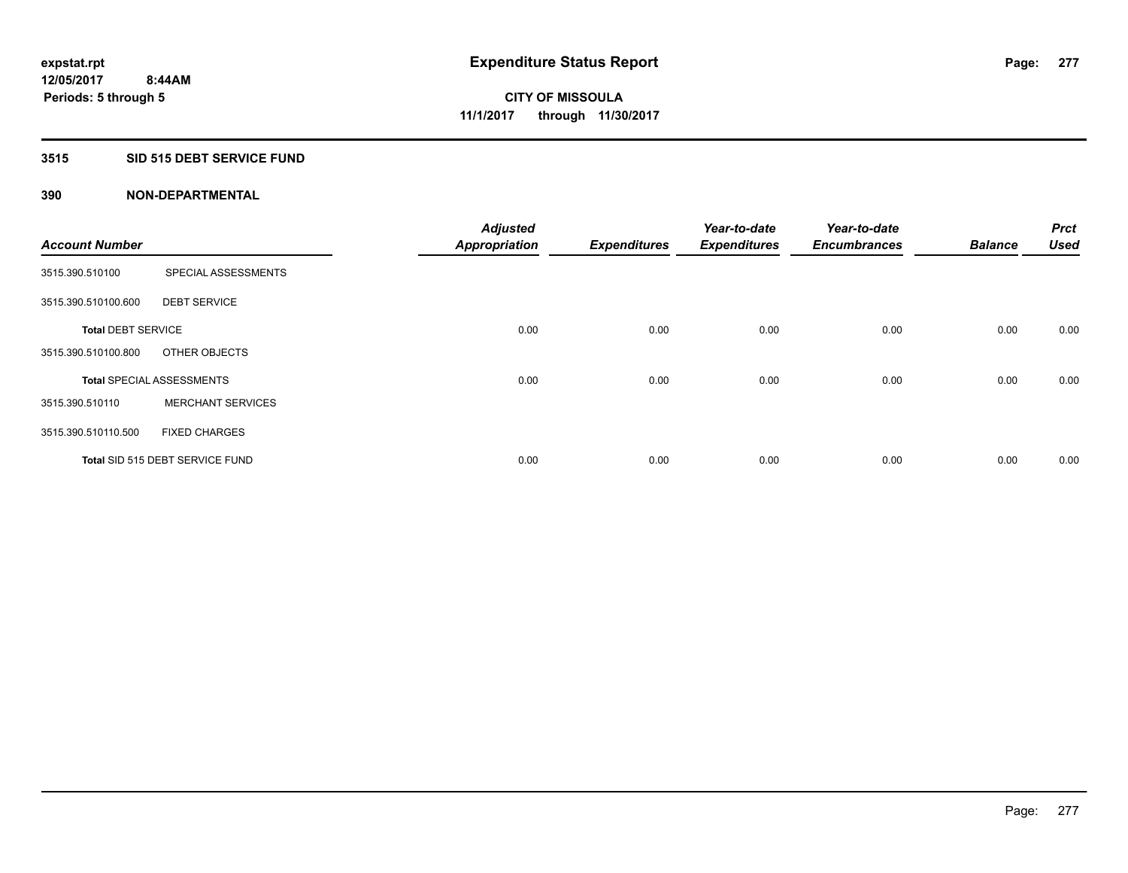### **3515 SID 515 DEBT SERVICE FUND**

|                           |                                  | <b>Adjusted</b>      |                     | Year-to-date        | Year-to-date        |                | <b>Prct</b> |
|---------------------------|----------------------------------|----------------------|---------------------|---------------------|---------------------|----------------|-------------|
| <b>Account Number</b>     |                                  | <b>Appropriation</b> | <b>Expenditures</b> | <b>Expenditures</b> | <b>Encumbrances</b> | <b>Balance</b> | <b>Used</b> |
| 3515.390.510100           | SPECIAL ASSESSMENTS              |                      |                     |                     |                     |                |             |
| 3515.390.510100.600       | <b>DEBT SERVICE</b>              |                      |                     |                     |                     |                |             |
| <b>Total DEBT SERVICE</b> |                                  | 0.00                 | 0.00                | 0.00                | 0.00                | 0.00           | 0.00        |
| 3515.390.510100.800       | OTHER OBJECTS                    |                      |                     |                     |                     |                |             |
|                           | <b>Total SPECIAL ASSESSMENTS</b> | 0.00                 | 0.00                | 0.00                | 0.00                | 0.00           | 0.00        |
| 3515.390.510110           | <b>MERCHANT SERVICES</b>         |                      |                     |                     |                     |                |             |
| 3515.390.510110.500       | <b>FIXED CHARGES</b>             |                      |                     |                     |                     |                |             |
|                           | Total SID 515 DEBT SERVICE FUND  | 0.00                 | 0.00                | 0.00                | 0.00                | 0.00           | 0.00        |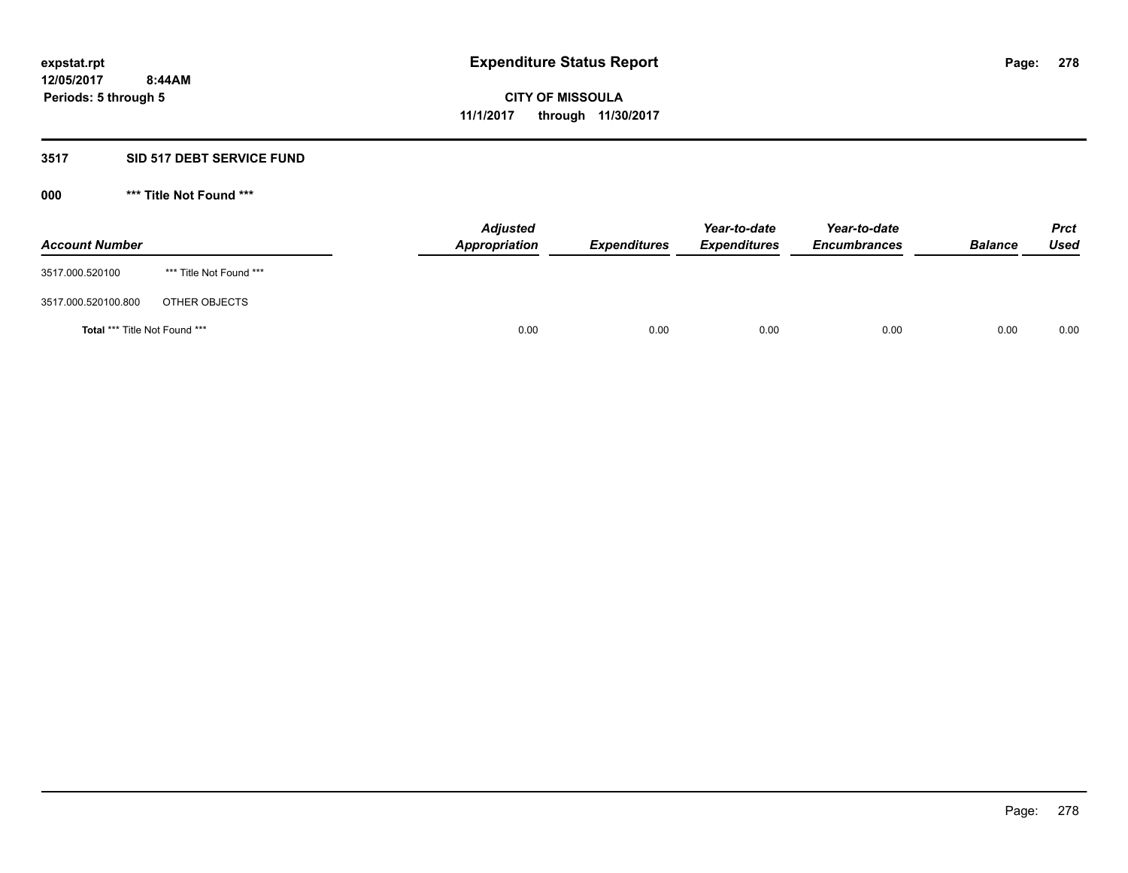#### **3517 SID 517 DEBT SERVICE FUND**

| <b>Account Number</b>                |                         | <b>Adjusted</b><br><b>Appropriation</b> | <b>Expenditures</b> | Year-to-date<br><b>Expenditures</b> | Year-to-date<br><b>Encumbrances</b> | <b>Balance</b> | <b>Prct</b><br><b>Used</b> |
|--------------------------------------|-------------------------|-----------------------------------------|---------------------|-------------------------------------|-------------------------------------|----------------|----------------------------|
| 3517.000.520100                      | *** Title Not Found *** |                                         |                     |                                     |                                     |                |                            |
| 3517.000.520100.800                  | OTHER OBJECTS           |                                         |                     |                                     |                                     |                |                            |
| <b>Total *** Title Not Found ***</b> |                         | 0.00                                    | 0.00                | 0.00                                | 0.00                                | 0.00           | 0.00                       |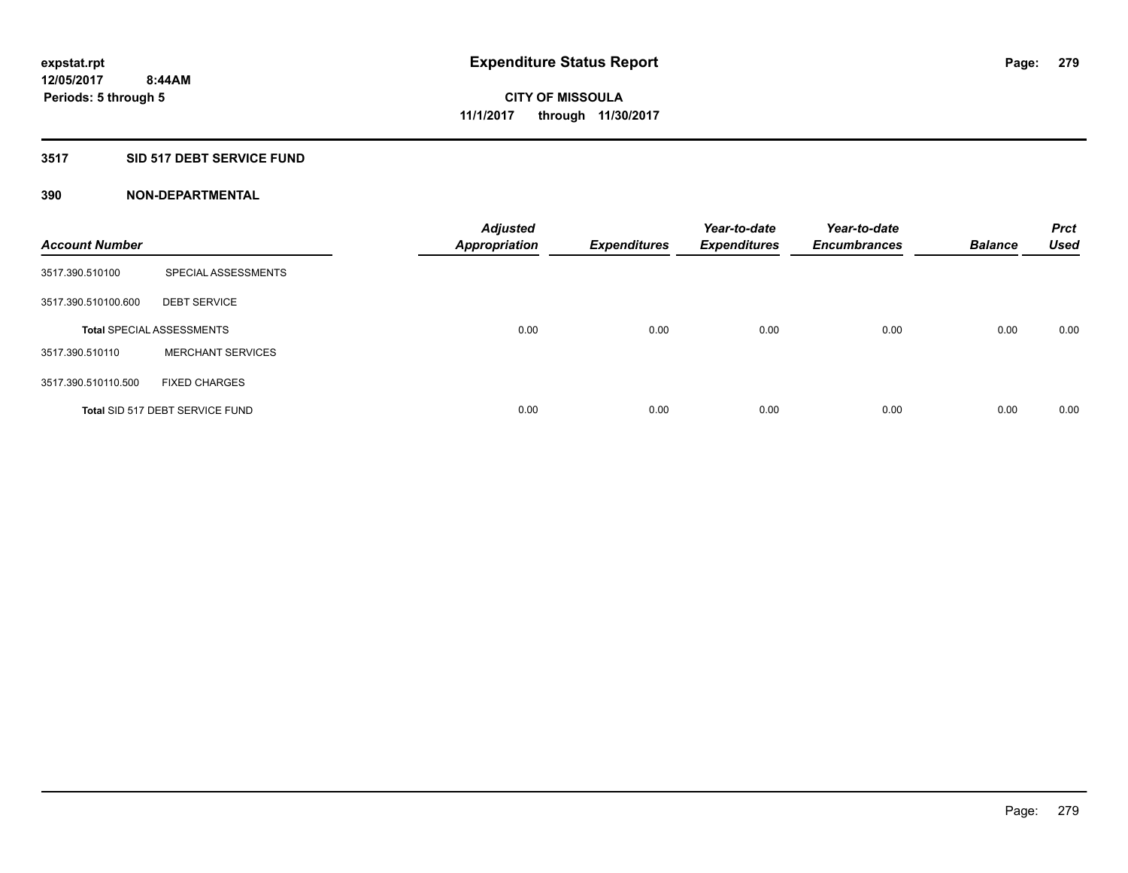### **3517 SID 517 DEBT SERVICE FUND**

| <b>Account Number</b> |                                  | <b>Adjusted</b><br><b>Appropriation</b> | <b>Expenditures</b> | Year-to-date<br><b>Expenditures</b> | Year-to-date<br><b>Encumbrances</b> | <b>Balance</b> | <b>Prct</b><br>Used |
|-----------------------|----------------------------------|-----------------------------------------|---------------------|-------------------------------------|-------------------------------------|----------------|---------------------|
| 3517.390.510100       | SPECIAL ASSESSMENTS              |                                         |                     |                                     |                                     |                |                     |
| 3517.390.510100.600   | <b>DEBT SERVICE</b>              |                                         |                     |                                     |                                     |                |                     |
|                       | <b>Total SPECIAL ASSESSMENTS</b> | 0.00                                    | 0.00                | 0.00                                | 0.00                                | 0.00           | 0.00                |
| 3517.390.510110       | <b>MERCHANT SERVICES</b>         |                                         |                     |                                     |                                     |                |                     |
| 3517.390.510110.500   | <b>FIXED CHARGES</b>             |                                         |                     |                                     |                                     |                |                     |
|                       | Total SID 517 DEBT SERVICE FUND  | 0.00                                    | 0.00                | 0.00                                | 0.00                                | 0.00           | 0.00                |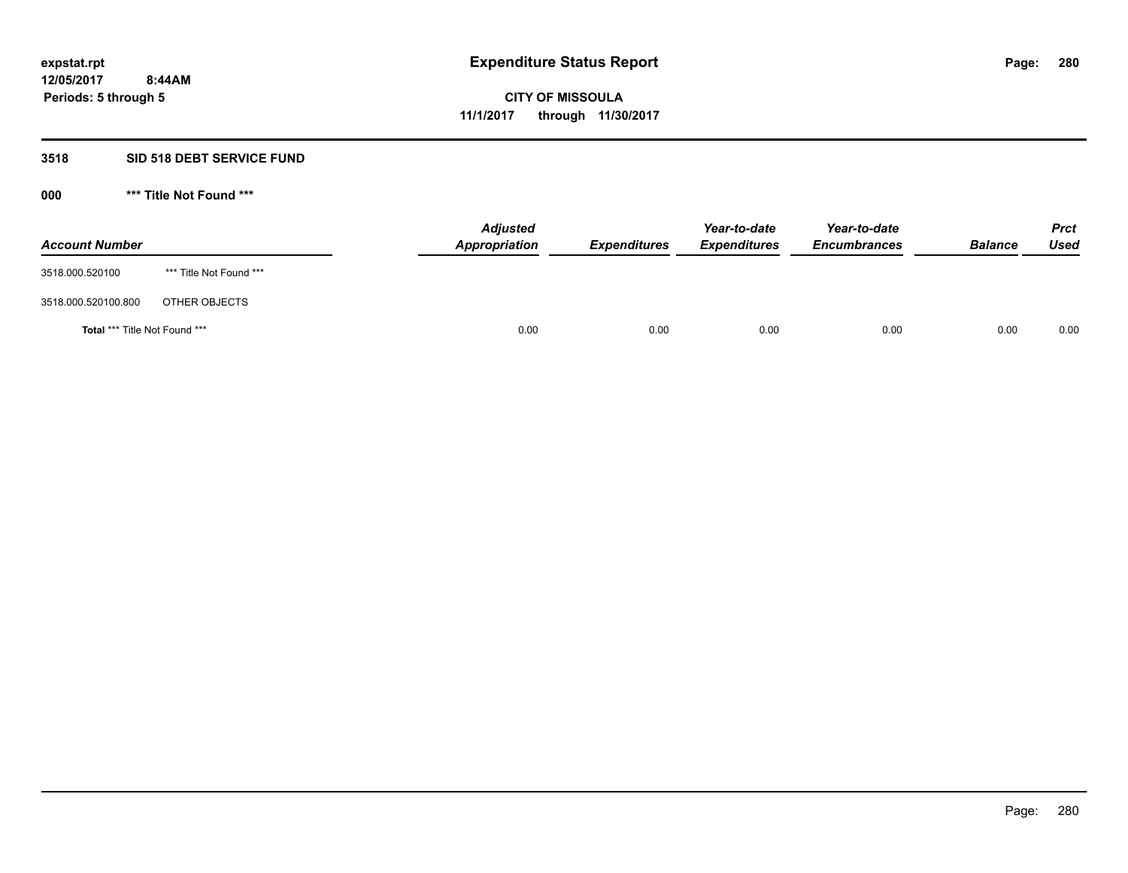#### **3518 SID 518 DEBT SERVICE FUND**

| <b>Account Number</b>                |                         | <b>Adjusted</b><br><b>Appropriation</b> | <b>Expenditures</b> | Year-to-date<br><b>Expenditures</b> | Year-to-date<br><b>Encumbrances</b> | <b>Balance</b> | <b>Prct</b><br><b>Used</b> |
|--------------------------------------|-------------------------|-----------------------------------------|---------------------|-------------------------------------|-------------------------------------|----------------|----------------------------|
| 3518.000.520100                      | *** Title Not Found *** |                                         |                     |                                     |                                     |                |                            |
| 3518.000.520100.800                  | OTHER OBJECTS           |                                         |                     |                                     |                                     |                |                            |
| <b>Total *** Title Not Found ***</b> |                         | 0.00                                    | 0.00                | 0.00                                | 0.00                                | 0.00           | 0.00                       |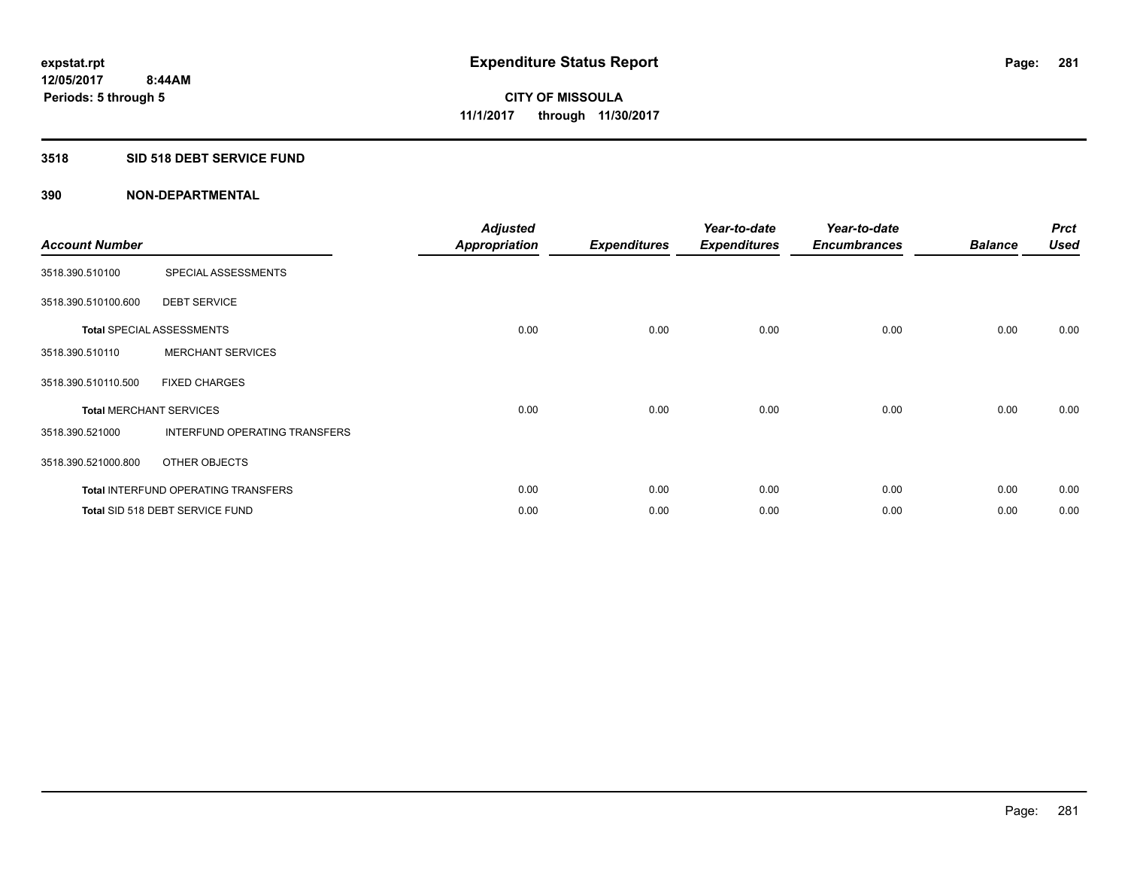### **3518 SID 518 DEBT SERVICE FUND**

| <b>Account Number</b> |                                            | <b>Adjusted</b><br><b>Appropriation</b> | <b>Expenditures</b> | Year-to-date<br><b>Expenditures</b> | Year-to-date<br><b>Encumbrances</b> | <b>Balance</b> | <b>Prct</b><br><b>Used</b> |
|-----------------------|--------------------------------------------|-----------------------------------------|---------------------|-------------------------------------|-------------------------------------|----------------|----------------------------|
| 3518.390.510100       | SPECIAL ASSESSMENTS                        |                                         |                     |                                     |                                     |                |                            |
| 3518.390.510100.600   | <b>DEBT SERVICE</b>                        |                                         |                     |                                     |                                     |                |                            |
|                       | <b>Total SPECIAL ASSESSMENTS</b>           | 0.00                                    | 0.00                | 0.00                                | 0.00                                | 0.00           | 0.00                       |
| 3518.390.510110       | <b>MERCHANT SERVICES</b>                   |                                         |                     |                                     |                                     |                |                            |
| 3518.390.510110.500   | <b>FIXED CHARGES</b>                       |                                         |                     |                                     |                                     |                |                            |
|                       | <b>Total MERCHANT SERVICES</b>             | 0.00                                    | 0.00                | 0.00                                | 0.00                                | 0.00           | 0.00                       |
| 3518.390.521000       | <b>INTERFUND OPERATING TRANSFERS</b>       |                                         |                     |                                     |                                     |                |                            |
| 3518.390.521000.800   | OTHER OBJECTS                              |                                         |                     |                                     |                                     |                |                            |
|                       | <b>Total INTERFUND OPERATING TRANSFERS</b> | 0.00                                    | 0.00                | 0.00                                | 0.00                                | 0.00           | 0.00                       |
|                       | Total SID 518 DEBT SERVICE FUND            | 0.00                                    | 0.00                | 0.00                                | 0.00                                | 0.00           | 0.00                       |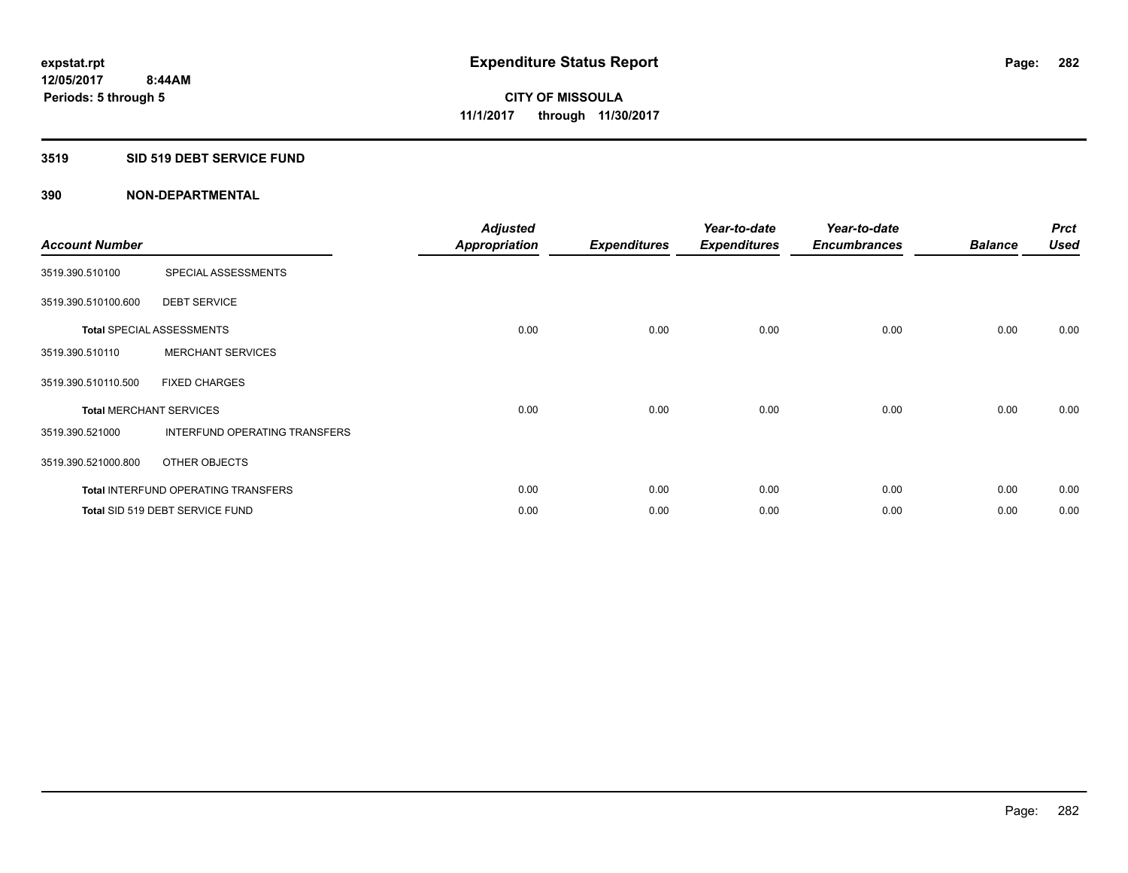### **3519 SID 519 DEBT SERVICE FUND**

| <b>Account Number</b>          |                                            | <b>Adjusted</b><br><b>Appropriation</b> | <b>Expenditures</b> | Year-to-date<br><b>Expenditures</b> | Year-to-date<br><b>Encumbrances</b> | <b>Balance</b> | <b>Prct</b><br><b>Used</b> |
|--------------------------------|--------------------------------------------|-----------------------------------------|---------------------|-------------------------------------|-------------------------------------|----------------|----------------------------|
| 3519.390.510100                | SPECIAL ASSESSMENTS                        |                                         |                     |                                     |                                     |                |                            |
| 3519.390.510100.600            | <b>DEBT SERVICE</b>                        |                                         |                     |                                     |                                     |                |                            |
|                                | <b>Total SPECIAL ASSESSMENTS</b>           | 0.00                                    | 0.00                | 0.00                                | 0.00                                | 0.00           | 0.00                       |
| 3519.390.510110                | <b>MERCHANT SERVICES</b>                   |                                         |                     |                                     |                                     |                |                            |
| 3519.390.510110.500            | <b>FIXED CHARGES</b>                       |                                         |                     |                                     |                                     |                |                            |
| <b>Total MERCHANT SERVICES</b> |                                            | 0.00                                    | 0.00                | 0.00                                | 0.00                                | 0.00           | 0.00                       |
| 3519.390.521000                | INTERFUND OPERATING TRANSFERS              |                                         |                     |                                     |                                     |                |                            |
| 3519.390.521000.800            | OTHER OBJECTS                              |                                         |                     |                                     |                                     |                |                            |
|                                | <b>Total INTERFUND OPERATING TRANSFERS</b> | 0.00                                    | 0.00                | 0.00                                | 0.00                                | 0.00           | 0.00                       |
|                                | Total SID 519 DEBT SERVICE FUND            | 0.00                                    | 0.00                | 0.00                                | 0.00                                | 0.00           | 0.00                       |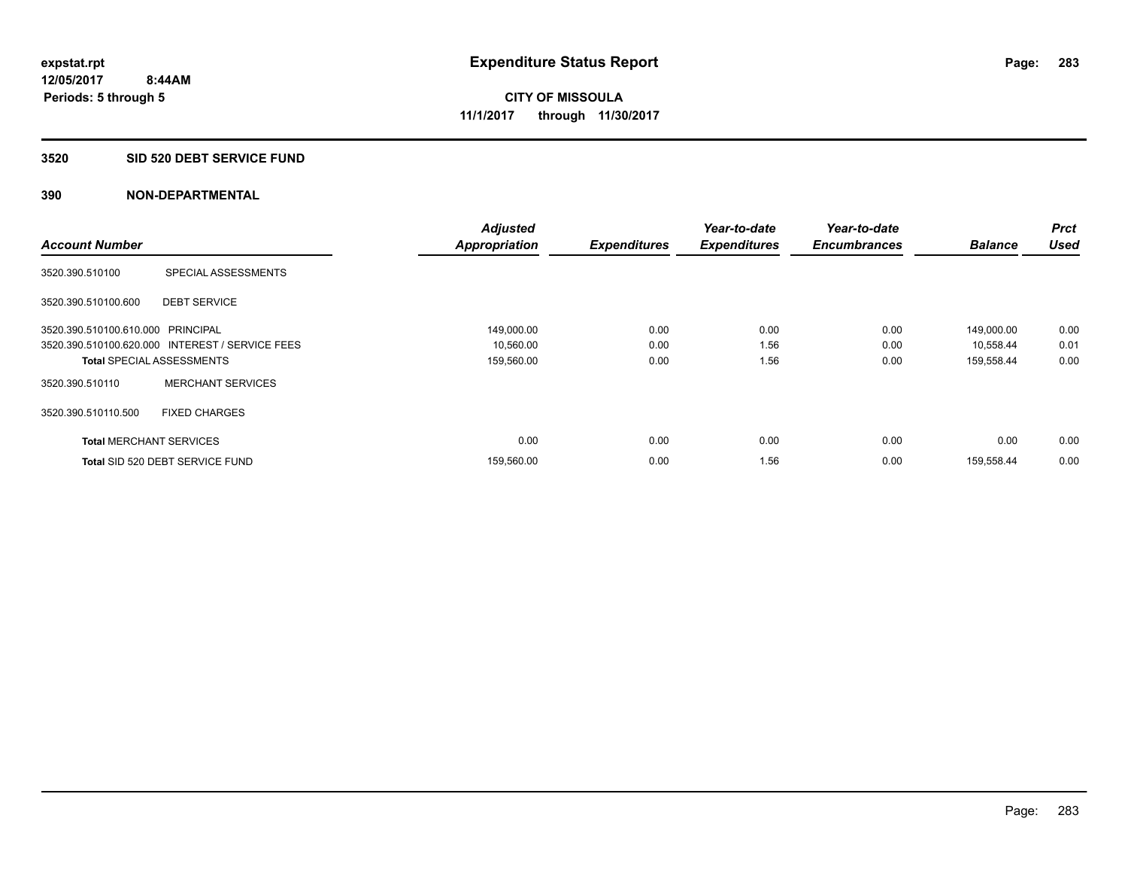### **3520 SID 520 DEBT SERVICE FUND**

|                                   |                                                 | <b>Adjusted</b>      |                     | Year-to-date        | Year-to-date        |                | <b>Prct</b> |
|-----------------------------------|-------------------------------------------------|----------------------|---------------------|---------------------|---------------------|----------------|-------------|
| <b>Account Number</b>             |                                                 | <b>Appropriation</b> | <b>Expenditures</b> | <b>Expenditures</b> | <b>Encumbrances</b> | <b>Balance</b> | <b>Used</b> |
| 3520.390.510100                   | SPECIAL ASSESSMENTS                             |                      |                     |                     |                     |                |             |
| 3520.390.510100.600               | <b>DEBT SERVICE</b>                             |                      |                     |                     |                     |                |             |
| 3520.390.510100.610.000 PRINCIPAL |                                                 | 149,000.00           | 0.00                | 0.00                | 0.00                | 149,000.00     | 0.00        |
|                                   | 3520.390.510100.620.000 INTEREST / SERVICE FEES | 10,560.00            | 0.00                | 1.56                | 0.00                | 10,558.44      | 0.01        |
| <b>Total SPECIAL ASSESSMENTS</b>  |                                                 | 159,560.00           | 0.00                | 1.56                | 0.00                | 159,558.44     | 0.00        |
| 3520.390.510110                   | <b>MERCHANT SERVICES</b>                        |                      |                     |                     |                     |                |             |
| 3520.390.510110.500               | <b>FIXED CHARGES</b>                            |                      |                     |                     |                     |                |             |
| <b>Total MERCHANT SERVICES</b>    |                                                 | 0.00                 | 0.00                | 0.00                | 0.00                | 0.00           | 0.00        |
|                                   | Total SID 520 DEBT SERVICE FUND                 | 159,560.00           | 0.00                | 1.56                | 0.00                | 159,558.44     | 0.00        |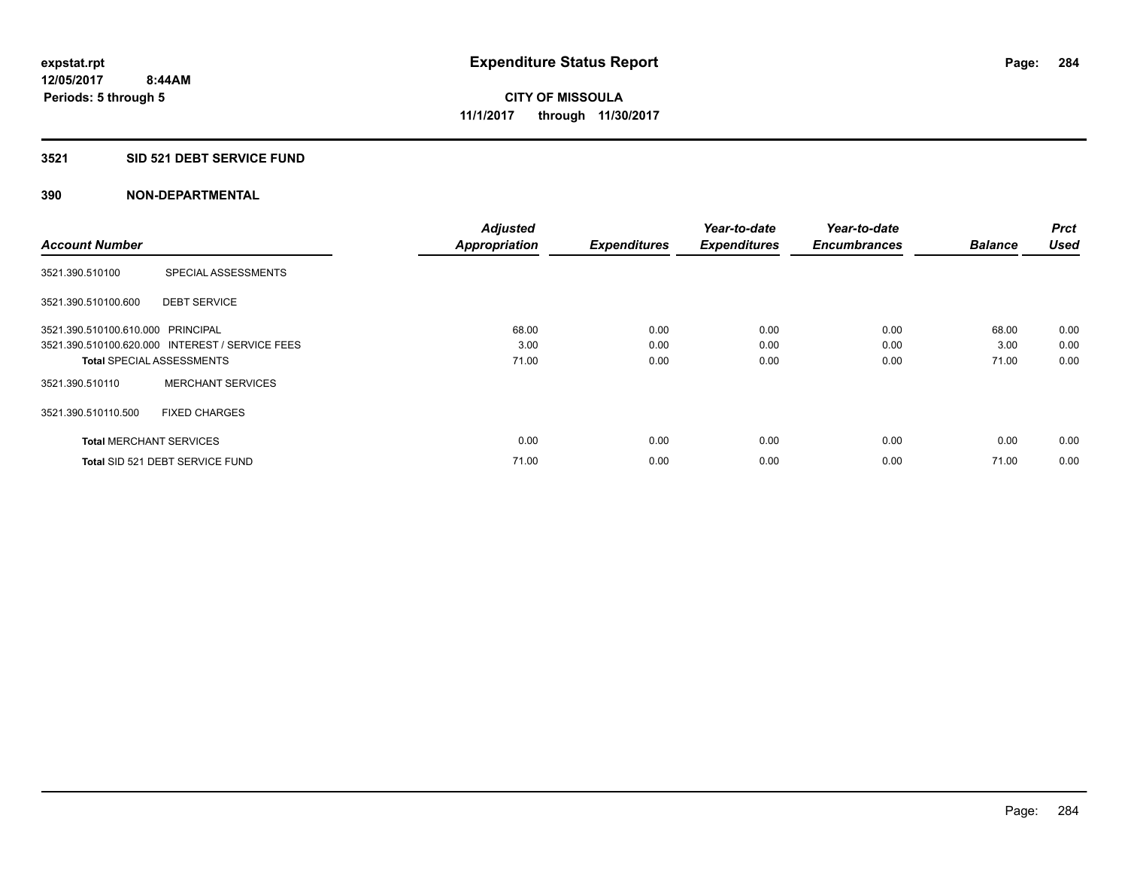### **3521 SID 521 DEBT SERVICE FUND**

| <b>Account Number</b>             |                                                 | <b>Adjusted</b><br><b>Appropriation</b> | <b>Expenditures</b> | Year-to-date<br><b>Expenditures</b> | Year-to-date<br><b>Encumbrances</b> | <b>Balance</b> | <b>Prct</b><br><b>Used</b> |
|-----------------------------------|-------------------------------------------------|-----------------------------------------|---------------------|-------------------------------------|-------------------------------------|----------------|----------------------------|
|                                   |                                                 |                                         |                     |                                     |                                     |                |                            |
| 3521.390.510100                   | SPECIAL ASSESSMENTS                             |                                         |                     |                                     |                                     |                |                            |
| 3521.390.510100.600               | <b>DEBT SERVICE</b>                             |                                         |                     |                                     |                                     |                |                            |
| 3521.390.510100.610.000 PRINCIPAL |                                                 | 68.00                                   | 0.00                | 0.00                                | 0.00                                | 68.00          | 0.00                       |
|                                   | 3521.390.510100.620.000 INTEREST / SERVICE FEES | 3.00                                    | 0.00                | 0.00                                | 0.00                                | 3.00           | 0.00                       |
| <b>Total SPECIAL ASSESSMENTS</b>  |                                                 | 71.00                                   | 0.00                | 0.00                                | 0.00                                | 71.00          | 0.00                       |
| 3521.390.510110                   | <b>MERCHANT SERVICES</b>                        |                                         |                     |                                     |                                     |                |                            |
| 3521.390.510110.500               | <b>FIXED CHARGES</b>                            |                                         |                     |                                     |                                     |                |                            |
| <b>Total MERCHANT SERVICES</b>    |                                                 | 0.00                                    | 0.00                | 0.00                                | 0.00                                | 0.00           | 0.00                       |
|                                   | Total SID 521 DEBT SERVICE FUND                 | 71.00                                   | 0.00                | 0.00                                | 0.00                                | 71.00          | 0.00                       |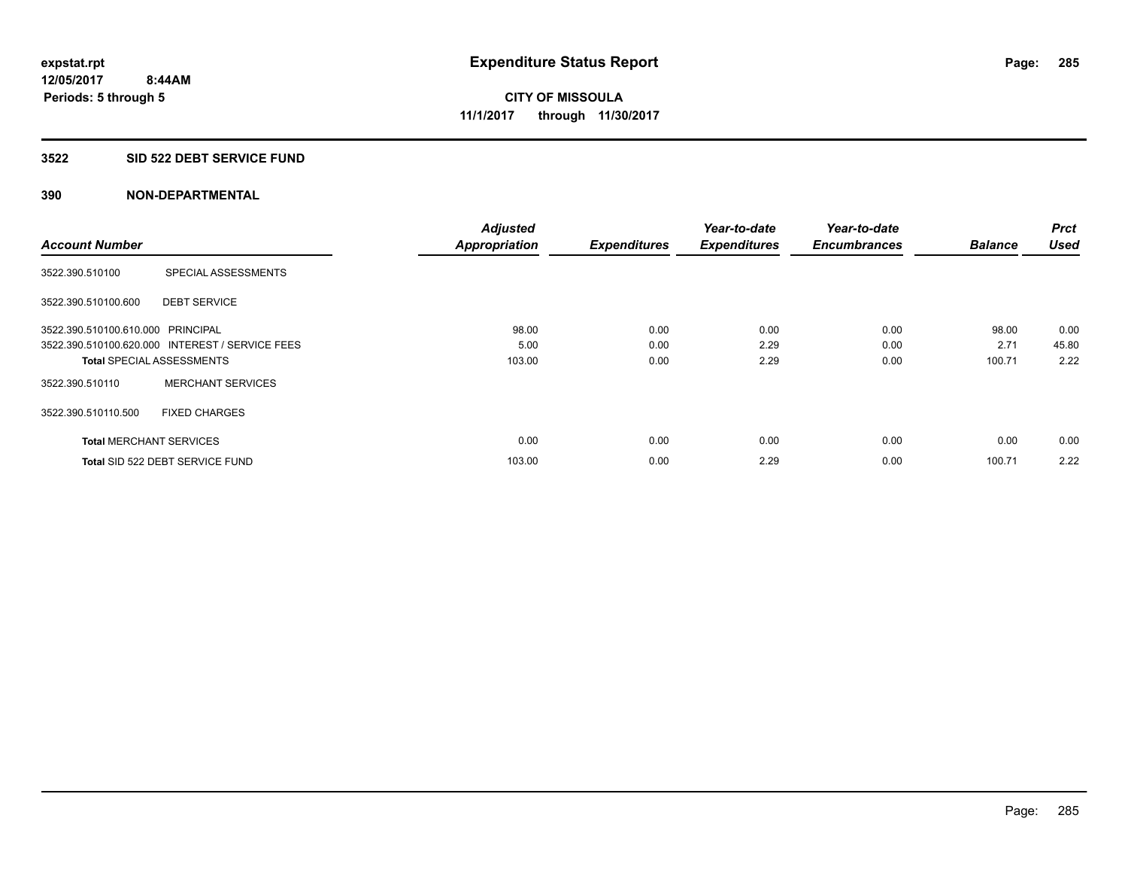### **3522 SID 522 DEBT SERVICE FUND**

| <b>Account Number</b>             |                                                 | <b>Adjusted</b>      |                     | Year-to-date        | Year-to-date<br><b>Encumbrances</b> | <b>Balance</b> | <b>Prct</b><br><b>Used</b> |
|-----------------------------------|-------------------------------------------------|----------------------|---------------------|---------------------|-------------------------------------|----------------|----------------------------|
|                                   |                                                 | <b>Appropriation</b> | <b>Expenditures</b> | <b>Expenditures</b> |                                     |                |                            |
| 3522.390.510100                   | SPECIAL ASSESSMENTS                             |                      |                     |                     |                                     |                |                            |
| 3522.390.510100.600               | <b>DEBT SERVICE</b>                             |                      |                     |                     |                                     |                |                            |
| 3522.390.510100.610.000 PRINCIPAL |                                                 | 98.00                | 0.00                | 0.00                | 0.00                                | 98.00          | 0.00                       |
|                                   | 3522.390.510100.620.000 INTEREST / SERVICE FEES | 5.00                 | 0.00                | 2.29                | 0.00                                | 2.71           | 45.80                      |
| <b>Total SPECIAL ASSESSMENTS</b>  |                                                 | 103.00               | 0.00                | 2.29                | 0.00                                | 100.71         | 2.22                       |
| 3522.390.510110                   | <b>MERCHANT SERVICES</b>                        |                      |                     |                     |                                     |                |                            |
| 3522.390.510110.500               | <b>FIXED CHARGES</b>                            |                      |                     |                     |                                     |                |                            |
| <b>Total MERCHANT SERVICES</b>    |                                                 | 0.00                 | 0.00                | 0.00                | 0.00                                | 0.00           | 0.00                       |
|                                   | Total SID 522 DEBT SERVICE FUND                 | 103.00               | 0.00                | 2.29                | 0.00                                | 100.71         | 2.22                       |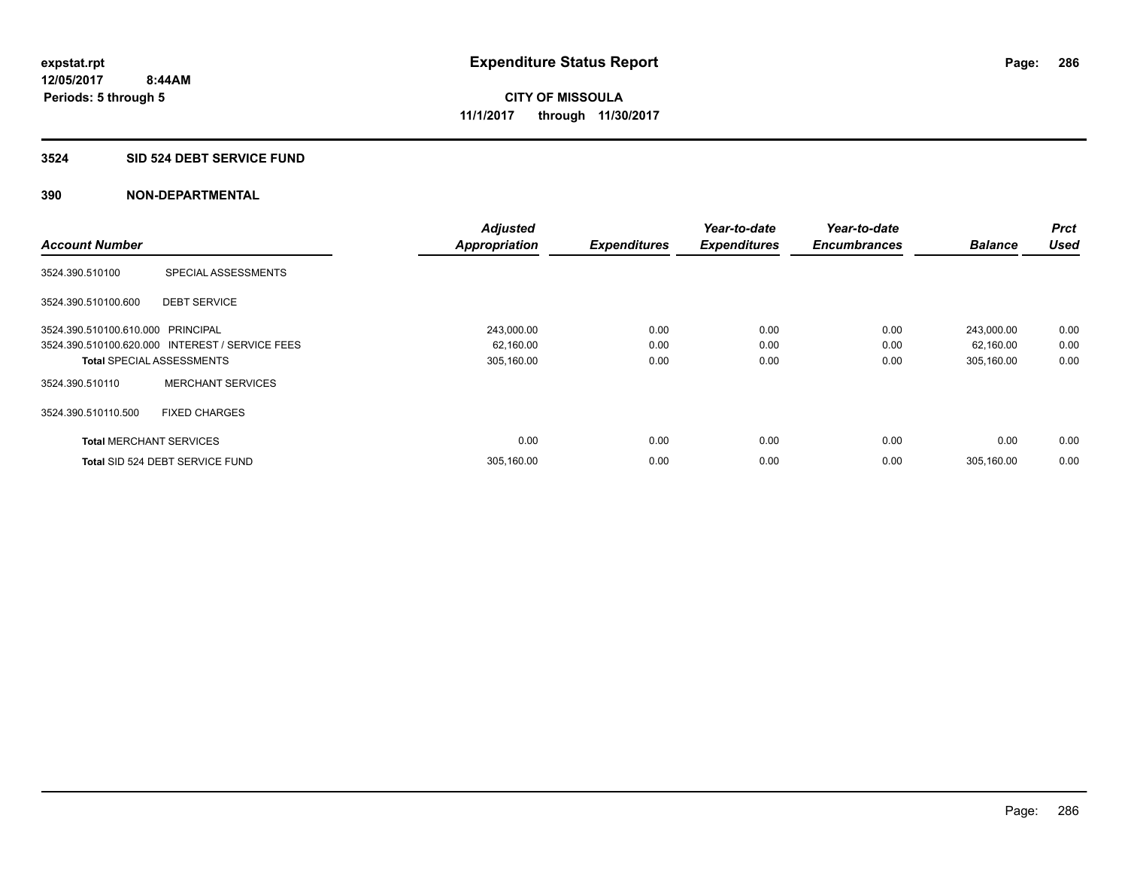### **3524 SID 524 DEBT SERVICE FUND**

|                                   |                                                 | <b>Adjusted</b>      |                     | Year-to-date        | Year-to-date        |                | <b>Prct</b> |
|-----------------------------------|-------------------------------------------------|----------------------|---------------------|---------------------|---------------------|----------------|-------------|
| <b>Account Number</b>             |                                                 | <b>Appropriation</b> | <b>Expenditures</b> | <b>Expenditures</b> | <b>Encumbrances</b> | <b>Balance</b> | <b>Used</b> |
| 3524.390.510100                   | SPECIAL ASSESSMENTS                             |                      |                     |                     |                     |                |             |
| 3524.390.510100.600               | <b>DEBT SERVICE</b>                             |                      |                     |                     |                     |                |             |
| 3524.390.510100.610.000 PRINCIPAL |                                                 | 243,000.00           | 0.00                | 0.00                | 0.00                | 243,000.00     | 0.00        |
|                                   | 3524.390.510100.620.000 INTEREST / SERVICE FEES | 62,160.00            | 0.00                | 0.00                | 0.00                | 62,160.00      | 0.00        |
| <b>Total SPECIAL ASSESSMENTS</b>  |                                                 | 305,160.00           | 0.00                | 0.00                | 0.00                | 305,160.00     | 0.00        |
| 3524.390.510110                   | <b>MERCHANT SERVICES</b>                        |                      |                     |                     |                     |                |             |
| 3524.390.510110.500               | <b>FIXED CHARGES</b>                            |                      |                     |                     |                     |                |             |
| <b>Total MERCHANT SERVICES</b>    |                                                 | 0.00                 | 0.00                | 0.00                | 0.00                | 0.00           | 0.00        |
|                                   | Total SID 524 DEBT SERVICE FUND                 | 305,160.00           | 0.00                | 0.00                | 0.00                | 305.160.00     | 0.00        |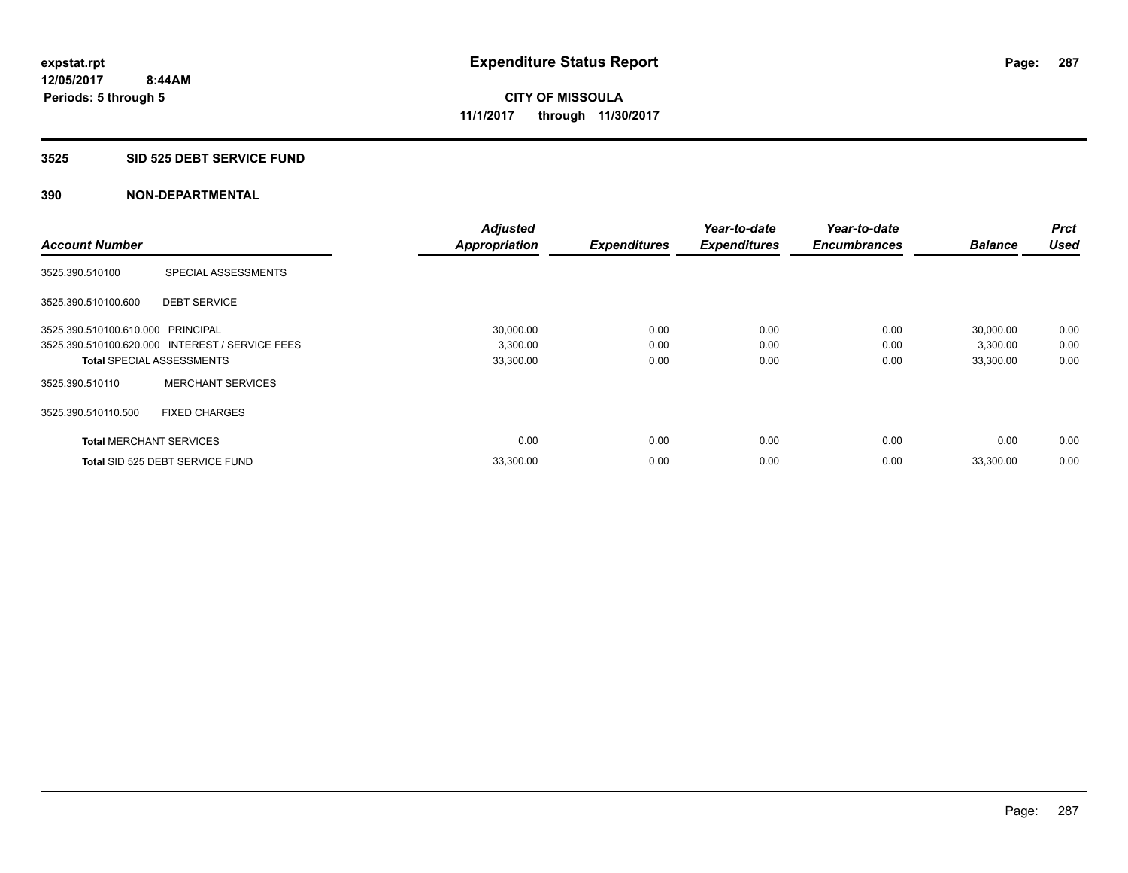#### **3525 SID 525 DEBT SERVICE FUND**

| <b>Account Number</b>             |                                                 | <b>Adjusted</b>      | <b>Expenditures</b> | Year-to-date<br><b>Expenditures</b> | Year-to-date<br><b>Encumbrances</b> | <b>Balance</b> | <b>Prct</b><br><b>Used</b> |
|-----------------------------------|-------------------------------------------------|----------------------|---------------------|-------------------------------------|-------------------------------------|----------------|----------------------------|
|                                   |                                                 | <b>Appropriation</b> |                     |                                     |                                     |                |                            |
| 3525.390.510100                   | SPECIAL ASSESSMENTS                             |                      |                     |                                     |                                     |                |                            |
| 3525.390.510100.600               | <b>DEBT SERVICE</b>                             |                      |                     |                                     |                                     |                |                            |
| 3525.390.510100.610.000 PRINCIPAL |                                                 | 30,000.00            | 0.00                | 0.00                                | 0.00                                | 30,000.00      | 0.00                       |
|                                   | 3525.390.510100.620.000 INTEREST / SERVICE FEES | 3,300.00             | 0.00                | 0.00                                | 0.00                                | 3,300.00       | 0.00                       |
| <b>Total SPECIAL ASSESSMENTS</b>  |                                                 | 33,300.00            | 0.00                | 0.00                                | 0.00                                | 33,300.00      | 0.00                       |
| 3525.390.510110                   | <b>MERCHANT SERVICES</b>                        |                      |                     |                                     |                                     |                |                            |
| 3525.390.510110.500               | <b>FIXED CHARGES</b>                            |                      |                     |                                     |                                     |                |                            |
| <b>Total MERCHANT SERVICES</b>    |                                                 | 0.00                 | 0.00                | 0.00                                | 0.00                                | 0.00           | 0.00                       |
|                                   | Total SID 525 DEBT SERVICE FUND                 | 33,300.00            | 0.00                | 0.00                                | 0.00                                | 33,300.00      | 0.00                       |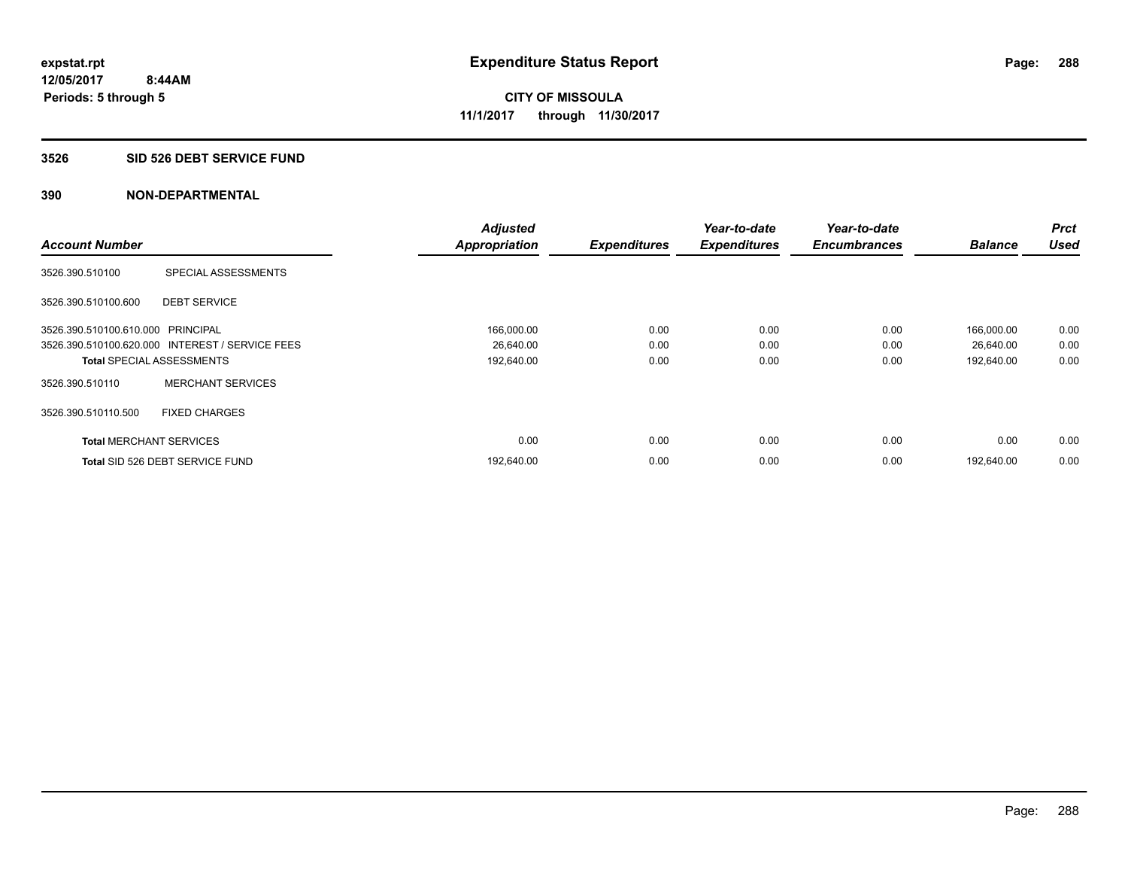#### **3526 SID 526 DEBT SERVICE FUND**

|                                   |                                                 | <b>Adjusted</b>      |                     | Year-to-date        | Year-to-date        |                | <b>Prct</b> |
|-----------------------------------|-------------------------------------------------|----------------------|---------------------|---------------------|---------------------|----------------|-------------|
| <b>Account Number</b>             |                                                 | <b>Appropriation</b> | <b>Expenditures</b> | <b>Expenditures</b> | <b>Encumbrances</b> | <b>Balance</b> | <b>Used</b> |
| 3526.390.510100                   | SPECIAL ASSESSMENTS                             |                      |                     |                     |                     |                |             |
| 3526.390.510100.600               | <b>DEBT SERVICE</b>                             |                      |                     |                     |                     |                |             |
| 3526.390.510100.610.000 PRINCIPAL |                                                 | 166,000.00           | 0.00                | 0.00                | 0.00                | 166,000.00     | 0.00        |
|                                   | 3526.390.510100.620.000 INTEREST / SERVICE FEES | 26,640.00            | 0.00                | 0.00                | 0.00                | 26,640.00      | 0.00        |
| <b>Total SPECIAL ASSESSMENTS</b>  |                                                 | 192,640.00           | 0.00                | 0.00                | 0.00                | 192,640.00     | 0.00        |
| 3526.390.510110                   | <b>MERCHANT SERVICES</b>                        |                      |                     |                     |                     |                |             |
| 3526.390.510110.500               | <b>FIXED CHARGES</b>                            |                      |                     |                     |                     |                |             |
| <b>Total MERCHANT SERVICES</b>    |                                                 | 0.00                 | 0.00                | 0.00                | 0.00                | 0.00           | 0.00        |
|                                   | Total SID 526 DEBT SERVICE FUND                 | 192,640.00           | 0.00                | 0.00                | 0.00                | 192.640.00     | 0.00        |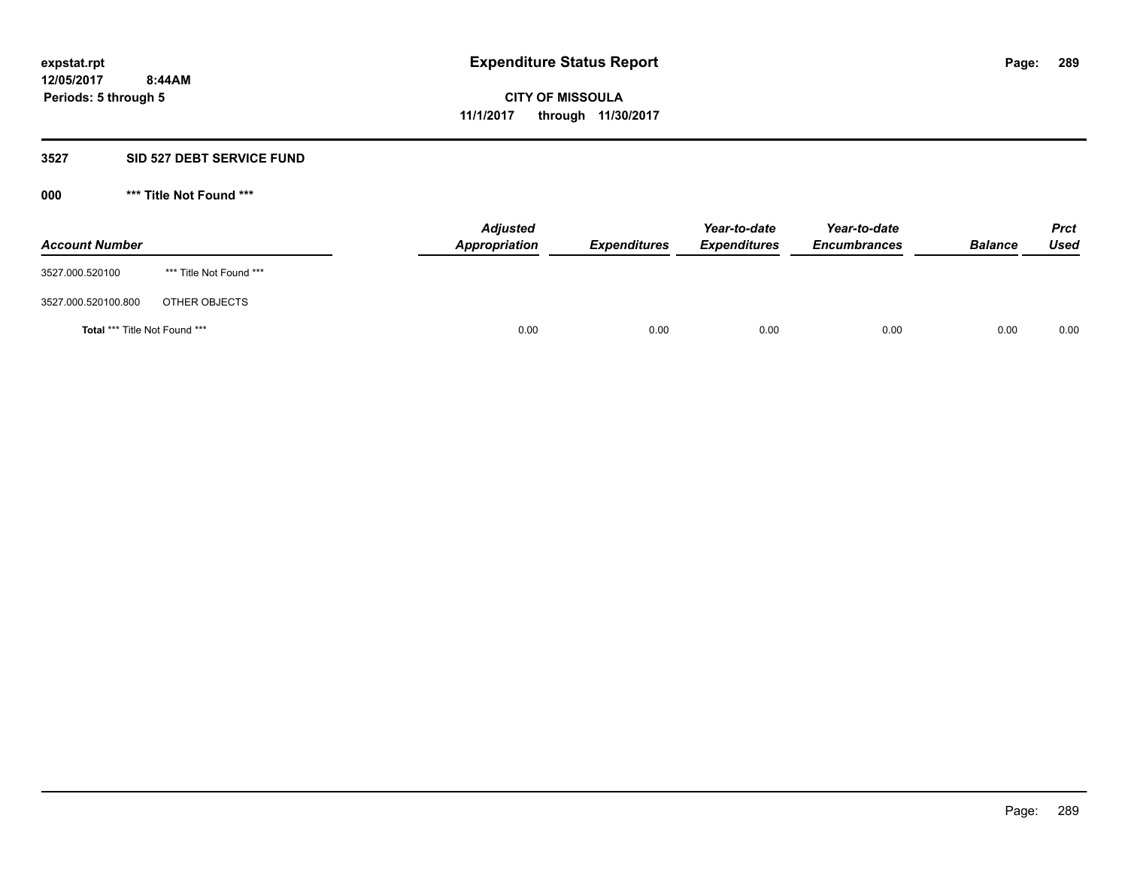### **3527 SID 527 DEBT SERVICE FUND**

**000 \*\*\* Title Not Found \*\*\***

| <b>Account Number</b>                |                         | <b>Adjusted</b><br>Appropriation | <b>Expenditures</b> | Year-to-date<br><b>Expenditures</b> | Year-to-date<br><b>Encumbrances</b> | <b>Balance</b> | <b>Prct</b><br>Used |
|--------------------------------------|-------------------------|----------------------------------|---------------------|-------------------------------------|-------------------------------------|----------------|---------------------|
| 3527.000.520100                      | *** Title Not Found *** |                                  |                     |                                     |                                     |                |                     |
| 3527.000.520100.800                  | OTHER OBJECTS           |                                  |                     |                                     |                                     |                |                     |
| <b>Total *** Title Not Found ***</b> |                         |                                  | 0.00<br>0.00        | 0.00                                | 0.00                                | 0.00           | 0.00                |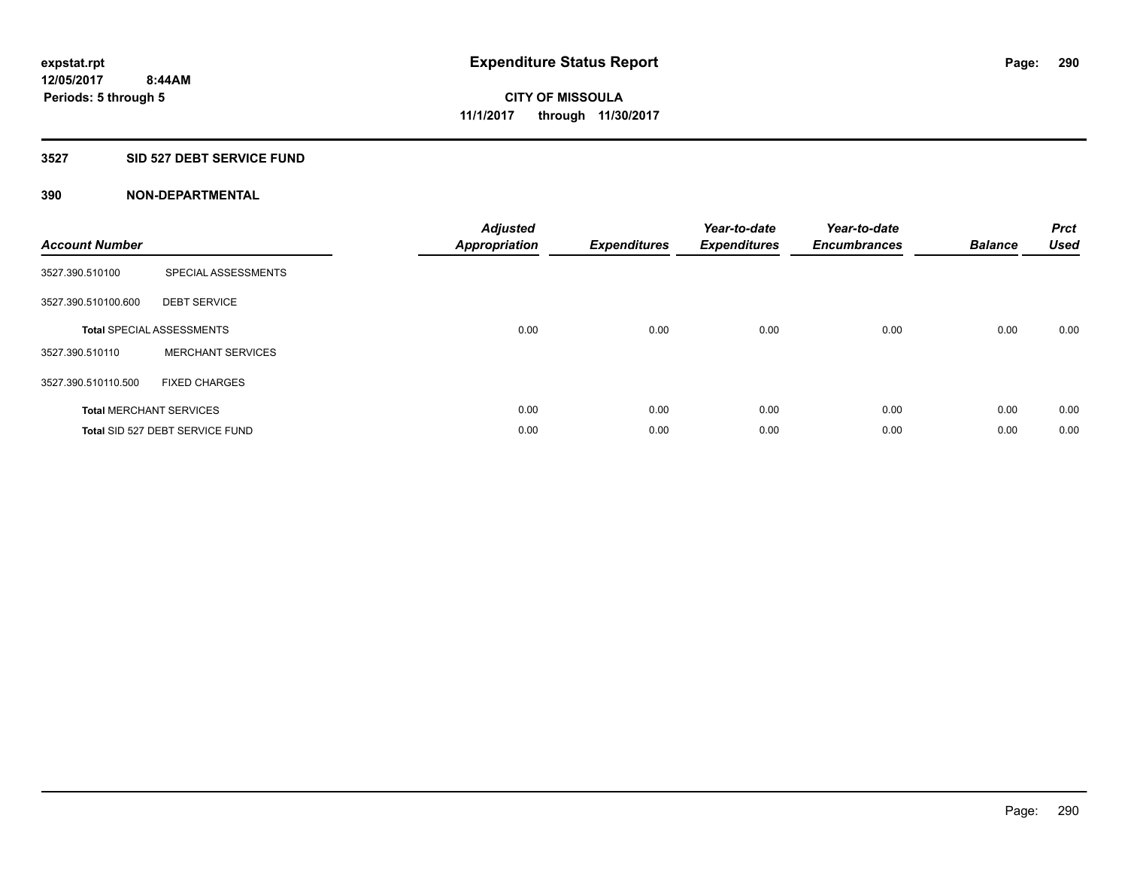## **3527 SID 527 DEBT SERVICE FUND**

| <b>Account Number</b> |                                  | <b>Adjusted</b><br>Appropriation | <b>Expenditures</b> | Year-to-date<br><b>Expenditures</b> | Year-to-date<br><b>Encumbrances</b> | <b>Balance</b> | <b>Prct</b><br><b>Used</b> |
|-----------------------|----------------------------------|----------------------------------|---------------------|-------------------------------------|-------------------------------------|----------------|----------------------------|
| 3527.390.510100       | SPECIAL ASSESSMENTS              |                                  |                     |                                     |                                     |                |                            |
| 3527.390.510100.600   | <b>DEBT SERVICE</b>              |                                  |                     |                                     |                                     |                |                            |
|                       | <b>Total SPECIAL ASSESSMENTS</b> | 0.00                             | 0.00                | 0.00                                | 0.00                                | 0.00           | 0.00                       |
| 3527.390.510110       | <b>MERCHANT SERVICES</b>         |                                  |                     |                                     |                                     |                |                            |
| 3527.390.510110.500   | <b>FIXED CHARGES</b>             |                                  |                     |                                     |                                     |                |                            |
|                       | <b>Total MERCHANT SERVICES</b>   | 0.00                             | 0.00                | 0.00                                | 0.00                                | 0.00           | 0.00                       |
|                       | Total SID 527 DEBT SERVICE FUND  | 0.00                             | 0.00                | 0.00                                | 0.00                                | 0.00           | 0.00                       |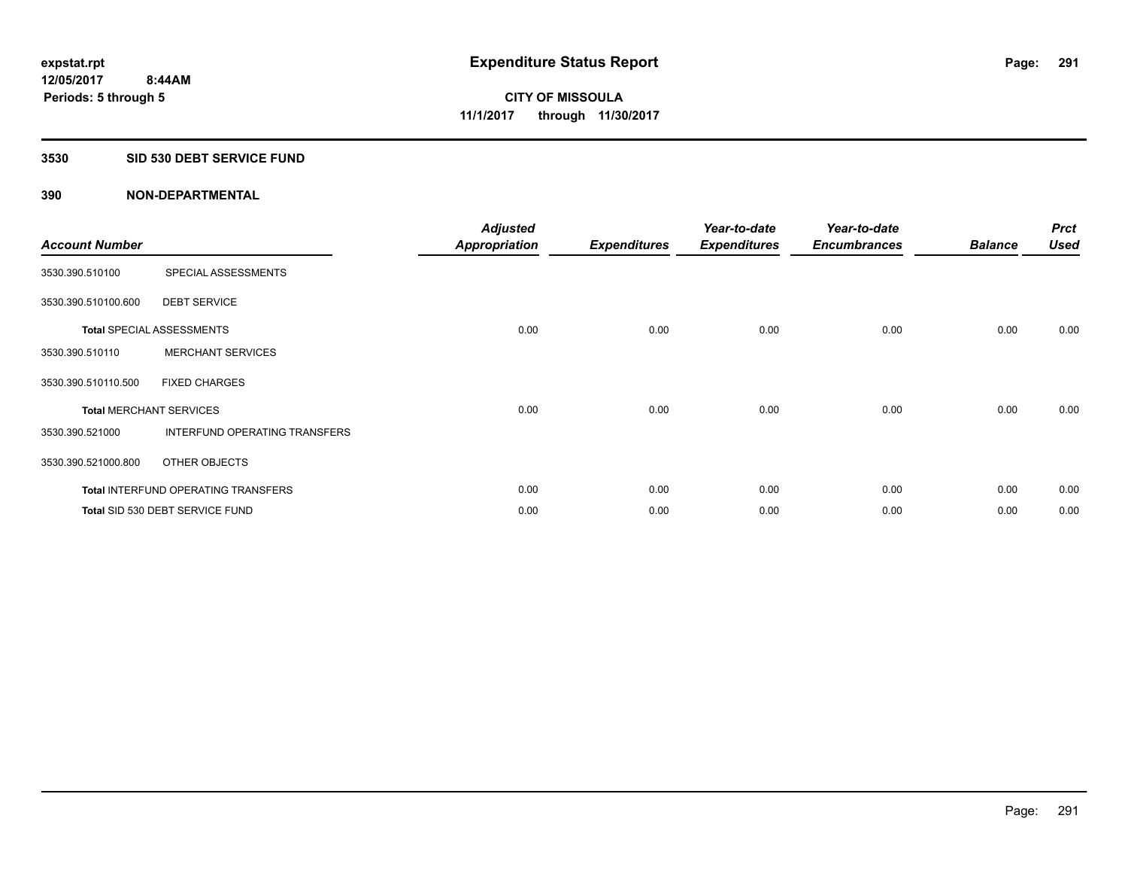## **3530 SID 530 DEBT SERVICE FUND**

| <b>Account Number</b> |                                            | <b>Adjusted</b><br><b>Appropriation</b> | <b>Expenditures</b> | Year-to-date<br><b>Expenditures</b> | Year-to-date<br><b>Encumbrances</b> | <b>Balance</b> | <b>Prct</b><br><b>Used</b> |
|-----------------------|--------------------------------------------|-----------------------------------------|---------------------|-------------------------------------|-------------------------------------|----------------|----------------------------|
| 3530.390.510100       | SPECIAL ASSESSMENTS                        |                                         |                     |                                     |                                     |                |                            |
| 3530.390.510100.600   | <b>DEBT SERVICE</b>                        |                                         |                     |                                     |                                     |                |                            |
|                       | <b>Total SPECIAL ASSESSMENTS</b>           | 0.00                                    | 0.00                | 0.00                                | 0.00                                | 0.00           | 0.00                       |
| 3530.390.510110       | <b>MERCHANT SERVICES</b>                   |                                         |                     |                                     |                                     |                |                            |
| 3530.390.510110.500   | <b>FIXED CHARGES</b>                       |                                         |                     |                                     |                                     |                |                            |
|                       | <b>Total MERCHANT SERVICES</b>             | 0.00                                    | 0.00                | 0.00                                | 0.00                                | 0.00           | 0.00                       |
| 3530.390.521000       | INTERFUND OPERATING TRANSFERS              |                                         |                     |                                     |                                     |                |                            |
| 3530.390.521000.800   | OTHER OBJECTS                              |                                         |                     |                                     |                                     |                |                            |
|                       | <b>Total INTERFUND OPERATING TRANSFERS</b> | 0.00                                    | 0.00                | 0.00                                | 0.00                                | 0.00           | 0.00                       |
|                       | Total SID 530 DEBT SERVICE FUND            | 0.00                                    | 0.00                | 0.00                                | 0.00                                | 0.00           | 0.00                       |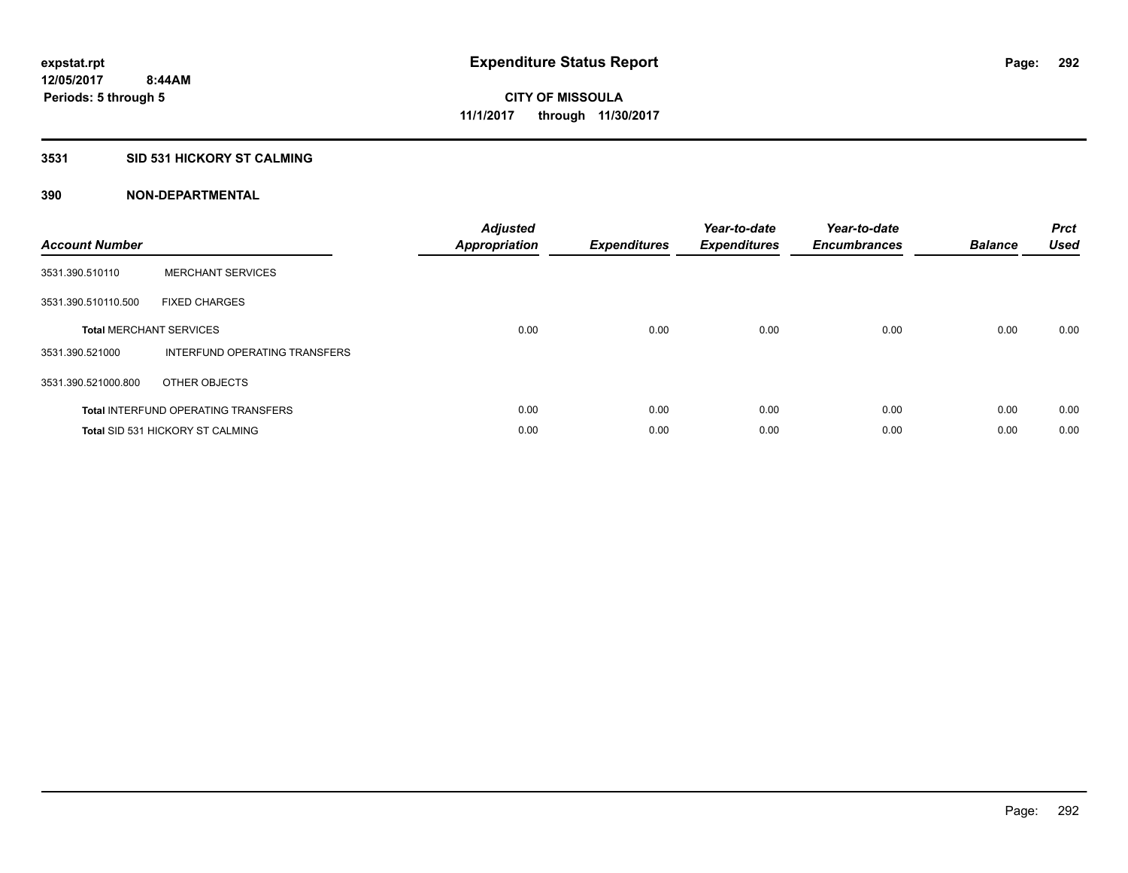## **3531 SID 531 HICKORY ST CALMING**

| <b>Account Number</b> |                                            | <b>Adjusted</b><br>Appropriation | <b>Expenditures</b> | Year-to-date<br><b>Expenditures</b> | Year-to-date<br><b>Encumbrances</b> | <b>Balance</b> | <b>Prct</b><br><b>Used</b> |
|-----------------------|--------------------------------------------|----------------------------------|---------------------|-------------------------------------|-------------------------------------|----------------|----------------------------|
| 3531.390.510110       | <b>MERCHANT SERVICES</b>                   |                                  |                     |                                     |                                     |                |                            |
| 3531.390.510110.500   | <b>FIXED CHARGES</b>                       |                                  |                     |                                     |                                     |                |                            |
|                       | <b>Total MERCHANT SERVICES</b>             | 0.00                             | 0.00                | 0.00                                | 0.00                                | 0.00           | 0.00                       |
| 3531.390.521000       | INTERFUND OPERATING TRANSFERS              |                                  |                     |                                     |                                     |                |                            |
| 3531.390.521000.800   | OTHER OBJECTS                              |                                  |                     |                                     |                                     |                |                            |
|                       | <b>Total INTERFUND OPERATING TRANSFERS</b> | 0.00                             | 0.00                | 0.00                                | 0.00                                | 0.00           | 0.00                       |
|                       | <b>Total SID 531 HICKORY ST CALMING</b>    | 0.00                             | 0.00                | 0.00                                | 0.00                                | 0.00           | 0.00                       |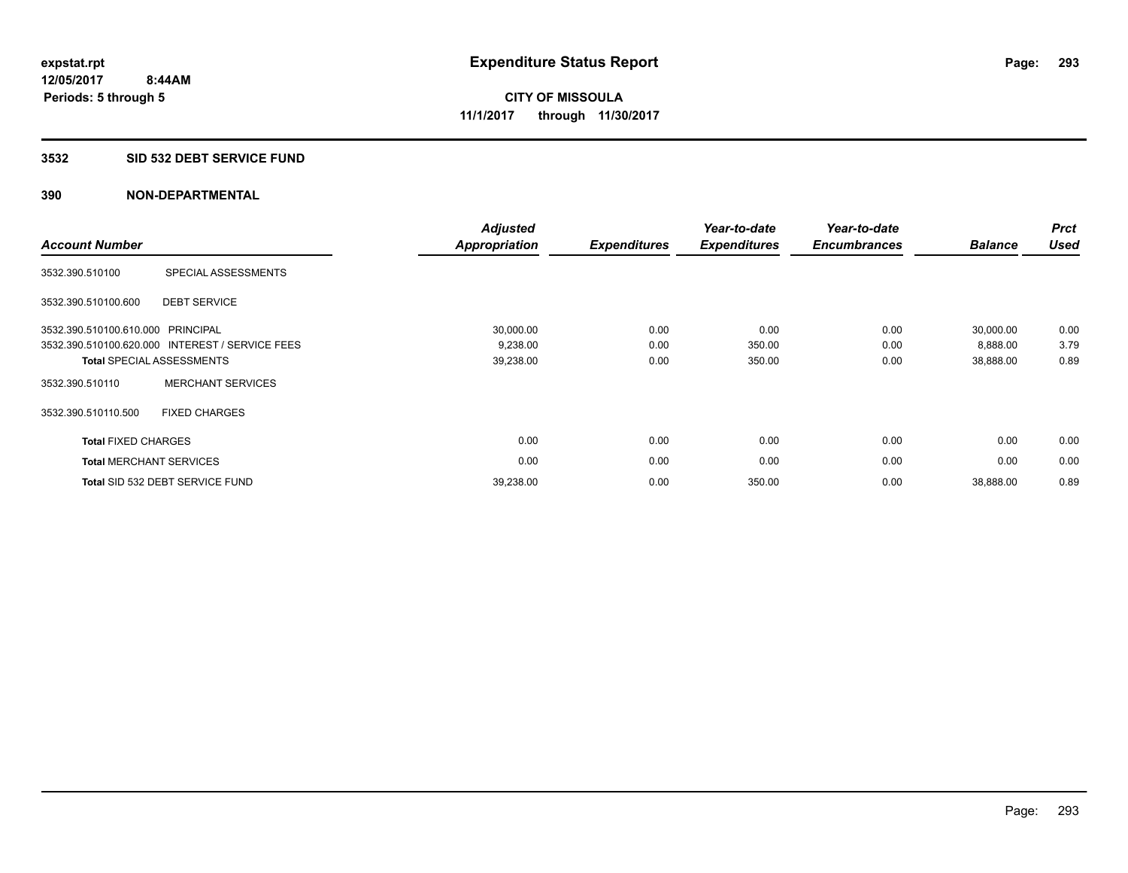#### **3532 SID 532 DEBT SERVICE FUND**

| <b>Account Number</b>          |                                                 | <b>Adjusted</b><br><b>Appropriation</b> | <b>Expenditures</b> | Year-to-date<br><b>Expenditures</b> | Year-to-date<br><b>Encumbrances</b> | <b>Balance</b> | <b>Prct</b><br><b>Used</b> |
|--------------------------------|-------------------------------------------------|-----------------------------------------|---------------------|-------------------------------------|-------------------------------------|----------------|----------------------------|
| 3532.390.510100                | SPECIAL ASSESSMENTS                             |                                         |                     |                                     |                                     |                |                            |
| 3532.390.510100.600            | <b>DEBT SERVICE</b>                             |                                         |                     |                                     |                                     |                |                            |
| 3532.390.510100.610.000        | PRINCIPAL                                       | 30,000.00                               | 0.00                | 0.00                                | 0.00                                | 30,000.00      | 0.00                       |
|                                | 3532.390.510100.620.000 INTEREST / SERVICE FEES | 9,238.00                                | 0.00                | 350.00                              | 0.00                                | 8,888.00       | 3.79                       |
|                                | <b>Total SPECIAL ASSESSMENTS</b>                | 39,238.00                               | 0.00                | 350.00                              | 0.00                                | 38,888.00      | 0.89                       |
| 3532.390.510110                | <b>MERCHANT SERVICES</b>                        |                                         |                     |                                     |                                     |                |                            |
| 3532.390.510110.500            | <b>FIXED CHARGES</b>                            |                                         |                     |                                     |                                     |                |                            |
| <b>Total FIXED CHARGES</b>     |                                                 | 0.00                                    | 0.00                | 0.00                                | 0.00                                | 0.00           | 0.00                       |
| <b>Total MERCHANT SERVICES</b> |                                                 | 0.00                                    | 0.00                | 0.00                                | 0.00                                | 0.00           | 0.00                       |
|                                | Total SID 532 DEBT SERVICE FUND                 | 39,238.00                               | 0.00                | 350.00                              | 0.00                                | 38,888.00      | 0.89                       |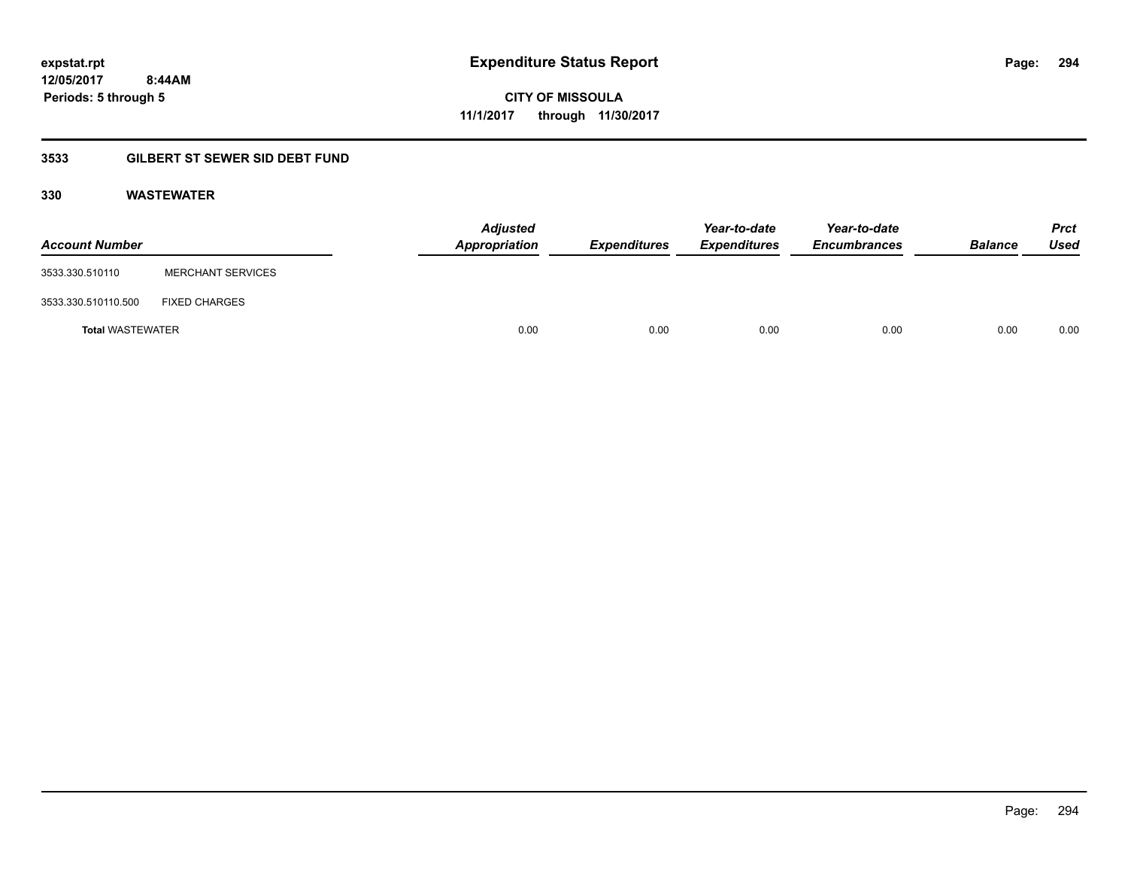**CITY OF MISSOULA 11/1/2017 through 11/30/2017**

## **3533 GILBERT ST SEWER SID DEBT FUND**

## **330 WASTEWATER**

| <b>Account Number</b>   |                          | <b>Adjusted</b><br>Appropriation | Expenditures | Year-to-date<br><b>Expenditures</b> | Year-to-date<br><b>Encumbrances</b> | <b>Balance</b> | <b>Prct</b><br>Used |
|-------------------------|--------------------------|----------------------------------|--------------|-------------------------------------|-------------------------------------|----------------|---------------------|
| 3533.330.510110         | <b>MERCHANT SERVICES</b> |                                  |              |                                     |                                     |                |                     |
| 3533.330.510110.500     | <b>FIXED CHARGES</b>     |                                  |              |                                     |                                     |                |                     |
| <b>Total WASTEWATER</b> |                          | 0.00                             | 0.00         | 0.00                                | 0.00                                | 0.00           | 0.00                |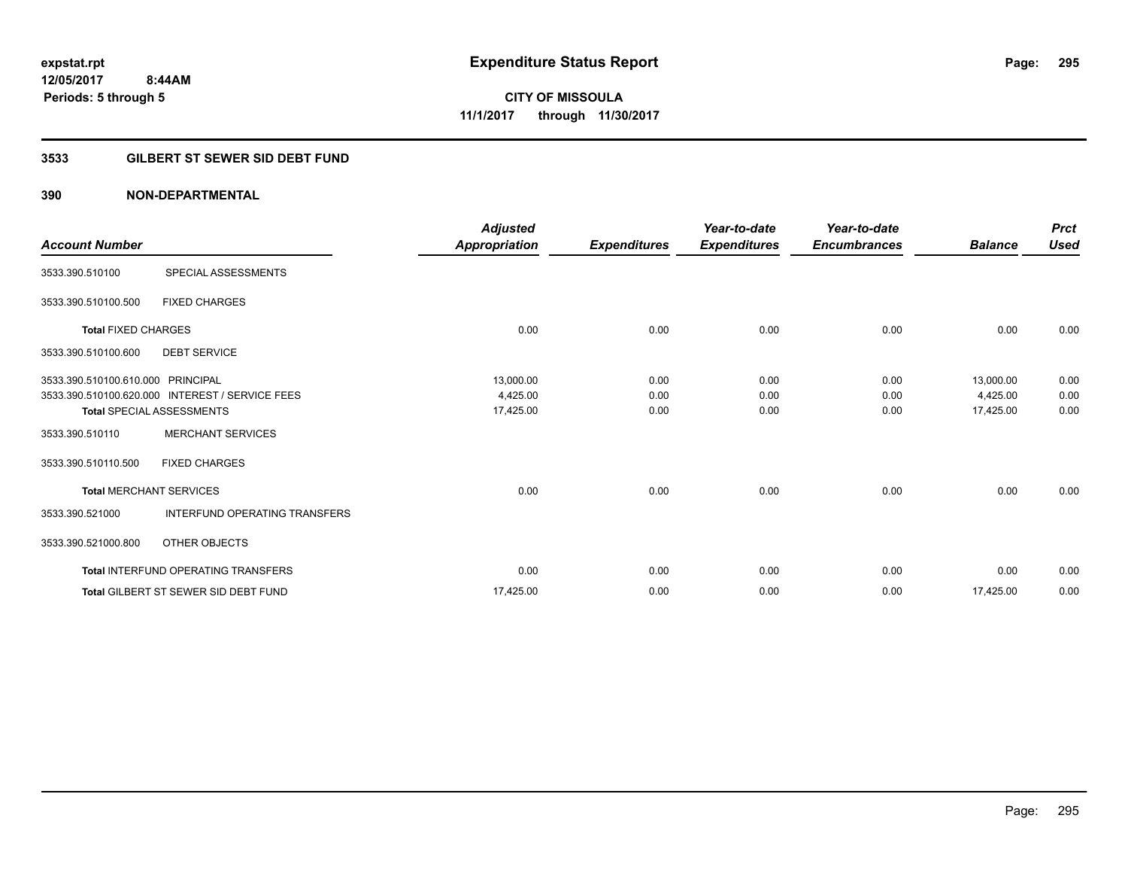## **3533 GILBERT ST SEWER SID DEBT FUND**

| <b>Account Number</b>             |                                                 | <b>Adjusted</b><br>Appropriation | <b>Expenditures</b> | Year-to-date<br><b>Expenditures</b> | Year-to-date<br><b>Encumbrances</b> | <b>Balance</b> | <b>Prct</b><br><b>Used</b> |
|-----------------------------------|-------------------------------------------------|----------------------------------|---------------------|-------------------------------------|-------------------------------------|----------------|----------------------------|
| 3533.390.510100                   | SPECIAL ASSESSMENTS                             |                                  |                     |                                     |                                     |                |                            |
| 3533.390.510100.500               | <b>FIXED CHARGES</b>                            |                                  |                     |                                     |                                     |                |                            |
| <b>Total FIXED CHARGES</b>        |                                                 | 0.00                             | 0.00                | 0.00                                | 0.00                                | 0.00           | 0.00                       |
| 3533.390.510100.600               | <b>DEBT SERVICE</b>                             |                                  |                     |                                     |                                     |                |                            |
| 3533.390.510100.610.000 PRINCIPAL |                                                 | 13,000.00                        | 0.00                | 0.00                                | 0.00                                | 13,000.00      | 0.00                       |
|                                   | 3533.390.510100.620.000 INTEREST / SERVICE FEES | 4,425.00                         | 0.00                | 0.00                                | 0.00                                | 4,425.00       | 0.00                       |
|                                   | <b>Total SPECIAL ASSESSMENTS</b>                | 17,425.00                        | 0.00                | 0.00                                | 0.00                                | 17,425.00      | 0.00                       |
| 3533.390.510110                   | <b>MERCHANT SERVICES</b>                        |                                  |                     |                                     |                                     |                |                            |
| 3533.390.510110.500               | <b>FIXED CHARGES</b>                            |                                  |                     |                                     |                                     |                |                            |
| <b>Total MERCHANT SERVICES</b>    |                                                 | 0.00                             | 0.00                | 0.00                                | 0.00                                | 0.00           | 0.00                       |
| 3533.390.521000                   | <b>INTERFUND OPERATING TRANSFERS</b>            |                                  |                     |                                     |                                     |                |                            |
| 3533.390.521000.800               | OTHER OBJECTS                                   |                                  |                     |                                     |                                     |                |                            |
|                                   | <b>Total INTERFUND OPERATING TRANSFERS</b>      | 0.00                             | 0.00                | 0.00                                | 0.00                                | 0.00           | 0.00                       |
|                                   | <b>Total GILBERT ST SEWER SID DEBT FUND</b>     | 17,425.00                        | 0.00                | 0.00                                | 0.00                                | 17,425.00      | 0.00                       |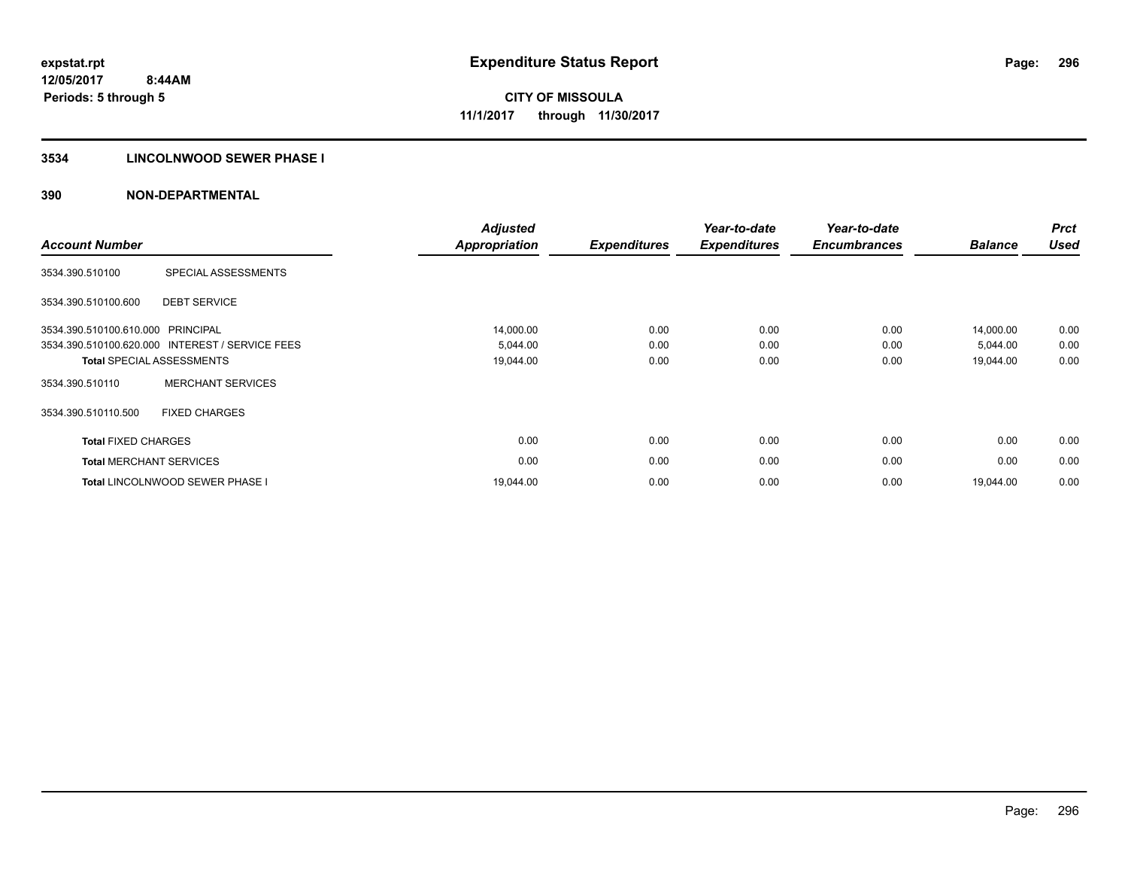## **3534 LINCOLNWOOD SEWER PHASE I**

| <b>Account Number</b>      |                                                 | <b>Adjusted</b><br><b>Appropriation</b> | <b>Expenditures</b> | Year-to-date<br><b>Expenditures</b> | Year-to-date<br><b>Encumbrances</b> | <b>Balance</b> | <b>Prct</b><br><b>Used</b> |
|----------------------------|-------------------------------------------------|-----------------------------------------|---------------------|-------------------------------------|-------------------------------------|----------------|----------------------------|
| 3534.390.510100            | SPECIAL ASSESSMENTS                             |                                         |                     |                                     |                                     |                |                            |
| 3534.390.510100.600        | <b>DEBT SERVICE</b>                             |                                         |                     |                                     |                                     |                |                            |
| 3534.390.510100.610.000    | PRINCIPAL                                       | 14,000.00                               | 0.00                | 0.00                                | 0.00                                | 14,000.00      | 0.00                       |
|                            | 3534.390.510100.620.000 INTEREST / SERVICE FEES | 5,044.00                                | 0.00                | 0.00                                | 0.00                                | 5,044.00       | 0.00                       |
|                            | <b>Total SPECIAL ASSESSMENTS</b>                | 19,044.00                               | 0.00                | 0.00                                | 0.00                                | 19,044.00      | 0.00                       |
| 3534.390.510110            | <b>MERCHANT SERVICES</b>                        |                                         |                     |                                     |                                     |                |                            |
| 3534.390.510110.500        | <b>FIXED CHARGES</b>                            |                                         |                     |                                     |                                     |                |                            |
| <b>Total FIXED CHARGES</b> |                                                 | 0.00                                    | 0.00                | 0.00                                | 0.00                                | 0.00           | 0.00                       |
|                            | <b>Total MERCHANT SERVICES</b>                  | 0.00                                    | 0.00                | 0.00                                | 0.00                                | 0.00           | 0.00                       |
|                            | <b>Total LINCOLNWOOD SEWER PHASE I</b>          | 19.044.00                               | 0.00                | 0.00                                | 0.00                                | 19.044.00      | 0.00                       |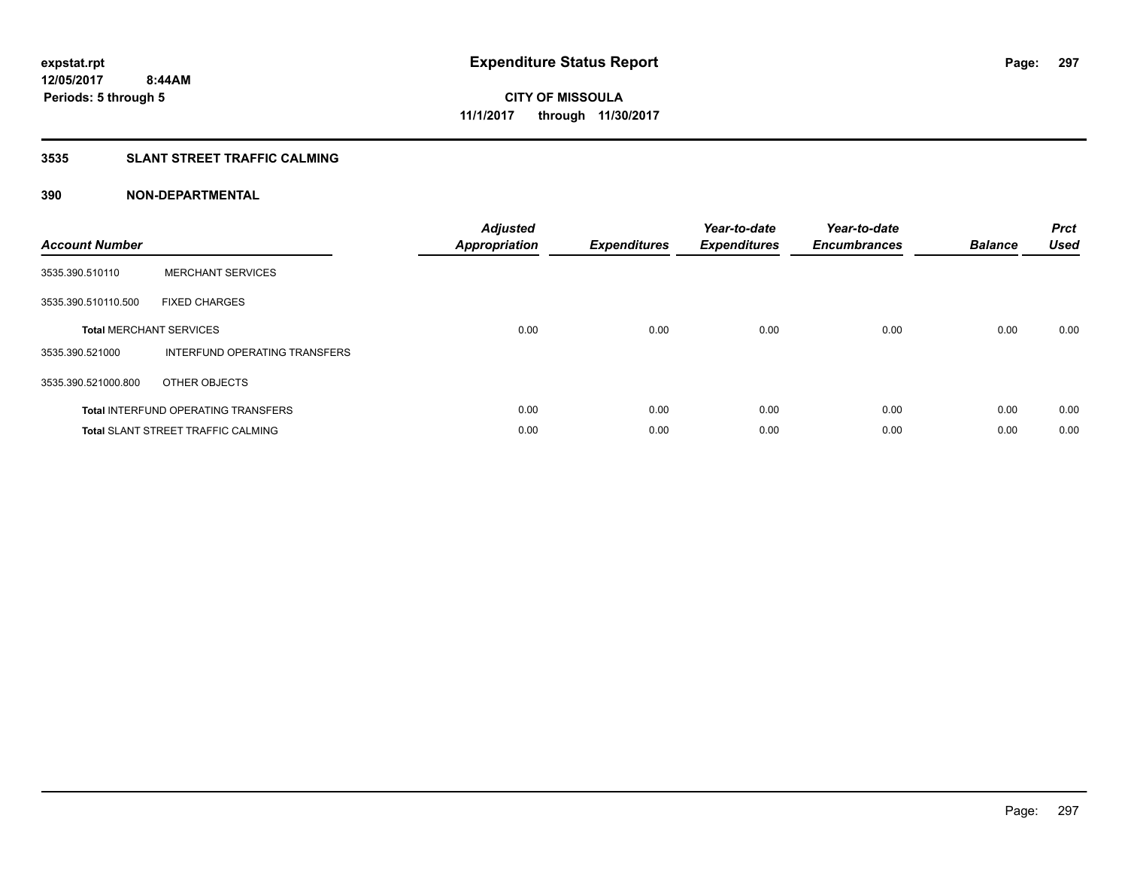## **3535 SLANT STREET TRAFFIC CALMING**

| <b>Account Number</b> |                                            | <b>Adjusted</b><br>Appropriation | <b>Expenditures</b> | Year-to-date<br><b>Expenditures</b> | Year-to-date<br><b>Encumbrances</b> | <b>Balance</b> | <b>Prct</b><br><b>Used</b> |
|-----------------------|--------------------------------------------|----------------------------------|---------------------|-------------------------------------|-------------------------------------|----------------|----------------------------|
| 3535.390.510110       | <b>MERCHANT SERVICES</b>                   |                                  |                     |                                     |                                     |                |                            |
| 3535.390.510110.500   | <b>FIXED CHARGES</b>                       |                                  |                     |                                     |                                     |                |                            |
|                       | <b>Total MERCHANT SERVICES</b>             | 0.00                             | 0.00                | 0.00                                | 0.00                                | 0.00           | 0.00                       |
| 3535.390.521000       | INTERFUND OPERATING TRANSFERS              |                                  |                     |                                     |                                     |                |                            |
| 3535.390.521000.800   | OTHER OBJECTS                              |                                  |                     |                                     |                                     |                |                            |
|                       | <b>Total INTERFUND OPERATING TRANSFERS</b> | 0.00                             | 0.00                | 0.00                                | 0.00                                | 0.00           | 0.00                       |
|                       | <b>Total SLANT STREET TRAFFIC CALMING</b>  | 0.00                             | 0.00                | 0.00                                | 0.00                                | 0.00           | 0.00                       |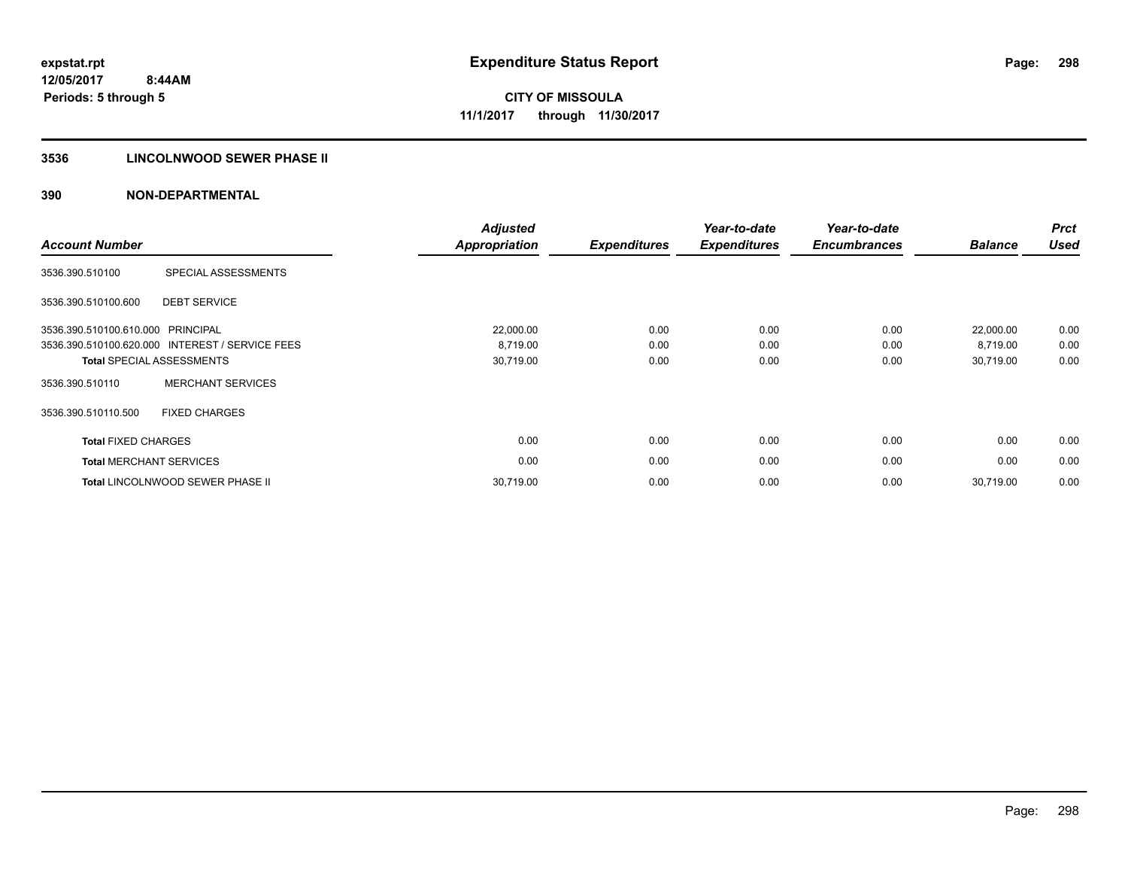## **3536 LINCOLNWOOD SEWER PHASE II**

| <b>Account Number</b>          |                                                 | <b>Adjusted</b><br>Appropriation | <b>Expenditures</b> | Year-to-date<br><b>Expenditures</b> | Year-to-date<br><b>Encumbrances</b> | <b>Balance</b> | <b>Prct</b><br><b>Used</b> |
|--------------------------------|-------------------------------------------------|----------------------------------|---------------------|-------------------------------------|-------------------------------------|----------------|----------------------------|
| 3536.390.510100                | SPECIAL ASSESSMENTS                             |                                  |                     |                                     |                                     |                |                            |
| 3536.390.510100.600            | <b>DEBT SERVICE</b>                             |                                  |                     |                                     |                                     |                |                            |
| 3536.390.510100.610.000        | PRINCIPAL                                       | 22,000.00                        | 0.00                | 0.00                                | 0.00                                | 22,000.00      | 0.00                       |
|                                | 3536.390.510100.620.000 INTEREST / SERVICE FEES | 8,719.00                         | 0.00                | 0.00                                | 0.00                                | 8,719.00       | 0.00                       |
|                                | <b>Total SPECIAL ASSESSMENTS</b>                | 30,719.00                        | 0.00                | 0.00                                | 0.00                                | 30,719.00      | 0.00                       |
| 3536.390.510110                | <b>MERCHANT SERVICES</b>                        |                                  |                     |                                     |                                     |                |                            |
| 3536.390.510110.500            | <b>FIXED CHARGES</b>                            |                                  |                     |                                     |                                     |                |                            |
| <b>Total FIXED CHARGES</b>     |                                                 | 0.00                             | 0.00                | 0.00                                | 0.00                                | 0.00           | 0.00                       |
| <b>Total MERCHANT SERVICES</b> |                                                 | 0.00                             | 0.00                | 0.00                                | 0.00                                | 0.00           | 0.00                       |
|                                | <b>Total LINCOLNWOOD SEWER PHASE II</b>         | 30,719.00                        | 0.00                | 0.00                                | 0.00                                | 30,719.00      | 0.00                       |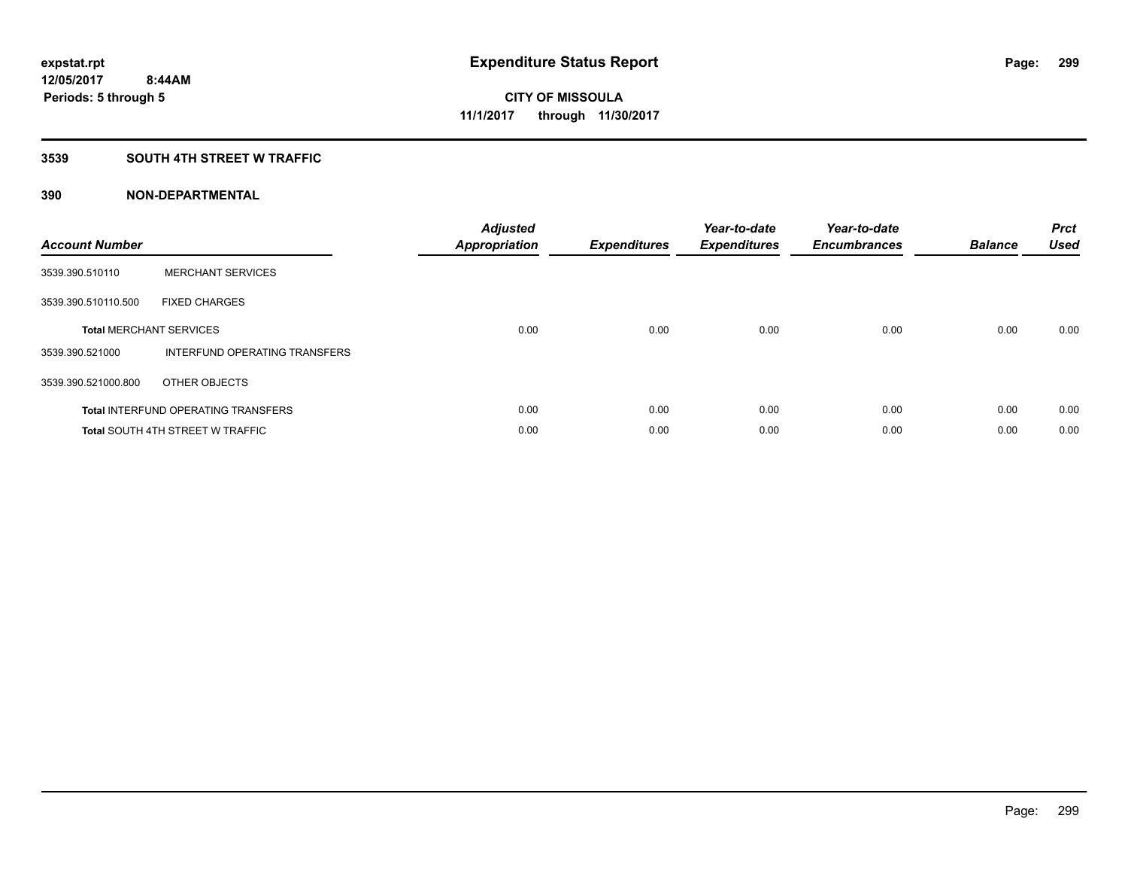## **3539 SOUTH 4TH STREET W TRAFFIC**

| <b>Account Number</b> |                                            | <b>Adjusted</b><br>Appropriation | <b>Expenditures</b> | Year-to-date<br><b>Expenditures</b> | Year-to-date<br><b>Encumbrances</b> | <b>Balance</b> | <b>Prct</b><br><b>Used</b> |
|-----------------------|--------------------------------------------|----------------------------------|---------------------|-------------------------------------|-------------------------------------|----------------|----------------------------|
| 3539.390.510110       | <b>MERCHANT SERVICES</b>                   |                                  |                     |                                     |                                     |                |                            |
| 3539.390.510110.500   | <b>FIXED CHARGES</b>                       |                                  |                     |                                     |                                     |                |                            |
|                       | <b>Total MERCHANT SERVICES</b>             | 0.00                             | 0.00                | 0.00                                | 0.00                                | 0.00           | 0.00                       |
| 3539.390.521000       | INTERFUND OPERATING TRANSFERS              |                                  |                     |                                     |                                     |                |                            |
| 3539.390.521000.800   | OTHER OBJECTS                              |                                  |                     |                                     |                                     |                |                            |
|                       | <b>Total INTERFUND OPERATING TRANSFERS</b> | 0.00                             | 0.00                | 0.00                                | 0.00                                | 0.00           | 0.00                       |
|                       | <b>Total SOUTH 4TH STREET W TRAFFIC</b>    | 0.00                             | 0.00                | 0.00                                | 0.00                                | 0.00           | 0.00                       |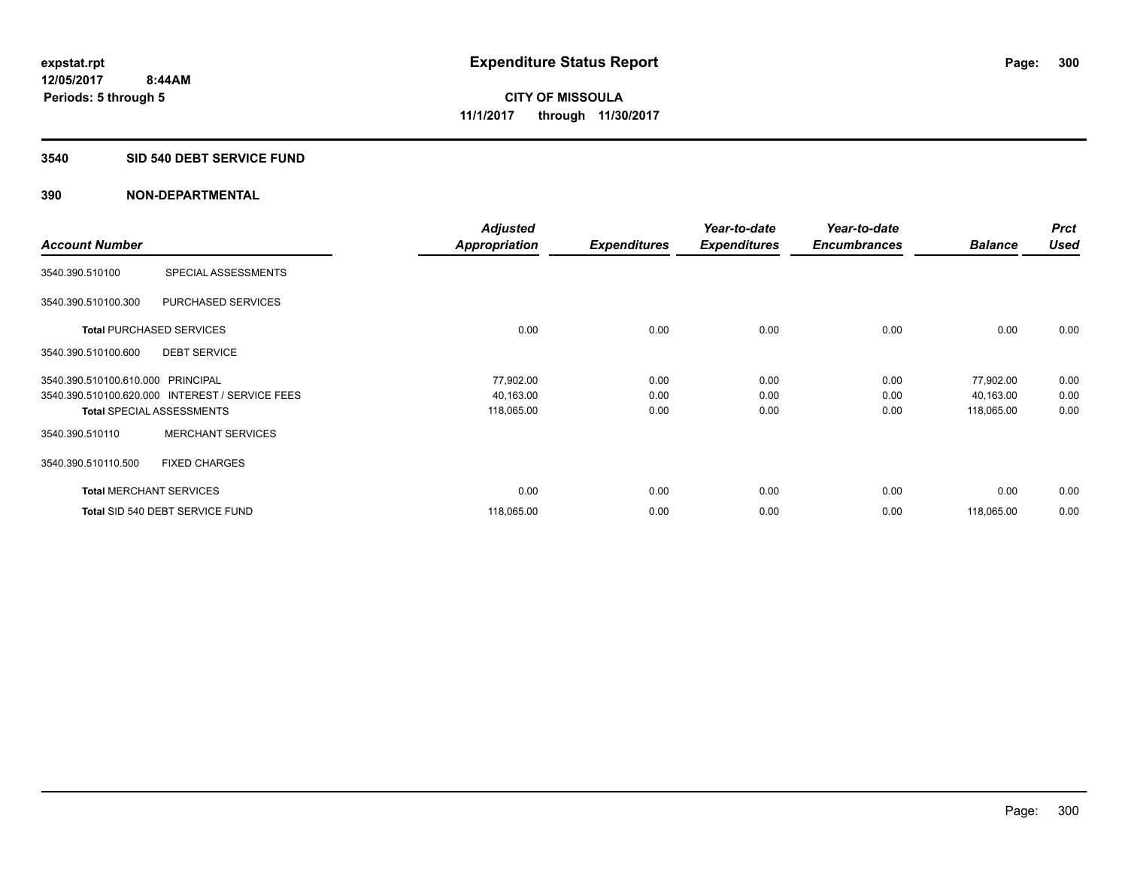### **3540 SID 540 DEBT SERVICE FUND**

|                                   |                                                 | <b>Adjusted</b>      |                     | Year-to-date        | Year-to-date        |                | <b>Prct</b> |
|-----------------------------------|-------------------------------------------------|----------------------|---------------------|---------------------|---------------------|----------------|-------------|
| <b>Account Number</b>             |                                                 | <b>Appropriation</b> | <b>Expenditures</b> | <b>Expenditures</b> | <b>Encumbrances</b> | <b>Balance</b> | <b>Used</b> |
| 3540.390.510100                   | SPECIAL ASSESSMENTS                             |                      |                     |                     |                     |                |             |
| 3540.390.510100.300               | PURCHASED SERVICES                              |                      |                     |                     |                     |                |             |
|                                   | <b>Total PURCHASED SERVICES</b>                 | 0.00                 | 0.00                | 0.00                | 0.00                | 0.00           | 0.00        |
| 3540.390.510100.600               | <b>DEBT SERVICE</b>                             |                      |                     |                     |                     |                |             |
| 3540.390.510100.610.000 PRINCIPAL |                                                 | 77,902.00            | 0.00                | 0.00                | 0.00                | 77,902.00      | 0.00        |
|                                   | 3540.390.510100.620.000 INTEREST / SERVICE FEES | 40,163.00            | 0.00                | 0.00                | 0.00                | 40,163.00      | 0.00        |
|                                   | <b>Total SPECIAL ASSESSMENTS</b>                | 118,065.00           | 0.00                | 0.00                | 0.00                | 118,065.00     | 0.00        |
| 3540.390.510110                   | <b>MERCHANT SERVICES</b>                        |                      |                     |                     |                     |                |             |
| 3540.390.510110.500               | <b>FIXED CHARGES</b>                            |                      |                     |                     |                     |                |             |
|                                   | <b>Total MERCHANT SERVICES</b>                  | 0.00                 | 0.00                | 0.00                | 0.00                | 0.00           | 0.00        |
|                                   | Total SID 540 DEBT SERVICE FUND                 | 118,065.00           | 0.00                | 0.00                | 0.00                | 118,065.00     | 0.00        |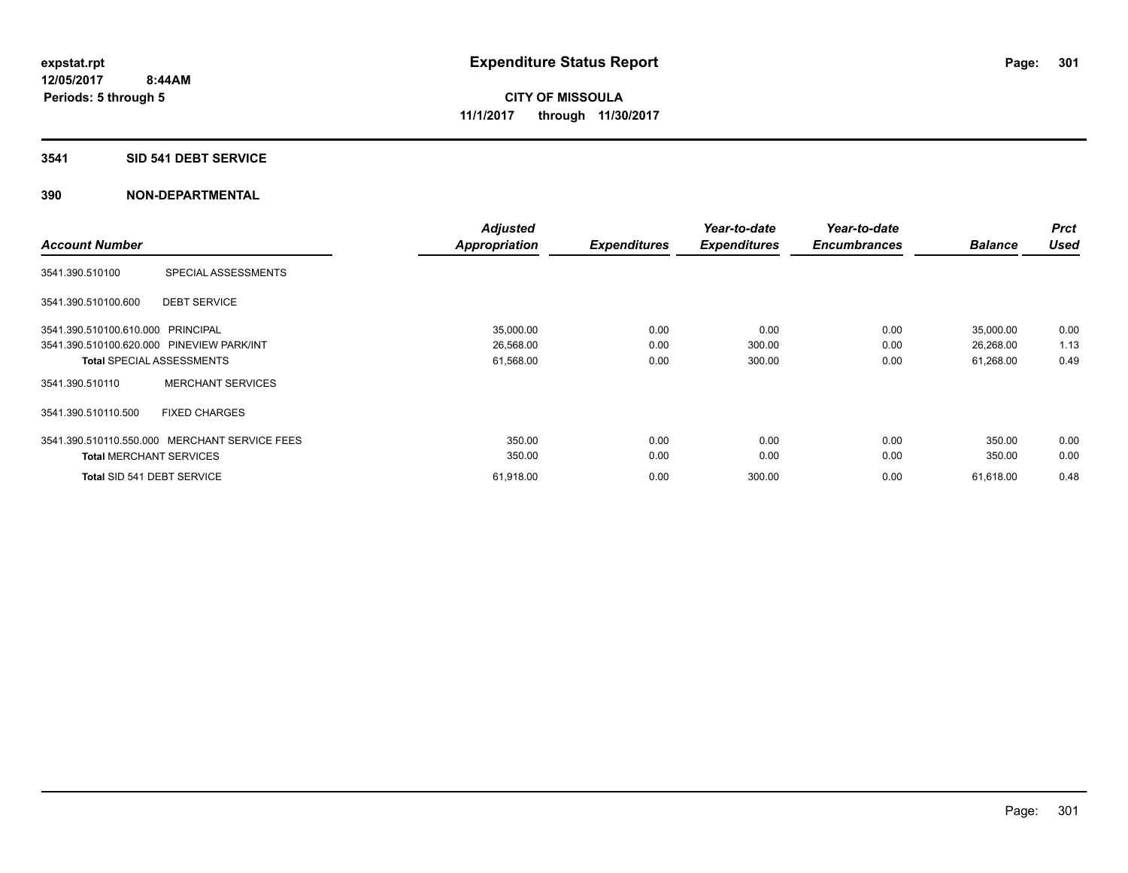## **3541 SID 541 DEBT SERVICE**

| <b>Account Number</b>             |                                               | <b>Adjusted</b><br><b>Appropriation</b> | <b>Expenditures</b> | Year-to-date<br><b>Expenditures</b> | Year-to-date<br><b>Encumbrances</b> | <b>Balance</b> | <b>Prct</b><br><b>Used</b> |
|-----------------------------------|-----------------------------------------------|-----------------------------------------|---------------------|-------------------------------------|-------------------------------------|----------------|----------------------------|
| 3541.390.510100                   | SPECIAL ASSESSMENTS                           |                                         |                     |                                     |                                     |                |                            |
| 3541.390.510100.600               | <b>DEBT SERVICE</b>                           |                                         |                     |                                     |                                     |                |                            |
| 3541.390.510100.610.000 PRINCIPAL |                                               | 35,000.00                               | 0.00                | 0.00                                | 0.00                                | 35,000.00      | 0.00                       |
|                                   | 3541.390.510100.620.000 PINEVIEW PARK/INT     | 26,568.00                               | 0.00                | 300.00                              | 0.00                                | 26,268.00      | 1.13                       |
|                                   | <b>Total SPECIAL ASSESSMENTS</b>              | 61,568.00                               | 0.00                | 300.00                              | 0.00                                | 61,268.00      | 0.49                       |
| 3541.390.510110                   | <b>MERCHANT SERVICES</b>                      |                                         |                     |                                     |                                     |                |                            |
| 3541.390.510110.500               | <b>FIXED CHARGES</b>                          |                                         |                     |                                     |                                     |                |                            |
|                                   | 3541.390.510110.550.000 MERCHANT SERVICE FEES | 350.00                                  | 0.00                | 0.00                                | 0.00                                | 350.00         | 0.00                       |
| <b>Total MERCHANT SERVICES</b>    |                                               | 350.00                                  | 0.00                | 0.00                                | 0.00                                | 350.00         | 0.00                       |
| Total SID 541 DEBT SERVICE        |                                               | 61,918.00                               | 0.00                | 300.00                              | 0.00                                | 61,618.00      | 0.48                       |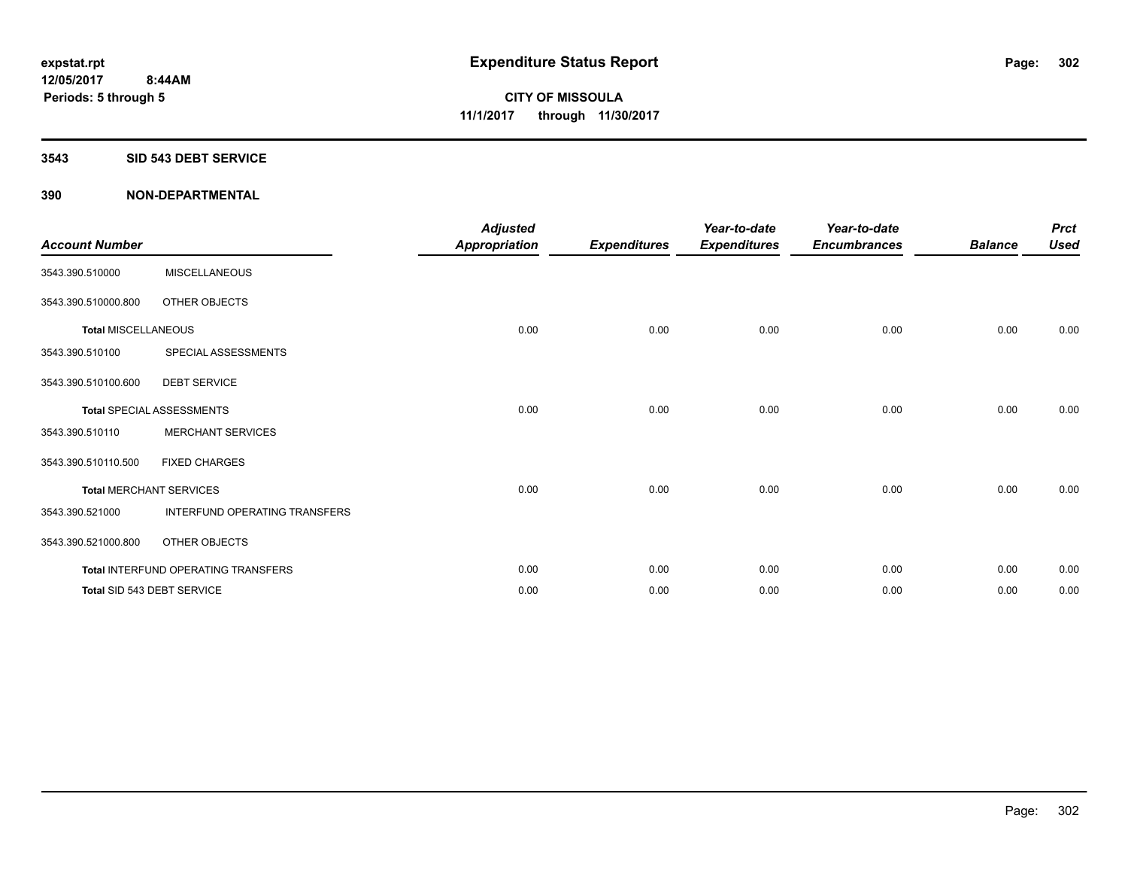#### **3543 SID 543 DEBT SERVICE**

| <b>Account Number</b>      |                                     | <b>Adjusted</b><br><b>Appropriation</b> | <b>Expenditures</b> | Year-to-date<br><b>Expenditures</b> | Year-to-date<br><b>Encumbrances</b> | <b>Balance</b> | <b>Prct</b><br><b>Used</b> |
|----------------------------|-------------------------------------|-----------------------------------------|---------------------|-------------------------------------|-------------------------------------|----------------|----------------------------|
| 3543.390.510000            | <b>MISCELLANEOUS</b>                |                                         |                     |                                     |                                     |                |                            |
| 3543.390.510000.800        | OTHER OBJECTS                       |                                         |                     |                                     |                                     |                |                            |
| <b>Total MISCELLANEOUS</b> |                                     | 0.00                                    | 0.00                | 0.00                                | 0.00                                | 0.00           | 0.00                       |
| 3543.390.510100            | SPECIAL ASSESSMENTS                 |                                         |                     |                                     |                                     |                |                            |
| 3543.390.510100.600        | <b>DEBT SERVICE</b>                 |                                         |                     |                                     |                                     |                |                            |
|                            | <b>Total SPECIAL ASSESSMENTS</b>    | 0.00                                    | 0.00                | 0.00                                | 0.00                                | 0.00           | 0.00                       |
| 3543.390.510110            | <b>MERCHANT SERVICES</b>            |                                         |                     |                                     |                                     |                |                            |
| 3543.390.510110.500        | <b>FIXED CHARGES</b>                |                                         |                     |                                     |                                     |                |                            |
|                            | <b>Total MERCHANT SERVICES</b>      | 0.00                                    | 0.00                | 0.00                                | 0.00                                | 0.00           | 0.00                       |
| 3543.390.521000            | INTERFUND OPERATING TRANSFERS       |                                         |                     |                                     |                                     |                |                            |
| 3543.390.521000.800        | OTHER OBJECTS                       |                                         |                     |                                     |                                     |                |                            |
|                            | Total INTERFUND OPERATING TRANSFERS | 0.00                                    | 0.00                | 0.00                                | 0.00                                | 0.00           | 0.00                       |
|                            | Total SID 543 DEBT SERVICE          | 0.00                                    | 0.00                | 0.00                                | 0.00                                | 0.00           | 0.00                       |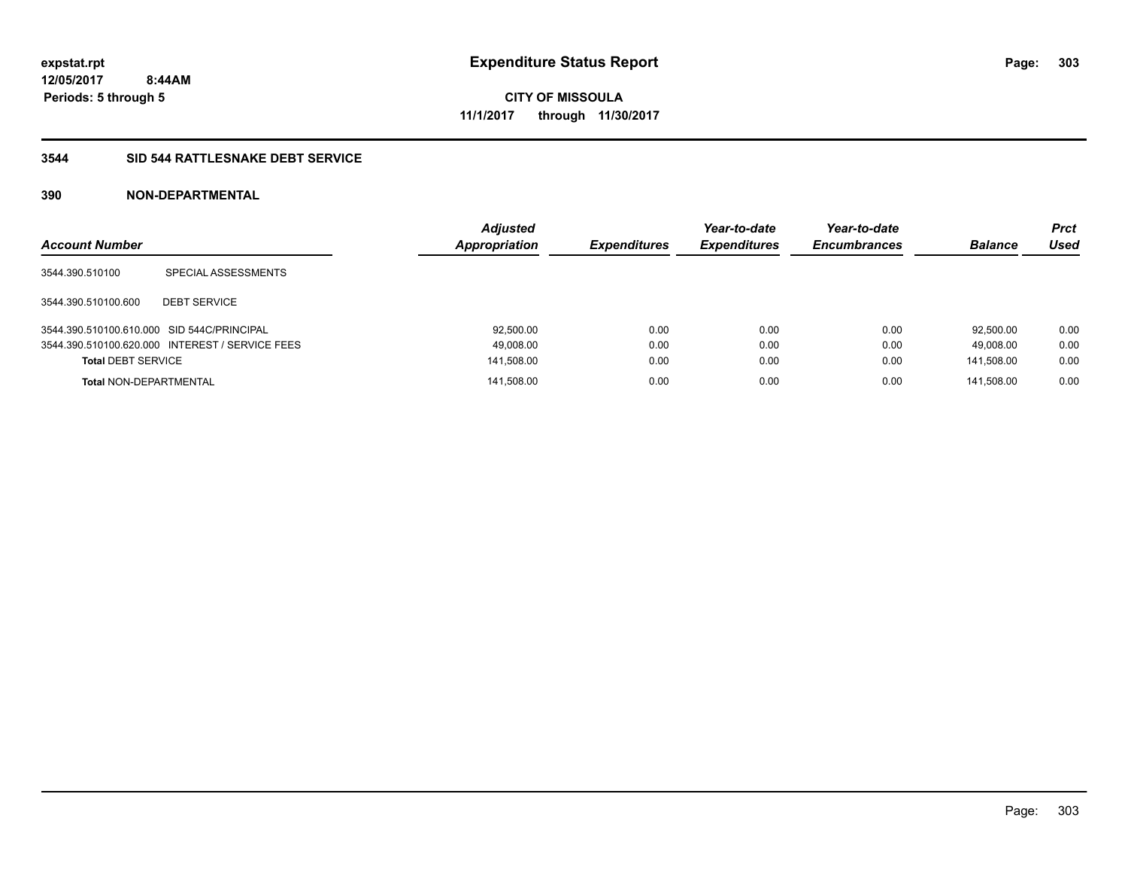**CITY OF MISSOULA 11/1/2017 through 11/30/2017**

### **3544 SID 544 RATTLESNAKE DEBT SERVICE**

| <b>Account Number</b>                      |                                                 | <b>Adjusted</b><br>Appropriation | <b>Expenditures</b> | Year-to-date<br><b>Expenditures</b> | Year-to-date<br><b>Encumbrances</b> | <b>Balance</b> | <b>Prct</b><br>Used |
|--------------------------------------------|-------------------------------------------------|----------------------------------|---------------------|-------------------------------------|-------------------------------------|----------------|---------------------|
| 3544.390.510100                            | SPECIAL ASSESSMENTS                             |                                  |                     |                                     |                                     |                |                     |
| 3544.390.510100.600                        | <b>DEBT SERVICE</b>                             |                                  |                     |                                     |                                     |                |                     |
| 3544.390.510100.610.000 SID 544C/PRINCIPAL |                                                 | 92.500.00                        | 0.00                | 0.00                                | 0.00                                | 92.500.00      | 0.00                |
|                                            | 3544.390.510100.620.000 INTEREST / SERVICE FEES | 49,008.00                        | 0.00                | 0.00                                | 0.00                                | 49.008.00      | 0.00                |
| <b>Total DEBT SERVICE</b>                  |                                                 | 141,508.00                       | 0.00                | 0.00                                | 0.00                                | 141.508.00     | 0.00                |
| <b>Total NON-DEPARTMENTAL</b>              |                                                 | 141.508.00                       | 0.00                | 0.00                                | 0.00                                | 141.508.00     | 0.00                |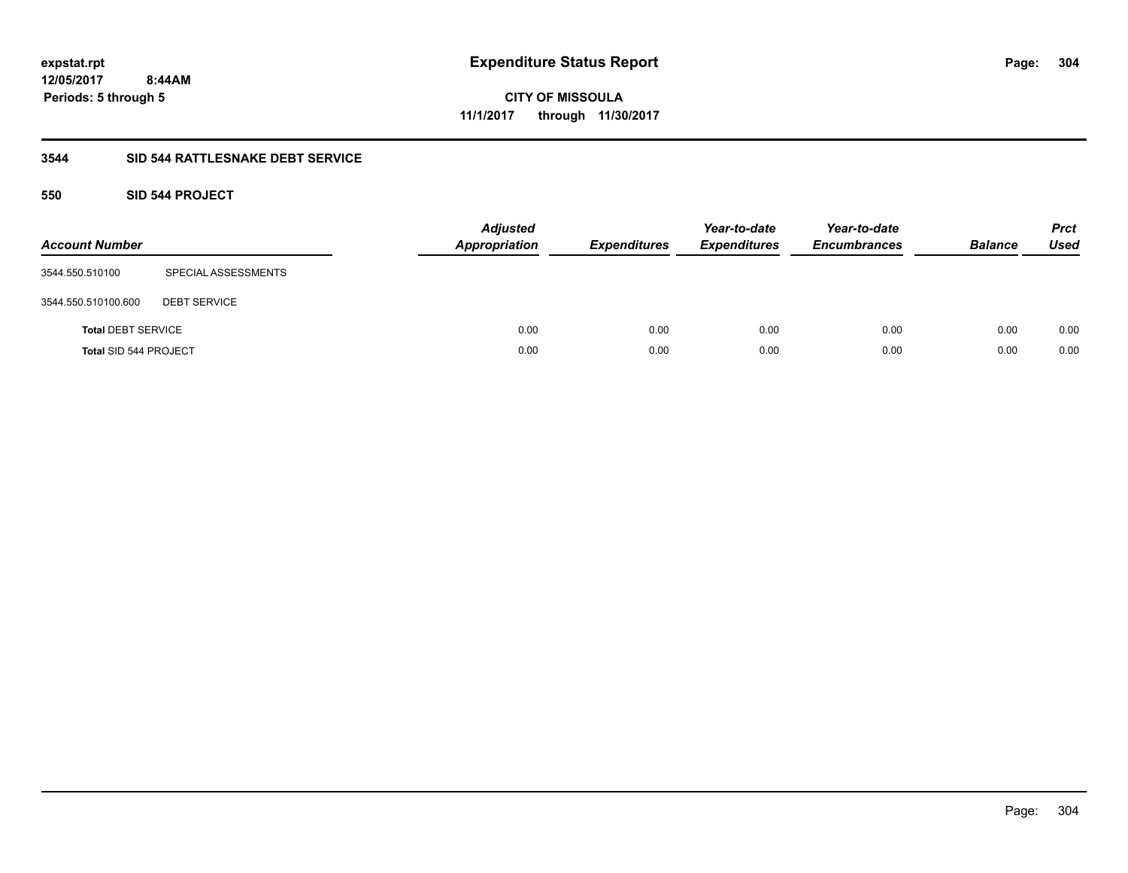**304**

**CITY OF MISSOULA 11/1/2017 through 11/30/2017**

## **3544 SID 544 RATTLESNAKE DEBT SERVICE**

## **550 SID 544 PROJECT**

| <b>Account Number</b>        |                     | <b>Adjusted</b><br><b>Appropriation</b> | <b>Expenditures</b> | Year-to-date<br><b>Expenditures</b> | Year-to-date<br><b>Encumbrances</b> | <b>Balance</b> | <b>Prct</b><br><b>Used</b> |
|------------------------------|---------------------|-----------------------------------------|---------------------|-------------------------------------|-------------------------------------|----------------|----------------------------|
| 3544.550.510100              | SPECIAL ASSESSMENTS |                                         |                     |                                     |                                     |                |                            |
| 3544.550.510100.600          | <b>DEBT SERVICE</b> |                                         |                     |                                     |                                     |                |                            |
| <b>Total DEBT SERVICE</b>    |                     | 0.00                                    | 0.00                | 0.00                                | 0.00                                | 0.00           | 0.00                       |
| <b>Total SID 544 PROJECT</b> |                     | 0.00                                    | 0.00                | 0.00                                | 0.00                                | 0.00           | 0.00                       |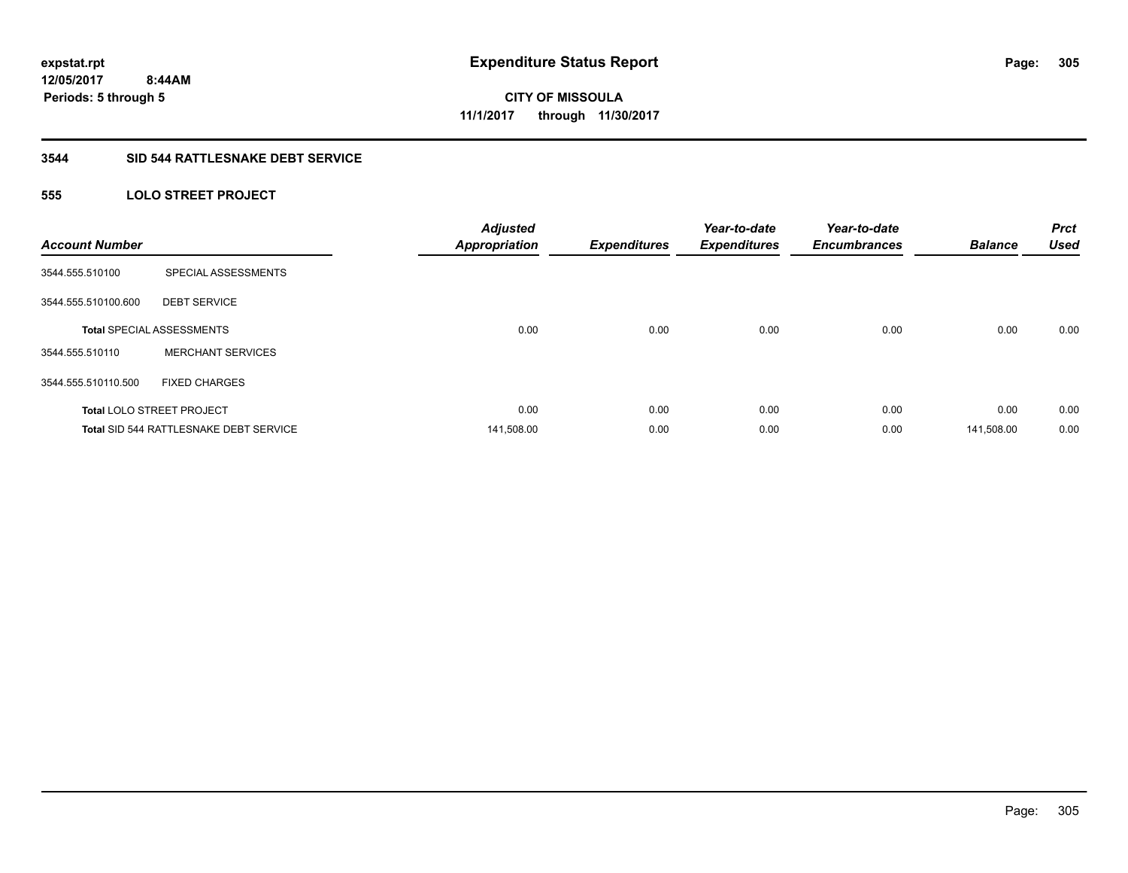## **3544 SID 544 RATTLESNAKE DEBT SERVICE**

## **555 LOLO STREET PROJECT**

| <b>Account Number</b> |                                        | <b>Adjusted</b><br><b>Appropriation</b> | <b>Expenditures</b> | Year-to-date<br><b>Expenditures</b> | Year-to-date<br><b>Encumbrances</b> | <b>Balance</b> | <b>Prct</b><br><b>Used</b> |
|-----------------------|----------------------------------------|-----------------------------------------|---------------------|-------------------------------------|-------------------------------------|----------------|----------------------------|
| 3544.555.510100       | SPECIAL ASSESSMENTS                    |                                         |                     |                                     |                                     |                |                            |
| 3544.555.510100.600   | <b>DEBT SERVICE</b>                    |                                         |                     |                                     |                                     |                |                            |
|                       | <b>Total SPECIAL ASSESSMENTS</b>       | 0.00                                    | 0.00                | 0.00                                | 0.00                                | 0.00           | 0.00                       |
| 3544.555.510110       | <b>MERCHANT SERVICES</b>               |                                         |                     |                                     |                                     |                |                            |
| 3544.555.510110.500   | <b>FIXED CHARGES</b>                   |                                         |                     |                                     |                                     |                |                            |
|                       | <b>Total LOLO STREET PROJECT</b>       | 0.00                                    | 0.00                | 0.00                                | 0.00                                | 0.00           | 0.00                       |
|                       | Total SID 544 RATTLESNAKE DEBT SERVICE | 141,508.00                              | 0.00                | 0.00                                | 0.00                                | 141,508.00     | 0.00                       |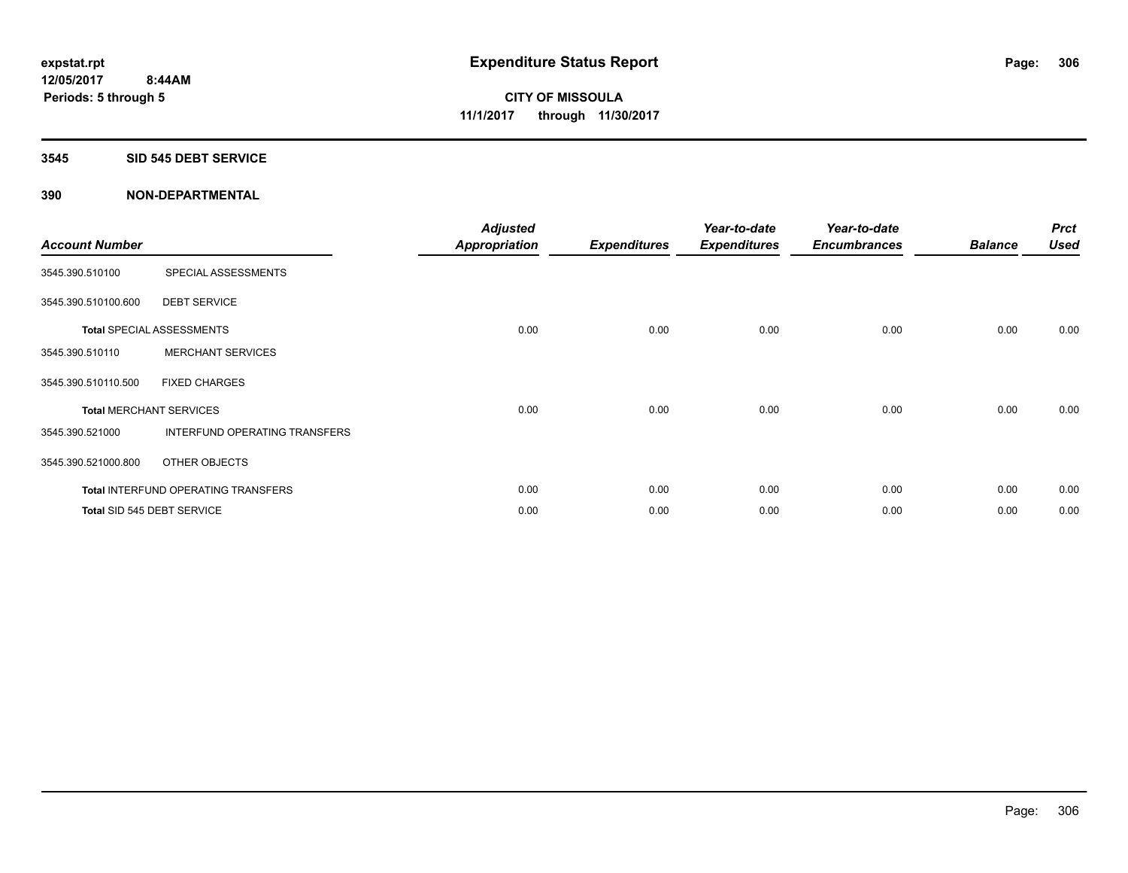#### **3545 SID 545 DEBT SERVICE**

| <b>Account Number</b> |                                     | <b>Adjusted</b><br>Appropriation | <b>Expenditures</b> | Year-to-date<br><b>Expenditures</b> | Year-to-date<br><b>Encumbrances</b> | <b>Balance</b> | <b>Prct</b><br><b>Used</b> |
|-----------------------|-------------------------------------|----------------------------------|---------------------|-------------------------------------|-------------------------------------|----------------|----------------------------|
| 3545.390.510100       | SPECIAL ASSESSMENTS                 |                                  |                     |                                     |                                     |                |                            |
| 3545.390.510100.600   | <b>DEBT SERVICE</b>                 |                                  |                     |                                     |                                     |                |                            |
|                       | <b>Total SPECIAL ASSESSMENTS</b>    | 0.00                             | 0.00                | 0.00                                | 0.00                                | 0.00           | 0.00                       |
| 3545.390.510110       | <b>MERCHANT SERVICES</b>            |                                  |                     |                                     |                                     |                |                            |
| 3545.390.510110.500   | <b>FIXED CHARGES</b>                |                                  |                     |                                     |                                     |                |                            |
|                       | <b>Total MERCHANT SERVICES</b>      | 0.00                             | 0.00                | 0.00                                | 0.00                                | 0.00           | 0.00                       |
| 3545.390.521000       | INTERFUND OPERATING TRANSFERS       |                                  |                     |                                     |                                     |                |                            |
| 3545.390.521000.800   | OTHER OBJECTS                       |                                  |                     |                                     |                                     |                |                            |
|                       | Total INTERFUND OPERATING TRANSFERS | 0.00                             | 0.00                | 0.00                                | 0.00                                | 0.00           | 0.00                       |
|                       | Total SID 545 DEBT SERVICE          | 0.00                             | 0.00                | 0.00                                | 0.00                                | 0.00           | 0.00                       |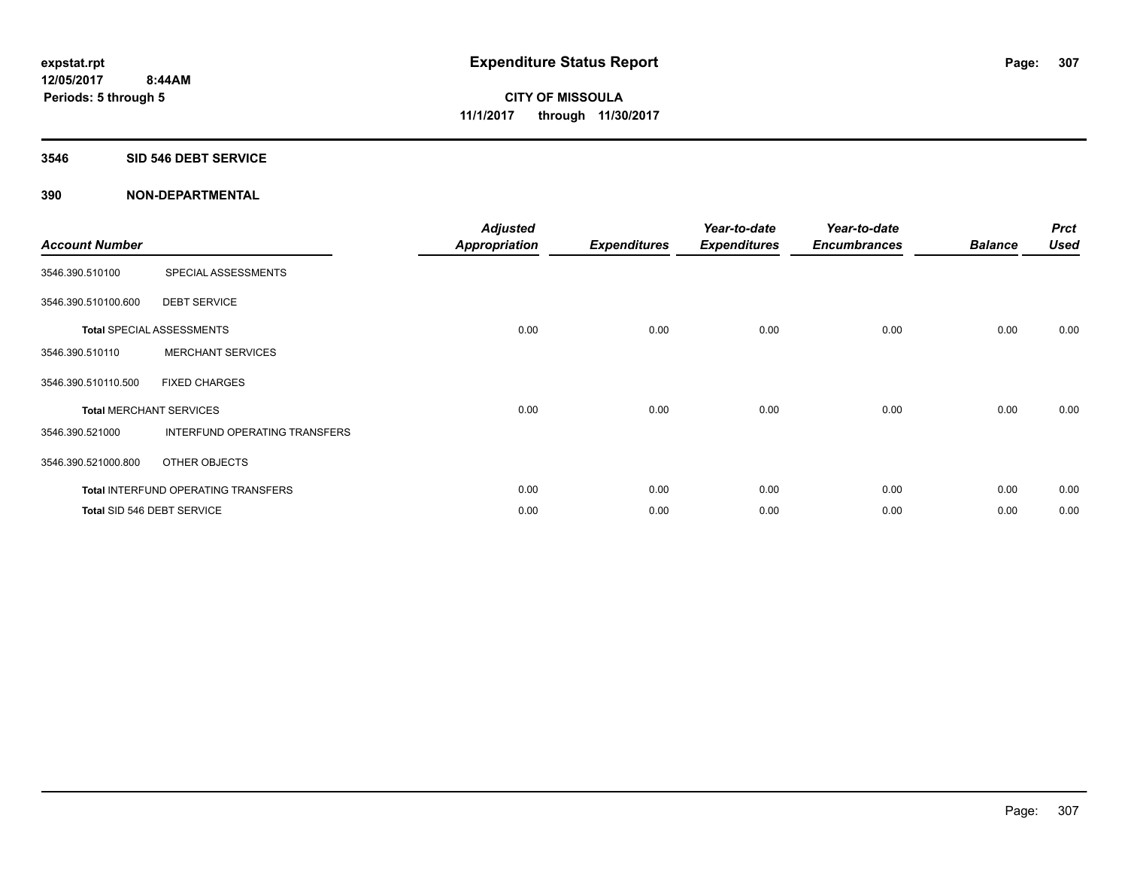#### **3546 SID 546 DEBT SERVICE**

| <b>Account Number</b> |                                     | <b>Adjusted</b><br><b>Appropriation</b> | <b>Expenditures</b> | Year-to-date<br><b>Expenditures</b> | Year-to-date<br><b>Encumbrances</b> | <b>Balance</b> | <b>Prct</b><br><b>Used</b> |
|-----------------------|-------------------------------------|-----------------------------------------|---------------------|-------------------------------------|-------------------------------------|----------------|----------------------------|
| 3546.390.510100       | SPECIAL ASSESSMENTS                 |                                         |                     |                                     |                                     |                |                            |
| 3546.390.510100.600   | <b>DEBT SERVICE</b>                 |                                         |                     |                                     |                                     |                |                            |
|                       | Total SPECIAL ASSESSMENTS           | 0.00                                    | 0.00                | 0.00                                | 0.00                                | 0.00           | 0.00                       |
| 3546.390.510110       | <b>MERCHANT SERVICES</b>            |                                         |                     |                                     |                                     |                |                            |
| 3546.390.510110.500   | <b>FIXED CHARGES</b>                |                                         |                     |                                     |                                     |                |                            |
|                       | <b>Total MERCHANT SERVICES</b>      | 0.00                                    | 0.00                | 0.00                                | 0.00                                | 0.00           | 0.00                       |
| 3546.390.521000       | INTERFUND OPERATING TRANSFERS       |                                         |                     |                                     |                                     |                |                            |
| 3546.390.521000.800   | OTHER OBJECTS                       |                                         |                     |                                     |                                     |                |                            |
|                       | Total INTERFUND OPERATING TRANSFERS | 0.00                                    | 0.00                | 0.00                                | 0.00                                | 0.00           | 0.00                       |
|                       | Total SID 546 DEBT SERVICE          | 0.00                                    | 0.00                | 0.00                                | 0.00                                | 0.00           | 0.00                       |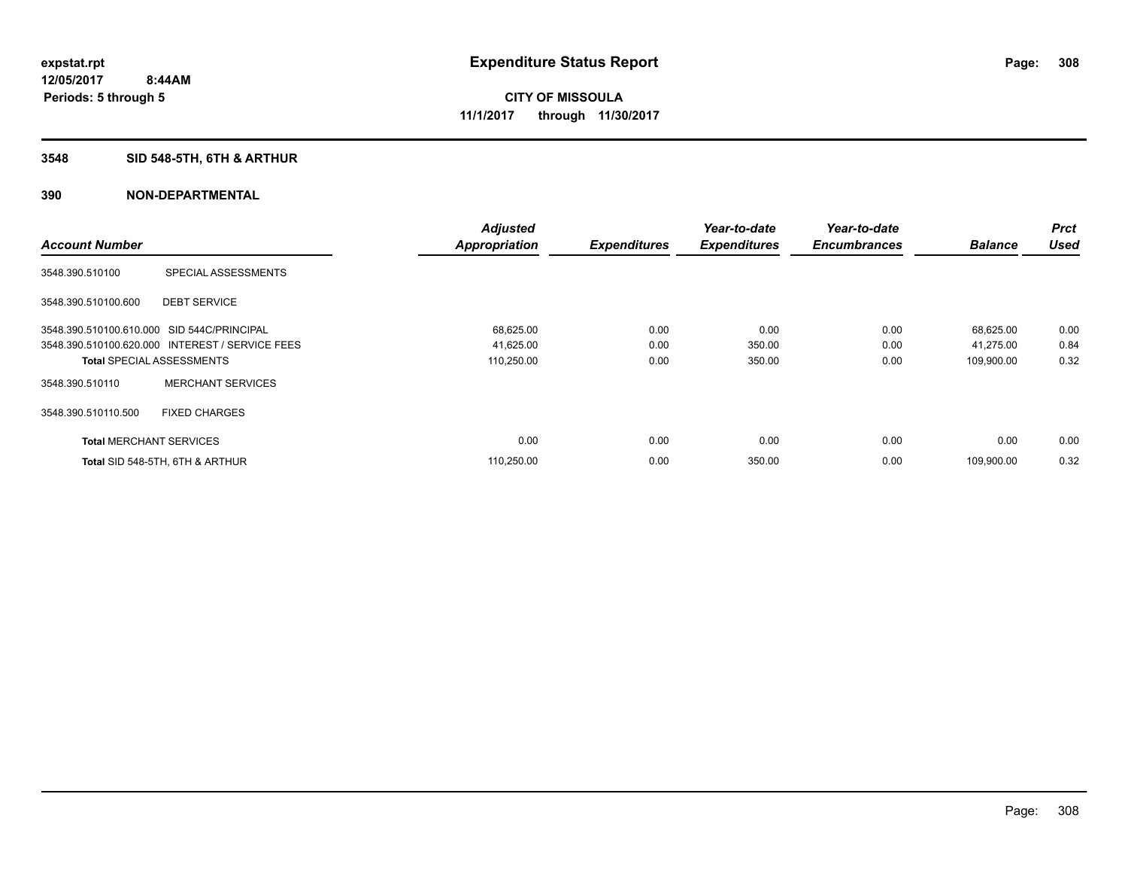## **3548 SID 548-5TH, 6TH & ARTHUR**

|                                            |                                                 | <b>Adjusted</b>      |                     | Year-to-date        | Year-to-date        |                | <b>Prct</b> |
|--------------------------------------------|-------------------------------------------------|----------------------|---------------------|---------------------|---------------------|----------------|-------------|
| <b>Account Number</b>                      |                                                 | <b>Appropriation</b> | <b>Expenditures</b> | <b>Expenditures</b> | <b>Encumbrances</b> | <b>Balance</b> | <b>Used</b> |
| 3548.390.510100                            | SPECIAL ASSESSMENTS                             |                      |                     |                     |                     |                |             |
| 3548.390.510100.600                        | <b>DEBT SERVICE</b>                             |                      |                     |                     |                     |                |             |
| 3548.390.510100.610.000 SID 544C/PRINCIPAL |                                                 | 68,625.00            | 0.00                | 0.00                | 0.00                | 68,625.00      | 0.00        |
|                                            | 3548.390.510100.620.000 INTEREST / SERVICE FEES | 41,625.00            | 0.00                | 350.00              | 0.00                | 41,275.00      | 0.84        |
| <b>Total SPECIAL ASSESSMENTS</b>           |                                                 | 110,250.00           | 0.00                | 350.00              | 0.00                | 109,900.00     | 0.32        |
| 3548.390.510110                            | <b>MERCHANT SERVICES</b>                        |                      |                     |                     |                     |                |             |
| 3548.390.510110.500                        | <b>FIXED CHARGES</b>                            |                      |                     |                     |                     |                |             |
| <b>Total MERCHANT SERVICES</b>             |                                                 | 0.00                 | 0.00                | 0.00                | 0.00                | 0.00           | 0.00        |
|                                            | Total SID 548-5TH, 6TH & ARTHUR                 | 110,250.00           | 0.00                | 350.00              | 0.00                | 109.900.00     | 0.32        |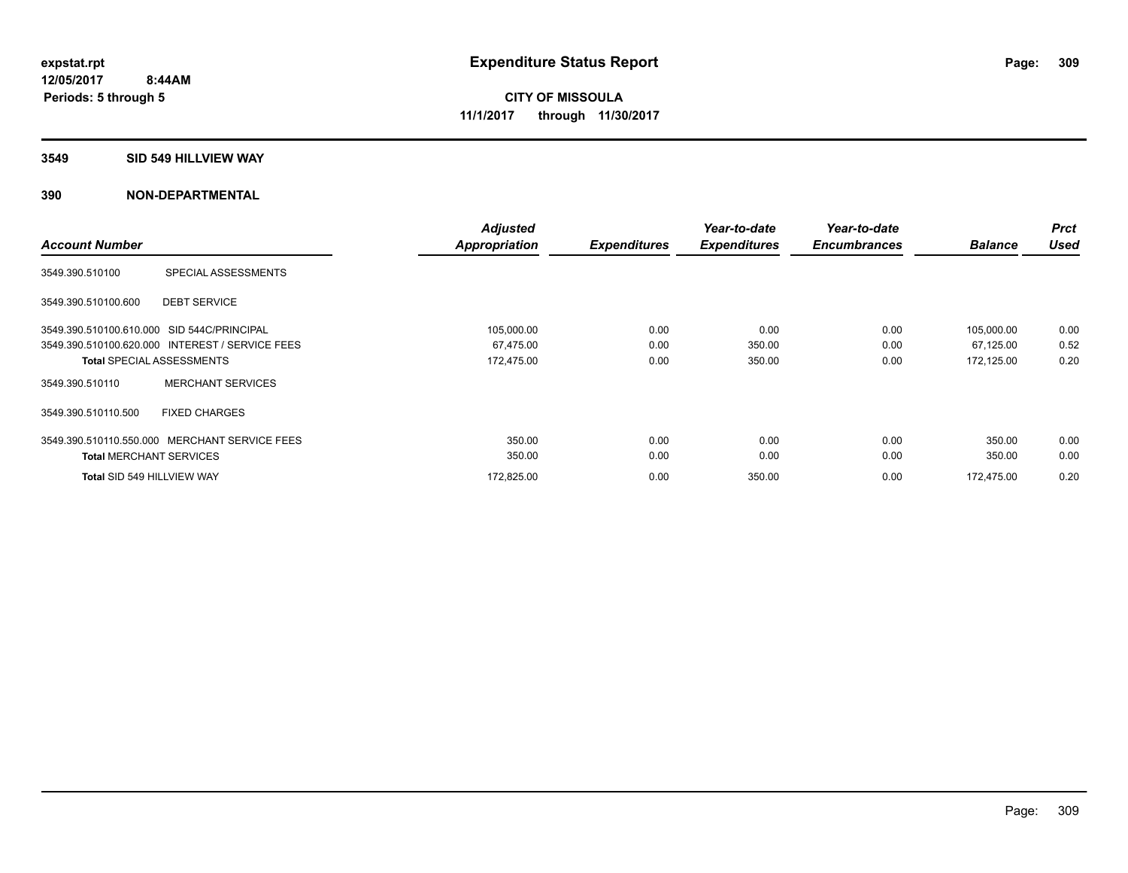#### **3549 SID 549 HILLVIEW WAY**

|                                |                                                 | <b>Adjusted</b> |                     | Year-to-date        | Year-to-date        |                | <b>Prct</b> |
|--------------------------------|-------------------------------------------------|-----------------|---------------------|---------------------|---------------------|----------------|-------------|
| <b>Account Number</b>          |                                                 | Appropriation   | <b>Expenditures</b> | <b>Expenditures</b> | <b>Encumbrances</b> | <b>Balance</b> | <b>Used</b> |
| 3549.390.510100                | SPECIAL ASSESSMENTS                             |                 |                     |                     |                     |                |             |
| 3549.390.510100.600            | <b>DEBT SERVICE</b>                             |                 |                     |                     |                     |                |             |
|                                | 3549.390.510100.610.000 SID 544C/PRINCIPAL      | 105,000.00      | 0.00                | 0.00                | 0.00                | 105,000.00     | 0.00        |
|                                | 3549.390.510100.620.000 INTEREST / SERVICE FEES | 67,475.00       | 0.00                | 350.00              | 0.00                | 67,125.00      | 0.52        |
|                                | <b>Total SPECIAL ASSESSMENTS</b>                | 172,475.00      | 0.00                | 350.00              | 0.00                | 172,125.00     | 0.20        |
| 3549.390.510110                | <b>MERCHANT SERVICES</b>                        |                 |                     |                     |                     |                |             |
| 3549.390.510110.500            | <b>FIXED CHARGES</b>                            |                 |                     |                     |                     |                |             |
|                                | 3549.390.510110.550.000 MERCHANT SERVICE FEES   | 350.00          | 0.00                | 0.00                | 0.00                | 350.00         | 0.00        |
| <b>Total MERCHANT SERVICES</b> |                                                 | 350.00          | 0.00                | 0.00                | 0.00                | 350.00         | 0.00        |
| Total SID 549 HILLVIEW WAY     |                                                 | 172,825.00      | 0.00                | 350.00              | 0.00                | 172.475.00     | 0.20        |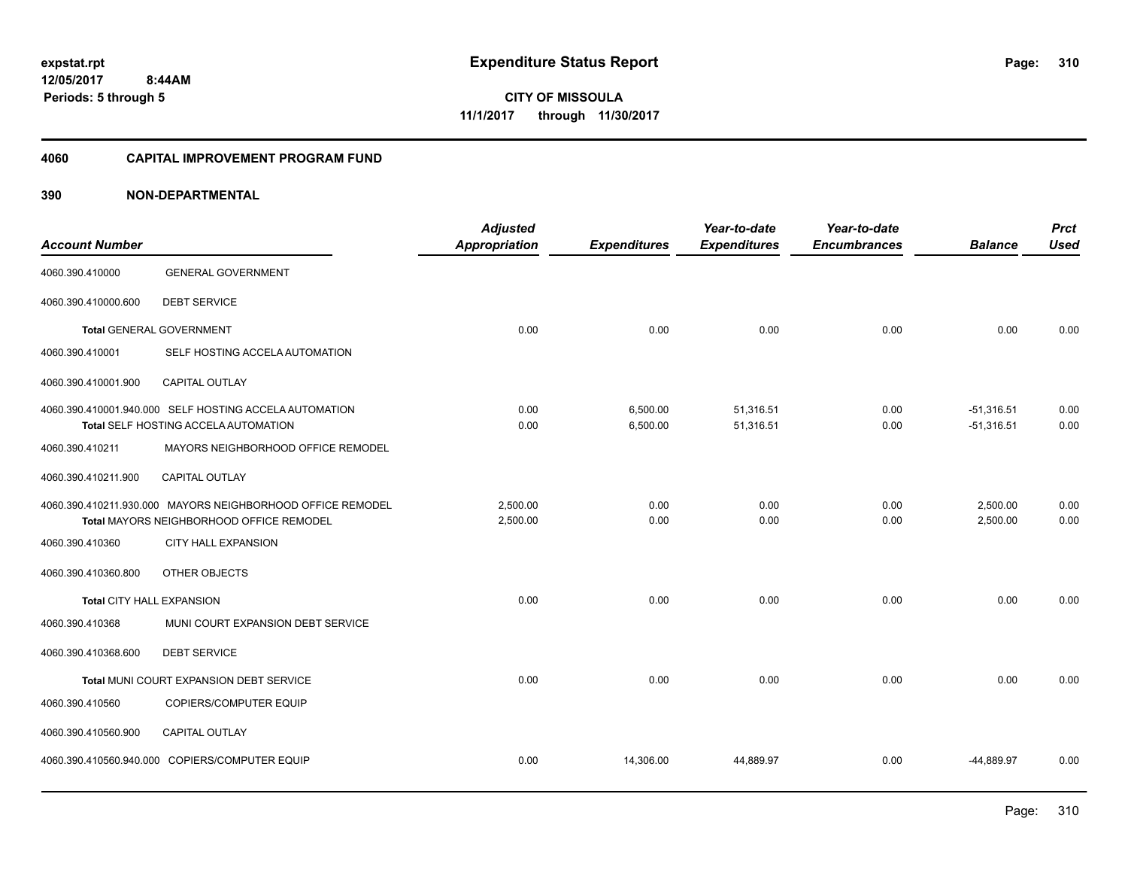**CITY OF MISSOULA 11/1/2017 through 11/30/2017**

#### **4060 CAPITAL IMPROVEMENT PROGRAM FUND**

|                           |                                                                                                | <b>Adjusted</b> |                      | Year-to-date           | Year-to-date        |                              | <b>Prct</b>  |
|---------------------------|------------------------------------------------------------------------------------------------|-----------------|----------------------|------------------------|---------------------|------------------------------|--------------|
| <b>Account Number</b>     |                                                                                                | Appropriation   | <b>Expenditures</b>  | <b>Expenditures</b>    | <b>Encumbrances</b> | <b>Balance</b>               | <b>Used</b>  |
| 4060.390.410000           | <b>GENERAL GOVERNMENT</b>                                                                      |                 |                      |                        |                     |                              |              |
| 4060.390.410000.600       | <b>DEBT SERVICE</b>                                                                            |                 |                      |                        |                     |                              |              |
|                           | <b>Total GENERAL GOVERNMENT</b>                                                                | 0.00            | 0.00                 | 0.00                   | 0.00                | 0.00                         | 0.00         |
| 4060.390.410001           | SELF HOSTING ACCELA AUTOMATION                                                                 |                 |                      |                        |                     |                              |              |
| 4060.390.410001.900       | <b>CAPITAL OUTLAY</b>                                                                          |                 |                      |                        |                     |                              |              |
|                           | 4060.390.410001.940.000 SELF HOSTING ACCELA AUTOMATION<br>Total SELF HOSTING ACCELA AUTOMATION | 0.00<br>0.00    | 6,500.00<br>6,500.00 | 51,316.51<br>51,316.51 | 0.00<br>0.00        | $-51,316.51$<br>$-51,316.51$ | 0.00<br>0.00 |
|                           |                                                                                                |                 |                      |                        |                     |                              |              |
| 4060.390.410211           | MAYORS NEIGHBORHOOD OFFICE REMODEL                                                             |                 |                      |                        |                     |                              |              |
| 4060.390.410211.900       | <b>CAPITAL OUTLAY</b>                                                                          |                 |                      |                        |                     |                              |              |
|                           | 4060.390.410211.930.000 MAYORS NEIGHBORHOOD OFFICE REMODEL                                     | 2.500.00        | 0.00                 | 0.00                   | 0.00                | 2,500.00                     | 0.00         |
|                           | Total MAYORS NEIGHBORHOOD OFFICE REMODEL                                                       | 2,500.00        | 0.00                 | 0.00                   | 0.00                | 2,500.00                     | 0.00         |
| 4060.390.410360           | <b>CITY HALL EXPANSION</b>                                                                     |                 |                      |                        |                     |                              |              |
| 4060.390.410360.800       | OTHER OBJECTS                                                                                  |                 |                      |                        |                     |                              |              |
| Total CITY HALL EXPANSION |                                                                                                | 0.00            | 0.00                 | 0.00                   | 0.00                | 0.00                         | 0.00         |
| 4060.390.410368           | MUNI COURT EXPANSION DEBT SERVICE                                                              |                 |                      |                        |                     |                              |              |
| 4060.390.410368.600       | <b>DEBT SERVICE</b>                                                                            |                 |                      |                        |                     |                              |              |
|                           | Total MUNI COURT EXPANSION DEBT SERVICE                                                        | 0.00            | 0.00                 | 0.00                   | 0.00                | 0.00                         | 0.00         |
| 4060.390.410560           | COPIERS/COMPUTER EQUIP                                                                         |                 |                      |                        |                     |                              |              |
| 4060.390.410560.900       | CAPITAL OUTLAY                                                                                 |                 |                      |                        |                     |                              |              |
|                           | 4060.390.410560.940.000 COPIERS/COMPUTER EQUIP                                                 | 0.00            | 14,306.00            | 44,889.97              | 0.00                | -44,889.97                   | 0.00         |
|                           |                                                                                                |                 |                      |                        |                     |                              |              |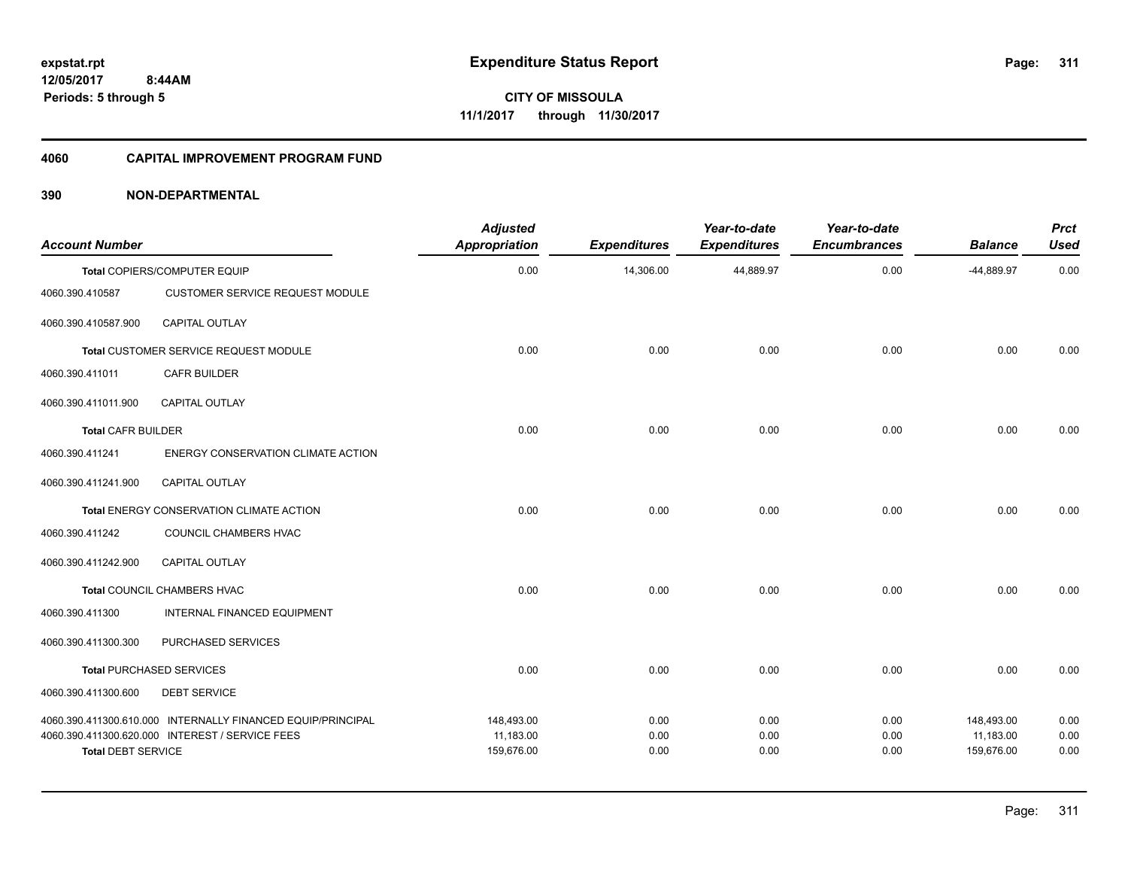#### **4060 CAPITAL IMPROVEMENT PROGRAM FUND**

| <b>Account Number</b>     |                                                                                                                | <b>Adjusted</b><br><b>Appropriation</b> | <b>Expenditures</b>  | Year-to-date<br><b>Expenditures</b> | Year-to-date<br><b>Encumbrances</b> | <b>Balance</b>                        | <b>Prct</b><br><b>Used</b> |
|---------------------------|----------------------------------------------------------------------------------------------------------------|-----------------------------------------|----------------------|-------------------------------------|-------------------------------------|---------------------------------------|----------------------------|
|                           | Total COPIERS/COMPUTER EQUIP                                                                                   | 0.00                                    | 14,306.00            | 44,889.97                           | 0.00                                | -44,889.97                            | 0.00                       |
| 4060.390.410587           | <b>CUSTOMER SERVICE REQUEST MODULE</b>                                                                         |                                         |                      |                                     |                                     |                                       |                            |
| 4060.390.410587.900       | CAPITAL OUTLAY                                                                                                 |                                         |                      |                                     |                                     |                                       |                            |
|                           | Total CUSTOMER SERVICE REQUEST MODULE                                                                          | 0.00                                    | 0.00                 | 0.00                                | 0.00                                | 0.00                                  | 0.00                       |
| 4060.390.411011           | <b>CAFR BUILDER</b>                                                                                            |                                         |                      |                                     |                                     |                                       |                            |
| 4060.390.411011.900       | <b>CAPITAL OUTLAY</b>                                                                                          |                                         |                      |                                     |                                     |                                       |                            |
| <b>Total CAFR BUILDER</b> |                                                                                                                | 0.00                                    | 0.00                 | 0.00                                | 0.00                                | 0.00                                  | 0.00                       |
| 4060.390.411241           | <b>ENERGY CONSERVATION CLIMATE ACTION</b>                                                                      |                                         |                      |                                     |                                     |                                       |                            |
| 4060.390.411241.900       | CAPITAL OUTLAY                                                                                                 |                                         |                      |                                     |                                     |                                       |                            |
|                           | Total ENERGY CONSERVATION CLIMATE ACTION                                                                       | 0.00                                    | 0.00                 | 0.00                                | 0.00                                | 0.00                                  | 0.00                       |
| 4060.390.411242           | COUNCIL CHAMBERS HVAC                                                                                          |                                         |                      |                                     |                                     |                                       |                            |
| 4060.390.411242.900       | <b>CAPITAL OUTLAY</b>                                                                                          |                                         |                      |                                     |                                     |                                       |                            |
|                           | Total COUNCIL CHAMBERS HVAC                                                                                    | 0.00                                    | 0.00                 | 0.00                                | 0.00                                | 0.00                                  | 0.00                       |
| 4060.390.411300           | <b>INTERNAL FINANCED EQUIPMENT</b>                                                                             |                                         |                      |                                     |                                     |                                       |                            |
| 4060.390.411300.300       | PURCHASED SERVICES                                                                                             |                                         |                      |                                     |                                     |                                       |                            |
|                           | <b>Total PURCHASED SERVICES</b>                                                                                | 0.00                                    | 0.00                 | 0.00                                | 0.00                                | 0.00                                  | 0.00                       |
| 4060.390.411300.600       | <b>DEBT SERVICE</b>                                                                                            |                                         |                      |                                     |                                     |                                       |                            |
| <b>Total DEBT SERVICE</b> | 4060.390.411300.610.000 INTERNALLY FINANCED EQUIP/PRINCIPAL<br>4060.390.411300.620.000 INTEREST / SERVICE FEES | 148,493.00<br>11,183.00<br>159,676.00   | 0.00<br>0.00<br>0.00 | 0.00<br>0.00<br>0.00                | 0.00<br>0.00<br>0.00                | 148,493.00<br>11,183.00<br>159,676.00 | 0.00<br>0.00<br>0.00       |
|                           |                                                                                                                |                                         |                      |                                     |                                     |                                       |                            |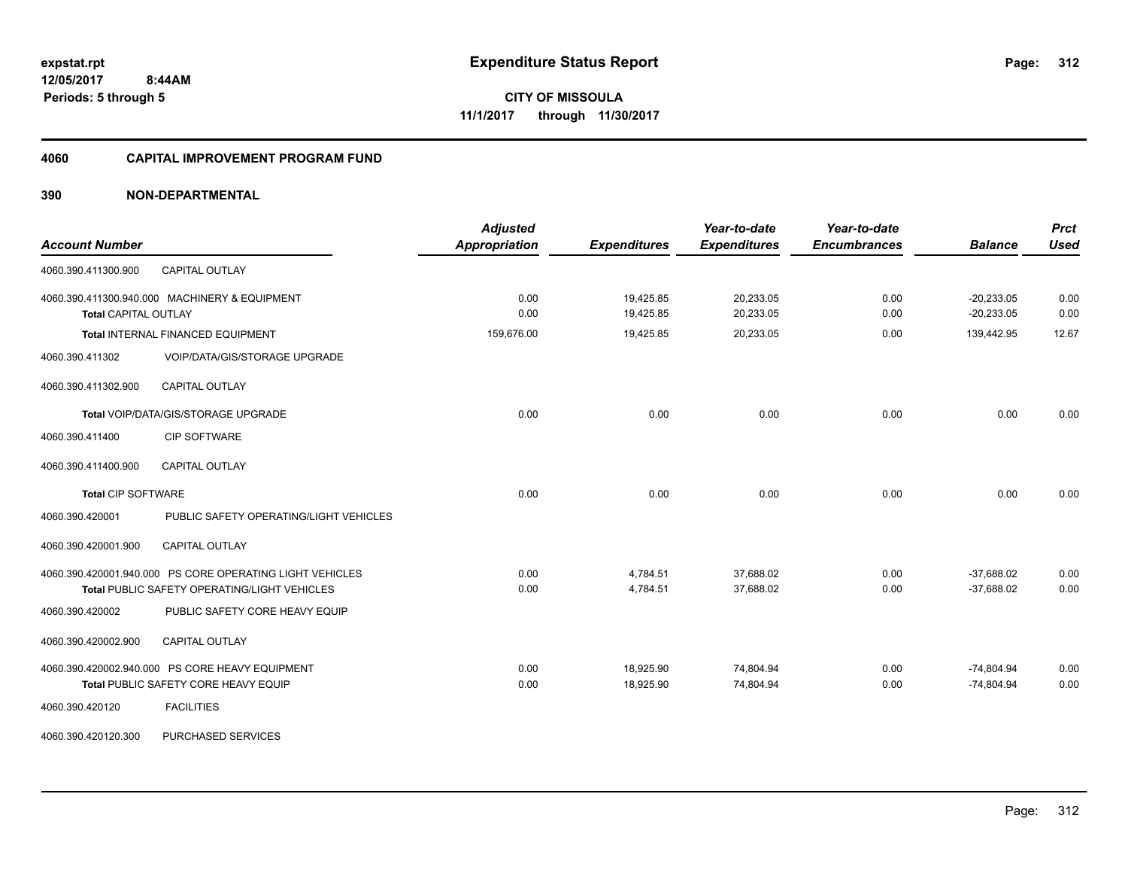#### **4060 CAPITAL IMPROVEMENT PROGRAM FUND**

| <b>Account Number</b>                                                                                    | <b>Adjusted</b><br><b>Appropriation</b> | <b>Expenditures</b>    | Year-to-date<br><b>Expenditures</b> | Year-to-date<br><b>Encumbrances</b> | <b>Balance</b>               | <b>Prct</b><br><b>Used</b> |
|----------------------------------------------------------------------------------------------------------|-----------------------------------------|------------------------|-------------------------------------|-------------------------------------|------------------------------|----------------------------|
| CAPITAL OUTLAY<br>4060.390.411300.900                                                                    |                                         |                        |                                     |                                     |                              |                            |
| 4060.390.411300.940.000 MACHINERY & EQUIPMENT<br><b>Total CAPITAL OUTLAY</b>                             | 0.00<br>0.00                            | 19,425.85<br>19,425.85 | 20,233.05<br>20,233.05              | 0.00<br>0.00                        | $-20,233.05$<br>$-20,233.05$ | 0.00<br>0.00               |
| Total INTERNAL FINANCED EQUIPMENT                                                                        | 159,676.00                              | 19,425.85              | 20,233.05                           | 0.00                                | 139,442.95                   | 12.67                      |
| 4060.390.411302<br>VOIP/DATA/GIS/STORAGE UPGRADE                                                         |                                         |                        |                                     |                                     |                              |                            |
| 4060.390.411302.900<br><b>CAPITAL OUTLAY</b>                                                             |                                         |                        |                                     |                                     |                              |                            |
| Total VOIP/DATA/GIS/STORAGE UPGRADE                                                                      | 0.00                                    | 0.00                   | 0.00                                | 0.00                                | 0.00                         | 0.00                       |
| <b>CIP SOFTWARE</b><br>4060.390.411400                                                                   |                                         |                        |                                     |                                     |                              |                            |
| 4060.390.411400.900<br><b>CAPITAL OUTLAY</b>                                                             |                                         |                        |                                     |                                     |                              |                            |
| <b>Total CIP SOFTWARE</b>                                                                                | 0.00                                    | 0.00                   | 0.00                                | 0.00                                | 0.00                         | 0.00                       |
| 4060.390.420001<br>PUBLIC SAFETY OPERATING/LIGHT VEHICLES                                                |                                         |                        |                                     |                                     |                              |                            |
| CAPITAL OUTLAY<br>4060.390.420001.900                                                                    |                                         |                        |                                     |                                     |                              |                            |
| 4060.390.420001.940.000 PS CORE OPERATING LIGHT VEHICLES<br>Total PUBLIC SAFETY OPERATING/LIGHT VEHICLES | 0.00<br>0.00                            | 4,784.51<br>4,784.51   | 37,688.02<br>37,688.02              | 0.00<br>0.00                        | $-37,688.02$<br>$-37,688.02$ | 0.00<br>0.00               |
| PUBLIC SAFETY CORE HEAVY EQUIP<br>4060.390.420002                                                        |                                         |                        |                                     |                                     |                              |                            |
| 4060.390.420002.900<br><b>CAPITAL OUTLAY</b>                                                             |                                         |                        |                                     |                                     |                              |                            |
| 4060.390.420002.940.000 PS CORE HEAVY EQUIPMENT<br>Total PUBLIC SAFETY CORE HEAVY EQUIP                  | 0.00<br>0.00                            | 18,925.90<br>18,925.90 | 74,804.94<br>74,804.94              | 0.00<br>0.00                        | $-74,804.94$<br>$-74,804.94$ | 0.00<br>0.00               |
| <b>FACILITIES</b><br>4060.390.420120                                                                     |                                         |                        |                                     |                                     |                              |                            |
| 4060.390.420120.300<br>PURCHASED SERVICES                                                                |                                         |                        |                                     |                                     |                              |                            |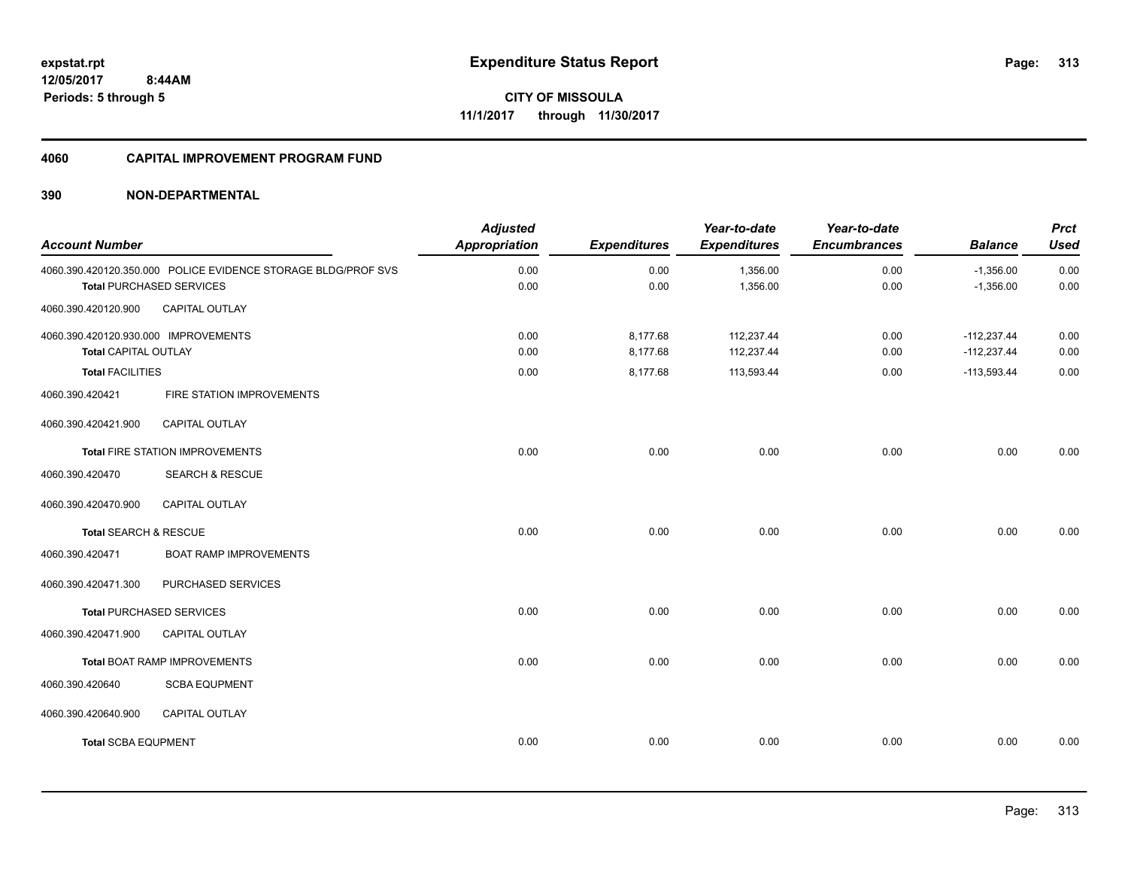**313**

**CITY OF MISSOULA 11/1/2017 through 11/30/2017**

#### **4060 CAPITAL IMPROVEMENT PROGRAM FUND**

| <b>Account Number</b>                                        |                                                                                                  | <b>Adjusted</b><br><b>Appropriation</b> | <b>Expenditures</b>  | Year-to-date<br><b>Expenditures</b> | Year-to-date<br><b>Encumbrances</b> | <b>Balance</b>                 | <b>Prct</b><br><b>Used</b> |
|--------------------------------------------------------------|--------------------------------------------------------------------------------------------------|-----------------------------------------|----------------------|-------------------------------------|-------------------------------------|--------------------------------|----------------------------|
|                                                              | 4060.390.420120.350.000 POLICE EVIDENCE STORAGE BLDG/PROF SVS<br><b>Total PURCHASED SERVICES</b> | 0.00<br>0.00                            | 0.00<br>0.00         | 1,356.00<br>1,356.00                | 0.00<br>0.00                        | $-1,356.00$<br>$-1,356.00$     | 0.00<br>0.00               |
| 4060.390.420120.900                                          | CAPITAL OUTLAY                                                                                   |                                         |                      |                                     |                                     |                                |                            |
| 4060.390.420120.930.000 IMPROVEMENTS<br>Total CAPITAL OUTLAY |                                                                                                  | 0.00<br>0.00                            | 8,177.68<br>8,177.68 | 112,237.44<br>112,237.44            | 0.00<br>0.00                        | $-112,237.44$<br>$-112,237.44$ | 0.00<br>0.00               |
| <b>Total FACILITIES</b>                                      |                                                                                                  | 0.00                                    | 8,177.68             | 113,593.44                          | 0.00                                | $-113,593.44$                  | 0.00                       |
| 4060.390.420421                                              | FIRE STATION IMPROVEMENTS                                                                        |                                         |                      |                                     |                                     |                                |                            |
| 4060.390.420421.900                                          | CAPITAL OUTLAY                                                                                   |                                         |                      |                                     |                                     |                                |                            |
|                                                              | <b>Total FIRE STATION IMPROVEMENTS</b>                                                           | 0.00                                    | 0.00                 | 0.00                                | 0.00                                | 0.00                           | 0.00                       |
| 4060.390.420470                                              | <b>SEARCH &amp; RESCUE</b>                                                                       |                                         |                      |                                     |                                     |                                |                            |
| 4060.390.420470.900                                          | <b>CAPITAL OUTLAY</b>                                                                            |                                         |                      |                                     |                                     |                                |                            |
| Total SEARCH & RESCUE                                        |                                                                                                  | 0.00                                    | 0.00                 | 0.00                                | 0.00                                | 0.00                           | 0.00                       |
| 4060.390.420471                                              | <b>BOAT RAMP IMPROVEMENTS</b>                                                                    |                                         |                      |                                     |                                     |                                |                            |
| 4060.390.420471.300                                          | PURCHASED SERVICES                                                                               |                                         |                      |                                     |                                     |                                |                            |
|                                                              | <b>Total PURCHASED SERVICES</b>                                                                  | 0.00                                    | 0.00                 | 0.00                                | 0.00                                | 0.00                           | 0.00                       |
| 4060.390.420471.900                                          | <b>CAPITAL OUTLAY</b>                                                                            |                                         |                      |                                     |                                     |                                |                            |
|                                                              | <b>Total BOAT RAMP IMPROVEMENTS</b>                                                              | 0.00                                    | 0.00                 | 0.00                                | 0.00                                | 0.00                           | 0.00                       |
| 4060.390.420640                                              | <b>SCBA EQUPMENT</b>                                                                             |                                         |                      |                                     |                                     |                                |                            |
| 4060.390.420640.900                                          | CAPITAL OUTLAY                                                                                   |                                         |                      |                                     |                                     |                                |                            |
| <b>Total SCBA EQUPMENT</b>                                   |                                                                                                  | 0.00                                    | 0.00                 | 0.00                                | 0.00                                | 0.00                           | 0.00                       |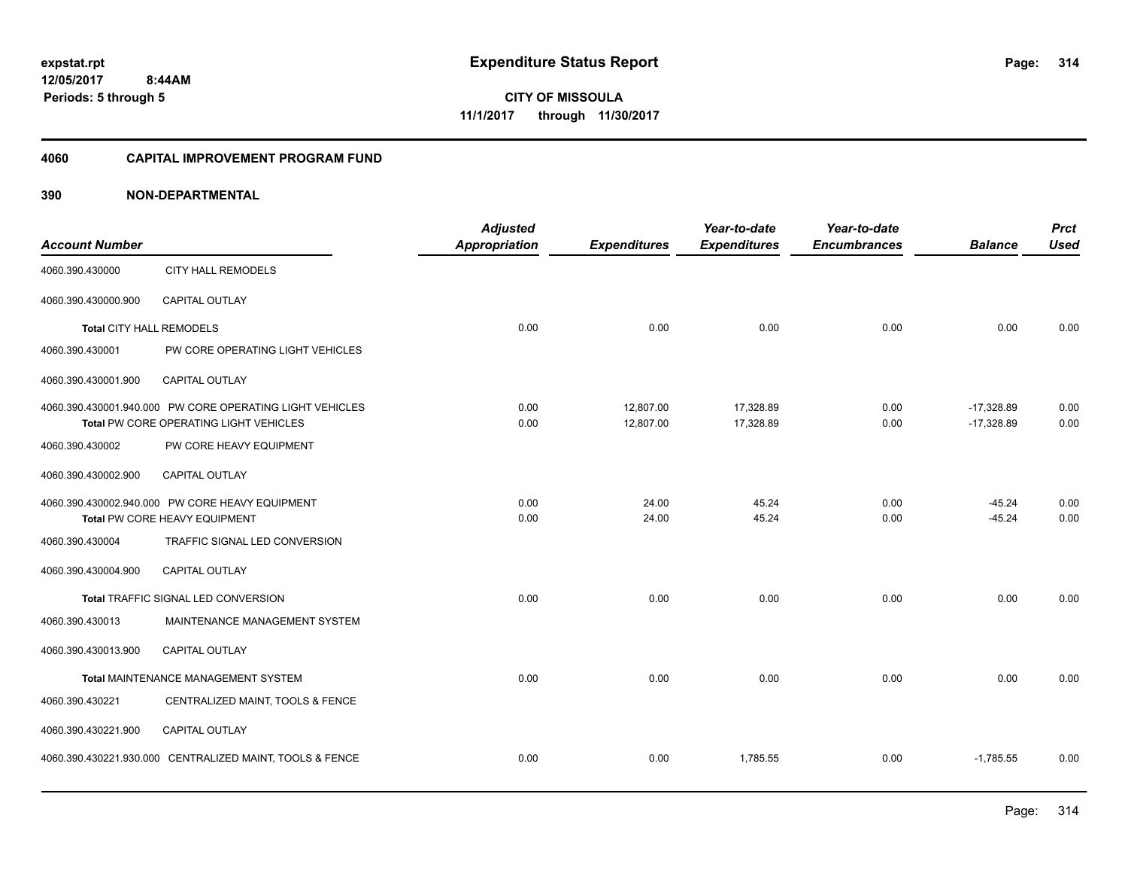#### **4060 CAPITAL IMPROVEMENT PROGRAM FUND**

| <b>Account Number</b>           |                                                                                                    | <b>Adjusted</b><br>Appropriation | <b>Expenditures</b>    | Year-to-date<br><b>Expenditures</b> | Year-to-date<br><b>Encumbrances</b> | <b>Balance</b>               | <b>Prct</b><br><b>Used</b> |
|---------------------------------|----------------------------------------------------------------------------------------------------|----------------------------------|------------------------|-------------------------------------|-------------------------------------|------------------------------|----------------------------|
| 4060.390.430000                 | <b>CITY HALL REMODELS</b>                                                                          |                                  |                        |                                     |                                     |                              |                            |
| 4060.390.430000.900             | <b>CAPITAL OUTLAY</b>                                                                              |                                  |                        |                                     |                                     |                              |                            |
| <b>Total CITY HALL REMODELS</b> |                                                                                                    | 0.00                             | 0.00                   | 0.00                                | 0.00                                | 0.00                         | 0.00                       |
| 4060.390.430001                 | PW CORE OPERATING LIGHT VEHICLES                                                                   |                                  |                        |                                     |                                     |                              |                            |
| 4060.390.430001.900             | <b>CAPITAL OUTLAY</b>                                                                              |                                  |                        |                                     |                                     |                              |                            |
|                                 | 4060.390.430001.940.000 PW CORE OPERATING LIGHT VEHICLES<br>Total PW CORE OPERATING LIGHT VEHICLES | 0.00<br>0.00                     | 12,807.00<br>12,807.00 | 17,328.89<br>17,328.89              | 0.00<br>0.00                        | $-17,328.89$<br>$-17,328.89$ | 0.00<br>0.00               |
| 4060.390.430002                 | PW CORE HEAVY EQUIPMENT                                                                            |                                  |                        |                                     |                                     |                              |                            |
| 4060.390.430002.900             | <b>CAPITAL OUTLAY</b>                                                                              |                                  |                        |                                     |                                     |                              |                            |
|                                 | 4060.390.430002.940.000 PW CORE HEAVY EQUIPMENT<br>Total PW CORE HEAVY EQUIPMENT                   | 0.00<br>0.00                     | 24.00<br>24.00         | 45.24<br>45.24                      | 0.00<br>0.00                        | $-45.24$<br>$-45.24$         | 0.00<br>0.00               |
| 4060.390.430004                 | TRAFFIC SIGNAL LED CONVERSION                                                                      |                                  |                        |                                     |                                     |                              |                            |
| 4060.390.430004.900             | CAPITAL OUTLAY                                                                                     |                                  |                        |                                     |                                     |                              |                            |
|                                 | Total TRAFFIC SIGNAL LED CONVERSION                                                                | 0.00                             | 0.00                   | 0.00                                | 0.00                                | 0.00                         | 0.00                       |
| 4060.390.430013                 | MAINTENANCE MANAGEMENT SYSTEM                                                                      |                                  |                        |                                     |                                     |                              |                            |
| 4060.390.430013.900             | CAPITAL OUTLAY                                                                                     |                                  |                        |                                     |                                     |                              |                            |
|                                 | Total MAINTENANCE MANAGEMENT SYSTEM                                                                | 0.00                             | 0.00                   | 0.00                                | 0.00                                | 0.00                         | 0.00                       |
| 4060.390.430221                 | CENTRALIZED MAINT, TOOLS & FENCE                                                                   |                                  |                        |                                     |                                     |                              |                            |
| 4060.390.430221.900             | <b>CAPITAL OUTLAY</b>                                                                              |                                  |                        |                                     |                                     |                              |                            |
|                                 | 4060.390.430221.930.000 CENTRALIZED MAINT, TOOLS & FENCE                                           | 0.00                             | 0.00                   | 1,785.55                            | 0.00                                | $-1,785.55$                  | 0.00                       |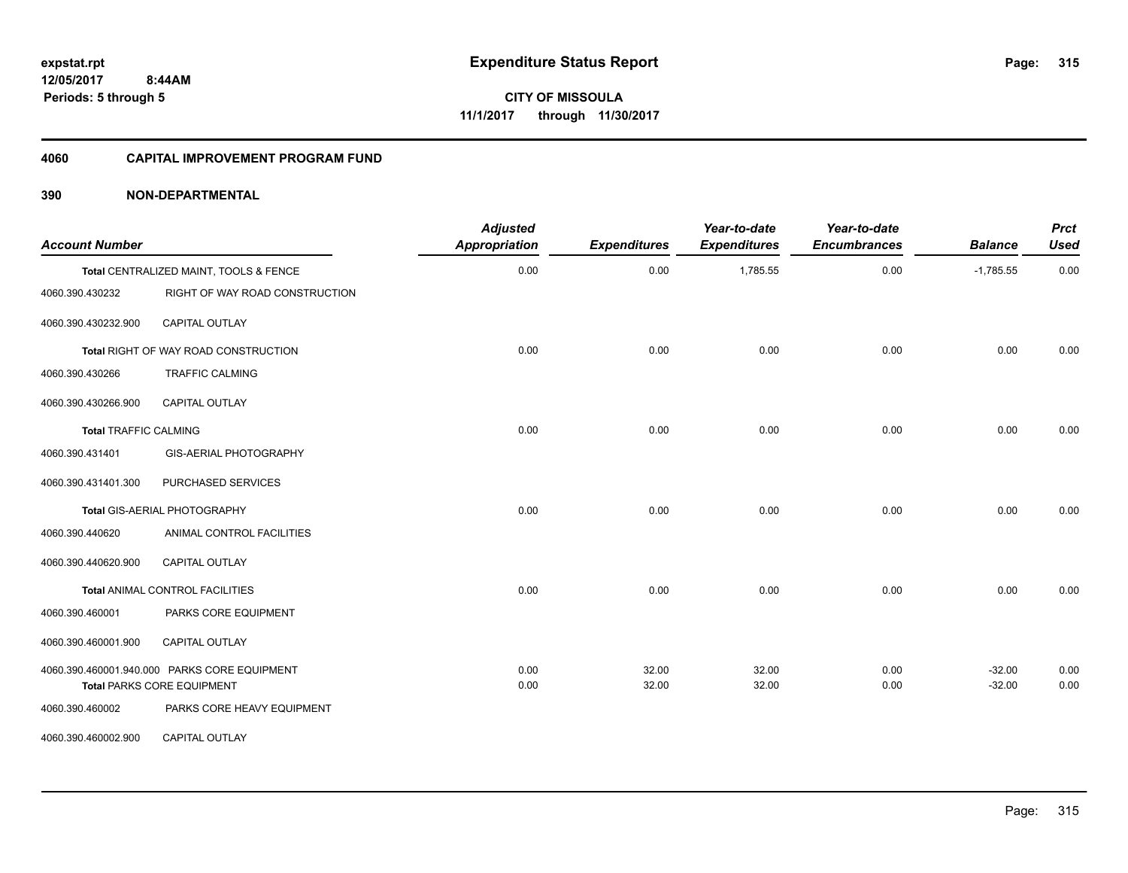#### **4060 CAPITAL IMPROVEMENT PROGRAM FUND**

| <b>Account Number</b>        |                                                                 | <b>Adjusted</b><br><b>Appropriation</b> | <b>Expenditures</b> | Year-to-date<br><b>Expenditures</b> | Year-to-date<br><b>Encumbrances</b> | <b>Balance</b> | <b>Prct</b><br><b>Used</b> |
|------------------------------|-----------------------------------------------------------------|-----------------------------------------|---------------------|-------------------------------------|-------------------------------------|----------------|----------------------------|
|                              | Total CENTRALIZED MAINT, TOOLS & FENCE                          | 0.00                                    | 0.00                | 1,785.55                            | 0.00                                | $-1,785.55$    | 0.00                       |
| 4060.390.430232              | RIGHT OF WAY ROAD CONSTRUCTION                                  |                                         |                     |                                     |                                     |                |                            |
| 4060.390.430232.900          | CAPITAL OUTLAY                                                  |                                         |                     |                                     |                                     |                |                            |
|                              | Total RIGHT OF WAY ROAD CONSTRUCTION                            | 0.00                                    | 0.00                | 0.00                                | 0.00                                | 0.00           | 0.00                       |
| 4060.390.430266              | <b>TRAFFIC CALMING</b>                                          |                                         |                     |                                     |                                     |                |                            |
| 4060.390.430266.900          | <b>CAPITAL OUTLAY</b>                                           |                                         |                     |                                     |                                     |                |                            |
| <b>Total TRAFFIC CALMING</b> |                                                                 | 0.00                                    | 0.00                | 0.00                                | 0.00                                | 0.00           | 0.00                       |
| 4060.390.431401              | GIS-AERIAL PHOTOGRAPHY                                          |                                         |                     |                                     |                                     |                |                            |
| 4060.390.431401.300          | PURCHASED SERVICES                                              |                                         |                     |                                     |                                     |                |                            |
|                              | Total GIS-AERIAL PHOTOGRAPHY                                    | 0.00                                    | 0.00                | 0.00                                | 0.00                                | 0.00           | 0.00                       |
| 4060.390.440620              | ANIMAL CONTROL FACILITIES                                       |                                         |                     |                                     |                                     |                |                            |
| 4060.390.440620.900          | <b>CAPITAL OUTLAY</b>                                           |                                         |                     |                                     |                                     |                |                            |
|                              | Total ANIMAL CONTROL FACILITIES                                 | 0.00                                    | 0.00                | 0.00                                | 0.00                                | 0.00           | 0.00                       |
| 4060.390.460001              | PARKS CORE EQUIPMENT                                            |                                         |                     |                                     |                                     |                |                            |
| 4060.390.460001.900          | CAPITAL OUTLAY                                                  |                                         |                     |                                     |                                     |                |                            |
|                              | 4060.390.460001.940.000 PARKS CORE EQUIPMENT                    | 0.00                                    | 32.00               | 32.00                               | 0.00                                | $-32.00$       | 0.00                       |
| 4060.390.460002              | <b>Total PARKS CORE EQUIPMENT</b><br>PARKS CORE HEAVY EQUIPMENT | 0.00                                    | 32.00               | 32.00                               | 0.00                                | $-32.00$       | 0.00                       |
|                              |                                                                 |                                         |                     |                                     |                                     |                |                            |
| 4060.390.460002.900          | <b>CAPITAL OUTLAY</b>                                           |                                         |                     |                                     |                                     |                |                            |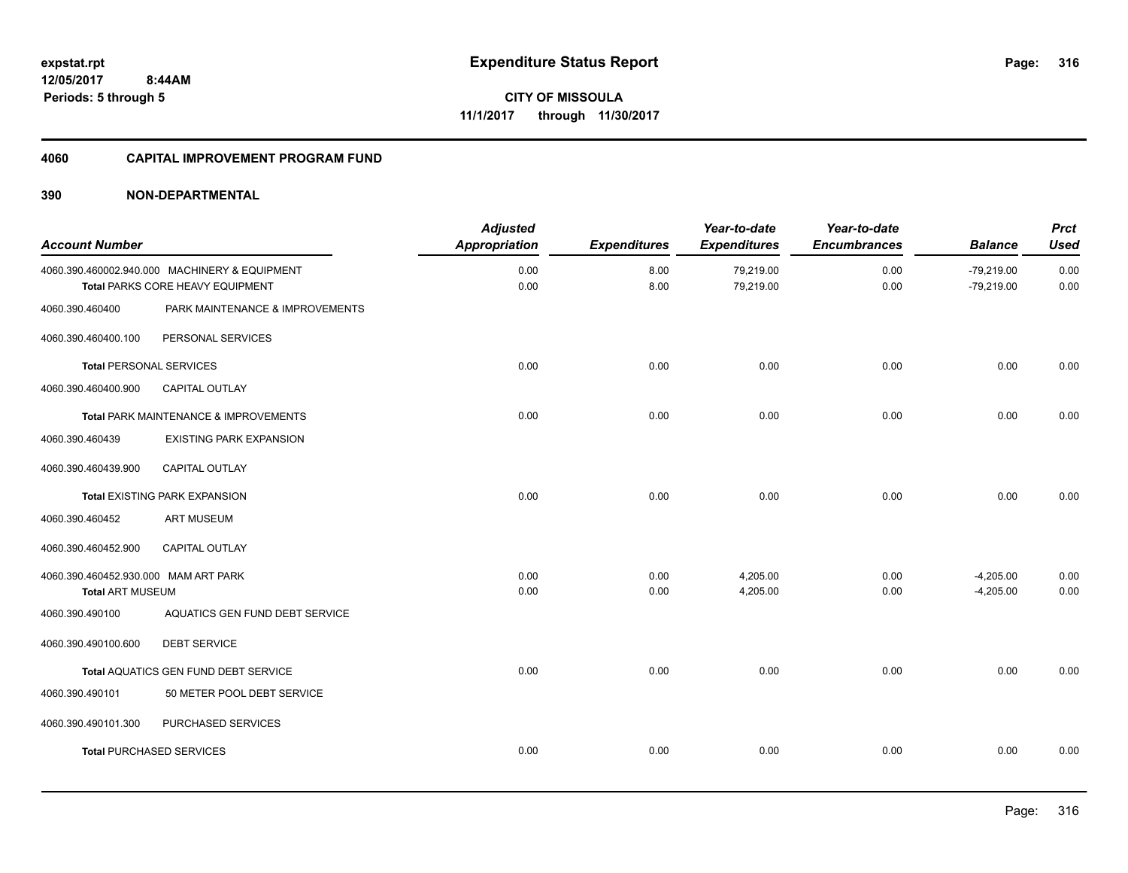## **4060 CAPITAL IMPROVEMENT PROGRAM FUND**

| <b>Account Number</b>                |                                                                                   | <b>Adjusted</b><br><b>Appropriation</b> | <b>Expenditures</b> | Year-to-date<br><b>Expenditures</b> | Year-to-date<br><b>Encumbrances</b> | <b>Balance</b>               | <b>Prct</b><br><b>Used</b> |
|--------------------------------------|-----------------------------------------------------------------------------------|-----------------------------------------|---------------------|-------------------------------------|-------------------------------------|------------------------------|----------------------------|
|                                      | 4060.390.460002.940.000 MACHINERY & EQUIPMENT<br>Total PARKS CORE HEAVY EQUIPMENT | 0.00<br>0.00                            | 8.00<br>8.00        | 79,219.00<br>79,219.00              | 0.00<br>0.00                        | $-79,219.00$<br>$-79,219.00$ | 0.00<br>0.00               |
| 4060.390.460400                      | PARK MAINTENANCE & IMPROVEMENTS                                                   |                                         |                     |                                     |                                     |                              |                            |
| 4060.390.460400.100                  | PERSONAL SERVICES                                                                 |                                         |                     |                                     |                                     |                              |                            |
| <b>Total PERSONAL SERVICES</b>       |                                                                                   | 0.00                                    | 0.00                | 0.00                                | 0.00                                | 0.00                         | 0.00                       |
| 4060.390.460400.900                  | <b>CAPITAL OUTLAY</b>                                                             |                                         |                     |                                     |                                     |                              |                            |
|                                      | Total PARK MAINTENANCE & IMPROVEMENTS                                             | 0.00                                    | 0.00                | 0.00                                | 0.00                                | 0.00                         | 0.00                       |
| 4060.390.460439                      | <b>EXISTING PARK EXPANSION</b>                                                    |                                         |                     |                                     |                                     |                              |                            |
| 4060.390.460439.900                  | CAPITAL OUTLAY                                                                    |                                         |                     |                                     |                                     |                              |                            |
|                                      | <b>Total EXISTING PARK EXPANSION</b>                                              | 0.00                                    | 0.00                | 0.00                                | 0.00                                | 0.00                         | 0.00                       |
| 4060.390.460452                      | <b>ART MUSEUM</b>                                                                 |                                         |                     |                                     |                                     |                              |                            |
| 4060.390.460452.900                  | <b>CAPITAL OUTLAY</b>                                                             |                                         |                     |                                     |                                     |                              |                            |
| 4060.390.460452.930.000 MAM ART PARK |                                                                                   | 0.00                                    | 0.00                | 4,205.00                            | 0.00                                | $-4,205.00$                  | 0.00                       |
| <b>Total ART MUSEUM</b>              |                                                                                   | 0.00                                    | 0.00                | 4,205.00                            | 0.00                                | $-4,205.00$                  | 0.00                       |
| 4060.390.490100                      | AQUATICS GEN FUND DEBT SERVICE                                                    |                                         |                     |                                     |                                     |                              |                            |
| 4060.390.490100.600                  | <b>DEBT SERVICE</b>                                                               |                                         |                     |                                     |                                     |                              |                            |
|                                      | Total AQUATICS GEN FUND DEBT SERVICE                                              | 0.00                                    | 0.00                | 0.00                                | 0.00                                | 0.00                         | 0.00                       |
| 4060.390.490101                      | 50 METER POOL DEBT SERVICE                                                        |                                         |                     |                                     |                                     |                              |                            |
| 4060.390.490101.300                  | PURCHASED SERVICES                                                                |                                         |                     |                                     |                                     |                              |                            |
|                                      | <b>Total PURCHASED SERVICES</b>                                                   | 0.00                                    | 0.00                | 0.00                                | 0.00                                | 0.00                         | 0.00                       |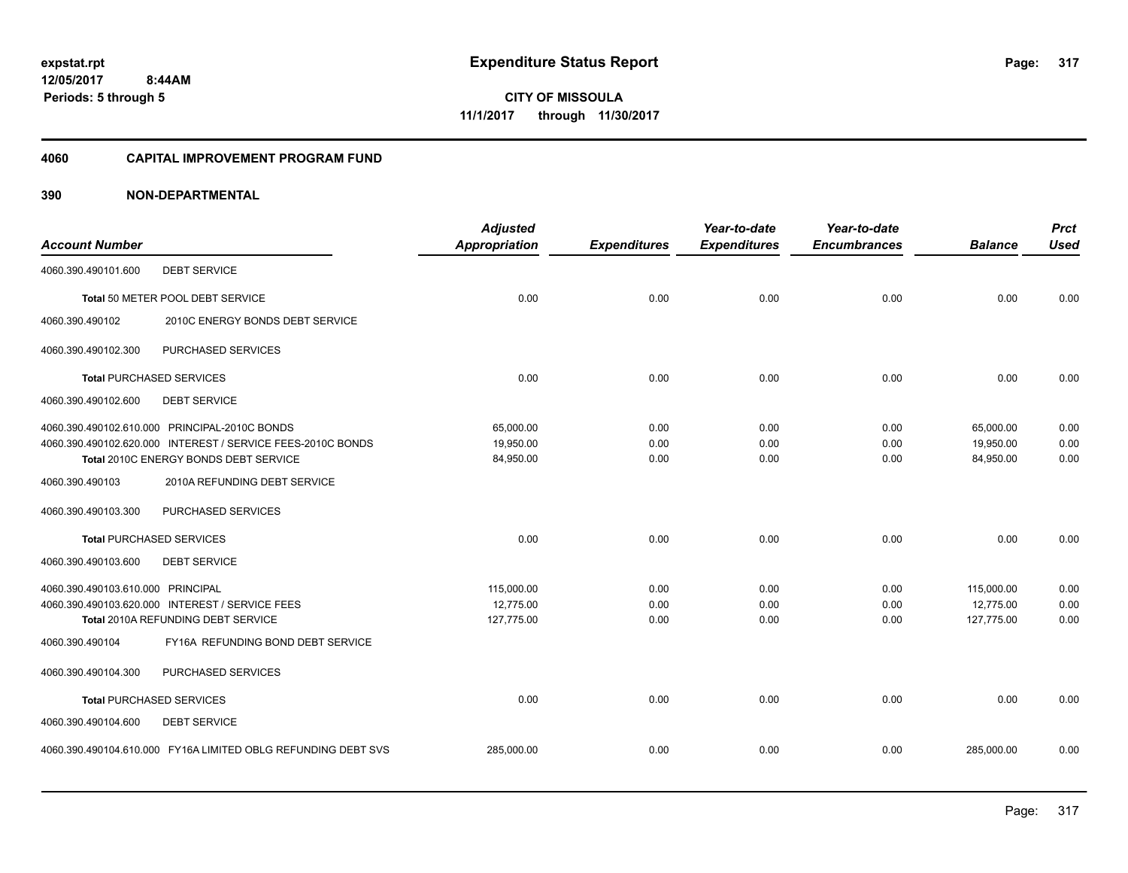#### **4060 CAPITAL IMPROVEMENT PROGRAM FUND**

|                                   |                                                               | <b>Adjusted</b> |                     | Year-to-date        | Year-to-date        |                | <b>Prct</b> |
|-----------------------------------|---------------------------------------------------------------|-----------------|---------------------|---------------------|---------------------|----------------|-------------|
| <b>Account Number</b>             |                                                               | Appropriation   | <b>Expenditures</b> | <b>Expenditures</b> | <b>Encumbrances</b> | <b>Balance</b> | <b>Used</b> |
| 4060.390.490101.600               | <b>DEBT SERVICE</b>                                           |                 |                     |                     |                     |                |             |
|                                   | Total 50 METER POOL DEBT SERVICE                              | 0.00            | 0.00                | 0.00                | 0.00                | 0.00           | 0.00        |
| 4060.390.490102                   | 2010C ENERGY BONDS DEBT SERVICE                               |                 |                     |                     |                     |                |             |
| 4060.390.490102.300               | PURCHASED SERVICES                                            |                 |                     |                     |                     |                |             |
| <b>Total PURCHASED SERVICES</b>   |                                                               | 0.00            | 0.00                | 0.00                | 0.00                | 0.00           | 0.00        |
| 4060.390.490102.600               | <b>DEBT SERVICE</b>                                           |                 |                     |                     |                     |                |             |
|                                   | 4060.390.490102.610.000 PRINCIPAL-2010C BONDS                 | 65,000.00       | 0.00                | 0.00                | 0.00                | 65,000.00      | 0.00        |
|                                   | 4060.390.490102.620.000 INTEREST / SERVICE FEES-2010C BONDS   | 19.950.00       | 0.00                | 0.00                | 0.00                | 19,950.00      | 0.00        |
|                                   | Total 2010C ENERGY BONDS DEBT SERVICE                         | 84,950.00       | 0.00                | 0.00                | 0.00                | 84,950.00      | 0.00        |
| 4060.390.490103                   | 2010A REFUNDING DEBT SERVICE                                  |                 |                     |                     |                     |                |             |
| 4060.390.490103.300               | PURCHASED SERVICES                                            |                 |                     |                     |                     |                |             |
| <b>Total PURCHASED SERVICES</b>   |                                                               | 0.00            | 0.00                | 0.00                | 0.00                | 0.00           | 0.00        |
| 4060.390.490103.600               | <b>DEBT SERVICE</b>                                           |                 |                     |                     |                     |                |             |
| 4060.390.490103.610.000 PRINCIPAL |                                                               | 115,000.00      | 0.00                | 0.00                | 0.00                | 115,000.00     | 0.00        |
|                                   | 4060.390.490103.620.000 INTEREST / SERVICE FEES               | 12,775.00       | 0.00                | 0.00                | 0.00                | 12,775.00      | 0.00        |
|                                   | Total 2010A REFUNDING DEBT SERVICE                            | 127,775.00      | 0.00                | 0.00                | 0.00                | 127,775.00     | 0.00        |
| 4060.390.490104                   | FY16A REFUNDING BOND DEBT SERVICE                             |                 |                     |                     |                     |                |             |
| 4060.390.490104.300               | PURCHASED SERVICES                                            |                 |                     |                     |                     |                |             |
| <b>Total PURCHASED SERVICES</b>   |                                                               | 0.00            | 0.00                | 0.00                | 0.00                | 0.00           | 0.00        |
| 4060.390.490104.600               | <b>DEBT SERVICE</b>                                           |                 |                     |                     |                     |                |             |
|                                   | 4060.390.490104.610.000 FY16A LIMITED OBLG REFUNDING DEBT SVS | 285,000.00      | 0.00                | 0.00                | 0.00                | 285,000.00     | 0.00        |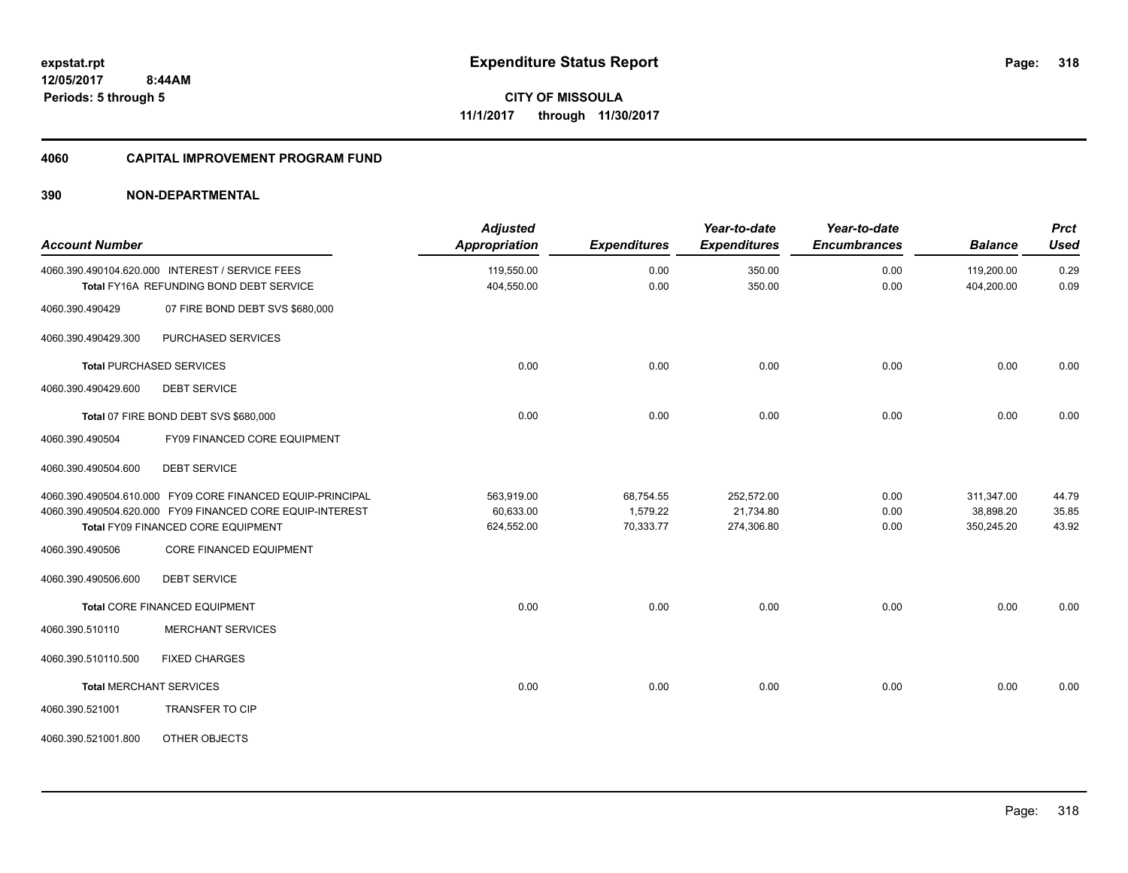**318**

**CITY OF MISSOULA 11/1/2017 through 11/30/2017**

#### **4060 CAPITAL IMPROVEMENT PROGRAM FUND**

| <b>Account Number</b>          |                                                                                                                                                               | <b>Adjusted</b><br><b>Appropriation</b> | <b>Expenditures</b>                | Year-to-date<br><b>Expenditures</b>   | Year-to-date<br><b>Encumbrances</b> | <b>Balance</b>                        | <b>Prct</b><br><b>Used</b> |
|--------------------------------|---------------------------------------------------------------------------------------------------------------------------------------------------------------|-----------------------------------------|------------------------------------|---------------------------------------|-------------------------------------|---------------------------------------|----------------------------|
|                                | 4060.390.490104.620.000 INTEREST / SERVICE FEES<br>Total FY16A REFUNDING BOND DEBT SERVICE                                                                    | 119,550.00<br>404,550.00                | 0.00<br>0.00                       | 350.00<br>350.00                      | 0.00<br>0.00                        | 119,200.00<br>404,200.00              | 0.29<br>0.09               |
| 4060.390.490429                | 07 FIRE BOND DEBT SVS \$680,000                                                                                                                               |                                         |                                    |                                       |                                     |                                       |                            |
| 4060.390.490429.300            | PURCHASED SERVICES                                                                                                                                            |                                         |                                    |                                       |                                     |                                       |                            |
|                                | <b>Total PURCHASED SERVICES</b>                                                                                                                               | 0.00                                    | 0.00                               | 0.00                                  | 0.00                                | 0.00                                  | 0.00                       |
| 4060.390.490429.600            | <b>DEBT SERVICE</b>                                                                                                                                           |                                         |                                    |                                       |                                     |                                       |                            |
|                                | Total 07 FIRE BOND DEBT SVS \$680,000                                                                                                                         | 0.00                                    | 0.00                               | 0.00                                  | 0.00                                | 0.00                                  | 0.00                       |
| 4060.390.490504                | FY09 FINANCED CORE EQUIPMENT                                                                                                                                  |                                         |                                    |                                       |                                     |                                       |                            |
| 4060.390.490504.600            | <b>DEBT SERVICE</b>                                                                                                                                           |                                         |                                    |                                       |                                     |                                       |                            |
|                                | 4060.390.490504.610.000 FY09 CORE FINANCED EQUIP-PRINCIPAL<br>4060.390.490504.620.000 FY09 FINANCED CORE EQUIP-INTEREST<br>Total FY09 FINANCED CORE EQUIPMENT | 563.919.00<br>60,633.00<br>624,552.00   | 68,754.55<br>1,579.22<br>70,333.77 | 252,572.00<br>21,734.80<br>274,306.80 | 0.00<br>0.00<br>0.00                | 311,347.00<br>38,898.20<br>350,245.20 | 44.79<br>35.85<br>43.92    |
| 4060.390.490506                | CORE FINANCED EQUIPMENT                                                                                                                                       |                                         |                                    |                                       |                                     |                                       |                            |
| 4060.390.490506.600            | <b>DEBT SERVICE</b>                                                                                                                                           |                                         |                                    |                                       |                                     |                                       |                            |
|                                | Total CORE FINANCED EQUIPMENT                                                                                                                                 | 0.00                                    | 0.00                               | 0.00                                  | 0.00                                | 0.00                                  | 0.00                       |
| 4060.390.510110                | <b>MERCHANT SERVICES</b>                                                                                                                                      |                                         |                                    |                                       |                                     |                                       |                            |
| 4060.390.510110.500            | <b>FIXED CHARGES</b>                                                                                                                                          |                                         |                                    |                                       |                                     |                                       |                            |
| <b>Total MERCHANT SERVICES</b> |                                                                                                                                                               | 0.00                                    | 0.00                               | 0.00                                  | 0.00                                | 0.00                                  | 0.00                       |
| 4060.390.521001                | <b>TRANSFER TO CIP</b>                                                                                                                                        |                                         |                                    |                                       |                                     |                                       |                            |
| 4060.390.521001.800            | OTHER OBJECTS                                                                                                                                                 |                                         |                                    |                                       |                                     |                                       |                            |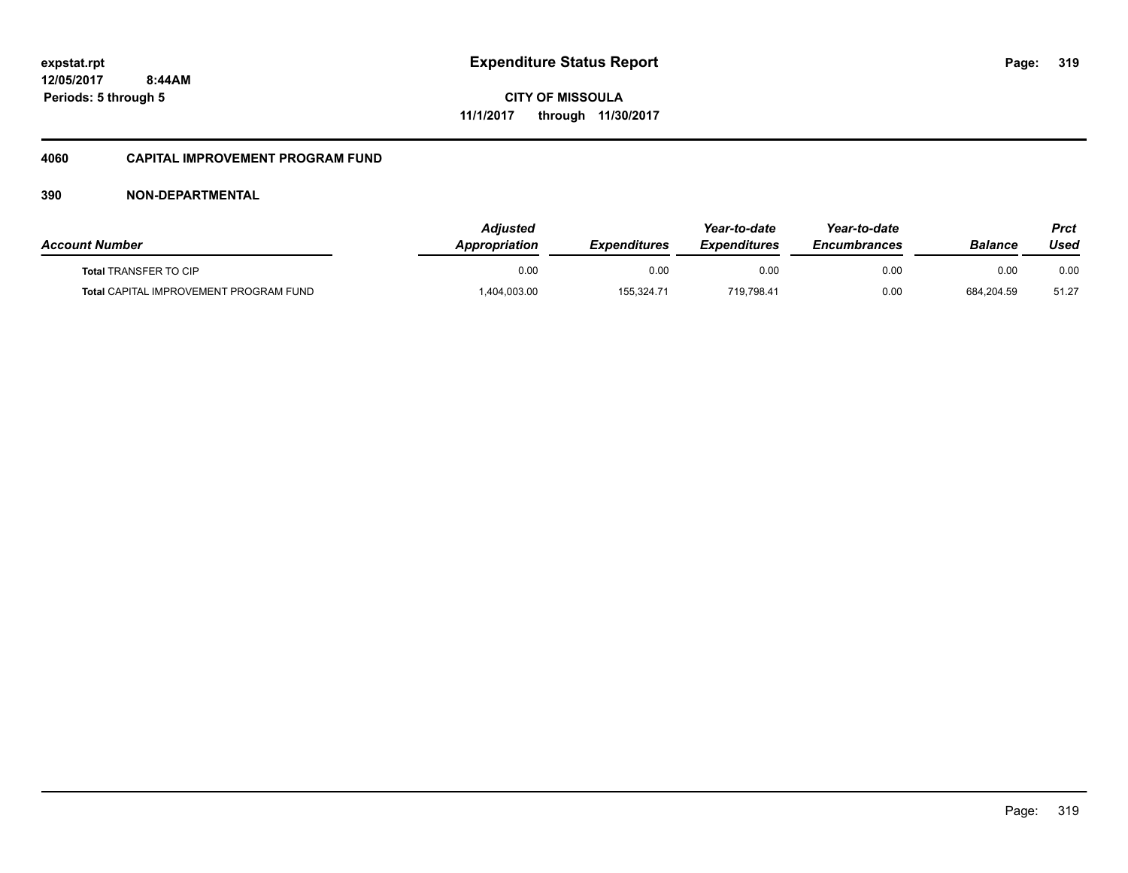**CITY OF MISSOULA 11/1/2017 through 11/30/2017**

## **4060 CAPITAL IMPROVEMENT PROGRAM FUND**

| <b>Account Number</b>                         | Adiusted<br><i><b>Appropriation</b></i> | <b>Expenditures</b> | Year-to-date<br><i><b>Expenditures</b></i> | Year-to-date<br><b>Encumbrances</b> | Balance    | Prct<br>Used |
|-----------------------------------------------|-----------------------------------------|---------------------|--------------------------------------------|-------------------------------------|------------|--------------|
| <b>Total TRANSFER TO CIP</b>                  | 0.00                                    | 0.00                | 0.00                                       | 0.00                                | 0.00       | 0.00         |
| <b>Total CAPITAL IMPROVEMENT PROGRAM FUND</b> | ,404,003.00                             | 155,324.71          | 719,798.41                                 | 0.00                                | 684.204.59 | 51.27        |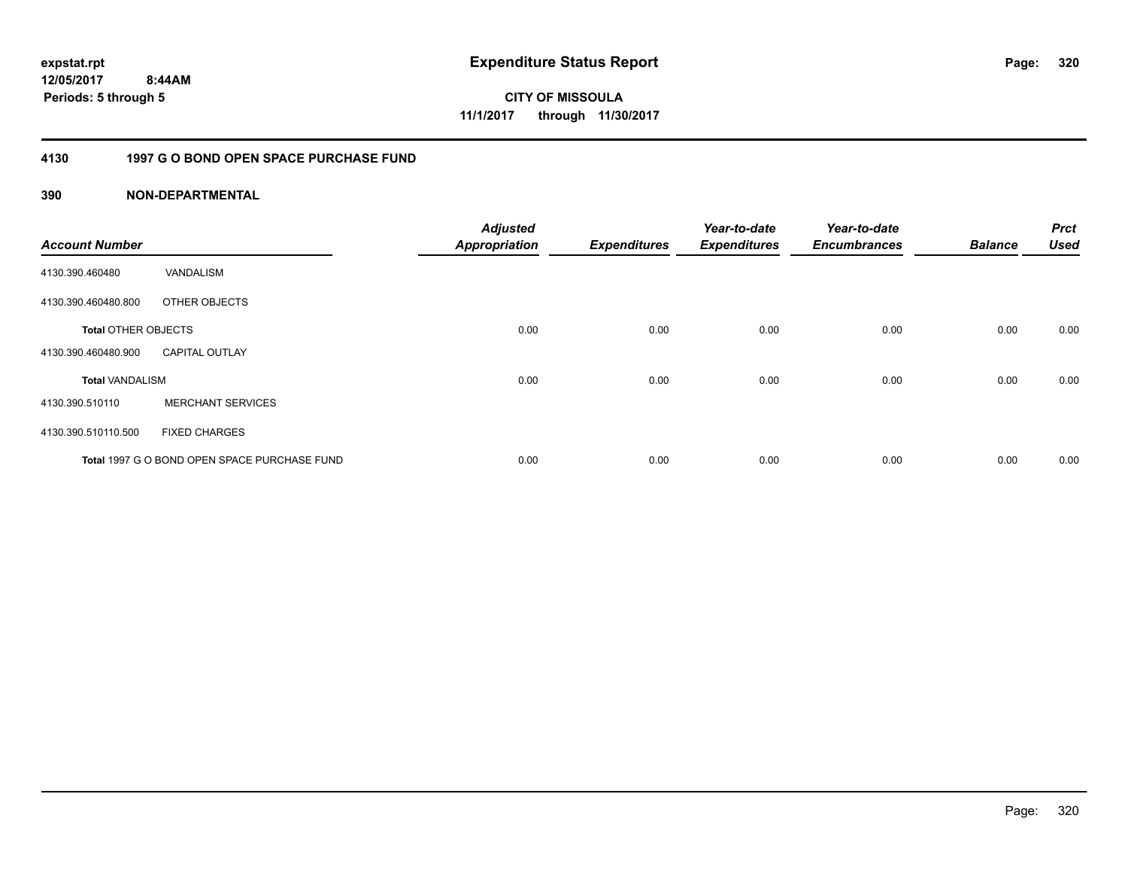**320**

**CITY OF MISSOULA 11/1/2017 through 11/30/2017**

## **4130 1997 G O BOND OPEN SPACE PURCHASE FUND**

| <b>Account Number</b>      |                                              | <b>Adjusted</b><br><b>Appropriation</b> | <b>Expenditures</b> | Year-to-date<br><b>Expenditures</b> | Year-to-date<br><b>Encumbrances</b> | <b>Balance</b> | <b>Prct</b><br><b>Used</b> |
|----------------------------|----------------------------------------------|-----------------------------------------|---------------------|-------------------------------------|-------------------------------------|----------------|----------------------------|
| 4130.390.460480            | VANDALISM                                    |                                         |                     |                                     |                                     |                |                            |
| 4130.390.460480.800        | OTHER OBJECTS                                |                                         |                     |                                     |                                     |                |                            |
| <b>Total OTHER OBJECTS</b> |                                              | 0.00                                    | 0.00                | 0.00                                | 0.00                                | 0.00           | 0.00                       |
| 4130.390.460480.900        | <b>CAPITAL OUTLAY</b>                        |                                         |                     |                                     |                                     |                |                            |
| <b>Total VANDALISM</b>     |                                              | 0.00                                    | 0.00                | 0.00                                | 0.00                                | 0.00           | 0.00                       |
| 4130.390.510110            | <b>MERCHANT SERVICES</b>                     |                                         |                     |                                     |                                     |                |                            |
| 4130.390.510110.500        | <b>FIXED CHARGES</b>                         |                                         |                     |                                     |                                     |                |                            |
|                            | Total 1997 G O BOND OPEN SPACE PURCHASE FUND | 0.00                                    | 0.00                | 0.00                                | 0.00                                | 0.00           | 0.00                       |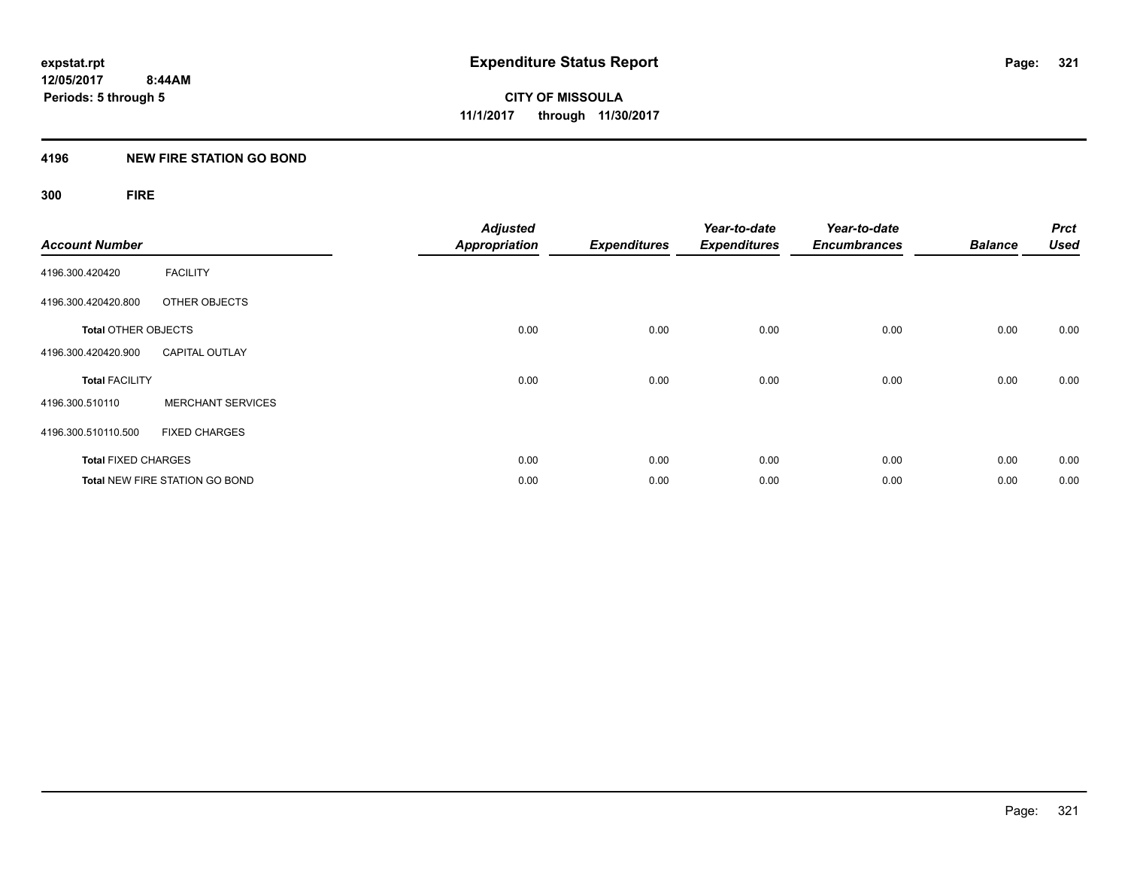## **4196 NEW FIRE STATION GO BOND**

## **300 FIRE**

| <b>Account Number</b>      |                                       | <b>Adjusted</b><br><b>Appropriation</b> | <b>Expenditures</b> | Year-to-date<br><b>Expenditures</b> | Year-to-date<br><b>Encumbrances</b> | <b>Balance</b> | <b>Prct</b><br><b>Used</b> |
|----------------------------|---------------------------------------|-----------------------------------------|---------------------|-------------------------------------|-------------------------------------|----------------|----------------------------|
| 4196.300.420420            | <b>FACILITY</b>                       |                                         |                     |                                     |                                     |                |                            |
| 4196.300.420420.800        | OTHER OBJECTS                         |                                         |                     |                                     |                                     |                |                            |
| <b>Total OTHER OBJECTS</b> |                                       | 0.00                                    | 0.00                | 0.00                                | 0.00                                | 0.00           | 0.00                       |
| 4196.300.420420.900        | <b>CAPITAL OUTLAY</b>                 |                                         |                     |                                     |                                     |                |                            |
| <b>Total FACILITY</b>      |                                       | 0.00                                    | 0.00                | 0.00                                | 0.00                                | 0.00           | 0.00                       |
| 4196.300.510110            | <b>MERCHANT SERVICES</b>              |                                         |                     |                                     |                                     |                |                            |
| 4196.300.510110.500        | <b>FIXED CHARGES</b>                  |                                         |                     |                                     |                                     |                |                            |
| <b>Total FIXED CHARGES</b> |                                       | 0.00                                    | 0.00                | 0.00                                | 0.00                                | 0.00           | 0.00                       |
|                            | <b>Total NEW FIRE STATION GO BOND</b> | 0.00                                    | 0.00                | 0.00                                | 0.00                                | 0.00           | 0.00                       |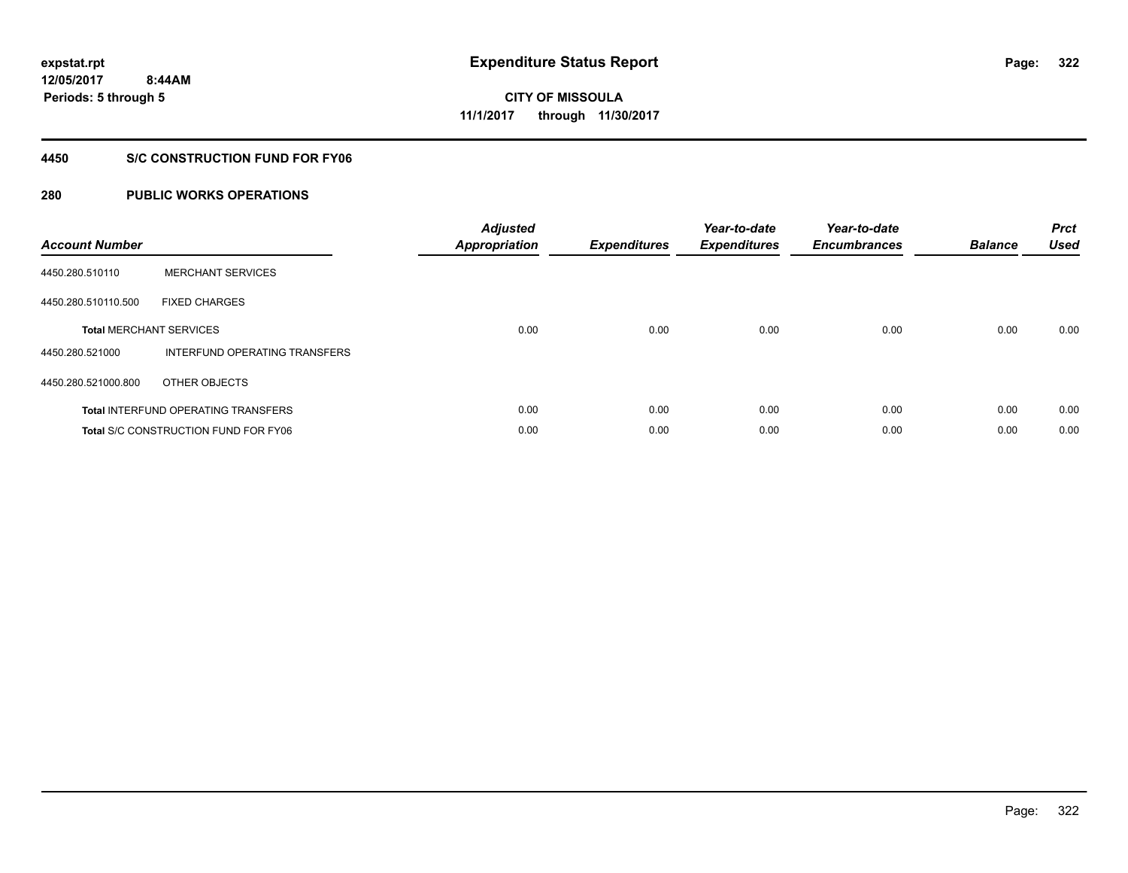## **4450 S/C CONSTRUCTION FUND FOR FY06**

## **280 PUBLIC WORKS OPERATIONS**

| <b>Account Number</b> |                                             | <b>Adjusted</b><br>Appropriation | <b>Expenditures</b> | Year-to-date<br><b>Expenditures</b> | Year-to-date<br><b>Encumbrances</b> | <b>Balance</b> | <b>Prct</b><br><b>Used</b> |
|-----------------------|---------------------------------------------|----------------------------------|---------------------|-------------------------------------|-------------------------------------|----------------|----------------------------|
| 4450.280.510110       | <b>MERCHANT SERVICES</b>                    |                                  |                     |                                     |                                     |                |                            |
| 4450.280.510110.500   | <b>FIXED CHARGES</b>                        |                                  |                     |                                     |                                     |                |                            |
|                       | <b>Total MERCHANT SERVICES</b>              | 0.00                             | 0.00                | 0.00                                | 0.00                                | 0.00           | 0.00                       |
| 4450.280.521000       | INTERFUND OPERATING TRANSFERS               |                                  |                     |                                     |                                     |                |                            |
| 4450.280.521000.800   | OTHER OBJECTS                               |                                  |                     |                                     |                                     |                |                            |
|                       | <b>Total INTERFUND OPERATING TRANSFERS</b>  | 0.00                             | 0.00                | 0.00                                | 0.00                                | 0.00           | 0.00                       |
|                       | <b>Total S/C CONSTRUCTION FUND FOR FY06</b> | 0.00                             | 0.00                | 0.00                                | 0.00                                | 0.00           | 0.00                       |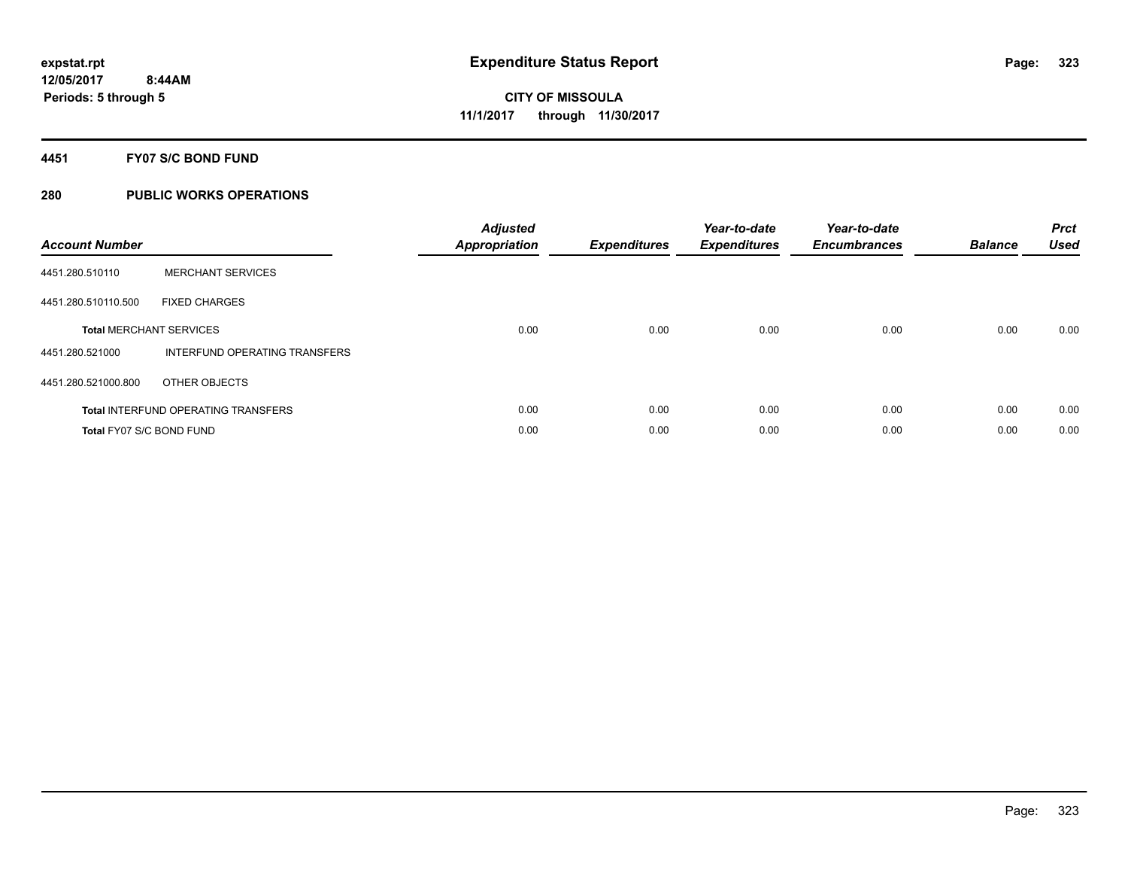## **4451 FY07 S/C BOND FUND**

## **280 PUBLIC WORKS OPERATIONS**

| <b>Account Number</b>           |                                            | <b>Adjusted</b><br>Appropriation | <b>Expenditures</b> | Year-to-date<br><b>Expenditures</b> | Year-to-date<br><b>Encumbrances</b> | <b>Balance</b> | <b>Prct</b><br><b>Used</b> |
|---------------------------------|--------------------------------------------|----------------------------------|---------------------|-------------------------------------|-------------------------------------|----------------|----------------------------|
| 4451.280.510110                 | <b>MERCHANT SERVICES</b>                   |                                  |                     |                                     |                                     |                |                            |
| 4451.280.510110.500             | <b>FIXED CHARGES</b>                       |                                  |                     |                                     |                                     |                |                            |
|                                 | <b>Total MERCHANT SERVICES</b>             | 0.00                             | 0.00                | 0.00                                | 0.00                                | 0.00           | 0.00                       |
| 4451.280.521000                 | INTERFUND OPERATING TRANSFERS              |                                  |                     |                                     |                                     |                |                            |
| 4451.280.521000.800             | OTHER OBJECTS                              |                                  |                     |                                     |                                     |                |                            |
|                                 | <b>Total INTERFUND OPERATING TRANSFERS</b> | 0.00                             | 0.00                | 0.00                                | 0.00                                | 0.00           | 0.00                       |
| <b>Total FY07 S/C BOND FUND</b> |                                            | 0.00                             | 0.00                | 0.00                                | 0.00                                | 0.00           | 0.00                       |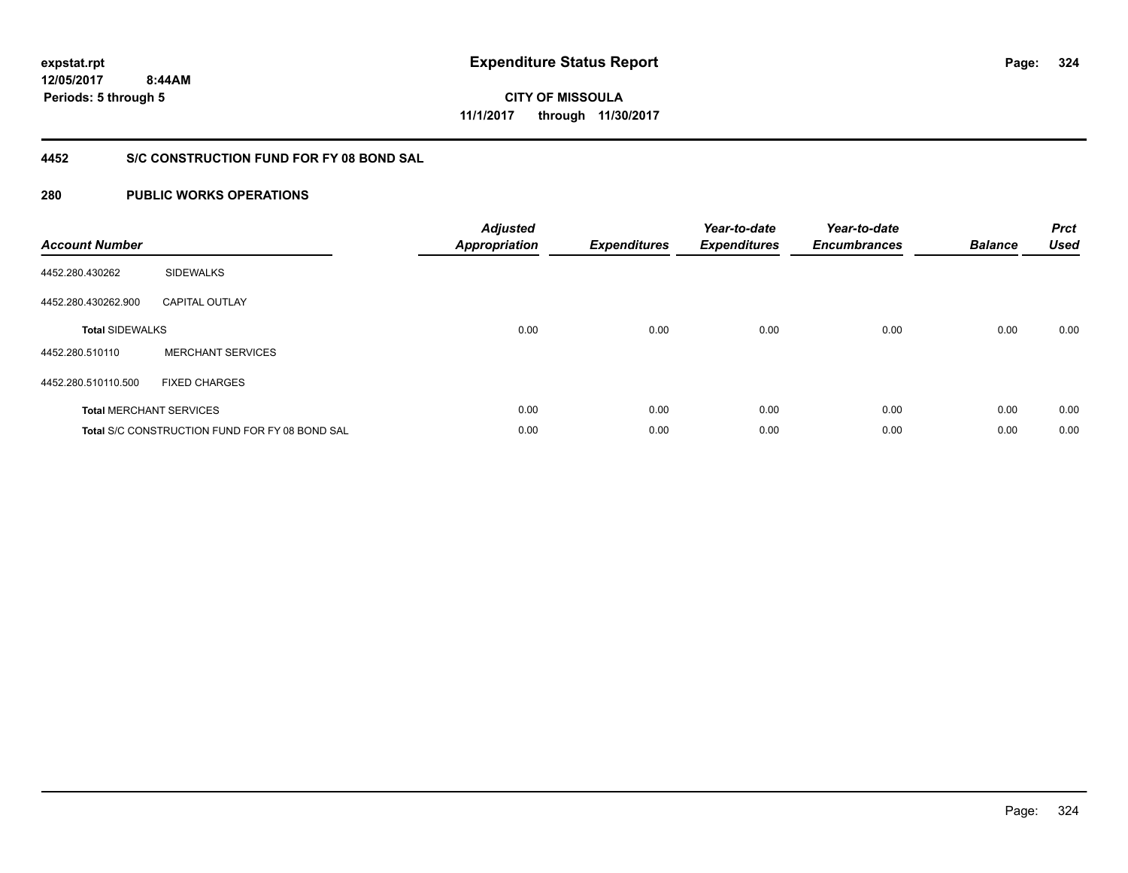**12/05/2017 8:44AM**

**Periods: 5 through 5**

**324**

**CITY OF MISSOULA 11/1/2017 through 11/30/2017**

## **4452 S/C CONSTRUCTION FUND FOR FY 08 BOND SAL**

## **280 PUBLIC WORKS OPERATIONS**

| <b>Account Number</b>  |                                                       | <b>Adjusted</b><br><b>Appropriation</b> | <b>Expenditures</b> | Year-to-date<br><b>Expenditures</b> | Year-to-date<br><b>Encumbrances</b> | <b>Balance</b> | <b>Prct</b><br><b>Used</b> |
|------------------------|-------------------------------------------------------|-----------------------------------------|---------------------|-------------------------------------|-------------------------------------|----------------|----------------------------|
| 4452.280.430262        | <b>SIDEWALKS</b>                                      |                                         |                     |                                     |                                     |                |                            |
| 4452.280.430262.900    | <b>CAPITAL OUTLAY</b>                                 |                                         |                     |                                     |                                     |                |                            |
| <b>Total SIDEWALKS</b> |                                                       | 0.00                                    | 0.00                | 0.00                                | 0.00                                | 0.00           | 0.00                       |
| 4452.280.510110        | <b>MERCHANT SERVICES</b>                              |                                         |                     |                                     |                                     |                |                            |
| 4452.280.510110.500    | <b>FIXED CHARGES</b>                                  |                                         |                     |                                     |                                     |                |                            |
|                        | <b>Total MERCHANT SERVICES</b>                        | 0.00                                    | 0.00                | 0.00                                | 0.00                                | 0.00           | 0.00                       |
|                        | <b>Total S/C CONSTRUCTION FUND FOR FY 08 BOND SAL</b> | 0.00                                    | 0.00                | 0.00                                | 0.00                                | 0.00           | 0.00                       |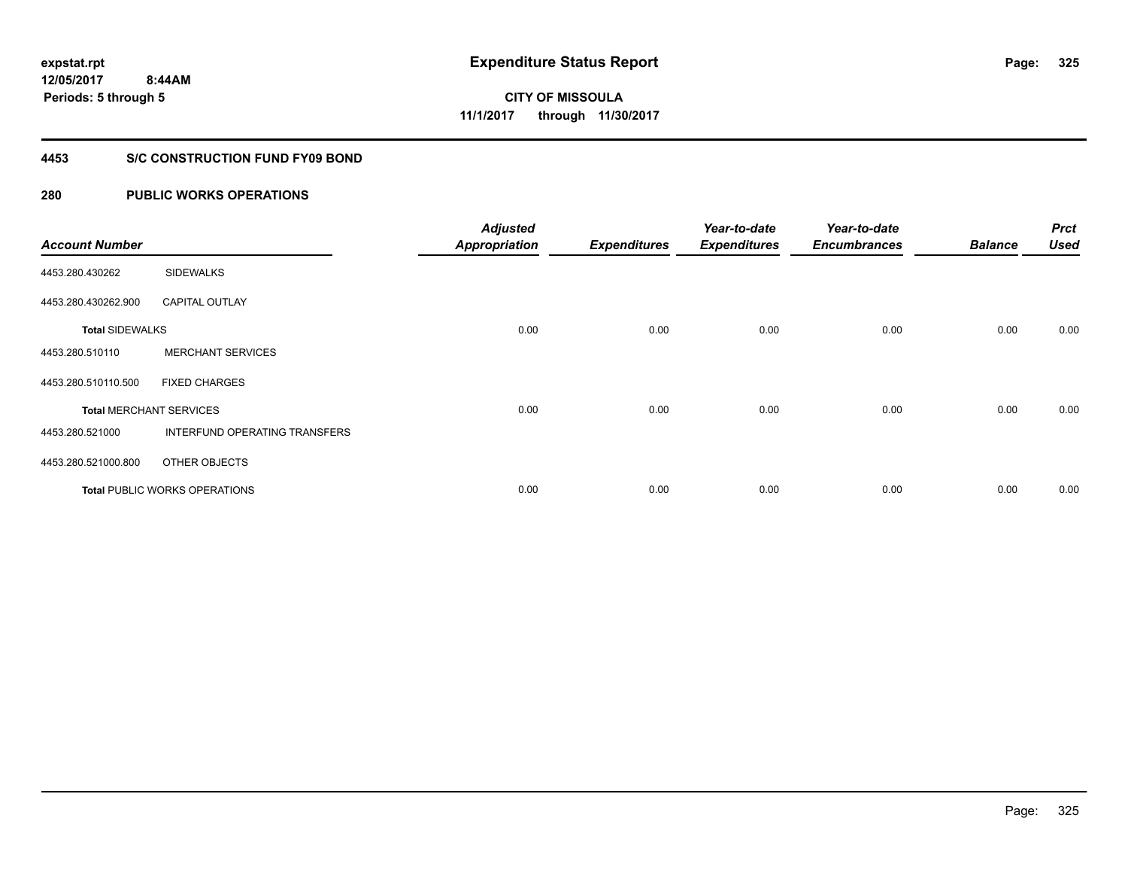### **4453 S/C CONSTRUCTION FUND FY09 BOND**

| <b>Account Number</b>  |                                | <b>Adjusted</b><br><b>Appropriation</b> | <b>Expenditures</b> | Year-to-date<br><b>Expenditures</b> | Year-to-date<br><b>Encumbrances</b> | <b>Balance</b> | <b>Prct</b><br><b>Used</b> |
|------------------------|--------------------------------|-----------------------------------------|---------------------|-------------------------------------|-------------------------------------|----------------|----------------------------|
| 4453.280.430262        | <b>SIDEWALKS</b>               |                                         |                     |                                     |                                     |                |                            |
| 4453.280.430262.900    | <b>CAPITAL OUTLAY</b>          |                                         |                     |                                     |                                     |                |                            |
| <b>Total SIDEWALKS</b> |                                | 0.00                                    | 0.00                | 0.00                                | 0.00                                | 0.00           | 0.00                       |
| 4453.280.510110        | <b>MERCHANT SERVICES</b>       |                                         |                     |                                     |                                     |                |                            |
| 4453.280.510110.500    | <b>FIXED CHARGES</b>           |                                         |                     |                                     |                                     |                |                            |
|                        | <b>Total MERCHANT SERVICES</b> | 0.00                                    | 0.00                | 0.00                                | 0.00                                | 0.00           | 0.00                       |
| 4453.280.521000        | INTERFUND OPERATING TRANSFERS  |                                         |                     |                                     |                                     |                |                            |
| 4453.280.521000.800    | OTHER OBJECTS                  |                                         |                     |                                     |                                     |                |                            |
|                        | Total PUBLIC WORKS OPERATIONS  | 0.00                                    | 0.00                | 0.00                                | 0.00                                | 0.00           | 0.00                       |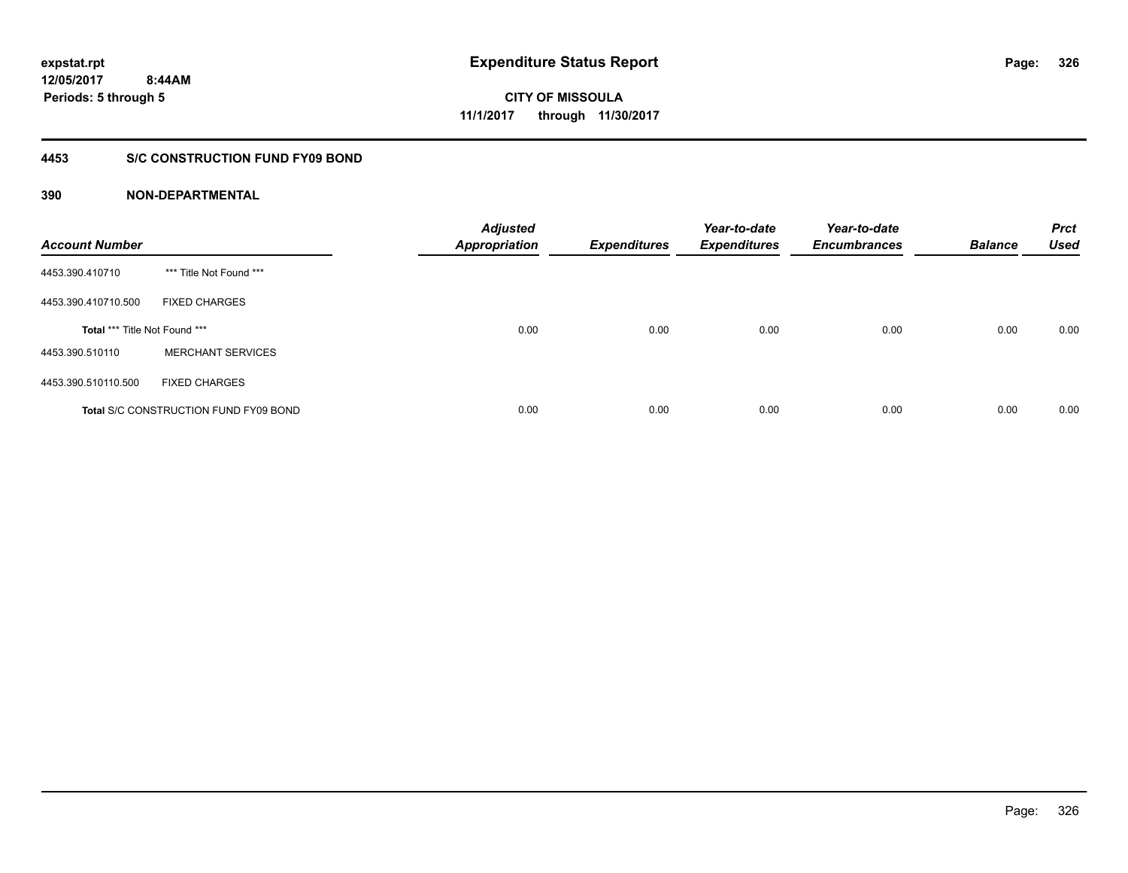### **4453 S/C CONSTRUCTION FUND FY09 BOND**

| <b>Account Number</b>         |                                              | <b>Adjusted</b><br><b>Appropriation</b> | <b>Expenditures</b> | Year-to-date<br><b>Expenditures</b> | Year-to-date<br><b>Encumbrances</b> | <b>Balance</b> | <b>Prct</b><br><b>Used</b> |
|-------------------------------|----------------------------------------------|-----------------------------------------|---------------------|-------------------------------------|-------------------------------------|----------------|----------------------------|
| 4453.390.410710               | *** Title Not Found ***                      |                                         |                     |                                     |                                     |                |                            |
| 4453.390.410710.500           | <b>FIXED CHARGES</b>                         |                                         |                     |                                     |                                     |                |                            |
| Total *** Title Not Found *** |                                              | 0.00                                    | 0.00                | 0.00                                | 0.00                                | 0.00           | 0.00                       |
| 4453.390.510110               | <b>MERCHANT SERVICES</b>                     |                                         |                     |                                     |                                     |                |                            |
| 4453.390.510110.500           | <b>FIXED CHARGES</b>                         |                                         |                     |                                     |                                     |                |                            |
|                               | <b>Total S/C CONSTRUCTION FUND FY09 BOND</b> | 0.00                                    | 0.00                | 0.00                                | 0.00                                | 0.00           | 0.00                       |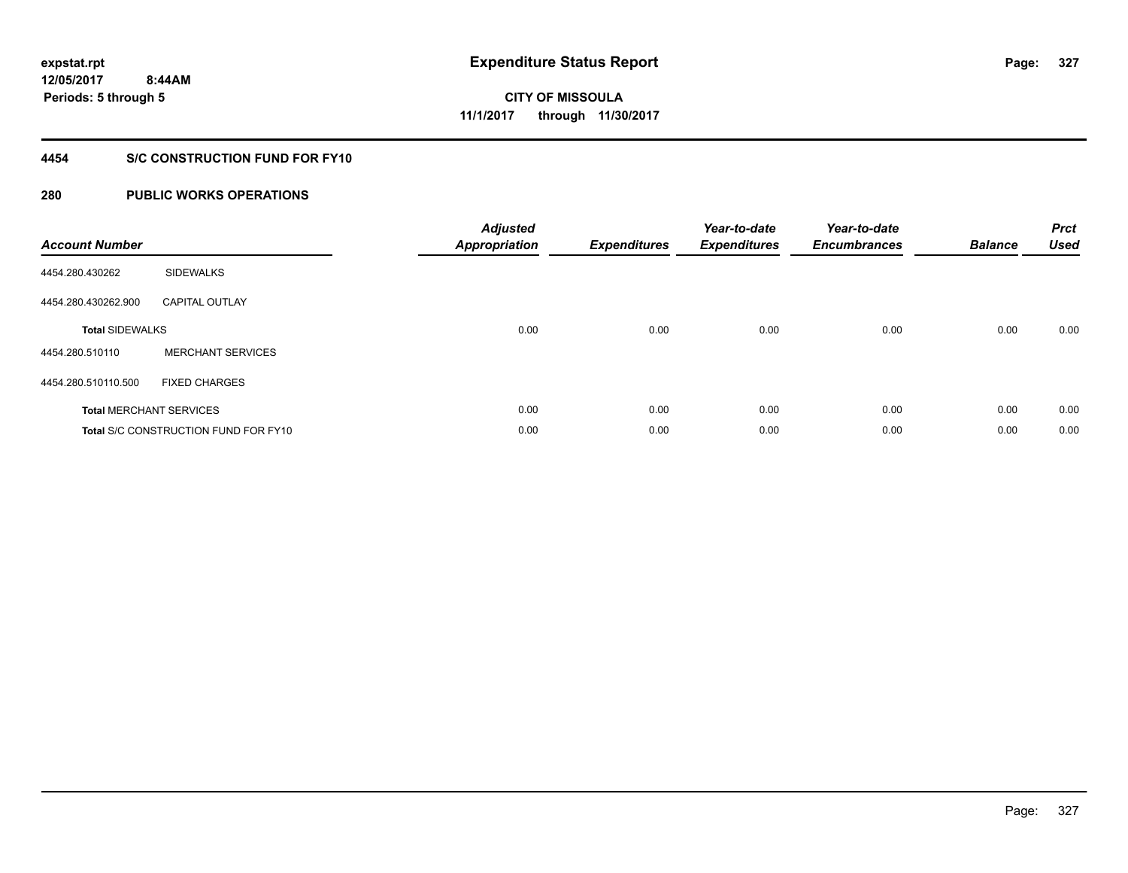### **4454 S/C CONSTRUCTION FUND FOR FY10**

| <b>Account Number</b>  |                                             | <b>Adjusted</b><br>Appropriation | <b>Expenditures</b> | Year-to-date<br><b>Expenditures</b> | Year-to-date<br><b>Encumbrances</b> | <b>Balance</b> | <b>Prct</b><br><b>Used</b> |
|------------------------|---------------------------------------------|----------------------------------|---------------------|-------------------------------------|-------------------------------------|----------------|----------------------------|
| 4454.280.430262        | <b>SIDEWALKS</b>                            |                                  |                     |                                     |                                     |                |                            |
| 4454.280.430262.900    | <b>CAPITAL OUTLAY</b>                       |                                  |                     |                                     |                                     |                |                            |
| <b>Total SIDEWALKS</b> |                                             | 0.00                             | 0.00                | 0.00                                | 0.00                                | 0.00           | 0.00                       |
| 4454.280.510110        | <b>MERCHANT SERVICES</b>                    |                                  |                     |                                     |                                     |                |                            |
| 4454.280.510110.500    | <b>FIXED CHARGES</b>                        |                                  |                     |                                     |                                     |                |                            |
|                        | <b>Total MERCHANT SERVICES</b>              | 0.00                             | 0.00                | 0.00                                | 0.00                                | 0.00           | 0.00                       |
|                        | <b>Total S/C CONSTRUCTION FUND FOR FY10</b> | 0.00                             | 0.00                | 0.00                                | 0.00                                | 0.00           | 0.00                       |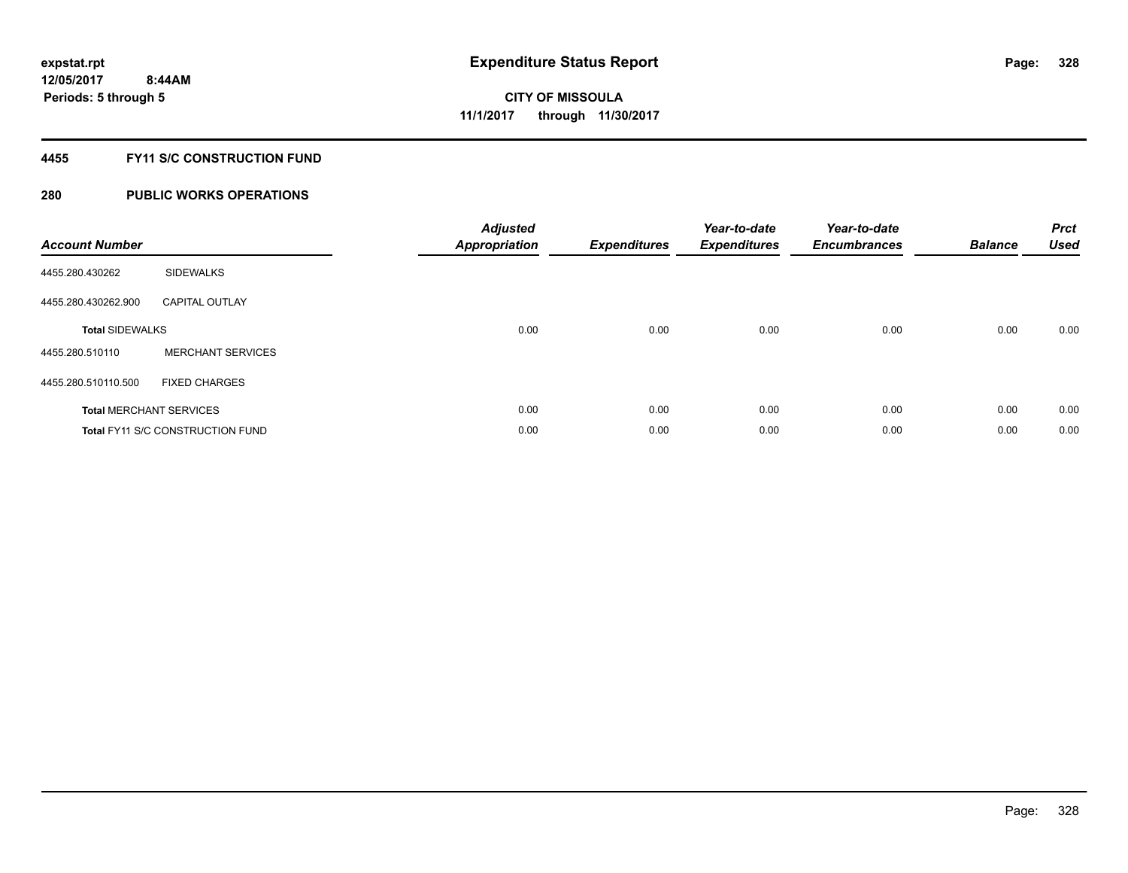### **4455 FY11 S/C CONSTRUCTION FUND**

| <b>Account Number</b>          |                                         | <b>Adjusted</b><br><b>Appropriation</b> | <b>Expenditures</b> | Year-to-date<br><b>Expenditures</b> | Year-to-date<br><b>Encumbrances</b> | <b>Balance</b> | <b>Prct</b><br><b>Used</b> |
|--------------------------------|-----------------------------------------|-----------------------------------------|---------------------|-------------------------------------|-------------------------------------|----------------|----------------------------|
| 4455.280.430262                | <b>SIDEWALKS</b>                        |                                         |                     |                                     |                                     |                |                            |
| 4455.280.430262.900            | <b>CAPITAL OUTLAY</b>                   |                                         |                     |                                     |                                     |                |                            |
| <b>Total SIDEWALKS</b>         |                                         | 0.00                                    | 0.00                | 0.00                                | 0.00                                | 0.00           | 0.00                       |
| 4455.280.510110                | <b>MERCHANT SERVICES</b>                |                                         |                     |                                     |                                     |                |                            |
| 4455.280.510110.500            | <b>FIXED CHARGES</b>                    |                                         |                     |                                     |                                     |                |                            |
| <b>Total MERCHANT SERVICES</b> |                                         | 0.00                                    | 0.00                | 0.00                                | 0.00                                | 0.00           | 0.00                       |
|                                | <b>Total FY11 S/C CONSTRUCTION FUND</b> | 0.00                                    | 0.00                | 0.00                                | 0.00                                | 0.00           | 0.00                       |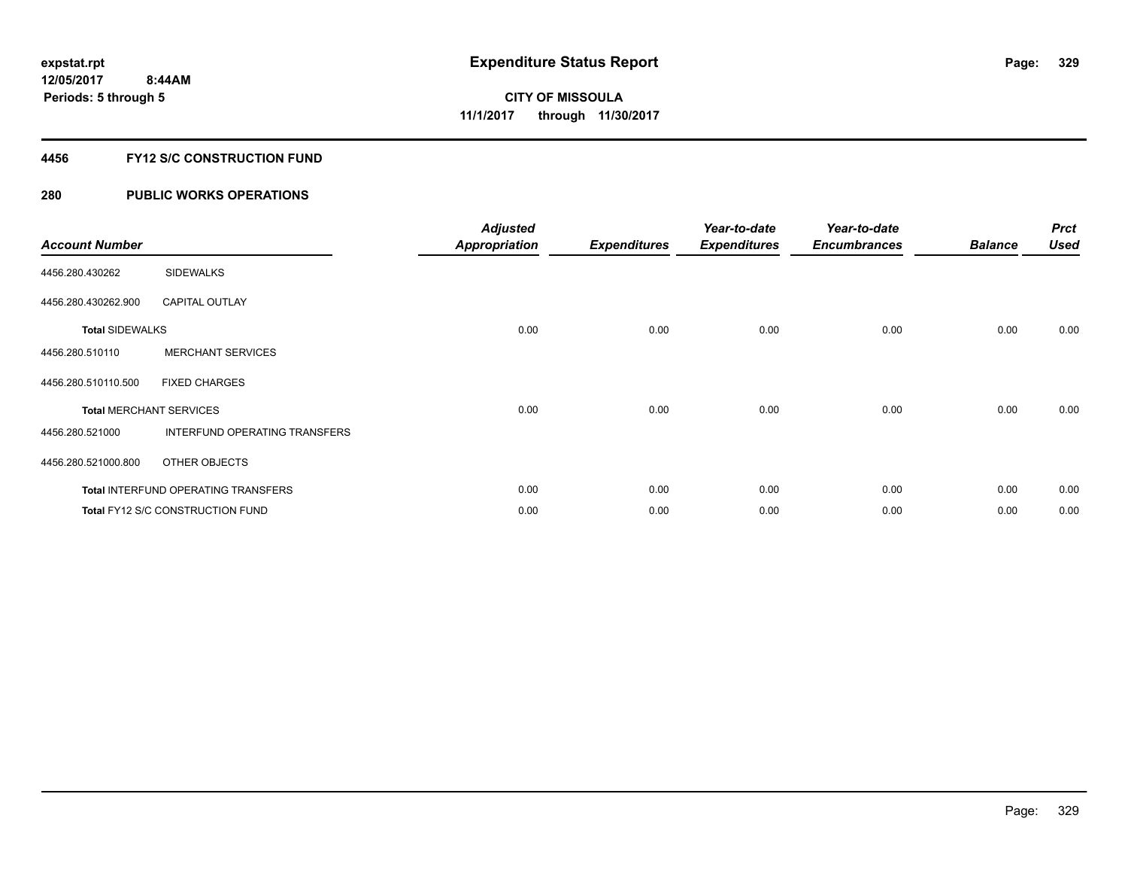### **4456 FY12 S/C CONSTRUCTION FUND**

| <b>Account Number</b>          |                                            | <b>Adjusted</b><br><b>Appropriation</b> | <b>Expenditures</b> | Year-to-date<br><b>Expenditures</b> | Year-to-date<br><b>Encumbrances</b> | <b>Balance</b> | <b>Prct</b><br><b>Used</b> |
|--------------------------------|--------------------------------------------|-----------------------------------------|---------------------|-------------------------------------|-------------------------------------|----------------|----------------------------|
| 4456.280.430262                | <b>SIDEWALKS</b>                           |                                         |                     |                                     |                                     |                |                            |
| 4456.280.430262.900            | <b>CAPITAL OUTLAY</b>                      |                                         |                     |                                     |                                     |                |                            |
| <b>Total SIDEWALKS</b>         |                                            | 0.00                                    | 0.00                | 0.00                                | 0.00                                | 0.00           | 0.00                       |
| 4456.280.510110                | <b>MERCHANT SERVICES</b>                   |                                         |                     |                                     |                                     |                |                            |
| 4456.280.510110.500            | <b>FIXED CHARGES</b>                       |                                         |                     |                                     |                                     |                |                            |
| <b>Total MERCHANT SERVICES</b> |                                            | 0.00                                    | 0.00                | 0.00                                | 0.00                                | 0.00           | 0.00                       |
| 4456.280.521000                | INTERFUND OPERATING TRANSFERS              |                                         |                     |                                     |                                     |                |                            |
| 4456.280.521000.800            | OTHER OBJECTS                              |                                         |                     |                                     |                                     |                |                            |
|                                | <b>Total INTERFUND OPERATING TRANSFERS</b> | 0.00                                    | 0.00                | 0.00                                | 0.00                                | 0.00           | 0.00                       |
|                                | Total FY12 S/C CONSTRUCTION FUND           | 0.00                                    | 0.00                | 0.00                                | 0.00                                | 0.00           | 0.00                       |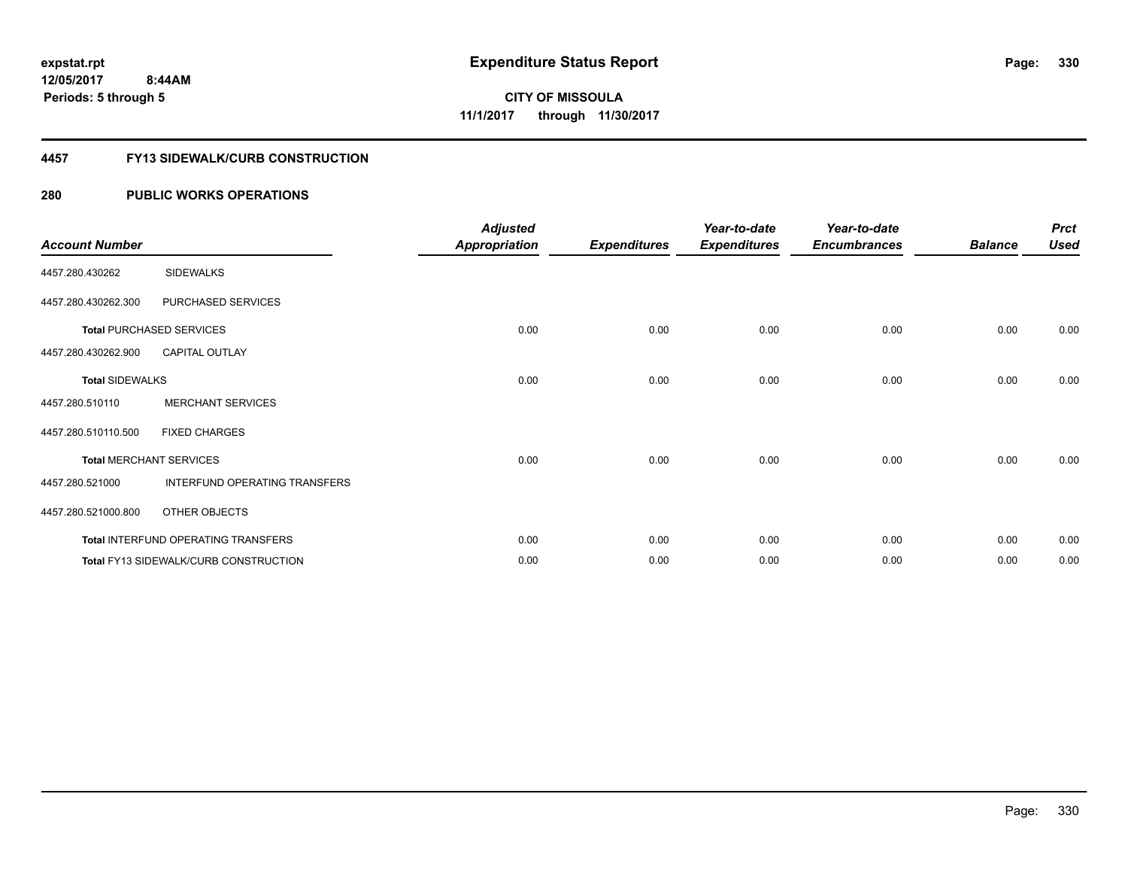#### **4457 FY13 SIDEWALK/CURB CONSTRUCTION**

| <b>Account Number</b>  |                                       | <b>Adjusted</b><br><b>Appropriation</b> | <b>Expenditures</b> | Year-to-date<br><b>Expenditures</b> | Year-to-date<br><b>Encumbrances</b> | <b>Balance</b> | <b>Prct</b><br><b>Used</b> |
|------------------------|---------------------------------------|-----------------------------------------|---------------------|-------------------------------------|-------------------------------------|----------------|----------------------------|
| 4457.280.430262        | <b>SIDEWALKS</b>                      |                                         |                     |                                     |                                     |                |                            |
| 4457.280.430262.300    | PURCHASED SERVICES                    |                                         |                     |                                     |                                     |                |                            |
|                        | <b>Total PURCHASED SERVICES</b>       | 0.00                                    | 0.00                | 0.00                                | 0.00                                | 0.00           | 0.00                       |
| 4457.280.430262.900    | <b>CAPITAL OUTLAY</b>                 |                                         |                     |                                     |                                     |                |                            |
| <b>Total SIDEWALKS</b> |                                       | 0.00                                    | 0.00                | 0.00                                | 0.00                                | 0.00           | 0.00                       |
| 4457.280.510110        | <b>MERCHANT SERVICES</b>              |                                         |                     |                                     |                                     |                |                            |
| 4457.280.510110.500    | <b>FIXED CHARGES</b>                  |                                         |                     |                                     |                                     |                |                            |
|                        | <b>Total MERCHANT SERVICES</b>        | 0.00                                    | 0.00                | 0.00                                | 0.00                                | 0.00           | 0.00                       |
| 4457.280.521000        | INTERFUND OPERATING TRANSFERS         |                                         |                     |                                     |                                     |                |                            |
| 4457.280.521000.800    | OTHER OBJECTS                         |                                         |                     |                                     |                                     |                |                            |
|                        | Total INTERFUND OPERATING TRANSFERS   | 0.00                                    | 0.00                | 0.00                                | 0.00                                | 0.00           | 0.00                       |
|                        | Total FY13 SIDEWALK/CURB CONSTRUCTION | 0.00                                    | 0.00                | 0.00                                | 0.00                                | 0.00           | 0.00                       |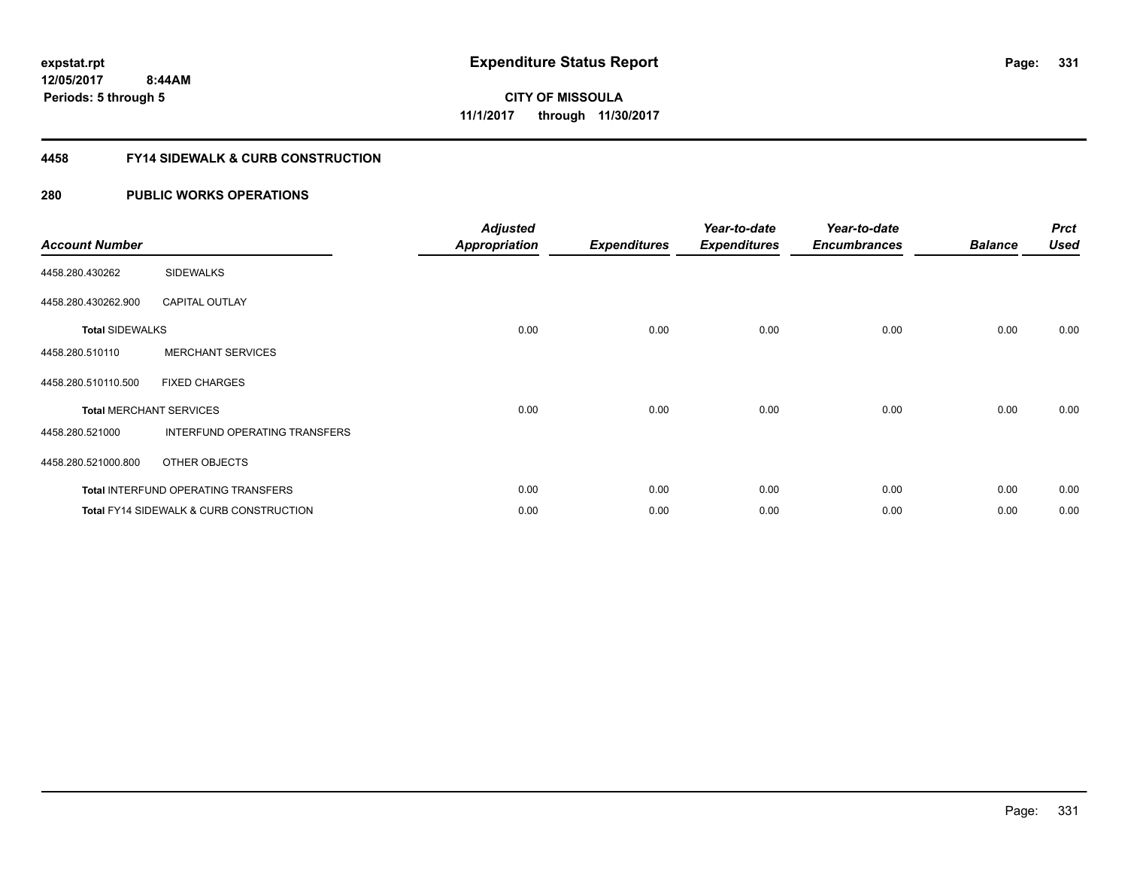### **4458 FY14 SIDEWALK & CURB CONSTRUCTION**

| <b>Account Number</b>  |                                                    | <b>Adjusted</b><br><b>Appropriation</b> | <b>Expenditures</b> | Year-to-date<br><b>Expenditures</b> | Year-to-date<br><b>Encumbrances</b> | <b>Balance</b> | <b>Prct</b><br><b>Used</b> |
|------------------------|----------------------------------------------------|-----------------------------------------|---------------------|-------------------------------------|-------------------------------------|----------------|----------------------------|
| 4458.280.430262        | <b>SIDEWALKS</b>                                   |                                         |                     |                                     |                                     |                |                            |
| 4458.280.430262.900    | <b>CAPITAL OUTLAY</b>                              |                                         |                     |                                     |                                     |                |                            |
| <b>Total SIDEWALKS</b> |                                                    | 0.00                                    | 0.00                | 0.00                                | 0.00                                | 0.00           | 0.00                       |
| 4458.280.510110        | <b>MERCHANT SERVICES</b>                           |                                         |                     |                                     |                                     |                |                            |
| 4458.280.510110.500    | <b>FIXED CHARGES</b>                               |                                         |                     |                                     |                                     |                |                            |
|                        | <b>Total MERCHANT SERVICES</b>                     | 0.00                                    | 0.00                | 0.00                                | 0.00                                | 0.00           | 0.00                       |
| 4458.280.521000        | INTERFUND OPERATING TRANSFERS                      |                                         |                     |                                     |                                     |                |                            |
| 4458.280.521000.800    | OTHER OBJECTS                                      |                                         |                     |                                     |                                     |                |                            |
|                        | Total INTERFUND OPERATING TRANSFERS                | 0.00                                    | 0.00                | 0.00                                | 0.00                                | 0.00           | 0.00                       |
|                        | <b>Total FY14 SIDEWALK &amp; CURB CONSTRUCTION</b> | 0.00                                    | 0.00                | 0.00                                | 0.00                                | 0.00           | 0.00                       |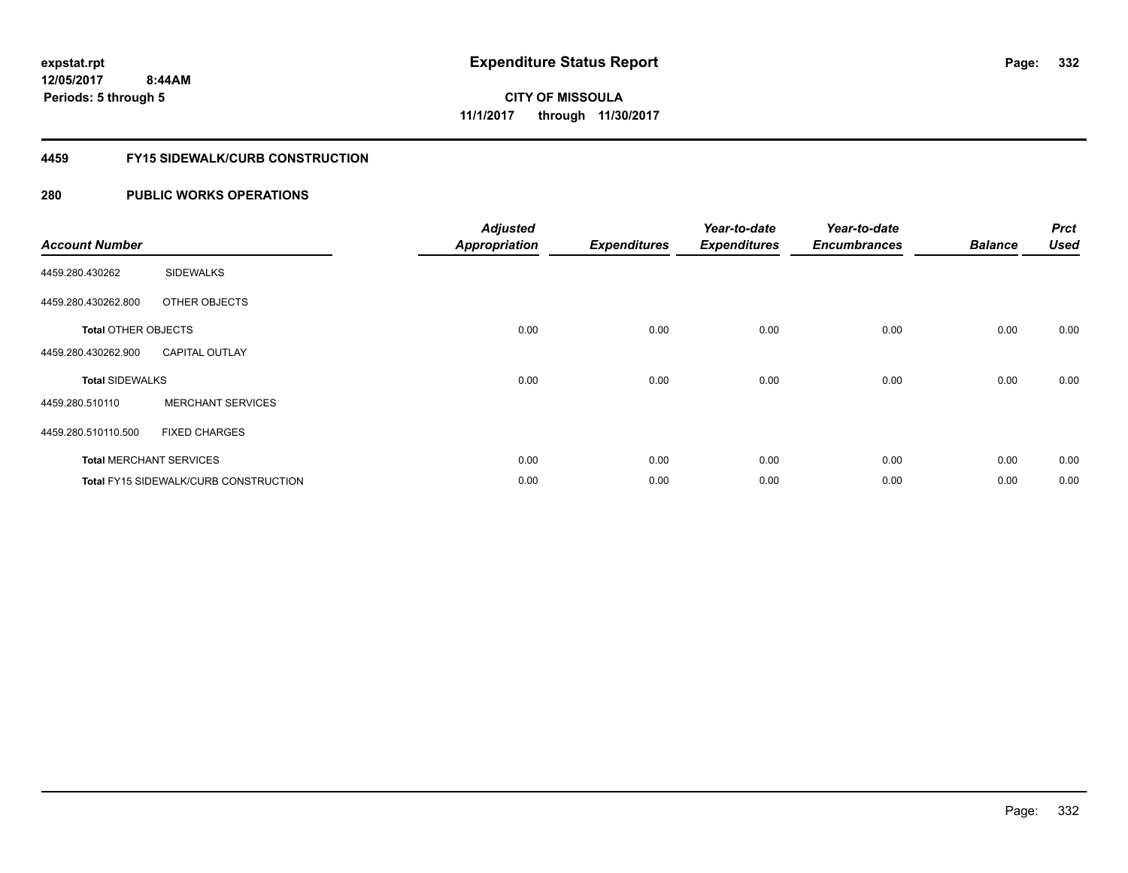#### **4459 FY15 SIDEWALK/CURB CONSTRUCTION**

| <b>Account Number</b>      |                                       | <b>Adjusted</b><br><b>Appropriation</b> | <b>Expenditures</b> | Year-to-date<br><b>Expenditures</b> | Year-to-date<br><b>Encumbrances</b> | <b>Balance</b> | <b>Prct</b><br><b>Used</b> |
|----------------------------|---------------------------------------|-----------------------------------------|---------------------|-------------------------------------|-------------------------------------|----------------|----------------------------|
| 4459.280.430262            | <b>SIDEWALKS</b>                      |                                         |                     |                                     |                                     |                |                            |
| 4459.280.430262.800        | OTHER OBJECTS                         |                                         |                     |                                     |                                     |                |                            |
| <b>Total OTHER OBJECTS</b> |                                       | 0.00                                    | 0.00                | 0.00                                | 0.00                                | 0.00           | 0.00                       |
| 4459.280.430262.900        | <b>CAPITAL OUTLAY</b>                 |                                         |                     |                                     |                                     |                |                            |
| <b>Total SIDEWALKS</b>     |                                       | 0.00                                    | 0.00                | 0.00                                | 0.00                                | 0.00           | 0.00                       |
| 4459.280.510110            | <b>MERCHANT SERVICES</b>              |                                         |                     |                                     |                                     |                |                            |
| 4459.280.510110.500        | <b>FIXED CHARGES</b>                  |                                         |                     |                                     |                                     |                |                            |
|                            | <b>Total MERCHANT SERVICES</b>        | 0.00                                    | 0.00                | 0.00                                | 0.00                                | 0.00           | 0.00                       |
|                            | Total FY15 SIDEWALK/CURB CONSTRUCTION | 0.00                                    | 0.00                | 0.00                                | 0.00                                | 0.00           | 0.00                       |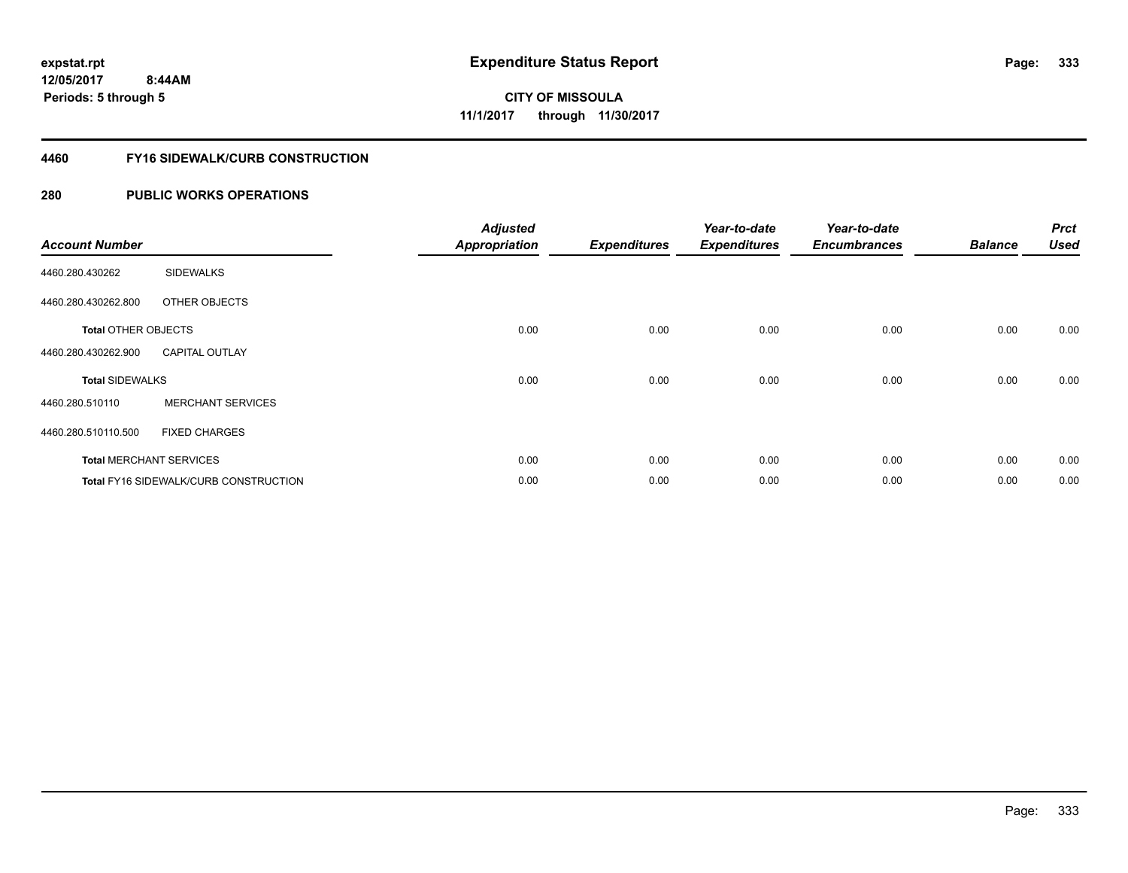#### **4460 FY16 SIDEWALK/CURB CONSTRUCTION**

| <b>Account Number</b>      |                                       | <b>Adjusted</b><br><b>Appropriation</b> | <b>Expenditures</b> | Year-to-date<br><b>Expenditures</b> | Year-to-date<br><b>Encumbrances</b> | <b>Balance</b> | <b>Prct</b><br><b>Used</b> |
|----------------------------|---------------------------------------|-----------------------------------------|---------------------|-------------------------------------|-------------------------------------|----------------|----------------------------|
| 4460.280.430262            | <b>SIDEWALKS</b>                      |                                         |                     |                                     |                                     |                |                            |
| 4460.280.430262.800        | OTHER OBJECTS                         |                                         |                     |                                     |                                     |                |                            |
| <b>Total OTHER OBJECTS</b> |                                       | 0.00                                    | 0.00                | 0.00                                | 0.00                                | 0.00           | 0.00                       |
| 4460.280.430262.900        | <b>CAPITAL OUTLAY</b>                 |                                         |                     |                                     |                                     |                |                            |
| <b>Total SIDEWALKS</b>     |                                       | 0.00                                    | 0.00                | 0.00                                | 0.00                                | 0.00           | 0.00                       |
| 4460.280.510110            | <b>MERCHANT SERVICES</b>              |                                         |                     |                                     |                                     |                |                            |
| 4460.280.510110.500        | <b>FIXED CHARGES</b>                  |                                         |                     |                                     |                                     |                |                            |
|                            | <b>Total MERCHANT SERVICES</b>        | 0.00                                    | 0.00                | 0.00                                | 0.00                                | 0.00           | 0.00                       |
|                            | Total FY16 SIDEWALK/CURB CONSTRUCTION | 0.00                                    | 0.00                | 0.00                                | 0.00                                | 0.00           | 0.00                       |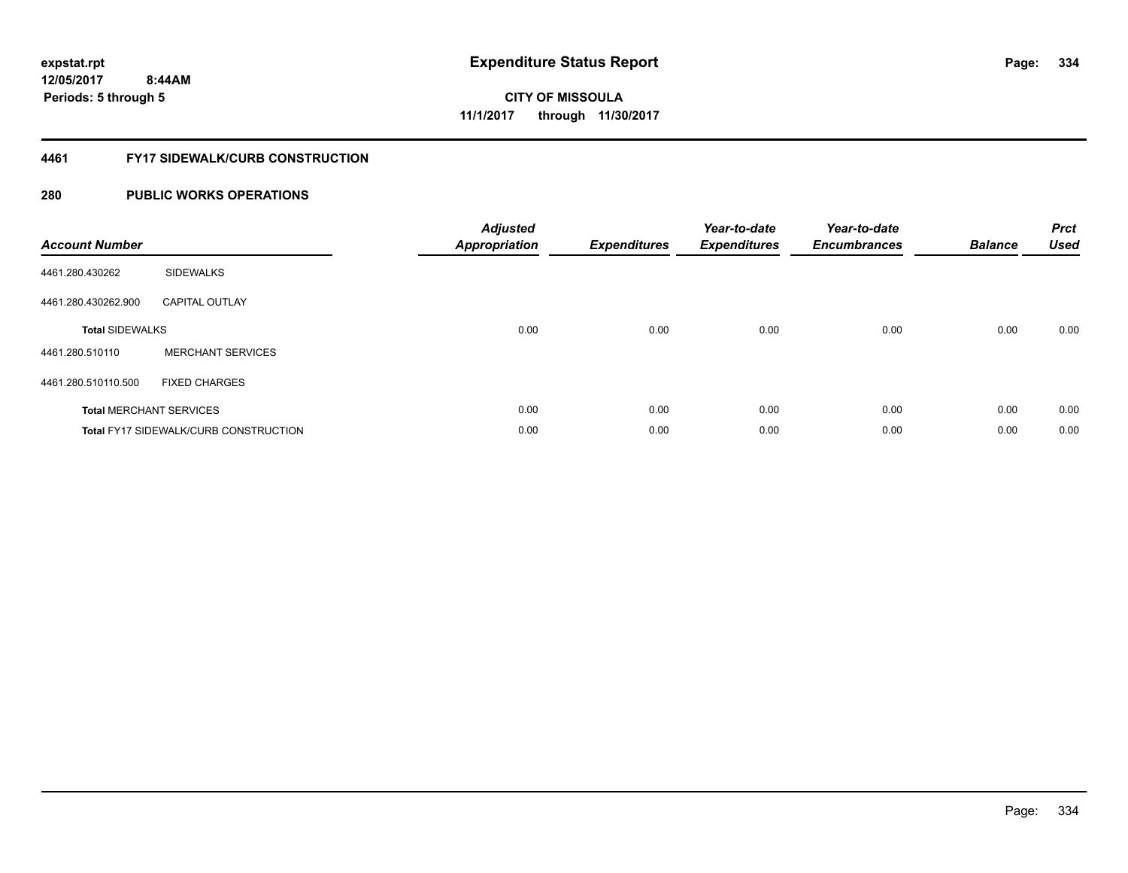# **CITY OF MISSOULA 11/1/2017 through 11/30/2017**

#### **4461 FY17 SIDEWALK/CURB CONSTRUCTION**

| <b>Account Number</b>  |                                              | <b>Adjusted</b><br>Appropriation | <b>Expenditures</b> | Year-to-date<br><b>Expenditures</b> | Year-to-date<br><b>Encumbrances</b> | <b>Balance</b> | <b>Prct</b><br><b>Used</b> |
|------------------------|----------------------------------------------|----------------------------------|---------------------|-------------------------------------|-------------------------------------|----------------|----------------------------|
| 4461.280.430262        | <b>SIDEWALKS</b>                             |                                  |                     |                                     |                                     |                |                            |
| 4461.280.430262.900    | <b>CAPITAL OUTLAY</b>                        |                                  |                     |                                     |                                     |                |                            |
| <b>Total SIDEWALKS</b> |                                              | 0.00                             | 0.00                | 0.00                                | 0.00                                | 0.00           | 0.00                       |
| 4461.280.510110        | <b>MERCHANT SERVICES</b>                     |                                  |                     |                                     |                                     |                |                            |
| 4461.280.510110.500    | <b>FIXED CHARGES</b>                         |                                  |                     |                                     |                                     |                |                            |
|                        | <b>Total MERCHANT SERVICES</b>               | 0.00                             | 0.00                | 0.00                                | 0.00                                | 0.00           | 0.00                       |
|                        | <b>Total FY17 SIDEWALK/CURB CONSTRUCTION</b> | 0.00                             | 0.00                | 0.00                                | 0.00                                | 0.00           | 0.00                       |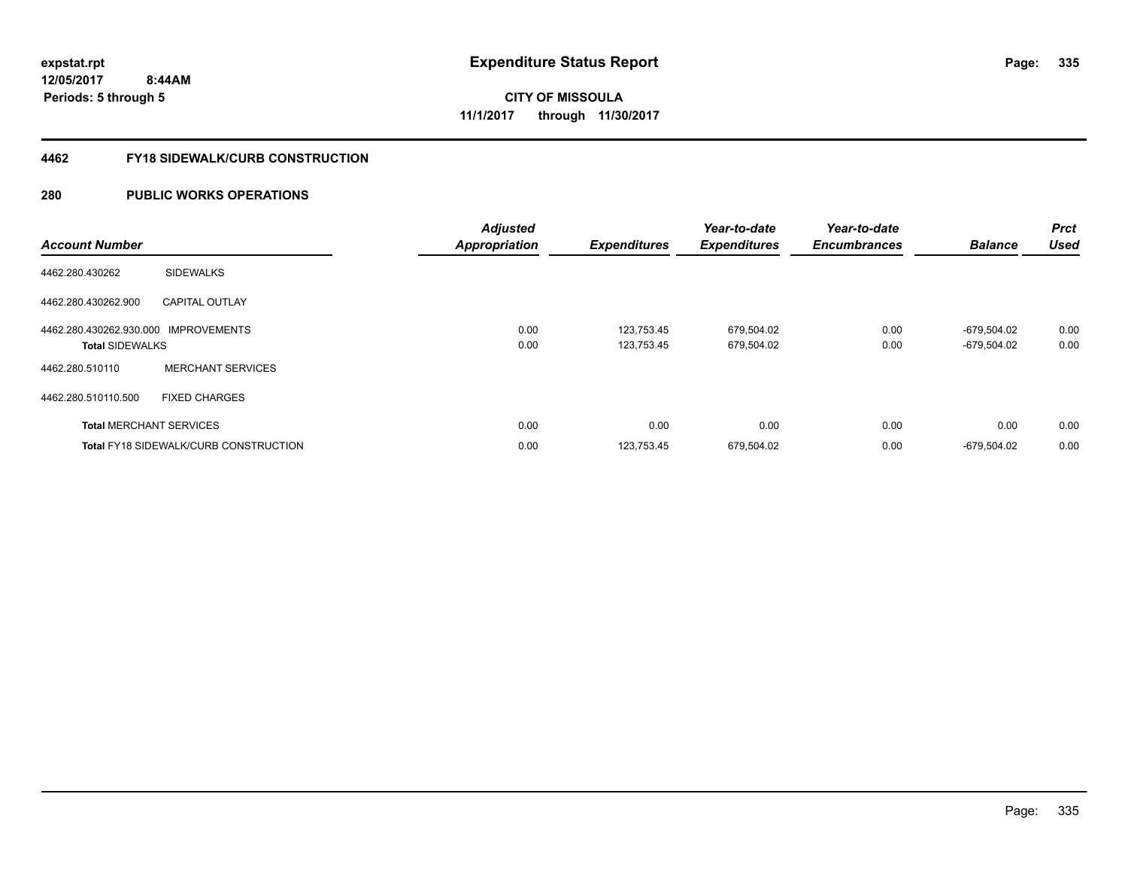#### **4462 FY18 SIDEWALK/CURB CONSTRUCTION**

| <b>Account Number</b>                |                                       | <b>Adjusted</b><br><b>Appropriation</b> | <b>Expenditures</b> | Year-to-date<br><b>Expenditures</b> | Year-to-date<br><b>Encumbrances</b> | <b>Balance</b> | <b>Prct</b><br><b>Used</b> |
|--------------------------------------|---------------------------------------|-----------------------------------------|---------------------|-------------------------------------|-------------------------------------|----------------|----------------------------|
| 4462.280.430262                      | <b>SIDEWALKS</b>                      |                                         |                     |                                     |                                     |                |                            |
| 4462.280.430262.900                  | <b>CAPITAL OUTLAY</b>                 |                                         |                     |                                     |                                     |                |                            |
| 4462.280.430262.930.000 IMPROVEMENTS |                                       | 0.00                                    | 123,753.45          | 679,504.02                          | 0.00                                | -679.504.02    | 0.00                       |
| <b>Total SIDEWALKS</b>               |                                       | 0.00                                    | 123.753.45          | 679,504.02                          | 0.00                                | -679.504.02    | 0.00                       |
| 4462.280.510110                      | <b>MERCHANT SERVICES</b>              |                                         |                     |                                     |                                     |                |                            |
| 4462.280.510110.500                  | <b>FIXED CHARGES</b>                  |                                         |                     |                                     |                                     |                |                            |
|                                      | <b>Total MERCHANT SERVICES</b>        | 0.00                                    | 0.00                | 0.00                                | 0.00                                | 0.00           | 0.00                       |
|                                      | Total FY18 SIDEWALK/CURB CONSTRUCTION | 0.00                                    | 123,753.45          | 679,504.02                          | 0.00                                | -679,504.02    | 0.00                       |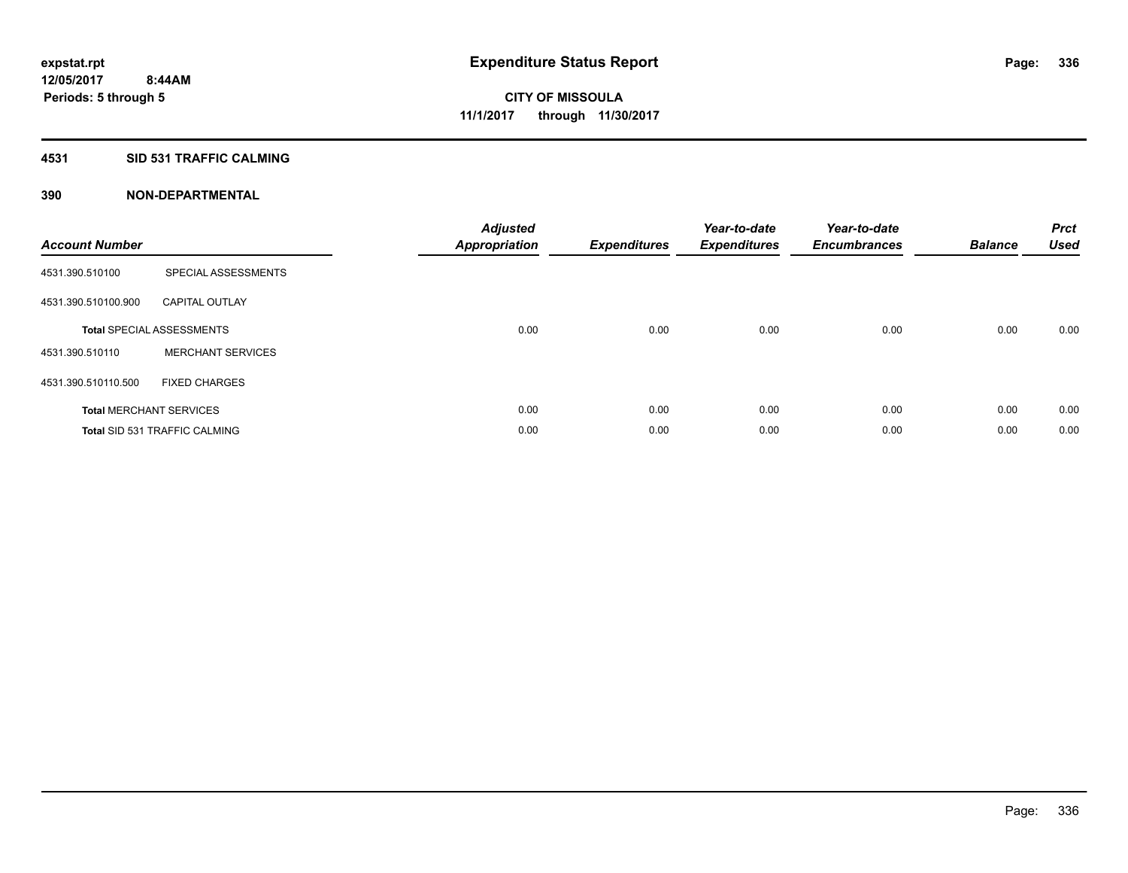### **4531 SID 531 TRAFFIC CALMING**

| <b>Account Number</b> |                                      | <b>Adjusted</b><br>Appropriation | <b>Expenditures</b> | Year-to-date<br><b>Expenditures</b> | Year-to-date<br><b>Encumbrances</b> | <b>Balance</b> | <b>Prct</b><br><b>Used</b> |
|-----------------------|--------------------------------------|----------------------------------|---------------------|-------------------------------------|-------------------------------------|----------------|----------------------------|
| 4531.390.510100       | SPECIAL ASSESSMENTS                  |                                  |                     |                                     |                                     |                |                            |
| 4531.390.510100.900   | <b>CAPITAL OUTLAY</b>                |                                  |                     |                                     |                                     |                |                            |
|                       | <b>Total SPECIAL ASSESSMENTS</b>     | 0.00                             | 0.00                | 0.00                                | 0.00                                | 0.00           | 0.00                       |
| 4531.390.510110       | <b>MERCHANT SERVICES</b>             |                                  |                     |                                     |                                     |                |                            |
| 4531.390.510110.500   | <b>FIXED CHARGES</b>                 |                                  |                     |                                     |                                     |                |                            |
|                       | <b>Total MERCHANT SERVICES</b>       | 0.00                             | 0.00                | 0.00                                | 0.00                                | 0.00           | 0.00                       |
|                       | <b>Total SID 531 TRAFFIC CALMING</b> | 0.00                             | 0.00                | 0.00                                | 0.00                                | 0.00           | 0.00                       |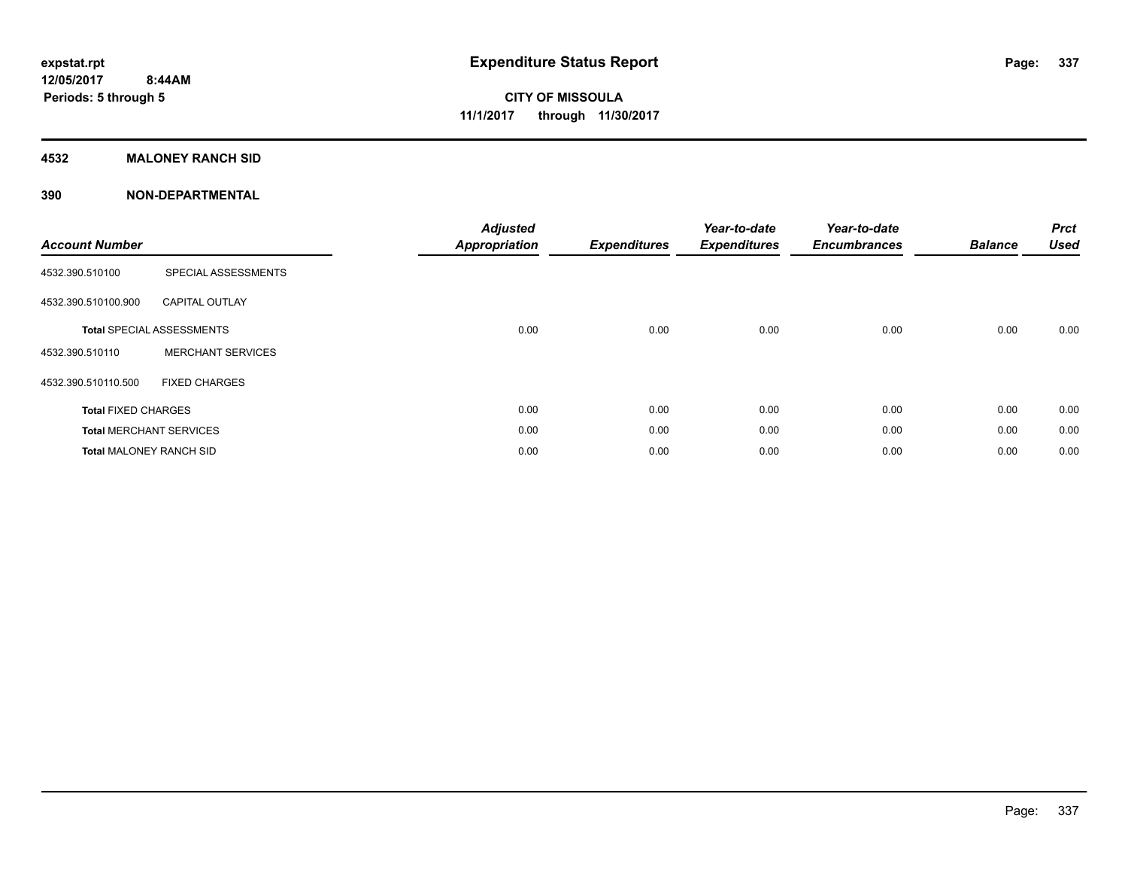### **4532 MALONEY RANCH SID**

| <b>Account Number</b>          |                                  | <b>Adjusted</b><br><b>Appropriation</b> | <b>Expenditures</b> | Year-to-date<br><b>Expenditures</b> | Year-to-date<br><b>Encumbrances</b> | <b>Balance</b> | <b>Prct</b><br><b>Used</b> |
|--------------------------------|----------------------------------|-----------------------------------------|---------------------|-------------------------------------|-------------------------------------|----------------|----------------------------|
| 4532.390.510100                | SPECIAL ASSESSMENTS              |                                         |                     |                                     |                                     |                |                            |
| 4532.390.510100.900            | <b>CAPITAL OUTLAY</b>            |                                         |                     |                                     |                                     |                |                            |
|                                | <b>Total SPECIAL ASSESSMENTS</b> | 0.00                                    | 0.00                | 0.00                                | 0.00                                | 0.00           | 0.00                       |
| 4532.390.510110                | <b>MERCHANT SERVICES</b>         |                                         |                     |                                     |                                     |                |                            |
| 4532.390.510110.500            | <b>FIXED CHARGES</b>             |                                         |                     |                                     |                                     |                |                            |
| <b>Total FIXED CHARGES</b>     |                                  | 0.00                                    | 0.00                | 0.00                                | 0.00                                | 0.00           | 0.00                       |
|                                | <b>Total MERCHANT SERVICES</b>   | 0.00                                    | 0.00                | 0.00                                | 0.00                                | 0.00           | 0.00                       |
| <b>Total MALONEY RANCH SID</b> |                                  | 0.00                                    | 0.00                | 0.00                                | 0.00                                | 0.00           | 0.00                       |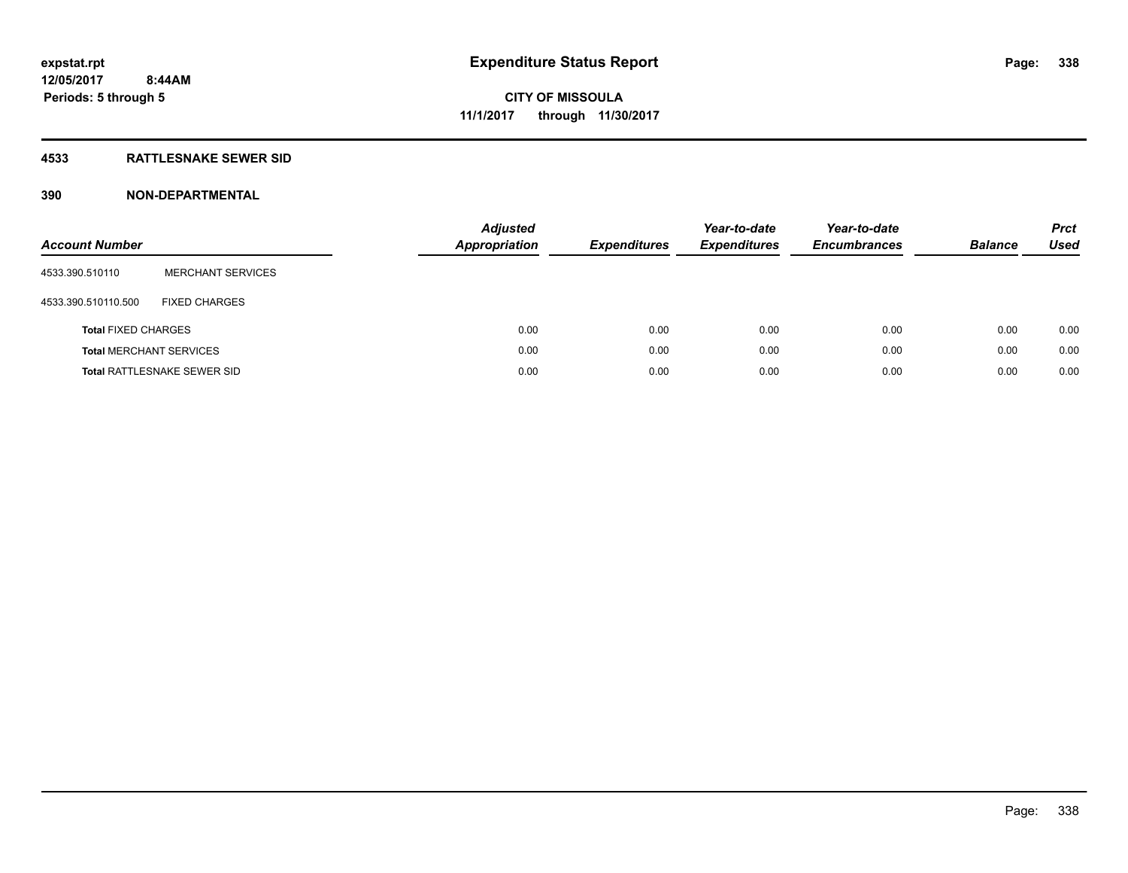### **4533 RATTLESNAKE SEWER SID**

| <b>Account Number</b>          |                             | <b>Adjusted</b><br><b>Appropriation</b> | <b>Expenditures</b> | Year-to-date<br><b>Expenditures</b> | Year-to-date<br><b>Encumbrances</b> | <b>Balance</b> | <b>Prct</b><br>Used |
|--------------------------------|-----------------------------|-----------------------------------------|---------------------|-------------------------------------|-------------------------------------|----------------|---------------------|
| 4533.390.510110                | <b>MERCHANT SERVICES</b>    |                                         |                     |                                     |                                     |                |                     |
| 4533.390.510110.500            | <b>FIXED CHARGES</b>        |                                         |                     |                                     |                                     |                |                     |
| <b>Total FIXED CHARGES</b>     |                             | 0.00                                    | 0.00                | 0.00                                | 0.00                                | 0.00           | 0.00                |
| <b>Total MERCHANT SERVICES</b> |                             | 0.00                                    | 0.00                | 0.00                                | 0.00                                | 0.00           | 0.00                |
|                                | Total RATTLESNAKE SEWER SID | 0.00                                    | 0.00                | 0.00                                | 0.00                                | 0.00           | 0.00                |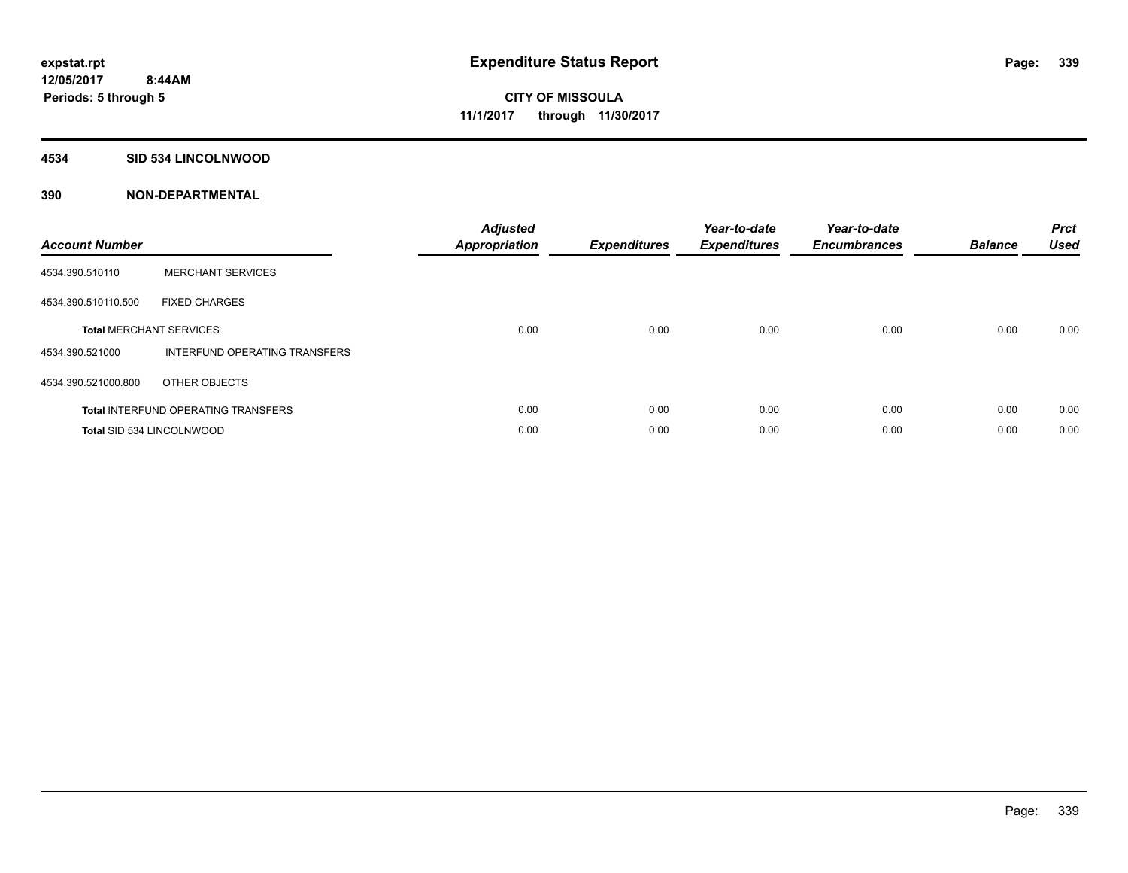#### **4534 SID 534 LINCOLNWOOD**

| <b>Account Number</b> |                                            | <b>Adjusted</b><br>Appropriation | <b>Expenditures</b> | Year-to-date<br><b>Expenditures</b> | Year-to-date<br><b>Encumbrances</b> | <b>Balance</b> | <b>Prct</b><br><b>Used</b> |
|-----------------------|--------------------------------------------|----------------------------------|---------------------|-------------------------------------|-------------------------------------|----------------|----------------------------|
| 4534.390.510110       | <b>MERCHANT SERVICES</b>                   |                                  |                     |                                     |                                     |                |                            |
| 4534.390.510110.500   | <b>FIXED CHARGES</b>                       |                                  |                     |                                     |                                     |                |                            |
|                       | <b>Total MERCHANT SERVICES</b>             | 0.00                             | 0.00                | 0.00                                | 0.00                                | 0.00           | 0.00                       |
| 4534.390.521000       | INTERFUND OPERATING TRANSFERS              |                                  |                     |                                     |                                     |                |                            |
| 4534.390.521000.800   | OTHER OBJECTS                              |                                  |                     |                                     |                                     |                |                            |
|                       | <b>Total INTERFUND OPERATING TRANSFERS</b> | 0.00                             | 0.00                | 0.00                                | 0.00                                | 0.00           | 0.00                       |
|                       | <b>Total SID 534 LINCOLNWOOD</b>           | 0.00                             | 0.00                | 0.00                                | 0.00                                | 0.00           | 0.00                       |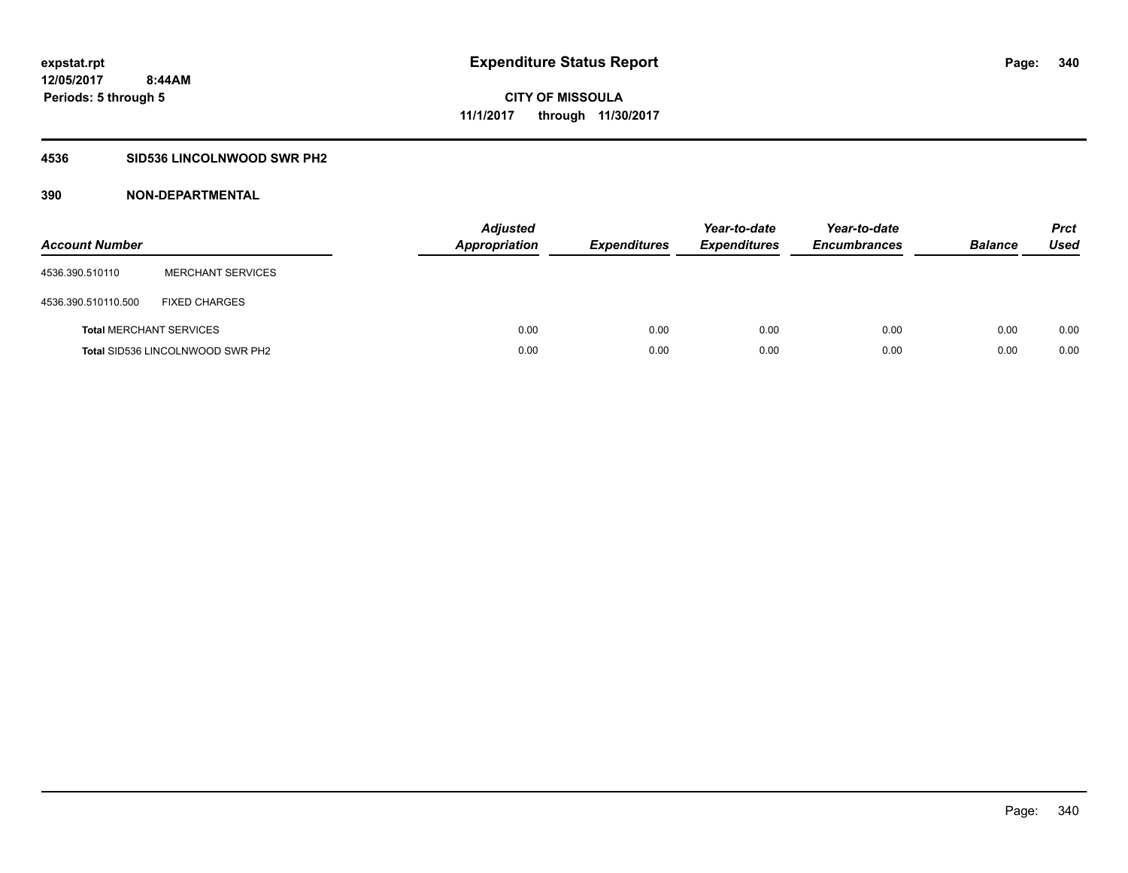### **4536 SID536 LINCOLNWOOD SWR PH2**

| <b>Account Number</b>          |                                  | <b>Adjusted</b><br><b>Appropriation</b> | <b>Expenditures</b> | Year-to-date<br><b>Expenditures</b> | Year-to-date<br><b>Encumbrances</b> | <b>Balance</b> | <b>Prct</b><br>Used |
|--------------------------------|----------------------------------|-----------------------------------------|---------------------|-------------------------------------|-------------------------------------|----------------|---------------------|
| 4536.390.510110                | <b>MERCHANT SERVICES</b>         |                                         |                     |                                     |                                     |                |                     |
| 4536.390.510110.500            | <b>FIXED CHARGES</b>             |                                         |                     |                                     |                                     |                |                     |
| <b>Total MERCHANT SERVICES</b> |                                  | 0.00                                    | 0.00                | 0.00                                | 0.00                                | 0.00           | 0.00                |
|                                | Total SID536 LINCOLNWOOD SWR PH2 | 0.00                                    | 0.00                | 0.00                                | 0.00                                | 0.00           | 0.00                |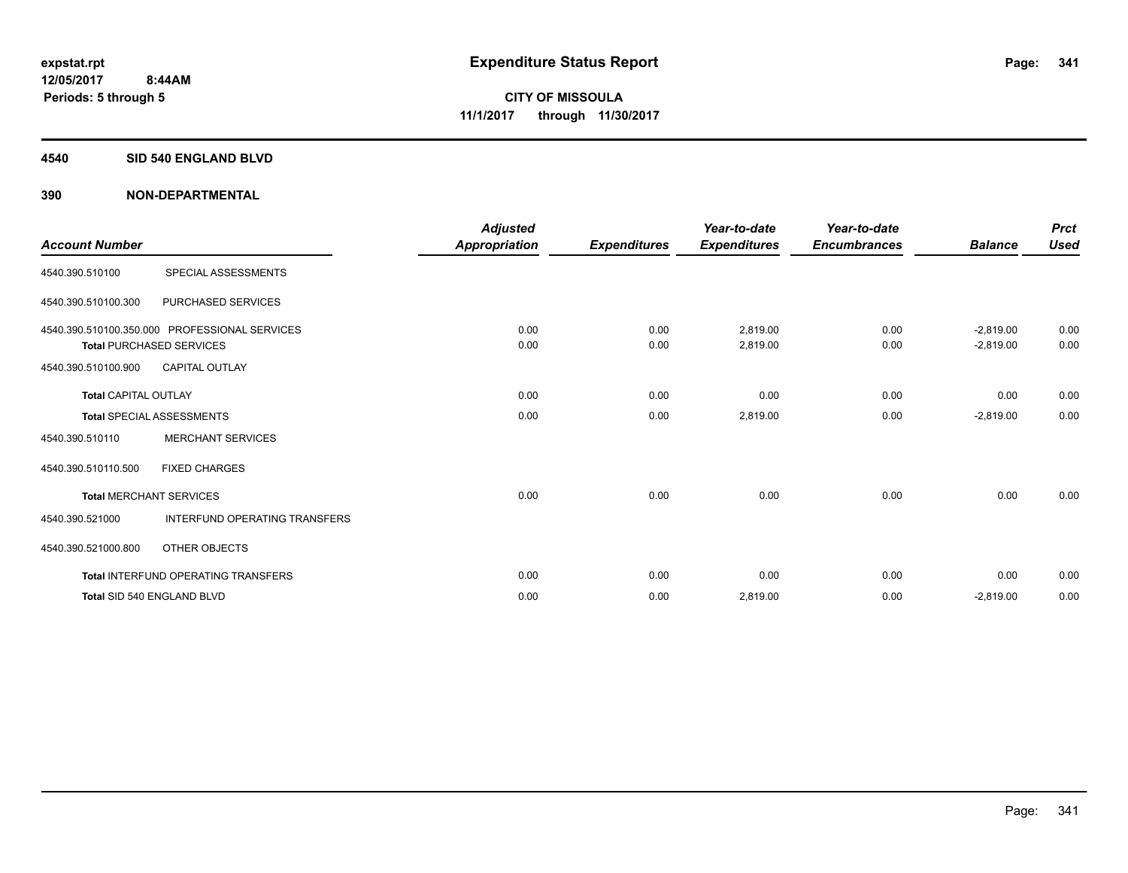#### **4540 SID 540 ENGLAND BLVD**

| <b>Account Number</b>       |                                                                                  | <b>Adjusted</b><br><b>Appropriation</b> | <b>Expenditures</b> | Year-to-date<br><b>Expenditures</b> | Year-to-date<br><b>Encumbrances</b> | <b>Balance</b>             | <b>Prct</b><br><b>Used</b> |
|-----------------------------|----------------------------------------------------------------------------------|-----------------------------------------|---------------------|-------------------------------------|-------------------------------------|----------------------------|----------------------------|
| 4540.390.510100             | SPECIAL ASSESSMENTS                                                              |                                         |                     |                                     |                                     |                            |                            |
| 4540.390.510100.300         | <b>PURCHASED SERVICES</b>                                                        |                                         |                     |                                     |                                     |                            |                            |
|                             | 4540.390.510100.350.000 PROFESSIONAL SERVICES<br><b>Total PURCHASED SERVICES</b> | 0.00<br>0.00                            | 0.00<br>0.00        | 2.819.00<br>2,819.00                | 0.00<br>0.00                        | $-2,819.00$<br>$-2,819.00$ | 0.00<br>0.00               |
| 4540.390.510100.900         | <b>CAPITAL OUTLAY</b>                                                            |                                         |                     |                                     |                                     |                            |                            |
| <b>Total CAPITAL OUTLAY</b> |                                                                                  | 0.00                                    | 0.00                | 0.00                                | 0.00                                | 0.00                       | 0.00                       |
|                             | <b>Total SPECIAL ASSESSMENTS</b>                                                 | 0.00                                    | 0.00                | 2,819.00                            | 0.00                                | $-2,819.00$                | 0.00                       |
| 4540.390.510110             | <b>MERCHANT SERVICES</b>                                                         |                                         |                     |                                     |                                     |                            |                            |
| 4540.390.510110.500         | <b>FIXED CHARGES</b>                                                             |                                         |                     |                                     |                                     |                            |                            |
|                             | <b>Total MERCHANT SERVICES</b>                                                   | 0.00                                    | 0.00                | 0.00                                | 0.00                                | 0.00                       | 0.00                       |
| 4540.390.521000             | <b>INTERFUND OPERATING TRANSFERS</b>                                             |                                         |                     |                                     |                                     |                            |                            |
| 4540.390.521000.800         | OTHER OBJECTS                                                                    |                                         |                     |                                     |                                     |                            |                            |
|                             | <b>Total INTERFUND OPERATING TRANSFERS</b>                                       | 0.00                                    | 0.00                | 0.00                                | 0.00                                | 0.00                       | 0.00                       |
|                             | Total SID 540 ENGLAND BLVD                                                       | 0.00                                    | 0.00                | 2,819.00                            | 0.00                                | $-2,819.00$                | 0.00                       |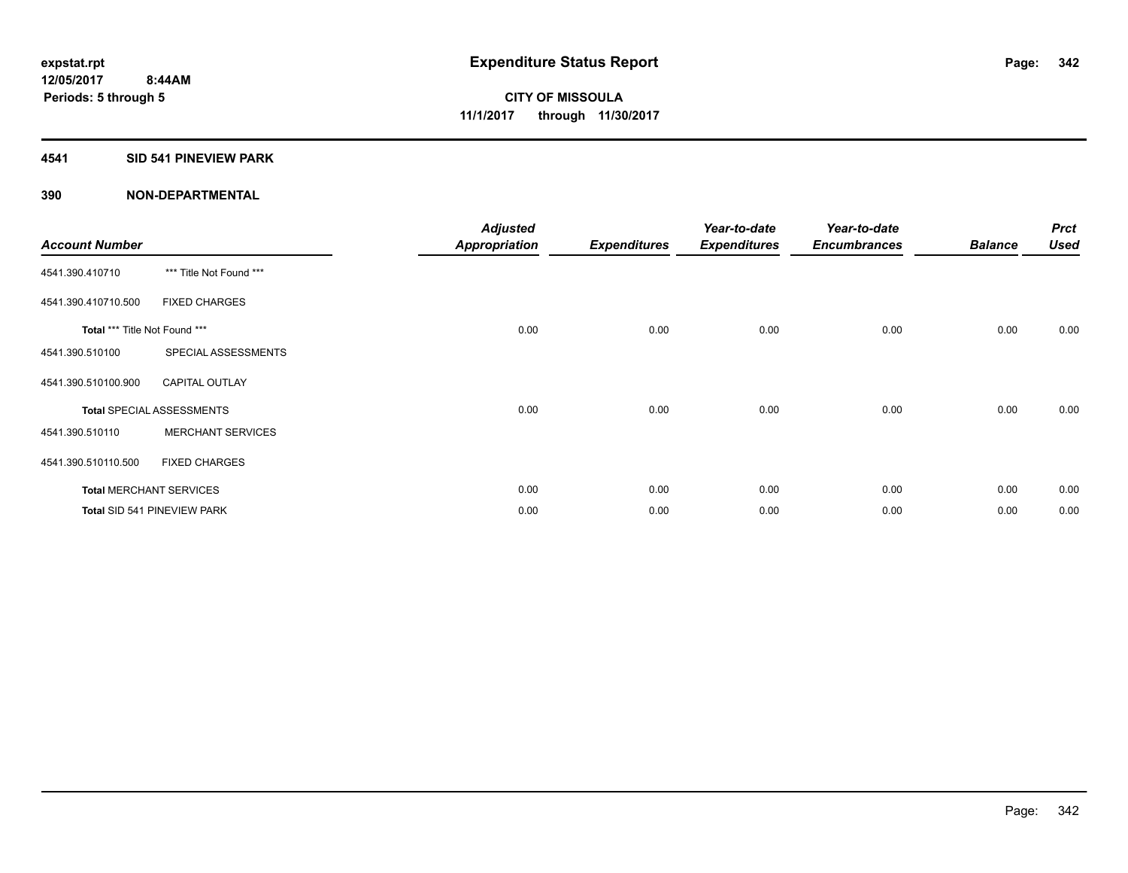### **4541 SID 541 PINEVIEW PARK**

| <b>Account Number</b>         |                                  | <b>Adjusted</b><br><b>Appropriation</b> | <b>Expenditures</b> | Year-to-date<br><b>Expenditures</b> | Year-to-date<br><b>Encumbrances</b> | <b>Balance</b> | <b>Prct</b><br><b>Used</b> |
|-------------------------------|----------------------------------|-----------------------------------------|---------------------|-------------------------------------|-------------------------------------|----------------|----------------------------|
| 4541.390.410710               | *** Title Not Found ***          |                                         |                     |                                     |                                     |                |                            |
| 4541.390.410710.500           | <b>FIXED CHARGES</b>             |                                         |                     |                                     |                                     |                |                            |
| Total *** Title Not Found *** |                                  | 0.00                                    | 0.00                | 0.00                                | 0.00                                | 0.00           | 0.00                       |
| 4541.390.510100               | SPECIAL ASSESSMENTS              |                                         |                     |                                     |                                     |                |                            |
| 4541.390.510100.900           | <b>CAPITAL OUTLAY</b>            |                                         |                     |                                     |                                     |                |                            |
|                               | <b>Total SPECIAL ASSESSMENTS</b> | 0.00                                    | 0.00                | 0.00                                | 0.00                                | 0.00           | 0.00                       |
| 4541.390.510110               | <b>MERCHANT SERVICES</b>         |                                         |                     |                                     |                                     |                |                            |
| 4541.390.510110.500           | <b>FIXED CHARGES</b>             |                                         |                     |                                     |                                     |                |                            |
|                               | <b>Total MERCHANT SERVICES</b>   | 0.00                                    | 0.00                | 0.00                                | 0.00                                | 0.00           | 0.00                       |
|                               | Total SID 541 PINEVIEW PARK      | 0.00                                    | 0.00                | 0.00                                | 0.00                                | 0.00           | 0.00                       |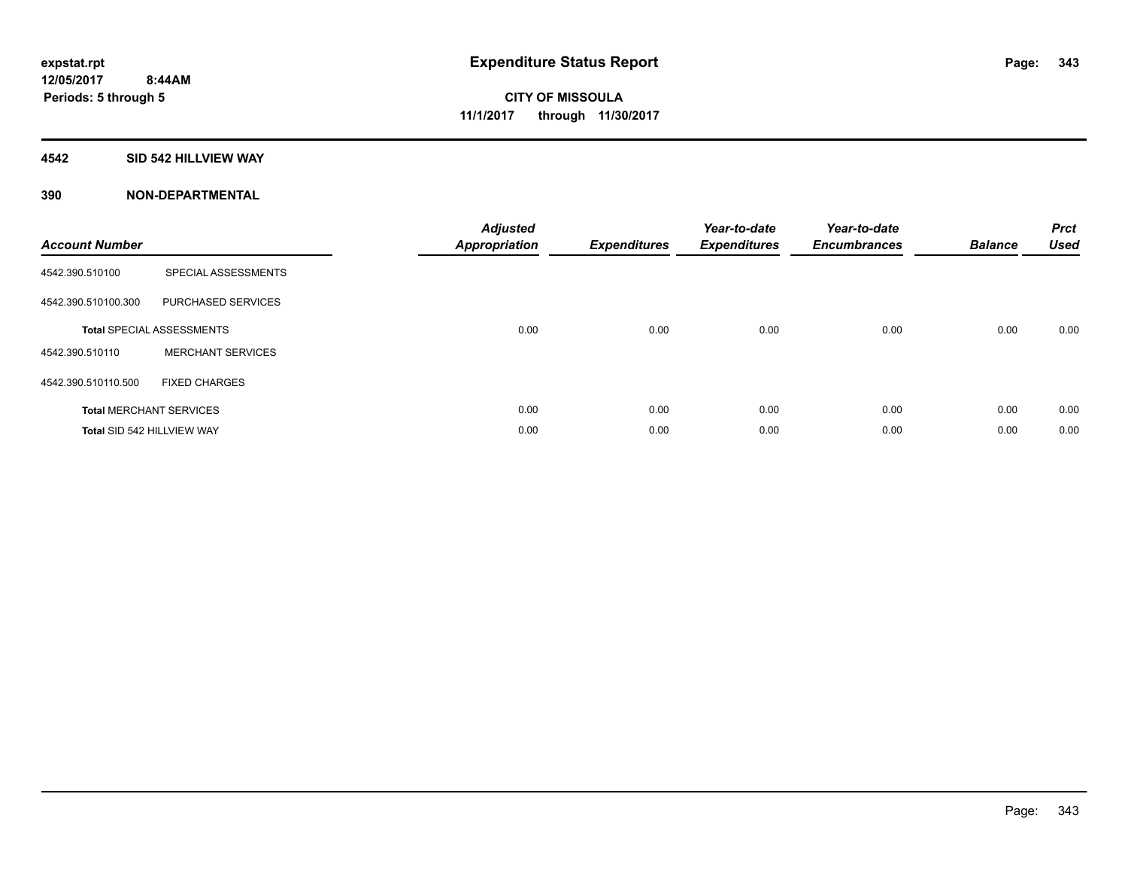### **4542 SID 542 HILLVIEW WAY**

| <b>Account Number</b> |                                  | <b>Adjusted</b><br>Appropriation | <b>Expenditures</b> | Year-to-date<br><b>Expenditures</b> | Year-to-date<br><b>Encumbrances</b> | <b>Balance</b> | <b>Prct</b><br><b>Used</b> |
|-----------------------|----------------------------------|----------------------------------|---------------------|-------------------------------------|-------------------------------------|----------------|----------------------------|
| 4542.390.510100       | SPECIAL ASSESSMENTS              |                                  |                     |                                     |                                     |                |                            |
| 4542.390.510100.300   | PURCHASED SERVICES               |                                  |                     |                                     |                                     |                |                            |
|                       | <b>Total SPECIAL ASSESSMENTS</b> | 0.00                             | 0.00                | 0.00                                | 0.00                                | 0.00           | 0.00                       |
| 4542.390.510110       | <b>MERCHANT SERVICES</b>         |                                  |                     |                                     |                                     |                |                            |
| 4542.390.510110.500   | <b>FIXED CHARGES</b>             |                                  |                     |                                     |                                     |                |                            |
|                       | <b>Total MERCHANT SERVICES</b>   | 0.00                             | 0.00                | 0.00                                | 0.00                                | 0.00           | 0.00                       |
|                       | Total SID 542 HILLVIEW WAY       | 0.00                             | 0.00                | 0.00                                | 0.00                                | 0.00           | 0.00                       |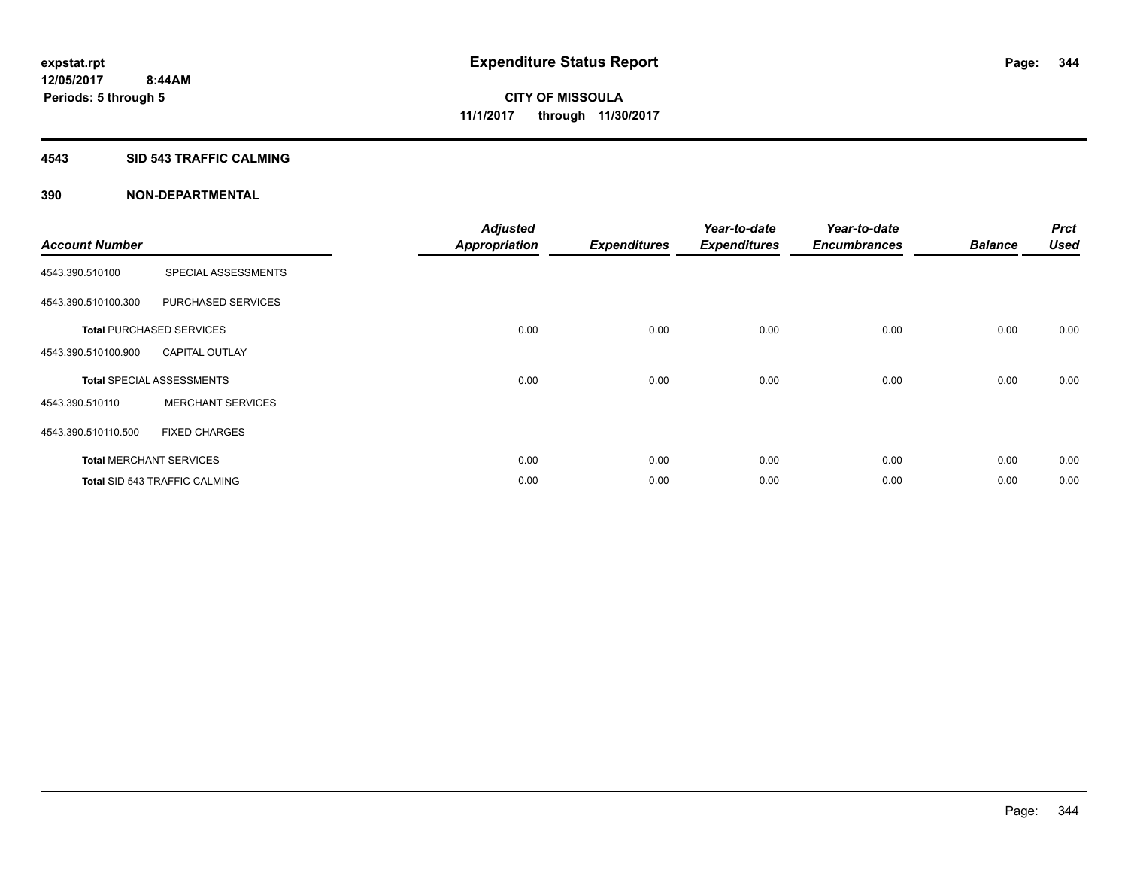#### **4543 SID 543 TRAFFIC CALMING**

|                       |                                      | <b>Adjusted</b>      |                     | Year-to-date        | Year-to-date        |                | <b>Prct</b> |
|-----------------------|--------------------------------------|----------------------|---------------------|---------------------|---------------------|----------------|-------------|
| <b>Account Number</b> |                                      | <b>Appropriation</b> | <b>Expenditures</b> | <b>Expenditures</b> | <b>Encumbrances</b> | <b>Balance</b> | <b>Used</b> |
| 4543.390.510100       | SPECIAL ASSESSMENTS                  |                      |                     |                     |                     |                |             |
| 4543.390.510100.300   | PURCHASED SERVICES                   |                      |                     |                     |                     |                |             |
|                       | <b>Total PURCHASED SERVICES</b>      | 0.00                 | 0.00                | 0.00                | 0.00                | 0.00           | 0.00        |
| 4543.390.510100.900   | <b>CAPITAL OUTLAY</b>                |                      |                     |                     |                     |                |             |
|                       | <b>Total SPECIAL ASSESSMENTS</b>     | 0.00                 | 0.00                | 0.00                | 0.00                | 0.00           | 0.00        |
| 4543.390.510110       | <b>MERCHANT SERVICES</b>             |                      |                     |                     |                     |                |             |
| 4543.390.510110.500   | <b>FIXED CHARGES</b>                 |                      |                     |                     |                     |                |             |
|                       | <b>Total MERCHANT SERVICES</b>       | 0.00                 | 0.00                | 0.00                | 0.00                | 0.00           | 0.00        |
|                       | <b>Total SID 543 TRAFFIC CALMING</b> | 0.00                 | 0.00                | 0.00                | 0.00                | 0.00           | 0.00        |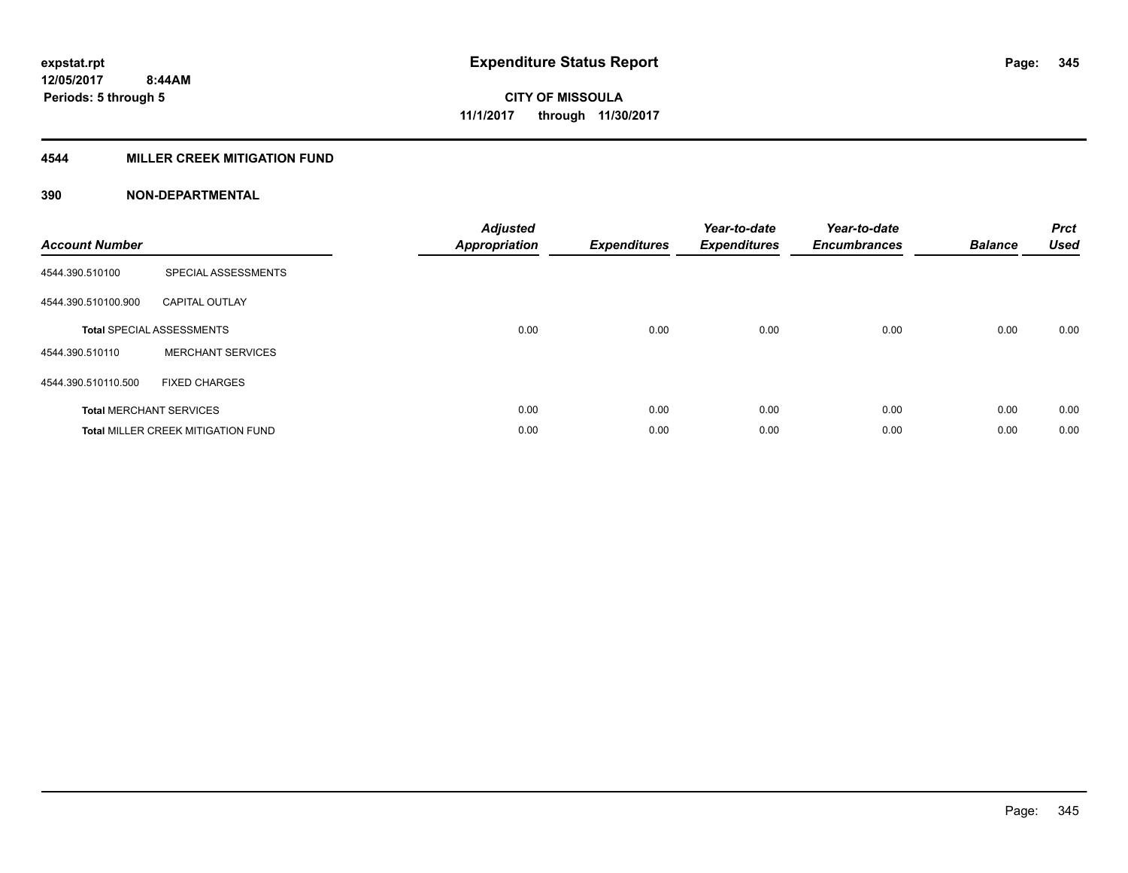### **4544 MILLER CREEK MITIGATION FUND**

| <b>Account Number</b> |                                           | <b>Adjusted</b><br><b>Appropriation</b> | <b>Expenditures</b> | Year-to-date<br><b>Expenditures</b> | Year-to-date<br><b>Encumbrances</b> | <b>Balance</b> | <b>Prct</b><br><b>Used</b> |
|-----------------------|-------------------------------------------|-----------------------------------------|---------------------|-------------------------------------|-------------------------------------|----------------|----------------------------|
| 4544.390.510100       | SPECIAL ASSESSMENTS                       |                                         |                     |                                     |                                     |                |                            |
| 4544.390.510100.900   | <b>CAPITAL OUTLAY</b>                     |                                         |                     |                                     |                                     |                |                            |
|                       | <b>Total SPECIAL ASSESSMENTS</b>          | 0.00                                    | 0.00                | 0.00                                | 0.00                                | 0.00           | 0.00                       |
| 4544.390.510110       | <b>MERCHANT SERVICES</b>                  |                                         |                     |                                     |                                     |                |                            |
| 4544.390.510110.500   | <b>FIXED CHARGES</b>                      |                                         |                     |                                     |                                     |                |                            |
|                       | <b>Total MERCHANT SERVICES</b>            | 0.00                                    | 0.00                | 0.00                                | 0.00                                | 0.00           | 0.00                       |
|                       | <b>Total MILLER CREEK MITIGATION FUND</b> | 0.00                                    | 0.00                | 0.00                                | 0.00                                | 0.00           | 0.00                       |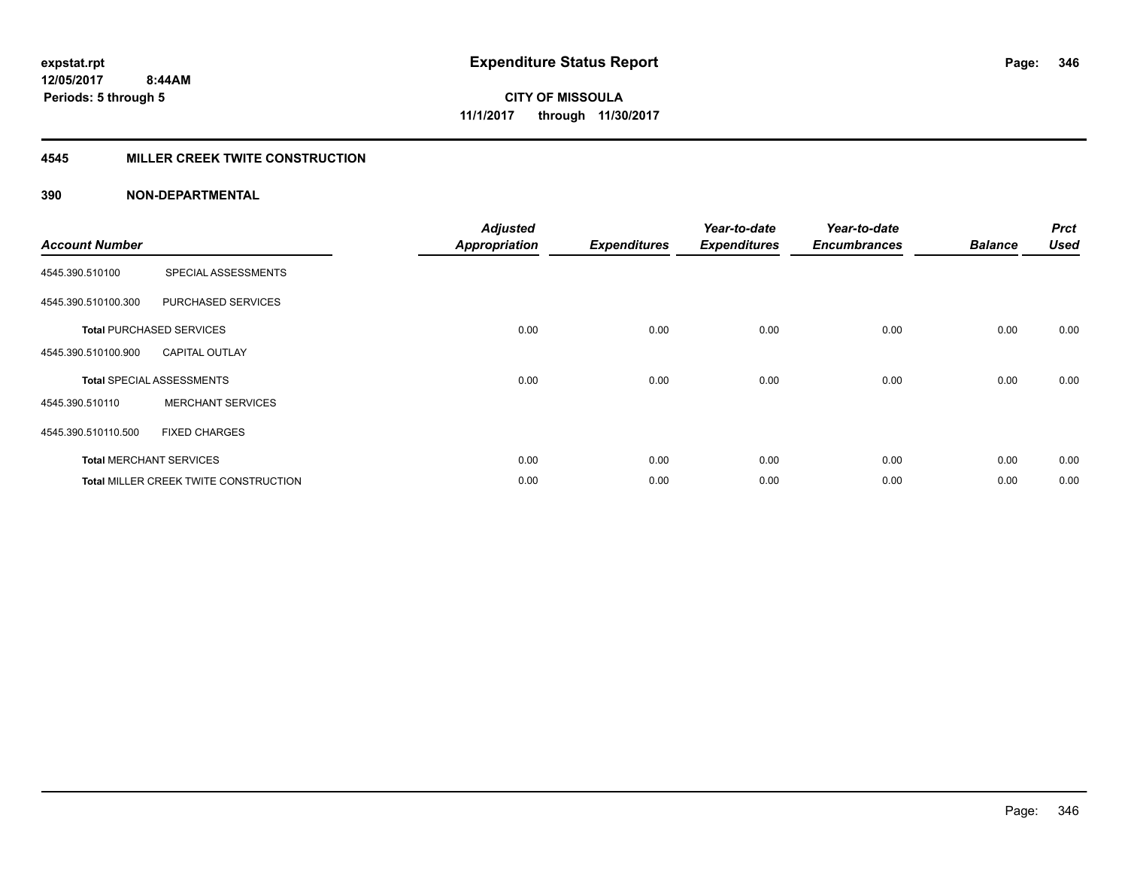### **4545 MILLER CREEK TWITE CONSTRUCTION**

| <b>Account Number</b> |                                              | <b>Adjusted</b><br><b>Appropriation</b> | <b>Expenditures</b> | Year-to-date<br><b>Expenditures</b> | Year-to-date<br><b>Encumbrances</b> | <b>Balance</b> | <b>Prct</b><br><b>Used</b> |
|-----------------------|----------------------------------------------|-----------------------------------------|---------------------|-------------------------------------|-------------------------------------|----------------|----------------------------|
| 4545.390.510100       | SPECIAL ASSESSMENTS                          |                                         |                     |                                     |                                     |                |                            |
| 4545.390.510100.300   | PURCHASED SERVICES                           |                                         |                     |                                     |                                     |                |                            |
|                       | <b>Total PURCHASED SERVICES</b>              | 0.00                                    | 0.00                | 0.00                                | 0.00                                | 0.00           | 0.00                       |
| 4545.390.510100.900   | <b>CAPITAL OUTLAY</b>                        |                                         |                     |                                     |                                     |                |                            |
|                       | <b>Total SPECIAL ASSESSMENTS</b>             | 0.00                                    | 0.00                | 0.00                                | 0.00                                | 0.00           | 0.00                       |
| 4545.390.510110       | <b>MERCHANT SERVICES</b>                     |                                         |                     |                                     |                                     |                |                            |
| 4545.390.510110.500   | <b>FIXED CHARGES</b>                         |                                         |                     |                                     |                                     |                |                            |
|                       | <b>Total MERCHANT SERVICES</b>               | 0.00                                    | 0.00                | 0.00                                | 0.00                                | 0.00           | 0.00                       |
|                       | <b>Total MILLER CREEK TWITE CONSTRUCTION</b> | 0.00                                    | 0.00                | 0.00                                | 0.00                                | 0.00           | 0.00                       |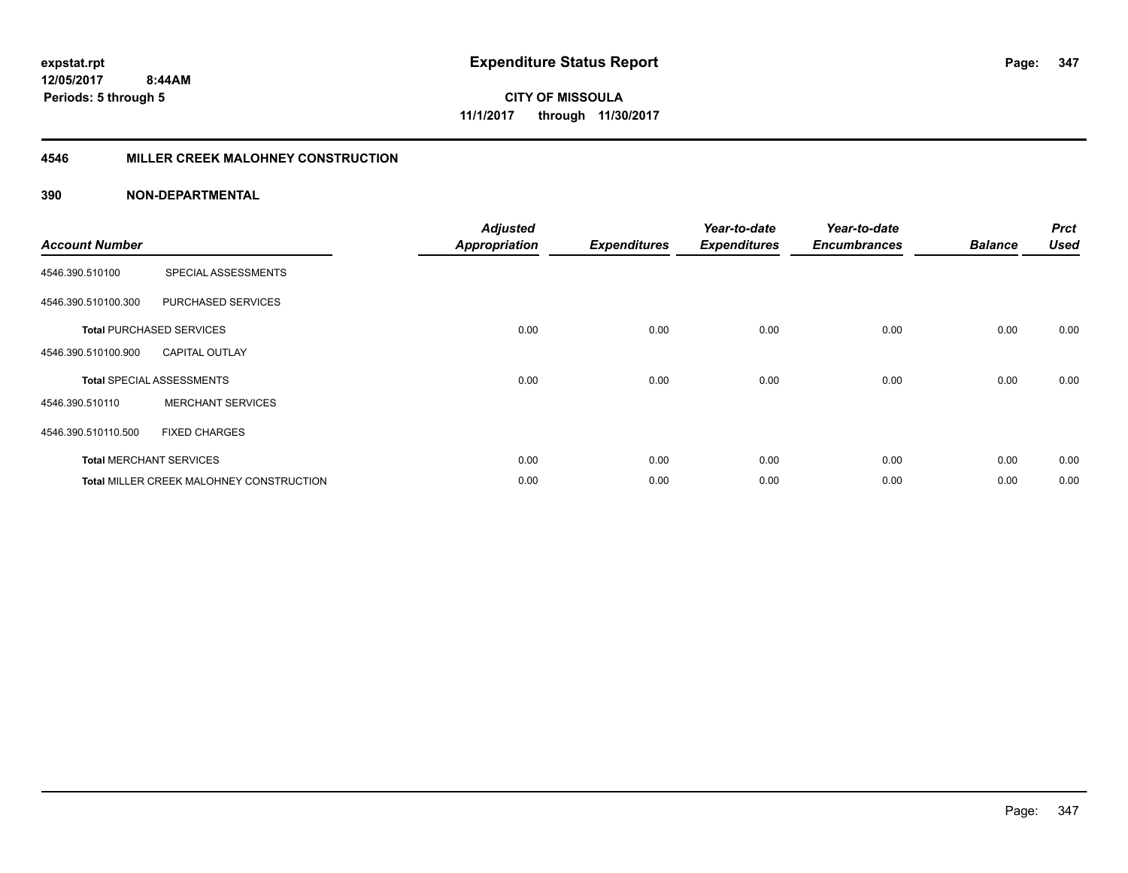**CITY OF MISSOULA 11/1/2017 through 11/30/2017**

#### **4546 MILLER CREEK MALOHNEY CONSTRUCTION**

| <b>Account Number</b> |                                          | <b>Adjusted</b><br><b>Appropriation</b> | <b>Expenditures</b> | Year-to-date<br><b>Expenditures</b> | Year-to-date<br><b>Encumbrances</b> | <b>Balance</b> | <b>Prct</b><br><b>Used</b> |
|-----------------------|------------------------------------------|-----------------------------------------|---------------------|-------------------------------------|-------------------------------------|----------------|----------------------------|
| 4546.390.510100       | SPECIAL ASSESSMENTS                      |                                         |                     |                                     |                                     |                |                            |
| 4546.390.510100.300   | PURCHASED SERVICES                       |                                         |                     |                                     |                                     |                |                            |
|                       | <b>Total PURCHASED SERVICES</b>          | 0.00                                    | 0.00                | 0.00                                | 0.00                                | 0.00           | 0.00                       |
| 4546.390.510100.900   | <b>CAPITAL OUTLAY</b>                    |                                         |                     |                                     |                                     |                |                            |
|                       | <b>Total SPECIAL ASSESSMENTS</b>         | 0.00                                    | 0.00                | 0.00                                | 0.00                                | 0.00           | 0.00                       |
| 4546.390.510110       | <b>MERCHANT SERVICES</b>                 |                                         |                     |                                     |                                     |                |                            |
| 4546.390.510110.500   | <b>FIXED CHARGES</b>                     |                                         |                     |                                     |                                     |                |                            |
|                       | <b>Total MERCHANT SERVICES</b>           | 0.00                                    | 0.00                | 0.00                                | 0.00                                | 0.00           | 0.00                       |
|                       | Total MILLER CREEK MALOHNEY CONSTRUCTION | 0.00                                    | 0.00                | 0.00                                | 0.00                                | 0.00           | 0.00                       |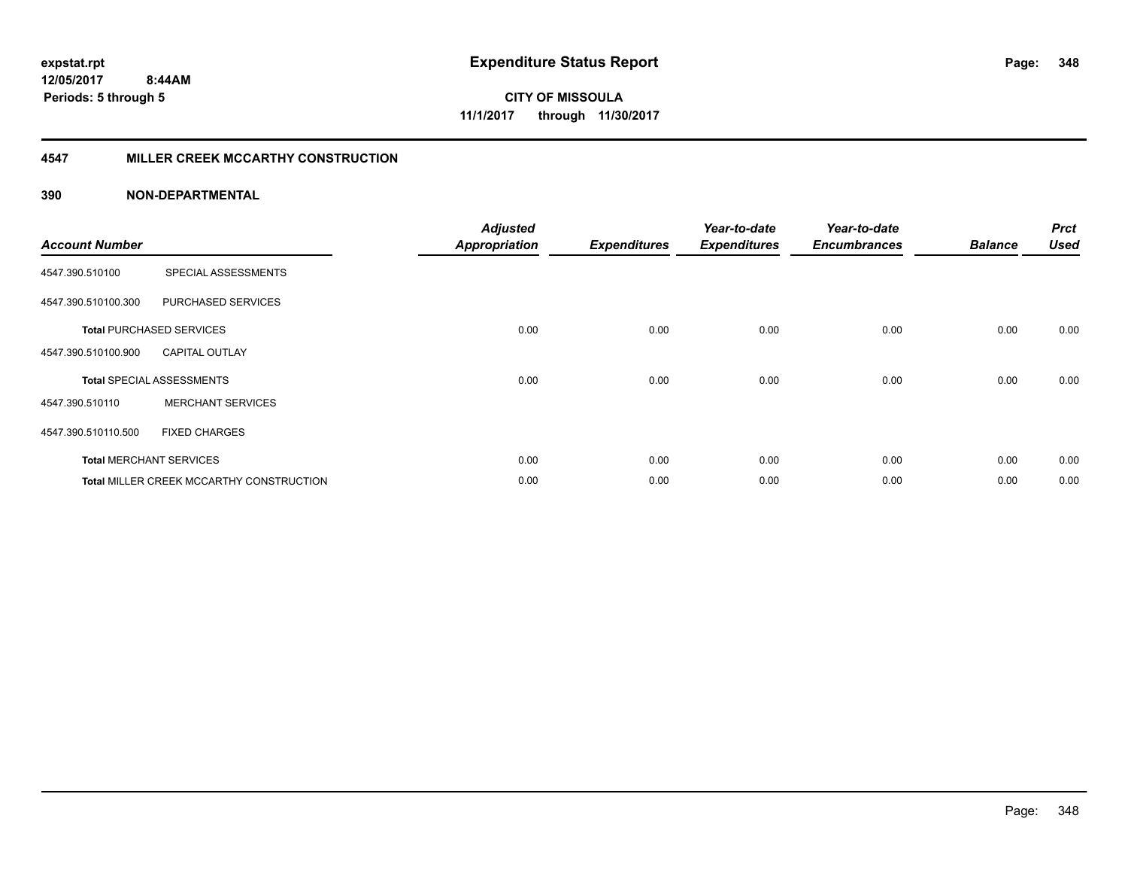**CITY OF MISSOULA 11/1/2017 through 11/30/2017**

#### **4547 MILLER CREEK MCCARTHY CONSTRUCTION**

| <b>Account Number</b> |                                                 | <b>Adjusted</b><br><b>Appropriation</b> | <b>Expenditures</b> | Year-to-date<br><b>Expenditures</b> | Year-to-date<br><b>Encumbrances</b> | <b>Balance</b> | <b>Prct</b><br><b>Used</b> |
|-----------------------|-------------------------------------------------|-----------------------------------------|---------------------|-------------------------------------|-------------------------------------|----------------|----------------------------|
| 4547.390.510100       | SPECIAL ASSESSMENTS                             |                                         |                     |                                     |                                     |                |                            |
| 4547.390.510100.300   | PURCHASED SERVICES                              |                                         |                     |                                     |                                     |                |                            |
|                       | <b>Total PURCHASED SERVICES</b>                 | 0.00                                    | 0.00                | 0.00                                | 0.00                                | 0.00           | 0.00                       |
| 4547.390.510100.900   | <b>CAPITAL OUTLAY</b>                           |                                         |                     |                                     |                                     |                |                            |
|                       | <b>Total SPECIAL ASSESSMENTS</b>                | 0.00                                    | 0.00                | 0.00                                | 0.00                                | 0.00           | 0.00                       |
| 4547.390.510110       | <b>MERCHANT SERVICES</b>                        |                                         |                     |                                     |                                     |                |                            |
| 4547.390.510110.500   | <b>FIXED CHARGES</b>                            |                                         |                     |                                     |                                     |                |                            |
|                       | <b>Total MERCHANT SERVICES</b>                  | 0.00                                    | 0.00                | 0.00                                | 0.00                                | 0.00           | 0.00                       |
|                       | <b>Total MILLER CREEK MCCARTHY CONSTRUCTION</b> | 0.00                                    | 0.00                | 0.00                                | 0.00                                | 0.00           | 0.00                       |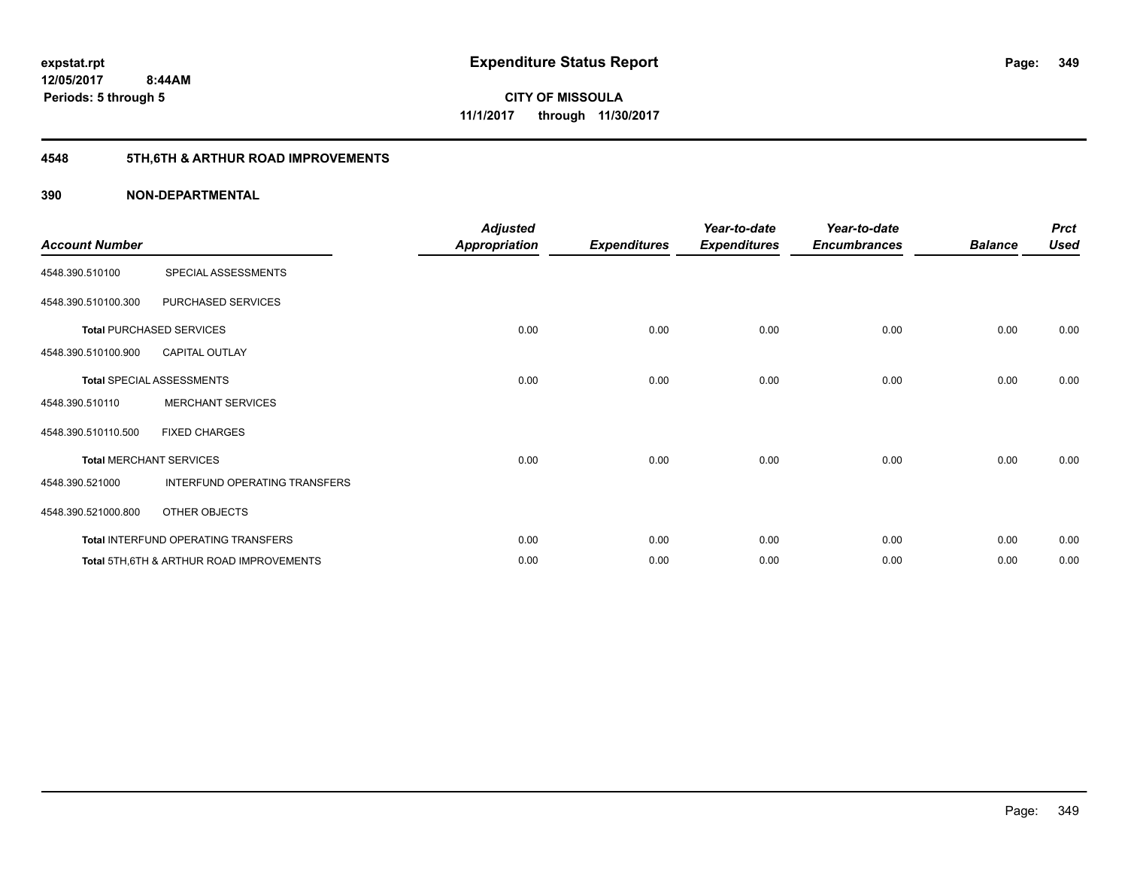## **4548 5TH,6TH & ARTHUR ROAD IMPROVEMENTS**

| <b>Account Number</b> |                                                     | <b>Adjusted</b><br><b>Appropriation</b> | <b>Expenditures</b> | Year-to-date<br><b>Expenditures</b> | Year-to-date<br><b>Encumbrances</b> | <b>Balance</b> | <b>Prct</b><br><b>Used</b> |
|-----------------------|-----------------------------------------------------|-----------------------------------------|---------------------|-------------------------------------|-------------------------------------|----------------|----------------------------|
| 4548.390.510100       | SPECIAL ASSESSMENTS                                 |                                         |                     |                                     |                                     |                |                            |
| 4548.390.510100.300   | PURCHASED SERVICES                                  |                                         |                     |                                     |                                     |                |                            |
|                       | <b>Total PURCHASED SERVICES</b>                     | 0.00                                    | 0.00                | 0.00                                | 0.00                                | 0.00           | 0.00                       |
| 4548.390.510100.900   | <b>CAPITAL OUTLAY</b>                               |                                         |                     |                                     |                                     |                |                            |
|                       | <b>Total SPECIAL ASSESSMENTS</b>                    | 0.00                                    | 0.00                | 0.00                                | 0.00                                | 0.00           | 0.00                       |
| 4548.390.510110       | <b>MERCHANT SERVICES</b>                            |                                         |                     |                                     |                                     |                |                            |
| 4548.390.510110.500   | <b>FIXED CHARGES</b>                                |                                         |                     |                                     |                                     |                |                            |
|                       | <b>Total MERCHANT SERVICES</b>                      | 0.00                                    | 0.00                | 0.00                                | 0.00                                | 0.00           | 0.00                       |
| 4548.390.521000       | INTERFUND OPERATING TRANSFERS                       |                                         |                     |                                     |                                     |                |                            |
| 4548.390.521000.800   | OTHER OBJECTS                                       |                                         |                     |                                     |                                     |                |                            |
|                       | Total INTERFUND OPERATING TRANSFERS                 | 0.00                                    | 0.00                | 0.00                                | 0.00                                | 0.00           | 0.00                       |
|                       | <b>Total 5TH.6TH &amp; ARTHUR ROAD IMPROVEMENTS</b> | 0.00                                    | 0.00                | 0.00                                | 0.00                                | 0.00           | 0.00                       |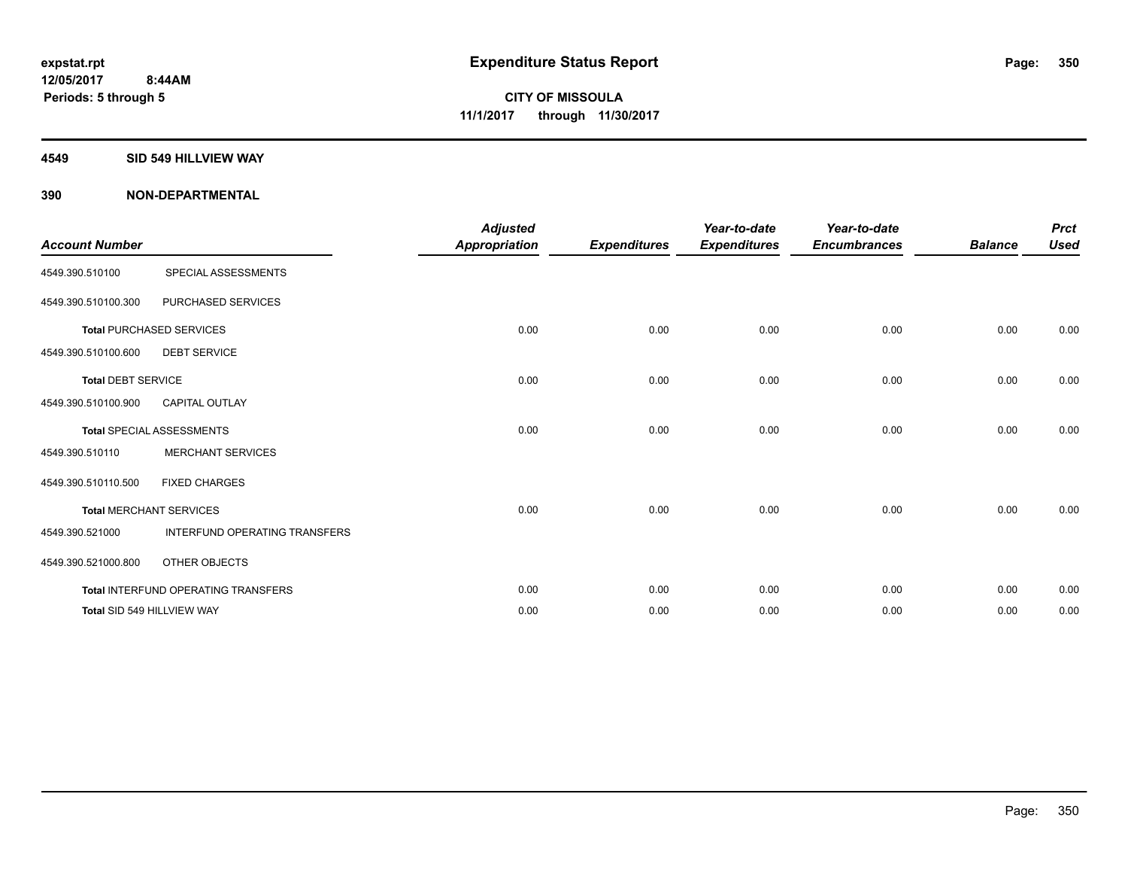#### **4549 SID 549 HILLVIEW WAY**

| <b>Account Number</b>     |                                            | <b>Adjusted</b><br><b>Appropriation</b> | <b>Expenditures</b> | Year-to-date<br><b>Expenditures</b> | Year-to-date<br><b>Encumbrances</b> | <b>Balance</b> | <b>Prct</b><br><b>Used</b> |
|---------------------------|--------------------------------------------|-----------------------------------------|---------------------|-------------------------------------|-------------------------------------|----------------|----------------------------|
| 4549.390.510100           | SPECIAL ASSESSMENTS                        |                                         |                     |                                     |                                     |                |                            |
| 4549.390.510100.300       | PURCHASED SERVICES                         |                                         |                     |                                     |                                     |                |                            |
|                           | <b>Total PURCHASED SERVICES</b>            | 0.00                                    | 0.00                | 0.00                                | 0.00                                | 0.00           | 0.00                       |
| 4549.390.510100.600       | <b>DEBT SERVICE</b>                        |                                         |                     |                                     |                                     |                |                            |
| <b>Total DEBT SERVICE</b> |                                            | 0.00                                    | 0.00                | 0.00                                | 0.00                                | 0.00           | 0.00                       |
| 4549.390.510100.900       | <b>CAPITAL OUTLAY</b>                      |                                         |                     |                                     |                                     |                |                            |
|                           | <b>Total SPECIAL ASSESSMENTS</b>           | 0.00                                    | 0.00                | 0.00                                | 0.00                                | 0.00           | 0.00                       |
| 4549.390.510110           | <b>MERCHANT SERVICES</b>                   |                                         |                     |                                     |                                     |                |                            |
| 4549.390.510110.500       | <b>FIXED CHARGES</b>                       |                                         |                     |                                     |                                     |                |                            |
|                           | <b>Total MERCHANT SERVICES</b>             | 0.00                                    | 0.00                | 0.00                                | 0.00                                | 0.00           | 0.00                       |
| 4549.390.521000           | <b>INTERFUND OPERATING TRANSFERS</b>       |                                         |                     |                                     |                                     |                |                            |
| 4549.390.521000.800       | OTHER OBJECTS                              |                                         |                     |                                     |                                     |                |                            |
|                           | <b>Total INTERFUND OPERATING TRANSFERS</b> | 0.00                                    | 0.00                | 0.00                                | 0.00                                | 0.00           | 0.00                       |
|                           | Total SID 549 HILLVIEW WAY                 | 0.00                                    | 0.00                | 0.00                                | 0.00                                | 0.00           | 0.00                       |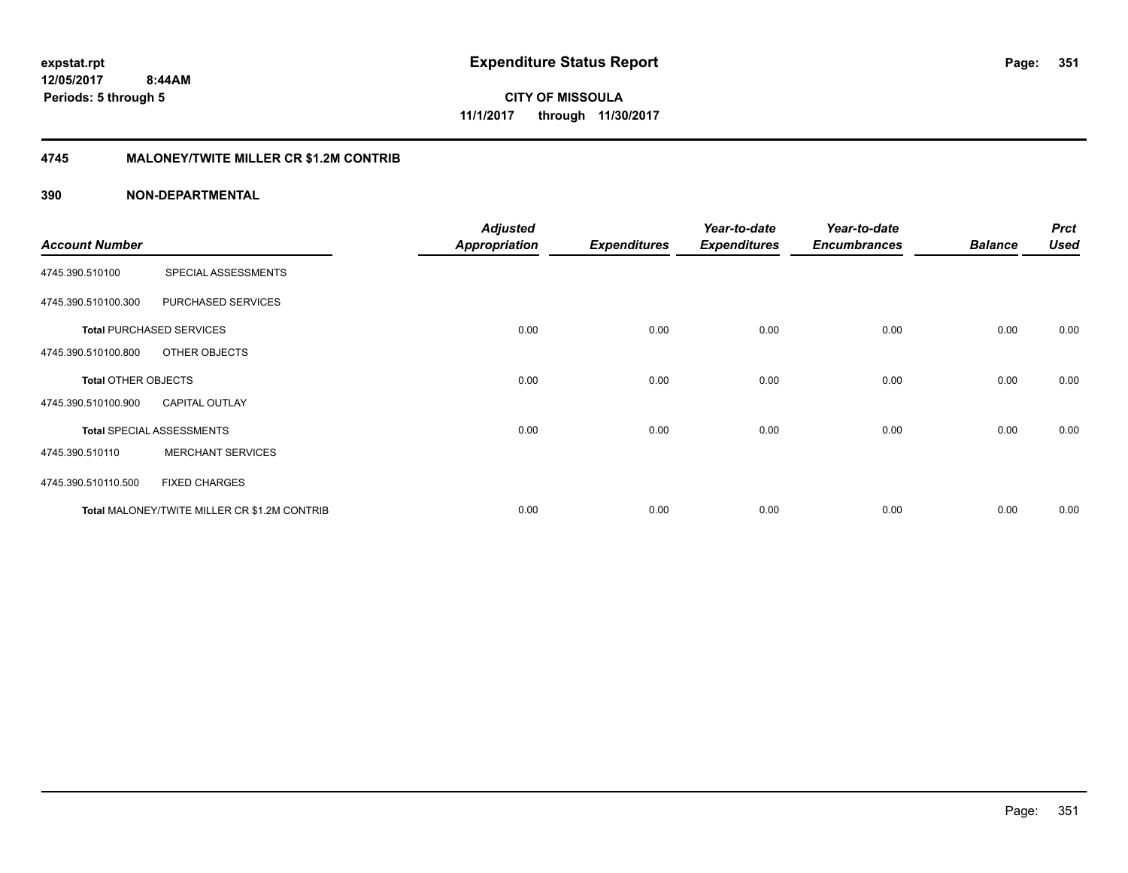**351**

**CITY OF MISSOULA 11/1/2017 through 11/30/2017**

### **4745 MALONEY/TWITE MILLER CR \$1.2M CONTRIB**

| <b>Account Number</b>      |                                              | <b>Adjusted</b><br><b>Appropriation</b> | <b>Expenditures</b> | Year-to-date<br><b>Expenditures</b> | Year-to-date<br><b>Encumbrances</b> | <b>Balance</b> | <b>Prct</b><br><b>Used</b> |
|----------------------------|----------------------------------------------|-----------------------------------------|---------------------|-------------------------------------|-------------------------------------|----------------|----------------------------|
|                            |                                              |                                         |                     |                                     |                                     |                |                            |
| 4745.390.510100            | SPECIAL ASSESSMENTS                          |                                         |                     |                                     |                                     |                |                            |
| 4745.390.510100.300        | PURCHASED SERVICES                           |                                         |                     |                                     |                                     |                |                            |
|                            | <b>Total PURCHASED SERVICES</b>              | 0.00                                    | 0.00                | 0.00                                | 0.00                                | 0.00           | 0.00                       |
| 4745.390.510100.800        | OTHER OBJECTS                                |                                         |                     |                                     |                                     |                |                            |
| <b>Total OTHER OBJECTS</b> |                                              | 0.00                                    | 0.00                | 0.00                                | 0.00                                | 0.00           | 0.00                       |
| 4745.390.510100.900        | <b>CAPITAL OUTLAY</b>                        |                                         |                     |                                     |                                     |                |                            |
|                            | <b>Total SPECIAL ASSESSMENTS</b>             | 0.00                                    | 0.00                | 0.00                                | 0.00                                | 0.00           | 0.00                       |
| 4745.390.510110            | <b>MERCHANT SERVICES</b>                     |                                         |                     |                                     |                                     |                |                            |
| 4745.390.510110.500        | <b>FIXED CHARGES</b>                         |                                         |                     |                                     |                                     |                |                            |
|                            | Total MALONEY/TWITE MILLER CR \$1.2M CONTRIB | 0.00                                    | 0.00                | 0.00                                | 0.00                                | 0.00           | 0.00                       |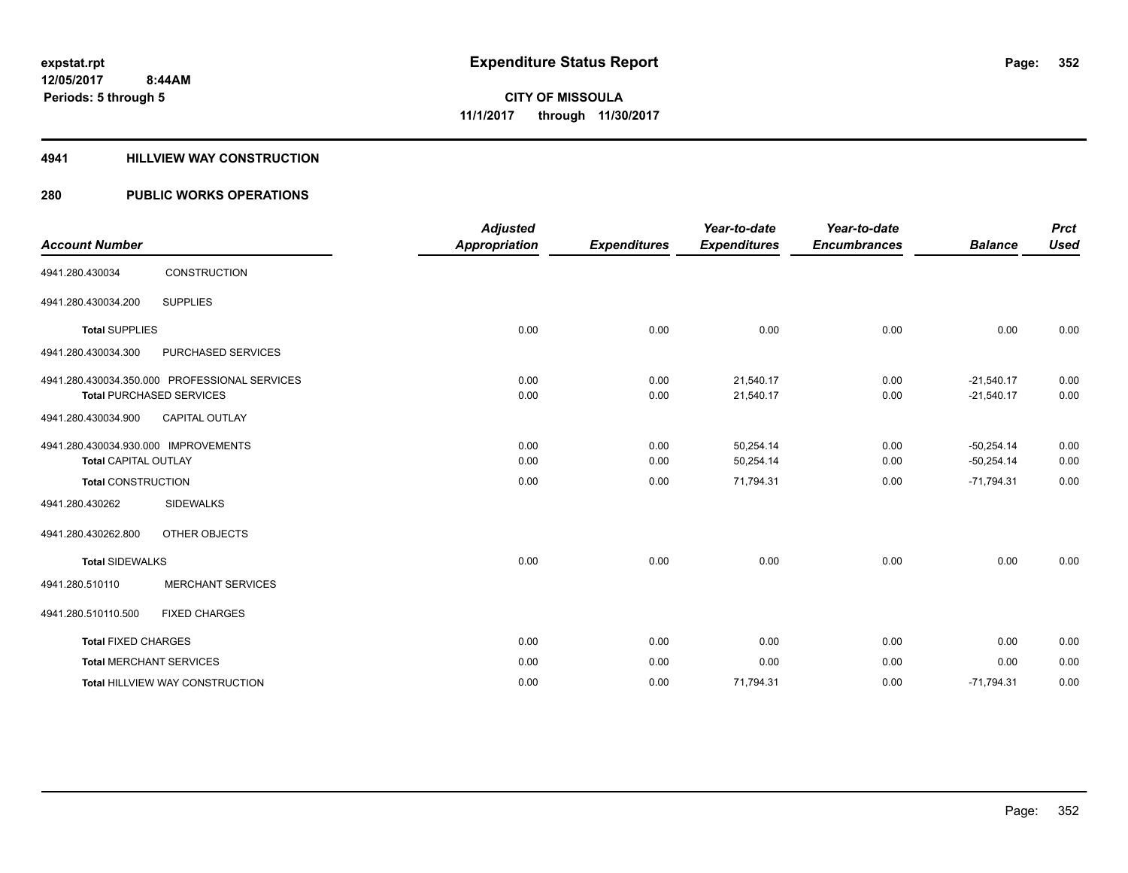### **4941 HILLVIEW WAY CONSTRUCTION**

| <b>Account Number</b>                                               |                                                                                  | <b>Adjusted</b><br><b>Appropriation</b> | <b>Expenditures</b> | Year-to-date<br><b>Expenditures</b> | Year-to-date<br><b>Encumbrances</b> | <b>Balance</b>               | <b>Prct</b><br><b>Used</b> |
|---------------------------------------------------------------------|----------------------------------------------------------------------------------|-----------------------------------------|---------------------|-------------------------------------|-------------------------------------|------------------------------|----------------------------|
| 4941.280.430034                                                     | <b>CONSTRUCTION</b>                                                              |                                         |                     |                                     |                                     |                              |                            |
| 4941.280.430034.200                                                 | <b>SUPPLIES</b>                                                                  |                                         |                     |                                     |                                     |                              |                            |
| <b>Total SUPPLIES</b>                                               |                                                                                  | 0.00                                    | 0.00                | 0.00                                | 0.00                                | 0.00                         | 0.00                       |
| 4941.280.430034.300                                                 | PURCHASED SERVICES                                                               |                                         |                     |                                     |                                     |                              |                            |
|                                                                     | 4941.280.430034.350.000 PROFESSIONAL SERVICES<br><b>Total PURCHASED SERVICES</b> | 0.00<br>0.00                            | 0.00<br>0.00        | 21,540.17<br>21,540.17              | 0.00<br>0.00                        | $-21,540.17$<br>$-21,540.17$ | 0.00<br>0.00               |
| 4941.280.430034.900                                                 | <b>CAPITAL OUTLAY</b>                                                            |                                         |                     |                                     |                                     |                              |                            |
| 4941.280.430034.930.000 IMPROVEMENTS<br><b>Total CAPITAL OUTLAY</b> |                                                                                  | 0.00<br>0.00                            | 0.00<br>0.00        | 50,254.14<br>50,254.14              | 0.00<br>0.00                        | $-50,254.14$<br>$-50,254.14$ | 0.00<br>0.00               |
| <b>Total CONSTRUCTION</b>                                           |                                                                                  | 0.00                                    | 0.00                | 71,794.31                           | 0.00                                | $-71,794.31$                 | 0.00                       |
| 4941.280.430262                                                     | <b>SIDEWALKS</b>                                                                 |                                         |                     |                                     |                                     |                              |                            |
| 4941.280.430262.800                                                 | OTHER OBJECTS                                                                    |                                         |                     |                                     |                                     |                              |                            |
| <b>Total SIDEWALKS</b>                                              |                                                                                  | 0.00                                    | 0.00                | 0.00                                | 0.00                                | 0.00                         | 0.00                       |
| 4941.280.510110                                                     | <b>MERCHANT SERVICES</b>                                                         |                                         |                     |                                     |                                     |                              |                            |
| 4941.280.510110.500                                                 | <b>FIXED CHARGES</b>                                                             |                                         |                     |                                     |                                     |                              |                            |
| <b>Total FIXED CHARGES</b>                                          |                                                                                  | 0.00                                    | 0.00                | 0.00                                | 0.00                                | 0.00                         | 0.00                       |
|                                                                     | <b>Total MERCHANT SERVICES</b>                                                   | 0.00                                    | 0.00                | 0.00                                | 0.00                                | 0.00                         | 0.00                       |
|                                                                     | Total HILLVIEW WAY CONSTRUCTION                                                  | 0.00                                    | 0.00                | 71,794.31                           | 0.00                                | $-71,794.31$                 | 0.00                       |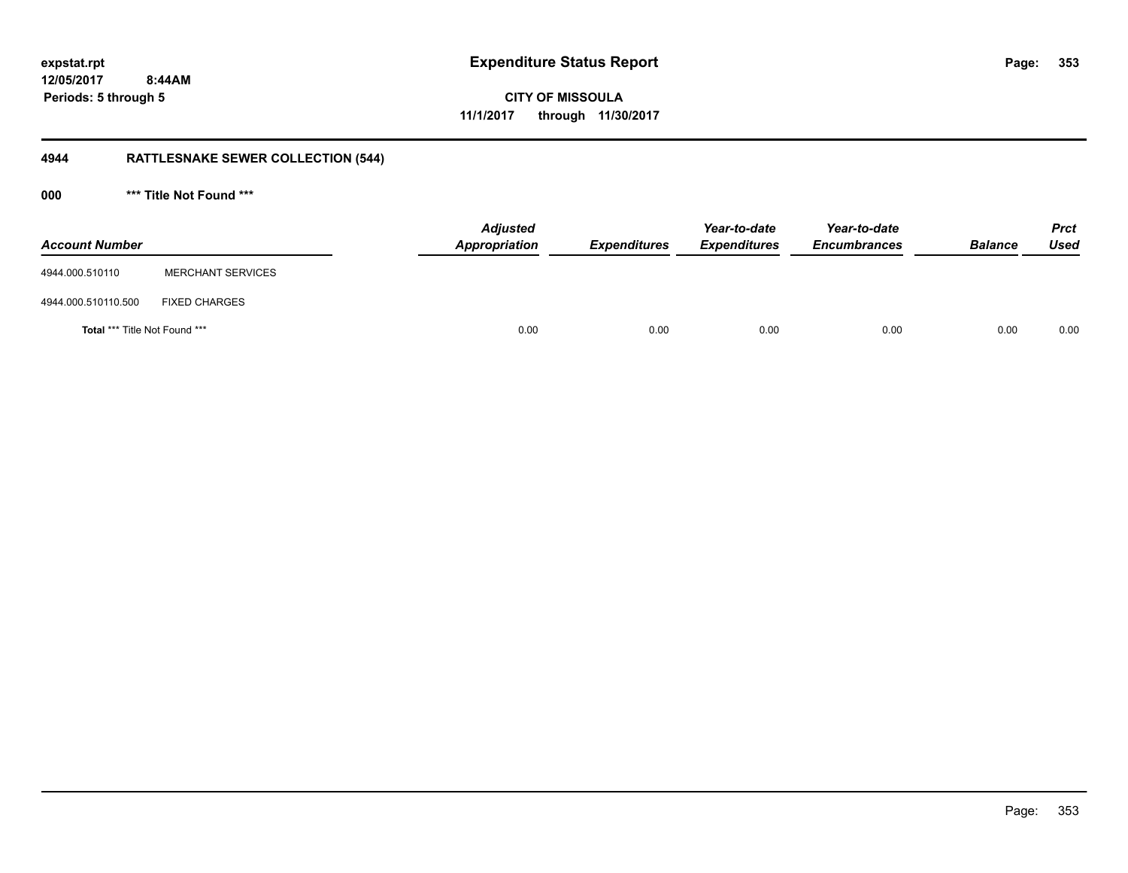**CITY OF MISSOULA 11/1/2017 through 11/30/2017**

## **4944 RATTLESNAKE SEWER COLLECTION (544)**

**000 \*\*\* Title Not Found \*\*\***

| <b>Account Number</b>                |                          | <b>Adjusted</b><br>Appropriation | <b>Expenditures</b> | Year-to-date<br><b>Expenditures</b> | Year-to-date<br><b>Encumbrances</b> | <b>Balance</b> | <b>Prct</b><br><b>Used</b> |
|--------------------------------------|--------------------------|----------------------------------|---------------------|-------------------------------------|-------------------------------------|----------------|----------------------------|
| 4944.000.510110                      | <b>MERCHANT SERVICES</b> |                                  |                     |                                     |                                     |                |                            |
| 4944.000.510110.500                  | <b>FIXED CHARGES</b>     |                                  |                     |                                     |                                     |                |                            |
| <b>Total *** Title Not Found ***</b> |                          | 0.00                             | 0.00                | 0.00                                | 0.00                                | 0.00           | 0.00                       |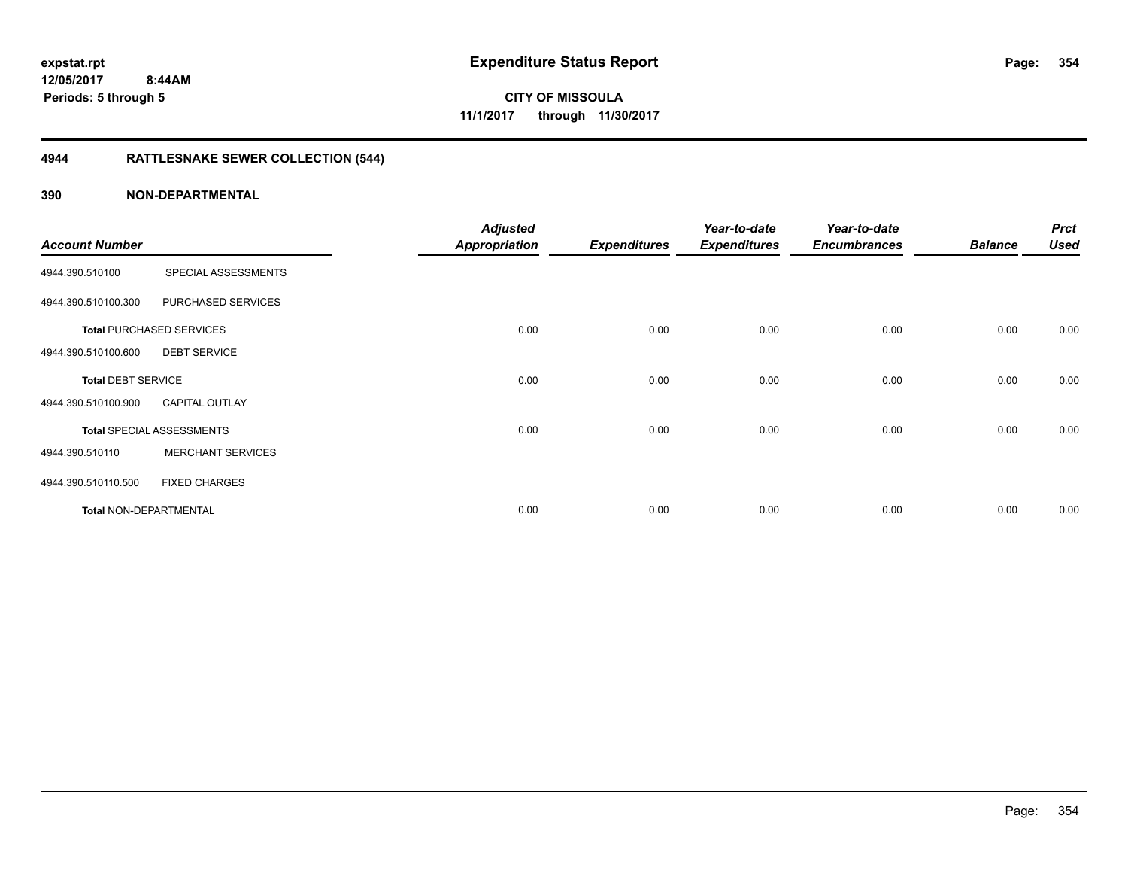## **4944 RATTLESNAKE SEWER COLLECTION (544)**

|                               |                                  | <b>Adjusted</b>      |                     | Year-to-date        | Year-to-date        |                | <b>Prct</b> |
|-------------------------------|----------------------------------|----------------------|---------------------|---------------------|---------------------|----------------|-------------|
| <b>Account Number</b>         |                                  | <b>Appropriation</b> | <b>Expenditures</b> | <b>Expenditures</b> | <b>Encumbrances</b> | <b>Balance</b> | <b>Used</b> |
| 4944.390.510100               | SPECIAL ASSESSMENTS              |                      |                     |                     |                     |                |             |
| 4944.390.510100.300           | PURCHASED SERVICES               |                      |                     |                     |                     |                |             |
|                               | <b>Total PURCHASED SERVICES</b>  | 0.00                 | 0.00                | 0.00                | 0.00                | 0.00           | 0.00        |
| 4944.390.510100.600           | <b>DEBT SERVICE</b>              |                      |                     |                     |                     |                |             |
| <b>Total DEBT SERVICE</b>     |                                  | 0.00                 | 0.00                | 0.00                | 0.00                | 0.00           | 0.00        |
| 4944.390.510100.900           | <b>CAPITAL OUTLAY</b>            |                      |                     |                     |                     |                |             |
|                               | <b>Total SPECIAL ASSESSMENTS</b> | 0.00                 | 0.00                | 0.00                | 0.00                | 0.00           | 0.00        |
| 4944.390.510110               | <b>MERCHANT SERVICES</b>         |                      |                     |                     |                     |                |             |
| 4944.390.510110.500           | <b>FIXED CHARGES</b>             |                      |                     |                     |                     |                |             |
| <b>Total NON-DEPARTMENTAL</b> |                                  | 0.00                 | 0.00                | 0.00                | 0.00                | 0.00           | 0.00        |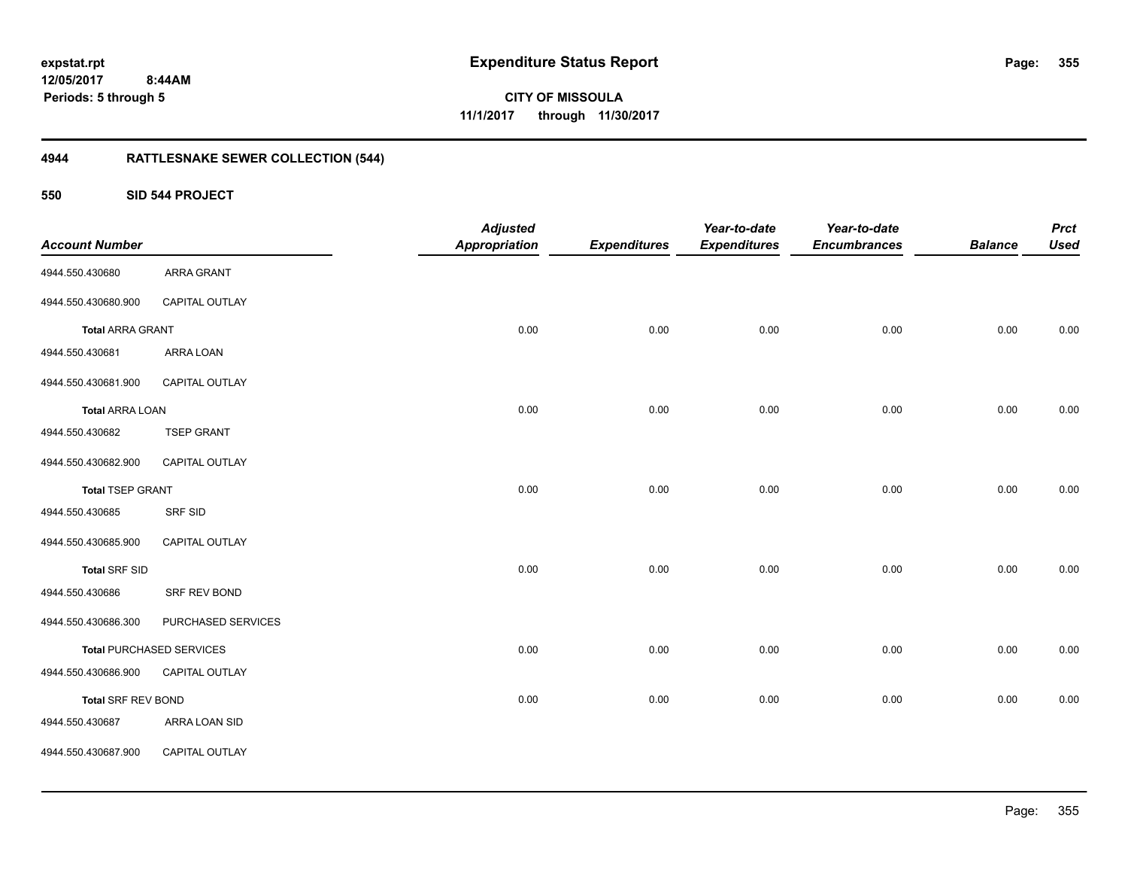**355**

**CITY OF MISSOULA 11/1/2017 through 11/30/2017**

## **4944 RATTLESNAKE SEWER COLLECTION (544)**

**550 SID 544 PROJECT**

| <b>Account Number</b>     |                                 | <b>Adjusted</b><br><b>Appropriation</b> | <b>Expenditures</b> | Year-to-date<br><b>Expenditures</b> | Year-to-date<br><b>Encumbrances</b> | <b>Balance</b> | <b>Prct</b><br><b>Used</b> |
|---------------------------|---------------------------------|-----------------------------------------|---------------------|-------------------------------------|-------------------------------------|----------------|----------------------------|
| 4944.550.430680           | ARRA GRANT                      |                                         |                     |                                     |                                     |                |                            |
| 4944.550.430680.900       | CAPITAL OUTLAY                  |                                         |                     |                                     |                                     |                |                            |
| <b>Total ARRA GRANT</b>   |                                 | 0.00                                    | 0.00                | 0.00                                | 0.00                                | 0.00           | 0.00                       |
| 4944.550.430681           | ARRA LOAN                       |                                         |                     |                                     |                                     |                |                            |
| 4944.550.430681.900       | CAPITAL OUTLAY                  |                                         |                     |                                     |                                     |                |                            |
| <b>Total ARRA LOAN</b>    |                                 | 0.00                                    | 0.00                | 0.00                                | 0.00                                | 0.00           | 0.00                       |
| 4944.550.430682           | <b>TSEP GRANT</b>               |                                         |                     |                                     |                                     |                |                            |
| 4944.550.430682.900       | CAPITAL OUTLAY                  |                                         |                     |                                     |                                     |                |                            |
| <b>Total TSEP GRANT</b>   |                                 | 0.00                                    | 0.00                | 0.00                                | 0.00                                | 0.00           | 0.00                       |
| 4944.550.430685           | SRF SID                         |                                         |                     |                                     |                                     |                |                            |
| 4944.550.430685.900       | CAPITAL OUTLAY                  |                                         |                     |                                     |                                     |                |                            |
| <b>Total SRF SID</b>      |                                 | 0.00                                    | 0.00                | 0.00                                | 0.00                                | 0.00           | 0.00                       |
| 4944.550.430686           | SRF REV BOND                    |                                         |                     |                                     |                                     |                |                            |
| 4944.550.430686.300       | PURCHASED SERVICES              |                                         |                     |                                     |                                     |                |                            |
|                           | <b>Total PURCHASED SERVICES</b> | 0.00                                    | 0.00                | 0.00                                | 0.00                                | 0.00           | 0.00                       |
| 4944.550.430686.900       | CAPITAL OUTLAY                  |                                         |                     |                                     |                                     |                |                            |
| <b>Total SRF REV BOND</b> |                                 | 0.00                                    | 0.00                | 0.00                                | 0.00                                | 0.00           | 0.00                       |
| 4944.550.430687           | ARRA LOAN SID                   |                                         |                     |                                     |                                     |                |                            |
| 4944.550.430687.900       | CAPITAL OUTLAY                  |                                         |                     |                                     |                                     |                |                            |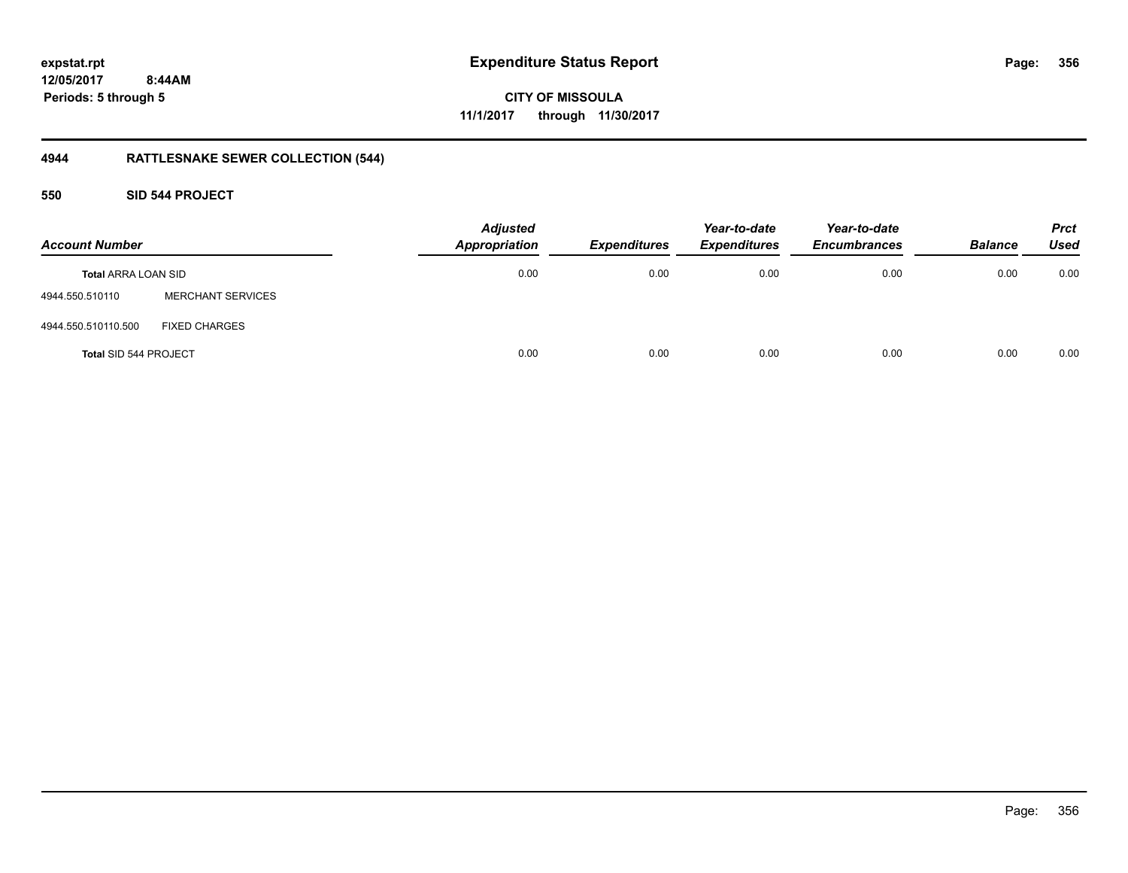**CITY OF MISSOULA 11/1/2017 through 11/30/2017**

## **4944 RATTLESNAKE SEWER COLLECTION (544)**

### **550 SID 544 PROJECT**

| <b>Account Number</b>      |                          | <b>Adjusted</b><br><b>Appropriation</b> | <b>Expenditures</b> | Year-to-date<br><b>Expenditures</b> | Year-to-date<br><b>Encumbrances</b> | <b>Balance</b> | <b>Prct</b><br><b>Used</b> |
|----------------------------|--------------------------|-----------------------------------------|---------------------|-------------------------------------|-------------------------------------|----------------|----------------------------|
| <b>Total ARRA LOAN SID</b> |                          | 0.00                                    | 0.00                | 0.00                                | 0.00                                | 0.00           | 0.00                       |
| 4944.550.510110            | <b>MERCHANT SERVICES</b> |                                         |                     |                                     |                                     |                |                            |
| 4944.550.510110.500        | <b>FIXED CHARGES</b>     |                                         |                     |                                     |                                     |                |                            |
| Total SID 544 PROJECT      |                          | 0.00                                    | 0.00                | 0.00                                | 0.00                                | 0.00           | 0.00                       |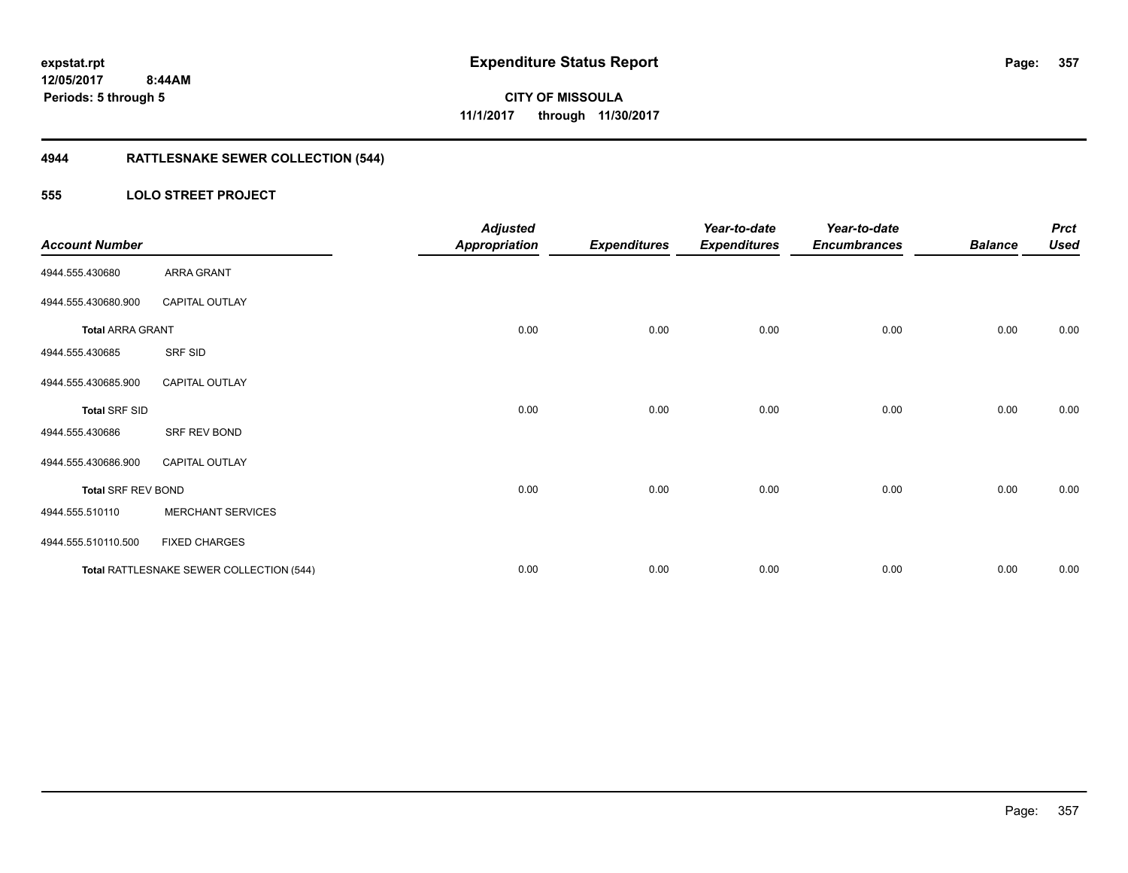## **4944 RATTLESNAKE SEWER COLLECTION (544)**

### **555 LOLO STREET PROJECT**

| <b>Account Number</b>     |                                          | <b>Adjusted</b><br><b>Appropriation</b> | <b>Expenditures</b> | Year-to-date<br><b>Expenditures</b> | Year-to-date<br><b>Encumbrances</b> | <b>Balance</b> | <b>Prct</b><br><b>Used</b> |
|---------------------------|------------------------------------------|-----------------------------------------|---------------------|-------------------------------------|-------------------------------------|----------------|----------------------------|
| 4944.555.430680           | ARRA GRANT                               |                                         |                     |                                     |                                     |                |                            |
| 4944.555.430680.900       | <b>CAPITAL OUTLAY</b>                    |                                         |                     |                                     |                                     |                |                            |
| <b>Total ARRA GRANT</b>   |                                          | 0.00                                    | 0.00                | 0.00                                | 0.00                                | 0.00           | 0.00                       |
| 4944.555.430685           | SRF SID                                  |                                         |                     |                                     |                                     |                |                            |
| 4944.555.430685.900       | <b>CAPITAL OUTLAY</b>                    |                                         |                     |                                     |                                     |                |                            |
| <b>Total SRF SID</b>      |                                          | 0.00                                    | 0.00                | 0.00                                | 0.00                                | 0.00           | 0.00                       |
| 4944.555.430686           | SRF REV BOND                             |                                         |                     |                                     |                                     |                |                            |
| 4944.555.430686.900       | <b>CAPITAL OUTLAY</b>                    |                                         |                     |                                     |                                     |                |                            |
| <b>Total SRF REV BOND</b> |                                          | 0.00                                    | 0.00                | 0.00                                | 0.00                                | 0.00           | 0.00                       |
| 4944.555.510110           | <b>MERCHANT SERVICES</b>                 |                                         |                     |                                     |                                     |                |                            |
| 4944.555.510110.500       | <b>FIXED CHARGES</b>                     |                                         |                     |                                     |                                     |                |                            |
|                           | Total RATTLESNAKE SEWER COLLECTION (544) | 0.00                                    | 0.00                | 0.00                                | 0.00                                | 0.00           | 0.00                       |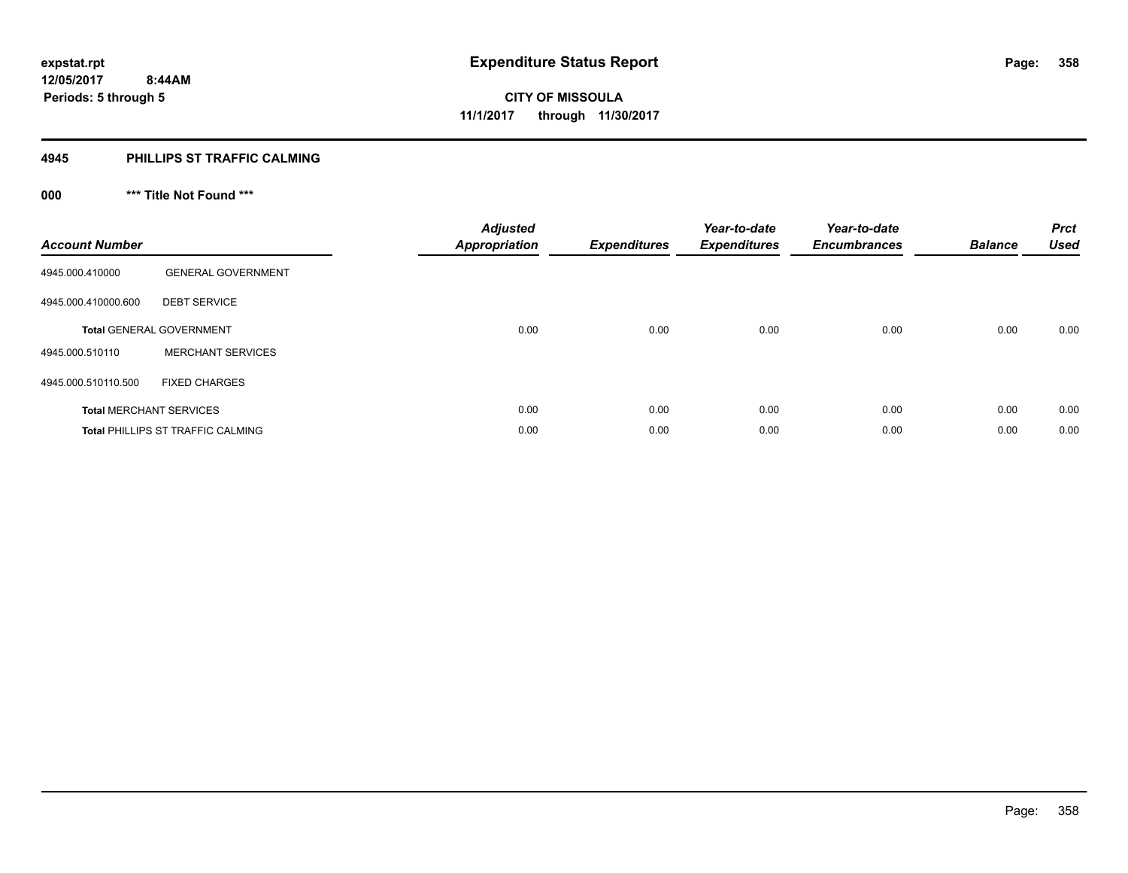### **4945 PHILLIPS ST TRAFFIC CALMING**

## **000 \*\*\* Title Not Found \*\*\***

| <b>Account Number</b> |                                          | <b>Adjusted</b><br><b>Appropriation</b> | <b>Expenditures</b> | Year-to-date<br><b>Expenditures</b> | Year-to-date<br><b>Encumbrances</b> | <b>Balance</b> | <b>Prct</b><br><b>Used</b> |
|-----------------------|------------------------------------------|-----------------------------------------|---------------------|-------------------------------------|-------------------------------------|----------------|----------------------------|
| 4945.000.410000       | <b>GENERAL GOVERNMENT</b>                |                                         |                     |                                     |                                     |                |                            |
| 4945.000.410000.600   | <b>DEBT SERVICE</b>                      |                                         |                     |                                     |                                     |                |                            |
|                       | <b>Total GENERAL GOVERNMENT</b>          | 0.00                                    | 0.00                | 0.00                                | 0.00                                | 0.00           | 0.00                       |
| 4945.000.510110       | <b>MERCHANT SERVICES</b>                 |                                         |                     |                                     |                                     |                |                            |
| 4945.000.510110.500   | <b>FIXED CHARGES</b>                     |                                         |                     |                                     |                                     |                |                            |
|                       | <b>Total MERCHANT SERVICES</b>           | 0.00                                    | 0.00                | 0.00                                | 0.00                                | 0.00           | 0.00                       |
|                       | <b>Total PHILLIPS ST TRAFFIC CALMING</b> | 0.00                                    | 0.00                | 0.00                                | 0.00                                | 0.00           | 0.00                       |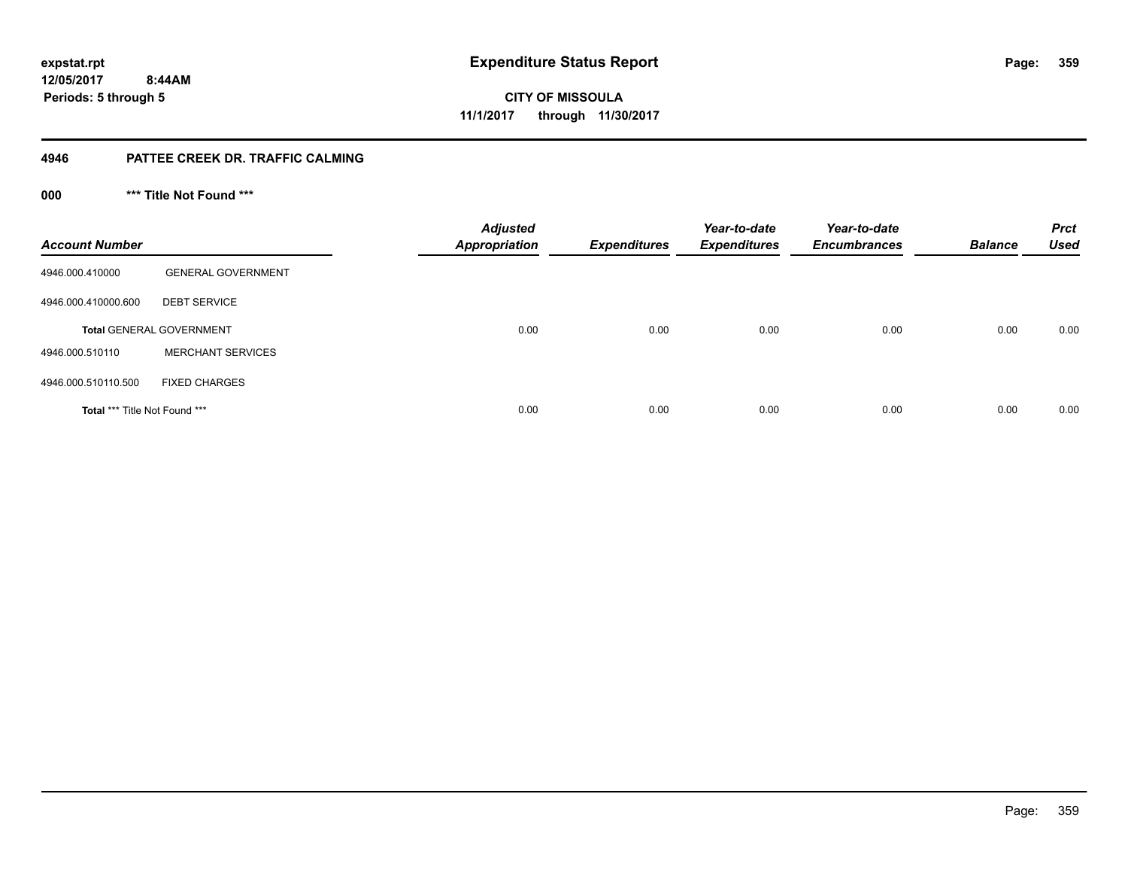**CITY OF MISSOULA 11/1/2017 through 11/30/2017**

### **4946 PATTEE CREEK DR. TRAFFIC CALMING**

**000 \*\*\* Title Not Found \*\*\***

| <b>Account Number</b>                |                                 | <b>Adjusted</b><br><b>Appropriation</b> | <b>Expenditures</b> | Year-to-date<br><b>Expenditures</b> | Year-to-date<br><b>Encumbrances</b> | <b>Balance</b> | <b>Prct</b><br><b>Used</b> |
|--------------------------------------|---------------------------------|-----------------------------------------|---------------------|-------------------------------------|-------------------------------------|----------------|----------------------------|
| 4946.000.410000                      | <b>GENERAL GOVERNMENT</b>       |                                         |                     |                                     |                                     |                |                            |
| 4946.000.410000.600                  | <b>DEBT SERVICE</b>             |                                         |                     |                                     |                                     |                |                            |
|                                      | <b>Total GENERAL GOVERNMENT</b> | 0.00                                    | 0.00                | 0.00                                | 0.00                                | 0.00           | 0.00                       |
| 4946.000.510110                      | <b>MERCHANT SERVICES</b>        |                                         |                     |                                     |                                     |                |                            |
| 4946.000.510110.500                  | <b>FIXED CHARGES</b>            |                                         |                     |                                     |                                     |                |                            |
| <b>Total *** Title Not Found ***</b> |                                 | 0.00                                    | 0.00                | 0.00                                | 0.00                                | 0.00           | 0.00                       |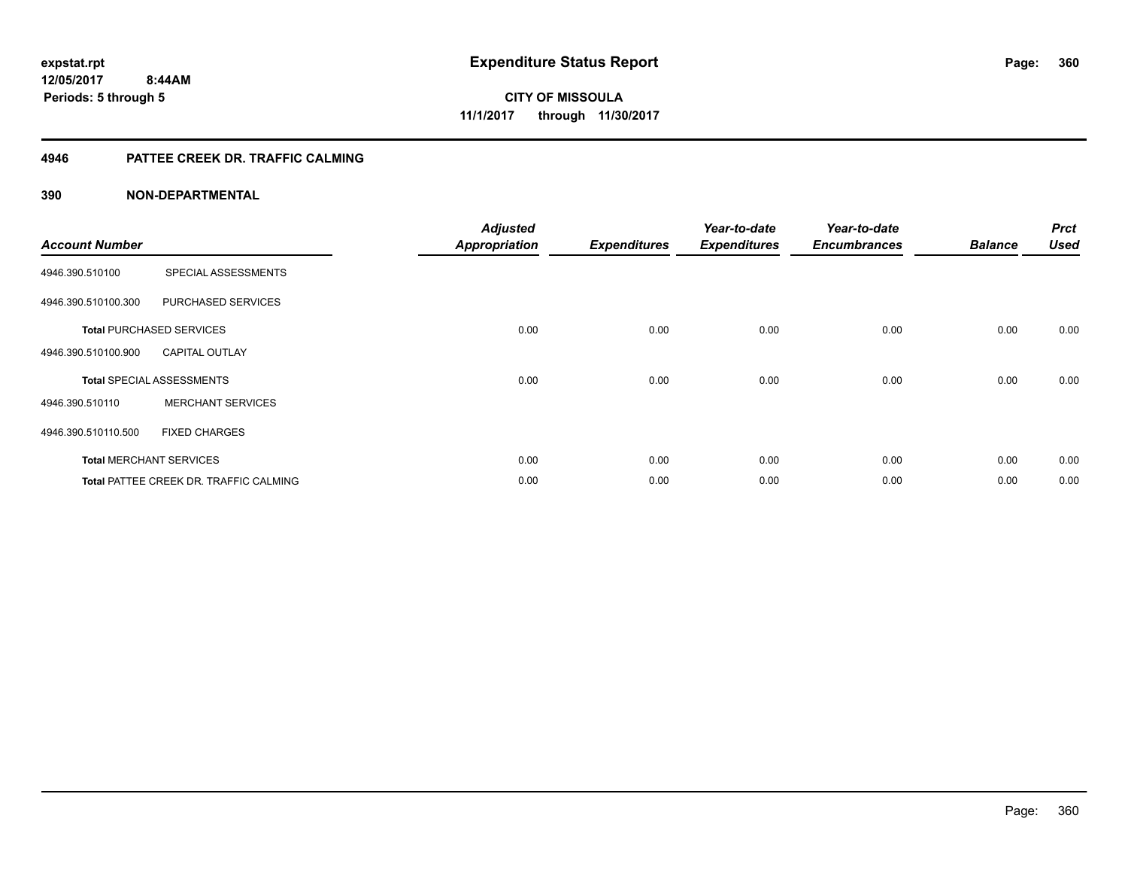### **4946 PATTEE CREEK DR. TRAFFIC CALMING**

| <b>Account Number</b> |                                               | <b>Adjusted</b><br><b>Appropriation</b> | <b>Expenditures</b> | Year-to-date<br><b>Expenditures</b> | Year-to-date<br><b>Encumbrances</b> | <b>Balance</b> | <b>Prct</b><br><b>Used</b> |
|-----------------------|-----------------------------------------------|-----------------------------------------|---------------------|-------------------------------------|-------------------------------------|----------------|----------------------------|
| 4946.390.510100       | SPECIAL ASSESSMENTS                           |                                         |                     |                                     |                                     |                |                            |
| 4946.390.510100.300   | PURCHASED SERVICES                            |                                         |                     |                                     |                                     |                |                            |
|                       | <b>Total PURCHASED SERVICES</b>               | 0.00                                    | 0.00                | 0.00                                | 0.00                                | 0.00           | 0.00                       |
| 4946.390.510100.900   | <b>CAPITAL OUTLAY</b>                         |                                         |                     |                                     |                                     |                |                            |
|                       | <b>Total SPECIAL ASSESSMENTS</b>              | 0.00                                    | 0.00                | 0.00                                | 0.00                                | 0.00           | 0.00                       |
| 4946.390.510110       | <b>MERCHANT SERVICES</b>                      |                                         |                     |                                     |                                     |                |                            |
| 4946.390.510110.500   | <b>FIXED CHARGES</b>                          |                                         |                     |                                     |                                     |                |                            |
|                       | <b>Total MERCHANT SERVICES</b>                | 0.00                                    | 0.00                | 0.00                                | 0.00                                | 0.00           | 0.00                       |
|                       | <b>Total PATTEE CREEK DR. TRAFFIC CALMING</b> | 0.00                                    | 0.00                | 0.00                                | 0.00                                | 0.00           | 0.00                       |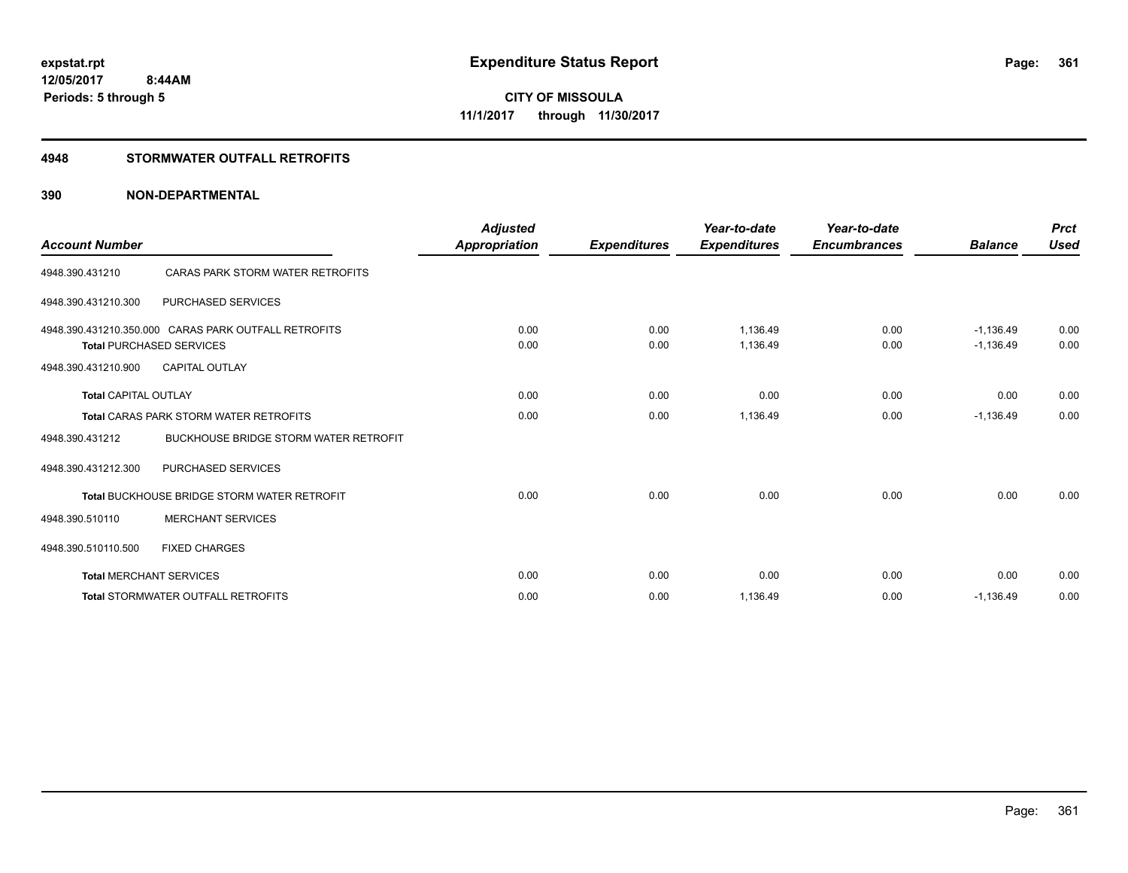#### **4948 STORMWATER OUTFALL RETROFITS**

#### **390 NON-DEPARTMENTAL**

| <b>Account Number</b>          |                                                                                         | <b>Adjusted</b><br>Appropriation | <b>Expenditures</b> | Year-to-date<br><b>Expenditures</b> | Year-to-date<br><b>Encumbrances</b> | <b>Balance</b>             | <b>Prct</b><br><b>Used</b> |
|--------------------------------|-----------------------------------------------------------------------------------------|----------------------------------|---------------------|-------------------------------------|-------------------------------------|----------------------------|----------------------------|
| 4948.390.431210                | CARAS PARK STORM WATER RETROFITS                                                        |                                  |                     |                                     |                                     |                            |                            |
| 4948.390.431210.300            | <b>PURCHASED SERVICES</b>                                                               |                                  |                     |                                     |                                     |                            |                            |
|                                | 4948.390.431210.350.000 CARAS PARK OUTFALL RETROFITS<br><b>Total PURCHASED SERVICES</b> | 0.00<br>0.00                     | 0.00<br>0.00        | 1.136.49<br>1,136.49                | 0.00<br>0.00                        | $-1.136.49$<br>$-1,136.49$ | 0.00<br>0.00               |
| 4948.390.431210.900            | <b>CAPITAL OUTLAY</b>                                                                   |                                  |                     |                                     |                                     |                            |                            |
| <b>Total CAPITAL OUTLAY</b>    |                                                                                         | 0.00                             | 0.00                | 0.00                                | 0.00                                | 0.00                       | 0.00                       |
|                                | <b>Total CARAS PARK STORM WATER RETROFITS</b>                                           | 0.00                             | 0.00                | 1,136.49                            | 0.00                                | $-1,136.49$                | 0.00                       |
| 4948.390.431212                | <b>BUCKHOUSE BRIDGE STORM WATER RETROFIT</b>                                            |                                  |                     |                                     |                                     |                            |                            |
| 4948.390.431212.300            | PURCHASED SERVICES                                                                      |                                  |                     |                                     |                                     |                            |                            |
|                                | <b>Total BUCKHOUSE BRIDGE STORM WATER RETROFIT</b>                                      | 0.00                             | 0.00                | 0.00                                | 0.00                                | 0.00                       | 0.00                       |
| 4948.390.510110                | <b>MERCHANT SERVICES</b>                                                                |                                  |                     |                                     |                                     |                            |                            |
| 4948.390.510110.500            | <b>FIXED CHARGES</b>                                                                    |                                  |                     |                                     |                                     |                            |                            |
| <b>Total MERCHANT SERVICES</b> |                                                                                         | 0.00                             | 0.00                | 0.00                                | 0.00                                | 0.00                       | 0.00                       |
|                                | <b>Total STORMWATER OUTFALL RETROFITS</b>                                               | 0.00                             | 0.00                | 1,136.49                            | 0.00                                | $-1,136.49$                | 0.00                       |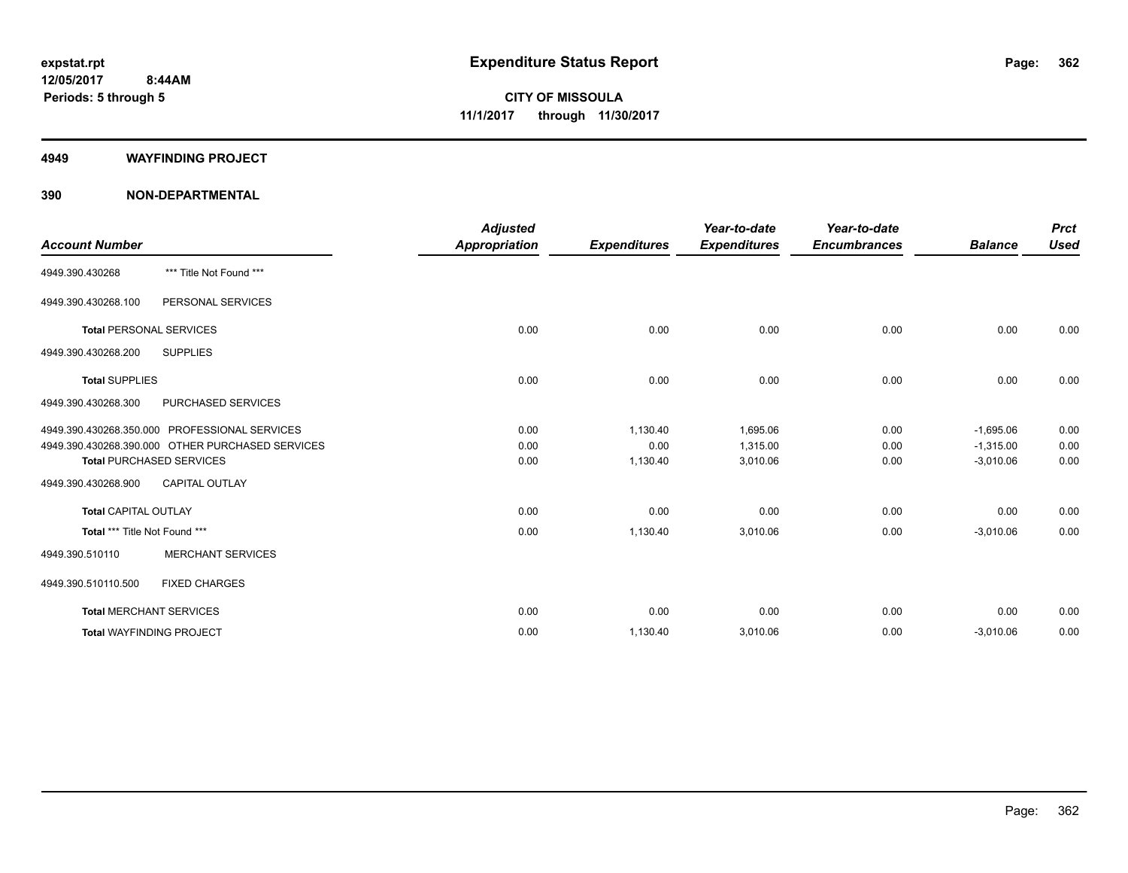#### **4949 WAYFINDING PROJECT**

#### **390 NON-DEPARTMENTAL**

| <b>Account Number</b>          |                                                  | <b>Adjusted</b><br><b>Appropriation</b> | <b>Expenditures</b> | Year-to-date<br><b>Expenditures</b> | Year-to-date<br><b>Encumbrances</b> | <b>Balance</b> | <b>Prct</b><br><b>Used</b> |
|--------------------------------|--------------------------------------------------|-----------------------------------------|---------------------|-------------------------------------|-------------------------------------|----------------|----------------------------|
| 4949.390.430268                | *** Title Not Found ***                          |                                         |                     |                                     |                                     |                |                            |
| 4949.390.430268.100            | PERSONAL SERVICES                                |                                         |                     |                                     |                                     |                |                            |
| <b>Total PERSONAL SERVICES</b> |                                                  | 0.00                                    | 0.00                | 0.00                                | 0.00                                | 0.00           | 0.00                       |
| 4949.390.430268.200            | <b>SUPPLIES</b>                                  |                                         |                     |                                     |                                     |                |                            |
| <b>Total SUPPLIES</b>          |                                                  | 0.00                                    | 0.00                | 0.00                                | 0.00                                | 0.00           | 0.00                       |
| 4949.390.430268.300            | PURCHASED SERVICES                               |                                         |                     |                                     |                                     |                |                            |
|                                | 4949.390.430268.350.000 PROFESSIONAL SERVICES    | 0.00                                    | 1,130.40            | 1,695.06                            | 0.00                                | $-1,695.06$    | 0.00                       |
|                                | 4949.390.430268.390.000 OTHER PURCHASED SERVICES | 0.00                                    | 0.00                | 1,315.00                            | 0.00                                | $-1,315.00$    | 0.00                       |
|                                | <b>Total PURCHASED SERVICES</b>                  | 0.00                                    | 1,130.40            | 3,010.06                            | 0.00                                | $-3,010.06$    | 0.00                       |
| 4949.390.430268.900            | <b>CAPITAL OUTLAY</b>                            |                                         |                     |                                     |                                     |                |                            |
| <b>Total CAPITAL OUTLAY</b>    |                                                  | 0.00                                    | 0.00                | 0.00                                | 0.00                                | 0.00           | 0.00                       |
| Total *** Title Not Found ***  |                                                  | 0.00                                    | 1,130.40            | 3,010.06                            | 0.00                                | $-3,010.06$    | 0.00                       |
| 4949.390.510110                | <b>MERCHANT SERVICES</b>                         |                                         |                     |                                     |                                     |                |                            |
| 4949.390.510110.500            | <b>FIXED CHARGES</b>                             |                                         |                     |                                     |                                     |                |                            |
|                                | <b>Total MERCHANT SERVICES</b>                   | 0.00                                    | 0.00                | 0.00                                | 0.00                                | 0.00           | 0.00                       |
|                                | <b>Total WAYFINDING PROJECT</b>                  | 0.00                                    | 1,130.40            | 3,010.06                            | 0.00                                | $-3,010.06$    | 0.00                       |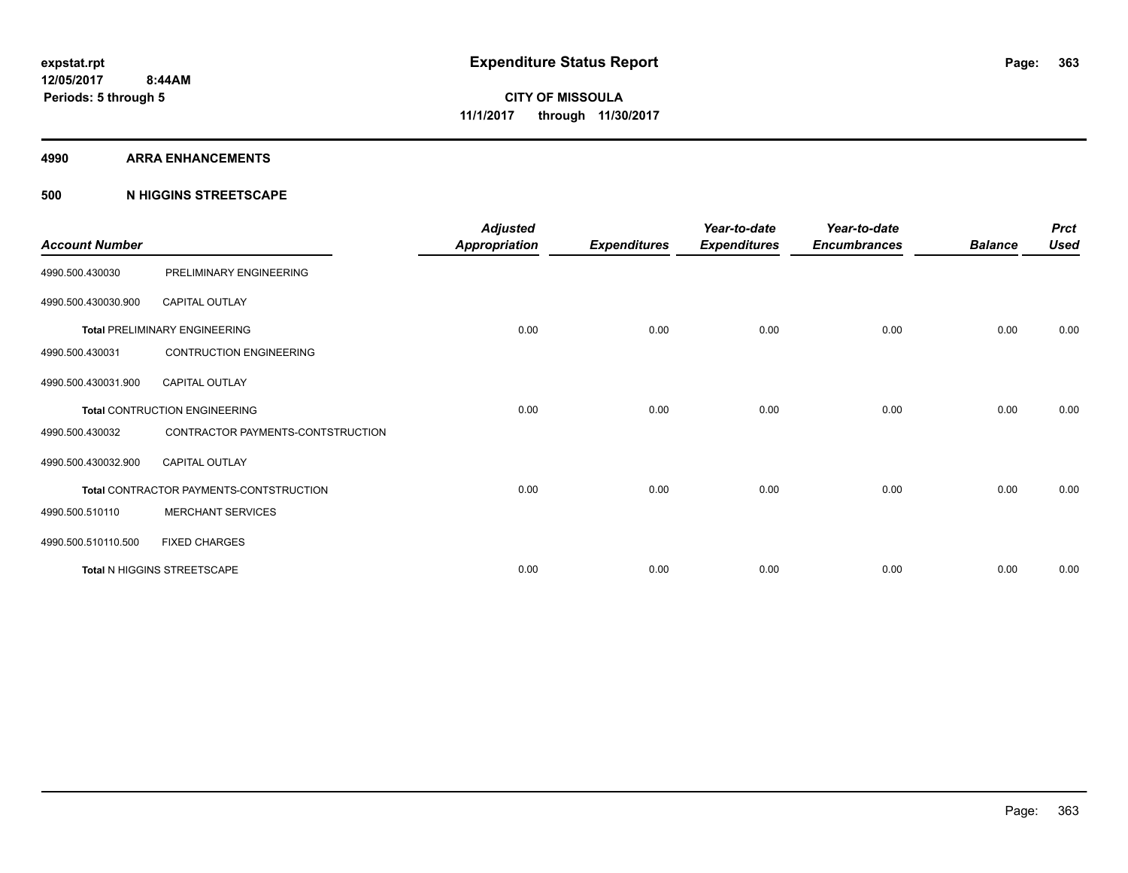#### **4990 ARRA ENHANCEMENTS**

#### **500 N HIGGINS STREETSCAPE**

| <b>Account Number</b> |                                         | <b>Adjusted</b><br><b>Appropriation</b> | <b>Expenditures</b> | Year-to-date<br><b>Expenditures</b> | Year-to-date<br><b>Encumbrances</b> | <b>Balance</b> | <b>Prct</b><br><b>Used</b> |
|-----------------------|-----------------------------------------|-----------------------------------------|---------------------|-------------------------------------|-------------------------------------|----------------|----------------------------|
| 4990.500.430030       | PRELIMINARY ENGINEERING                 |                                         |                     |                                     |                                     |                |                            |
| 4990.500.430030.900   | <b>CAPITAL OUTLAY</b>                   |                                         |                     |                                     |                                     |                |                            |
|                       | <b>Total PRELIMINARY ENGINEERING</b>    | 0.00                                    | 0.00                | 0.00                                | 0.00                                | 0.00           | 0.00                       |
| 4990.500.430031       | <b>CONTRUCTION ENGINEERING</b>          |                                         |                     |                                     |                                     |                |                            |
| 4990.500.430031.900   | <b>CAPITAL OUTLAY</b>                   |                                         |                     |                                     |                                     |                |                            |
|                       | <b>Total CONTRUCTION ENGINEERING</b>    | 0.00                                    | 0.00                | 0.00                                | 0.00                                | 0.00           | 0.00                       |
| 4990.500.430032       | CONTRACTOR PAYMENTS-CONTSTRUCTION       |                                         |                     |                                     |                                     |                |                            |
| 4990.500.430032.900   | <b>CAPITAL OUTLAY</b>                   |                                         |                     |                                     |                                     |                |                            |
|                       | Total CONTRACTOR PAYMENTS-CONTSTRUCTION | 0.00                                    | 0.00                | 0.00                                | 0.00                                | 0.00           | 0.00                       |
| 4990.500.510110       | <b>MERCHANT SERVICES</b>                |                                         |                     |                                     |                                     |                |                            |
| 4990.500.510110.500   | <b>FIXED CHARGES</b>                    |                                         |                     |                                     |                                     |                |                            |
|                       | Total N HIGGINS STREETSCAPE             | 0.00                                    | 0.00                | 0.00                                | 0.00                                | 0.00           | 0.00                       |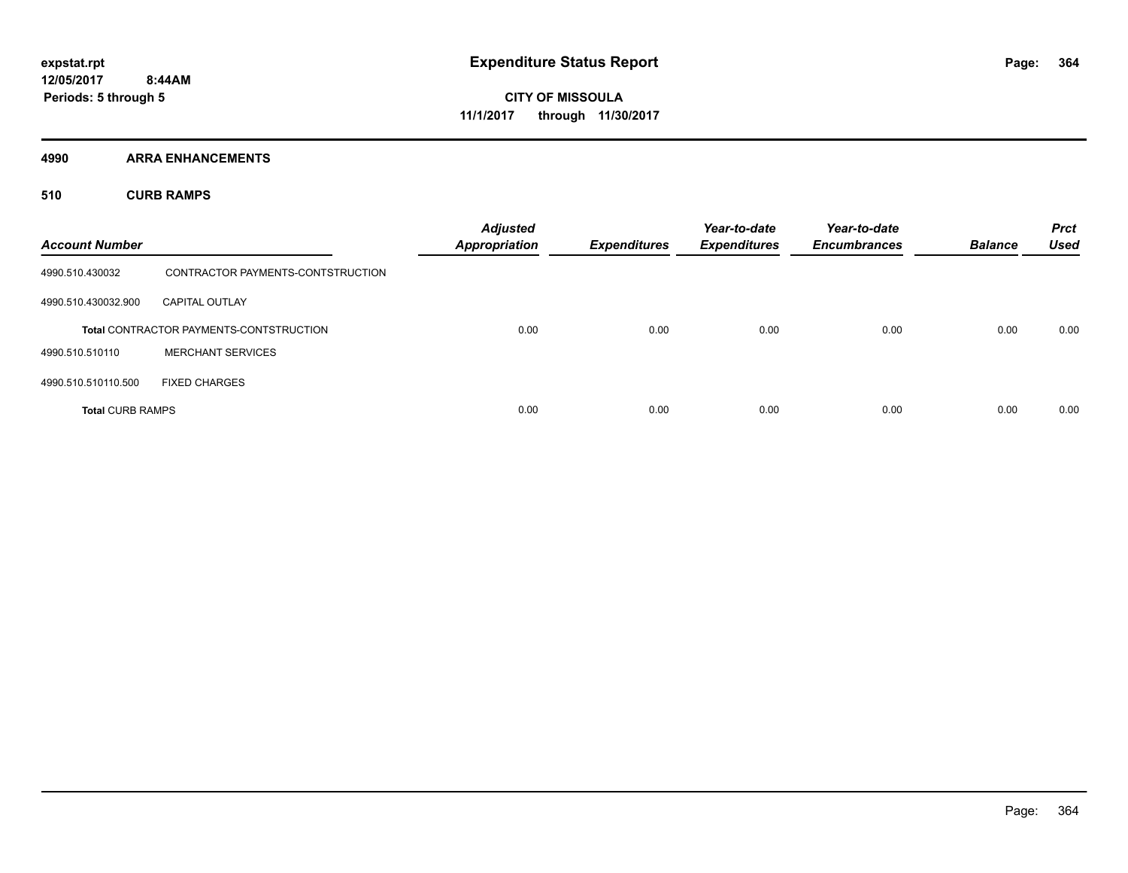**4990 ARRA ENHANCEMENTS**

**510 CURB RAMPS**

| <b>Account Number</b>   |                                                | <b>Adjusted</b><br><b>Appropriation</b> | <b>Expenditures</b> | Year-to-date<br><b>Expenditures</b> | Year-to-date<br><b>Encumbrances</b> | <b>Balance</b> | <b>Prct</b><br><b>Used</b> |
|-------------------------|------------------------------------------------|-----------------------------------------|---------------------|-------------------------------------|-------------------------------------|----------------|----------------------------|
| 4990.510.430032         | CONTRACTOR PAYMENTS-CONTSTRUCTION              |                                         |                     |                                     |                                     |                |                            |
| 4990.510.430032.900     | <b>CAPITAL OUTLAY</b>                          |                                         |                     |                                     |                                     |                |                            |
|                         | <b>Total CONTRACTOR PAYMENTS-CONTSTRUCTION</b> | 0.00                                    | 0.00                | 0.00                                | 0.00                                | 0.00           | 0.00                       |
| 4990.510.510110         | <b>MERCHANT SERVICES</b>                       |                                         |                     |                                     |                                     |                |                            |
| 4990.510.510110.500     | <b>FIXED CHARGES</b>                           |                                         |                     |                                     |                                     |                |                            |
| <b>Total CURB RAMPS</b> |                                                | 0.00                                    | 0.00                | 0.00                                | 0.00                                | 0.00           | 0.00                       |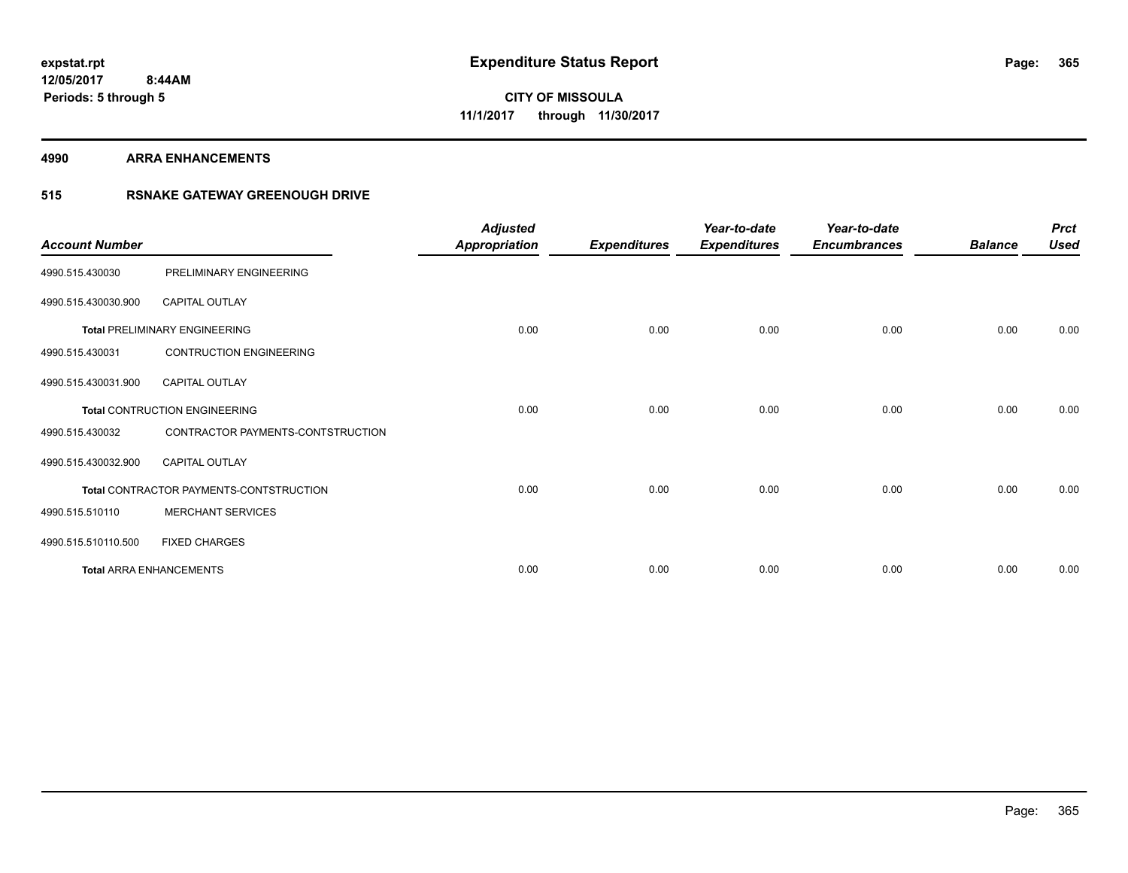#### **4990 ARRA ENHANCEMENTS**

### **515 RSNAKE GATEWAY GREENOUGH DRIVE**

| <b>Account Number</b> |                                         | <b>Adjusted</b><br><b>Appropriation</b> | <b>Expenditures</b> | Year-to-date<br><b>Expenditures</b> | Year-to-date<br><b>Encumbrances</b> | <b>Balance</b> | <b>Prct</b><br><b>Used</b> |
|-----------------------|-----------------------------------------|-----------------------------------------|---------------------|-------------------------------------|-------------------------------------|----------------|----------------------------|
| 4990.515.430030       | PRELIMINARY ENGINEERING                 |                                         |                     |                                     |                                     |                |                            |
| 4990.515.430030.900   | CAPITAL OUTLAY                          |                                         |                     |                                     |                                     |                |                            |
|                       | <b>Total PRELIMINARY ENGINEERING</b>    | 0.00                                    | 0.00                | 0.00                                | 0.00                                | 0.00           | 0.00                       |
| 4990.515.430031       | <b>CONTRUCTION ENGINEERING</b>          |                                         |                     |                                     |                                     |                |                            |
| 4990.515.430031.900   | <b>CAPITAL OUTLAY</b>                   |                                         |                     |                                     |                                     |                |                            |
|                       | <b>Total CONTRUCTION ENGINEERING</b>    | 0.00                                    | 0.00                | 0.00                                | 0.00                                | 0.00           | 0.00                       |
| 4990.515.430032       | CONTRACTOR PAYMENTS-CONTSTRUCTION       |                                         |                     |                                     |                                     |                |                            |
| 4990.515.430032.900   | <b>CAPITAL OUTLAY</b>                   |                                         |                     |                                     |                                     |                |                            |
|                       | Total CONTRACTOR PAYMENTS-CONTSTRUCTION | 0.00                                    | 0.00                | 0.00                                | 0.00                                | 0.00           | 0.00                       |
| 4990.515.510110       | <b>MERCHANT SERVICES</b>                |                                         |                     |                                     |                                     |                |                            |
| 4990.515.510110.500   | <b>FIXED CHARGES</b>                    |                                         |                     |                                     |                                     |                |                            |
|                       | <b>Total ARRA ENHANCEMENTS</b>          | 0.00                                    | 0.00                | 0.00                                | 0.00                                | 0.00           | 0.00                       |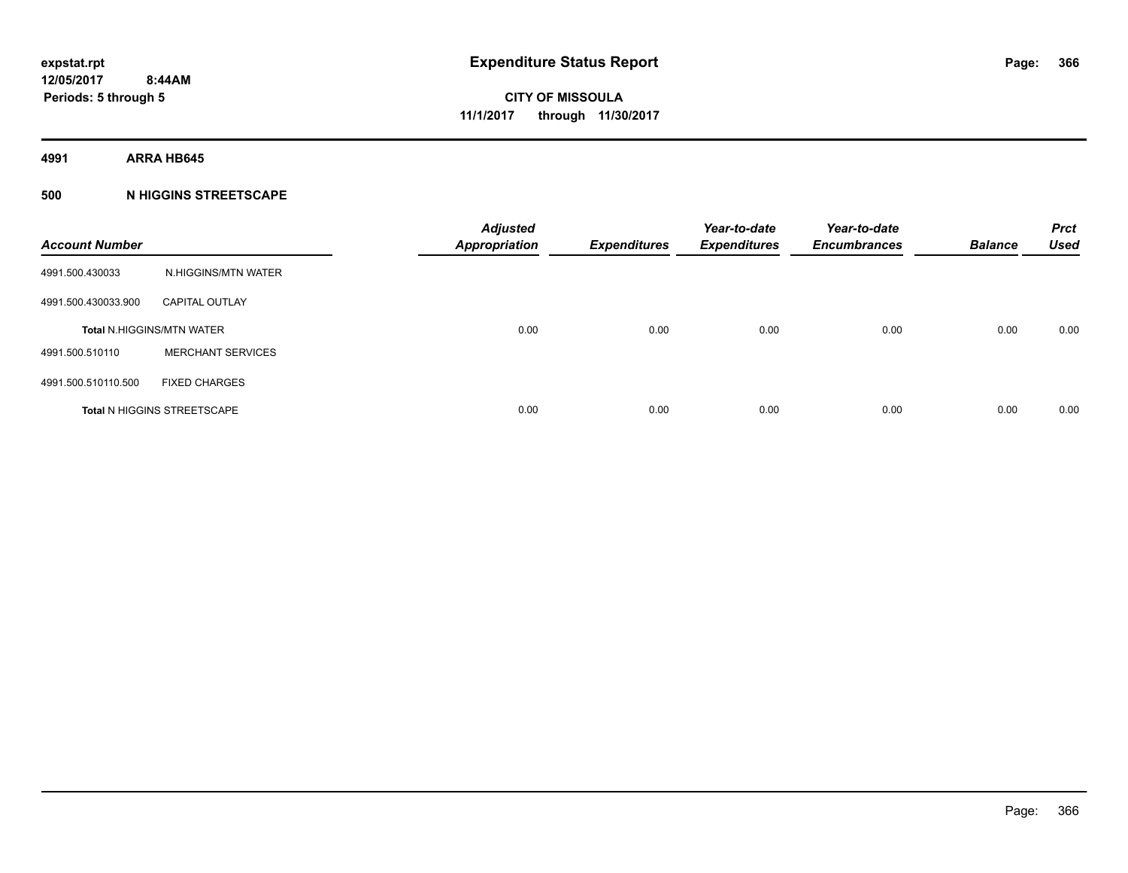**4991 ARRA HB645**

#### **500 N HIGGINS STREETSCAPE**

| <b>Account Number</b> |                                    | <b>Adjusted</b><br><b>Appropriation</b> | <b>Expenditures</b> | Year-to-date<br><b>Expenditures</b> | Year-to-date<br><b>Encumbrances</b> | <b>Balance</b> | <b>Prct</b><br><b>Used</b> |
|-----------------------|------------------------------------|-----------------------------------------|---------------------|-------------------------------------|-------------------------------------|----------------|----------------------------|
| 4991.500.430033       | N.HIGGINS/MTN WATER                |                                         |                     |                                     |                                     |                |                            |
| 4991.500.430033.900   | <b>CAPITAL OUTLAY</b>              |                                         |                     |                                     |                                     |                |                            |
|                       | <b>Total N.HIGGINS/MTN WATER</b>   | 0.00                                    | 0.00                | 0.00                                | 0.00                                | 0.00           | 0.00                       |
| 4991.500.510110       | <b>MERCHANT SERVICES</b>           |                                         |                     |                                     |                                     |                |                            |
| 4991.500.510110.500   | <b>FIXED CHARGES</b>               |                                         |                     |                                     |                                     |                |                            |
|                       | <b>Total N HIGGINS STREETSCAPE</b> | 0.00                                    | 0.00                | 0.00                                | 0.00                                | 0.00           | 0.00                       |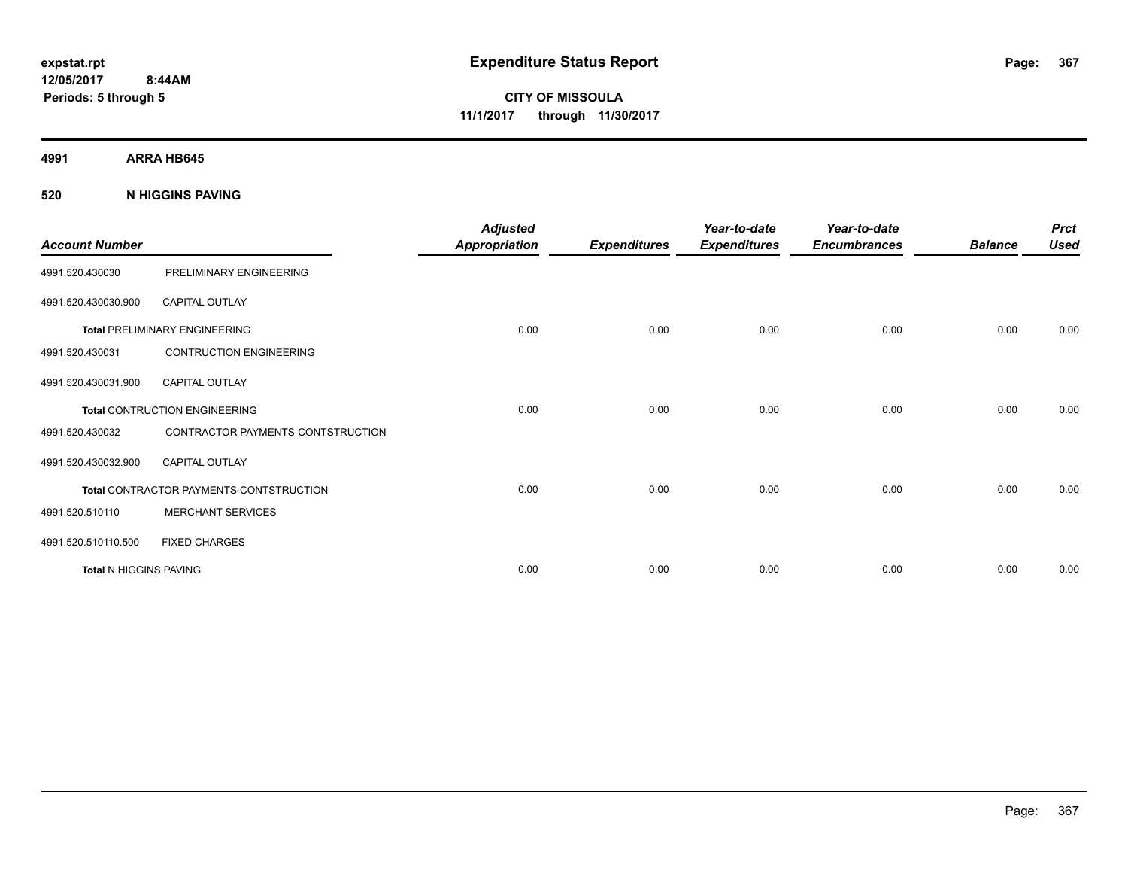**4991 ARRA HB645**

**520 N HIGGINS PAVING**

| <b>Account Number</b>         |                                         | <b>Adjusted</b><br><b>Appropriation</b> | <b>Expenditures</b> | Year-to-date<br><b>Expenditures</b> | Year-to-date<br><b>Encumbrances</b> | <b>Balance</b> | <b>Prct</b><br><b>Used</b> |
|-------------------------------|-----------------------------------------|-----------------------------------------|---------------------|-------------------------------------|-------------------------------------|----------------|----------------------------|
| 4991.520.430030               | PRELIMINARY ENGINEERING                 |                                         |                     |                                     |                                     |                |                            |
| 4991.520.430030.900           | <b>CAPITAL OUTLAY</b>                   |                                         |                     |                                     |                                     |                |                            |
|                               | <b>Total PRELIMINARY ENGINEERING</b>    | 0.00                                    | 0.00                | 0.00                                | 0.00                                | 0.00           | 0.00                       |
| 4991.520.430031               | <b>CONTRUCTION ENGINEERING</b>          |                                         |                     |                                     |                                     |                |                            |
| 4991.520.430031.900           | <b>CAPITAL OUTLAY</b>                   |                                         |                     |                                     |                                     |                |                            |
|                               | <b>Total CONTRUCTION ENGINEERING</b>    | 0.00                                    | 0.00                | 0.00                                | 0.00                                | 0.00           | 0.00                       |
| 4991.520.430032               | CONTRACTOR PAYMENTS-CONTSTRUCTION       |                                         |                     |                                     |                                     |                |                            |
| 4991.520.430032.900           | <b>CAPITAL OUTLAY</b>                   |                                         |                     |                                     |                                     |                |                            |
|                               | Total CONTRACTOR PAYMENTS-CONTSTRUCTION | 0.00                                    | 0.00                | 0.00                                | 0.00                                | 0.00           | 0.00                       |
| 4991.520.510110               | <b>MERCHANT SERVICES</b>                |                                         |                     |                                     |                                     |                |                            |
| 4991.520.510110.500           | <b>FIXED CHARGES</b>                    |                                         |                     |                                     |                                     |                |                            |
| <b>Total N HIGGINS PAVING</b> |                                         | 0.00                                    | 0.00                | 0.00                                | 0.00                                | 0.00           | 0.00                       |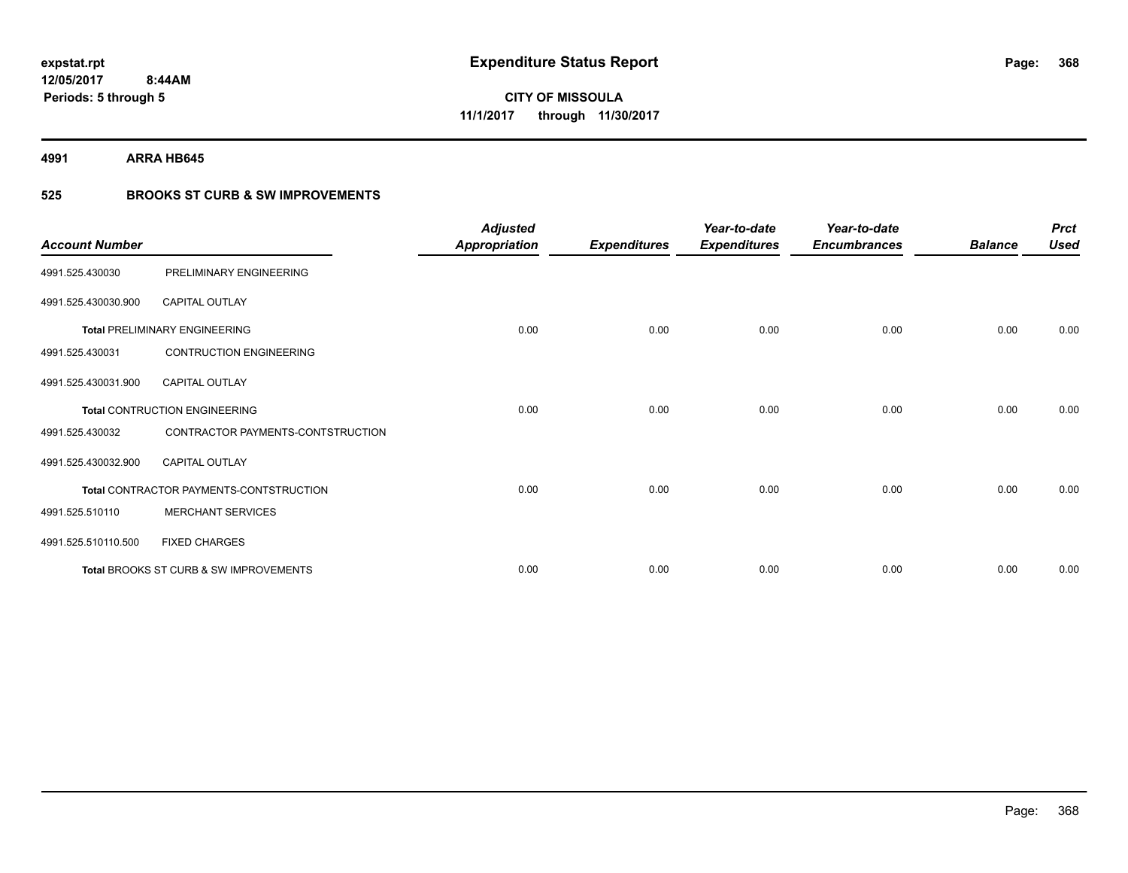**4991 ARRA HB645**

### **525 BROOKS ST CURB & SW IMPROVEMENTS**

| <b>Account Number</b> |                                         | <b>Adjusted</b><br><b>Appropriation</b> | <b>Expenditures</b> | Year-to-date<br><b>Expenditures</b> | Year-to-date<br><b>Encumbrances</b> | <b>Balance</b> | <b>Prct</b><br><b>Used</b> |
|-----------------------|-----------------------------------------|-----------------------------------------|---------------------|-------------------------------------|-------------------------------------|----------------|----------------------------|
| 4991.525.430030       | PRELIMINARY ENGINEERING                 |                                         |                     |                                     |                                     |                |                            |
| 4991.525.430030.900   | <b>CAPITAL OUTLAY</b>                   |                                         |                     |                                     |                                     |                |                            |
|                       | <b>Total PRELIMINARY ENGINEERING</b>    | 0.00                                    | 0.00                | 0.00                                | 0.00                                | 0.00           | 0.00                       |
| 4991.525.430031       | <b>CONTRUCTION ENGINEERING</b>          |                                         |                     |                                     |                                     |                |                            |
| 4991.525.430031.900   | <b>CAPITAL OUTLAY</b>                   |                                         |                     |                                     |                                     |                |                            |
|                       | <b>Total CONTRUCTION ENGINEERING</b>    | 0.00                                    | 0.00                | 0.00                                | 0.00                                | 0.00           | 0.00                       |
| 4991.525.430032       | CONTRACTOR PAYMENTS-CONTSTRUCTION       |                                         |                     |                                     |                                     |                |                            |
| 4991.525.430032.900   | <b>CAPITAL OUTLAY</b>                   |                                         |                     |                                     |                                     |                |                            |
|                       | Total CONTRACTOR PAYMENTS-CONTSTRUCTION | 0.00                                    | 0.00                | 0.00                                | 0.00                                | 0.00           | 0.00                       |
| 4991.525.510110       | <b>MERCHANT SERVICES</b>                |                                         |                     |                                     |                                     |                |                            |
| 4991.525.510110.500   | <b>FIXED CHARGES</b>                    |                                         |                     |                                     |                                     |                |                            |
|                       | Total BROOKS ST CURB & SW IMPROVEMENTS  | 0.00                                    | 0.00                | 0.00                                | 0.00                                | 0.00           | 0.00                       |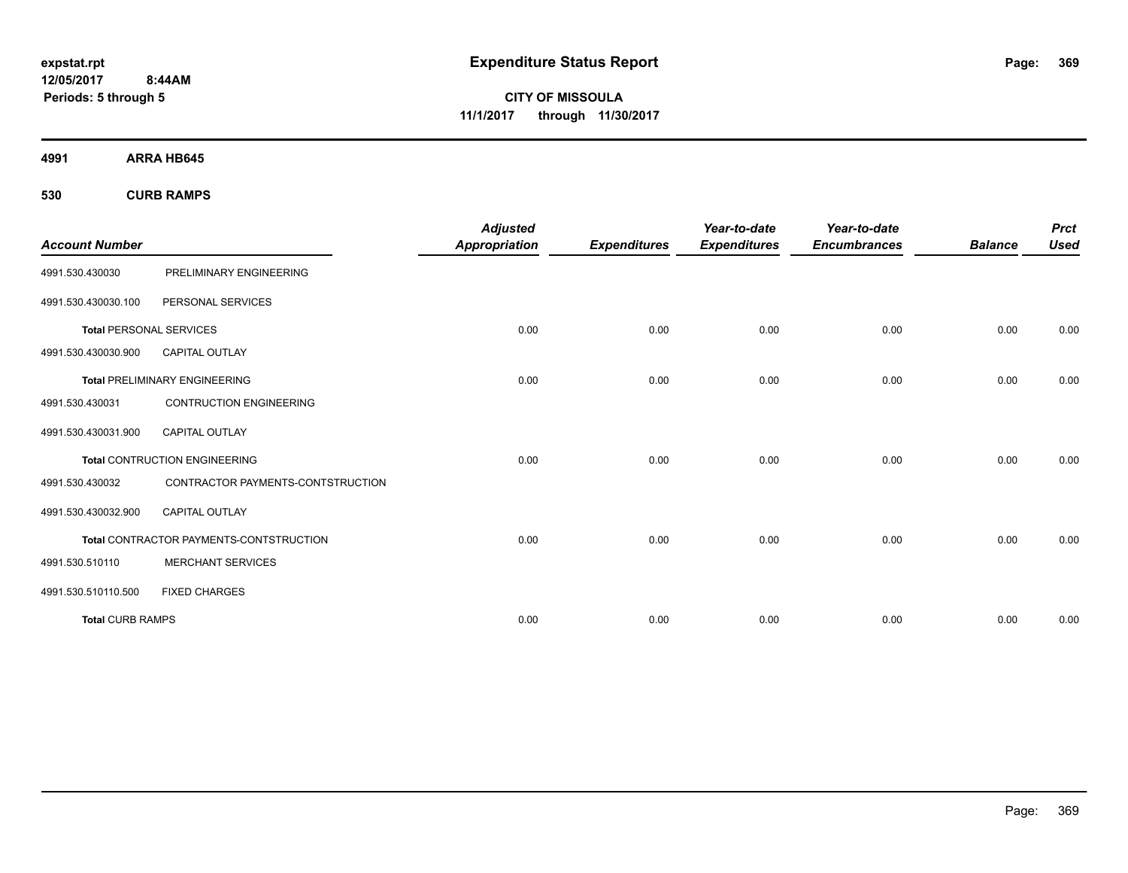**CITY OF MISSOULA 11/1/2017 through 11/30/2017**

**4991 ARRA HB645**

**530 CURB RAMPS**

| <b>Account Number</b>          |                                         | <b>Adjusted</b><br><b>Appropriation</b> | <b>Expenditures</b> | Year-to-date<br><b>Expenditures</b> | Year-to-date<br><b>Encumbrances</b> | <b>Balance</b> | <b>Prct</b><br><b>Used</b> |
|--------------------------------|-----------------------------------------|-----------------------------------------|---------------------|-------------------------------------|-------------------------------------|----------------|----------------------------|
| 4991.530.430030                | PRELIMINARY ENGINEERING                 |                                         |                     |                                     |                                     |                |                            |
| 4991.530.430030.100            | PERSONAL SERVICES                       |                                         |                     |                                     |                                     |                |                            |
| <b>Total PERSONAL SERVICES</b> |                                         | 0.00                                    | 0.00                | 0.00                                | 0.00                                | 0.00           | 0.00                       |
| 4991.530.430030.900            | <b>CAPITAL OUTLAY</b>                   |                                         |                     |                                     |                                     |                |                            |
|                                | <b>Total PRELIMINARY ENGINEERING</b>    | 0.00                                    | 0.00                | 0.00                                | 0.00                                | 0.00           | 0.00                       |
| 4991.530.430031                | <b>CONTRUCTION ENGINEERING</b>          |                                         |                     |                                     |                                     |                |                            |
| 4991.530.430031.900            | <b>CAPITAL OUTLAY</b>                   |                                         |                     |                                     |                                     |                |                            |
|                                | <b>Total CONTRUCTION ENGINEERING</b>    | 0.00                                    | 0.00                | 0.00                                | 0.00                                | 0.00           | 0.00                       |
| 4991.530.430032                | CONTRACTOR PAYMENTS-CONTSTRUCTION       |                                         |                     |                                     |                                     |                |                            |
| 4991.530.430032.900            | <b>CAPITAL OUTLAY</b>                   |                                         |                     |                                     |                                     |                |                            |
|                                | Total CONTRACTOR PAYMENTS-CONTSTRUCTION | 0.00                                    | 0.00                | 0.00                                | 0.00                                | 0.00           | 0.00                       |
| 4991.530.510110                | <b>MERCHANT SERVICES</b>                |                                         |                     |                                     |                                     |                |                            |
| 4991.530.510110.500            | <b>FIXED CHARGES</b>                    |                                         |                     |                                     |                                     |                |                            |
| <b>Total CURB RAMPS</b>        |                                         | 0.00                                    | 0.00                | 0.00                                | 0.00                                | 0.00           | 0.00                       |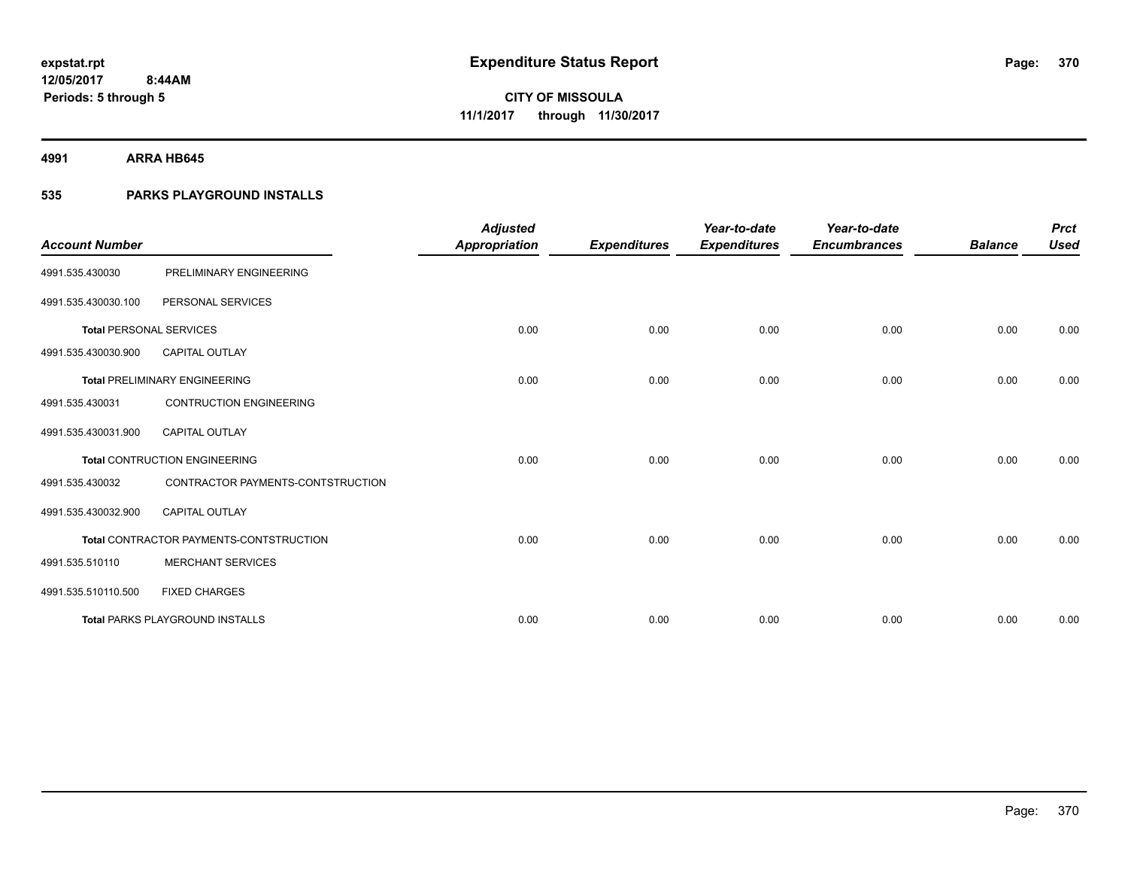**4991 ARRA HB645**

### **535 PARKS PLAYGROUND INSTALLS**

| <b>Account Number</b>          |                                         | <b>Adjusted</b><br><b>Appropriation</b> | <b>Expenditures</b> | Year-to-date<br><b>Expenditures</b> | Year-to-date<br><b>Encumbrances</b> | <b>Balance</b> | <b>Prct</b><br><b>Used</b> |
|--------------------------------|-----------------------------------------|-----------------------------------------|---------------------|-------------------------------------|-------------------------------------|----------------|----------------------------|
| 4991.535.430030                | PRELIMINARY ENGINEERING                 |                                         |                     |                                     |                                     |                |                            |
| 4991.535.430030.100            | PERSONAL SERVICES                       |                                         |                     |                                     |                                     |                |                            |
| <b>Total PERSONAL SERVICES</b> |                                         | 0.00                                    | 0.00                | 0.00                                | 0.00                                | 0.00           | 0.00                       |
| 4991.535.430030.900            | <b>CAPITAL OUTLAY</b>                   |                                         |                     |                                     |                                     |                |                            |
|                                | <b>Total PRELIMINARY ENGINEERING</b>    | 0.00                                    | 0.00                | 0.00                                | 0.00                                | 0.00           | 0.00                       |
| 4991.535.430031                | <b>CONTRUCTION ENGINEERING</b>          |                                         |                     |                                     |                                     |                |                            |
| 4991.535.430031.900            | <b>CAPITAL OUTLAY</b>                   |                                         |                     |                                     |                                     |                |                            |
|                                | <b>Total CONTRUCTION ENGINEERING</b>    | 0.00                                    | 0.00                | 0.00                                | 0.00                                | 0.00           | 0.00                       |
| 4991.535.430032                | CONTRACTOR PAYMENTS-CONTSTRUCTION       |                                         |                     |                                     |                                     |                |                            |
| 4991.535.430032.900            | <b>CAPITAL OUTLAY</b>                   |                                         |                     |                                     |                                     |                |                            |
|                                | Total CONTRACTOR PAYMENTS-CONTSTRUCTION | 0.00                                    | 0.00                | 0.00                                | 0.00                                | 0.00           | 0.00                       |
| 4991.535.510110                | <b>MERCHANT SERVICES</b>                |                                         |                     |                                     |                                     |                |                            |
| 4991.535.510110.500            | <b>FIXED CHARGES</b>                    |                                         |                     |                                     |                                     |                |                            |
|                                | <b>Total PARKS PLAYGROUND INSTALLS</b>  | 0.00                                    | 0.00                | 0.00                                | 0.00                                | 0.00           | 0.00                       |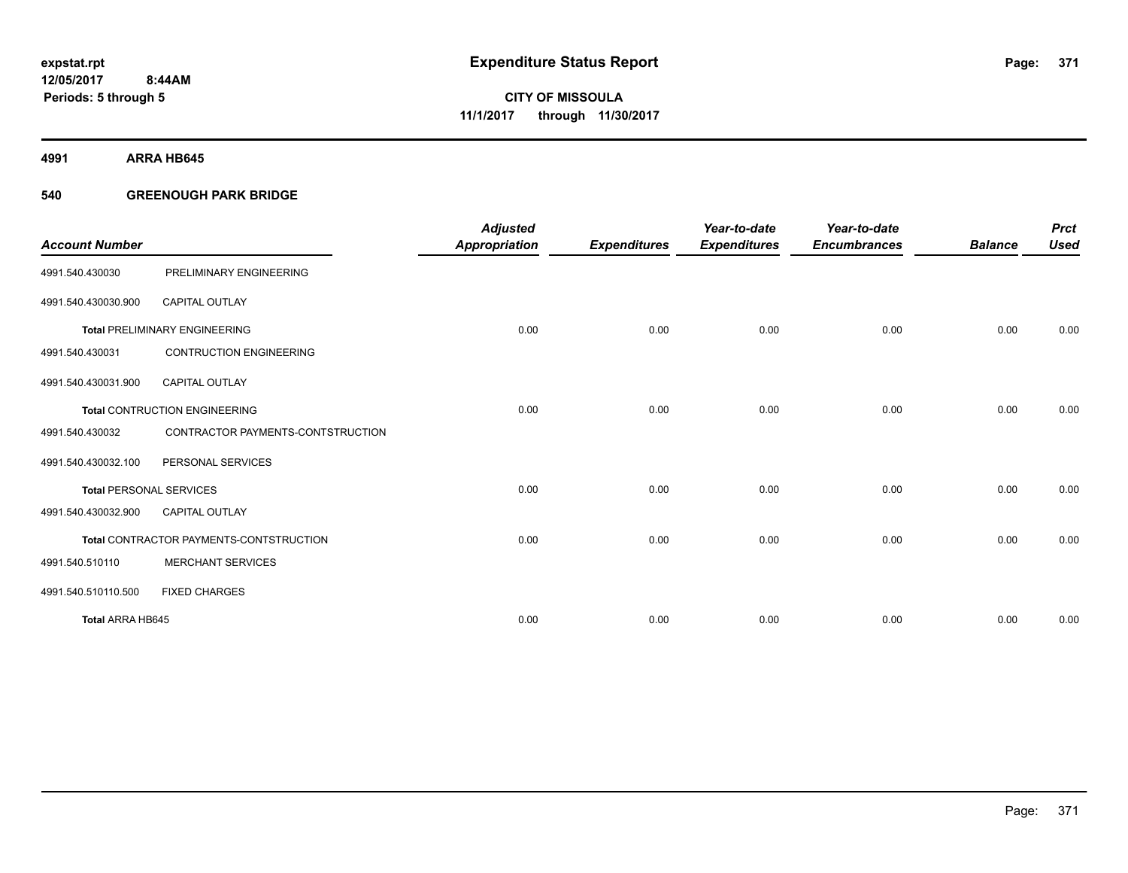**4991 ARRA HB645**

#### **540 GREENOUGH PARK BRIDGE**

|                                |                                         | <b>Adjusted</b>      |                     | Year-to-date        | Year-to-date        |                | <b>Prct</b> |
|--------------------------------|-----------------------------------------|----------------------|---------------------|---------------------|---------------------|----------------|-------------|
| <b>Account Number</b>          |                                         | <b>Appropriation</b> | <b>Expenditures</b> | <b>Expenditures</b> | <b>Encumbrances</b> | <b>Balance</b> | <b>Used</b> |
| 4991.540.430030                | PRELIMINARY ENGINEERING                 |                      |                     |                     |                     |                |             |
| 4991.540.430030.900            | <b>CAPITAL OUTLAY</b>                   |                      |                     |                     |                     |                |             |
|                                | <b>Total PRELIMINARY ENGINEERING</b>    | 0.00                 | 0.00                | 0.00                | 0.00                | 0.00           | 0.00        |
| 4991.540.430031                | <b>CONTRUCTION ENGINEERING</b>          |                      |                     |                     |                     |                |             |
| 4991.540.430031.900            | CAPITAL OUTLAY                          |                      |                     |                     |                     |                |             |
|                                | <b>Total CONTRUCTION ENGINEERING</b>    | 0.00                 | 0.00                | 0.00                | 0.00                | 0.00           | 0.00        |
| 4991.540.430032                | CONTRACTOR PAYMENTS-CONTSTRUCTION       |                      |                     |                     |                     |                |             |
| 4991.540.430032.100            | PERSONAL SERVICES                       |                      |                     |                     |                     |                |             |
| <b>Total PERSONAL SERVICES</b> |                                         | 0.00                 | 0.00                | 0.00                | 0.00                | 0.00           | 0.00        |
| 4991.540.430032.900            | <b>CAPITAL OUTLAY</b>                   |                      |                     |                     |                     |                |             |
|                                | Total CONTRACTOR PAYMENTS-CONTSTRUCTION | 0.00                 | 0.00                | 0.00                | 0.00                | 0.00           | 0.00        |
| 4991.540.510110                | <b>MERCHANT SERVICES</b>                |                      |                     |                     |                     |                |             |
| 4991.540.510110.500            | <b>FIXED CHARGES</b>                    |                      |                     |                     |                     |                |             |
| Total ARRA HB645               |                                         | 0.00                 | 0.00                | 0.00                | 0.00                | 0.00           | 0.00        |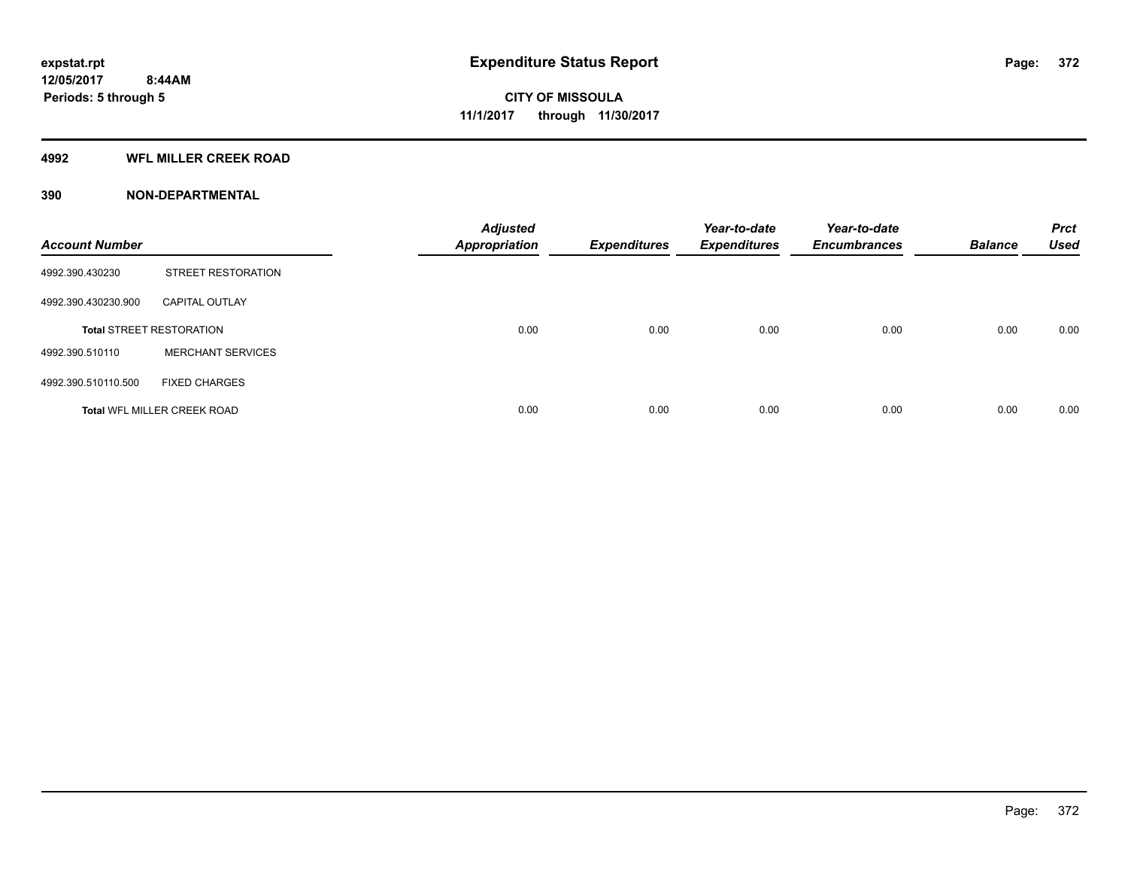#### **4992 WFL MILLER CREEK ROAD**

#### **390 NON-DEPARTMENTAL**

| <b>Account Number</b> |                                    | <b>Adjusted</b><br><b>Appropriation</b> | <b>Expenditures</b> | Year-to-date<br><b>Expenditures</b> | Year-to-date<br><b>Encumbrances</b> | <b>Balance</b> | <b>Prct</b><br><b>Used</b> |
|-----------------------|------------------------------------|-----------------------------------------|---------------------|-------------------------------------|-------------------------------------|----------------|----------------------------|
| 4992.390.430230       | <b>STREET RESTORATION</b>          |                                         |                     |                                     |                                     |                |                            |
| 4992.390.430230.900   | <b>CAPITAL OUTLAY</b>              |                                         |                     |                                     |                                     |                |                            |
|                       | <b>Total STREET RESTORATION</b>    | 0.00                                    | 0.00                | 0.00                                | 0.00                                | 0.00           | 0.00                       |
| 4992.390.510110       | <b>MERCHANT SERVICES</b>           |                                         |                     |                                     |                                     |                |                            |
| 4992.390.510110.500   | <b>FIXED CHARGES</b>               |                                         |                     |                                     |                                     |                |                            |
|                       | <b>Total WFL MILLER CREEK ROAD</b> | 0.00                                    | 0.00                | 0.00                                | 0.00                                | 0.00           | 0.00                       |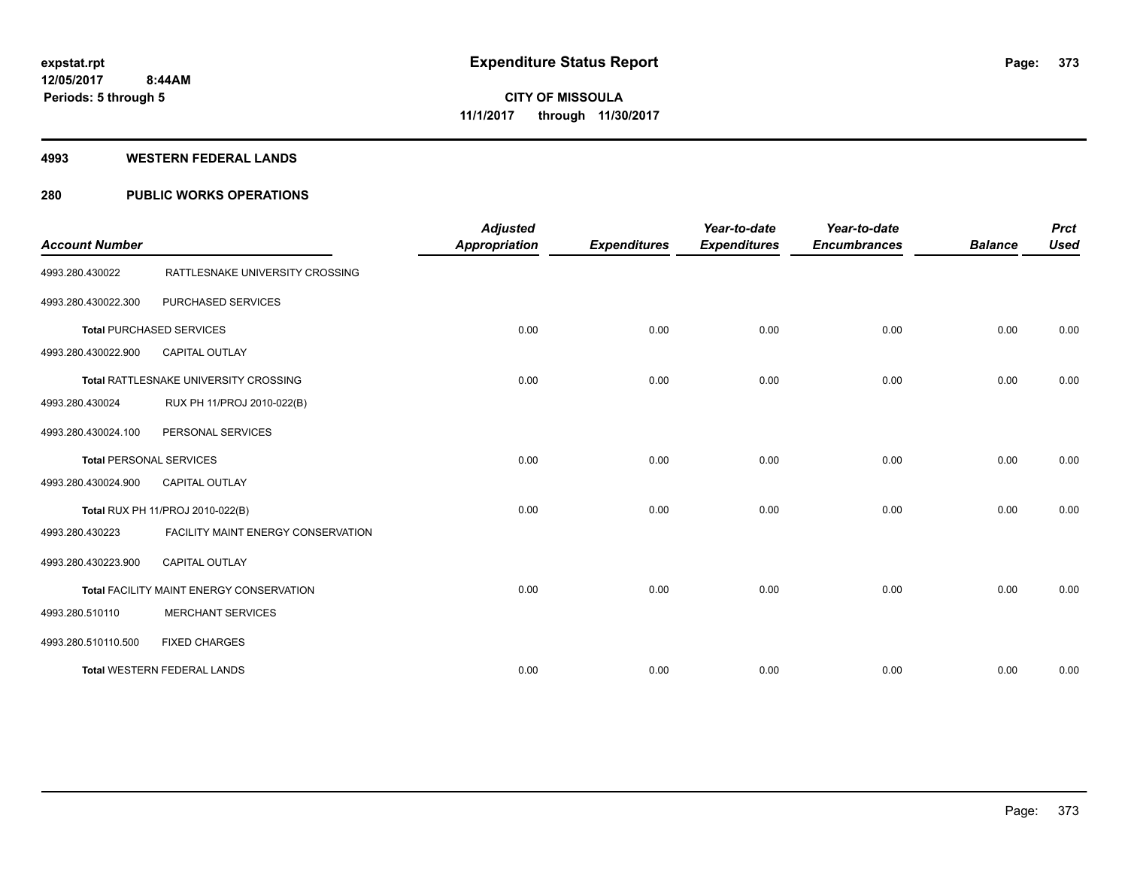#### **4993 WESTERN FEDERAL LANDS**

### **280 PUBLIC WORKS OPERATIONS**

| <b>Account Number</b> |                                          | <b>Adjusted</b><br><b>Appropriation</b> | <b>Expenditures</b> | Year-to-date<br><b>Expenditures</b> | Year-to-date<br><b>Encumbrances</b> | <b>Balance</b> | <b>Prct</b><br><b>Used</b> |
|-----------------------|------------------------------------------|-----------------------------------------|---------------------|-------------------------------------|-------------------------------------|----------------|----------------------------|
| 4993.280.430022       | RATTLESNAKE UNIVERSITY CROSSING          |                                         |                     |                                     |                                     |                |                            |
| 4993.280.430022.300   | PURCHASED SERVICES                       |                                         |                     |                                     |                                     |                |                            |
|                       | <b>Total PURCHASED SERVICES</b>          | 0.00                                    | 0.00                | 0.00                                | 0.00                                | 0.00           | 0.00                       |
| 4993.280.430022.900   | <b>CAPITAL OUTLAY</b>                    |                                         |                     |                                     |                                     |                |                            |
|                       | Total RATTLESNAKE UNIVERSITY CROSSING    | 0.00                                    | 0.00                | 0.00                                | 0.00                                | 0.00           | 0.00                       |
| 4993.280.430024       | RUX PH 11/PROJ 2010-022(B)               |                                         |                     |                                     |                                     |                |                            |
| 4993.280.430024.100   | PERSONAL SERVICES                        |                                         |                     |                                     |                                     |                |                            |
|                       | <b>Total PERSONAL SERVICES</b>           | 0.00                                    | 0.00                | 0.00                                | 0.00                                | 0.00           | 0.00                       |
| 4993.280.430024.900   | <b>CAPITAL OUTLAY</b>                    |                                         |                     |                                     |                                     |                |                            |
|                       | Total RUX PH 11/PROJ 2010-022(B)         | 0.00                                    | 0.00                | 0.00                                | 0.00                                | 0.00           | 0.00                       |
| 4993.280.430223       | FACILITY MAINT ENERGY CONSERVATION       |                                         |                     |                                     |                                     |                |                            |
| 4993.280.430223.900   | <b>CAPITAL OUTLAY</b>                    |                                         |                     |                                     |                                     |                |                            |
|                       | Total FACILITY MAINT ENERGY CONSERVATION | 0.00                                    | 0.00                | 0.00                                | 0.00                                | 0.00           | 0.00                       |
| 4993.280.510110       | <b>MERCHANT SERVICES</b>                 |                                         |                     |                                     |                                     |                |                            |
| 4993.280.510110.500   | <b>FIXED CHARGES</b>                     |                                         |                     |                                     |                                     |                |                            |
|                       | <b>Total WESTERN FEDERAL LANDS</b>       | 0.00                                    | 0.00                | 0.00                                | 0.00                                | 0.00           | 0.00                       |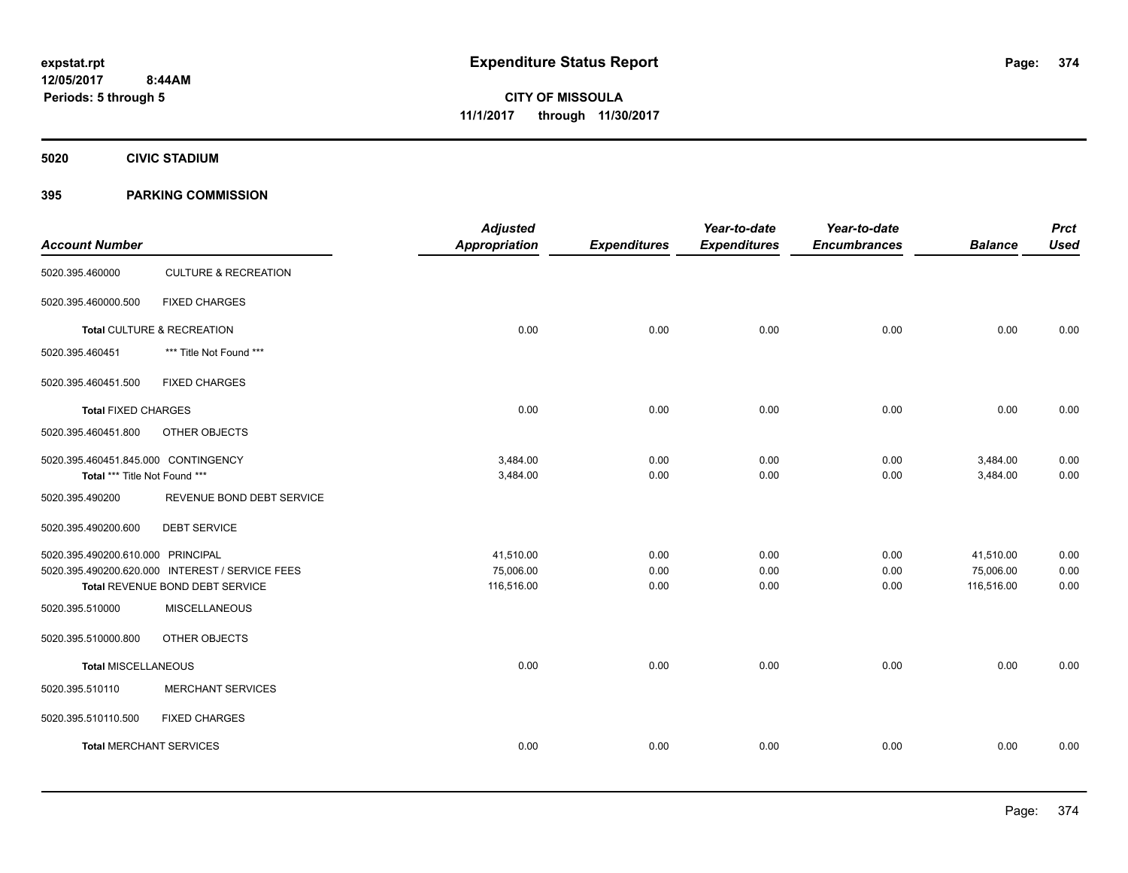**5020 CIVIC STADIUM**

#### **395 PARKING COMMISSION**

|                                                 |                      |                     |                     | Year-to-date        |                | <b>Prct</b> |
|-------------------------------------------------|----------------------|---------------------|---------------------|---------------------|----------------|-------------|
|                                                 | <b>Appropriation</b> | <b>Expenditures</b> | <b>Expenditures</b> | <b>Encumbrances</b> | <b>Balance</b> | <b>Used</b> |
| <b>CULTURE &amp; RECREATION</b>                 |                      |                     |                     |                     |                |             |
| <b>FIXED CHARGES</b>                            |                      |                     |                     |                     |                |             |
| Total CULTURE & RECREATION                      | 0.00                 | 0.00                | 0.00                | 0.00                | 0.00           | 0.00        |
| *** Title Not Found ***                         |                      |                     |                     |                     |                |             |
| <b>FIXED CHARGES</b>                            |                      |                     |                     |                     |                |             |
| <b>Total FIXED CHARGES</b>                      | 0.00                 | 0.00                | 0.00                | 0.00                | 0.00           | 0.00        |
| OTHER OBJECTS                                   |                      |                     |                     |                     |                |             |
| 5020.395.460451.845.000 CONTINGENCY             | 3,484.00             | 0.00                | 0.00                | 0.00                | 3,484.00       | 0.00        |
| Total *** Title Not Found ***                   | 3,484.00             | 0.00                |                     |                     |                | 0.00        |
| REVENUE BOND DEBT SERVICE                       |                      |                     |                     |                     |                |             |
| <b>DEBT SERVICE</b>                             |                      |                     |                     |                     |                |             |
| 5020.395.490200.610.000 PRINCIPAL               | 41,510.00            | 0.00                | 0.00                | 0.00                | 41,510.00      | 0.00        |
| 5020.395.490200.620.000 INTEREST / SERVICE FEES | 75,006.00            | 0.00                | 0.00                | 0.00                | 75,006.00      | 0.00        |
| Total REVENUE BOND DEBT SERVICE                 | 116,516.00           | 0.00                | 0.00                | 0.00                | 116,516.00     | 0.00        |
| <b>MISCELLANEOUS</b>                            |                      |                     |                     |                     |                |             |
| OTHER OBJECTS                                   |                      |                     |                     |                     |                |             |
| <b>Total MISCELLANEOUS</b>                      | 0.00                 | 0.00                | 0.00                | 0.00                | 0.00           | 0.00        |
| <b>MERCHANT SERVICES</b>                        |                      |                     |                     |                     |                |             |
| <b>FIXED CHARGES</b>                            |                      |                     |                     |                     |                |             |
| <b>Total MERCHANT SERVICES</b>                  | 0.00                 | 0.00                | 0.00                | 0.00                | 0.00           | 0.00        |
|                                                 |                      |                     |                     | 0.00                | 0.00           | 3,484.00    |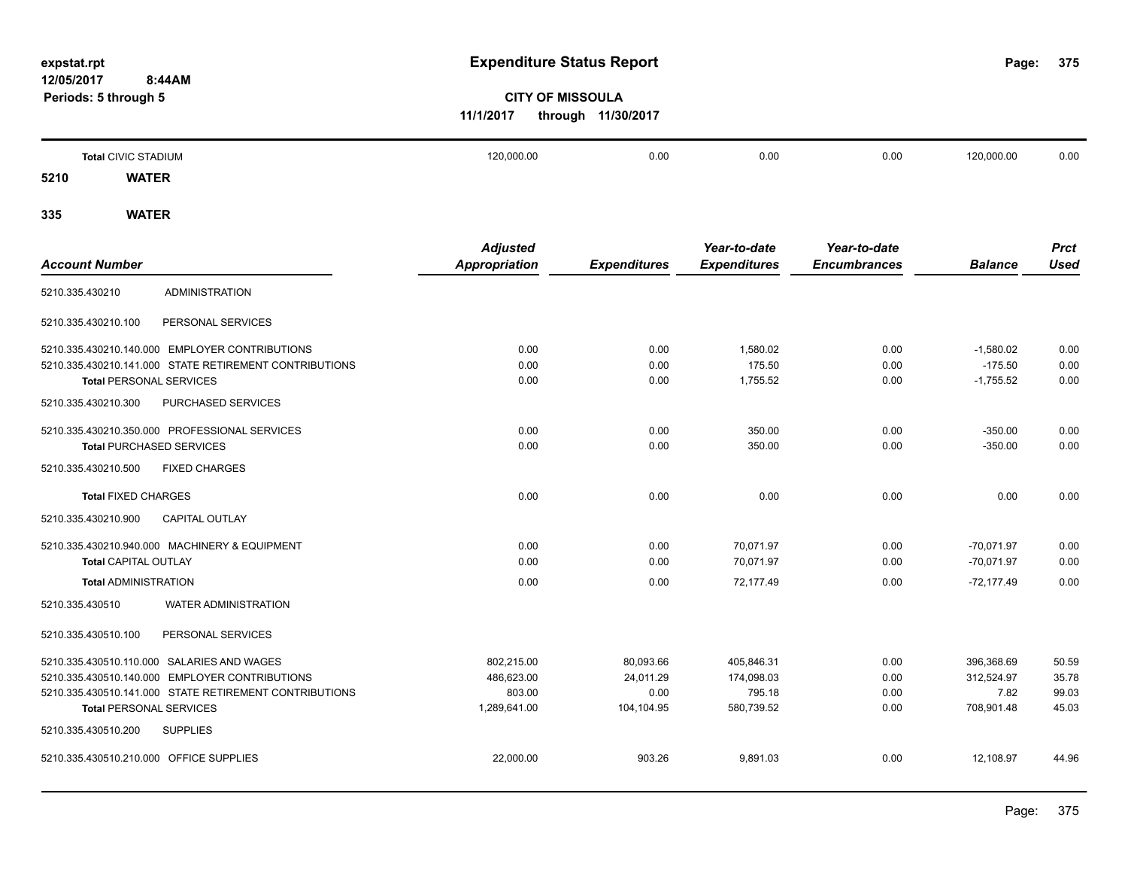**375**

# **CITY OF MISSOULA 11/1/2017 through 11/30/2017**

|      | <b>Total CIVIC STADIUM</b> | 120,000.00 | 0.00 | 0.00 | 0.00 | 120,000.00 | 0.00 |
|------|----------------------------|------------|------|------|------|------------|------|
| 5210 | <b>WATER</b>               |            |      |      |      |            |      |
|      |                            |            |      |      |      |            |      |

|                                                        | <b>Adjusted</b>      |                     | Year-to-date        | Year-to-date        |                | <b>Prct</b> |
|--------------------------------------------------------|----------------------|---------------------|---------------------|---------------------|----------------|-------------|
| <b>Account Number</b>                                  | <b>Appropriation</b> | <b>Expenditures</b> | <b>Expenditures</b> | <b>Encumbrances</b> | <b>Balance</b> | <b>Used</b> |
| <b>ADMINISTRATION</b><br>5210.335.430210               |                      |                     |                     |                     |                |             |
| 5210.335.430210.100<br>PERSONAL SERVICES               |                      |                     |                     |                     |                |             |
| 5210.335.430210.140.000 EMPLOYER CONTRIBUTIONS         | 0.00                 | 0.00                | 1.580.02            | 0.00                | $-1,580.02$    | 0.00        |
| 5210.335.430210.141.000 STATE RETIREMENT CONTRIBUTIONS | 0.00                 | 0.00                | 175.50              | 0.00                | $-175.50$      | 0.00        |
| <b>Total PERSONAL SERVICES</b>                         | 0.00                 | 0.00                | 1,755.52            | 0.00                | $-1,755.52$    | 0.00        |
| 5210.335.430210.300<br>PURCHASED SERVICES              |                      |                     |                     |                     |                |             |
| 5210.335.430210.350.000 PROFESSIONAL SERVICES          | 0.00                 | 0.00                | 350.00              | 0.00                | $-350.00$      | 0.00        |
| <b>Total PURCHASED SERVICES</b>                        | 0.00                 | 0.00                | 350.00              | 0.00                | $-350.00$      | 0.00        |
| 5210.335.430210.500<br><b>FIXED CHARGES</b>            |                      |                     |                     |                     |                |             |
| <b>Total FIXED CHARGES</b>                             | 0.00                 | 0.00                | 0.00                | 0.00                | 0.00           | 0.00        |
| 5210.335.430210.900<br><b>CAPITAL OUTLAY</b>           |                      |                     |                     |                     |                |             |
| 5210.335.430210.940.000 MACHINERY & EQUIPMENT          | 0.00                 | 0.00                | 70,071.97           | 0.00                | $-70.071.97$   | 0.00        |
| <b>Total CAPITAL OUTLAY</b>                            | 0.00                 | 0.00                | 70,071.97           | 0.00                | $-70,071.97$   | 0.00        |
| <b>Total ADMINISTRATION</b>                            | 0.00                 | 0.00                | 72,177.49           | 0.00                | $-72,177.49$   | 0.00        |
| 5210.335.430510<br><b>WATER ADMINISTRATION</b>         |                      |                     |                     |                     |                |             |
| PERSONAL SERVICES<br>5210.335.430510.100               |                      |                     |                     |                     |                |             |
| 5210.335.430510.110.000 SALARIES AND WAGES             | 802,215.00           | 80,093.66           | 405,846.31          | 0.00                | 396,368.69     | 50.59       |
| 5210.335.430510.140.000 EMPLOYER CONTRIBUTIONS         | 486,623.00           | 24,011.29           | 174,098.03          | 0.00                | 312,524.97     | 35.78       |
| 5210.335.430510.141.000 STATE RETIREMENT CONTRIBUTIONS | 803.00               | 0.00                | 795.18              | 0.00                | 7.82           | 99.03       |
| <b>Total PERSONAL SERVICES</b>                         | 1,289,641.00         | 104.104.95          | 580,739.52          | 0.00                | 708,901.48     | 45.03       |
| 5210.335.430510.200<br><b>SUPPLIES</b>                 |                      |                     |                     |                     |                |             |
| 5210.335.430510.210.000 OFFICE SUPPLIES                | 22,000.00            | 903.26              | 9,891.03            | 0.00                | 12,108.97      | 44.96       |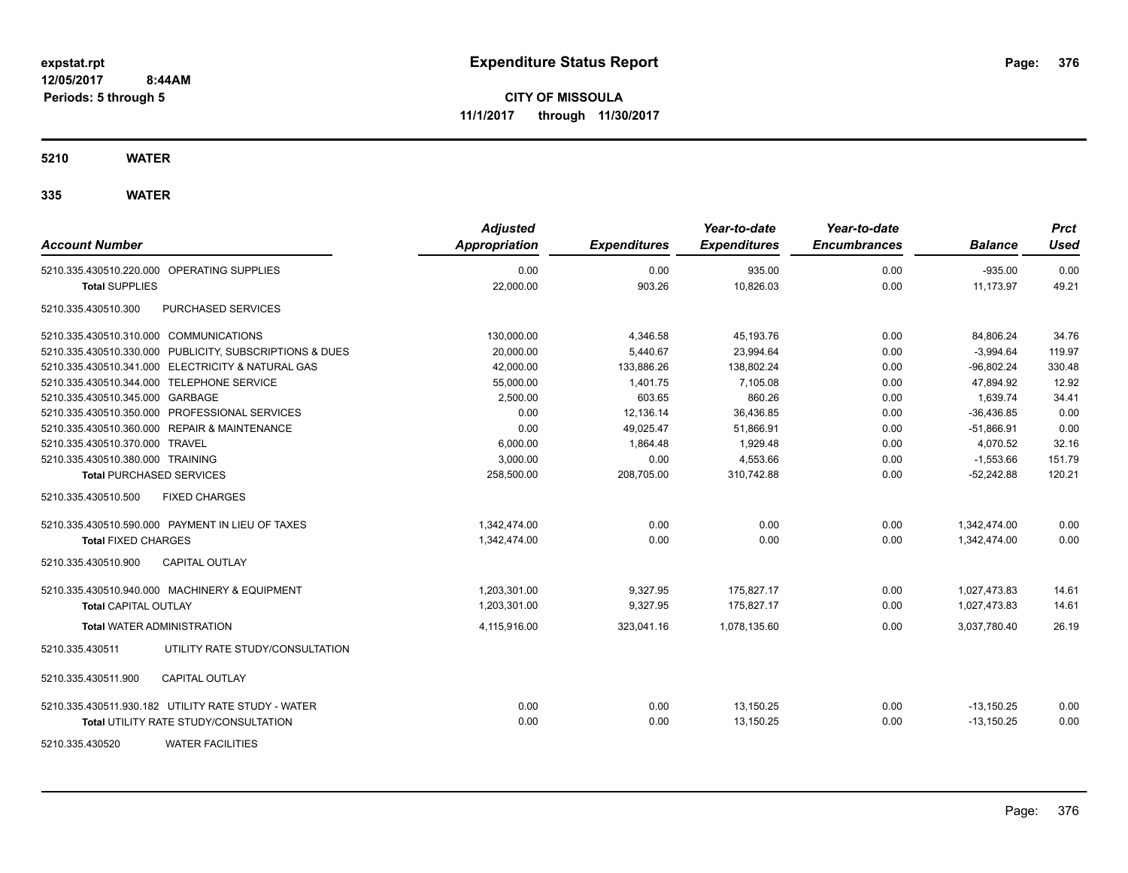**CITY OF MISSOULA 11/1/2017 through 11/30/2017**

**5210 WATER**

| <b>Account Number</b>                                   | <b>Adjusted</b><br><b>Appropriation</b> | <b>Expenditures</b> | Year-to-date<br><b>Expenditures</b> | Year-to-date<br><b>Encumbrances</b> | <b>Balance</b> | <b>Prct</b><br><b>Used</b> |
|---------------------------------------------------------|-----------------------------------------|---------------------|-------------------------------------|-------------------------------------|----------------|----------------------------|
| 5210.335.430510.220.000 OPERATING SUPPLIES              | 0.00                                    | 0.00                | 935.00                              | 0.00                                | $-935.00$      | 0.00                       |
| <b>Total SUPPLIES</b>                                   | 22,000.00                               | 903.26              | 10,826.03                           | 0.00                                | 11,173.97      | 49.21                      |
| PURCHASED SERVICES<br>5210.335.430510.300               |                                         |                     |                                     |                                     |                |                            |
| 5210.335.430510.310.000 COMMUNICATIONS                  | 130,000.00                              | 4,346.58            | 45,193.76                           | 0.00                                | 84,806.24      | 34.76                      |
| 5210.335.430510.330.000 PUBLICITY, SUBSCRIPTIONS & DUES | 20,000.00                               | 5,440.67            | 23,994.64                           | 0.00                                | $-3,994.64$    | 119.97                     |
| 5210.335.430510.341.000 ELECTRICITY & NATURAL GAS       | 42,000.00                               | 133,886.26          | 138,802.24                          | 0.00                                | $-96,802.24$   | 330.48                     |
| 5210.335.430510.344.000 TELEPHONE SERVICE               | 55,000.00                               | 1,401.75            | 7,105.08                            | 0.00                                | 47,894.92      | 12.92                      |
| 5210.335.430510.345.000 GARBAGE                         | 2,500.00                                | 603.65              | 860.26                              | 0.00                                | 1,639.74       | 34.41                      |
| 5210.335.430510.350.000 PROFESSIONAL SERVICES           | 0.00                                    | 12,136.14           | 36,436.85                           | 0.00                                | $-36,436.85$   | 0.00                       |
| 5210.335.430510.360.000 REPAIR & MAINTENANCE            | 0.00                                    | 49,025.47           | 51,866.91                           | 0.00                                | $-51,866.91$   | 0.00                       |
| 5210.335.430510.370.000 TRAVEL                          | 6,000.00                                | 1,864.48            | 1,929.48                            | 0.00                                | 4,070.52       | 32.16                      |
| 5210.335.430510.380.000 TRAINING                        | 3,000.00                                | 0.00                | 4,553.66                            | 0.00                                | $-1,553.66$    | 151.79                     |
| <b>Total PURCHASED SERVICES</b>                         | 258,500.00                              | 208,705.00          | 310,742.88                          | 0.00                                | $-52,242.88$   | 120.21                     |
| 5210.335.430510.500<br><b>FIXED CHARGES</b>             |                                         |                     |                                     |                                     |                |                            |
| 5210.335.430510.590.000 PAYMENT IN LIEU OF TAXES        | 1,342,474.00                            | 0.00                | 0.00                                | 0.00                                | 1,342,474.00   | 0.00                       |
| <b>Total FIXED CHARGES</b>                              | 1,342,474.00                            | 0.00                | 0.00                                | 0.00                                | 1,342,474.00   | 0.00                       |
| 5210.335.430510.900<br><b>CAPITAL OUTLAY</b>            |                                         |                     |                                     |                                     |                |                            |
| 5210.335.430510.940.000 MACHINERY & EQUIPMENT           | 1,203,301.00                            | 9,327.95            | 175,827.17                          | 0.00                                | 1,027,473.83   | 14.61                      |
| <b>Total CAPITAL OUTLAY</b>                             | 1.203.301.00                            | 9.327.95            | 175.827.17                          | 0.00                                | 1.027.473.83   | 14.61                      |
| <b>Total WATER ADMINISTRATION</b>                       | 4,115,916.00                            | 323,041.16          | 1,078,135.60                        | 0.00                                | 3,037,780.40   | 26.19                      |
| 5210.335.430511<br>UTILITY RATE STUDY/CONSULTATION      |                                         |                     |                                     |                                     |                |                            |
| 5210.335.430511.900<br><b>CAPITAL OUTLAY</b>            |                                         |                     |                                     |                                     |                |                            |
| 5210.335.430511.930.182 UTILITY RATE STUDY - WATER      | 0.00                                    | 0.00                | 13,150.25                           | 0.00                                | $-13,150.25$   | 0.00                       |
| <b>Total UTILITY RATE STUDY/CONSULTATION</b>            | 0.00                                    | 0.00                | 13,150.25                           | 0.00                                | $-13,150.25$   | 0.00                       |
| <b>WATER FACILITIES</b><br>5210.335.430520              |                                         |                     |                                     |                                     |                |                            |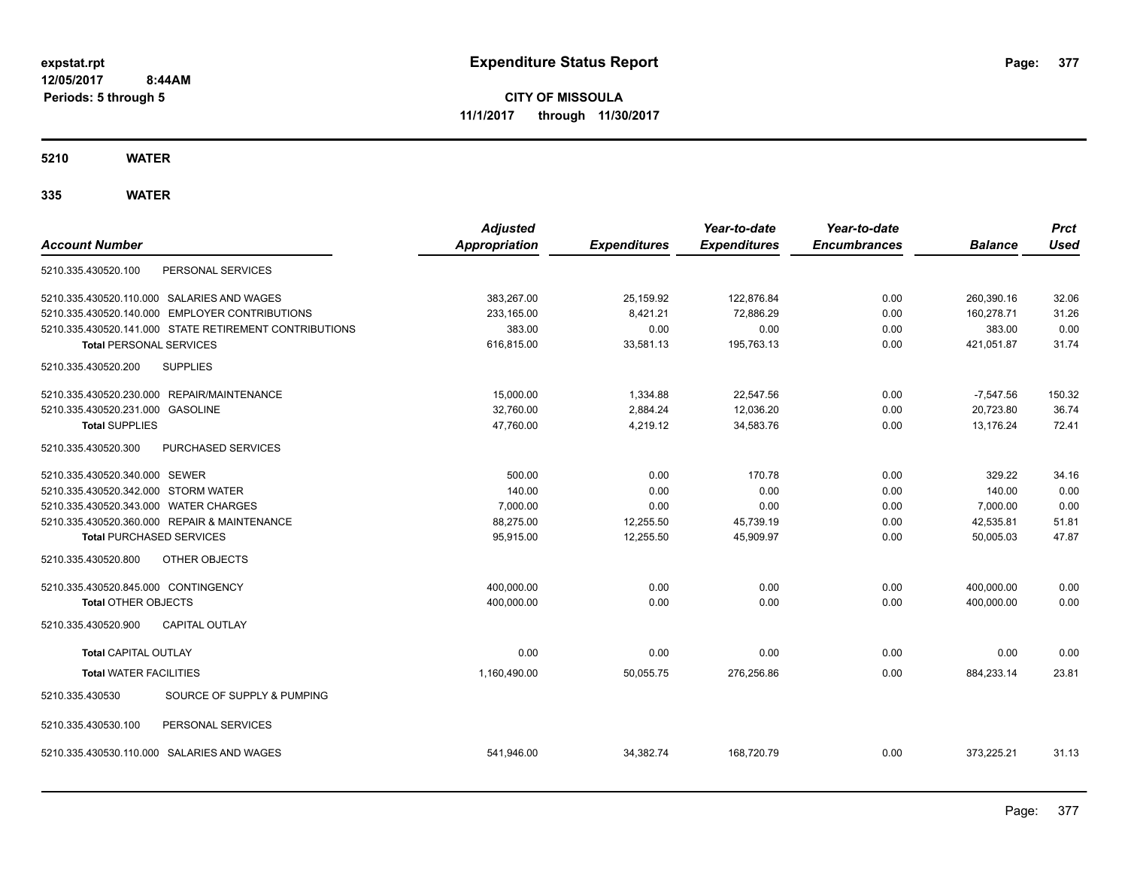**CITY OF MISSOULA 11/1/2017 through 11/30/2017**

**5210 WATER**

| <b>Account Number</b>                                  | <b>Adjusted</b><br>Appropriation | <b>Expenditures</b> | Year-to-date<br><b>Expenditures</b> | Year-to-date<br><b>Encumbrances</b> | <b>Balance</b> | <b>Prct</b><br><b>Used</b> |
|--------------------------------------------------------|----------------------------------|---------------------|-------------------------------------|-------------------------------------|----------------|----------------------------|
| 5210.335.430520.100<br>PERSONAL SERVICES               |                                  |                     |                                     |                                     |                |                            |
| 5210.335.430520.110.000 SALARIES AND WAGES             | 383,267.00                       | 25,159.92           | 122,876.84                          | 0.00                                | 260,390.16     | 32.06                      |
| 5210.335.430520.140.000 EMPLOYER CONTRIBUTIONS         | 233,165.00                       | 8,421.21            | 72,886.29                           | 0.00                                | 160,278.71     | 31.26                      |
| 5210.335.430520.141.000 STATE RETIREMENT CONTRIBUTIONS | 383.00                           | 0.00                | 0.00                                | 0.00                                | 383.00         | 0.00                       |
| <b>Total PERSONAL SERVICES</b>                         | 616,815.00                       | 33,581.13           | 195,763.13                          | 0.00                                | 421,051.87     | 31.74                      |
| <b>SUPPLIES</b><br>5210.335.430520.200                 |                                  |                     |                                     |                                     |                |                            |
| 5210.335.430520.230.000 REPAIR/MAINTENANCE             | 15,000.00                        | 1,334.88            | 22,547.56                           | 0.00                                | $-7,547.56$    | 150.32                     |
| 5210.335.430520.231.000 GASOLINE                       | 32,760.00                        | 2,884.24            | 12,036.20                           | 0.00                                | 20,723.80      | 36.74                      |
| <b>Total SUPPLIES</b>                                  | 47,760.00                        | 4,219.12            | 34,583.76                           | 0.00                                | 13,176.24      | 72.41                      |
| PURCHASED SERVICES<br>5210.335.430520.300              |                                  |                     |                                     |                                     |                |                            |
| 5210.335.430520.340.000 SEWER                          | 500.00                           | 0.00                | 170.78                              | 0.00                                | 329.22         | 34.16                      |
| 5210.335.430520.342.000 STORM WATER                    | 140.00                           | 0.00                | 0.00                                | 0.00                                | 140.00         | 0.00                       |
| 5210.335.430520.343.000 WATER CHARGES                  | 7,000.00                         | 0.00                | 0.00                                | 0.00                                | 7,000.00       | 0.00                       |
| 5210.335.430520.360.000 REPAIR & MAINTENANCE           | 88,275.00                        | 12,255.50           | 45,739.19                           | 0.00                                | 42,535.81      | 51.81                      |
| <b>Total PURCHASED SERVICES</b>                        | 95,915.00                        | 12,255.50           | 45,909.97                           | 0.00                                | 50,005.03      | 47.87                      |
| OTHER OBJECTS<br>5210.335.430520.800                   |                                  |                     |                                     |                                     |                |                            |
| 5210.335.430520.845.000 CONTINGENCY                    | 400,000.00                       | 0.00                | 0.00                                | 0.00                                | 400,000.00     | 0.00                       |
| <b>Total OTHER OBJECTS</b>                             | 400,000.00                       | 0.00                | 0.00                                | 0.00                                | 400,000.00     | 0.00                       |
| <b>CAPITAL OUTLAY</b><br>5210.335.430520.900           |                                  |                     |                                     |                                     |                |                            |
| <b>Total CAPITAL OUTLAY</b>                            | 0.00                             | 0.00                | 0.00                                | 0.00                                | 0.00           | 0.00                       |
| <b>Total WATER FACILITIES</b>                          | 1,160,490.00                     | 50,055.75           | 276,256.86                          | 0.00                                | 884,233.14     | 23.81                      |
| SOURCE OF SUPPLY & PUMPING<br>5210.335.430530          |                                  |                     |                                     |                                     |                |                            |
| PERSONAL SERVICES<br>5210.335.430530.100               |                                  |                     |                                     |                                     |                |                            |
| 5210.335.430530.110.000 SALARIES AND WAGES             | 541,946.00                       | 34,382.74           | 168,720.79                          | 0.00                                | 373,225.21     | 31.13                      |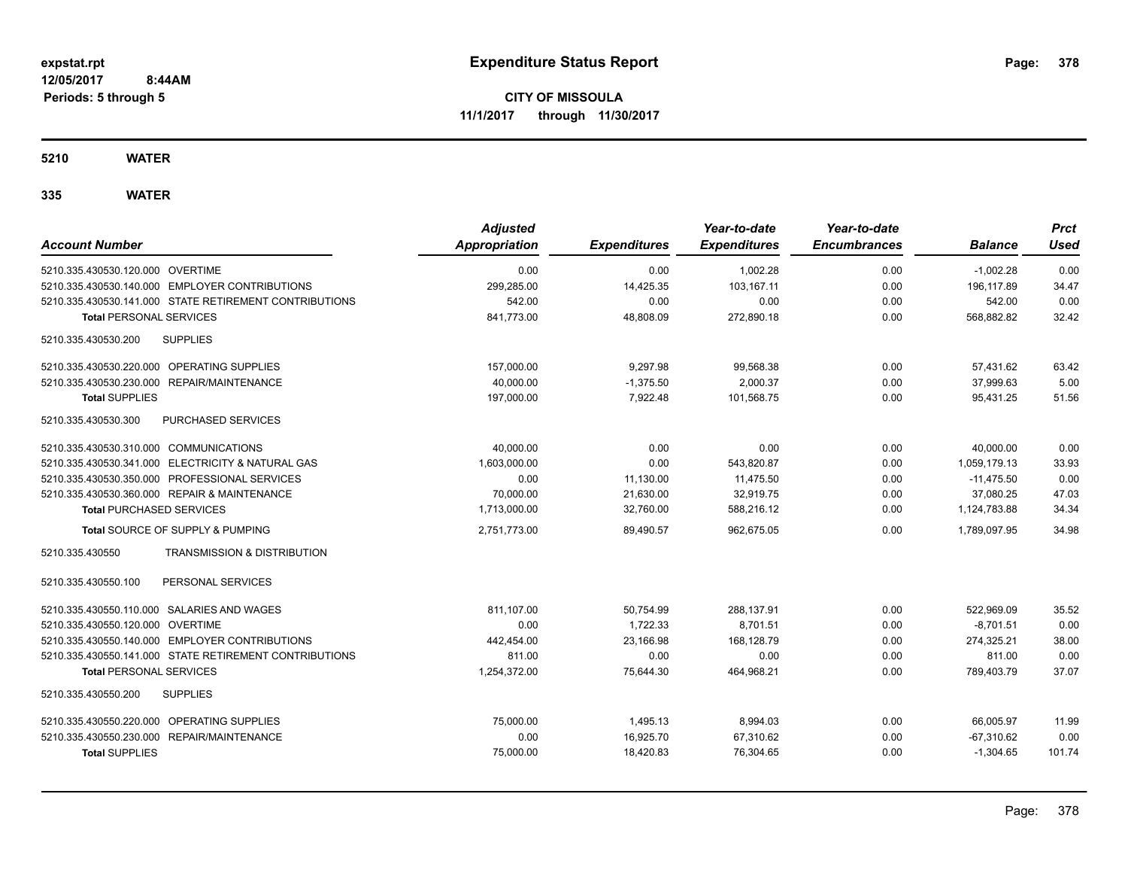**CITY OF MISSOULA 11/1/2017 through 11/30/2017**

**5210 WATER**

| <b>Account Number</b>                                     | <b>Adjusted</b><br>Appropriation | <b>Expenditures</b> | Year-to-date<br><b>Expenditures</b> | Year-to-date<br><b>Encumbrances</b> | <b>Balance</b> | <b>Prct</b><br><b>Used</b> |
|-----------------------------------------------------------|----------------------------------|---------------------|-------------------------------------|-------------------------------------|----------------|----------------------------|
| 5210.335.430530.120.000 OVERTIME                          | 0.00                             | 0.00                | 1,002.28                            | 0.00                                | $-1,002.28$    | 0.00                       |
| 5210.335.430530.140.000 EMPLOYER CONTRIBUTIONS            | 299.285.00                       | 14,425.35           | 103.167.11                          | 0.00                                | 196.117.89     | 34.47                      |
| 5210.335.430530.141.000 STATE RETIREMENT CONTRIBUTIONS    | 542.00                           | 0.00                | 0.00                                | 0.00                                | 542.00         | 0.00                       |
| <b>Total PERSONAL SERVICES</b>                            | 841,773.00                       | 48,808.09           | 272,890.18                          | 0.00                                | 568,882.82     | 32.42                      |
| <b>SUPPLIES</b><br>5210.335.430530.200                    |                                  |                     |                                     |                                     |                |                            |
| 5210.335.430530.220.000 OPERATING SUPPLIES                | 157,000.00                       | 9.297.98            | 99,568.38                           | 0.00                                | 57.431.62      | 63.42                      |
| 5210.335.430530.230.000 REPAIR/MAINTENANCE                | 40,000.00                        | $-1,375.50$         | 2.000.37                            | 0.00                                | 37,999.63      | 5.00                       |
| <b>Total SUPPLIES</b>                                     | 197,000.00                       | 7,922.48            | 101,568.75                          | 0.00                                | 95,431.25      | 51.56                      |
| 5210.335.430530.300<br>PURCHASED SERVICES                 |                                  |                     |                                     |                                     |                |                            |
| 5210.335.430530.310.000 COMMUNICATIONS                    | 40,000.00                        | 0.00                | 0.00                                | 0.00                                | 40,000.00      | 0.00                       |
| 5210.335.430530.341.000 ELECTRICITY & NATURAL GAS         | 1,603,000.00                     | 0.00                | 543,820.87                          | 0.00                                | 1.059.179.13   | 33.93                      |
| 5210.335.430530.350.000 PROFESSIONAL SERVICES             | 0.00                             | 11,130.00           | 11.475.50                           | 0.00                                | $-11.475.50$   | 0.00                       |
| 5210.335.430530.360.000 REPAIR & MAINTENANCE              | 70,000.00                        | 21,630.00           | 32,919.75                           | 0.00                                | 37,080.25      | 47.03                      |
| <b>Total PURCHASED SERVICES</b>                           | 1,713,000.00                     | 32,760.00           | 588,216.12                          | 0.00                                | 1,124,783.88   | 34.34                      |
| Total SOURCE OF SUPPLY & PUMPING                          | 2,751,773.00                     | 89,490.57           | 962,675.05                          | 0.00                                | 1,789,097.95   | 34.98                      |
| 5210.335.430550<br><b>TRANSMISSION &amp; DISTRIBUTION</b> |                                  |                     |                                     |                                     |                |                            |
| PERSONAL SERVICES<br>5210.335.430550.100                  |                                  |                     |                                     |                                     |                |                            |
| 5210.335.430550.110.000 SALARIES AND WAGES                | 811,107.00                       | 50,754.99           | 288,137.91                          | 0.00                                | 522,969.09     | 35.52                      |
| 5210.335.430550.120.000 OVERTIME                          | 0.00                             | 1,722.33            | 8,701.51                            | 0.00                                | $-8,701.51$    | 0.00                       |
| 5210.335.430550.140.000 EMPLOYER CONTRIBUTIONS            | 442,454.00                       | 23.166.98           | 168.128.79                          | 0.00                                | 274,325.21     | 38.00                      |
| 5210.335.430550.141.000 STATE RETIREMENT CONTRIBUTIONS    | 811.00                           | 0.00                | 0.00                                | 0.00                                | 811.00         | 0.00                       |
| <b>Total PERSONAL SERVICES</b>                            | 1,254,372.00                     | 75,644.30           | 464,968.21                          | 0.00                                | 789,403.79     | 37.07                      |
| 5210.335.430550.200<br><b>SUPPLIES</b>                    |                                  |                     |                                     |                                     |                |                            |
| 5210.335.430550.220.000 OPERATING SUPPLIES                | 75,000.00                        | 1,495.13            | 8,994.03                            | 0.00                                | 66,005.97      | 11.99                      |
| REPAIR/MAINTENANCE<br>5210.335.430550.230.000             | 0.00                             | 16,925.70           | 67,310.62                           | 0.00                                | $-67,310.62$   | 0.00                       |
| <b>Total SUPPLIES</b>                                     | 75,000.00                        | 18,420.83           | 76,304.65                           | 0.00                                | $-1,304.65$    | 101.74                     |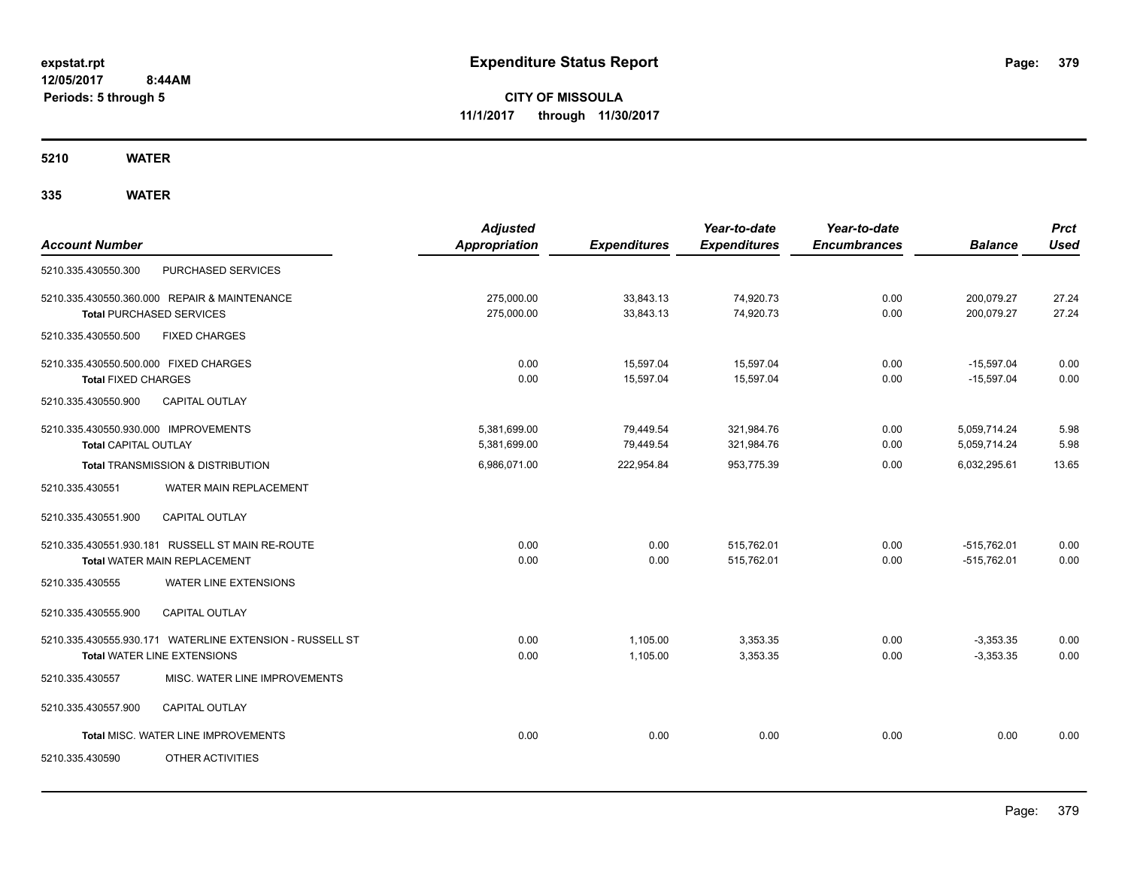**CITY OF MISSOULA 11/1/2017 through 11/30/2017**

**5210 WATER**

| <b>Account Number</b>                                               |                                                                                                | <b>Adjusted</b><br><b>Appropriation</b> | <b>Expenditures</b>    | Year-to-date<br><b>Expenditures</b> | Year-to-date<br><b>Encumbrances</b> | <b>Balance</b>                 | <b>Prct</b><br><b>Used</b> |
|---------------------------------------------------------------------|------------------------------------------------------------------------------------------------|-----------------------------------------|------------------------|-------------------------------------|-------------------------------------|--------------------------------|----------------------------|
| 5210.335.430550.300                                                 | PURCHASED SERVICES                                                                             |                                         |                        |                                     |                                     |                                |                            |
| <b>Total PURCHASED SERVICES</b>                                     | 5210.335.430550.360.000 REPAIR & MAINTENANCE                                                   | 275,000.00<br>275,000.00                | 33,843.13<br>33,843.13 | 74,920.73<br>74,920.73              | 0.00<br>0.00                        | 200,079.27<br>200,079.27       | 27.24<br>27.24             |
| 5210.335.430550.500                                                 | <b>FIXED CHARGES</b>                                                                           |                                         |                        |                                     |                                     |                                |                            |
| 5210.335.430550.500.000 FIXED CHARGES<br><b>Total FIXED CHARGES</b> |                                                                                                | 0.00<br>0.00                            | 15,597.04<br>15,597.04 | 15,597.04<br>15,597.04              | 0.00<br>0.00                        | $-15,597.04$<br>$-15.597.04$   | 0.00<br>0.00               |
| 5210.335.430550.900                                                 | <b>CAPITAL OUTLAY</b>                                                                          |                                         |                        |                                     |                                     |                                |                            |
| 5210.335.430550.930.000 IMPROVEMENTS<br><b>Total CAPITAL OUTLAY</b> |                                                                                                | 5,381,699.00<br>5,381,699.00            | 79,449.54<br>79,449.54 | 321,984.76<br>321,984.76            | 0.00<br>0.00                        | 5,059,714.24<br>5,059,714.24   | 5.98<br>5.98               |
|                                                                     | <b>Total TRANSMISSION &amp; DISTRIBUTION</b>                                                   | 6,986,071.00                            | 222,954.84             | 953,775.39                          | 0.00                                | 6,032,295.61                   | 13.65                      |
| 5210.335.430551                                                     | WATER MAIN REPLACEMENT                                                                         |                                         |                        |                                     |                                     |                                |                            |
| 5210.335.430551.900                                                 | CAPITAL OUTLAY                                                                                 |                                         |                        |                                     |                                     |                                |                            |
|                                                                     | 5210.335.430551.930.181 RUSSELL ST MAIN RE-ROUTE<br>Total WATER MAIN REPLACEMENT               | 0.00<br>0.00                            | 0.00<br>0.00           | 515,762.01<br>515,762.01            | 0.00<br>0.00                        | $-515.762.01$<br>$-515,762.01$ | 0.00<br>0.00               |
| 5210.335.430555                                                     | WATER LINE EXTENSIONS                                                                          |                                         |                        |                                     |                                     |                                |                            |
| 5210.335.430555.900                                                 | <b>CAPITAL OUTLAY</b>                                                                          |                                         |                        |                                     |                                     |                                |                            |
|                                                                     | 5210.335.430555.930.171 WATERLINE EXTENSION - RUSSELL ST<br><b>Total WATER LINE EXTENSIONS</b> | 0.00<br>0.00                            | 1,105.00<br>1,105.00   | 3,353.35<br>3,353.35                | 0.00<br>0.00                        | $-3,353.35$<br>$-3,353.35$     | 0.00<br>0.00               |
| 5210.335.430557                                                     | MISC. WATER LINE IMPROVEMENTS                                                                  |                                         |                        |                                     |                                     |                                |                            |
| 5210.335.430557.900                                                 | CAPITAL OUTLAY                                                                                 |                                         |                        |                                     |                                     |                                |                            |
|                                                                     | Total MISC. WATER LINE IMPROVEMENTS                                                            | 0.00                                    | 0.00                   | 0.00                                | 0.00                                | 0.00                           | 0.00                       |
| 5210.335.430590                                                     | OTHER ACTIVITIES                                                                               |                                         |                        |                                     |                                     |                                |                            |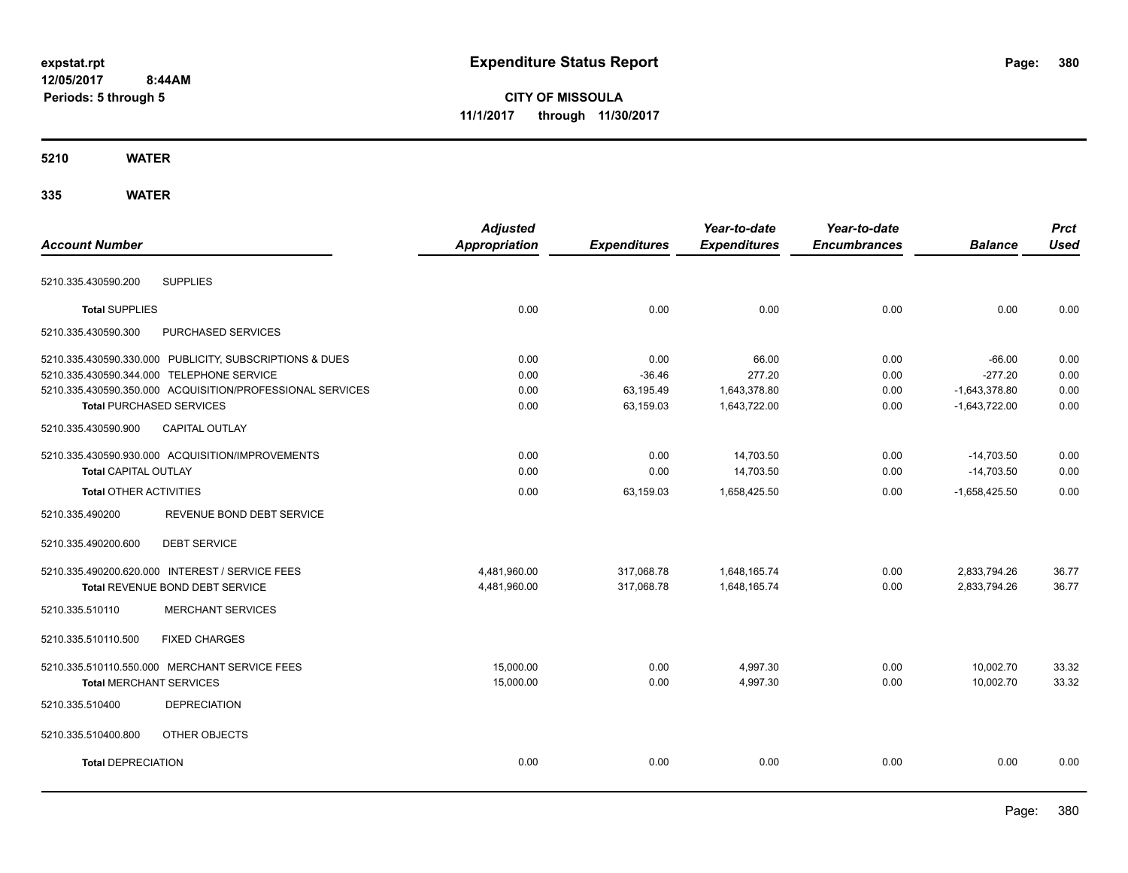# **CITY OF MISSOULA 11/1/2017 through 11/30/2017**

#### **5210 WATER**

|                                                           | <b>Adjusted</b>      |                     | Year-to-date        | Year-to-date        |                 | <b>Prct</b> |
|-----------------------------------------------------------|----------------------|---------------------|---------------------|---------------------|-----------------|-------------|
| <b>Account Number</b>                                     | <b>Appropriation</b> | <b>Expenditures</b> | <b>Expenditures</b> | <b>Encumbrances</b> | <b>Balance</b>  | <b>Used</b> |
| <b>SUPPLIES</b><br>5210.335.430590.200                    |                      |                     |                     |                     |                 |             |
| <b>Total SUPPLIES</b>                                     | 0.00                 | 0.00                | 0.00                | 0.00                | 0.00            | 0.00        |
| 5210.335.430590.300<br>PURCHASED SERVICES                 |                      |                     |                     |                     |                 |             |
| 5210.335.430590.330.000 PUBLICITY, SUBSCRIPTIONS & DUES   | 0.00                 | 0.00                | 66.00               | 0.00                | $-66.00$        | 0.00        |
| 5210.335.430590.344.000 TELEPHONE SERVICE                 | 0.00                 | $-36.46$            | 277.20              | 0.00                | $-277.20$       | 0.00        |
| 5210.335.430590.350.000 ACQUISITION/PROFESSIONAL SERVICES | 0.00                 | 63,195.49           | 1,643,378.80        | 0.00                | $-1,643,378.80$ | 0.00        |
| <b>Total PURCHASED SERVICES</b>                           | 0.00                 | 63,159.03           | 1,643,722.00        | 0.00                | $-1,643,722.00$ | 0.00        |
| CAPITAL OUTLAY<br>5210.335.430590.900                     |                      |                     |                     |                     |                 |             |
| 5210.335.430590.930.000 ACQUISITION/IMPROVEMENTS          | 0.00                 | 0.00                | 14,703.50           | 0.00                | $-14,703.50$    | 0.00        |
| <b>Total CAPITAL OUTLAY</b>                               | 0.00                 | 0.00                | 14,703.50           | 0.00                | $-14,703.50$    | 0.00        |
| <b>Total OTHER ACTIVITIES</b>                             | 0.00                 | 63,159.03           | 1,658,425.50        | 0.00                | $-1,658,425.50$ | 0.00        |
| REVENUE BOND DEBT SERVICE<br>5210.335.490200              |                      |                     |                     |                     |                 |             |
| 5210.335.490200.600<br><b>DEBT SERVICE</b>                |                      |                     |                     |                     |                 |             |
| 5210.335.490200.620.000 INTEREST / SERVICE FEES           | 4,481,960.00         | 317,068.78          | 1,648,165.74        | 0.00                | 2,833,794.26    | 36.77       |
| Total REVENUE BOND DEBT SERVICE                           | 4,481,960.00         | 317,068.78          | 1,648,165.74        | 0.00                | 2,833,794.26    | 36.77       |
| <b>MERCHANT SERVICES</b><br>5210.335.510110               |                      |                     |                     |                     |                 |             |
| <b>FIXED CHARGES</b><br>5210.335.510110.500               |                      |                     |                     |                     |                 |             |
| 5210.335.510110.550.000 MERCHANT SERVICE FEES             | 15,000.00            | 0.00                | 4,997.30            | 0.00                | 10.002.70       | 33.32       |
| <b>Total MERCHANT SERVICES</b>                            | 15,000.00            | 0.00                | 4,997.30            | 0.00                | 10,002.70       | 33.32       |
| 5210.335.510400<br><b>DEPRECIATION</b>                    |                      |                     |                     |                     |                 |             |
| 5210.335.510400.800<br>OTHER OBJECTS                      |                      |                     |                     |                     |                 |             |
| <b>Total DEPRECIATION</b>                                 | 0.00                 | 0.00                | 0.00                | 0.00                | 0.00            | 0.00        |
|                                                           |                      |                     |                     |                     |                 |             |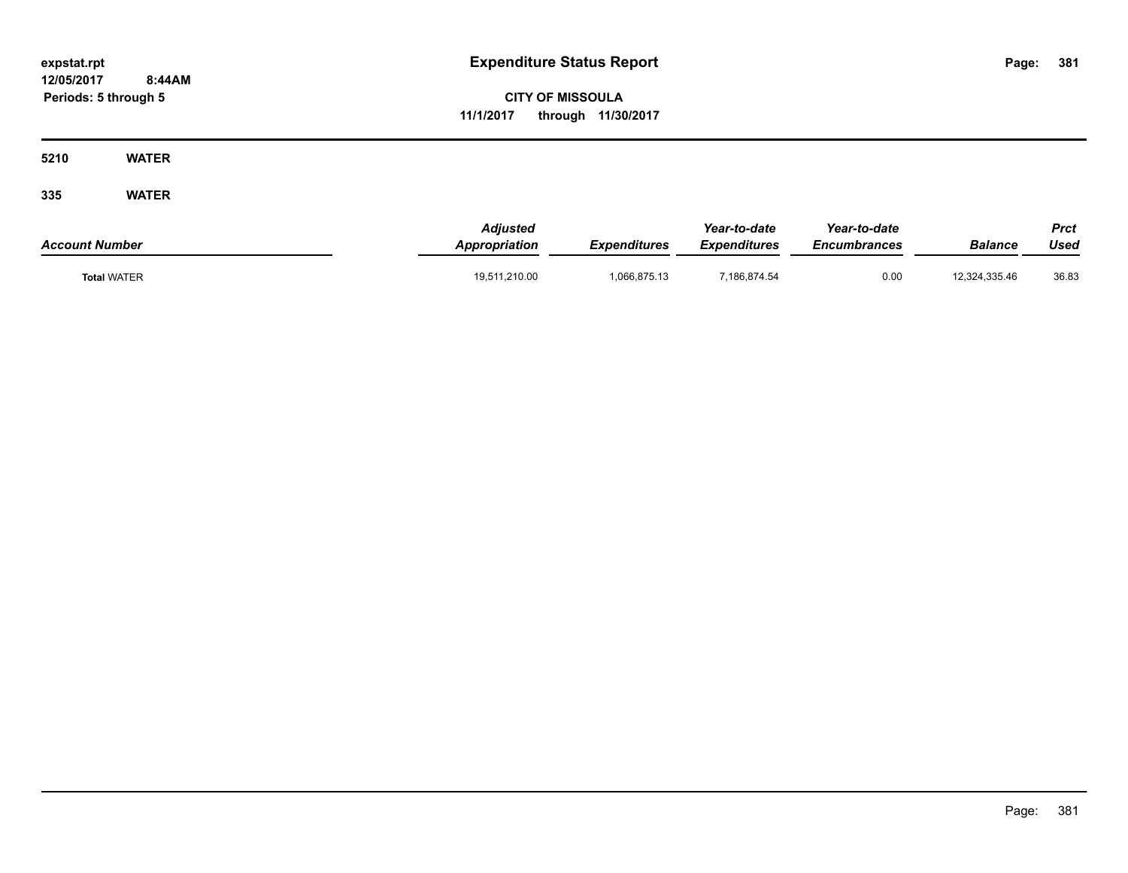**CITY OF MISSOULA 11/1/2017 through 11/30/2017**

**5210 WATER**

| <b>Account Number</b> | <b>Adjusted</b><br><b>Appropriation</b> | Expenditures | Year-to-date<br><b>Expenditures</b> | Year-to-date<br><b>Encumbrances</b> | Balance       | Prct<br>Used |
|-----------------------|-----------------------------------------|--------------|-------------------------------------|-------------------------------------|---------------|--------------|
| <b>Total WATER</b>    | 19,511,210.00                           | 066,875.13   | 7,186,874.54                        | 0.00                                | 12,324,335.46 | 36.83        |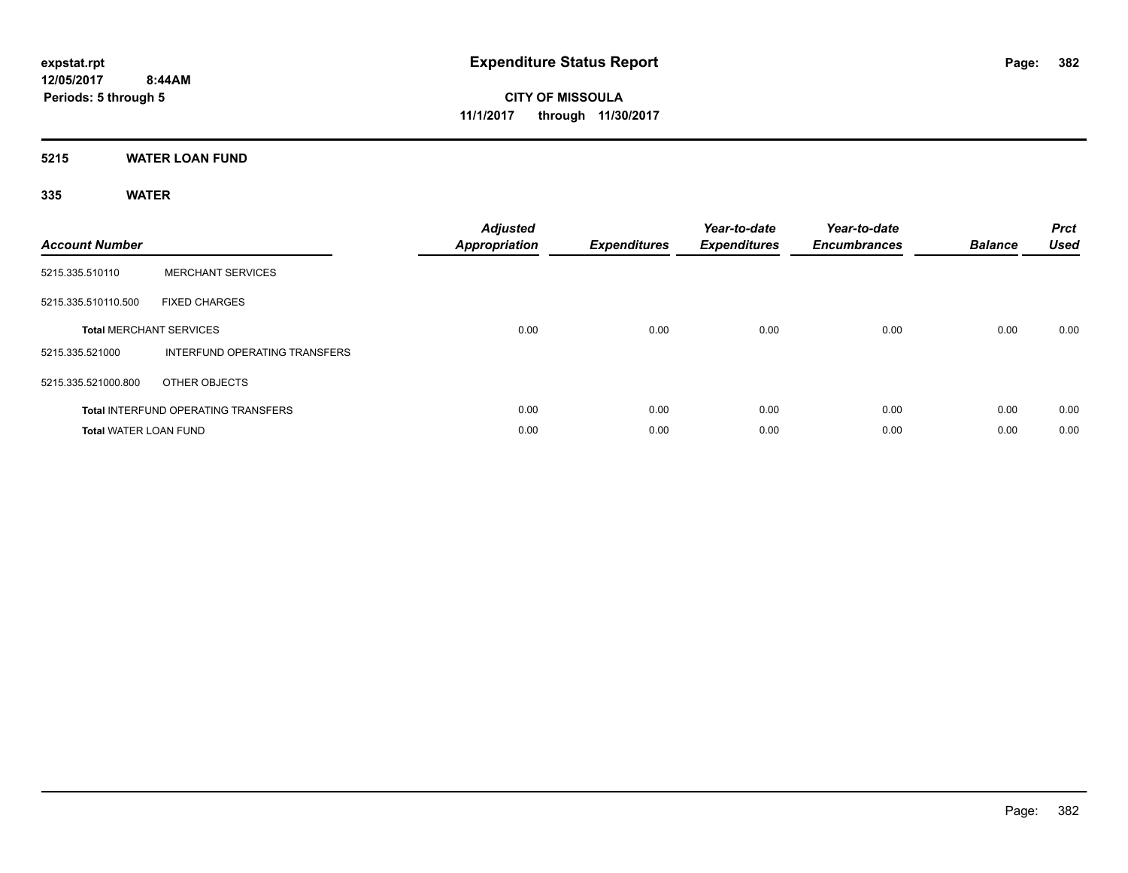**5215 WATER LOAN FUND**

| <b>Account Number</b>        |                                            | <b>Adjusted</b><br><b>Appropriation</b> | <b>Expenditures</b> | Year-to-date<br><b>Expenditures</b> | Year-to-date<br><b>Encumbrances</b> | <b>Balance</b> | <b>Prct</b><br><b>Used</b> |
|------------------------------|--------------------------------------------|-----------------------------------------|---------------------|-------------------------------------|-------------------------------------|----------------|----------------------------|
| 5215.335.510110              | <b>MERCHANT SERVICES</b>                   |                                         |                     |                                     |                                     |                |                            |
| 5215.335.510110.500          | <b>FIXED CHARGES</b>                       |                                         |                     |                                     |                                     |                |                            |
|                              | <b>Total MERCHANT SERVICES</b>             | 0.00                                    | 0.00                | 0.00                                | 0.00                                | 0.00           | 0.00                       |
| 5215.335.521000              | INTERFUND OPERATING TRANSFERS              |                                         |                     |                                     |                                     |                |                            |
| 5215.335.521000.800          | OTHER OBJECTS                              |                                         |                     |                                     |                                     |                |                            |
|                              | <b>Total INTERFUND OPERATING TRANSFERS</b> | 0.00                                    | 0.00                | 0.00                                | 0.00                                | 0.00           | 0.00                       |
| <b>Total WATER LOAN FUND</b> |                                            | 0.00                                    | 0.00                | 0.00                                | 0.00                                | 0.00           | 0.00                       |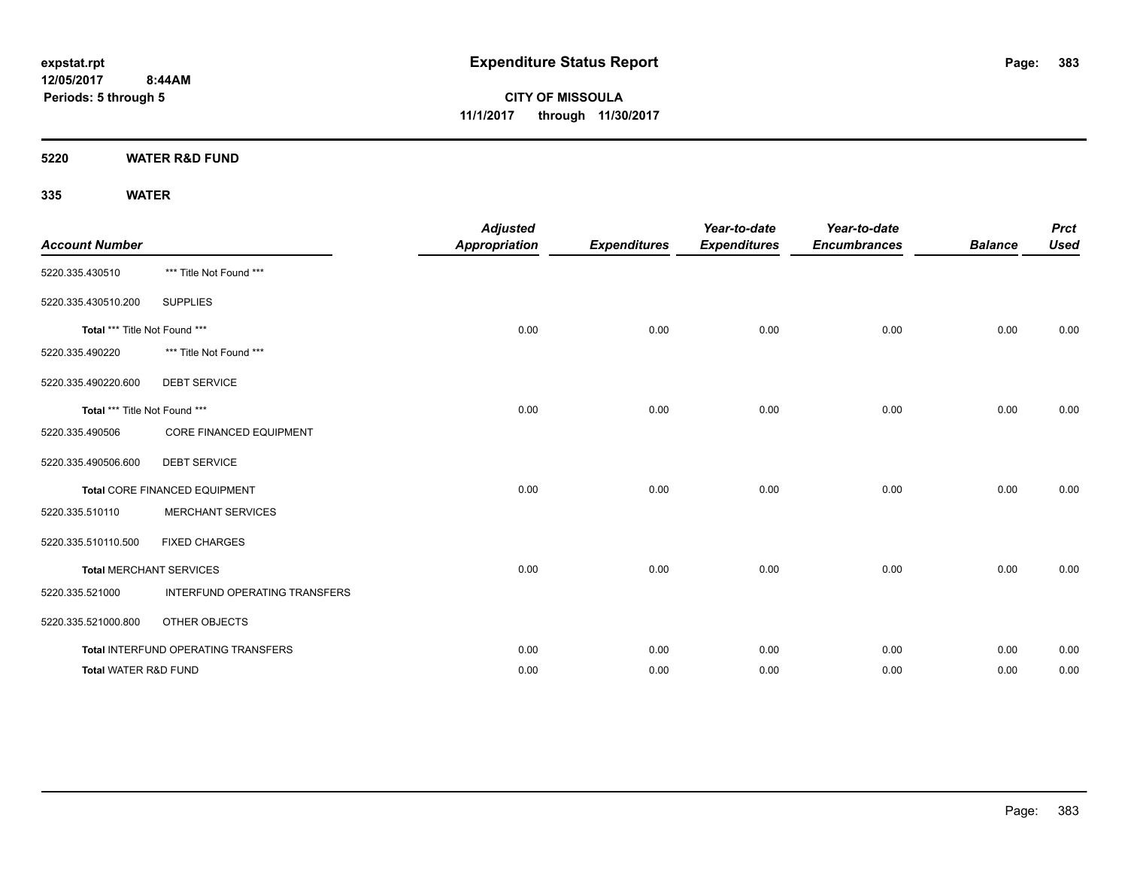**5220 WATER R&D FUND**

 **8:44AM**

**335 WATER**

**Periods: 5 through 5**

| <b>Account Number</b>           |                                     | <b>Adjusted</b><br><b>Appropriation</b> | <b>Expenditures</b> | Year-to-date<br><b>Expenditures</b> | Year-to-date<br><b>Encumbrances</b> | <b>Balance</b> | <b>Prct</b><br><b>Used</b> |
|---------------------------------|-------------------------------------|-----------------------------------------|---------------------|-------------------------------------|-------------------------------------|----------------|----------------------------|
| 5220.335.430510                 | *** Title Not Found ***             |                                         |                     |                                     |                                     |                |                            |
| 5220.335.430510.200             | <b>SUPPLIES</b>                     |                                         |                     |                                     |                                     |                |                            |
| Total *** Title Not Found ***   |                                     | 0.00                                    | 0.00                | 0.00                                | 0.00                                | 0.00           | 0.00                       |
| 5220.335.490220                 | *** Title Not Found ***             |                                         |                     |                                     |                                     |                |                            |
| 5220.335.490220.600             | <b>DEBT SERVICE</b>                 |                                         |                     |                                     |                                     |                |                            |
| Total *** Title Not Found ***   |                                     | 0.00                                    | 0.00                | 0.00                                | 0.00                                | 0.00           | 0.00                       |
| 5220.335.490506                 | CORE FINANCED EQUIPMENT             |                                         |                     |                                     |                                     |                |                            |
| 5220.335.490506.600             | <b>DEBT SERVICE</b>                 |                                         |                     |                                     |                                     |                |                            |
|                                 | Total CORE FINANCED EQUIPMENT       | 0.00                                    | 0.00                | 0.00                                | 0.00                                | 0.00           | 0.00                       |
| 5220.335.510110                 | <b>MERCHANT SERVICES</b>            |                                         |                     |                                     |                                     |                |                            |
| 5220.335.510110.500             | <b>FIXED CHARGES</b>                |                                         |                     |                                     |                                     |                |                            |
|                                 | <b>Total MERCHANT SERVICES</b>      | 0.00                                    | 0.00                | 0.00                                | 0.00                                | 0.00           | 0.00                       |
| 5220.335.521000                 | INTERFUND OPERATING TRANSFERS       |                                         |                     |                                     |                                     |                |                            |
| 5220.335.521000.800             | OTHER OBJECTS                       |                                         |                     |                                     |                                     |                |                            |
|                                 | Total INTERFUND OPERATING TRANSFERS | 0.00                                    | 0.00                | 0.00                                | 0.00                                | 0.00           | 0.00                       |
| <b>Total WATER R&amp;D FUND</b> |                                     | 0.00                                    | 0.00                | 0.00                                | 0.00                                | 0.00           | 0.00                       |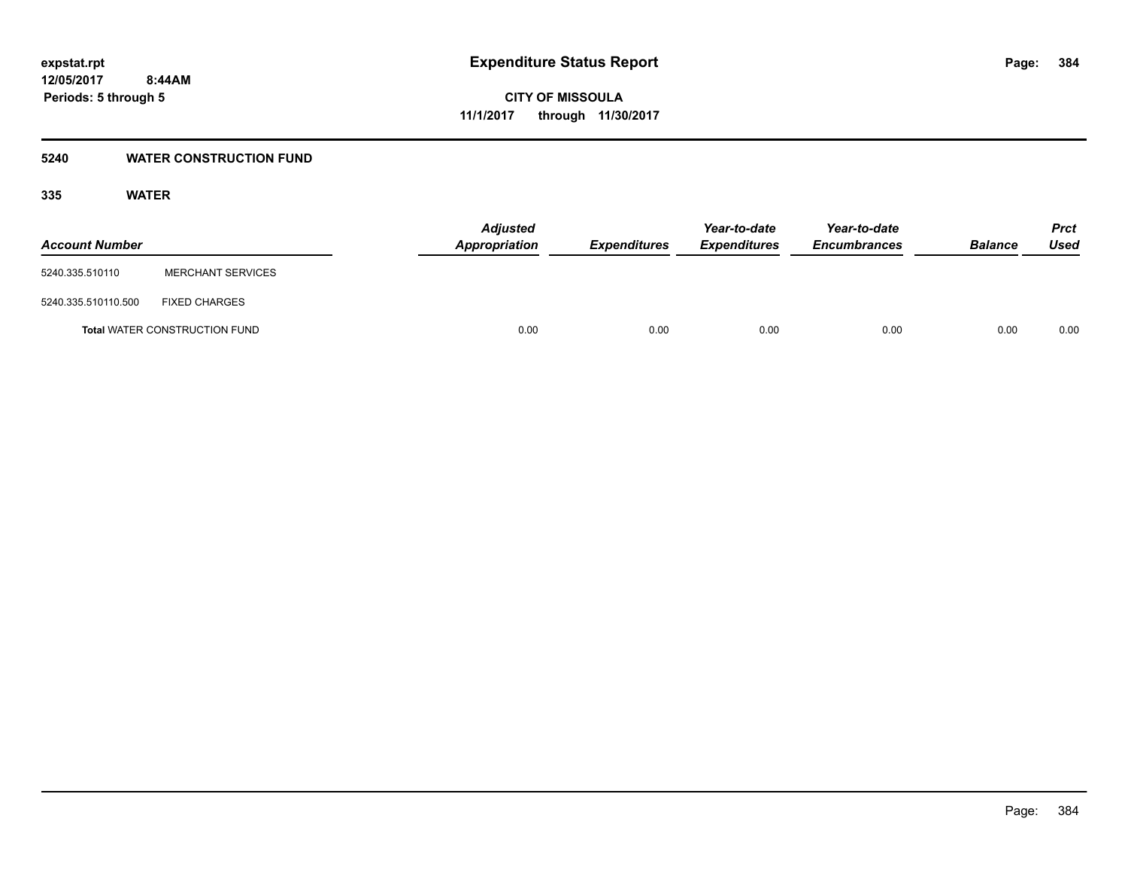#### **5240 WATER CONSTRUCTION FUND**

| <b>Account Number</b> |                                      | <b>Adjusted</b><br><b>Appropriation</b> | <b>Expenditures</b> | Year-to-date<br><b>Expenditures</b> | Year-to-date<br><b>Encumbrances</b> | <b>Balance</b> | <b>Prct</b><br>Used |
|-----------------------|--------------------------------------|-----------------------------------------|---------------------|-------------------------------------|-------------------------------------|----------------|---------------------|
| 5240.335.510110       | <b>MERCHANT SERVICES</b>             |                                         |                     |                                     |                                     |                |                     |
| 5240.335.510110.500   | <b>FIXED CHARGES</b>                 |                                         |                     |                                     |                                     |                |                     |
|                       | <b>Total WATER CONSTRUCTION FUND</b> | 0.00                                    | 0.00                | 0.00                                | 0.00                                | 0.00           | 0.00                |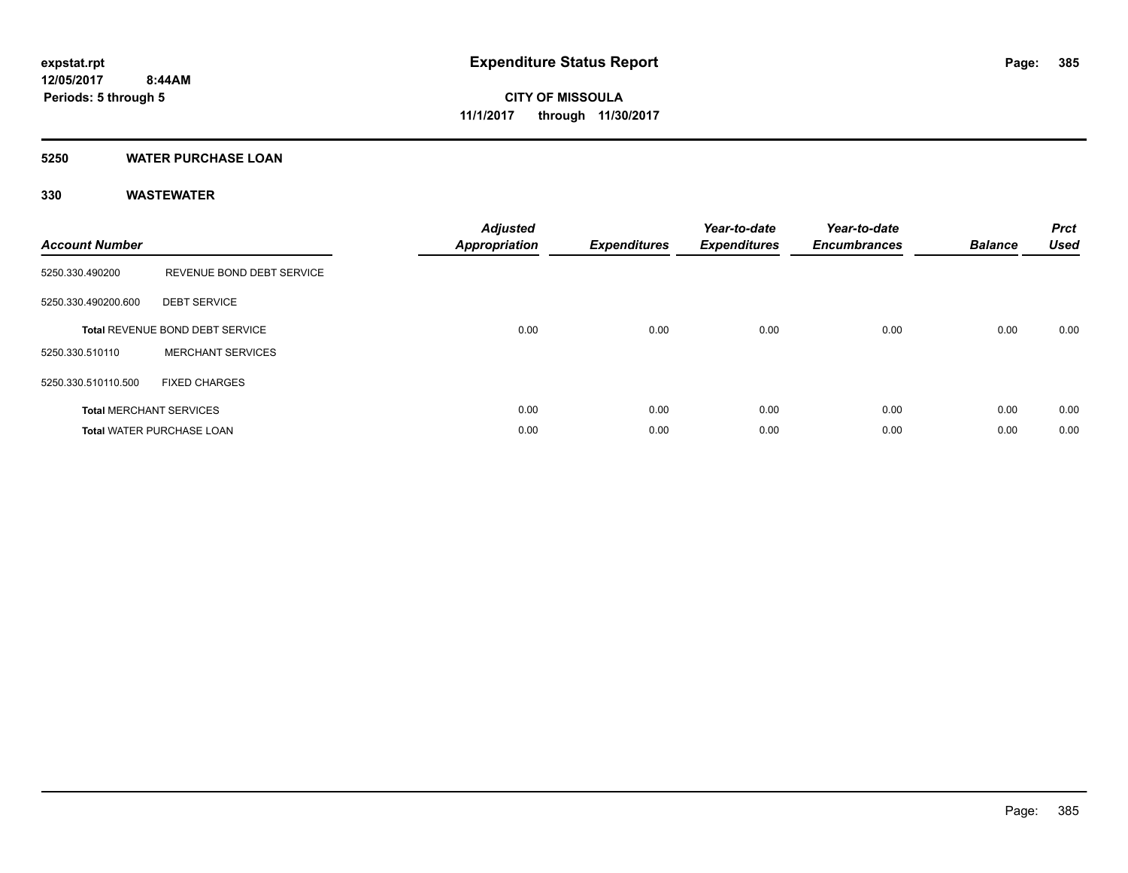#### **5250 WATER PURCHASE LOAN**

| <b>Account Number</b> |                                  | <b>Adjusted</b><br>Appropriation | <b>Expenditures</b> | Year-to-date<br><b>Expenditures</b> | Year-to-date<br><b>Encumbrances</b> | <b>Balance</b> | <b>Prct</b><br><b>Used</b> |
|-----------------------|----------------------------------|----------------------------------|---------------------|-------------------------------------|-------------------------------------|----------------|----------------------------|
| 5250.330.490200       | REVENUE BOND DEBT SERVICE        |                                  |                     |                                     |                                     |                |                            |
| 5250.330.490200.600   | <b>DEBT SERVICE</b>              |                                  |                     |                                     |                                     |                |                            |
|                       | Total REVENUE BOND DEBT SERVICE  | 0.00                             | 0.00                | 0.00                                | 0.00                                | 0.00           | 0.00                       |
| 5250.330.510110       | <b>MERCHANT SERVICES</b>         |                                  |                     |                                     |                                     |                |                            |
| 5250.330.510110.500   | <b>FIXED CHARGES</b>             |                                  |                     |                                     |                                     |                |                            |
|                       | <b>Total MERCHANT SERVICES</b>   | 0.00                             | 0.00                | 0.00                                | 0.00                                | 0.00           | 0.00                       |
|                       | <b>Total WATER PURCHASE LOAN</b> | 0.00                             | 0.00                | 0.00                                | 0.00                                | 0.00           | 0.00                       |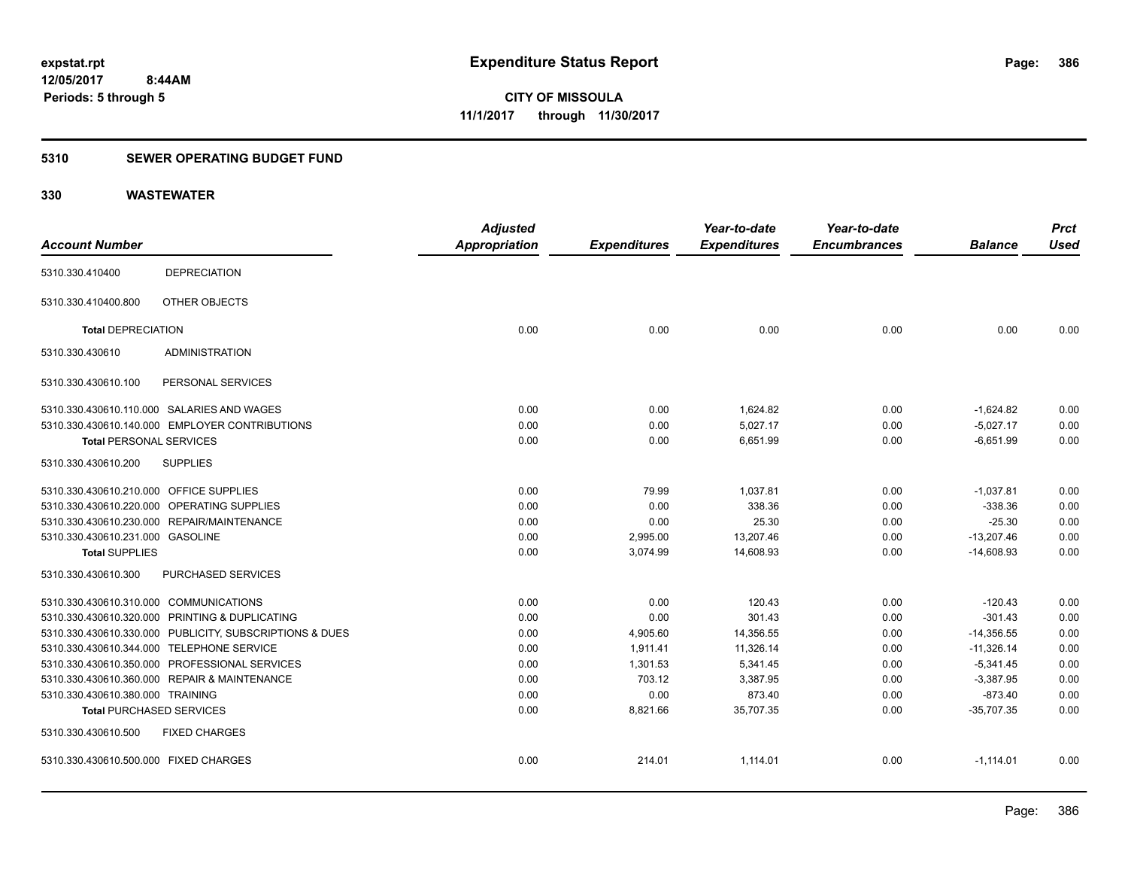### **5310 SEWER OPERATING BUDGET FUND**

| <b>Account Number</b>                   |                                                         | <b>Adjusted</b><br><b>Appropriation</b> | <b>Expenditures</b> | Year-to-date<br><b>Expenditures</b> | Year-to-date<br><b>Encumbrances</b> | <b>Balance</b> | <b>Prct</b><br><b>Used</b> |
|-----------------------------------------|---------------------------------------------------------|-----------------------------------------|---------------------|-------------------------------------|-------------------------------------|----------------|----------------------------|
| 5310.330.410400                         | <b>DEPRECIATION</b>                                     |                                         |                     |                                     |                                     |                |                            |
| 5310.330.410400.800                     | OTHER OBJECTS                                           |                                         |                     |                                     |                                     |                |                            |
| <b>Total DEPRECIATION</b>               |                                                         | 0.00                                    | 0.00                | 0.00                                | 0.00                                | 0.00           | 0.00                       |
| 5310.330.430610                         | <b>ADMINISTRATION</b>                                   |                                         |                     |                                     |                                     |                |                            |
| 5310.330.430610.100                     | PERSONAL SERVICES                                       |                                         |                     |                                     |                                     |                |                            |
|                                         | 5310.330.430610.110.000 SALARIES AND WAGES              | 0.00                                    | 0.00                | 1,624.82                            | 0.00                                | $-1,624.82$    | 0.00                       |
|                                         | 5310.330.430610.140.000 EMPLOYER CONTRIBUTIONS          | 0.00                                    | 0.00                | 5,027.17                            | 0.00                                | $-5,027.17$    | 0.00                       |
| <b>Total PERSONAL SERVICES</b>          |                                                         | 0.00                                    | 0.00                | 6,651.99                            | 0.00                                | $-6,651.99$    | 0.00                       |
| 5310.330.430610.200                     | <b>SUPPLIES</b>                                         |                                         |                     |                                     |                                     |                |                            |
| 5310.330.430610.210.000 OFFICE SUPPLIES |                                                         | 0.00                                    | 79.99               | 1,037.81                            | 0.00                                | $-1,037.81$    | 0.00                       |
|                                         | 5310.330.430610.220.000 OPERATING SUPPLIES              | 0.00                                    | 0.00                | 338.36                              | 0.00                                | $-338.36$      | 0.00                       |
|                                         | 5310.330.430610.230.000 REPAIR/MAINTENANCE              | 0.00                                    | 0.00                | 25.30                               | 0.00                                | $-25.30$       | 0.00                       |
| 5310.330.430610.231.000 GASOLINE        |                                                         | 0.00                                    | 2,995.00            | 13,207.46                           | 0.00                                | $-13,207.46$   | 0.00                       |
| <b>Total SUPPLIES</b>                   |                                                         | 0.00                                    | 3,074.99            | 14,608.93                           | 0.00                                | $-14,608.93$   | 0.00                       |
| 5310.330.430610.300                     | PURCHASED SERVICES                                      |                                         |                     |                                     |                                     |                |                            |
| 5310.330.430610.310.000 COMMUNICATIONS  |                                                         | 0.00                                    | 0.00                | 120.43                              | 0.00                                | $-120.43$      | 0.00                       |
|                                         | 5310.330.430610.320.000 PRINTING & DUPLICATING          | 0.00                                    | 0.00                | 301.43                              | 0.00                                | $-301.43$      | 0.00                       |
|                                         | 5310.330.430610.330.000 PUBLICITY, SUBSCRIPTIONS & DUES | 0.00                                    | 4,905.60            | 14,356.55                           | 0.00                                | $-14,356.55$   | 0.00                       |
|                                         | 5310.330.430610.344.000 TELEPHONE SERVICE               | 0.00                                    | 1.911.41            | 11,326.14                           | 0.00                                | $-11,326.14$   | 0.00                       |
|                                         | 5310.330.430610.350.000 PROFESSIONAL SERVICES           | 0.00                                    | 1,301.53            | 5,341.45                            | 0.00                                | $-5,341.45$    | 0.00                       |
|                                         | 5310.330.430610.360.000 REPAIR & MAINTENANCE            | 0.00                                    | 703.12              | 3,387.95                            | 0.00                                | $-3,387.95$    | 0.00                       |
| 5310.330.430610.380.000 TRAINING        |                                                         | 0.00                                    | 0.00                | 873.40                              | 0.00                                | $-873.40$      | 0.00                       |
| <b>Total PURCHASED SERVICES</b>         |                                                         | 0.00                                    | 8,821.66            | 35,707.35                           | 0.00                                | $-35,707.35$   | 0.00                       |
| 5310.330.430610.500                     | <b>FIXED CHARGES</b>                                    |                                         |                     |                                     |                                     |                |                            |
| 5310.330.430610.500.000 FIXED CHARGES   |                                                         | 0.00                                    | 214.01              | 1,114.01                            | 0.00                                | $-1,114.01$    | 0.00                       |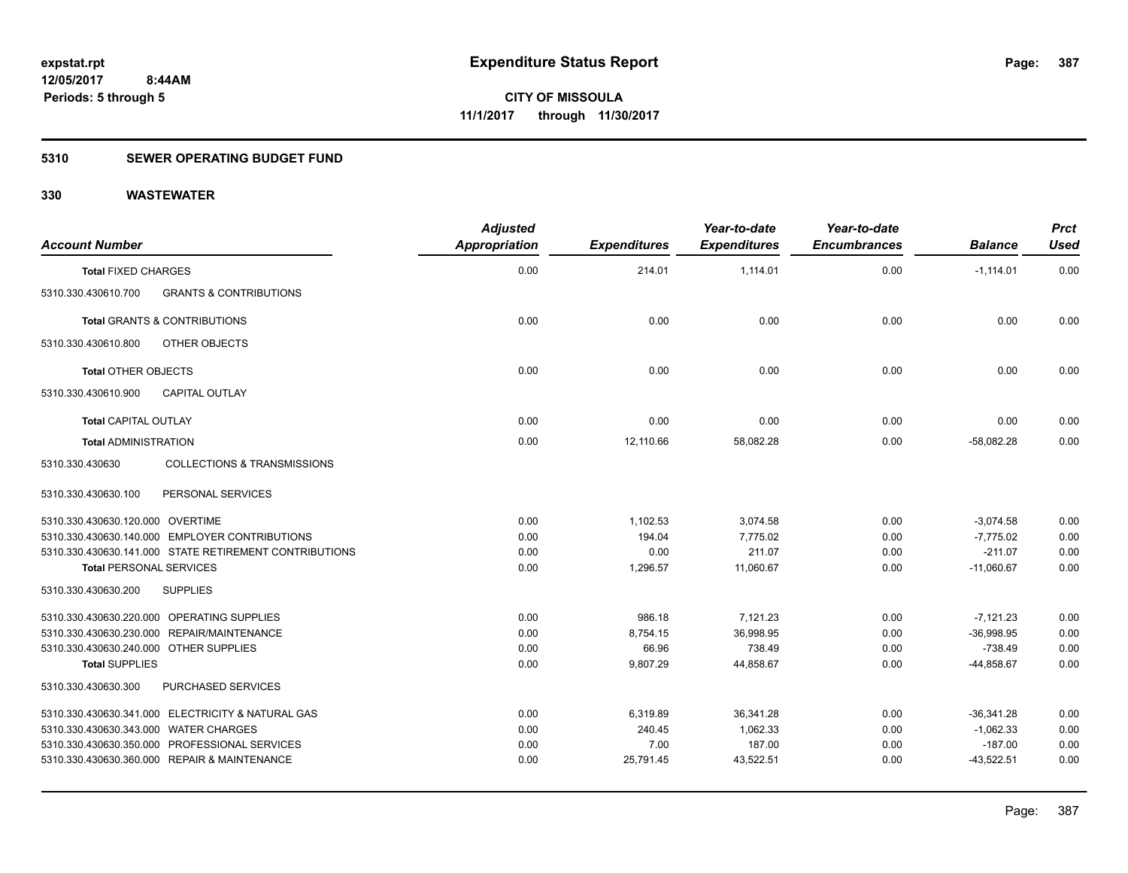### **5310 SEWER OPERATING BUDGET FUND**

| <b>Account Number</b>                  |                                                        | <b>Adjusted</b><br><b>Appropriation</b> | <b>Expenditures</b> | Year-to-date<br><b>Expenditures</b> | Year-to-date<br><b>Encumbrances</b> | <b>Balance</b> | <b>Prct</b><br><b>Used</b> |
|----------------------------------------|--------------------------------------------------------|-----------------------------------------|---------------------|-------------------------------------|-------------------------------------|----------------|----------------------------|
| <b>Total FIXED CHARGES</b>             |                                                        | 0.00                                    | 214.01              | 1,114.01                            | 0.00                                | $-1,114.01$    | 0.00                       |
| 5310.330.430610.700                    | <b>GRANTS &amp; CONTRIBUTIONS</b>                      |                                         |                     |                                     |                                     |                |                            |
|                                        | <b>Total GRANTS &amp; CONTRIBUTIONS</b>                | 0.00                                    | 0.00                | 0.00                                | 0.00                                | 0.00           | 0.00                       |
| 5310.330.430610.800                    | OTHER OBJECTS                                          |                                         |                     |                                     |                                     |                |                            |
| <b>Total OTHER OBJECTS</b>             |                                                        | 0.00                                    | 0.00                | 0.00                                | 0.00                                | 0.00           | 0.00                       |
| 5310.330.430610.900                    | <b>CAPITAL OUTLAY</b>                                  |                                         |                     |                                     |                                     |                |                            |
| <b>Total CAPITAL OUTLAY</b>            |                                                        | 0.00                                    | 0.00                | 0.00                                | 0.00                                | 0.00           | 0.00                       |
| <b>Total ADMINISTRATION</b>            |                                                        | 0.00                                    | 12,110.66           | 58,082.28                           | 0.00                                | $-58,082.28$   | 0.00                       |
| 5310.330.430630                        | <b>COLLECTIONS &amp; TRANSMISSIONS</b>                 |                                         |                     |                                     |                                     |                |                            |
| 5310.330.430630.100                    | PERSONAL SERVICES                                      |                                         |                     |                                     |                                     |                |                            |
| 5310.330.430630.120.000 OVERTIME       |                                                        | 0.00                                    | 1,102.53            | 3,074.58                            | 0.00                                | $-3,074.58$    | 0.00                       |
|                                        | 5310.330.430630.140.000 EMPLOYER CONTRIBUTIONS         | 0.00                                    | 194.04              | 7,775.02                            | 0.00                                | $-7,775.02$    | 0.00                       |
|                                        | 5310.330.430630.141.000 STATE RETIREMENT CONTRIBUTIONS | 0.00                                    | 0.00                | 211.07                              | 0.00                                | $-211.07$      | 0.00                       |
| <b>Total PERSONAL SERVICES</b>         |                                                        | 0.00                                    | 1,296.57            | 11,060.67                           | 0.00                                | $-11,060.67$   | 0.00                       |
| 5310.330.430630.200                    | <b>SUPPLIES</b>                                        |                                         |                     |                                     |                                     |                |                            |
|                                        | 5310.330.430630.220.000 OPERATING SUPPLIES             | 0.00                                    | 986.18              | 7,121.23                            | 0.00                                | $-7,121.23$    | 0.00                       |
|                                        | 5310.330.430630.230.000 REPAIR/MAINTENANCE             | 0.00                                    | 8,754.15            | 36,998.95                           | 0.00                                | $-36,998.95$   | 0.00                       |
| 5310.330.430630.240.000 OTHER SUPPLIES |                                                        | 0.00                                    | 66.96               | 738.49                              | 0.00                                | $-738.49$      | 0.00                       |
| <b>Total SUPPLIES</b>                  |                                                        | 0.00                                    | 9.807.29            | 44.858.67                           | 0.00                                | $-44.858.67$   | 0.00                       |
| 5310.330.430630.300                    | PURCHASED SERVICES                                     |                                         |                     |                                     |                                     |                |                            |
|                                        | 5310.330.430630.341.000 ELECTRICITY & NATURAL GAS      | 0.00                                    | 6,319.89            | 36,341.28                           | 0.00                                | $-36,341.28$   | 0.00                       |
| 5310.330.430630.343.000 WATER CHARGES  |                                                        | 0.00                                    | 240.45              | 1,062.33                            | 0.00                                | $-1,062.33$    | 0.00                       |
|                                        | 5310.330.430630.350.000 PROFESSIONAL SERVICES          | 0.00                                    | 7.00                | 187.00                              | 0.00                                | $-187.00$      | 0.00                       |
|                                        | 5310.330.430630.360.000 REPAIR & MAINTENANCE           | 0.00                                    | 25,791.45           | 43,522.51                           | 0.00                                | $-43,522.51$   | 0.00                       |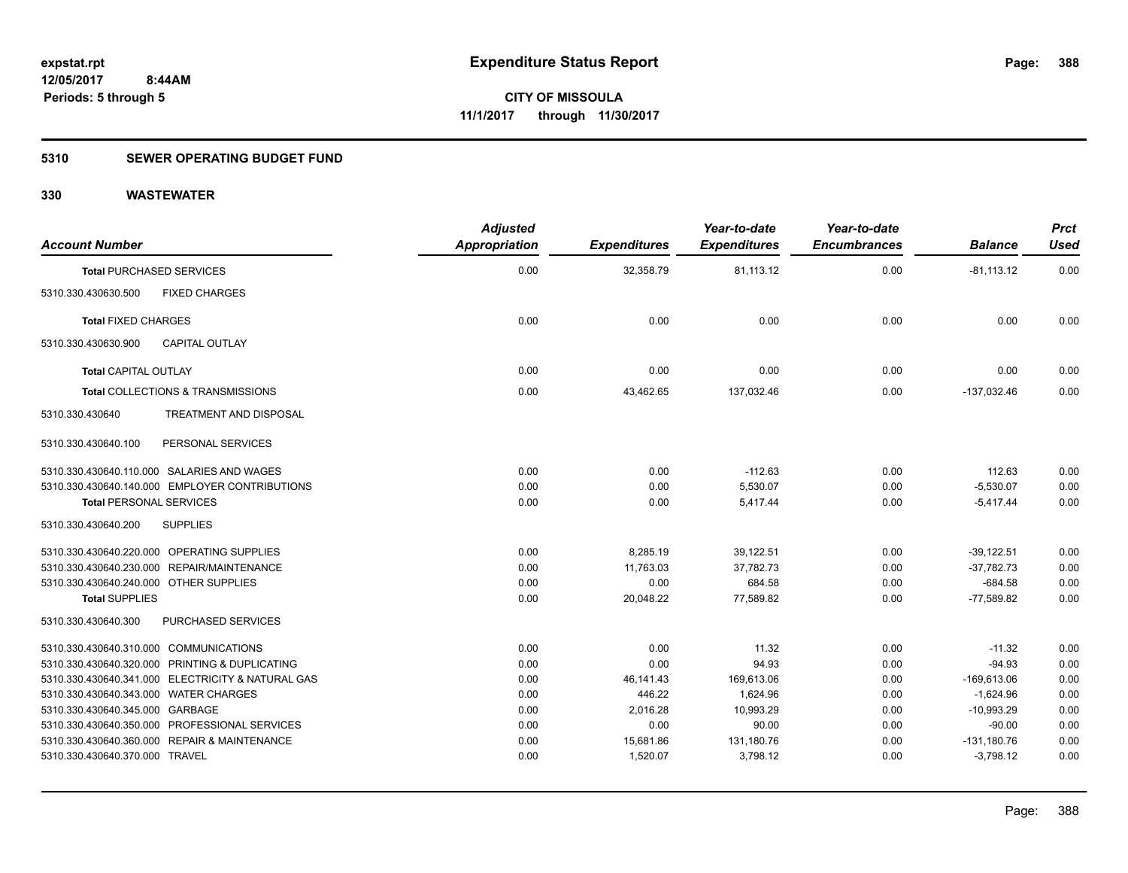### **5310 SEWER OPERATING BUDGET FUND**

| <b>Account Number</b>                             | <b>Adjusted</b><br>Appropriation | <b>Expenditures</b> | Year-to-date<br><b>Expenditures</b> | Year-to-date<br><b>Encumbrances</b> | <b>Balance</b> | <b>Prct</b><br><b>Used</b> |
|---------------------------------------------------|----------------------------------|---------------------|-------------------------------------|-------------------------------------|----------------|----------------------------|
| <b>Total PURCHASED SERVICES</b>                   | 0.00                             | 32,358.79           | 81,113.12                           | 0.00                                | $-81,113.12$   | 0.00                       |
| 5310.330.430630.500<br><b>FIXED CHARGES</b>       |                                  |                     |                                     |                                     |                |                            |
| <b>Total FIXED CHARGES</b>                        | 0.00                             | 0.00                | 0.00                                | 0.00                                | 0.00           | 0.00                       |
| 5310.330.430630.900<br><b>CAPITAL OUTLAY</b>      |                                  |                     |                                     |                                     |                |                            |
| <b>Total CAPITAL OUTLAY</b>                       | 0.00                             | 0.00                | 0.00                                | 0.00                                | 0.00           | 0.00                       |
| Total COLLECTIONS & TRANSMISSIONS                 | 0.00                             | 43,462.65           | 137,032.46                          | 0.00                                | $-137,032.46$  | 0.00                       |
| 5310.330.430640<br>TREATMENT AND DISPOSAL         |                                  |                     |                                     |                                     |                |                            |
| PERSONAL SERVICES<br>5310.330.430640.100          |                                  |                     |                                     |                                     |                |                            |
| 5310.330.430640.110.000 SALARIES AND WAGES        | 0.00                             | 0.00                | $-112.63$                           | 0.00                                | 112.63         | 0.00                       |
| 5310.330.430640.140.000 EMPLOYER CONTRIBUTIONS    | 0.00                             | 0.00                | 5,530.07                            | 0.00                                | $-5,530.07$    | 0.00                       |
| <b>Total PERSONAL SERVICES</b>                    | 0.00                             | 0.00                | 5,417.44                            | 0.00                                | $-5,417.44$    | 0.00                       |
| 5310.330.430640.200<br><b>SUPPLIES</b>            |                                  |                     |                                     |                                     |                |                            |
| 5310.330.430640.220.000 OPERATING SUPPLIES        | 0.00                             | 8,285.19            | 39,122.51                           | 0.00                                | $-39,122.51$   | 0.00                       |
| 5310.330.430640.230.000 REPAIR/MAINTENANCE        | 0.00                             | 11,763.03           | 37,782.73                           | 0.00                                | $-37,782.73$   | 0.00                       |
| 5310.330.430640.240.000 OTHER SUPPLIES            | 0.00                             | 0.00                | 684.58                              | 0.00                                | $-684.58$      | 0.00                       |
| <b>Total SUPPLIES</b>                             | 0.00                             | 20,048.22           | 77,589.82                           | 0.00                                | $-77,589.82$   | 0.00                       |
| 5310.330.430640.300<br>PURCHASED SERVICES         |                                  |                     |                                     |                                     |                |                            |
| 5310.330.430640.310.000 COMMUNICATIONS            | 0.00                             | 0.00                | 11.32                               | 0.00                                | $-11.32$       | 0.00                       |
| 5310.330.430640.320.000 PRINTING & DUPLICATING    | 0.00                             | 0.00                | 94.93                               | 0.00                                | $-94.93$       | 0.00                       |
| 5310.330.430640.341.000 ELECTRICITY & NATURAL GAS | 0.00                             | 46,141.43           | 169,613.06                          | 0.00                                | $-169,613.06$  | 0.00                       |
| 5310.330.430640.343.000 WATER CHARGES             | 0.00                             | 446.22              | 1,624.96                            | 0.00                                | $-1,624.96$    | 0.00                       |
| 5310.330.430640.345.000 GARBAGE                   | 0.00                             | 2,016.28            | 10,993.29                           | 0.00                                | $-10,993.29$   | 0.00                       |
| 5310.330.430640.350.000 PROFESSIONAL SERVICES     | 0.00                             | 0.00                | 90.00                               | 0.00                                | $-90.00$       | 0.00                       |
| 5310.330.430640.360.000 REPAIR & MAINTENANCE      | 0.00                             | 15,681.86           | 131,180.76                          | 0.00                                | $-131,180.76$  | 0.00                       |
| 5310.330.430640.370.000 TRAVEL                    | 0.00                             | 1,520.07            | 3,798.12                            | 0.00                                | $-3,798.12$    | 0.00                       |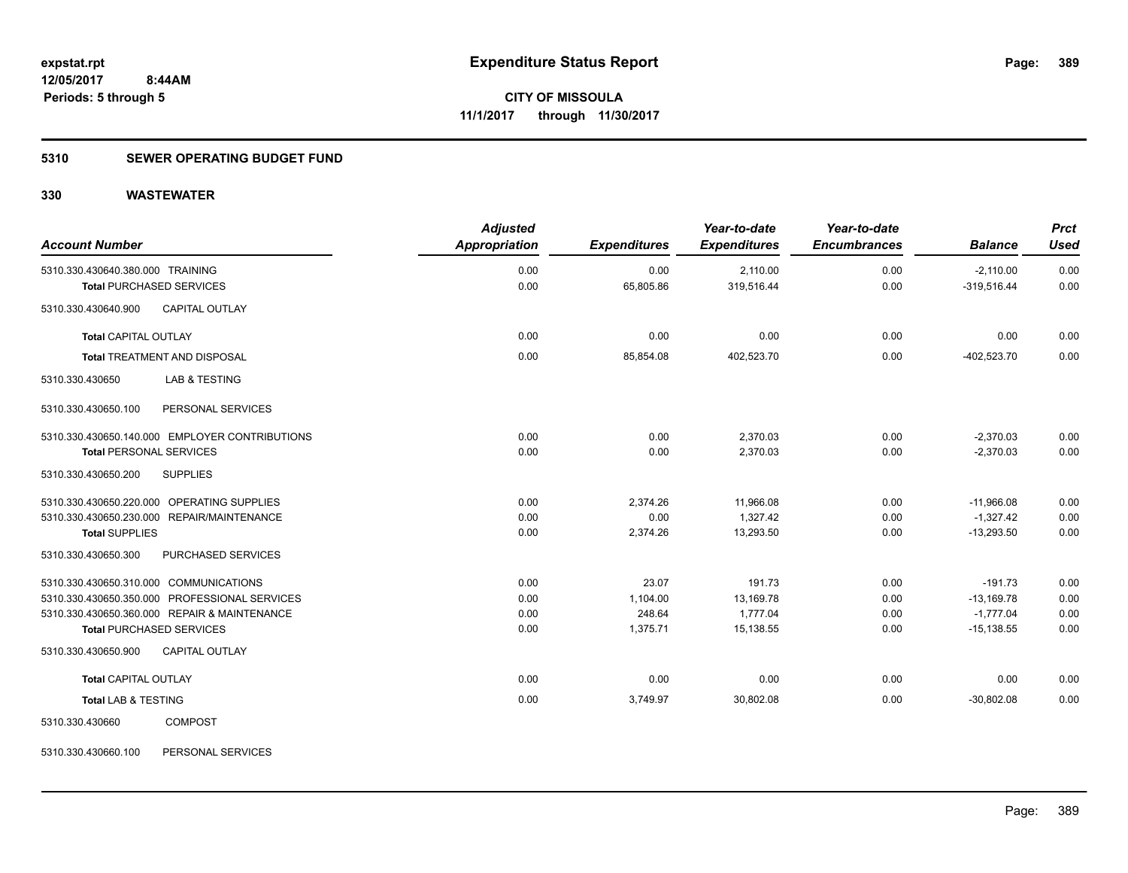#### **5310 SEWER OPERATING BUDGET FUND**

#### **330 WASTEWATER**

| <b>Account Number</b>                                               |                                                | <b>Adjusted</b><br><b>Appropriation</b> | <b>Expenditures</b> | Year-to-date<br><b>Expenditures</b> | Year-to-date<br><b>Encumbrances</b> | <b>Balance</b>               | <b>Prct</b><br><b>Used</b> |
|---------------------------------------------------------------------|------------------------------------------------|-----------------------------------------|---------------------|-------------------------------------|-------------------------------------|------------------------------|----------------------------|
| 5310.330.430640.380.000 TRAINING<br><b>Total PURCHASED SERVICES</b> |                                                | 0.00<br>0.00                            | 0.00<br>65,805.86   | 2,110.00<br>319,516.44              | 0.00<br>0.00                        | $-2,110.00$<br>$-319,516.44$ | 0.00<br>0.00               |
|                                                                     |                                                |                                         |                     |                                     |                                     |                              |                            |
| 5310.330.430640.900                                                 | <b>CAPITAL OUTLAY</b>                          |                                         |                     |                                     |                                     |                              |                            |
| <b>Total CAPITAL OUTLAY</b>                                         |                                                | 0.00                                    | 0.00                | 0.00                                | 0.00                                | 0.00                         | 0.00                       |
|                                                                     | <b>Total TREATMENT AND DISPOSAL</b>            | 0.00                                    | 85,854.08           | 402,523.70                          | 0.00                                | $-402,523.70$                | 0.00                       |
| 5310.330.430650                                                     | <b>LAB &amp; TESTING</b>                       |                                         |                     |                                     |                                     |                              |                            |
| 5310.330.430650.100                                                 | PERSONAL SERVICES                              |                                         |                     |                                     |                                     |                              |                            |
|                                                                     | 5310.330.430650.140.000 EMPLOYER CONTRIBUTIONS | 0.00                                    | 0.00                | 2,370.03                            | 0.00                                | $-2,370.03$                  | 0.00                       |
| <b>Total PERSONAL SERVICES</b>                                      |                                                | 0.00                                    | 0.00                | 2,370.03                            | 0.00                                | $-2,370.03$                  | 0.00                       |
| 5310.330.430650.200                                                 | <b>SUPPLIES</b>                                |                                         |                     |                                     |                                     |                              |                            |
|                                                                     | 5310.330.430650.220.000 OPERATING SUPPLIES     | 0.00                                    | 2,374.26            | 11,966.08                           | 0.00                                | $-11,966.08$                 | 0.00                       |
|                                                                     | 5310.330.430650.230.000 REPAIR/MAINTENANCE     | 0.00                                    | 0.00                | 1,327.42                            | 0.00                                | $-1,327.42$                  | 0.00                       |
| <b>Total SUPPLIES</b>                                               |                                                | 0.00                                    | 2,374.26            | 13,293.50                           | 0.00                                | $-13,293.50$                 | 0.00                       |
| 5310.330.430650.300                                                 | PURCHASED SERVICES                             |                                         |                     |                                     |                                     |                              |                            |
| 5310.330.430650.310.000 COMMUNICATIONS                              |                                                | 0.00                                    | 23.07               | 191.73                              | 0.00                                | $-191.73$                    | 0.00                       |
|                                                                     | 5310.330.430650.350.000 PROFESSIONAL SERVICES  | 0.00                                    | 1,104.00            | 13,169.78                           | 0.00                                | $-13,169.78$                 | 0.00                       |
|                                                                     | 5310.330.430650.360.000 REPAIR & MAINTENANCE   | 0.00                                    | 248.64              | 1,777.04                            | 0.00                                | $-1,777.04$                  | 0.00                       |
| <b>Total PURCHASED SERVICES</b>                                     |                                                | 0.00                                    | 1,375.71            | 15,138.55                           | 0.00                                | $-15, 138.55$                | 0.00                       |
| 5310.330.430650.900                                                 | CAPITAL OUTLAY                                 |                                         |                     |                                     |                                     |                              |                            |
| <b>Total CAPITAL OUTLAY</b>                                         |                                                | 0.00                                    | 0.00                | 0.00                                | 0.00                                | 0.00                         | 0.00                       |
| <b>Total LAB &amp; TESTING</b>                                      |                                                | 0.00                                    | 3,749.97            | 30,802.08                           | 0.00                                | $-30,802.08$                 | 0.00                       |
| 5310.330.430660                                                     | <b>COMPOST</b>                                 |                                         |                     |                                     |                                     |                              |                            |

5310.330.430660.100 PERSONAL SERVICES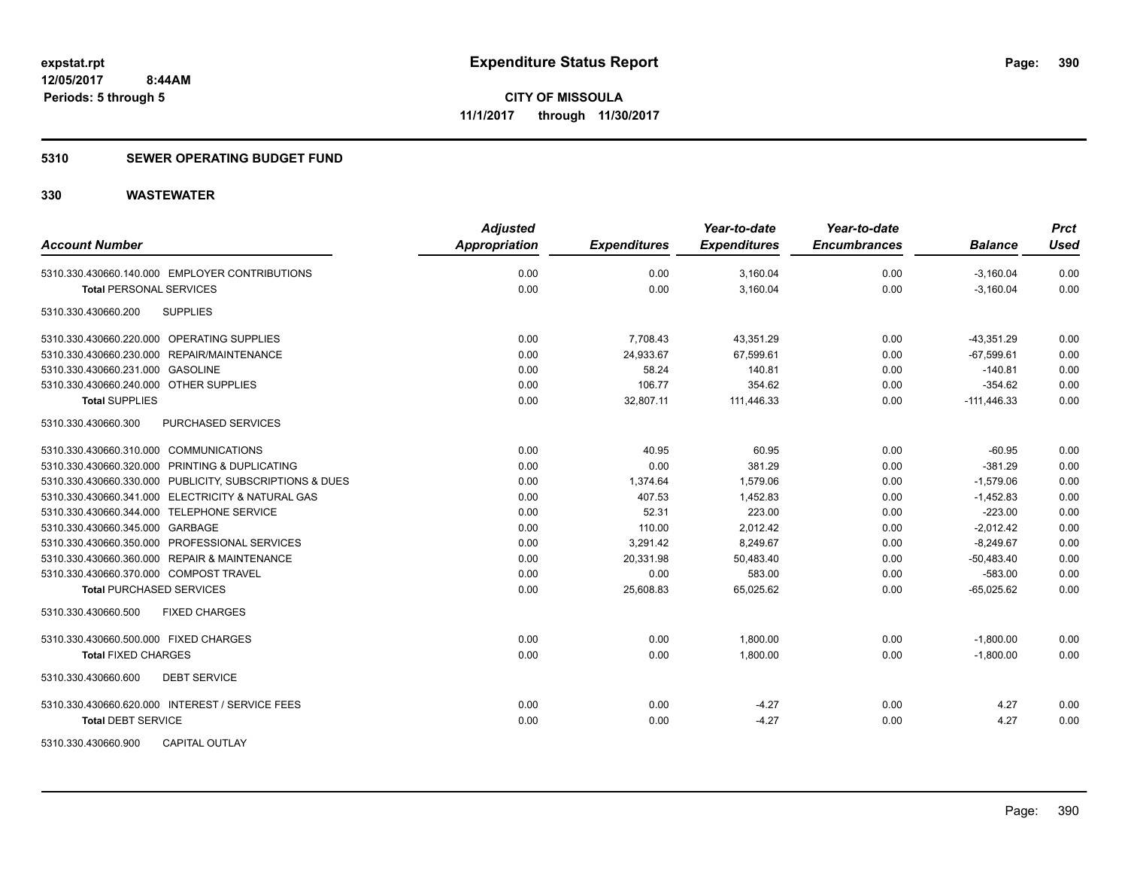#### **5310 SEWER OPERATING BUDGET FUND**

| <b>Account Number</b>                                   | <b>Adjusted</b><br>Appropriation | <b>Expenditures</b> | Year-to-date<br><b>Expenditures</b> | Year-to-date<br><b>Encumbrances</b> | <b>Balance</b> | <b>Prct</b><br><b>Used</b> |
|---------------------------------------------------------|----------------------------------|---------------------|-------------------------------------|-------------------------------------|----------------|----------------------------|
| 5310.330.430660.140.000 EMPLOYER CONTRIBUTIONS          | 0.00                             | 0.00                | 3,160.04                            | 0.00                                | $-3,160.04$    | 0.00                       |
| <b>Total PERSONAL SERVICES</b>                          | 0.00                             | 0.00                | 3,160.04                            | 0.00                                | $-3,160.04$    | 0.00                       |
| 5310.330.430660.200<br><b>SUPPLIES</b>                  |                                  |                     |                                     |                                     |                |                            |
| 5310.330.430660.220.000 OPERATING SUPPLIES              | 0.00                             | 7,708.43            | 43,351.29                           | 0.00                                | $-43,351.29$   | 0.00                       |
| 5310.330.430660.230.000 REPAIR/MAINTENANCE              | 0.00                             | 24,933.67           | 67,599.61                           | 0.00                                | $-67,599.61$   | 0.00                       |
| 5310.330.430660.231.000 GASOLINE                        | 0.00                             | 58.24               | 140.81                              | 0.00                                | $-140.81$      | 0.00                       |
| 5310.330.430660.240.000 OTHER SUPPLIES                  | 0.00                             | 106.77              | 354.62                              | 0.00                                | $-354.62$      | 0.00                       |
| <b>Total SUPPLIES</b>                                   | 0.00                             | 32,807.11           | 111,446.33                          | 0.00                                | $-111,446.33$  | 0.00                       |
| 5310.330.430660.300<br>PURCHASED SERVICES               |                                  |                     |                                     |                                     |                |                            |
| 5310.330.430660.310.000 COMMUNICATIONS                  | 0.00                             | 40.95               | 60.95                               | 0.00                                | $-60.95$       | 0.00                       |
| 5310.330.430660.320.000 PRINTING & DUPLICATING          | 0.00                             | 0.00                | 381.29                              | 0.00                                | $-381.29$      | 0.00                       |
| 5310.330.430660.330.000 PUBLICITY, SUBSCRIPTIONS & DUES | 0.00                             | 1,374.64            | 1,579.06                            | 0.00                                | $-1,579.06$    | 0.00                       |
| 5310.330.430660.341.000 ELECTRICITY & NATURAL GAS       | 0.00                             | 407.53              | 1,452.83                            | 0.00                                | $-1,452.83$    | 0.00                       |
| 5310.330.430660.344.000 TELEPHONE SERVICE               | 0.00                             | 52.31               | 223.00                              | 0.00                                | $-223.00$      | 0.00                       |
| 5310.330.430660.345.000 GARBAGE                         | 0.00                             | 110.00              | 2,012.42                            | 0.00                                | $-2,012.42$    | 0.00                       |
| 5310.330.430660.350.000 PROFESSIONAL SERVICES           | 0.00                             | 3,291.42            | 8,249.67                            | 0.00                                | $-8,249.67$    | 0.00                       |
| 5310.330.430660.360.000 REPAIR & MAINTENANCE            | 0.00                             | 20,331.98           | 50,483.40                           | 0.00                                | $-50,483.40$   | 0.00                       |
| 5310.330.430660.370.000 COMPOST TRAVEL                  | 0.00                             | 0.00                | 583.00                              | 0.00                                | $-583.00$      | 0.00                       |
| <b>Total PURCHASED SERVICES</b>                         | 0.00                             | 25,608.83           | 65,025.62                           | 0.00                                | $-65,025.62$   | 0.00                       |
| <b>FIXED CHARGES</b><br>5310.330.430660.500             |                                  |                     |                                     |                                     |                |                            |
| 5310.330.430660.500.000 FIXED CHARGES                   | 0.00                             | 0.00                | 1,800.00                            | 0.00                                | $-1,800.00$    | 0.00                       |
| <b>Total FIXED CHARGES</b>                              | 0.00                             | 0.00                | 1,800.00                            | 0.00                                | $-1,800.00$    | 0.00                       |
| 5310.330.430660.600<br><b>DEBT SERVICE</b>              |                                  |                     |                                     |                                     |                |                            |
| 5310.330.430660.620.000 INTEREST / SERVICE FEES         | 0.00                             | 0.00                | $-4.27$                             | 0.00                                | 4.27           | 0.00                       |
| <b>Total DEBT SERVICE</b>                               | 0.00                             | 0.00                | $-4.27$                             | 0.00                                | 4.27           | 0.00                       |
| 5310.330.430660.900<br>CAPITAL OUTLAY                   |                                  |                     |                                     |                                     |                |                            |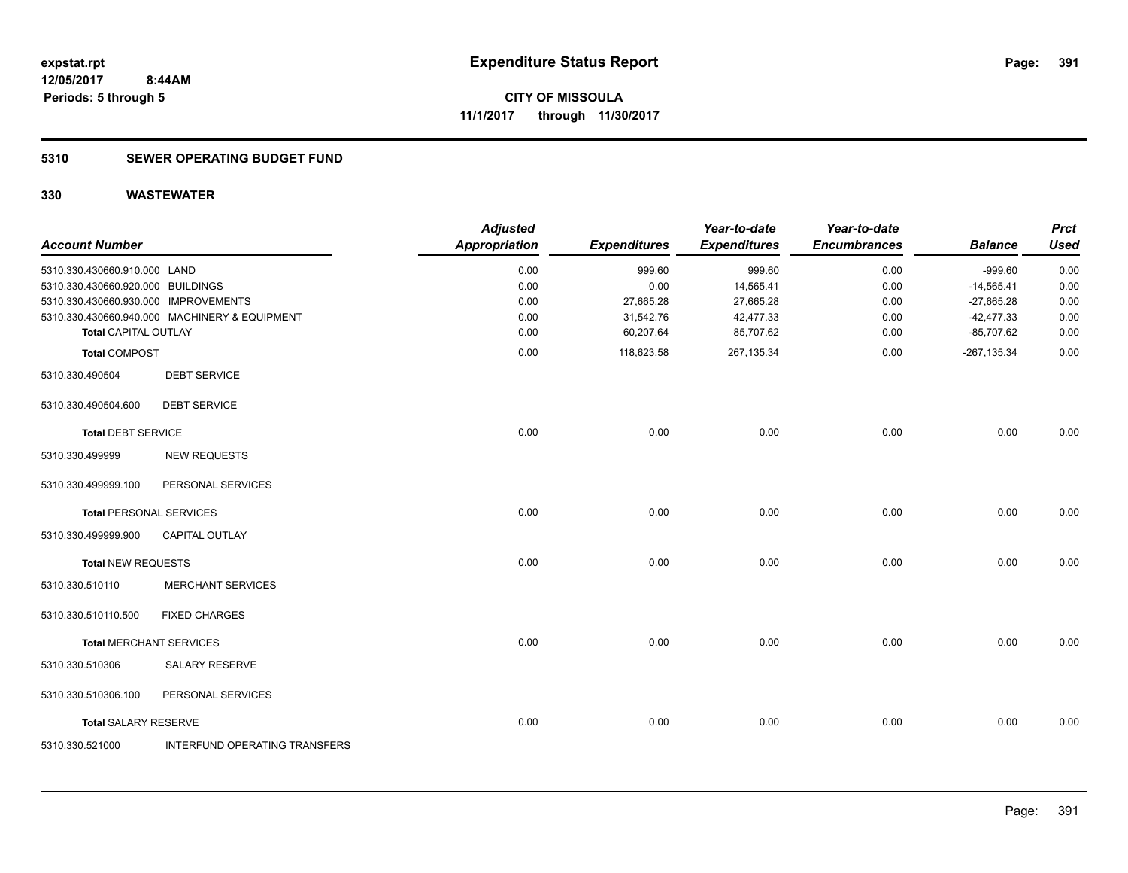#### **5310 SEWER OPERATING BUDGET FUND**

| <b>Account Number</b>                |                                               | <b>Adjusted</b><br><b>Appropriation</b> | <b>Expenditures</b> | Year-to-date<br><b>Expenditures</b> | Year-to-date<br><b>Encumbrances</b> | <b>Balance</b> | <b>Prct</b><br><b>Used</b> |
|--------------------------------------|-----------------------------------------------|-----------------------------------------|---------------------|-------------------------------------|-------------------------------------|----------------|----------------------------|
| 5310.330.430660.910.000 LAND         |                                               | 0.00                                    | 999.60              | 999.60                              | 0.00                                | $-999.60$      | 0.00                       |
| 5310.330.430660.920.000 BUILDINGS    |                                               | 0.00                                    | 0.00                | 14,565.41                           | 0.00                                | $-14,565.41$   | 0.00                       |
| 5310.330.430660.930.000 IMPROVEMENTS |                                               | 0.00                                    | 27,665.28           | 27,665.28                           | 0.00                                | $-27,665.28$   | 0.00                       |
|                                      | 5310.330.430660.940.000 MACHINERY & EQUIPMENT | 0.00                                    | 31,542.76           | 42,477.33                           | 0.00                                | $-42,477.33$   | 0.00                       |
| <b>Total CAPITAL OUTLAY</b>          |                                               | 0.00                                    | 60,207.64           | 85,707.62                           | 0.00                                | $-85,707.62$   | 0.00                       |
| <b>Total COMPOST</b>                 |                                               | 0.00                                    | 118,623.58          | 267,135.34                          | 0.00                                | $-267, 135.34$ | 0.00                       |
| 5310.330.490504                      | <b>DEBT SERVICE</b>                           |                                         |                     |                                     |                                     |                |                            |
| 5310.330.490504.600                  | <b>DEBT SERVICE</b>                           |                                         |                     |                                     |                                     |                |                            |
| <b>Total DEBT SERVICE</b>            |                                               | 0.00                                    | 0.00                | 0.00                                | 0.00                                | 0.00           | 0.00                       |
| 5310.330.499999                      | <b>NEW REQUESTS</b>                           |                                         |                     |                                     |                                     |                |                            |
| 5310.330.499999.100                  | PERSONAL SERVICES                             |                                         |                     |                                     |                                     |                |                            |
| <b>Total PERSONAL SERVICES</b>       |                                               | 0.00                                    | 0.00                | 0.00                                | 0.00                                | 0.00           | 0.00                       |
| 5310.330.499999.900                  | CAPITAL OUTLAY                                |                                         |                     |                                     |                                     |                |                            |
| <b>Total NEW REQUESTS</b>            |                                               | 0.00                                    | 0.00                | 0.00                                | 0.00                                | 0.00           | 0.00                       |
| 5310.330.510110                      | <b>MERCHANT SERVICES</b>                      |                                         |                     |                                     |                                     |                |                            |
| 5310.330.510110.500                  | <b>FIXED CHARGES</b>                          |                                         |                     |                                     |                                     |                |                            |
| <b>Total MERCHANT SERVICES</b>       |                                               | 0.00                                    | 0.00                | 0.00                                | 0.00                                | 0.00           | 0.00                       |
| 5310.330.510306                      | <b>SALARY RESERVE</b>                         |                                         |                     |                                     |                                     |                |                            |
| 5310.330.510306.100                  | PERSONAL SERVICES                             |                                         |                     |                                     |                                     |                |                            |
| <b>Total SALARY RESERVE</b>          |                                               | 0.00                                    | 0.00                | 0.00                                | 0.00                                | 0.00           | 0.00                       |
| 5310.330.521000                      | INTERFUND OPERATING TRANSFERS                 |                                         |                     |                                     |                                     |                |                            |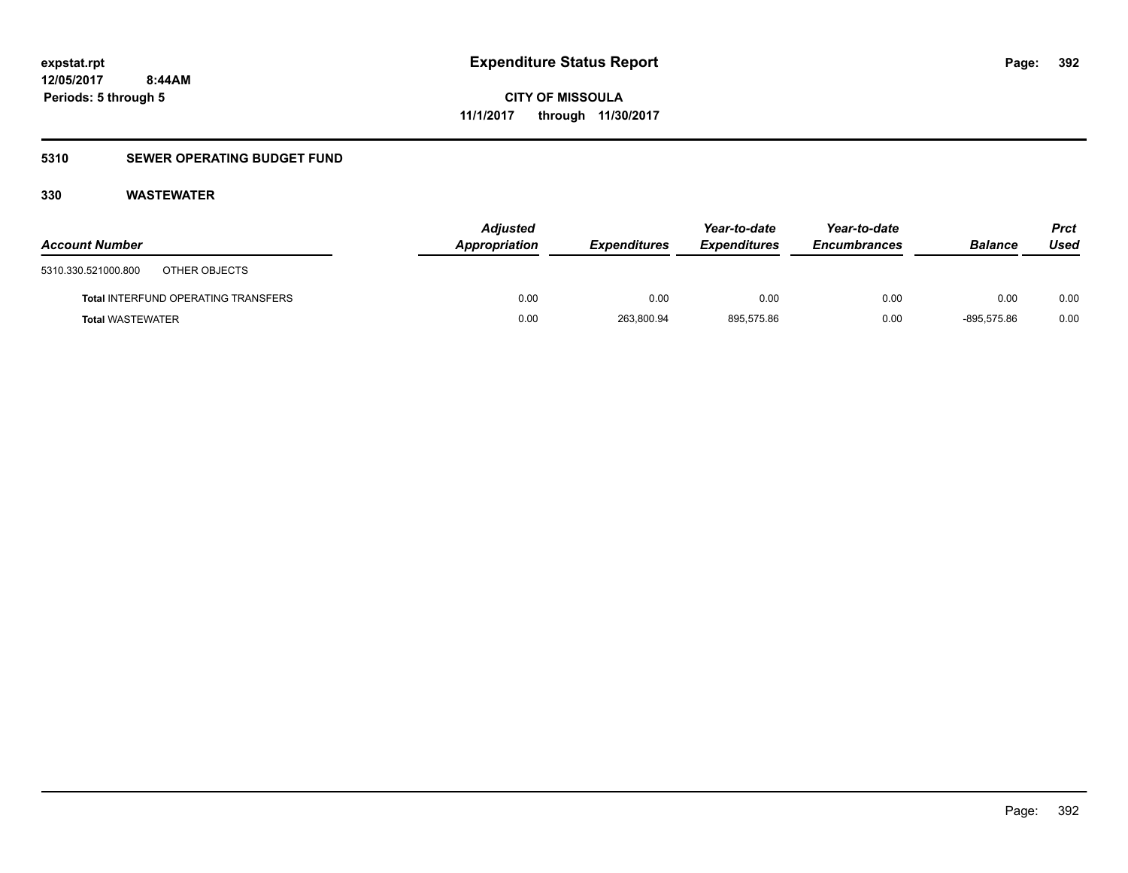### **5310 SEWER OPERATING BUDGET FUND**

| <b>Account Number</b>                      | <b>Adjusted</b><br>Appropriation | <b>Expenditures</b> | Year-to-date<br><i><b>Expenditures</b></i> | Year-to-date<br><b>Encumbrances</b> | <b>Balance</b> | Prct<br>Used |
|--------------------------------------------|----------------------------------|---------------------|--------------------------------------------|-------------------------------------|----------------|--------------|
| 5310.330.521000.800<br>OTHER OBJECTS       |                                  |                     |                                            |                                     |                |              |
| <b>Total INTERFUND OPERATING TRANSFERS</b> | 0.00                             | 0.00                | 0.00                                       | 0.00                                | 0.00           | 0.00         |
| <b>Total WASTEWATER</b>                    | 0.00                             | 263,800.94          | 895.575.86                                 | 0.00                                | $-895.575.86$  | 0.00         |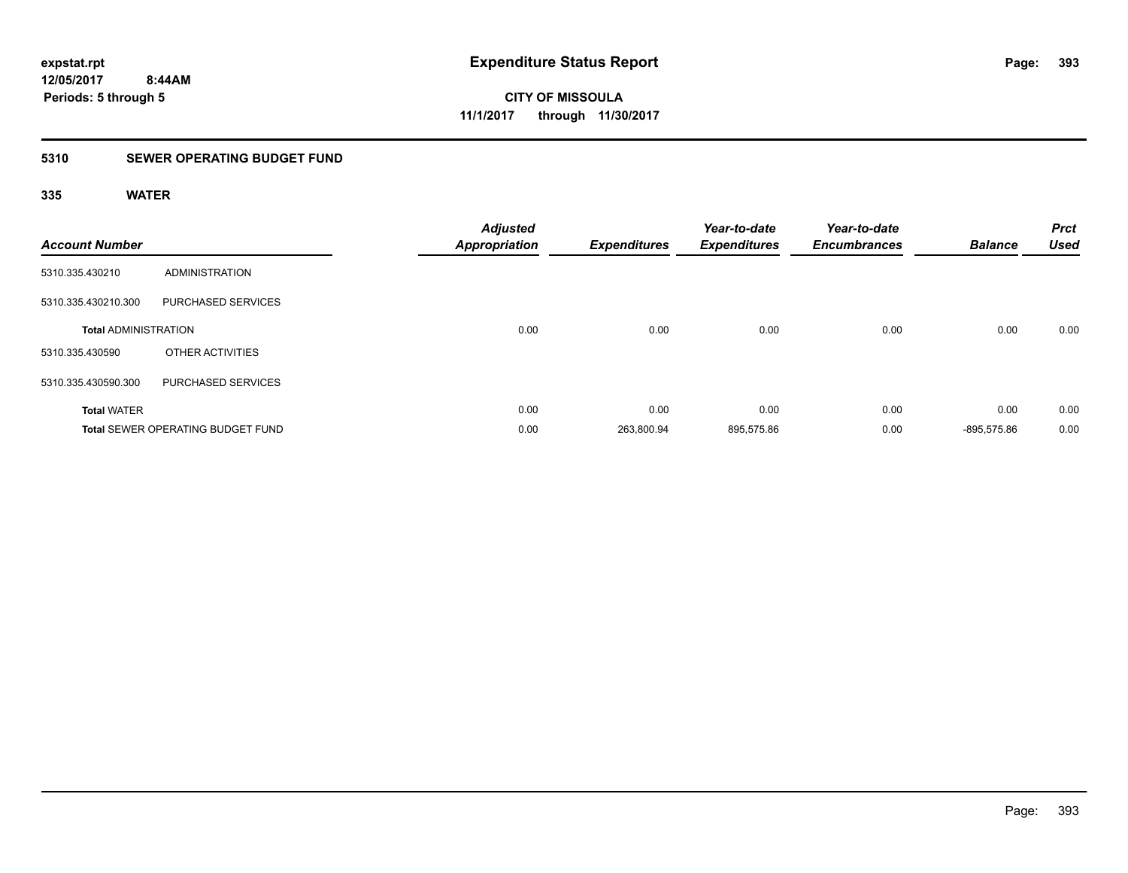### **5310 SEWER OPERATING BUDGET FUND**

| <b>Account Number</b>       |                                          | <b>Adjusted</b><br><b>Appropriation</b> | <b>Expenditures</b> | Year-to-date<br><b>Expenditures</b> | Year-to-date<br><b>Encumbrances</b> | <b>Balance</b> | <b>Prct</b><br><b>Used</b> |
|-----------------------------|------------------------------------------|-----------------------------------------|---------------------|-------------------------------------|-------------------------------------|----------------|----------------------------|
| 5310.335.430210             | <b>ADMINISTRATION</b>                    |                                         |                     |                                     |                                     |                |                            |
| 5310.335.430210.300         | PURCHASED SERVICES                       |                                         |                     |                                     |                                     |                |                            |
| <b>Total ADMINISTRATION</b> |                                          | 0.00                                    | 0.00                | 0.00                                | 0.00                                | 0.00           | 0.00                       |
| 5310.335.430590             | OTHER ACTIVITIES                         |                                         |                     |                                     |                                     |                |                            |
| 5310.335.430590.300         | PURCHASED SERVICES                       |                                         |                     |                                     |                                     |                |                            |
| <b>Total WATER</b>          |                                          | 0.00                                    | 0.00                | 0.00                                | 0.00                                | 0.00           | 0.00                       |
|                             | <b>Total SEWER OPERATING BUDGET FUND</b> | 0.00                                    | 263,800.94          | 895,575.86                          | 0.00                                | -895.575.86    | 0.00                       |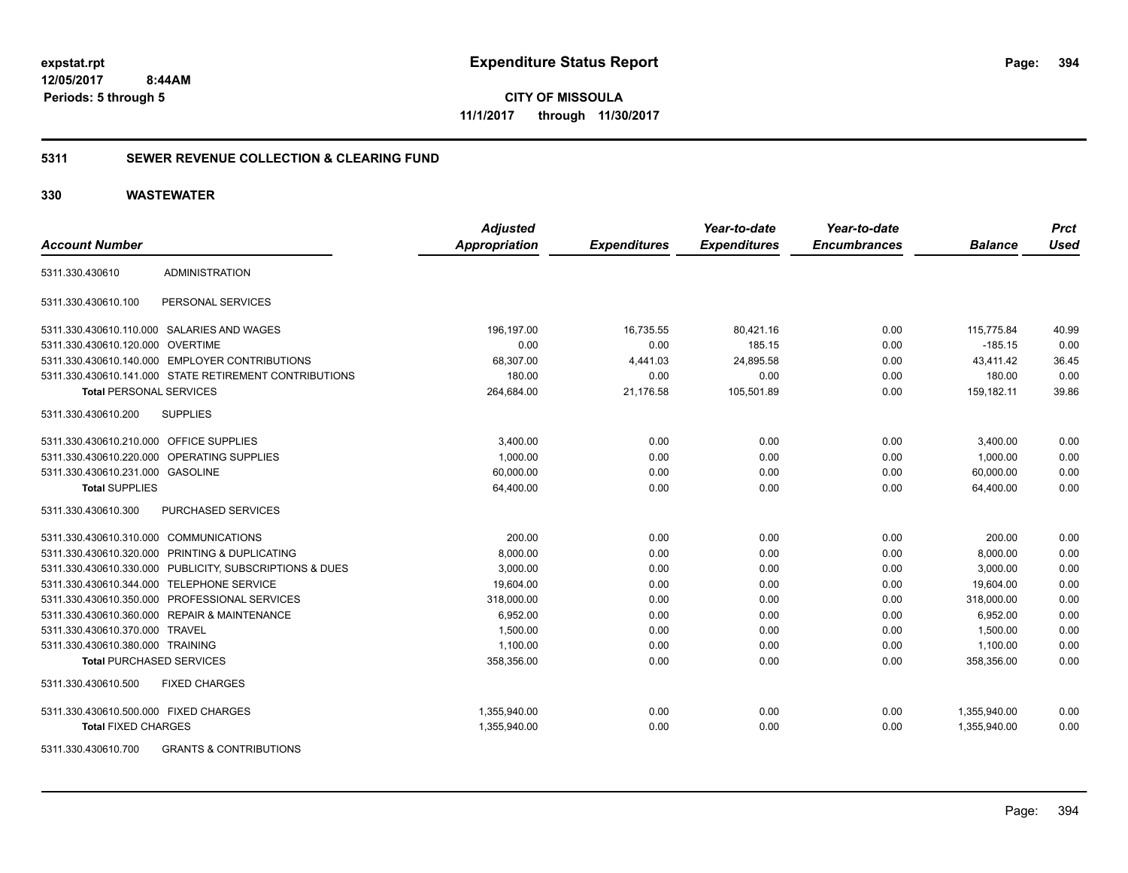**CITY OF MISSOULA 11/1/2017 through 11/30/2017**

#### **5311 SEWER REVENUE COLLECTION & CLEARING FUND**

#### **330 WASTEWATER**

|                                         |                                                         | <b>Adjusted</b> |                     | Year-to-date        | Year-to-date        |                | <b>Prct</b> |
|-----------------------------------------|---------------------------------------------------------|-----------------|---------------------|---------------------|---------------------|----------------|-------------|
| <b>Account Number</b>                   |                                                         | Appropriation   | <b>Expenditures</b> | <b>Expenditures</b> | <b>Encumbrances</b> | <b>Balance</b> | <b>Used</b> |
| 5311.330.430610                         | <b>ADMINISTRATION</b>                                   |                 |                     |                     |                     |                |             |
| 5311.330.430610.100                     | PERSONAL SERVICES                                       |                 |                     |                     |                     |                |             |
|                                         | 5311.330.430610.110.000 SALARIES AND WAGES              | 196,197.00      | 16,735.55           | 80,421.16           | 0.00                | 115,775.84     | 40.99       |
| 5311.330.430610.120.000                 | <b>OVERTIME</b>                                         | 0.00            | 0.00                | 185.15              | 0.00                | $-185.15$      | 0.00        |
|                                         | 5311.330.430610.140.000 EMPLOYER CONTRIBUTIONS          | 68,307.00       | 4,441.03            | 24,895.58           | 0.00                | 43,411.42      | 36.45       |
|                                         | 5311.330.430610.141.000 STATE RETIREMENT CONTRIBUTIONS  | 180.00          | 0.00                | 0.00                | 0.00                | 180.00         | 0.00        |
| <b>Total PERSONAL SERVICES</b>          |                                                         | 264,684.00      | 21,176.58           | 105,501.89          | 0.00                | 159,182.11     | 39.86       |
| 5311.330.430610.200                     | <b>SUPPLIES</b>                                         |                 |                     |                     |                     |                |             |
| 5311.330.430610.210.000 OFFICE SUPPLIES |                                                         | 3,400.00        | 0.00                | 0.00                | 0.00                | 3,400.00       | 0.00        |
|                                         | 5311.330.430610.220.000 OPERATING SUPPLIES              | 1,000.00        | 0.00                | 0.00                | 0.00                | 1.000.00       | 0.00        |
| 5311.330.430610.231.000 GASOLINE        |                                                         | 60,000.00       | 0.00                | 0.00                | 0.00                | 60,000.00      | 0.00        |
| <b>Total SUPPLIES</b>                   |                                                         | 64,400.00       | 0.00                | 0.00                | 0.00                | 64,400.00      | 0.00        |
| 5311.330.430610.300                     | PURCHASED SERVICES                                      |                 |                     |                     |                     |                |             |
| 5311.330.430610.310.000 COMMUNICATIONS  |                                                         | 200.00          | 0.00                | 0.00                | 0.00                | 200.00         | 0.00        |
|                                         | 5311.330.430610.320.000 PRINTING & DUPLICATING          | 8,000.00        | 0.00                | 0.00                | 0.00                | 8,000.00       | 0.00        |
|                                         | 5311.330.430610.330.000 PUBLICITY, SUBSCRIPTIONS & DUES | 3,000.00        | 0.00                | 0.00                | 0.00                | 3.000.00       | 0.00        |
| 5311.330.430610.344.000                 | <b>TELEPHONE SERVICE</b>                                | 19,604.00       | 0.00                | 0.00                | 0.00                | 19,604.00      | 0.00        |
|                                         | 5311.330.430610.350.000 PROFESSIONAL SERVICES           | 318,000.00      | 0.00                | 0.00                | 0.00                | 318,000.00     | 0.00        |
|                                         | 5311.330.430610.360.000 REPAIR & MAINTENANCE            | 6,952.00        | 0.00                | 0.00                | 0.00                | 6,952.00       | 0.00        |
| 5311.330.430610.370.000 TRAVEL          |                                                         | 1,500.00        | 0.00                | 0.00                | 0.00                | 1,500.00       | 0.00        |
| 5311.330.430610.380.000 TRAINING        |                                                         | 1,100.00        | 0.00                | 0.00                | 0.00                | 1,100.00       | 0.00        |
| <b>Total PURCHASED SERVICES</b>         |                                                         | 358,356.00      | 0.00                | 0.00                | 0.00                | 358,356.00     | 0.00        |
| 5311.330.430610.500                     | <b>FIXED CHARGES</b>                                    |                 |                     |                     |                     |                |             |
| 5311.330.430610.500.000 FIXED CHARGES   |                                                         | 1,355,940.00    | 0.00                | 0.00                | 0.00                | 1,355,940.00   | 0.00        |
| <b>Total FIXED CHARGES</b>              |                                                         | 1,355,940.00    | 0.00                | 0.00                | 0.00                | 1.355.940.00   | 0.00        |
| $= 211, 222, 1222, 125, 222$            | 0.011170.0.0011701011710110                             |                 |                     |                     |                     |                |             |

5311.330.430610.700 GRANTS & CONTRIBUTIONS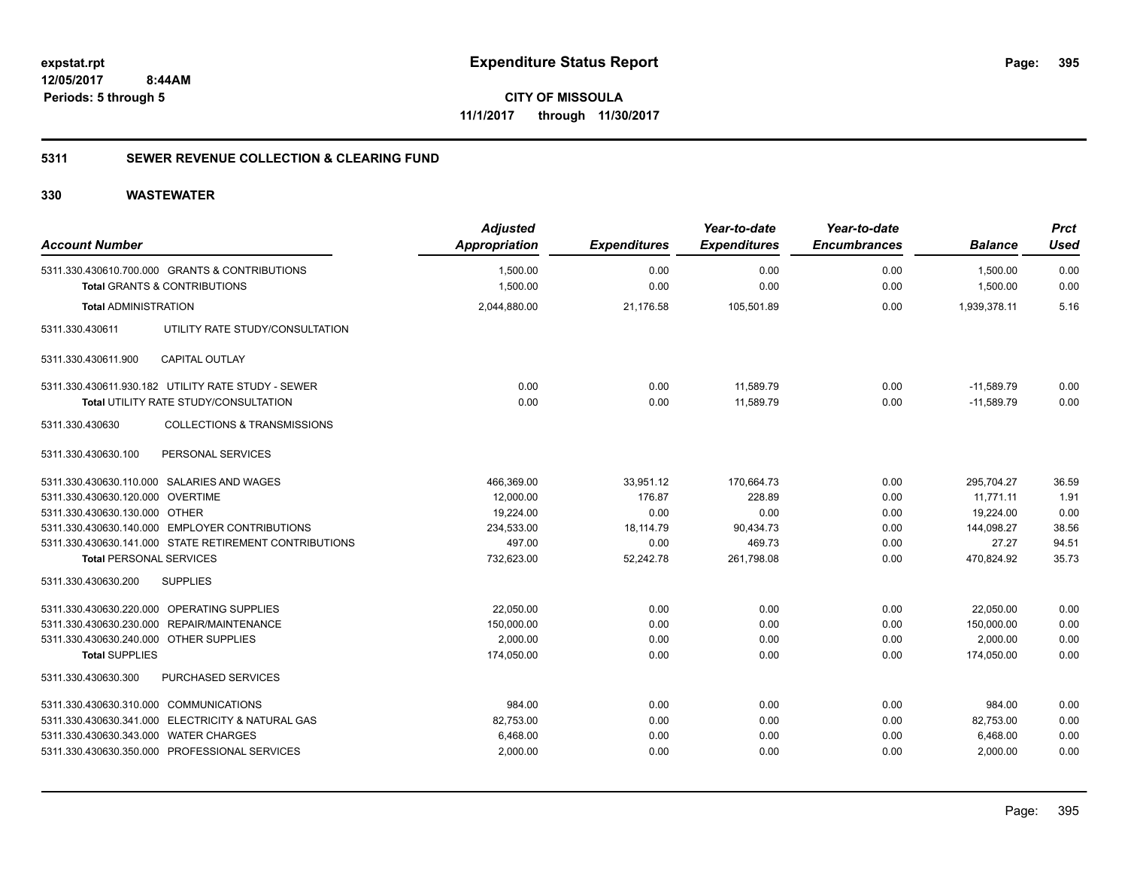**395**

**CITY OF MISSOULA 11/1/2017 through 11/30/2017**

#### **5311 SEWER REVENUE COLLECTION & CLEARING FUND**

| <b>Account Number</b>                  |                                                                                           | <b>Adjusted</b><br>Appropriation | <b>Expenditures</b> | Year-to-date<br><b>Expenditures</b> | Year-to-date<br><b>Encumbrances</b> | <b>Balance</b>       | <b>Prct</b><br><b>Used</b> |
|----------------------------------------|-------------------------------------------------------------------------------------------|----------------------------------|---------------------|-------------------------------------|-------------------------------------|----------------------|----------------------------|
|                                        | 5311.330.430610.700.000 GRANTS & CONTRIBUTIONS<br><b>Total GRANTS &amp; CONTRIBUTIONS</b> | 1,500.00<br>1,500.00             | 0.00<br>0.00        | 0.00<br>0.00                        | 0.00<br>0.00                        | 1,500.00<br>1,500.00 | 0.00<br>0.00               |
| <b>Total ADMINISTRATION</b>            |                                                                                           | 2,044,880.00                     | 21,176.58           | 105,501.89                          | 0.00                                | 1,939,378.11         | 5.16                       |
| 5311.330.430611                        | UTILITY RATE STUDY/CONSULTATION                                                           |                                  |                     |                                     |                                     |                      |                            |
| 5311.330.430611.900                    | <b>CAPITAL OUTLAY</b>                                                                     |                                  |                     |                                     |                                     |                      |                            |
|                                        | 5311.330.430611.930.182 UTILITY RATE STUDY - SEWER                                        | 0.00                             | 0.00                | 11,589.79                           | 0.00                                | $-11,589.79$         | 0.00                       |
|                                        | Total UTILITY RATE STUDY/CONSULTATION                                                     | 0.00                             | 0.00                | 11,589.79                           | 0.00                                | $-11,589.79$         | 0.00                       |
| 5311.330.430630                        | <b>COLLECTIONS &amp; TRANSMISSIONS</b>                                                    |                                  |                     |                                     |                                     |                      |                            |
| 5311.330.430630.100                    | PERSONAL SERVICES                                                                         |                                  |                     |                                     |                                     |                      |                            |
|                                        | 5311.330.430630.110.000 SALARIES AND WAGES                                                | 466,369.00                       | 33,951.12           | 170,664.73                          | 0.00                                | 295,704.27           | 36.59                      |
| 5311.330.430630.120.000 OVERTIME       |                                                                                           | 12,000.00                        | 176.87              | 228.89                              | 0.00                                | 11,771.11            | 1.91                       |
| 5311.330.430630.130.000 OTHER          |                                                                                           | 19,224.00                        | 0.00                | 0.00                                | 0.00                                | 19,224.00            | 0.00                       |
|                                        | 5311.330.430630.140.000 EMPLOYER CONTRIBUTIONS                                            | 234,533.00                       | 18,114.79           | 90,434.73                           | 0.00                                | 144,098.27           | 38.56                      |
|                                        | 5311.330.430630.141.000 STATE RETIREMENT CONTRIBUTIONS                                    | 497.00                           | 0.00                | 469.73                              | 0.00                                | 27.27                | 94.51                      |
| <b>Total PERSONAL SERVICES</b>         |                                                                                           | 732,623.00                       | 52,242.78           | 261,798.08                          | 0.00                                | 470,824.92           | 35.73                      |
| 5311.330.430630.200                    | <b>SUPPLIES</b>                                                                           |                                  |                     |                                     |                                     |                      |                            |
|                                        | 5311.330.430630.220.000 OPERATING SUPPLIES                                                | 22,050.00                        | 0.00                | 0.00                                | 0.00                                | 22,050.00            | 0.00                       |
|                                        | 5311.330.430630.230.000 REPAIR/MAINTENANCE                                                | 150,000.00                       | 0.00                | 0.00                                | 0.00                                | 150,000.00           | 0.00                       |
| 5311.330.430630.240.000 OTHER SUPPLIES |                                                                                           | 2.000.00                         | 0.00                | 0.00                                | 0.00                                | 2,000.00             | 0.00                       |
| <b>Total SUPPLIES</b>                  |                                                                                           | 174,050.00                       | 0.00                | 0.00                                | 0.00                                | 174,050.00           | 0.00                       |
| 5311.330.430630.300                    | PURCHASED SERVICES                                                                        |                                  |                     |                                     |                                     |                      |                            |
| 5311.330.430630.310.000 COMMUNICATIONS |                                                                                           | 984.00                           | 0.00                | 0.00                                | 0.00                                | 984.00               | 0.00                       |
|                                        | 5311.330.430630.341.000 ELECTRICITY & NATURAL GAS                                         | 82,753.00                        | 0.00                | 0.00                                | 0.00                                | 82,753.00            | 0.00                       |
| 5311.330.430630.343.000 WATER CHARGES  |                                                                                           | 6,468.00                         | 0.00                | 0.00                                | 0.00                                | 6,468.00             | 0.00                       |
|                                        | 5311.330.430630.350.000 PROFESSIONAL SERVICES                                             | 2,000.00                         | 0.00                | 0.00                                | 0.00                                | 2,000.00             | 0.00                       |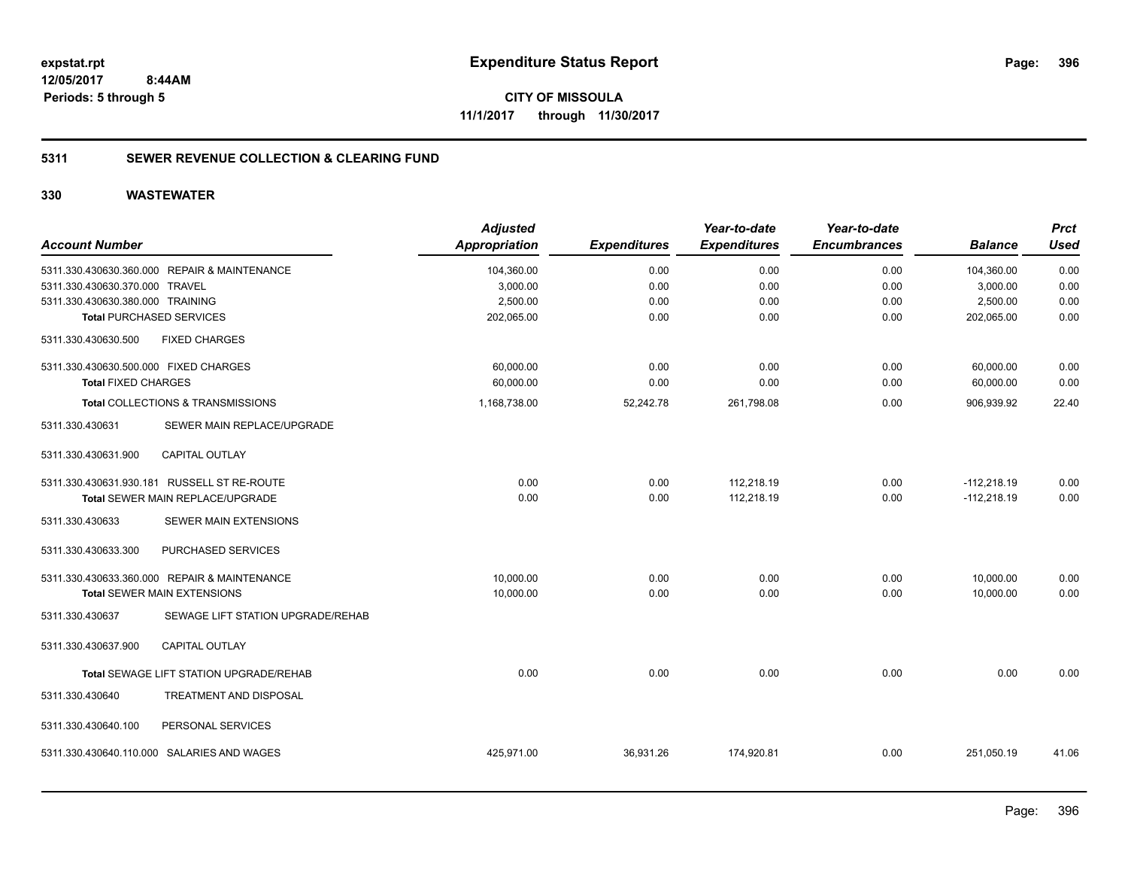**396**

**CITY OF MISSOULA 11/1/2017 through 11/30/2017**

#### **5311 SEWER REVENUE COLLECTION & CLEARING FUND**

| <b>Account Number</b>                                | <b>Adjusted</b> |                     | Year-to-date        | Year-to-date        |                | <b>Prct</b> |
|------------------------------------------------------|-----------------|---------------------|---------------------|---------------------|----------------|-------------|
|                                                      | Appropriation   | <b>Expenditures</b> | <b>Expenditures</b> | <b>Encumbrances</b> | <b>Balance</b> | <b>Used</b> |
| 5311.330.430630.360.000 REPAIR & MAINTENANCE         | 104,360.00      | 0.00                | 0.00                | 0.00                | 104,360.00     | 0.00        |
| 5311.330.430630.370.000 TRAVEL                       | 3,000.00        | 0.00                | 0.00                | 0.00                | 3,000.00       | 0.00        |
| 5311.330.430630.380.000 TRAINING                     | 2,500.00        | 0.00                | 0.00                | 0.00                | 2,500.00       | 0.00        |
| <b>Total PURCHASED SERVICES</b>                      | 202,065.00      | 0.00                | 0.00                | 0.00                | 202,065.00     | 0.00        |
| <b>FIXED CHARGES</b><br>5311.330.430630.500          |                 |                     |                     |                     |                |             |
| 5311.330.430630.500.000 FIXED CHARGES                | 60,000.00       | 0.00                | 0.00                | 0.00                | 60,000.00      | 0.00        |
| <b>Total FIXED CHARGES</b>                           | 60,000.00       | 0.00                | 0.00                | 0.00                | 60,000.00      | 0.00        |
| Total COLLECTIONS & TRANSMISSIONS                    | 1,168,738.00    | 52,242.78           | 261,798.08          | 0.00                | 906,939.92     | 22.40       |
| SEWER MAIN REPLACE/UPGRADE<br>5311.330.430631        |                 |                     |                     |                     |                |             |
| <b>CAPITAL OUTLAY</b><br>5311.330.430631.900         |                 |                     |                     |                     |                |             |
| 5311.330.430631.930.181 RUSSELL ST RE-ROUTE          | 0.00            | 0.00                | 112,218.19          | 0.00                | $-112,218.19$  | 0.00        |
| Total SEWER MAIN REPLACE/UPGRADE                     | 0.00            | 0.00                | 112,218.19          | 0.00                | $-112,218.19$  | 0.00        |
| 5311.330.430633<br>SEWER MAIN EXTENSIONS             |                 |                     |                     |                     |                |             |
| PURCHASED SERVICES<br>5311.330.430633.300            |                 |                     |                     |                     |                |             |
| 5311.330.430633.360.000 REPAIR & MAINTENANCE         | 10,000.00       | 0.00                | 0.00                | 0.00                | 10,000.00      | 0.00        |
| Total SEWER MAIN EXTENSIONS                          | 10,000.00       | 0.00                | 0.00                | 0.00                | 10,000.00      | 0.00        |
| SEWAGE LIFT STATION UPGRADE/REHAB<br>5311.330.430637 |                 |                     |                     |                     |                |             |
| <b>CAPITAL OUTLAY</b><br>5311.330.430637.900         |                 |                     |                     |                     |                |             |
| Total SEWAGE LIFT STATION UPGRADE/REHAB              | 0.00            | 0.00                | 0.00                | 0.00                | 0.00           | 0.00        |
| <b>TREATMENT AND DISPOSAL</b><br>5311.330.430640     |                 |                     |                     |                     |                |             |
| PERSONAL SERVICES<br>5311.330.430640.100             |                 |                     |                     |                     |                |             |
| 5311.330.430640.110.000 SALARIES AND WAGES           | 425,971.00      | 36,931.26           | 174,920.81          | 0.00                | 251,050.19     | 41.06       |
|                                                      |                 |                     |                     |                     |                |             |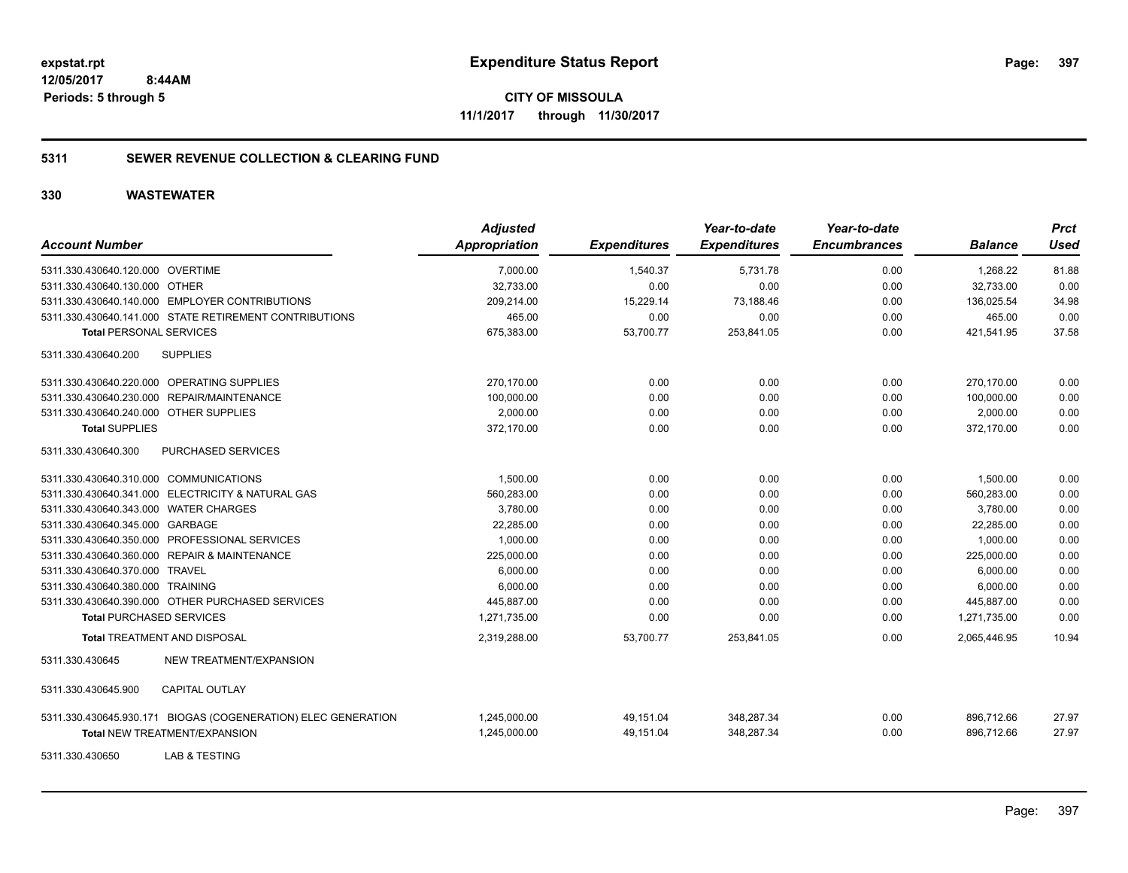**CITY OF MISSOULA 11/1/2017 through 11/30/2017**

### **5311 SEWER REVENUE COLLECTION & CLEARING FUND**

| <b>Account Number</b>                                         | <b>Adjusted</b><br><b>Appropriation</b> | <b>Expenditures</b> | Year-to-date<br><b>Expenditures</b> | Year-to-date<br><b>Encumbrances</b> | <b>Balance</b> | <b>Prct</b><br>Used |
|---------------------------------------------------------------|-----------------------------------------|---------------------|-------------------------------------|-------------------------------------|----------------|---------------------|
| 5311.330.430640.120.000 OVERTIME                              | 7.000.00                                | 1,540.37            | 5.731.78                            | 0.00                                | 1.268.22       | 81.88               |
| 5311.330.430640.130.000 OTHER                                 | 32,733.00                               | 0.00                | 0.00                                | 0.00                                | 32,733.00      | 0.00                |
| 5311.330.430640.140.000 EMPLOYER CONTRIBUTIONS                | 209,214.00                              | 15,229.14           | 73,188.46                           | 0.00                                | 136,025.54     | 34.98               |
| 5311.330.430640.141.000 STATE RETIREMENT CONTRIBUTIONS        | 465.00                                  | 0.00                | 0.00                                | 0.00                                | 465.00         | 0.00                |
| <b>Total PERSONAL SERVICES</b>                                | 675,383.00                              | 53,700.77           | 253,841.05                          | 0.00                                | 421,541.95     | 37.58               |
| 5311.330.430640.200<br><b>SUPPLIES</b>                        |                                         |                     |                                     |                                     |                |                     |
| 5311.330.430640.220.000 OPERATING SUPPLIES                    | 270,170.00                              | 0.00                | 0.00                                | 0.00                                | 270.170.00     | 0.00                |
| 5311.330.430640.230.000 REPAIR/MAINTENANCE                    | 100,000.00                              | 0.00                | 0.00                                | 0.00                                | 100,000.00     | 0.00                |
| 5311.330.430640.240.000 OTHER SUPPLIES                        | 2.000.00                                | 0.00                | 0.00                                | 0.00                                | 2.000.00       | 0.00                |
| <b>Total SUPPLIES</b>                                         | 372,170.00                              | 0.00                | 0.00                                | 0.00                                | 372,170.00     | 0.00                |
| 5311.330.430640.300<br><b>PURCHASED SERVICES</b>              |                                         |                     |                                     |                                     |                |                     |
| 5311.330.430640.310.000 COMMUNICATIONS                        | 1,500.00                                | 0.00                | 0.00                                | 0.00                                | 1,500.00       | 0.00                |
| 5311.330.430640.341.000 ELECTRICITY & NATURAL GAS             | 560,283.00                              | 0.00                | 0.00                                | 0.00                                | 560,283.00     | 0.00                |
| 5311.330.430640.343.000 WATER CHARGES                         | 3,780.00                                | 0.00                | 0.00                                | 0.00                                | 3,780.00       | 0.00                |
| 5311.330.430640.345.000 GARBAGE                               | 22,285.00                               | 0.00                | 0.00                                | 0.00                                | 22,285.00      | 0.00                |
| 5311.330.430640.350.000 PROFESSIONAL SERVICES                 | 1,000.00                                | 0.00                | 0.00                                | 0.00                                | 1,000.00       | 0.00                |
| 5311.330.430640.360.000 REPAIR & MAINTENANCE                  | 225.000.00                              | 0.00                | 0.00                                | 0.00                                | 225.000.00     | 0.00                |
| 5311.330.430640.370.000 TRAVEL                                | 6,000.00                                | 0.00                | 0.00                                | 0.00                                | 6,000.00       | 0.00                |
| 5311.330.430640.380.000 TRAINING                              | 6,000.00                                | 0.00                | 0.00                                | 0.00                                | 6,000.00       | 0.00                |
| 5311.330.430640.390.000 OTHER PURCHASED SERVICES              | 445,887.00                              | 0.00                | 0.00                                | 0.00                                | 445,887.00     | 0.00                |
| <b>Total PURCHASED SERVICES</b>                               | 1,271,735.00                            | 0.00                | 0.00                                | 0.00                                | 1,271,735.00   | 0.00                |
| <b>Total TREATMENT AND DISPOSAL</b>                           | 2,319,288.00                            | 53.700.77           | 253,841.05                          | 0.00                                | 2,065,446.95   | 10.94               |
| 5311.330.430645<br>NEW TREATMENT/EXPANSION                    |                                         |                     |                                     |                                     |                |                     |
| <b>CAPITAL OUTLAY</b><br>5311.330.430645.900                  |                                         |                     |                                     |                                     |                |                     |
| 5311.330.430645.930.171 BIOGAS (COGENERATION) ELEC GENERATION | 1,245,000.00                            | 49,151.04           | 348,287.34                          | 0.00                                | 896,712.66     | 27.97               |
| <b>Total NEW TREATMENT/EXPANSION</b>                          | 1,245,000.00                            | 49,151.04           | 348,287.34                          | 0.00                                | 896,712.66     | 27.97               |
| LAB & TESTING<br>5311.330.430650                              |                                         |                     |                                     |                                     |                |                     |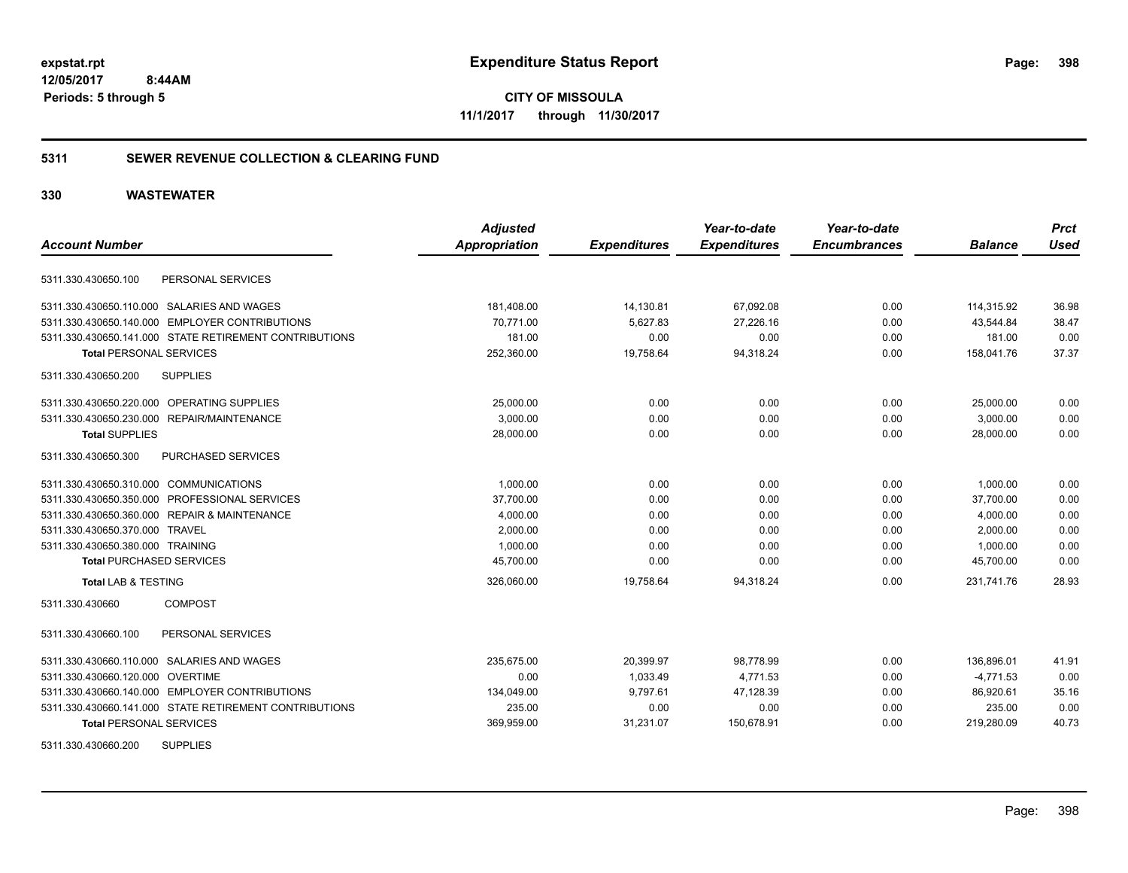### **5311 SEWER REVENUE COLLECTION & CLEARING FUND**

### **330 WASTEWATER**

| <b>Account Number</b>                                  | <b>Adjusted</b><br><b>Appropriation</b> | <b>Expenditures</b> | Year-to-date<br><b>Expenditures</b> | Year-to-date<br><b>Encumbrances</b> | <b>Balance</b> | <b>Prct</b><br><b>Used</b> |
|--------------------------------------------------------|-----------------------------------------|---------------------|-------------------------------------|-------------------------------------|----------------|----------------------------|
|                                                        |                                         |                     |                                     |                                     |                |                            |
| PERSONAL SERVICES<br>5311.330.430650.100               |                                         |                     |                                     |                                     |                |                            |
| 5311.330.430650.110.000 SALARIES AND WAGES             | 181,408.00                              | 14,130.81           | 67,092.08                           | 0.00                                | 114,315.92     | 36.98                      |
| 5311.330.430650.140.000 EMPLOYER CONTRIBUTIONS         | 70.771.00                               | 5,627.83            | 27.226.16                           | 0.00                                | 43,544.84      | 38.47                      |
| 5311.330.430650.141.000 STATE RETIREMENT CONTRIBUTIONS | 181.00                                  | 0.00                | 0.00                                | 0.00                                | 181.00         | 0.00                       |
| <b>Total PERSONAL SERVICES</b>                         | 252,360.00                              | 19,758.64           | 94,318.24                           | 0.00                                | 158,041.76     | 37.37                      |
| 5311.330.430650.200<br><b>SUPPLIES</b>                 |                                         |                     |                                     |                                     |                |                            |
| 5311.330.430650.220.000 OPERATING SUPPLIES             | 25,000.00                               | 0.00                | 0.00                                | 0.00                                | 25,000.00      | 0.00                       |
| 5311.330.430650.230.000 REPAIR/MAINTENANCE             | 3,000.00                                | 0.00                | 0.00                                | 0.00                                | 3,000.00       | 0.00                       |
| <b>Total SUPPLIES</b>                                  | 28,000.00                               | 0.00                | 0.00                                | 0.00                                | 28,000.00      | 0.00                       |
| 5311.330.430650.300<br><b>PURCHASED SERVICES</b>       |                                         |                     |                                     |                                     |                |                            |
| 5311.330.430650.310.000 COMMUNICATIONS                 | 1.000.00                                | 0.00                | 0.00                                | 0.00                                | 1,000.00       | 0.00                       |
| 5311.330.430650.350.000 PROFESSIONAL SERVICES          | 37,700.00                               | 0.00                | 0.00                                | 0.00                                | 37,700.00      | 0.00                       |
| 5311.330.430650.360.000 REPAIR & MAINTENANCE           | 4,000.00                                | 0.00                | 0.00                                | 0.00                                | 4,000.00       | 0.00                       |
| 5311.330.430650.370.000 TRAVEL                         | 2,000.00                                | 0.00                | 0.00                                | 0.00                                | 2,000.00       | 0.00                       |
| 5311.330.430650.380.000 TRAINING                       | 1,000.00                                | 0.00                | 0.00                                | 0.00                                | 1,000.00       | 0.00                       |
| <b>Total PURCHASED SERVICES</b>                        | 45,700.00                               | 0.00                | 0.00                                | 0.00                                | 45,700.00      | 0.00                       |
| <b>Total LAB &amp; TESTING</b>                         | 326,060.00                              | 19,758.64           | 94,318.24                           | 0.00                                | 231,741.76     | 28.93                      |
| <b>COMPOST</b><br>5311.330.430660                      |                                         |                     |                                     |                                     |                |                            |
| PERSONAL SERVICES<br>5311.330.430660.100               |                                         |                     |                                     |                                     |                |                            |
| 5311.330.430660.110.000 SALARIES AND WAGES             | 235,675.00                              | 20,399.97           | 98,778.99                           | 0.00                                | 136,896.01     | 41.91                      |
| 5311.330.430660.120.000 OVERTIME                       | 0.00                                    | 1,033.49            | 4,771.53                            | 0.00                                | $-4,771.53$    | 0.00                       |
| 5311.330.430660.140.000 EMPLOYER CONTRIBUTIONS         | 134,049.00                              | 9,797.61            | 47,128.39                           | 0.00                                | 86,920.61      | 35.16                      |
| 5311.330.430660.141.000 STATE RETIREMENT CONTRIBUTIONS | 235.00                                  | 0.00                | 0.00                                | 0.00                                | 235.00         | 0.00                       |
| <b>Total PERSONAL SERVICES</b>                         | 369,959.00                              | 31,231.07           | 150,678.91                          | 0.00                                | 219,280.09     | 40.73                      |
| <b>SUPPLIES</b><br>5311.330.430660.200                 |                                         |                     |                                     |                                     |                |                            |

Page: 398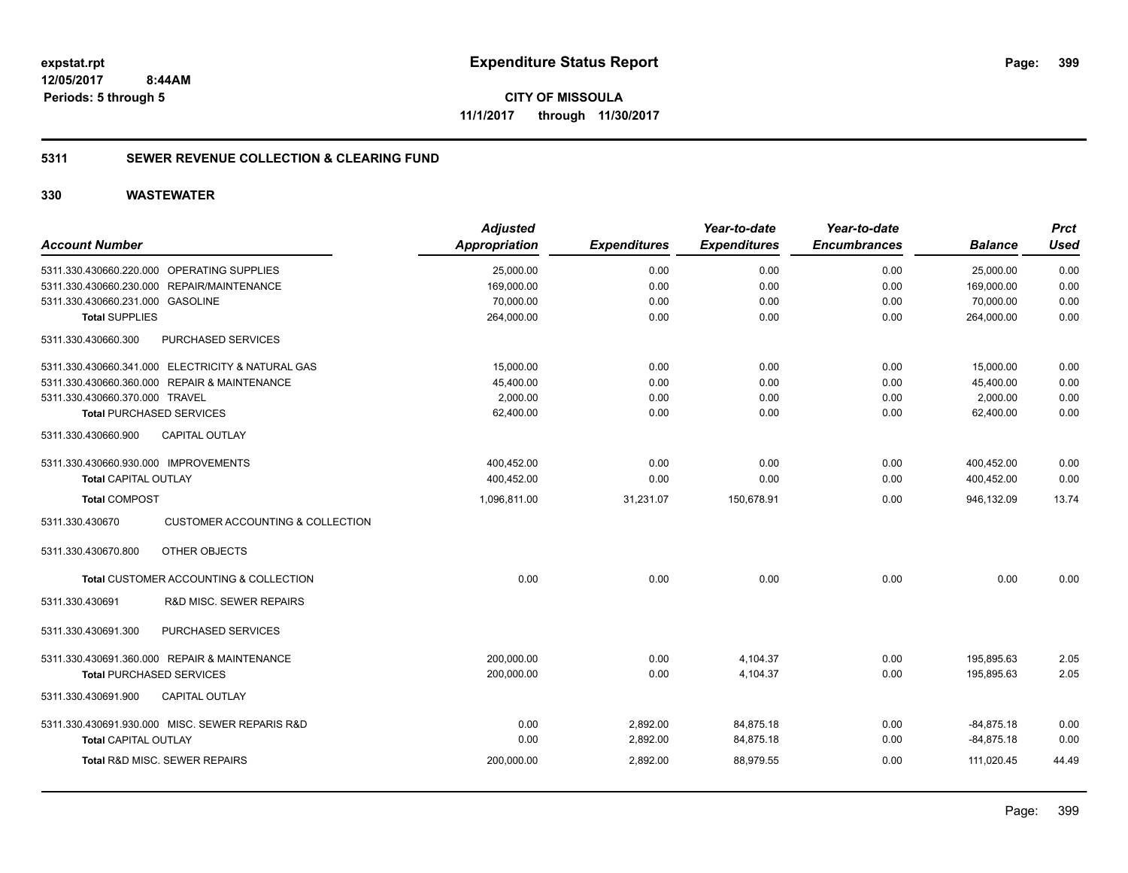**399**

**CITY OF MISSOULA 11/1/2017 through 11/30/2017**

### **5311 SEWER REVENUE COLLECTION & CLEARING FUND**

|                                                                | <b>Adjusted</b> |                     | Year-to-date        | Year-to-date        |                | <b>Prct</b> |
|----------------------------------------------------------------|-----------------|---------------------|---------------------|---------------------|----------------|-------------|
| <b>Account Number</b>                                          | Appropriation   | <b>Expenditures</b> | <b>Expenditures</b> | <b>Encumbrances</b> | <b>Balance</b> | <b>Used</b> |
| 5311.330.430660.220.000 OPERATING SUPPLIES                     | 25,000.00       | 0.00                | 0.00                | 0.00                | 25,000.00      | 0.00        |
| 5311.330.430660.230.000 REPAIR/MAINTENANCE                     | 169,000.00      | 0.00                | 0.00                | 0.00                | 169,000.00     | 0.00        |
| 5311.330.430660.231.000 GASOLINE                               | 70,000.00       | 0.00                | 0.00                | 0.00                | 70,000.00      | 0.00        |
| <b>Total SUPPLIES</b>                                          | 264,000.00      | 0.00                | 0.00                | 0.00                | 264,000.00     | 0.00        |
| 5311.330.430660.300<br>PURCHASED SERVICES                      |                 |                     |                     |                     |                |             |
| 5311.330.430660.341.000 ELECTRICITY & NATURAL GAS              | 15,000.00       | 0.00                | 0.00                | 0.00                | 15,000.00      | 0.00        |
| 5311.330.430660.360.000 REPAIR & MAINTENANCE                   | 45,400.00       | 0.00                | 0.00                | 0.00                | 45,400.00      | 0.00        |
| 5311.330.430660.370.000 TRAVEL                                 | 2,000.00        | 0.00                | 0.00                | 0.00                | 2,000.00       | 0.00        |
| <b>Total PURCHASED SERVICES</b>                                | 62,400.00       | 0.00                | 0.00                | 0.00                | 62,400.00      | 0.00        |
| 5311.330.430660.900<br><b>CAPITAL OUTLAY</b>                   |                 |                     |                     |                     |                |             |
| 5311.330.430660.930.000 IMPROVEMENTS                           | 400,452.00      | 0.00                | 0.00                | 0.00                | 400,452.00     | 0.00        |
| <b>Total CAPITAL OUTLAY</b>                                    | 400,452.00      | 0.00                | 0.00                | 0.00                | 400,452.00     | 0.00        |
| <b>Total COMPOST</b>                                           | 1,096,811.00    | 31,231.07           | 150,678.91          | 0.00                | 946,132.09     | 13.74       |
| 5311.330.430670<br><b>CUSTOMER ACCOUNTING &amp; COLLECTION</b> |                 |                     |                     |                     |                |             |
| 5311.330.430670.800<br>OTHER OBJECTS                           |                 |                     |                     |                     |                |             |
| Total CUSTOMER ACCOUNTING & COLLECTION                         | 0.00            | 0.00                | 0.00                | 0.00                | 0.00           | 0.00        |
| R&D MISC. SEWER REPAIRS<br>5311.330.430691                     |                 |                     |                     |                     |                |             |
| PURCHASED SERVICES<br>5311.330.430691.300                      |                 |                     |                     |                     |                |             |
| 5311.330.430691.360.000 REPAIR & MAINTENANCE                   | 200,000.00      | 0.00                | 4,104.37            | 0.00                | 195,895.63     | 2.05        |
| <b>Total PURCHASED SERVICES</b>                                | 200,000.00      | 0.00                | 4.104.37            | 0.00                | 195.895.63     | 2.05        |
| <b>CAPITAL OUTLAY</b><br>5311.330.430691.900                   |                 |                     |                     |                     |                |             |
| 5311.330.430691.930.000 MISC. SEWER REPARIS R&D                | 0.00            | 2,892.00            | 84,875.18           | 0.00                | $-84,875.18$   | 0.00        |
| <b>Total CAPITAL OUTLAY</b>                                    | 0.00            | 2,892.00            | 84,875.18           | 0.00                | $-84,875.18$   | 0.00        |
| Total R&D MISC. SEWER REPAIRS                                  | 200,000.00      | 2,892.00            | 88,979.55           | 0.00                | 111,020.45     | 44.49       |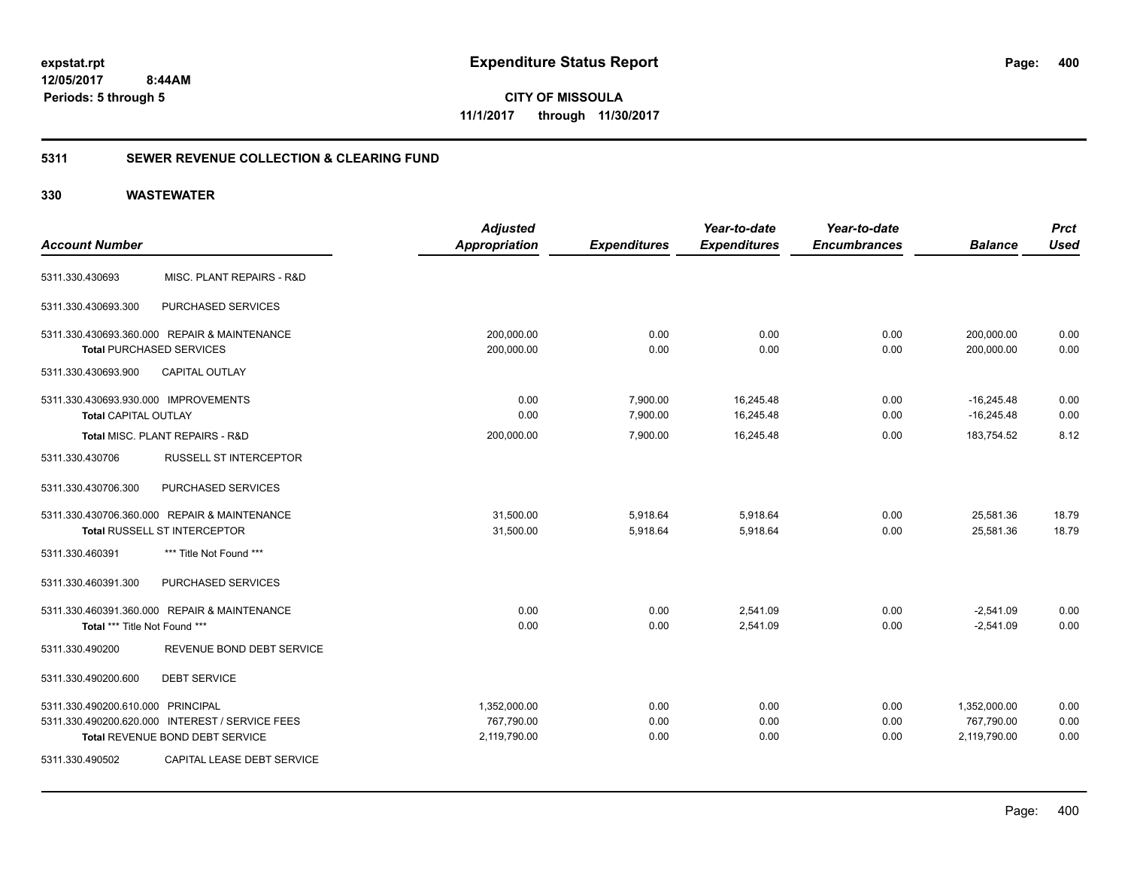**CITY OF MISSOULA 11/1/2017 through 11/30/2017**

### **5311 SEWER REVENUE COLLECTION & CLEARING FUND**

|                                              |                                                 | <b>Adjusted</b>      |                     | Year-to-date        | Year-to-date        |                | <b>Prct</b> |
|----------------------------------------------|-------------------------------------------------|----------------------|---------------------|---------------------|---------------------|----------------|-------------|
| <b>Account Number</b>                        |                                                 | <b>Appropriation</b> | <b>Expenditures</b> | <b>Expenditures</b> | <b>Encumbrances</b> | <b>Balance</b> | <b>Used</b> |
| 5311.330.430693                              | MISC. PLANT REPAIRS - R&D                       |                      |                     |                     |                     |                |             |
| 5311.330.430693.300                          | PURCHASED SERVICES                              |                      |                     |                     |                     |                |             |
| 5311.330.430693.360.000 REPAIR & MAINTENANCE |                                                 | 200,000.00           | 0.00                | 0.00                | 0.00                | 200,000.00     | 0.00        |
| <b>Total PURCHASED SERVICES</b>              |                                                 | 200,000.00           | 0.00                | 0.00                | 0.00                | 200,000.00     | 0.00        |
| 5311.330.430693.900                          | <b>CAPITAL OUTLAY</b>                           |                      |                     |                     |                     |                |             |
| 5311.330.430693.930.000 IMPROVEMENTS         |                                                 | 0.00                 | 7,900.00            | 16,245.48           | 0.00                | $-16,245.48$   | 0.00        |
| <b>Total CAPITAL OUTLAY</b>                  |                                                 | 0.00                 | 7,900.00            | 16,245.48           | 0.00                | $-16,245.48$   | 0.00        |
| Total MISC. PLANT REPAIRS - R&D              |                                                 | 200,000.00           | 7,900.00            | 16,245.48           | 0.00                | 183,754.52     | 8.12        |
| 5311.330.430706                              | <b>RUSSELL ST INTERCEPTOR</b>                   |                      |                     |                     |                     |                |             |
| 5311.330.430706.300                          | PURCHASED SERVICES                              |                      |                     |                     |                     |                |             |
| 5311.330.430706.360.000 REPAIR & MAINTENANCE |                                                 | 31,500.00            | 5,918.64            | 5,918.64            | 0.00                | 25,581.36      | 18.79       |
| Total RUSSELL ST INTERCEPTOR                 |                                                 | 31,500.00            | 5,918.64            | 5,918.64            | 0.00                | 25,581.36      | 18.79       |
| 5311.330.460391                              | *** Title Not Found ***                         |                      |                     |                     |                     |                |             |
| 5311.330.460391.300                          | PURCHASED SERVICES                              |                      |                     |                     |                     |                |             |
| 5311.330.460391.360.000 REPAIR & MAINTENANCE |                                                 | 0.00                 | 0.00                | 2,541.09            | 0.00                | $-2,541.09$    | 0.00        |
| Total *** Title Not Found ***                |                                                 | 0.00                 | 0.00                | 2,541.09            | 0.00                | $-2,541.09$    | 0.00        |
| 5311.330.490200                              | REVENUE BOND DEBT SERVICE                       |                      |                     |                     |                     |                |             |
| 5311.330.490200.600                          | <b>DEBT SERVICE</b>                             |                      |                     |                     |                     |                |             |
| 5311.330.490200.610.000 PRINCIPAL            |                                                 | 1,352,000.00         | 0.00                | 0.00                | 0.00                | 1,352,000.00   | 0.00        |
|                                              | 5311.330.490200.620.000 INTEREST / SERVICE FEES | 767,790.00           | 0.00                | 0.00                | 0.00                | 767,790.00     | 0.00        |
|                                              | Total REVENUE BOND DEBT SERVICE                 | 2,119,790.00         | 0.00                | 0.00                | 0.00                | 2,119,790.00   | 0.00        |
| 5311.330.490502                              | CAPITAL LEASE DEBT SERVICE                      |                      |                     |                     |                     |                |             |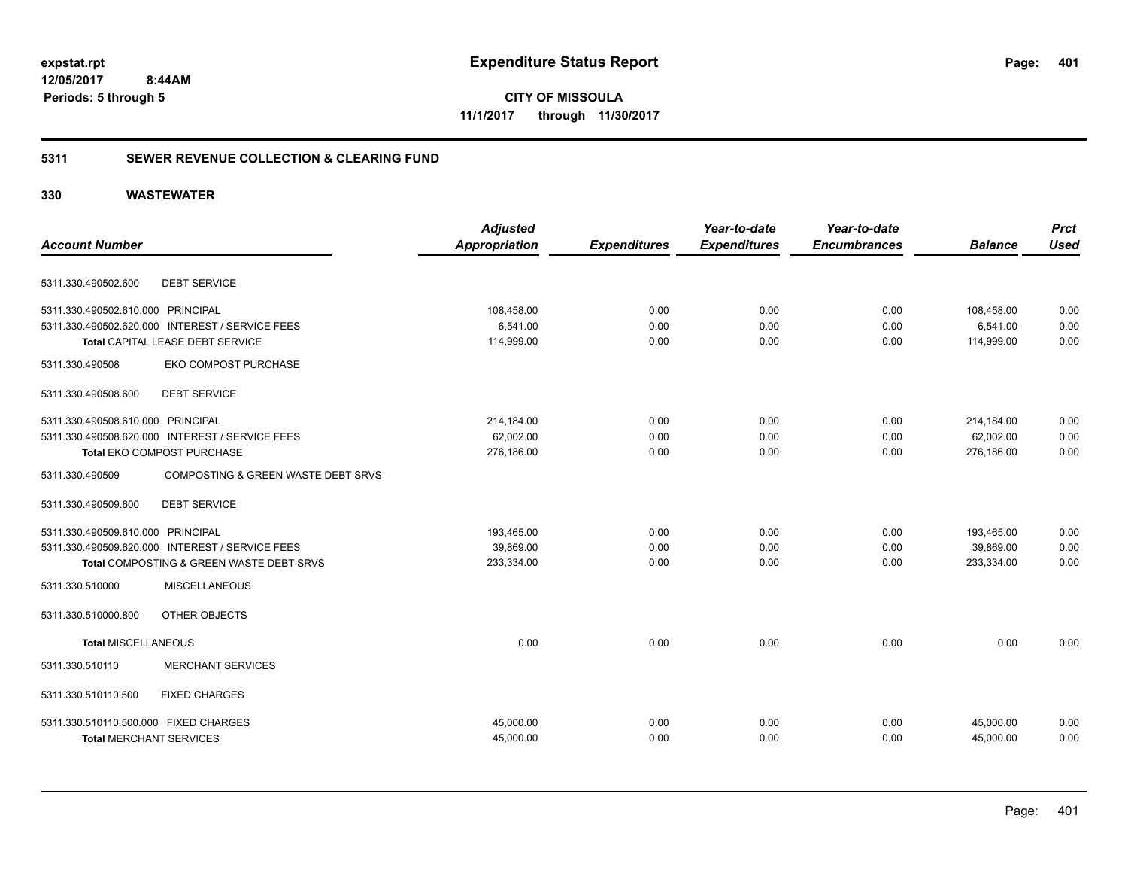**CITY OF MISSOULA 11/1/2017 through 11/30/2017**

### **5311 SEWER REVENUE COLLECTION & CLEARING FUND**

| <b>Account Number</b>                 |                                                 | <b>Adjusted</b><br><b>Appropriation</b> | <b>Expenditures</b> | Year-to-date<br><b>Expenditures</b> | Year-to-date<br><b>Encumbrances</b> | <b>Balance</b> | <b>Prct</b><br><b>Used</b> |
|---------------------------------------|-------------------------------------------------|-----------------------------------------|---------------------|-------------------------------------|-------------------------------------|----------------|----------------------------|
|                                       |                                                 |                                         |                     |                                     |                                     |                |                            |
| 5311.330.490502.600                   | <b>DEBT SERVICE</b>                             |                                         |                     |                                     |                                     |                |                            |
| 5311.330.490502.610.000 PRINCIPAL     |                                                 | 108,458.00                              | 0.00                | 0.00                                | 0.00                                | 108,458.00     | 0.00                       |
|                                       | 5311.330.490502.620.000 INTEREST / SERVICE FEES | 6,541.00                                | 0.00                | 0.00                                | 0.00                                | 6,541.00       | 0.00                       |
|                                       | Total CAPITAL LEASE DEBT SERVICE                | 114,999.00                              | 0.00                | 0.00                                | 0.00                                | 114,999.00     | 0.00                       |
| 5311.330.490508                       | EKO COMPOST PURCHASE                            |                                         |                     |                                     |                                     |                |                            |
| 5311.330.490508.600                   | <b>DEBT SERVICE</b>                             |                                         |                     |                                     |                                     |                |                            |
| 5311.330.490508.610.000 PRINCIPAL     |                                                 | 214,184.00                              | 0.00                | 0.00                                | 0.00                                | 214,184.00     | 0.00                       |
|                                       | 5311.330.490508.620.000 INTEREST / SERVICE FEES | 62,002.00                               | 0.00                | 0.00                                | 0.00                                | 62.002.00      | 0.00                       |
|                                       | Total EKO COMPOST PURCHASE                      | 276,186.00                              | 0.00                | 0.00                                | 0.00                                | 276,186.00     | 0.00                       |
| 5311.330.490509                       | COMPOSTING & GREEN WASTE DEBT SRVS              |                                         |                     |                                     |                                     |                |                            |
| 5311.330.490509.600                   | <b>DEBT SERVICE</b>                             |                                         |                     |                                     |                                     |                |                            |
| 5311.330.490509.610.000 PRINCIPAL     |                                                 | 193,465.00                              | 0.00                | 0.00                                | 0.00                                | 193,465.00     | 0.00                       |
|                                       | 5311.330.490509.620.000 INTEREST / SERVICE FEES | 39,869.00                               | 0.00                | 0.00                                | 0.00                                | 39,869.00      | 0.00                       |
|                                       | Total COMPOSTING & GREEN WASTE DEBT SRVS        | 233,334.00                              | 0.00                | 0.00                                | 0.00                                | 233,334.00     | 0.00                       |
| 5311.330.510000                       | MISCELLANEOUS                                   |                                         |                     |                                     |                                     |                |                            |
| 5311.330.510000.800                   | OTHER OBJECTS                                   |                                         |                     |                                     |                                     |                |                            |
| <b>Total MISCELLANEOUS</b>            |                                                 | 0.00                                    | 0.00                | 0.00                                | 0.00                                | 0.00           | 0.00                       |
| 5311.330.510110                       | <b>MERCHANT SERVICES</b>                        |                                         |                     |                                     |                                     |                |                            |
| 5311.330.510110.500                   | <b>FIXED CHARGES</b>                            |                                         |                     |                                     |                                     |                |                            |
| 5311.330.510110.500.000 FIXED CHARGES |                                                 | 45,000.00                               | 0.00                | 0.00                                | 0.00                                | 45,000.00      | 0.00                       |
| <b>Total MERCHANT SERVICES</b>        |                                                 | 45,000.00                               | 0.00                | 0.00                                | 0.00                                | 45,000.00      | 0.00                       |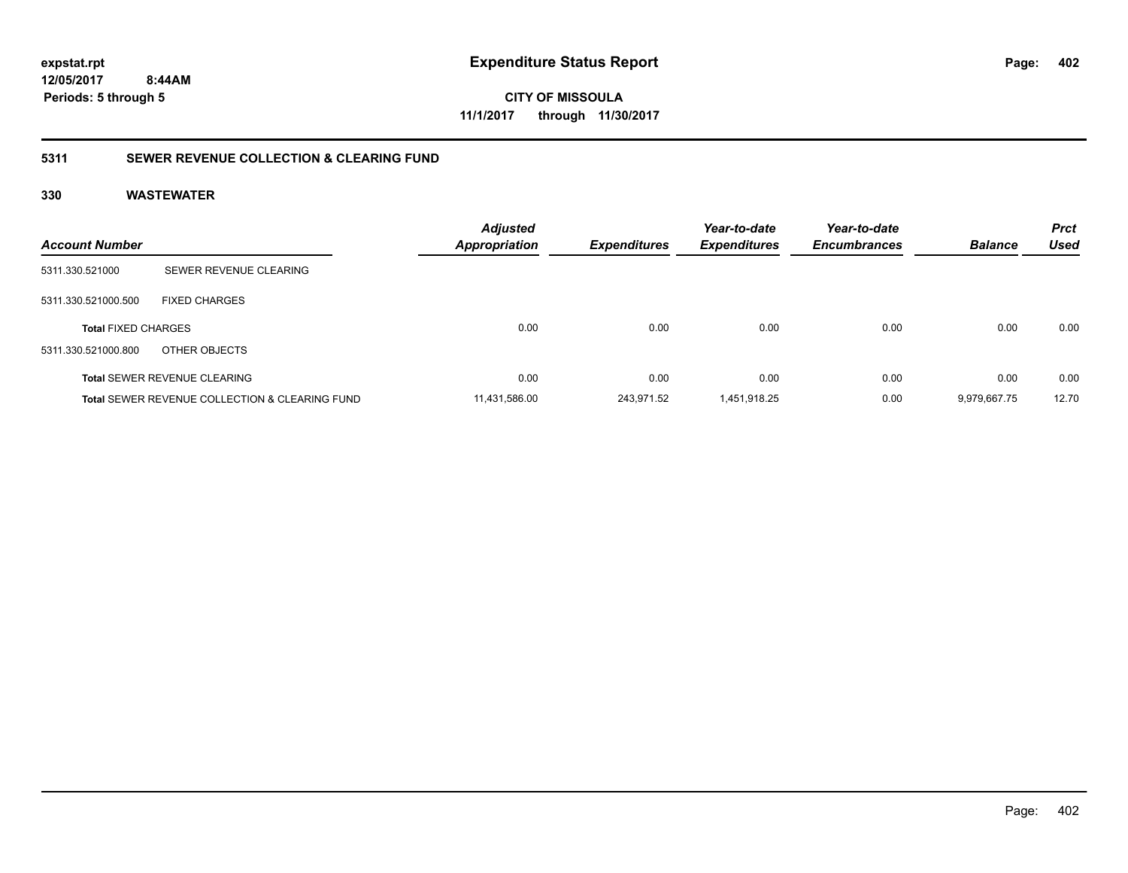# **12/05/2017**

**402**

 **8:44AM Periods: 5 through 5**

**CITY OF MISSOULA 11/1/2017 through 11/30/2017**

### **5311 SEWER REVENUE COLLECTION & CLEARING FUND**

| <b>Account Number</b>      |                                                           | <b>Adjusted</b><br><b>Appropriation</b> | <b>Expenditures</b> | Year-to-date<br><b>Expenditures</b> | Year-to-date<br><b>Encumbrances</b> | <b>Balance</b> | <b>Prct</b><br><b>Used</b> |
|----------------------------|-----------------------------------------------------------|-----------------------------------------|---------------------|-------------------------------------|-------------------------------------|----------------|----------------------------|
| 5311.330.521000            | SEWER REVENUE CLEARING                                    |                                         |                     |                                     |                                     |                |                            |
| 5311.330.521000.500        | <b>FIXED CHARGES</b>                                      |                                         |                     |                                     |                                     |                |                            |
| <b>Total FIXED CHARGES</b> |                                                           | 0.00                                    | 0.00                | 0.00                                | 0.00                                | 0.00           | 0.00                       |
| 5311.330.521000.800        | OTHER OBJECTS                                             |                                         |                     |                                     |                                     |                |                            |
|                            | <b>Total SEWER REVENUE CLEARING</b>                       | 0.00                                    | 0.00                | 0.00                                | 0.00                                | 0.00           | 0.00                       |
|                            | <b>Total SEWER REVENUE COLLECTION &amp; CLEARING FUND</b> | 11.431.586.00                           | 243.971.52          | 1.451.918.25                        | 0.00                                | 9.979.667.75   | 12.70                      |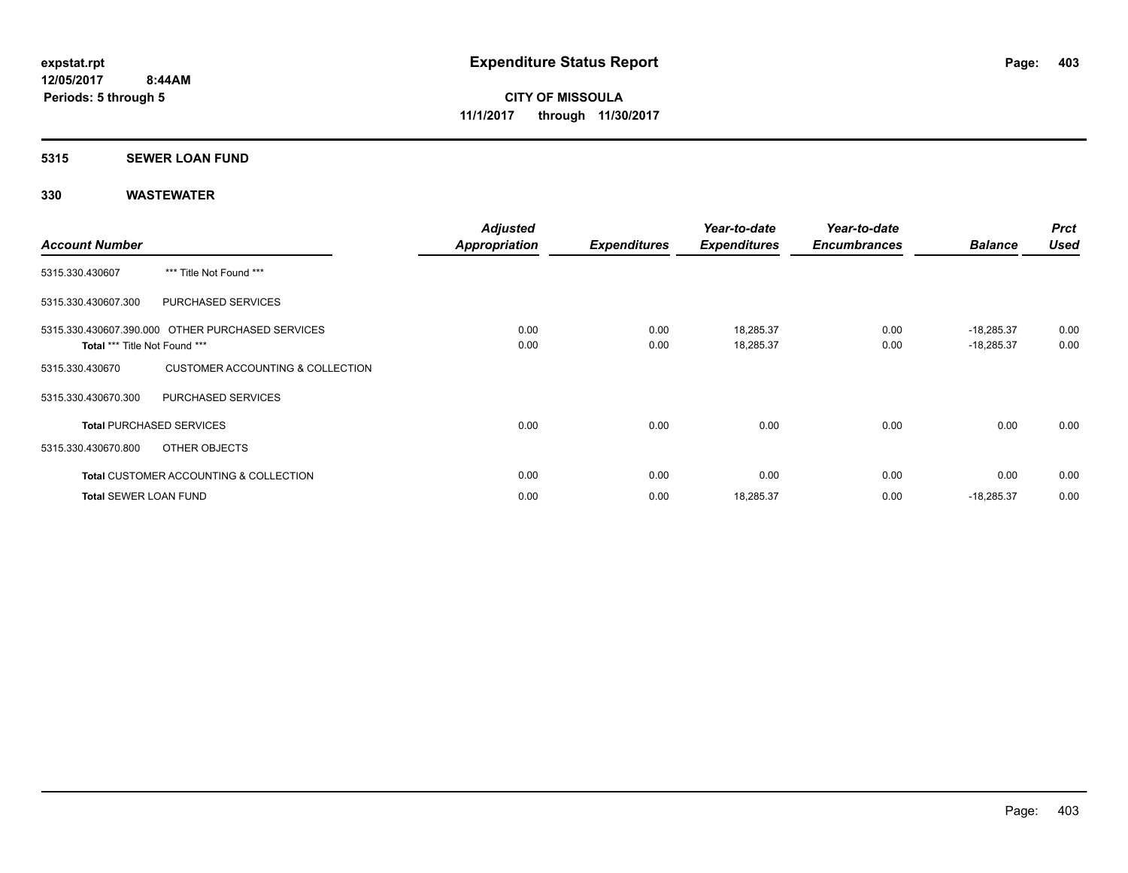#### **5315 SEWER LOAN FUND**

| <b>Account Number</b>         |                                                   | <b>Adjusted</b><br>Appropriation | <b>Expenditures</b> | Year-to-date<br><b>Expenditures</b> | Year-to-date<br><b>Encumbrances</b> | <b>Balance</b>               | <b>Prct</b><br><b>Used</b> |
|-------------------------------|---------------------------------------------------|----------------------------------|---------------------|-------------------------------------|-------------------------------------|------------------------------|----------------------------|
| 5315.330.430607               | *** Title Not Found ***                           |                                  |                     |                                     |                                     |                              |                            |
| 5315.330.430607.300           | PURCHASED SERVICES                                |                                  |                     |                                     |                                     |                              |                            |
| Total *** Title Not Found *** | 5315.330.430607.390.000 OTHER PURCHASED SERVICES  | 0.00<br>0.00                     | 0.00<br>0.00        | 18,285.37<br>18,285.37              | 0.00<br>0.00                        | $-18,285.37$<br>$-18,285.37$ | 0.00<br>0.00               |
| 5315.330.430670               | <b>CUSTOMER ACCOUNTING &amp; COLLECTION</b>       |                                  |                     |                                     |                                     |                              |                            |
| 5315.330.430670.300           | <b>PURCHASED SERVICES</b>                         |                                  |                     |                                     |                                     |                              |                            |
|                               | <b>Total PURCHASED SERVICES</b>                   | 0.00                             | 0.00                | 0.00                                | 0.00                                | 0.00                         | 0.00                       |
| 5315.330.430670.800           | OTHER OBJECTS                                     |                                  |                     |                                     |                                     |                              |                            |
|                               | <b>Total CUSTOMER ACCOUNTING &amp; COLLECTION</b> | 0.00                             | 0.00                | 0.00                                | 0.00                                | 0.00                         | 0.00                       |
| <b>Total SEWER LOAN FUND</b>  |                                                   | 0.00                             | 0.00                | 18,285.37                           | 0.00                                | $-18,285.37$                 | 0.00                       |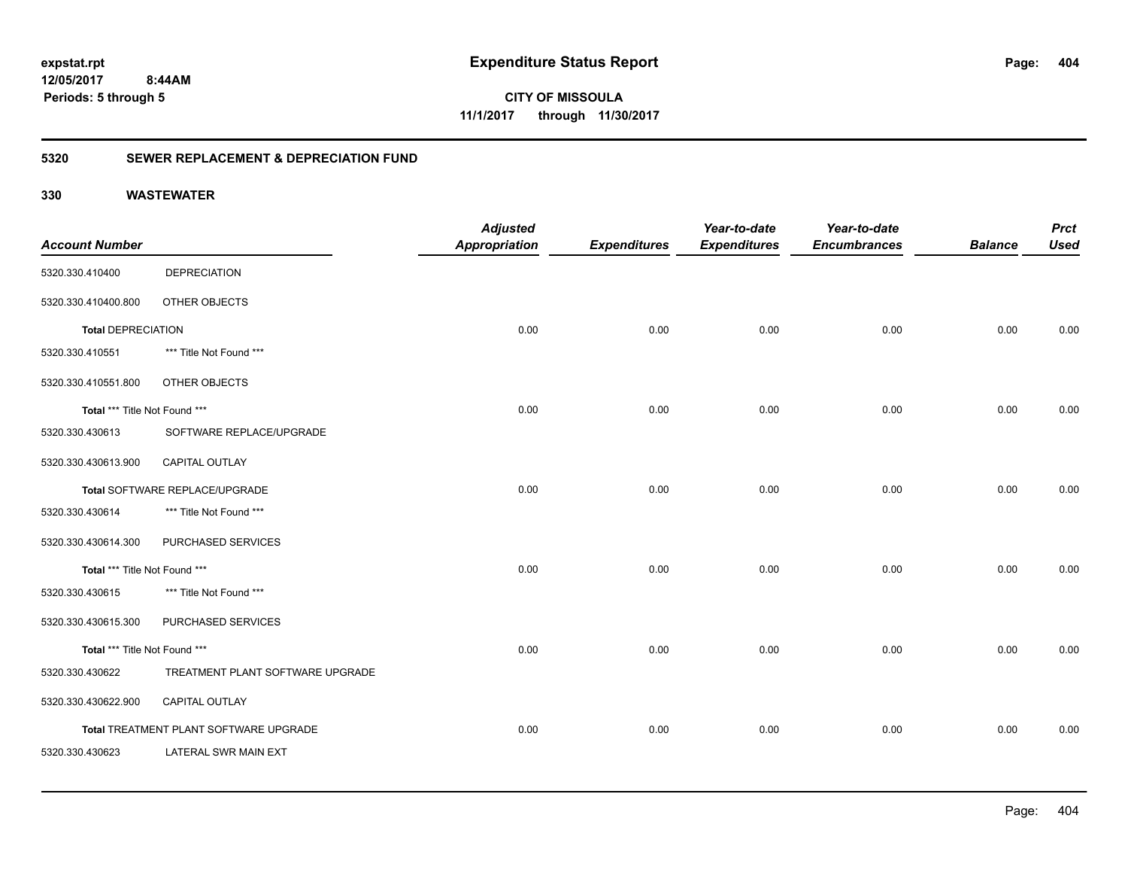**CITY OF MISSOULA 11/1/2017 through 11/30/2017**

### **5320 SEWER REPLACEMENT & DEPRECIATION FUND**

|                               |                                        | <b>Adjusted</b>      |                     | Year-to-date        | Year-to-date        |                | <b>Prct</b> |
|-------------------------------|----------------------------------------|----------------------|---------------------|---------------------|---------------------|----------------|-------------|
| <b>Account Number</b>         |                                        | <b>Appropriation</b> | <b>Expenditures</b> | <b>Expenditures</b> | <b>Encumbrances</b> | <b>Balance</b> | <b>Used</b> |
| 5320.330.410400               | <b>DEPRECIATION</b>                    |                      |                     |                     |                     |                |             |
| 5320.330.410400.800           | OTHER OBJECTS                          |                      |                     |                     |                     |                |             |
| <b>Total DEPRECIATION</b>     |                                        | 0.00                 | 0.00                | 0.00                | 0.00                | 0.00           | 0.00        |
| 5320.330.410551               | *** Title Not Found ***                |                      |                     |                     |                     |                |             |
| 5320.330.410551.800           | OTHER OBJECTS                          |                      |                     |                     |                     |                |             |
| Total *** Title Not Found *** |                                        | 0.00                 | 0.00                | 0.00                | 0.00                | 0.00           | 0.00        |
| 5320.330.430613               | SOFTWARE REPLACE/UPGRADE               |                      |                     |                     |                     |                |             |
| 5320.330.430613.900           | <b>CAPITAL OUTLAY</b>                  |                      |                     |                     |                     |                |             |
|                               | Total SOFTWARE REPLACE/UPGRADE         | 0.00                 | 0.00                | 0.00                | 0.00                | 0.00           | 0.00        |
| 5320.330.430614               | *** Title Not Found ***                |                      |                     |                     |                     |                |             |
| 5320.330.430614.300           | PURCHASED SERVICES                     |                      |                     |                     |                     |                |             |
| Total *** Title Not Found *** |                                        | 0.00                 | 0.00                | 0.00                | 0.00                | 0.00           | 0.00        |
| 5320.330.430615               | *** Title Not Found ***                |                      |                     |                     |                     |                |             |
| 5320.330.430615.300           | PURCHASED SERVICES                     |                      |                     |                     |                     |                |             |
| Total *** Title Not Found *** |                                        | 0.00                 | 0.00                | 0.00                | 0.00                | 0.00           | 0.00        |
| 5320.330.430622               | TREATMENT PLANT SOFTWARE UPGRADE       |                      |                     |                     |                     |                |             |
| 5320.330.430622.900           | CAPITAL OUTLAY                         |                      |                     |                     |                     |                |             |
|                               | Total TREATMENT PLANT SOFTWARE UPGRADE | 0.00                 | 0.00                | 0.00                | 0.00                | 0.00           | 0.00        |
| 5320.330.430623               | <b>LATERAL SWR MAIN EXT</b>            |                      |                     |                     |                     |                |             |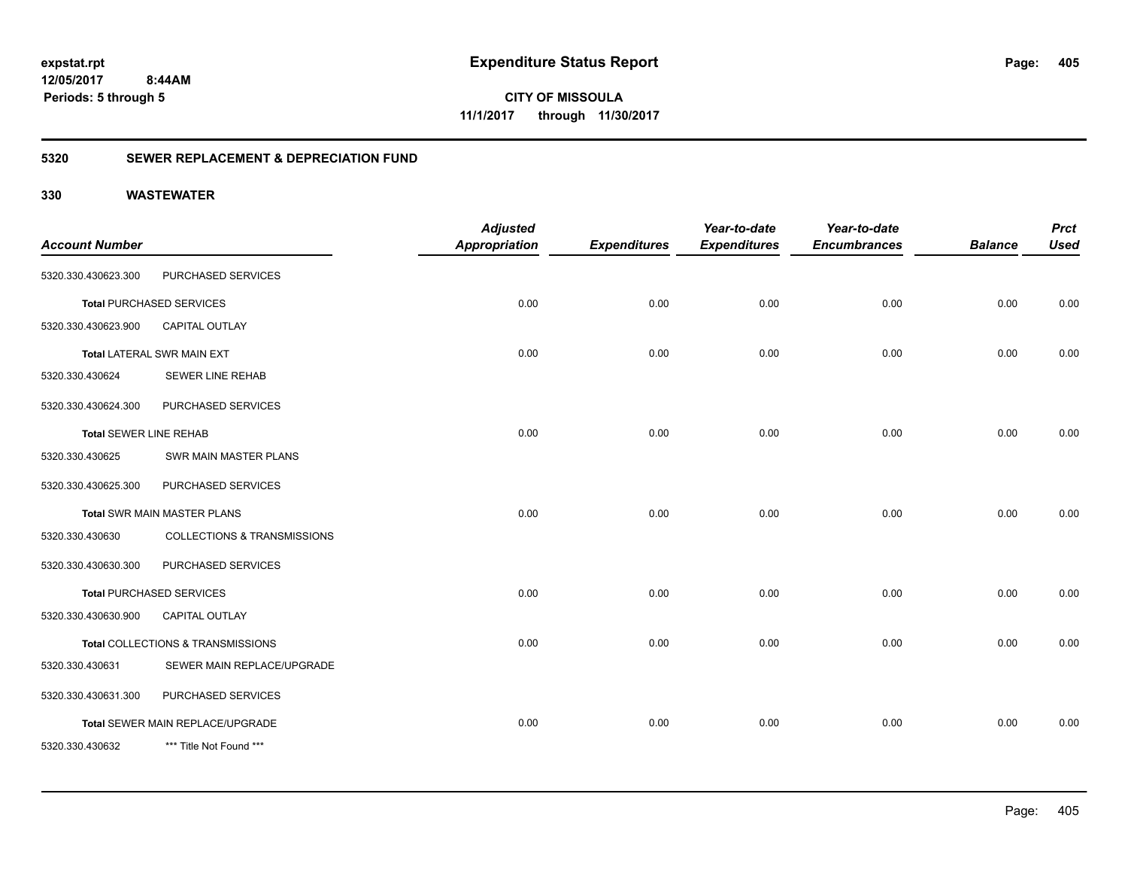**CITY OF MISSOULA 11/1/2017 through 11/30/2017**

### **5320 SEWER REPLACEMENT & DEPRECIATION FUND**

| <b>Account Number</b>         |                                        | <b>Adjusted</b><br>Appropriation | <b>Expenditures</b> | Year-to-date<br><b>Expenditures</b> | Year-to-date<br><b>Encumbrances</b> | <b>Balance</b> | <b>Prct</b><br><b>Used</b> |
|-------------------------------|----------------------------------------|----------------------------------|---------------------|-------------------------------------|-------------------------------------|----------------|----------------------------|
| 5320.330.430623.300           | PURCHASED SERVICES                     |                                  |                     |                                     |                                     |                |                            |
|                               | <b>Total PURCHASED SERVICES</b>        | 0.00                             | 0.00                | 0.00                                | 0.00                                | 0.00           | 0.00                       |
| 5320.330.430623.900           | <b>CAPITAL OUTLAY</b>                  |                                  |                     |                                     |                                     |                |                            |
|                               | <b>Total LATERAL SWR MAIN EXT</b>      | 0.00                             | 0.00                | 0.00                                | 0.00                                | 0.00           | 0.00                       |
| 5320.330.430624               | <b>SEWER LINE REHAB</b>                |                                  |                     |                                     |                                     |                |                            |
| 5320.330.430624.300           | PURCHASED SERVICES                     |                                  |                     |                                     |                                     |                |                            |
| <b>Total SEWER LINE REHAB</b> |                                        | 0.00                             | 0.00                | 0.00                                | 0.00                                | 0.00           | 0.00                       |
| 5320.330.430625               | SWR MAIN MASTER PLANS                  |                                  |                     |                                     |                                     |                |                            |
| 5320.330.430625.300           | PURCHASED SERVICES                     |                                  |                     |                                     |                                     |                |                            |
|                               | <b>Total SWR MAIN MASTER PLANS</b>     | 0.00                             | 0.00                | 0.00                                | 0.00                                | 0.00           | 0.00                       |
| 5320.330.430630               | <b>COLLECTIONS &amp; TRANSMISSIONS</b> |                                  |                     |                                     |                                     |                |                            |
| 5320.330.430630.300           | PURCHASED SERVICES                     |                                  |                     |                                     |                                     |                |                            |
|                               | <b>Total PURCHASED SERVICES</b>        | 0.00                             | 0.00                | 0.00                                | 0.00                                | 0.00           | 0.00                       |
| 5320.330.430630.900           | <b>CAPITAL OUTLAY</b>                  |                                  |                     |                                     |                                     |                |                            |
|                               | Total COLLECTIONS & TRANSMISSIONS      | 0.00                             | 0.00                | 0.00                                | 0.00                                | 0.00           | 0.00                       |
| 5320.330.430631               | SEWER MAIN REPLACE/UPGRADE             |                                  |                     |                                     |                                     |                |                            |
| 5320.330.430631.300           | PURCHASED SERVICES                     |                                  |                     |                                     |                                     |                |                            |
|                               | Total SEWER MAIN REPLACE/UPGRADE       | 0.00                             | 0.00                | 0.00                                | 0.00                                | 0.00           | 0.00                       |
| 5320.330.430632               | *** Title Not Found ***                |                                  |                     |                                     |                                     |                |                            |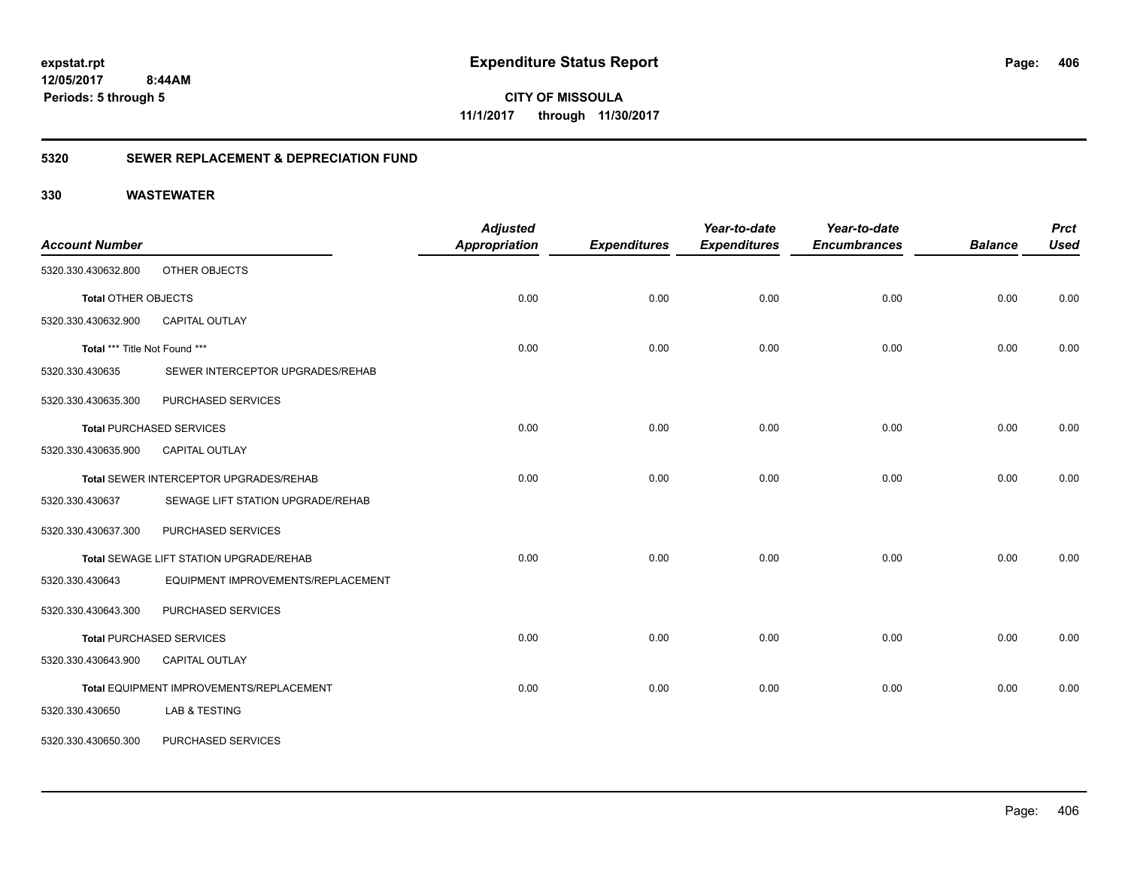**CITY OF MISSOULA 11/1/2017 through 11/30/2017**

### **5320 SEWER REPLACEMENT & DEPRECIATION FUND**

| <b>Account Number</b>         |                                          | <b>Adjusted</b><br><b>Appropriation</b> | <b>Expenditures</b> | Year-to-date<br><b>Expenditures</b> | Year-to-date<br><b>Encumbrances</b> | <b>Balance</b> | <b>Prct</b><br><b>Used</b> |
|-------------------------------|------------------------------------------|-----------------------------------------|---------------------|-------------------------------------|-------------------------------------|----------------|----------------------------|
| 5320.330.430632.800           | OTHER OBJECTS                            |                                         |                     |                                     |                                     |                |                            |
| <b>Total OTHER OBJECTS</b>    |                                          | 0.00                                    | 0.00                | 0.00                                | 0.00                                | 0.00           | 0.00                       |
| 5320.330.430632.900           | CAPITAL OUTLAY                           |                                         |                     |                                     |                                     |                |                            |
| Total *** Title Not Found *** |                                          | 0.00                                    | 0.00                | 0.00                                | 0.00                                | 0.00           | 0.00                       |
| 5320.330.430635               | SEWER INTERCEPTOR UPGRADES/REHAB         |                                         |                     |                                     |                                     |                |                            |
| 5320.330.430635.300           | PURCHASED SERVICES                       |                                         |                     |                                     |                                     |                |                            |
|                               | <b>Total PURCHASED SERVICES</b>          | 0.00                                    | 0.00                | 0.00                                | 0.00                                | 0.00           | 0.00                       |
| 5320.330.430635.900           | <b>CAPITAL OUTLAY</b>                    |                                         |                     |                                     |                                     |                |                            |
|                               | Total SEWER INTERCEPTOR UPGRADES/REHAB   | 0.00                                    | 0.00                | 0.00                                | 0.00                                | 0.00           | 0.00                       |
| 5320.330.430637               | SEWAGE LIFT STATION UPGRADE/REHAB        |                                         |                     |                                     |                                     |                |                            |
| 5320.330.430637.300           | PURCHASED SERVICES                       |                                         |                     |                                     |                                     |                |                            |
|                               | Total SEWAGE LIFT STATION UPGRADE/REHAB  | 0.00                                    | 0.00                | 0.00                                | 0.00                                | 0.00           | 0.00                       |
| 5320.330.430643               | EQUIPMENT IMPROVEMENTS/REPLACEMENT       |                                         |                     |                                     |                                     |                |                            |
| 5320.330.430643.300           | PURCHASED SERVICES                       |                                         |                     |                                     |                                     |                |                            |
|                               | <b>Total PURCHASED SERVICES</b>          | 0.00                                    | 0.00                | 0.00                                | 0.00                                | 0.00           | 0.00                       |
| 5320.330.430643.900           | CAPITAL OUTLAY                           |                                         |                     |                                     |                                     |                |                            |
|                               | Total EQUIPMENT IMPROVEMENTS/REPLACEMENT | 0.00                                    | 0.00                | 0.00                                | 0.00                                | 0.00           | 0.00                       |
| 5320.330.430650               | LAB & TESTING                            |                                         |                     |                                     |                                     |                |                            |
| 5320.330.430650.300           | PURCHASED SERVICES                       |                                         |                     |                                     |                                     |                |                            |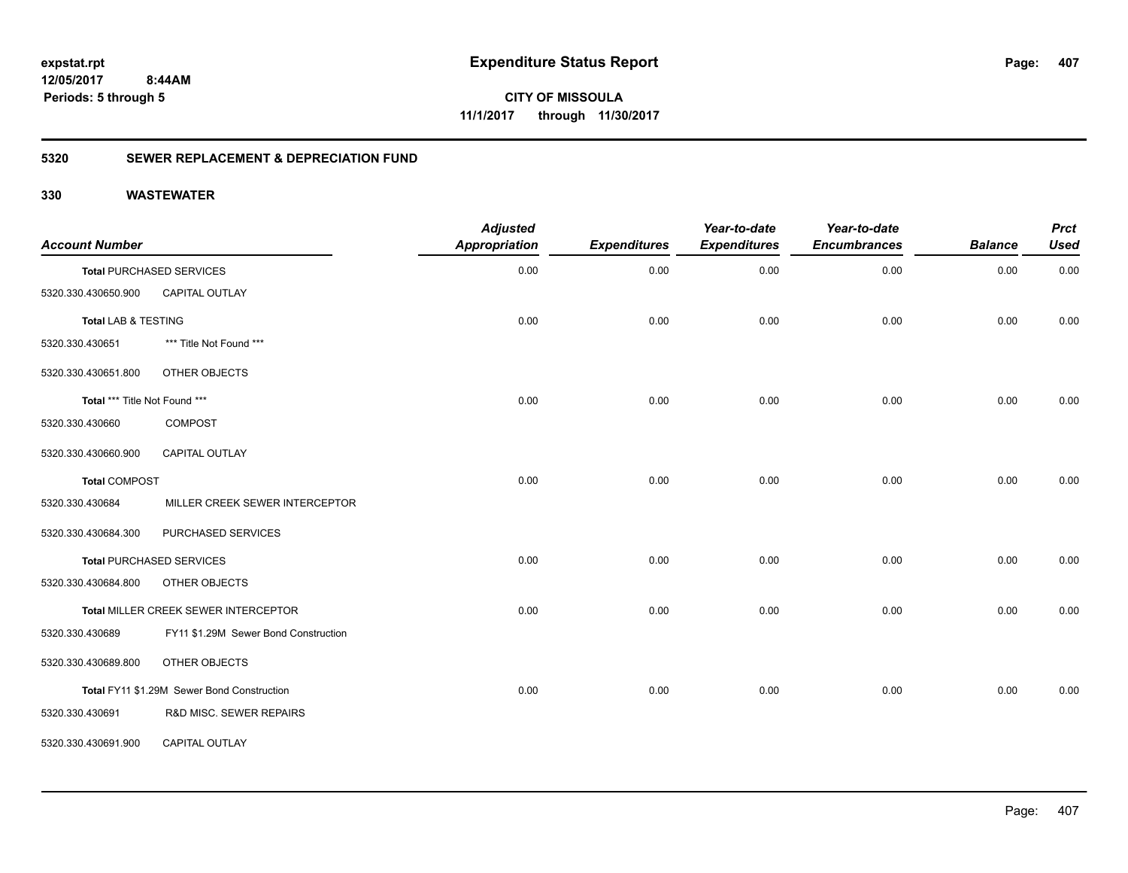# **12/05/2017**

**407**

 **8:44AM Periods: 5 through 5**

**CITY OF MISSOULA 11/1/2017 through 11/30/2017**

### **5320 SEWER REPLACEMENT & DEPRECIATION FUND**

| <b>Account Number</b>          |                                            | <b>Adjusted</b><br><b>Appropriation</b> | <b>Expenditures</b> | Year-to-date<br><b>Expenditures</b> | Year-to-date<br><b>Encumbrances</b> | <b>Balance</b> | <b>Prct</b><br><b>Used</b> |
|--------------------------------|--------------------------------------------|-----------------------------------------|---------------------|-------------------------------------|-------------------------------------|----------------|----------------------------|
|                                | <b>Total PURCHASED SERVICES</b>            | 0.00                                    | 0.00                | 0.00                                | 0.00                                | 0.00           | 0.00                       |
| 5320.330.430650.900            | CAPITAL OUTLAY                             |                                         |                     |                                     |                                     |                |                            |
| <b>Total LAB &amp; TESTING</b> |                                            | 0.00                                    | 0.00                | 0.00                                | 0.00                                | 0.00           | 0.00                       |
| 5320.330.430651                | *** Title Not Found ***                    |                                         |                     |                                     |                                     |                |                            |
| 5320.330.430651.800            | OTHER OBJECTS                              |                                         |                     |                                     |                                     |                |                            |
| Total *** Title Not Found ***  |                                            | 0.00                                    | 0.00                | 0.00                                | 0.00                                | 0.00           | 0.00                       |
| 5320.330.430660                | <b>COMPOST</b>                             |                                         |                     |                                     |                                     |                |                            |
| 5320.330.430660.900            | CAPITAL OUTLAY                             |                                         |                     |                                     |                                     |                |                            |
| <b>Total COMPOST</b>           |                                            | 0.00                                    | 0.00                | 0.00                                | 0.00                                | 0.00           | 0.00                       |
| 5320.330.430684                | MILLER CREEK SEWER INTERCEPTOR             |                                         |                     |                                     |                                     |                |                            |
| 5320.330.430684.300            | PURCHASED SERVICES                         |                                         |                     |                                     |                                     |                |                            |
|                                | <b>Total PURCHASED SERVICES</b>            | 0.00                                    | 0.00                | 0.00                                | 0.00                                | 0.00           | 0.00                       |
| 5320.330.430684.800            | OTHER OBJECTS                              |                                         |                     |                                     |                                     |                |                            |
|                                | Total MILLER CREEK SEWER INTERCEPTOR       | 0.00                                    | 0.00                | 0.00                                | 0.00                                | 0.00           | 0.00                       |
| 5320.330.430689                | FY11 \$1.29M Sewer Bond Construction       |                                         |                     |                                     |                                     |                |                            |
| 5320.330.430689.800            | OTHER OBJECTS                              |                                         |                     |                                     |                                     |                |                            |
|                                | Total FY11 \$1.29M Sewer Bond Construction | 0.00                                    | 0.00                | 0.00                                | 0.00                                | 0.00           | 0.00                       |
| 5320.330.430691                | R&D MISC. SEWER REPAIRS                    |                                         |                     |                                     |                                     |                |                            |
| 5320.330.430691.900            | <b>CAPITAL OUTLAY</b>                      |                                         |                     |                                     |                                     |                |                            |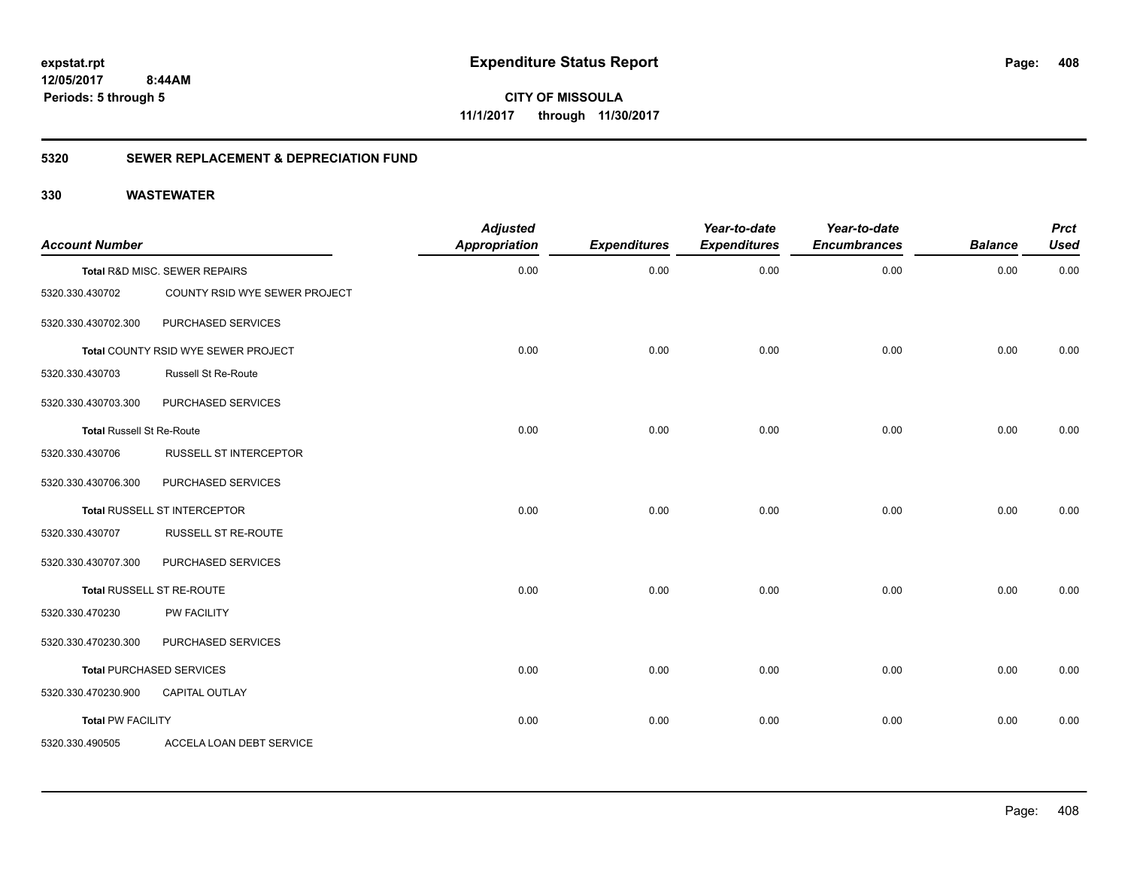**CITY OF MISSOULA 11/1/2017 through 11/30/2017**

### **5320 SEWER REPLACEMENT & DEPRECIATION FUND**

| <b>Account Number</b>            |                                            | <b>Adjusted</b><br><b>Appropriation</b> | <b>Expenditures</b> | Year-to-date<br><b>Expenditures</b> | Year-to-date<br><b>Encumbrances</b> | <b>Balance</b> | <b>Prct</b><br><b>Used</b> |
|----------------------------------|--------------------------------------------|-----------------------------------------|---------------------|-------------------------------------|-------------------------------------|----------------|----------------------------|
|                                  | Total R&D MISC. SEWER REPAIRS              | 0.00                                    | 0.00                | 0.00                                | 0.00                                | 0.00           | 0.00                       |
| 5320.330.430702                  | COUNTY RSID WYE SEWER PROJECT              |                                         |                     |                                     |                                     |                |                            |
| 5320.330.430702.300              | PURCHASED SERVICES                         |                                         |                     |                                     |                                     |                |                            |
|                                  | <b>Total COUNTY RSID WYE SEWER PROJECT</b> | 0.00                                    | 0.00                | 0.00                                | 0.00                                | 0.00           | 0.00                       |
| 5320.330.430703                  | Russell St Re-Route                        |                                         |                     |                                     |                                     |                |                            |
| 5320.330.430703.300              | PURCHASED SERVICES                         |                                         |                     |                                     |                                     |                |                            |
| <b>Total Russell St Re-Route</b> |                                            | 0.00                                    | 0.00                | 0.00                                | 0.00                                | 0.00           | 0.00                       |
| 5320.330.430706                  | RUSSELL ST INTERCEPTOR                     |                                         |                     |                                     |                                     |                |                            |
| 5320.330.430706.300              | PURCHASED SERVICES                         |                                         |                     |                                     |                                     |                |                            |
|                                  | Total RUSSELL ST INTERCEPTOR               | 0.00                                    | 0.00                | 0.00                                | 0.00                                | 0.00           | 0.00                       |
| 5320.330.430707                  | RUSSELL ST RE-ROUTE                        |                                         |                     |                                     |                                     |                |                            |
| 5320.330.430707.300              | PURCHASED SERVICES                         |                                         |                     |                                     |                                     |                |                            |
|                                  | Total RUSSELL ST RE-ROUTE                  | 0.00                                    | 0.00                | 0.00                                | 0.00                                | 0.00           | 0.00                       |
| 5320.330.470230                  | PW FACILITY                                |                                         |                     |                                     |                                     |                |                            |
| 5320.330.470230.300              | PURCHASED SERVICES                         |                                         |                     |                                     |                                     |                |                            |
|                                  | <b>Total PURCHASED SERVICES</b>            | 0.00                                    | 0.00                | 0.00                                | 0.00                                | 0.00           | 0.00                       |
| 5320.330.470230.900              | <b>CAPITAL OUTLAY</b>                      |                                         |                     |                                     |                                     |                |                            |
| <b>Total PW FACILITY</b>         |                                            | 0.00                                    | 0.00                | 0.00                                | 0.00                                | 0.00           | 0.00                       |
| 5320.330.490505                  | ACCELA LOAN DEBT SERVICE                   |                                         |                     |                                     |                                     |                |                            |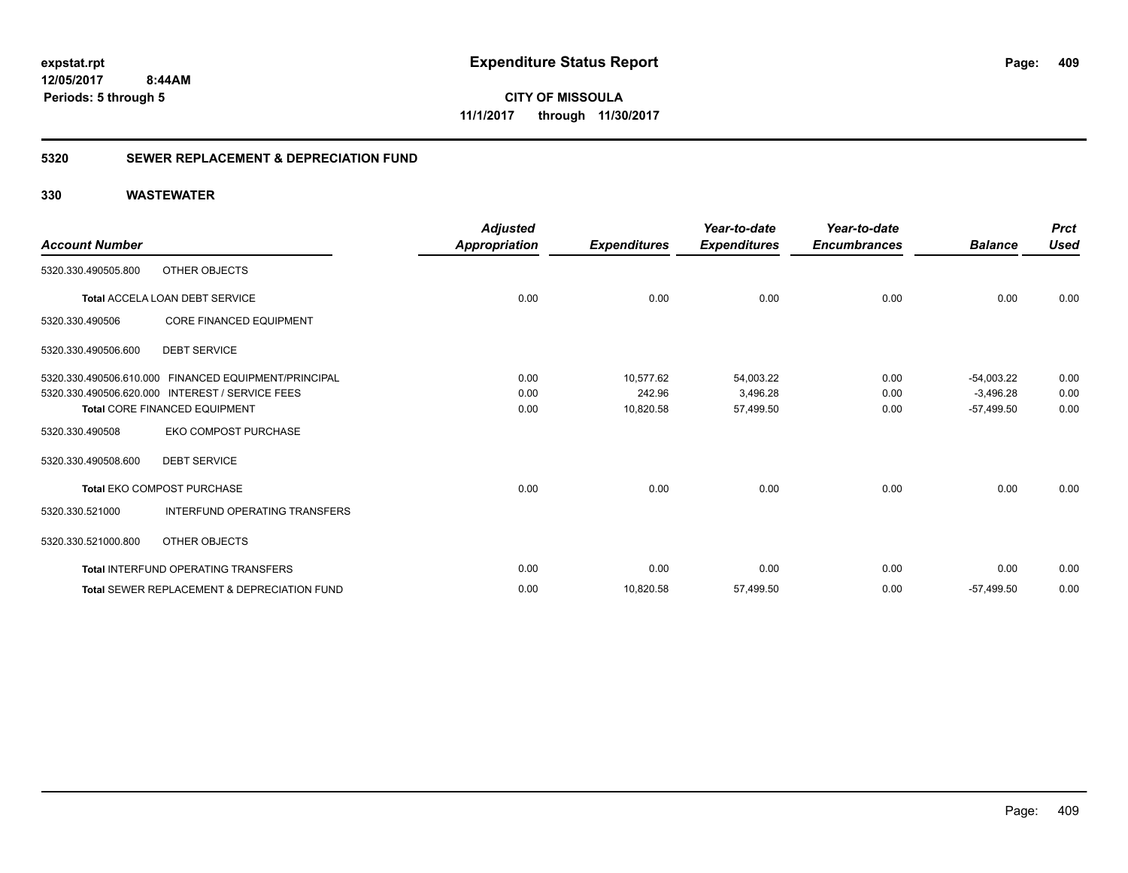**CITY OF MISSOULA 11/1/2017 through 11/30/2017**

### **5320 SEWER REPLACEMENT & DEPRECIATION FUND**

| <b>Account Number</b>   |                                                        | <b>Adjusted</b><br>Appropriation | <b>Expenditures</b> | Year-to-date<br><b>Expenditures</b> | Year-to-date<br><b>Encumbrances</b> | <b>Balance</b> | <b>Prct</b><br><b>Used</b> |
|-------------------------|--------------------------------------------------------|----------------------------------|---------------------|-------------------------------------|-------------------------------------|----------------|----------------------------|
| 5320.330.490505.800     | OTHER OBJECTS                                          |                                  |                     |                                     |                                     |                |                            |
|                         | Total ACCELA LOAN DEBT SERVICE                         | 0.00                             | 0.00                | 0.00                                | 0.00                                | 0.00           | 0.00                       |
| 5320.330.490506         | <b>CORE FINANCED EQUIPMENT</b>                         |                                  |                     |                                     |                                     |                |                            |
| 5320.330.490506.600     | <b>DEBT SERVICE</b>                                    |                                  |                     |                                     |                                     |                |                            |
|                         | 5320.330.490506.610.000 FINANCED EQUIPMENT/PRINCIPAL   | 0.00                             | 10.577.62           | 54,003.22                           | 0.00                                | $-54,003.22$   | 0.00                       |
| 5320.330.490506.620.000 | <b>INTEREST / SERVICE FEES</b>                         | 0.00                             | 242.96              | 3,496.28                            | 0.00                                | $-3,496.28$    | 0.00                       |
|                         | <b>Total CORE FINANCED EQUIPMENT</b>                   | 0.00                             | 10,820.58           | 57,499.50                           | 0.00                                | $-57,499.50$   | 0.00                       |
| 5320.330.490508         | <b>EKO COMPOST PURCHASE</b>                            |                                  |                     |                                     |                                     |                |                            |
| 5320.330.490508.600     | <b>DEBT SERVICE</b>                                    |                                  |                     |                                     |                                     |                |                            |
|                         | <b>Total EKO COMPOST PURCHASE</b>                      | 0.00                             | 0.00                | 0.00                                | 0.00                                | 0.00           | 0.00                       |
| 5320.330.521000         | INTERFUND OPERATING TRANSFERS                          |                                  |                     |                                     |                                     |                |                            |
| 5320.330.521000.800     | OTHER OBJECTS                                          |                                  |                     |                                     |                                     |                |                            |
|                         | <b>Total INTERFUND OPERATING TRANSFERS</b>             | 0.00                             | 0.00                | 0.00                                | 0.00                                | 0.00           | 0.00                       |
|                         | <b>Total SEWER REPLACEMENT &amp; DEPRECIATION FUND</b> | 0.00                             | 10,820.58           | 57,499.50                           | 0.00                                | $-57,499.50$   | 0.00                       |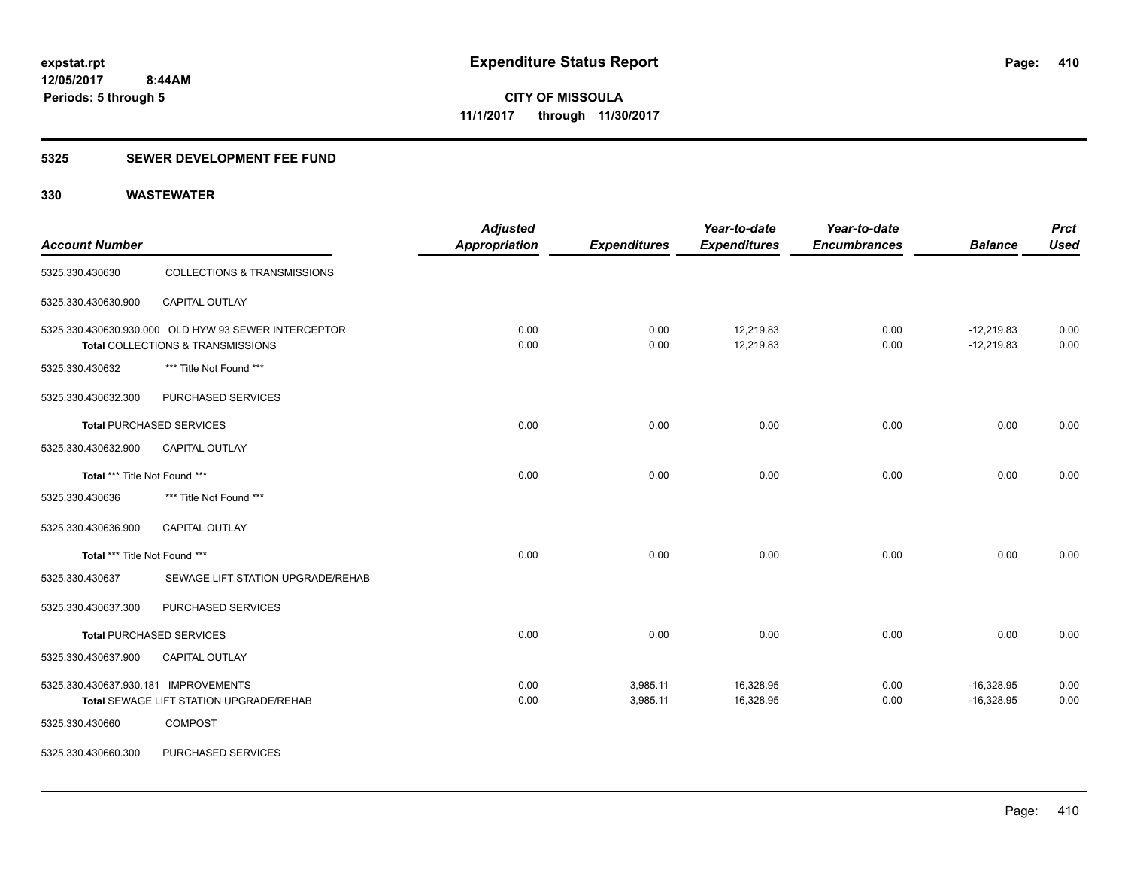### **5325 SEWER DEVELOPMENT FEE FUND**

| <b>Account Number</b>                |                                                                                           | <b>Adjusted</b><br><b>Appropriation</b> | <b>Expenditures</b>  | Year-to-date<br><b>Expenditures</b> | Year-to-date<br><b>Encumbrances</b> | <b>Balance</b>               | <b>Prct</b><br><b>Used</b> |
|--------------------------------------|-------------------------------------------------------------------------------------------|-----------------------------------------|----------------------|-------------------------------------|-------------------------------------|------------------------------|----------------------------|
| 5325.330.430630                      | <b>COLLECTIONS &amp; TRANSMISSIONS</b>                                                    |                                         |                      |                                     |                                     |                              |                            |
| 5325.330.430630.900                  | <b>CAPITAL OUTLAY</b>                                                                     |                                         |                      |                                     |                                     |                              |                            |
|                                      | 5325.330.430630.930.000 OLD HYW 93 SEWER INTERCEPTOR<br>Total COLLECTIONS & TRANSMISSIONS | 0.00<br>0.00                            | 0.00<br>0.00         | 12,219.83<br>12,219.83              | 0.00<br>0.00                        | $-12,219.83$<br>$-12,219.83$ | 0.00<br>0.00               |
| 5325.330.430632                      | *** Title Not Found ***                                                                   |                                         |                      |                                     |                                     |                              |                            |
| 5325.330.430632.300                  | PURCHASED SERVICES                                                                        |                                         |                      |                                     |                                     |                              |                            |
|                                      | <b>Total PURCHASED SERVICES</b>                                                           | 0.00                                    | 0.00                 | 0.00                                | 0.00                                | 0.00                         | 0.00                       |
| 5325.330.430632.900                  | <b>CAPITAL OUTLAY</b>                                                                     |                                         |                      |                                     |                                     |                              |                            |
| Total *** Title Not Found ***        |                                                                                           | 0.00                                    | 0.00                 | 0.00                                | 0.00                                | 0.00                         | 0.00                       |
| 5325.330.430636                      | *** Title Not Found ***                                                                   |                                         |                      |                                     |                                     |                              |                            |
| 5325.330.430636.900                  | CAPITAL OUTLAY                                                                            |                                         |                      |                                     |                                     |                              |                            |
| Total *** Title Not Found ***        |                                                                                           | 0.00                                    | 0.00                 | 0.00                                | 0.00                                | 0.00                         | 0.00                       |
| 5325.330.430637                      | SEWAGE LIFT STATION UPGRADE/REHAB                                                         |                                         |                      |                                     |                                     |                              |                            |
| 5325.330.430637.300                  | PURCHASED SERVICES                                                                        |                                         |                      |                                     |                                     |                              |                            |
|                                      | <b>Total PURCHASED SERVICES</b>                                                           | 0.00                                    | 0.00                 | 0.00                                | 0.00                                | 0.00                         | 0.00                       |
| 5325.330.430637.900                  | <b>CAPITAL OUTLAY</b>                                                                     |                                         |                      |                                     |                                     |                              |                            |
| 5325.330.430637.930.181 IMPROVEMENTS | Total SEWAGE LIFT STATION UPGRADE/REHAB                                                   | 0.00<br>0.00                            | 3,985.11<br>3,985.11 | 16,328.95<br>16,328.95              | 0.00<br>0.00                        | $-16,328.95$<br>$-16,328.95$ | 0.00<br>0.00               |
| 5325.330.430660                      | <b>COMPOST</b>                                                                            |                                         |                      |                                     |                                     |                              |                            |
| 5325.330.430660.300                  | PURCHASED SERVICES                                                                        |                                         |                      |                                     |                                     |                              |                            |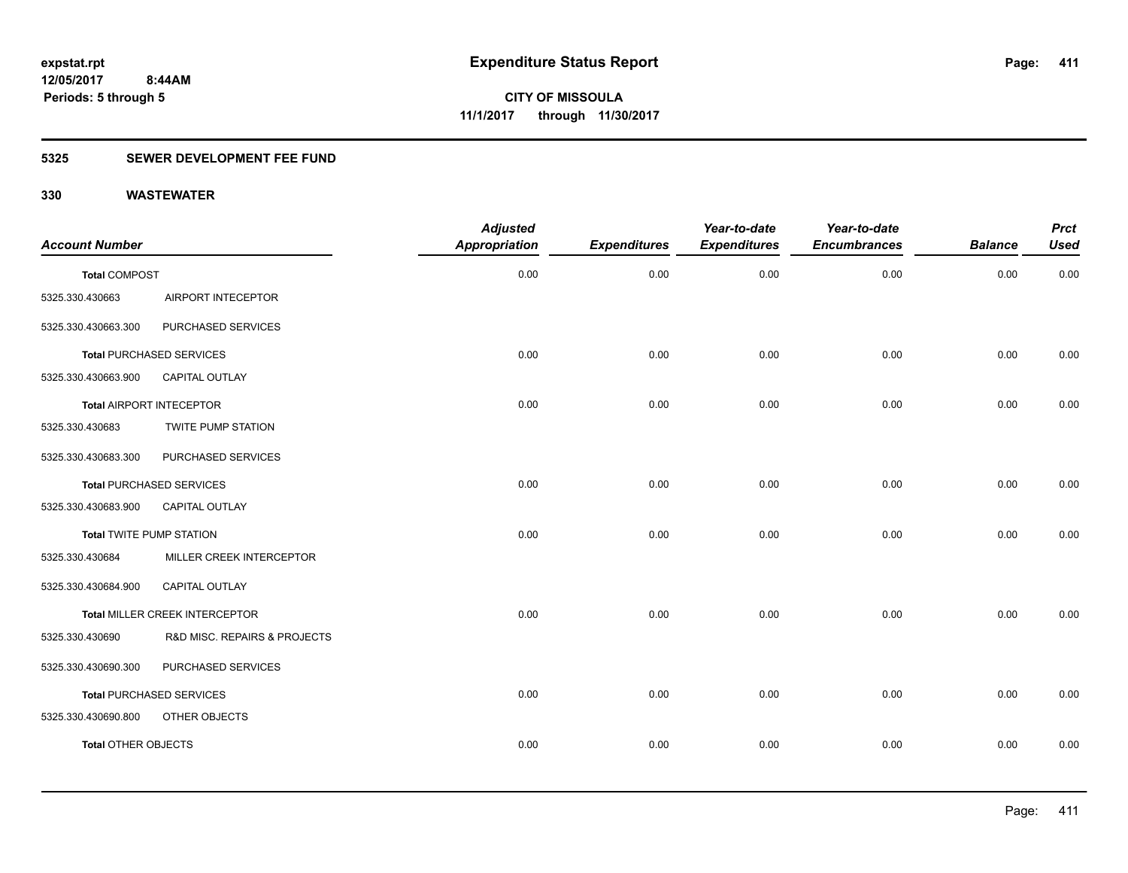### **5325 SEWER DEVELOPMENT FEE FUND**

| <b>Account Number</b>           |                                 | <b>Adjusted</b><br><b>Appropriation</b> | <b>Expenditures</b> | Year-to-date<br><b>Expenditures</b> | Year-to-date<br><b>Encumbrances</b> | <b>Balance</b> | <b>Prct</b><br><b>Used</b> |
|---------------------------------|---------------------------------|-----------------------------------------|---------------------|-------------------------------------|-------------------------------------|----------------|----------------------------|
| <b>Total COMPOST</b>            |                                 | 0.00                                    | 0.00                | 0.00                                | 0.00                                | 0.00           | 0.00                       |
| 5325.330.430663                 | AIRPORT INTECEPTOR              |                                         |                     |                                     |                                     |                |                            |
| 5325.330.430663.300             | PURCHASED SERVICES              |                                         |                     |                                     |                                     |                |                            |
|                                 | <b>Total PURCHASED SERVICES</b> | 0.00                                    | 0.00                | 0.00                                | 0.00                                | 0.00           | 0.00                       |
| 5325.330.430663.900             | <b>CAPITAL OUTLAY</b>           |                                         |                     |                                     |                                     |                |                            |
|                                 | <b>Total AIRPORT INTECEPTOR</b> | 0.00                                    | 0.00                | 0.00                                | 0.00                                | 0.00           | 0.00                       |
| 5325.330.430683                 | <b>TWITE PUMP STATION</b>       |                                         |                     |                                     |                                     |                |                            |
| 5325.330.430683.300             | PURCHASED SERVICES              |                                         |                     |                                     |                                     |                |                            |
|                                 | <b>Total PURCHASED SERVICES</b> | 0.00                                    | 0.00                | 0.00                                | 0.00                                | 0.00           | 0.00                       |
| 5325.330.430683.900             | CAPITAL OUTLAY                  |                                         |                     |                                     |                                     |                |                            |
| <b>Total TWITE PUMP STATION</b> |                                 | 0.00                                    | 0.00                | 0.00                                | 0.00                                | 0.00           | 0.00                       |
| 5325.330.430684                 | MILLER CREEK INTERCEPTOR        |                                         |                     |                                     |                                     |                |                            |
| 5325.330.430684.900             | CAPITAL OUTLAY                  |                                         |                     |                                     |                                     |                |                            |
|                                 | Total MILLER CREEK INTERCEPTOR  | 0.00                                    | 0.00                | 0.00                                | 0.00                                | 0.00           | 0.00                       |
| 5325.330.430690                 | R&D MISC. REPAIRS & PROJECTS    |                                         |                     |                                     |                                     |                |                            |
| 5325.330.430690.300             | PURCHASED SERVICES              |                                         |                     |                                     |                                     |                |                            |
|                                 | <b>Total PURCHASED SERVICES</b> | 0.00                                    | 0.00                | 0.00                                | 0.00                                | 0.00           | 0.00                       |
| 5325.330.430690.800             | OTHER OBJECTS                   |                                         |                     |                                     |                                     |                |                            |
| Total OTHER OBJECTS             |                                 | 0.00                                    | 0.00                | 0.00                                | 0.00                                | 0.00           | 0.00                       |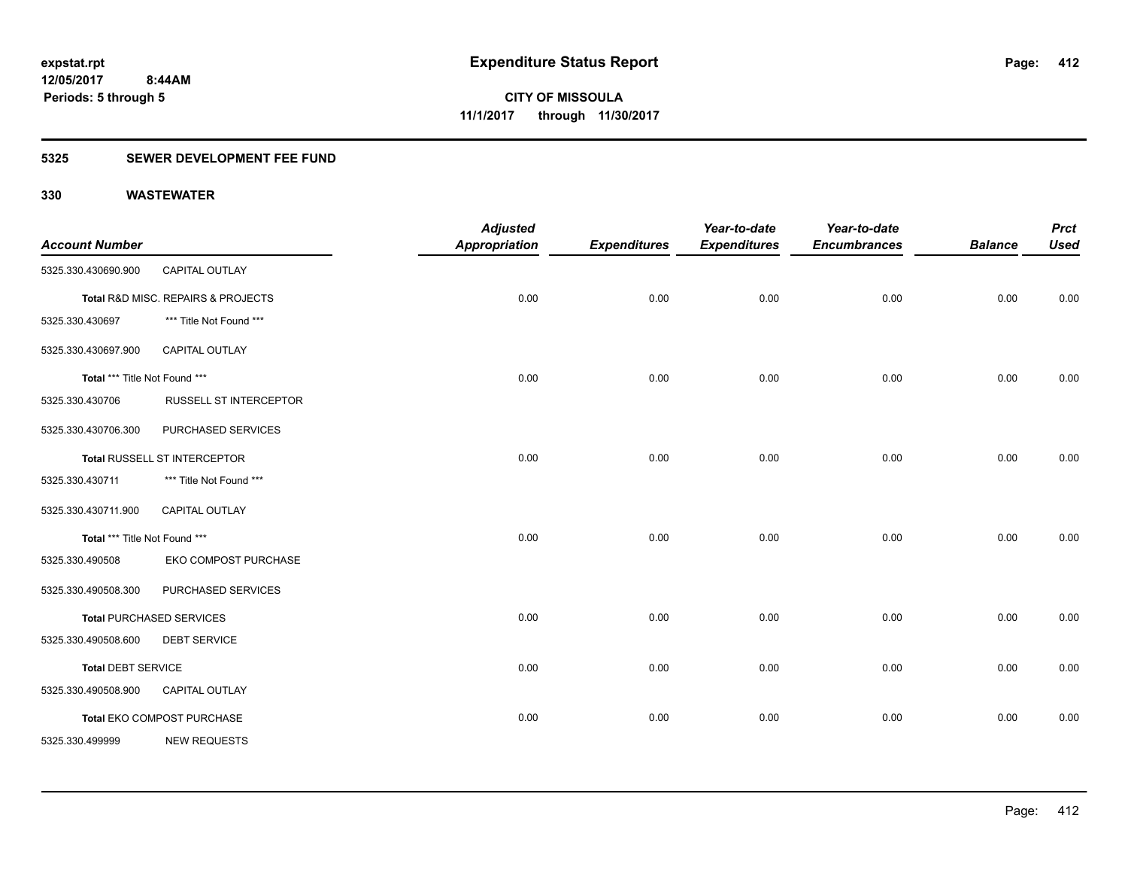### **5325 SEWER DEVELOPMENT FEE FUND**

| <b>Account Number</b>         |                                    | <b>Adjusted</b><br><b>Appropriation</b> | <b>Expenditures</b> | Year-to-date<br><b>Expenditures</b> | Year-to-date<br><b>Encumbrances</b> | <b>Balance</b> | <b>Prct</b><br><b>Used</b> |
|-------------------------------|------------------------------------|-----------------------------------------|---------------------|-------------------------------------|-------------------------------------|----------------|----------------------------|
| 5325.330.430690.900           | <b>CAPITAL OUTLAY</b>              |                                         |                     |                                     |                                     |                |                            |
|                               | Total R&D MISC. REPAIRS & PROJECTS | 0.00                                    | 0.00                | 0.00                                | 0.00                                | 0.00           | 0.00                       |
| 5325.330.430697               | *** Title Not Found ***            |                                         |                     |                                     |                                     |                |                            |
| 5325.330.430697.900           | CAPITAL OUTLAY                     |                                         |                     |                                     |                                     |                |                            |
| Total *** Title Not Found *** |                                    | 0.00                                    | 0.00                | 0.00                                | 0.00                                | 0.00           | 0.00                       |
| 5325.330.430706               | <b>RUSSELL ST INTERCEPTOR</b>      |                                         |                     |                                     |                                     |                |                            |
| 5325.330.430706.300           | PURCHASED SERVICES                 |                                         |                     |                                     |                                     |                |                            |
|                               | Total RUSSELL ST INTERCEPTOR       | 0.00                                    | 0.00                | 0.00                                | 0.00                                | 0.00           | 0.00                       |
| 5325.330.430711               | *** Title Not Found ***            |                                         |                     |                                     |                                     |                |                            |
| 5325.330.430711.900           | <b>CAPITAL OUTLAY</b>              |                                         |                     |                                     |                                     |                |                            |
| Total *** Title Not Found *** |                                    | 0.00                                    | 0.00                | 0.00                                | 0.00                                | 0.00           | 0.00                       |
| 5325.330.490508               | EKO COMPOST PURCHASE               |                                         |                     |                                     |                                     |                |                            |
| 5325.330.490508.300           | PURCHASED SERVICES                 |                                         |                     |                                     |                                     |                |                            |
|                               | <b>Total PURCHASED SERVICES</b>    | 0.00                                    | 0.00                | 0.00                                | 0.00                                | 0.00           | 0.00                       |
| 5325.330.490508.600           | <b>DEBT SERVICE</b>                |                                         |                     |                                     |                                     |                |                            |
| <b>Total DEBT SERVICE</b>     |                                    | 0.00                                    | 0.00                | 0.00                                | 0.00                                | 0.00           | 0.00                       |
| 5325.330.490508.900           | CAPITAL OUTLAY                     |                                         |                     |                                     |                                     |                |                            |
|                               | Total EKO COMPOST PURCHASE         | 0.00                                    | 0.00                | 0.00                                | 0.00                                | 0.00           | 0.00                       |
| 5325.330.499999               | <b>NEW REQUESTS</b>                |                                         |                     |                                     |                                     |                |                            |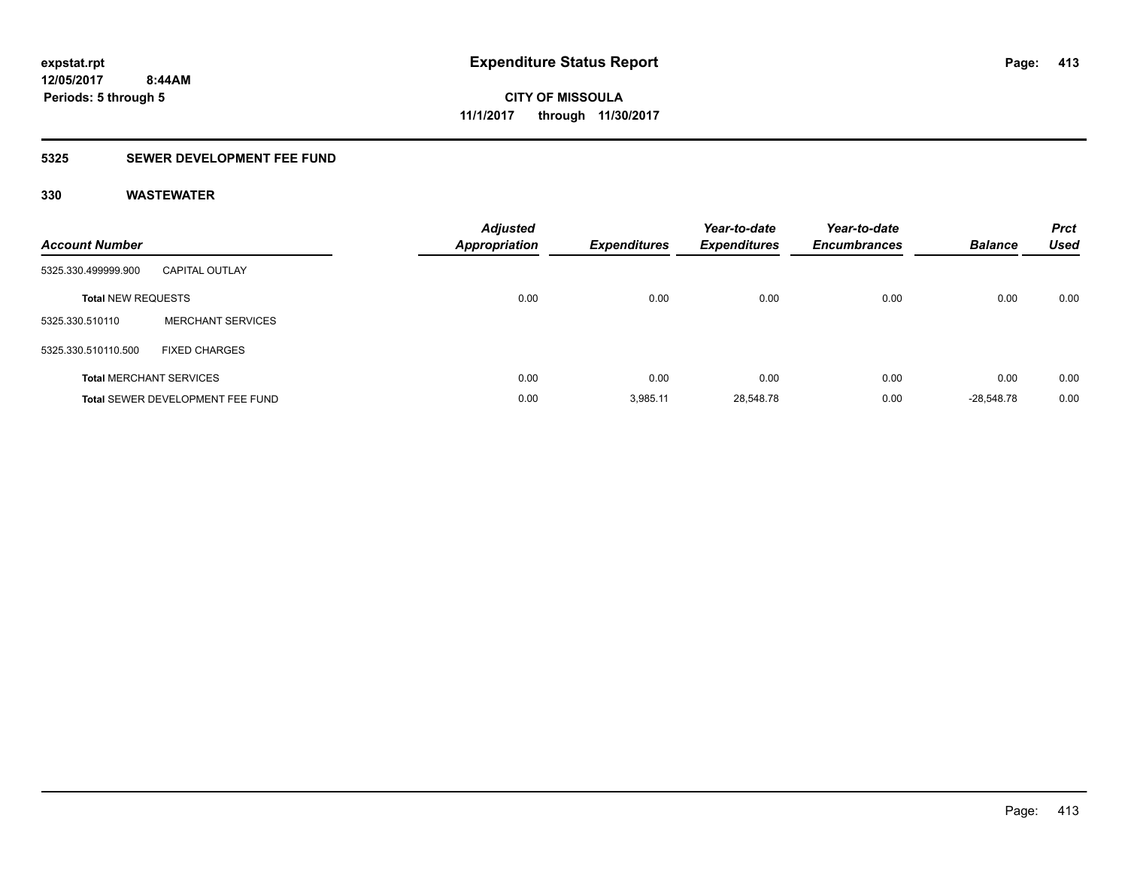### **5325 SEWER DEVELOPMENT FEE FUND**

| <b>Account Number</b>     |                                         | <b>Adjusted</b><br><b>Appropriation</b> | Expenditures | Year-to-date<br><b>Expenditures</b> | Year-to-date<br><b>Encumbrances</b> | <b>Balance</b> | <b>Prct</b><br><b>Used</b> |
|---------------------------|-----------------------------------------|-----------------------------------------|--------------|-------------------------------------|-------------------------------------|----------------|----------------------------|
| 5325.330.499999.900       | <b>CAPITAL OUTLAY</b>                   |                                         |              |                                     |                                     |                |                            |
| <b>Total NEW REQUESTS</b> |                                         | 0.00                                    | 0.00         | 0.00                                | 0.00                                | 0.00           | 0.00                       |
| 5325.330.510110           | <b>MERCHANT SERVICES</b>                |                                         |              |                                     |                                     |                |                            |
| 5325.330.510110.500       | <b>FIXED CHARGES</b>                    |                                         |              |                                     |                                     |                |                            |
|                           | <b>Total MERCHANT SERVICES</b>          | 0.00                                    | 0.00         | 0.00                                | 0.00                                | 0.00           | 0.00                       |
|                           | <b>Total SEWER DEVELOPMENT FEE FUND</b> | 0.00                                    | 3.985.11     | 28,548.78                           | 0.00                                | $-28.548.78$   | 0.00                       |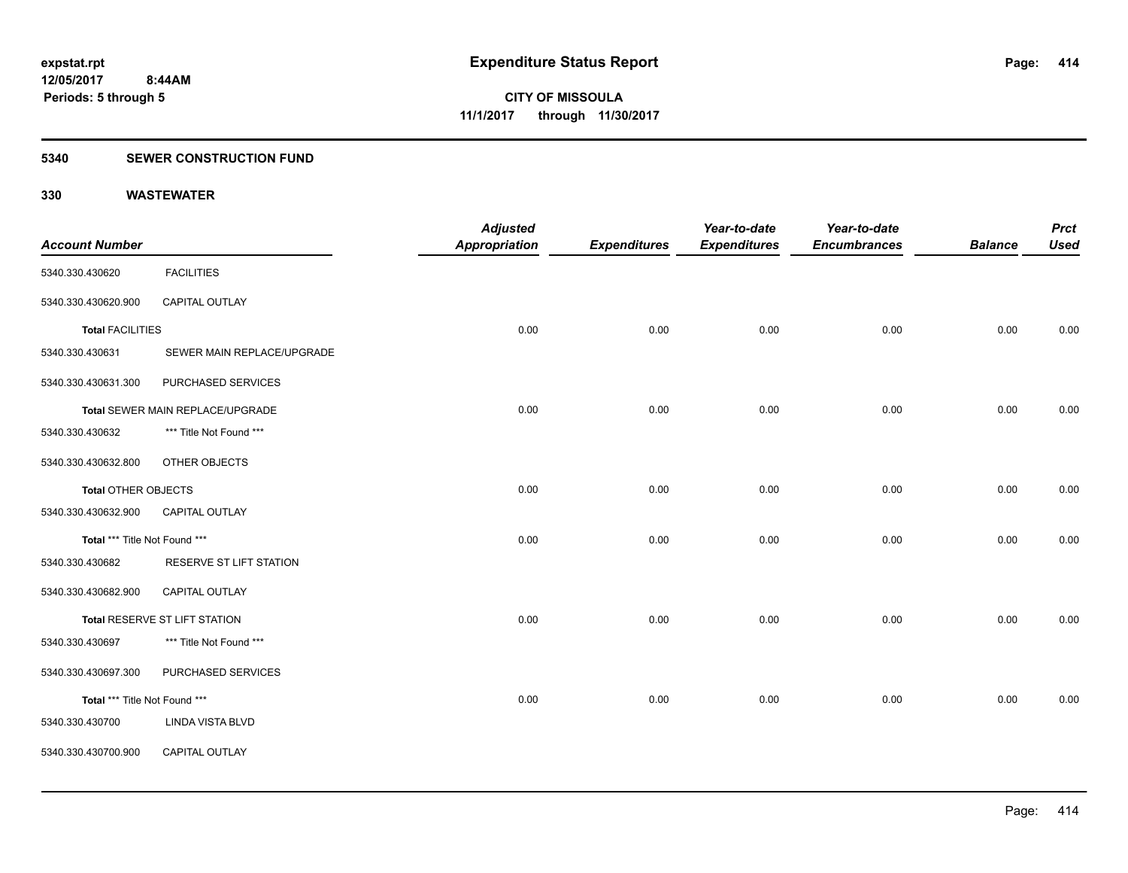### **5340 SEWER CONSTRUCTION FUND**

|                               |                                  | <b>Adjusted</b>      |                     | Year-to-date        | Year-to-date        |                | <b>Prct</b> |
|-------------------------------|----------------------------------|----------------------|---------------------|---------------------|---------------------|----------------|-------------|
| <b>Account Number</b>         |                                  | <b>Appropriation</b> | <b>Expenditures</b> | <b>Expenditures</b> | <b>Encumbrances</b> | <b>Balance</b> | <b>Used</b> |
| 5340.330.430620               | <b>FACILITIES</b>                |                      |                     |                     |                     |                |             |
| 5340.330.430620.900           | CAPITAL OUTLAY                   |                      |                     |                     |                     |                |             |
| <b>Total FACILITIES</b>       |                                  | 0.00                 | 0.00                | 0.00                | 0.00                | 0.00           | 0.00        |
| 5340.330.430631               | SEWER MAIN REPLACE/UPGRADE       |                      |                     |                     |                     |                |             |
| 5340.330.430631.300           | PURCHASED SERVICES               |                      |                     |                     |                     |                |             |
|                               | Total SEWER MAIN REPLACE/UPGRADE | 0.00                 | 0.00                | 0.00                | 0.00                | 0.00           | 0.00        |
| 5340.330.430632               | *** Title Not Found ***          |                      |                     |                     |                     |                |             |
| 5340.330.430632.800           | OTHER OBJECTS                    |                      |                     |                     |                     |                |             |
| <b>Total OTHER OBJECTS</b>    |                                  | 0.00                 | 0.00                | 0.00                | 0.00                | 0.00           | 0.00        |
| 5340.330.430632.900           | <b>CAPITAL OUTLAY</b>            |                      |                     |                     |                     |                |             |
| Total *** Title Not Found *** |                                  | 0.00                 | 0.00                | 0.00                | 0.00                | 0.00           | 0.00        |
| 5340.330.430682               | RESERVE ST LIFT STATION          |                      |                     |                     |                     |                |             |
| 5340.330.430682.900           | CAPITAL OUTLAY                   |                      |                     |                     |                     |                |             |
|                               | Total RESERVE ST LIFT STATION    | 0.00                 | 0.00                | 0.00                | 0.00                | 0.00           | 0.00        |
| 5340.330.430697               | *** Title Not Found ***          |                      |                     |                     |                     |                |             |
| 5340.330.430697.300           | PURCHASED SERVICES               |                      |                     |                     |                     |                |             |
| Total *** Title Not Found *** |                                  | 0.00                 | 0.00                | 0.00                | 0.00                | 0.00           | 0.00        |
| 5340.330.430700               | <b>LINDA VISTA BLVD</b>          |                      |                     |                     |                     |                |             |
| 5340.330.430700.900           | CAPITAL OUTLAY                   |                      |                     |                     |                     |                |             |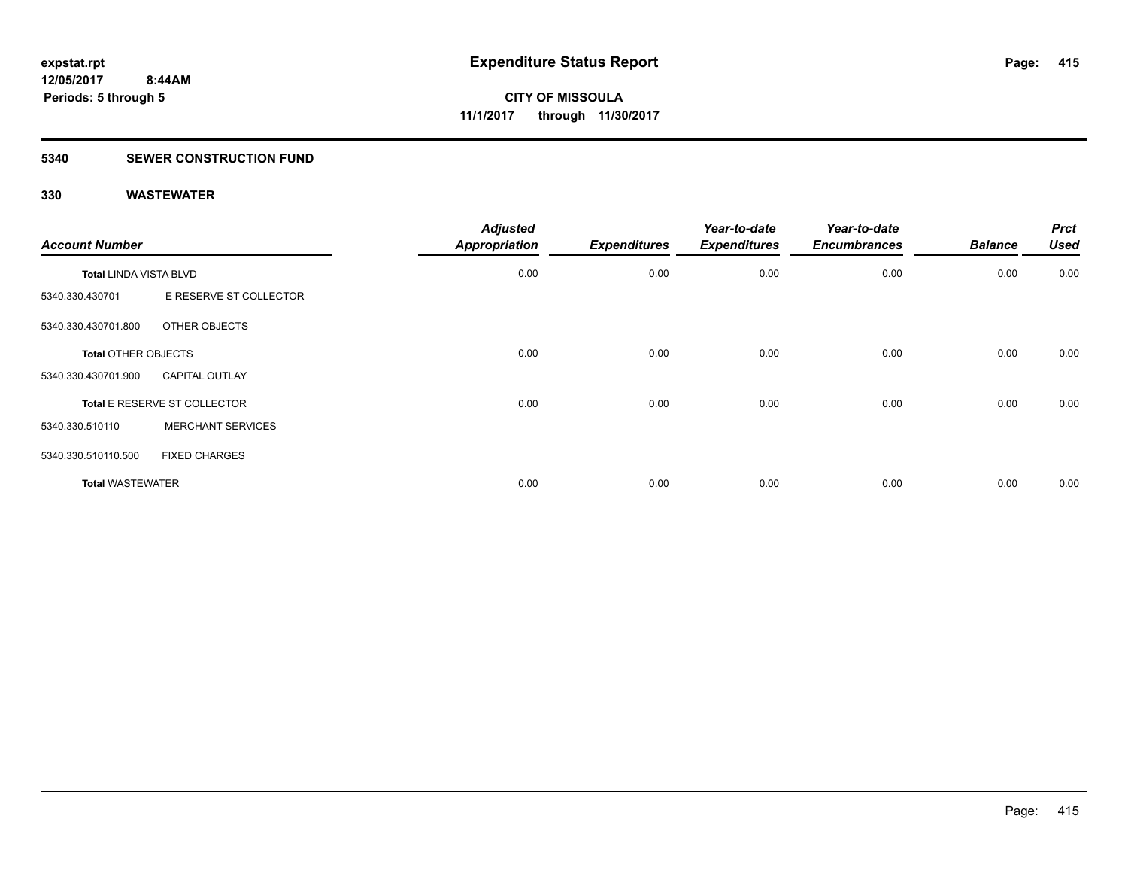#### **5340 SEWER CONSTRUCTION FUND**

| <b>Account Number</b>         |                              | <b>Adjusted</b><br><b>Appropriation</b> | <b>Expenditures</b> | Year-to-date<br><b>Expenditures</b> | Year-to-date<br><b>Encumbrances</b> | <b>Balance</b> | <b>Prct</b><br><b>Used</b> |
|-------------------------------|------------------------------|-----------------------------------------|---------------------|-------------------------------------|-------------------------------------|----------------|----------------------------|
| <b>Total LINDA VISTA BLVD</b> |                              | 0.00                                    | 0.00                | 0.00                                | 0.00                                | 0.00           | 0.00                       |
| 5340.330.430701               | E RESERVE ST COLLECTOR       |                                         |                     |                                     |                                     |                |                            |
| 5340.330.430701.800           | OTHER OBJECTS                |                                         |                     |                                     |                                     |                |                            |
| <b>Total OTHER OBJECTS</b>    |                              | 0.00                                    | 0.00                | 0.00                                | 0.00                                | 0.00           | 0.00                       |
| 5340.330.430701.900           | <b>CAPITAL OUTLAY</b>        |                                         |                     |                                     |                                     |                |                            |
|                               | Total E RESERVE ST COLLECTOR | 0.00                                    | 0.00                | 0.00                                | 0.00                                | 0.00           | 0.00                       |
| 5340.330.510110               | <b>MERCHANT SERVICES</b>     |                                         |                     |                                     |                                     |                |                            |
| 5340.330.510110.500           | <b>FIXED CHARGES</b>         |                                         |                     |                                     |                                     |                |                            |
| <b>Total WASTEWATER</b>       |                              | 0.00                                    | 0.00                | 0.00                                | 0.00                                | 0.00           | 0.00                       |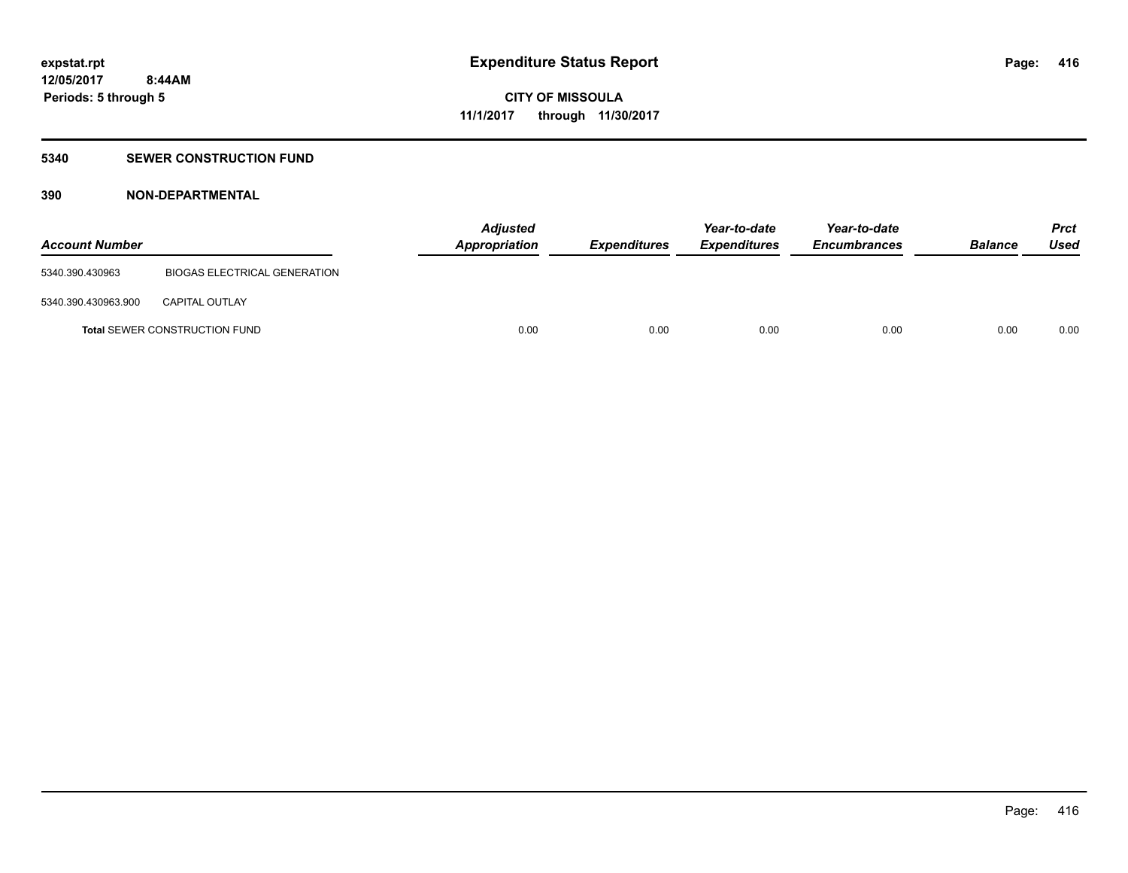### **5340 SEWER CONSTRUCTION FUND**

### **390 NON-DEPARTMENTAL**

| <b>Account Number</b> |                                      | <b>Adjusted</b><br>Appropriation | <b>Expenditures</b> | Year-to-date<br><b>Expenditures</b> | Year-to-date<br><b>Encumbrances</b> | <b>Balance</b> | <b>Prct</b><br>Used |
|-----------------------|--------------------------------------|----------------------------------|---------------------|-------------------------------------|-------------------------------------|----------------|---------------------|
| 5340.390.430963       | <b>BIOGAS ELECTRICAL GENERATION</b>  |                                  |                     |                                     |                                     |                |                     |
| 5340.390.430963.900   | <b>CAPITAL OUTLAY</b>                |                                  |                     |                                     |                                     |                |                     |
|                       | <b>Total SEWER CONSTRUCTION FUND</b> | 0.00                             | 0.00                | 0.00                                | 0.00                                | 0.00           | 0.00                |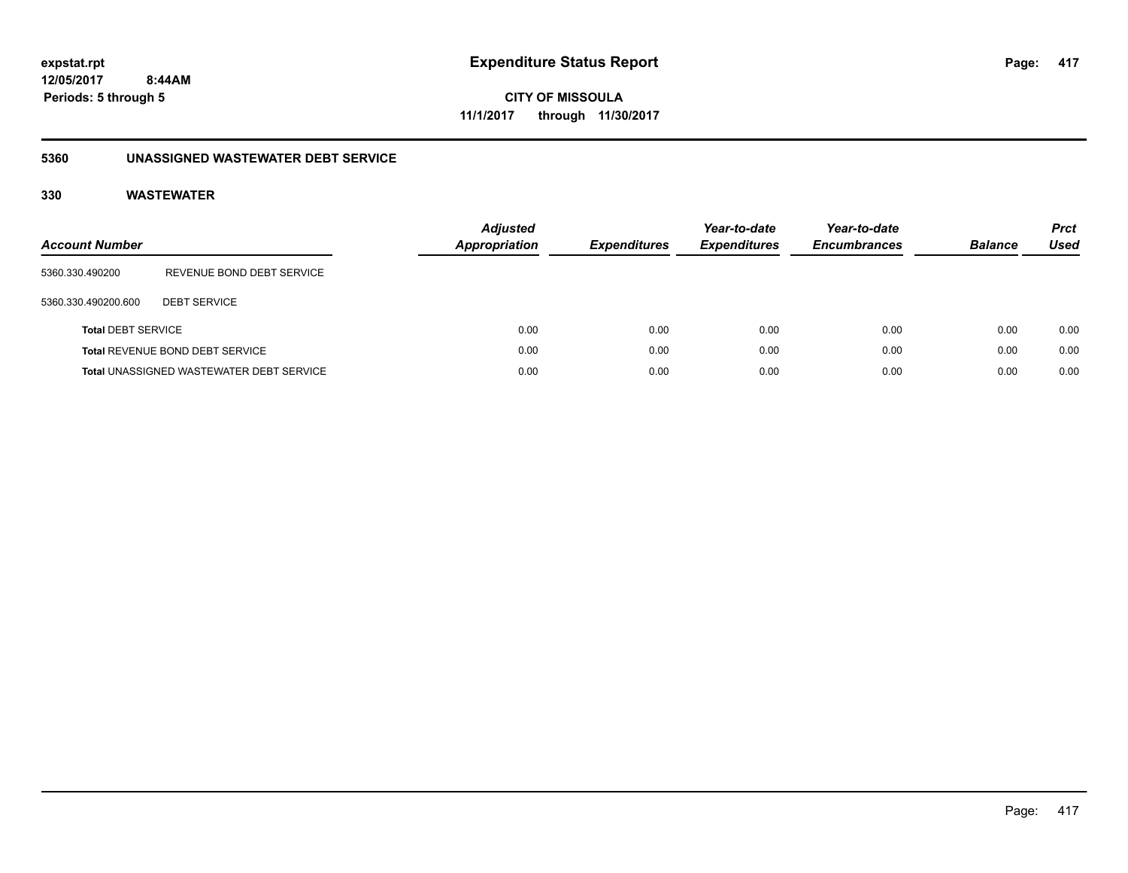**CITY OF MISSOULA 11/1/2017 through 11/30/2017**

### **5360 UNASSIGNED WASTEWATER DEBT SERVICE**

| <b>Account Number</b>     |                                                 | <b>Adjusted</b><br>Appropriation | <b>Expenditures</b> | Year-to-date<br><b>Expenditures</b> | Year-to-date<br><b>Encumbrances</b> | <b>Balance</b> | <b>Prct</b><br><b>Used</b> |
|---------------------------|-------------------------------------------------|----------------------------------|---------------------|-------------------------------------|-------------------------------------|----------------|----------------------------|
| 5360.330.490200           | REVENUE BOND DEBT SERVICE                       |                                  |                     |                                     |                                     |                |                            |
| 5360.330.490200.600       | <b>DEBT SERVICE</b>                             |                                  |                     |                                     |                                     |                |                            |
| <b>Total DEBT SERVICE</b> |                                                 | 0.00                             | 0.00                | 0.00                                | 0.00                                | 0.00           | 0.00                       |
|                           | Total REVENUE BOND DEBT SERVICE                 | 0.00                             | 0.00                | 0.00                                | 0.00                                | 0.00           | 0.00                       |
|                           | <b>Total UNASSIGNED WASTEWATER DEBT SERVICE</b> | 0.00                             | 0.00                | 0.00                                | 0.00                                | 0.00           | 0.00                       |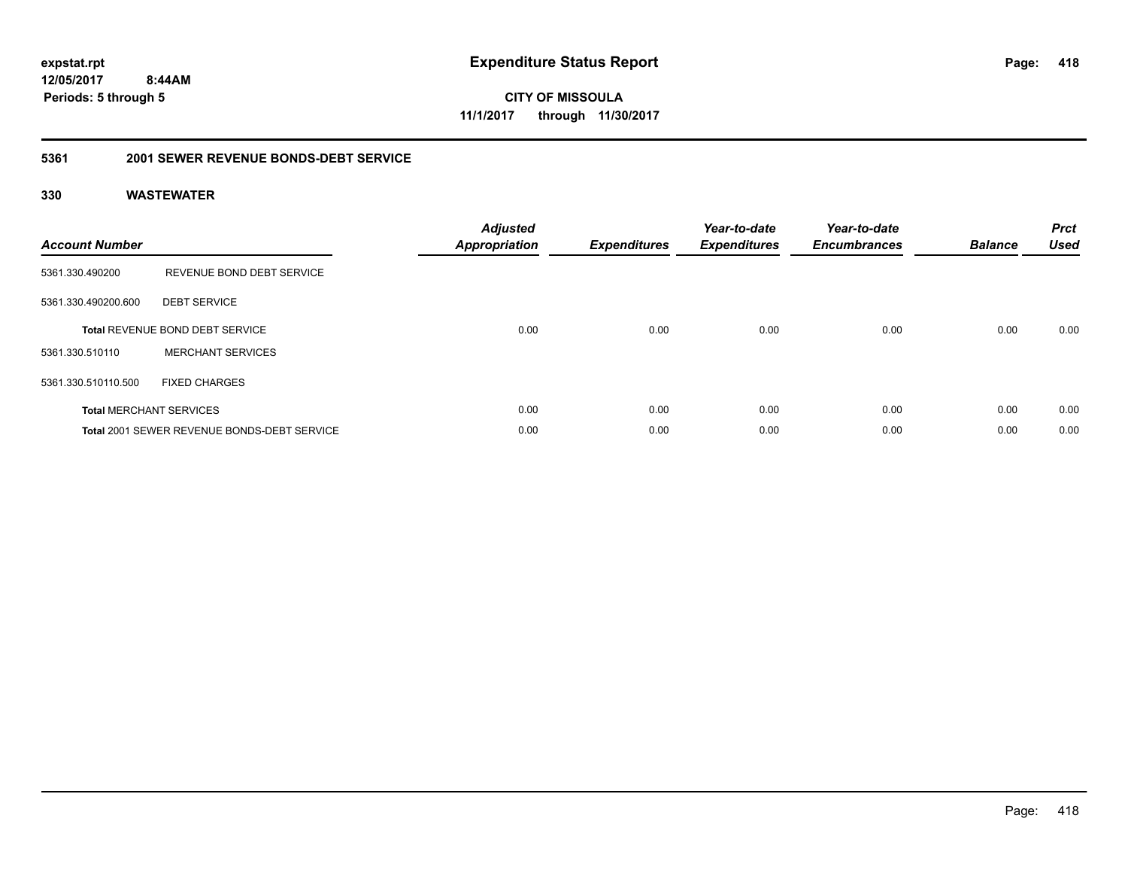**CITY OF MISSOULA 11/1/2017 through 11/30/2017**

### **5361 2001 SEWER REVENUE BONDS-DEBT SERVICE**

| <b>Account Number</b> |                                                    | <b>Adjusted</b><br>Appropriation | <b>Expenditures</b> | Year-to-date<br><b>Expenditures</b> | Year-to-date<br><b>Encumbrances</b> | <b>Balance</b> | <b>Prct</b><br><b>Used</b> |
|-----------------------|----------------------------------------------------|----------------------------------|---------------------|-------------------------------------|-------------------------------------|----------------|----------------------------|
| 5361.330.490200       | REVENUE BOND DEBT SERVICE                          |                                  |                     |                                     |                                     |                |                            |
| 5361.330.490200.600   | <b>DEBT SERVICE</b>                                |                                  |                     |                                     |                                     |                |                            |
|                       | <b>Total REVENUE BOND DEBT SERVICE</b>             | 0.00                             | 0.00                | 0.00                                | 0.00                                | 0.00           | 0.00                       |
| 5361.330.510110       | <b>MERCHANT SERVICES</b>                           |                                  |                     |                                     |                                     |                |                            |
| 5361.330.510110.500   | <b>FIXED CHARGES</b>                               |                                  |                     |                                     |                                     |                |                            |
|                       | <b>Total MERCHANT SERVICES</b>                     | 0.00                             | 0.00                | 0.00                                | 0.00                                | 0.00           | 0.00                       |
|                       | <b>Total 2001 SEWER REVENUE BONDS-DEBT SERVICE</b> | 0.00                             | 0.00                | 0.00                                | 0.00                                | 0.00           | 0.00                       |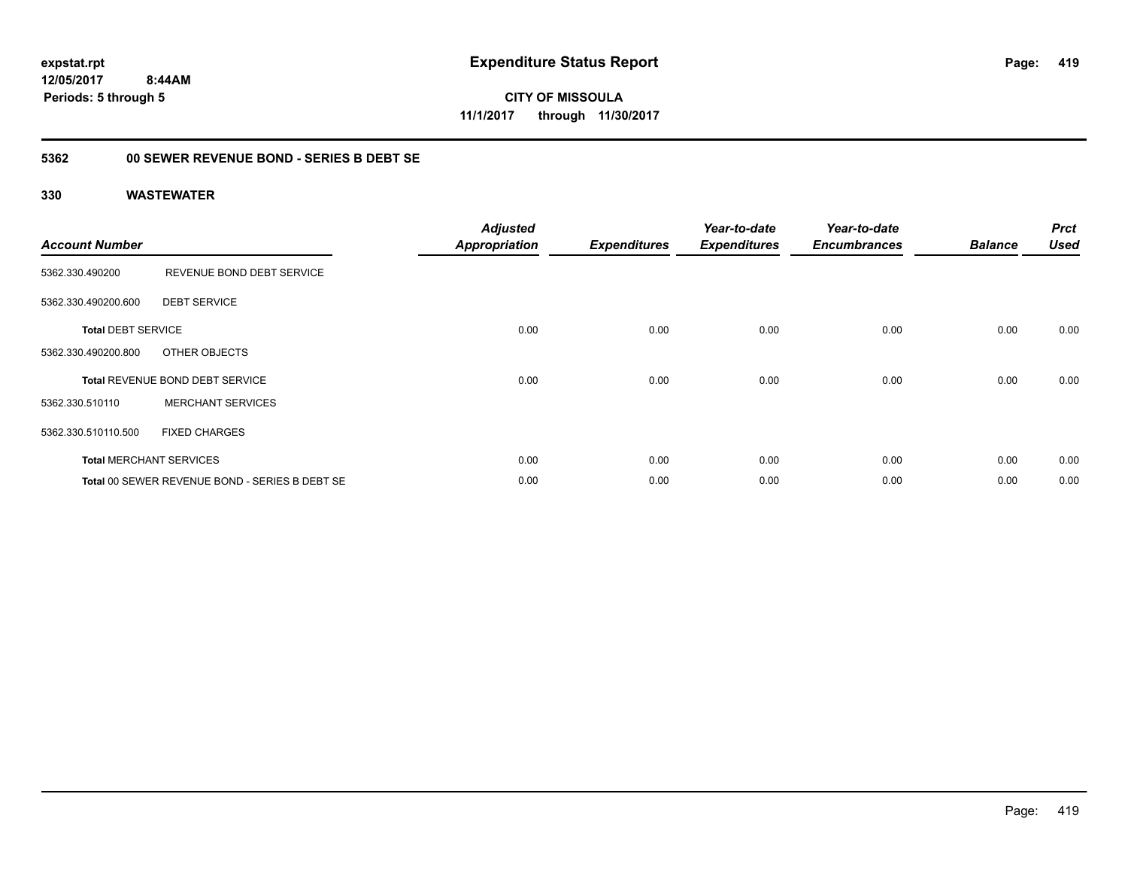**CITY OF MISSOULA 11/1/2017 through 11/30/2017**

### **5362 00 SEWER REVENUE BOND - SERIES B DEBT SE**

| <b>Account Number</b>     |                                                | <b>Adjusted</b><br><b>Appropriation</b> | <b>Expenditures</b> | Year-to-date<br><b>Expenditures</b> | Year-to-date<br><b>Encumbrances</b> | <b>Balance</b> | <b>Prct</b><br><b>Used</b> |
|---------------------------|------------------------------------------------|-----------------------------------------|---------------------|-------------------------------------|-------------------------------------|----------------|----------------------------|
| 5362.330.490200           | REVENUE BOND DEBT SERVICE                      |                                         |                     |                                     |                                     |                |                            |
| 5362.330.490200.600       | <b>DEBT SERVICE</b>                            |                                         |                     |                                     |                                     |                |                            |
| <b>Total DEBT SERVICE</b> |                                                | 0.00                                    | 0.00                | 0.00                                | 0.00                                | 0.00           | 0.00                       |
| 5362.330.490200.800       | OTHER OBJECTS                                  |                                         |                     |                                     |                                     |                |                            |
|                           | <b>Total REVENUE BOND DEBT SERVICE</b>         | 0.00                                    | 0.00                | 0.00                                | 0.00                                | 0.00           | 0.00                       |
| 5362.330.510110           | <b>MERCHANT SERVICES</b>                       |                                         |                     |                                     |                                     |                |                            |
| 5362.330.510110.500       | <b>FIXED CHARGES</b>                           |                                         |                     |                                     |                                     |                |                            |
|                           | <b>Total MERCHANT SERVICES</b>                 | 0.00                                    | 0.00                | 0.00                                | 0.00                                | 0.00           | 0.00                       |
|                           | Total 00 SEWER REVENUE BOND - SERIES B DEBT SE | 0.00                                    | 0.00                | 0.00                                | 0.00                                | 0.00           | 0.00                       |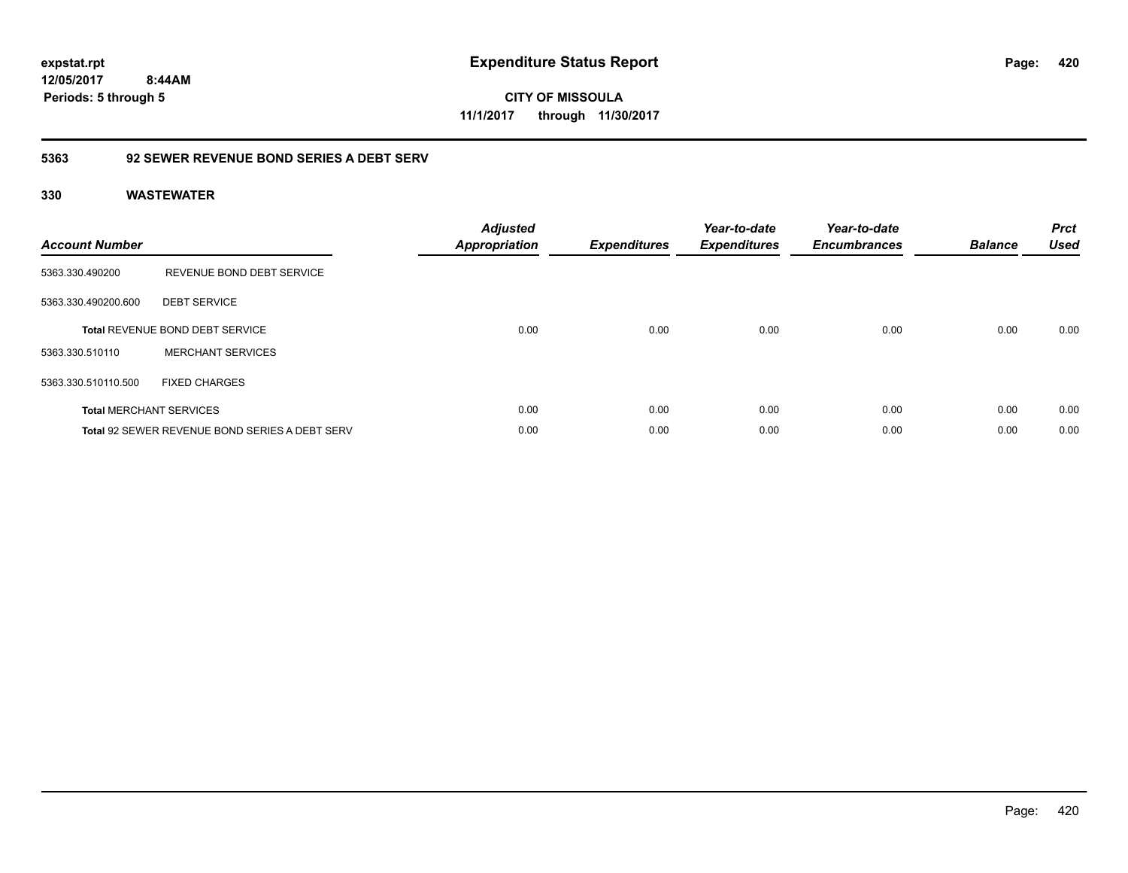**CITY OF MISSOULA 11/1/2017 through 11/30/2017**

### **5363 92 SEWER REVENUE BOND SERIES A DEBT SERV**

| <b>Account Number</b> |                                                       | <b>Adjusted</b><br>Appropriation | <b>Expenditures</b> | Year-to-date<br><b>Expenditures</b> | Year-to-date<br><b>Encumbrances</b> | <b>Balance</b> | <b>Prct</b><br><b>Used</b> |
|-----------------------|-------------------------------------------------------|----------------------------------|---------------------|-------------------------------------|-------------------------------------|----------------|----------------------------|
| 5363.330.490200       | REVENUE BOND DEBT SERVICE                             |                                  |                     |                                     |                                     |                |                            |
| 5363.330.490200.600   | <b>DEBT SERVICE</b>                                   |                                  |                     |                                     |                                     |                |                            |
|                       | Total REVENUE BOND DEBT SERVICE                       | 0.00                             | 0.00                | 0.00                                | 0.00                                | 0.00           | 0.00                       |
| 5363.330.510110       | <b>MERCHANT SERVICES</b>                              |                                  |                     |                                     |                                     |                |                            |
| 5363.330.510110.500   | <b>FIXED CHARGES</b>                                  |                                  |                     |                                     |                                     |                |                            |
|                       | <b>Total MERCHANT SERVICES</b>                        | 0.00                             | 0.00                | 0.00                                | 0.00                                | 0.00           | 0.00                       |
|                       | <b>Total 92 SEWER REVENUE BOND SERIES A DEBT SERV</b> | 0.00                             | 0.00                | 0.00                                | 0.00                                | 0.00           | 0.00                       |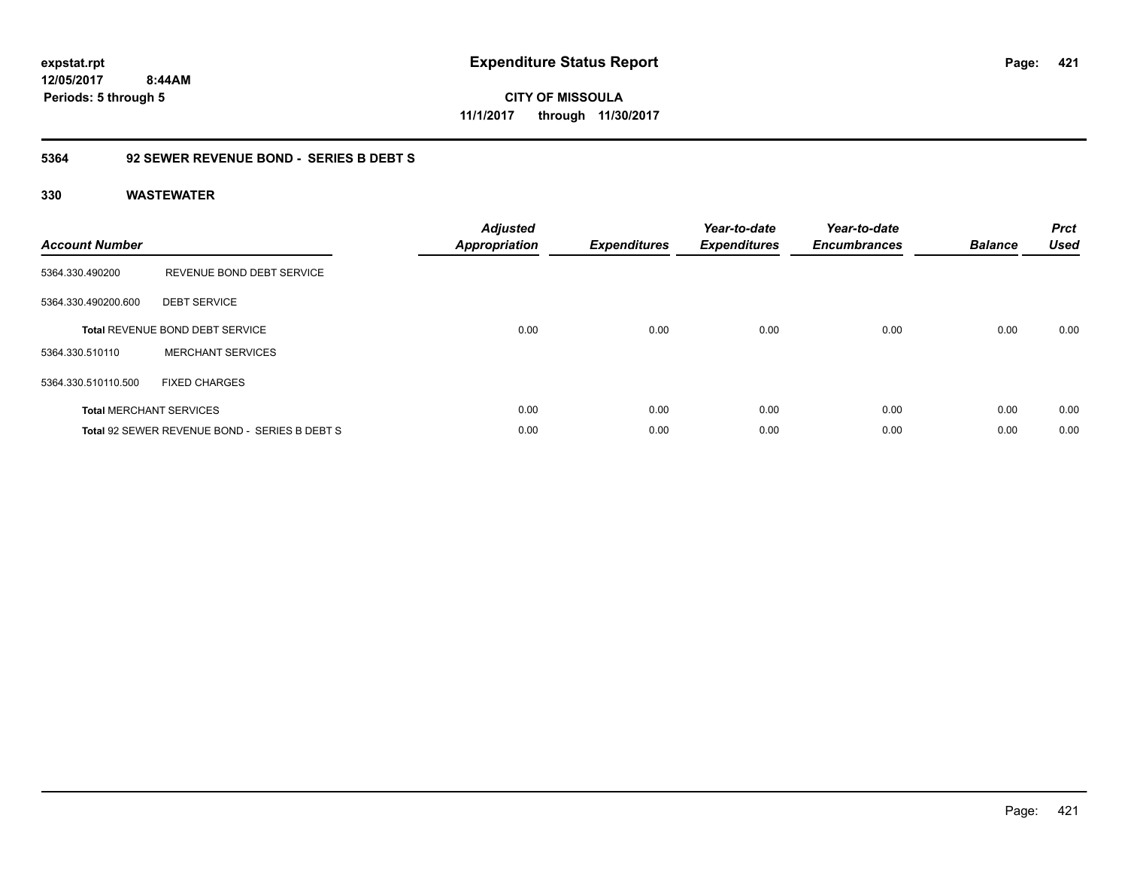**CITY OF MISSOULA 11/1/2017 through 11/30/2017**

### **5364 92 SEWER REVENUE BOND - SERIES B DEBT S**

| <b>Account Number</b> |                                               | <b>Adjusted</b><br>Appropriation | <b>Expenditures</b> | Year-to-date<br><b>Expenditures</b> | Year-to-date<br><b>Encumbrances</b> | <b>Balance</b> | <b>Prct</b><br><b>Used</b> |
|-----------------------|-----------------------------------------------|----------------------------------|---------------------|-------------------------------------|-------------------------------------|----------------|----------------------------|
| 5364.330.490200       | REVENUE BOND DEBT SERVICE                     |                                  |                     |                                     |                                     |                |                            |
| 5364.330.490200.600   | <b>DEBT SERVICE</b>                           |                                  |                     |                                     |                                     |                |                            |
|                       | <b>Total REVENUE BOND DEBT SERVICE</b>        | 0.00                             | 0.00                | 0.00                                | 0.00                                | 0.00           | 0.00                       |
| 5364.330.510110       | <b>MERCHANT SERVICES</b>                      |                                  |                     |                                     |                                     |                |                            |
| 5364.330.510110.500   | <b>FIXED CHARGES</b>                          |                                  |                     |                                     |                                     |                |                            |
|                       | <b>Total MERCHANT SERVICES</b>                | 0.00                             | 0.00                | 0.00                                | 0.00                                | 0.00           | 0.00                       |
|                       | Total 92 SEWER REVENUE BOND - SERIES B DEBT S | 0.00                             | 0.00                | 0.00                                | 0.00                                | 0.00           | 0.00                       |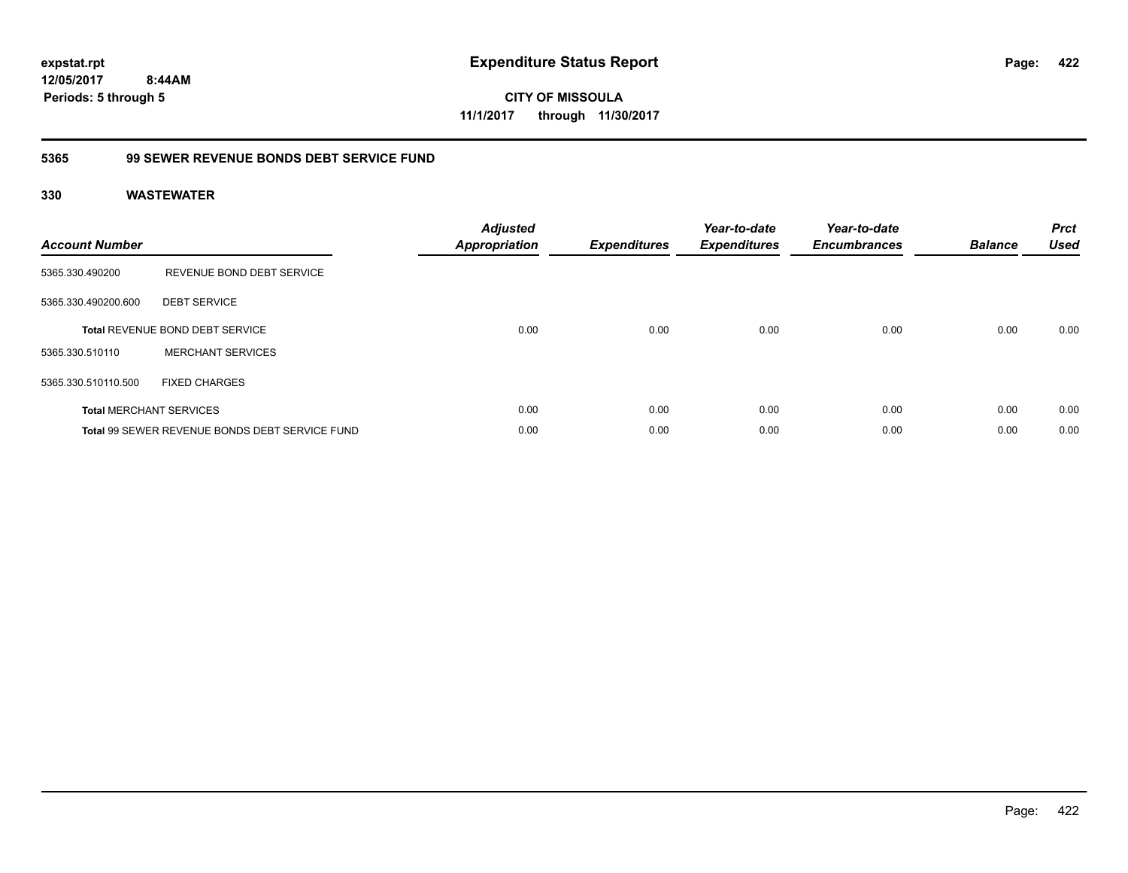**CITY OF MISSOULA 11/1/2017 through 11/30/2017**

### **5365 99 SEWER REVENUE BONDS DEBT SERVICE FUND**

| <b>Account Number</b> |                                                | <b>Adjusted</b><br><b>Appropriation</b> | <b>Expenditures</b> | Year-to-date<br><b>Expenditures</b> | Year-to-date<br><b>Encumbrances</b> | <b>Balance</b> | <b>Prct</b><br><b>Used</b> |
|-----------------------|------------------------------------------------|-----------------------------------------|---------------------|-------------------------------------|-------------------------------------|----------------|----------------------------|
| 5365.330.490200       | REVENUE BOND DEBT SERVICE                      |                                         |                     |                                     |                                     |                |                            |
| 5365.330.490200.600   | <b>DEBT SERVICE</b>                            |                                         |                     |                                     |                                     |                |                            |
|                       | <b>Total REVENUE BOND DEBT SERVICE</b>         | 0.00                                    | 0.00                | 0.00                                | 0.00                                | 0.00           | 0.00                       |
| 5365.330.510110       | <b>MERCHANT SERVICES</b>                       |                                         |                     |                                     |                                     |                |                            |
| 5365.330.510110.500   | <b>FIXED CHARGES</b>                           |                                         |                     |                                     |                                     |                |                            |
|                       | <b>Total MERCHANT SERVICES</b>                 | 0.00                                    | 0.00                | 0.00                                | 0.00                                | 0.00           | 0.00                       |
|                       | Total 99 SEWER REVENUE BONDS DEBT SERVICE FUND | 0.00                                    | 0.00                | 0.00                                | 0.00                                | 0.00           | 0.00                       |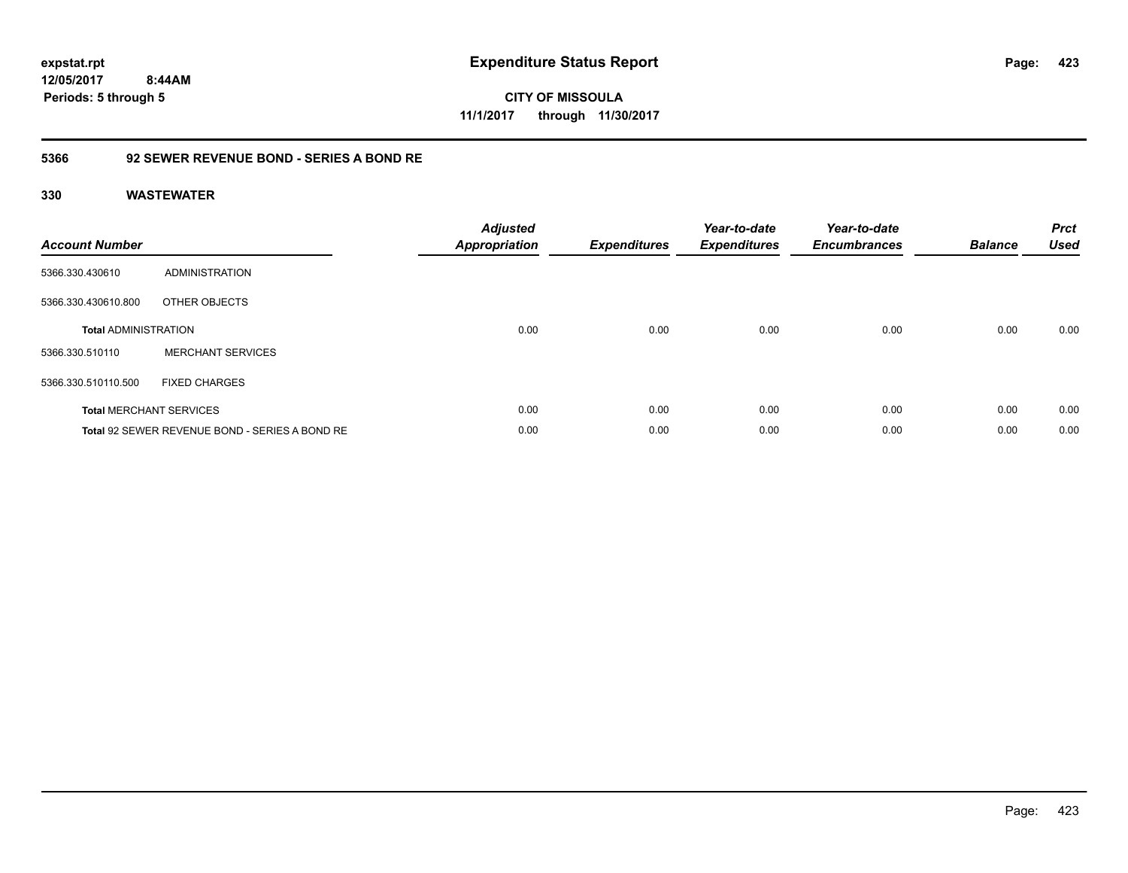**CITY OF MISSOULA 11/1/2017 through 11/30/2017**

### **5366 92 SEWER REVENUE BOND - SERIES A BOND RE**

| <b>Account Number</b>       |                                                | <b>Adjusted</b><br><b>Appropriation</b> | <b>Expenditures</b> | Year-to-date<br><b>Expenditures</b> | Year-to-date<br><b>Encumbrances</b> | <b>Balance</b> | <b>Prct</b><br><b>Used</b> |
|-----------------------------|------------------------------------------------|-----------------------------------------|---------------------|-------------------------------------|-------------------------------------|----------------|----------------------------|
| 5366.330.430610             | <b>ADMINISTRATION</b>                          |                                         |                     |                                     |                                     |                |                            |
| 5366.330.430610.800         | OTHER OBJECTS                                  |                                         |                     |                                     |                                     |                |                            |
| <b>Total ADMINISTRATION</b> |                                                | 0.00                                    | 0.00                | 0.00                                | 0.00                                | 0.00           | 0.00                       |
| 5366.330.510110             | <b>MERCHANT SERVICES</b>                       |                                         |                     |                                     |                                     |                |                            |
| 5366.330.510110.500         | <b>FIXED CHARGES</b>                           |                                         |                     |                                     |                                     |                |                            |
|                             | <b>Total MERCHANT SERVICES</b>                 | 0.00                                    | 0.00                | 0.00                                | 0.00                                | 0.00           | 0.00                       |
|                             | Total 92 SEWER REVENUE BOND - SERIES A BOND RE | 0.00                                    | 0.00                | 0.00                                | 0.00                                | 0.00           | 0.00                       |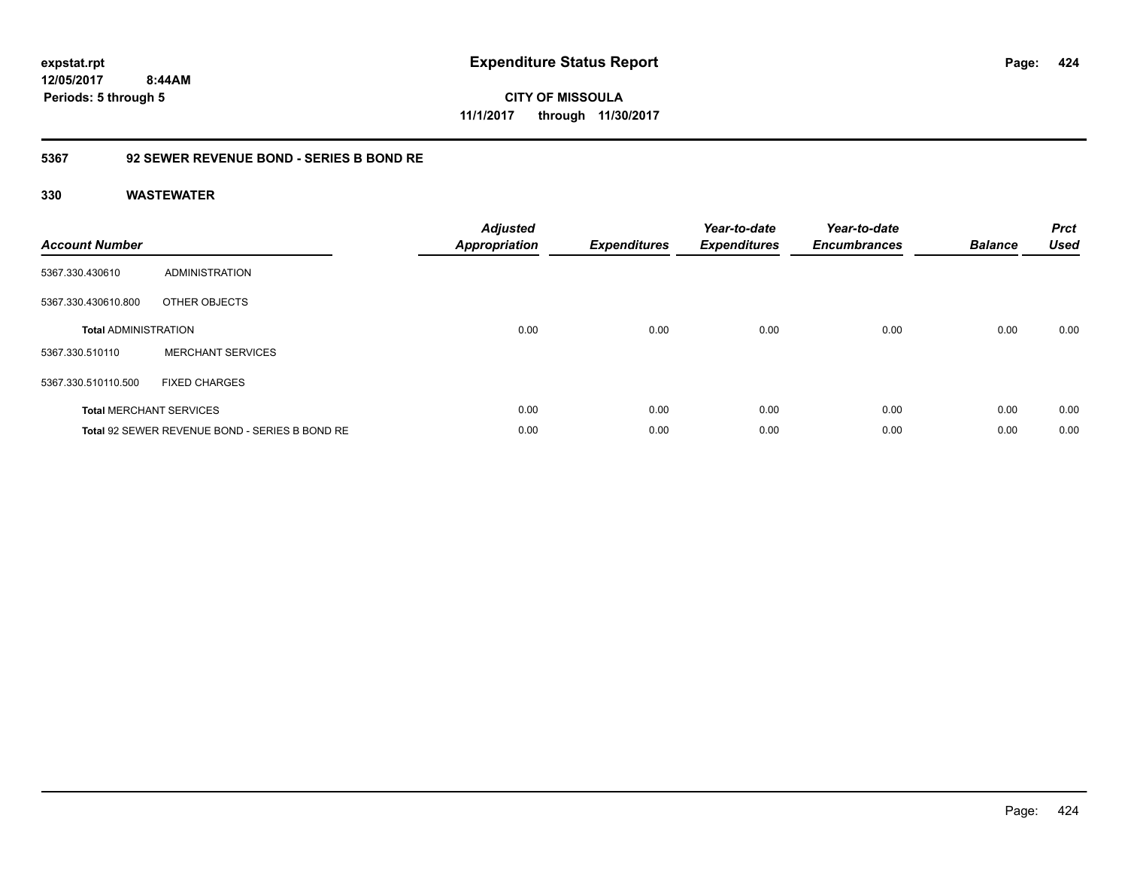**CITY OF MISSOULA 11/1/2017 through 11/30/2017**

### **5367 92 SEWER REVENUE BOND - SERIES B BOND RE**

| <b>Account Number</b>       |                                                | <b>Adjusted</b><br><b>Appropriation</b> | <b>Expenditures</b> | Year-to-date<br><b>Expenditures</b> | Year-to-date<br><b>Encumbrances</b> | <b>Balance</b> | <b>Prct</b><br><b>Used</b> |
|-----------------------------|------------------------------------------------|-----------------------------------------|---------------------|-------------------------------------|-------------------------------------|----------------|----------------------------|
| 5367.330.430610             | ADMINISTRATION                                 |                                         |                     |                                     |                                     |                |                            |
| 5367.330.430610.800         | OTHER OBJECTS                                  |                                         |                     |                                     |                                     |                |                            |
| <b>Total ADMINISTRATION</b> |                                                | 0.00                                    | 0.00                | 0.00                                | 0.00                                | 0.00           | 0.00                       |
| 5367.330.510110             | <b>MERCHANT SERVICES</b>                       |                                         |                     |                                     |                                     |                |                            |
| 5367.330.510110.500         | <b>FIXED CHARGES</b>                           |                                         |                     |                                     |                                     |                |                            |
|                             | <b>Total MERCHANT SERVICES</b>                 | 0.00                                    | 0.00                | 0.00                                | 0.00                                | 0.00           | 0.00                       |
|                             | Total 92 SEWER REVENUE BOND - SERIES B BOND RE | 0.00                                    | 0.00                | 0.00                                | 0.00                                | 0.00           | 0.00                       |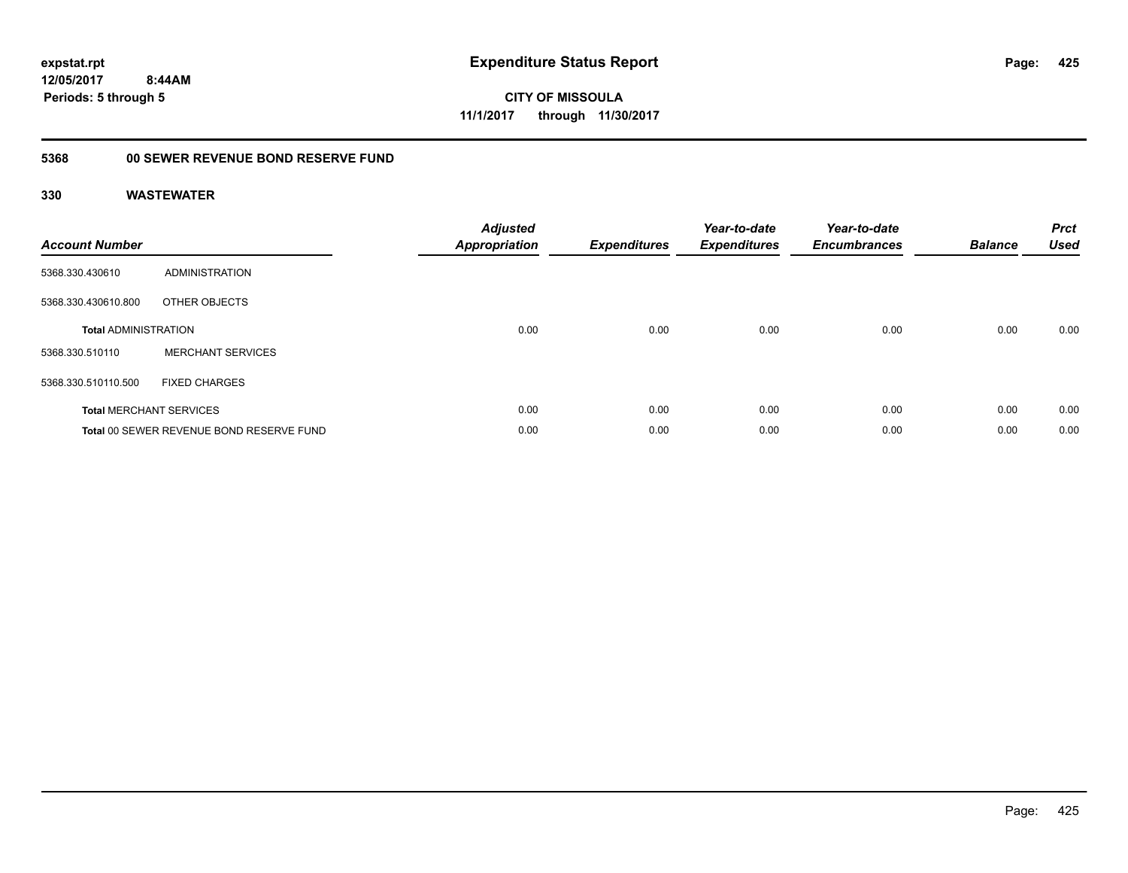**CITY OF MISSOULA 11/1/2017 through 11/30/2017**

## **5368 00 SEWER REVENUE BOND RESERVE FUND**

| <b>Account Number</b>       |                                          | <b>Adjusted</b><br><b>Appropriation</b> | <b>Expenditures</b> | Year-to-date<br><b>Expenditures</b> | Year-to-date<br><b>Encumbrances</b> | <b>Balance</b> | <b>Prct</b><br><b>Used</b> |
|-----------------------------|------------------------------------------|-----------------------------------------|---------------------|-------------------------------------|-------------------------------------|----------------|----------------------------|
| 5368.330.430610             | ADMINISTRATION                           |                                         |                     |                                     |                                     |                |                            |
| 5368.330.430610.800         | OTHER OBJECTS                            |                                         |                     |                                     |                                     |                |                            |
| <b>Total ADMINISTRATION</b> |                                          | 0.00                                    | 0.00                | 0.00                                | 0.00                                | 0.00           | 0.00                       |
| 5368.330.510110             | <b>MERCHANT SERVICES</b>                 |                                         |                     |                                     |                                     |                |                            |
| 5368.330.510110.500         | <b>FIXED CHARGES</b>                     |                                         |                     |                                     |                                     |                |                            |
|                             | <b>Total MERCHANT SERVICES</b>           | 0.00                                    | 0.00                | 0.00                                | 0.00                                | 0.00           | 0.00                       |
|                             | Total 00 SEWER REVENUE BOND RESERVE FUND | 0.00                                    | 0.00                | 0.00                                | 0.00                                | 0.00           | 0.00                       |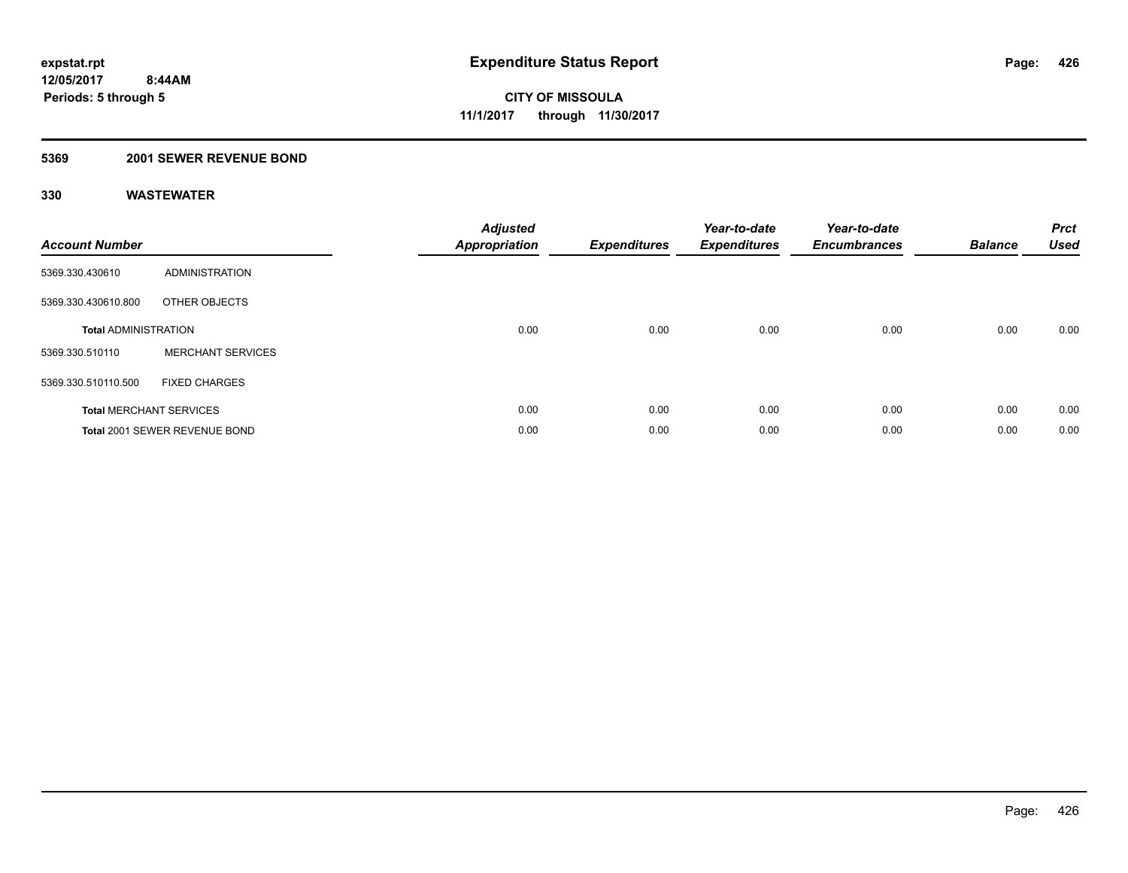### **5369 2001 SEWER REVENUE BOND**

| <b>Account Number</b>       |                                | <b>Adjusted</b><br>Appropriation | <b>Expenditures</b> | Year-to-date<br><b>Expenditures</b> | Year-to-date<br><b>Encumbrances</b> | <b>Balance</b> | <b>Prct</b><br><b>Used</b> |
|-----------------------------|--------------------------------|----------------------------------|---------------------|-------------------------------------|-------------------------------------|----------------|----------------------------|
| 5369.330.430610             | <b>ADMINISTRATION</b>          |                                  |                     |                                     |                                     |                |                            |
| 5369.330.430610.800         | OTHER OBJECTS                  |                                  |                     |                                     |                                     |                |                            |
| <b>Total ADMINISTRATION</b> |                                | 0.00                             | 0.00                | 0.00                                | 0.00                                | 0.00           | 0.00                       |
| 5369.330.510110             | <b>MERCHANT SERVICES</b>       |                                  |                     |                                     |                                     |                |                            |
| 5369.330.510110.500         | <b>FIXED CHARGES</b>           |                                  |                     |                                     |                                     |                |                            |
|                             | <b>Total MERCHANT SERVICES</b> | 0.00                             | 0.00                | 0.00                                | 0.00                                | 0.00           | 0.00                       |
|                             | Total 2001 SEWER REVENUE BOND  | 0.00                             | 0.00                | 0.00                                | 0.00                                | 0.00           | 0.00                       |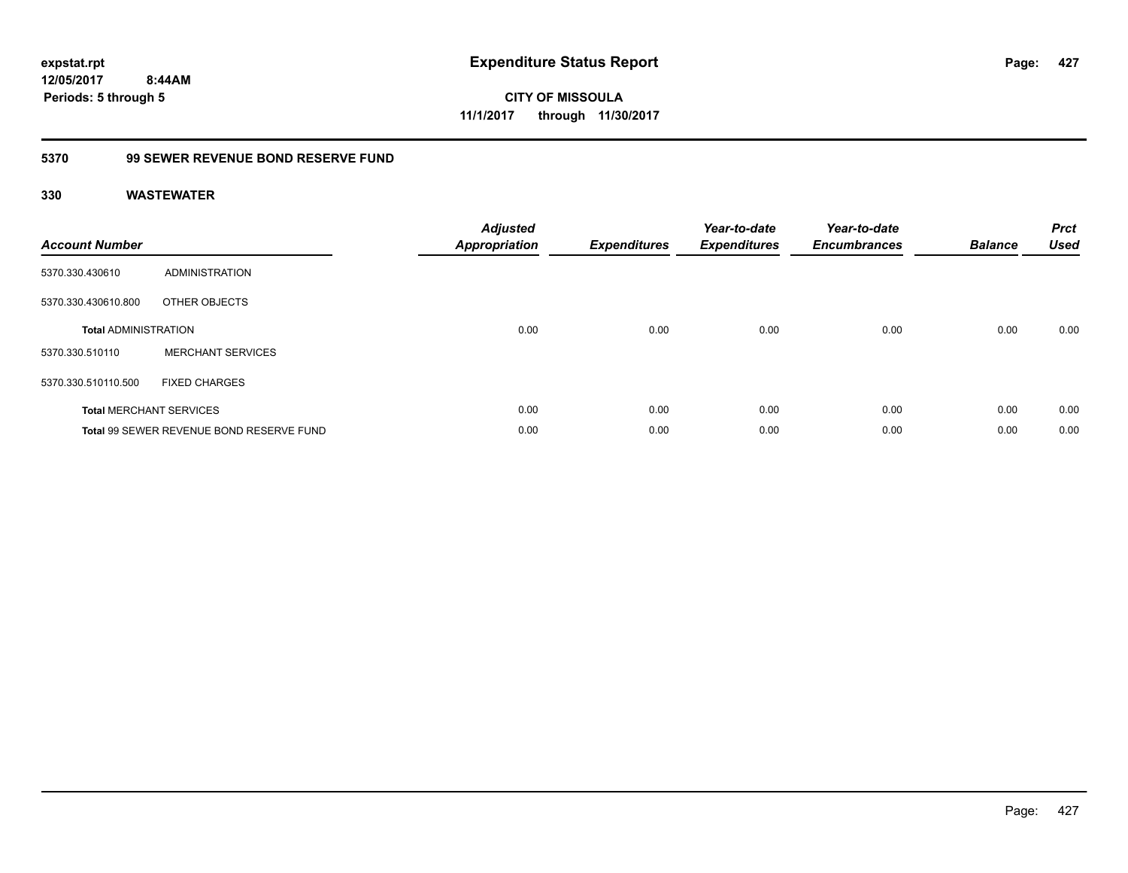**427**

**12/05/2017 8:44AM Periods: 5 through 5**

**CITY OF MISSOULA 11/1/2017 through 11/30/2017**

### **5370 99 SEWER REVENUE BOND RESERVE FUND**

| <b>Account Number</b>       |                                          | Adjusted<br>Appropriation | <b>Expenditures</b> | Year-to-date<br><b>Expenditures</b> | Year-to-date<br><b>Encumbrances</b> | <b>Balance</b> | <b>Prct</b><br><b>Used</b> |
|-----------------------------|------------------------------------------|---------------------------|---------------------|-------------------------------------|-------------------------------------|----------------|----------------------------|
| 5370.330.430610             | <b>ADMINISTRATION</b>                    |                           |                     |                                     |                                     |                |                            |
| 5370.330.430610.800         | OTHER OBJECTS                            |                           |                     |                                     |                                     |                |                            |
| <b>Total ADMINISTRATION</b> |                                          | 0.00                      | 0.00                | 0.00                                | 0.00                                | 0.00           | 0.00                       |
| 5370.330.510110             | <b>MERCHANT SERVICES</b>                 |                           |                     |                                     |                                     |                |                            |
| 5370.330.510110.500         | <b>FIXED CHARGES</b>                     |                           |                     |                                     |                                     |                |                            |
|                             | <b>Total MERCHANT SERVICES</b>           | 0.00                      | 0.00                | 0.00                                | 0.00                                | 0.00           | 0.00                       |
|                             | Total 99 SEWER REVENUE BOND RESERVE FUND | 0.00                      | 0.00                | 0.00                                | 0.00                                | 0.00           | 0.00                       |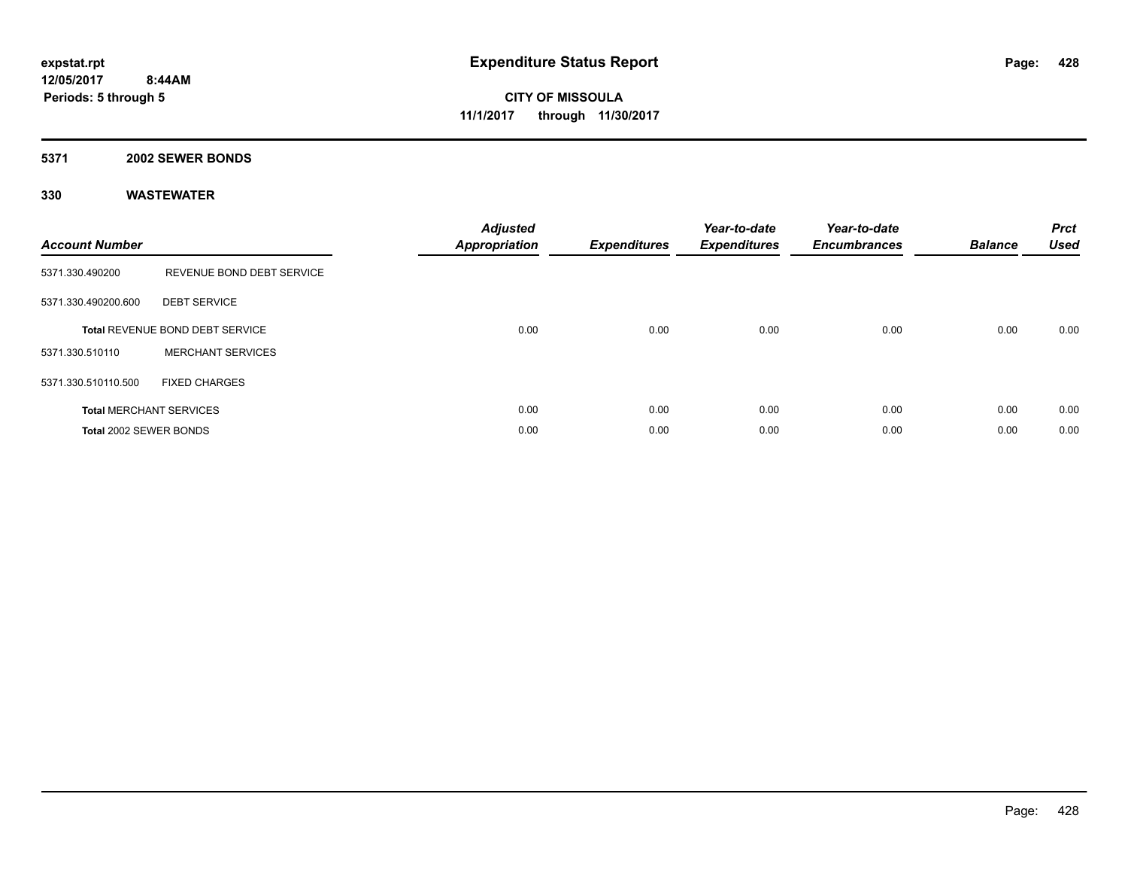#### **5371 2002 SEWER BONDS**

| <b>Account Number</b>  |                                        | <b>Adjusted</b><br>Appropriation | <b>Expenditures</b> | Year-to-date<br><b>Expenditures</b> | Year-to-date<br><b>Encumbrances</b> | <b>Balance</b> | <b>Prct</b><br><b>Used</b> |
|------------------------|----------------------------------------|----------------------------------|---------------------|-------------------------------------|-------------------------------------|----------------|----------------------------|
| 5371.330.490200        | REVENUE BOND DEBT SERVICE              |                                  |                     |                                     |                                     |                |                            |
| 5371.330.490200.600    | <b>DEBT SERVICE</b>                    |                                  |                     |                                     |                                     |                |                            |
|                        | <b>Total REVENUE BOND DEBT SERVICE</b> | 0.00                             | 0.00                | 0.00                                | 0.00                                | 0.00           | 0.00                       |
| 5371.330.510110        | <b>MERCHANT SERVICES</b>               |                                  |                     |                                     |                                     |                |                            |
| 5371.330.510110.500    | <b>FIXED CHARGES</b>                   |                                  |                     |                                     |                                     |                |                            |
|                        | <b>Total MERCHANT SERVICES</b>         | 0.00                             | 0.00                | 0.00                                | 0.00                                | 0.00           | 0.00                       |
| Total 2002 SEWER BONDS |                                        | 0.00                             | 0.00                | 0.00                                | 0.00                                | 0.00           | 0.00                       |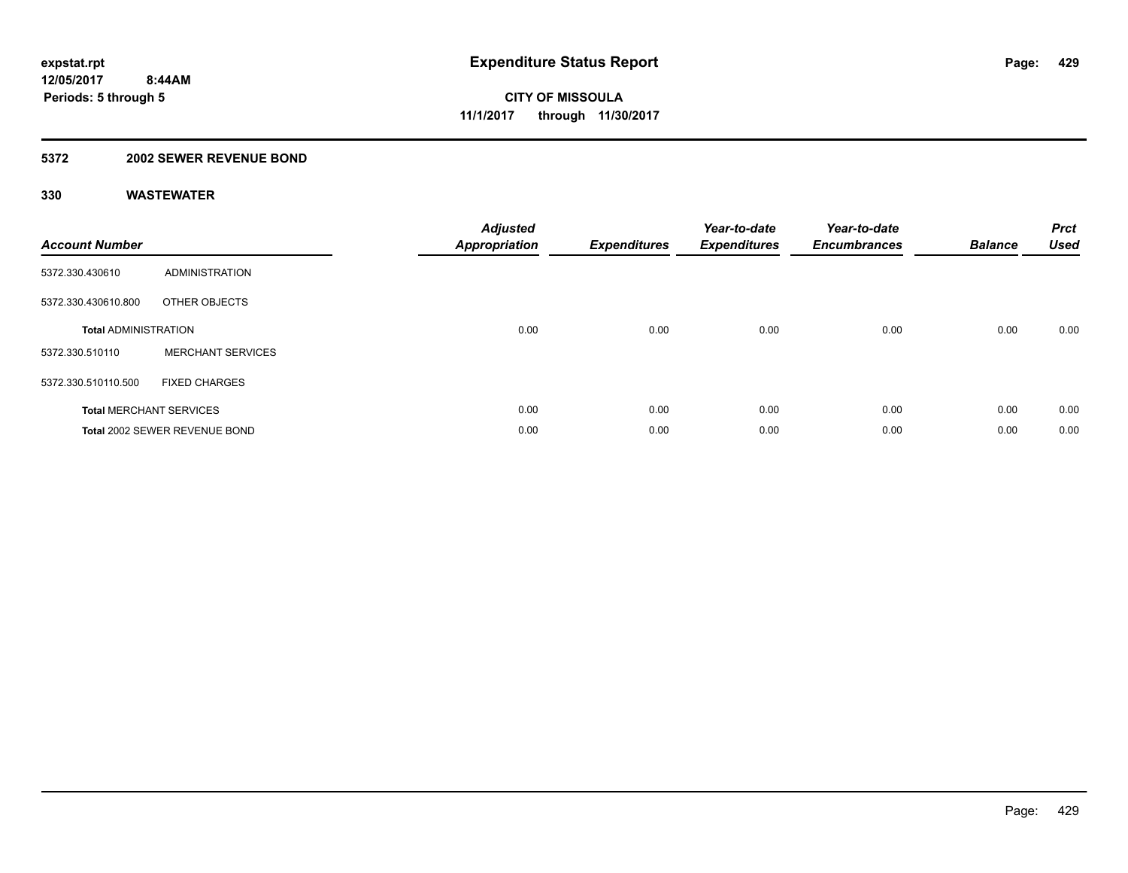### **5372 2002 SEWER REVENUE BOND**

| <b>Account Number</b>       |                                | <b>Adjusted</b><br>Appropriation | <b>Expenditures</b> | Year-to-date<br><b>Expenditures</b> | Year-to-date<br><b>Encumbrances</b> | <b>Balance</b> | <b>Prct</b><br><b>Used</b> |
|-----------------------------|--------------------------------|----------------------------------|---------------------|-------------------------------------|-------------------------------------|----------------|----------------------------|
| 5372.330.430610             | <b>ADMINISTRATION</b>          |                                  |                     |                                     |                                     |                |                            |
| 5372.330.430610.800         | OTHER OBJECTS                  |                                  |                     |                                     |                                     |                |                            |
| <b>Total ADMINISTRATION</b> |                                | 0.00                             | 0.00                | 0.00                                | 0.00                                | 0.00           | 0.00                       |
| 5372.330.510110             | <b>MERCHANT SERVICES</b>       |                                  |                     |                                     |                                     |                |                            |
| 5372.330.510110.500         | <b>FIXED CHARGES</b>           |                                  |                     |                                     |                                     |                |                            |
|                             | <b>Total MERCHANT SERVICES</b> | 0.00                             | 0.00                | 0.00                                | 0.00                                | 0.00           | 0.00                       |
|                             | Total 2002 SEWER REVENUE BOND  | 0.00                             | 0.00                | 0.00                                | 0.00                                | 0.00           | 0.00                       |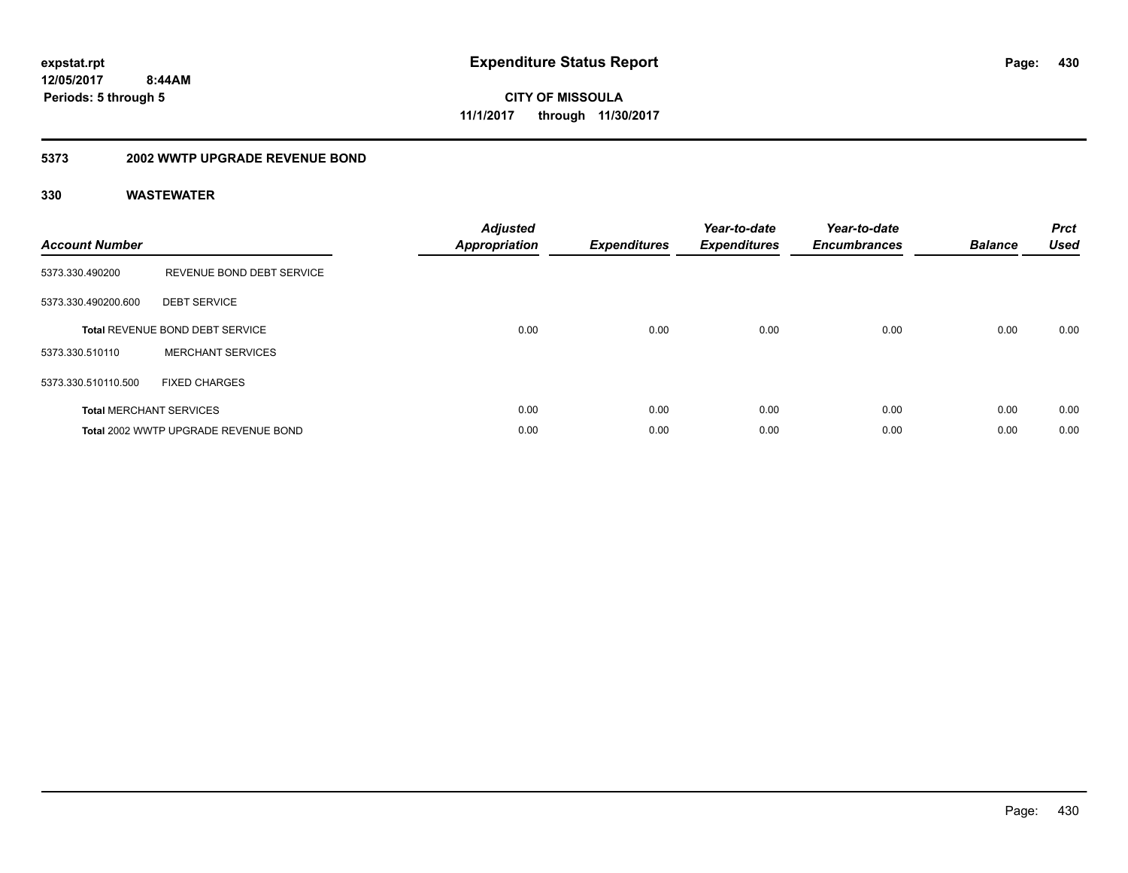**CITY OF MISSOULA 11/1/2017 through 11/30/2017**

#### **5373 2002 WWTP UPGRADE REVENUE BOND**

| <b>Account Number</b> |                                      | <b>Adjusted</b><br>Appropriation | <b>Expenditures</b> | Year-to-date<br><b>Expenditures</b> | Year-to-date<br><b>Encumbrances</b> | <b>Balance</b> | <b>Prct</b><br><b>Used</b> |
|-----------------------|--------------------------------------|----------------------------------|---------------------|-------------------------------------|-------------------------------------|----------------|----------------------------|
| 5373.330.490200       | REVENUE BOND DEBT SERVICE            |                                  |                     |                                     |                                     |                |                            |
| 5373.330.490200.600   | <b>DEBT SERVICE</b>                  |                                  |                     |                                     |                                     |                |                            |
|                       | Total REVENUE BOND DEBT SERVICE      | 0.00                             | 0.00                | 0.00                                | 0.00                                | 0.00           | 0.00                       |
| 5373.330.510110       | <b>MERCHANT SERVICES</b>             |                                  |                     |                                     |                                     |                |                            |
| 5373.330.510110.500   | <b>FIXED CHARGES</b>                 |                                  |                     |                                     |                                     |                |                            |
|                       | <b>Total MERCHANT SERVICES</b>       | 0.00                             | 0.00                | 0.00                                | 0.00                                | 0.00           | 0.00                       |
|                       | Total 2002 WWTP UPGRADE REVENUE BOND | 0.00                             | 0.00                | 0.00                                | 0.00                                | 0.00           | 0.00                       |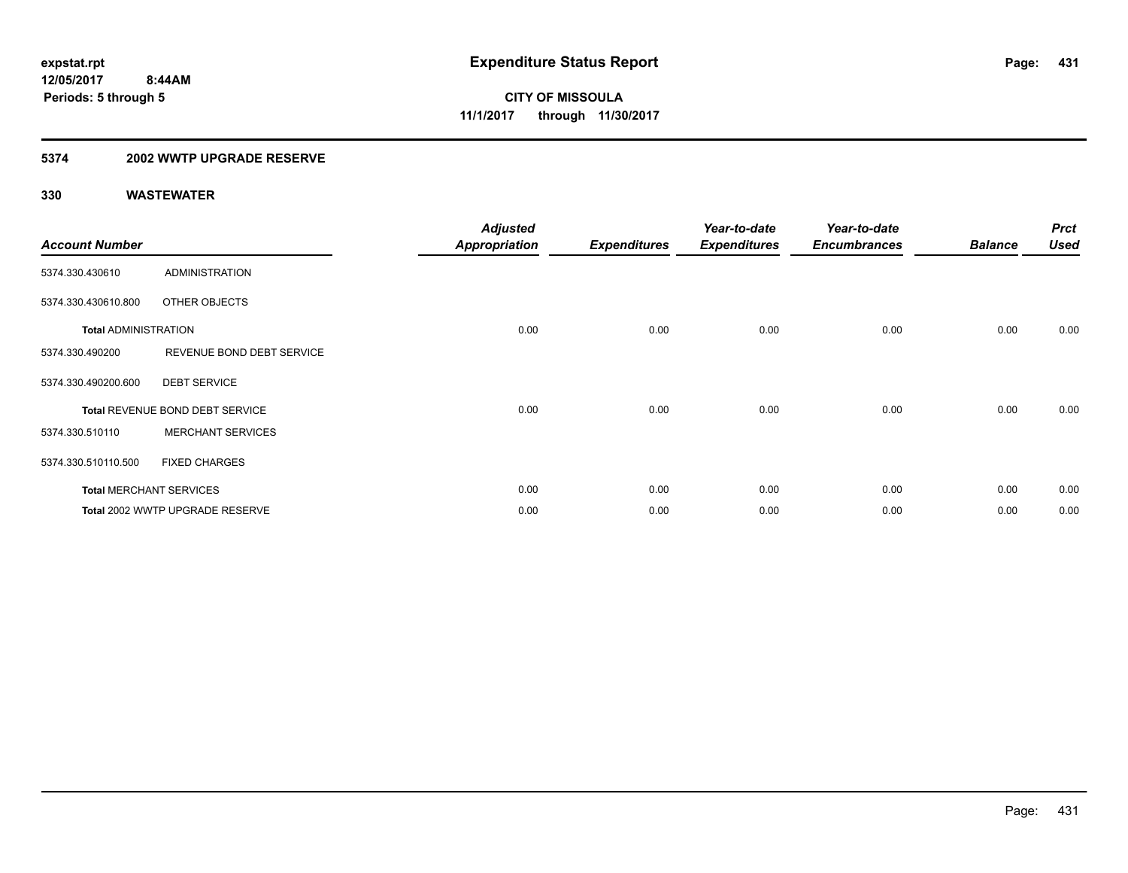### **5374 2002 WWTP UPGRADE RESERVE**

| <b>Account Number</b>       |                                 | <b>Adjusted</b><br><b>Appropriation</b> | <b>Expenditures</b> | Year-to-date<br><b>Expenditures</b> | Year-to-date<br><b>Encumbrances</b> | <b>Balance</b> | <b>Prct</b><br><b>Used</b> |
|-----------------------------|---------------------------------|-----------------------------------------|---------------------|-------------------------------------|-------------------------------------|----------------|----------------------------|
| 5374.330.430610             | <b>ADMINISTRATION</b>           |                                         |                     |                                     |                                     |                |                            |
| 5374.330.430610.800         | OTHER OBJECTS                   |                                         |                     |                                     |                                     |                |                            |
| <b>Total ADMINISTRATION</b> |                                 | 0.00                                    | 0.00                | 0.00                                | 0.00                                | 0.00           | 0.00                       |
| 5374.330.490200             | REVENUE BOND DEBT SERVICE       |                                         |                     |                                     |                                     |                |                            |
| 5374.330.490200.600         | <b>DEBT SERVICE</b>             |                                         |                     |                                     |                                     |                |                            |
|                             | Total REVENUE BOND DEBT SERVICE | 0.00                                    | 0.00                | 0.00                                | 0.00                                | 0.00           | 0.00                       |
| 5374.330.510110             | <b>MERCHANT SERVICES</b>        |                                         |                     |                                     |                                     |                |                            |
| 5374.330.510110.500         | <b>FIXED CHARGES</b>            |                                         |                     |                                     |                                     |                |                            |
|                             | <b>Total MERCHANT SERVICES</b>  | 0.00                                    | 0.00                | 0.00                                | 0.00                                | 0.00           | 0.00                       |
|                             | Total 2002 WWTP UPGRADE RESERVE | 0.00                                    | 0.00                | 0.00                                | 0.00                                | 0.00           | 0.00                       |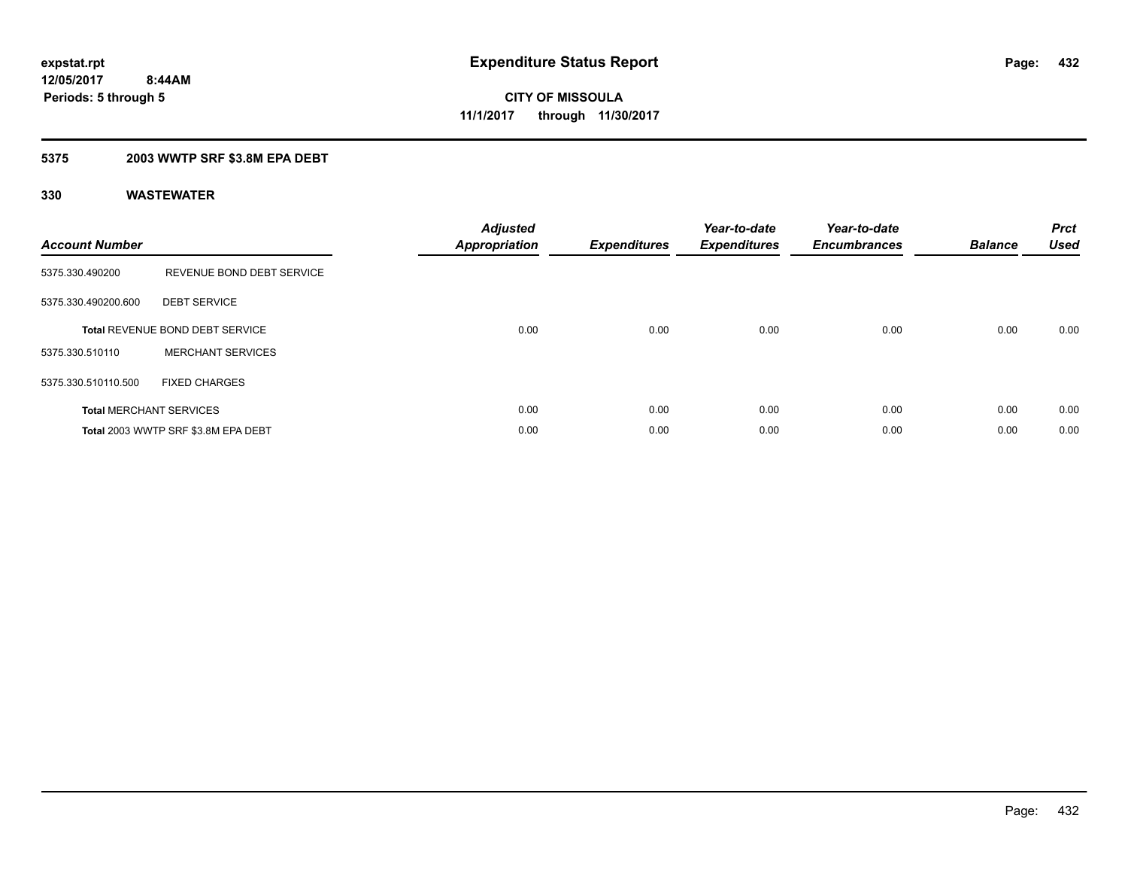### **5375 2003 WWTP SRF \$3.8M EPA DEBT**

| <b>Account Number</b> |                                        | <b>Adjusted</b><br>Appropriation | <b>Expenditures</b> | Year-to-date<br><b>Expenditures</b> | Year-to-date<br><b>Encumbrances</b> | <b>Balance</b> | <b>Prct</b><br><b>Used</b> |
|-----------------------|----------------------------------------|----------------------------------|---------------------|-------------------------------------|-------------------------------------|----------------|----------------------------|
| 5375.330.490200       | REVENUE BOND DEBT SERVICE              |                                  |                     |                                     |                                     |                |                            |
| 5375.330.490200.600   | <b>DEBT SERVICE</b>                    |                                  |                     |                                     |                                     |                |                            |
|                       | <b>Total REVENUE BOND DEBT SERVICE</b> | 0.00                             | 0.00                | 0.00                                | 0.00                                | 0.00           | 0.00                       |
| 5375.330.510110       | <b>MERCHANT SERVICES</b>               |                                  |                     |                                     |                                     |                |                            |
| 5375.330.510110.500   | <b>FIXED CHARGES</b>                   |                                  |                     |                                     |                                     |                |                            |
|                       | <b>Total MERCHANT SERVICES</b>         | 0.00                             | 0.00                | 0.00                                | 0.00                                | 0.00           | 0.00                       |
|                       | Total 2003 WWTP SRF \$3.8M EPA DEBT    | 0.00                             | 0.00                | 0.00                                | 0.00                                | 0.00           | 0.00                       |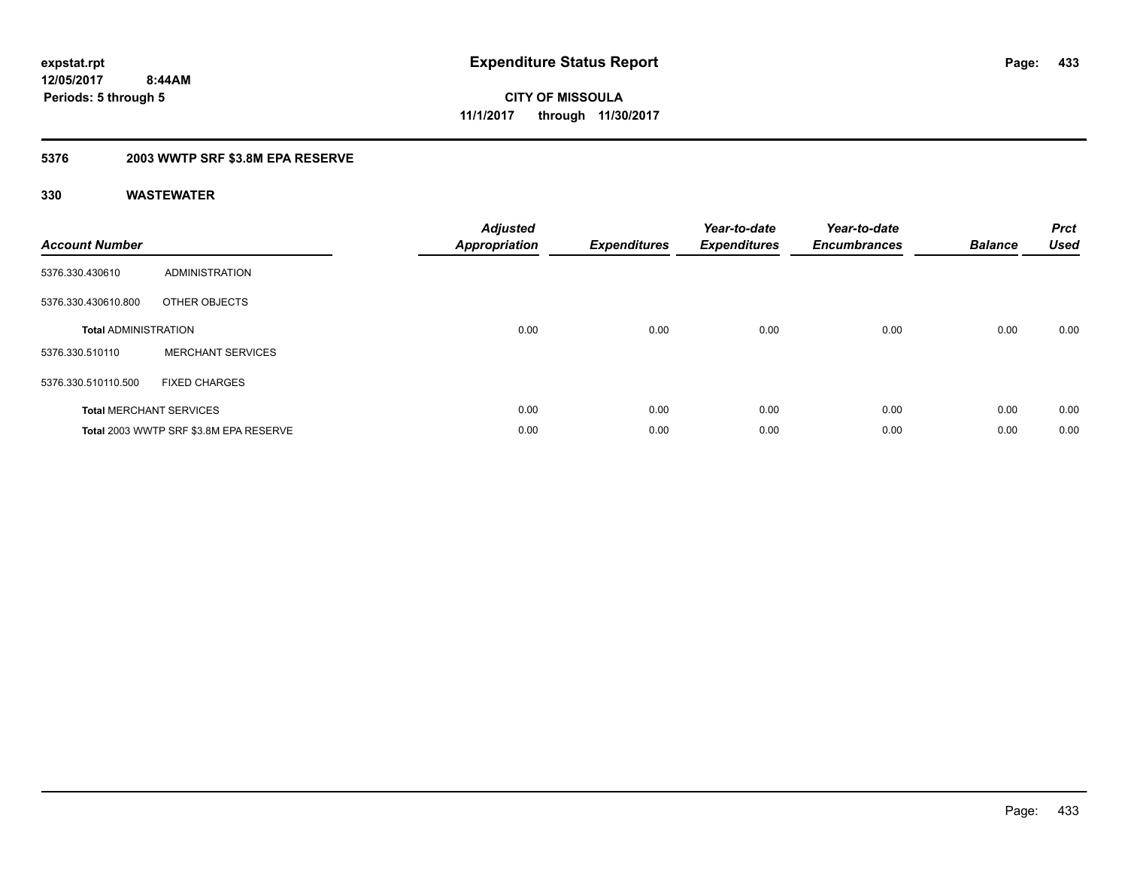## **5376 2003 WWTP SRF \$3.8M EPA RESERVE**

| <b>Account Number</b>       |                                        | <b>Adjusted</b><br><b>Appropriation</b> | <b>Expenditures</b> | Year-to-date<br><b>Expenditures</b> | Year-to-date<br><b>Encumbrances</b> | <b>Balance</b> | <b>Prct</b><br><b>Used</b> |
|-----------------------------|----------------------------------------|-----------------------------------------|---------------------|-------------------------------------|-------------------------------------|----------------|----------------------------|
| 5376.330.430610             | <b>ADMINISTRATION</b>                  |                                         |                     |                                     |                                     |                |                            |
| 5376.330.430610.800         | OTHER OBJECTS                          |                                         |                     |                                     |                                     |                |                            |
| <b>Total ADMINISTRATION</b> |                                        | 0.00                                    | 0.00                | 0.00                                | 0.00                                | 0.00           | 0.00                       |
| 5376.330.510110             | <b>MERCHANT SERVICES</b>               |                                         |                     |                                     |                                     |                |                            |
| 5376.330.510110.500         | <b>FIXED CHARGES</b>                   |                                         |                     |                                     |                                     |                |                            |
|                             | <b>Total MERCHANT SERVICES</b>         | 0.00                                    | 0.00                | 0.00                                | 0.00                                | 0.00           | 0.00                       |
|                             | Total 2003 WWTP SRF \$3.8M EPA RESERVE | 0.00                                    | 0.00                | 0.00                                | 0.00                                | 0.00           | 0.00                       |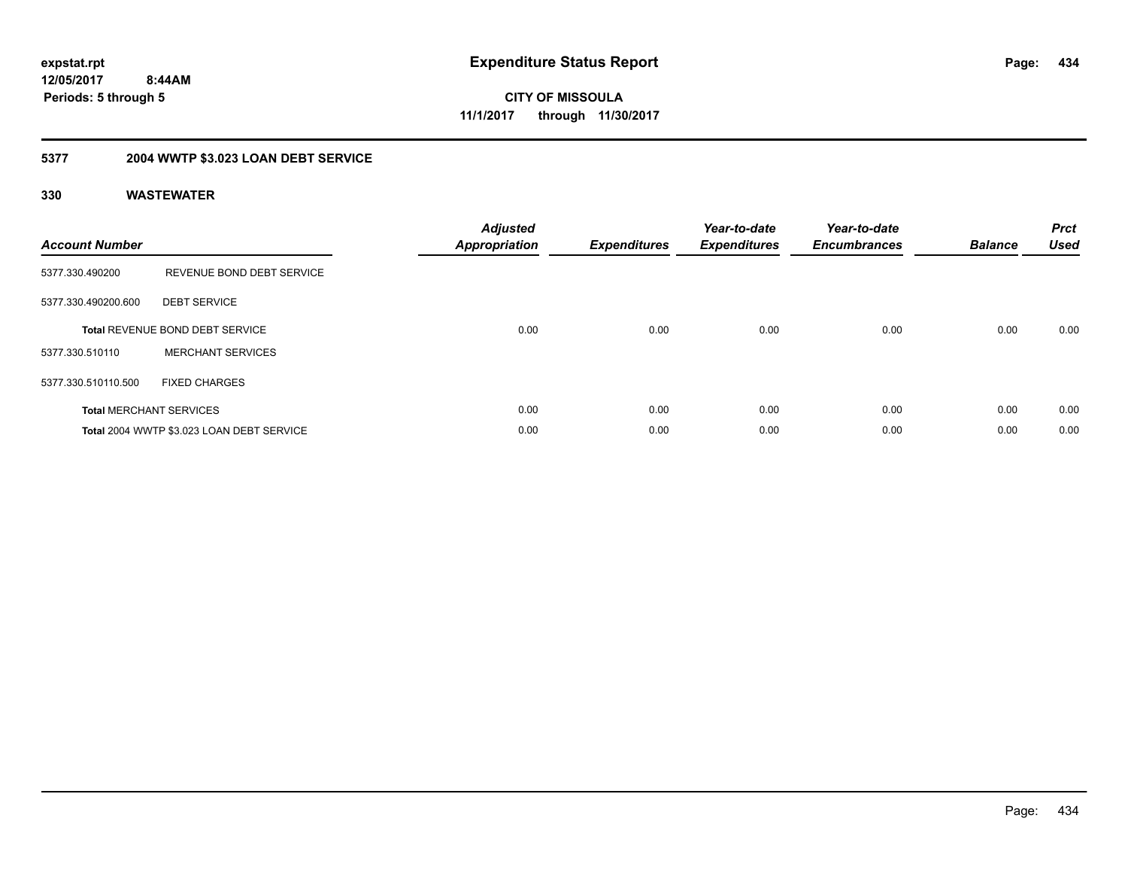## **12/05/2017 8:44AM Periods: 5 through 5**

**CITY OF MISSOULA 11/1/2017 through 11/30/2017**

# **5377 2004 WWTP \$3.023 LOAN DEBT SERVICE**

| <b>Account Number</b> |                                           | <b>Adjusted</b><br><b>Appropriation</b> | <b>Expenditures</b> | Year-to-date<br><b>Expenditures</b> | Year-to-date<br><b>Encumbrances</b> | <b>Balance</b> | <b>Prct</b><br><b>Used</b> |
|-----------------------|-------------------------------------------|-----------------------------------------|---------------------|-------------------------------------|-------------------------------------|----------------|----------------------------|
| 5377.330.490200       | REVENUE BOND DEBT SERVICE                 |                                         |                     |                                     |                                     |                |                            |
| 5377.330.490200.600   | <b>DEBT SERVICE</b>                       |                                         |                     |                                     |                                     |                |                            |
|                       | Total REVENUE BOND DEBT SERVICE           | 0.00                                    | 0.00                | 0.00                                | 0.00                                | 0.00           | 0.00                       |
| 5377.330.510110       | <b>MERCHANT SERVICES</b>                  |                                         |                     |                                     |                                     |                |                            |
| 5377.330.510110.500   | <b>FIXED CHARGES</b>                      |                                         |                     |                                     |                                     |                |                            |
|                       | <b>Total MERCHANT SERVICES</b>            | 0.00                                    | 0.00                | 0.00                                | 0.00                                | 0.00           | 0.00                       |
|                       | Total 2004 WWTP \$3.023 LOAN DEBT SERVICE | 0.00                                    | 0.00                | 0.00                                | 0.00                                | 0.00           | 0.00                       |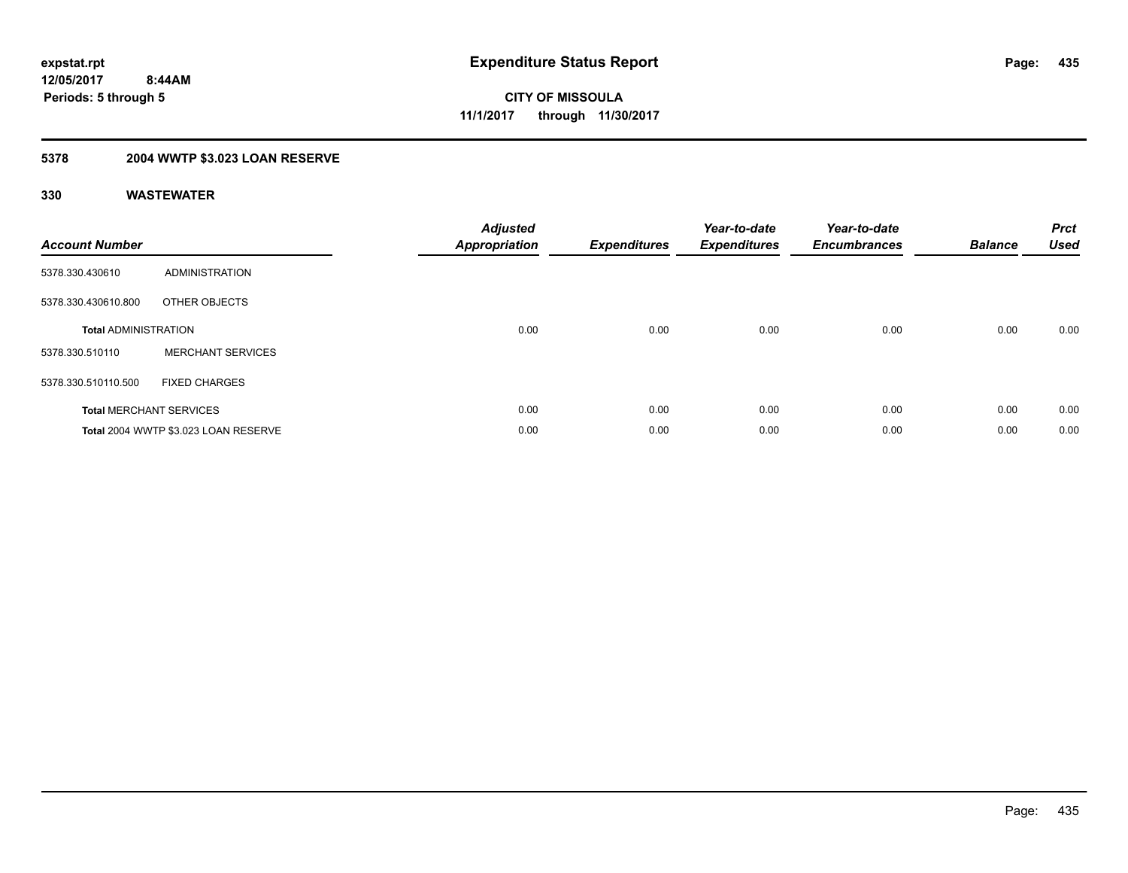# **5378 2004 WWTP \$3.023 LOAN RESERVE**

| <b>Account Number</b>       |                                      | <b>Adjusted</b><br><b>Appropriation</b> | <b>Expenditures</b> | Year-to-date<br><b>Expenditures</b> | Year-to-date<br><b>Encumbrances</b> | <b>Balance</b> | <b>Prct</b><br><b>Used</b> |
|-----------------------------|--------------------------------------|-----------------------------------------|---------------------|-------------------------------------|-------------------------------------|----------------|----------------------------|
| 5378.330.430610             | <b>ADMINISTRATION</b>                |                                         |                     |                                     |                                     |                |                            |
| 5378.330.430610.800         | OTHER OBJECTS                        |                                         |                     |                                     |                                     |                |                            |
| <b>Total ADMINISTRATION</b> |                                      | 0.00                                    | 0.00                | 0.00                                | 0.00                                | 0.00           | 0.00                       |
| 5378.330.510110             | <b>MERCHANT SERVICES</b>             |                                         |                     |                                     |                                     |                |                            |
| 5378.330.510110.500         | <b>FIXED CHARGES</b>                 |                                         |                     |                                     |                                     |                |                            |
|                             | <b>Total MERCHANT SERVICES</b>       | 0.00                                    | 0.00                | 0.00                                | 0.00                                | 0.00           | 0.00                       |
|                             | Total 2004 WWTP \$3.023 LOAN RESERVE | 0.00                                    | 0.00                | 0.00                                | 0.00                                | 0.00           | 0.00                       |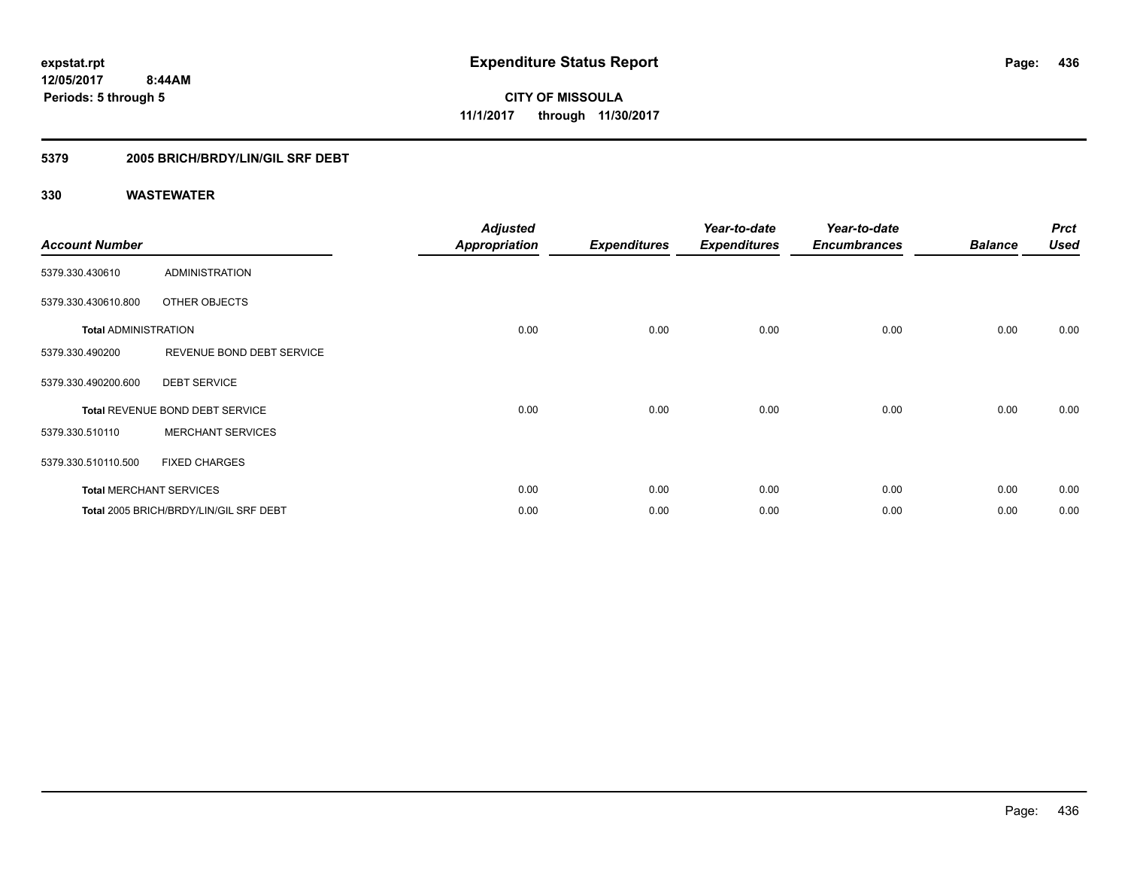## **5379 2005 BRICH/BRDY/LIN/GIL SRF DEBT**

|                             |                                        | <b>Adjusted</b>      |                     | Year-to-date        | Year-to-date        |                | <b>Prct</b> |
|-----------------------------|----------------------------------------|----------------------|---------------------|---------------------|---------------------|----------------|-------------|
| <b>Account Number</b>       |                                        | <b>Appropriation</b> | <b>Expenditures</b> | <b>Expenditures</b> | <b>Encumbrances</b> | <b>Balance</b> | <b>Used</b> |
| 5379.330.430610             | <b>ADMINISTRATION</b>                  |                      |                     |                     |                     |                |             |
| 5379.330.430610.800         | OTHER OBJECTS                          |                      |                     |                     |                     |                |             |
| <b>Total ADMINISTRATION</b> |                                        | 0.00                 | 0.00                | 0.00                | 0.00                | 0.00           | 0.00        |
| 5379.330.490200             | REVENUE BOND DEBT SERVICE              |                      |                     |                     |                     |                |             |
| 5379.330.490200.600         | <b>DEBT SERVICE</b>                    |                      |                     |                     |                     |                |             |
|                             | Total REVENUE BOND DEBT SERVICE        | 0.00                 | 0.00                | 0.00                | 0.00                | 0.00           | 0.00        |
| 5379.330.510110             | <b>MERCHANT SERVICES</b>               |                      |                     |                     |                     |                |             |
| 5379.330.510110.500         | <b>FIXED CHARGES</b>                   |                      |                     |                     |                     |                |             |
|                             | <b>Total MERCHANT SERVICES</b>         | 0.00                 | 0.00                | 0.00                | 0.00                | 0.00           | 0.00        |
|                             | Total 2005 BRICH/BRDY/LIN/GIL SRF DEBT | 0.00                 | 0.00                | 0.00                | 0.00                | 0.00           | 0.00        |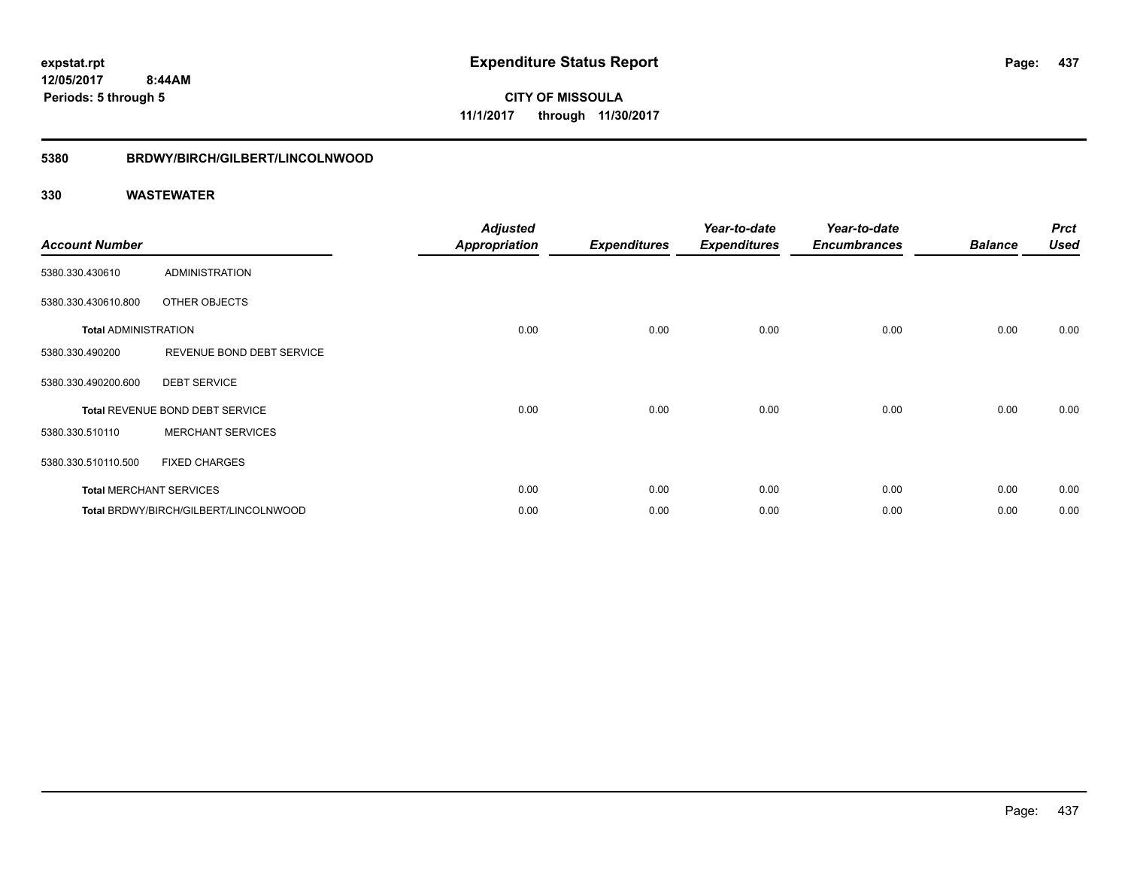## **12/05/2017 8:44AM Periods: 5 through 5**

**CITY OF MISSOULA 11/1/2017 through 11/30/2017**

#### **5380 BRDWY/BIRCH/GILBERT/LINCOLNWOOD**

| <b>Account Number</b>       |                                       | <b>Adjusted</b><br><b>Appropriation</b> | <b>Expenditures</b> | Year-to-date<br><b>Expenditures</b> | Year-to-date<br><b>Encumbrances</b> | <b>Balance</b> | <b>Prct</b><br><b>Used</b> |
|-----------------------------|---------------------------------------|-----------------------------------------|---------------------|-------------------------------------|-------------------------------------|----------------|----------------------------|
| 5380.330.430610             | <b>ADMINISTRATION</b>                 |                                         |                     |                                     |                                     |                |                            |
| 5380.330.430610.800         | OTHER OBJECTS                         |                                         |                     |                                     |                                     |                |                            |
| <b>Total ADMINISTRATION</b> |                                       | 0.00                                    | 0.00                | 0.00                                | 0.00                                | 0.00           | 0.00                       |
| 5380.330.490200             | REVENUE BOND DEBT SERVICE             |                                         |                     |                                     |                                     |                |                            |
| 5380.330.490200.600         | <b>DEBT SERVICE</b>                   |                                         |                     |                                     |                                     |                |                            |
|                             | Total REVENUE BOND DEBT SERVICE       | 0.00                                    | 0.00                | 0.00                                | 0.00                                | 0.00           | 0.00                       |
| 5380.330.510110             | <b>MERCHANT SERVICES</b>              |                                         |                     |                                     |                                     |                |                            |
| 5380.330.510110.500         | <b>FIXED CHARGES</b>                  |                                         |                     |                                     |                                     |                |                            |
|                             | <b>Total MERCHANT SERVICES</b>        | 0.00                                    | 0.00                | 0.00                                | 0.00                                | 0.00           | 0.00                       |
|                             | Total BRDWY/BIRCH/GILBERT/LINCOLNWOOD | 0.00                                    | 0.00                | 0.00                                | 0.00                                | 0.00           | 0.00                       |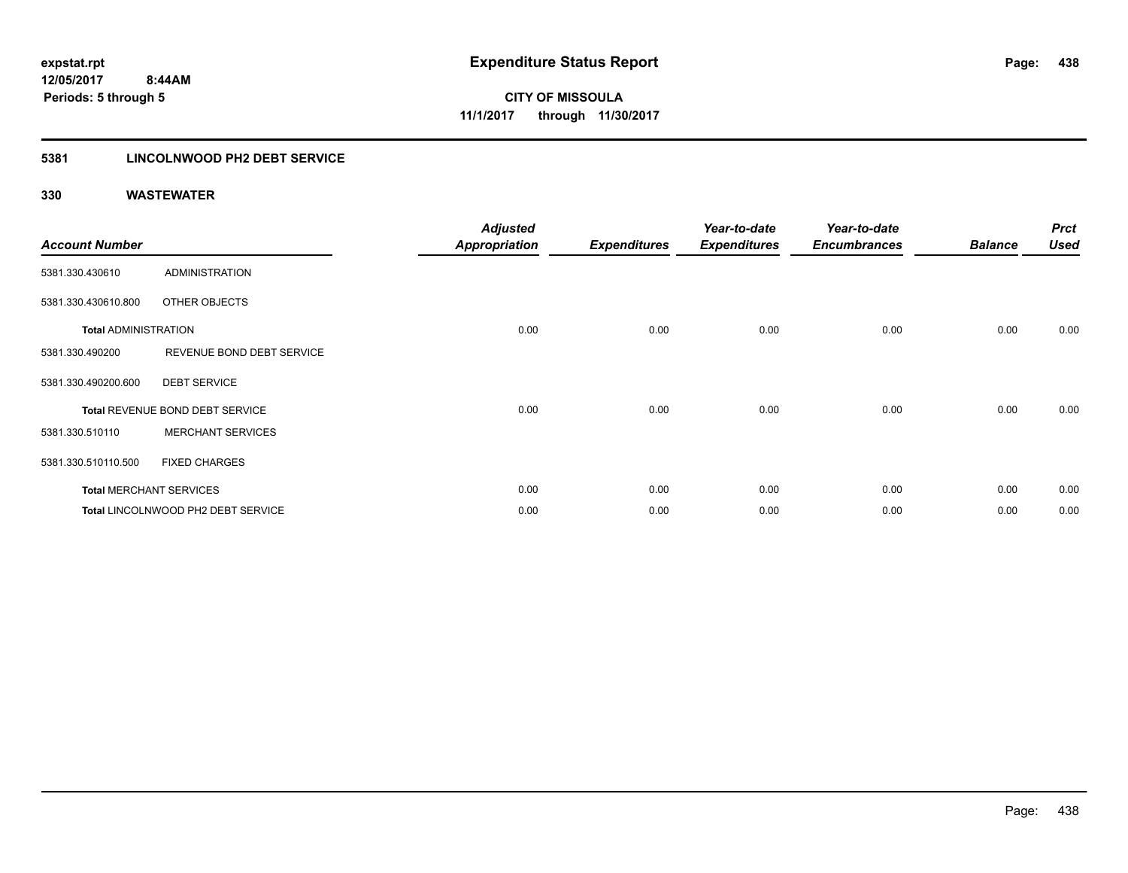## **5381 LINCOLNWOOD PH2 DEBT SERVICE**

| <b>Account Number</b>       |                                    | <b>Adjusted</b><br><b>Appropriation</b> | <b>Expenditures</b> | Year-to-date<br><b>Expenditures</b> | Year-to-date<br><b>Encumbrances</b> | <b>Balance</b> | <b>Prct</b><br><b>Used</b> |
|-----------------------------|------------------------------------|-----------------------------------------|---------------------|-------------------------------------|-------------------------------------|----------------|----------------------------|
| 5381.330.430610             | <b>ADMINISTRATION</b>              |                                         |                     |                                     |                                     |                |                            |
| 5381.330.430610.800         | OTHER OBJECTS                      |                                         |                     |                                     |                                     |                |                            |
| <b>Total ADMINISTRATION</b> |                                    | 0.00                                    | 0.00                | 0.00                                | 0.00                                | 0.00           | 0.00                       |
| 5381.330.490200             | REVENUE BOND DEBT SERVICE          |                                         |                     |                                     |                                     |                |                            |
| 5381.330.490200.600         | <b>DEBT SERVICE</b>                |                                         |                     |                                     |                                     |                |                            |
|                             | Total REVENUE BOND DEBT SERVICE    | 0.00                                    | 0.00                | 0.00                                | 0.00                                | 0.00           | 0.00                       |
| 5381.330.510110             | <b>MERCHANT SERVICES</b>           |                                         |                     |                                     |                                     |                |                            |
| 5381.330.510110.500         | <b>FIXED CHARGES</b>               |                                         |                     |                                     |                                     |                |                            |
|                             | <b>Total MERCHANT SERVICES</b>     | 0.00                                    | 0.00                | 0.00                                | 0.00                                | 0.00           | 0.00                       |
|                             | Total LINCOLNWOOD PH2 DEBT SERVICE | 0.00                                    | 0.00                | 0.00                                | 0.00                                | 0.00           | 0.00                       |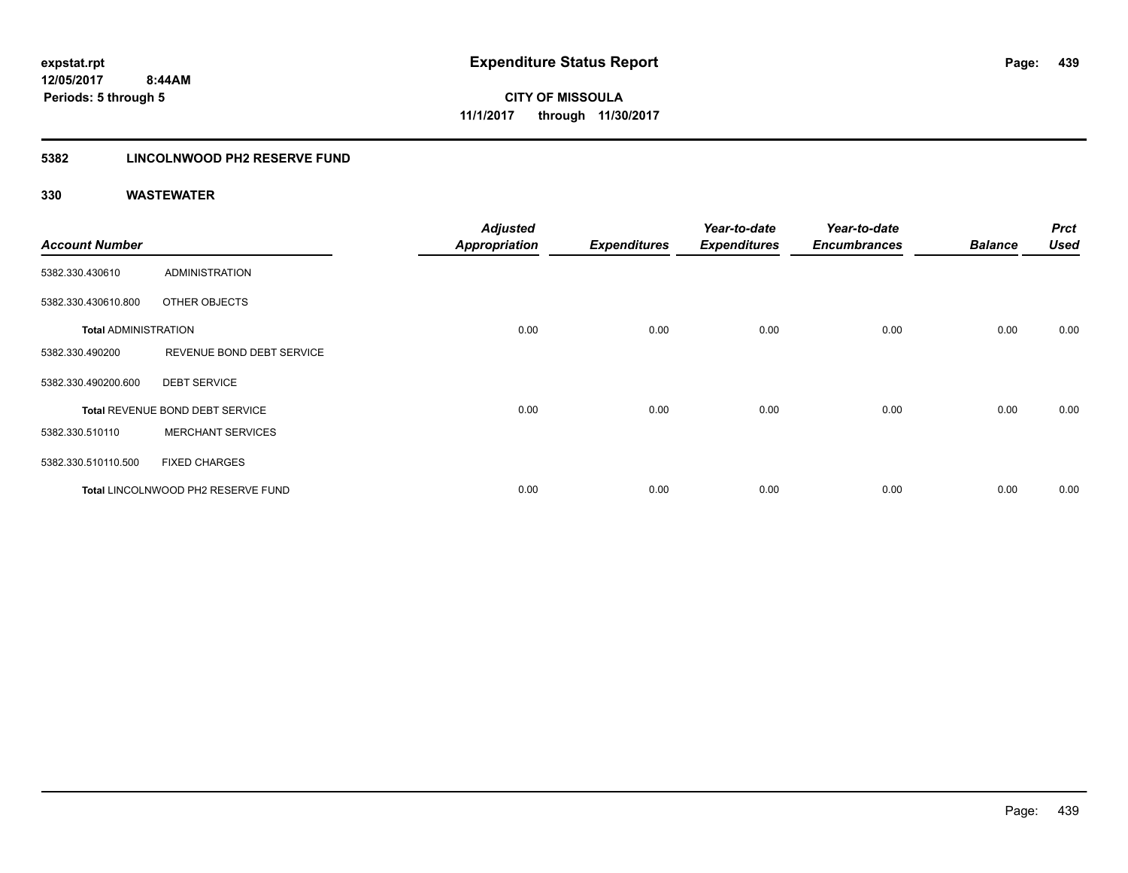## **5382 LINCOLNWOOD PH2 RESERVE FUND**

| <b>Account Number</b>       |                                    | <b>Adjusted</b><br><b>Appropriation</b> | <b>Expenditures</b> | Year-to-date<br><b>Expenditures</b> | Year-to-date<br><b>Encumbrances</b> | <b>Balance</b> | <b>Prct</b><br><b>Used</b> |
|-----------------------------|------------------------------------|-----------------------------------------|---------------------|-------------------------------------|-------------------------------------|----------------|----------------------------|
| 5382.330.430610             | <b>ADMINISTRATION</b>              |                                         |                     |                                     |                                     |                |                            |
| 5382.330.430610.800         | OTHER OBJECTS                      |                                         |                     |                                     |                                     |                |                            |
| <b>Total ADMINISTRATION</b> |                                    | 0.00                                    | 0.00                | 0.00                                | 0.00                                | 0.00           | 0.00                       |
| 5382.330.490200             | REVENUE BOND DEBT SERVICE          |                                         |                     |                                     |                                     |                |                            |
| 5382.330.490200.600         | <b>DEBT SERVICE</b>                |                                         |                     |                                     |                                     |                |                            |
|                             | Total REVENUE BOND DEBT SERVICE    | 0.00                                    | 0.00                | 0.00                                | 0.00                                | 0.00           | 0.00                       |
| 5382.330.510110             | <b>MERCHANT SERVICES</b>           |                                         |                     |                                     |                                     |                |                            |
| 5382.330.510110.500         | <b>FIXED CHARGES</b>               |                                         |                     |                                     |                                     |                |                            |
|                             | Total LINCOLNWOOD PH2 RESERVE FUND | 0.00                                    | 0.00                | 0.00                                | 0.00                                | 0.00           | 0.00                       |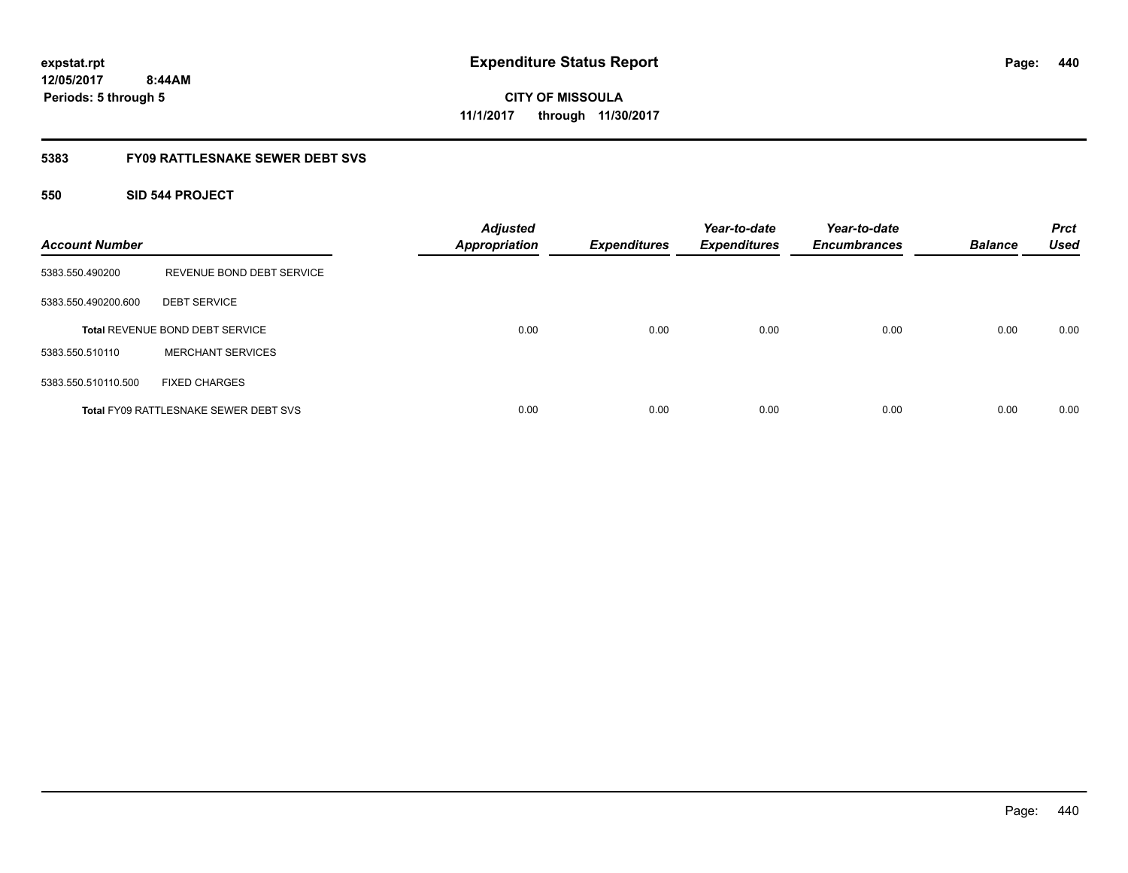**440**

**12/05/2017 8:44AM Periods: 5 through 5**

**CITY OF MISSOULA 11/1/2017 through 11/30/2017**

### **5383 FY09 RATTLESNAKE SEWER DEBT SVS**

### **550 SID 544 PROJECT**

| <b>Account Number</b> |                                              | <b>Adjusted</b><br><b>Appropriation</b> | <b>Expenditures</b> | Year-to-date<br><b>Expenditures</b> | Year-to-date<br><b>Encumbrances</b> | <b>Balance</b> | <b>Prct</b><br><b>Used</b> |
|-----------------------|----------------------------------------------|-----------------------------------------|---------------------|-------------------------------------|-------------------------------------|----------------|----------------------------|
| 5383.550.490200       | REVENUE BOND DEBT SERVICE                    |                                         |                     |                                     |                                     |                |                            |
| 5383.550.490200.600   | <b>DEBT SERVICE</b>                          |                                         |                     |                                     |                                     |                |                            |
|                       | <b>Total REVENUE BOND DEBT SERVICE</b>       | 0.00                                    | 0.00                | 0.00                                | 0.00                                | 0.00           | 0.00                       |
| 5383.550.510110       | <b>MERCHANT SERVICES</b>                     |                                         |                     |                                     |                                     |                |                            |
| 5383.550.510110.500   | <b>FIXED CHARGES</b>                         |                                         |                     |                                     |                                     |                |                            |
|                       | <b>Total FY09 RATTLESNAKE SEWER DEBT SVS</b> | 0.00                                    | 0.00                | 0.00                                | 0.00                                | 0.00           | 0.00                       |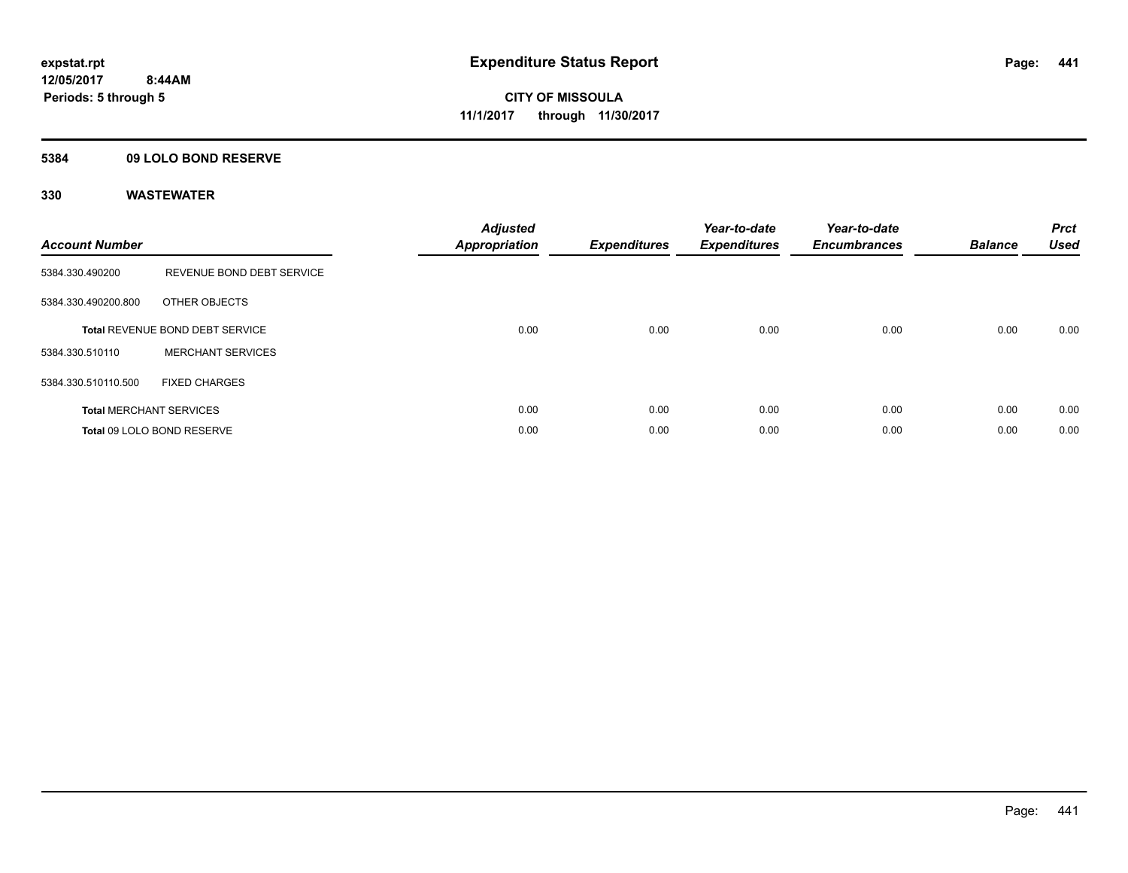### **5384 09 LOLO BOND RESERVE**

| <b>Account Number</b> |                                 | <b>Adjusted</b><br><b>Appropriation</b> | <b>Expenditures</b> | Year-to-date<br><b>Expenditures</b> | Year-to-date<br><b>Encumbrances</b> | <b>Balance</b> | <b>Prct</b><br><b>Used</b> |
|-----------------------|---------------------------------|-----------------------------------------|---------------------|-------------------------------------|-------------------------------------|----------------|----------------------------|
| 5384.330.490200       | REVENUE BOND DEBT SERVICE       |                                         |                     |                                     |                                     |                |                            |
| 5384.330.490200.800   | OTHER OBJECTS                   |                                         |                     |                                     |                                     |                |                            |
|                       | Total REVENUE BOND DEBT SERVICE | 0.00                                    | 0.00                | 0.00                                | 0.00                                | 0.00           | 0.00                       |
| 5384.330.510110       | <b>MERCHANT SERVICES</b>        |                                         |                     |                                     |                                     |                |                            |
| 5384.330.510110.500   | <b>FIXED CHARGES</b>            |                                         |                     |                                     |                                     |                |                            |
|                       | <b>Total MERCHANT SERVICES</b>  | 0.00                                    | 0.00                | 0.00                                | 0.00                                | 0.00           | 0.00                       |
|                       | Total 09 LOLO BOND RESERVE      | 0.00                                    | 0.00                | 0.00                                | 0.00                                | 0.00           | 0.00                       |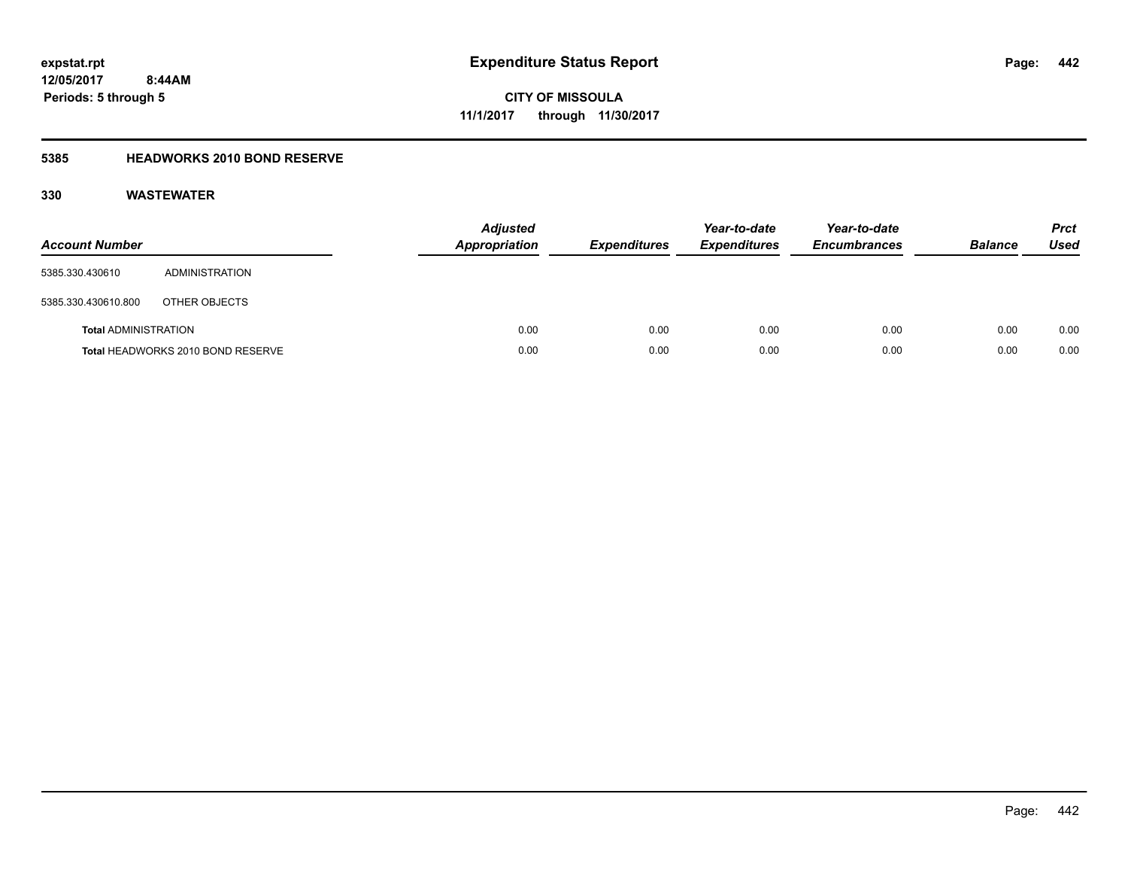## **12/05/2017 8:44AM Periods: 5 through 5**

**CITY OF MISSOULA 11/1/2017 through 11/30/2017**

## **5385 HEADWORKS 2010 BOND RESERVE**

| <b>Account Number</b>       |                                   | <b>Adjusted</b><br><b>Appropriation</b> | <b>Expenditures</b> | Year-to-date<br><b>Expenditures</b> | Year-to-date<br><b>Encumbrances</b> | <b>Balance</b> | <b>Prct</b><br>Used |
|-----------------------------|-----------------------------------|-----------------------------------------|---------------------|-------------------------------------|-------------------------------------|----------------|---------------------|
| 5385.330.430610             | ADMINISTRATION                    |                                         |                     |                                     |                                     |                |                     |
| 5385.330.430610.800         | OTHER OBJECTS                     |                                         |                     |                                     |                                     |                |                     |
| <b>Total ADMINISTRATION</b> |                                   | 0.00                                    | 0.00                | 0.00                                | 0.00                                | 0.00           | 0.00                |
|                             | Total HEADWORKS 2010 BOND RESERVE | 0.00                                    | 0.00                | 0.00                                | 0.00                                | 0.00           | 0.00                |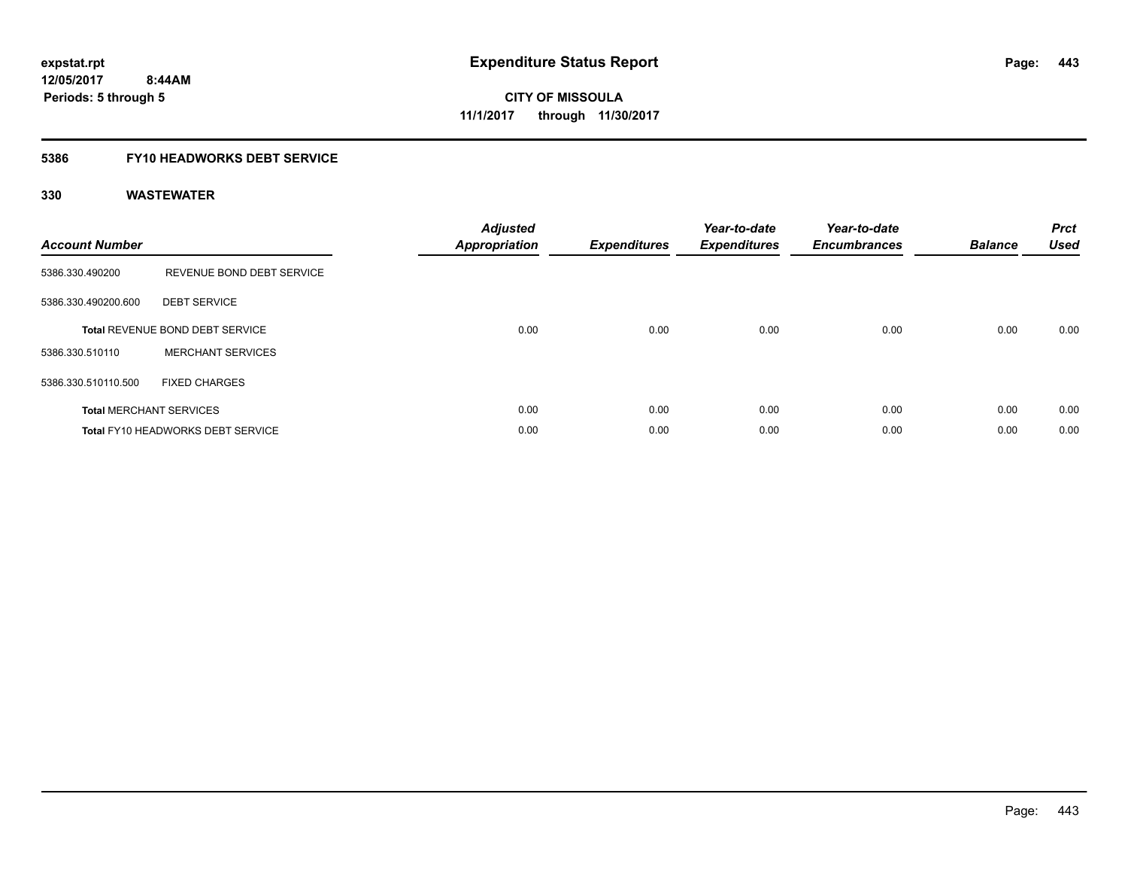### **5386 FY10 HEADWORKS DEBT SERVICE**

| <b>Account Number</b> |                                          | <b>Adjusted</b><br><b>Appropriation</b> | <b>Expenditures</b> | Year-to-date<br><b>Expenditures</b> | Year-to-date<br><b>Encumbrances</b> | <b>Balance</b> | <b>Prct</b><br><b>Used</b> |
|-----------------------|------------------------------------------|-----------------------------------------|---------------------|-------------------------------------|-------------------------------------|----------------|----------------------------|
| 5386.330.490200       | REVENUE BOND DEBT SERVICE                |                                         |                     |                                     |                                     |                |                            |
| 5386.330.490200.600   | <b>DEBT SERVICE</b>                      |                                         |                     |                                     |                                     |                |                            |
|                       | Total REVENUE BOND DEBT SERVICE          | 0.00                                    | 0.00                | 0.00                                | 0.00                                | 0.00           | 0.00                       |
| 5386.330.510110       | <b>MERCHANT SERVICES</b>                 |                                         |                     |                                     |                                     |                |                            |
| 5386.330.510110.500   | <b>FIXED CHARGES</b>                     |                                         |                     |                                     |                                     |                |                            |
|                       | <b>Total MERCHANT SERVICES</b>           | 0.00                                    | 0.00                | 0.00                                | 0.00                                | 0.00           | 0.00                       |
|                       | <b>Total FY10 HEADWORKS DEBT SERVICE</b> | 0.00                                    | 0.00                | 0.00                                | 0.00                                | 0.00           | 0.00                       |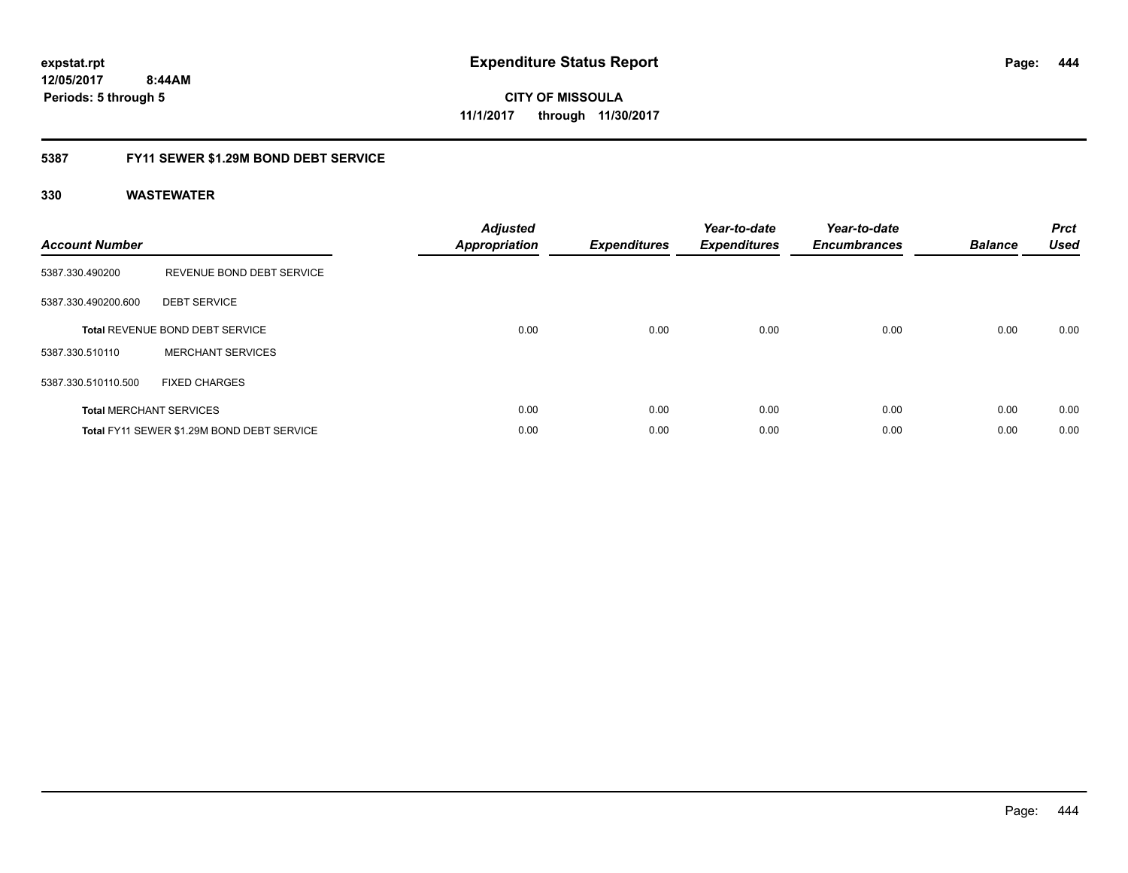**444**

**12/05/2017 8:44AM Periods: 5 through 5**

**CITY OF MISSOULA 11/1/2017 through 11/30/2017**

### **5387 FY11 SEWER \$1.29M BOND DEBT SERVICE**

| <b>Account Number</b> |                                            | <b>Adjusted</b><br>Appropriation | <b>Expenditures</b> | Year-to-date<br><b>Expenditures</b> | Year-to-date<br><b>Encumbrances</b> | <b>Balance</b> | <b>Prct</b><br><b>Used</b> |
|-----------------------|--------------------------------------------|----------------------------------|---------------------|-------------------------------------|-------------------------------------|----------------|----------------------------|
| 5387.330.490200       | REVENUE BOND DEBT SERVICE                  |                                  |                     |                                     |                                     |                |                            |
| 5387.330.490200.600   | <b>DEBT SERVICE</b>                        |                                  |                     |                                     |                                     |                |                            |
|                       | <b>Total REVENUE BOND DEBT SERVICE</b>     | 0.00                             | 0.00                | 0.00                                | 0.00                                | 0.00           | 0.00                       |
| 5387.330.510110       | <b>MERCHANT SERVICES</b>                   |                                  |                     |                                     |                                     |                |                            |
| 5387.330.510110.500   | <b>FIXED CHARGES</b>                       |                                  |                     |                                     |                                     |                |                            |
|                       | <b>Total MERCHANT SERVICES</b>             | 0.00                             | 0.00                | 0.00                                | 0.00                                | 0.00           | 0.00                       |
|                       | Total FY11 SEWER \$1.29M BOND DEBT SERVICE | 0.00                             | 0.00                | 0.00                                | 0.00                                | 0.00           | 0.00                       |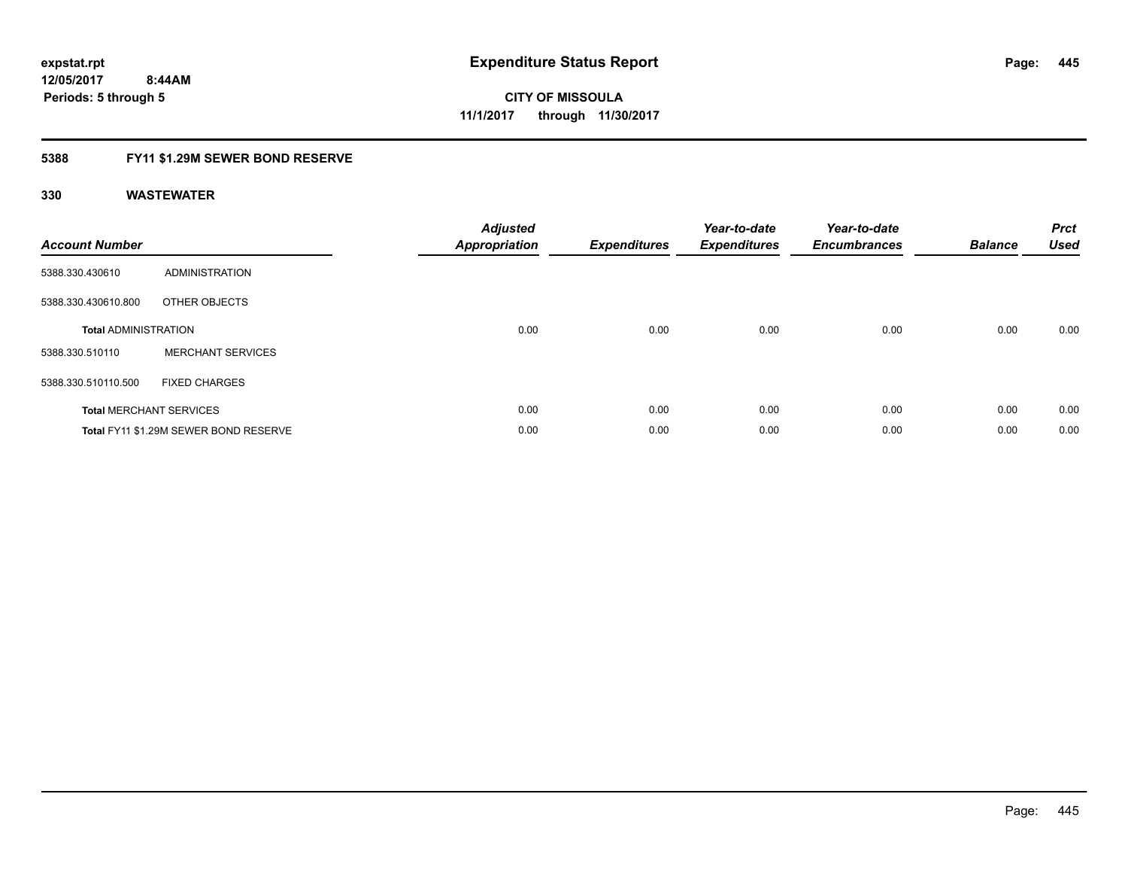## **5388 FY11 \$1.29M SEWER BOND RESERVE**

| <b>Account Number</b>       |                                       | <b>Adjusted</b><br>Appropriation | Expenditures | Year-to-date<br><b>Expenditures</b> | Year-to-date<br><b>Encumbrances</b> | <b>Balance</b> | <b>Prct</b><br><b>Used</b> |
|-----------------------------|---------------------------------------|----------------------------------|--------------|-------------------------------------|-------------------------------------|----------------|----------------------------|
| 5388.330.430610             | ADMINISTRATION                        |                                  |              |                                     |                                     |                |                            |
| 5388.330.430610.800         | OTHER OBJECTS                         |                                  |              |                                     |                                     |                |                            |
| <b>Total ADMINISTRATION</b> |                                       | 0.00                             | 0.00         | 0.00                                | 0.00                                | 0.00           | 0.00                       |
| 5388.330.510110             | <b>MERCHANT SERVICES</b>              |                                  |              |                                     |                                     |                |                            |
| 5388.330.510110.500         | <b>FIXED CHARGES</b>                  |                                  |              |                                     |                                     |                |                            |
|                             | <b>Total MERCHANT SERVICES</b>        | 0.00                             | 0.00         | 0.00                                | 0.00                                | 0.00           | 0.00                       |
|                             | Total FY11 \$1.29M SEWER BOND RESERVE | 0.00                             | 0.00         | 0.00                                | 0.00                                | 0.00           | 0.00                       |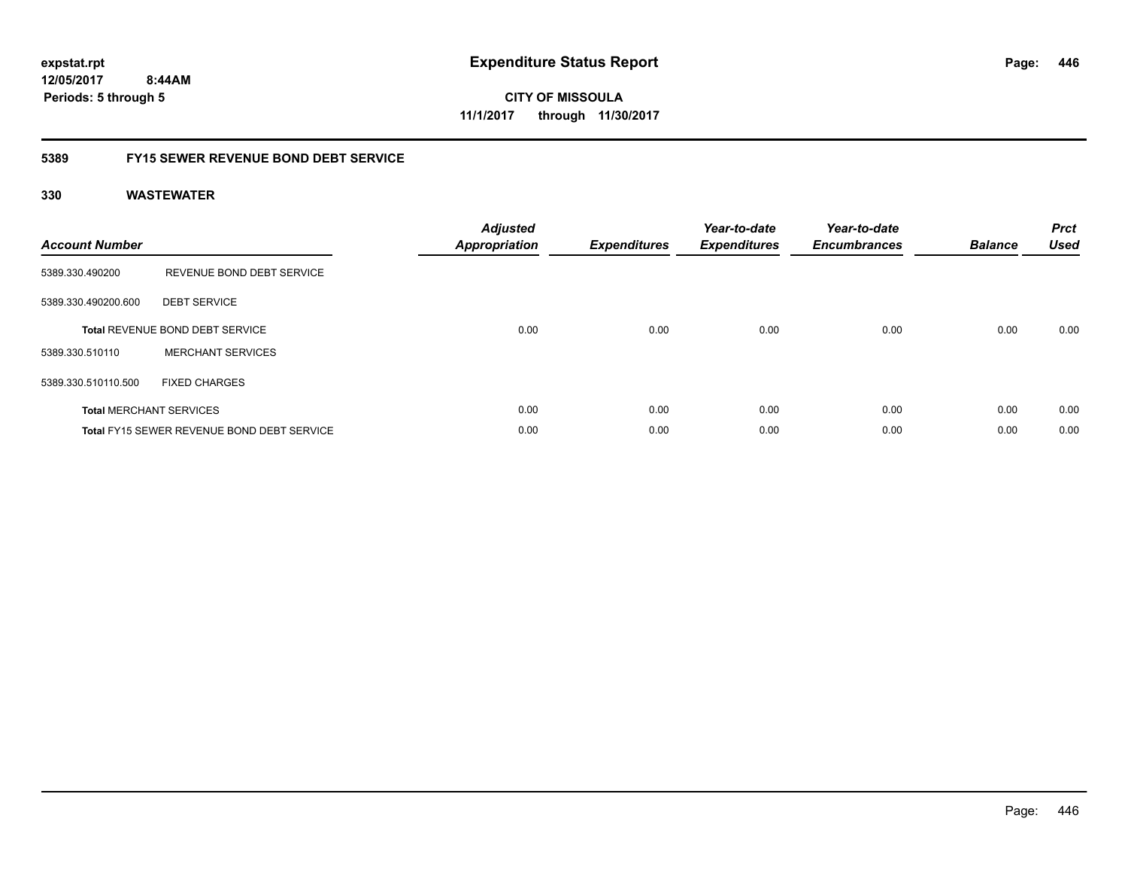**12/05/2017 8:44AM Periods: 5 through 5**

**CITY OF MISSOULA 11/1/2017 through 11/30/2017**

### **5389 FY15 SEWER REVENUE BOND DEBT SERVICE**

| <b>Account Number</b> |                                                   | <b>Adjusted</b><br><b>Appropriation</b> | <b>Expenditures</b> | Year-to-date<br><b>Expenditures</b> | Year-to-date<br><b>Encumbrances</b> | <b>Balance</b> | <b>Prct</b><br><b>Used</b> |
|-----------------------|---------------------------------------------------|-----------------------------------------|---------------------|-------------------------------------|-------------------------------------|----------------|----------------------------|
| 5389.330.490200       | REVENUE BOND DEBT SERVICE                         |                                         |                     |                                     |                                     |                |                            |
| 5389.330.490200.600   | <b>DEBT SERVICE</b>                               |                                         |                     |                                     |                                     |                |                            |
|                       | <b>Total REVENUE BOND DEBT SERVICE</b>            | 0.00                                    | 0.00                | 0.00                                | 0.00                                | 0.00           | 0.00                       |
| 5389.330.510110       | <b>MERCHANT SERVICES</b>                          |                                         |                     |                                     |                                     |                |                            |
| 5389.330.510110.500   | <b>FIXED CHARGES</b>                              |                                         |                     |                                     |                                     |                |                            |
|                       | <b>Total MERCHANT SERVICES</b>                    | 0.00                                    | 0.00                | 0.00                                | 0.00                                | 0.00           | 0.00                       |
|                       | <b>Total FY15 SEWER REVENUE BOND DEBT SERVICE</b> | 0.00                                    | 0.00                | 0.00                                | 0.00                                | 0.00           | 0.00                       |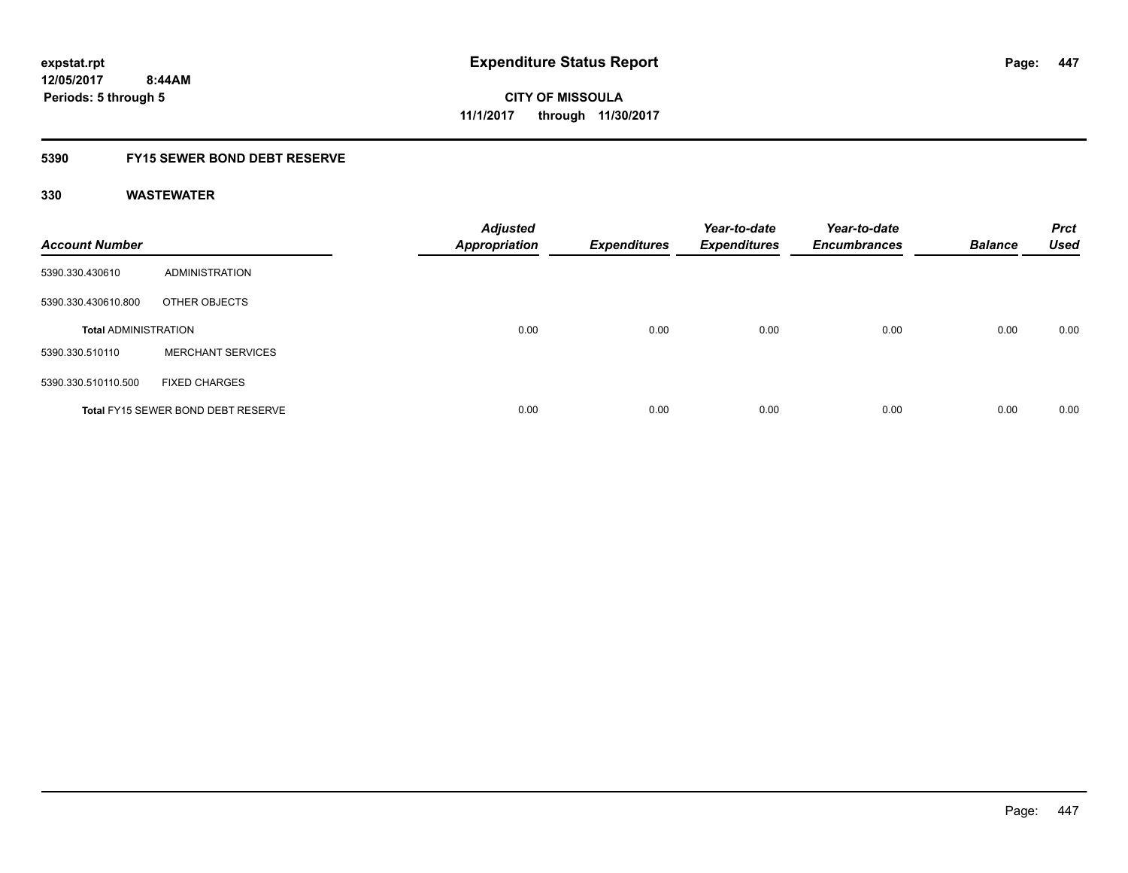### **5390 FY15 SEWER BOND DEBT RESERVE**

| <b>Account Number</b>       |                                           | <b>Adjusted</b><br><b>Appropriation</b> | <b>Expenditures</b> | Year-to-date<br><b>Expenditures</b> | Year-to-date<br><b>Encumbrances</b> | <b>Balance</b> | <b>Prct</b><br><b>Used</b> |
|-----------------------------|-------------------------------------------|-----------------------------------------|---------------------|-------------------------------------|-------------------------------------|----------------|----------------------------|
| 5390.330.430610             | ADMINISTRATION                            |                                         |                     |                                     |                                     |                |                            |
| 5390.330.430610.800         | OTHER OBJECTS                             |                                         |                     |                                     |                                     |                |                            |
| <b>Total ADMINISTRATION</b> |                                           | 0.00                                    | 0.00                | 0.00                                | 0.00                                | 0.00           | 0.00                       |
| 5390.330.510110             | <b>MERCHANT SERVICES</b>                  |                                         |                     |                                     |                                     |                |                            |
| 5390.330.510110.500         | <b>FIXED CHARGES</b>                      |                                         |                     |                                     |                                     |                |                            |
|                             | <b>Total FY15 SEWER BOND DEBT RESERVE</b> | 0.00                                    | 0.00                | 0.00                                | 0.00                                | 0.00           | 0.00                       |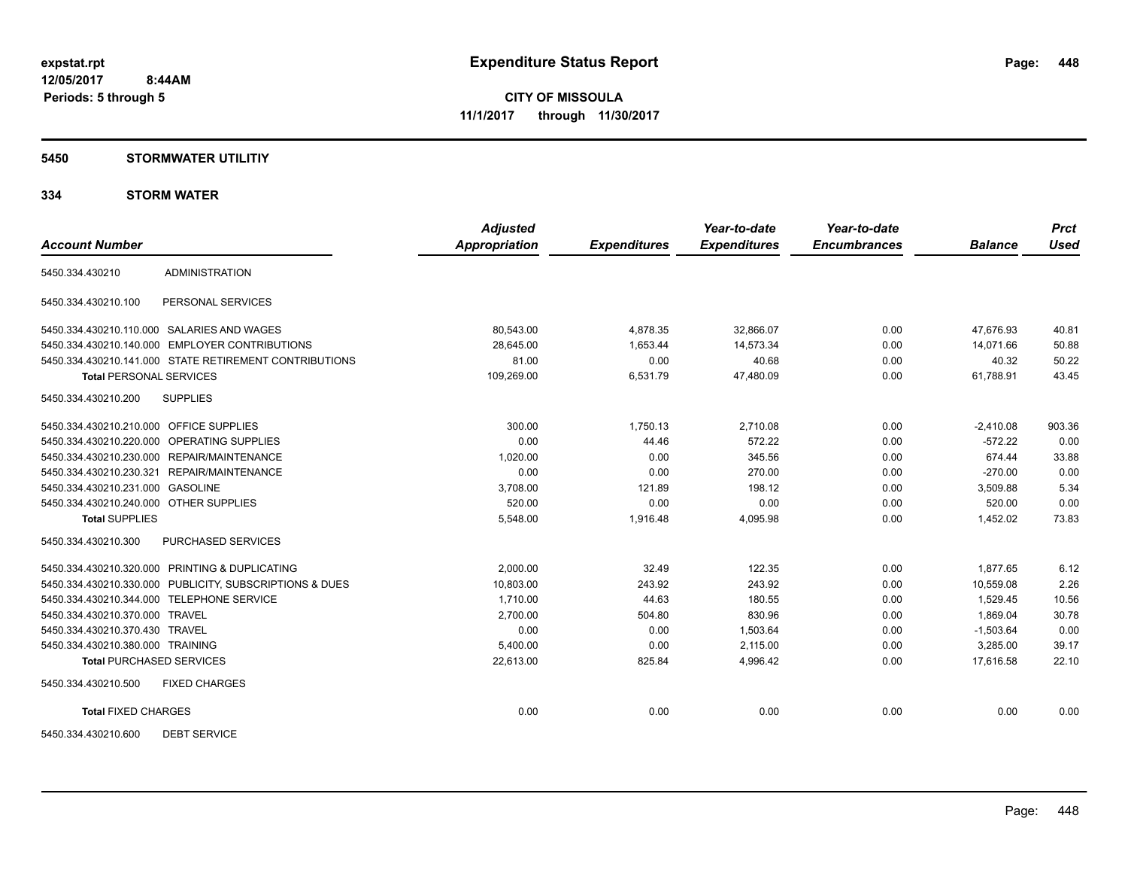#### **5450 STORMWATER UTILITIY**

|                                           |                                                         | <b>Adjusted</b>      |                     | Year-to-date        | Year-to-date        |                | <b>Prct</b> |
|-------------------------------------------|---------------------------------------------------------|----------------------|---------------------|---------------------|---------------------|----------------|-------------|
| <b>Account Number</b>                     |                                                         | <b>Appropriation</b> | <b>Expenditures</b> | <b>Expenditures</b> | <b>Encumbrances</b> | <b>Balance</b> | <b>Used</b> |
| 5450.334.430210                           | <b>ADMINISTRATION</b>                                   |                      |                     |                     |                     |                |             |
| 5450.334.430210.100                       | PERSONAL SERVICES                                       |                      |                     |                     |                     |                |             |
|                                           | 5450.334.430210.110.000 SALARIES AND WAGES              | 80,543.00            | 4,878.35            | 32,866.07           | 0.00                | 47,676.93      | 40.81       |
|                                           | 5450.334.430210.140.000 EMPLOYER CONTRIBUTIONS          | 28,645.00            | 1,653.44            | 14,573.34           | 0.00                | 14,071.66      | 50.88       |
|                                           | 5450.334.430210.141.000 STATE RETIREMENT CONTRIBUTIONS  | 81.00                | 0.00                | 40.68               | 0.00                | 40.32          | 50.22       |
| <b>Total PERSONAL SERVICES</b>            |                                                         | 109,269.00           | 6,531.79            | 47,480.09           | 0.00                | 61,788.91      | 43.45       |
| 5450.334.430210.200                       | <b>SUPPLIES</b>                                         |                      |                     |                     |                     |                |             |
| 5450.334.430210.210.000 OFFICE SUPPLIES   |                                                         | 300.00               | 1,750.13            | 2,710.08            | 0.00                | $-2,410.08$    | 903.36      |
|                                           | 5450.334.430210.220.000 OPERATING SUPPLIES              | 0.00                 | 44.46               | 572.22              | 0.00                | $-572.22$      | 0.00        |
|                                           | 5450.334.430210.230.000 REPAIR/MAINTENANCE              | 1,020.00             | 0.00                | 345.56              | 0.00                | 674.44         | 33.88       |
|                                           | 5450.334.430210.230.321 REPAIR/MAINTENANCE              | 0.00                 | 0.00                | 270.00              | 0.00                | $-270.00$      | 0.00        |
| 5450.334.430210.231.000 GASOLINE          |                                                         | 3,708.00             | 121.89              | 198.12              | 0.00                | 3,509.88       | 5.34        |
| 5450.334.430210.240.000 OTHER SUPPLIES    |                                                         | 520.00               | 0.00                | 0.00                | 0.00                | 520.00         | 0.00        |
| <b>Total SUPPLIES</b>                     |                                                         | 5,548.00             | 1,916.48            | 4,095.98            | 0.00                | 1,452.02       | 73.83       |
| 5450.334.430210.300                       | PURCHASED SERVICES                                      |                      |                     |                     |                     |                |             |
|                                           | 5450.334.430210.320.000 PRINTING & DUPLICATING          | 2,000.00             | 32.49               | 122.35              | 0.00                | 1,877.65       | 6.12        |
|                                           | 5450.334.430210.330.000 PUBLICITY, SUBSCRIPTIONS & DUES | 10,803.00            | 243.92              | 243.92              | 0.00                | 10,559.08      | 2.26        |
| 5450.334.430210.344.000 TELEPHONE SERVICE |                                                         | 1.710.00             | 44.63               | 180.55              | 0.00                | 1,529.45       | 10.56       |
| 5450.334.430210.370.000 TRAVEL            |                                                         | 2,700.00             | 504.80              | 830.96              | 0.00                | 1,869.04       | 30.78       |
| 5450.334.430210.370.430 TRAVEL            |                                                         | 0.00                 | 0.00                | 1,503.64            | 0.00                | $-1,503.64$    | 0.00        |
| 5450.334.430210.380.000 TRAINING          |                                                         | 5,400.00             | 0.00                | 2,115.00            | 0.00                | 3,285.00       | 39.17       |
| <b>Total PURCHASED SERVICES</b>           |                                                         | 22,613.00            | 825.84              | 4,996.42            | 0.00                | 17.616.58      | 22.10       |
| 5450.334.430210.500                       | <b>FIXED CHARGES</b>                                    |                      |                     |                     |                     |                |             |
| <b>Total FIXED CHARGES</b>                |                                                         | 0.00                 | 0.00                | 0.00                | 0.00                | 0.00           | 0.00        |
| 5450.334.430210.600                       | <b>DEBT SERVICE</b>                                     |                      |                     |                     |                     |                |             |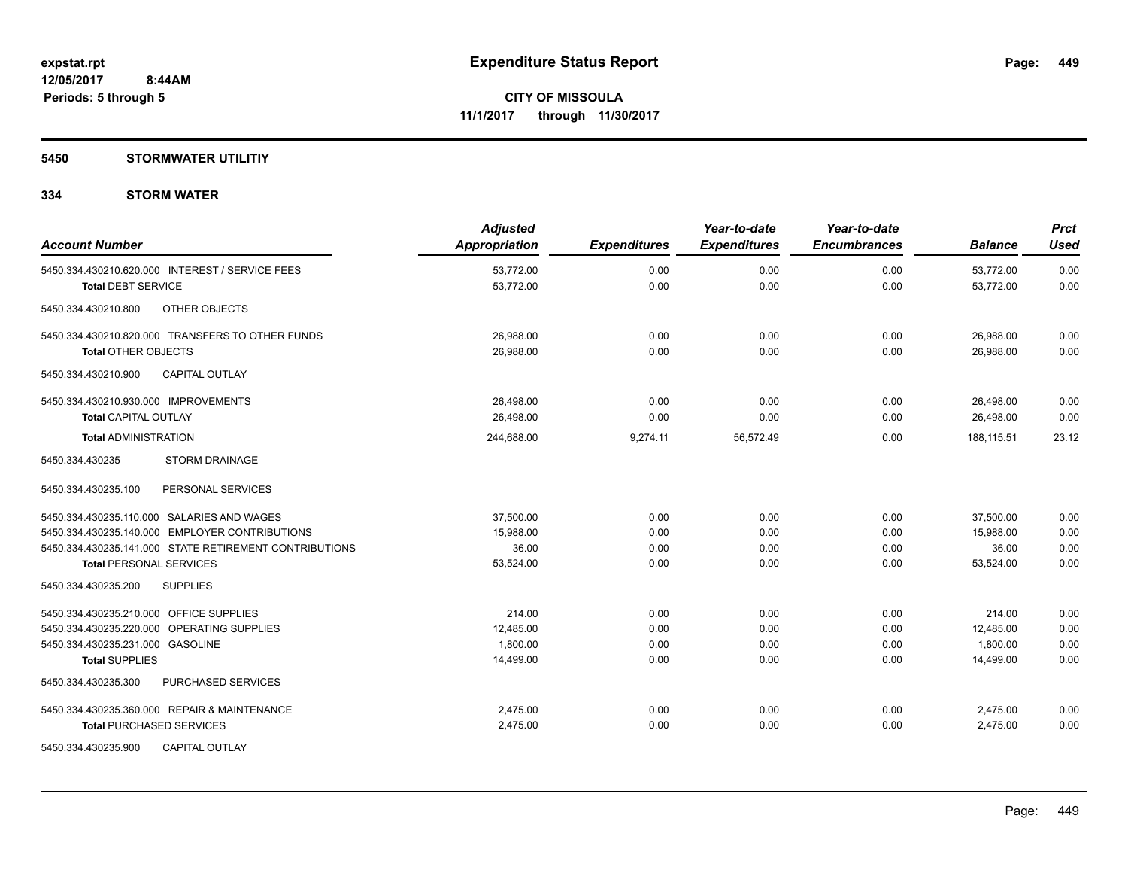#### **5450 STORMWATER UTILITIY**

| <b>Account Number</b>                                  | <b>Adjusted</b><br><b>Appropriation</b> | <b>Expenditures</b> | Year-to-date<br><b>Expenditures</b> | Year-to-date<br><b>Encumbrances</b> | <b>Balance</b> | <b>Prct</b><br><b>Used</b> |
|--------------------------------------------------------|-----------------------------------------|---------------------|-------------------------------------|-------------------------------------|----------------|----------------------------|
| 5450.334.430210.620.000 INTEREST / SERVICE FEES        | 53,772.00                               | 0.00                | 0.00                                | 0.00                                | 53,772.00      | 0.00                       |
| <b>Total DEBT SERVICE</b>                              | 53,772.00                               | 0.00                | 0.00                                | 0.00                                | 53,772.00      | 0.00                       |
| OTHER OBJECTS<br>5450.334.430210.800                   |                                         |                     |                                     |                                     |                |                            |
| 5450.334.430210.820.000 TRANSFERS TO OTHER FUNDS       | 26,988.00                               | 0.00                | 0.00                                | 0.00                                | 26,988.00      | 0.00                       |
| <b>Total OTHER OBJECTS</b>                             | 26,988.00                               | 0.00                | 0.00                                | 0.00                                | 26,988.00      | 0.00                       |
| <b>CAPITAL OUTLAY</b><br>5450.334.430210.900           |                                         |                     |                                     |                                     |                |                            |
| 5450.334.430210.930.000 IMPROVEMENTS                   | 26,498.00                               | 0.00                | 0.00                                | 0.00                                | 26,498.00      | 0.00                       |
| <b>Total CAPITAL OUTLAY</b>                            | 26.498.00                               | 0.00                | 0.00                                | 0.00                                | 26.498.00      | 0.00                       |
| <b>Total ADMINISTRATION</b>                            | 244,688.00                              | 9,274.11            | 56,572.49                           | 0.00                                | 188,115.51     | 23.12                      |
| <b>STORM DRAINAGE</b><br>5450.334.430235               |                                         |                     |                                     |                                     |                |                            |
| PERSONAL SERVICES<br>5450.334.430235.100               |                                         |                     |                                     |                                     |                |                            |
| 5450.334.430235.110.000 SALARIES AND WAGES             | 37.500.00                               | 0.00                | 0.00                                | 0.00                                | 37,500.00      | 0.00                       |
| 5450.334.430235.140.000 EMPLOYER CONTRIBUTIONS         | 15,988.00                               | 0.00                | 0.00                                | 0.00                                | 15.988.00      | 0.00                       |
| 5450.334.430235.141.000 STATE RETIREMENT CONTRIBUTIONS | 36.00                                   | 0.00                | 0.00                                | 0.00                                | 36.00          | 0.00                       |
| <b>Total PERSONAL SERVICES</b>                         | 53,524.00                               | 0.00                | 0.00                                | 0.00                                | 53,524.00      | 0.00                       |
| <b>SUPPLIES</b><br>5450.334.430235.200                 |                                         |                     |                                     |                                     |                |                            |
| 5450.334.430235.210.000 OFFICE SUPPLIES                | 214.00                                  | 0.00                | 0.00                                | 0.00                                | 214.00         | 0.00                       |
| 5450.334.430235.220.000 OPERATING SUPPLIES             | 12,485.00                               | 0.00                | 0.00                                | 0.00                                | 12,485.00      | 0.00                       |
| 5450.334.430235.231.000 GASOLINE                       | 1.800.00                                | 0.00                | 0.00                                | 0.00                                | 1.800.00       | 0.00                       |
| <b>Total SUPPLIES</b>                                  | 14,499.00                               | 0.00                | 0.00                                | 0.00                                | 14.499.00      | 0.00                       |
| PURCHASED SERVICES<br>5450.334.430235.300              |                                         |                     |                                     |                                     |                |                            |
| 5450.334.430235.360.000 REPAIR & MAINTENANCE           | 2.475.00                                | 0.00                | 0.00                                | 0.00                                | 2,475.00       | 0.00                       |
| <b>Total PURCHASED SERVICES</b>                        | 2,475.00                                | 0.00                | 0.00                                | 0.00                                | 2,475.00       | 0.00                       |
| <b>CAPITAL OUTLAY</b><br>5450.334.430235.900           |                                         |                     |                                     |                                     |                |                            |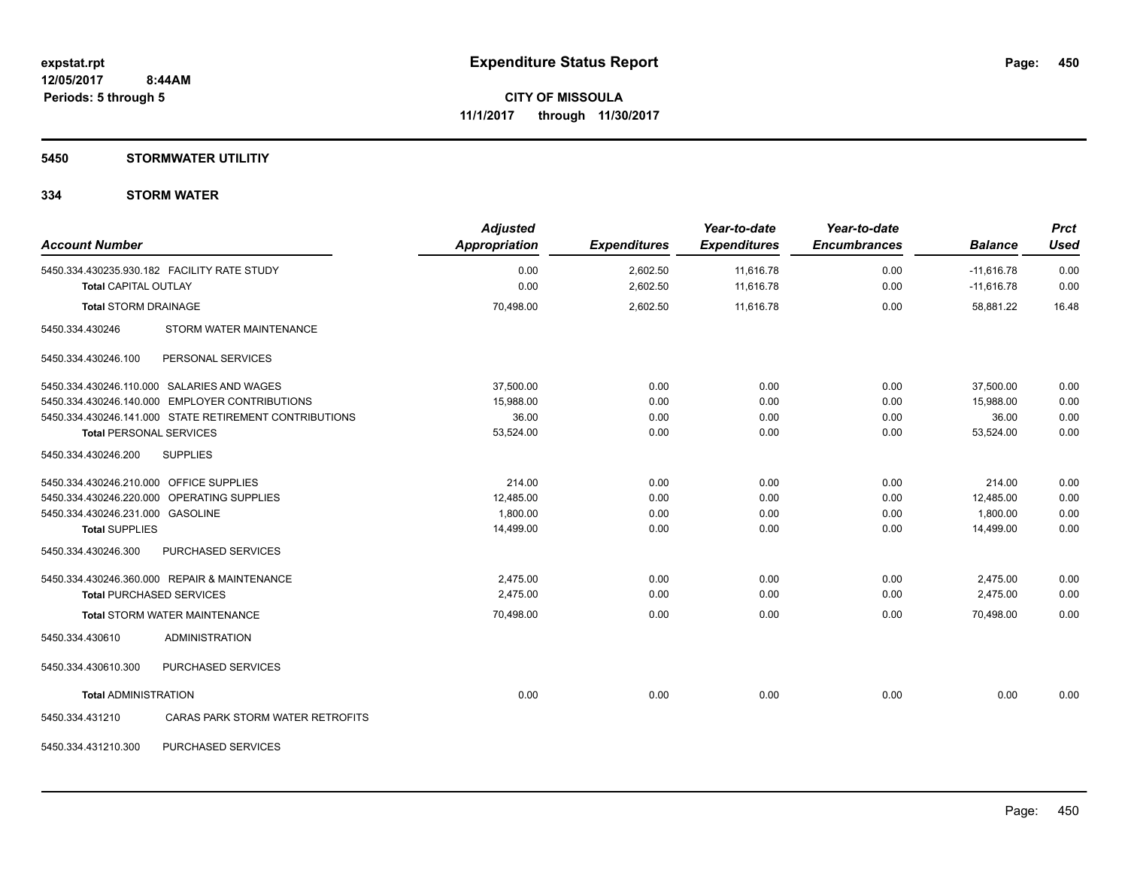### **5450 STORMWATER UTILITIY**

| <b>Account Number</b>                   |                                                        | <b>Adjusted</b><br><b>Appropriation</b> | <b>Expenditures</b> | Year-to-date<br><b>Expenditures</b> | Year-to-date<br><b>Encumbrances</b> | <b>Balance</b> | <b>Prct</b><br><b>Used</b> |
|-----------------------------------------|--------------------------------------------------------|-----------------------------------------|---------------------|-------------------------------------|-------------------------------------|----------------|----------------------------|
|                                         | 5450.334.430235.930.182 FACILITY RATE STUDY            | 0.00                                    | 2,602.50            | 11,616.78                           | 0.00                                | $-11,616.78$   | 0.00                       |
| <b>Total CAPITAL OUTLAY</b>             |                                                        | 0.00                                    | 2,602.50            | 11,616.78                           | 0.00                                | $-11,616.78$   | 0.00                       |
| <b>Total STORM DRAINAGE</b>             |                                                        | 70,498.00                               | 2,602.50            | 11,616.78                           | 0.00                                | 58,881.22      | 16.48                      |
| 5450.334.430246                         | STORM WATER MAINTENANCE                                |                                         |                     |                                     |                                     |                |                            |
| 5450.334.430246.100                     | PERSONAL SERVICES                                      |                                         |                     |                                     |                                     |                |                            |
|                                         | 5450.334.430246.110.000 SALARIES AND WAGES             | 37,500.00                               | 0.00                | 0.00                                | 0.00                                | 37,500.00      | 0.00                       |
|                                         | 5450.334.430246.140.000 EMPLOYER CONTRIBUTIONS         | 15,988.00                               | 0.00                | 0.00                                | 0.00                                | 15.988.00      | 0.00                       |
|                                         | 5450.334.430246.141.000 STATE RETIREMENT CONTRIBUTIONS | 36.00                                   | 0.00                | 0.00                                | 0.00                                | 36.00          | 0.00                       |
| <b>Total PERSONAL SERVICES</b>          |                                                        | 53,524.00                               | 0.00                | 0.00                                | 0.00                                | 53,524.00      | 0.00                       |
| 5450.334.430246.200                     | <b>SUPPLIES</b>                                        |                                         |                     |                                     |                                     |                |                            |
| 5450.334.430246.210.000 OFFICE SUPPLIES |                                                        | 214.00                                  | 0.00                | 0.00                                | 0.00                                | 214.00         | 0.00                       |
|                                         | 5450.334.430246.220.000 OPERATING SUPPLIES             | 12,485.00                               | 0.00                | 0.00                                | 0.00                                | 12,485.00      | 0.00                       |
| 5450.334.430246.231.000 GASOLINE        |                                                        | 1,800.00                                | 0.00                | 0.00                                | 0.00                                | 1,800.00       | 0.00                       |
| <b>Total SUPPLIES</b>                   |                                                        | 14,499.00                               | 0.00                | 0.00                                | 0.00                                | 14,499.00      | 0.00                       |
| 5450.334.430246.300                     | PURCHASED SERVICES                                     |                                         |                     |                                     |                                     |                |                            |
|                                         | 5450.334.430246.360.000 REPAIR & MAINTENANCE           | 2,475.00                                | 0.00                | 0.00                                | 0.00                                | 2,475.00       | 0.00                       |
|                                         | <b>Total PURCHASED SERVICES</b>                        | 2,475.00                                | 0.00                | 0.00                                | 0.00                                | 2,475.00       | 0.00                       |
|                                         | <b>Total STORM WATER MAINTENANCE</b>                   | 70,498.00                               | 0.00                | 0.00                                | 0.00                                | 70,498.00      | 0.00                       |
| 5450.334.430610                         | <b>ADMINISTRATION</b>                                  |                                         |                     |                                     |                                     |                |                            |
| 5450.334.430610.300                     | PURCHASED SERVICES                                     |                                         |                     |                                     |                                     |                |                            |
| <b>Total ADMINISTRATION</b>             |                                                        | 0.00                                    | 0.00                | 0.00                                | 0.00                                | 0.00           | 0.00                       |
| 5450.334.431210                         | CARAS PARK STORM WATER RETROFITS                       |                                         |                     |                                     |                                     |                |                            |
| 5450.334.431210.300                     | PURCHASED SERVICES                                     |                                         |                     |                                     |                                     |                |                            |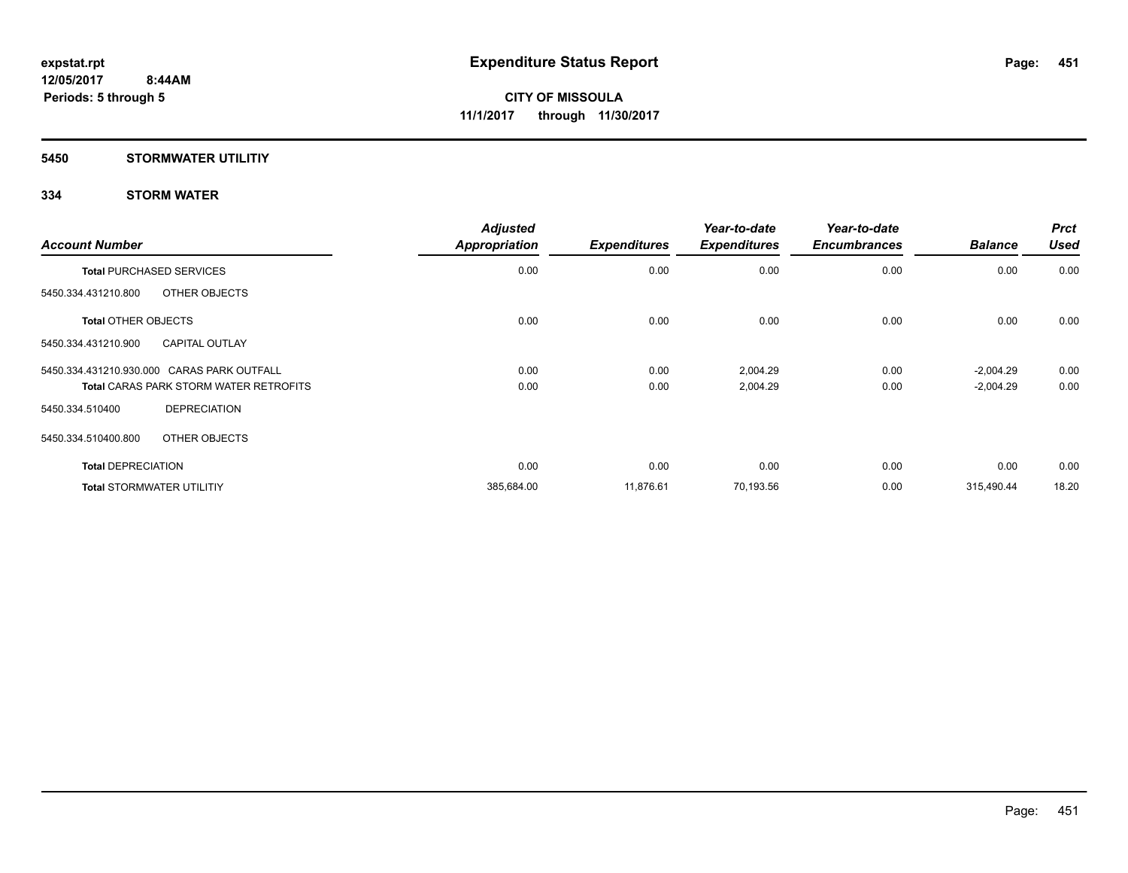### **5450 STORMWATER UTILITIY**

| <b>Account Number</b>                         | <b>Adjusted</b><br><b>Appropriation</b> | <b>Expenditures</b> | Year-to-date<br><b>Expenditures</b> | Year-to-date<br><b>Encumbrances</b> | <b>Balance</b> | <b>Prct</b><br><b>Used</b> |
|-----------------------------------------------|-----------------------------------------|---------------------|-------------------------------------|-------------------------------------|----------------|----------------------------|
| <b>Total PURCHASED SERVICES</b>               | 0.00                                    | 0.00                | 0.00                                | 0.00                                | 0.00           | 0.00                       |
| OTHER OBJECTS<br>5450.334.431210.800          |                                         |                     |                                     |                                     |                |                            |
| <b>Total OTHER OBJECTS</b>                    | 0.00                                    | 0.00                | 0.00                                | 0.00                                | 0.00           | 0.00                       |
| <b>CAPITAL OUTLAY</b><br>5450.334.431210.900  |                                         |                     |                                     |                                     |                |                            |
| 5450.334.431210.930.000 CARAS PARK OUTFALL    | 0.00                                    | 0.00                | 2,004.29                            | 0.00                                | $-2,004.29$    | 0.00                       |
| <b>Total CARAS PARK STORM WATER RETROFITS</b> | 0.00                                    | 0.00                | 2,004.29                            | 0.00                                | $-2,004.29$    | 0.00                       |
| <b>DEPRECIATION</b><br>5450.334.510400        |                                         |                     |                                     |                                     |                |                            |
| OTHER OBJECTS<br>5450.334.510400.800          |                                         |                     |                                     |                                     |                |                            |
| <b>Total DEPRECIATION</b>                     | 0.00                                    | 0.00                | 0.00                                | 0.00                                | 0.00           | 0.00                       |
| <b>Total STORMWATER UTILITIY</b>              | 385,684.00                              | 11,876.61           | 70,193.56                           | 0.00                                | 315,490.44     | 18.20                      |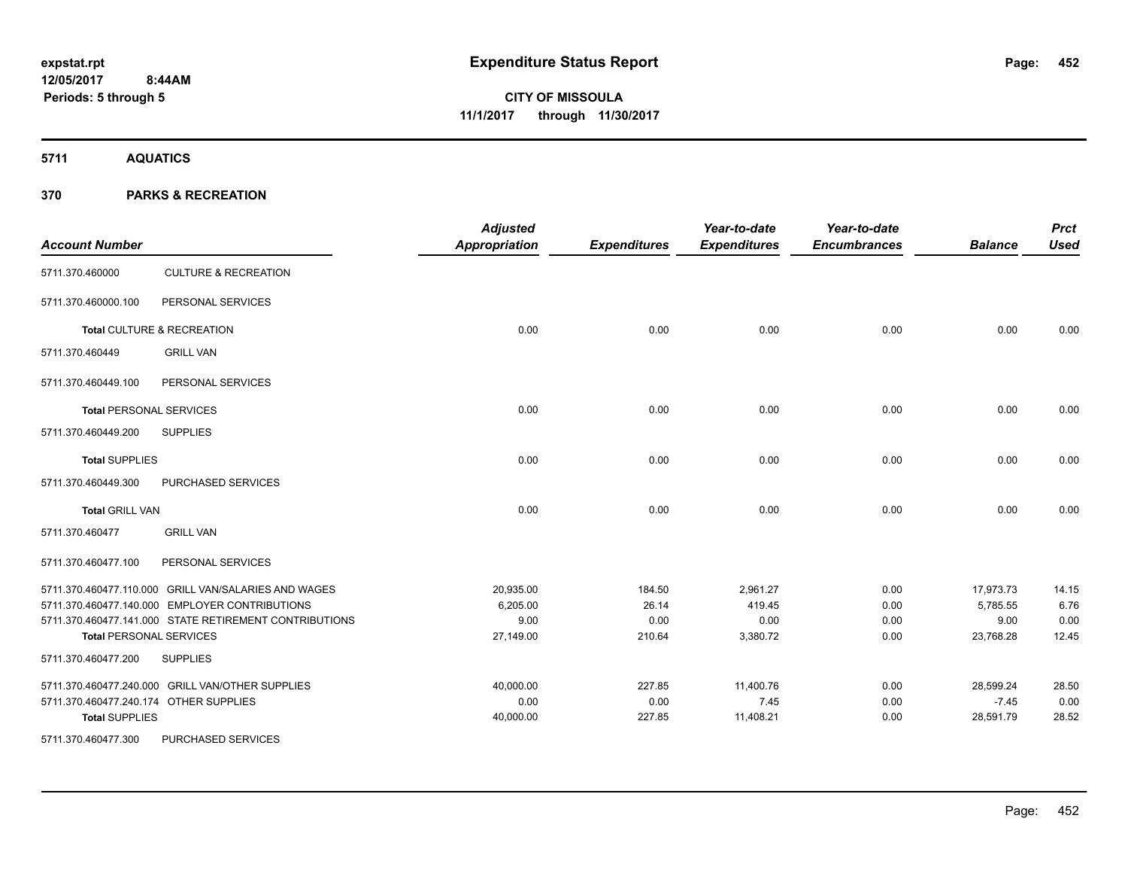**5711 AQUATICS**

| <b>Account Number</b>  |                                                        | <b>Adjusted</b><br><b>Appropriation</b> | <b>Expenditures</b> | Year-to-date<br><b>Expenditures</b> | Year-to-date<br><b>Encumbrances</b> | <b>Balance</b> | <b>Prct</b><br><b>Used</b> |
|------------------------|--------------------------------------------------------|-----------------------------------------|---------------------|-------------------------------------|-------------------------------------|----------------|----------------------------|
| 5711.370.460000        | <b>CULTURE &amp; RECREATION</b>                        |                                         |                     |                                     |                                     |                |                            |
| 5711.370.460000.100    | PERSONAL SERVICES                                      |                                         |                     |                                     |                                     |                |                            |
|                        | Total CULTURE & RECREATION                             | 0.00                                    | 0.00                | 0.00                                | 0.00                                | 0.00           | 0.00                       |
| 5711.370.460449        | <b>GRILL VAN</b>                                       |                                         |                     |                                     |                                     |                |                            |
| 5711.370.460449.100    | PERSONAL SERVICES                                      |                                         |                     |                                     |                                     |                |                            |
|                        | <b>Total PERSONAL SERVICES</b>                         | 0.00                                    | 0.00                | 0.00                                | 0.00                                | 0.00           | 0.00                       |
| 5711.370.460449.200    | <b>SUPPLIES</b>                                        |                                         |                     |                                     |                                     |                |                            |
| <b>Total SUPPLIES</b>  |                                                        | 0.00                                    | 0.00                | 0.00                                | 0.00                                | 0.00           | 0.00                       |
| 5711.370.460449.300    | PURCHASED SERVICES                                     |                                         |                     |                                     |                                     |                |                            |
| <b>Total GRILL VAN</b> |                                                        | 0.00                                    | 0.00                | 0.00                                | 0.00                                | 0.00           | 0.00                       |
| 5711.370.460477        | <b>GRILL VAN</b>                                       |                                         |                     |                                     |                                     |                |                            |
| 5711.370.460477.100    | PERSONAL SERVICES                                      |                                         |                     |                                     |                                     |                |                            |
|                        | 5711.370.460477.110.000 GRILL VAN/SALARIES AND WAGES   | 20,935.00                               | 184.50              | 2,961.27                            | 0.00                                | 17,973.73      | 14.15                      |
|                        | 5711.370.460477.140.000 EMPLOYER CONTRIBUTIONS         | 6,205.00                                | 26.14               | 419.45                              | 0.00                                | 5.785.55       | 6.76                       |
|                        | 5711.370.460477.141.000 STATE RETIREMENT CONTRIBUTIONS | 9.00                                    | 0.00                | 0.00                                | 0.00                                | 9.00           | 0.00                       |
|                        | <b>Total PERSONAL SERVICES</b>                         | 27,149.00                               | 210.64              | 3,380.72                            | 0.00                                | 23,768.28      | 12.45                      |
| 5711.370.460477.200    | <b>SUPPLIES</b>                                        |                                         |                     |                                     |                                     |                |                            |
|                        | 5711.370.460477.240.000 GRILL VAN/OTHER SUPPLIES       | 40,000.00                               | 227.85              | 11,400.76                           | 0.00                                | 28,599.24      | 28.50                      |
|                        | 5711.370.460477.240.174 OTHER SUPPLIES                 | 0.00                                    | 0.00                | 7.45                                | 0.00                                | $-7.45$        | 0.00                       |
| <b>Total SUPPLIES</b>  |                                                        | 40,000.00                               | 227.85              | 11,408.21                           | 0.00                                | 28,591.79      | 28.52                      |
| 5711.370.460477.300    | PURCHASED SERVICES                                     |                                         |                     |                                     |                                     |                |                            |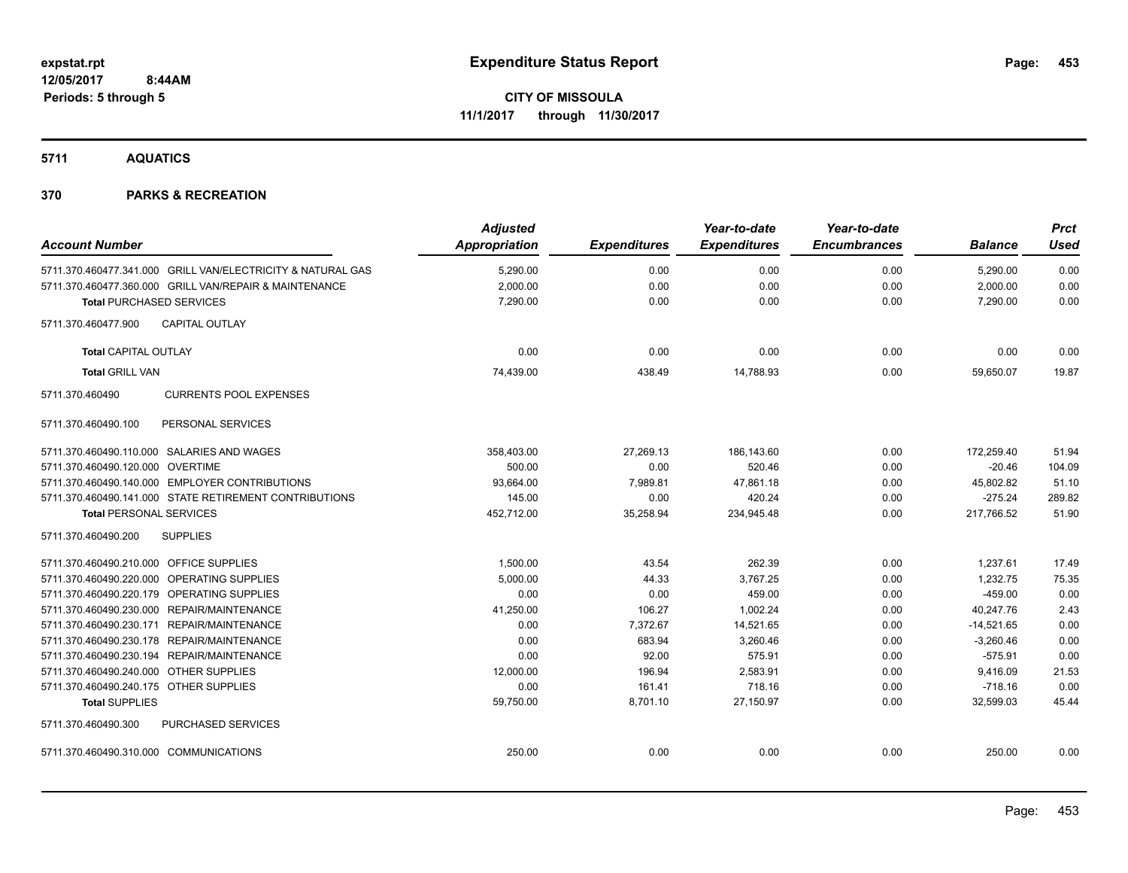**5711 AQUATICS**

| <b>Account Number</b>                   |                                                             | <b>Adjusted</b><br>Appropriation | <b>Expenditures</b> | Year-to-date<br><b>Expenditures</b> | Year-to-date<br><b>Encumbrances</b> | <b>Balance</b> | <b>Prct</b><br><b>Used</b> |
|-----------------------------------------|-------------------------------------------------------------|----------------------------------|---------------------|-------------------------------------|-------------------------------------|----------------|----------------------------|
|                                         | 5711.370.460477.341.000 GRILL VAN/ELECTRICITY & NATURAL GAS | 5,290.00                         | 0.00                | 0.00                                | 0.00                                | 5,290.00       | 0.00                       |
|                                         | 5711.370.460477.360.000 GRILL VAN/REPAIR & MAINTENANCE      | 2,000.00                         | 0.00                | 0.00                                | 0.00                                | 2,000.00       | 0.00                       |
| <b>Total PURCHASED SERVICES</b>         |                                                             | 7,290.00                         | 0.00                | 0.00                                | 0.00                                | 7,290.00       | 0.00                       |
| 5711.370.460477.900                     | <b>CAPITAL OUTLAY</b>                                       |                                  |                     |                                     |                                     |                |                            |
| <b>Total CAPITAL OUTLAY</b>             |                                                             | 0.00                             | 0.00                | 0.00                                | 0.00                                | 0.00           | 0.00                       |
| <b>Total GRILL VAN</b>                  |                                                             | 74,439.00                        | 438.49              | 14,788.93                           | 0.00                                | 59,650.07      | 19.87                      |
| 5711.370.460490                         | <b>CURRENTS POOL EXPENSES</b>                               |                                  |                     |                                     |                                     |                |                            |
| 5711.370.460490.100                     | PERSONAL SERVICES                                           |                                  |                     |                                     |                                     |                |                            |
|                                         | 5711.370.460490.110.000 SALARIES AND WAGES                  | 358,403.00                       | 27,269.13           | 186,143.60                          | 0.00                                | 172,259.40     | 51.94                      |
| 5711.370.460490.120.000 OVERTIME        |                                                             | 500.00                           | 0.00                | 520.46                              | 0.00                                | $-20.46$       | 104.09                     |
|                                         | 5711.370.460490.140.000 EMPLOYER CONTRIBUTIONS              | 93,664.00                        | 7,989.81            | 47,861.18                           | 0.00                                | 45,802.82      | 51.10                      |
|                                         | 5711.370.460490.141.000 STATE RETIREMENT CONTRIBUTIONS      | 145.00                           | 0.00                | 420.24                              | 0.00                                | $-275.24$      | 289.82                     |
| <b>Total PERSONAL SERVICES</b>          |                                                             | 452,712.00                       | 35,258.94           | 234,945.48                          | 0.00                                | 217,766.52     | 51.90                      |
| 5711.370.460490.200                     | <b>SUPPLIES</b>                                             |                                  |                     |                                     |                                     |                |                            |
| 5711.370.460490.210.000 OFFICE SUPPLIES |                                                             | 1,500.00                         | 43.54               | 262.39                              | 0.00                                | 1,237.61       | 17.49                      |
|                                         | 5711.370.460490.220.000 OPERATING SUPPLIES                  | 5,000.00                         | 44.33               | 3,767.25                            | 0.00                                | 1,232.75       | 75.35                      |
|                                         | 5711.370.460490.220.179 OPERATING SUPPLIES                  | 0.00                             | 0.00                | 459.00                              | 0.00                                | $-459.00$      | 0.00                       |
|                                         | 5711.370.460490.230.000 REPAIR/MAINTENANCE                  | 41,250.00                        | 106.27              | 1,002.24                            | 0.00                                | 40,247.76      | 2.43                       |
|                                         | 5711.370.460490.230.171 REPAIR/MAINTENANCE                  | 0.00                             | 7,372.67            | 14,521.65                           | 0.00                                | $-14,521.65$   | 0.00                       |
|                                         | 5711.370.460490.230.178 REPAIR/MAINTENANCE                  | 0.00                             | 683.94              | 3,260.46                            | 0.00                                | $-3,260.46$    | 0.00                       |
|                                         | 5711.370.460490.230.194 REPAIR/MAINTENANCE                  | 0.00                             | 92.00               | 575.91                              | 0.00                                | $-575.91$      | 0.00                       |
| 5711.370.460490.240.000 OTHER SUPPLIES  |                                                             | 12,000.00                        | 196.94              | 2,583.91                            | 0.00                                | 9,416.09       | 21.53                      |
| 5711.370.460490.240.175 OTHER SUPPLIES  |                                                             | 0.00                             | 161.41              | 718.16                              | 0.00                                | $-718.16$      | 0.00                       |
| <b>Total SUPPLIES</b>                   |                                                             | 59,750.00                        | 8,701.10            | 27,150.97                           | 0.00                                | 32,599.03      | 45.44                      |
| 5711.370.460490.300                     | <b>PURCHASED SERVICES</b>                                   |                                  |                     |                                     |                                     |                |                            |
| 5711.370.460490.310.000 COMMUNICATIONS  |                                                             | 250.00                           | 0.00                | 0.00                                | 0.00                                | 250.00         | 0.00                       |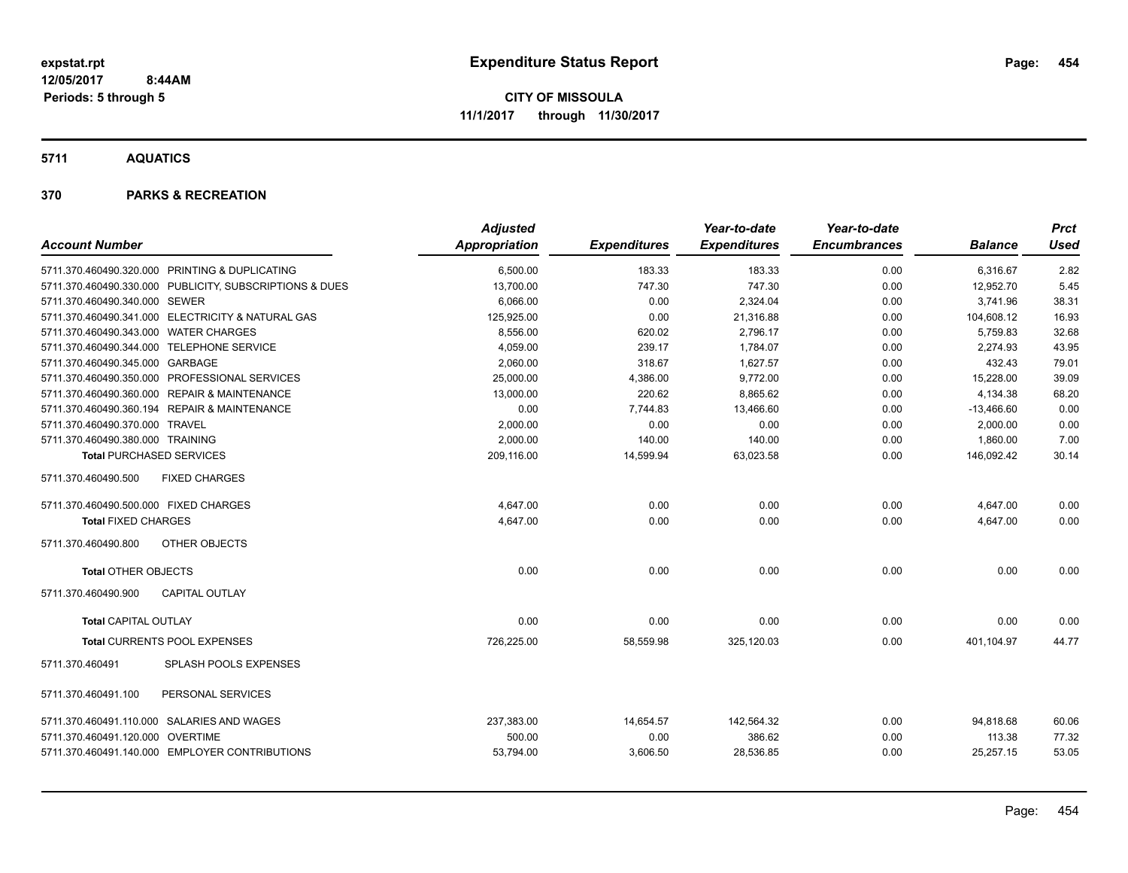**5711 AQUATICS**

| <b>Account Number</b>                                   | <b>Adjusted</b><br><b>Appropriation</b> | <b>Expenditures</b> | Year-to-date<br><b>Expenditures</b> | Year-to-date<br><b>Encumbrances</b> | <b>Balance</b> | <b>Prct</b><br><b>Used</b> |
|---------------------------------------------------------|-----------------------------------------|---------------------|-------------------------------------|-------------------------------------|----------------|----------------------------|
|                                                         |                                         |                     |                                     |                                     |                |                            |
| 5711.370.460490.320.000 PRINTING & DUPLICATING          | 6,500.00                                | 183.33              | 183.33                              | 0.00                                | 6,316.67       | 2.82                       |
| 5711.370.460490.330.000 PUBLICITY, SUBSCRIPTIONS & DUES | 13,700.00                               | 747.30              | 747.30                              | 0.00                                | 12,952.70      | 5.45                       |
| 5711.370.460490.340.000 SEWER                           | 6,066.00                                | 0.00                | 2,324.04                            | 0.00                                | 3,741.96       | 38.31                      |
| 5711.370.460490.341.000 ELECTRICITY & NATURAL GAS       | 125,925.00                              | 0.00                | 21,316.88                           | 0.00                                | 104,608.12     | 16.93                      |
| 5711.370.460490.343.000 WATER CHARGES                   | 8,556.00                                | 620.02              | 2.796.17                            | 0.00                                | 5.759.83       | 32.68                      |
| 5711.370.460490.344.000 TELEPHONE SERVICE               | 4.059.00                                | 239.17              | 1.784.07                            | 0.00                                | 2.274.93       | 43.95                      |
| 5711.370.460490.345.000 GARBAGE                         | 2.060.00                                | 318.67              | 1.627.57                            | 0.00                                | 432.43         | 79.01                      |
| 5711.370.460490.350.000 PROFESSIONAL SERVICES           | 25.000.00                               | 4,386.00            | 9,772.00                            | 0.00                                | 15,228.00      | 39.09                      |
| 5711.370.460490.360.000 REPAIR & MAINTENANCE            | 13,000.00                               | 220.62              | 8,865.62                            | 0.00                                | 4,134.38       | 68.20                      |
| 5711.370.460490.360.194 REPAIR & MAINTENANCE            | 0.00                                    | 7,744.83            | 13,466.60                           | 0.00                                | $-13,466.60$   | 0.00                       |
| 5711.370.460490.370.000 TRAVEL                          | 2,000.00                                | 0.00                | 0.00                                | 0.00                                | 2,000.00       | 0.00                       |
| 5711.370.460490.380.000 TRAINING                        | 2,000.00                                | 140.00              | 140.00                              | 0.00                                | 1,860.00       | 7.00                       |
| <b>Total PURCHASED SERVICES</b>                         | 209,116.00                              | 14,599.94           | 63,023.58                           | 0.00                                | 146,092.42     | 30.14                      |
| <b>FIXED CHARGES</b><br>5711.370.460490.500             |                                         |                     |                                     |                                     |                |                            |
| 5711.370.460490.500.000 FIXED CHARGES                   | 4,647.00                                | 0.00                | 0.00                                | 0.00                                | 4,647.00       | 0.00                       |
| <b>Total FIXED CHARGES</b>                              | 4,647.00                                | 0.00                | 0.00                                | 0.00                                | 4,647.00       | 0.00                       |
| <b>OTHER OBJECTS</b><br>5711.370.460490.800             |                                         |                     |                                     |                                     |                |                            |
| <b>Total OTHER OBJECTS</b>                              | 0.00                                    | 0.00                | 0.00                                | 0.00                                | 0.00           | 0.00                       |
| <b>CAPITAL OUTLAY</b><br>5711.370.460490.900            |                                         |                     |                                     |                                     |                |                            |
| <b>Total CAPITAL OUTLAY</b>                             | 0.00                                    | 0.00                | 0.00                                | 0.00                                | 0.00           | 0.00                       |
| Total CURRENTS POOL EXPENSES                            | 726,225.00                              | 58,559.98           | 325,120.03                          | 0.00                                | 401,104.97     | 44.77                      |
| <b>SPLASH POOLS EXPENSES</b><br>5711.370.460491         |                                         |                     |                                     |                                     |                |                            |
| PERSONAL SERVICES<br>5711.370.460491.100                |                                         |                     |                                     |                                     |                |                            |
| 5711.370.460491.110.000 SALARIES AND WAGES              | 237,383.00                              | 14,654.57           | 142,564.32                          | 0.00                                | 94,818.68      | 60.06                      |
| 5711.370.460491.120.000 OVERTIME                        | 500.00                                  | 0.00                | 386.62                              | 0.00                                | 113.38         | 77.32                      |
| 5711.370.460491.140.000 EMPLOYER CONTRIBUTIONS          | 53,794.00                               | 3,606.50            | 28,536.85                           | 0.00                                | 25,257.15      | 53.05                      |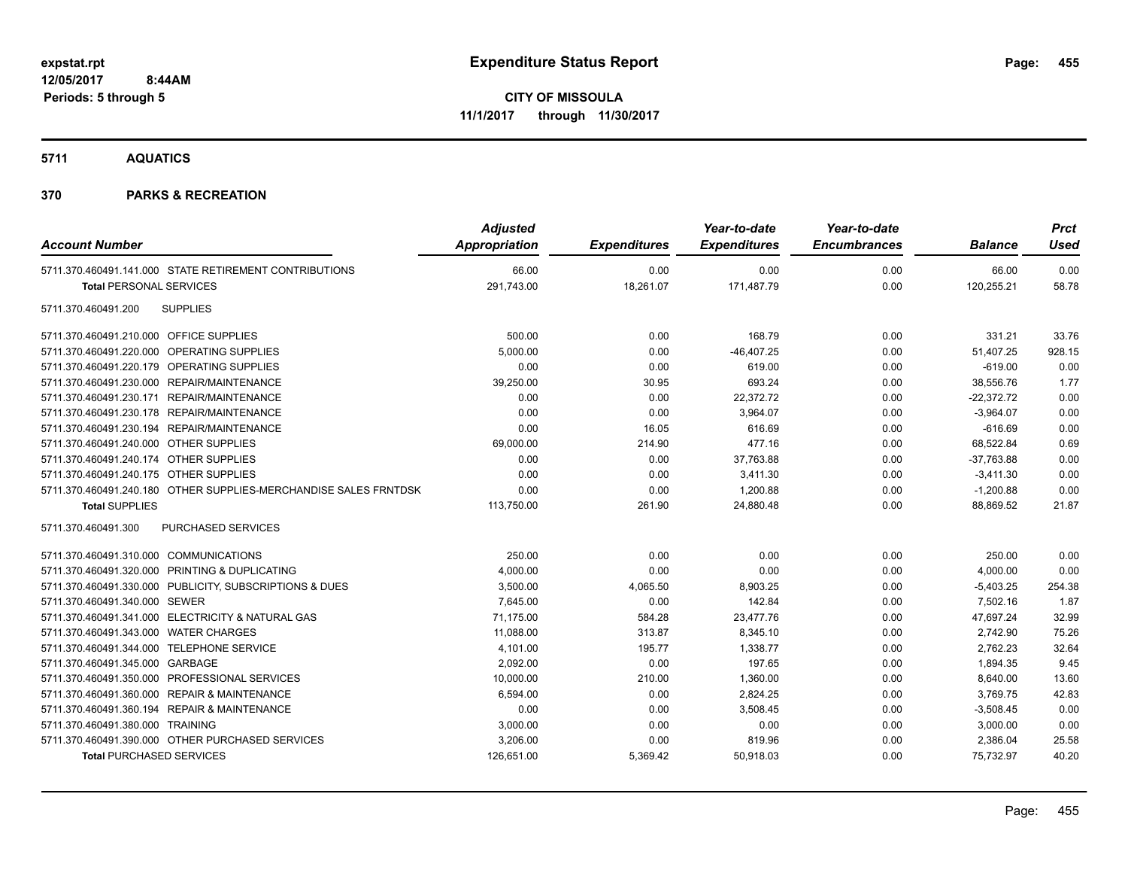**5711 AQUATICS**

| <b>Account Number</b>                                            | <b>Adjusted</b><br>Appropriation | <b>Expenditures</b> | Year-to-date<br><b>Expenditures</b> | Year-to-date<br><b>Encumbrances</b> | <b>Balance</b> | <b>Prct</b><br><b>Used</b> |
|------------------------------------------------------------------|----------------------------------|---------------------|-------------------------------------|-------------------------------------|----------------|----------------------------|
| 5711.370.460491.141.000 STATE RETIREMENT CONTRIBUTIONS           | 66.00                            | 0.00                | 0.00                                | 0.00                                | 66.00          | 0.00                       |
| <b>Total PERSONAL SERVICES</b>                                   | 291,743.00                       | 18,261.07           | 171,487.79                          | 0.00                                | 120,255.21     | 58.78                      |
| <b>SUPPLIES</b><br>5711.370.460491.200                           |                                  |                     |                                     |                                     |                |                            |
| 5711.370.460491.210.000 OFFICE SUPPLIES                          | 500.00                           | 0.00                | 168.79                              | 0.00                                | 331.21         | 33.76                      |
| 5711.370.460491.220.000 OPERATING SUPPLIES                       | 5,000.00                         | 0.00                | $-46,407.25$                        | 0.00                                | 51,407.25      | 928.15                     |
| 5711.370.460491.220.179 OPERATING SUPPLIES                       | 0.00                             | 0.00                | 619.00                              | 0.00                                | $-619.00$      | 0.00                       |
| 5711.370.460491.230.000 REPAIR/MAINTENANCE                       | 39,250.00                        | 30.95               | 693.24                              | 0.00                                | 38,556.76      | 1.77                       |
| 5711.370.460491.230.171 REPAIR/MAINTENANCE                       | 0.00                             | 0.00                | 22,372.72                           | 0.00                                | $-22,372.72$   | 0.00                       |
| 5711.370.460491.230.178 REPAIR/MAINTENANCE                       | 0.00                             | 0.00                | 3,964.07                            | 0.00                                | $-3,964.07$    | 0.00                       |
| 5711.370.460491.230.194 REPAIR/MAINTENANCE                       | 0.00                             | 16.05               | 616.69                              | 0.00                                | $-616.69$      | 0.00                       |
| 5711.370.460491.240.000 OTHER SUPPLIES                           | 69,000.00                        | 214.90              | 477.16                              | 0.00                                | 68,522.84      | 0.69                       |
| 5711.370.460491.240.174 OTHER SUPPLIES                           | 0.00                             | 0.00                | 37,763.88                           | 0.00                                | $-37,763.88$   | 0.00                       |
| 5711.370.460491.240.175 OTHER SUPPLIES                           | 0.00                             | 0.00                | 3,411.30                            | 0.00                                | $-3,411.30$    | 0.00                       |
| 5711.370.460491.240.180 OTHER SUPPLIES-MERCHANDISE SALES FRNTDSK | 0.00                             | 0.00                | 1,200.88                            | 0.00                                | $-1,200.88$    | 0.00                       |
| <b>Total SUPPLIES</b>                                            | 113,750.00                       | 261.90              | 24,880.48                           | 0.00                                | 88,869.52      | 21.87                      |
| PURCHASED SERVICES<br>5711.370.460491.300                        |                                  |                     |                                     |                                     |                |                            |
| 5711.370.460491.310.000 COMMUNICATIONS                           | 250.00                           | 0.00                | 0.00                                | 0.00                                | 250.00         | 0.00                       |
| 5711.370.460491.320.000 PRINTING & DUPLICATING                   | 4,000.00                         | 0.00                | 0.00                                | 0.00                                | 4,000.00       | 0.00                       |
| 5711.370.460491.330.000 PUBLICITY, SUBSCRIPTIONS & DUES          | 3,500.00                         | 4,065.50            | 8,903.25                            | 0.00                                | $-5,403.25$    | 254.38                     |
| 5711.370.460491.340.000 SEWER                                    | 7,645.00                         | 0.00                | 142.84                              | 0.00                                | 7,502.16       | 1.87                       |
| 5711.370.460491.341.000 ELECTRICITY & NATURAL GAS                | 71,175.00                        | 584.28              | 23,477.76                           | 0.00                                | 47,697.24      | 32.99                      |
| 5711.370.460491.343.000 WATER CHARGES                            | 11,088.00                        | 313.87              | 8,345.10                            | 0.00                                | 2,742.90       | 75.26                      |
| 5711.370.460491.344.000 TELEPHONE SERVICE                        | 4,101.00                         | 195.77              | 1,338.77                            | 0.00                                | 2,762.23       | 32.64                      |
| 5711.370.460491.345.000 GARBAGE                                  | 2,092.00                         | 0.00                | 197.65                              | 0.00                                | 1,894.35       | 9.45                       |
| 5711.370.460491.350.000 PROFESSIONAL SERVICES                    | 10,000.00                        | 210.00              | 1,360.00                            | 0.00                                | 8,640.00       | 13.60                      |
| 5711.370.460491.360.000 REPAIR & MAINTENANCE                     | 6,594.00                         | 0.00                | 2,824.25                            | 0.00                                | 3,769.75       | 42.83                      |
| 5711.370.460491.360.194 REPAIR & MAINTENANCE                     | 0.00                             | 0.00                | 3,508.45                            | 0.00                                | $-3,508.45$    | 0.00                       |
| 5711.370.460491.380.000 TRAINING                                 | 3,000.00                         | 0.00                | 0.00                                | 0.00                                | 3,000.00       | 0.00                       |
| 5711.370.460491.390.000 OTHER PURCHASED SERVICES                 | 3,206.00                         | 0.00                | 819.96                              | 0.00                                | 2,386.04       | 25.58                      |
| <b>Total PURCHASED SERVICES</b>                                  | 126,651.00                       | 5,369.42            | 50,918.03                           | 0.00                                | 75,732.97      | 40.20                      |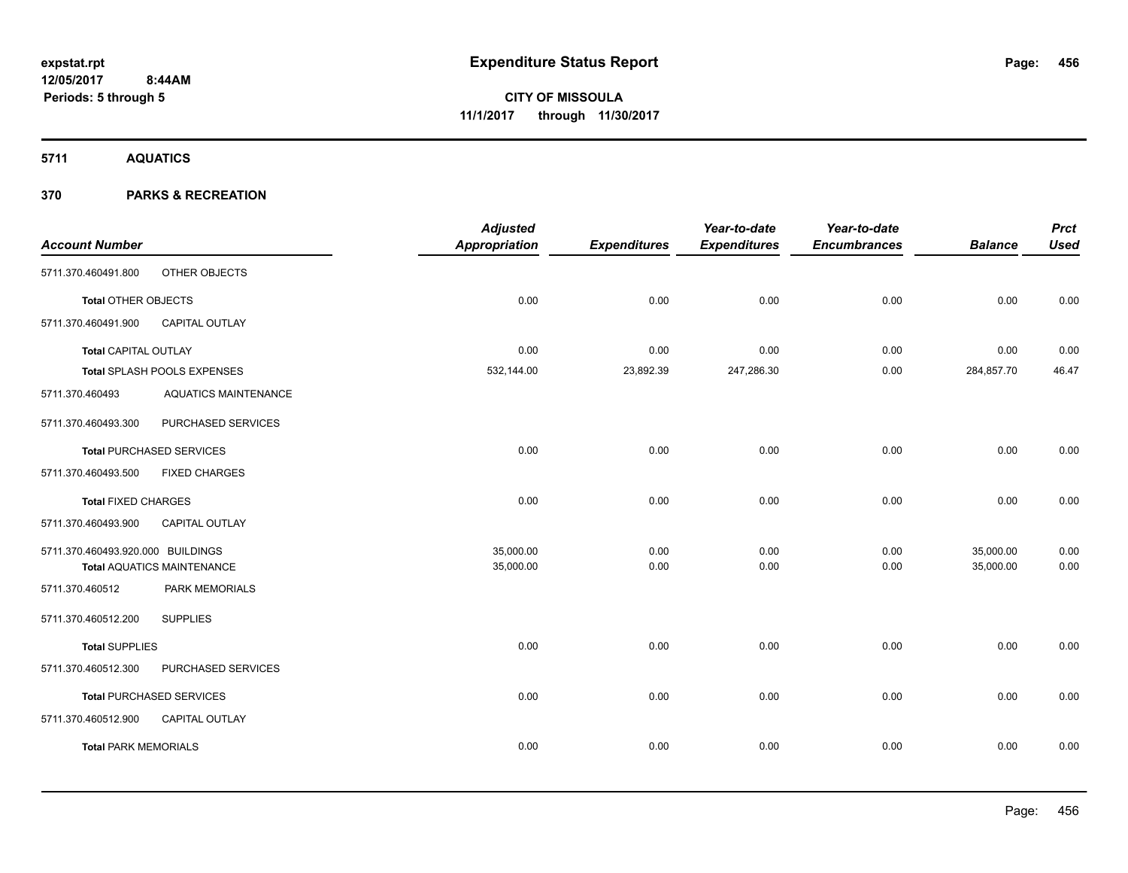**5711 AQUATICS**

|                                   |                                   | <b>Adjusted</b>      |                     | Year-to-date        | Year-to-date        |                | <b>Prct</b> |
|-----------------------------------|-----------------------------------|----------------------|---------------------|---------------------|---------------------|----------------|-------------|
| <b>Account Number</b>             |                                   | <b>Appropriation</b> | <b>Expenditures</b> | <b>Expenditures</b> | <b>Encumbrances</b> | <b>Balance</b> | <b>Used</b> |
| 5711.370.460491.800               | OTHER OBJECTS                     |                      |                     |                     |                     |                |             |
| <b>Total OTHER OBJECTS</b>        |                                   | 0.00                 | 0.00                | 0.00                | 0.00                | 0.00           | 0.00        |
| 5711.370.460491.900               | <b>CAPITAL OUTLAY</b>             |                      |                     |                     |                     |                |             |
| <b>Total CAPITAL OUTLAY</b>       |                                   | 0.00                 | 0.00                | 0.00                | 0.00                | 0.00           | 0.00        |
|                                   | Total SPLASH POOLS EXPENSES       | 532,144.00           | 23,892.39           | 247,286.30          | 0.00                | 284,857.70     | 46.47       |
| 5711.370.460493                   | <b>AQUATICS MAINTENANCE</b>       |                      |                     |                     |                     |                |             |
| 5711.370.460493.300               | PURCHASED SERVICES                |                      |                     |                     |                     |                |             |
|                                   | <b>Total PURCHASED SERVICES</b>   | 0.00                 | 0.00                | 0.00                | 0.00                | 0.00           | 0.00        |
| 5711.370.460493.500               | <b>FIXED CHARGES</b>              |                      |                     |                     |                     |                |             |
| <b>Total FIXED CHARGES</b>        |                                   | 0.00                 | 0.00                | 0.00                | 0.00                | 0.00           | 0.00        |
| 5711.370.460493.900               | <b>CAPITAL OUTLAY</b>             |                      |                     |                     |                     |                |             |
| 5711.370.460493.920.000 BUILDINGS |                                   | 35,000.00            | 0.00                | 0.00                | 0.00                | 35,000.00      | 0.00        |
|                                   | <b>Total AQUATICS MAINTENANCE</b> | 35,000.00            | 0.00                | 0.00                | 0.00                | 35,000.00      | 0.00        |
| 5711.370.460512                   | PARK MEMORIALS                    |                      |                     |                     |                     |                |             |
| 5711.370.460512.200               | <b>SUPPLIES</b>                   |                      |                     |                     |                     |                |             |
| <b>Total SUPPLIES</b>             |                                   | 0.00                 | 0.00                | 0.00                | 0.00                | 0.00           | 0.00        |
| 5711.370.460512.300               | PURCHASED SERVICES                |                      |                     |                     |                     |                |             |
|                                   | <b>Total PURCHASED SERVICES</b>   | 0.00                 | 0.00                | 0.00                | 0.00                | 0.00           | 0.00        |
| 5711.370.460512.900               | <b>CAPITAL OUTLAY</b>             |                      |                     |                     |                     |                |             |
| <b>Total PARK MEMORIALS</b>       |                                   | 0.00                 | 0.00                | 0.00                | 0.00                | 0.00           | 0.00        |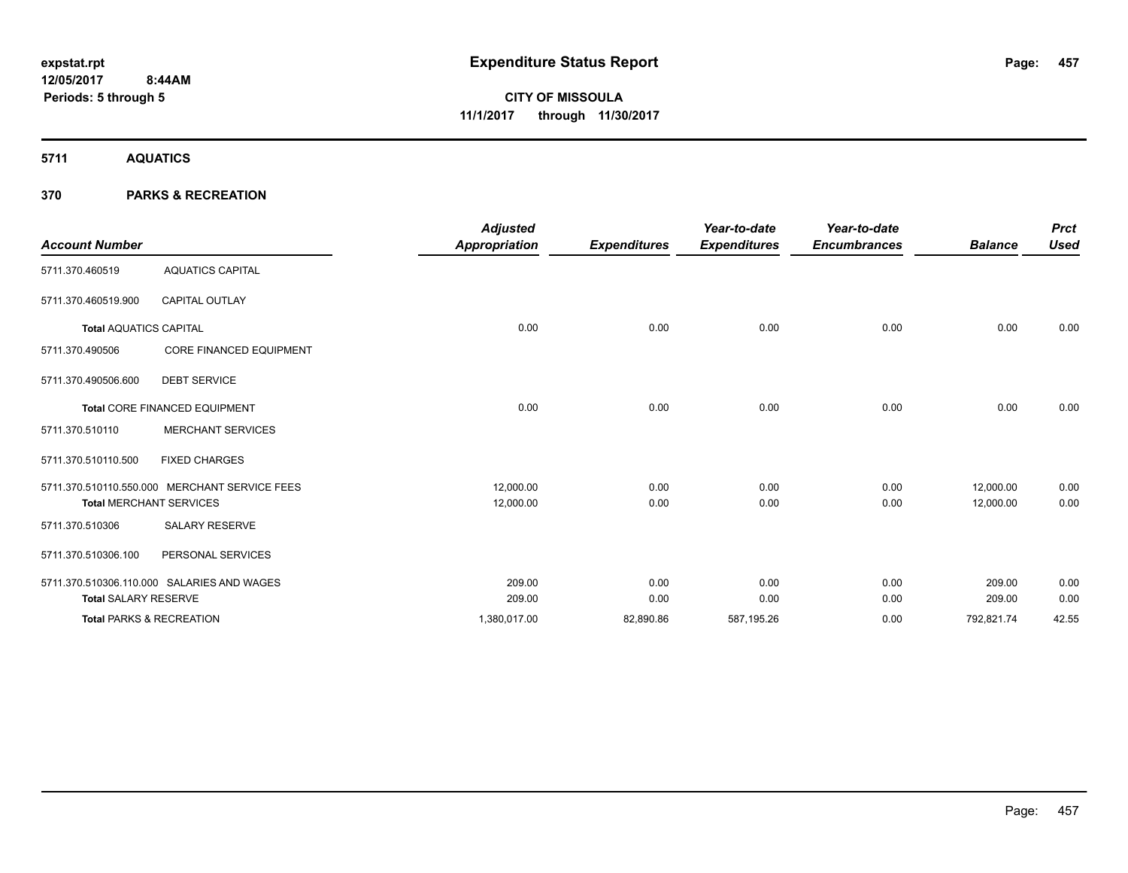**5711 AQUATICS**

|                                     |                                               | <b>Adjusted</b>      |                     | Year-to-date        | Year-to-date        |                | <b>Prct</b> |
|-------------------------------------|-----------------------------------------------|----------------------|---------------------|---------------------|---------------------|----------------|-------------|
| <b>Account Number</b>               |                                               | <b>Appropriation</b> | <b>Expenditures</b> | <b>Expenditures</b> | <b>Encumbrances</b> | <b>Balance</b> | <b>Used</b> |
| 5711.370.460519                     | <b>AQUATICS CAPITAL</b>                       |                      |                     |                     |                     |                |             |
| 5711.370.460519.900                 | <b>CAPITAL OUTLAY</b>                         |                      |                     |                     |                     |                |             |
| <b>Total AQUATICS CAPITAL</b>       |                                               | 0.00                 | 0.00                | 0.00                | 0.00                | 0.00           | 0.00        |
| 5711.370.490506                     | <b>CORE FINANCED EQUIPMENT</b>                |                      |                     |                     |                     |                |             |
| 5711.370.490506.600                 | <b>DEBT SERVICE</b>                           |                      |                     |                     |                     |                |             |
|                                     | Total CORE FINANCED EQUIPMENT                 | 0.00                 | 0.00                | 0.00                | 0.00                | 0.00           | 0.00        |
| 5711.370.510110                     | <b>MERCHANT SERVICES</b>                      |                      |                     |                     |                     |                |             |
| 5711.370.510110.500                 | <b>FIXED CHARGES</b>                          |                      |                     |                     |                     |                |             |
|                                     | 5711.370.510110.550.000 MERCHANT SERVICE FEES | 12,000.00            | 0.00                | 0.00                | 0.00                | 12,000.00      | 0.00        |
| <b>Total MERCHANT SERVICES</b>      |                                               | 12,000.00            | 0.00                | 0.00                | 0.00                | 12,000.00      | 0.00        |
| 5711.370.510306                     | <b>SALARY RESERVE</b>                         |                      |                     |                     |                     |                |             |
| 5711.370.510306.100                 | PERSONAL SERVICES                             |                      |                     |                     |                     |                |             |
|                                     | 5711.370.510306.110.000 SALARIES AND WAGES    | 209.00               | 0.00                | 0.00                | 0.00                | 209.00         | 0.00        |
| <b>Total SALARY RESERVE</b>         |                                               | 209.00               | 0.00                | 0.00                | 0.00                | 209.00         | 0.00        |
| <b>Total PARKS &amp; RECREATION</b> |                                               | 1,380,017.00         | 82,890.86           | 587,195.26          | 0.00                | 792,821.74     | 42.55       |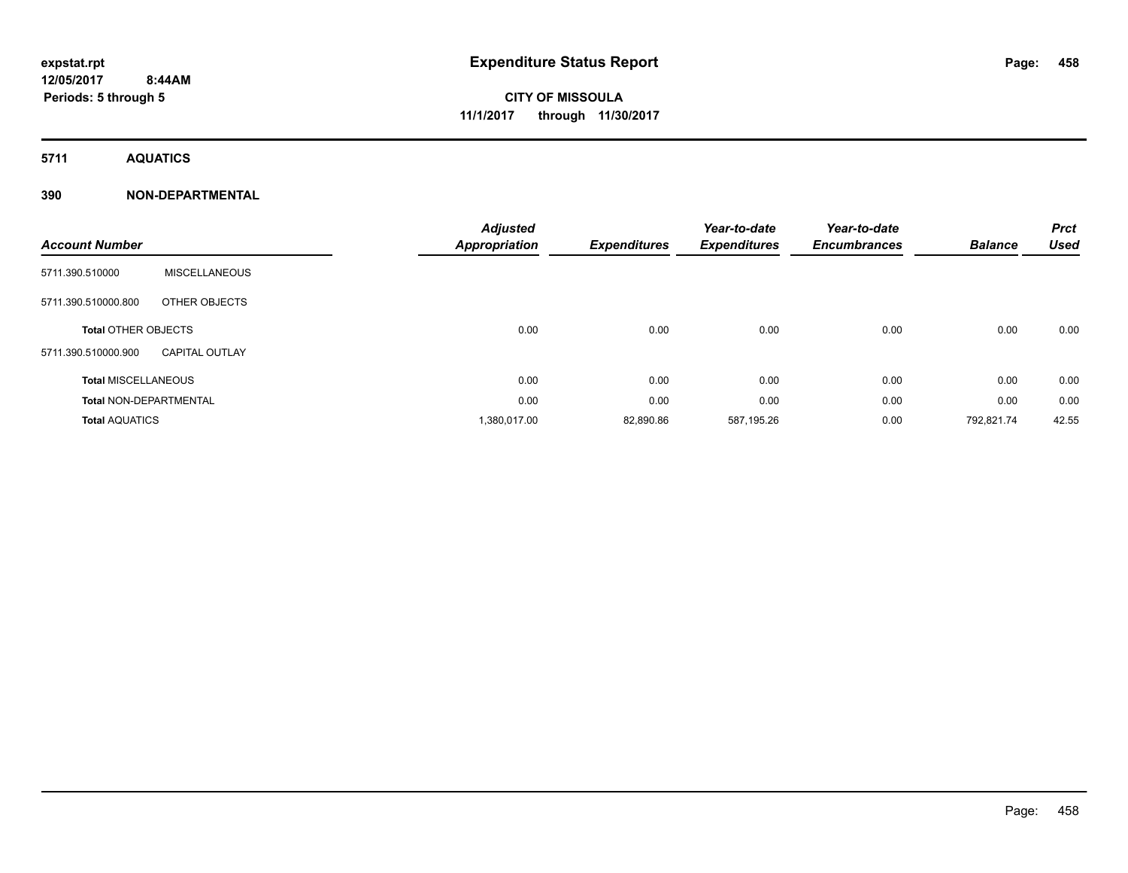**5711 AQUATICS**

### **390 NON-DEPARTMENTAL**

| <b>Account Number</b>         |                       | <b>Adjusted</b><br><b>Appropriation</b> | <b>Expenditures</b> | Year-to-date<br><b>Expenditures</b> | Year-to-date<br><b>Encumbrances</b> | <b>Balance</b> | <b>Prct</b><br><b>Used</b> |
|-------------------------------|-----------------------|-----------------------------------------|---------------------|-------------------------------------|-------------------------------------|----------------|----------------------------|
| 5711.390.510000               | <b>MISCELLANEOUS</b>  |                                         |                     |                                     |                                     |                |                            |
| 5711.390.510000.800           | OTHER OBJECTS         |                                         |                     |                                     |                                     |                |                            |
| <b>Total OTHER OBJECTS</b>    |                       | 0.00                                    | 0.00                | 0.00                                | 0.00                                | 0.00           | 0.00                       |
| 5711.390.510000.900           | <b>CAPITAL OUTLAY</b> |                                         |                     |                                     |                                     |                |                            |
| <b>Total MISCELLANEOUS</b>    |                       | 0.00                                    | 0.00                | 0.00                                | 0.00                                | 0.00           | 0.00                       |
| <b>Total NON-DEPARTMENTAL</b> |                       | 0.00                                    | 0.00                | 0.00                                | 0.00                                | 0.00           | 0.00                       |
| <b>Total AQUATICS</b>         |                       | 1,380,017.00                            | 82,890.86           | 587,195.26                          | 0.00                                | 792,821.74     | 42.55                      |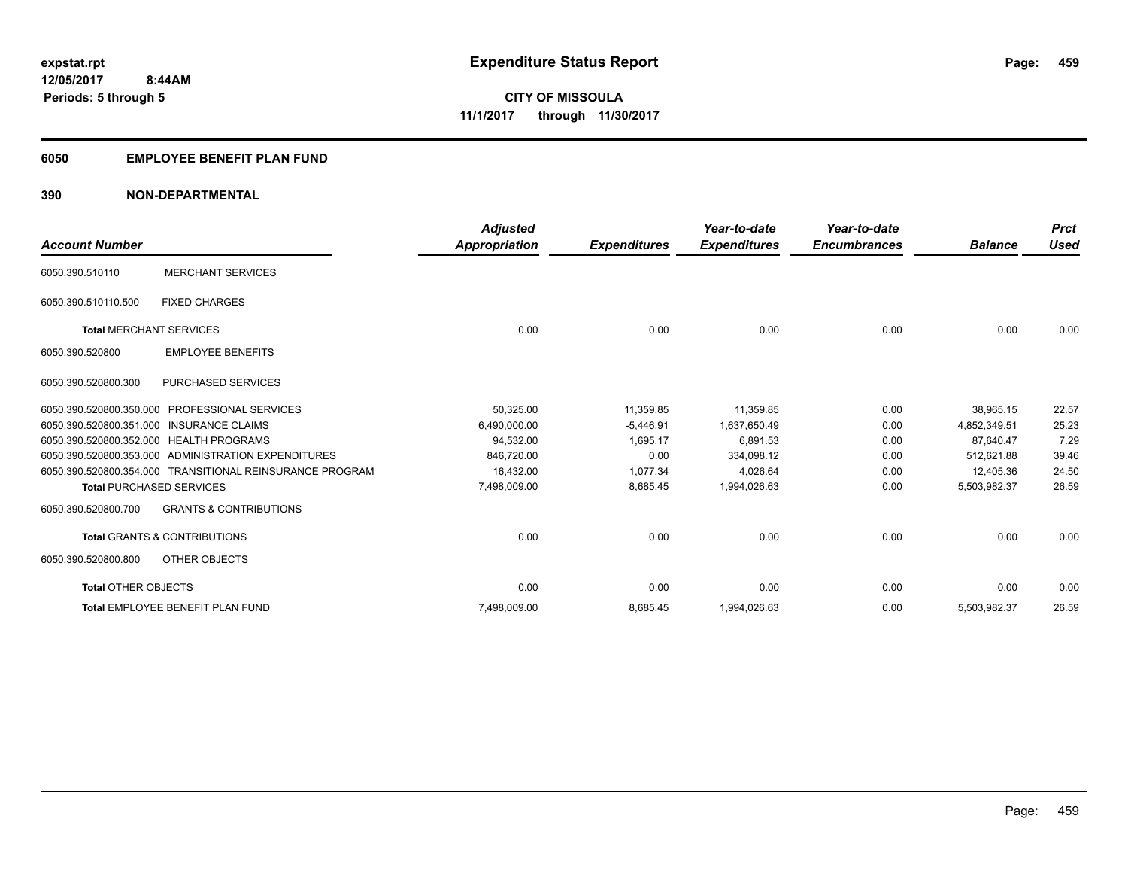## **6050 EMPLOYEE BENEFIT PLAN FUND**

### **390 NON-DEPARTMENTAL**

| <b>Account Number</b>           |                                                          | <b>Adjusted</b><br>Appropriation | <b>Expenditures</b> | Year-to-date<br><b>Expenditures</b> | Year-to-date<br><b>Encumbrances</b> | <b>Balance</b> | <b>Prct</b><br><b>Used</b> |
|---------------------------------|----------------------------------------------------------|----------------------------------|---------------------|-------------------------------------|-------------------------------------|----------------|----------------------------|
| 6050.390.510110                 | <b>MERCHANT SERVICES</b>                                 |                                  |                     |                                     |                                     |                |                            |
| 6050.390.510110.500             | <b>FIXED CHARGES</b>                                     |                                  |                     |                                     |                                     |                |                            |
| <b>Total MERCHANT SERVICES</b>  |                                                          | 0.00                             | 0.00                | 0.00                                | 0.00                                | 0.00           | 0.00                       |
| 6050.390.520800                 | <b>EMPLOYEE BENEFITS</b>                                 |                                  |                     |                                     |                                     |                |                            |
| 6050.390.520800.300             | PURCHASED SERVICES                                       |                                  |                     |                                     |                                     |                |                            |
| 6050.390.520800.350.000         | <b>PROFESSIONAL SERVICES</b>                             | 50,325.00                        | 11,359.85           | 11,359.85                           | 0.00                                | 38,965.15      | 22.57                      |
|                                 | 6050.390.520800.351.000 INSURANCE CLAIMS                 | 6,490,000.00                     | $-5.446.91$         | 1,637,650.49                        | 0.00                                | 4,852,349.51   | 25.23                      |
|                                 | 6050.390.520800.352.000 HEALTH PROGRAMS                  | 94,532.00                        | 1,695.17            | 6,891.53                            | 0.00                                | 87,640.47      | 7.29                       |
|                                 | 6050.390.520800.353.000 ADMINISTRATION EXPENDITURES      | 846.720.00                       | 0.00                | 334,098.12                          | 0.00                                | 512.621.88     | 39.46                      |
|                                 | 6050.390.520800.354.000 TRANSITIONAL REINSURANCE PROGRAM | 16,432.00                        | 1,077.34            | 4,026.64                            | 0.00                                | 12,405.36      | 24.50                      |
| <b>Total PURCHASED SERVICES</b> |                                                          | 7,498,009.00                     | 8,685.45            | 1,994,026.63                        | 0.00                                | 5,503,982.37   | 26.59                      |
| 6050.390.520800.700             | <b>GRANTS &amp; CONTRIBUTIONS</b>                        |                                  |                     |                                     |                                     |                |                            |
|                                 | <b>Total GRANTS &amp; CONTRIBUTIONS</b>                  | 0.00                             | 0.00                | 0.00                                | 0.00                                | 0.00           | 0.00                       |
| 6050.390.520800.800             | OTHER OBJECTS                                            |                                  |                     |                                     |                                     |                |                            |
| <b>Total OTHER OBJECTS</b>      |                                                          | 0.00                             | 0.00                | 0.00                                | 0.00                                | 0.00           | 0.00                       |
|                                 | Total EMPLOYEE BENEFIT PLAN FUND                         | 7,498,009.00                     | 8,685.45            | 1,994,026.63                        | 0.00                                | 5,503,982.37   | 26.59                      |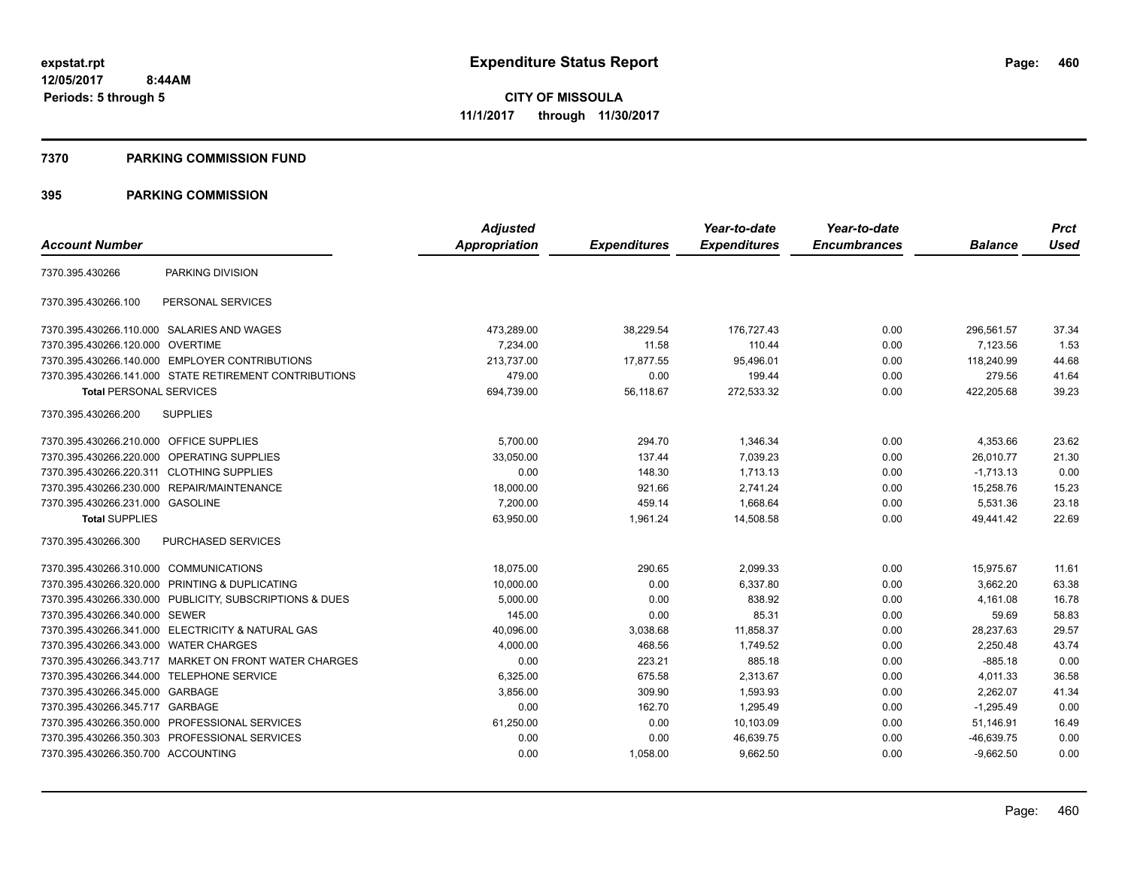#### **7370 PARKING COMMISSION FUND**

|                                           |                                                         | <b>Adjusted</b> |                     | Year-to-date        | Year-to-date        |                | <b>Prct</b> |
|-------------------------------------------|---------------------------------------------------------|-----------------|---------------------|---------------------|---------------------|----------------|-------------|
| <b>Account Number</b>                     |                                                         | Appropriation   | <b>Expenditures</b> | <b>Expenditures</b> | <b>Encumbrances</b> | <b>Balance</b> | <b>Used</b> |
| 7370.395.430266                           | PARKING DIVISION                                        |                 |                     |                     |                     |                |             |
| 7370.395.430266.100                       | PERSONAL SERVICES                                       |                 |                     |                     |                     |                |             |
|                                           | 7370.395.430266.110.000 SALARIES AND WAGES              | 473,289.00      | 38,229.54           | 176,727.43          | 0.00                | 296.561.57     | 37.34       |
| 7370.395.430266.120.000                   | <b>OVERTIME</b>                                         | 7,234.00        | 11.58               | 110.44              | 0.00                | 7,123.56       | 1.53        |
|                                           | 7370.395.430266.140.000 EMPLOYER CONTRIBUTIONS          | 213,737.00      | 17,877.55           | 95,496.01           | 0.00                | 118,240.99     | 44.68       |
|                                           | 7370.395.430266.141.000 STATE RETIREMENT CONTRIBUTIONS  | 479.00          | 0.00                | 199.44              | 0.00                | 279.56         | 41.64       |
| <b>Total PERSONAL SERVICES</b>            |                                                         | 694,739.00      | 56,118.67           | 272,533.32          | 0.00                | 422,205.68     | 39.23       |
| 7370.395.430266.200                       | <b>SUPPLIES</b>                                         |                 |                     |                     |                     |                |             |
| 7370.395.430266.210.000 OFFICE SUPPLIES   |                                                         | 5,700.00        | 294.70              | 1,346.34            | 0.00                | 4,353.66       | 23.62       |
| 7370.395.430266.220.000                   | <b>OPERATING SUPPLIES</b>                               | 33.050.00       | 137.44              | 7.039.23            | 0.00                | 26.010.77      | 21.30       |
| 7370.395.430266.220.311 CLOTHING SUPPLIES |                                                         | 0.00            | 148.30              | 1,713.13            | 0.00                | $-1,713.13$    | 0.00        |
| 7370.395.430266.230.000                   | REPAIR/MAINTENANCE                                      | 18,000.00       | 921.66              | 2,741.24            | 0.00                | 15,258.76      | 15.23       |
| 7370.395.430266.231.000 GASOLINE          |                                                         | 7,200.00        | 459.14              | 1,668.64            | 0.00                | 5,531.36       | 23.18       |
| <b>Total SUPPLIES</b>                     |                                                         | 63,950.00       | 1,961.24            | 14,508.58           | 0.00                | 49,441.42      | 22.69       |
| 7370.395.430266.300                       | PURCHASED SERVICES                                      |                 |                     |                     |                     |                |             |
| 7370.395.430266.310.000 COMMUNICATIONS    |                                                         | 18,075.00       | 290.65              | 2,099.33            | 0.00                | 15,975.67      | 11.61       |
| 7370.395.430266.320.000                   | PRINTING & DUPLICATING                                  | 10,000.00       | 0.00                | 6,337.80            | 0.00                | 3,662.20       | 63.38       |
|                                           | 7370.395.430266.330.000 PUBLICITY, SUBSCRIPTIONS & DUES | 5,000.00        | 0.00                | 838.92              | 0.00                | 4,161.08       | 16.78       |
| 7370.395.430266.340.000 SEWER             |                                                         | 145.00          | 0.00                | 85.31               | 0.00                | 59.69          | 58.83       |
|                                           | 7370.395.430266.341.000 ELECTRICITY & NATURAL GAS       | 40,096.00       | 3,038.68            | 11,858.37           | 0.00                | 28,237.63      | 29.57       |
| 7370.395.430266.343.000                   | <b>WATER CHARGES</b>                                    | 4,000.00        | 468.56              | 1,749.52            | 0.00                | 2,250.48       | 43.74       |
|                                           | 7370.395.430266.343.717 MARKET ON FRONT WATER CHARGES   | 0.00            | 223.21              | 885.18              | 0.00                | $-885.18$      | 0.00        |
| 7370.395.430266.344.000                   | <b>TELEPHONE SERVICE</b>                                | 6,325.00        | 675.58              | 2,313.67            | 0.00                | 4,011.33       | 36.58       |
| 7370.395.430266.345.000 GARBAGE           |                                                         | 3,856.00        | 309.90              | 1,593.93            | 0.00                | 2,262.07       | 41.34       |
| 7370.395.430266.345.717                   | GARBAGE                                                 | 0.00            | 162.70              | 1,295.49            | 0.00                | $-1,295.49$    | 0.00        |
|                                           | 7370.395.430266.350.000 PROFESSIONAL SERVICES           | 61,250.00       | 0.00                | 10,103.09           | 0.00                | 51,146.91      | 16.49       |
|                                           | 7370.395.430266.350.303 PROFESSIONAL SERVICES           | 0.00            | 0.00                | 46,639.75           | 0.00                | $-46,639.75$   | 0.00        |
| 7370.395.430266.350.700 ACCOUNTING        |                                                         | 0.00            | 1,058.00            | 9.662.50            | 0.00                | $-9,662.50$    | 0.00        |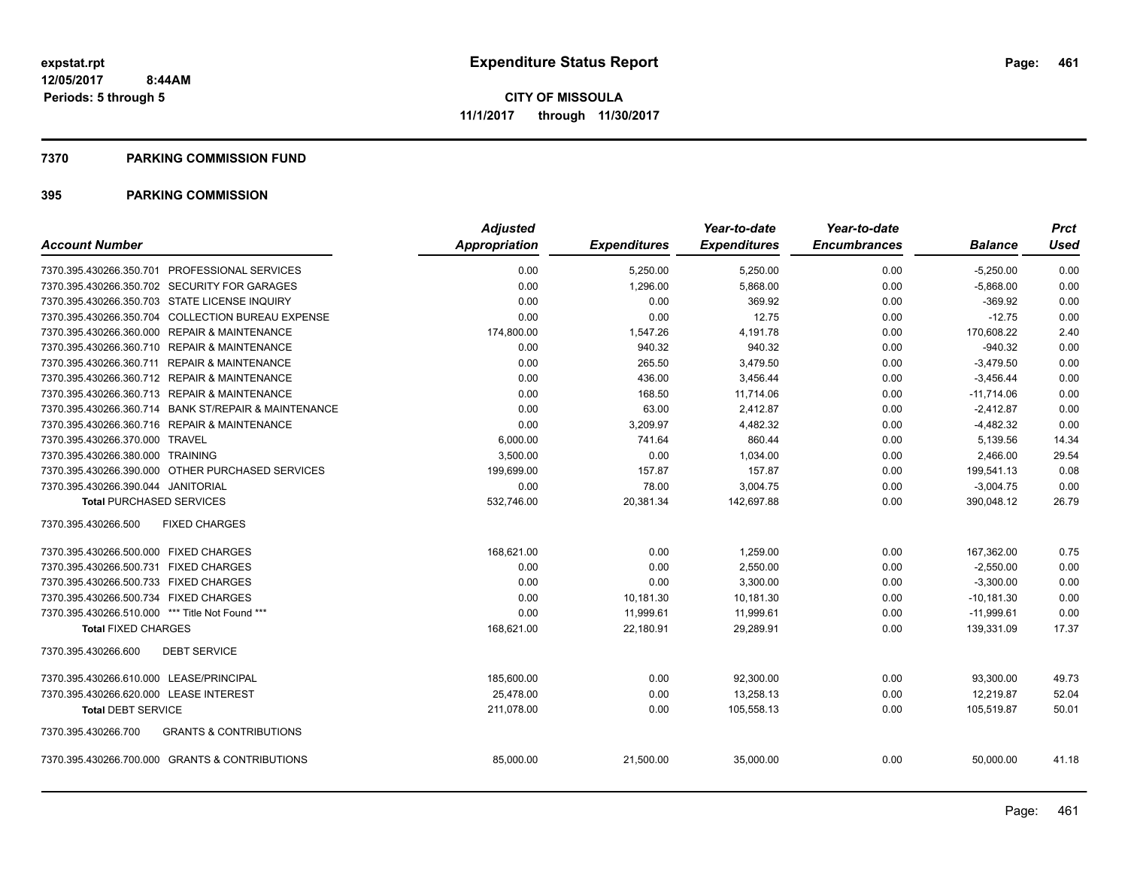#### **7370 PARKING COMMISSION FUND**

|                                                          | <b>Adjusted</b>      |                     | Year-to-date        | Year-to-date        |                | <b>Prct</b> |
|----------------------------------------------------------|----------------------|---------------------|---------------------|---------------------|----------------|-------------|
| <b>Account Number</b>                                    | <b>Appropriation</b> | <b>Expenditures</b> | <b>Expenditures</b> | <b>Encumbrances</b> | <b>Balance</b> | Used        |
| 7370.395.430266.350.701 PROFESSIONAL SERVICES            | 0.00                 | 5,250.00            | 5,250.00            | 0.00                | $-5,250.00$    | 0.00        |
| 7370.395.430266.350.702 SECURITY FOR GARAGES             | 0.00                 | 1,296.00            | 5,868.00            | 0.00                | $-5,868.00$    | 0.00        |
| 7370.395.430266.350.703 STATE LICENSE INQUIRY            | 0.00                 | 0.00                | 369.92              | 0.00                | $-369.92$      | 0.00        |
| 7370.395.430266.350.704 COLLECTION BUREAU EXPENSE        | 0.00                 | 0.00                | 12.75               | 0.00                | $-12.75$       | 0.00        |
| 7370.395.430266.360.000 REPAIR & MAINTENANCE             | 174,800.00           | 1,547.26            | 4,191.78            | 0.00                | 170,608.22     | 2.40        |
| 7370.395.430266.360.710 REPAIR & MAINTENANCE             | 0.00                 | 940.32              | 940.32              | 0.00                | $-940.32$      | 0.00        |
| 7370.395.430266.360.711 REPAIR & MAINTENANCE             | 0.00                 | 265.50              | 3,479.50            | 0.00                | $-3,479.50$    | 0.00        |
| 7370.395.430266.360.712 REPAIR & MAINTENANCE             | 0.00                 | 436.00              | 3,456.44            | 0.00                | $-3,456.44$    | 0.00        |
| 7370.395.430266.360.713 REPAIR & MAINTENANCE             | 0.00                 | 168.50              | 11,714.06           | 0.00                | $-11,714.06$   | 0.00        |
| 7370.395.430266.360.714 BANK ST/REPAIR & MAINTENANCE     | 0.00                 | 63.00               | 2,412.87            | 0.00                | $-2,412.87$    | 0.00        |
| 7370.395.430266.360.716 REPAIR & MAINTENANCE             | 0.00                 | 3.209.97            | 4,482.32            | 0.00                | $-4,482.32$    | 0.00        |
| 7370.395.430266.370.000 TRAVEL                           | 6,000.00             | 741.64              | 860.44              | 0.00                | 5,139.56       | 14.34       |
| 7370.395.430266.380.000 TRAINING                         | 3,500.00             | 0.00                | 1,034.00            | 0.00                | 2,466.00       | 29.54       |
| 7370.395.430266.390.000 OTHER PURCHASED SERVICES         | 199.699.00           | 157.87              | 157.87              | 0.00                | 199,541.13     | 0.08        |
| 7370.395.430266.390.044 JANITORIAL                       | 0.00                 | 78.00               | 3,004.75            | 0.00                | $-3,004.75$    | 0.00        |
| <b>Total PURCHASED SERVICES</b>                          | 532,746.00           | 20,381.34           | 142,697.88          | 0.00                | 390,048.12     | 26.79       |
| 7370.395.430266.500<br><b>FIXED CHARGES</b>              |                      |                     |                     |                     |                |             |
| 7370.395.430266.500.000 FIXED CHARGES                    | 168.621.00           | 0.00                | 1,259.00            | 0.00                | 167,362.00     | 0.75        |
| 7370.395.430266.500.731 FIXED CHARGES                    | 0.00                 | 0.00                | 2,550.00            | 0.00                | $-2,550.00$    | 0.00        |
| 7370.395.430266.500.733 FIXED CHARGES                    | 0.00                 | 0.00                | 3,300.00            | 0.00                | $-3.300.00$    | 0.00        |
| 7370.395.430266.500.734 FIXED CHARGES                    | 0.00                 | 10,181.30           | 10,181.30           | 0.00                | $-10,181.30$   | 0.00        |
| 7370.395.430266.510.000 *** Title Not Found ***          | 0.00                 | 11,999.61           | 11,999.61           | 0.00                | $-11,999.61$   | 0.00        |
| <b>Total FIXED CHARGES</b>                               | 168,621.00           | 22,180.91           | 29,289.91           | 0.00                | 139,331.09     | 17.37       |
| 7370.395.430266.600<br><b>DEBT SERVICE</b>               |                      |                     |                     |                     |                |             |
| 7370.395.430266.610.000 LEASE/PRINCIPAL                  | 185,600.00           | 0.00                | 92,300.00           | 0.00                | 93,300.00      | 49.73       |
| 7370.395.430266.620.000 LEASE INTEREST                   | 25.478.00            | 0.00                | 13.258.13           | 0.00                | 12.219.87      | 52.04       |
| <b>Total DEBT SERVICE</b>                                | 211,078.00           | 0.00                | 105,558.13          | 0.00                | 105,519.87     | 50.01       |
| 7370.395.430266.700<br><b>GRANTS &amp; CONTRIBUTIONS</b> |                      |                     |                     |                     |                |             |
| 7370.395.430266.700.000 GRANTS & CONTRIBUTIONS           | 85,000.00            | 21,500.00           | 35.000.00           | 0.00                | 50,000.00      | 41.18       |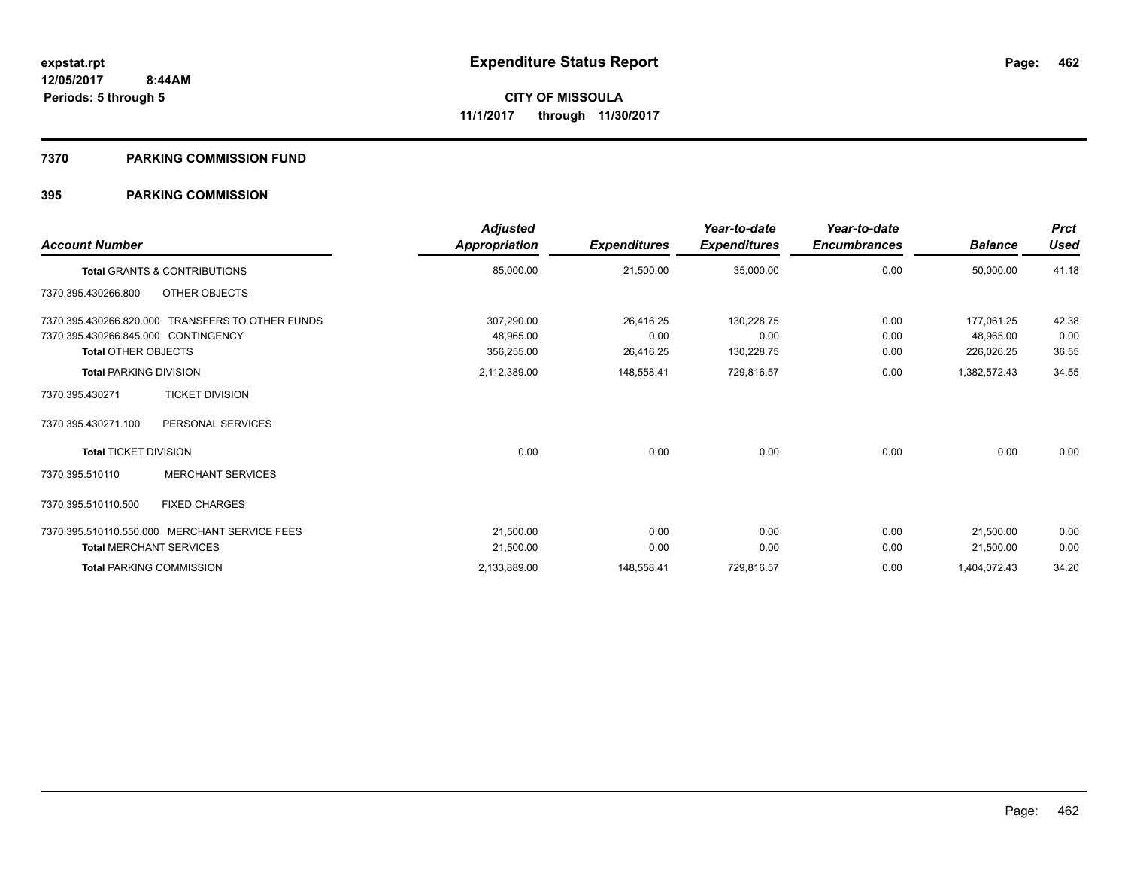#### **7370 PARKING COMMISSION FUND**

| <b>Account Number</b>               |                                                  | <b>Adjusted</b><br>Appropriation | <b>Expenditures</b> | Year-to-date<br><b>Expenditures</b> | Year-to-date<br><b>Encumbrances</b> | <b>Balance</b> | <b>Prct</b><br><b>Used</b> |
|-------------------------------------|--------------------------------------------------|----------------------------------|---------------------|-------------------------------------|-------------------------------------|----------------|----------------------------|
|                                     | Total GRANTS & CONTRIBUTIONS                     | 85,000.00                        | 21,500.00           | 35,000.00                           | 0.00                                | 50,000.00      | 41.18                      |
| 7370.395.430266.800                 | OTHER OBJECTS                                    |                                  |                     |                                     |                                     |                |                            |
|                                     | 7370.395.430266.820.000 TRANSFERS TO OTHER FUNDS | 307,290.00                       | 26,416.25           | 130,228.75                          | 0.00                                | 177,061.25     | 42.38                      |
| 7370.395.430266.845.000 CONTINGENCY |                                                  | 48,965.00                        | 0.00                | 0.00                                | 0.00                                | 48,965.00      | 0.00                       |
| <b>Total OTHER OBJECTS</b>          |                                                  | 356,255.00                       | 26,416.25           | 130,228.75                          | 0.00                                | 226,026.25     | 36.55                      |
| <b>Total PARKING DIVISION</b>       |                                                  | 2,112,389.00                     | 148,558.41          | 729,816.57                          | 0.00                                | 1,382,572.43   | 34.55                      |
| 7370.395.430271                     | <b>TICKET DIVISION</b>                           |                                  |                     |                                     |                                     |                |                            |
| 7370.395.430271.100                 | PERSONAL SERVICES                                |                                  |                     |                                     |                                     |                |                            |
| <b>Total TICKET DIVISION</b>        |                                                  | 0.00                             | 0.00                | 0.00                                | 0.00                                | 0.00           | 0.00                       |
| 7370.395.510110                     | <b>MERCHANT SERVICES</b>                         |                                  |                     |                                     |                                     |                |                            |
| 7370.395.510110.500                 | <b>FIXED CHARGES</b>                             |                                  |                     |                                     |                                     |                |                            |
|                                     | 7370.395.510110.550.000 MERCHANT SERVICE FEES    | 21,500.00                        | 0.00                | 0.00                                | 0.00                                | 21,500.00      | 0.00                       |
| <b>Total MERCHANT SERVICES</b>      |                                                  | 21,500.00                        | 0.00                | 0.00                                | 0.00                                | 21,500.00      | 0.00                       |
| <b>Total PARKING COMMISSION</b>     |                                                  | 2,133,889.00                     | 148,558.41          | 729,816.57                          | 0.00                                | 1,404,072.43   | 34.20                      |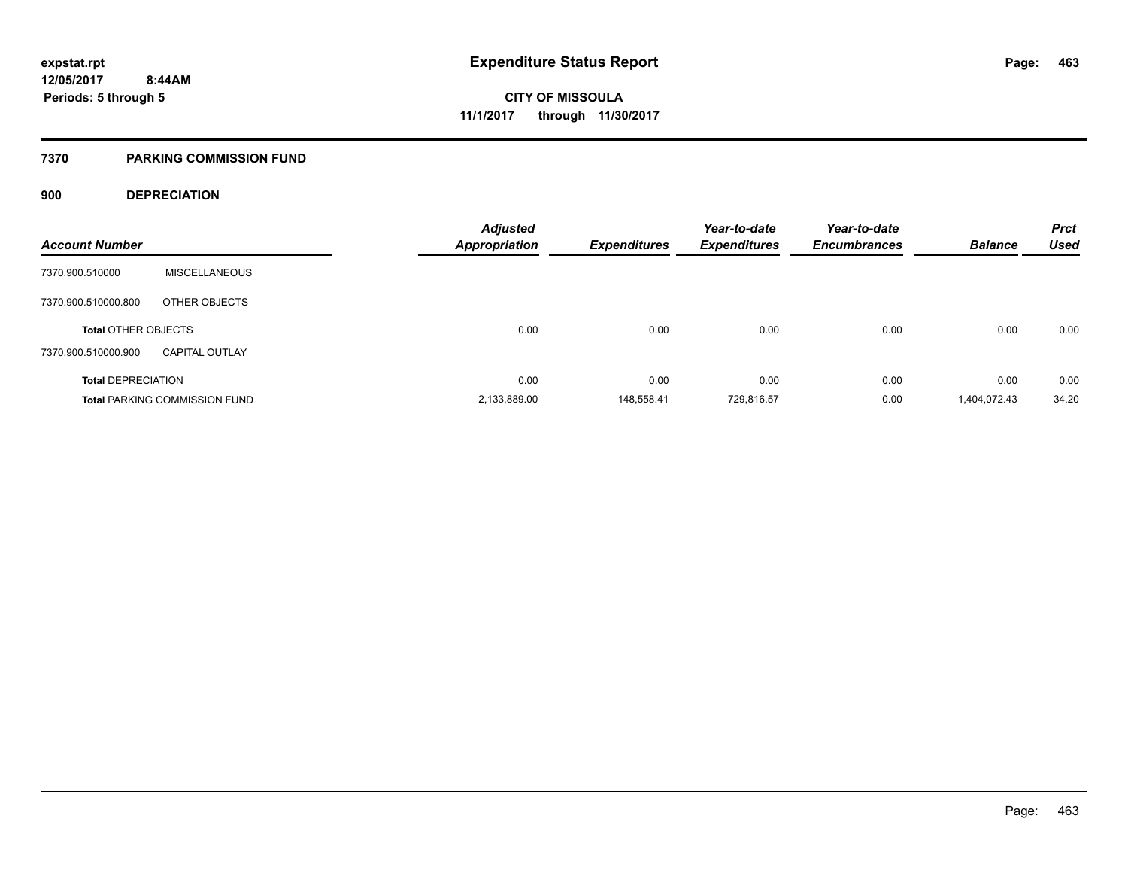### **7370 PARKING COMMISSION FUND**

### **900 DEPRECIATION**

| <b>Account Number</b>      |                                      | <b>Adjusted</b><br><b>Appropriation</b> | <b>Expenditures</b> | Year-to-date<br><b>Expenditures</b> | Year-to-date<br><b>Encumbrances</b> | <b>Balance</b> | <b>Prct</b><br><b>Used</b> |
|----------------------------|--------------------------------------|-----------------------------------------|---------------------|-------------------------------------|-------------------------------------|----------------|----------------------------|
|                            |                                      |                                         |                     |                                     |                                     |                |                            |
| 7370.900.510000            | <b>MISCELLANEOUS</b>                 |                                         |                     |                                     |                                     |                |                            |
| 7370.900.510000.800        | OTHER OBJECTS                        |                                         |                     |                                     |                                     |                |                            |
| <b>Total OTHER OBJECTS</b> |                                      | 0.00                                    | 0.00                | 0.00                                | 0.00                                | 0.00           | 0.00                       |
| 7370.900.510000.900        | <b>CAPITAL OUTLAY</b>                |                                         |                     |                                     |                                     |                |                            |
| <b>Total DEPRECIATION</b>  |                                      | 0.00                                    | 0.00                | 0.00                                | 0.00                                | 0.00           | 0.00                       |
|                            | <b>Total PARKING COMMISSION FUND</b> | 2,133,889.00                            | 148,558.41          | 729,816.57                          | 0.00                                | 1,404,072.43   | 34.20                      |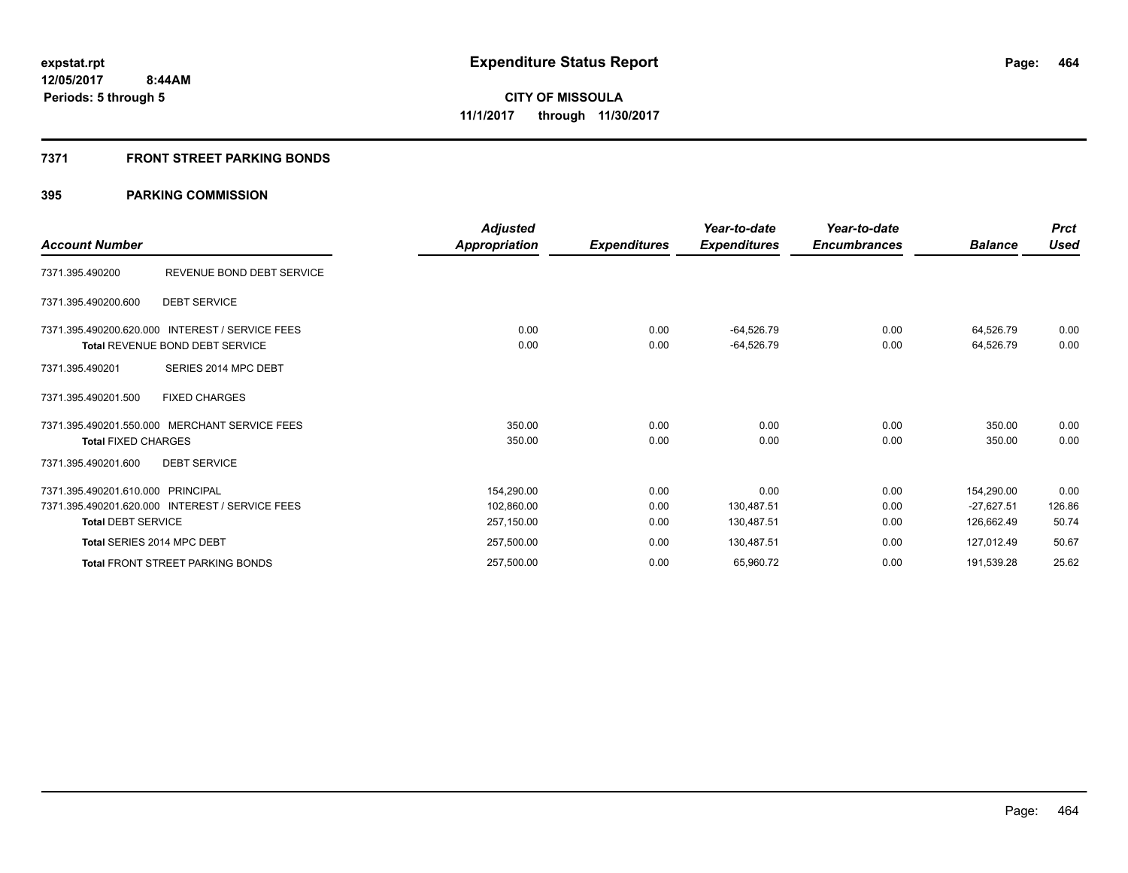### **7371 FRONT STREET PARKING BONDS**

| <b>Account Number</b>                                          |                                                                                    | <b>Adjusted</b><br>Appropriation       | <b>Expenditures</b>  | Year-to-date<br><b>Expenditures</b> | Year-to-date<br><b>Encumbrances</b> | <b>Balance</b>                           | <b>Prct</b><br><b>Used</b> |
|----------------------------------------------------------------|------------------------------------------------------------------------------------|----------------------------------------|----------------------|-------------------------------------|-------------------------------------|------------------------------------------|----------------------------|
| 7371.395.490200                                                | REVENUE BOND DEBT SERVICE                                                          |                                        |                      |                                     |                                     |                                          |                            |
| 7371.395.490200.600                                            | <b>DEBT SERVICE</b>                                                                |                                        |                      |                                     |                                     |                                          |                            |
|                                                                | 7371.395.490200.620.000 INTEREST / SERVICE FEES<br>Total REVENUE BOND DEBT SERVICE | 0.00<br>0.00                           | 0.00<br>0.00         | -64,526.79<br>$-64,526.79$          | 0.00<br>0.00                        | 64,526.79<br>64,526.79                   | 0.00<br>0.00               |
| 7371.395.490201                                                | SERIES 2014 MPC DEBT                                                               |                                        |                      |                                     |                                     |                                          |                            |
| 7371.395.490201.500                                            | <b>FIXED CHARGES</b>                                                               |                                        |                      |                                     |                                     |                                          |                            |
| <b>Total FIXED CHARGES</b>                                     | 7371.395.490201.550.000 MERCHANT SERVICE FEES                                      | 350.00<br>350.00                       | 0.00<br>0.00         | 0.00<br>0.00                        | 0.00<br>0.00                        | 350.00<br>350.00                         | 0.00<br>0.00               |
| 7371.395.490201.600                                            | <b>DEBT SERVICE</b>                                                                |                                        |                      |                                     |                                     |                                          |                            |
| 7371.395.490201.610.000 PRINCIPAL<br><b>Total DEBT SERVICE</b> | 7371.395.490201.620.000 INTEREST / SERVICE FEES                                    | 154,290.00<br>102,860.00<br>257,150.00 | 0.00<br>0.00<br>0.00 | 0.00<br>130,487.51<br>130,487.51    | 0.00<br>0.00<br>0.00                | 154,290.00<br>$-27,627.51$<br>126,662.49 | 0.00<br>126.86<br>50.74    |
| Total SERIES 2014 MPC DEBT                                     |                                                                                    | 257,500.00                             | 0.00                 | 130,487.51                          | 0.00                                | 127,012.49                               | 50.67                      |
|                                                                | <b>Total FRONT STREET PARKING BONDS</b>                                            | 257,500.00                             | 0.00                 | 65,960.72                           | 0.00                                | 191,539.28                               | 25.62                      |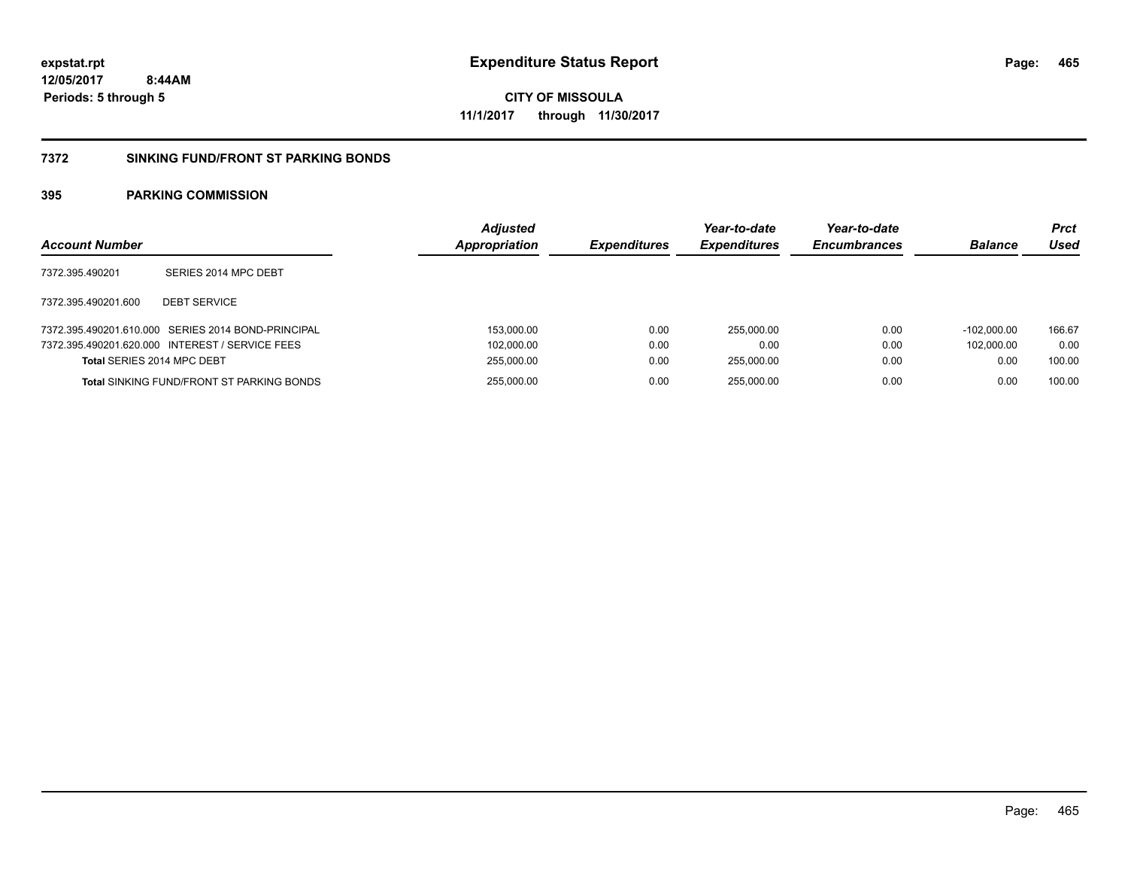**465**

**12/05/2017 8:44AM Periods: 5 through 5**

**CITY OF MISSOULA 11/1/2017 through 11/30/2017**

#### **7372 SINKING FUND/FRONT ST PARKING BONDS**

| <b>Account Number</b>      |                                                    | <b>Adjusted</b><br><b>Appropriation</b> | <b>Expenditures</b> | Year-to-date<br><b>Expenditures</b> | Year-to-date<br><b>Encumbrances</b> | <b>Balance</b> | <b>Prct</b><br>Used |
|----------------------------|----------------------------------------------------|-----------------------------------------|---------------------|-------------------------------------|-------------------------------------|----------------|---------------------|
| 7372.395.490201            | SERIES 2014 MPC DEBT                               |                                         |                     |                                     |                                     |                |                     |
| 7372.395.490201.600        | <b>DEBT SERVICE</b>                                |                                         |                     |                                     |                                     |                |                     |
|                            | 7372.395.490201.610.000 SERIES 2014 BOND-PRINCIPAL | 153,000.00                              | 0.00                | 255.000.00                          | 0.00                                | $-102.000.00$  | 166.67              |
|                            | 7372.395.490201.620.000 INTEREST / SERVICE FEES    | 102,000.00                              | 0.00                | 0.00                                | 0.00                                | 102.000.00     | 0.00                |
| Total SERIES 2014 MPC DEBT |                                                    | 255,000.00                              | 0.00                | 255.000.00                          | 0.00                                | 0.00           | 100.00              |
|                            | Total SINKING FUND/FRONT ST PARKING BONDS          | 255,000.00                              | 0.00                | 255.000.00                          | 0.00                                | 0.00           | 100.00              |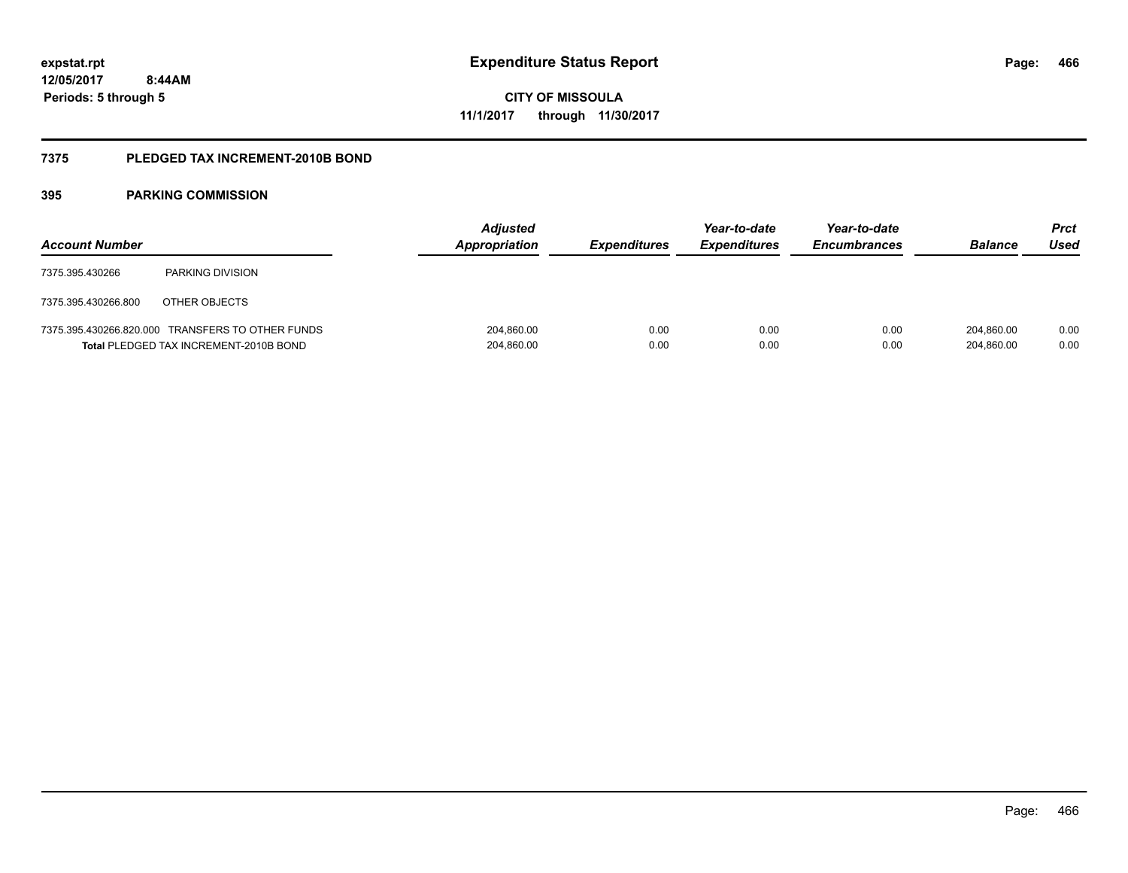**12/05/2017 8:44AM Periods: 5 through 5**

**CITY OF MISSOULA 11/1/2017 through 11/30/2017**

#### **7375 PLEDGED TAX INCREMENT-2010B BOND**

| <b>Account Number</b> |                                                                                            | <b>Adjusted</b><br><b>Appropriation</b> | <b>Expenditures</b> | Year-to-date<br><b>Expenditures</b> | Year-to-date<br><b>Encumbrances</b> | <b>Balance</b>           | <b>Prct</b><br>Used |
|-----------------------|--------------------------------------------------------------------------------------------|-----------------------------------------|---------------------|-------------------------------------|-------------------------------------|--------------------------|---------------------|
| 7375.395.430266       | PARKING DIVISION                                                                           |                                         |                     |                                     |                                     |                          |                     |
| 7375.395.430266.800   | OTHER OBJECTS                                                                              |                                         |                     |                                     |                                     |                          |                     |
|                       | 7375.395.430266.820.000 TRANSFERS TO OTHER FUNDS<br>Total PLEDGED TAX INCREMENT-2010B BOND | 204,860.00<br>204,860.00                | 0.00<br>0.00        | 0.00<br>0.00                        | 0.00<br>0.00                        | 204.860.00<br>204,860.00 | 0.00<br>0.00        |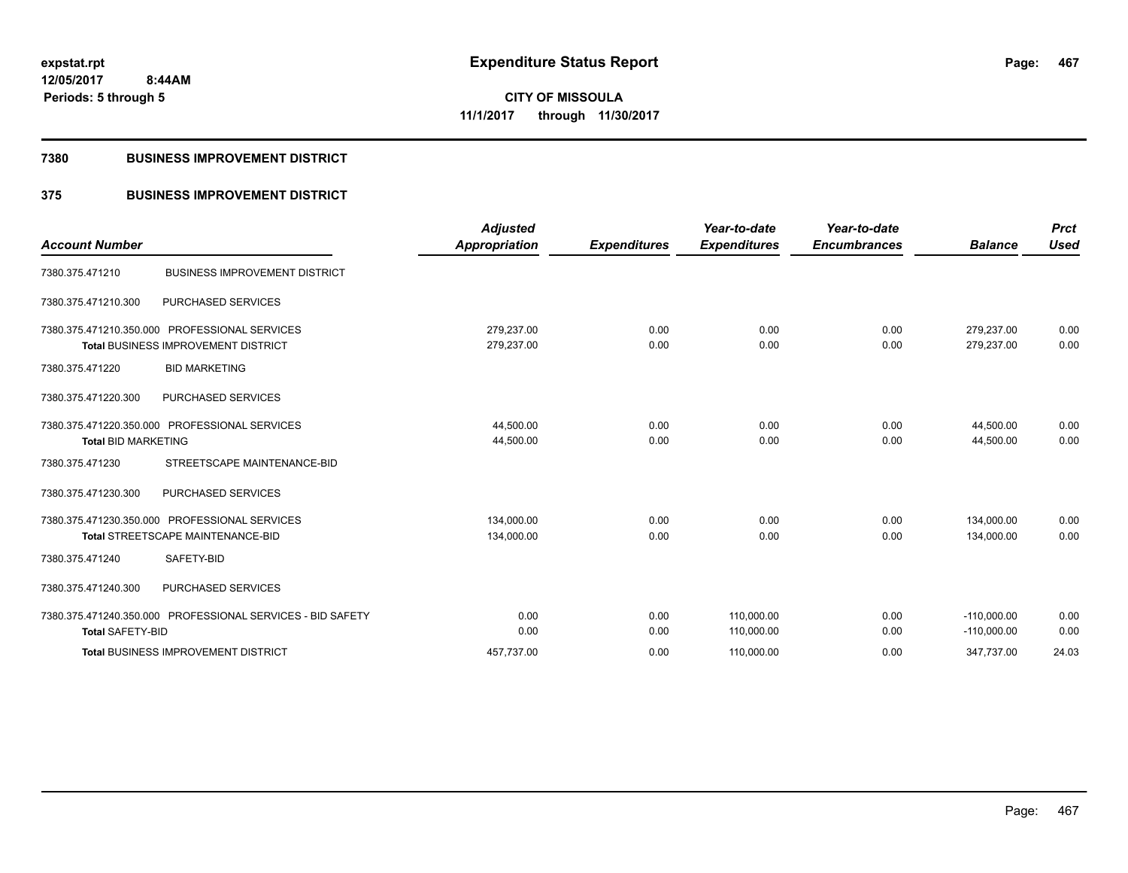**Periods: 5 through 5**

**CITY OF MISSOULA 11/1/2017 through 11/30/2017**

#### **7380 BUSINESS IMPROVEMENT DISTRICT**

 **8:44AM**

## **375 BUSINESS IMPROVEMENT DISTRICT**

| <b>Account Number</b>      |                                                                                             | <b>Adjusted</b><br><b>Appropriation</b> | <b>Expenditures</b> | Year-to-date<br><b>Expenditures</b> | Year-to-date<br><b>Encumbrances</b> | <b>Balance</b>                 | <b>Prct</b><br><b>Used</b> |
|----------------------------|---------------------------------------------------------------------------------------------|-----------------------------------------|---------------------|-------------------------------------|-------------------------------------|--------------------------------|----------------------------|
| 7380.375.471210            | <b>BUSINESS IMPROVEMENT DISTRICT</b>                                                        |                                         |                     |                                     |                                     |                                |                            |
| 7380.375.471210.300        | PURCHASED SERVICES                                                                          |                                         |                     |                                     |                                     |                                |                            |
|                            | 7380.375.471210.350.000 PROFESSIONAL SERVICES<br><b>Total BUSINESS IMPROVEMENT DISTRICT</b> | 279,237.00<br>279,237.00                | 0.00<br>0.00        | 0.00<br>0.00                        | 0.00<br>0.00                        | 279,237.00<br>279,237.00       | 0.00<br>0.00               |
| 7380.375.471220            | <b>BID MARKETING</b>                                                                        |                                         |                     |                                     |                                     |                                |                            |
| 7380.375.471220.300        | PURCHASED SERVICES                                                                          |                                         |                     |                                     |                                     |                                |                            |
| <b>Total BID MARKETING</b> | 7380.375.471220.350.000 PROFESSIONAL SERVICES                                               | 44,500.00<br>44,500.00                  | 0.00<br>0.00        | 0.00<br>0.00                        | 0.00<br>0.00                        | 44,500.00<br>44,500.00         | 0.00<br>0.00               |
| 7380.375.471230            | STREETSCAPE MAINTENANCE-BID                                                                 |                                         |                     |                                     |                                     |                                |                            |
| 7380.375.471230.300        | PURCHASED SERVICES                                                                          |                                         |                     |                                     |                                     |                                |                            |
|                            | 7380.375.471230.350.000 PROFESSIONAL SERVICES<br><b>Total STREETSCAPE MAINTENANCE-BID</b>   | 134,000.00<br>134,000.00                | 0.00<br>0.00        | 0.00<br>0.00                        | 0.00<br>0.00                        | 134,000.00<br>134.000.00       | 0.00<br>0.00               |
| 7380.375.471240            | SAFETY-BID                                                                                  |                                         |                     |                                     |                                     |                                |                            |
| 7380.375.471240.300        | PURCHASED SERVICES                                                                          |                                         |                     |                                     |                                     |                                |                            |
| <b>Total SAFETY-BID</b>    | 7380.375.471240.350.000 PROFESSIONAL SERVICES - BID SAFETY                                  | 0.00<br>0.00                            | 0.00<br>0.00        | 110,000.00<br>110,000.00            | 0.00<br>0.00                        | $-110,000.00$<br>$-110,000.00$ | 0.00<br>0.00               |
|                            | <b>Total BUSINESS IMPROVEMENT DISTRICT</b>                                                  | 457.737.00                              | 0.00                | 110,000.00                          | 0.00                                | 347,737.00                     | 24.03                      |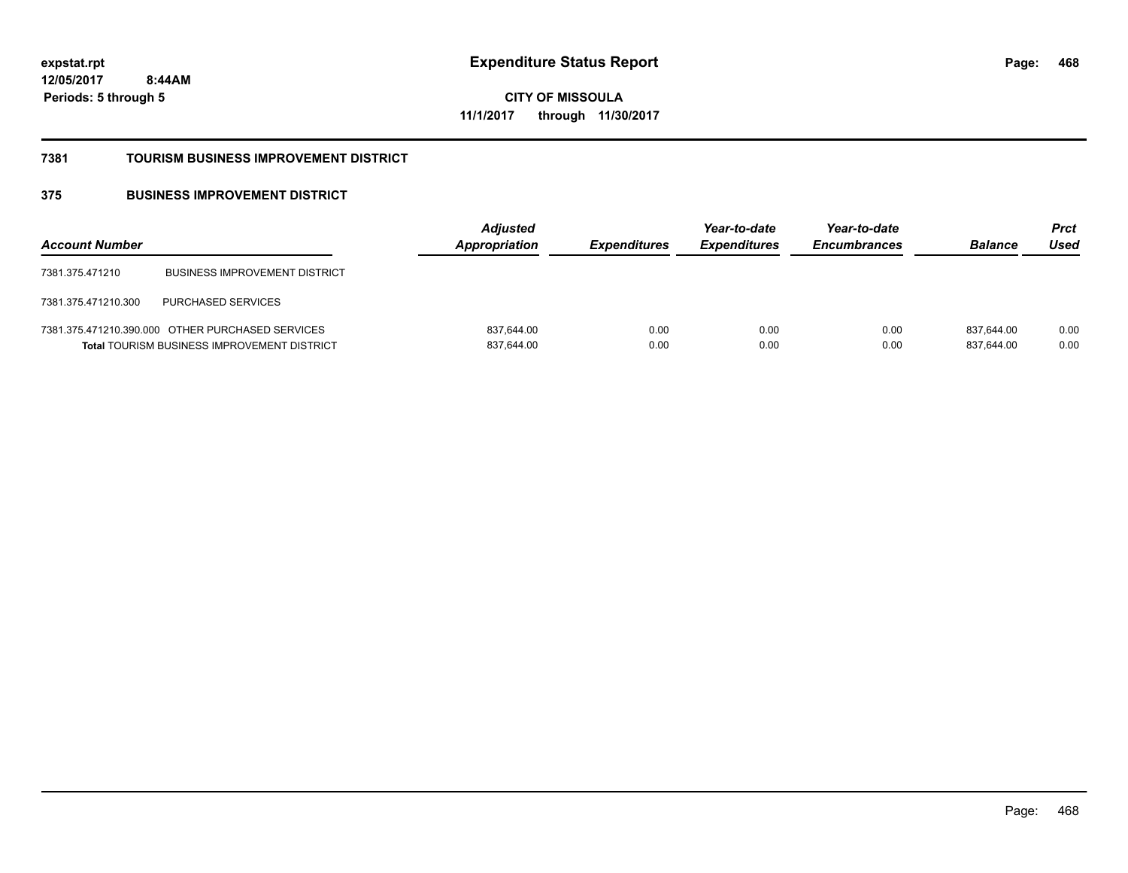**468**

**12/05/2017 8:44AM Periods: 5 through 5**

**CITY OF MISSOULA 11/1/2017 through 11/30/2017**

#### **7381 TOURISM BUSINESS IMPROVEMENT DISTRICT**

## **375 BUSINESS IMPROVEMENT DISTRICT**

| <b>Account Number</b> |                                                                                                        | <b>Adjusted</b><br><b>Appropriation</b> | <i><b>Expenditures</b></i> | Year-to-date<br><b>Expenditures</b> | Year-to-date<br><b>Encumbrances</b> | <b>Balance</b>           | <b>Prct</b><br>Used |
|-----------------------|--------------------------------------------------------------------------------------------------------|-----------------------------------------|----------------------------|-------------------------------------|-------------------------------------|--------------------------|---------------------|
| 7381.375.471210       | <b>BUSINESS IMPROVEMENT DISTRICT</b>                                                                   |                                         |                            |                                     |                                     |                          |                     |
| 7381.375.471210.300   | <b>PURCHASED SERVICES</b>                                                                              |                                         |                            |                                     |                                     |                          |                     |
|                       | 7381.375.471210.390.000 OTHER PURCHASED SERVICES<br><b>Total TOURISM BUSINESS IMPROVEMENT DISTRICT</b> | 837,644.00<br>837,644.00                | 0.00<br>0.00               | 0.00<br>0.00                        | 0.00<br>0.00                        | 837.644.00<br>837,644.00 | 0.00<br>0.00        |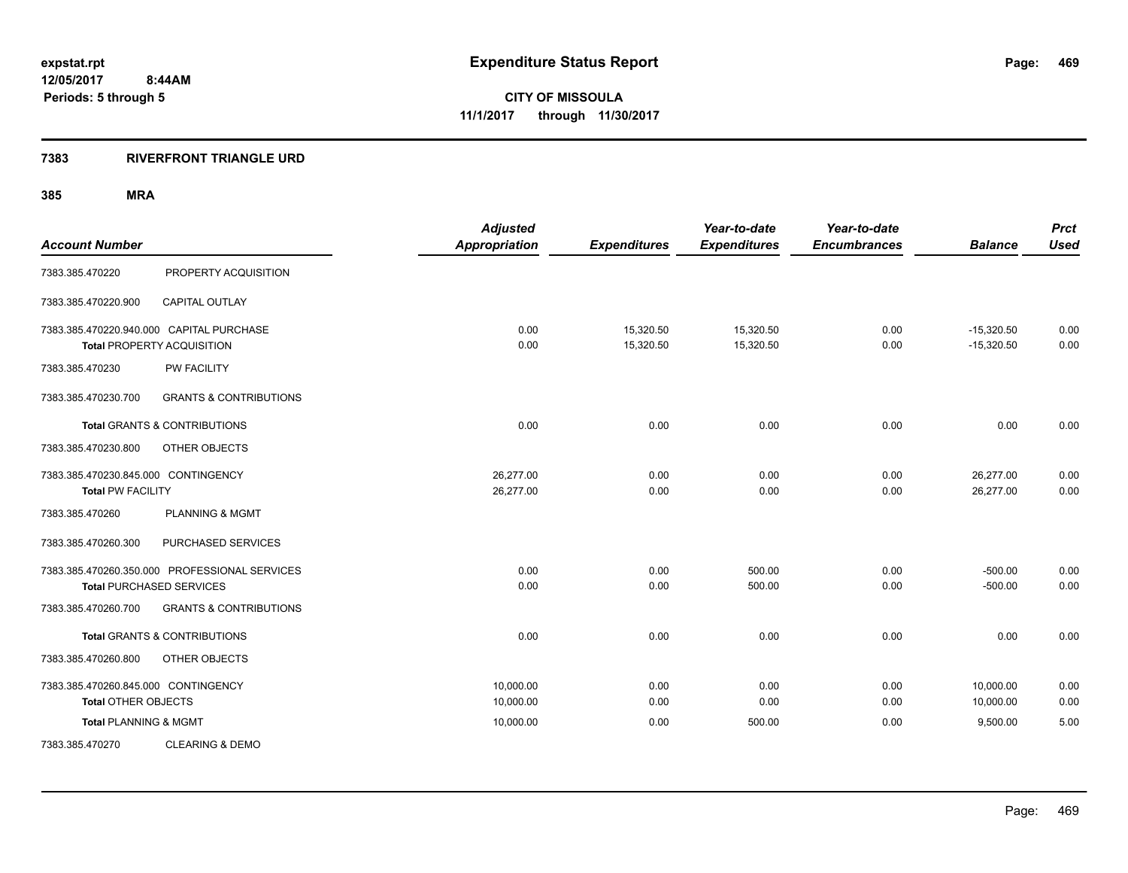## **7383 RIVERFRONT TRIANGLE URD**

| <b>Account Number</b>               |                                               | <b>Adjusted</b><br><b>Appropriation</b> | <b>Expenditures</b> | Year-to-date<br><b>Expenditures</b> | Year-to-date<br><b>Encumbrances</b> | <b>Balance</b> | <b>Prct</b><br><b>Used</b> |
|-------------------------------------|-----------------------------------------------|-----------------------------------------|---------------------|-------------------------------------|-------------------------------------|----------------|----------------------------|
| 7383.385.470220                     | PROPERTY ACQUISITION                          |                                         |                     |                                     |                                     |                |                            |
|                                     |                                               |                                         |                     |                                     |                                     |                |                            |
| 7383.385.470220.900                 | <b>CAPITAL OUTLAY</b>                         |                                         |                     |                                     |                                     |                |                            |
|                                     | 7383.385.470220.940.000 CAPITAL PURCHASE      | 0.00                                    | 15,320.50           | 15,320.50                           | 0.00                                | $-15,320.50$   | 0.00                       |
|                                     | <b>Total PROPERTY ACQUISITION</b>             | 0.00                                    | 15,320.50           | 15,320.50                           | 0.00                                | $-15,320.50$   | 0.00                       |
| 7383.385.470230                     | <b>PW FACILITY</b>                            |                                         |                     |                                     |                                     |                |                            |
| 7383.385.470230.700                 | <b>GRANTS &amp; CONTRIBUTIONS</b>             |                                         |                     |                                     |                                     |                |                            |
|                                     | <b>Total GRANTS &amp; CONTRIBUTIONS</b>       | 0.00                                    | 0.00                | 0.00                                | 0.00                                | 0.00           | 0.00                       |
| 7383.385.470230.800                 | OTHER OBJECTS                                 |                                         |                     |                                     |                                     |                |                            |
| 7383.385.470230.845.000 CONTINGENCY |                                               | 26,277.00                               | 0.00                | 0.00                                | 0.00                                | 26,277.00      | 0.00                       |
| <b>Total PW FACILITY</b>            |                                               | 26,277.00                               | 0.00                | 0.00                                | 0.00                                | 26,277.00      | 0.00                       |
| 7383.385.470260                     | <b>PLANNING &amp; MGMT</b>                    |                                         |                     |                                     |                                     |                |                            |
| 7383.385.470260.300                 | PURCHASED SERVICES                            |                                         |                     |                                     |                                     |                |                            |
|                                     | 7383.385.470260.350.000 PROFESSIONAL SERVICES | 0.00                                    | 0.00                | 500.00                              | 0.00                                | $-500.00$      | 0.00                       |
|                                     | <b>Total PURCHASED SERVICES</b>               | 0.00                                    | 0.00                | 500.00                              | 0.00                                | $-500.00$      | 0.00                       |
| 7383.385.470260.700                 | <b>GRANTS &amp; CONTRIBUTIONS</b>             |                                         |                     |                                     |                                     |                |                            |
|                                     | <b>Total GRANTS &amp; CONTRIBUTIONS</b>       | 0.00                                    | 0.00                | 0.00                                | 0.00                                | 0.00           | 0.00                       |
| 7383.385.470260.800                 | OTHER OBJECTS                                 |                                         |                     |                                     |                                     |                |                            |
| 7383.385.470260.845.000 CONTINGENCY |                                               | 10,000.00                               | 0.00                | 0.00                                | 0.00                                | 10,000.00      | 0.00                       |
| <b>Total OTHER OBJECTS</b>          |                                               | 10,000.00                               | 0.00                | 0.00                                | 0.00                                | 10,000.00      | 0.00                       |
| <b>Total PLANNING &amp; MGMT</b>    |                                               | 10,000.00                               | 0.00                | 500.00                              | 0.00                                | 9,500.00       | 5.00                       |
| 7383.385.470270                     | <b>CLEARING &amp; DEMO</b>                    |                                         |                     |                                     |                                     |                |                            |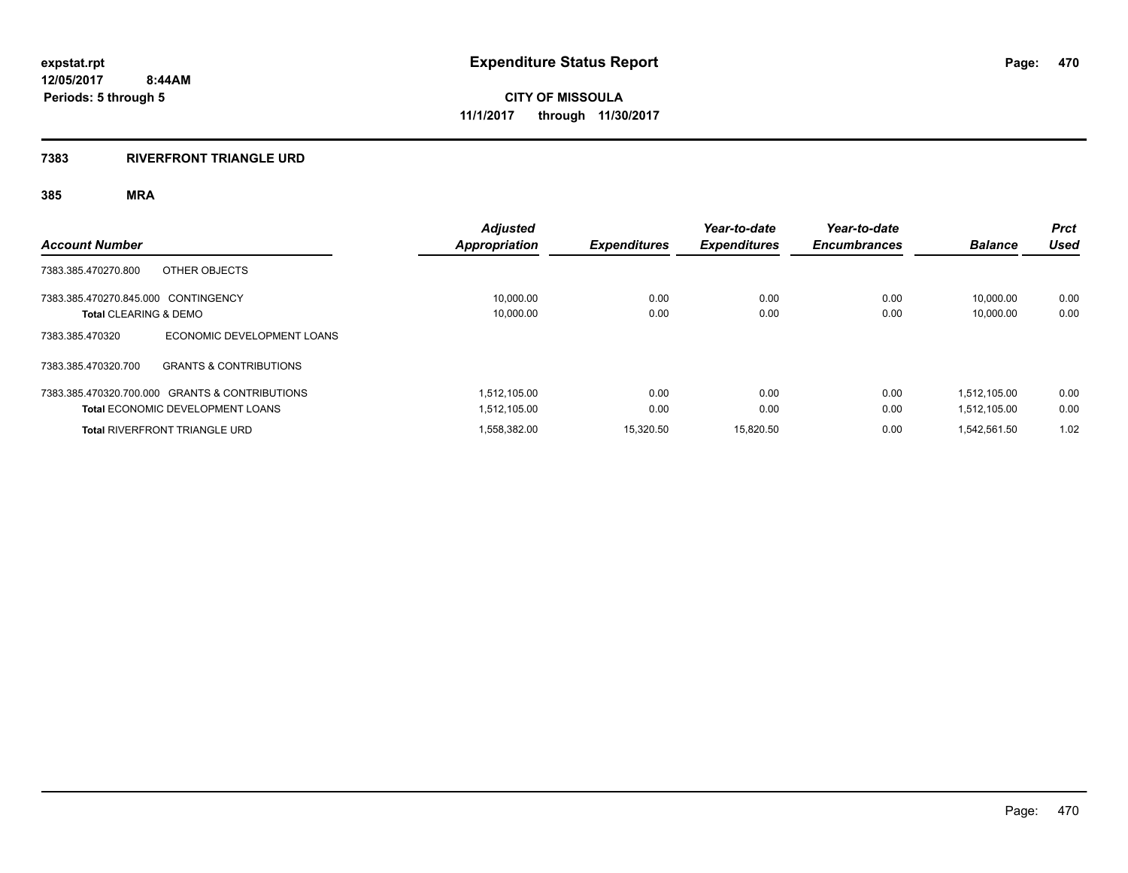#### **7383 RIVERFRONT TRIANGLE URD**

|                                     |                                                | <b>Adjusted</b> |                     | Year-to-date        | Year-to-date        |                | <b>Prct</b> |
|-------------------------------------|------------------------------------------------|-----------------|---------------------|---------------------|---------------------|----------------|-------------|
| <b>Account Number</b>               |                                                | Appropriation   | <b>Expenditures</b> | <b>Expenditures</b> | <b>Encumbrances</b> | <b>Balance</b> | Used        |
| 7383.385.470270.800                 | OTHER OBJECTS                                  |                 |                     |                     |                     |                |             |
| 7383.385.470270.845.000 CONTINGENCY |                                                | 10.000.00       | 0.00                | 0.00                | 0.00                | 10.000.00      | 0.00        |
| Total CLEARING & DEMO               |                                                | 10,000.00       | 0.00                | 0.00                | 0.00                | 10.000.00      | 0.00        |
| 7383.385.470320                     | ECONOMIC DEVELOPMENT LOANS                     |                 |                     |                     |                     |                |             |
| 7383.385.470320.700                 | <b>GRANTS &amp; CONTRIBUTIONS</b>              |                 |                     |                     |                     |                |             |
|                                     | 7383.385.470320.700.000 GRANTS & CONTRIBUTIONS | 1,512,105.00    | 0.00                | 0.00                | 0.00                | 1.512.105.00   | 0.00        |
|                                     | <b>Total ECONOMIC DEVELOPMENT LOANS</b>        | 1.512.105.00    | 0.00                | 0.00                | 0.00                | 1.512.105.00   | 0.00        |
|                                     | <b>Total RIVERFRONT TRIANGLE URD</b>           | 1.558.382.00    | 15.320.50           | 15.820.50           | 0.00                | 1.542.561.50   | 1.02        |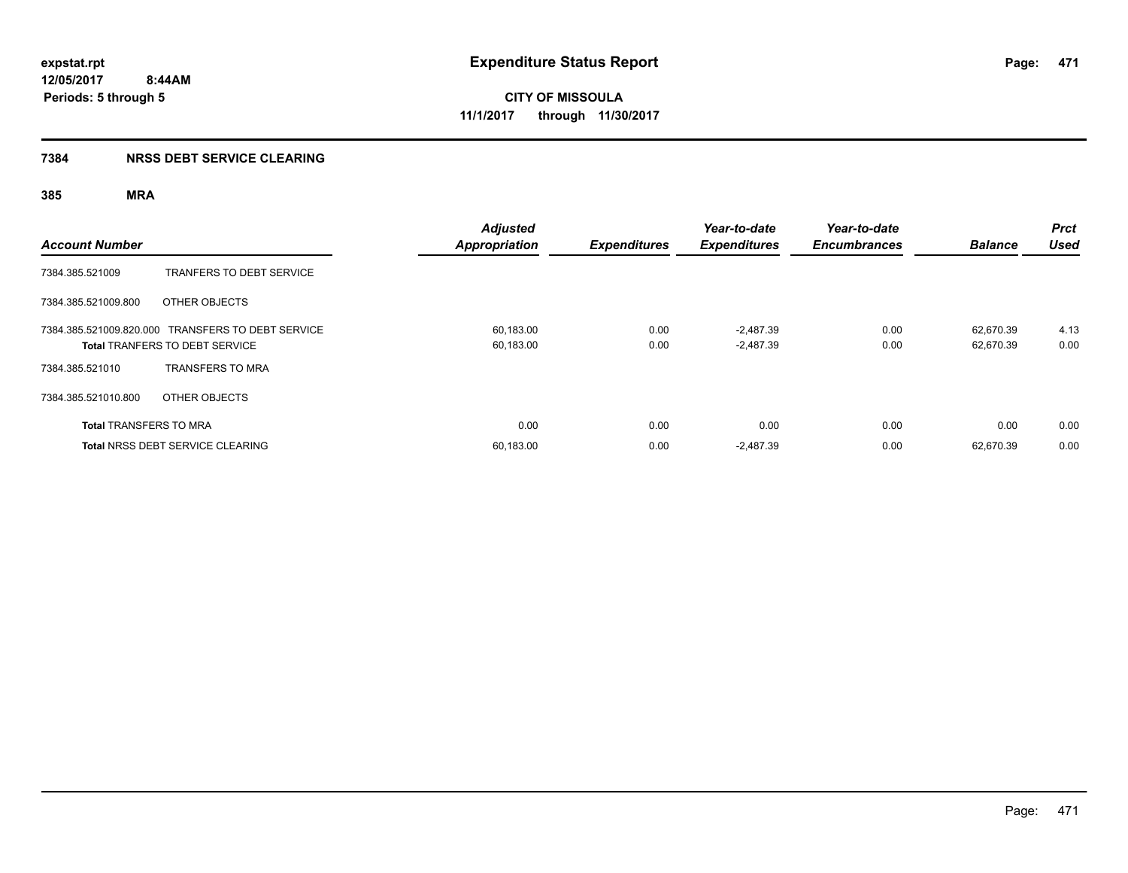# **7384 NRSS DEBT SERVICE CLEARING**

| <b>Account Number</b>         |                                                                                            | <b>Adjusted</b><br><b>Appropriation</b> | <b>Expenditures</b> | Year-to-date<br><b>Expenditures</b> | Year-to-date<br><b>Encumbrances</b> | <b>Balance</b>         | Prct<br><b>Used</b> |
|-------------------------------|--------------------------------------------------------------------------------------------|-----------------------------------------|---------------------|-------------------------------------|-------------------------------------|------------------------|---------------------|
| 7384.385.521009               | TRANFERS TO DEBT SERVICE                                                                   |                                         |                     |                                     |                                     |                        |                     |
| 7384.385.521009.800           | OTHER OBJECTS                                                                              |                                         |                     |                                     |                                     |                        |                     |
|                               | 7384.385.521009.820.000 TRANSFERS TO DEBT SERVICE<br><b>Total TRANFERS TO DEBT SERVICE</b> | 60,183.00<br>60,183.00                  | 0.00<br>0.00        | $-2,487.39$<br>$-2,487.39$          | 0.00<br>0.00                        | 62,670.39<br>62.670.39 | 4.13<br>0.00        |
| 7384.385.521010               | <b>TRANSFERS TO MRA</b>                                                                    |                                         |                     |                                     |                                     |                        |                     |
| 7384.385.521010.800           | OTHER OBJECTS                                                                              |                                         |                     |                                     |                                     |                        |                     |
| <b>Total TRANSFERS TO MRA</b> |                                                                                            | 0.00                                    | 0.00                | 0.00                                | 0.00                                | 0.00                   | 0.00                |
|                               | <b>Total NRSS DEBT SERVICE CLEARING</b>                                                    | 60,183.00                               | 0.00                | $-2,487.39$                         | 0.00                                | 62.670.39              | 0.00                |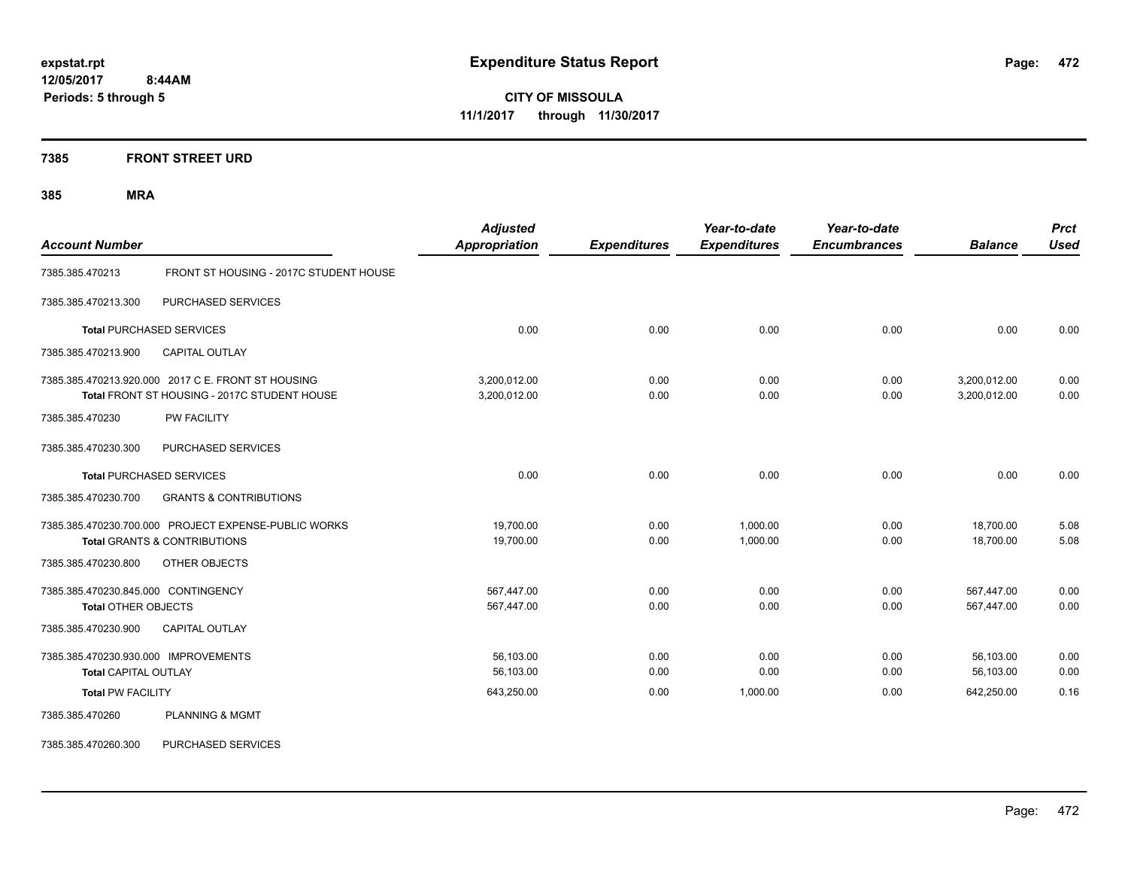**7385 FRONT STREET URD**

| <b>Account Number</b>                                               |                                                                                                    | <b>Adjusted</b><br><b>Appropriation</b> | <b>Expenditures</b> | Year-to-date<br><b>Expenditures</b> | Year-to-date<br><b>Encumbrances</b> | <b>Balance</b>               | <b>Prct</b><br><b>Used</b> |
|---------------------------------------------------------------------|----------------------------------------------------------------------------------------------------|-----------------------------------------|---------------------|-------------------------------------|-------------------------------------|------------------------------|----------------------------|
| 7385.385.470213                                                     | FRONT ST HOUSING - 2017C STUDENT HOUSE                                                             |                                         |                     |                                     |                                     |                              |                            |
| 7385.385.470213.300                                                 | PURCHASED SERVICES                                                                                 |                                         |                     |                                     |                                     |                              |                            |
|                                                                     | <b>Total PURCHASED SERVICES</b>                                                                    | 0.00                                    | 0.00                | 0.00                                | 0.00                                | 0.00                         | 0.00                       |
| 7385.385.470213.900                                                 | <b>CAPITAL OUTLAY</b>                                                                              |                                         |                     |                                     |                                     |                              |                            |
|                                                                     | 7385.385.470213.920.000 2017 C E. FRONT ST HOUSING<br>Total FRONT ST HOUSING - 2017C STUDENT HOUSE | 3,200,012.00<br>3,200,012.00            | 0.00<br>0.00        | 0.00<br>0.00                        | 0.00<br>0.00                        | 3,200,012.00<br>3,200,012.00 | 0.00<br>0.00               |
| 7385.385.470230                                                     | <b>PW FACILITY</b>                                                                                 |                                         |                     |                                     |                                     |                              |                            |
| 7385.385.470230.300                                                 | PURCHASED SERVICES                                                                                 |                                         |                     |                                     |                                     |                              |                            |
|                                                                     | <b>Total PURCHASED SERVICES</b>                                                                    | 0.00                                    | 0.00                | 0.00                                | 0.00                                | 0.00                         | 0.00                       |
| 7385.385.470230.700                                                 | <b>GRANTS &amp; CONTRIBUTIONS</b>                                                                  |                                         |                     |                                     |                                     |                              |                            |
|                                                                     | 7385.385.470230.700.000 PROJECT EXPENSE-PUBLIC WORKS<br><b>Total GRANTS &amp; CONTRIBUTIONS</b>    | 19,700.00<br>19,700.00                  | 0.00<br>0.00        | 1,000.00<br>1,000.00                | 0.00<br>0.00                        | 18,700.00<br>18,700.00       | 5.08<br>5.08               |
| 7385.385.470230.800                                                 | OTHER OBJECTS                                                                                      |                                         |                     |                                     |                                     |                              |                            |
| 7385.385.470230.845.000 CONTINGENCY<br>Total OTHER OBJECTS          |                                                                                                    | 567,447.00<br>567,447.00                | 0.00<br>0.00        | 0.00<br>0.00                        | 0.00<br>0.00                        | 567,447.00<br>567,447.00     | 0.00<br>0.00               |
| 7385.385.470230.900                                                 | <b>CAPITAL OUTLAY</b>                                                                              |                                         |                     |                                     |                                     |                              |                            |
| 7385.385.470230.930.000 IMPROVEMENTS<br><b>Total CAPITAL OUTLAY</b> |                                                                                                    | 56,103.00<br>56,103.00                  | 0.00<br>0.00        | 0.00<br>0.00                        | 0.00<br>0.00                        | 56,103.00<br>56,103.00       | 0.00<br>0.00               |
| <b>Total PW FACILITY</b>                                            |                                                                                                    | 643,250.00                              | 0.00                | 1,000.00                            | 0.00                                | 642,250.00                   | 0.16                       |
| 7385.385.470260                                                     | PLANNING & MGMT                                                                                    |                                         |                     |                                     |                                     |                              |                            |
| 7385.385.470260.300                                                 | PURCHASED SERVICES                                                                                 |                                         |                     |                                     |                                     |                              |                            |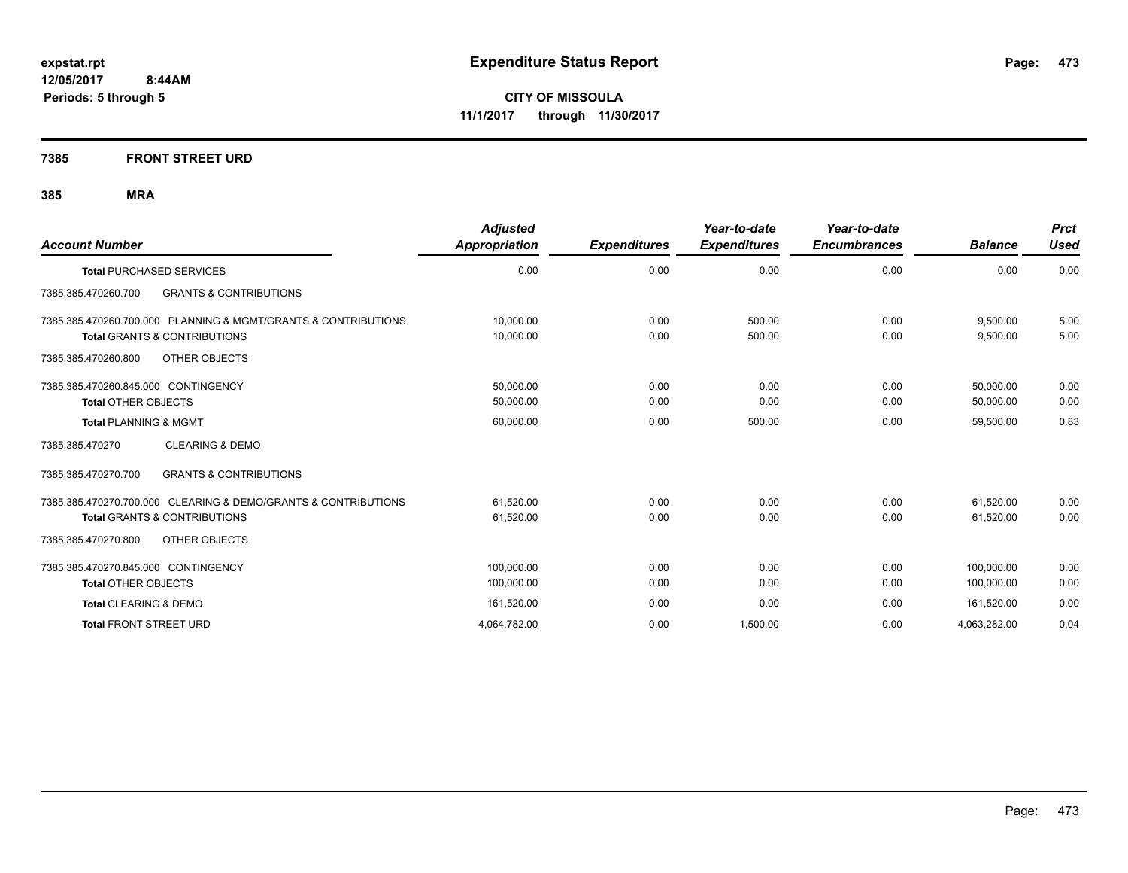## **7385 FRONT STREET URD**

| <b>Account Number</b>                                          | <b>Adjusted</b><br>Appropriation | <b>Expenditures</b> | Year-to-date<br><b>Expenditures</b> | Year-to-date<br><b>Encumbrances</b> | <b>Balance</b> | <b>Prct</b><br><b>Used</b> |
|----------------------------------------------------------------|----------------------------------|---------------------|-------------------------------------|-------------------------------------|----------------|----------------------------|
| <b>Total PURCHASED SERVICES</b>                                | 0.00                             | 0.00                | 0.00                                | 0.00                                | 0.00           | 0.00                       |
| <b>GRANTS &amp; CONTRIBUTIONS</b><br>7385.385.470260.700       |                                  |                     |                                     |                                     |                |                            |
| 7385.385.470260.700.000 PLANNING & MGMT/GRANTS & CONTRIBUTIONS | 10,000.00                        | 0.00                | 500.00                              | 0.00                                | 9,500.00       | 5.00                       |
| <b>Total GRANTS &amp; CONTRIBUTIONS</b>                        | 10,000.00                        | 0.00                | 500.00                              | 0.00                                | 9,500.00       | 5.00                       |
| OTHER OBJECTS<br>7385.385.470260.800                           |                                  |                     |                                     |                                     |                |                            |
| 7385.385.470260.845.000 CONTINGENCY                            | 50,000.00                        | 0.00                | 0.00                                | 0.00                                | 50.000.00      | 0.00                       |
| <b>Total OTHER OBJECTS</b>                                     | 50,000.00                        | 0.00                | 0.00                                | 0.00                                | 50,000.00      | 0.00                       |
| <b>Total PLANNING &amp; MGMT</b>                               | 60,000.00                        | 0.00                | 500.00                              | 0.00                                | 59,500.00      | 0.83                       |
| <b>CLEARING &amp; DEMO</b><br>7385.385.470270                  |                                  |                     |                                     |                                     |                |                            |
| <b>GRANTS &amp; CONTRIBUTIONS</b><br>7385.385.470270.700       |                                  |                     |                                     |                                     |                |                            |
| 7385.385.470270.700.000 CLEARING & DEMO/GRANTS & CONTRIBUTIONS | 61.520.00                        | 0.00                | 0.00                                | 0.00                                | 61.520.00      | 0.00                       |
| <b>Total GRANTS &amp; CONTRIBUTIONS</b>                        | 61,520.00                        | 0.00                | 0.00                                | 0.00                                | 61.520.00      | 0.00                       |
| 7385.385.470270.800<br>OTHER OBJECTS                           |                                  |                     |                                     |                                     |                |                            |
| 7385.385.470270.845.000 CONTINGENCY                            | 100.000.00                       | 0.00                | 0.00                                | 0.00                                | 100.000.00     | 0.00                       |
| <b>Total OTHER OBJECTS</b>                                     | 100,000.00                       | 0.00                | 0.00                                | 0.00                                | 100.000.00     | 0.00                       |
| Total CLEARING & DEMO                                          | 161,520.00                       | 0.00                | 0.00                                | 0.00                                | 161,520.00     | 0.00                       |
| <b>Total FRONT STREET URD</b>                                  | 4.064.782.00                     | 0.00                | 1.500.00                            | 0.00                                | 4,063,282.00   | 0.04                       |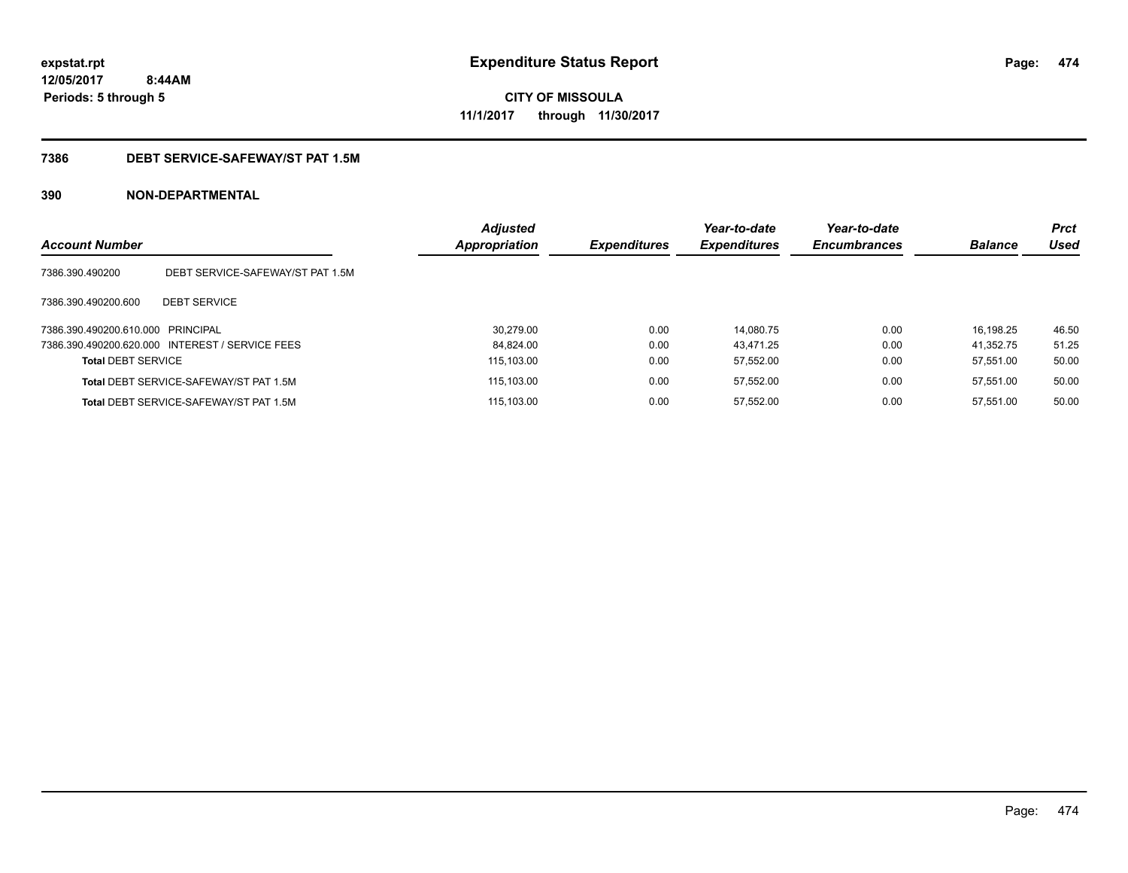# **7386 DEBT SERVICE-SAFEWAY/ST PAT 1.5M**

| <b>Account Number</b>             |                                                 | <b>Adjusted</b><br><b>Appropriation</b> | <b>Expenditures</b> | Year-to-date<br><b>Expenditures</b> | Year-to-date<br><b>Encumbrances</b> | <b>Balance</b> | <b>Prct</b><br>Used |
|-----------------------------------|-------------------------------------------------|-----------------------------------------|---------------------|-------------------------------------|-------------------------------------|----------------|---------------------|
| 7386.390.490200                   | DEBT SERVICE-SAFEWAY/ST PAT 1.5M                |                                         |                     |                                     |                                     |                |                     |
| 7386.390.490200.600               | <b>DEBT SERVICE</b>                             |                                         |                     |                                     |                                     |                |                     |
| 7386.390.490200.610.000 PRINCIPAL |                                                 | 30.279.00                               | 0.00                | 14.080.75                           | 0.00                                | 16.198.25      | 46.50               |
|                                   | 7386.390.490200.620.000 INTEREST / SERVICE FEES | 84.824.00                               | 0.00                | 43.471.25                           | 0.00                                | 41.352.75      | 51.25               |
| <b>Total DEBT SERVICE</b>         |                                                 | 115.103.00                              | 0.00                | 57.552.00                           | 0.00                                | 57.551.00      | 50.00               |
|                                   | <b>Total DEBT SERVICE-SAFEWAY/ST PAT 1.5M</b>   | 115.103.00                              | 0.00                | 57.552.00                           | 0.00                                | 57.551.00      | 50.00               |
|                                   | Total DEBT SERVICE-SAFEWAY/ST PAT 1.5M          | 115.103.00                              | 0.00                | 57.552.00                           | 0.00                                | 57.551.00      | 50.00               |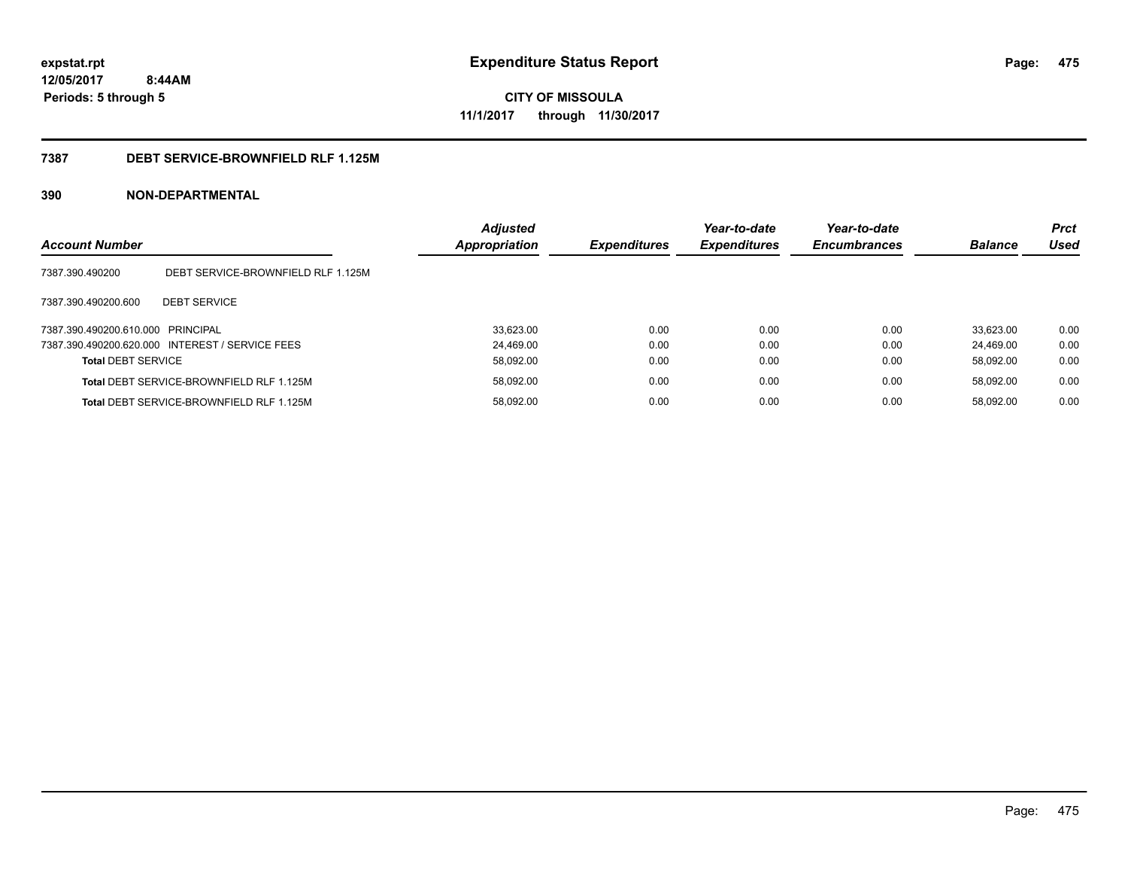**CITY OF MISSOULA 11/1/2017 through 11/30/2017**

## **7387 DEBT SERVICE-BROWNFIELD RLF 1.125M**

| <b>Account Number</b>             |                                                 | <b>Adjusted</b><br><b>Appropriation</b> | <b>Expenditures</b> | Year-to-date<br><b>Expenditures</b> | Year-to-date<br><b>Encumbrances</b> | <b>Balance</b> | <b>Prct</b><br>Used |
|-----------------------------------|-------------------------------------------------|-----------------------------------------|---------------------|-------------------------------------|-------------------------------------|----------------|---------------------|
| 7387.390.490200                   | DEBT SERVICE-BROWNFIELD RLF 1.125M              |                                         |                     |                                     |                                     |                |                     |
| 7387.390.490200.600               | <b>DEBT SERVICE</b>                             |                                         |                     |                                     |                                     |                |                     |
| 7387.390.490200.610.000 PRINCIPAL |                                                 | 33,623.00                               | 0.00                | 0.00                                | 0.00                                | 33.623.00      | 0.00                |
|                                   | 7387.390.490200.620.000 INTEREST / SERVICE FEES | 24.469.00                               | 0.00                | 0.00                                | 0.00                                | 24.469.00      | 0.00                |
| <b>Total DEBT SERVICE</b>         |                                                 | 58,092.00                               | 0.00                | 0.00                                | 0.00                                | 58.092.00      | 0.00                |
|                                   | Total DEBT SERVICE-BROWNFIELD RLF 1.125M        | 58,092.00                               | 0.00                | 0.00                                | 0.00                                | 58.092.00      | 0.00                |
|                                   | Total DEBT SERVICE-BROWNFIELD RLF 1.125M        | 58.092.00                               | 0.00                | 0.00                                | 0.00                                | 58.092.00      | 0.00                |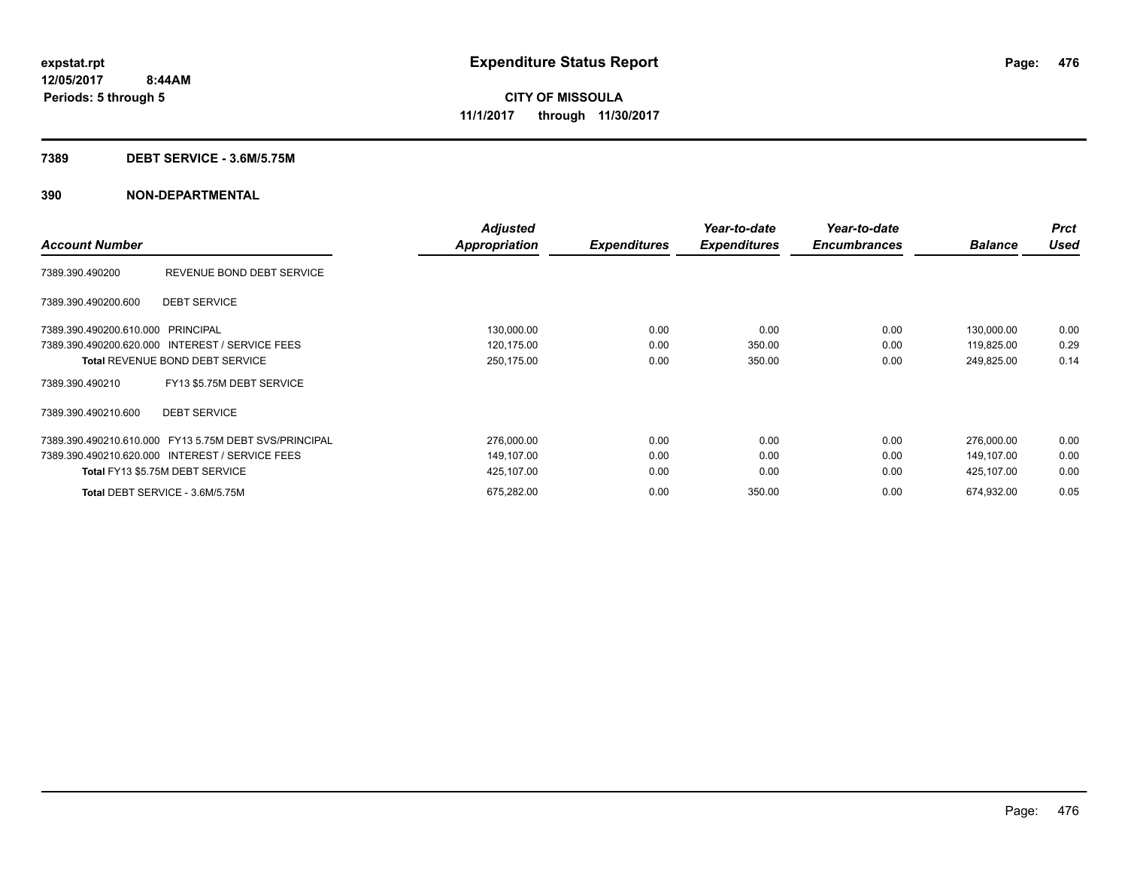#### **7389 DEBT SERVICE - 3.6M/5.75M**

|                                   |                                                       | <b>Adjusted</b>      |                     | Year-to-date        | Year-to-date        |                | <b>Prct</b> |
|-----------------------------------|-------------------------------------------------------|----------------------|---------------------|---------------------|---------------------|----------------|-------------|
| <b>Account Number</b>             |                                                       | <b>Appropriation</b> | <b>Expenditures</b> | <b>Expenditures</b> | <b>Encumbrances</b> | <b>Balance</b> | <b>Used</b> |
| 7389.390.490200                   | REVENUE BOND DEBT SERVICE                             |                      |                     |                     |                     |                |             |
| 7389.390.490200.600               | <b>DEBT SERVICE</b>                                   |                      |                     |                     |                     |                |             |
| 7389.390.490200.610.000 PRINCIPAL |                                                       | 130,000.00           | 0.00                | 0.00                | 0.00                | 130,000.00     | 0.00        |
|                                   | 7389.390.490200.620.000 INTEREST / SERVICE FEES       | 120,175.00           | 0.00                | 350.00              | 0.00                | 119,825.00     | 0.29        |
|                                   | <b>Total REVENUE BOND DEBT SERVICE</b>                | 250,175.00           | 0.00                | 350.00              | 0.00                | 249,825.00     | 0.14        |
| 7389.390.490210                   | FY13 \$5.75M DEBT SERVICE                             |                      |                     |                     |                     |                |             |
| 7389.390.490210.600               | <b>DEBT SERVICE</b>                                   |                      |                     |                     |                     |                |             |
|                                   | 7389.390.490210.610.000 FY13 5.75M DEBT SVS/PRINCIPAL | 276,000.00           | 0.00                | 0.00                | 0.00                | 276,000.00     | 0.00        |
|                                   | 7389.390.490210.620.000 INTEREST / SERVICE FEES       | 149,107.00           | 0.00                | 0.00                | 0.00                | 149,107.00     | 0.00        |
|                                   | Total FY13 \$5.75M DEBT SERVICE                       | 425,107.00           | 0.00                | 0.00                | 0.00                | 425,107.00     | 0.00        |
|                                   | Total DEBT SERVICE - 3.6M/5.75M                       | 675,282.00           | 0.00                | 350.00              | 0.00                | 674,932.00     | 0.05        |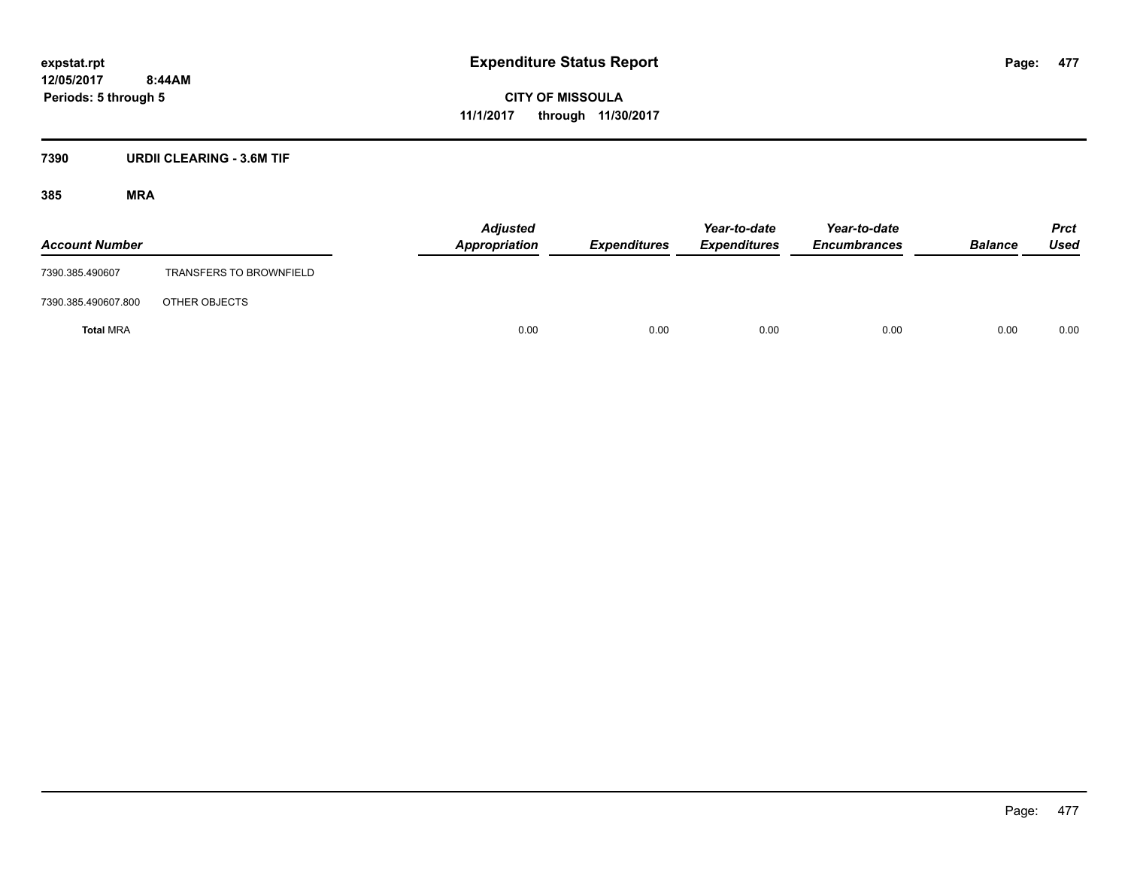**CITY OF MISSOULA 11/1/2017 through 11/30/2017**

## **7390 URDII CLEARING - 3.6M TIF**

| <b>Account Number</b> |                                | <b>Adjusted</b><br>Appropriation | <b>Expenditures</b> | Year-to-date<br><b>Expenditures</b> | Year-to-date<br><b>Encumbrances</b> | <b>Balance</b> | <b>Prct</b><br>Used |
|-----------------------|--------------------------------|----------------------------------|---------------------|-------------------------------------|-------------------------------------|----------------|---------------------|
| 7390.385.490607       | <b>TRANSFERS TO BROWNFIELD</b> |                                  |                     |                                     |                                     |                |                     |
| 7390.385.490607.800   | OTHER OBJECTS                  |                                  |                     |                                     |                                     |                |                     |
| <b>Total MRA</b>      |                                | 0.00                             | 0.00                | 0.00                                | 0.00                                | 0.00           | 0.00                |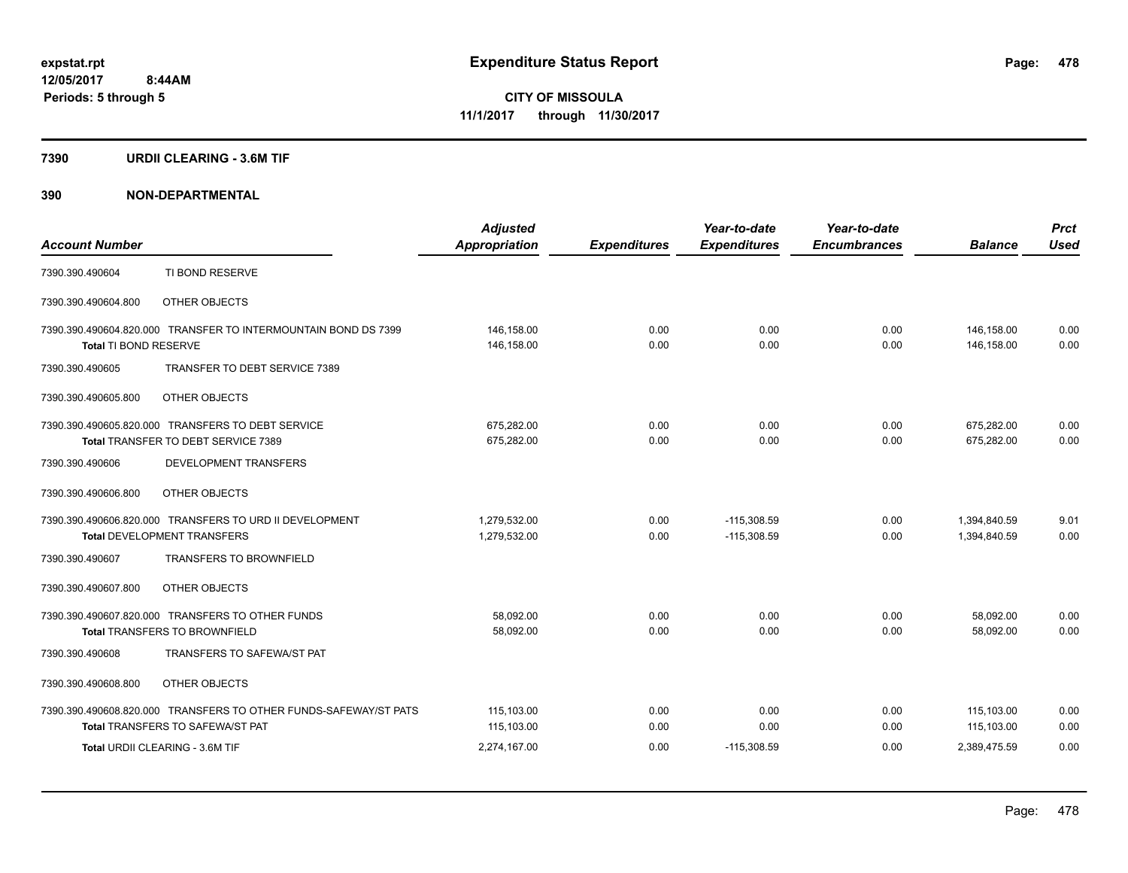#### **7390 URDII CLEARING - 3.6M TIF**

|                       |                                                                  | <b>Adjusted</b>      |                     | Year-to-date        | Year-to-date        |                | <b>Prct</b> |
|-----------------------|------------------------------------------------------------------|----------------------|---------------------|---------------------|---------------------|----------------|-------------|
| <b>Account Number</b> |                                                                  | <b>Appropriation</b> | <b>Expenditures</b> | <b>Expenditures</b> | <b>Encumbrances</b> | <b>Balance</b> | <b>Used</b> |
| 7390.390.490604       | TI BOND RESERVE                                                  |                      |                     |                     |                     |                |             |
| 7390.390.490604.800   | OTHER OBJECTS                                                    |                      |                     |                     |                     |                |             |
|                       | 7390.390.490604.820.000 TRANSFER TO INTERMOUNTAIN BOND DS 7399   | 146,158.00           | 0.00                | 0.00                | 0.00                | 146,158.00     | 0.00        |
| Total TI BOND RESERVE |                                                                  | 146,158.00           | 0.00                | 0.00                | 0.00                | 146,158.00     | 0.00        |
| 7390.390.490605       | TRANSFER TO DEBT SERVICE 7389                                    |                      |                     |                     |                     |                |             |
| 7390.390.490605.800   | OTHER OBJECTS                                                    |                      |                     |                     |                     |                |             |
|                       | 7390.390.490605.820.000 TRANSFERS TO DEBT SERVICE                | 675,282.00           | 0.00                | 0.00                | 0.00                | 675,282.00     | 0.00        |
|                       | Total TRANSFER TO DEBT SERVICE 7389                              | 675.282.00           | 0.00                | 0.00                | 0.00                | 675,282.00     | 0.00        |
| 7390.390.490606       | DEVELOPMENT TRANSFERS                                            |                      |                     |                     |                     |                |             |
| 7390.390.490606.800   | OTHER OBJECTS                                                    |                      |                     |                     |                     |                |             |
|                       | 7390.390.490606.820.000 TRANSFERS TO URD II DEVELOPMENT          | 1,279,532.00         | 0.00                | $-115,308.59$       | 0.00                | 1,394,840.59   | 9.01        |
|                       | <b>Total DEVELOPMENT TRANSFERS</b>                               | 1,279,532.00         | 0.00                | $-115,308.59$       | 0.00                | 1,394,840.59   | 0.00        |
| 7390.390.490607       | <b>TRANSFERS TO BROWNFIELD</b>                                   |                      |                     |                     |                     |                |             |
| 7390.390.490607.800   | OTHER OBJECTS                                                    |                      |                     |                     |                     |                |             |
|                       | 7390.390.490607.820.000 TRANSFERS TO OTHER FUNDS                 | 58,092.00            | 0.00                | 0.00                | 0.00                | 58,092.00      | 0.00        |
|                       | <b>Total TRANSFERS TO BROWNFIELD</b>                             | 58,092.00            | 0.00                | 0.00                | 0.00                | 58.092.00      | 0.00        |
| 7390.390.490608       | TRANSFERS TO SAFEWA/ST PAT                                       |                      |                     |                     |                     |                |             |
| 7390.390.490608.800   | OTHER OBJECTS                                                    |                      |                     |                     |                     |                |             |
|                       | 7390.390.490608.820.000 TRANSFERS TO OTHER FUNDS-SAFEWAY/ST PATS | 115,103.00           | 0.00                | 0.00                | 0.00                | 115,103.00     | 0.00        |
|                       | <b>Total TRANSFERS TO SAFEWA/ST PAT</b>                          | 115,103.00           | 0.00                | 0.00                | 0.00                | 115.103.00     | 0.00        |
|                       | Total URDII CLEARING - 3.6M TIF                                  | 2,274,167.00         | 0.00                | $-115,308.59$       | 0.00                | 2,389,475.59   | 0.00        |
|                       |                                                                  |                      |                     |                     |                     |                |             |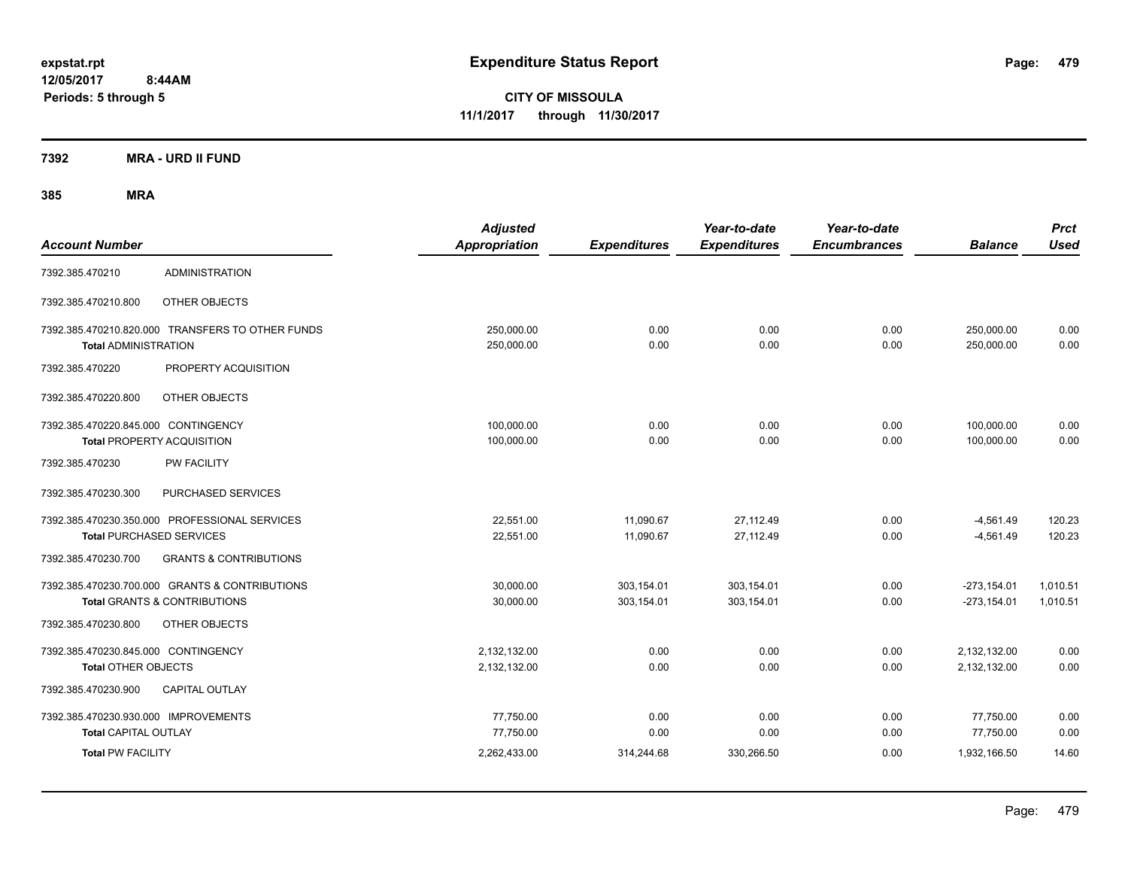**CITY OF MISSOULA 11/1/2017 through 11/30/2017**

**7392 MRA - URD II FUND**

| <b>Account Number</b>                                               |                                                                                | <b>Adjusted</b><br>Appropriation | <b>Expenditures</b>      | Year-to-date<br><b>Expenditures</b> | Year-to-date<br><b>Encumbrances</b> | <b>Balance</b>                 | <b>Prct</b><br><b>Used</b> |
|---------------------------------------------------------------------|--------------------------------------------------------------------------------|----------------------------------|--------------------------|-------------------------------------|-------------------------------------|--------------------------------|----------------------------|
| 7392.385.470210                                                     | <b>ADMINISTRATION</b>                                                          |                                  |                          |                                     |                                     |                                |                            |
| 7392.385.470210.800                                                 | OTHER OBJECTS                                                                  |                                  |                          |                                     |                                     |                                |                            |
| <b>Total ADMINISTRATION</b>                                         | 7392.385.470210.820.000 TRANSFERS TO OTHER FUNDS                               | 250,000.00<br>250,000.00         | 0.00<br>0.00             | 0.00<br>0.00                        | 0.00<br>0.00                        | 250,000.00<br>250,000.00       | 0.00<br>0.00               |
| 7392.385.470220                                                     | PROPERTY ACQUISITION                                                           |                                  |                          |                                     |                                     |                                |                            |
| 7392.385.470220.800                                                 | OTHER OBJECTS                                                                  |                                  |                          |                                     |                                     |                                |                            |
| 7392.385.470220.845.000 CONTINGENCY                                 | <b>Total PROPERTY ACQUISITION</b>                                              | 100,000.00<br>100,000.00         | 0.00<br>0.00             | 0.00<br>0.00                        | 0.00<br>0.00                        | 100,000.00<br>100,000.00       | 0.00<br>0.00               |
| 7392.385.470230                                                     | PW FACILITY                                                                    |                                  |                          |                                     |                                     |                                |                            |
| 7392.385.470230.300                                                 | PURCHASED SERVICES                                                             |                                  |                          |                                     |                                     |                                |                            |
| <b>Total PURCHASED SERVICES</b>                                     | 7392.385.470230.350.000 PROFESSIONAL SERVICES                                  | 22,551.00<br>22,551.00           | 11,090.67<br>11,090.67   | 27,112.49<br>27,112.49              | 0.00<br>0.00                        | $-4,561.49$<br>$-4,561.49$     | 120.23<br>120.23           |
| 7392.385.470230.700                                                 | <b>GRANTS &amp; CONTRIBUTIONS</b>                                              |                                  |                          |                                     |                                     |                                |                            |
|                                                                     | 7392.385.470230.700.000 GRANTS & CONTRIBUTIONS<br>Total GRANTS & CONTRIBUTIONS | 30,000.00<br>30,000.00           | 303,154.01<br>303,154.01 | 303,154.01<br>303,154.01            | 0.00<br>0.00                        | $-273,154.01$<br>$-273,154.01$ | 1,010.51<br>1,010.51       |
| 7392.385.470230.800                                                 | OTHER OBJECTS                                                                  |                                  |                          |                                     |                                     |                                |                            |
| 7392.385.470230.845.000 CONTINGENCY<br><b>Total OTHER OBJECTS</b>   |                                                                                | 2,132,132.00<br>2,132,132.00     | 0.00<br>0.00             | 0.00<br>0.00                        | 0.00<br>0.00                        | 2,132,132.00<br>2,132,132.00   | 0.00<br>0.00               |
| 7392.385.470230.900                                                 | CAPITAL OUTLAY                                                                 |                                  |                          |                                     |                                     |                                |                            |
| 7392.385.470230.930.000 IMPROVEMENTS<br><b>Total CAPITAL OUTLAY</b> |                                                                                | 77,750.00<br>77,750.00           | 0.00<br>0.00             | 0.00<br>0.00                        | 0.00<br>0.00                        | 77,750.00<br>77,750.00         | 0.00<br>0.00               |
| <b>Total PW FACILITY</b>                                            |                                                                                | 2,262,433.00                     | 314,244.68               | 330,266.50                          | 0.00                                | 1,932,166.50                   | 14.60                      |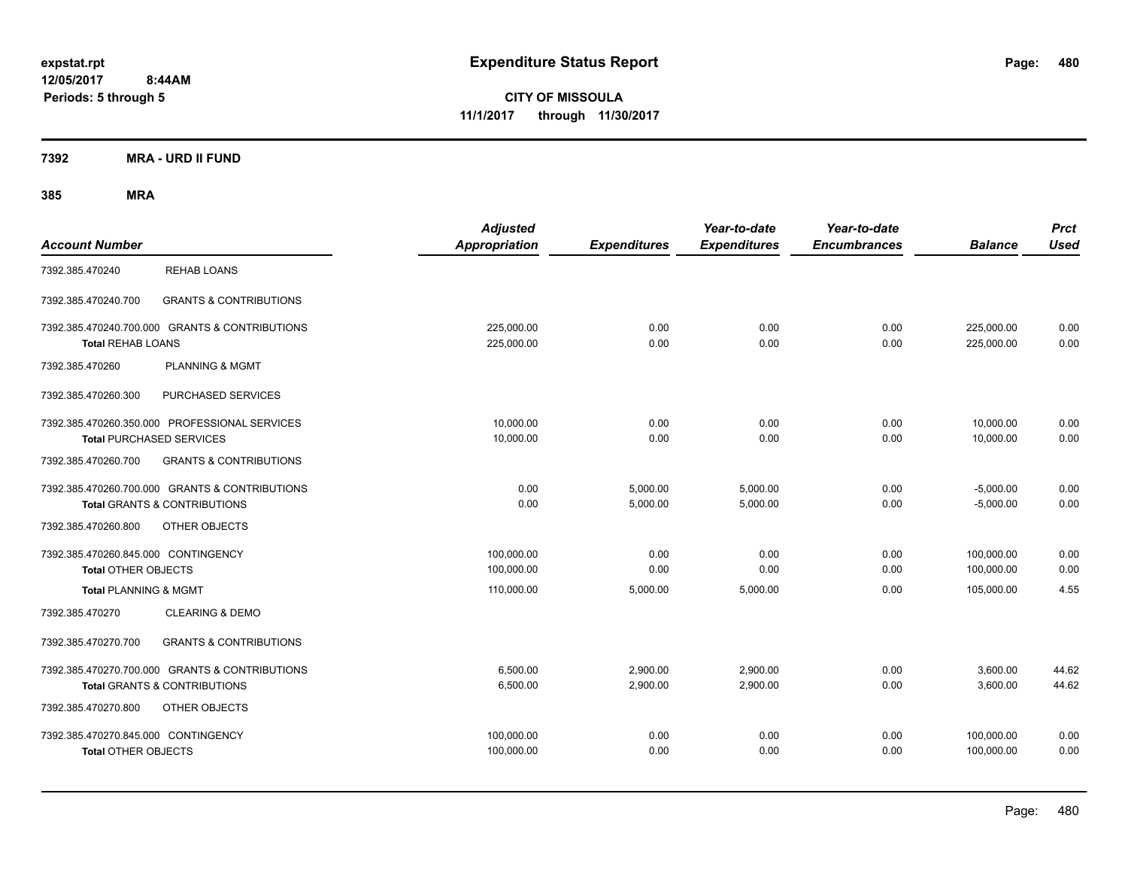**CITY OF MISSOULA 11/1/2017 through 11/30/2017**

**7392 MRA - URD II FUND**

| <b>Account Number</b>                                             |                                                                                           | <b>Adjusted</b><br>Appropriation | <b>Expenditures</b>  | Year-to-date<br><b>Expenditures</b> | Year-to-date<br><b>Encumbrances</b> | <b>Balance</b>             | <b>Prct</b><br><b>Used</b> |
|-------------------------------------------------------------------|-------------------------------------------------------------------------------------------|----------------------------------|----------------------|-------------------------------------|-------------------------------------|----------------------------|----------------------------|
| 7392.385.470240                                                   | <b>REHAB LOANS</b>                                                                        |                                  |                      |                                     |                                     |                            |                            |
| 7392.385.470240.700                                               | <b>GRANTS &amp; CONTRIBUTIONS</b>                                                         |                                  |                      |                                     |                                     |                            |                            |
| <b>Total REHAB LOANS</b>                                          | 7392.385.470240.700.000 GRANTS & CONTRIBUTIONS                                            | 225,000.00<br>225,000.00         | 0.00<br>0.00         | 0.00<br>0.00                        | 0.00<br>0.00                        | 225,000.00<br>225,000.00   | 0.00<br>0.00               |
| 7392.385.470260                                                   | <b>PLANNING &amp; MGMT</b>                                                                |                                  |                      |                                     |                                     |                            |                            |
| 7392.385.470260.300                                               | PURCHASED SERVICES                                                                        |                                  |                      |                                     |                                     |                            |                            |
|                                                                   | 7392.385.470260.350.000 PROFESSIONAL SERVICES<br><b>Total PURCHASED SERVICES</b>          | 10,000.00<br>10,000.00           | 0.00<br>0.00         | 0.00<br>0.00                        | 0.00<br>0.00                        | 10,000.00<br>10.000.00     | 0.00<br>0.00               |
| 7392.385.470260.700                                               | <b>GRANTS &amp; CONTRIBUTIONS</b>                                                         |                                  |                      |                                     |                                     |                            |                            |
|                                                                   | 7392.385.470260.700.000 GRANTS & CONTRIBUTIONS<br><b>Total GRANTS &amp; CONTRIBUTIONS</b> | 0.00<br>0.00                     | 5,000.00<br>5,000.00 | 5,000.00<br>5,000.00                | 0.00<br>0.00                        | $-5,000.00$<br>$-5,000.00$ | 0.00<br>0.00               |
| 7392.385.470260.800                                               | OTHER OBJECTS                                                                             |                                  |                      |                                     |                                     |                            |                            |
| 7392.385.470260.845.000 CONTINGENCY<br><b>Total OTHER OBJECTS</b> |                                                                                           | 100.000.00<br>100,000.00         | 0.00<br>0.00         | 0.00<br>0.00                        | 0.00<br>0.00                        | 100.000.00<br>100,000.00   | 0.00<br>0.00               |
| <b>Total PLANNING &amp; MGMT</b>                                  |                                                                                           | 110,000.00                       | 5,000.00             | 5,000.00                            | 0.00                                | 105,000.00                 | 4.55                       |
| 7392.385.470270                                                   | <b>CLEARING &amp; DEMO</b>                                                                |                                  |                      |                                     |                                     |                            |                            |
| 7392.385.470270.700                                               | <b>GRANTS &amp; CONTRIBUTIONS</b>                                                         |                                  |                      |                                     |                                     |                            |                            |
|                                                                   | 7392.385.470270.700.000 GRANTS & CONTRIBUTIONS<br><b>Total GRANTS &amp; CONTRIBUTIONS</b> | 6,500.00<br>6,500.00             | 2,900.00<br>2,900.00 | 2,900.00<br>2,900.00                | 0.00<br>0.00                        | 3,600.00<br>3,600.00       | 44.62<br>44.62             |
| 7392.385.470270.800                                               | OTHER OBJECTS                                                                             |                                  |                      |                                     |                                     |                            |                            |
| 7392.385.470270.845.000 CONTINGENCY<br><b>Total OTHER OBJECTS</b> |                                                                                           | 100,000.00<br>100,000.00         | 0.00<br>0.00         | 0.00<br>0.00                        | 0.00<br>0.00                        | 100,000.00<br>100,000.00   | 0.00<br>0.00               |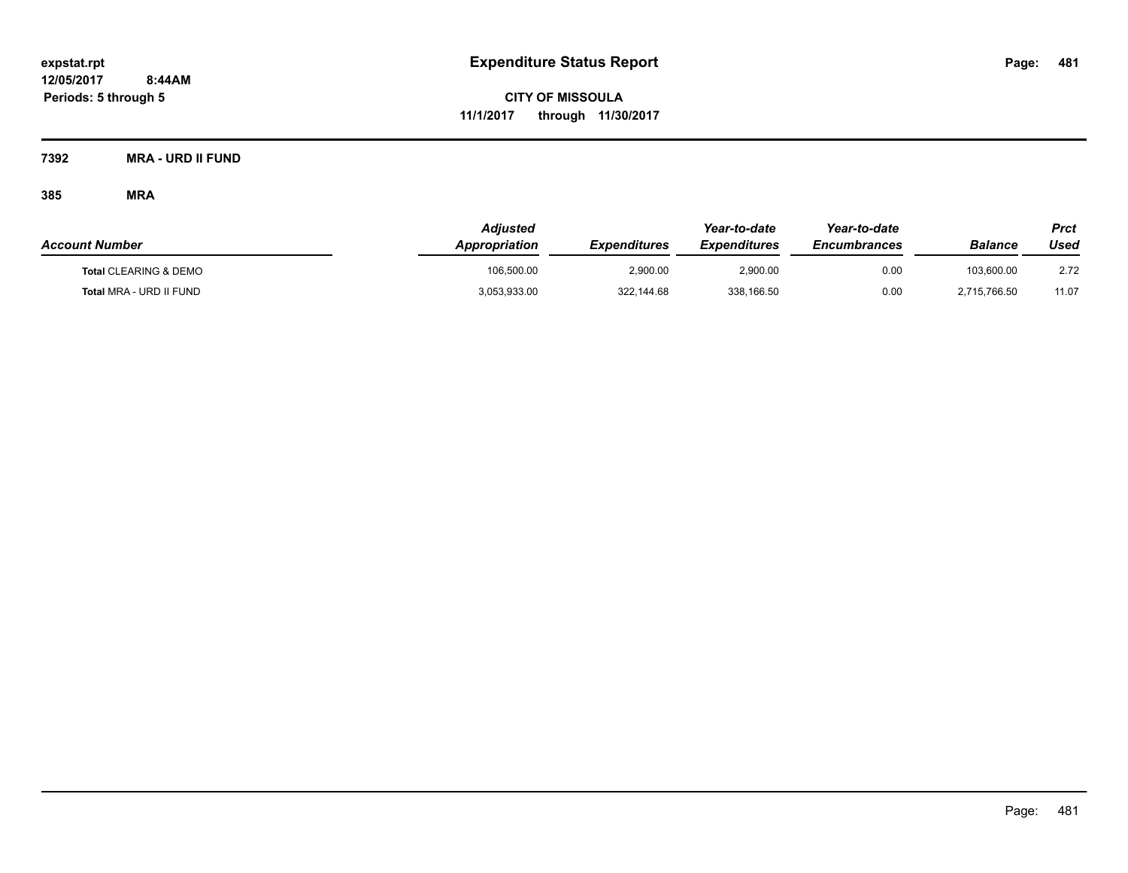**CITY OF MISSOULA 11/1/2017 through 11/30/2017**

**7392 MRA - URD II FUND**

| <b>Account Number</b>            | <b>Adjusted</b><br>Appropriation | <b>Expenditures</b> | Year-to-date<br><b>Expenditures</b> | Year-to-date<br><b>Encumbrances</b> | <b>Balance</b> | Prct<br>Used |
|----------------------------------|----------------------------------|---------------------|-------------------------------------|-------------------------------------|----------------|--------------|
| <b>Total CLEARING &amp; DEMO</b> | 106.500.00                       | 2.900.00            | 2,900.00                            | 0.00                                | 103.600.00     | 2.72         |
| Total MRA - URD II FUND          | 3,053,933.00                     | 322.144.68          | 338,166.50                          | 0.00                                | 2.715.766.50   | 11.07        |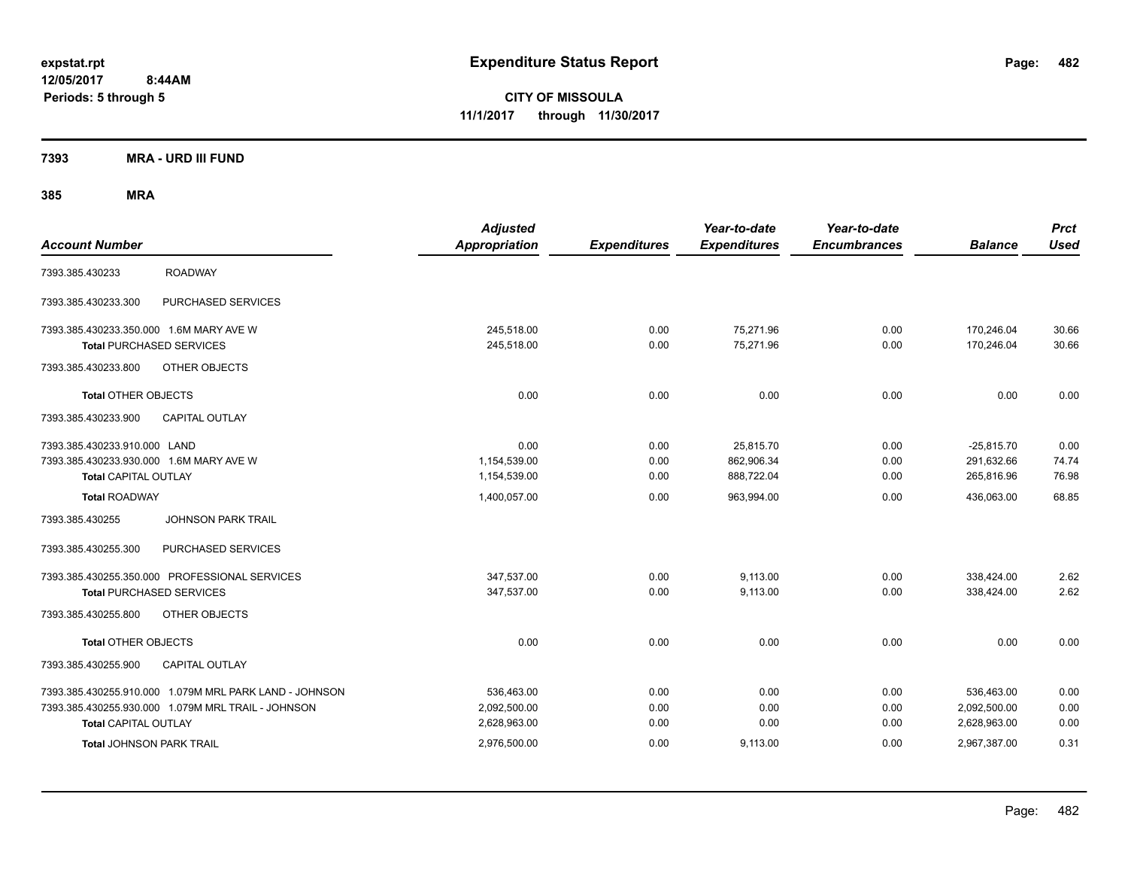**CITY OF MISSOULA 11/1/2017 through 11/30/2017**

**7393 MRA - URD III FUND**

| <b>Account Number</b>                                  | <b>Adjusted</b><br><b>Appropriation</b> | <b>Expenditures</b> | Year-to-date<br><b>Expenditures</b> | Year-to-date<br><b>Encumbrances</b> | <b>Balance</b> | <b>Prct</b><br><b>Used</b> |
|--------------------------------------------------------|-----------------------------------------|---------------------|-------------------------------------|-------------------------------------|----------------|----------------------------|
| <b>ROADWAY</b><br>7393.385.430233                      |                                         |                     |                                     |                                     |                |                            |
| PURCHASED SERVICES<br>7393.385.430233.300              |                                         |                     |                                     |                                     |                |                            |
| 7393.385.430233.350.000 1.6M MARY AVE W                | 245.518.00                              | 0.00                | 75.271.96                           | 0.00                                | 170.246.04     | 30.66                      |
| <b>Total PURCHASED SERVICES</b>                        | 245,518.00                              | 0.00                | 75,271.96                           | 0.00                                | 170,246.04     | 30.66                      |
| OTHER OBJECTS<br>7393.385.430233.800                   |                                         |                     |                                     |                                     |                |                            |
| <b>Total OTHER OBJECTS</b>                             | 0.00                                    | 0.00                | 0.00                                | 0.00                                | 0.00           | 0.00                       |
| <b>CAPITAL OUTLAY</b><br>7393.385.430233.900           |                                         |                     |                                     |                                     |                |                            |
| 7393.385.430233.910.000 LAND                           | 0.00                                    | 0.00                | 25,815.70                           | 0.00                                | $-25,815.70$   | 0.00                       |
| 7393.385.430233.930.000 1.6M MARY AVE W                | 1,154,539.00                            | 0.00                | 862,906.34                          | 0.00                                | 291,632.66     | 74.74                      |
| <b>Total CAPITAL OUTLAY</b>                            | 1,154,539.00                            | 0.00                | 888,722.04                          | 0.00                                | 265,816.96     | 76.98                      |
| <b>Total ROADWAY</b>                                   | 1,400,057.00                            | 0.00                | 963,994.00                          | 0.00                                | 436,063.00     | 68.85                      |
| <b>JOHNSON PARK TRAIL</b><br>7393.385.430255           |                                         |                     |                                     |                                     |                |                            |
| PURCHASED SERVICES<br>7393.385.430255.300              |                                         |                     |                                     |                                     |                |                            |
| 7393.385.430255.350.000 PROFESSIONAL SERVICES          | 347,537.00                              | 0.00                | 9,113.00                            | 0.00                                | 338,424.00     | 2.62                       |
| <b>Total PURCHASED SERVICES</b>                        | 347,537.00                              | 0.00                | 9,113.00                            | 0.00                                | 338,424.00     | 2.62                       |
| 7393.385.430255.800<br>OTHER OBJECTS                   |                                         |                     |                                     |                                     |                |                            |
| <b>Total OTHER OBJECTS</b>                             | 0.00                                    | 0.00                | 0.00                                | 0.00                                | 0.00           | 0.00                       |
| 7393.385.430255.900<br>CAPITAL OUTLAY                  |                                         |                     |                                     |                                     |                |                            |
| 7393.385.430255.910.000 1.079M MRL PARK LAND - JOHNSON | 536,463.00                              | 0.00                | 0.00                                | 0.00                                | 536,463.00     | 0.00                       |
| 7393.385.430255.930.000 1.079M MRL TRAIL - JOHNSON     | 2,092,500.00                            | 0.00                | 0.00                                | 0.00                                | 2,092,500.00   | 0.00                       |
| <b>Total CAPITAL OUTLAY</b>                            | 2,628,963.00                            | 0.00                | 0.00                                | 0.00                                | 2,628,963.00   | 0.00                       |
| <b>Total JOHNSON PARK TRAIL</b>                        | 2,976,500.00                            | 0.00                | 9,113.00                            | 0.00                                | 2,967,387.00   | 0.31                       |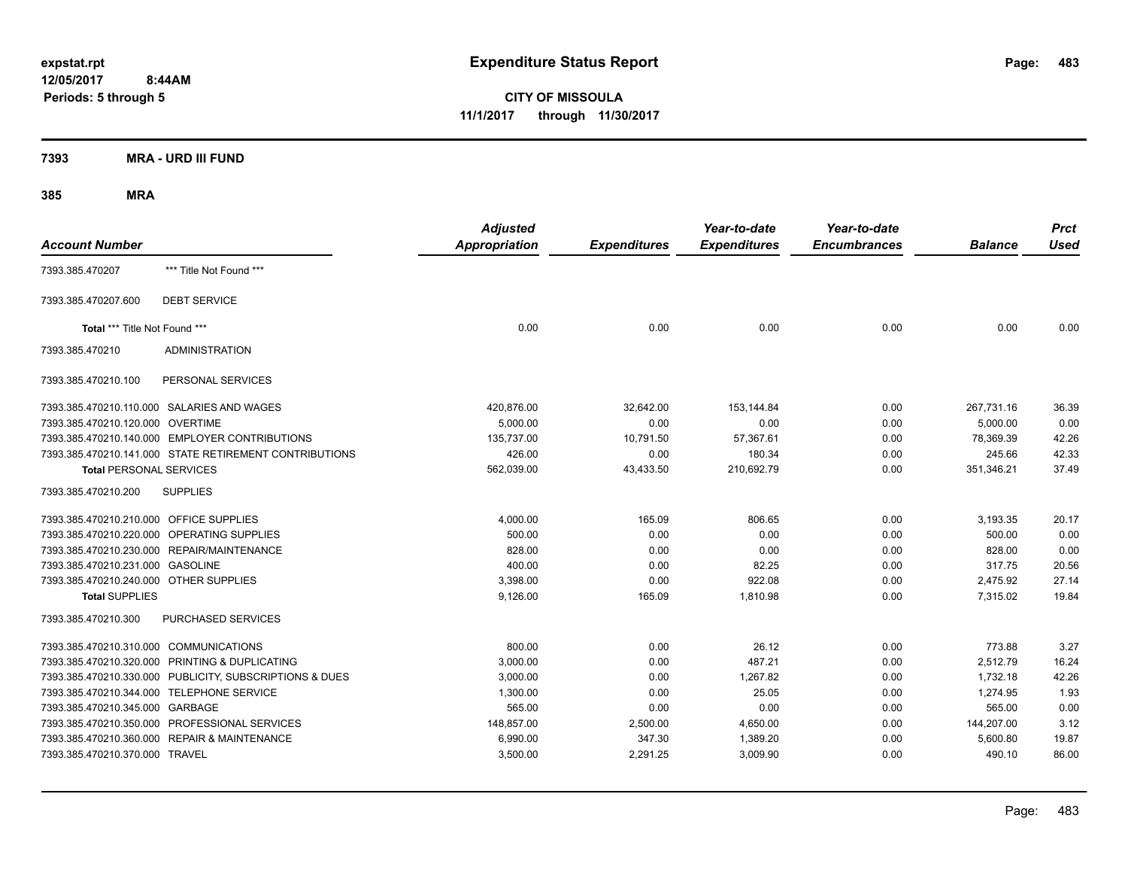**CITY OF MISSOULA 11/1/2017 through 11/30/2017**

**7393 MRA - URD III FUND**

| <b>Account Number</b>                   |                                                         | <b>Adjusted</b><br><b>Appropriation</b> | <b>Expenditures</b> | Year-to-date<br><b>Expenditures</b> | Year-to-date<br><b>Encumbrances</b> | <b>Balance</b> | <b>Prct</b><br><b>Used</b> |
|-----------------------------------------|---------------------------------------------------------|-----------------------------------------|---------------------|-------------------------------------|-------------------------------------|----------------|----------------------------|
| 7393.385.470207                         | *** Title Not Found ***                                 |                                         |                     |                                     |                                     |                |                            |
| 7393.385.470207.600                     | <b>DEBT SERVICE</b>                                     |                                         |                     |                                     |                                     |                |                            |
| Total *** Title Not Found ***           |                                                         | 0.00                                    | 0.00                | 0.00                                | 0.00                                | 0.00           | 0.00                       |
| 7393.385.470210                         | <b>ADMINISTRATION</b>                                   |                                         |                     |                                     |                                     |                |                            |
| 7393.385.470210.100                     | PERSONAL SERVICES                                       |                                         |                     |                                     |                                     |                |                            |
|                                         | 7393.385.470210.110.000 SALARIES AND WAGES              | 420,876.00                              | 32,642.00           | 153,144.84                          | 0.00                                | 267,731.16     | 36.39                      |
| 7393.385.470210.120.000 OVERTIME        |                                                         | 5,000.00                                | 0.00                | 0.00                                | 0.00                                | 5,000.00       | 0.00                       |
|                                         | 7393.385.470210.140.000 EMPLOYER CONTRIBUTIONS          | 135,737.00                              | 10,791.50           | 57,367.61                           | 0.00                                | 78,369.39      | 42.26                      |
|                                         | 7393.385.470210.141.000 STATE RETIREMENT CONTRIBUTIONS  | 426.00                                  | 0.00                | 180.34                              | 0.00                                | 245.66         | 42.33                      |
| <b>Total PERSONAL SERVICES</b>          |                                                         | 562,039.00                              | 43,433.50           | 210,692.79                          | 0.00                                | 351,346.21     | 37.49                      |
| 7393.385.470210.200                     | <b>SUPPLIES</b>                                         |                                         |                     |                                     |                                     |                |                            |
| 7393.385.470210.210.000 OFFICE SUPPLIES |                                                         | 4,000.00                                | 165.09              | 806.65                              | 0.00                                | 3,193.35       | 20.17                      |
|                                         | 7393.385.470210.220.000 OPERATING SUPPLIES              | 500.00                                  | 0.00                | 0.00                                | 0.00                                | 500.00         | 0.00                       |
|                                         | 7393.385.470210.230.000 REPAIR/MAINTENANCE              | 828.00                                  | 0.00                | 0.00                                | 0.00                                | 828.00         | 0.00                       |
| 7393.385.470210.231.000 GASOLINE        |                                                         | 400.00                                  | 0.00                | 82.25                               | 0.00                                | 317.75         | 20.56                      |
| 7393.385.470210.240.000 OTHER SUPPLIES  |                                                         | 3,398.00                                | 0.00                | 922.08                              | 0.00                                | 2,475.92       | 27.14                      |
| <b>Total SUPPLIES</b>                   |                                                         | 9,126.00                                | 165.09              | 1,810.98                            | 0.00                                | 7.315.02       | 19.84                      |
| 7393.385.470210.300                     | PURCHASED SERVICES                                      |                                         |                     |                                     |                                     |                |                            |
| 7393.385.470210.310.000 COMMUNICATIONS  |                                                         | 800.00                                  | 0.00                | 26.12                               | 0.00                                | 773.88         | 3.27                       |
|                                         | 7393.385.470210.320.000 PRINTING & DUPLICATING          | 3,000.00                                | 0.00                | 487.21                              | 0.00                                | 2,512.79       | 16.24                      |
|                                         | 7393.385.470210.330.000 PUBLICITY, SUBSCRIPTIONS & DUES | 3,000.00                                | 0.00                | 1,267.82                            | 0.00                                | 1,732.18       | 42.26                      |
|                                         | 7393.385.470210.344.000 TELEPHONE SERVICE               | 1,300.00                                | 0.00                | 25.05                               | 0.00                                | 1,274.95       | 1.93                       |
| 7393.385.470210.345.000 GARBAGE         |                                                         | 565.00                                  | 0.00                | 0.00                                | 0.00                                | 565.00         | 0.00                       |
|                                         | 7393.385.470210.350.000 PROFESSIONAL SERVICES           | 148,857.00                              | 2,500.00            | 4,650.00                            | 0.00                                | 144,207.00     | 3.12                       |
|                                         | 7393.385.470210.360.000 REPAIR & MAINTENANCE            | 6,990.00                                | 347.30              | 1,389.20                            | 0.00                                | 5,600.80       | 19.87                      |
| 7393.385.470210.370.000 TRAVEL          |                                                         | 3,500.00                                | 2,291.25            | 3,009.90                            | 0.00                                | 490.10         | 86.00                      |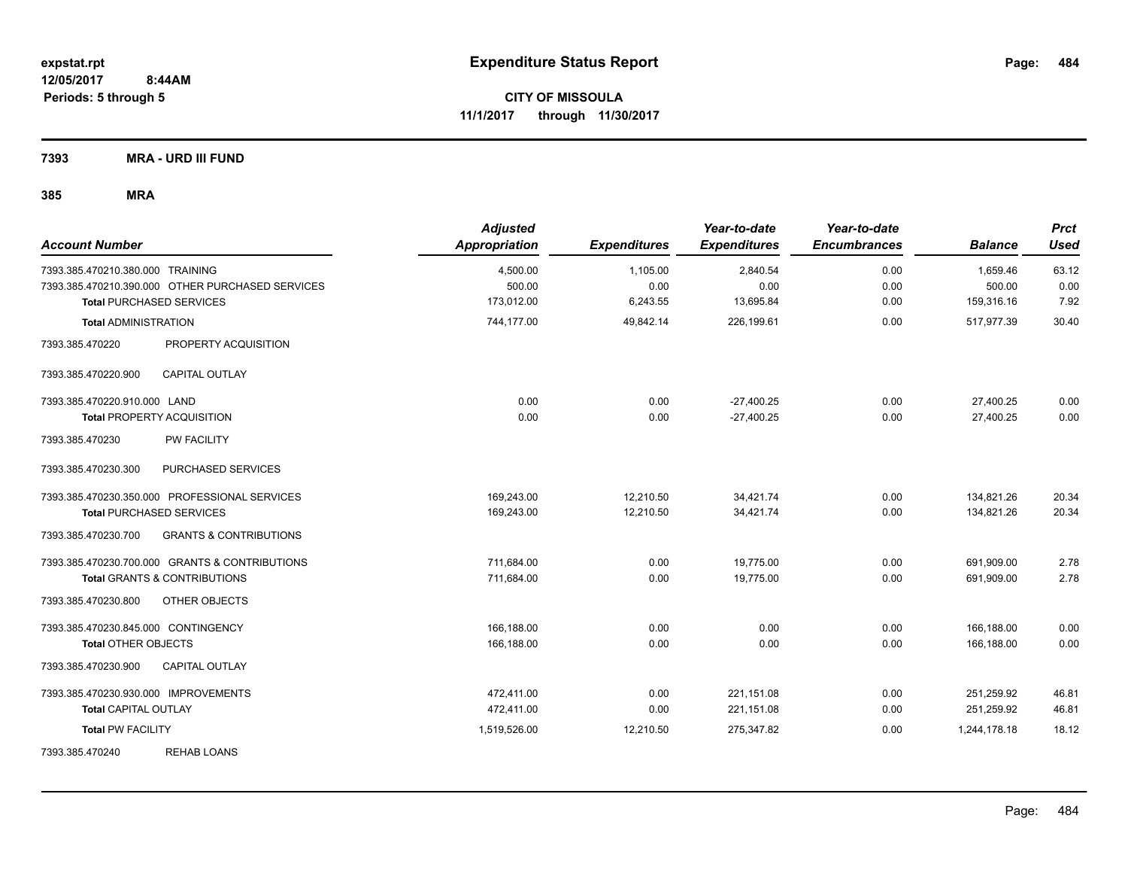**CITY OF MISSOULA 11/1/2017 through 11/30/2017**

**7393 MRA - URD III FUND**

| <b>Account Number</b>                                                                | <b>Adjusted</b><br><b>Appropriation</b> | <b>Expenditures</b> | Year-to-date<br><b>Expenditures</b> | Year-to-date<br><b>Encumbrances</b> | <b>Balance</b>     | <b>Prct</b><br><b>Used</b> |
|--------------------------------------------------------------------------------------|-----------------------------------------|---------------------|-------------------------------------|-------------------------------------|--------------------|----------------------------|
| 7393.385.470210.380.000 TRAINING<br>7393.385.470210.390.000 OTHER PURCHASED SERVICES | 4,500.00<br>500.00                      | 1,105.00<br>0.00    | 2,840.54<br>0.00                    | 0.00<br>0.00                        | 1,659.46<br>500.00 | 63.12<br>0.00              |
| <b>Total PURCHASED SERVICES</b>                                                      | 173,012.00                              | 6,243.55            | 13,695.84                           | 0.00                                | 159,316.16         | 7.92                       |
| <b>Total ADMINISTRATION</b>                                                          | 744,177.00                              | 49,842.14           | 226,199.61                          | 0.00                                | 517,977.39         | 30.40                      |
| 7393.385.470220<br>PROPERTY ACQUISITION                                              |                                         |                     |                                     |                                     |                    |                            |
| 7393.385.470220.900<br><b>CAPITAL OUTLAY</b>                                         |                                         |                     |                                     |                                     |                    |                            |
| 7393.385.470220.910.000 LAND                                                         | 0.00                                    | 0.00                | $-27,400.25$                        | 0.00                                | 27,400.25          | 0.00                       |
| <b>Total PROPERTY ACQUISITION</b>                                                    | 0.00                                    | 0.00                | $-27,400.25$                        | 0.00                                | 27,400.25          | 0.00                       |
| 7393.385.470230<br><b>PW FACILITY</b>                                                |                                         |                     |                                     |                                     |                    |                            |
| PURCHASED SERVICES<br>7393.385.470230.300                                            |                                         |                     |                                     |                                     |                    |                            |
| 7393.385.470230.350.000 PROFESSIONAL SERVICES                                        | 169,243.00                              | 12,210.50           | 34,421.74                           | 0.00                                | 134,821.26         | 20.34                      |
| <b>Total PURCHASED SERVICES</b>                                                      | 169,243.00                              | 12,210.50           | 34,421.74                           | 0.00                                | 134,821.26         | 20.34                      |
| 7393.385.470230.700<br><b>GRANTS &amp; CONTRIBUTIONS</b>                             |                                         |                     |                                     |                                     |                    |                            |
| 7393.385.470230.700.000 GRANTS & CONTRIBUTIONS                                       | 711,684.00                              | 0.00                | 19.775.00                           | 0.00                                | 691,909.00         | 2.78                       |
| <b>Total GRANTS &amp; CONTRIBUTIONS</b>                                              | 711,684.00                              | 0.00                | 19,775.00                           | 0.00                                | 691,909.00         | 2.78                       |
| 7393.385.470230.800<br>OTHER OBJECTS                                                 |                                         |                     |                                     |                                     |                    |                            |
| 7393.385.470230.845.000 CONTINGENCY                                                  | 166,188.00                              | 0.00                | 0.00                                | 0.00                                | 166,188.00         | 0.00                       |
| <b>Total OTHER OBJECTS</b>                                                           | 166,188.00                              | 0.00                | 0.00                                | 0.00                                | 166,188.00         | 0.00                       |
| CAPITAL OUTLAY<br>7393.385.470230.900                                                |                                         |                     |                                     |                                     |                    |                            |
| 7393.385.470230.930.000 IMPROVEMENTS                                                 | 472.411.00                              | 0.00                | 221,151.08                          | 0.00                                | 251,259.92         | 46.81                      |
| <b>Total CAPITAL OUTLAY</b>                                                          | 472,411.00                              | 0.00                | 221,151.08                          | 0.00                                | 251,259.92         | 46.81                      |
| <b>Total PW FACILITY</b>                                                             | 1,519,526.00                            | 12,210.50           | 275,347.82                          | 0.00                                | 1,244,178.18       | 18.12                      |
| <b>REHAB LOANS</b><br>7393.385.470240                                                |                                         |                     |                                     |                                     |                    |                            |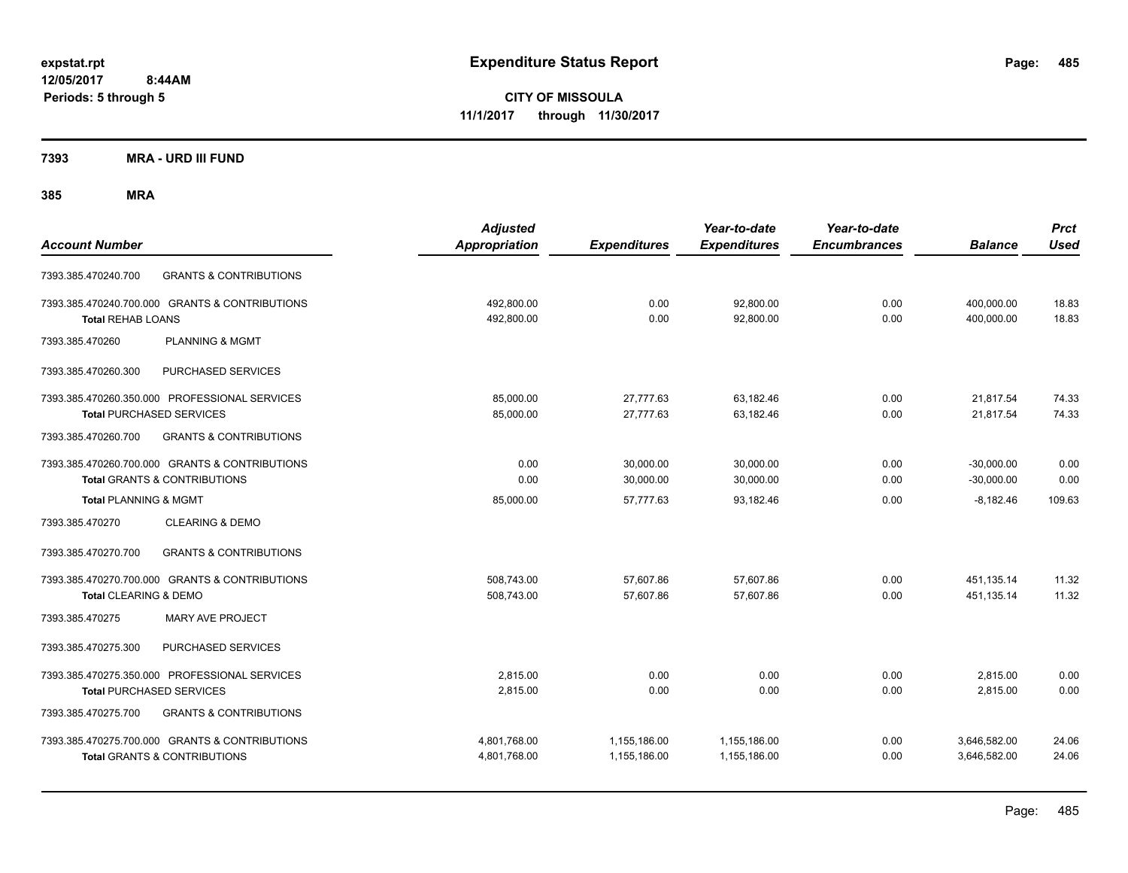**CITY OF MISSOULA 11/1/2017 through 11/30/2017**

**7393 MRA - URD III FUND**

| <b>Account Number</b>            |                                                                                           | <b>Adjusted</b><br><b>Appropriation</b> | <b>Expenditures</b>          | Year-to-date<br><b>Expenditures</b> | Year-to-date<br><b>Encumbrances</b> | <b>Balance</b>               | <b>Prct</b><br><b>Used</b> |
|----------------------------------|-------------------------------------------------------------------------------------------|-----------------------------------------|------------------------------|-------------------------------------|-------------------------------------|------------------------------|----------------------------|
| 7393.385.470240.700              | <b>GRANTS &amp; CONTRIBUTIONS</b>                                                         |                                         |                              |                                     |                                     |                              |                            |
| <b>Total REHAB LOANS</b>         | 7393.385.470240.700.000 GRANTS & CONTRIBUTIONS                                            | 492,800.00<br>492,800.00                | 0.00<br>0.00                 | 92,800.00<br>92,800.00              | 0.00<br>0.00                        | 400,000.00<br>400,000.00     | 18.83<br>18.83             |
| 7393.385.470260                  | <b>PLANNING &amp; MGMT</b>                                                                |                                         |                              |                                     |                                     |                              |                            |
| 7393.385.470260.300              | PURCHASED SERVICES                                                                        |                                         |                              |                                     |                                     |                              |                            |
|                                  | 7393.385.470260.350.000 PROFESSIONAL SERVICES<br><b>Total PURCHASED SERVICES</b>          | 85,000.00<br>85,000.00                  | 27,777.63<br>27,777.63       | 63,182.46<br>63,182.46              | 0.00<br>0.00                        | 21,817.54<br>21,817.54       | 74.33<br>74.33             |
| 7393.385.470260.700              | <b>GRANTS &amp; CONTRIBUTIONS</b>                                                         |                                         |                              |                                     |                                     |                              |                            |
|                                  | 7393.385.470260.700.000 GRANTS & CONTRIBUTIONS<br><b>Total GRANTS &amp; CONTRIBUTIONS</b> | 0.00<br>0.00                            | 30,000.00<br>30,000.00       | 30,000.00<br>30,000.00              | 0.00<br>0.00                        | $-30,000.00$<br>$-30,000.00$ | 0.00<br>0.00               |
| <b>Total PLANNING &amp; MGMT</b> |                                                                                           | 85,000.00                               | 57.777.63                    | 93.182.46                           | 0.00                                | $-8.182.46$                  | 109.63                     |
| 7393.385.470270                  | <b>CLEARING &amp; DEMO</b>                                                                |                                         |                              |                                     |                                     |                              |                            |
| 7393.385.470270.700              | <b>GRANTS &amp; CONTRIBUTIONS</b>                                                         |                                         |                              |                                     |                                     |                              |                            |
| Total CLEARING & DEMO            | 7393.385.470270.700.000 GRANTS & CONTRIBUTIONS                                            | 508,743.00<br>508,743.00                | 57,607.86<br>57,607.86       | 57,607.86<br>57,607.86              | 0.00<br>0.00                        | 451,135.14<br>451,135.14     | 11.32<br>11.32             |
| 7393.385.470275                  | <b>MARY AVE PROJECT</b>                                                                   |                                         |                              |                                     |                                     |                              |                            |
| 7393.385.470275.300              | PURCHASED SERVICES                                                                        |                                         |                              |                                     |                                     |                              |                            |
|                                  | 7393.385.470275.350.000 PROFESSIONAL SERVICES<br><b>Total PURCHASED SERVICES</b>          | 2,815.00<br>2,815.00                    | 0.00<br>0.00                 | 0.00<br>0.00                        | 0.00<br>0.00                        | 2,815.00<br>2,815.00         | 0.00<br>0.00               |
| 7393.385.470275.700              | <b>GRANTS &amp; CONTRIBUTIONS</b>                                                         |                                         |                              |                                     |                                     |                              |                            |
|                                  | 7393.385.470275.700.000 GRANTS & CONTRIBUTIONS<br><b>Total GRANTS &amp; CONTRIBUTIONS</b> | 4,801,768.00<br>4,801,768.00            | 1,155,186.00<br>1,155,186.00 | 1,155,186.00<br>1,155,186.00        | 0.00<br>0.00                        | 3,646,582.00<br>3,646,582.00 | 24.06<br>24.06             |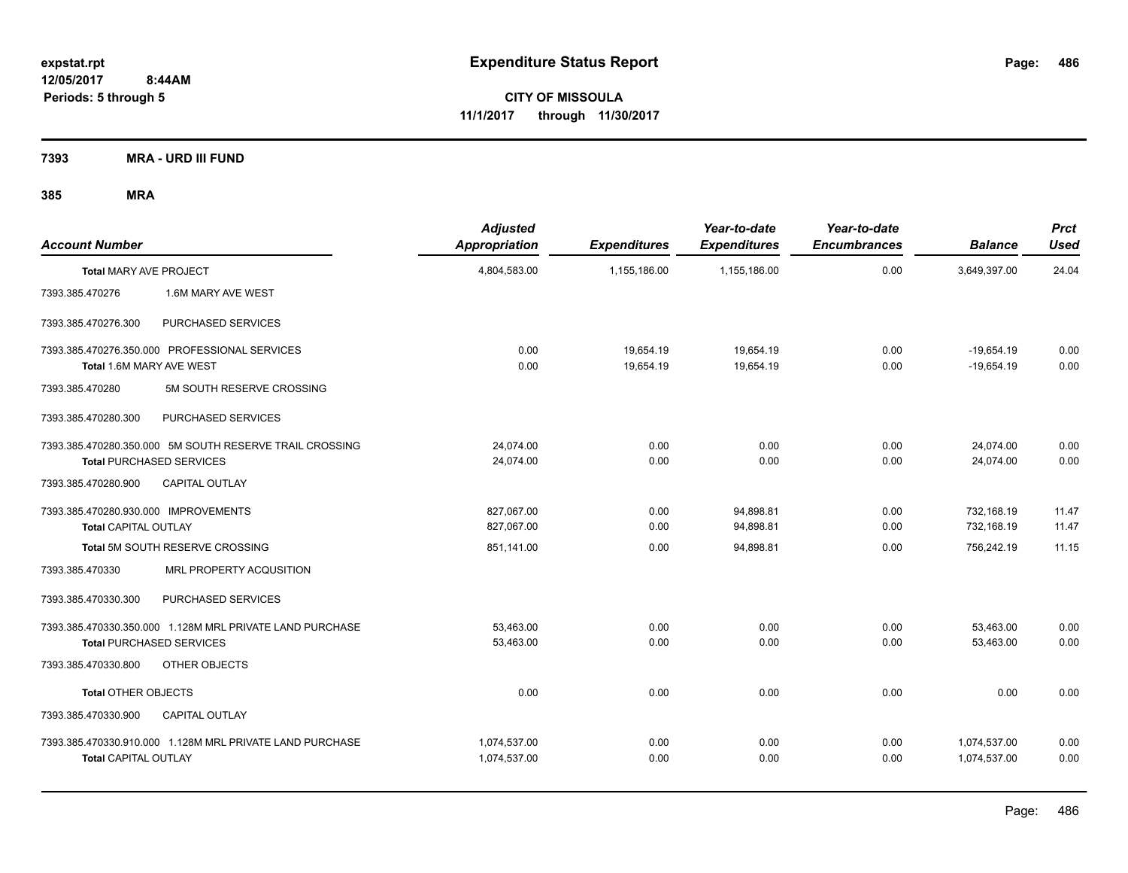**CITY OF MISSOULA 11/1/2017 through 11/30/2017**

**7393 MRA - URD III FUND**

| <b>Account Number</b>                                                     | <b>Adjusted</b><br>Appropriation | <b>Expenditures</b>    | Year-to-date<br><b>Expenditures</b> | Year-to-date<br><b>Encumbrances</b> | <b>Balance</b>               | <b>Prct</b><br><b>Used</b> |
|---------------------------------------------------------------------------|----------------------------------|------------------------|-------------------------------------|-------------------------------------|------------------------------|----------------------------|
| <b>Total MARY AVE PROJECT</b>                                             | 4,804,583.00                     | 1,155,186.00           | 1,155,186.00                        | 0.00                                | 3,649,397.00                 | 24.04                      |
| 7393.385.470276<br>1.6M MARY AVE WEST                                     |                                  |                        |                                     |                                     |                              |                            |
| 7393.385.470276.300<br>PURCHASED SERVICES                                 |                                  |                        |                                     |                                     |                              |                            |
| 7393.385.470276.350.000 PROFESSIONAL SERVICES<br>Total 1.6M MARY AVE WEST | 0.00<br>0.00                     | 19,654.19<br>19,654.19 | 19,654.19<br>19,654.19              | 0.00<br>0.00                        | $-19,654.19$<br>$-19,654.19$ | 0.00<br>0.00               |
| 5M SOUTH RESERVE CROSSING<br>7393.385.470280                              |                                  |                        |                                     |                                     |                              |                            |
| 7393.385.470280.300<br>PURCHASED SERVICES                                 |                                  |                        |                                     |                                     |                              |                            |
| 7393.385.470280.350.000 5M SOUTH RESERVE TRAIL CROSSING                   | 24,074.00                        | 0.00                   | 0.00                                | 0.00                                | 24,074.00                    | 0.00                       |
| <b>Total PURCHASED SERVICES</b>                                           | 24,074.00                        | 0.00                   | 0.00                                | 0.00                                | 24,074.00                    | 0.00                       |
| 7393.385.470280.900<br><b>CAPITAL OUTLAY</b>                              |                                  |                        |                                     |                                     |                              |                            |
| 7393.385.470280.930.000 IMPROVEMENTS                                      | 827,067.00                       | 0.00                   | 94,898.81                           | 0.00                                | 732,168.19                   | 11.47                      |
| <b>Total CAPITAL OUTLAY</b>                                               | 827,067.00                       | 0.00                   | 94,898.81                           | 0.00                                | 732,168.19                   | 11.47                      |
| Total 5M SOUTH RESERVE CROSSING                                           | 851,141.00                       | 0.00                   | 94,898.81                           | 0.00                                | 756,242.19                   | 11.15                      |
| 7393.385.470330<br>MRL PROPERTY ACQUSITION                                |                                  |                        |                                     |                                     |                              |                            |
| PURCHASED SERVICES<br>7393.385.470330.300                                 |                                  |                        |                                     |                                     |                              |                            |
| 7393.385.470330.350.000 1.128M MRL PRIVATE LAND PURCHASE                  | 53,463.00                        | 0.00                   | 0.00                                | 0.00                                | 53,463.00                    | 0.00                       |
| <b>Total PURCHASED SERVICES</b>                                           | 53,463.00                        | 0.00                   | 0.00                                | 0.00                                | 53,463.00                    | 0.00                       |
| 7393.385.470330.800<br>OTHER OBJECTS                                      |                                  |                        |                                     |                                     |                              |                            |
| <b>Total OTHER OBJECTS</b>                                                | 0.00                             | 0.00                   | 0.00                                | 0.00                                | 0.00                         | 0.00                       |
| 7393.385.470330.900<br><b>CAPITAL OUTLAY</b>                              |                                  |                        |                                     |                                     |                              |                            |
| 7393.385.470330.910.000 1.128M MRL PRIVATE LAND PURCHASE                  | 1,074,537.00                     | 0.00                   | 0.00                                | 0.00                                | 1,074,537.00                 | 0.00                       |
| <b>Total CAPITAL OUTLAY</b>                                               | 1,074,537.00                     | 0.00                   | 0.00                                | 0.00                                | 1,074,537.00                 | 0.00                       |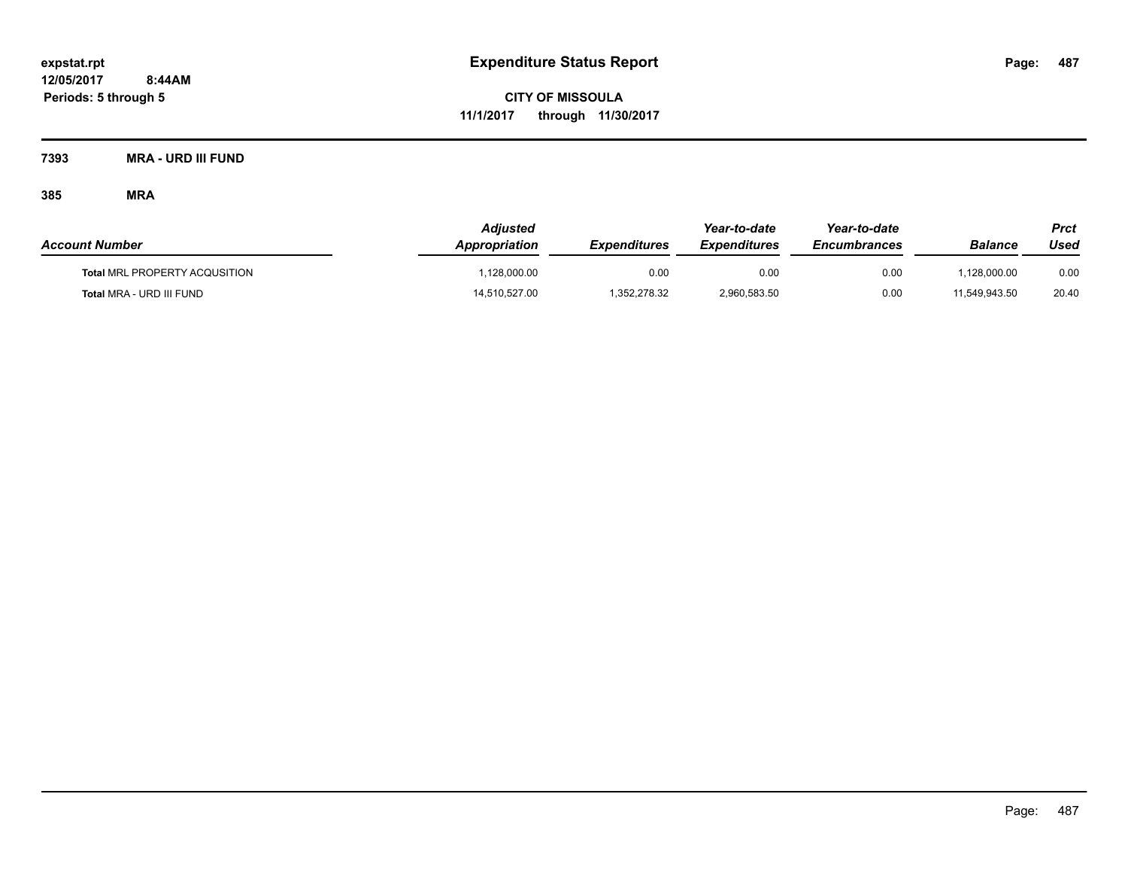**CITY OF MISSOULA 11/1/2017 through 11/30/2017**

**7393 MRA - URD III FUND**

| <b>Account Number</b>                | <b>Adjusted</b><br>Appropriation | <i><b>Expenditures</b></i> | Year-to-date<br><b>Expenditures</b> | Year-to-date<br><b>Encumbrances</b> | Balance       | <b>Prct</b><br>Used |
|--------------------------------------|----------------------------------|----------------------------|-------------------------------------|-------------------------------------|---------------|---------------------|
| <b>Total MRL PROPERTY ACQUSITION</b> | .128.000.00                      | 0.00                       | 0.00                                | 0.00                                | .128.000.00   | 0.00                |
| Total MRA - URD III FUND             | 14,510,527.00                    | 1.352.278.32               | 2.960.583.50                        | 0.00                                | 11.549.943.50 | 20.40               |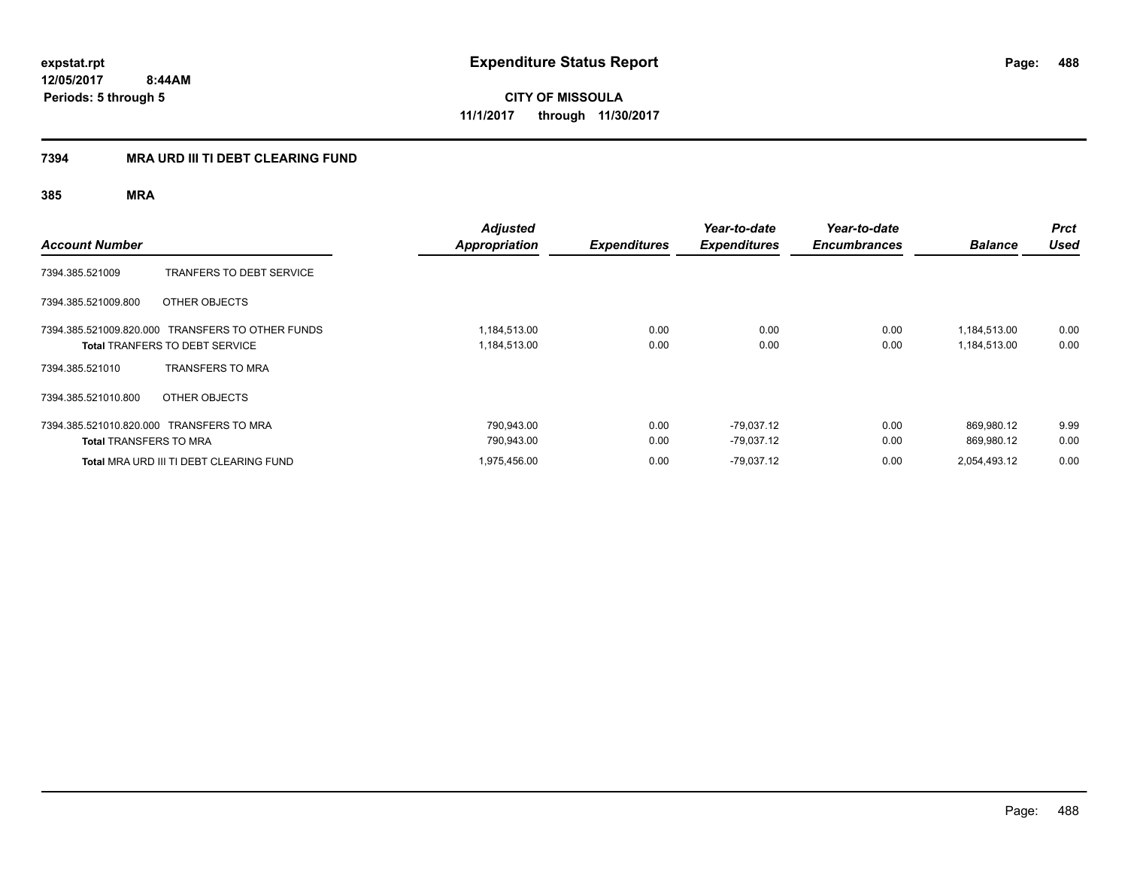**CITY OF MISSOULA 11/1/2017 through 11/30/2017**

# **7394 MRA URD III TI DEBT CLEARING FUND**

| <b>Account Number</b>                                                     |                                                                   | <b>Adjusted</b><br><b>Appropriation</b> | <b>Expenditures</b> | Year-to-date<br><b>Expenditures</b> | Year-to-date<br><b>Encumbrances</b> | <b>Balance</b>               | <b>Prct</b><br><b>Used</b> |
|---------------------------------------------------------------------------|-------------------------------------------------------------------|-----------------------------------------|---------------------|-------------------------------------|-------------------------------------|------------------------------|----------------------------|
| 7394.385.521009                                                           | <b>TRANFERS TO DEBT SERVICE</b>                                   |                                         |                     |                                     |                                     |                              |                            |
| 7394.385.521009.800                                                       | OTHER OBJECTS                                                     |                                         |                     |                                     |                                     |                              |                            |
| 7394.385.521009.820.000                                                   | TRANSFERS TO OTHER FUNDS<br><b>Total TRANFERS TO DEBT SERVICE</b> | 1,184,513.00<br>1,184,513.00            | 0.00<br>0.00        | 0.00<br>0.00                        | 0.00<br>0.00                        | 1,184,513.00<br>1,184,513.00 | 0.00<br>0.00               |
| 7394.385.521010                                                           | <b>TRANSFERS TO MRA</b>                                           |                                         |                     |                                     |                                     |                              |                            |
| 7394.385.521010.800                                                       | OTHER OBJECTS                                                     |                                         |                     |                                     |                                     |                              |                            |
| 7394.385.521010.820.000 TRANSFERS TO MRA<br><b>Total TRANSFERS TO MRA</b> |                                                                   | 790,943.00<br>790,943.00                | 0.00<br>0.00        | -79,037.12<br>$-79,037.12$          | 0.00<br>0.00                        | 869.980.12<br>869.980.12     | 9.99<br>0.00               |
|                                                                           | Total MRA URD III TI DEBT CLEARING FUND                           | 1,975,456.00                            | 0.00                | $-79,037.12$                        | 0.00                                | 2,054,493.12                 | 0.00                       |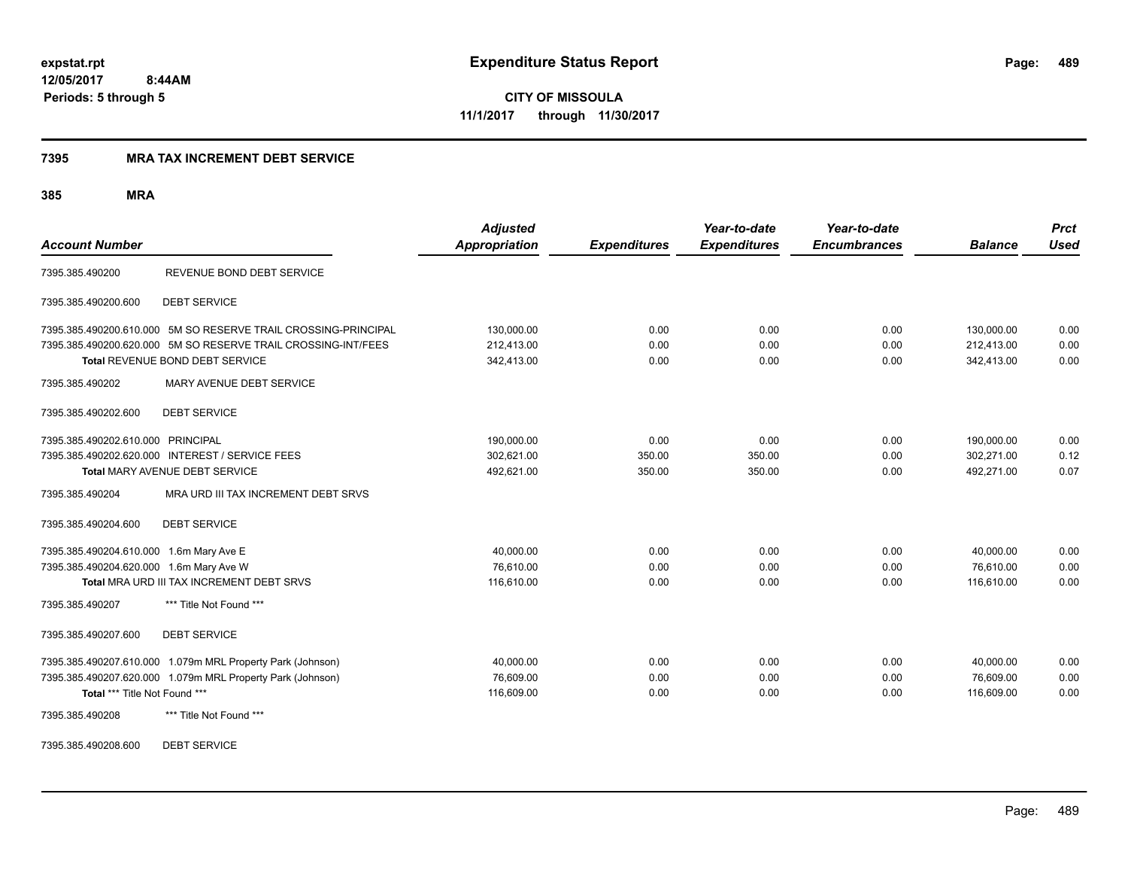**CITY OF MISSOULA 11/1/2017 through 11/30/2017**

#### **7395 MRA TAX INCREMENT DEBT SERVICE**

| <b>Account Number</b>                                          | <b>Adjusted</b><br><b>Appropriation</b> | <b>Expenditures</b> | Year-to-date<br><b>Expenditures</b> | Year-to-date<br><b>Encumbrances</b> | <b>Balance</b> | <b>Prct</b><br><b>Used</b> |
|----------------------------------------------------------------|-----------------------------------------|---------------------|-------------------------------------|-------------------------------------|----------------|----------------------------|
| REVENUE BOND DEBT SERVICE<br>7395.385.490200                   |                                         |                     |                                     |                                     |                |                            |
| 7395.385.490200.600<br><b>DEBT SERVICE</b>                     |                                         |                     |                                     |                                     |                |                            |
| 7395.385.490200.610.000 5M SO RESERVE TRAIL CROSSING-PRINCIPAL | 130,000.00                              | 0.00                | 0.00                                | 0.00                                | 130,000.00     | 0.00                       |
| 7395.385.490200.620.000 5M SO RESERVE TRAIL CROSSING-INT/FEES  | 212,413.00                              | 0.00                | 0.00                                | 0.00                                | 212,413.00     | 0.00                       |
| Total REVENUE BOND DEBT SERVICE                                | 342,413.00                              | 0.00                | 0.00                                | 0.00                                | 342,413.00     | 0.00                       |
| 7395.385.490202<br>MARY AVENUE DEBT SERVICE                    |                                         |                     |                                     |                                     |                |                            |
| <b>DEBT SERVICE</b><br>7395.385.490202.600                     |                                         |                     |                                     |                                     |                |                            |
| 7395.385.490202.610.000 PRINCIPAL                              | 190,000.00                              | 0.00                | 0.00                                | 0.00                                | 190,000.00     | 0.00                       |
| 7395.385.490202.620.000 INTEREST / SERVICE FEES                | 302,621.00                              | 350.00              | 350.00                              | 0.00                                | 302,271.00     | 0.12                       |
| <b>Total MARY AVENUE DEBT SERVICE</b>                          | 492,621.00                              | 350.00              | 350.00                              | 0.00                                | 492,271.00     | 0.07                       |
| MRA URD III TAX INCREMENT DEBT SRVS<br>7395.385.490204         |                                         |                     |                                     |                                     |                |                            |
| 7395.385.490204.600<br><b>DEBT SERVICE</b>                     |                                         |                     |                                     |                                     |                |                            |
| 7395.385.490204.610.000 1.6m Mary Ave E                        | 40,000.00                               | 0.00                | 0.00                                | 0.00                                | 40,000.00      | 0.00                       |
| 7395.385.490204.620.000 1.6m Mary Ave W                        | 76,610.00                               | 0.00                | 0.00                                | 0.00                                | 76,610.00      | 0.00                       |
| Total MRA URD III TAX INCREMENT DEBT SRVS                      | 116,610.00                              | 0.00                | 0.00                                | 0.00                                | 116,610.00     | 0.00                       |
| 7395.385.490207<br>*** Title Not Found ***                     |                                         |                     |                                     |                                     |                |                            |
| 7395.385.490207.600<br><b>DEBT SERVICE</b>                     |                                         |                     |                                     |                                     |                |                            |
| 7395.385.490207.610.000 1.079m MRL Property Park (Johnson)     | 40,000.00                               | 0.00                | 0.00                                | 0.00                                | 40,000.00      | 0.00                       |
| 7395.385.490207.620.000 1.079m MRL Property Park (Johnson)     | 76,609.00                               | 0.00                | 0.00                                | 0.00                                | 76,609.00      | 0.00                       |
| Total *** Title Not Found ***                                  | 116,609.00                              | 0.00                | 0.00                                | 0.00                                | 116,609.00     | 0.00                       |
| 7395.385.490208<br>*** Title Not Found ***                     |                                         |                     |                                     |                                     |                |                            |
| <b>DEBT SERVICE</b><br>7395.385.490208.600                     |                                         |                     |                                     |                                     |                |                            |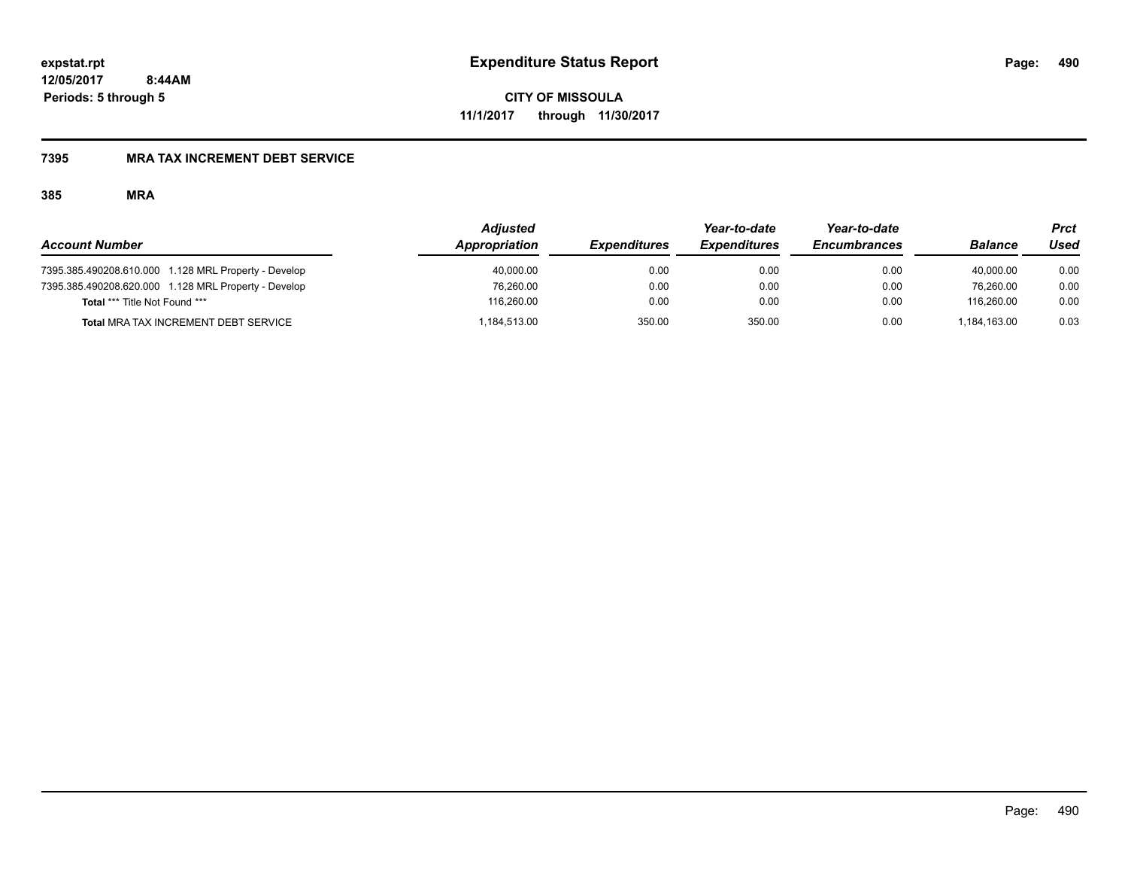**CITY OF MISSOULA 11/1/2017 through 11/30/2017**

# **7395 MRA TAX INCREMENT DEBT SERVICE**

|                                                      | <b>Adiusted</b> |                     | Year-to-date        | Year-to-date        |                | Prct |
|------------------------------------------------------|-----------------|---------------------|---------------------|---------------------|----------------|------|
| <b>Account Number</b>                                | Appropriation   | <b>Expenditures</b> | <b>Expenditures</b> | <b>Encumbrances</b> | <b>Balance</b> | Used |
| 7395.385.490208.610.000 1.128 MRL Property - Develop | 40,000.00       | 0.00                | 0.00                | 0.00                | 40.000.00      | 0.00 |
| 7395.385.490208.620.000 1.128 MRL Property - Develop | 76,260.00       | 0.00                | 0.00                | 0.00                | 76.260.00      | 0.00 |
| <b>Total *** Title Not Found ***</b>                 | 116.260.00      | 0.00                | 0.00                | 0.00                | 116.260.00     | 0.00 |
| Total MRA TAX INCREMENT DEBT SERVICE                 | .184.513.00     | 350.00              | 350.00              | 0.00                | .184.163.00    | 0.03 |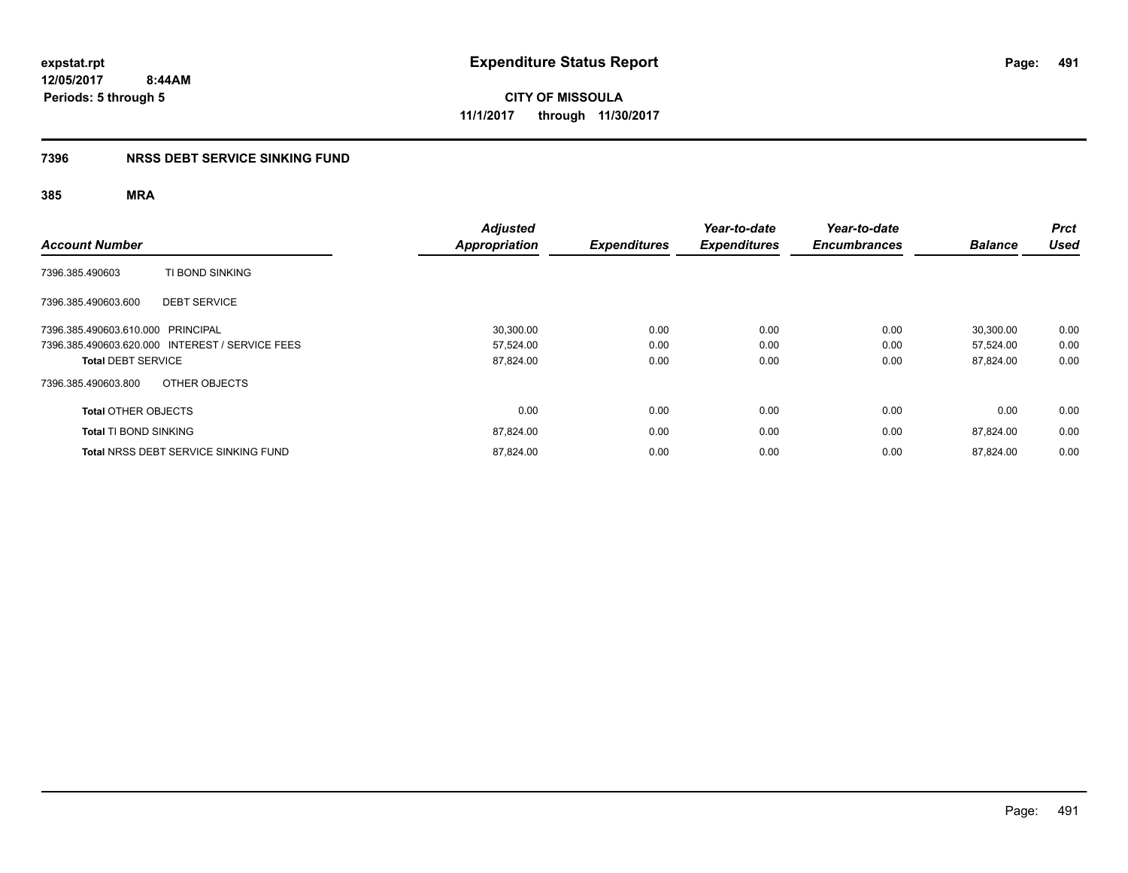**CITY OF MISSOULA 11/1/2017 through 11/30/2017**

# **7396 NRSS DEBT SERVICE SINKING FUND**

| <b>Account Number</b>                           | <b>Adjusted</b><br><b>Appropriation</b> | <b>Expenditures</b> | Year-to-date<br><b>Expenditures</b> | Year-to-date<br><b>Encumbrances</b> | <b>Balance</b> | <b>Prct</b><br><b>Used</b> |
|-------------------------------------------------|-----------------------------------------|---------------------|-------------------------------------|-------------------------------------|----------------|----------------------------|
| TI BOND SINKING<br>7396.385.490603              |                                         |                     |                                     |                                     |                |                            |
| 7396.385.490603.600<br><b>DEBT SERVICE</b>      |                                         |                     |                                     |                                     |                |                            |
| 7396.385.490603.610.000 PRINCIPAL               | 30,300.00                               | 0.00                | 0.00                                | 0.00                                | 30.300.00      | 0.00                       |
| 7396.385.490603.620.000 INTEREST / SERVICE FEES | 57,524.00                               | 0.00                | 0.00                                | 0.00                                | 57.524.00      | 0.00                       |
| <b>Total DEBT SERVICE</b>                       | 87,824.00                               | 0.00                | 0.00                                | 0.00                                | 87,824.00      | 0.00                       |
| OTHER OBJECTS<br>7396.385.490603.800            |                                         |                     |                                     |                                     |                |                            |
| <b>Total OTHER OBJECTS</b>                      | 0.00                                    | 0.00                | 0.00                                | 0.00                                | 0.00           | 0.00                       |
| <b>Total TI BOND SINKING</b>                    | 87,824.00                               | 0.00                | 0.00                                | 0.00                                | 87,824.00      | 0.00                       |
| <b>Total NRSS DEBT SERVICE SINKING FUND</b>     | 87,824.00                               | 0.00                | 0.00                                | 0.00                                | 87.824.00      | 0.00                       |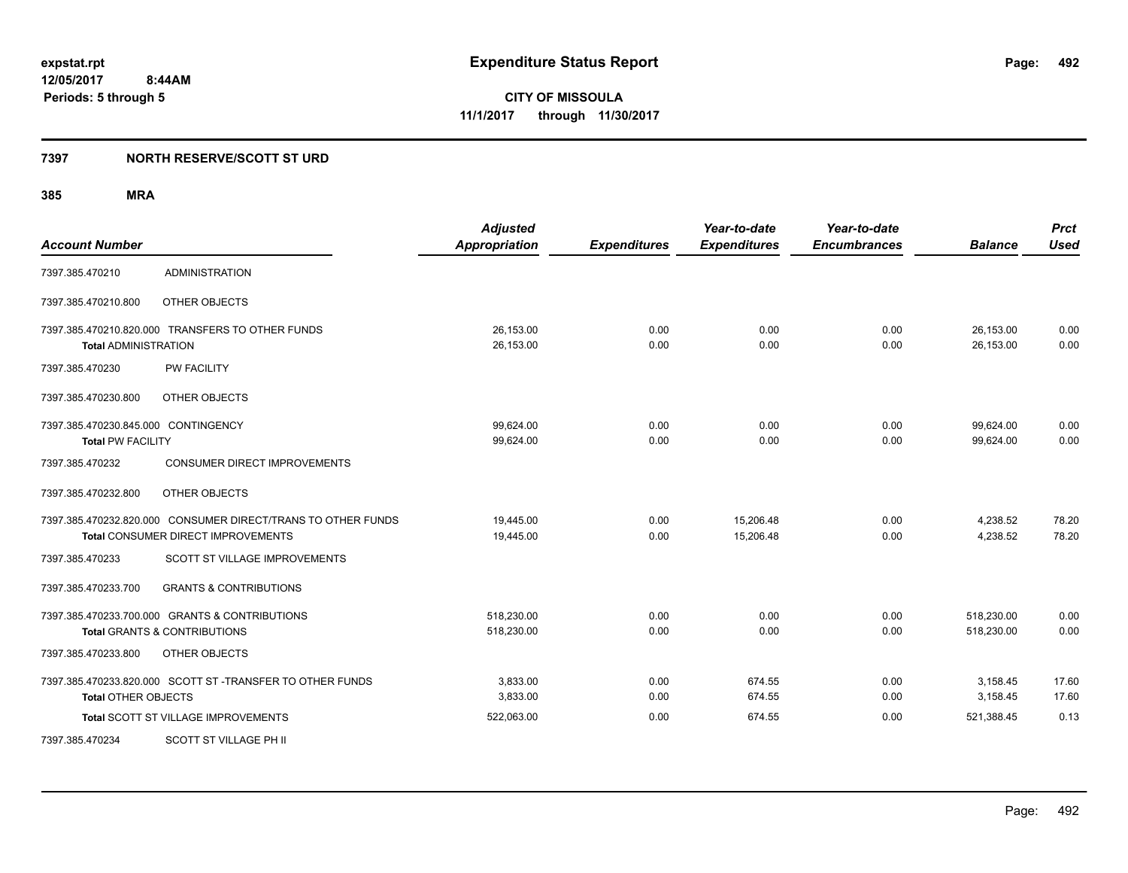# **7397 NORTH RESERVE/SCOTT ST URD**

| <b>Account Number</b>                                           |                                                                                                    | <b>Adjusted</b><br><b>Appropriation</b> | <b>Expenditures</b> | Year-to-date<br><b>Expenditures</b> | Year-to-date<br><b>Encumbrances</b> | <b>Balance</b>           | <b>Prct</b><br><b>Used</b> |
|-----------------------------------------------------------------|----------------------------------------------------------------------------------------------------|-----------------------------------------|---------------------|-------------------------------------|-------------------------------------|--------------------------|----------------------------|
| 7397.385.470210                                                 | <b>ADMINISTRATION</b>                                                                              |                                         |                     |                                     |                                     |                          |                            |
| 7397.385.470210.800                                             | OTHER OBJECTS                                                                                      |                                         |                     |                                     |                                     |                          |                            |
| <b>Total ADMINISTRATION</b>                                     | 7397.385.470210.820.000 TRANSFERS TO OTHER FUNDS                                                   | 26,153.00<br>26,153.00                  | 0.00<br>0.00        | 0.00<br>0.00                        | 0.00<br>0.00                        | 26,153.00<br>26,153.00   | 0.00<br>0.00               |
| 7397.385.470230                                                 | <b>PW FACILITY</b>                                                                                 |                                         |                     |                                     |                                     |                          |                            |
| 7397.385.470230.800                                             | OTHER OBJECTS                                                                                      |                                         |                     |                                     |                                     |                          |                            |
| 7397.385.470230.845.000 CONTINGENCY<br><b>Total PW FACILITY</b> |                                                                                                    | 99,624.00<br>99.624.00                  | 0.00<br>0.00        | 0.00<br>0.00                        | 0.00<br>0.00                        | 99,624.00<br>99.624.00   | 0.00<br>0.00               |
| 7397.385.470232                                                 | <b>CONSUMER DIRECT IMPROVEMENTS</b>                                                                |                                         |                     |                                     |                                     |                          |                            |
| 7397.385.470232.800                                             | OTHER OBJECTS                                                                                      |                                         |                     |                                     |                                     |                          |                            |
|                                                                 | 7397.385.470232.820.000 CONSUMER DIRECT/TRANS TO OTHER FUNDS<br>Total CONSUMER DIRECT IMPROVEMENTS | 19,445.00<br>19,445.00                  | 0.00<br>0.00        | 15,206.48<br>15,206.48              | 0.00<br>0.00                        | 4,238.52<br>4,238.52     | 78.20<br>78.20             |
| 7397.385.470233                                                 | <b>SCOTT ST VILLAGE IMPROVEMENTS</b>                                                               |                                         |                     |                                     |                                     |                          |                            |
| 7397.385.470233.700                                             | <b>GRANTS &amp; CONTRIBUTIONS</b>                                                                  |                                         |                     |                                     |                                     |                          |                            |
|                                                                 | 7397.385.470233.700.000 GRANTS & CONTRIBUTIONS<br><b>Total GRANTS &amp; CONTRIBUTIONS</b>          | 518,230.00<br>518,230.00                | 0.00<br>0.00        | 0.00<br>0.00                        | 0.00<br>0.00                        | 518,230.00<br>518,230.00 | 0.00<br>0.00               |
| 7397.385.470233.800                                             | OTHER OBJECTS                                                                                      |                                         |                     |                                     |                                     |                          |                            |
| <b>Total OTHER OBJECTS</b>                                      | 7397.385.470233.820.000 SCOTT ST-TRANSFER TO OTHER FUNDS                                           | 3,833.00<br>3,833.00                    | 0.00<br>0.00        | 674.55<br>674.55                    | 0.00<br>0.00                        | 3,158.45<br>3,158.45     | 17.60<br>17.60             |
|                                                                 | <b>Total SCOTT ST VILLAGE IMPROVEMENTS</b>                                                         | 522,063.00                              | 0.00                | 674.55                              | 0.00                                | 521,388.45               | 0.13                       |
| 7397.385.470234                                                 | SCOTT ST VILLAGE PH II                                                                             |                                         |                     |                                     |                                     |                          |                            |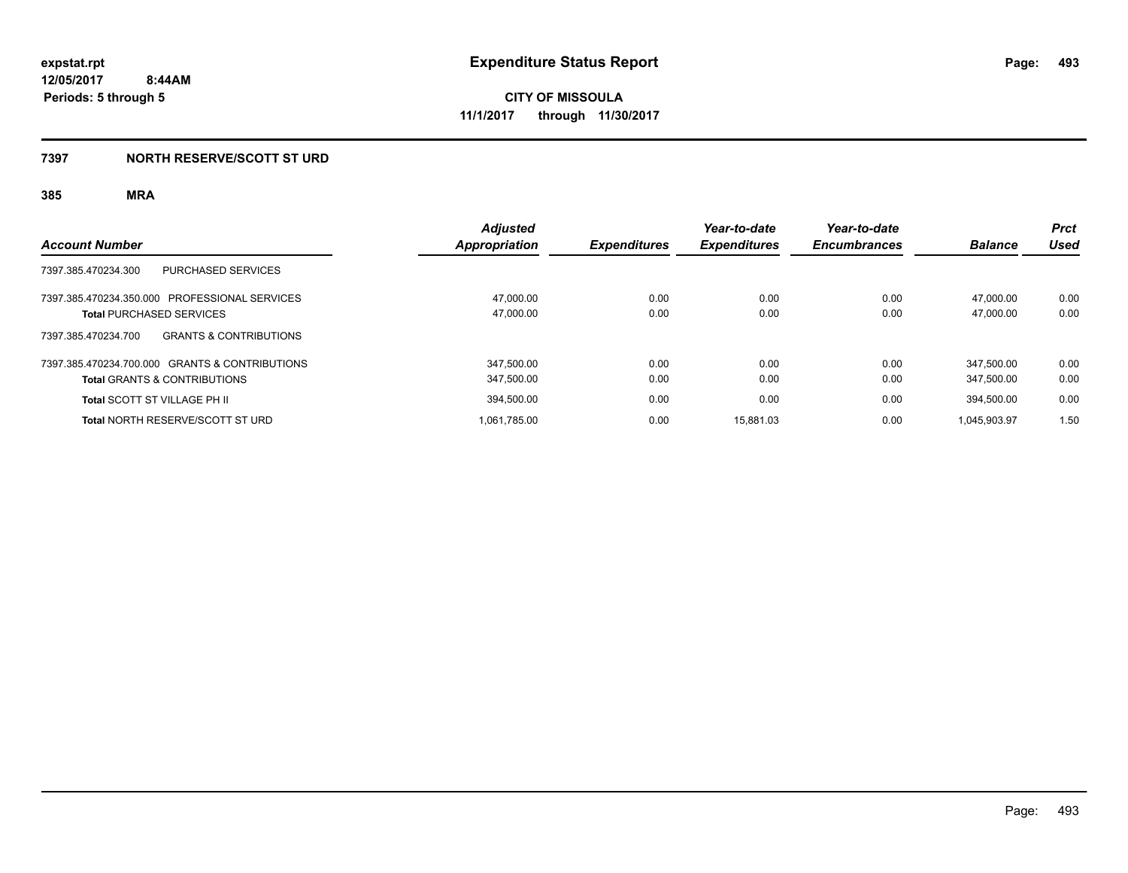# **7397 NORTH RESERVE/SCOTT ST URD**

|                                                          | <b>Adjusted</b> |                     | Year-to-date        | Year-to-date        |                | <b>Prct</b> |
|----------------------------------------------------------|-----------------|---------------------|---------------------|---------------------|----------------|-------------|
| <b>Account Number</b>                                    | Appropriation   | <b>Expenditures</b> | <b>Expenditures</b> | <b>Encumbrances</b> | <b>Balance</b> | Used        |
| 7397.385.470234.300<br>PURCHASED SERVICES                |                 |                     |                     |                     |                |             |
| 7397.385.470234.350.000 PROFESSIONAL SERVICES            | 47.000.00       | 0.00                | 0.00                | 0.00                | 47.000.00      | 0.00        |
| <b>Total PURCHASED SERVICES</b>                          | 47,000.00       | 0.00                | 0.00                | 0.00                | 47.000.00      | 0.00        |
| 7397.385.470234.700<br><b>GRANTS &amp; CONTRIBUTIONS</b> |                 |                     |                     |                     |                |             |
| 7397.385.470234.700.000 GRANTS & CONTRIBUTIONS           | 347,500.00      | 0.00                | 0.00                | 0.00                | 347.500.00     | 0.00        |
| <b>Total GRANTS &amp; CONTRIBUTIONS</b>                  | 347,500.00      | 0.00                | 0.00                | 0.00                | 347.500.00     | 0.00        |
| <b>Total SCOTT ST VILLAGE PH II</b>                      | 394,500.00      | 0.00                | 0.00                | 0.00                | 394.500.00     | 0.00        |
| Total NORTH RESERVE/SCOTT ST URD                         | 1,061,785.00    | 0.00                | 15.881.03           | 0.00                | 1.045.903.97   | 1.50        |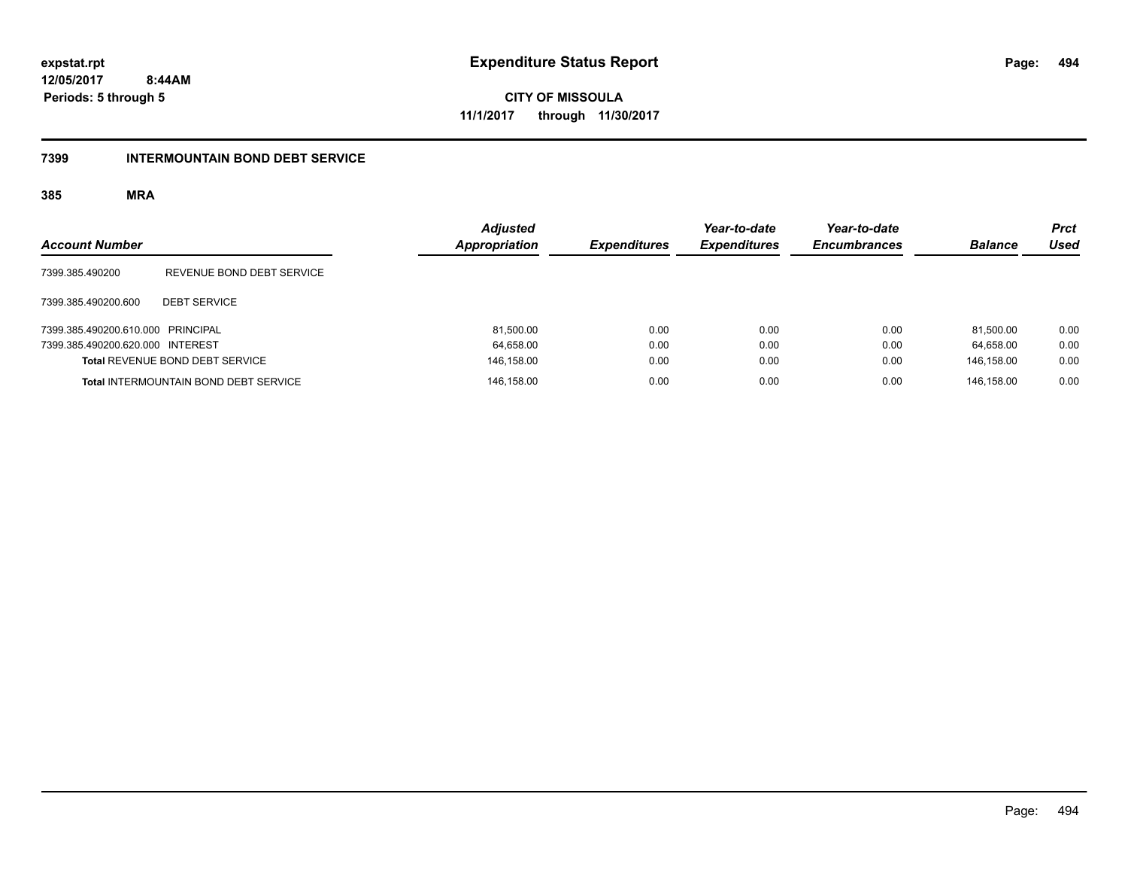**494**

**12/05/2017 8:44AM Periods: 5 through 5**

**CITY OF MISSOULA 11/1/2017 through 11/30/2017**

## **7399 INTERMOUNTAIN BOND DEBT SERVICE**

| <b>Account Number</b>             |                                              | <b>Adjusted</b><br>Appropriation | <b>Expenditures</b> | Year-to-date<br><b>Expenditures</b> | Year-to-date<br><b>Encumbrances</b> | <b>Balance</b> | <b>Prct</b><br><b>Used</b> |
|-----------------------------------|----------------------------------------------|----------------------------------|---------------------|-------------------------------------|-------------------------------------|----------------|----------------------------|
| 7399.385.490200                   | REVENUE BOND DEBT SERVICE                    |                                  |                     |                                     |                                     |                |                            |
| 7399.385.490200.600               | <b>DEBT SERVICE</b>                          |                                  |                     |                                     |                                     |                |                            |
| 7399.385.490200.610.000 PRINCIPAL |                                              | 81.500.00                        | 0.00                | 0.00                                | 0.00                                | 81.500.00      | 0.00                       |
| 7399.385.490200.620.000 INTEREST  |                                              | 64,658.00                        | 0.00                | 0.00                                | 0.00                                | 64.658.00      | 0.00                       |
|                                   | Total REVENUE BOND DEBT SERVICE              | 146,158.00                       | 0.00                | 0.00                                | 0.00                                | 146.158.00     | 0.00                       |
|                                   | <b>Total INTERMOUNTAIN BOND DEBT SERVICE</b> | 146,158.00                       | 0.00                | 0.00                                | 0.00                                | 146.158.00     | 0.00                       |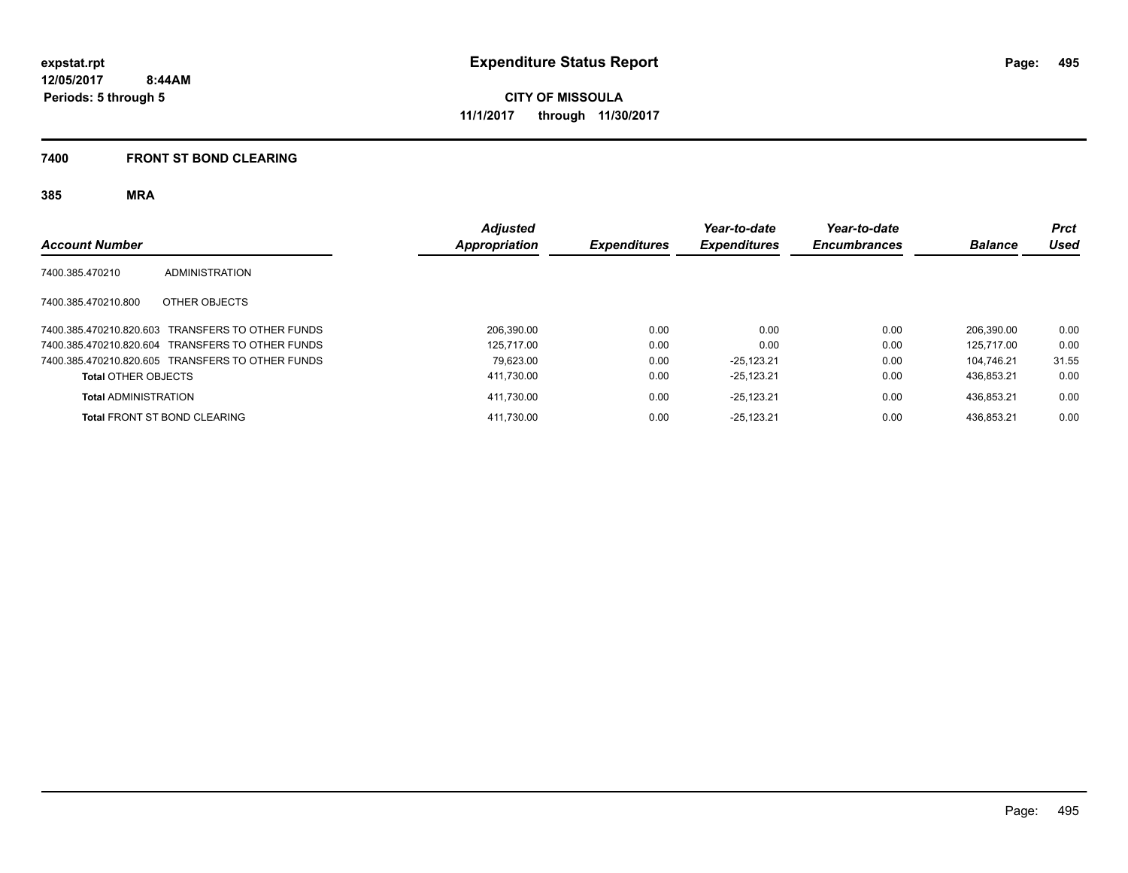## **7400 FRONT ST BOND CLEARING**

| <b>Account Number</b>                            | <b>Adjusted</b><br>Appropriation | <b>Expenditures</b> | Year-to-date<br><b>Expenditures</b> | Year-to-date<br><b>Encumbrances</b> | <b>Balance</b> | <b>Prct</b><br><b>Used</b> |
|--------------------------------------------------|----------------------------------|---------------------|-------------------------------------|-------------------------------------|----------------|----------------------------|
| 7400.385.470210<br><b>ADMINISTRATION</b>         |                                  |                     |                                     |                                     |                |                            |
| 7400.385.470210.800<br>OTHER OBJECTS             |                                  |                     |                                     |                                     |                |                            |
| 7400.385.470210.820.603 TRANSFERS TO OTHER FUNDS | 206.390.00                       | 0.00                | 0.00                                | 0.00                                | 206.390.00     | 0.00                       |
| 7400.385.470210.820.604 TRANSFERS TO OTHER FUNDS | 125.717.00                       | 0.00                | 0.00                                | 0.00                                | 125.717.00     | 0.00                       |
| 7400.385.470210.820.605 TRANSFERS TO OTHER FUNDS | 79.623.00                        | 0.00                | $-25.123.21$                        | 0.00                                | 104.746.21     | 31.55                      |
| <b>Total OTHER OBJECTS</b>                       | 411,730.00                       | 0.00                | $-25.123.21$                        | 0.00                                | 436.853.21     | 0.00                       |
| <b>Total ADMINISTRATION</b>                      | 411,730.00                       | 0.00                | $-25.123.21$                        | 0.00                                | 436.853.21     | 0.00                       |
| <b>Total FRONT ST BOND CLEARING</b>              | 411.730.00                       | 0.00                | $-25.123.21$                        | 0.00                                | 436.853.21     | 0.00                       |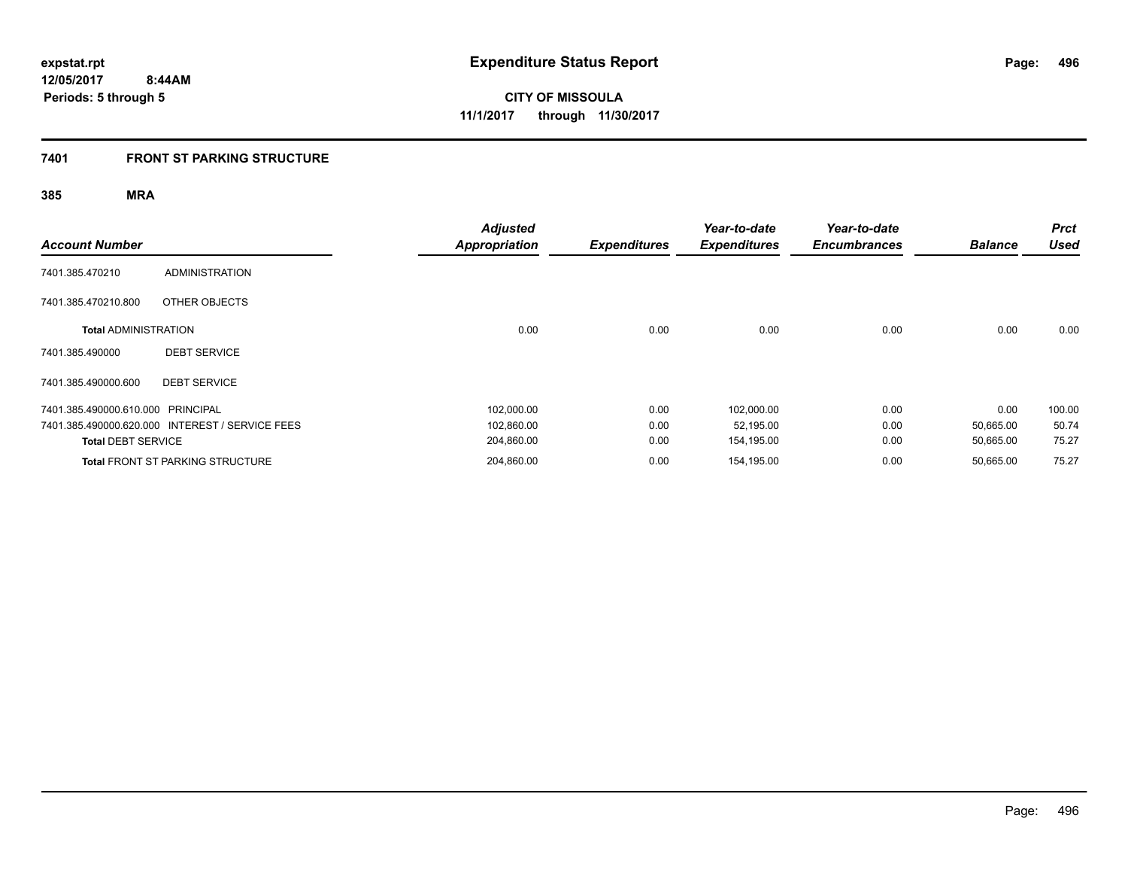# **7401 FRONT ST PARKING STRUCTURE**

| <b>Account Number</b>             |                                                 | <b>Adjusted</b><br><b>Appropriation</b> | <b>Expenditures</b> | Year-to-date<br><b>Expenditures</b> | Year-to-date<br><b>Encumbrances</b> | <b>Balance</b> | <b>Prct</b><br><b>Used</b> |
|-----------------------------------|-------------------------------------------------|-----------------------------------------|---------------------|-------------------------------------|-------------------------------------|----------------|----------------------------|
| 7401.385.470210                   | <b>ADMINISTRATION</b>                           |                                         |                     |                                     |                                     |                |                            |
| 7401.385.470210.800               | OTHER OBJECTS                                   |                                         |                     |                                     |                                     |                |                            |
| <b>Total ADMINISTRATION</b>       |                                                 | 0.00                                    | 0.00                | 0.00                                | 0.00                                | 0.00           | 0.00                       |
| 7401.385.490000                   | <b>DEBT SERVICE</b>                             |                                         |                     |                                     |                                     |                |                            |
| 7401.385.490000.600               | <b>DEBT SERVICE</b>                             |                                         |                     |                                     |                                     |                |                            |
| 7401.385.490000.610.000 PRINCIPAL |                                                 | 102,000.00                              | 0.00                | 102,000.00                          | 0.00                                | 0.00           | 100.00                     |
|                                   | 7401.385.490000.620.000 INTEREST / SERVICE FEES | 102,860.00                              | 0.00                | 52,195.00                           | 0.00                                | 50,665.00      | 50.74                      |
| <b>Total DEBT SERVICE</b>         |                                                 | 204,860.00                              | 0.00                | 154,195.00                          | 0.00                                | 50,665.00      | 75.27                      |
|                                   | <b>Total FRONT ST PARKING STRUCTURE</b>         | 204,860.00                              | 0.00                | 154,195.00                          | 0.00                                | 50,665.00      | 75.27                      |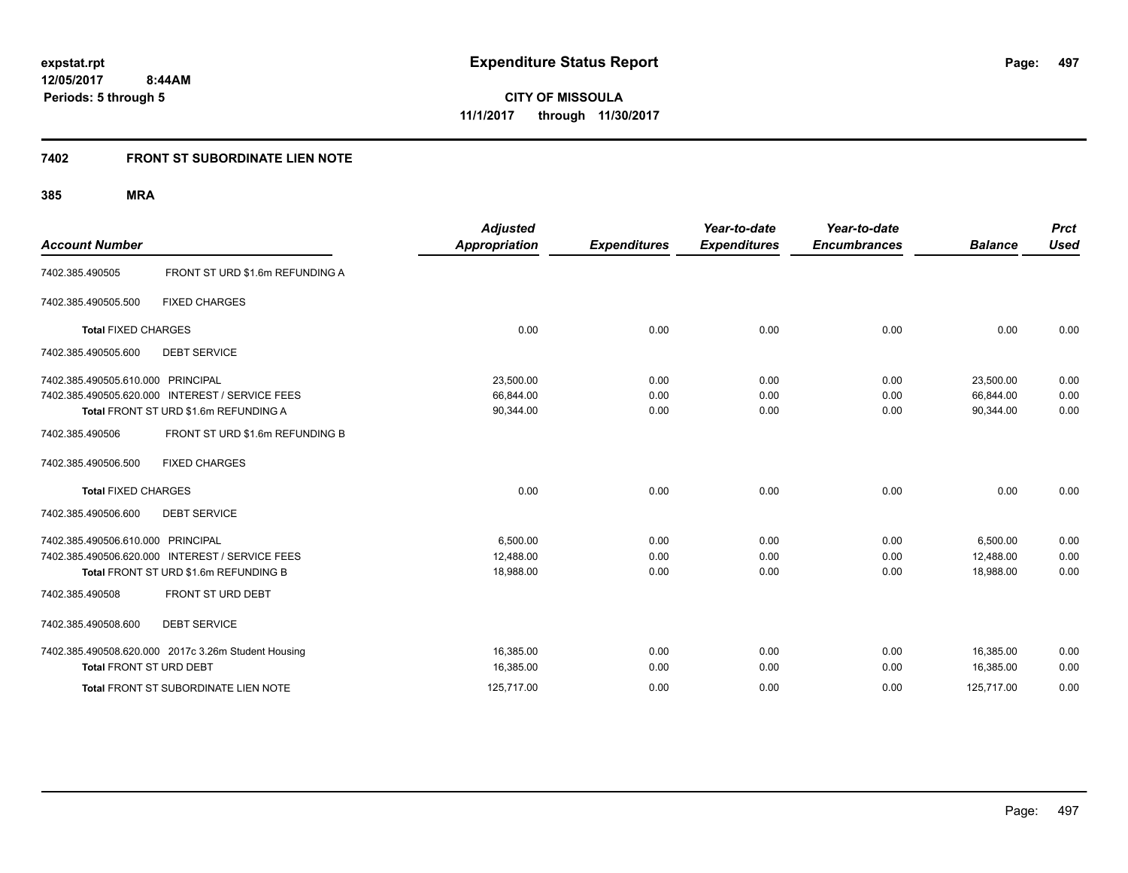**CITY OF MISSOULA 11/1/2017 through 11/30/2017**

# **7402 FRONT ST SUBORDINATE LIEN NOTE**

| <b>Account Number</b>                  |                                                                                          | <b>Adjusted</b><br><b>Appropriation</b> | <b>Expenditures</b> | Year-to-date<br><b>Expenditures</b> | Year-to-date<br><b>Encumbrances</b> | <b>Balance</b>         | <b>Prct</b><br><b>Used</b> |
|----------------------------------------|------------------------------------------------------------------------------------------|-----------------------------------------|---------------------|-------------------------------------|-------------------------------------|------------------------|----------------------------|
| 7402.385.490505                        | FRONT ST URD \$1.6m REFUNDING A                                                          |                                         |                     |                                     |                                     |                        |                            |
| 7402.385.490505.500                    | <b>FIXED CHARGES</b>                                                                     |                                         |                     |                                     |                                     |                        |                            |
| <b>Total FIXED CHARGES</b>             |                                                                                          | 0.00                                    | 0.00                | 0.00                                | 0.00                                | 0.00                   | 0.00                       |
| 7402.385.490505.600                    | <b>DEBT SERVICE</b>                                                                      |                                         |                     |                                     |                                     |                        |                            |
| 7402.385.490505.610.000 PRINCIPAL      |                                                                                          | 23,500.00                               | 0.00                | 0.00                                | 0.00                                | 23,500.00              | 0.00                       |
|                                        | 7402.385.490505.620.000 INTEREST / SERVICE FEES<br>Total FRONT ST URD \$1.6m REFUNDING A | 66,844.00<br>90,344.00                  | 0.00<br>0.00        | 0.00<br>0.00                        | 0.00<br>0.00                        | 66,844.00<br>90,344.00 | 0.00<br>0.00               |
| 7402.385.490506<br>7402.385.490506.500 | FRONT ST URD \$1.6m REFUNDING B<br><b>FIXED CHARGES</b>                                  |                                         |                     |                                     |                                     |                        |                            |
| <b>Total FIXED CHARGES</b>             |                                                                                          | 0.00                                    | 0.00                | 0.00                                | 0.00                                | 0.00                   | 0.00                       |
| 7402.385.490506.600                    | <b>DEBT SERVICE</b>                                                                      |                                         |                     |                                     |                                     |                        |                            |
| 7402.385.490506.610.000 PRINCIPAL      |                                                                                          | 6.500.00                                | 0.00                | 0.00                                | 0.00                                | 6.500.00               | 0.00                       |
|                                        | 7402.385.490506.620.000 INTEREST / SERVICE FEES                                          | 12,488.00                               | 0.00                | 0.00                                | 0.00                                | 12,488.00              | 0.00                       |
|                                        | Total FRONT ST URD \$1.6m REFUNDING B                                                    | 18,988.00                               | 0.00                | 0.00                                | 0.00                                | 18,988.00              | 0.00                       |
| 7402.385.490508                        | FRONT ST URD DEBT                                                                        |                                         |                     |                                     |                                     |                        |                            |
| 7402.385.490508.600                    | <b>DEBT SERVICE</b>                                                                      |                                         |                     |                                     |                                     |                        |                            |
|                                        | 7402.385.490508.620.000 2017c 3.26m Student Housing                                      | 16,385.00                               | 0.00                | 0.00                                | 0.00                                | 16,385.00              | 0.00                       |
| Total FRONT ST URD DEBT                |                                                                                          | 16,385.00                               | 0.00                | 0.00                                | 0.00                                | 16,385.00              | 0.00                       |
|                                        | Total FRONT ST SUBORDINATE LIEN NOTE                                                     | 125,717.00                              | 0.00                | 0.00                                | 0.00                                | 125,717.00             | 0.00                       |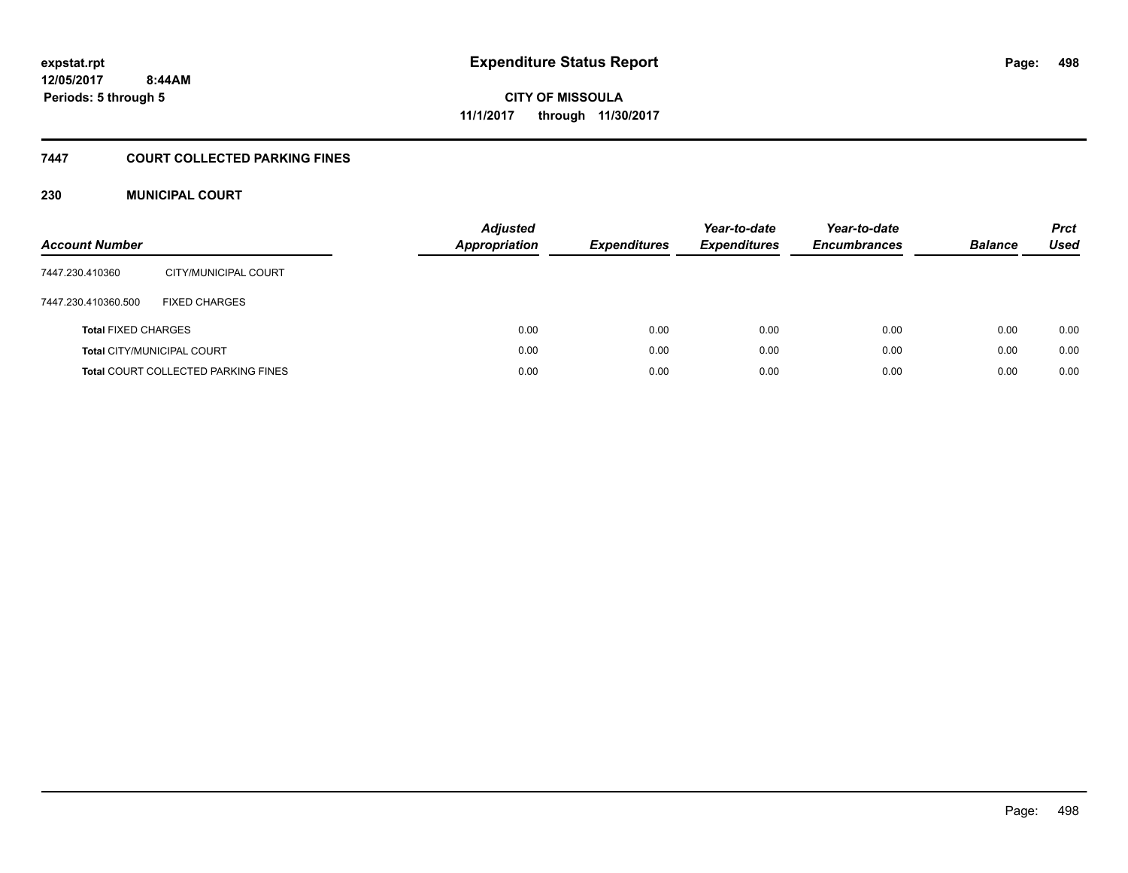# **CITY OF MISSOULA 11/1/2017 through 11/30/2017**

# **7447 COURT COLLECTED PARKING FINES**

## **230 MUNICIPAL COURT**

| <b>Account Number</b>      |                                            | <b>Adjusted</b><br><b>Appropriation</b> | <b>Expenditures</b> | Year-to-date<br><b>Expenditures</b> | Year-to-date<br><b>Encumbrances</b> | <b>Balance</b> | <b>Prct</b><br>Used |
|----------------------------|--------------------------------------------|-----------------------------------------|---------------------|-------------------------------------|-------------------------------------|----------------|---------------------|
| 7447.230.410360            | CITY/MUNICIPAL COURT                       |                                         |                     |                                     |                                     |                |                     |
| 7447.230.410360.500        | <b>FIXED CHARGES</b>                       |                                         |                     |                                     |                                     |                |                     |
| <b>Total FIXED CHARGES</b> |                                            | 0.00                                    | 0.00                | 0.00                                | 0.00                                | 0.00           | 0.00                |
|                            | <b>Total CITY/MUNICIPAL COURT</b>          | 0.00                                    | 0.00                | 0.00                                | 0.00                                | 0.00           | 0.00                |
|                            | <b>Total COURT COLLECTED PARKING FINES</b> | 0.00                                    | 0.00                | 0.00                                | 0.00                                | 0.00           | 0.00                |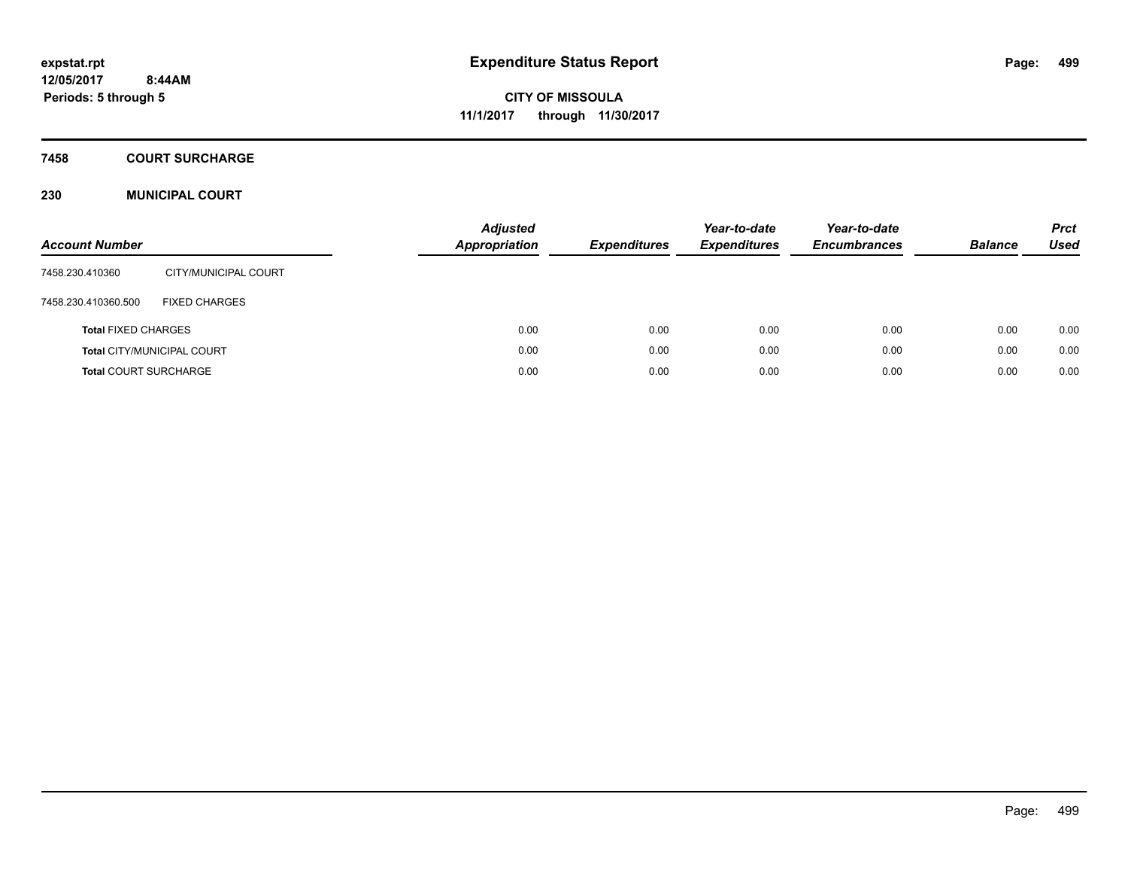# **7458 COURT SURCHARGE**

## **230 MUNICIPAL COURT**

| <b>Account Number</b>        |                            | <b>Adjusted</b><br><b>Appropriation</b> | <b>Expenditures</b> | Year-to-date<br><b>Expenditures</b> | Year-to-date<br><b>Encumbrances</b> | <b>Balance</b> | <b>Prct</b><br>Used |
|------------------------------|----------------------------|-----------------------------------------|---------------------|-------------------------------------|-------------------------------------|----------------|---------------------|
| 7458.230.410360              | CITY/MUNICIPAL COURT       |                                         |                     |                                     |                                     |                |                     |
| 7458.230.410360.500          | <b>FIXED CHARGES</b>       |                                         |                     |                                     |                                     |                |                     |
| <b>Total FIXED CHARGES</b>   |                            | 0.00                                    | 0.00                | 0.00                                | 0.00                                | 0.00           | 0.00                |
|                              | Total CITY/MUNICIPAL COURT | 0.00                                    | 0.00                | 0.00                                | 0.00                                | 0.00           | 0.00                |
| <b>Total COURT SURCHARGE</b> |                            | 0.00                                    | 0.00                | 0.00                                | 0.00                                | 0.00           | 0.00                |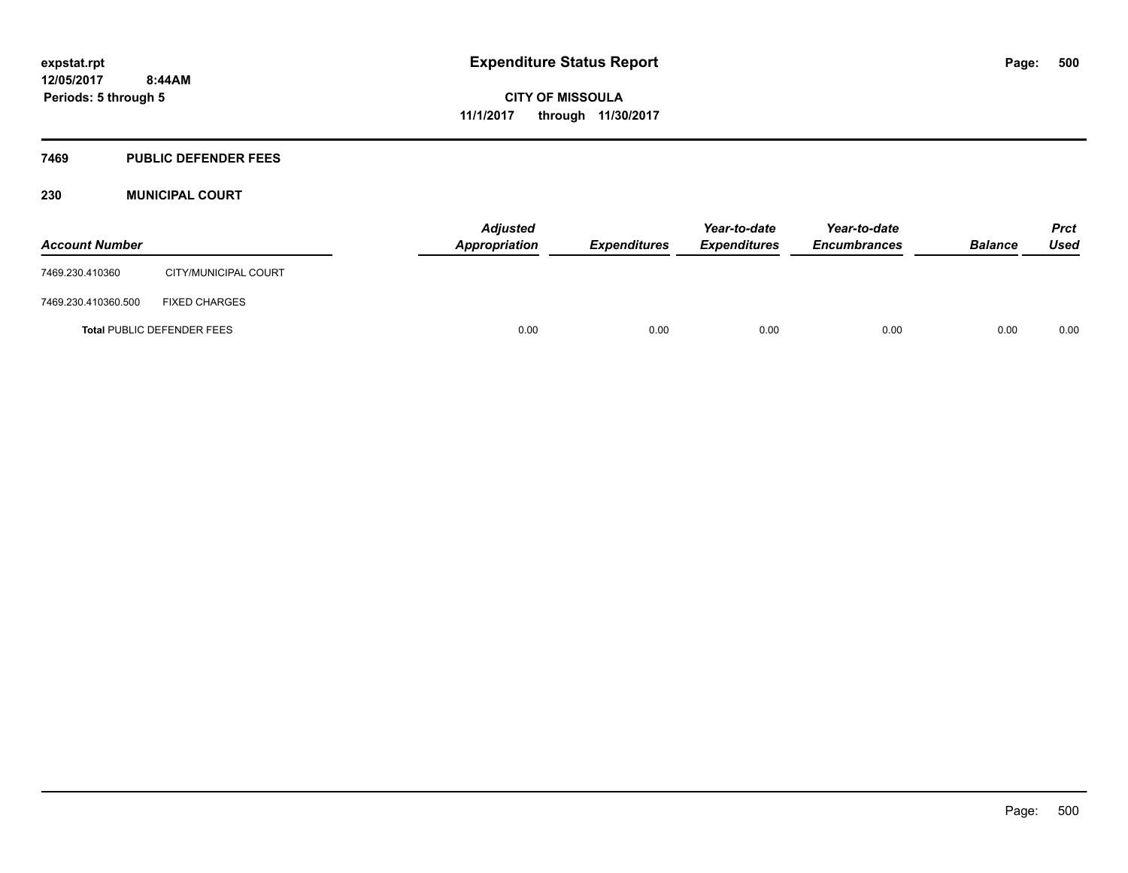## **7469 PUBLIC DEFENDER FEES**

## **230 MUNICIPAL COURT**

| <b>Account Number</b> |                                   | <b>Adjusted</b><br>Appropriation | <b>Expenditures</b> | Year-to-date<br><b>Expenditures</b> | Year-to-date<br><b>Encumbrances</b> | <b>Balance</b> | <b>Prct</b><br><b>Used</b> |
|-----------------------|-----------------------------------|----------------------------------|---------------------|-------------------------------------|-------------------------------------|----------------|----------------------------|
| 7469.230.410360       | CITY/MUNICIPAL COURT              |                                  |                     |                                     |                                     |                |                            |
| 7469.230.410360.500   | <b>FIXED CHARGES</b>              |                                  |                     |                                     |                                     |                |                            |
|                       | <b>Total PUBLIC DEFENDER FEES</b> | 0.00                             | 0.00                | 0.00                                | 0.00                                | 0.00           | 0.00                       |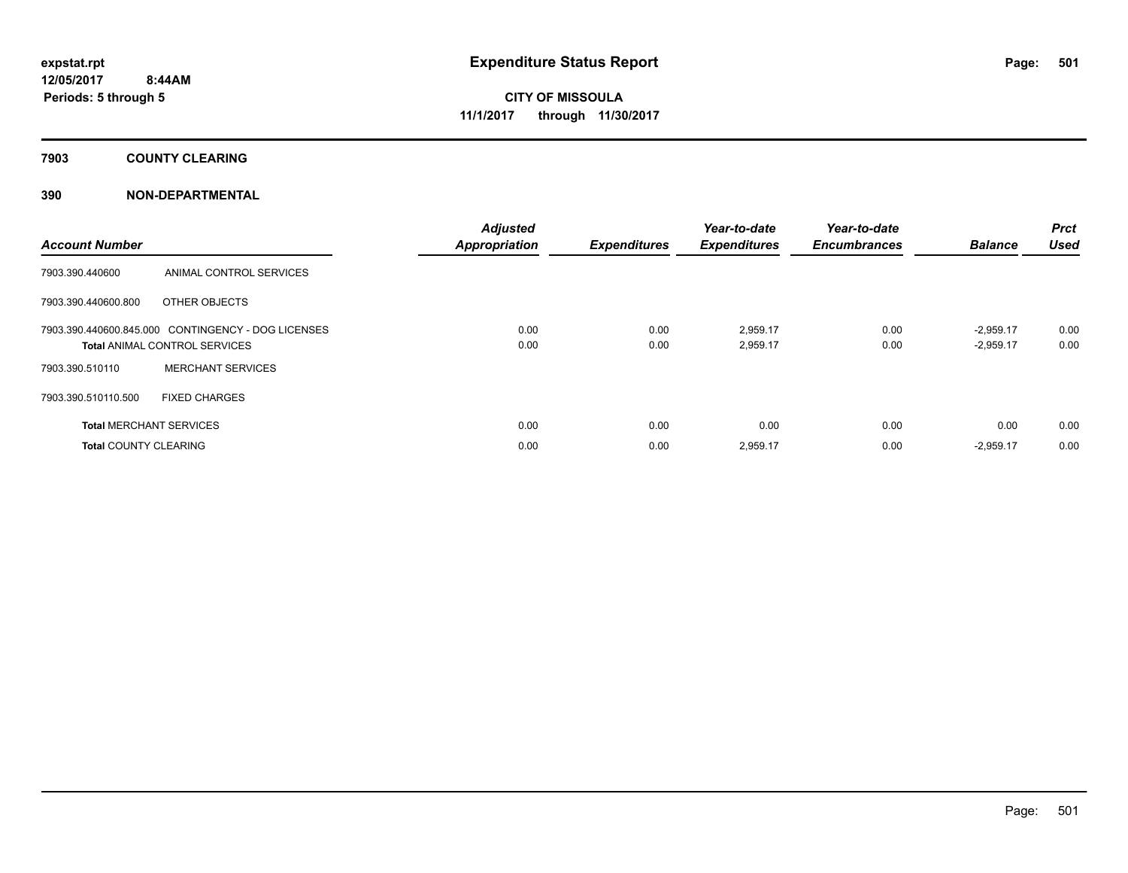# **7903 COUNTY CLEARING**

| <b>Account Number</b>        |                                                                                            | <b>Adjusted</b><br><b>Appropriation</b> | <b>Expenditures</b> | Year-to-date<br><b>Expenditures</b> | Year-to-date<br><b>Encumbrances</b> | <b>Balance</b>             | Prct<br><b>Used</b> |
|------------------------------|--------------------------------------------------------------------------------------------|-----------------------------------------|---------------------|-------------------------------------|-------------------------------------|----------------------------|---------------------|
| 7903.390.440600              | ANIMAL CONTROL SERVICES                                                                    |                                         |                     |                                     |                                     |                            |                     |
| 7903.390.440600.800          | OTHER OBJECTS                                                                              |                                         |                     |                                     |                                     |                            |                     |
|                              | 7903.390.440600.845.000 CONTINGENCY - DOG LICENSES<br><b>Total ANIMAL CONTROL SERVICES</b> | 0.00<br>0.00                            | 0.00<br>0.00        | 2,959.17<br>2,959.17                | 0.00<br>0.00                        | $-2,959.17$<br>$-2,959.17$ | 0.00<br>0.00        |
| 7903.390.510110              | <b>MERCHANT SERVICES</b>                                                                   |                                         |                     |                                     |                                     |                            |                     |
| 7903.390.510110.500          | <b>FIXED CHARGES</b>                                                                       |                                         |                     |                                     |                                     |                            |                     |
|                              | <b>Total MERCHANT SERVICES</b>                                                             | 0.00                                    | 0.00                | 0.00                                | 0.00                                | 0.00                       | 0.00                |
| <b>Total COUNTY CLEARING</b> |                                                                                            | 0.00                                    | 0.00                | 2,959.17                            | 0.00                                | $-2,959.17$                | 0.00                |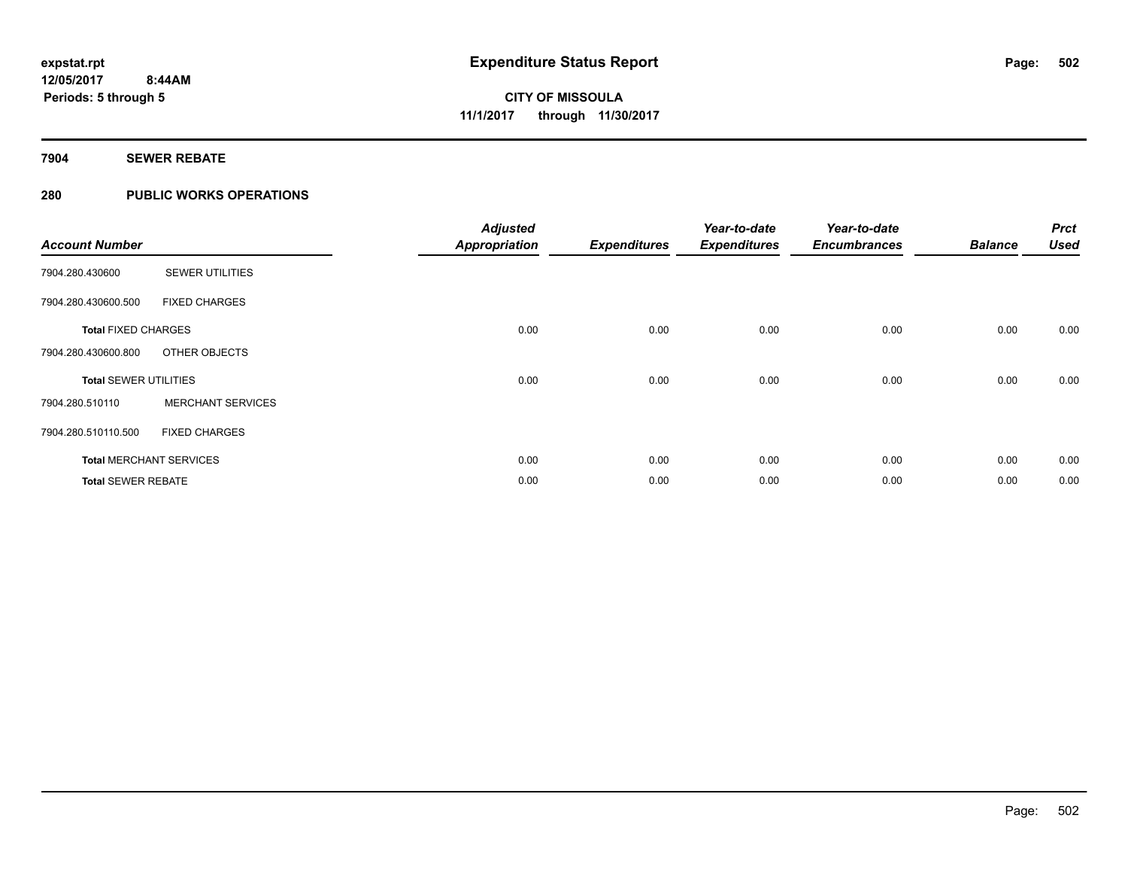# **7904 SEWER REBATE**

# **280 PUBLIC WORKS OPERATIONS**

| <b>Account Number</b>        |                                | <b>Adjusted</b><br><b>Appropriation</b> | <b>Expenditures</b> | Year-to-date<br><b>Expenditures</b> | Year-to-date<br><b>Encumbrances</b> | <b>Balance</b> | <b>Prct</b><br><b>Used</b> |
|------------------------------|--------------------------------|-----------------------------------------|---------------------|-------------------------------------|-------------------------------------|----------------|----------------------------|
| 7904.280.430600              | <b>SEWER UTILITIES</b>         |                                         |                     |                                     |                                     |                |                            |
| 7904.280.430600.500          | <b>FIXED CHARGES</b>           |                                         |                     |                                     |                                     |                |                            |
| <b>Total FIXED CHARGES</b>   |                                | 0.00                                    | 0.00                | 0.00                                | 0.00                                | 0.00           | 0.00                       |
| 7904.280.430600.800          | OTHER OBJECTS                  |                                         |                     |                                     |                                     |                |                            |
| <b>Total SEWER UTILITIES</b> |                                | 0.00                                    | 0.00                | 0.00                                | 0.00                                | 0.00           | 0.00                       |
| 7904.280.510110              | <b>MERCHANT SERVICES</b>       |                                         |                     |                                     |                                     |                |                            |
| 7904.280.510110.500          | <b>FIXED CHARGES</b>           |                                         |                     |                                     |                                     |                |                            |
|                              | <b>Total MERCHANT SERVICES</b> | 0.00                                    | 0.00                | 0.00                                | 0.00                                | 0.00           | 0.00                       |
| <b>Total SEWER REBATE</b>    |                                | 0.00                                    | 0.00                | 0.00                                | 0.00                                | 0.00           | 0.00                       |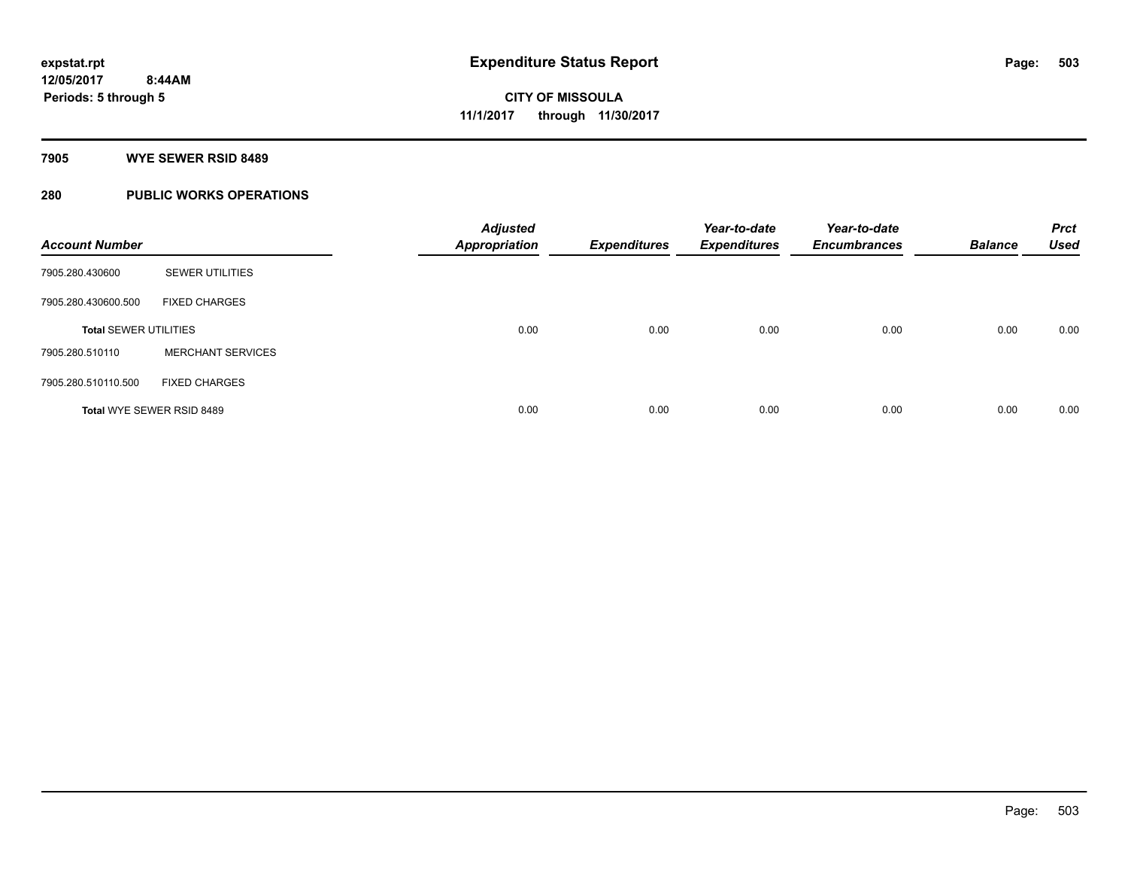#### **7905 WYE SEWER RSID 8489**

# **280 PUBLIC WORKS OPERATIONS**

| <b>Account Number</b>        |                           | <b>Adjusted</b><br><b>Appropriation</b> | <b>Expenditures</b> | Year-to-date<br><b>Expenditures</b> | Year-to-date<br><b>Encumbrances</b> | <b>Balance</b> | <b>Prct</b><br><b>Used</b> |
|------------------------------|---------------------------|-----------------------------------------|---------------------|-------------------------------------|-------------------------------------|----------------|----------------------------|
| 7905.280.430600              | <b>SEWER UTILITIES</b>    |                                         |                     |                                     |                                     |                |                            |
| 7905.280.430600.500          | <b>FIXED CHARGES</b>      |                                         |                     |                                     |                                     |                |                            |
| <b>Total SEWER UTILITIES</b> |                           | 0.00                                    | 0.00                | 0.00                                | 0.00                                | 0.00           | 0.00                       |
| 7905.280.510110              | <b>MERCHANT SERVICES</b>  |                                         |                     |                                     |                                     |                |                            |
| 7905.280.510110.500          | <b>FIXED CHARGES</b>      |                                         |                     |                                     |                                     |                |                            |
|                              | Total WYE SEWER RSID 8489 | 0.00                                    | 0.00                | 0.00                                | 0.00                                | 0.00           | 0.00                       |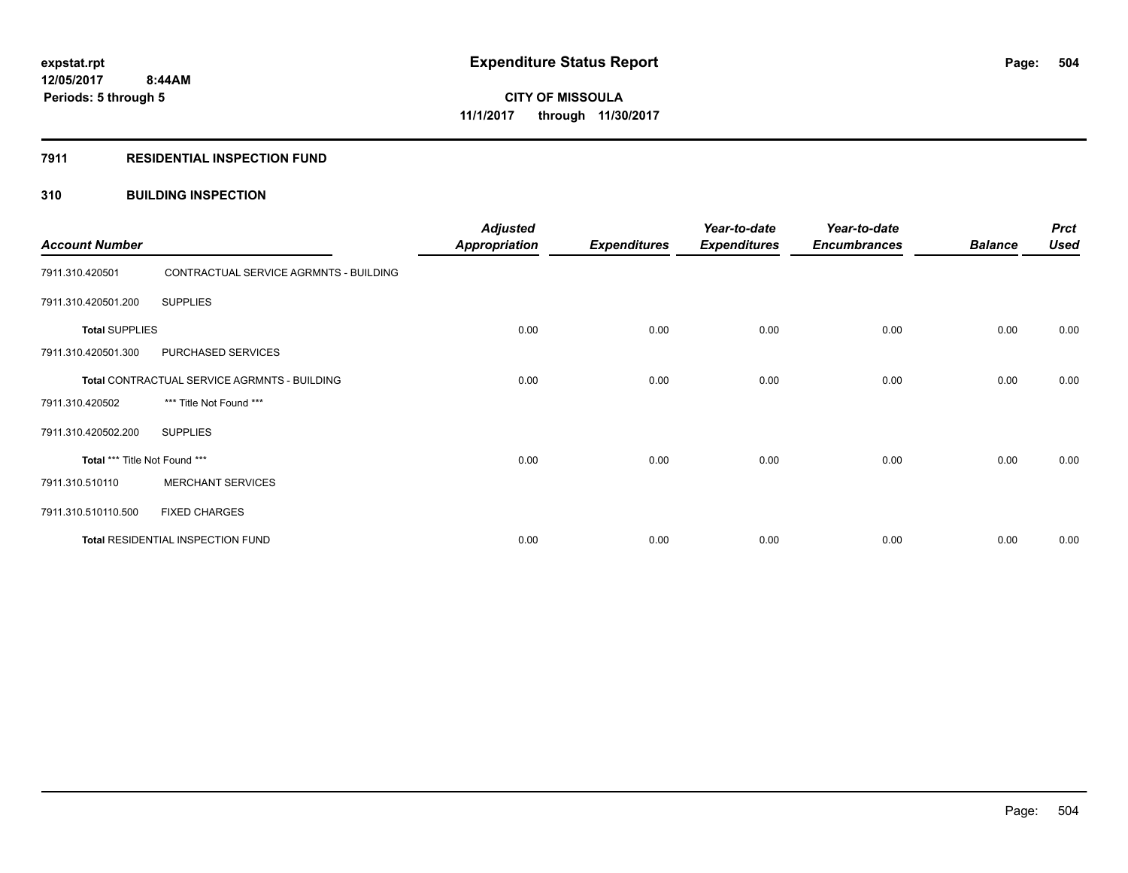## **7911 RESIDENTIAL INSPECTION FUND**

## **310 BUILDING INSPECTION**

| <b>Account Number</b>         |                                              | <b>Adjusted</b><br><b>Appropriation</b> | <b>Expenditures</b> | Year-to-date<br><b>Expenditures</b> | Year-to-date<br><b>Encumbrances</b> | <b>Balance</b> | <b>Prct</b><br><b>Used</b> |
|-------------------------------|----------------------------------------------|-----------------------------------------|---------------------|-------------------------------------|-------------------------------------|----------------|----------------------------|
| 7911.310.420501               | CONTRACTUAL SERVICE AGRMNTS - BUILDING       |                                         |                     |                                     |                                     |                |                            |
| 7911.310.420501.200           | <b>SUPPLIES</b>                              |                                         |                     |                                     |                                     |                |                            |
| <b>Total SUPPLIES</b>         |                                              | 0.00                                    | 0.00                | 0.00                                | 0.00                                | 0.00           | 0.00                       |
| 7911.310.420501.300           | PURCHASED SERVICES                           |                                         |                     |                                     |                                     |                |                            |
|                               | Total CONTRACTUAL SERVICE AGRMNTS - BUILDING | 0.00                                    | 0.00                | 0.00                                | 0.00                                | 0.00           | 0.00                       |
| 7911.310.420502               | *** Title Not Found ***                      |                                         |                     |                                     |                                     |                |                            |
| 7911.310.420502.200           | <b>SUPPLIES</b>                              |                                         |                     |                                     |                                     |                |                            |
| Total *** Title Not Found *** |                                              | 0.00                                    | 0.00                | 0.00                                | 0.00                                | 0.00           | 0.00                       |
| 7911.310.510110               | <b>MERCHANT SERVICES</b>                     |                                         |                     |                                     |                                     |                |                            |
| 7911.310.510110.500           | <b>FIXED CHARGES</b>                         |                                         |                     |                                     |                                     |                |                            |
|                               | Total RESIDENTIAL INSPECTION FUND            | 0.00                                    | 0.00                | 0.00                                | 0.00                                | 0.00           | 0.00                       |